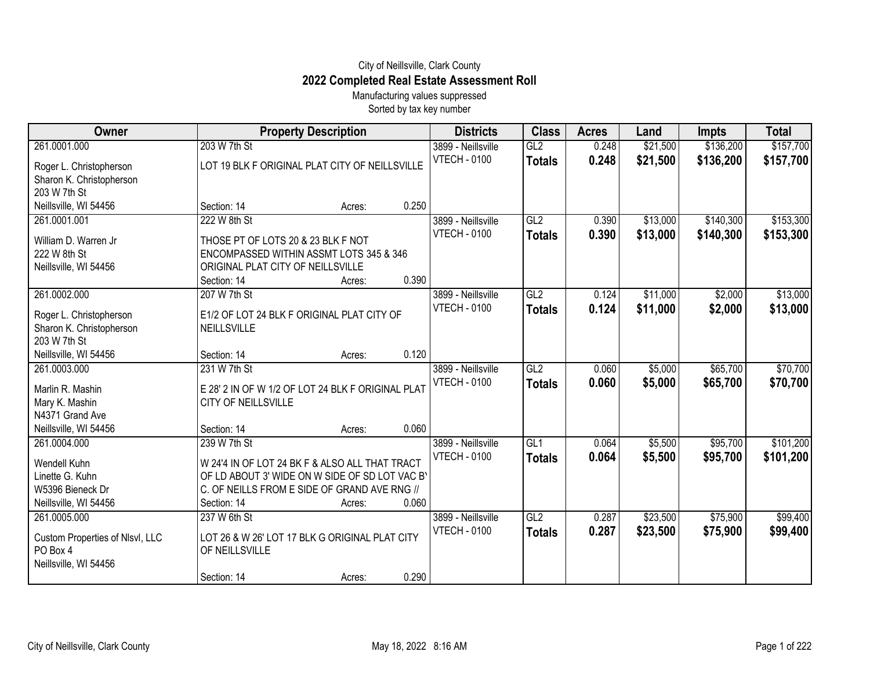## City of Neillsville, Clark County **2022 Completed Real Estate Assessment Roll**

Manufacturing values suppressed Sorted by tax key number

| Owner                           | <b>Property Description</b>                       |       | <b>Districts</b>    | <b>Class</b>    | <b>Acres</b> | Land     | Impts     | <b>Total</b> |
|---------------------------------|---------------------------------------------------|-------|---------------------|-----------------|--------------|----------|-----------|--------------|
| 261.0001.000                    | 203 W 7th St                                      |       | 3899 - Neillsville  | GL2             | 0.248        | \$21,500 | \$136,200 | \$157,700    |
| Roger L. Christopherson         | LOT 19 BLK F ORIGINAL PLAT CITY OF NEILLSVILLE    |       | <b>VTECH - 0100</b> | <b>Totals</b>   | 0.248        | \$21,500 | \$136,200 | \$157,700    |
| Sharon K. Christopherson        |                                                   |       |                     |                 |              |          |           |              |
| 203 W 7th St                    |                                                   |       |                     |                 |              |          |           |              |
| Neillsville, WI 54456           | Section: 14<br>Acres:                             | 0.250 |                     |                 |              |          |           |              |
| 261.0001.001                    | 222 W 8th St                                      |       | 3899 - Neillsville  | GL2             | 0.390        | \$13,000 | \$140,300 | \$153,300    |
| William D. Warren Jr            | THOSE PT OF LOTS 20 & 23 BLK F NOT                |       | <b>VTECH - 0100</b> | <b>Totals</b>   | 0.390        | \$13,000 | \$140,300 | \$153,300    |
| 222 W 8th St                    | ENCOMPASSED WITHIN ASSMT LOTS 345 & 346           |       |                     |                 |              |          |           |              |
| Neillsville, WI 54456           | ORIGINAL PLAT CITY OF NEILLSVILLE                 |       |                     |                 |              |          |           |              |
|                                 | Section: 14<br>Acres:                             | 0.390 |                     |                 |              |          |           |              |
| 261.0002.000                    | 207 W 7th St                                      |       | 3899 - Neillsville  | GL <sub>2</sub> | 0.124        | \$11,000 | \$2,000   | \$13,000     |
| Roger L. Christopherson         | E1/2 OF LOT 24 BLK F ORIGINAL PLAT CITY OF        |       | <b>VTECH - 0100</b> | <b>Totals</b>   | 0.124        | \$11,000 | \$2,000   | \$13,000     |
| Sharon K. Christopherson        | <b>NEILLSVILLE</b>                                |       |                     |                 |              |          |           |              |
| 203 W 7th St                    |                                                   |       |                     |                 |              |          |           |              |
| Neillsville, WI 54456           | Section: 14<br>Acres:                             | 0.120 |                     |                 |              |          |           |              |
| 261.0003.000                    | 231 W 7th St                                      |       | 3899 - Neillsville  | GL2             | 0.060        | \$5,000  | \$65,700  | \$70,700     |
| Marlin R. Mashin                | E 28' 2 IN OF W 1/2 OF LOT 24 BLK F ORIGINAL PLAT |       | <b>VTECH - 0100</b> | <b>Totals</b>   | 0.060        | \$5,000  | \$65,700  | \$70,700     |
| Mary K. Mashin                  | CITY OF NEILLSVILLE                               |       |                     |                 |              |          |           |              |
| N4371 Grand Ave                 |                                                   |       |                     |                 |              |          |           |              |
| Neillsville, WI 54456           | Section: 14<br>Acres:                             | 0.060 |                     |                 |              |          |           |              |
| 261.0004.000                    | 239 W 7th St                                      |       | 3899 - Neillsville  | GL <sub>1</sub> | 0.064        | \$5,500  | \$95,700  | \$101,200    |
|                                 |                                                   |       | <b>VTECH - 0100</b> | <b>Totals</b>   | 0.064        | \$5,500  | \$95,700  | \$101,200    |
| Wendell Kuhn                    | W 24'4 IN OF LOT 24 BK F & ALSO ALL THAT TRACT    |       |                     |                 |              |          |           |              |
| Linette G. Kuhn                 | OF LD ABOUT 3' WIDE ON W SIDE OF SD LOT VAC B'    |       |                     |                 |              |          |           |              |
| W5396 Bieneck Dr                | C. OF NEILLS FROM E SIDE OF GRAND AVE RNG //      |       |                     |                 |              |          |           |              |
| Neillsville, WI 54456           | Section: 14<br>Acres:                             | 0.060 |                     |                 |              |          |           |              |
| 261.0005.000                    | 237 W 6th St                                      |       | 3899 - Neillsville  | GL2             | 0.287        | \$23,500 | \$75,900  | \$99,400     |
| Custom Properties of Nlsvl, LLC | LOT 26 & W 26' LOT 17 BLK G ORIGINAL PLAT CITY    |       | <b>VTECH - 0100</b> | <b>Totals</b>   | 0.287        | \$23,500 | \$75,900  | \$99,400     |
| PO Box 4                        | OF NEILLSVILLE                                    |       |                     |                 |              |          |           |              |
| Neillsville, WI 54456           |                                                   |       |                     |                 |              |          |           |              |
|                                 | Section: 14<br>Acres:                             | 0.290 |                     |                 |              |          |           |              |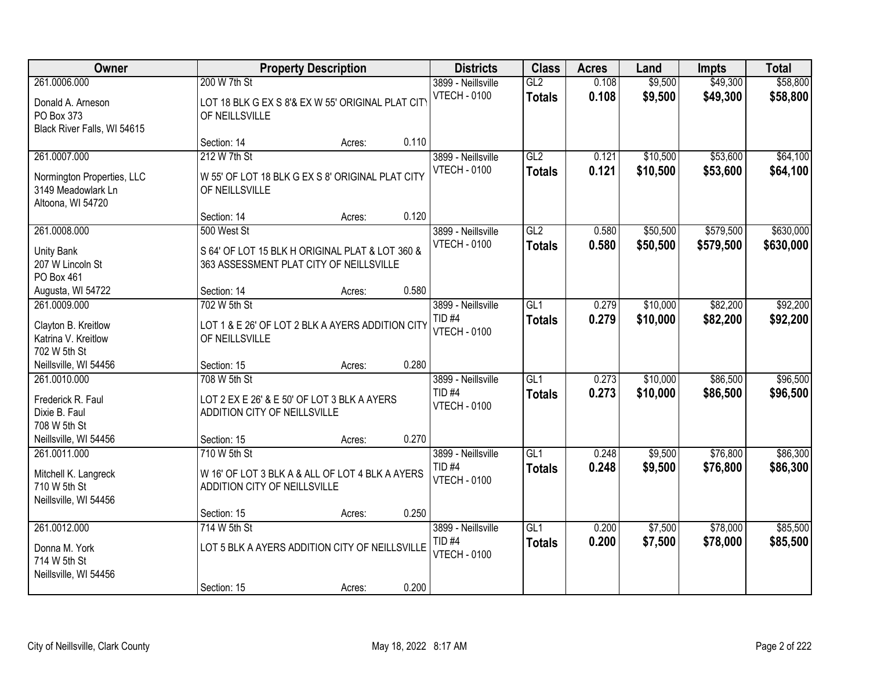| Owner<br><b>Property Description</b>                                                  | <b>Districts</b>                             | <b>Class</b>                                                                               | <b>Acres</b> | Land                                                           | <b>Impts</b>                      | <b>Total</b>   |                      |                        |                        |
|---------------------------------------------------------------------------------------|----------------------------------------------|--------------------------------------------------------------------------------------------|--------------|----------------------------------------------------------------|-----------------------------------|----------------|----------------------|------------------------|------------------------|
| 261.0006.000<br>Donald A. Arneson<br>PO Box 373<br>Black River Falls, WI 54615        | 200 W 7th St<br>OF NEILLSVILLE               | LOT 18 BLK G EX S 8'& EX W 55' ORIGINAL PLAT CITY                                          |              | 3899 - Neillsville<br><b>VTECH - 0100</b>                      | GL2<br><b>Totals</b>              | 0.108<br>0.108 | \$9,500<br>\$9,500   | \$49,300<br>\$49,300   | \$58,800<br>\$58,800   |
|                                                                                       | Section: 14                                  | Acres:                                                                                     | 0.110        |                                                                |                                   |                |                      |                        |                        |
| 261.0007.000<br>Normington Properties, LLC<br>3149 Meadowlark Ln<br>Altoona, WI 54720 | 212 W 7th St<br>OF NEILLSVILLE               | W 55' OF LOT 18 BLK G EX S 8' ORIGINAL PLAT CITY                                           |              | 3899 - Neillsville<br><b>VTECH - 0100</b>                      | GL2<br><b>Totals</b>              | 0.121<br>0.121 | \$10,500<br>\$10,500 | \$53,600<br>\$53,600   | \$64,100<br>\$64,100   |
|                                                                                       | Section: 14                                  | Acres:                                                                                     | 0.120        |                                                                |                                   |                |                      |                        |                        |
| 261.0008.000<br><b>Unity Bank</b><br>207 W Lincoln St<br>PO Box 461                   | 500 West St                                  | S 64' OF LOT 15 BLK H ORIGINAL PLAT & LOT 360 &<br>363 ASSESSMENT PLAT CITY OF NEILLSVILLE |              | 3899 - Neillsville<br><b>VTECH - 0100</b>                      | GL2<br><b>Totals</b>              | 0.580<br>0.580 | \$50,500<br>\$50,500 | \$579,500<br>\$579,500 | \$630,000<br>\$630,000 |
| Augusta, WI 54722                                                                     | Section: 14                                  | Acres:                                                                                     | 0.580        |                                                                |                                   |                |                      |                        |                        |
| 261.0009.000<br>Clayton B. Kreitlow<br>Katrina V. Kreitlow<br>702 W 5th St            | 702 W 5th St<br>OF NEILLSVILLE               | LOT 1 & E 26' OF LOT 2 BLK A AYERS ADDITION CITY                                           |              | 3899 - Neillsville<br>TID <sub>#4</sub><br><b>VTECH - 0100</b> | GL1<br><b>Totals</b>              | 0.279<br>0.279 | \$10,000<br>\$10,000 | \$82,200<br>\$82,200   | \$92,200<br>\$92,200   |
| Neillsville, WI 54456                                                                 | Section: 15                                  | Acres:                                                                                     | 0.280        |                                                                |                                   |                |                      |                        |                        |
| 261.0010.000<br>Frederick R. Faul<br>Dixie B. Faul<br>708 W 5th St                    | 708 W 5th St<br>ADDITION CITY OF NEILLSVILLE | LOT 2 EX E 26' & E 50' OF LOT 3 BLK A AYERS                                                |              | 3899 - Neillsville<br>$TID$ #4<br><b>VTECH - 0100</b>          | $\overline{GL1}$<br><b>Totals</b> | 0.273<br>0.273 | \$10,000<br>\$10,000 | \$86,500<br>\$86,500   | \$96,500<br>\$96,500   |
| Neillsville, WI 54456                                                                 | Section: 15                                  | Acres:                                                                                     | 0.270        |                                                                |                                   |                |                      |                        |                        |
| 261.0011.000<br>Mitchell K. Langreck<br>710 W 5th St<br>Neillsville, WI 54456         | 710 W 5th St<br>ADDITION CITY OF NEILLSVILLE | W 16' OF LOT 3 BLK A & ALL OF LOT 4 BLK A AYERS                                            |              | 3899 - Neillsville<br>TID <sub>#4</sub><br><b>VTECH - 0100</b> | GL1<br><b>Totals</b>              | 0.248<br>0.248 | \$9,500<br>\$9,500   | \$76,800<br>\$76,800   | \$86,300<br>\$86,300   |
|                                                                                       | Section: 15                                  | Acres:                                                                                     | 0.250        |                                                                |                                   |                |                      |                        |                        |
| 261.0012.000<br>Donna M. York<br>714 W 5th St<br>Neillsville, WI 54456                | 714 W 5th St<br>Section: 15                  | LOT 5 BLK A AYERS ADDITION CITY OF NEILLSVILLE<br>Acres:                                   | 0.200        | 3899 - Neillsville<br>TID <sub>#4</sub><br><b>VTECH - 0100</b> | GL1<br><b>Totals</b>              | 0.200<br>0.200 | \$7,500<br>\$7,500   | \$78,000<br>\$78,000   | \$85,500<br>\$85,500   |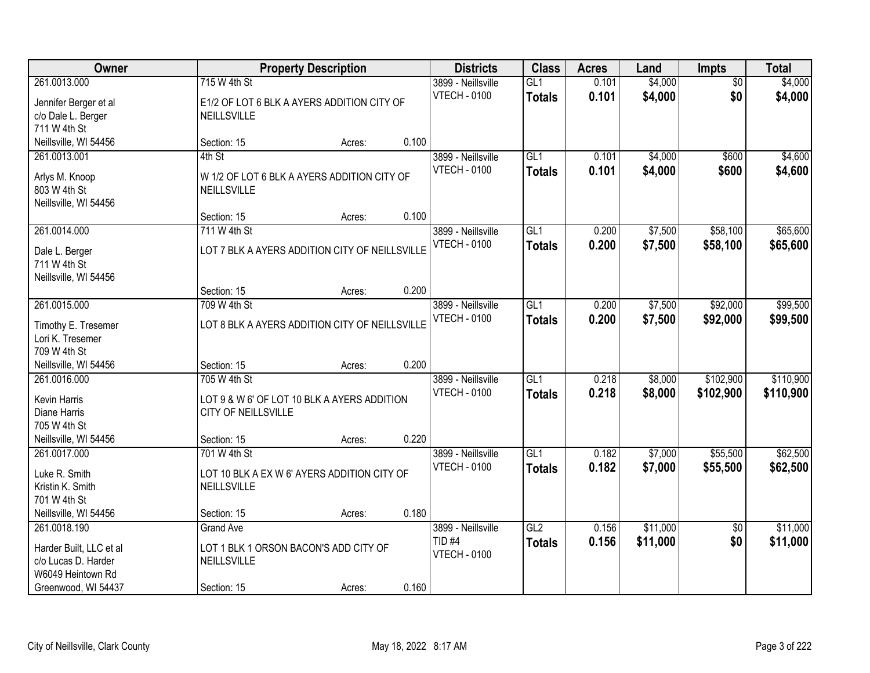| Owner                                                                                                      | <b>Property Description</b>                                                                       | <b>Districts</b> | <b>Class</b> | <b>Acres</b>                                                   | Land                              | Impts          | <b>Total</b>         |                        |                        |
|------------------------------------------------------------------------------------------------------------|---------------------------------------------------------------------------------------------------|------------------|--------------|----------------------------------------------------------------|-----------------------------------|----------------|----------------------|------------------------|------------------------|
| 261.0013.000<br>Jennifer Berger et al<br>c/o Dale L. Berger<br>711 W 4th St                                | 715 W 4th St<br>E1/2 OF LOT 6 BLK A AYERS ADDITION CITY OF<br>NEILLSVILLE                         |                  |              | 3899 - Neillsville<br><b>VTECH - 0100</b>                      | GL1<br><b>Totals</b>              | 0.101<br>0.101 | \$4,000<br>\$4,000   | $\overline{50}$<br>\$0 | \$4,000<br>\$4,000     |
| Neillsville, WI 54456                                                                                      | Section: 15                                                                                       | Acres:           | 0.100        |                                                                |                                   |                |                      |                        |                        |
| 261.0013.001<br>Arlys M. Knoop<br>803 W 4th St<br>Neillsville, WI 54456                                    | 4th St<br>W 1/2 OF LOT 6 BLK A AYERS ADDITION CITY OF<br>NEILLSVILLE                              |                  |              | 3899 - Neillsville<br><b>VTECH - 0100</b>                      | GL1<br><b>Totals</b>              | 0.101<br>0.101 | \$4,000<br>\$4,000   | \$600<br>\$600         | \$4,600<br>\$4,600     |
|                                                                                                            | Section: 15                                                                                       | Acres:           | 0.100        |                                                                |                                   |                |                      |                        |                        |
| 261.0014.000<br>Dale L. Berger<br>711 W 4th St<br>Neillsville, WI 54456                                    | 711 W 4th St<br>LOT 7 BLK A AYERS ADDITION CITY OF NEILLSVILLE                                    |                  |              | 3899 - Neillsville<br><b>VTECH - 0100</b>                      | GL1<br><b>Totals</b>              | 0.200<br>0.200 | \$7,500<br>\$7,500   | \$58,100<br>\$58,100   | \$65,600<br>\$65,600   |
|                                                                                                            | Section: 15                                                                                       | Acres:           | 0.200        |                                                                |                                   |                |                      |                        |                        |
| 261.0015.000<br>Timothy E. Tresemer<br>Lori K. Tresemer<br>709 W 4th St                                    | 709 W 4th St<br>LOT 8 BLK A AYERS ADDITION CITY OF NEILLSVILLE                                    |                  |              | 3899 - Neillsville<br><b>VTECH - 0100</b>                      | GL1<br><b>Totals</b>              | 0.200<br>0.200 | \$7,500<br>\$7,500   | \$92,000<br>\$92,000   | \$99,500<br>\$99,500   |
| Neillsville, WI 54456                                                                                      | Section: 15                                                                                       | Acres:           | 0.200        |                                                                |                                   |                |                      |                        |                        |
| 261.0016.000<br>Kevin Harris<br>Diane Harris<br>705 W 4th St<br>Neillsville, WI 54456                      | 705 W 4th St<br>LOT 9 & W 6' OF LOT 10 BLK A AYERS ADDITION<br>CITY OF NEILLSVILLE<br>Section: 15 | Acres:           | 0.220        | 3899 - Neillsville<br><b>VTECH - 0100</b>                      | $\overline{GL1}$<br><b>Totals</b> | 0.218<br>0.218 | \$8,000<br>\$8,000   | \$102,900<br>\$102,900 | \$110,900<br>\$110,900 |
| 261.0017.000                                                                                               | 701 W 4th St                                                                                      |                  |              | 3899 - Neillsville                                             | GL1                               | 0.182          | \$7,000              | \$55,500               | \$62,500               |
| Luke R. Smith<br>Kristin K. Smith<br>701 W 4th St                                                          | LOT 10 BLK A EX W 6' AYERS ADDITION CITY OF<br>NEILLSVILLE                                        |                  |              | <b>VTECH - 0100</b>                                            | <b>Totals</b>                     | 0.182          | \$7,000              | \$55,500               | \$62,500               |
| Neillsville, WI 54456                                                                                      | Section: 15                                                                                       | Acres:           | 0.180        |                                                                |                                   |                |                      |                        |                        |
| 261.0018.190<br>Harder Built, LLC et al<br>c/o Lucas D. Harder<br>W6049 Heintown Rd<br>Greenwood, WI 54437 | <b>Grand Ave</b><br>LOT 1 BLK 1 ORSON BACON'S ADD CITY OF<br>NEILLSVILLE<br>Section: 15           | Acres:           | 0.160        | 3899 - Neillsville<br>TID <sub>#4</sub><br><b>VTECH - 0100</b> | GL2<br><b>Totals</b>              | 0.156<br>0.156 | \$11,000<br>\$11,000 | $\overline{50}$<br>\$0 | \$11,000<br>\$11,000   |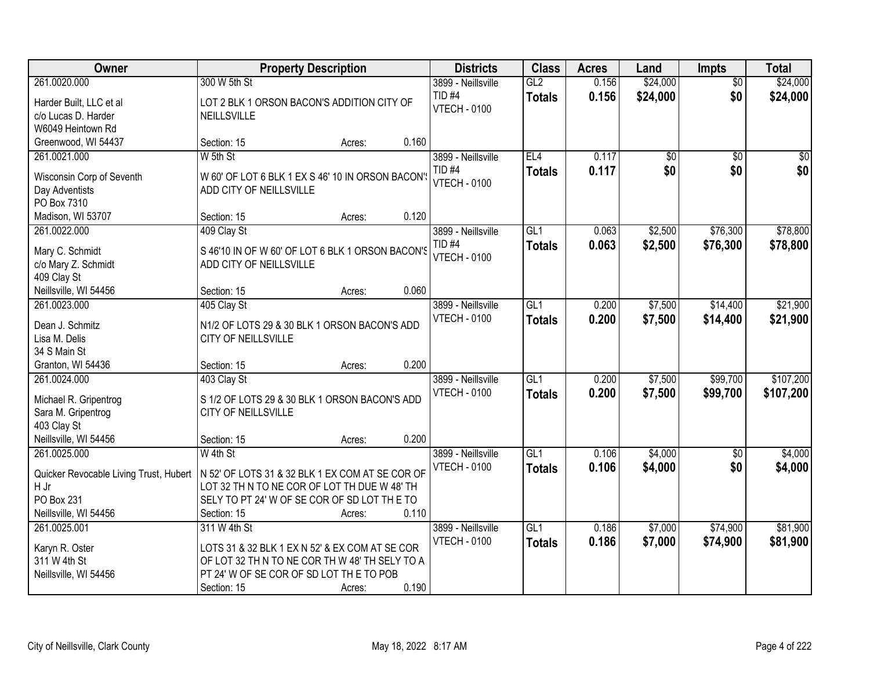| Owner                                  |                                                         | <b>Property Description</b> |       | <b>Districts</b>    | <b>Class</b>     | <b>Acres</b> | Land            | <b>Impts</b>    | <b>Total</b> |
|----------------------------------------|---------------------------------------------------------|-----------------------------|-------|---------------------|------------------|--------------|-----------------|-----------------|--------------|
| 261.0020.000                           | 300 W 5th St                                            |                             |       | 3899 - Neillsville  | GL2              | 0.156        | \$24,000        | $\overline{50}$ | \$24,000     |
| Harder Built, LLC et al                | LOT 2 BLK 1 ORSON BACON'S ADDITION CITY OF              |                             |       | TID <sub>#4</sub>   | <b>Totals</b>    | 0.156        | \$24,000        | \$0             | \$24,000     |
| c/o Lucas D. Harder                    | <b>NEILLSVILLE</b>                                      |                             |       | <b>VTECH - 0100</b> |                  |              |                 |                 |              |
| W6049 Heintown Rd                      |                                                         |                             |       |                     |                  |              |                 |                 |              |
| Greenwood, WI 54437                    | Section: 15                                             | Acres:                      | 0.160 |                     |                  |              |                 |                 |              |
| 261.0021.000                           | W 5th St                                                |                             |       | 3899 - Neillsville  | EL4              | 0.117        | $\overline{50}$ | $\overline{50}$ | $\sqrt{50}$  |
| Wisconsin Corp of Seventh              | W 60' OF LOT 6 BLK 1 EX S 46' 10 IN ORSON BACON'S       |                             |       | <b>TID #4</b>       | <b>Totals</b>    | 0.117        | \$0             | \$0             | \$0          |
| Day Adventists                         | ADD CITY OF NEILLSVILLE                                 |                             |       | <b>VTECH - 0100</b> |                  |              |                 |                 |              |
| PO Box 7310                            |                                                         |                             |       |                     |                  |              |                 |                 |              |
| Madison, WI 53707                      | Section: 15                                             | Acres:                      | 0.120 |                     |                  |              |                 |                 |              |
| 261.0022.000                           | 409 Clay St                                             |                             |       | 3899 - Neillsville  | GL <sub>1</sub>  | 0.063        | \$2,500         | \$76,300        | \$78,800     |
|                                        |                                                         |                             |       | TID <sub>#4</sub>   | <b>Totals</b>    | 0.063        | \$2,500         | \$76,300        | \$78,800     |
| Mary C. Schmidt                        | S 46'10 IN OF W 60' OF LOT 6 BLK 1 ORSON BACON'S        |                             |       | <b>VTECH - 0100</b> |                  |              |                 |                 |              |
| c/o Mary Z. Schmidt                    | ADD CITY OF NEILLSVILLE                                 |                             |       |                     |                  |              |                 |                 |              |
| 409 Clay St<br>Neillsville, WI 54456   | Section: 15                                             | Acres:                      | 0.060 |                     |                  |              |                 |                 |              |
| 261.0023.000                           | 405 Clay St                                             |                             |       | 3899 - Neillsville  | GL1              | 0.200        | \$7,500         | \$14,400        | \$21,900     |
|                                        |                                                         |                             |       | <b>VTECH - 0100</b> | <b>Totals</b>    | 0.200        | \$7,500         | \$14,400        | \$21,900     |
| Dean J. Schmitz                        | N1/2 OF LOTS 29 & 30 BLK 1 ORSON BACON'S ADD            |                             |       |                     |                  |              |                 |                 |              |
| Lisa M. Delis                          | CITY OF NEILLSVILLE                                     |                             |       |                     |                  |              |                 |                 |              |
| 34 S Main St                           |                                                         |                             |       |                     |                  |              |                 |                 |              |
| Granton, WI 54436                      | Section: 15                                             | Acres:                      | 0.200 |                     |                  |              |                 |                 |              |
| 261.0024.000                           | 403 Clay St                                             |                             |       | 3899 - Neillsville  | GL1              | 0.200        | \$7,500         | \$99,700        | \$107,200    |
| Michael R. Gripentrog                  | S 1/2 OF LOTS 29 & 30 BLK 1 ORSON BACON'S ADD           |                             |       | <b>VTECH - 0100</b> | <b>Totals</b>    | 0.200        | \$7,500         | \$99,700        | \$107,200    |
| Sara M. Gripentrog                     | <b>CITY OF NEILLSVILLE</b>                              |                             |       |                     |                  |              |                 |                 |              |
| 403 Clay St                            |                                                         |                             |       |                     |                  |              |                 |                 |              |
| Neillsville, WI 54456                  | Section: 15                                             | Acres:                      | 0.200 |                     |                  |              |                 |                 |              |
| 261.0025.000                           | W 4th St                                                |                             |       | 3899 - Neillsville  | GL <sub>1</sub>  | 0.106        | \$4,000         | $\sqrt{6}$      | \$4,000      |
| Quicker Revocable Living Trust, Hubert | $\vert$ N 52' OF LOTS 31 & 32 BLK 1 EX COM AT SE COR OF |                             |       | <b>VTECH - 0100</b> | <b>Totals</b>    | 0.106        | \$4,000         | \$0             | \$4,000      |
| H Jr                                   | LOT 32 TH N TO NE COR OF LOT TH DUE W 48' TH            |                             |       |                     |                  |              |                 |                 |              |
| PO Box 231                             | SELY TO PT 24' W OF SE COR OF SD LOT THE TO             |                             |       |                     |                  |              |                 |                 |              |
| Neillsville, WI 54456                  | Section: 15                                             | Acres:                      | 0.110 |                     |                  |              |                 |                 |              |
| 261.0025.001                           | 311 W 4th St                                            |                             |       | 3899 - Neillsville  | $\overline{GL1}$ | 0.186        | \$7,000         | \$74,900        | \$81,900     |
| Karyn R. Oster                         | LOTS 31 & 32 BLK 1 EX N 52' & EX COM AT SE COR          |                             |       | <b>VTECH - 0100</b> | <b>Totals</b>    | 0.186        | \$7,000         | \$74,900        | \$81,900     |
| 311 W 4th St                           | OF LOT 32 TH N TO NE COR TH W 48' TH SELY TO A          |                             |       |                     |                  |              |                 |                 |              |
| Neillsville, WI 54456                  | PT 24' W OF SE COR OF SD LOT THE TO POB                 |                             |       |                     |                  |              |                 |                 |              |
|                                        | Section: 15                                             | Acres:                      | 0.190 |                     |                  |              |                 |                 |              |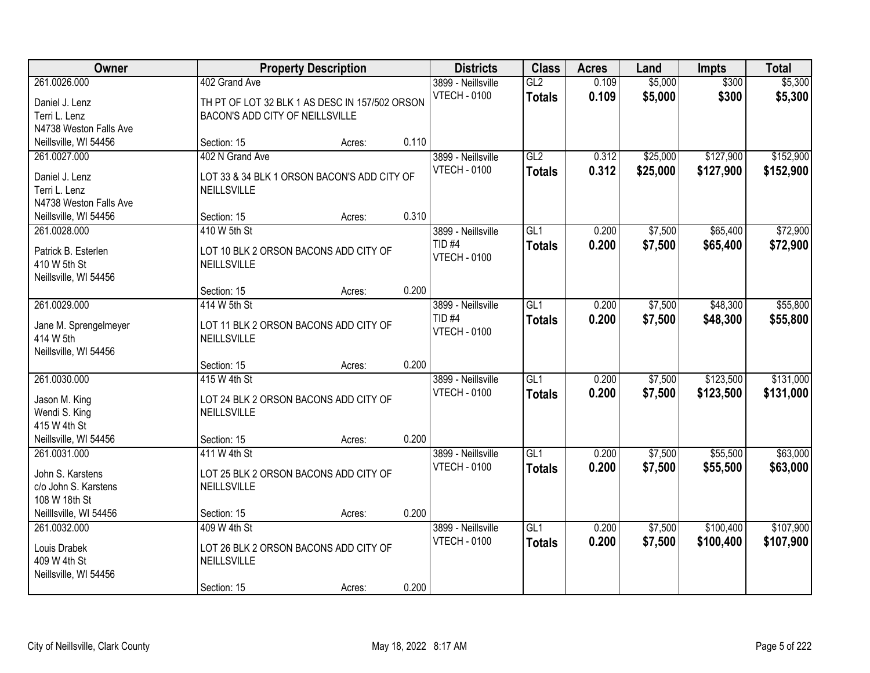| Owner                                                                        |                                                                                                    | <b>Property Description</b> |       | <b>Districts</b>                                               | <b>Class</b>                      | <b>Acres</b>   | Land                 | <b>Impts</b>           | <b>Total</b>           |
|------------------------------------------------------------------------------|----------------------------------------------------------------------------------------------------|-----------------------------|-------|----------------------------------------------------------------|-----------------------------------|----------------|----------------------|------------------------|------------------------|
| 261.0026.000<br>Daniel J. Lenz<br>Terri L. Lenz<br>N4738 Weston Falls Ave    | 402 Grand Ave<br>TH PT OF LOT 32 BLK 1 AS DESC IN 157/502 ORSON<br>BACON'S ADD CITY OF NEILLSVILLE |                             |       | 3899 - Neillsville<br><b>VTECH - 0100</b>                      | GL2<br><b>Totals</b>              | 0.109<br>0.109 | \$5,000<br>\$5,000   | \$300<br>\$300         | \$5,300<br>\$5,300     |
| Neillsville, WI 54456                                                        | Section: 15                                                                                        | Acres:                      | 0.110 |                                                                |                                   |                |                      |                        |                        |
| 261.0027.000<br>Daniel J. Lenz<br>Terri L. Lenz<br>N4738 Weston Falls Ave    | 402 N Grand Ave<br>LOT 33 & 34 BLK 1 ORSON BACON'S ADD CITY OF<br><b>NEILLSVILLE</b>               |                             |       | 3899 - Neillsville<br><b>VTECH - 0100</b>                      | GL2<br><b>Totals</b>              | 0.312<br>0.312 | \$25,000<br>\$25,000 | \$127,900<br>\$127,900 | \$152,900<br>\$152,900 |
| Neillsville, WI 54456                                                        | Section: 15                                                                                        | Acres:                      | 0.310 |                                                                |                                   |                |                      |                        |                        |
| 261.0028.000<br>Patrick B. Esterlen<br>410 W 5th St<br>Neillsville, WI 54456 | 410 W 5th St<br>LOT 10 BLK 2 ORSON BACONS ADD CITY OF<br>NEILLSVILLE                               |                             |       | 3899 - Neillsville<br><b>TID #4</b><br><b>VTECH - 0100</b>     | GL1<br><b>Totals</b>              | 0.200<br>0.200 | \$7,500<br>\$7,500   | \$65,400<br>\$65,400   | \$72,900<br>\$72,900   |
|                                                                              | Section: 15                                                                                        | Acres:                      | 0.200 |                                                                |                                   |                |                      |                        |                        |
| 261.0029.000<br>Jane M. Sprengelmeyer<br>414 W 5th<br>Neillsville, WI 54456  | 414 W 5th St<br>LOT 11 BLK 2 ORSON BACONS ADD CITY OF<br>NEILLSVILLE                               |                             |       | 3899 - Neillsville<br>TID <sub>#4</sub><br><b>VTECH - 0100</b> | $\overline{GL1}$<br><b>Totals</b> | 0.200<br>0.200 | \$7,500<br>\$7,500   | \$48,300<br>\$48,300   | \$55,800<br>\$55,800   |
|                                                                              | Section: 15                                                                                        | Acres:                      | 0.200 |                                                                |                                   |                |                      |                        |                        |
| 261.0030.000<br>Jason M. King<br>Wendi S. King<br>415 W 4th St               | 415 W 4th St<br>LOT 24 BLK 2 ORSON BACONS ADD CITY OF<br>NEILLSVILLE                               |                             |       | 3899 - Neillsville<br><b>VTECH - 0100</b>                      | $\overline{GL1}$<br><b>Totals</b> | 0.200<br>0.200 | \$7,500<br>\$7,500   | \$123,500<br>\$123,500 | \$131,000<br>\$131,000 |
| Neillsville, WI 54456<br>261.0031.000                                        | Section: 15<br>411 W 4th St                                                                        | Acres:                      | 0.200 | 3899 - Neillsville                                             | GL1                               | 0.200          | \$7,500              | \$55,500               | \$63,000               |
| John S. Karstens<br>c/o John S. Karstens<br>108 W 18th St                    | LOT 25 BLK 2 ORSON BACONS ADD CITY OF<br>NEILLSVILLE                                               |                             |       | <b>VTECH - 0100</b>                                            | <b>Totals</b>                     | 0.200          | \$7,500              | \$55,500               | \$63,000               |
| Neilllsville, WI 54456                                                       | Section: 15                                                                                        | Acres:                      | 0.200 |                                                                |                                   |                |                      |                        |                        |
| 261.0032.000<br>Louis Drabek<br>409 W 4th St<br>Neillsville, WI 54456        | 409 W 4th St<br>LOT 26 BLK 2 ORSON BACONS ADD CITY OF<br>NEILLSVILLE<br>Section: 15                | Acres:                      | 0.200 | 3899 - Neillsville<br><b>VTECH - 0100</b>                      | GL1<br><b>Totals</b>              | 0.200<br>0.200 | \$7,500<br>\$7,500   | \$100,400<br>\$100,400 | \$107,900<br>\$107,900 |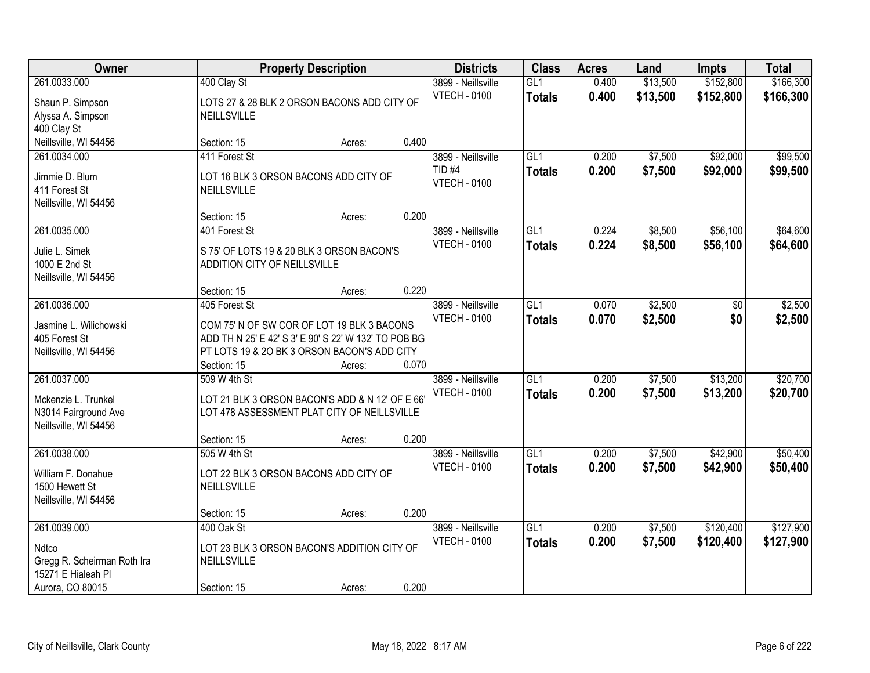| Owner<br><b>Property Description</b>                                                 | <b>Districts</b>                              | <b>Class</b>                                                                                                  | <b>Acres</b> | Land                                                       | Impts                             | <b>Total</b>   |                    |                        |                        |
|--------------------------------------------------------------------------------------|-----------------------------------------------|---------------------------------------------------------------------------------------------------------------|--------------|------------------------------------------------------------|-----------------------------------|----------------|--------------------|------------------------|------------------------|
| 261.0033.000                                                                         | 400 Clay St                                   |                                                                                                               |              | 3899 - Neillsville                                         | GL1                               | 0.400          | \$13,500           | \$152,800              | \$166,300              |
| Shaun P. Simpson<br>Alyssa A. Simpson<br>400 Clay St                                 | <b>NEILLSVILLE</b>                            | LOTS 27 & 28 BLK 2 ORSON BACONS ADD CITY OF                                                                   |              | <b>VTECH - 0100</b>                                        | <b>Totals</b>                     | 0.400          | \$13,500           | \$152,800              | \$166,300              |
| Neillsville, WI 54456                                                                | Section: 15                                   | Acres:                                                                                                        | 0.400        |                                                            |                                   |                |                    |                        |                        |
| 261.0034.000<br>Jimmie D. Blum<br>411 Forest St<br>Neillsville, WI 54456             | 411 Forest St<br>NEILLSVILLE                  | LOT 16 BLK 3 ORSON BACONS ADD CITY OF                                                                         |              | 3899 - Neillsville<br><b>TID #4</b><br><b>VTECH - 0100</b> | GL1<br><b>Totals</b>              | 0.200<br>0.200 | \$7,500<br>\$7,500 | \$92,000<br>\$92,000   | \$99,500<br>\$99,500   |
|                                                                                      | Section: 15                                   | Acres:                                                                                                        | 0.200        |                                                            |                                   |                |                    |                        |                        |
| 261.0035.000<br>Julie L. Simek<br>1000 E 2nd St<br>Neillsville, WI 54456             | 401 Forest St<br>ADDITION CITY OF NEILLSVILLE | S 75' OF LOTS 19 & 20 BLK 3 ORSON BACON'S                                                                     |              | 3899 - Neillsville<br><b>VTECH - 0100</b>                  | GL1<br><b>Totals</b>              | 0.224<br>0.224 | \$8,500<br>\$8,500 | \$56,100<br>\$56,100   | \$64,600<br>\$64,600   |
|                                                                                      | Section: 15                                   | Acres:                                                                                                        | 0.220        |                                                            |                                   |                |                    |                        |                        |
| 261.0036.000<br>Jasmine L. Wilichowski                                               | 405 Forest St                                 | COM 75' N OF SW COR OF LOT 19 BLK 3 BACONS                                                                    |              | 3899 - Neillsville<br><b>VTECH - 0100</b>                  | GL1<br><b>Totals</b>              | 0.070<br>0.070 | \$2,500<br>\$2,500 | \$0<br>\$0             | \$2,500<br>\$2,500     |
| 405 Forest St<br>Neillsville, WI 54456                                               | Section: 15                                   | ADD TH N 25' E 42' S 3' E 90' S 22' W 132' TO POB BG<br>PT LOTS 19 & 20 BK 3 ORSON BACON'S ADD CITY<br>Acres: | 0.070        |                                                            |                                   |                |                    |                        |                        |
| 261.0037.000<br>Mckenzie L. Trunkel<br>N3014 Fairground Ave<br>Neillsville, WI 54456 | 509 W 4th St                                  | LOT 21 BLK 3 ORSON BACON'S ADD & N 12' OF E 66<br>LOT 478 ASSESSMENT PLAT CITY OF NEILLSVILLE                 |              | 3899 - Neillsville<br><b>VTECH - 0100</b>                  | $\overline{GL1}$<br><b>Totals</b> | 0.200<br>0.200 | \$7,500<br>\$7,500 | \$13,200<br>\$13,200   | \$20,700<br>\$20,700   |
| 261.0038.000                                                                         | Section: 15<br>505 W 4th St                   | Acres:                                                                                                        | 0.200        | 3899 - Neillsville                                         | $\overline{GL1}$                  | 0.200          | \$7,500            | \$42,900               | \$50,400               |
| William F. Donahue<br>1500 Hewett St<br>Neillsville, WI 54456                        | NEILLSVILLE                                   | LOT 22 BLK 3 ORSON BACONS ADD CITY OF                                                                         |              | <b>VTECH - 0100</b>                                        | <b>Totals</b>                     | 0.200          | \$7,500            | \$42,900               | \$50,400               |
|                                                                                      | Section: 15                                   | Acres:                                                                                                        | 0.200        |                                                            |                                   |                |                    |                        |                        |
| 261.0039.000<br>Ndtco<br>Gregg R. Scheirman Roth Ira<br>15271 E Hialeah Pl           | 400 Oak St<br>NEILLSVILLE                     | LOT 23 BLK 3 ORSON BACON'S ADDITION CITY OF                                                                   |              | 3899 - Neillsville<br><b>VTECH - 0100</b>                  | GL1<br><b>Totals</b>              | 0.200<br>0.200 | \$7,500<br>\$7,500 | \$120,400<br>\$120,400 | \$127,900<br>\$127,900 |
| Aurora, CO 80015                                                                     | Section: 15                                   | Acres:                                                                                                        | 0.200        |                                                            |                                   |                |                    |                        |                        |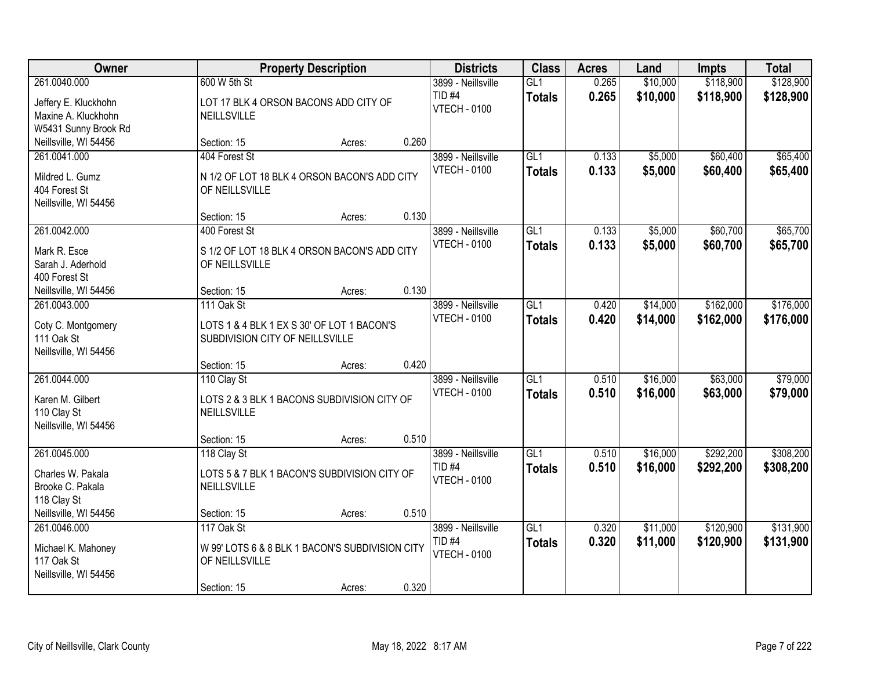| Owner                                                                                         | <b>Property Description</b>                                                                     |        |       | <b>Districts</b>                                               | <b>Class</b>                      | <b>Acres</b>   | Land                 | <b>Impts</b>           | <b>Total</b>           |
|-----------------------------------------------------------------------------------------------|-------------------------------------------------------------------------------------------------|--------|-------|----------------------------------------------------------------|-----------------------------------|----------------|----------------------|------------------------|------------------------|
| 261.0040.000<br>Jeffery E. Kluckhohn<br>Maxine A. Kluckhohn                                   | 600 W 5th St<br>LOT 17 BLK 4 ORSON BACONS ADD CITY OF<br><b>NEILLSVILLE</b>                     |        |       | 3899 - Neillsville<br>TID <sub>#4</sub><br><b>VTECH - 0100</b> | GL1<br><b>Totals</b>              | 0.265<br>0.265 | \$10,000<br>\$10,000 | \$118,900<br>\$118,900 | \$128,900<br>\$128,900 |
| W5431 Sunny Brook Rd<br>Neillsville, WI 54456                                                 | Section: 15                                                                                     | Acres: | 0.260 |                                                                |                                   |                |                      |                        |                        |
| 261.0041.000<br>Mildred L. Gumz<br>404 Forest St<br>Neillsville, WI 54456                     | 404 Forest St<br>N 1/2 OF LOT 18 BLK 4 ORSON BACON'S ADD CITY<br>OF NEILLSVILLE                 |        |       | 3899 - Neillsville<br><b>VTECH - 0100</b>                      | GL1<br><b>Totals</b>              | 0.133<br>0.133 | \$5,000<br>\$5,000   | \$60,400<br>\$60,400   | \$65,400<br>\$65,400   |
|                                                                                               | Section: 15                                                                                     | Acres: | 0.130 |                                                                |                                   |                |                      |                        |                        |
| 261.0042.000<br>Mark R. Esce<br>Sarah J. Aderhold<br>400 Forest St                            | 400 Forest St<br>S 1/2 OF LOT 18 BLK 4 ORSON BACON'S ADD CITY<br>OF NEILLSVILLE                 |        |       | 3899 - Neillsville<br><b>VTECH - 0100</b>                      | GL <sub>1</sub><br><b>Totals</b>  | 0.133<br>0.133 | \$5,000<br>\$5,000   | \$60,700<br>\$60,700   | \$65,700<br>\$65,700   |
| Neillsville, WI 54456                                                                         | Section: 15                                                                                     | Acres: | 0.130 |                                                                |                                   |                |                      |                        |                        |
| 261.0043.000<br>Coty C. Montgomery<br>111 Oak St<br>Neillsville, WI 54456                     | 111 Oak St<br>LOTS 1 & 4 BLK 1 EX S 30' OF LOT 1 BACON'S<br>SUBDIVISION CITY OF NEILLSVILLE     |        |       | 3899 - Neillsville<br><b>VTECH - 0100</b>                      | GL1<br><b>Totals</b>              | 0.420<br>0.420 | \$14,000<br>\$14,000 | \$162,000<br>\$162,000 | \$176,000<br>\$176,000 |
|                                                                                               | Section: 15                                                                                     | Acres: | 0.420 |                                                                |                                   |                |                      |                        |                        |
| 261.0044.000<br>Karen M. Gilbert<br>110 Clay St<br>Neillsville, WI 54456                      | 110 Clay St<br>LOTS 2 & 3 BLK 1 BACONS SUBDIVISION CITY OF<br><b>NEILLSVILLE</b><br>Section: 15 | Acres: | 0.510 | 3899 - Neillsville<br><b>VTECH - 0100</b>                      | GL1<br><b>Totals</b>              | 0.510<br>0.510 | \$16,000<br>\$16,000 | \$63,000<br>\$63,000   | \$79,000<br>\$79,000   |
| 261.0045.000<br>Charles W. Pakala<br>Brooke C. Pakala<br>118 Clay St<br>Neillsville, WI 54456 | 118 Clay St<br>LOTS 5 & 7 BLK 1 BACON'S SUBDIVISION CITY OF<br>NEILLSVILLE<br>Section: 15       | Acres: | 0.510 | 3899 - Neillsville<br>TID <sub>#4</sub><br><b>VTECH - 0100</b> | GL1<br><b>Totals</b>              | 0.510<br>0.510 | \$16,000<br>\$16,000 | \$292,200<br>\$292,200 | \$308,200<br>\$308,200 |
| 261.0046.000<br>Michael K. Mahoney<br>117 Oak St<br>Neillsville, WI 54456                     | 117 Oak St<br>W 99' LOTS 6 & 8 BLK 1 BACON'S SUBDIVISION CITY<br>OF NEILLSVILLE<br>Section: 15  | Acres: | 0.320 | 3899 - Neillsville<br><b>TID #4</b><br><b>VTECH - 0100</b>     | $\overline{GL1}$<br><b>Totals</b> | 0.320<br>0.320 | \$11,000<br>\$11,000 | \$120,900<br>\$120,900 | \$131,900<br>\$131,900 |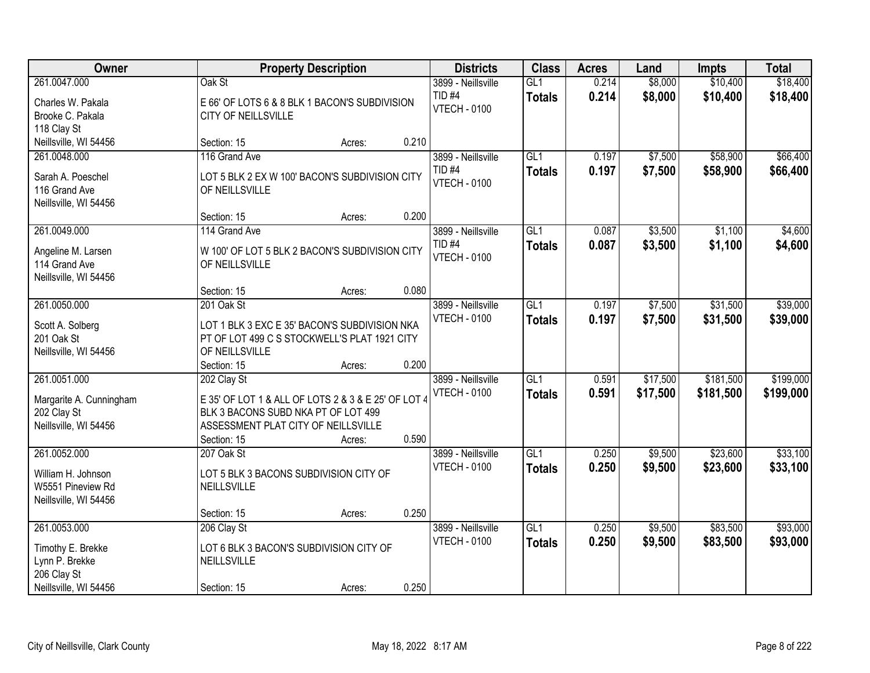| Owner                   |                                                       | <b>Property Description</b> |       | <b>Districts</b>                         | <b>Class</b>     | <b>Acres</b> | Land     | <b>Impts</b> | <b>Total</b> |
|-------------------------|-------------------------------------------------------|-----------------------------|-------|------------------------------------------|------------------|--------------|----------|--------------|--------------|
| 261.0047.000            | Oak St                                                |                             |       | 3899 - Neillsville                       | GL1              | 0.214        | \$8,000  | \$10,400     | \$18,400     |
| Charles W. Pakala       | E 66' OF LOTS 6 & 8 BLK 1 BACON'S SUBDIVISION         |                             |       | TID <sub>#4</sub><br><b>VTECH - 0100</b> | <b>Totals</b>    | 0.214        | \$8,000  | \$10,400     | \$18,400     |
| Brooke C. Pakala        | CITY OF NEILLSVILLE                                   |                             |       |                                          |                  |              |          |              |              |
| 118 Clay St             |                                                       |                             |       |                                          |                  |              |          |              |              |
| Neillsville, WI 54456   | Section: 15                                           | Acres:                      | 0.210 |                                          |                  |              |          |              |              |
| 261.0048.000            | 116 Grand Ave                                         |                             |       | 3899 - Neillsville                       | GL1              | 0.197        | \$7,500  | \$58,900     | \$66,400     |
| Sarah A. Poeschel       | LOT 5 BLK 2 EX W 100' BACON'S SUBDIVISION CITY        |                             |       | TID <sub>#4</sub>                        | <b>Totals</b>    | 0.197        | \$7,500  | \$58,900     | \$66,400     |
| 116 Grand Ave           | OF NEILLSVILLE                                        |                             |       | <b>VTECH - 0100</b>                      |                  |              |          |              |              |
| Neillsville, WI 54456   |                                                       |                             |       |                                          |                  |              |          |              |              |
|                         | Section: 15                                           | Acres:                      | 0.200 |                                          |                  |              |          |              |              |
| 261.0049.000            | 114 Grand Ave                                         |                             |       | 3899 - Neillsville                       | GL1              | 0.087        | \$3,500  | \$1,100      | \$4,600      |
| Angeline M. Larsen      | W 100' OF LOT 5 BLK 2 BACON'S SUBDIVISION CITY        |                             |       | TID <sub>#4</sub>                        | <b>Totals</b>    | 0.087        | \$3,500  | \$1,100      | \$4,600      |
| 114 Grand Ave           | OF NEILLSVILLE                                        |                             |       | <b>VTECH - 0100</b>                      |                  |              |          |              |              |
| Neillsville, WI 54456   |                                                       |                             |       |                                          |                  |              |          |              |              |
|                         | Section: 15                                           | Acres:                      | 0.080 |                                          |                  |              |          |              |              |
| 261.0050.000            | 201 Oak St                                            |                             |       | 3899 - Neillsville                       | GL1              | 0.197        | \$7,500  | \$31,500     | \$39,000     |
|                         |                                                       |                             |       | <b>VTECH - 0100</b>                      | <b>Totals</b>    | 0.197        | \$7,500  | \$31,500     | \$39,000     |
| Scott A. Solberg        | LOT 1 BLK 3 EXC E 35' BACON'S SUBDIVISION NKA         |                             |       |                                          |                  |              |          |              |              |
| 201 Oak St              | PT OF LOT 499 C S STOCKWELL'S PLAT 1921 CITY          |                             |       |                                          |                  |              |          |              |              |
| Neillsville, WI 54456   | OF NEILLSVILLE                                        |                             |       |                                          |                  |              |          |              |              |
|                         | Section: 15                                           | Acres:                      | 0.200 |                                          |                  |              |          |              |              |
| 261.0051.000            | 202 Clay St                                           |                             |       | 3899 - Neillsville                       | $\overline{GL1}$ | 0.591        | \$17,500 | \$181,500    | \$199,000    |
| Margarite A. Cunningham | E 35' OF LOT 1 & ALL OF LOTS 2 & 3 & E 25' OF LOT 4   |                             |       | <b>VTECH - 0100</b>                      | <b>Totals</b>    | 0.591        | \$17,500 | \$181,500    | \$199,000    |
| 202 Clay St             | BLK 3 BACONS SUBD NKA PT OF LOT 499                   |                             |       |                                          |                  |              |          |              |              |
| Neillsville, WI 54456   | ASSESSMENT PLAT CITY OF NEILLSVILLE                   |                             |       |                                          |                  |              |          |              |              |
|                         | Section: 15                                           | Acres:                      | 0.590 |                                          |                  |              |          |              |              |
| 261.0052.000            | 207 Oak St                                            |                             |       | 3899 - Neillsville                       | GL1              | 0.250        | \$9,500  | \$23,600     | \$33,100     |
| William H. Johnson      |                                                       |                             |       | <b>VTECH - 0100</b>                      | <b>Totals</b>    | 0.250        | \$9,500  | \$23,600     | \$33,100     |
| W5551 Pineview Rd       | LOT 5 BLK 3 BACONS SUBDIVISION CITY OF<br>NEILLSVILLE |                             |       |                                          |                  |              |          |              |              |
| Neillsville, WI 54456   |                                                       |                             |       |                                          |                  |              |          |              |              |
|                         | Section: 15                                           | Acres:                      | 0.250 |                                          |                  |              |          |              |              |
| 261.0053.000            | 206 Clay St                                           |                             |       | 3899 - Neillsville                       | GL1              | 0.250        | \$9,500  | \$83,500     | \$93,000     |
|                         |                                                       |                             |       | <b>VTECH - 0100</b>                      |                  | 0.250        |          |              |              |
| Timothy E. Brekke       | LOT 6 BLK 3 BACON'S SUBDIVISION CITY OF               |                             |       |                                          | <b>Totals</b>    |              | \$9,500  | \$83,500     | \$93,000     |
| Lynn P. Brekke          | NEILLSVILLE                                           |                             |       |                                          |                  |              |          |              |              |
| 206 Clay St             |                                                       |                             |       |                                          |                  |              |          |              |              |
| Neillsville, WI 54456   | Section: 15                                           | Acres:                      | 0.250 |                                          |                  |              |          |              |              |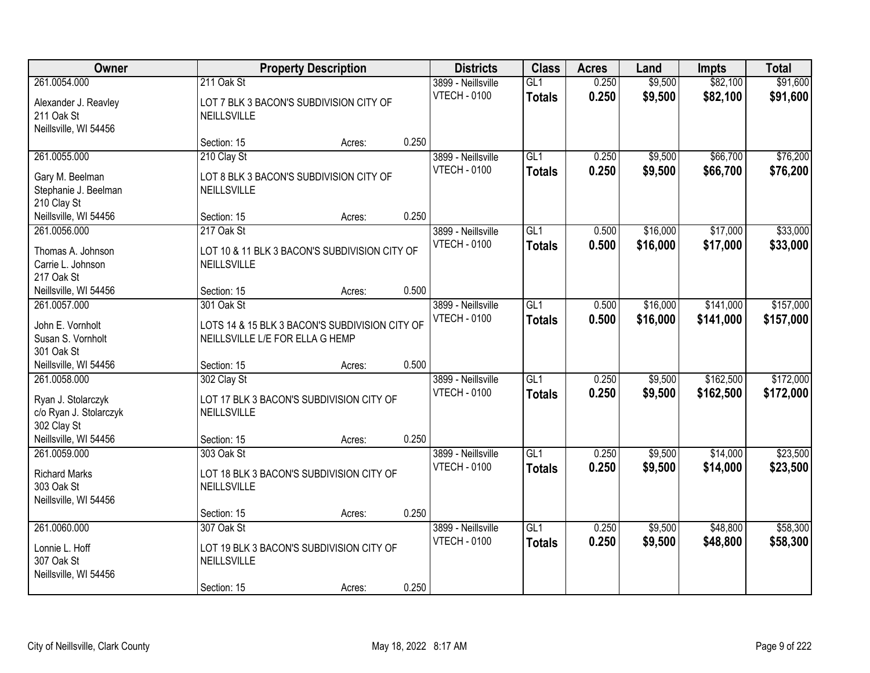| Owner<br><b>Property Description</b>                                        | <b>Districts</b>                                                                                | <b>Class</b> | <b>Acres</b> | Land                                      | <b>Impts</b>                      | <b>Total</b>   |                      |                        |                        |
|-----------------------------------------------------------------------------|-------------------------------------------------------------------------------------------------|--------------|--------------|-------------------------------------------|-----------------------------------|----------------|----------------------|------------------------|------------------------|
| 261.0054.000<br>Alexander J. Reavley<br>211 Oak St                          | 211 Oak St<br>LOT 7 BLK 3 BACON'S SUBDIVISION CITY OF<br>NEILLSVILLE                            |              |              | 3899 - Neillsville<br><b>VTECH - 0100</b> | GL1<br><b>Totals</b>              | 0.250<br>0.250 | \$9,500<br>\$9,500   | \$82,100<br>\$82,100   | \$91,600<br>\$91,600   |
| Neillsville, WI 54456                                                       | Section: 15                                                                                     | Acres:       | 0.250        |                                           |                                   |                |                      |                        |                        |
| 261.0055.000<br>Gary M. Beelman<br>Stephanie J. Beelman                     | 210 Clay St<br>LOT 8 BLK 3 BACON'S SUBDIVISION CITY OF<br>NEILLSVILLE                           |              |              | 3899 - Neillsville<br><b>VTECH - 0100</b> | GL1<br><b>Totals</b>              | 0.250<br>0.250 | \$9,500<br>\$9,500   | \$66,700<br>\$66,700   | \$76,200<br>\$76,200   |
| 210 Clay St<br>Neillsville, WI 54456                                        | Section: 15                                                                                     | Acres:       | 0.250        |                                           |                                   |                |                      |                        |                        |
| 261.0056.000<br>Thomas A. Johnson<br>Carrie L. Johnson<br>217 Oak St        | 217 Oak St<br>LOT 10 & 11 BLK 3 BACON'S SUBDIVISION CITY OF<br>NEILLSVILLE                      |              |              | 3899 - Neillsville<br><b>VTECH - 0100</b> | GL1<br><b>Totals</b>              | 0.500<br>0.500 | \$16,000<br>\$16,000 | \$17,000<br>\$17,000   | \$33,000<br>\$33,000   |
| Neillsville, WI 54456                                                       | Section: 15                                                                                     | Acres:       | 0.500        |                                           |                                   |                |                      |                        |                        |
| 261.0057.000<br>John E. Vornholt<br>Susan S. Vornholt<br>301 Oak St         | 301 Oak St<br>LOTS 14 & 15 BLK 3 BACON'S SUBDIVISION CITY OF<br>NEILLSVILLE L/E FOR ELLA G HEMP |              |              | 3899 - Neillsville<br><b>VTECH - 0100</b> | GL1<br><b>Totals</b>              | 0.500<br>0.500 | \$16,000<br>\$16,000 | \$141,000<br>\$141,000 | \$157,000<br>\$157,000 |
| Neillsville, WI 54456                                                       | Section: 15                                                                                     | Acres:       | 0.500        |                                           |                                   |                |                      |                        |                        |
| 261.0058.000<br>Ryan J. Stolarczyk<br>c/o Ryan J. Stolarczyk<br>302 Clay St | 302 Clay St<br>LOT 17 BLK 3 BACON'S SUBDIVISION CITY OF<br>NEILLSVILLE                          |              |              | 3899 - Neillsville<br><b>VTECH - 0100</b> | $\overline{GL1}$<br><b>Totals</b> | 0.250<br>0.250 | \$9,500<br>\$9,500   | \$162,500<br>\$162,500 | \$172,000<br>\$172,000 |
| Neillsville, WI 54456<br>261.0059.000                                       | Section: 15<br>303 Oak St                                                                       | Acres:       | 0.250        | 3899 - Neillsville                        | $\overline{GL1}$                  | 0.250          | \$9,500              | \$14,000               | \$23,500               |
| <b>Richard Marks</b><br>303 Oak St<br>Neillsville, WI 54456                 | LOT 18 BLK 3 BACON'S SUBDIVISION CITY OF<br>NEILLSVILLE                                         |              |              | <b>VTECH - 0100</b>                       | <b>Totals</b>                     | 0.250          | \$9,500              | \$14,000               | \$23,500               |
|                                                                             | Section: 15                                                                                     | Acres:       | 0.250        |                                           |                                   |                |                      |                        |                        |
| 261.0060.000<br>Lonnie L. Hoff<br>307 Oak St<br>Neillsville, WI 54456       | 307 Oak St<br>LOT 19 BLK 3 BACON'S SUBDIVISION CITY OF<br>NEILLSVILLE<br>Section: 15            | Acres:       | 0.250        | 3899 - Neillsville<br><b>VTECH - 0100</b> | GL1<br><b>Totals</b>              | 0.250<br>0.250 | \$9,500<br>\$9,500   | \$48,800<br>\$48,800   | \$58,300<br>\$58,300   |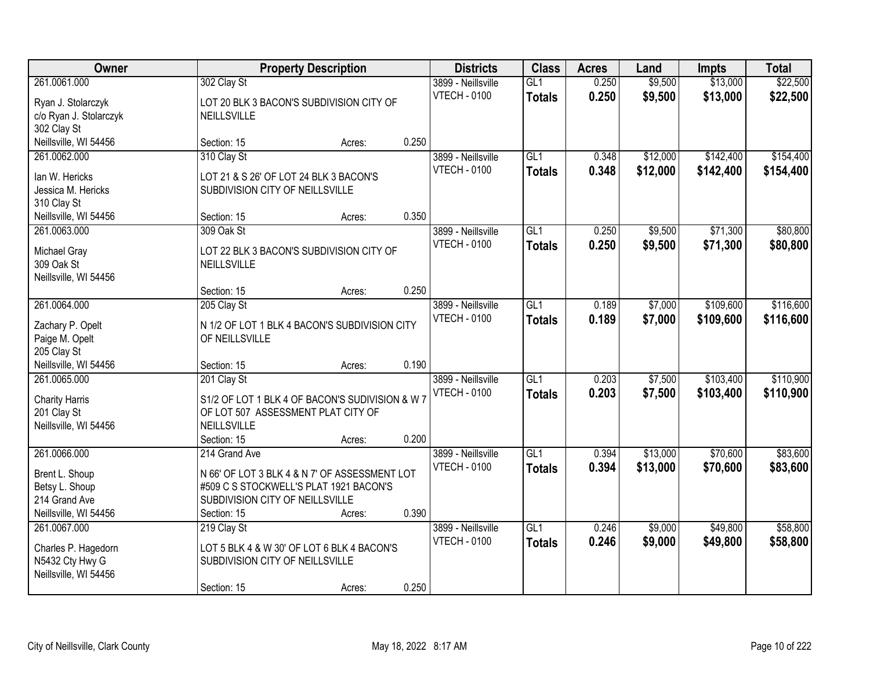| Owner<br><b>Property Description</b> | <b>Districts</b>                                                          | <b>Class</b> | <b>Acres</b> | Land                                      | <b>Impts</b>         | <b>Total</b>   |                    |                      |                      |
|--------------------------------------|---------------------------------------------------------------------------|--------------|--------------|-------------------------------------------|----------------------|----------------|--------------------|----------------------|----------------------|
| 261.0061.000                         | 302 Clay St                                                               |              |              | 3899 - Neillsville<br><b>VTECH - 0100</b> | GL1<br><b>Totals</b> | 0.250<br>0.250 | \$9,500<br>\$9,500 | \$13,000<br>\$13,000 | \$22,500<br>\$22,500 |
| Ryan J. Stolarczyk                   | LOT 20 BLK 3 BACON'S SUBDIVISION CITY OF                                  |              |              |                                           |                      |                |                    |                      |                      |
| c/o Ryan J. Stolarczyk               | <b>NEILLSVILLE</b>                                                        |              |              |                                           |                      |                |                    |                      |                      |
| 302 Clay St<br>Neillsville, WI 54456 | Section: 15                                                               |              | 0.250        |                                           |                      |                |                    |                      |                      |
| 261.0062.000                         | 310 Clay St                                                               | Acres:       |              | 3899 - Neillsville                        | GL1                  | 0.348          | \$12,000           | \$142,400            | \$154,400            |
|                                      |                                                                           |              |              | <b>VTECH - 0100</b>                       | <b>Totals</b>        | 0.348          | \$12,000           | \$142,400            | \$154,400            |
| lan W. Hericks                       | LOT 21 & S 26' OF LOT 24 BLK 3 BACON'S                                    |              |              |                                           |                      |                |                    |                      |                      |
| Jessica M. Hericks                   | SUBDIVISION CITY OF NEILLSVILLE                                           |              |              |                                           |                      |                |                    |                      |                      |
| 310 Clay St                          |                                                                           |              |              |                                           |                      |                |                    |                      |                      |
| Neillsville, WI 54456                | Section: 15                                                               | Acres:       | 0.350        |                                           |                      |                |                    |                      |                      |
| 261.0063.000                         | 309 Oak St                                                                |              |              | 3899 - Neillsville                        | GL1                  | 0.250          | \$9,500            | \$71,300             | \$80,800             |
| Michael Gray                         | LOT 22 BLK 3 BACON'S SUBDIVISION CITY OF                                  |              |              | <b>VTECH - 0100</b>                       | <b>Totals</b>        | 0.250          | \$9,500            | \$71,300             | \$80,800             |
| 309 Oak St                           | <b>NEILLSVILLE</b>                                                        |              |              |                                           |                      |                |                    |                      |                      |
| Neillsville, WI 54456                |                                                                           |              |              |                                           |                      |                |                    |                      |                      |
|                                      | Section: 15                                                               | Acres:       | 0.250        |                                           |                      |                |                    |                      |                      |
| 261.0064.000                         | 205 Clay St                                                               |              |              | 3899 - Neillsville                        | GL1                  | 0.189          | \$7,000            | \$109,600            | \$116,600            |
| Zachary P. Opelt                     | N 1/2 OF LOT 1 BLK 4 BACON'S SUBDIVISION CITY                             |              |              | <b>VTECH - 0100</b>                       | <b>Totals</b>        | 0.189          | \$7,000            | \$109,600            | \$116,600            |
| Paige M. Opelt                       | OF NEILLSVILLE                                                            |              |              |                                           |                      |                |                    |                      |                      |
| 205 Clay St                          |                                                                           |              |              |                                           |                      |                |                    |                      |                      |
| Neillsville, WI 54456                | Section: 15                                                               | Acres:       | 0.190        |                                           |                      |                |                    |                      |                      |
| 261.0065.000                         | 201 Clay St                                                               |              |              | 3899 - Neillsville                        | $\overline{GL1}$     | 0.203          | \$7,500            | \$103,400            | \$110,900            |
| <b>Charity Harris</b>                | S1/2 OF LOT 1 BLK 4 OF BACON'S SUDIVISION & W 7                           |              |              | <b>VTECH - 0100</b>                       | <b>Totals</b>        | 0.203          | \$7,500            | \$103,400            | \$110,900            |
| 201 Clay St                          | OF LOT 507 ASSESSMENT PLAT CITY OF                                        |              |              |                                           |                      |                |                    |                      |                      |
| Neillsville, WI 54456                | <b>NEILLSVILLE</b>                                                        |              |              |                                           |                      |                |                    |                      |                      |
|                                      | Section: 15                                                               | Acres:       | 0.200        |                                           |                      |                |                    |                      |                      |
| 261.0066.000                         | 214 Grand Ave                                                             |              |              | 3899 - Neillsville                        | GL1                  | 0.394          | \$13,000           | \$70,600             | \$83,600             |
|                                      |                                                                           |              |              | <b>VTECH - 0100</b>                       | <b>Totals</b>        | 0.394          | \$13,000           | \$70,600             | \$83,600             |
| Brent L. Shoup                       | N 66' OF LOT 3 BLK 4 & N 7' OF ASSESSMENT LOT                             |              |              |                                           |                      |                |                    |                      |                      |
| Betsy L. Shoup<br>214 Grand Ave      | #509 C S STOCKWELL'S PLAT 1921 BACON'S<br>SUBDIVISION CITY OF NEILLSVILLE |              |              |                                           |                      |                |                    |                      |                      |
| Neillsville, WI 54456                | Section: 15                                                               | Acres:       | 0.390        |                                           |                      |                |                    |                      |                      |
| 261.0067.000                         | 219 Clay St                                                               |              |              | 3899 - Neillsville                        | GL1                  | 0.246          | \$9,000            | \$49,800             | \$58,800             |
|                                      |                                                                           |              |              | <b>VTECH - 0100</b>                       | <b>Totals</b>        | 0.246          | \$9,000            | \$49,800             | \$58,800             |
| Charles P. Hagedorn                  | LOT 5 BLK 4 & W 30' OF LOT 6 BLK 4 BACON'S                                |              |              |                                           |                      |                |                    |                      |                      |
| N5432 Cty Hwy G                      | SUBDIVISION CITY OF NEILLSVILLE                                           |              |              |                                           |                      |                |                    |                      |                      |
| Neillsville, WI 54456                |                                                                           |              |              |                                           |                      |                |                    |                      |                      |
|                                      | Section: 15                                                               | Acres:       | 0.250        |                                           |                      |                |                    |                      |                      |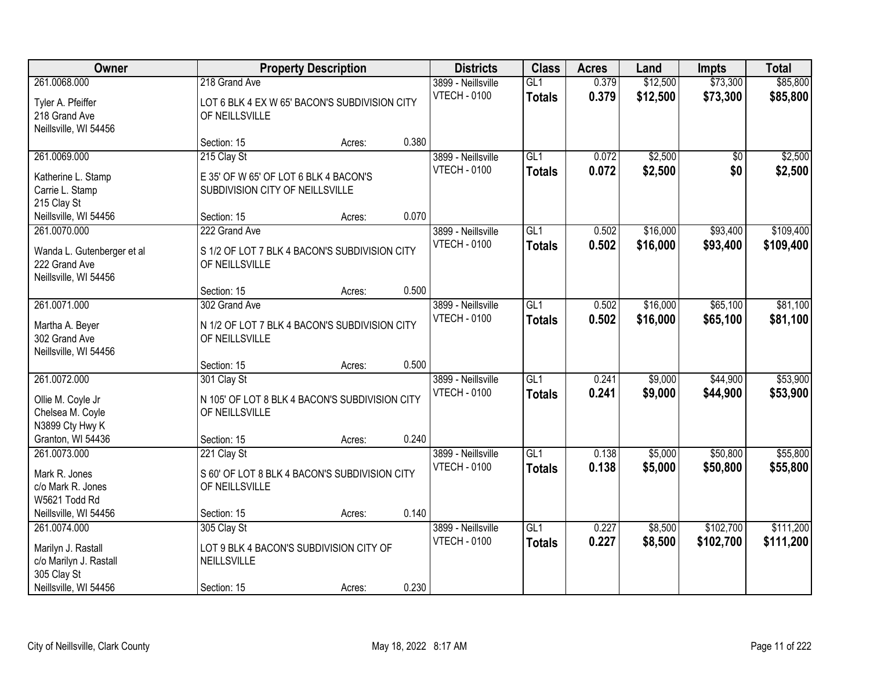| Owner                      | <b>Property Description</b>                    | <b>Districts</b> | <b>Class</b> | <b>Acres</b>        | Land             | <b>Impts</b> | <b>Total</b> |           |           |
|----------------------------|------------------------------------------------|------------------|--------------|---------------------|------------------|--------------|--------------|-----------|-----------|
| 261.0068.000               | 218 Grand Ave                                  |                  |              | 3899 - Neillsville  | GL1              | 0.379        | \$12,500     | \$73,300  | \$85,800  |
| Tyler A. Pfeiffer          | LOT 6 BLK 4 EX W 65' BACON'S SUBDIVISION CITY  |                  |              | <b>VTECH - 0100</b> | <b>Totals</b>    | 0.379        | \$12,500     | \$73,300  | \$85,800  |
| 218 Grand Ave              | OF NEILLSVILLE                                 |                  |              |                     |                  |              |              |           |           |
| Neillsville, WI 54456      |                                                |                  |              |                     |                  |              |              |           |           |
|                            | Section: 15                                    | Acres:           | 0.380        |                     |                  |              |              |           |           |
| 261.0069.000               | 215 Clay St                                    |                  |              | 3899 - Neillsville  | GL1              | 0.072        | \$2,500      | \$0       | \$2,500   |
| Katherine L. Stamp         | E 35' OF W 65' OF LOT 6 BLK 4 BACON'S          |                  |              | <b>VTECH - 0100</b> | <b>Totals</b>    | 0.072        | \$2,500      | \$0       | \$2,500   |
| Carrie L. Stamp            | SUBDIVISION CITY OF NEILLSVILLE                |                  |              |                     |                  |              |              |           |           |
| 215 Clay St                |                                                |                  |              |                     |                  |              |              |           |           |
| Neillsville, WI 54456      | Section: 15                                    | Acres:           | 0.070        |                     |                  |              |              |           |           |
| 261.0070.000               | 222 Grand Ave                                  |                  |              | 3899 - Neillsville  | GL1              | 0.502        | \$16,000     | \$93,400  | \$109,400 |
| Wanda L. Gutenberger et al | S 1/2 OF LOT 7 BLK 4 BACON'S SUBDIVISION CITY  |                  |              | <b>VTECH - 0100</b> | <b>Totals</b>    | 0.502        | \$16,000     | \$93,400  | \$109,400 |
| 222 Grand Ave              | OF NEILLSVILLE                                 |                  |              |                     |                  |              |              |           |           |
| Neillsville, WI 54456      |                                                |                  |              |                     |                  |              |              |           |           |
|                            | Section: 15                                    | Acres:           | 0.500        |                     |                  |              |              |           |           |
| 261.0071.000               | 302 Grand Ave                                  |                  |              | 3899 - Neillsville  | GL1              | 0.502        | \$16,000     | \$65,100  | \$81,100  |
| Martha A. Beyer            | N 1/2 OF LOT 7 BLK 4 BACON'S SUBDIVISION CITY  |                  |              | <b>VTECH - 0100</b> | <b>Totals</b>    | 0.502        | \$16,000     | \$65,100  | \$81,100  |
| 302 Grand Ave              | OF NEILLSVILLE                                 |                  |              |                     |                  |              |              |           |           |
| Neillsville, WI 54456      |                                                |                  |              |                     |                  |              |              |           |           |
|                            | Section: 15                                    | Acres:           | 0.500        |                     |                  |              |              |           |           |
| 261.0072.000               | 301 Clay St                                    |                  |              | 3899 - Neillsville  | $\overline{GL1}$ | 0.241        | \$9,000      | \$44,900  | \$53,900  |
| Ollie M. Coyle Jr          | N 105' OF LOT 8 BLK 4 BACON'S SUBDIVISION CITY |                  |              | <b>VTECH - 0100</b> | <b>Totals</b>    | 0.241        | \$9,000      | \$44,900  | \$53,900  |
| Chelsea M. Coyle           | OF NEILLSVILLE                                 |                  |              |                     |                  |              |              |           |           |
| N3899 Cty Hwy K            |                                                |                  |              |                     |                  |              |              |           |           |
| Granton, WI 54436          | Section: 15                                    | Acres:           | 0.240        |                     |                  |              |              |           |           |
| 261.0073.000               | 221 Clay St                                    |                  |              | 3899 - Neillsville  | GL1              | 0.138        | \$5,000      | \$50,800  | \$55,800  |
| Mark R. Jones              | S 60' OF LOT 8 BLK 4 BACON'S SUBDIVISION CITY  |                  |              | <b>VTECH - 0100</b> | <b>Totals</b>    | 0.138        | \$5,000      | \$50,800  | \$55,800  |
| c/o Mark R. Jones          | OF NEILLSVILLE                                 |                  |              |                     |                  |              |              |           |           |
| W5621 Todd Rd              |                                                |                  |              |                     |                  |              |              |           |           |
| Neillsville, WI 54456      | Section: 15                                    | Acres:           | 0.140        |                     |                  |              |              |           |           |
| 261.0074.000               | 305 Clay St                                    |                  |              | 3899 - Neillsville  | GL1              | 0.227        | \$8,500      | \$102,700 | \$111,200 |
| Marilyn J. Rastall         | LOT 9 BLK 4 BACON'S SUBDIVISION CITY OF        |                  |              | <b>VTECH - 0100</b> | <b>Totals</b>    | 0.227        | \$8,500      | \$102,700 | \$111,200 |
| c/o Marilyn J. Rastall     | NEILLSVILLE                                    |                  |              |                     |                  |              |              |           |           |
| 305 Clay St                |                                                |                  |              |                     |                  |              |              |           |           |
| Neillsville, WI 54456      | Section: 15                                    | Acres:           | 0.230        |                     |                  |              |              |           |           |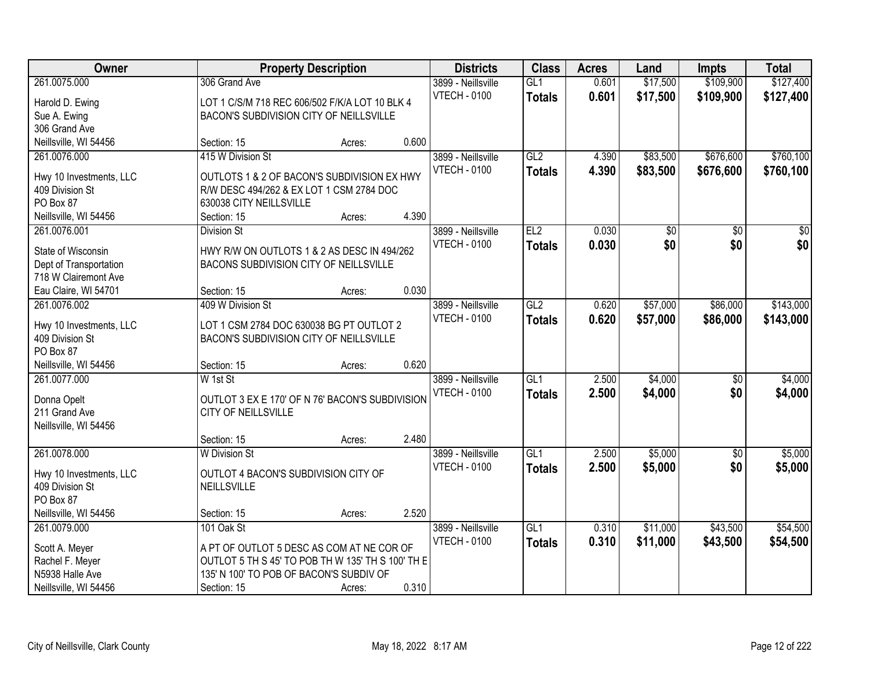| Owner                                      |                                                   | <b>Property Description</b> |       | <b>Districts</b>    | <b>Class</b>     | <b>Acres</b> | Land            | <b>Impts</b>    | <b>Total</b>    |
|--------------------------------------------|---------------------------------------------------|-----------------------------|-------|---------------------|------------------|--------------|-----------------|-----------------|-----------------|
| 261.0075.000                               | 306 Grand Ave                                     |                             |       | 3899 - Neillsville  | GL1              | 0.601        | \$17,500        | \$109,900       | \$127,400       |
| Harold D. Ewing                            | LOT 1 C/S/M 718 REC 606/502 F/K/A LOT 10 BLK 4    |                             |       | <b>VTECH - 0100</b> | <b>Totals</b>    | 0.601        | \$17,500        | \$109,900       | \$127,400       |
| Sue A. Ewing                               | BACON'S SUBDIVISION CITY OF NEILLSVILLE           |                             |       |                     |                  |              |                 |                 |                 |
| 306 Grand Ave                              |                                                   |                             |       |                     |                  |              |                 |                 |                 |
| Neillsville, WI 54456                      | Section: 15                                       | Acres:                      | 0.600 |                     |                  |              |                 |                 |                 |
| 261.0076.000                               | 415 W Division St                                 |                             |       | 3899 - Neillsville  | GL2              | 4.390        | \$83,500        | \$676,600       | \$760,100       |
|                                            |                                                   |                             |       | <b>VTECH - 0100</b> | <b>Totals</b>    | 4.390        | \$83,500        | \$676,600       | \$760,100       |
| Hwy 10 Investments, LLC                    | OUTLOTS 1 & 2 OF BACON'S SUBDIVISION EX HWY       |                             |       |                     |                  |              |                 |                 |                 |
| 409 Division St                            | R/W DESC 494/262 & EX LOT 1 CSM 2784 DOC          |                             |       |                     |                  |              |                 |                 |                 |
| PO Box 87                                  | 630038 CITY NEILLSVILLE                           |                             |       |                     |                  |              |                 |                 |                 |
| Neillsville, WI 54456                      | Section: 15                                       | Acres:                      | 4.390 |                     |                  |              |                 |                 |                 |
| 261.0076.001                               | <b>Division St</b>                                |                             |       | 3899 - Neillsville  | E2               | 0.030        | $\overline{50}$ | $\sqrt[6]{}$    | $\overline{30}$ |
| State of Wisconsin                         | HWY R/W ON OUTLOTS 1 & 2 AS DESC IN 494/262       |                             |       | <b>VTECH - 0100</b> | <b>Totals</b>    | 0.030        | \$0             | \$0             | \$0             |
| Dept of Transportation                     | BACONS SUBDIVISION CITY OF NEILLSVILLE            |                             |       |                     |                  |              |                 |                 |                 |
| 718 W Clairemont Ave                       |                                                   |                             |       |                     |                  |              |                 |                 |                 |
| Eau Claire, WI 54701                       | Section: 15                                       | Acres:                      | 0.030 |                     |                  |              |                 |                 |                 |
| 261.0076.002                               | 409 W Division St                                 |                             |       | 3899 - Neillsville  | GL2              | 0.620        | \$57,000        | \$86,000        | \$143,000       |
|                                            |                                                   |                             |       | <b>VTECH - 0100</b> | <b>Totals</b>    | 0.620        | \$57,000        | \$86,000        | \$143,000       |
| Hwy 10 Investments, LLC                    | LOT 1 CSM 2784 DOC 630038 BG PT OUTLOT 2          |                             |       |                     |                  |              |                 |                 |                 |
| 409 Division St                            | BACON'S SUBDIVISION CITY OF NEILLSVILLE           |                             |       |                     |                  |              |                 |                 |                 |
| PO Box 87                                  |                                                   |                             |       |                     |                  |              |                 |                 |                 |
| Neillsville, WI 54456                      | Section: 15                                       | Acres:                      | 0.620 |                     |                  |              |                 |                 |                 |
| 261.0077.000                               | W 1st St                                          |                             |       | 3899 - Neillsville  | $\overline{GL1}$ | 2.500        | \$4,000         | \$0             | \$4,000         |
| Donna Opelt                                | OUTLOT 3 EX E 170' OF N 76' BACON'S SUBDIVISION   |                             |       | <b>VTECH - 0100</b> | <b>Totals</b>    | 2.500        | \$4,000         | \$0             | \$4,000         |
| 211 Grand Ave                              | CITY OF NEILLSVILLE                               |                             |       |                     |                  |              |                 |                 |                 |
| Neillsville, WI 54456                      |                                                   |                             |       |                     |                  |              |                 |                 |                 |
|                                            | Section: 15                                       | Acres:                      | 2.480 |                     |                  |              |                 |                 |                 |
| 261.0078.000                               | <b>W</b> Division St                              |                             |       | 3899 - Neillsville  | GL1              | 2.500        | \$5,000         | $\overline{50}$ | \$5,000         |
|                                            | OUTLOT 4 BACON'S SUBDIVISION CITY OF              |                             |       | <b>VTECH - 0100</b> | <b>Totals</b>    | 2.500        | \$5,000         | \$0             | \$5,000         |
| Hwy 10 Investments, LLC<br>409 Division St | NEILLSVILLE                                       |                             |       |                     |                  |              |                 |                 |                 |
| PO Box 87                                  |                                                   |                             |       |                     |                  |              |                 |                 |                 |
| Neillsville, WI 54456                      |                                                   |                             | 2.520 |                     |                  |              |                 |                 |                 |
|                                            | Section: 15                                       | Acres:                      |       |                     |                  |              |                 |                 |                 |
| 261.0079.000                               | 101 Oak St                                        |                             |       | 3899 - Neillsville  | GL1              | 0.310        | \$11,000        | \$43,500        | \$54,500        |
| Scott A. Meyer                             | A PT OF OUTLOT 5 DESC AS COM AT NE COR OF         |                             |       | <b>VTECH - 0100</b> | <b>Totals</b>    | 0.310        | \$11,000        | \$43,500        | \$54,500        |
| Rachel F. Meyer                            | OUTLOT 5 TH S 45' TO POB TH W 135' TH S 100' TH E |                             |       |                     |                  |              |                 |                 |                 |
| N5938 Halle Ave                            | 135' N 100' TO POB OF BACON'S SUBDIV OF           |                             |       |                     |                  |              |                 |                 |                 |
| Neillsville, WI 54456                      | Section: 15                                       | Acres:                      | 0.310 |                     |                  |              |                 |                 |                 |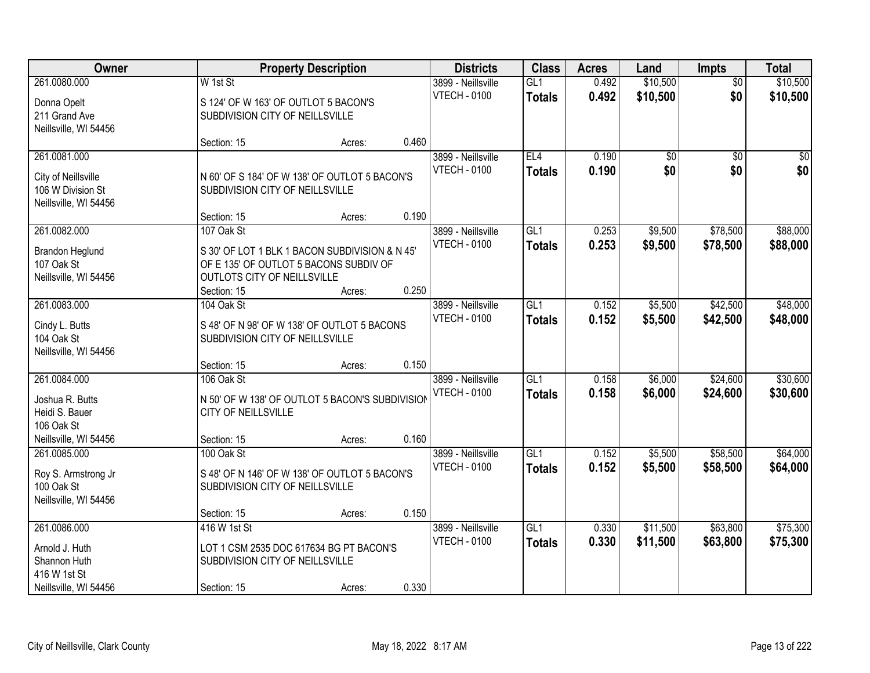| Owner                 |                                                 | <b>Property Description</b> |       | <b>Districts</b>    | <b>Class</b>    | <b>Acres</b> | Land            | <b>Impts</b>    | <b>Total</b> |
|-----------------------|-------------------------------------------------|-----------------------------|-------|---------------------|-----------------|--------------|-----------------|-----------------|--------------|
| 261.0080.000          | W 1st St                                        |                             |       | 3899 - Neillsville  | GL1             | 0.492        | \$10,500        | \$0             | \$10,500     |
| Donna Opelt           | S 124' OF W 163' OF OUTLOT 5 BACON'S            |                             |       | <b>VTECH - 0100</b> | <b>Totals</b>   | 0.492        | \$10,500        | \$0             | \$10,500     |
| 211 Grand Ave         | SUBDIVISION CITY OF NEILLSVILLE                 |                             |       |                     |                 |              |                 |                 |              |
| Neillsville, WI 54456 |                                                 |                             |       |                     |                 |              |                 |                 |              |
|                       | Section: 15                                     | Acres:                      | 0.460 |                     |                 |              |                 |                 |              |
| 261.0081.000          |                                                 |                             |       | 3899 - Neillsville  | EL4             | 0.190        | $\overline{50}$ | $\overline{50}$ | \$0          |
| City of Neillsville   | N 60' OF S 184' OF W 138' OF OUTLOT 5 BACON'S   |                             |       | <b>VTECH - 0100</b> | <b>Totals</b>   | 0.190        | \$0             | \$0             | \$0          |
| 106 W Division St     | SUBDIVISION CITY OF NEILLSVILLE                 |                             |       |                     |                 |              |                 |                 |              |
| Neillsville, WI 54456 |                                                 |                             |       |                     |                 |              |                 |                 |              |
|                       | Section: 15                                     | Acres:                      | 0.190 |                     |                 |              |                 |                 |              |
| 261.0082.000          | 107 Oak St                                      |                             |       | 3899 - Neillsville  | GL <sub>1</sub> | 0.253        | \$9,500         | \$78,500        | \$88,000     |
| Brandon Heglund       | S 30' OF LOT 1 BLK 1 BACON SUBDIVISION & N 45'  |                             |       | <b>VTECH - 0100</b> | <b>Totals</b>   | 0.253        | \$9,500         | \$78,500        | \$88,000     |
| 107 Oak St            | OF E 135' OF OUTLOT 5 BACONS SUBDIV OF          |                             |       |                     |                 |              |                 |                 |              |
| Neillsville, WI 54456 | OUTLOTS CITY OF NEILLSVILLE                     |                             |       |                     |                 |              |                 |                 |              |
|                       | Section: 15                                     | Acres:                      | 0.250 |                     |                 |              |                 |                 |              |
| 261.0083.000          | 104 Oak St                                      |                             |       | 3899 - Neillsville  | GL1             | 0.152        | \$5,500         | \$42,500        | \$48,000     |
| Cindy L. Butts        | S 48' OF N 98' OF W 138' OF OUTLOT 5 BACONS     |                             |       | <b>VTECH - 0100</b> | <b>Totals</b>   | 0.152        | \$5,500         | \$42,500        | \$48,000     |
| 104 Oak St            | SUBDIVISION CITY OF NEILLSVILLE                 |                             |       |                     |                 |              |                 |                 |              |
| Neillsville, WI 54456 |                                                 |                             |       |                     |                 |              |                 |                 |              |
|                       | Section: 15                                     | Acres:                      | 0.150 |                     |                 |              |                 |                 |              |
| 261.0084.000          | 106 Oak St                                      |                             |       | 3899 - Neillsville  | GL1             | 0.158        | \$6,000         | \$24,600        | \$30,600     |
| Joshua R. Butts       | N 50' OF W 138' OF OUTLOT 5 BACON'S SUBDIVISION |                             |       | <b>VTECH - 0100</b> | <b>Totals</b>   | 0.158        | \$6,000         | \$24,600        | \$30,600     |
| Heidi S. Bauer        | <b>CITY OF NEILLSVILLE</b>                      |                             |       |                     |                 |              |                 |                 |              |
| 106 Oak St            |                                                 |                             |       |                     |                 |              |                 |                 |              |
| Neillsville, WI 54456 | Section: 15                                     | Acres:                      | 0.160 |                     |                 |              |                 |                 |              |
| 261.0085.000          | 100 Oak St                                      |                             |       | 3899 - Neillsville  | GL <sub>1</sub> | 0.152        | \$5,500         | \$58,500        | \$64,000     |
| Roy S. Armstrong Jr   | S 48' OF N 146' OF W 138' OF OUTLOT 5 BACON'S   |                             |       | <b>VTECH - 0100</b> | <b>Totals</b>   | 0.152        | \$5,500         | \$58,500        | \$64,000     |
| 100 Oak St            | SUBDIVISION CITY OF NEILLSVILLE                 |                             |       |                     |                 |              |                 |                 |              |
| Neillsville, WI 54456 |                                                 |                             |       |                     |                 |              |                 |                 |              |
|                       | Section: 15                                     | Acres:                      | 0.150 |                     |                 |              |                 |                 |              |
| 261.0086.000          | 416 W 1st St                                    |                             |       | 3899 - Neillsville  | GL1             | 0.330        | \$11,500        | \$63,800        | \$75,300     |
| Arnold J. Huth        | LOT 1 CSM 2535 DOC 617634 BG PT BACON'S         |                             |       | <b>VTECH - 0100</b> | <b>Totals</b>   | 0.330        | \$11,500        | \$63,800        | \$75,300     |
| Shannon Huth          | SUBDIVISION CITY OF NEILLSVILLE                 |                             |       |                     |                 |              |                 |                 |              |
| 416 W 1st St          |                                                 |                             |       |                     |                 |              |                 |                 |              |
| Neillsville, WI 54456 | Section: 15                                     | Acres:                      | 0.330 |                     |                 |              |                 |                 |              |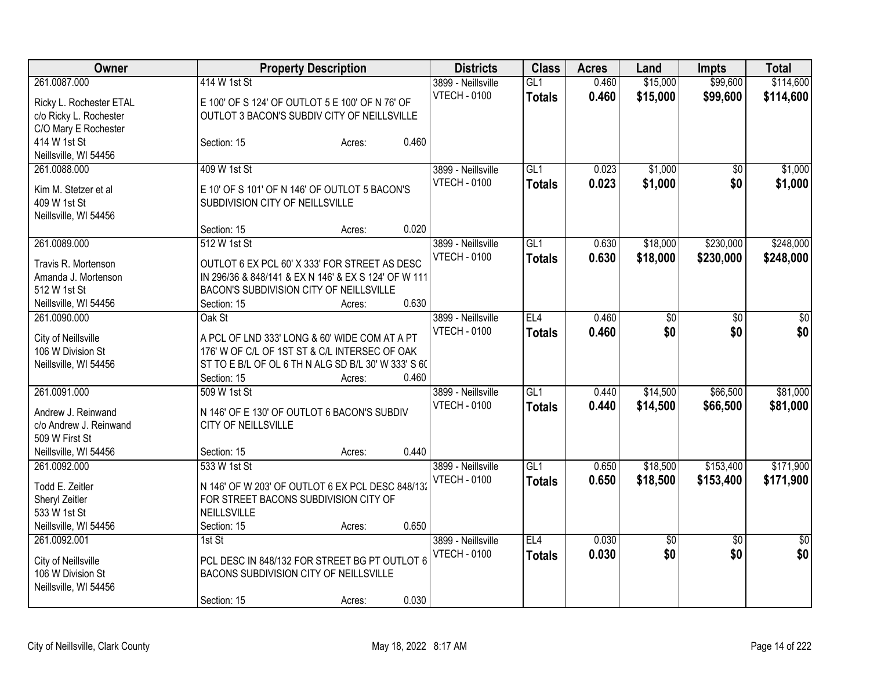| Owner                                      | <b>Property Description</b>                                                                          | <b>Districts</b>                          | <b>Class</b>     | <b>Acres</b> | Land     | <b>Impts</b>    | <b>Total</b>    |
|--------------------------------------------|------------------------------------------------------------------------------------------------------|-------------------------------------------|------------------|--------------|----------|-----------------|-----------------|
| 261.0087.000                               | 414 W 1st St                                                                                         | 3899 - Neillsville<br><b>VTECH - 0100</b> | GL1              | 0.460        | \$15,000 | \$99,600        | \$114,600       |
| Ricky L. Rochester ETAL                    | E 100' OF S 124' OF OUTLOT 5 E 100' OF N 76' OF                                                      |                                           | <b>Totals</b>    | 0.460        | \$15,000 | \$99,600        | \$114,600       |
| c/o Ricky L. Rochester                     | OUTLOT 3 BACON'S SUBDIV CITY OF NEILLSVILLE                                                          |                                           |                  |              |          |                 |                 |
| C/O Mary E Rochester                       |                                                                                                      |                                           |                  |              |          |                 |                 |
| 414 W 1st St                               | 0.460<br>Section: 15<br>Acres:                                                                       |                                           |                  |              |          |                 |                 |
| Neillsville, WI 54456                      |                                                                                                      |                                           |                  |              |          |                 |                 |
| 261.0088.000                               | 409 W 1st St                                                                                         | 3899 - Neillsville                        | GL1              | 0.023        | \$1,000  | $\overline{60}$ | \$1,000         |
| Kim M. Stetzer et al                       | E 10' OF S 101' OF N 146' OF OUTLOT 5 BACON'S                                                        | <b>VTECH - 0100</b>                       | <b>Totals</b>    | 0.023        | \$1,000  | \$0             | \$1,000         |
| 409 W 1st St                               | SUBDIVISION CITY OF NEILLSVILLE                                                                      |                                           |                  |              |          |                 |                 |
| Neillsville, WI 54456                      |                                                                                                      |                                           |                  |              |          |                 |                 |
|                                            | 0.020<br>Section: 15<br>Acres:                                                                       |                                           |                  |              |          |                 |                 |
| 261.0089.000                               | 512 W 1st St                                                                                         | 3899 - Neillsville                        | GL1              | 0.630        | \$18,000 | \$230,000       | \$248,000       |
| Travis R. Mortenson                        | OUTLOT 6 EX PCL 60' X 333' FOR STREET AS DESC                                                        | <b>VTECH - 0100</b>                       | <b>Totals</b>    | 0.630        | \$18,000 | \$230,000       | \$248,000       |
| Amanda J. Mortenson                        | IN 296/36 & 848/141 & EX N 146' & EX S 124' OF W 111                                                 |                                           |                  |              |          |                 |                 |
| 512 W 1st St                               | BACON'S SUBDIVISION CITY OF NEILLSVILLE                                                              |                                           |                  |              |          |                 |                 |
| Neillsville, WI 54456                      | 0.630<br>Section: 15<br>Acres:                                                                       |                                           |                  |              |          |                 |                 |
| 261.0090.000                               | Oak St                                                                                               | 3899 - Neillsville                        | EL4              | 0.460        | \$0      | $\overline{50}$ | \$0             |
|                                            |                                                                                                      | <b>VTECH - 0100</b>                       | <b>Totals</b>    | 0.460        | \$0      | \$0             | \$0             |
| City of Neillsville                        | A PCL OF LND 333' LONG & 60' WIDE COM AT A PT                                                        |                                           |                  |              |          |                 |                 |
| 106 W Division St<br>Neillsville, WI 54456 | 176' W OF C/L OF 1ST ST & C/L INTERSEC OF OAK<br>ST TO E B/L OF OL 6 TH N ALG SD B/L 30' W 333' S 60 |                                           |                  |              |          |                 |                 |
|                                            | 0.460<br>Section: 15<br>Acres:                                                                       |                                           |                  |              |          |                 |                 |
| 261.0091.000                               | 509 W 1st St                                                                                         | 3899 - Neillsville                        | $\overline{GL1}$ | 0.440        | \$14,500 | \$66,500        | \$81,000        |
|                                            |                                                                                                      | <b>VTECH - 0100</b>                       |                  | 0.440        |          | \$66,500        |                 |
| Andrew J. Reinwand                         | N 146' OF E 130' OF OUTLOT 6 BACON'S SUBDIV                                                          |                                           | <b>Totals</b>    |              | \$14,500 |                 | \$81,000        |
| c/o Andrew J. Reinwand                     | <b>CITY OF NEILLSVILLE</b>                                                                           |                                           |                  |              |          |                 |                 |
| 509 W First St                             |                                                                                                      |                                           |                  |              |          |                 |                 |
| Neillsville, WI 54456                      | 0.440<br>Section: 15<br>Acres:                                                                       |                                           |                  |              |          |                 |                 |
| 261.0092.000                               | 533 W 1st St                                                                                         | 3899 - Neillsville                        | GL1              | 0.650        | \$18,500 | \$153,400       | \$171,900       |
| Todd E. Zeitler                            | N 146' OF W 203' OF OUTLOT 6 EX PCL DESC 848/132                                                     | <b>VTECH - 0100</b>                       | <b>Totals</b>    | 0.650        | \$18,500 | \$153,400       | \$171,900       |
| Sheryl Zeitler                             | FOR STREET BACONS SUBDIVISION CITY OF                                                                |                                           |                  |              |          |                 |                 |
| 533 W 1st St                               | NEILLSVILLE                                                                                          |                                           |                  |              |          |                 |                 |
| Neillsville, WI 54456                      | 0.650<br>Section: 15<br>Acres:                                                                       |                                           |                  |              |          |                 |                 |
| 261.0092.001                               | $1st$ St                                                                                             | 3899 - Neillsville                        | EL4              | 0.030        | \$0      | $\overline{30}$ | $\overline{50}$ |
|                                            |                                                                                                      | <b>VTECH - 0100</b>                       | <b>Totals</b>    | 0.030        | \$0      | \$0             | \$0             |
| City of Neillsville                        | PCL DESC IN 848/132 FOR STREET BG PT OUTLOT 6                                                        |                                           |                  |              |          |                 |                 |
| 106 W Division St                          | BACONS SUBDIVISION CITY OF NEILLSVILLE                                                               |                                           |                  |              |          |                 |                 |
| Neillsville, WI 54456                      |                                                                                                      |                                           |                  |              |          |                 |                 |
|                                            | 0.030<br>Section: 15<br>Acres:                                                                       |                                           |                  |              |          |                 |                 |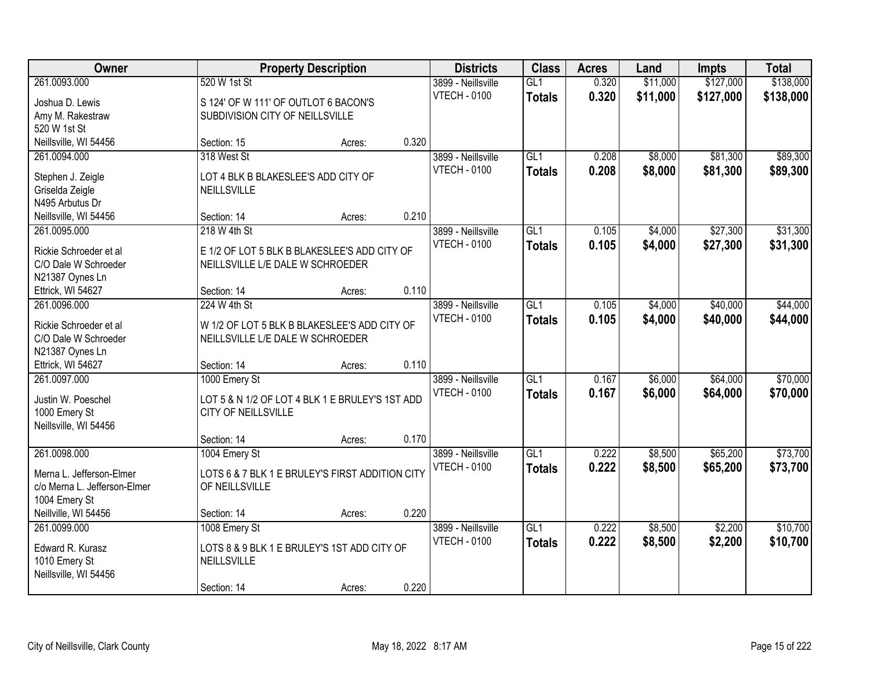| Owner                                |                                                 | <b>Property Description</b> |       | <b>Districts</b>    | <b>Class</b>     | <b>Acres</b> | Land     | <b>Impts</b> | <b>Total</b> |
|--------------------------------------|-------------------------------------------------|-----------------------------|-------|---------------------|------------------|--------------|----------|--------------|--------------|
| 261.0093.000                         | 520 W 1st St                                    |                             |       | 3899 - Neillsville  | GL1              | 0.320        | \$11,000 | \$127,000    | \$138,000    |
| Joshua D. Lewis                      | S 124' OF W 111' OF OUTLOT 6 BACON'S            |                             |       | <b>VTECH - 0100</b> | <b>Totals</b>    | 0.320        | \$11,000 | \$127,000    | \$138,000    |
| Amy M. Rakestraw                     | SUBDIVISION CITY OF NEILLSVILLE                 |                             |       |                     |                  |              |          |              |              |
| 520 W 1st St                         |                                                 |                             |       |                     |                  |              |          |              |              |
| Neillsville, WI 54456                | Section: 15                                     | Acres:                      | 0.320 |                     |                  |              |          |              |              |
| 261.0094.000                         | 318 West St                                     |                             |       | 3899 - Neillsville  | GL1              | 0.208        | \$8,000  | \$81,300     | \$89,300     |
| Stephen J. Zeigle                    | LOT 4 BLK B BLAKESLEE'S ADD CITY OF             |                             |       | <b>VTECH - 0100</b> | <b>Totals</b>    | 0.208        | \$8,000  | \$81,300     | \$89,300     |
| Griselda Zeigle                      | NEILLSVILLE                                     |                             |       |                     |                  |              |          |              |              |
| N495 Arbutus Dr                      |                                                 |                             |       |                     |                  |              |          |              |              |
| Neillsville, WI 54456                | Section: 14                                     | Acres:                      | 0.210 |                     |                  |              |          |              |              |
| 261.0095.000                         | 218 W 4th St                                    |                             |       | 3899 - Neillsville  | GL1              | 0.105        | \$4,000  | \$27,300     | \$31,300     |
|                                      |                                                 |                             |       | <b>VTECH - 0100</b> | <b>Totals</b>    | 0.105        | \$4,000  | \$27,300     | \$31,300     |
| Rickie Schroeder et al               | E 1/2 OF LOT 5 BLK B BLAKESLEE'S ADD CITY OF    |                             |       |                     |                  |              |          |              |              |
| C/O Dale W Schroeder                 | NEILLSVILLE L/E DALE W SCHROEDER                |                             |       |                     |                  |              |          |              |              |
| N21387 Oynes Ln<br>Ettrick, WI 54627 | Section: 14                                     | Acres:                      | 0.110 |                     |                  |              |          |              |              |
| 261.0096.000                         | 224 W 4th St                                    |                             |       | 3899 - Neillsville  | GL1              | 0.105        | \$4,000  | \$40,000     | \$44,000     |
|                                      |                                                 |                             |       | <b>VTECH - 0100</b> | <b>Totals</b>    | 0.105        | \$4,000  | \$40,000     | \$44,000     |
| Rickie Schroeder et al               | W 1/2 OF LOT 5 BLK B BLAKESLEE'S ADD CITY OF    |                             |       |                     |                  |              |          |              |              |
| C/O Dale W Schroeder                 | NEILLSVILLE L/E DALE W SCHROEDER                |                             |       |                     |                  |              |          |              |              |
| N21387 Oynes Ln                      |                                                 |                             |       |                     |                  |              |          |              |              |
| Ettrick, WI 54627                    | Section: 14                                     | Acres:                      | 0.110 |                     |                  |              |          |              |              |
| 261.0097.000                         | 1000 Emery St                                   |                             |       | 3899 - Neillsville  | $\overline{GL1}$ | 0.167        | \$6,000  | \$64,000     | \$70,000     |
| Justin W. Poeschel                   | LOT 5 & N 1/2 OF LOT 4 BLK 1 E BRULEY'S 1ST ADD |                             |       | <b>VTECH - 0100</b> | <b>Totals</b>    | 0.167        | \$6,000  | \$64,000     | \$70,000     |
| 1000 Emery St                        | CITY OF NEILLSVILLE                             |                             |       |                     |                  |              |          |              |              |
| Neillsville, WI 54456                |                                                 |                             |       |                     |                  |              |          |              |              |
|                                      | Section: 14                                     | Acres:                      | 0.170 |                     |                  |              |          |              |              |
| 261.0098.000                         | 1004 Emery St                                   |                             |       | 3899 - Neillsville  | GL1              | 0.222        | \$8,500  | \$65,200     | \$73,700     |
| Merna L. Jefferson-Elmer             | LOTS 6 & 7 BLK 1 E BRULEY'S FIRST ADDITION CITY |                             |       | <b>VTECH - 0100</b> | <b>Totals</b>    | 0.222        | \$8,500  | \$65,200     | \$73,700     |
| c/o Merna L. Jefferson-Elmer         | OF NEILLSVILLE                                  |                             |       |                     |                  |              |          |              |              |
| 1004 Emery St                        |                                                 |                             |       |                     |                  |              |          |              |              |
| Neillville, WI 54456                 | Section: 14                                     | Acres:                      | 0.220 |                     |                  |              |          |              |              |
| 261.0099.000                         | 1008 Emery St                                   |                             |       | 3899 - Neillsville  | GL1              | 0.222        | \$8,500  | \$2,200      | \$10,700     |
| Edward R. Kurasz                     | LOTS 8 & 9 BLK 1 E BRULEY'S 1ST ADD CITY OF     |                             |       | <b>VTECH - 0100</b> | <b>Totals</b>    | 0.222        | \$8,500  | \$2,200      | \$10,700     |
| 1010 Emery St                        | NEILLSVILLE                                     |                             |       |                     |                  |              |          |              |              |
| Neillsville, WI 54456                |                                                 |                             |       |                     |                  |              |          |              |              |
|                                      | Section: 14                                     | Acres:                      | 0.220 |                     |                  |              |          |              |              |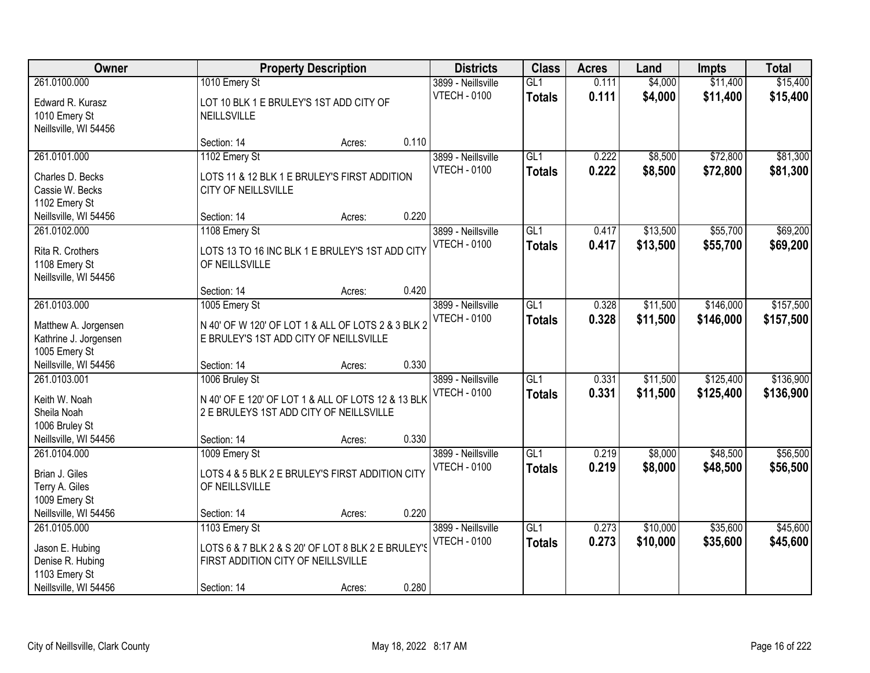| Owner                                                                |                                                                                                                 | <b>Property Description</b> |       | <b>Districts</b>                          | <b>Class</b>         | <b>Acres</b>   | Land                 | <b>Impts</b>           | <b>Total</b>           |
|----------------------------------------------------------------------|-----------------------------------------------------------------------------------------------------------------|-----------------------------|-------|-------------------------------------------|----------------------|----------------|----------------------|------------------------|------------------------|
| 261.0100.000                                                         | 1010 Emery St                                                                                                   |                             |       | 3899 - Neillsville                        | GL1                  | 0.111          | \$4,000              | \$11,400               | \$15,400               |
| Edward R. Kurasz<br>1010 Emery St<br>Neillsville, WI 54456           | LOT 10 BLK 1 E BRULEY'S 1ST ADD CITY OF<br>NEILLSVILLE                                                          |                             |       | <b>VTECH - 0100</b>                       | <b>Totals</b>        | 0.111          | \$4,000              | \$11,400               | \$15,400               |
|                                                                      | Section: 14                                                                                                     | Acres:                      | 0.110 |                                           |                      |                |                      |                        |                        |
| 261.0101.000<br>Charles D. Becks                                     | 1102 Emery St<br>LOTS 11 & 12 BLK 1 E BRULEY'S FIRST ADDITION                                                   |                             |       | 3899 - Neillsville<br><b>VTECH - 0100</b> | GL1<br><b>Totals</b> | 0.222<br>0.222 | \$8,500<br>\$8,500   | \$72,800<br>\$72,800   | \$81,300<br>\$81,300   |
| Cassie W. Becks<br>1102 Emery St<br>Neillsville, WI 54456            | CITY OF NEILLSVILLE<br>Section: 14                                                                              | Acres:                      | 0.220 |                                           |                      |                |                      |                        |                        |
| 261.0102.000                                                         | 1108 Emery St                                                                                                   |                             |       | 3899 - Neillsville                        | GL <sub>1</sub>      | 0.417          | \$13,500             | \$55,700               | \$69,200               |
| Rita R. Crothers<br>1108 Emery St<br>Neillsville, WI 54456           | LOTS 13 TO 16 INC BLK 1 E BRULEY'S 1ST ADD CITY<br>OF NEILLSVILLE                                               |                             |       | <b>VTECH - 0100</b>                       | <b>Totals</b>        | 0.417          | \$13,500             | \$55,700               | \$69,200               |
|                                                                      | Section: 14                                                                                                     | Acres:                      | 0.420 |                                           |                      |                |                      |                        |                        |
| 261.0103.000                                                         | 1005 Emery St                                                                                                   |                             |       | 3899 - Neillsville                        | GL1                  | 0.328          | \$11,500             | \$146,000              | \$157,500              |
| Matthew A. Jorgensen<br>Kathrine J. Jorgensen<br>1005 Emery St       | N 40' OF W 120' OF LOT 1 & ALL OF LOTS 2 & 3 BLK 2<br>E BRULEY'S 1ST ADD CITY OF NEILLSVILLE                    |                             |       | <b>VTECH - 0100</b>                       | <b>Totals</b>        | 0.328          | \$11,500             | \$146,000              | \$157,500              |
| Neillsville, WI 54456                                                | Section: 14                                                                                                     | Acres:                      | 0.330 |                                           |                      |                |                      |                        |                        |
| 261.0103.001<br>Keith W. Noah<br>Sheila Noah<br>1006 Bruley St       | 1006 Bruley St<br>N 40' OF E 120' OF LOT 1 & ALL OF LOTS 12 & 13 BLK<br>2 E BRULEYS 1ST ADD CITY OF NEILLSVILLE |                             |       | 3899 - Neillsville<br><b>VTECH - 0100</b> | GL1<br>Totals        | 0.331<br>0.331 | \$11,500<br>\$11,500 | \$125,400<br>\$125,400 | \$136,900<br>\$136,900 |
| Neillsville, WI 54456                                                | Section: 14                                                                                                     | Acres:                      | 0.330 |                                           |                      |                |                      |                        |                        |
| 261.0104.000<br>Brian J. Giles<br>Terry A. Giles<br>1009 Emery St    | 1009 Emery St<br>LOTS 4 & 5 BLK 2 E BRULEY'S FIRST ADDITION CITY<br>OF NEILLSVILLE                              |                             |       | 3899 - Neillsville<br><b>VTECH - 0100</b> | GL1<br><b>Totals</b> | 0.219<br>0.219 | \$8,000<br>\$8,000   | \$48,500<br>\$48,500   | \$56,500<br>\$56,500   |
| Neillsville, WI 54456                                                | Section: 14                                                                                                     | Acres:                      | 0.220 |                                           |                      |                |                      |                        |                        |
| 261.0105.000<br>Jason E. Hubing<br>Denise R. Hubing<br>1103 Emery St | 1103 Emery St<br>LOTS 6 & 7 BLK 2 & S 20' OF LOT 8 BLK 2 E BRULEY'S<br>FIRST ADDITION CITY OF NEILLSVILLE       |                             |       | 3899 - Neillsville<br><b>VTECH - 0100</b> | GL1<br><b>Totals</b> | 0.273<br>0.273 | \$10,000<br>\$10,000 | \$35,600<br>\$35,600   | \$45,600<br>\$45,600   |
| Neillsville, WI 54456                                                | Section: 14                                                                                                     | Acres:                      | 0.280 |                                           |                      |                |                      |                        |                        |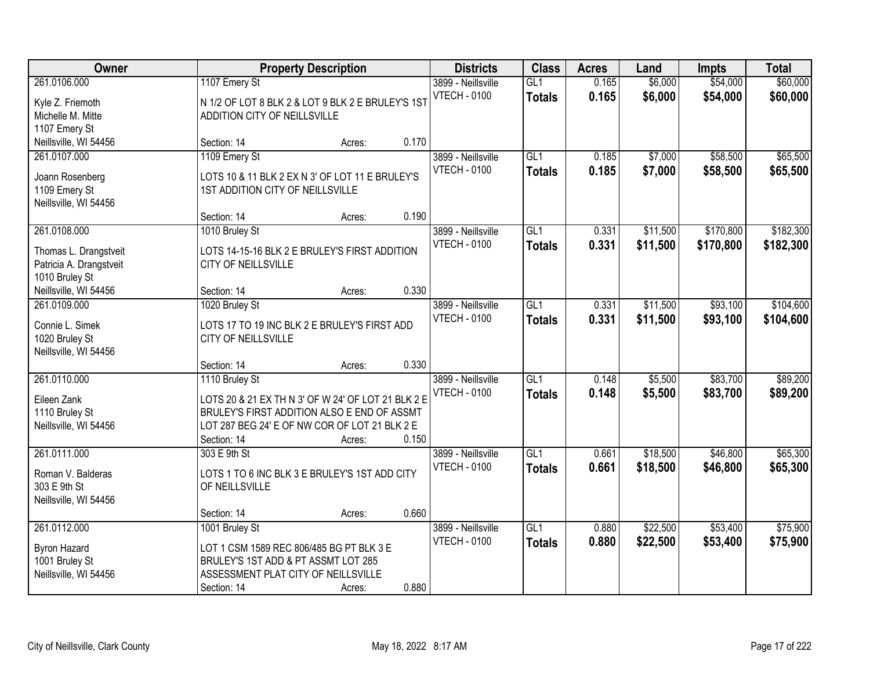| Owner                                                                              |                                                                                                                                                                                     | <b>Property Description</b> |       | <b>Districts</b>                          | <b>Class</b>                      | <b>Acres</b>   | Land                 | <b>Impts</b>           | <b>Total</b>           |
|------------------------------------------------------------------------------------|-------------------------------------------------------------------------------------------------------------------------------------------------------------------------------------|-----------------------------|-------|-------------------------------------------|-----------------------------------|----------------|----------------------|------------------------|------------------------|
| 261.0106.000<br>Kyle Z. Friemoth<br>Michelle M. Mitte<br>1107 Emery St             | 1107 Emery St<br>N 1/2 OF LOT 8 BLK 2 & LOT 9 BLK 2 E BRULEY'S 1ST<br>ADDITION CITY OF NEILLSVILLE                                                                                  |                             |       | 3899 - Neillsville<br><b>VTECH - 0100</b> | GL1<br><b>Totals</b>              | 0.165<br>0.165 | \$6,000<br>\$6,000   | \$54,000<br>\$54,000   | \$60,000<br>\$60,000   |
| Neillsville, WI 54456                                                              | Section: 14                                                                                                                                                                         | Acres:                      | 0.170 |                                           |                                   |                |                      |                        |                        |
| 261.0107.000<br>Joann Rosenberg<br>1109 Emery St<br>Neillsville, WI 54456          | 1109 Emery St<br>LOTS 10 & 11 BLK 2 EX N 3' OF LOT 11 E BRULEY'S<br>1ST ADDITION CITY OF NEILLSVILLE                                                                                |                             |       | 3899 - Neillsville<br><b>VTECH - 0100</b> | GL1<br><b>Totals</b>              | 0.185<br>0.185 | \$7,000<br>\$7,000   | \$58,500<br>\$58,500   | \$65,500<br>\$65,500   |
|                                                                                    | Section: 14                                                                                                                                                                         | Acres:                      | 0.190 |                                           |                                   |                |                      |                        |                        |
| 261.0108.000<br>Thomas L. Drangstveit<br>Patricia A. Drangstveit<br>1010 Bruley St | 1010 Bruley St<br>LOTS 14-15-16 BLK 2 E BRULEY'S FIRST ADDITION<br>CITY OF NEILLSVILLE                                                                                              |                             |       | 3899 - Neillsville<br><b>VTECH - 0100</b> | GL1<br><b>Totals</b>              | 0.331<br>0.331 | \$11,500<br>\$11,500 | \$170,800<br>\$170,800 | \$182,300<br>\$182,300 |
| Neillsville, WI 54456                                                              | Section: 14                                                                                                                                                                         | Acres:                      | 0.330 |                                           |                                   |                |                      |                        |                        |
| 261.0109.000<br>Connie L. Simek<br>1020 Bruley St<br>Neillsville, WI 54456         | 1020 Bruley St<br>LOTS 17 TO 19 INC BLK 2 E BRULEY'S FIRST ADD<br>CITY OF NEILLSVILLE                                                                                               |                             |       | 3899 - Neillsville<br><b>VTECH - 0100</b> | GL1<br><b>Totals</b>              | 0.331<br>0.331 | \$11,500<br>\$11,500 | \$93,100<br>\$93,100   | \$104,600<br>\$104,600 |
|                                                                                    | Section: 14                                                                                                                                                                         | Acres:                      | 0.330 |                                           |                                   |                |                      |                        |                        |
| 261.0110.000<br>Eileen Zank<br>1110 Bruley St<br>Neillsville, WI 54456             | 1110 Bruley St<br>LOTS 20 & 21 EX TH N 3' OF W 24' OF LOT 21 BLK 2 E<br>BRULEY'S FIRST ADDITION ALSO E END OF ASSMT<br>LOT 287 BEG 24' E OF NW COR OF LOT 21 BLK 2 E<br>Section: 14 | Acres:                      | 0.150 | 3899 - Neillsville<br><b>VTECH - 0100</b> | $\overline{GL1}$<br><b>Totals</b> | 0.148<br>0.148 | \$5,500<br>\$5,500   | \$83,700<br>\$83,700   | \$89,200<br>\$89,200   |
| 261.0111.000<br>Roman V. Balderas<br>303 E 9th St<br>Neillsville, WI 54456         | 303 E 9th St<br>LOTS 1 TO 6 INC BLK 3 E BRULEY'S 1ST ADD CITY<br>OF NEILLSVILLE                                                                                                     |                             |       | 3899 - Neillsville<br><b>VTECH - 0100</b> | $\overline{GL1}$<br><b>Totals</b> | 0.661<br>0.661 | \$18,500<br>\$18,500 | \$46,800<br>\$46,800   | \$65,300<br>\$65,300   |
|                                                                                    | Section: 14                                                                                                                                                                         | Acres:                      | 0.660 |                                           |                                   |                |                      |                        |                        |
| 261.0112.000<br><b>Byron Hazard</b><br>1001 Bruley St<br>Neillsville, WI 54456     | 1001 Bruley St<br>LOT 1 CSM 1589 REC 806/485 BG PT BLK 3 E<br>BRULEY'S 1ST ADD & PT ASSMT LOT 285<br>ASSESSMENT PLAT CITY OF NEILLSVILLE<br>Section: 14                             | Acres:                      | 0.880 | 3899 - Neillsville<br><b>VTECH - 0100</b> | GL1<br><b>Totals</b>              | 0.880<br>0.880 | \$22,500<br>\$22,500 | \$53,400<br>\$53,400   | \$75,900<br>\$75,900   |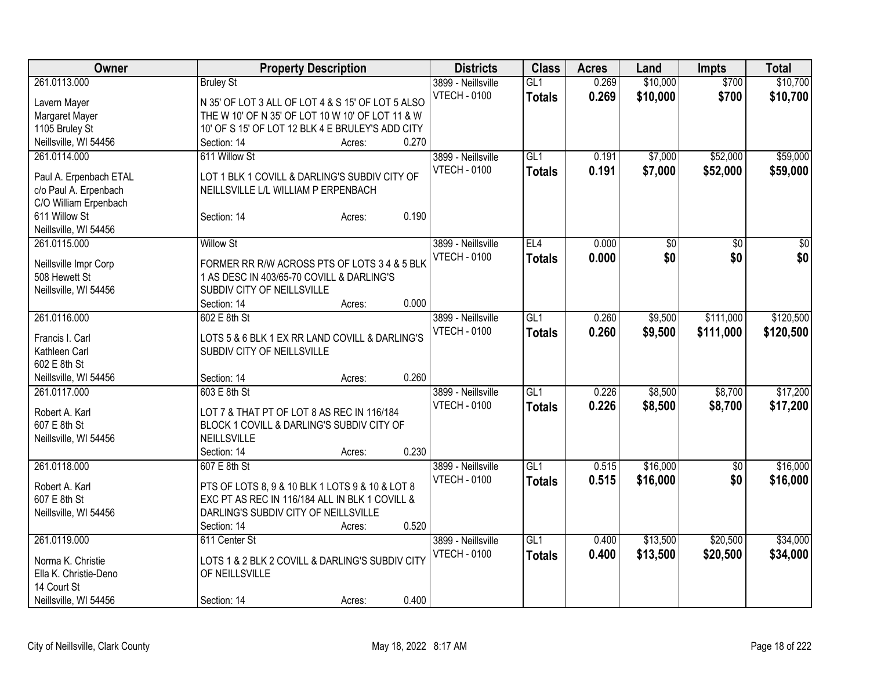| <b>Class</b><br>Owner<br><b>Property Description</b><br><b>Districts</b><br><b>Acres</b><br>Land                                  | <b>Impts</b> | <b>Total</b>    |
|-----------------------------------------------------------------------------------------------------------------------------------|--------------|-----------------|
| \$10,000<br>261.0113.000<br>GL1<br>0.269<br><b>Bruley St</b><br>3899 - Neillsville                                                | \$700        | \$10,700        |
| <b>VTECH - 0100</b><br>0.269<br>\$10,000<br><b>Totals</b><br>N 35' OF LOT 3 ALL OF LOT 4 & S 15' OF LOT 5 ALSO<br>Lavern Mayer    | \$700        | \$10,700        |
| THE W 10' OF N 35' OF LOT 10 W 10' OF LOT 11 & W<br>Margaret Mayer                                                                |              |                 |
| 1105 Bruley St<br>10' OF S 15' OF LOT 12 BLK 4 E BRULEY'S ADD CITY                                                                |              |                 |
| Neillsville, WI 54456<br>0.270<br>Section: 14<br>Acres:                                                                           |              |                 |
| 261.0114.000<br>611 Willow St<br>\$7,000<br>3899 - Neillsville<br>GL1<br>0.191                                                    | \$52,000     | \$59,000        |
| 0.191<br><b>VTECH - 0100</b><br>\$7,000<br><b>Totals</b><br>LOT 1 BLK 1 COVILL & DARLING'S SUBDIV CITY OF                         | \$52,000     | \$59,000        |
| Paul A. Erpenbach ETAL<br>c/o Paul A. Erpenbach<br>NEILLSVILLE L/L WILLIAM P ERPENBACH                                            |              |                 |
| C/O William Erpenbach                                                                                                             |              |                 |
| 0.190<br>611 Willow St<br>Section: 14<br>Acres:                                                                                   |              |                 |
| Neillsville, WI 54456                                                                                                             |              |                 |
| EL4<br>0.000<br>$\overline{50}$<br>261.0115.000<br><b>Willow St</b><br>3899 - Neillsville                                         | \$0          | $\overline{50}$ |
| \$0<br><b>VTECH - 0100</b><br>0.000<br><b>Totals</b>                                                                              | \$0          | \$0             |
| FORMER RR R/W ACROSS PTS OF LOTS 3 4 & 5 BLK<br>Neillsville Impr Corp                                                             |              |                 |
| 1 AS DESC IN 403/65-70 COVILL & DARLING'S<br>508 Hewett St                                                                        |              |                 |
| SUBDIV CITY OF NEILLSVILLE<br>Neillsville, WI 54456                                                                               |              |                 |
| 0.000<br>Section: 14<br>Acres:                                                                                                    |              |                 |
| 602 E 8th St<br>GL1<br>\$9,500<br>261.0116.000<br>3899 - Neillsville<br>0.260                                                     | \$111,000    | \$120,500       |
| <b>VTECH - 0100</b><br>0.260<br>\$9,500<br><b>Totals</b><br>LOTS 5 & 6 BLK 1 EX RR LAND COVILL & DARLING'S<br>Francis I. Carl     | \$111,000    | \$120,500       |
| Kathleen Carl<br>SUBDIV CITY OF NEILLSVILLE                                                                                       |              |                 |
| 602 E 8th St                                                                                                                      |              |                 |
| 0.260<br>Neillsville, WI 54456<br>Section: 14<br>Acres:                                                                           |              |                 |
| 603 E 8th St<br>261.0117.000<br>3899 - Neillsville<br>GL1<br>0.226<br>\$8,500                                                     | \$8,700      | \$17,200        |
| <b>VTECH - 0100</b><br>0.226<br>\$8,500<br><b>Totals</b>                                                                          | \$8,700      | \$17,200        |
| Robert A. Karl<br>LOT 7 & THAT PT OF LOT 8 AS REC IN 116/184                                                                      |              |                 |
| BLOCK 1 COVILL & DARLING'S SUBDIV CITY OF<br>607 E 8th St                                                                         |              |                 |
| NEILLSVILLE<br>Neillsville, WI 54456<br>0.230                                                                                     |              |                 |
| Section: 14<br>Acres:<br>\$16,000<br>261.0118.000<br>GL1                                                                          |              |                 |
| 607 E 8th St<br>3899 - Neillsville<br>0.515<br><b>VTECH - 0100</b>                                                                | \$0          | \$16,000        |
| 0.515<br>\$16,000<br><b>Totals</b><br>Robert A. Karl<br>PTS OF LOTS 8, 9 & 10 BLK 1 LOTS 9 & 10 & LOT 8                           | \$0          | \$16,000        |
| 607 E 8th St<br>EXC PT AS REC IN 116/184 ALL IN BLK 1 COVILL &                                                                    |              |                 |
| DARLING'S SUBDIV CITY OF NEILLSVILLE<br>Neillsville, WI 54456                                                                     |              |                 |
| Section: 14<br>0.520<br>Acres:                                                                                                    |              |                 |
| 261.0119.000<br>GL1<br>\$13,500<br>611 Center St<br>3899 - Neillsville<br>0.400                                                   | \$20,500     | \$34,000        |
| <b>VTECH - 0100</b><br>0.400<br>\$13,500<br><b>Totals</b><br>LOTS 1 & 2 BLK 2 COVILL & DARLING'S SUBDIV CITY<br>Norma K. Christie | \$20,500     | \$34,000        |
| Ella K. Christie-Deno<br>OF NEILLSVILLE                                                                                           |              |                 |
| 14 Court St                                                                                                                       |              |                 |
| 0.400<br>Neillsville, WI 54456<br>Section: 14<br>Acres:                                                                           |              |                 |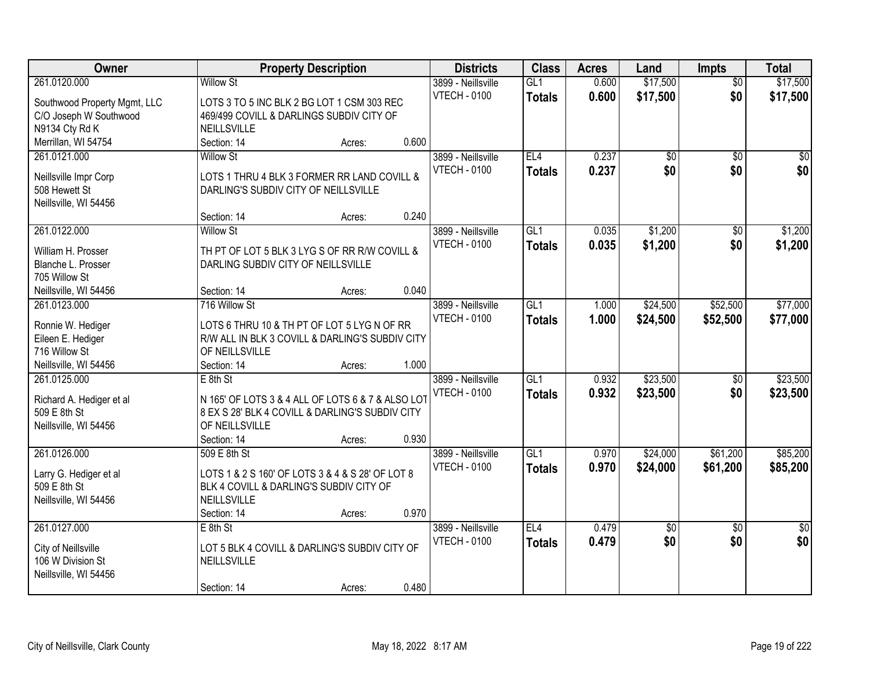| Owner<br><b>Property Description</b><br><b>Districts</b><br><b>Class</b><br><b>Acres</b><br>Impts<br>Land                               | <b>Total</b>                       |
|-----------------------------------------------------------------------------------------------------------------------------------------|------------------------------------|
| \$17,500<br>261.0120.000<br><b>Willow St</b><br>GL <sub>1</sub><br>0.600<br>3899 - Neillsville                                          | \$17,500<br>$\overline{50}$        |
| \$17,500<br><b>VTECH - 0100</b><br>0.600<br><b>Totals</b><br>Southwood Property Mgmt, LLC<br>LOTS 3 TO 5 INC BLK 2 BG LOT 1 CSM 303 REC | \$0<br>\$17,500                    |
| C/O Joseph W Southwood<br>469/499 COVILL & DARLINGS SUBDIV CITY OF                                                                      |                                    |
| N9134 Cty Rd K<br><b>NEILLSVILLE</b>                                                                                                    |                                    |
| 0.600<br>Merrillan, WI 54754<br>Section: 14<br>Acres:                                                                                   |                                    |
| 261.0121.000<br>3899 - Neillsville<br>EL4<br>0.237<br>\$0<br><b>Willow St</b>                                                           | $\overline{50}$<br>$\overline{50}$ |
| \$0<br>0.237<br><b>VTECH - 0100</b><br><b>Totals</b>                                                                                    | \$0<br>\$0                         |
| Neillsville Impr Corp<br>LOTS 1 THRU 4 BLK 3 FORMER RR LAND COVILL &<br>508 Hewett St                                                   |                                    |
| DARLING'S SUBDIV CITY OF NEILLSVILLE                                                                                                    |                                    |
| Neillsville, WI 54456<br>0.240<br>Section: 14<br>Acres:                                                                                 |                                    |
| GL1<br>\$1,200<br>261.0122.000<br><b>Willow St</b><br>3899 - Neillsville<br>0.035                                                       | $\overline{50}$<br>\$1,200         |
| <b>VTECH - 0100</b>                                                                                                                     |                                    |
| \$1,200<br>0.035<br><b>Totals</b><br>TH PT OF LOT 5 BLK 3 LYG S OF RR R/W COVILL &<br>William H. Prosser                                | \$0<br>\$1,200                     |
| Blanche L. Prosser<br>DARLING SUBDIV CITY OF NEILLSVILLE                                                                                |                                    |
| 705 Willow St                                                                                                                           |                                    |
| 0.040<br>Neillsville, WI 54456<br>Section: 14<br>Acres:                                                                                 |                                    |
| 261.0123.000<br>3899 - Neillsville<br>GL1<br>\$24,500<br>716 Willow St<br>1.000                                                         | \$52,500<br>\$77,000               |
| <b>VTECH - 0100</b><br>1.000<br>\$24,500<br><b>Totals</b><br>LOTS 6 THRU 10 & TH PT OF LOT 5 LYG N OF RR<br>Ronnie W. Hediger           | \$52,500<br>\$77,000               |
| Eileen E. Hediger<br>R/W ALL IN BLK 3 COVILL & DARLING'S SUBDIV CITY                                                                    |                                    |
| 716 Willow St<br>OF NEILLSVILLE                                                                                                         |                                    |
| 1.000<br>Neillsville, WI 54456<br>Section: 14<br>Acres:                                                                                 |                                    |
| $\overline{GL1}$<br>\$23,500<br>0.932<br>261.0125.000<br>$E$ 8th St<br>3899 - Neillsville                                               | \$23,500<br>$\overline{50}$        |
| <b>VTECH - 0100</b><br>0.932<br>\$23,500<br><b>Totals</b>                                                                               | \$0<br>\$23,500                    |
| N 165' OF LOTS 3 & 4 ALL OF LOTS 6 & 7 & ALSO LOT<br>Richard A. Hediger et al                                                           |                                    |
| 509 E 8th St<br>8 EX S 28' BLK 4 COVILL & DARLING'S SUBDIV CITY                                                                         |                                    |
| Neillsville, WI 54456<br>OF NEILLSVILLE                                                                                                 |                                    |
| 0.930<br>Section: 14<br>Acres:                                                                                                          |                                    |
| GL1<br>\$24,000<br>261.0126.000<br>3899 - Neillsville<br>0.970<br>509 E 8th St                                                          | \$61,200<br>\$85,200               |
| 0.970<br><b>VTECH - 0100</b><br>\$24,000<br><b>Totals</b><br>LOTS 1 & 2 S 160' OF LOTS 3 & 4 & S 28' OF LOT 8<br>Larry G. Hediger et al | \$61,200<br>\$85,200               |
| 509 E 8th St<br>BLK 4 COVILL & DARLING'S SUBDIV CITY OF                                                                                 |                                    |
| <b>NEILLSVILLE</b><br>Neillsville, WI 54456                                                                                             |                                    |
| 0.970<br>Section: 14<br>Acres:                                                                                                          |                                    |
| 261.0127.000<br>EL4<br>0.479<br>$E$ 8th St<br>3899 - Neillsville<br>\$0                                                                 | $\overline{30}$<br>$\overline{50}$ |
| 0.479<br>\$0<br><b>VTECH - 0100</b><br><b>Totals</b><br>LOT 5 BLK 4 COVILL & DARLING'S SUBDIV CITY OF<br>City of Neillsville            | \$0<br>\$0                         |
| 106 W Division St<br>NEILLSVILLE                                                                                                        |                                    |
| Neillsville, WI 54456                                                                                                                   |                                    |
| 0.480<br>Section: 14<br>Acres:                                                                                                          |                                    |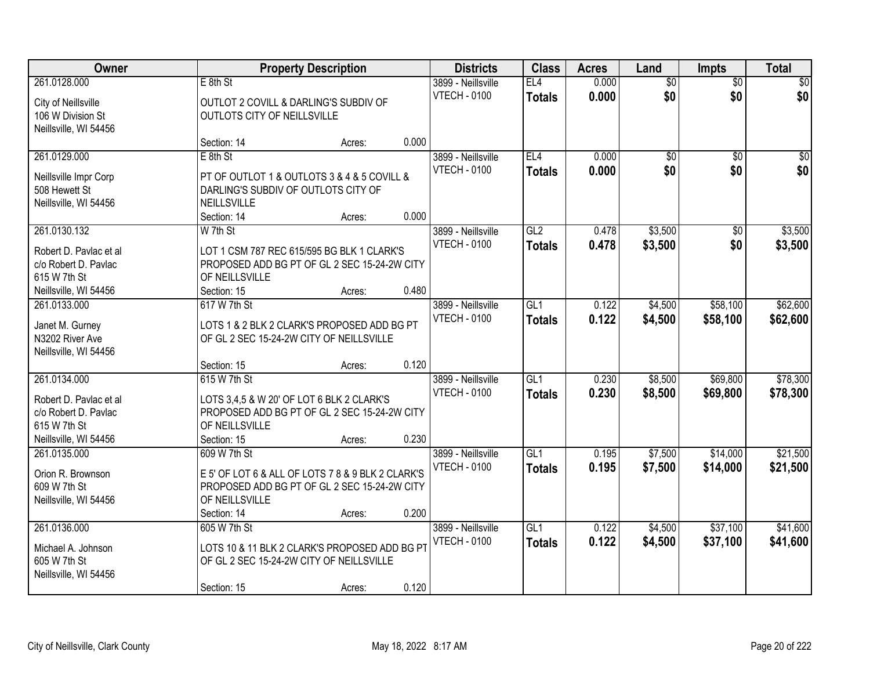| Owner                  |                                                   | <b>Property Description</b> |       | <b>Districts</b>    | <b>Class</b>    | <b>Acres</b> | Land            | <b>Impts</b>    | <b>Total</b> |
|------------------------|---------------------------------------------------|-----------------------------|-------|---------------------|-----------------|--------------|-----------------|-----------------|--------------|
| 261.0128.000           | $E$ 8th St                                        |                             |       | 3899 - Neillsville  | EL4             | 0.000        | $\overline{50}$ | \$0             | \$0          |
| City of Neillsville    | OUTLOT 2 COVILL & DARLING'S SUBDIV OF             |                             |       | <b>VTECH - 0100</b> | <b>Totals</b>   | 0.000        | \$0             | \$0             | \$0          |
| 106 W Division St      | OUTLOTS CITY OF NEILLSVILLE                       |                             |       |                     |                 |              |                 |                 |              |
| Neillsville, WI 54456  |                                                   |                             |       |                     |                 |              |                 |                 |              |
|                        | Section: 14                                       | Acres:                      | 0.000 |                     |                 |              |                 |                 |              |
| 261.0129.000           | $E$ 8th St                                        |                             |       | 3899 - Neillsville  | EL4             | 0.000        | \$0             | $\overline{50}$ | \$0          |
| Neillsville Impr Corp  | PT OF OUTLOT 1 & OUTLOTS 3 & 4 & 5 COVILL &       |                             |       | <b>VTECH - 0100</b> | <b>Totals</b>   | 0.000        | \$0             | \$0             | \$0          |
| 508 Hewett St          | DARLING'S SUBDIV OF OUTLOTS CITY OF               |                             |       |                     |                 |              |                 |                 |              |
| Neillsville, WI 54456  | <b>NEILLSVILLE</b>                                |                             |       |                     |                 |              |                 |                 |              |
|                        | Section: 14                                       | Acres:                      | 0.000 |                     |                 |              |                 |                 |              |
| 261.0130.132           | W 7th St                                          |                             |       | 3899 - Neillsville  | GL <sub>2</sub> | 0.478        | \$3,500         | \$0             | \$3,500      |
| Robert D. Pavlac et al | LOT 1 CSM 787 REC 615/595 BG BLK 1 CLARK'S        |                             |       | <b>VTECH - 0100</b> | <b>Totals</b>   | 0.478        | \$3,500         | \$0             | \$3,500      |
| c/o Robert D. Pavlac   | PROPOSED ADD BG PT OF GL 2 SEC 15-24-2W CITY      |                             |       |                     |                 |              |                 |                 |              |
| 615 W 7th St           | OF NEILLSVILLE                                    |                             |       |                     |                 |              |                 |                 |              |
| Neillsville, WI 54456  | Section: 15                                       | Acres:                      | 0.480 |                     |                 |              |                 |                 |              |
| 261.0133.000           | 617 W 7th St                                      |                             |       | 3899 - Neillsville  | GL1             | 0.122        | \$4,500         | \$58,100        | \$62,600     |
|                        |                                                   |                             |       | <b>VTECH - 0100</b> | <b>Totals</b>   | 0.122        | \$4,500         | \$58,100        | \$62,600     |
| Janet M. Gurney        | LOTS 1 & 2 BLK 2 CLARK'S PROPOSED ADD BG PT       |                             |       |                     |                 |              |                 |                 |              |
| N3202 River Ave        | OF GL 2 SEC 15-24-2W CITY OF NEILLSVILLE          |                             |       |                     |                 |              |                 |                 |              |
| Neillsville, WI 54456  | Section: 15                                       | Acres:                      | 0.120 |                     |                 |              |                 |                 |              |
| 261.0134.000           | 615 W 7th St                                      |                             |       | 3899 - Neillsville  | GL1             | 0.230        | \$8,500         | \$69,800        | \$78,300     |
|                        |                                                   |                             |       | <b>VTECH - 0100</b> | <b>Totals</b>   | 0.230        | \$8,500         | \$69,800        | \$78,300     |
| Robert D. Pavlac et al | LOTS 3,4,5 & W 20' OF LOT 6 BLK 2 CLARK'S         |                             |       |                     |                 |              |                 |                 |              |
| c/o Robert D. Pavlac   | PROPOSED ADD BG PT OF GL 2 SEC 15-24-2W CITY      |                             |       |                     |                 |              |                 |                 |              |
| 615 W 7th St           | OF NEILLSVILLE                                    |                             |       |                     |                 |              |                 |                 |              |
| Neillsville, WI 54456  | Section: 15                                       | Acres:                      | 0.230 |                     |                 |              |                 |                 |              |
| 261.0135.000           | 609 W 7th St                                      |                             |       | 3899 - Neillsville  | GL1             | 0.195        | \$7,500         | \$14,000        | \$21,500     |
| Orion R. Brownson      | E 5' OF LOT 6 & ALL OF LOTS 7 8 & 9 BLK 2 CLARK'S |                             |       | <b>VTECH - 0100</b> | <b>Totals</b>   | 0.195        | \$7,500         | \$14,000        | \$21,500     |
| 609 W 7th St           | PROPOSED ADD BG PT OF GL 2 SEC 15-24-2W CITY      |                             |       |                     |                 |              |                 |                 |              |
| Neillsville, WI 54456  | OF NEILLSVILLE                                    |                             |       |                     |                 |              |                 |                 |              |
|                        | Section: 14                                       | Acres:                      | 0.200 |                     |                 |              |                 |                 |              |
| 261.0136.000           | 605 W 7th St                                      |                             |       | 3899 - Neillsville  | GL1             | 0.122        | \$4,500         | \$37,100        | \$41,600     |
| Michael A. Johnson     | LOTS 10 & 11 BLK 2 CLARK'S PROPOSED ADD BG PT     |                             |       | <b>VTECH - 0100</b> | <b>Totals</b>   | 0.122        | \$4,500         | \$37,100        | \$41,600     |
| 605 W 7th St           | OF GL 2 SEC 15-24-2W CITY OF NEILLSVILLE          |                             |       |                     |                 |              |                 |                 |              |
| Neillsville, WI 54456  |                                                   |                             |       |                     |                 |              |                 |                 |              |
|                        | Section: 15                                       | Acres:                      | 0.120 |                     |                 |              |                 |                 |              |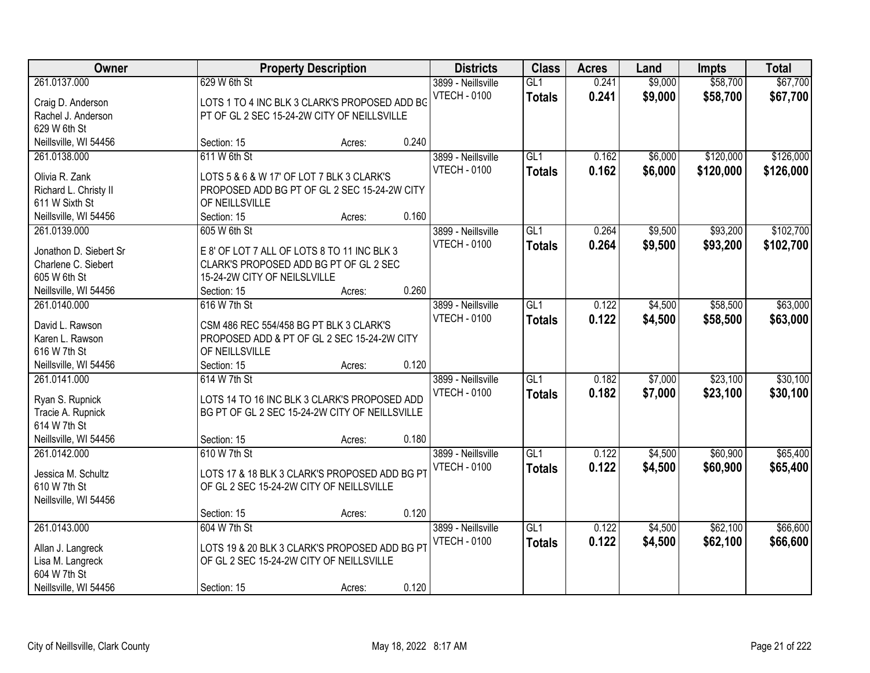| Owner                                         |                              | <b>Property Description</b>                                                           |       | <b>Districts</b>                          | <b>Class</b>         | <b>Acres</b>   | Land               | <b>Impts</b>         | <b>Total</b>         |
|-----------------------------------------------|------------------------------|---------------------------------------------------------------------------------------|-------|-------------------------------------------|----------------------|----------------|--------------------|----------------------|----------------------|
| 261.0137.000<br>Craig D. Anderson             | 629 W 6th St                 | LOTS 1 TO 4 INC BLK 3 CLARK'S PROPOSED ADD BG                                         |       | 3899 - Neillsville<br><b>VTECH - 0100</b> | GL1<br><b>Totals</b> | 0.241<br>0.241 | \$9,000<br>\$9,000 | \$58,700<br>\$58,700 | \$67,700<br>\$67,700 |
| Rachel J. Anderson                            |                              | PT OF GL 2 SEC 15-24-2W CITY OF NEILLSVILLE                                           |       |                                           |                      |                |                    |                      |                      |
| 629 W 6th St                                  |                              |                                                                                       |       |                                           |                      |                |                    |                      |                      |
| Neillsville, WI 54456                         | Section: 15                  | Acres:                                                                                | 0.240 |                                           |                      |                |                    |                      |                      |
| 261.0138.000                                  | 611 W 6th St                 |                                                                                       |       | 3899 - Neillsville                        | GL1                  | 0.162          | \$6,000            | \$120,000            | \$126,000            |
| Olivia R. Zank                                |                              | LOTS 5 & 6 & W 17' OF LOT 7 BLK 3 CLARK'S                                             |       | <b>VTECH - 0100</b>                       | <b>Totals</b>        | 0.162          | \$6,000            | \$120,000            | \$126,000            |
| Richard L. Christy II                         |                              | PROPOSED ADD BG PT OF GL 2 SEC 15-24-2W CITY                                          |       |                                           |                      |                |                    |                      |                      |
| 611 W Sixth St                                | OF NEILLSVILLE               |                                                                                       |       |                                           |                      |                |                    |                      |                      |
| Neillsville, WI 54456                         | Section: 15                  | Acres:                                                                                | 0.160 |                                           |                      |                |                    |                      |                      |
| 261.0139.000                                  | 605 W 6th St                 |                                                                                       |       | 3899 - Neillsville                        | GL1                  | 0.264          | \$9,500            | \$93,200             | \$102,700            |
|                                               |                              |                                                                                       |       | <b>VTECH - 0100</b>                       | <b>Totals</b>        | 0.264          | \$9,500            | \$93,200             | \$102,700            |
| Jonathon D. Siebert Sr<br>Charlene C. Siebert |                              | E 8' OF LOT 7 ALL OF LOTS 8 TO 11 INC BLK 3<br>CLARK'S PROPOSED ADD BG PT OF GL 2 SEC |       |                                           |                      |                |                    |                      |                      |
| 605 W 6th St                                  | 15-24-2W CITY OF NEILSLVILLE |                                                                                       |       |                                           |                      |                |                    |                      |                      |
| Neillsville, WI 54456                         | Section: 15                  | Acres:                                                                                | 0.260 |                                           |                      |                |                    |                      |                      |
| 261.0140.000                                  | 616 W 7th St                 |                                                                                       |       | 3899 - Neillsville                        | GL1                  | 0.122          | \$4,500            | \$58,500             | \$63,000             |
|                                               |                              |                                                                                       |       | <b>VTECH - 0100</b>                       | <b>Totals</b>        | 0.122          | \$4,500            | \$58,500             | \$63,000             |
| David L. Rawson                               |                              | CSM 486 REC 554/458 BG PT BLK 3 CLARK'S                                               |       |                                           |                      |                |                    |                      |                      |
| Karen L. Rawson                               |                              | PROPOSED ADD & PT OF GL 2 SEC 15-24-2W CITY                                           |       |                                           |                      |                |                    |                      |                      |
| 616 W 7th St                                  | OF NEILLSVILLE               |                                                                                       |       |                                           |                      |                |                    |                      |                      |
| Neillsville, WI 54456                         | Section: 15                  | Acres:                                                                                | 0.120 |                                           |                      |                |                    |                      |                      |
| 261.0141.000                                  | 614 W 7th St                 |                                                                                       |       | 3899 - Neillsville                        | $\overline{GL1}$     | 0.182          | \$7,000            | \$23,100             | \$30,100             |
| Ryan S. Rupnick                               |                              | LOTS 14 TO 16 INC BLK 3 CLARK'S PROPOSED ADD                                          |       | <b>VTECH - 0100</b>                       | <b>Totals</b>        | 0.182          | \$7,000            | \$23,100             | \$30,100             |
| Tracie A. Rupnick                             |                              | BG PT OF GL 2 SEC 15-24-2W CITY OF NEILLSVILLE                                        |       |                                           |                      |                |                    |                      |                      |
| 614 W 7th St                                  |                              |                                                                                       |       |                                           |                      |                |                    |                      |                      |
| Neillsville, WI 54456                         | Section: 15                  | Acres:                                                                                | 0.180 |                                           |                      |                |                    |                      |                      |
| 261.0142.000                                  | 610 W 7th St                 |                                                                                       |       | 3899 - Neillsville                        | $\overline{GL1}$     | 0.122          | \$4,500            | \$60,900             | \$65,400             |
| Jessica M. Schultz                            |                              | LOTS 17 & 18 BLK 3 CLARK'S PROPOSED ADD BG PT                                         |       | <b>VTECH - 0100</b>                       | <b>Totals</b>        | 0.122          | \$4,500            | \$60,900             | \$65,400             |
| 610 W 7th St                                  |                              | OF GL 2 SEC 15-24-2W CITY OF NEILLSVILLE                                              |       |                                           |                      |                |                    |                      |                      |
| Neillsville, WI 54456                         |                              |                                                                                       |       |                                           |                      |                |                    |                      |                      |
|                                               | Section: 15                  | Acres:                                                                                | 0.120 |                                           |                      |                |                    |                      |                      |
| 261.0143.000                                  | 604 W 7th St                 |                                                                                       |       | 3899 - Neillsville                        | GL1                  | 0.122          | \$4,500            | \$62,100             | \$66,600             |
|                                               |                              |                                                                                       |       | <b>VTECH - 0100</b>                       | <b>Totals</b>        | 0.122          | \$4,500            | \$62,100             | \$66,600             |
| Allan J. Langreck                             |                              | LOTS 19 & 20 BLK 3 CLARK'S PROPOSED ADD BG PT                                         |       |                                           |                      |                |                    |                      |                      |
| Lisa M. Langreck                              |                              | OF GL 2 SEC 15-24-2W CITY OF NEILLSVILLE                                              |       |                                           |                      |                |                    |                      |                      |
| 604 W 7th St                                  |                              |                                                                                       |       |                                           |                      |                |                    |                      |                      |
| Neillsville, WI 54456                         | Section: 15                  | Acres:                                                                                | 0.120 |                                           |                      |                |                    |                      |                      |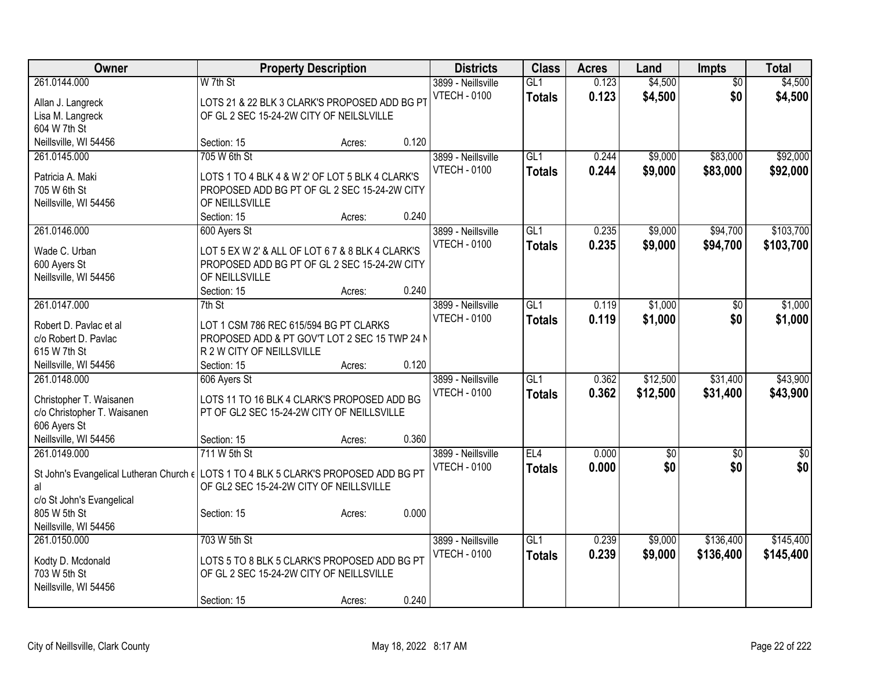| Owner<br><b>Class</b><br><b>Property Description</b><br><b>Districts</b><br><b>Acres</b><br>Impts<br>Land                                                    | <b>Total</b>                       |
|--------------------------------------------------------------------------------------------------------------------------------------------------------------|------------------------------------|
| 0.123<br>\$4,500<br>261.0144.000<br>W 7th St<br>GL1<br>3899 - Neillsville<br>$\overline{50}$                                                                 | \$4,500                            |
| <b>VTECH - 0100</b><br>0.123<br>\$4,500<br>\$0<br><b>Totals</b><br>LOTS 21 & 22 BLK 3 CLARK'S PROPOSED ADD BG PT<br>Allan J. Langreck                        | \$4,500                            |
| OF GL 2 SEC 15-24-2W CITY OF NEILSLVILLE<br>Lisa M. Langreck                                                                                                 |                                    |
| 604 W 7th St                                                                                                                                                 |                                    |
| 0.120<br>Neillsville, WI 54456<br>Section: 15<br>Acres:                                                                                                      |                                    |
| 705 W 6th St<br>GL1<br>\$9,000<br>\$83,000<br>261.0145.000<br>3899 - Neillsville<br>0.244                                                                    | \$92,000                           |
| 0.244<br>\$9,000<br>\$83,000<br><b>VTECH - 0100</b><br><b>Totals</b><br>LOTS 1 TO 4 BLK 4 & W 2' OF LOT 5 BLK 4 CLARK'S<br>Patricia A. Maki                  | \$92,000                           |
| 705 W 6th St<br>PROPOSED ADD BG PT OF GL 2 SEC 15-24-2W CITY                                                                                                 |                                    |
| Neillsville, WI 54456<br>OF NEILLSVILLE                                                                                                                      |                                    |
| 0.240<br>Section: 15<br>Acres:                                                                                                                               |                                    |
| 261.0146.000<br>GL1<br>0.235<br>\$9,000<br>\$94,700<br>600 Ayers St<br>3899 - Neillsville                                                                    | \$103,700                          |
| <b>VTECH - 0100</b><br>0.235<br>\$9,000<br>\$94,700<br><b>Totals</b>                                                                                         | \$103,700                          |
| LOT 5 EX W 2' & ALL OF LOT 6 7 & 8 BLK 4 CLARK'S<br>Wade C. Urban                                                                                            |                                    |
| 600 Ayers St<br>PROPOSED ADD BG PT OF GL 2 SEC 15-24-2W CITY                                                                                                 |                                    |
| Neillsville, WI 54456<br>OF NEILLSVILLE<br>0.240                                                                                                             |                                    |
| Section: 15<br>Acres:<br>261.0147.000<br>$7th$ St<br>3899 - Neillsville<br>GL1<br>0.119<br>\$1,000<br>\$0                                                    | \$1,000                            |
| <b>VTECH - 0100</b>                                                                                                                                          |                                    |
| 0.119<br>\$1,000<br>\$0<br><b>Totals</b><br>Robert D. Pavlac et al<br>LOT 1 CSM 786 REC 615/594 BG PT CLARKS                                                 | \$1,000                            |
| c/o Robert D. Pavlac<br>PROPOSED ADD & PT GOV'T LOT 2 SEC 15 TWP 24 N                                                                                        |                                    |
| 615 W 7th St<br>R 2 W CITY OF NEILLSVILLE                                                                                                                    |                                    |
| 0.120<br>Neillsville, WI 54456<br>Section: 15<br>Acres:                                                                                                      |                                    |
| $\overline{GL1}$<br>\$12,500<br>\$31,400<br>261.0148.000<br>606 Ayers St<br>3899 - Neillsville<br>0.362                                                      | \$43,900                           |
| 0.362<br><b>VTECH - 0100</b><br>\$12,500<br>\$31,400<br><b>Totals</b><br>Christopher T. Waisanen<br>LOTS 11 TO 16 BLK 4 CLARK'S PROPOSED ADD BG              | \$43,900                           |
| c/o Christopher T. Waisanen<br>PT OF GL2 SEC 15-24-2W CITY OF NEILLSVILLE                                                                                    |                                    |
| 606 Ayers St                                                                                                                                                 |                                    |
| 0.360<br>Neillsville, WI 54456<br>Section: 15<br>Acres:                                                                                                      |                                    |
| 711 W 5th St<br>261.0149.000<br>3899 - Neillsville<br>EL4<br>0.000<br>$\sqrt{6}$                                                                             | $\overline{30}$<br>$\overline{50}$ |
| \$0<br>0.000<br>\$0<br><b>VTECH - 0100</b><br><b>Totals</b><br>St John's Evangelical Lutheran Church $\epsilon$ LOTS 1 TO 4 BLK 5 CLARK'S PROPOSED ADD BG PT | \$0                                |
| OF GL2 SEC 15-24-2W CITY OF NEILLSVILLE<br>al                                                                                                                |                                    |
| c/o St John's Evangelical                                                                                                                                    |                                    |
| 805 W 5th St<br>0.000<br>Section: 15<br>Acres:                                                                                                               |                                    |
| Neillsville, WI 54456                                                                                                                                        |                                    |
| 703 W 5th St<br>$\overline{GL1}$<br>0.239<br>\$9,000<br>\$136,400<br>261.0150.000<br>3899 - Neillsville                                                      | \$145,400                          |
| 0.239<br><b>VTECH - 0100</b><br>\$9,000<br>\$136,400<br><b>Totals</b><br>LOTS 5 TO 8 BLK 5 CLARK'S PROPOSED ADD BG PT<br>Kodty D. Mcdonald                   | \$145,400                          |
| 703 W 5th St<br>OF GL 2 SEC 15-24-2W CITY OF NEILLSVILLE                                                                                                     |                                    |
| Neillsville, WI 54456                                                                                                                                        |                                    |
| 0.240<br>Section: 15<br>Acres:                                                                                                                               |                                    |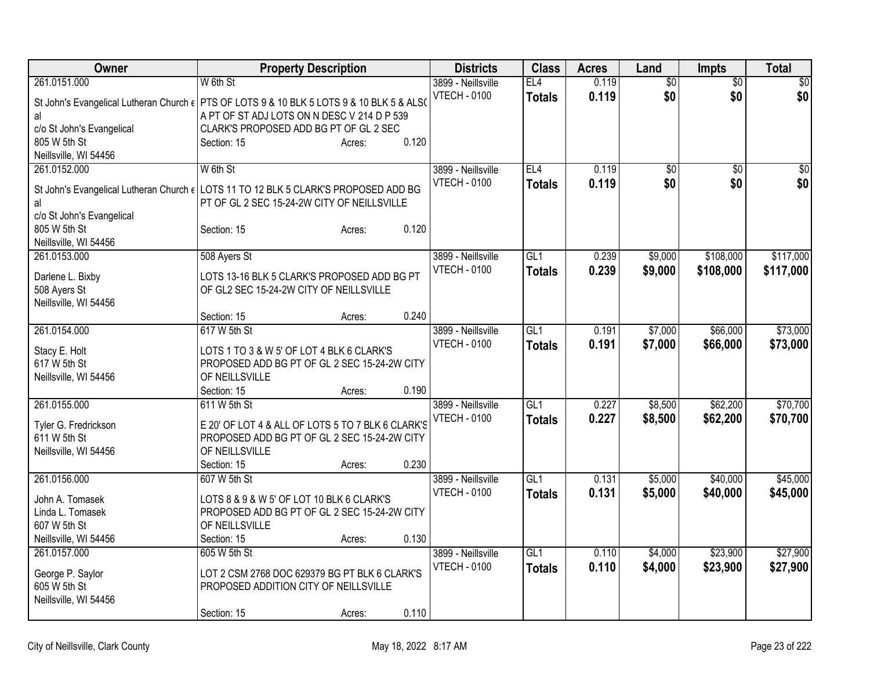| Owner                                   | <b>Property Description</b>                                                                          | <b>Districts</b>    | <b>Class</b>    | <b>Acres</b> | Land            | Impts           | <b>Total</b> |
|-----------------------------------------|------------------------------------------------------------------------------------------------------|---------------------|-----------------|--------------|-----------------|-----------------|--------------|
| 261.0151.000                            | W 6th St                                                                                             | 3899 - Neillsville  | EL <sub>4</sub> | 0.119        | $\overline{50}$ | $\overline{50}$ | $\sqrt{30}$  |
|                                         | St John's Evangelical Lutheran Church $\epsilon$   PTS OF LOTS 9 & 10 BLK 5 LOTS 9 & 10 BLK 5 & ALSO | <b>VTECH - 0100</b> | <b>Totals</b>   | 0.119        | \$0             | \$0             | \$0          |
| al                                      | A PT OF ST ADJ LOTS ON N DESC V 214 D P 539                                                          |                     |                 |              |                 |                 |              |
| c/o St John's Evangelical               | CLARK'S PROPOSED ADD BG PT OF GL 2 SEC                                                               |                     |                 |              |                 |                 |              |
| 805 W 5th St                            | 0.120<br>Section: 15<br>Acres:                                                                       |                     |                 |              |                 |                 |              |
| Neillsville, WI 54456                   |                                                                                                      |                     |                 |              |                 |                 |              |
| 261.0152.000                            | W 6th St                                                                                             | 3899 - Neillsville  | EL4             | 0.119        | $\overline{50}$ | \$0             | \$0          |
| St John's Evangelical Lutheran Church e | LOTS 11 TO 12 BLK 5 CLARK'S PROPOSED ADD BG                                                          | <b>VTECH - 0100</b> | <b>Totals</b>   | 0.119        | \$0             | \$0             | \$0          |
| al                                      | PT OF GL 2 SEC 15-24-2W CITY OF NEILLSVILLE                                                          |                     |                 |              |                 |                 |              |
| c/o St John's Evangelical               |                                                                                                      |                     |                 |              |                 |                 |              |
| 805 W 5th St                            | 0.120<br>Section: 15<br>Acres:                                                                       |                     |                 |              |                 |                 |              |
| Neillsville, WI 54456                   |                                                                                                      |                     |                 |              |                 |                 |              |
| 261.0153.000                            | 508 Ayers St                                                                                         | 3899 - Neillsville  | GL1             | 0.239        | \$9,000         | \$108,000       | \$117,000    |
| Darlene L. Bixby                        | LOTS 13-16 BLK 5 CLARK'S PROPOSED ADD BG PT                                                          | <b>VTECH - 0100</b> | <b>Totals</b>   | 0.239        | \$9,000         | \$108,000       | \$117,000    |
| 508 Ayers St                            | OF GL2 SEC 15-24-2W CITY OF NEILLSVILLE                                                              |                     |                 |              |                 |                 |              |
| Neillsville, WI 54456                   |                                                                                                      |                     |                 |              |                 |                 |              |
|                                         | 0.240<br>Section: 15<br>Acres:                                                                       |                     |                 |              |                 |                 |              |
| 261.0154.000                            | 617 W 5th St                                                                                         | 3899 - Neillsville  | GL <sub>1</sub> | 0.191        | \$7,000         | \$66,000        | \$73,000     |
|                                         | LOTS 1 TO 3 & W 5' OF LOT 4 BLK 6 CLARK'S                                                            | <b>VTECH - 0100</b> | <b>Totals</b>   | 0.191        | \$7,000         | \$66,000        | \$73,000     |
| Stacy E. Holt<br>617 W 5th St           | PROPOSED ADD BG PT OF GL 2 SEC 15-24-2W CITY                                                         |                     |                 |              |                 |                 |              |
| Neillsville, WI 54456                   | OF NEILLSVILLE                                                                                       |                     |                 |              |                 |                 |              |
|                                         | 0.190<br>Section: 15<br>Acres:                                                                       |                     |                 |              |                 |                 |              |
| 261.0155.000                            | 611 W 5th St                                                                                         | 3899 - Neillsville  | GL1             | 0.227        | \$8,500         | \$62,200        | \$70,700     |
|                                         |                                                                                                      | <b>VTECH - 0100</b> | <b>Totals</b>   | 0.227        | \$8,500         | \$62,200        | \$70,700     |
| Tyler G. Fredrickson                    | E 20' OF LOT 4 & ALL OF LOTS 5 TO 7 BLK 6 CLARK'S                                                    |                     |                 |              |                 |                 |              |
| 611 W 5th St<br>Neillsville, WI 54456   | PROPOSED ADD BG PT OF GL 2 SEC 15-24-2W CITY<br>OF NEILLSVILLE                                       |                     |                 |              |                 |                 |              |
|                                         | 0.230<br>Section: 15<br>Acres:                                                                       |                     |                 |              |                 |                 |              |
| 261.0156.000                            | 607 W 5th St                                                                                         | 3899 - Neillsville  | GL <sub>1</sub> | 0.131        | \$5,000         | \$40,000        | \$45,000     |
|                                         |                                                                                                      | <b>VTECH - 0100</b> | <b>Totals</b>   | 0.131        | \$5,000         | \$40,000        | \$45,000     |
| John A. Tomasek                         | LOTS 8 & 9 & W 5' OF LOT 10 BLK 6 CLARK'S                                                            |                     |                 |              |                 |                 |              |
| Linda L. Tomasek                        | PROPOSED ADD BG PT OF GL 2 SEC 15-24-2W CITY                                                         |                     |                 |              |                 |                 |              |
| 607 W 5th St                            | OF NEILLSVILLE<br>0.130                                                                              |                     |                 |              |                 |                 |              |
| Neillsville, WI 54456<br>261.0157.000   | Section: 15<br>Acres:<br>605 W 5th St                                                                | 3899 - Neillsville  | GL <sub>1</sub> |              |                 |                 | \$27,900     |
|                                         |                                                                                                      | <b>VTECH - 0100</b> |                 | 0.110        | \$4,000         | \$23,900        |              |
| George P. Saylor                        | LOT 2 CSM 2768 DOC 629379 BG PT BLK 6 CLARK'S                                                        |                     | <b>Totals</b>   | 0.110        | \$4,000         | \$23,900        | \$27,900     |
| 605 W 5th St                            | PROPOSED ADDITION CITY OF NEILLSVILLE                                                                |                     |                 |              |                 |                 |              |
| Neillsville, WI 54456                   |                                                                                                      |                     |                 |              |                 |                 |              |
|                                         | 0.110<br>Section: 15<br>Acres:                                                                       |                     |                 |              |                 |                 |              |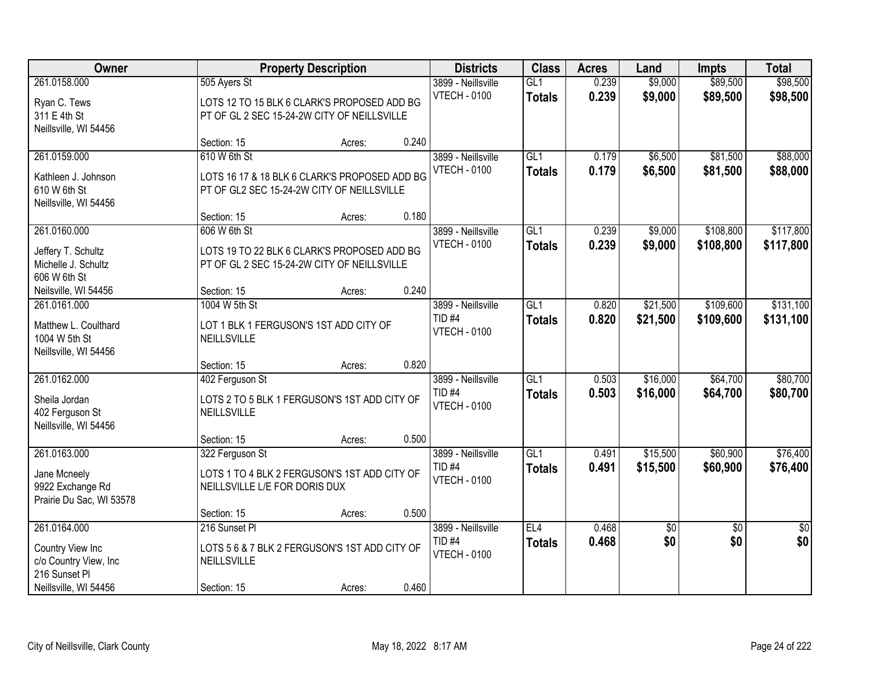| Owner                                                                          |                                                                                                             | <b>Property Description</b> |       | <b>Districts</b>                                               | <b>Class</b>                      | <b>Acres</b>   | Land                 | <b>Impts</b>           | <b>Total</b>           |
|--------------------------------------------------------------------------------|-------------------------------------------------------------------------------------------------------------|-----------------------------|-------|----------------------------------------------------------------|-----------------------------------|----------------|----------------------|------------------------|------------------------|
| 261.0158.000<br>Ryan C. Tews<br>311 E 4th St<br>Neillsville, WI 54456          | 505 Ayers St<br>LOTS 12 TO 15 BLK 6 CLARK'S PROPOSED ADD BG<br>PT OF GL 2 SEC 15-24-2W CITY OF NEILLSVILLE  |                             |       | 3899 - Neillsville<br><b>VTECH - 0100</b>                      | GL1<br><b>Totals</b>              | 0.239<br>0.239 | \$9,000<br>\$9,000   | \$89,500<br>\$89,500   | \$98,500<br>\$98,500   |
|                                                                                | Section: 15                                                                                                 | Acres:                      | 0.240 |                                                                |                                   |                |                      |                        |                        |
| 261.0159.000<br>Kathleen J. Johnson<br>610 W 6th St<br>Neillsville, WI 54456   | 610 W 6th St<br>LOTS 16 17 & 18 BLK 6 CLARK'S PROPOSED ADD BG<br>PT OF GL2 SEC 15-24-2W CITY OF NEILLSVILLE |                             |       | 3899 - Neillsville<br><b>VTECH - 0100</b>                      | GL1<br><b>Totals</b>              | 0.179<br>0.179 | \$6,500<br>\$6,500   | \$81,500<br>\$81,500   | \$88,000<br>\$88,000   |
| 261.0160.000                                                                   | Section: 15<br>606 W 6th St                                                                                 | Acres:                      | 0.180 | 3899 - Neillsville                                             | GL1                               | 0.239          | \$9,000              | \$108,800              | \$117,800              |
| Jeffery T. Schultz<br>Michelle J. Schultz<br>606 W 6th St                      | LOTS 19 TO 22 BLK 6 CLARK'S PROPOSED ADD BG<br>PT OF GL 2 SEC 15-24-2W CITY OF NEILLSVILLE                  |                             |       | <b>VTECH - 0100</b>                                            | <b>Totals</b>                     | 0.239          | \$9,000              | \$108,800              | \$117,800              |
| Neilsville, WI 54456                                                           | Section: 15                                                                                                 | Acres:                      | 0.240 |                                                                |                                   |                |                      |                        |                        |
| 261.0161.000<br>Matthew L. Coulthard<br>1004 W 5th St<br>Neillsville, WI 54456 | 1004 W 5th St<br>LOT 1 BLK 1 FERGUSON'S 1ST ADD CITY OF<br>NEILLSVILLE                                      |                             |       | 3899 - Neillsville<br>TID <sub>#4</sub><br><b>VTECH - 0100</b> | $\overline{GL1}$<br><b>Totals</b> | 0.820<br>0.820 | \$21,500<br>\$21,500 | \$109,600<br>\$109,600 | \$131,100<br>\$131,100 |
|                                                                                | Section: 15                                                                                                 | Acres:                      | 0.820 |                                                                |                                   |                |                      |                        |                        |
| 261.0162.000<br>Sheila Jordan<br>402 Ferguson St<br>Neillsville, WI 54456      | 402 Ferguson St<br>LOTS 2 TO 5 BLK 1 FERGUSON'S 1ST ADD CITY OF<br>NEILLSVILLE                              |                             |       | 3899 - Neillsville<br>TID <sub>#4</sub><br><b>VTECH - 0100</b> | $\overline{GL1}$<br><b>Totals</b> | 0.503<br>0.503 | \$16,000<br>\$16,000 | \$64,700<br>\$64,700   | \$80,700<br>\$80,700   |
|                                                                                | Section: 15                                                                                                 | Acres:                      | 0.500 |                                                                |                                   |                |                      |                        |                        |
| 261.0163.000<br>Jane Mcneely<br>9922 Exchange Rd<br>Prairie Du Sac, WI 53578   | 322 Ferguson St<br>LOTS 1 TO 4 BLK 2 FERGUSON'S 1ST ADD CITY OF<br>NEILLSVILLE L/E FOR DORIS DUX            |                             |       | 3899 - Neillsville<br><b>TID #4</b><br><b>VTECH - 0100</b>     | GL1<br><b>Totals</b>              | 0.491<br>0.491 | \$15,500<br>\$15,500 | \$60,900<br>\$60,900   | \$76,400<br>\$76,400   |
| 261.0164.000                                                                   | Section: 15<br>216 Sunset Pl                                                                                | Acres:                      | 0.500 | 3899 - Neillsville                                             | EL4                               | 0.468          | \$0                  | $\overline{30}$        | $\overline{50}$        |
| Country View Inc<br>c/o Country View, Inc<br>216 Sunset Pl                     | LOTS 5 6 & 7 BLK 2 FERGUSON'S 1ST ADD CITY OF<br>NEILLSVILLE                                                |                             |       | TID <sub>#4</sub><br><b>VTECH - 0100</b>                       | <b>Totals</b>                     | 0.468          | \$0                  | \$0                    | \$0                    |
| Neillsville, WI 54456                                                          | Section: 15                                                                                                 | Acres:                      | 0.460 |                                                                |                                   |                |                      |                        |                        |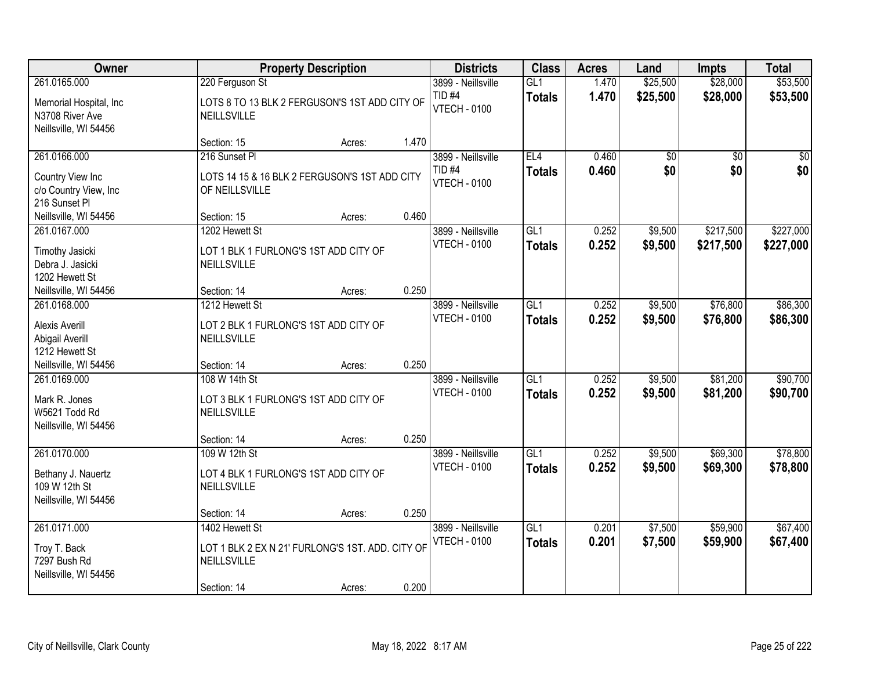| Owner                                                                              |                                                                                                  | <b>Property Description</b> |       | <b>Districts</b>                                               | <b>Class</b>                     | <b>Acres</b>   | Land                   | <b>Impts</b>           | <b>Total</b>           |
|------------------------------------------------------------------------------------|--------------------------------------------------------------------------------------------------|-----------------------------|-------|----------------------------------------------------------------|----------------------------------|----------------|------------------------|------------------------|------------------------|
| 261.0165.000<br>Memorial Hospital, Inc<br>N3708 River Ave<br>Neillsville, WI 54456 | 220 Ferguson St<br>LOTS 8 TO 13 BLK 2 FERGUSON'S 1ST ADD CITY OF<br>NEILLSVILLE                  |                             |       | 3899 - Neillsville<br>TID <sub>#4</sub><br><b>VTECH - 0100</b> | GL1<br><b>Totals</b>             | 1.470<br>1.470 | \$25,500<br>\$25,500   | \$28,000<br>\$28,000   | \$53,500<br>\$53,500   |
|                                                                                    | Section: 15                                                                                      | Acres:                      | 1.470 |                                                                |                                  |                |                        |                        |                        |
| 261.0166.000<br>Country View Inc<br>c/o Country View, Inc<br>216 Sunset Pl         | 216 Sunset PI<br>LOTS 14 15 & 16 BLK 2 FERGUSON'S 1ST ADD CITY<br>OF NEILLSVILLE                 |                             |       | 3899 - Neillsville<br>TID <sub>#4</sub><br><b>VTECH - 0100</b> | EL4<br><b>Totals</b>             | 0.460<br>0.460 | $\overline{50}$<br>\$0 | $\overline{50}$<br>\$0 | $\sqrt{50}$<br>\$0     |
| Neillsville, WI 54456                                                              | Section: 15                                                                                      | Acres:                      | 0.460 |                                                                |                                  |                |                        |                        |                        |
| 261.0167.000<br>Timothy Jasicki<br>Debra J. Jasicki<br>1202 Hewett St              | 1202 Hewett St<br>LOT 1 BLK 1 FURLONG'S 1ST ADD CITY OF<br>NEILLSVILLE                           |                             |       | 3899 - Neillsville<br><b>VTECH - 0100</b>                      | GL <sub>1</sub><br><b>Totals</b> | 0.252<br>0.252 | \$9,500<br>\$9,500     | \$217,500<br>\$217,500 | \$227,000<br>\$227,000 |
| Neillsville, WI 54456                                                              | Section: 14                                                                                      | Acres:                      | 0.250 |                                                                |                                  |                |                        |                        |                        |
| 261.0168.000<br>Alexis Averill<br>Abigail Averill<br>1212 Hewett St                | 1212 Hewett St<br>LOT 2 BLK 1 FURLONG'S 1ST ADD CITY OF<br>NEILLSVILLE                           |                             |       | 3899 - Neillsville<br><b>VTECH - 0100</b>                      | GL1<br><b>Totals</b>             | 0.252<br>0.252 | \$9,500<br>\$9,500     | \$76,800<br>\$76,800   | \$86,300<br>\$86,300   |
| Neillsville, WI 54456                                                              | Section: 14                                                                                      | Acres:                      | 0.250 |                                                                |                                  |                |                        |                        |                        |
| 261.0169.000<br>Mark R. Jones<br>W5621 Todd Rd<br>Neillsville, WI 54456            | 108 W 14th St<br>LOT 3 BLK 1 FURLONG'S 1ST ADD CITY OF<br>NEILLSVILLE<br>Section: 14             | Acres:                      | 0.250 | 3899 - Neillsville<br><b>VTECH - 0100</b>                      | GL1<br>Totals                    | 0.252<br>0.252 | \$9,500<br>\$9,500     | \$81,200<br>\$81,200   | \$90,700<br>\$90,700   |
| 261.0170.000                                                                       | 109 W 12th St                                                                                    |                             |       | 3899 - Neillsville                                             | GL1                              | 0.252          | \$9,500                | \$69,300               | \$78,800               |
| Bethany J. Nauertz<br>109 W 12th St<br>Neillsville, WI 54456                       | LOT 4 BLK 1 FURLONG'S 1ST ADD CITY OF<br>NEILLSVILLE                                             |                             |       | <b>VTECH - 0100</b>                                            | <b>Totals</b>                    | 0.252          | \$9,500                | \$69,300               | \$78,800               |
|                                                                                    | Section: 14                                                                                      | Acres:                      | 0.250 |                                                                |                                  |                |                        |                        |                        |
| 261.0171.000<br>Troy T. Back<br>7297 Bush Rd<br>Neillsville, WI 54456              | 1402 Hewett St<br>LOT 1 BLK 2 EX N 21' FURLONG'S 1ST. ADD. CITY OF<br>NEILLSVILLE<br>Section: 14 | Acres:                      | 0.200 | 3899 - Neillsville<br><b>VTECH - 0100</b>                      | GL1<br><b>Totals</b>             | 0.201<br>0.201 | \$7,500<br>\$7,500     | \$59,900<br>\$59,900   | \$67,400<br>\$67,400   |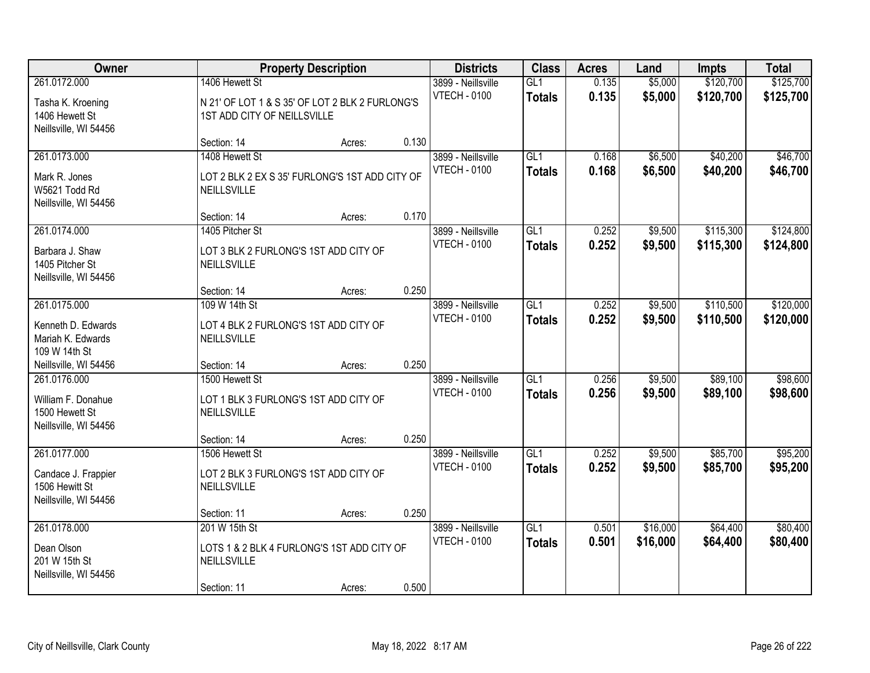| Owner                                                                         | <b>Property Description</b>                                                                      |        | <b>Districts</b> | <b>Class</b>                              | <b>Acres</b>                      | Land           | <b>Impts</b>         | <b>Total</b>           |                        |
|-------------------------------------------------------------------------------|--------------------------------------------------------------------------------------------------|--------|------------------|-------------------------------------------|-----------------------------------|----------------|----------------------|------------------------|------------------------|
| 261.0172.000<br>Tasha K. Kroening<br>1406 Hewett St<br>Neillsville, WI 54456  | 1406 Hewett St<br>N 21' OF LOT 1 & S 35' OF LOT 2 BLK 2 FURLONG'S<br>1ST ADD CITY OF NEILLSVILLE |        |                  | 3899 - Neillsville<br><b>VTECH - 0100</b> | GL1<br><b>Totals</b>              | 0.135<br>0.135 | \$5,000<br>\$5,000   | \$120,700<br>\$120,700 | \$125,700<br>\$125,700 |
|                                                                               | Section: 14                                                                                      | Acres: | 0.130            |                                           |                                   |                |                      |                        |                        |
| 261.0173.000<br>Mark R. Jones<br>W5621 Todd Rd<br>Neillsville, WI 54456       | 1408 Hewett St<br>LOT 2 BLK 2 EX S 35' FURLONG'S 1ST ADD CITY OF<br>NEILLSVILLE                  |        |                  | 3899 - Neillsville<br><b>VTECH - 0100</b> | GL1<br><b>Totals</b>              | 0.168<br>0.168 | \$6,500<br>\$6,500   | \$40,200<br>\$40,200   | \$46,700<br>\$46,700   |
|                                                                               | Section: 14                                                                                      | Acres: | 0.170            |                                           |                                   |                |                      |                        |                        |
| 261.0174.000<br>Barbara J. Shaw<br>1405 Pitcher St<br>Neillsville, WI 54456   | 1405 Pitcher St<br>LOT 3 BLK 2 FURLONG'S 1ST ADD CITY OF<br>NEILLSVILLE                          |        |                  | 3899 - Neillsville<br><b>VTECH - 0100</b> | GL1<br><b>Totals</b>              | 0.252<br>0.252 | \$9,500<br>\$9,500   | \$115,300<br>\$115,300 | \$124,800<br>\$124,800 |
|                                                                               | Section: 14                                                                                      | Acres: | 0.250            |                                           |                                   |                |                      |                        |                        |
| 261.0175.000<br>Kenneth D. Edwards<br>Mariah K. Edwards<br>109 W 14th St      | 109 W 14th St<br>LOT 4 BLK 2 FURLONG'S 1ST ADD CITY OF<br>NEILLSVILLE                            |        |                  | 3899 - Neillsville<br><b>VTECH - 0100</b> | GL1<br><b>Totals</b>              | 0.252<br>0.252 | \$9,500<br>\$9,500   | \$110,500<br>\$110,500 | \$120,000<br>\$120,000 |
| Neillsville, WI 54456                                                         | Section: 14                                                                                      | Acres: | 0.250            |                                           |                                   |                |                      |                        |                        |
| 261.0176.000<br>William F. Donahue<br>1500 Hewett St<br>Neillsville, WI 54456 | 1500 Hewett St<br>LOT 1 BLK 3 FURLONG'S 1ST ADD CITY OF<br>NEILLSVILLE<br>Section: 14            | Acres: | 0.250            | 3899 - Neillsville<br><b>VTECH - 0100</b> | $\overline{GL1}$<br><b>Totals</b> | 0.256<br>0.256 | \$9,500<br>\$9,500   | \$89,100<br>\$89,100   | \$98,600<br>\$98,600   |
| 261.0177.000                                                                  | 1506 Hewett St                                                                                   |        |                  | 3899 - Neillsville                        | $\overline{GL1}$                  | 0.252          | \$9,500              | \$85,700               | \$95,200               |
| Candace J. Frappier<br>1506 Hewitt St<br>Neillsville, WI 54456                | LOT 2 BLK 3 FURLONG'S 1ST ADD CITY OF<br>NEILLSVILLE                                             |        |                  | <b>VTECH - 0100</b>                       | <b>Totals</b>                     | 0.252          | \$9,500              | \$85,700               | \$95,200               |
|                                                                               | Section: 11                                                                                      | Acres: | 0.250            |                                           |                                   |                |                      |                        |                        |
| 261.0178.000<br>Dean Olson<br>201 W 15th St<br>Neillsville, WI 54456          | 201 W 15th St<br>LOTS 1 & 2 BLK 4 FURLONG'S 1ST ADD CITY OF<br>NEILLSVILLE<br>Section: 11        | Acres: | 0.500            | 3899 - Neillsville<br><b>VTECH - 0100</b> | GL1<br><b>Totals</b>              | 0.501<br>0.501 | \$16,000<br>\$16,000 | \$64,400<br>\$64,400   | \$80,400<br>\$80,400   |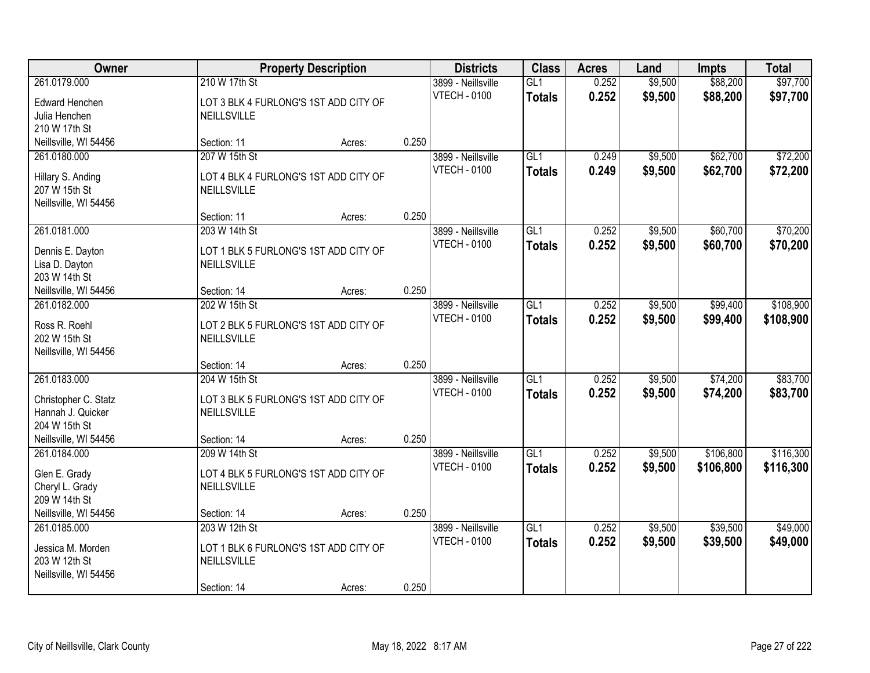| Owner                                                       |                                                        | <b>Property Description</b> |       | <b>Districts</b>                          | <b>Class</b>         | <b>Acres</b>   | Land               | <b>Impts</b>         | <b>Total</b>         |
|-------------------------------------------------------------|--------------------------------------------------------|-----------------------------|-------|-------------------------------------------|----------------------|----------------|--------------------|----------------------|----------------------|
| 261.0179.000<br>Edward Henchen                              | 210 W 17th St<br>LOT 3 BLK 4 FURLONG'S 1ST ADD CITY OF |                             |       | 3899 - Neillsville<br><b>VTECH - 0100</b> | GL1<br><b>Totals</b> | 0.252<br>0.252 | \$9,500<br>\$9,500 | \$88,200<br>\$88,200 | \$97,700<br>\$97,700 |
| Julia Henchen<br>210 W 17th St                              | NEILLSVILLE                                            |                             |       |                                           |                      |                |                    |                      |                      |
| Neillsville, WI 54456                                       | Section: 11                                            | Acres:                      | 0.250 |                                           |                      |                |                    |                      |                      |
| 261.0180.000                                                | 207 W 15th St                                          |                             |       | 3899 - Neillsville                        | GL1                  | 0.249          | \$9,500            | \$62,700             | \$72,200             |
| Hillary S. Anding<br>207 W 15th St<br>Neillsville, WI 54456 | LOT 4 BLK 4 FURLONG'S 1ST ADD CITY OF<br>NEILLSVILLE   |                             |       | <b>VTECH - 0100</b>                       | <b>Totals</b>        | 0.249          | \$9,500            | \$62,700             | \$72,200             |
|                                                             | Section: 11                                            | Acres:                      | 0.250 |                                           |                      |                |                    |                      |                      |
| 261.0181.000                                                | 203 W 14th St                                          |                             |       | 3899 - Neillsville                        | GL1                  | 0.252          | \$9,500            | \$60,700             | \$70,200             |
| Dennis E. Dayton<br>Lisa D. Dayton<br>203 W 14th St         | LOT 1 BLK 5 FURLONG'S 1ST ADD CITY OF<br>NEILLSVILLE   |                             |       | <b>VTECH - 0100</b>                       | <b>Totals</b>        | 0.252          | \$9,500            | \$60,700             | \$70,200             |
| Neillsville, WI 54456                                       | Section: 14                                            | Acres:                      | 0.250 |                                           |                      |                |                    |                      |                      |
| 261.0182.000                                                | 202 W 15th St                                          |                             |       | 3899 - Neillsville                        | GL1                  | 0.252          | \$9,500            | \$99,400             | \$108,900            |
| Ross R. Roehl<br>202 W 15th St<br>Neillsville, WI 54456     | LOT 2 BLK 5 FURLONG'S 1ST ADD CITY OF<br>NEILLSVILLE   |                             |       | <b>VTECH - 0100</b>                       | <b>Totals</b>        | 0.252          | \$9,500            | \$99,400             | \$108,900            |
|                                                             | Section: 14                                            | Acres:                      | 0.250 |                                           |                      |                |                    |                      |                      |
| 261.0183.000                                                | 204 W 15th St                                          |                             |       | 3899 - Neillsville                        | $\overline{GL1}$     | 0.252          | \$9,500            | \$74,200             | \$83,700             |
| Christopher C. Statz<br>Hannah J. Quicker<br>204 W 15th St  | LOT 3 BLK 5 FURLONG'S 1ST ADD CITY OF<br>NEILLSVILLE   |                             |       | <b>VTECH - 0100</b>                       | <b>Totals</b>        | 0.252          | \$9,500            | \$74,200             | \$83,700             |
| Neillsville, WI 54456                                       | Section: 14                                            | Acres:                      | 0.250 |                                           |                      |                |                    |                      |                      |
| 261.0184.000                                                | 209 W 14th St                                          |                             |       | 3899 - Neillsville                        | $\overline{GL1}$     | 0.252          | \$9,500            | \$106,800            | \$116,300            |
| Glen E. Grady<br>Cheryl L. Grady<br>209 W 14th St           | LOT 4 BLK 5 FURLONG'S 1ST ADD CITY OF<br>NEILLSVILLE   |                             |       | <b>VTECH - 0100</b>                       | <b>Totals</b>        | 0.252          | \$9,500            | \$106,800            | \$116,300            |
| Neillsville, WI 54456                                       | Section: 14                                            | Acres:                      | 0.250 |                                           |                      |                |                    |                      |                      |
| 261.0185.000                                                | 203 W 12th St                                          |                             |       | 3899 - Neillsville                        | GL1                  | 0.252          | \$9,500            | \$39,500             | \$49,000             |
| Jessica M. Morden<br>203 W 12th St<br>Neillsville, WI 54456 | LOT 1 BLK 6 FURLONG'S 1ST ADD CITY OF<br>NEILLSVILLE   |                             |       | <b>VTECH - 0100</b>                       | <b>Totals</b>        | 0.252          | \$9,500            | \$39,500             | \$49,000             |
|                                                             | Section: 14                                            | Acres:                      | 0.250 |                                           |                      |                |                    |                      |                      |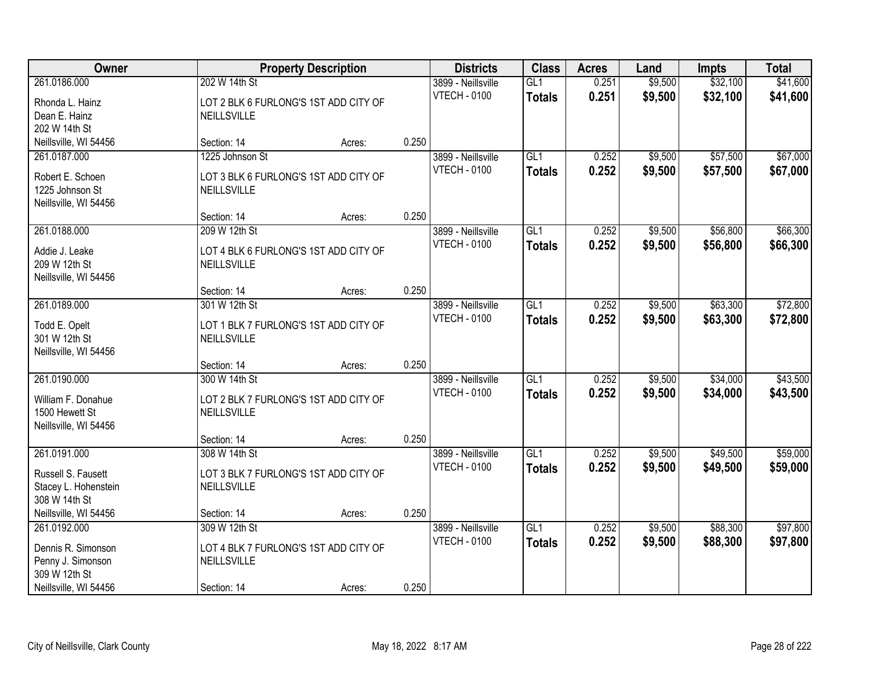| Owner                          |                                                      | <b>Property Description</b> |       | <b>Districts</b>                          | <b>Class</b>     | <b>Acres</b> | Land    | <b>Impts</b> | <b>Total</b> |
|--------------------------------|------------------------------------------------------|-----------------------------|-------|-------------------------------------------|------------------|--------------|---------|--------------|--------------|
| 261.0186.000                   | 202 W 14th St                                        |                             |       | 3899 - Neillsville                        | GL1              | 0.251        | \$9,500 | \$32,100     | \$41,600     |
| Rhonda L. Hainz                | LOT 2 BLK 6 FURLONG'S 1ST ADD CITY OF                |                             |       | <b>VTECH - 0100</b>                       | <b>Totals</b>    | 0.251        | \$9,500 | \$32,100     | \$41,600     |
| Dean E. Hainz                  | NEILLSVILLE                                          |                             |       |                                           |                  |              |         |              |              |
| 202 W 14th St                  |                                                      |                             |       |                                           |                  |              |         |              |              |
| Neillsville, WI 54456          | Section: 14                                          | Acres:                      | 0.250 |                                           |                  |              |         |              |              |
| 261.0187.000                   | 1225 Johnson St                                      |                             |       | 3899 - Neillsville                        | GL1              | 0.252        | \$9,500 | \$57,500     | \$67,000     |
| Robert E. Schoen               | LOT 3 BLK 6 FURLONG'S 1ST ADD CITY OF                |                             |       | <b>VTECH - 0100</b>                       | <b>Totals</b>    | 0.252        | \$9,500 | \$57,500     | \$67,000     |
| 1225 Johnson St                | NEILLSVILLE                                          |                             |       |                                           |                  |              |         |              |              |
| Neillsville, WI 54456          |                                                      |                             |       |                                           |                  |              |         |              |              |
|                                | Section: 14                                          | Acres:                      | 0.250 |                                           |                  |              |         |              |              |
| 261.0188.000                   | 209 W 12th St                                        |                             |       | 3899 - Neillsville                        | GL1              | 0.252        | \$9,500 | \$56,800     | \$66,300     |
| Addie J. Leake                 | LOT 4 BLK 6 FURLONG'S 1ST ADD CITY OF                |                             |       | <b>VTECH - 0100</b>                       | <b>Totals</b>    | 0.252        | \$9,500 | \$56,800     | \$66,300     |
| 209 W 12th St                  | NEILLSVILLE                                          |                             |       |                                           |                  |              |         |              |              |
| Neillsville, WI 54456          |                                                      |                             |       |                                           |                  |              |         |              |              |
|                                | Section: 14                                          | Acres:                      | 0.250 |                                           |                  |              |         |              |              |
| 261.0189.000                   | 301 W 12th St                                        |                             |       | 3899 - Neillsville                        | GL1              | 0.252        | \$9,500 | \$63,300     | \$72,800     |
|                                |                                                      |                             |       | <b>VTECH - 0100</b>                       | <b>Totals</b>    | 0.252        | \$9,500 | \$63,300     | \$72,800     |
| Todd E. Opelt<br>301 W 12th St | LOT 1 BLK 7 FURLONG'S 1ST ADD CITY OF<br>NEILLSVILLE |                             |       |                                           |                  |              |         |              |              |
| Neillsville, WI 54456          |                                                      |                             |       |                                           |                  |              |         |              |              |
|                                | Section: 14                                          | Acres:                      | 0.250 |                                           |                  |              |         |              |              |
| 261.0190.000                   | 300 W 14th St                                        |                             |       | 3899 - Neillsville                        | $\overline{GL1}$ | 0.252        | \$9,500 | \$34,000     | \$43,500     |
|                                |                                                      |                             |       | <b>VTECH - 0100</b>                       | Totals           | 0.252        | \$9,500 | \$34,000     | \$43,500     |
| William F. Donahue             | LOT 2 BLK 7 FURLONG'S 1ST ADD CITY OF                |                             |       |                                           |                  |              |         |              |              |
| 1500 Hewett St                 | NEILLSVILLE                                          |                             |       |                                           |                  |              |         |              |              |
| Neillsville, WI 54456          |                                                      |                             |       |                                           |                  |              |         |              |              |
| 261.0191.000                   | Section: 14<br>308 W 14th St                         | Acres:                      | 0.250 |                                           | GL1              | 0.252        | \$9,500 | \$49,500     | \$59,000     |
|                                |                                                      |                             |       | 3899 - Neillsville<br><b>VTECH - 0100</b> |                  |              |         |              |              |
| Russell S. Fausett             | LOT 3 BLK 7 FURLONG'S 1ST ADD CITY OF                |                             |       |                                           | <b>Totals</b>    | 0.252        | \$9,500 | \$49,500     | \$59,000     |
| Stacey L. Hohenstein           | NEILLSVILLE                                          |                             |       |                                           |                  |              |         |              |              |
| 308 W 14th St                  |                                                      |                             |       |                                           |                  |              |         |              |              |
| Neillsville, WI 54456          | Section: 14                                          | Acres:                      | 0.250 |                                           |                  |              |         |              |              |
| 261.0192.000                   | 309 W 12th St                                        |                             |       | 3899 - Neillsville                        | GL1              | 0.252        | \$9,500 | \$88,300     | \$97,800     |
| Dennis R. Simonson             | LOT 4 BLK 7 FURLONG'S 1ST ADD CITY OF                |                             |       | <b>VTECH - 0100</b>                       | <b>Totals</b>    | 0.252        | \$9,500 | \$88,300     | \$97,800     |
| Penny J. Simonson              | NEILLSVILLE                                          |                             |       |                                           |                  |              |         |              |              |
| 309 W 12th St                  |                                                      |                             |       |                                           |                  |              |         |              |              |
| Neillsville, WI 54456          | Section: 14                                          | Acres:                      | 0.250 |                                           |                  |              |         |              |              |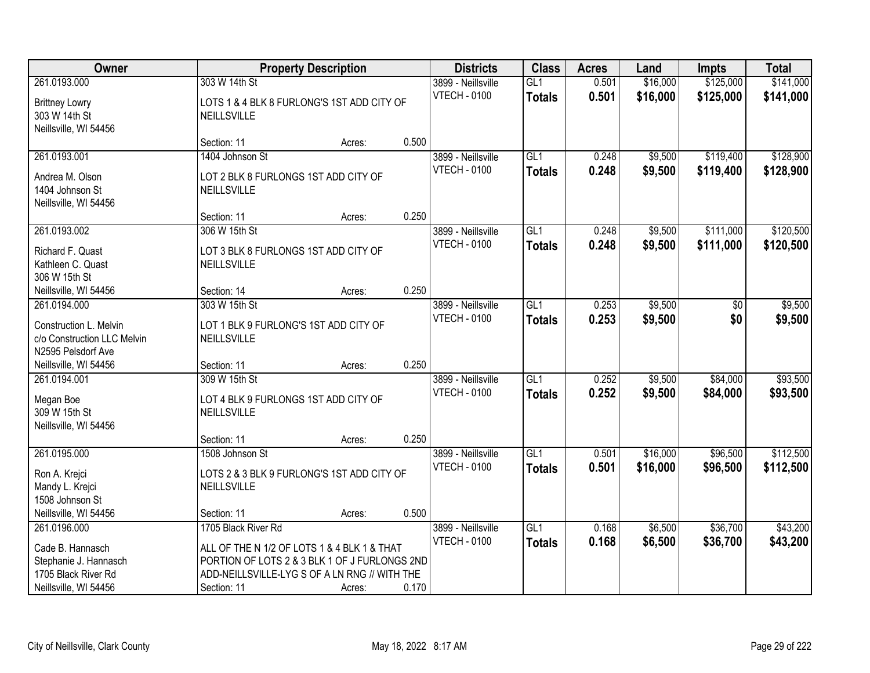| Owner                                                                       |                                                                                              | <b>Property Description</b> |       | <b>Districts</b>                          | <b>Class</b>                      | <b>Acres</b>   | Land               | <b>Impts</b>           | <b>Total</b>           |
|-----------------------------------------------------------------------------|----------------------------------------------------------------------------------------------|-----------------------------|-------|-------------------------------------------|-----------------------------------|----------------|--------------------|------------------------|------------------------|
| 261.0193.000                                                                | 303 W 14th St                                                                                |                             |       | 3899 - Neillsville                        | GL1                               | 0.501          | \$16,000           | \$125,000              | \$141,000              |
| <b>Brittney Lowry</b><br>303 W 14th St<br>Neillsville, WI 54456             | LOTS 1 & 4 BLK 8 FURLONG'S 1ST ADD CITY OF<br>NEILLSVILLE                                    |                             |       | <b>VTECH - 0100</b>                       | <b>Totals</b>                     | 0.501          | \$16,000           | \$125,000              | \$141,000              |
|                                                                             | Section: 11                                                                                  | Acres:                      | 0.500 |                                           |                                   |                |                    |                        |                        |
| 261.0193.001                                                                | 1404 Johnson St                                                                              |                             |       | 3899 - Neillsville<br><b>VTECH - 0100</b> | GL1<br>Totals                     | 0.248<br>0.248 | \$9,500<br>\$9,500 | \$119,400<br>\$119,400 | \$128,900<br>\$128,900 |
| Andrea M. Olson<br>1404 Johnson St<br>Neillsville, WI 54456                 | LOT 2 BLK 8 FURLONGS 1ST ADD CITY OF<br>NEILLSVILLE                                          |                             |       |                                           |                                   |                |                    |                        |                        |
|                                                                             | Section: 11                                                                                  | Acres:                      | 0.250 |                                           |                                   |                |                    |                        |                        |
| 261.0193.002                                                                | 306 W 15th St                                                                                |                             |       | 3899 - Neillsville                        | GL1                               | 0.248          | \$9,500            | \$111,000              | \$120,500              |
| Richard F. Quast<br>Kathleen C. Quast<br>306 W 15th St                      | LOT 3 BLK 8 FURLONGS 1ST ADD CITY OF<br>NEILLSVILLE                                          |                             |       | <b>VTECH - 0100</b>                       | <b>Totals</b>                     | 0.248          | \$9,500            | \$111,000              | \$120,500              |
| Neillsville, WI 54456                                                       | Section: 14                                                                                  | Acres:                      | 0.250 |                                           |                                   |                |                    |                        |                        |
| 261.0194.000                                                                | 303 W 15th St                                                                                |                             |       | 3899 - Neillsville                        | GLI                               | 0.253          | \$9,500            | \$0                    | \$9,500                |
| Construction L. Melvin<br>c/o Construction LLC Melvin<br>N2595 Pelsdorf Ave | LOT 1 BLK 9 FURLONG'S 1ST ADD CITY OF<br>NEILLSVILLE                                         |                             |       | <b>VTECH - 0100</b>                       | <b>Totals</b>                     | 0.253          | \$9,500            | \$0                    | \$9,500                |
| Neillsville, WI 54456                                                       | Section: 11                                                                                  | Acres:                      | 0.250 |                                           |                                   |                |                    |                        |                        |
| 261.0194.001                                                                | 309 W 15th St                                                                                |                             |       | 3899 - Neillsville<br><b>VTECH - 0100</b> | $\overline{GL1}$<br><b>Totals</b> | 0.252<br>0.252 | \$9,500<br>\$9,500 | \$84,000<br>\$84,000   | \$93,500<br>\$93,500   |
| Megan Boe<br>309 W 15th St<br>Neillsville, WI 54456                         | LOT 4 BLK 9 FURLONGS 1ST ADD CITY OF<br>NEILLSVILLE                                          |                             |       |                                           |                                   |                |                    |                        |                        |
|                                                                             | Section: 11                                                                                  | Acres:                      | 0.250 |                                           |                                   |                |                    |                        |                        |
| 261.0195.000                                                                | 1508 Johnson St                                                                              |                             |       | 3899 - Neillsville                        | GL1                               | 0.501          | \$16,000           | \$96,500               | \$112,500              |
| Ron A. Krejci<br>Mandy L. Krejci<br>1508 Johnson St                         | LOTS 2 & 3 BLK 9 FURLONG'S 1ST ADD CITY OF<br>NEILLSVILLE                                    |                             |       | <b>VTECH - 0100</b>                       | <b>Totals</b>                     | 0.501          | \$16,000           | \$96,500               | \$112,500              |
| Neillsville, WI 54456                                                       | Section: 11                                                                                  | Acres:                      | 0.500 |                                           |                                   |                |                    |                        |                        |
| 261.0196.000                                                                | 1705 Black River Rd                                                                          |                             |       | 3899 - Neillsville                        | GL1                               | 0.168          | \$6,500            | \$36,700               | \$43,200               |
| Cade B. Hannasch                                                            | ALL OF THE N 1/2 OF LOTS 1 & 4 BLK 1 & THAT<br>PORTION OF LOTS 2 & 3 BLK 1 OF J FURLONGS 2ND |                             |       | <b>VTECH - 0100</b>                       | <b>Totals</b>                     | 0.168          | \$6,500            | \$36,700               | \$43,200               |
| Stephanie J. Hannasch<br>1705 Black River Rd                                | ADD-NEILLSVILLE-LYG S OF A LN RNG // WITH THE                                                |                             |       |                                           |                                   |                |                    |                        |                        |
| Neillsville, WI 54456                                                       | Section: 11                                                                                  | Acres:                      | 0.170 |                                           |                                   |                |                    |                        |                        |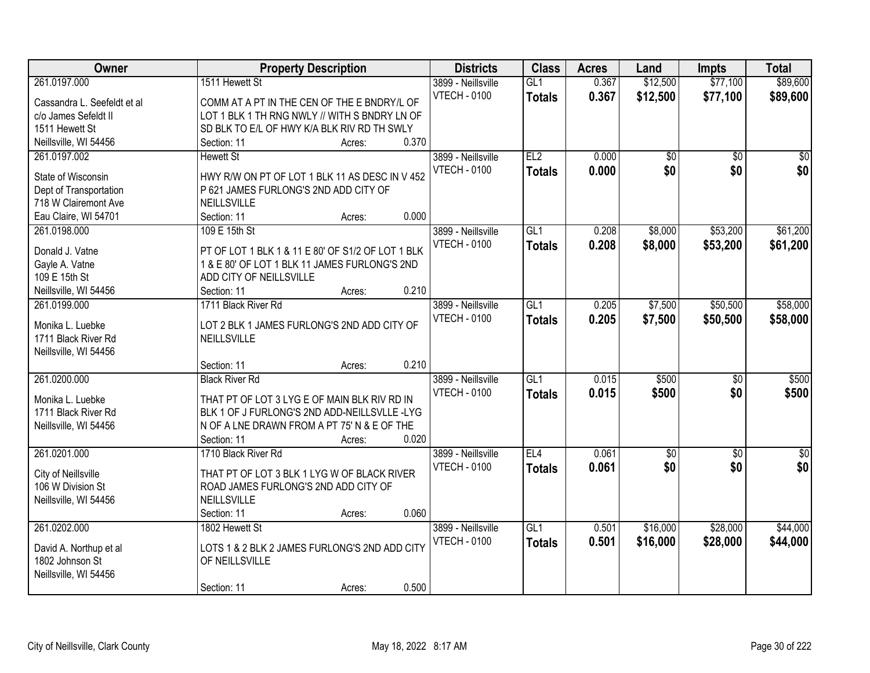| Owner                       | <b>Property Description</b>                       | <b>Districts</b>    | <b>Class</b>    | <b>Acres</b> | Land            | <b>Impts</b>    | <b>Total</b>     |
|-----------------------------|---------------------------------------------------|---------------------|-----------------|--------------|-----------------|-----------------|------------------|
| 261.0197.000                | 1511 Hewett St                                    | 3899 - Neillsville  | GL1             | 0.367        | \$12,500        | \$77,100        | \$89,600         |
| Cassandra L. Seefeldt et al | COMM AT A PT IN THE CEN OF THE E BNDRY/L OF       | <b>VTECH - 0100</b> | <b>Totals</b>   | 0.367        | \$12,500        | \$77,100        | \$89,600         |
| c/o James Sefeldt II        | LOT 1 BLK 1 TH RNG NWLY // WITH S BNDRY LN OF     |                     |                 |              |                 |                 |                  |
| 1511 Hewett St              | SD BLK TO E/L OF HWY K/A BLK RIV RD TH SWLY       |                     |                 |              |                 |                 |                  |
| Neillsville, WI 54456       | 0.370<br>Section: 11<br>Acres:                    |                     |                 |              |                 |                 |                  |
| 261.0197.002                | <b>Hewett St</b>                                  | 3899 - Neillsville  | EL2             | 0.000        | $\overline{50}$ | $\overline{30}$ | $\overline{30}$  |
|                             |                                                   | <b>VTECH - 0100</b> | <b>Totals</b>   | 0.000        | \$0             | \$0             | \$0              |
| State of Wisconsin          | HWY R/W ON PT OF LOT 1 BLK 11 AS DESC IN V 452    |                     |                 |              |                 |                 |                  |
| Dept of Transportation      | P 621 JAMES FURLONG'S 2ND ADD CITY OF             |                     |                 |              |                 |                 |                  |
| 718 W Clairemont Ave        | NEILLSVILLE                                       |                     |                 |              |                 |                 |                  |
| Eau Claire, WI 54701        | 0.000<br>Section: 11<br>Acres:                    |                     |                 |              |                 |                 |                  |
| 261.0198.000                | 109 E 15th St                                     | 3899 - Neillsville  | GL <sub>1</sub> | 0.208        | \$8,000         | \$53,200        | \$61,200         |
| Donald J. Vatne             | PT OF LOT 1 BLK 1 & 11 E 80' OF S1/2 OF LOT 1 BLK | <b>VTECH - 0100</b> | <b>Totals</b>   | 0.208        | \$8,000         | \$53,200        | \$61,200         |
| Gayle A. Vatne              | 1 & E 80' OF LOT 1 BLK 11 JAMES FURLONG'S 2ND     |                     |                 |              |                 |                 |                  |
| 109 E 15th St               | ADD CITY OF NEILLSVILLE                           |                     |                 |              |                 |                 |                  |
| Neillsville, WI 54456       | 0.210<br>Section: 11<br>Acres:                    |                     |                 |              |                 |                 |                  |
| 261.0199.000                | 1711 Black River Rd                               | 3899 - Neillsville  | GL1             | 0.205        | \$7,500         | \$50,500        | \$58,000         |
|                             |                                                   | <b>VTECH - 0100</b> | <b>Totals</b>   | 0.205        | \$7,500         | \$50,500        | \$58,000         |
| Monika L. Luebke            | LOT 2 BLK 1 JAMES FURLONG'S 2ND ADD CITY OF       |                     |                 |              |                 |                 |                  |
| 1711 Black River Rd         | NEILLSVILLE                                       |                     |                 |              |                 |                 |                  |
| Neillsville, WI 54456       |                                                   |                     |                 |              |                 |                 |                  |
|                             | 0.210<br>Section: 11<br>Acres:                    |                     |                 |              |                 |                 |                  |
| 261.0200.000                | <b>Black River Rd</b>                             | 3899 - Neillsville  | GL1             | 0.015        | \$500           | $\overline{30}$ | \$500            |
| Monika L. Luebke            | THAT PT OF LOT 3 LYG E OF MAIN BLK RIV RD IN      | <b>VTECH - 0100</b> | Totals          | 0.015        | \$500           | \$0             | \$500            |
| 1711 Black River Rd         | BLK 1 OF J FURLONG'S 2ND ADD-NEILLSVLLE-LYG       |                     |                 |              |                 |                 |                  |
| Neillsville, WI 54456       | N OF A LNE DRAWN FROM A PT 75' N & E OF THE       |                     |                 |              |                 |                 |                  |
|                             | Section: 11<br>0.020<br>Acres:                    |                     |                 |              |                 |                 |                  |
| 261.0201.000                | 1710 Black River Rd                               | 3899 - Neillsville  | EL4             | 0.061        | $\overline{50}$ | $\overline{50}$ | $\overline{\$0}$ |
|                             |                                                   |                     |                 |              |                 |                 |                  |
| City of Neillsville         | THAT PT OF LOT 3 BLK 1 LYG W OF BLACK RIVER       | <b>VTECH - 0100</b> | <b>Totals</b>   | 0.061        | \$0             | \$0             | \$0              |
| 106 W Division St           | ROAD JAMES FURLONG'S 2ND ADD CITY OF              |                     |                 |              |                 |                 |                  |
| Neillsville, WI 54456       | NEILLSVILLE                                       |                     |                 |              |                 |                 |                  |
|                             | 0.060<br>Section: 11<br>Acres:                    |                     |                 |              |                 |                 |                  |
| 261.0202.000                | 1802 Hewett St                                    | 3899 - Neillsville  | GL1             | 0.501        | \$16,000        | \$28,000        | \$44,000         |
|                             | LOTS 1 & 2 BLK 2 JAMES FURLONG'S 2ND ADD CITY     | <b>VTECH - 0100</b> | <b>Totals</b>   | 0.501        | \$16,000        | \$28,000        | \$44,000         |
| David A. Northup et al      |                                                   |                     |                 |              |                 |                 |                  |
| 1802 Johnson St             | OF NEILLSVILLE                                    |                     |                 |              |                 |                 |                  |
| Neillsville, WI 54456       |                                                   |                     |                 |              |                 |                 |                  |
|                             | 0.500<br>Section: 11<br>Acres:                    |                     |                 |              |                 |                 |                  |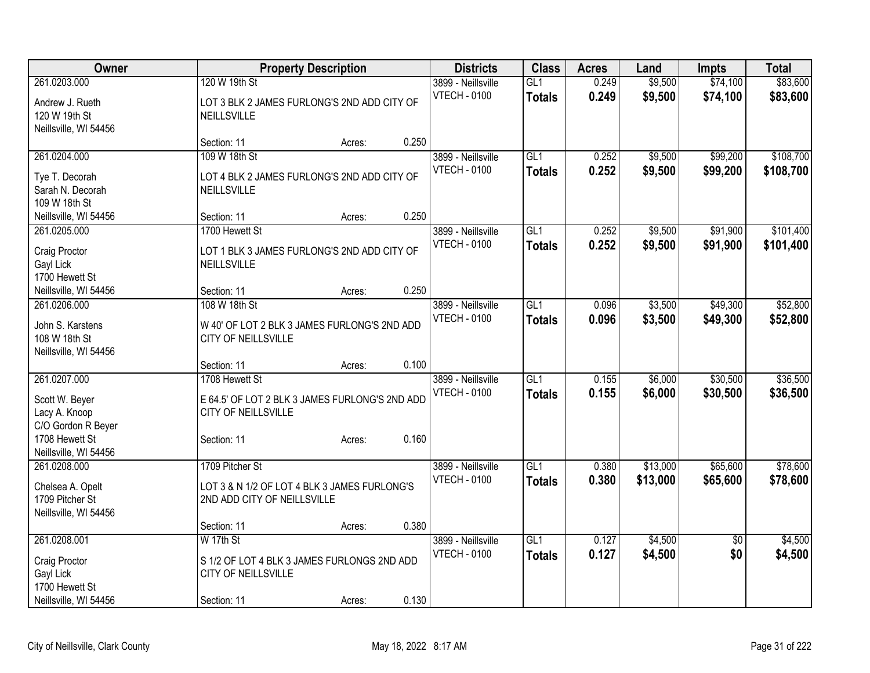| Owner                                | <b>Property Description</b>                    |        |       | <b>Districts</b>    | <b>Class</b>     | <b>Acres</b> | Land     | <b>Impts</b>    | <b>Total</b> |
|--------------------------------------|------------------------------------------------|--------|-------|---------------------|------------------|--------------|----------|-----------------|--------------|
| 261.0203.000                         | 120 W 19th St                                  |        |       | 3899 - Neillsville  | GL1              | 0.249        | \$9,500  | \$74,100        | \$83,600     |
| Andrew J. Rueth                      | LOT 3 BLK 2 JAMES FURLONG'S 2ND ADD CITY OF    |        |       | <b>VTECH - 0100</b> | <b>Totals</b>    | 0.249        | \$9,500  | \$74,100        | \$83,600     |
| 120 W 19th St                        | NEILLSVILLE                                    |        |       |                     |                  |              |          |                 |              |
| Neillsville, WI 54456                |                                                |        |       |                     |                  |              |          |                 |              |
|                                      | Section: 11                                    | Acres: | 0.250 |                     |                  |              |          |                 |              |
| 261.0204.000                         | 109 W 18th St                                  |        |       | 3899 - Neillsville  | GL1              | 0.252        | \$9,500  | \$99,200        | \$108,700    |
|                                      | LOT 4 BLK 2 JAMES FURLONG'S 2ND ADD CITY OF    |        |       | <b>VTECH - 0100</b> | <b>Totals</b>    | 0.252        | \$9,500  | \$99,200        | \$108,700    |
| Tye T. Decorah<br>Sarah N. Decorah   | NEILLSVILLE                                    |        |       |                     |                  |              |          |                 |              |
| 109 W 18th St                        |                                                |        |       |                     |                  |              |          |                 |              |
| Neillsville, WI 54456                | Section: 11                                    | Acres: | 0.250 |                     |                  |              |          |                 |              |
| 261.0205.000                         | 1700 Hewett St                                 |        |       | 3899 - Neillsville  | GL1              | 0.252        | \$9,500  | \$91,900        | \$101,400    |
|                                      |                                                |        |       | <b>VTECH - 0100</b> |                  | 0.252        | \$9,500  | \$91,900        |              |
| Craig Proctor                        | LOT 1 BLK 3 JAMES FURLONG'S 2ND ADD CITY OF    |        |       |                     | <b>Totals</b>    |              |          |                 | \$101,400    |
| Gayl Lick                            | NEILLSVILLE                                    |        |       |                     |                  |              |          |                 |              |
| 1700 Hewett St                       |                                                |        |       |                     |                  |              |          |                 |              |
| Neillsville, WI 54456                | Section: 11                                    | Acres: | 0.250 |                     |                  |              |          |                 |              |
| 261.0206.000                         | 108 W 18th St                                  |        |       | 3899 - Neillsville  | GL1              | 0.096        | \$3,500  | \$49,300        | \$52,800     |
| John S. Karstens                     | W 40' OF LOT 2 BLK 3 JAMES FURLONG'S 2ND ADD   |        |       | <b>VTECH - 0100</b> | <b>Totals</b>    | 0.096        | \$3,500  | \$49,300        | \$52,800     |
| 108 W 18th St                        | <b>CITY OF NEILLSVILLE</b>                     |        |       |                     |                  |              |          |                 |              |
| Neillsville, WI 54456                |                                                |        |       |                     |                  |              |          |                 |              |
|                                      | Section: 11                                    | Acres: | 0.100 |                     |                  |              |          |                 |              |
| 261.0207.000                         | 1708 Hewett St                                 |        |       | 3899 - Neillsville  | $\overline{GL1}$ | 0.155        | \$6,000  | \$30,500        | \$36,500     |
|                                      |                                                |        |       | <b>VTECH - 0100</b> | <b>Totals</b>    | 0.155        | \$6,000  | \$30,500        | \$36,500     |
| Scott W. Beyer                       | E 64.5' OF LOT 2 BLK 3 JAMES FURLONG'S 2ND ADD |        |       |                     |                  |              |          |                 |              |
| Lacy A. Knoop                        | <b>CITY OF NEILLSVILLE</b>                     |        |       |                     |                  |              |          |                 |              |
| C/O Gordon R Beyer<br>1708 Hewett St | Section: 11                                    | Acres: | 0.160 |                     |                  |              |          |                 |              |
| Neillsville, WI 54456                |                                                |        |       |                     |                  |              |          |                 |              |
| 261.0208.000                         | 1709 Pitcher St                                |        |       | 3899 - Neillsville  | $\overline{GL1}$ | 0.380        | \$13,000 | \$65,600        | \$78,600     |
|                                      |                                                |        |       | <b>VTECH - 0100</b> | <b>Totals</b>    | 0.380        | \$13,000 | \$65,600        | \$78,600     |
| Chelsea A. Opelt                     | LOT 3 & N 1/2 OF LOT 4 BLK 3 JAMES FURLONG'S   |        |       |                     |                  |              |          |                 |              |
| 1709 Pitcher St                      | 2ND ADD CITY OF NEILLSVILLE                    |        |       |                     |                  |              |          |                 |              |
| Neillsville, WI 54456                |                                                |        |       |                     |                  |              |          |                 |              |
|                                      | Section: 11                                    | Acres: | 0.380 |                     |                  |              |          |                 |              |
| 261.0208.001                         | W 17th St                                      |        |       | 3899 - Neillsville  | GL1              | 0.127        | \$4,500  | $\overline{50}$ | \$4,500      |
| Craig Proctor                        | S 1/2 OF LOT 4 BLK 3 JAMES FURLONGS 2ND ADD    |        |       | <b>VTECH - 0100</b> | <b>Totals</b>    | 0.127        | \$4,500  | \$0             | \$4,500      |
| <b>Gayl Lick</b>                     | <b>CITY OF NEILLSVILLE</b>                     |        |       |                     |                  |              |          |                 |              |
| 1700 Hewett St                       |                                                |        |       |                     |                  |              |          |                 |              |
| Neillsville, WI 54456                | Section: 11                                    | Acres: | 0.130 |                     |                  |              |          |                 |              |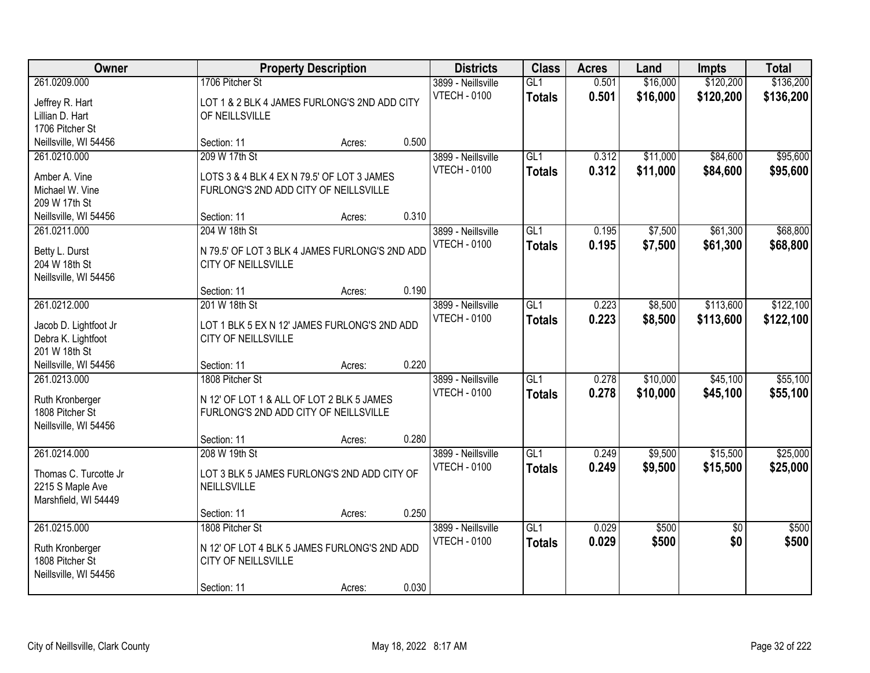| Owner                                                                                      |                                                                                                                      | <b>Property Description</b> |       | <b>Districts</b>                          | <b>Class</b>                      | <b>Acres</b>   | Land                 | <b>Impts</b>           | <b>Total</b>           |
|--------------------------------------------------------------------------------------------|----------------------------------------------------------------------------------------------------------------------|-----------------------------|-------|-------------------------------------------|-----------------------------------|----------------|----------------------|------------------------|------------------------|
| 261.0209.000<br>Jeffrey R. Hart<br>Lillian D. Hart<br>1706 Pitcher St                      | 1706 Pitcher St<br>LOT 1 & 2 BLK 4 JAMES FURLONG'S 2ND ADD CITY<br>OF NEILLSVILLE                                    |                             |       | 3899 - Neillsville<br><b>VTECH - 0100</b> | GL1<br><b>Totals</b>              | 0.501<br>0.501 | \$16,000<br>\$16,000 | \$120,200<br>\$120,200 | \$136,200<br>\$136,200 |
| Neillsville, WI 54456                                                                      | Section: 11                                                                                                          | Acres:                      | 0.500 |                                           |                                   |                |                      |                        |                        |
| 261.0210.000<br>Amber A. Vine<br>Michael W. Vine<br>209 W 17th St<br>Neillsville, WI 54456 | 209 W 17th St<br>LOTS 3 & 4 BLK 4 EX N 79.5' OF LOT 3 JAMES<br>FURLONG'S 2ND ADD CITY OF NEILLSVILLE<br>Section: 11  | Acres:                      | 0.310 | 3899 - Neillsville<br><b>VTECH - 0100</b> | GL1<br><b>Totals</b>              | 0.312<br>0.312 | \$11,000<br>\$11,000 | \$84,600<br>\$84,600   | \$95,600<br>\$95,600   |
| 261.0211.000                                                                               | 204 W 18th St                                                                                                        |                             |       | 3899 - Neillsville                        | GL1                               | 0.195          | \$7,500              | \$61,300               | \$68,800               |
| Betty L. Durst<br>204 W 18th St<br>Neillsville, WI 54456                                   | N 79.5' OF LOT 3 BLK 4 JAMES FURLONG'S 2ND ADD<br>CITY OF NEILLSVILLE                                                |                             |       | <b>VTECH - 0100</b>                       | <b>Totals</b>                     | 0.195          | \$7,500              | \$61,300               | \$68,800               |
|                                                                                            | Section: 11                                                                                                          | Acres:                      | 0.190 |                                           |                                   |                |                      |                        |                        |
| 261.0212.000<br>Jacob D. Lightfoot Jr<br>Debra K. Lightfoot<br>201 W 18th St               | 201 W 18th St<br>LOT 1 BLK 5 EX N 12' JAMES FURLONG'S 2ND ADD<br>CITY OF NEILLSVILLE                                 |                             |       | 3899 - Neillsville<br><b>VTECH - 0100</b> | GL1<br><b>Totals</b>              | 0.223<br>0.223 | \$8,500<br>\$8,500   | \$113,600<br>\$113,600 | \$122,100<br>\$122,100 |
| Neillsville, WI 54456                                                                      | Section: 11                                                                                                          | Acres:                      | 0.220 |                                           |                                   |                |                      |                        |                        |
| 261.0213.000<br>Ruth Kronberger<br>1808 Pitcher St<br>Neillsville, WI 54456                | 1808 Pitcher St<br>N 12' OF LOT 1 & ALL OF LOT 2 BLK 5 JAMES<br>FURLONG'S 2ND ADD CITY OF NEILLSVILLE<br>Section: 11 | Acres:                      | 0.280 | 3899 - Neillsville<br><b>VTECH - 0100</b> | $\overline{GL1}$<br><b>Totals</b> | 0.278<br>0.278 | \$10,000<br>\$10,000 | \$45,100<br>\$45,100   | \$55,100<br>\$55,100   |
| 261.0214.000                                                                               | 208 W 19th St                                                                                                        |                             |       | 3899 - Neillsville                        | $\overline{GL1}$                  | 0.249          | \$9,500              | \$15,500               | \$25,000               |
| Thomas C. Turcotte Jr<br>2215 S Maple Ave<br>Marshfield, WI 54449                          | LOT 3 BLK 5 JAMES FURLONG'S 2ND ADD CITY OF<br>NEILLSVILLE<br>Section: 11                                            | Acres:                      | 0.250 | <b>VTECH - 0100</b>                       | <b>Totals</b>                     | 0.249          | \$9,500              | \$15,500               | \$25,000               |
| 261.0215.000                                                                               | 1808 Pitcher St                                                                                                      |                             |       | 3899 - Neillsville                        | GL1                               | 0.029          | \$500                | $\overline{50}$        | \$500                  |
| Ruth Kronberger<br>1808 Pitcher St<br>Neillsville, WI 54456                                | N 12' OF LOT 4 BLK 5 JAMES FURLONG'S 2ND ADD<br>CITY OF NEILLSVILLE<br>Section: 11                                   | Acres:                      | 0.030 | <b>VTECH - 0100</b>                       | <b>Totals</b>                     | 0.029          | \$500                | \$0                    | \$500                  |
|                                                                                            |                                                                                                                      |                             |       |                                           |                                   |                |                      |                        |                        |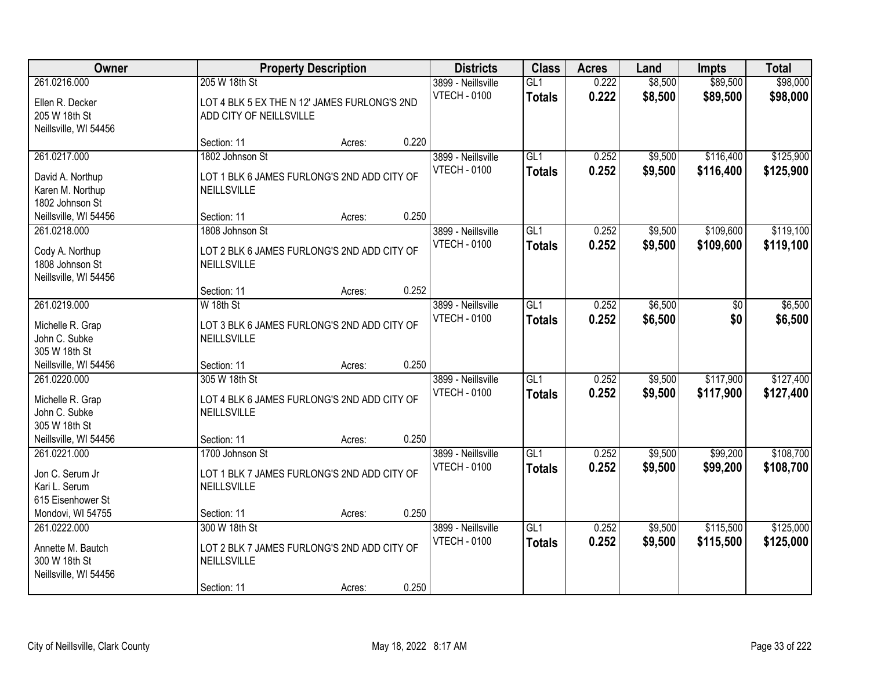| Owner                                                                                       |                                                                                            | <b>Property Description</b> |       | <b>Districts</b>                          | <b>Class</b>                      | <b>Acres</b>   | Land               | <b>Impts</b>           | <b>Total</b>           |
|---------------------------------------------------------------------------------------------|--------------------------------------------------------------------------------------------|-----------------------------|-------|-------------------------------------------|-----------------------------------|----------------|--------------------|------------------------|------------------------|
| 261.0216.000<br>Ellen R. Decker<br>205 W 18th St<br>Neillsville, WI 54456                   | 205 W 18th St<br>LOT 4 BLK 5 EX THE N 12' JAMES FURLONG'S 2ND<br>ADD CITY OF NEILLSVILLE   |                             |       | 3899 - Neillsville<br><b>VTECH - 0100</b> | GL1<br><b>Totals</b>              | 0.222<br>0.222 | \$8,500<br>\$8,500 | \$89,500<br>\$89,500   | \$98,000<br>\$98,000   |
|                                                                                             | Section: 11                                                                                | Acres:                      | 0.220 |                                           |                                   |                |                    |                        |                        |
| 261.0217.000<br>David A. Northup<br>Karen M. Northup<br>1802 Johnson St                     | 1802 Johnson St<br>LOT 1 BLK 6 JAMES FURLONG'S 2ND ADD CITY OF<br>NEILLSVILLE              |                             |       | 3899 - Neillsville<br><b>VTECH - 0100</b> | GL1<br><b>Totals</b>              | 0.252<br>0.252 | \$9,500<br>\$9,500 | \$116,400<br>\$116,400 | \$125,900<br>\$125,900 |
| Neillsville, WI 54456                                                                       | Section: 11                                                                                | Acres:                      | 0.250 |                                           |                                   |                |                    |                        |                        |
| 261.0218.000<br>Cody A. Northup<br>1808 Johnson St<br>Neillsville, WI 54456                 | 1808 Johnson St<br>LOT 2 BLK 6 JAMES FURLONG'S 2ND ADD CITY OF<br>NEILLSVILLE              |                             |       | 3899 - Neillsville<br><b>VTECH - 0100</b> | GL1<br><b>Totals</b>              | 0.252<br>0.252 | \$9,500<br>\$9,500 | \$109,600<br>\$109,600 | \$119,100<br>\$119,100 |
|                                                                                             | Section: 11                                                                                | Acres:                      | 0.252 |                                           |                                   |                |                    |                        |                        |
| 261.0219.000<br>Michelle R. Grap<br>John C. Subke<br>305 W 18th St                          | W 18th St<br>LOT 3 BLK 6 JAMES FURLONG'S 2ND ADD CITY OF<br>NEILLSVILLE                    |                             |       | 3899 - Neillsville<br><b>VTECH - 0100</b> | $\overline{GL1}$<br><b>Totals</b> | 0.252<br>0.252 | \$6,500<br>\$6,500 | \$0<br>\$0             | \$6,500<br>\$6,500     |
| Neillsville, WI 54456                                                                       | Section: 11                                                                                | Acres:                      | 0.250 |                                           |                                   |                |                    |                        |                        |
| 261.0220.000<br>Michelle R. Grap<br>John C. Subke<br>305 W 18th St<br>Neillsville, WI 54456 | 305 W 18th St<br>LOT 4 BLK 6 JAMES FURLONG'S 2ND ADD CITY OF<br>NEILLSVILLE<br>Section: 11 | Acres:                      | 0.250 | 3899 - Neillsville<br><b>VTECH - 0100</b> | $\overline{GL1}$<br><b>Totals</b> | 0.252<br>0.252 | \$9,500<br>\$9,500 | \$117,900<br>\$117,900 | \$127,400<br>\$127,400 |
| 261.0221.000                                                                                | 1700 Johnson St                                                                            |                             |       | 3899 - Neillsville                        | GL1                               | 0.252          | \$9,500            | \$99,200               | \$108,700              |
| Jon C. Serum Jr<br>Kari L. Serum<br>615 Eisenhower St<br>Mondovi, WI 54755                  | LOT 1 BLK 7 JAMES FURLONG'S 2ND ADD CITY OF<br>NEILLSVILLE<br>Section: 11                  | Acres:                      | 0.250 | <b>VTECH - 0100</b>                       | <b>Totals</b>                     | 0.252          | \$9,500            | \$99,200               | \$108,700              |
| 261.0222.000<br>Annette M. Bautch<br>300 W 18th St<br>Neillsville, WI 54456                 | 300 W 18th St<br>LOT 2 BLK 7 JAMES FURLONG'S 2ND ADD CITY OF<br>NEILLSVILLE<br>Section: 11 | Acres:                      | 0.250 | 3899 - Neillsville<br><b>VTECH - 0100</b> | GL1<br><b>Totals</b>              | 0.252<br>0.252 | \$9,500<br>\$9,500 | \$115,500<br>\$115,500 | \$125,000<br>\$125,000 |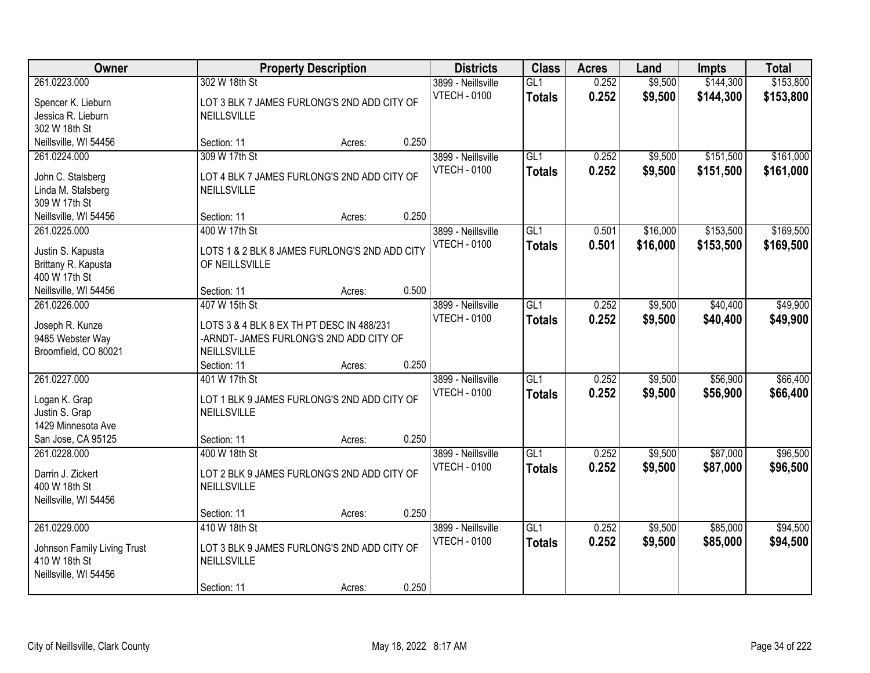| Owner                                                                                       |                                                                                                                      | <b>Property Description</b> |       | <b>Districts</b>                          | <b>Class</b>                      | <b>Acres</b>   | Land                 | <b>Impts</b>           | <b>Total</b>           |
|---------------------------------------------------------------------------------------------|----------------------------------------------------------------------------------------------------------------------|-----------------------------|-------|-------------------------------------------|-----------------------------------|----------------|----------------------|------------------------|------------------------|
| 261.0223.000<br>Spencer K. Lieburn<br>Jessica R. Lieburn                                    | 302 W 18th St<br>LOT 3 BLK 7 JAMES FURLONG'S 2ND ADD CITY OF<br>NEILLSVILLE                                          |                             |       | 3899 - Neillsville<br><b>VTECH - 0100</b> | GL1<br><b>Totals</b>              | 0.252<br>0.252 | \$9,500<br>\$9,500   | \$144,300<br>\$144,300 | \$153,800<br>\$153,800 |
| 302 W 18th St<br>Neillsville, WI 54456                                                      | Section: 11                                                                                                          | Acres:                      | 0.250 |                                           |                                   |                |                      |                        |                        |
| 261.0224.000<br>John C. Stalsberg<br>Linda M. Stalsberg<br>309 W 17th St                    | 309 W 17th St<br>LOT 4 BLK 7 JAMES FURLONG'S 2ND ADD CITY OF<br>NEILLSVILLE                                          |                             |       | 3899 - Neillsville<br><b>VTECH - 0100</b> | GL1<br><b>Totals</b>              | 0.252<br>0.252 | \$9,500<br>\$9,500   | \$151,500<br>\$151,500 | \$161,000<br>\$161,000 |
| Neillsville, WI 54456                                                                       | Section: 11                                                                                                          | Acres:                      | 0.250 |                                           |                                   |                |                      |                        |                        |
| 261.0225.000<br>Justin S. Kapusta<br>Brittany R. Kapusta<br>400 W 17th St                   | 400 W 17th St<br>LOTS 1 & 2 BLK 8 JAMES FURLONG'S 2ND ADD CITY<br>OF NEILLSVILLE                                     |                             |       | 3899 - Neillsville<br><b>VTECH - 0100</b> | GL1<br><b>Totals</b>              | 0.501<br>0.501 | \$16,000<br>\$16,000 | \$153,500<br>\$153,500 | \$169,500<br>\$169,500 |
| Neillsville, WI 54456                                                                       | Section: 11                                                                                                          | Acres:                      | 0.500 |                                           |                                   |                |                      |                        |                        |
| 261.0226.000<br>Joseph R. Kunze<br>9485 Webster Way<br>Broomfield, CO 80021                 | 407 W 15th St<br>LOTS 3 & 4 BLK 8 EX TH PT DESC IN 488/231<br>-ARNDT- JAMES FURLONG'S 2ND ADD CITY OF<br>NEILLSVILLE |                             |       | 3899 - Neillsville<br><b>VTECH - 0100</b> | $\overline{GL1}$<br><b>Totals</b> | 0.252<br>0.252 | \$9,500<br>\$9,500   | \$40,400<br>\$40,400   | \$49,900<br>\$49,900   |
|                                                                                             | Section: 11                                                                                                          | Acres:                      | 0.250 |                                           |                                   |                |                      |                        |                        |
| 261.0227.000<br>Logan K. Grap<br>Justin S. Grap<br>1429 Minnesota Ave<br>San Jose, CA 95125 | 401 W 17th St<br>LOT 1 BLK 9 JAMES FURLONG'S 2ND ADD CITY OF<br>NEILLSVILLE<br>Section: 11                           | Acres:                      | 0.250 | 3899 - Neillsville<br><b>VTECH - 0100</b> | $\overline{GL1}$<br><b>Totals</b> | 0.252<br>0.252 | \$9,500<br>\$9,500   | \$56,900<br>\$56,900   | \$66,400<br>\$66,400   |
| 261.0228.000<br>Darrin J. Zickert<br>400 W 18th St                                          | 400 W 18th St<br>LOT 2 BLK 9 JAMES FURLONG'S 2ND ADD CITY OF<br>NEILLSVILLE                                          |                             |       | 3899 - Neillsville<br><b>VTECH - 0100</b> | GL1<br><b>Totals</b>              | 0.252<br>0.252 | \$9,500<br>\$9,500   | \$87,000<br>\$87,000   | \$96,500<br>\$96,500   |
| Neillsville, WI 54456                                                                       | Section: 11                                                                                                          | Acres:                      | 0.250 |                                           |                                   |                |                      |                        |                        |
| 261.0229.000<br>Johnson Family Living Trust<br>410 W 18th St<br>Neillsville, WI 54456       | 410 W 18th St<br>LOT 3 BLK 9 JAMES FURLONG'S 2ND ADD CITY OF<br>NEILLSVILLE<br>Section: 11                           | Acres:                      | 0.250 | 3899 - Neillsville<br><b>VTECH - 0100</b> | GL1<br><b>Totals</b>              | 0.252<br>0.252 | \$9,500<br>\$9,500   | \$85,000<br>\$85,000   | \$94,500<br>\$94,500   |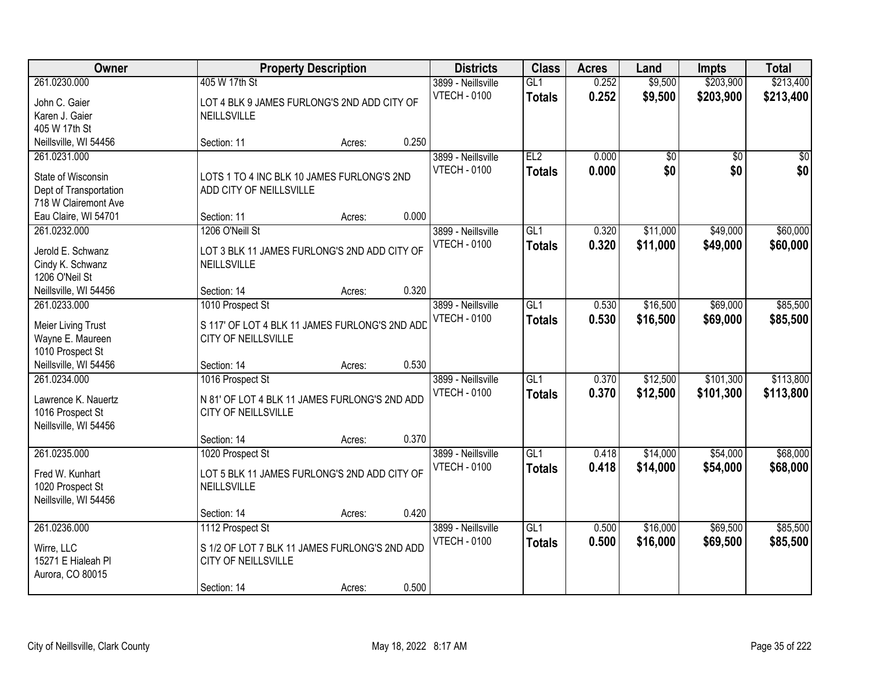| Owner                         |                                                              | <b>Property Description</b> |       | <b>Districts</b>                          | <b>Class</b>         | <b>Acres</b>   | Land                   | <b>Impts</b>           | <b>Total</b>           |
|-------------------------------|--------------------------------------------------------------|-----------------------------|-------|-------------------------------------------|----------------------|----------------|------------------------|------------------------|------------------------|
| 261.0230.000<br>John C. Gaier | 405 W 17th St<br>LOT 4 BLK 9 JAMES FURLONG'S 2ND ADD CITY OF |                             |       | 3899 - Neillsville<br><b>VTECH - 0100</b> | GL1<br><b>Totals</b> | 0.252<br>0.252 | \$9,500<br>\$9,500     | \$203,900<br>\$203,900 | \$213,400<br>\$213,400 |
| Karen J. Gaier                | NEILLSVILLE                                                  |                             |       |                                           |                      |                |                        |                        |                        |
| 405 W 17th St                 |                                                              |                             |       |                                           |                      |                |                        |                        |                        |
| Neillsville, WI 54456         | Section: 11                                                  | Acres:                      | 0.250 |                                           |                      |                |                        |                        |                        |
| 261.0231.000                  |                                                              |                             |       | 3899 - Neillsville<br><b>VTECH - 0100</b> | EL2                  | 0.000<br>0.000 | $\overline{50}$<br>\$0 | $\overline{30}$<br>\$0 | $\sqrt{50}$            |
| State of Wisconsin            | LOTS 1 TO 4 INC BLK 10 JAMES FURLONG'S 2ND                   |                             |       |                                           | <b>Totals</b>        |                |                        |                        | \$0                    |
| Dept of Transportation        | ADD CITY OF NEILLSVILLE                                      |                             |       |                                           |                      |                |                        |                        |                        |
| 718 W Clairemont Ave          |                                                              |                             |       |                                           |                      |                |                        |                        |                        |
| Eau Claire, WI 54701          | Section: 11                                                  | Acres:                      | 0.000 |                                           |                      |                |                        |                        |                        |
| 261.0232.000                  | 1206 O'Neill St                                              |                             |       | 3899 - Neillsville                        | GL <sub>1</sub>      | 0.320          | \$11,000               | \$49,000               | \$60,000               |
| Jerold E. Schwanz             | LOT 3 BLK 11 JAMES FURLONG'S 2ND ADD CITY OF                 |                             |       | <b>VTECH - 0100</b>                       | <b>Totals</b>        | 0.320          | \$11,000               | \$49,000               | \$60,000               |
| Cindy K. Schwanz              | NEILLSVILLE                                                  |                             |       |                                           |                      |                |                        |                        |                        |
| 1206 O'Neil St                |                                                              |                             |       |                                           |                      |                |                        |                        |                        |
| Neillsville, WI 54456         | Section: 14                                                  | Acres:                      | 0.320 |                                           |                      |                |                        |                        |                        |
| 261.0233.000                  | 1010 Prospect St                                             |                             |       | 3899 - Neillsville                        | GL1                  | 0.530          | \$16,500               | \$69,000               | \$85,500               |
| Meier Living Trust            | S 117' OF LOT 4 BLK 11 JAMES FURLONG'S 2ND ADD               |                             |       | <b>VTECH - 0100</b>                       | <b>Totals</b>        | 0.530          | \$16,500               | \$69,000               | \$85,500               |
| Wayne E. Maureen              | CITY OF NEILLSVILLE                                          |                             |       |                                           |                      |                |                        |                        |                        |
| 1010 Prospect St              |                                                              |                             |       |                                           |                      |                |                        |                        |                        |
| Neillsville, WI 54456         | Section: 14                                                  | Acres:                      | 0.530 |                                           |                      |                |                        |                        |                        |
| 261.0234.000                  | 1016 Prospect St                                             |                             |       | 3899 - Neillsville                        | GL1                  | 0.370          | \$12,500               | \$101,300              | \$113,800              |
| Lawrence K. Nauertz           | N 81' OF LOT 4 BLK 11 JAMES FURLONG'S 2ND ADD                |                             |       | <b>VTECH - 0100</b>                       | Totals               | 0.370          | \$12,500               | \$101,300              | \$113,800              |
| 1016 Prospect St              | CITY OF NEILLSVILLE                                          |                             |       |                                           |                      |                |                        |                        |                        |
| Neillsville, WI 54456         |                                                              |                             |       |                                           |                      |                |                        |                        |                        |
|                               | Section: 14                                                  | Acres:                      | 0.370 |                                           |                      |                |                        |                        |                        |
| 261.0235.000                  | 1020 Prospect St                                             |                             |       | 3899 - Neillsville                        | GL1                  | 0.418          | \$14,000               | \$54,000               | \$68,000               |
| Fred W. Kunhart               | LOT 5 BLK 11 JAMES FURLONG'S 2ND ADD CITY OF                 |                             |       | <b>VTECH - 0100</b>                       | <b>Totals</b>        | 0.418          | \$14,000               | \$54,000               | \$68,000               |
| 1020 Prospect St              | NEILLSVILLE                                                  |                             |       |                                           |                      |                |                        |                        |                        |
| Neillsville, WI 54456         |                                                              |                             |       |                                           |                      |                |                        |                        |                        |
|                               | Section: 14                                                  | Acres:                      | 0.420 |                                           |                      |                |                        |                        |                        |
| 261.0236.000                  | 1112 Prospect St                                             |                             |       | 3899 - Neillsville                        | GL1                  | 0.500          | \$16,000               | \$69,500               | \$85,500               |
| Wirre, LLC                    | S 1/2 OF LOT 7 BLK 11 JAMES FURLONG'S 2ND ADD                |                             |       | <b>VTECH - 0100</b>                       | <b>Totals</b>        | 0.500          | \$16,000               | \$69,500               | \$85,500               |
| 15271 E Hialeah Pl            | CITY OF NEILLSVILLE                                          |                             |       |                                           |                      |                |                        |                        |                        |
| Aurora, CO 80015              |                                                              |                             |       |                                           |                      |                |                        |                        |                        |
|                               | Section: 14                                                  | Acres:                      | 0.500 |                                           |                      |                |                        |                        |                        |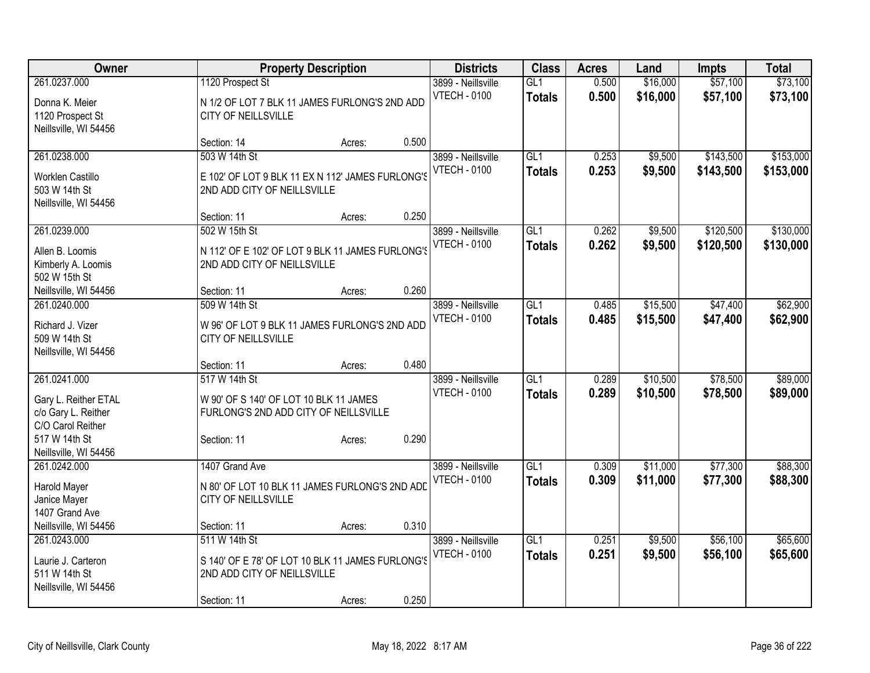| Owner                                       | <b>Property Description</b>                                                     |                 | <b>Districts</b>    | <b>Class</b>     | <b>Acres</b> | Land     | <b>Impts</b> | <b>Total</b> |
|---------------------------------------------|---------------------------------------------------------------------------------|-----------------|---------------------|------------------|--------------|----------|--------------|--------------|
| 261.0237.000                                | 1120 Prospect St                                                                |                 | 3899 - Neillsville  | GL1              | 0.500        | \$16,000 | \$57,100     | \$73,100     |
| Donna K. Meier                              | N 1/2 OF LOT 7 BLK 11 JAMES FURLONG'S 2ND ADD                                   |                 | <b>VTECH - 0100</b> | <b>Totals</b>    | 0.500        | \$16,000 | \$57,100     | \$73,100     |
| 1120 Prospect St                            | <b>CITY OF NEILLSVILLE</b>                                                      |                 |                     |                  |              |          |              |              |
| Neillsville, WI 54456                       |                                                                                 |                 |                     |                  |              |          |              |              |
|                                             | Section: 14                                                                     | 0.500<br>Acres: |                     |                  |              |          |              |              |
| 261.0238.000                                | 503 W 14th St                                                                   |                 | 3899 - Neillsville  | GL1              | 0.253        | \$9,500  | \$143,500    | \$153,000    |
| Worklen Castillo                            | E 102' OF LOT 9 BLK 11 EX N 112' JAMES FURLONG'S                                |                 | <b>VTECH - 0100</b> | <b>Totals</b>    | 0.253        | \$9,500  | \$143,500    | \$153,000    |
| 503 W 14th St                               | 2ND ADD CITY OF NEILLSVILLE                                                     |                 |                     |                  |              |          |              |              |
| Neillsville, WI 54456                       |                                                                                 |                 |                     |                  |              |          |              |              |
|                                             | Section: 11                                                                     | 0.250<br>Acres: |                     |                  |              |          |              |              |
| 261.0239.000                                | 502 W 15th St                                                                   |                 | 3899 - Neillsville  | GL1              | 0.262        | \$9,500  | \$120,500    | \$130,000    |
| Allen B. Loomis                             | N 112' OF E 102' OF LOT 9 BLK 11 JAMES FURLONG'S                                |                 | <b>VTECH - 0100</b> | <b>Totals</b>    | 0.262        | \$9,500  | \$120,500    | \$130,000    |
| Kimberly A. Loomis                          | 2ND ADD CITY OF NEILLSVILLE                                                     |                 |                     |                  |              |          |              |              |
| 502 W 15th St                               |                                                                                 |                 |                     |                  |              |          |              |              |
| Neillsville, WI 54456                       | Section: 11                                                                     | 0.260<br>Acres: |                     |                  |              |          |              |              |
| 261.0240.000                                | 509 W 14th St                                                                   |                 | 3899 - Neillsville  | GL1              | 0.485        | \$15,500 | \$47,400     | \$62,900     |
|                                             |                                                                                 |                 | <b>VTECH - 0100</b> | <b>Totals</b>    | 0.485        | \$15,500 | \$47,400     | \$62,900     |
| Richard J. Vizer<br>509 W 14th St           | W 96' OF LOT 9 BLK 11 JAMES FURLONG'S 2ND ADD<br>CITY OF NEILLSVILLE            |                 |                     |                  |              |          |              |              |
| Neillsville, WI 54456                       |                                                                                 |                 |                     |                  |              |          |              |              |
|                                             | Section: 11                                                                     | 0.480<br>Acres: |                     |                  |              |          |              |              |
| 261.0241.000                                | 517 W 14th St                                                                   |                 | 3899 - Neillsville  | $\overline{GL1}$ | 0.289        | \$10,500 | \$78,500     | \$89,000     |
|                                             |                                                                                 |                 | <b>VTECH - 0100</b> | <b>Totals</b>    | 0.289        | \$10,500 | \$78,500     | \$89,000     |
| Gary L. Reither ETAL<br>c/o Gary L. Reither | W 90' OF S 140' OF LOT 10 BLK 11 JAMES<br>FURLONG'S 2ND ADD CITY OF NEILLSVILLE |                 |                     |                  |              |          |              |              |
| C/O Carol Reither                           |                                                                                 |                 |                     |                  |              |          |              |              |
| 517 W 14th St                               | Section: 11                                                                     | 0.290<br>Acres: |                     |                  |              |          |              |              |
| Neillsville, WI 54456                       |                                                                                 |                 |                     |                  |              |          |              |              |
| 261.0242.000                                | 1407 Grand Ave                                                                  |                 | 3899 - Neillsville  | GL1              | 0.309        | \$11,000 | \$77,300     | \$88,300     |
| Harold Mayer                                | N 80' OF LOT 10 BLK 11 JAMES FURLONG'S 2ND ADD                                  |                 | <b>VTECH - 0100</b> | <b>Totals</b>    | 0.309        | \$11,000 | \$77,300     | \$88,300     |
| Janice Mayer                                | <b>CITY OF NEILLSVILLE</b>                                                      |                 |                     |                  |              |          |              |              |
| 1407 Grand Ave                              |                                                                                 |                 |                     |                  |              |          |              |              |
| Neillsville, WI 54456                       | Section: 11                                                                     | 0.310<br>Acres: |                     |                  |              |          |              |              |
| 261.0243.000                                | 511 W 14th St                                                                   |                 | 3899 - Neillsville  | $\overline{GL1}$ | 0.251        | \$9,500  | \$56,100     | \$65,600     |
| Laurie J. Carteron                          | S 140' OF E 78' OF LOT 10 BLK 11 JAMES FURLONG'S                                |                 | <b>VTECH - 0100</b> | <b>Totals</b>    | 0.251        | \$9,500  | \$56,100     | \$65,600     |
| 511 W 14th St                               | 2ND ADD CITY OF NEILLSVILLE                                                     |                 |                     |                  |              |          |              |              |
| Neillsville, WI 54456                       |                                                                                 |                 |                     |                  |              |          |              |              |
|                                             | Section: 11                                                                     | 0.250<br>Acres: |                     |                  |              |          |              |              |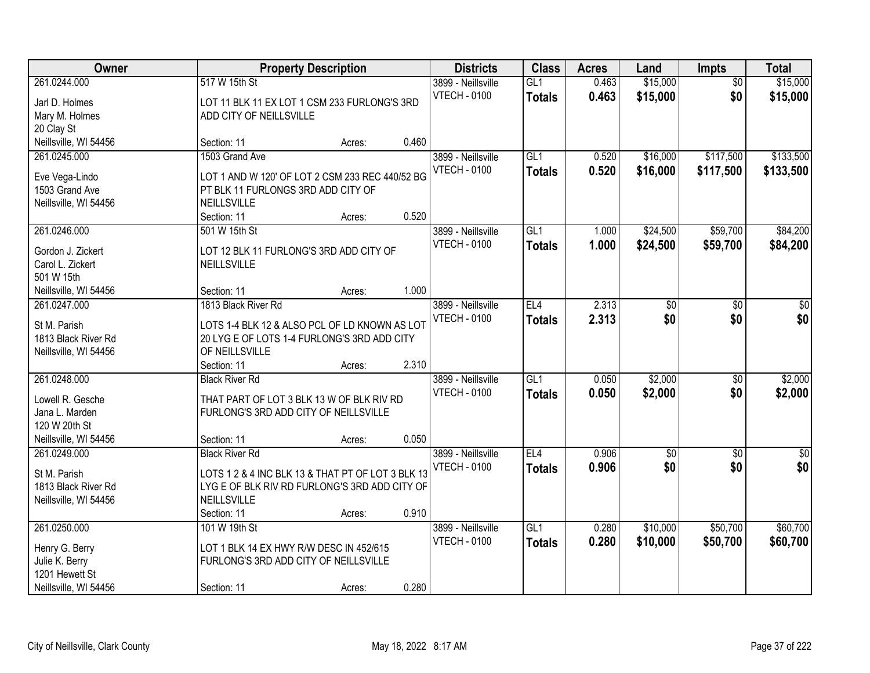| Owner                 |                                                   | <b>Property Description</b> |       | <b>Districts</b>    | <b>Class</b>  | <b>Acres</b> | Land       | <b>Impts</b>    | <b>Total</b> |
|-----------------------|---------------------------------------------------|-----------------------------|-------|---------------------|---------------|--------------|------------|-----------------|--------------|
| 261.0244.000          | 517 W 15th St                                     |                             |       | 3899 - Neillsville  | GL1           | 0.463        | \$15,000   | $\overline{50}$ | \$15,000     |
| Jarl D. Holmes        | LOT 11 BLK 11 EX LOT 1 CSM 233 FURLONG'S 3RD      |                             |       | <b>VTECH - 0100</b> | <b>Totals</b> | 0.463        | \$15,000   | \$0             | \$15,000     |
| Mary M. Holmes        | ADD CITY OF NEILLSVILLE                           |                             |       |                     |               |              |            |                 |              |
| 20 Clay St            |                                                   |                             |       |                     |               |              |            |                 |              |
| Neillsville, WI 54456 | Section: 11                                       | Acres:                      | 0.460 |                     |               |              |            |                 |              |
| 261.0245.000          | 1503 Grand Ave                                    |                             |       | 3899 - Neillsville  | GL1           | 0.520        | \$16,000   | \$117,500       | \$133,500    |
|                       |                                                   |                             |       | <b>VTECH - 0100</b> | <b>Totals</b> | 0.520        | \$16,000   | \$117,500       | \$133,500    |
| Eve Vega-Lindo        | LOT 1 AND W 120' OF LOT 2 CSM 233 REC 440/52 BG   |                             |       |                     |               |              |            |                 |              |
| 1503 Grand Ave        | PT BLK 11 FURLONGS 3RD ADD CITY OF                |                             |       |                     |               |              |            |                 |              |
| Neillsville, WI 54456 | NEILLSVILLE                                       |                             |       |                     |               |              |            |                 |              |
|                       | Section: 11                                       | Acres:                      | 0.520 |                     |               |              |            |                 |              |
| 261.0246.000          | 501 W 15th St                                     |                             |       | 3899 - Neillsville  | GL1           | 1.000        | \$24,500   | \$59,700        | \$84,200     |
| Gordon J. Zickert     | LOT 12 BLK 11 FURLONG'S 3RD ADD CITY OF           |                             |       | <b>VTECH - 0100</b> | <b>Totals</b> | 1.000        | \$24,500   | \$59,700        | \$84,200     |
| Carol L. Zickert      | NEILLSVILLE                                       |                             |       |                     |               |              |            |                 |              |
| 501 W 15th            |                                                   |                             |       |                     |               |              |            |                 |              |
| Neillsville, WI 54456 | Section: 11                                       | Acres:                      | 1.000 |                     |               |              |            |                 |              |
| 261.0247.000          | 1813 Black River Rd                               |                             |       | 3899 - Neillsville  | EL4           | 2.313        | \$0        | $\sqrt[6]{}$    | $\sqrt{50}$  |
|                       |                                                   |                             |       | <b>VTECH - 0100</b> | <b>Totals</b> | 2.313        | \$0        | \$0             | \$0          |
| St M. Parish          | LOTS 1-4 BLK 12 & ALSO PCL OF LD KNOWN AS LOT     |                             |       |                     |               |              |            |                 |              |
| 1813 Black River Rd   | 20 LYG E OF LOTS 1-4 FURLONG'S 3RD ADD CITY       |                             |       |                     |               |              |            |                 |              |
| Neillsville, WI 54456 | OF NEILLSVILLE                                    |                             |       |                     |               |              |            |                 |              |
|                       | Section: 11                                       | Acres:                      | 2.310 |                     |               |              |            |                 |              |
| 261.0248.000          | <b>Black River Rd</b>                             |                             |       | 3899 - Neillsville  | GL1           | 0.050        | \$2,000    | \$0             | \$2,000      |
| Lowell R. Gesche      | THAT PART OF LOT 3 BLK 13 W OF BLK RIV RD         |                             |       | <b>VTECH - 0100</b> | <b>Totals</b> | 0.050        | \$2,000    | \$0             | \$2,000      |
| Jana L. Marden        | FURLONG'S 3RD ADD CITY OF NEILLSVILLE             |                             |       |                     |               |              |            |                 |              |
| 120 W 20th St         |                                                   |                             |       |                     |               |              |            |                 |              |
| Neillsville, WI 54456 | Section: 11                                       | Acres:                      | 0.050 |                     |               |              |            |                 |              |
| 261.0249.000          | <b>Black River Rd</b>                             |                             |       | 3899 - Neillsville  | EL4           | 0.906        | $\sqrt{6}$ | \$0             | $\sqrt{$0]}$ |
|                       |                                                   |                             |       | <b>VTECH - 0100</b> | <b>Totals</b> | 0.906        | \$0        | \$0             | \$0          |
| St M. Parish          | LOTS 1 2 & 4 INC BLK 13 & THAT PT OF LOT 3 BLK 13 |                             |       |                     |               |              |            |                 |              |
| 1813 Black River Rd   | LYG E OF BLK RIV RD FURLONG'S 3RD ADD CITY OF     |                             |       |                     |               |              |            |                 |              |
| Neillsville, WI 54456 | <b>NEILLSVILLE</b>                                |                             |       |                     |               |              |            |                 |              |
|                       | Section: 11                                       | Acres:                      | 0.910 |                     |               |              |            |                 |              |
| 261.0250.000          | 101 W 19th St                                     |                             |       | 3899 - Neillsville  | GL1           | 0.280        | \$10,000   | \$50,700        | \$60,700     |
| Henry G. Berry        | LOT 1 BLK 14 EX HWY R/W DESC IN 452/615           |                             |       | <b>VTECH - 0100</b> | <b>Totals</b> | 0.280        | \$10,000   | \$50,700        | \$60,700     |
| Julie K. Berry        | FURLONG'S 3RD ADD CITY OF NEILLSVILLE             |                             |       |                     |               |              |            |                 |              |
| 1201 Hewett St        |                                                   |                             |       |                     |               |              |            |                 |              |
| Neillsville, WI 54456 | Section: 11                                       | Acres:                      | 0.280 |                     |               |              |            |                 |              |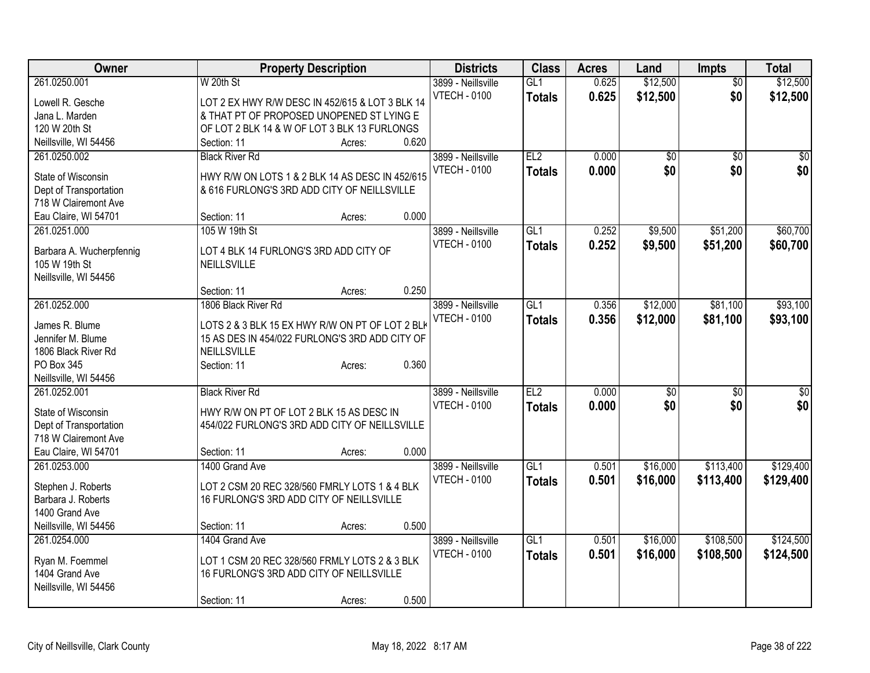| Owner                                          | <b>Property Description</b>                     | <b>Districts</b>                          | <b>Class</b>    | <b>Acres</b> | Land     | <b>Impts</b>    | <b>Total</b>    |
|------------------------------------------------|-------------------------------------------------|-------------------------------------------|-----------------|--------------|----------|-----------------|-----------------|
| 261.0250.001                                   | W 20th St                                       | 3899 - Neillsville                        | GL1             | 0.625        | \$12,500 | $\overline{50}$ | \$12,500        |
| Lowell R. Gesche                               | LOT 2 EX HWY R/W DESC IN 452/615 & LOT 3 BLK 14 | <b>VTECH - 0100</b>                       | <b>Totals</b>   | 0.625        | \$12,500 | \$0             | \$12,500        |
| Jana L. Marden                                 | & THAT PT OF PROPOSED UNOPENED ST LYING E       |                                           |                 |              |          |                 |                 |
| 120 W 20th St                                  | OF LOT 2 BLK 14 & W OF LOT 3 BLK 13 FURLONGS    |                                           |                 |              |          |                 |                 |
| Neillsville, WI 54456                          | 0.620<br>Section: 11<br>Acres:                  |                                           |                 |              |          |                 |                 |
| 261.0250.002                                   | <b>Black River Rd</b>                           | 3899 - Neillsville                        | EL <sub>2</sub> | 0.000        | \$0      | $\sqrt{6}$      | \$0             |
|                                                |                                                 | <b>VTECH - 0100</b>                       | <b>Totals</b>   | 0.000        | \$0      | \$0             | \$0             |
| State of Wisconsin                             | HWY R/W ON LOTS 1 & 2 BLK 14 AS DESC IN 452/615 |                                           |                 |              |          |                 |                 |
| Dept of Transportation<br>718 W Clairemont Ave | & 616 FURLONG'S 3RD ADD CITY OF NEILLSVILLE     |                                           |                 |              |          |                 |                 |
| Eau Claire, WI 54701                           | 0.000<br>Section: 11                            |                                           |                 |              |          |                 |                 |
|                                                | Acres:<br>105 W 19th St                         |                                           | GL1             |              |          | \$51,200        | \$60,700        |
| 261.0251.000                                   |                                                 | 3899 - Neillsville<br><b>VTECH - 0100</b> |                 | 0.252        | \$9,500  |                 |                 |
| Barbara A. Wucherpfennig                       | LOT 4 BLK 14 FURLONG'S 3RD ADD CITY OF          |                                           | <b>Totals</b>   | 0.252        | \$9,500  | \$51,200        | \$60,700        |
| 105 W 19th St                                  | <b>NEILLSVILLE</b>                              |                                           |                 |              |          |                 |                 |
| Neillsville, WI 54456                          |                                                 |                                           |                 |              |          |                 |                 |
|                                                | 0.250<br>Section: 11<br>Acres:                  |                                           |                 |              |          |                 |                 |
| 261.0252.000                                   | 1806 Black River Rd                             | 3899 - Neillsville                        | GL1             | 0.356        | \$12,000 | \$81,100        | \$93,100        |
|                                                |                                                 | <b>VTECH - 0100</b>                       | <b>Totals</b>   | 0.356        | \$12,000 | \$81,100        | \$93,100        |
| James R. Blume                                 | LOTS 2 & 3 BLK 15 EX HWY R/W ON PT OF LOT 2 BLK |                                           |                 |              |          |                 |                 |
| Jennifer M. Blume                              | 15 AS DES IN 454/022 FURLONG'S 3RD ADD CITY OF  |                                           |                 |              |          |                 |                 |
| 1806 Black River Rd<br>PO Box 345              | NEILLSVILLE<br>0.360                            |                                           |                 |              |          |                 |                 |
| Neillsville, WI 54456                          | Section: 11<br>Acres:                           |                                           |                 |              |          |                 |                 |
| 261.0252.001                                   | <b>Black River Rd</b>                           | 3899 - Neillsville                        | EL <sub>2</sub> | 0.000        | \$0      |                 | $\overline{50}$ |
|                                                |                                                 | <b>VTECH - 0100</b>                       |                 |              |          | $\frac{1}{20}$  |                 |
| State of Wisconsin                             | HWY R/W ON PT OF LOT 2 BLK 15 AS DESC IN        |                                           | <b>Totals</b>   | 0.000        | \$0      | \$0             | \$0             |
| Dept of Transportation                         | 454/022 FURLONG'S 3RD ADD CITY OF NEILLSVILLE   |                                           |                 |              |          |                 |                 |
| 718 W Clairemont Ave                           |                                                 |                                           |                 |              |          |                 |                 |
| Eau Claire, WI 54701                           | 0.000<br>Section: 11<br>Acres:                  |                                           |                 |              |          |                 |                 |
| 261.0253.000                                   | 1400 Grand Ave                                  | 3899 - Neillsville                        | GL1             | 0.501        | \$16,000 | \$113,400       | \$129,400       |
| Stephen J. Roberts                             | LOT 2 CSM 20 REC 328/560 FMRLY LOTS 1 & 4 BLK   | <b>VTECH - 0100</b>                       | <b>Totals</b>   | 0.501        | \$16,000 | \$113,400       | \$129,400       |
| Barbara J. Roberts                             | 16 FURLONG'S 3RD ADD CITY OF NEILLSVILLE        |                                           |                 |              |          |                 |                 |
| 1400 Grand Ave                                 |                                                 |                                           |                 |              |          |                 |                 |
| Neillsville, WI 54456                          | 0.500<br>Section: 11<br>Acres:                  |                                           |                 |              |          |                 |                 |
| 261.0254.000                                   | 1404 Grand Ave                                  | 3899 - Neillsville                        | GL1             | 0.501        | \$16,000 | \$108,500       | \$124,500       |
|                                                |                                                 | <b>VTECH - 0100</b>                       | <b>Totals</b>   | 0.501        | \$16,000 | \$108,500       | \$124,500       |
| Ryan M. Foemmel                                | LOT 1 CSM 20 REC 328/560 FRMLY LOTS 2 & 3 BLK   |                                           |                 |              |          |                 |                 |
| 1404 Grand Ave                                 | 16 FURLONG'S 3RD ADD CITY OF NEILLSVILLE        |                                           |                 |              |          |                 |                 |
| Neillsville, WI 54456                          |                                                 |                                           |                 |              |          |                 |                 |
|                                                | 0.500<br>Section: 11<br>Acres:                  |                                           |                 |              |          |                 |                 |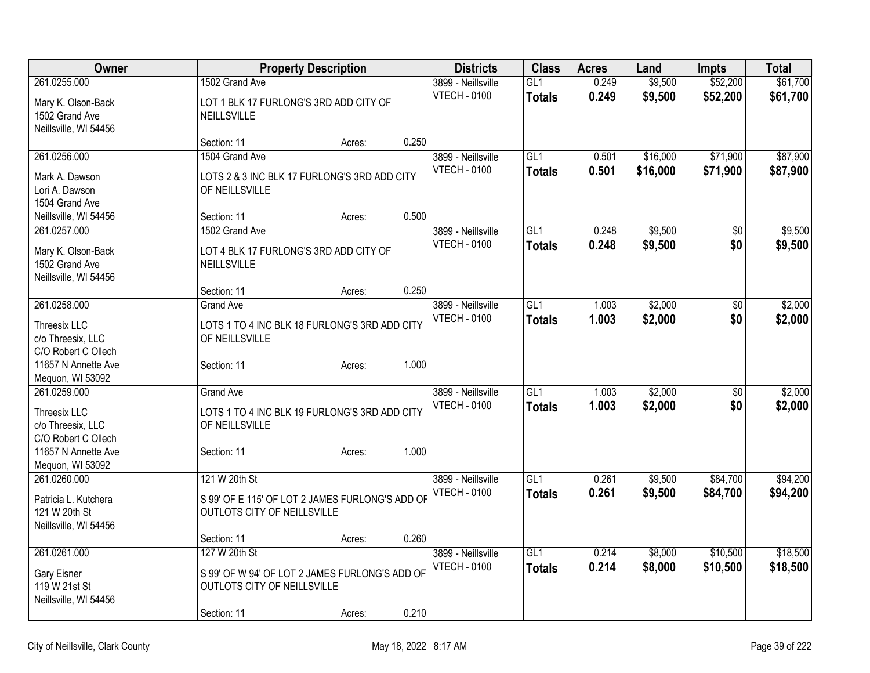| Owner                                   | <b>Property Description</b>                     |        |       | <b>Districts</b>    | <b>Class</b>    | <b>Acres</b> | Land     | <b>Impts</b> | <b>Total</b> |
|-----------------------------------------|-------------------------------------------------|--------|-------|---------------------|-----------------|--------------|----------|--------------|--------------|
| 261.0255.000                            | 1502 Grand Ave                                  |        |       | 3899 - Neillsville  | GL1             | 0.249        | \$9,500  | \$52,200     | \$61,700     |
| Mary K. Olson-Back                      | LOT 1 BLK 17 FURLONG'S 3RD ADD CITY OF          |        |       | <b>VTECH - 0100</b> | <b>Totals</b>   | 0.249        | \$9,500  | \$52,200     | \$61,700     |
| 1502 Grand Ave                          | <b>NEILLSVILLE</b>                              |        |       |                     |                 |              |          |              |              |
| Neillsville, WI 54456                   |                                                 |        |       |                     |                 |              |          |              |              |
|                                         | Section: 11                                     | Acres: | 0.250 |                     |                 |              |          |              |              |
| 261.0256.000                            | 1504 Grand Ave                                  |        |       | 3899 - Neillsville  | GL <sub>1</sub> | 0.501        | \$16,000 | \$71,900     | \$87,900     |
| Mark A. Dawson                          | LOTS 2 & 3 INC BLK 17 FURLONG'S 3RD ADD CITY    |        |       | <b>VTECH - 0100</b> | <b>Totals</b>   | 0.501        | \$16,000 | \$71,900     | \$87,900     |
| Lori A. Dawson                          | OF NEILLSVILLE                                  |        |       |                     |                 |              |          |              |              |
| 1504 Grand Ave                          |                                                 |        |       |                     |                 |              |          |              |              |
| Neillsville, WI 54456                   | Section: 11                                     | Acres: | 0.500 |                     |                 |              |          |              |              |
| 261.0257.000                            | 1502 Grand Ave                                  |        |       | 3899 - Neillsville  | GL1             | 0.248        | \$9,500  | \$0          | \$9,500      |
|                                         | LOT 4 BLK 17 FURLONG'S 3RD ADD CITY OF          |        |       | <b>VTECH - 0100</b> | <b>Totals</b>   | 0.248        | \$9,500  | \$0          | \$9,500      |
| Mary K. Olson-Back<br>1502 Grand Ave    | <b>NEILLSVILLE</b>                              |        |       |                     |                 |              |          |              |              |
| Neillsville, WI 54456                   |                                                 |        |       |                     |                 |              |          |              |              |
|                                         | Section: 11                                     | Acres: | 0.250 |                     |                 |              |          |              |              |
| 261.0258.000                            | <b>Grand Ave</b>                                |        |       | 3899 - Neillsville  | GL1             | 1.003        | \$2,000  | \$0          | \$2,000      |
|                                         |                                                 |        |       | <b>VTECH - 0100</b> | <b>Totals</b>   | 1.003        | \$2,000  | \$0          | \$2,000      |
| Threesix LLC                            | LOTS 1 TO 4 INC BLK 18 FURLONG'S 3RD ADD CITY   |        |       |                     |                 |              |          |              |              |
| c/o Threesix, LLC                       | OF NEILLSVILLE                                  |        |       |                     |                 |              |          |              |              |
| C/O Robert C Ollech                     |                                                 |        | 1.000 |                     |                 |              |          |              |              |
| 11657 N Annette Ave<br>Mequon, WI 53092 | Section: 11                                     | Acres: |       |                     |                 |              |          |              |              |
| 261.0259.000                            | <b>Grand Ave</b>                                |        |       | 3899 - Neillsville  | GL1             | 1.003        | \$2,000  | \$0          | \$2,000      |
|                                         |                                                 |        |       | <b>VTECH - 0100</b> | <b>Totals</b>   | 1.003        | \$2,000  | \$0          | \$2,000      |
| Threesix LLC                            | LOTS 1 TO 4 INC BLK 19 FURLONG'S 3RD ADD CITY   |        |       |                     |                 |              |          |              |              |
| c/o Threesix, LLC                       | OF NEILLSVILLE                                  |        |       |                     |                 |              |          |              |              |
| C/O Robert C Ollech                     |                                                 |        |       |                     |                 |              |          |              |              |
| 11657 N Annette Ave                     | Section: 11                                     | Acres: | 1.000 |                     |                 |              |          |              |              |
| Mequon, WI 53092                        |                                                 |        |       |                     |                 |              |          |              |              |
| 261.0260.000                            | 121 W 20th St                                   |        |       | 3899 - Neillsville  | GL <sub>1</sub> | 0.261        | \$9,500  | \$84,700     | \$94,200     |
| Patricia L. Kutchera                    | S 99' OF E 115' OF LOT 2 JAMES FURLONG'S ADD OF |        |       | <b>VTECH - 0100</b> | <b>Totals</b>   | 0.261        | \$9,500  | \$84,700     | \$94,200     |
| 121 W 20th St                           | OUTLOTS CITY OF NEILLSVILLE                     |        |       |                     |                 |              |          |              |              |
| Neillsville, WI 54456                   |                                                 |        |       |                     |                 |              |          |              |              |
|                                         | Section: 11                                     | Acres: | 0.260 |                     |                 |              |          |              |              |
| 261.0261.000                            | 127 W 20th St                                   |        |       | 3899 - Neillsville  | GL1             | 0.214        | \$8,000  | \$10,500     | \$18,500     |
| Gary Eisner                             | S 99' OF W 94' OF LOT 2 JAMES FURLONG'S ADD OF  |        |       | <b>VTECH - 0100</b> | <b>Totals</b>   | 0.214        | \$8,000  | \$10,500     | \$18,500     |
| 119 W 21st St                           | OUTLOTS CITY OF NEILLSVILLE                     |        |       |                     |                 |              |          |              |              |
| Neillsville, WI 54456                   |                                                 |        |       |                     |                 |              |          |              |              |
|                                         | Section: 11                                     | Acres: | 0.210 |                     |                 |              |          |              |              |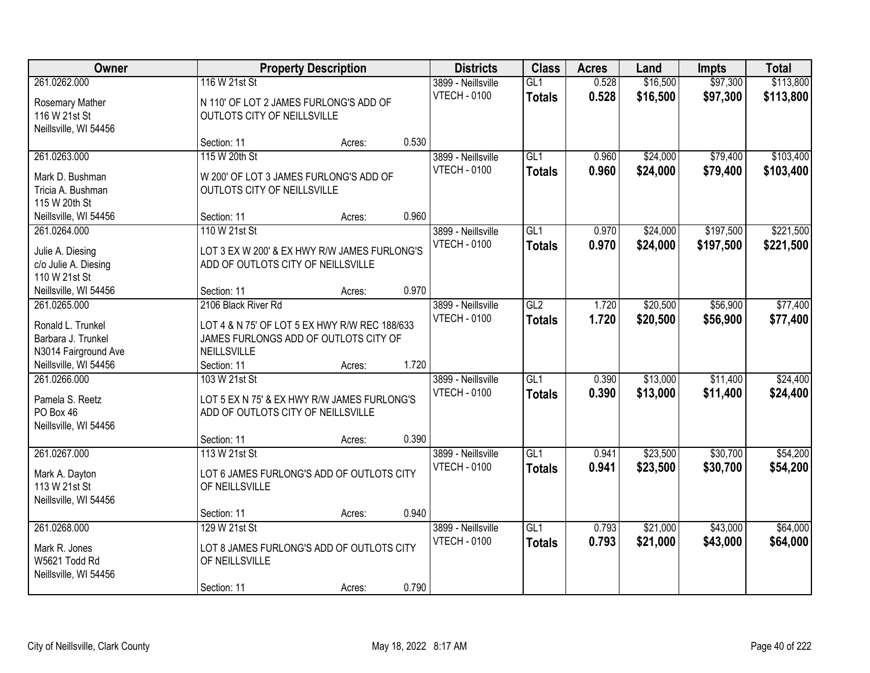| Owner                                                               |                                                                                        | <b>Property Description</b> |       | <b>Districts</b>                          | <b>Class</b>         | <b>Acres</b>   | Land                 | <b>Impts</b>         | <b>Total</b>           |
|---------------------------------------------------------------------|----------------------------------------------------------------------------------------|-----------------------------|-------|-------------------------------------------|----------------------|----------------|----------------------|----------------------|------------------------|
| 261.0262.000<br>Rosemary Mather<br>116 W 21st St                    | 116 W 21st St<br>N 110' OF LOT 2 JAMES FURLONG'S ADD OF<br>OUTLOTS CITY OF NEILLSVILLE |                             |       | 3899 - Neillsville<br><b>VTECH - 0100</b> | GL1<br><b>Totals</b> | 0.528<br>0.528 | \$16,500<br>\$16,500 | \$97,300<br>\$97,300 | \$113,800<br>\$113,800 |
| Neillsville, WI 54456                                               | Section: 11                                                                            | Acres:                      | 0.530 |                                           |                      |                |                      |                      |                        |
| 261.0263.000<br>Mark D. Bushman                                     | 115 W 20th St<br>W 200' OF LOT 3 JAMES FURLONG'S ADD OF                                |                             |       | 3899 - Neillsville<br><b>VTECH - 0100</b> | GL1<br><b>Totals</b> | 0.960<br>0.960 | \$24,000<br>\$24,000 | \$79,400<br>\$79,400 | \$103,400<br>\$103,400 |
| Tricia A. Bushman<br>115 W 20th St                                  | OUTLOTS CITY OF NEILLSVILLE                                                            |                             |       |                                           |                      |                |                      |                      |                        |
| Neillsville, WI 54456                                               | Section: 11                                                                            | Acres:                      | 0.960 |                                           |                      |                |                      |                      |                        |
| 261.0264.000                                                        | 110 W 21st St                                                                          |                             |       | 3899 - Neillsville                        | GL1                  | 0.970          | \$24,000             | \$197,500            | \$221,500              |
| Julie A. Diesing<br>c/o Julie A. Diesing<br>110 W 21st St           | LOT 3 EX W 200' & EX HWY R/W JAMES FURLONG'S<br>ADD OF OUTLOTS CITY OF NEILLSVILLE     |                             |       | <b>VTECH - 0100</b>                       | <b>Totals</b>        | 0.970          | \$24,000             | \$197,500            | \$221,500              |
| Neillsville, WI 54456                                               | Section: 11                                                                            | Acres:                      | 0.970 |                                           |                      |                |                      |                      |                        |
| 261.0265.000<br>Ronald L. Trunkel                                   | 2106 Black River Rd<br>LOT 4 & N 75' OF LOT 5 EX HWY R/W REC 188/633                   |                             |       | 3899 - Neillsville<br><b>VTECH - 0100</b> | GL2<br><b>Totals</b> | 1.720<br>1.720 | \$20,500<br>\$20,500 | \$56,900<br>\$56,900 | \$77,400<br>\$77,400   |
| Barbara J. Trunkel<br>N3014 Fairground Ave<br>Neillsville, WI 54456 | JAMES FURLONGS ADD OF OUTLOTS CITY OF<br>NEILLSVILLE<br>Section: 11                    | Acres:                      | 1.720 |                                           |                      |                |                      |                      |                        |
| 261.0266.000                                                        | 103 W 21st St                                                                          |                             |       | 3899 - Neillsville                        | $\overline{GL1}$     | 0.390          | \$13,000             | \$11,400             | \$24,400               |
| Pamela S. Reetz<br>PO Box 46<br>Neillsville, WI 54456               | LOT 5 EX N 75' & EX HWY R/W JAMES FURLONG'S<br>ADD OF OUTLOTS CITY OF NEILLSVILLE      |                             |       | <b>VTECH - 0100</b>                       | <b>Totals</b>        | 0.390          | \$13,000             | \$11,400             | \$24,400               |
|                                                                     | Section: 11                                                                            | Acres:                      | 0.390 |                                           |                      |                |                      |                      |                        |
| 261.0267.000<br>Mark A. Dayton<br>113 W 21st St                     | 113 W 21st St<br>LOT 6 JAMES FURLONG'S ADD OF OUTLOTS CITY<br>OF NEILLSVILLE           |                             |       | 3899 - Neillsville<br><b>VTECH - 0100</b> | GL1<br><b>Totals</b> | 0.941<br>0.941 | \$23,500<br>\$23,500 | \$30,700<br>\$30,700 | \$54,200<br>\$54,200   |
| Neillsville, WI 54456                                               |                                                                                        |                             | 0.940 |                                           |                      |                |                      |                      |                        |
| 261.0268.000                                                        | Section: 11<br>129 W 21st St                                                           | Acres:                      |       | 3899 - Neillsville                        | GL1                  | 0.793          | \$21,000             | \$43,000             | \$64,000               |
| Mark R. Jones<br>W5621 Todd Rd<br>Neillsville, WI 54456             | LOT 8 JAMES FURLONG'S ADD OF OUTLOTS CITY<br>OF NEILLSVILLE                            |                             |       | <b>VTECH - 0100</b>                       | <b>Totals</b>        | 0.793          | \$21,000             | \$43,000             | \$64,000               |
|                                                                     | Section: 11                                                                            | Acres:                      | 0.790 |                                           |                      |                |                      |                      |                        |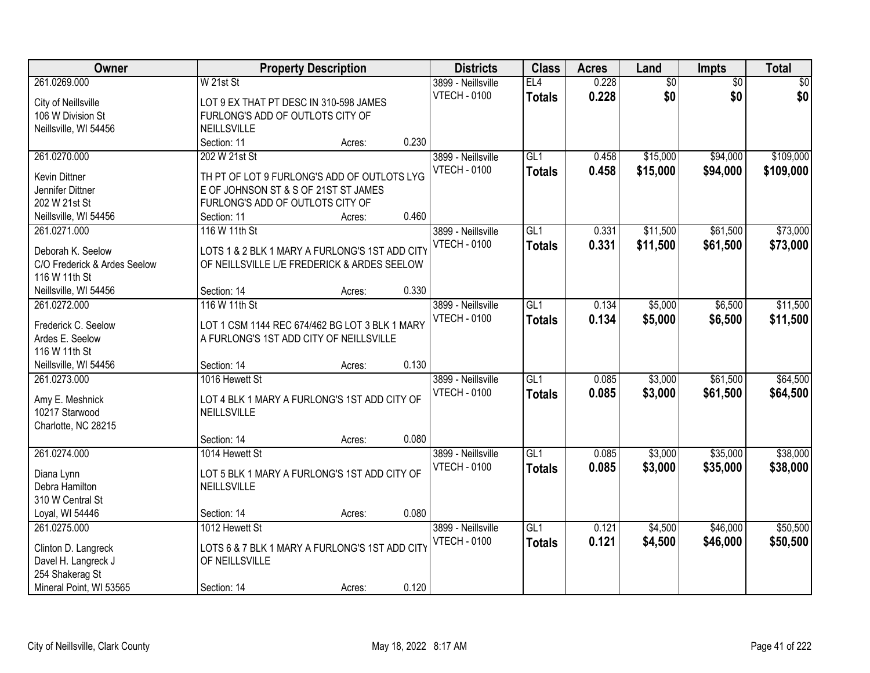| Owner                        | <b>Property Description</b>                    | <b>Districts</b>    | <b>Class</b>     | <b>Acres</b> | Land            | Impts           | <b>Total</b> |
|------------------------------|------------------------------------------------|---------------------|------------------|--------------|-----------------|-----------------|--------------|
| 261.0269.000                 | W 21st St                                      | 3899 - Neillsville  | EL4              | 0.228        | $\overline{60}$ | $\overline{50}$ | \$0          |
| City of Neillsville          | LOT 9 EX THAT PT DESC IN 310-598 JAMES         | <b>VTECH - 0100</b> | <b>Totals</b>    | 0.228        | \$0             | \$0             | \$0          |
| 106 W Division St            | FURLONG'S ADD OF OUTLOTS CITY OF               |                     |                  |              |                 |                 |              |
| Neillsville, WI 54456        | NEILLSVILLE                                    |                     |                  |              |                 |                 |              |
|                              | 0.230<br>Section: 11<br>Acres:                 |                     |                  |              |                 |                 |              |
| 261.0270.000                 | 202 W 21st St                                  | 3899 - Neillsville  | GL1              | 0.458        | \$15,000        | \$94,000        | \$109,000    |
|                              |                                                | <b>VTECH - 0100</b> | <b>Totals</b>    | 0.458        | \$15,000        | \$94,000        | \$109,000    |
| <b>Kevin Dittner</b>         | TH PT OF LOT 9 FURLONG'S ADD OF OUTLOTS LYG    |                     |                  |              |                 |                 |              |
| Jennifer Dittner             | E OF JOHNSON ST & S OF 21ST ST JAMES           |                     |                  |              |                 |                 |              |
| 202 W 21st St                | FURLONG'S ADD OF OUTLOTS CITY OF<br>0.460      |                     |                  |              |                 |                 |              |
| Neillsville, WI 54456        | Section: 11<br>Acres:                          |                     |                  |              |                 |                 |              |
| 261.0271.000                 | 116 W 11th St                                  | 3899 - Neillsville  | GL1              | 0.331        | \$11,500        | \$61,500        | \$73,000     |
| Deborah K. Seelow            | LOTS 1 & 2 BLK 1 MARY A FURLONG'S 1ST ADD CITY | <b>VTECH - 0100</b> | <b>Totals</b>    | 0.331        | \$11,500        | \$61,500        | \$73,000     |
| C/O Frederick & Ardes Seelow | OF NEILLSVILLE L/E FREDERICK & ARDES SEELOW    |                     |                  |              |                 |                 |              |
| 116 W 11th St                |                                                |                     |                  |              |                 |                 |              |
| Neillsville, WI 54456        | Section: 14<br>0.330<br>Acres:                 |                     |                  |              |                 |                 |              |
| 261.0272.000                 | 116 W 11th St                                  | 3899 - Neillsville  | GL1              | 0.134        | \$5,000         | \$6,500         | \$11,500     |
|                              |                                                | <b>VTECH - 0100</b> | <b>Totals</b>    | 0.134        | \$5,000         | \$6,500         | \$11,500     |
| Frederick C. Seelow          | LOT 1 CSM 1144 REC 674/462 BG LOT 3 BLK 1 MARY |                     |                  |              |                 |                 |              |
| Ardes E. Seelow              | A FURLONG'S 1ST ADD CITY OF NEILLSVILLE        |                     |                  |              |                 |                 |              |
| 116 W 11th St                | 0.130                                          |                     |                  |              |                 |                 |              |
| Neillsville, WI 54456        | Section: 14<br>Acres:                          |                     |                  |              |                 |                 |              |
| 261.0273.000                 | 1016 Hewett St                                 | 3899 - Neillsville  | $\overline{GL1}$ | 0.085        | \$3,000         | \$61,500        | \$64,500     |
| Amy E. Meshnick              | LOT 4 BLK 1 MARY A FURLONG'S 1ST ADD CITY OF   | <b>VTECH - 0100</b> | <b>Totals</b>    | 0.085        | \$3,000         | \$61,500        | \$64,500     |
| 10217 Starwood               | NEILLSVILLE                                    |                     |                  |              |                 |                 |              |
| Charlotte, NC 28215          |                                                |                     |                  |              |                 |                 |              |
|                              | 0.080<br>Section: 14<br>Acres:                 |                     |                  |              |                 |                 |              |
| 261.0274.000                 | 1014 Hewett St                                 | 3899 - Neillsville  | $\overline{GL1}$ | 0.085        | \$3,000         | \$35,000        | \$38,000     |
|                              |                                                | <b>VTECH - 0100</b> | <b>Totals</b>    | 0.085        | \$3,000         | \$35,000        | \$38,000     |
| Diana Lynn                   | LOT 5 BLK 1 MARY A FURLONG'S 1ST ADD CITY OF   |                     |                  |              |                 |                 |              |
| Debra Hamilton               | NEILLSVILLE                                    |                     |                  |              |                 |                 |              |
| 310 W Central St             |                                                |                     |                  |              |                 |                 |              |
| Loyal, WI 54446              | 0.080<br>Section: 14<br>Acres:                 |                     |                  |              |                 |                 |              |
| 261.0275.000                 | 1012 Hewett St                                 | 3899 - Neillsville  | GL1              | 0.121        | \$4,500         | \$46,000        | \$50,500     |
| Clinton D. Langreck          | LOTS 6 & 7 BLK 1 MARY A FURLONG'S 1ST ADD CITY | <b>VTECH - 0100</b> | <b>Totals</b>    | 0.121        | \$4,500         | \$46,000        | \$50,500     |
| Davel H. Langreck J          | OF NEILLSVILLE                                 |                     |                  |              |                 |                 |              |
| 254 Shakerag St              |                                                |                     |                  |              |                 |                 |              |
| Mineral Point, WI 53565      | 0.120<br>Section: 14<br>Acres:                 |                     |                  |              |                 |                 |              |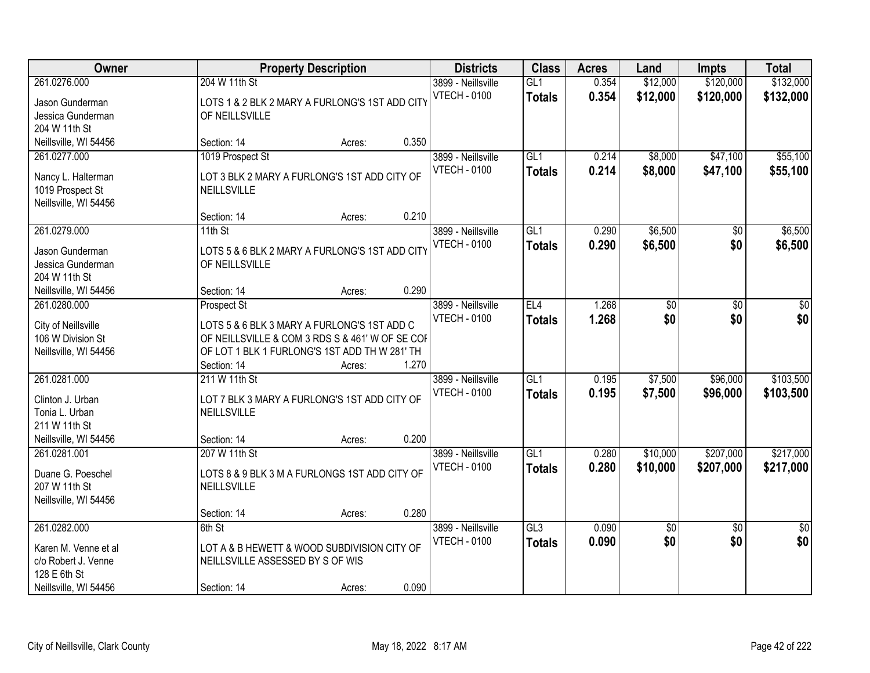| Owner                                                                                                |                                                                                                                                                                                      | <b>Property Description</b> |       | <b>Districts</b>                          | <b>Class</b>                      | <b>Acres</b>   | Land                 | <b>Impts</b>           | <b>Total</b>           |
|------------------------------------------------------------------------------------------------------|--------------------------------------------------------------------------------------------------------------------------------------------------------------------------------------|-----------------------------|-------|-------------------------------------------|-----------------------------------|----------------|----------------------|------------------------|------------------------|
| 261.0276.000<br>Jason Gunderman<br>Jessica Gunderman<br>204 W 11th St                                | 204 W 11th St<br>LOTS 1 & 2 BLK 2 MARY A FURLONG'S 1ST ADD CITY<br>OF NEILLSVILLE                                                                                                    |                             |       | 3899 - Neillsville<br><b>VTECH - 0100</b> | GL1<br><b>Totals</b>              | 0.354<br>0.354 | \$12,000<br>\$12,000 | \$120,000<br>\$120,000 | \$132,000<br>\$132,000 |
| Neillsville, WI 54456                                                                                | Section: 14                                                                                                                                                                          | Acres:                      | 0.350 |                                           |                                   |                |                      |                        |                        |
| 261.0277.000<br>Nancy L. Halterman<br>1019 Prospect St<br>Neillsville, WI 54456                      | 1019 Prospect St<br>LOT 3 BLK 2 MARY A FURLONG'S 1ST ADD CITY OF<br>NEILLSVILLE                                                                                                      |                             |       | 3899 - Neillsville<br><b>VTECH - 0100</b> | GL1<br><b>Totals</b>              | 0.214<br>0.214 | \$8,000<br>\$8,000   | \$47,100<br>\$47,100   | \$55,100<br>\$55,100   |
|                                                                                                      | Section: 14                                                                                                                                                                          | Acres:                      | 0.210 |                                           |                                   |                |                      |                        |                        |
| 261.0279.000<br>Jason Gunderman<br>Jessica Gunderman<br>204 W 11th St                                | $11th$ St<br>LOTS 5 & 6 BLK 2 MARY A FURLONG'S 1ST ADD CITY<br>OF NEILLSVILLE                                                                                                        |                             |       | 3899 - Neillsville<br><b>VTECH - 0100</b> | GL1<br><b>Totals</b>              | 0.290<br>0.290 | \$6,500<br>\$6,500   | \$0<br>\$0             | \$6,500<br>\$6,500     |
| Neillsville, WI 54456                                                                                | Section: 14                                                                                                                                                                          | Acres:                      | 0.290 |                                           |                                   |                |                      |                        |                        |
| 261.0280.000<br>City of Neillsville<br>106 W Division St<br>Neillsville, WI 54456                    | <b>Prospect St</b><br>LOTS 5 & 6 BLK 3 MARY A FURLONG'S 1ST ADD C<br>OF NEILLSVILLE & COM 3 RDS S & 461' W OF SE COF<br>OF LOT 1 BLK 1 FURLONG'S 1ST ADD TH W 281' TH<br>Section: 14 | Acres:                      | 1.270 | 3899 - Neillsville<br><b>VTECH - 0100</b> | EL4<br><b>Totals</b>              | 1.268<br>1.268 | \$0<br>\$0           | \$0<br>\$0             | \$0<br>\$0             |
| 261.0281.000<br>Clinton J. Urban<br>Tonia L. Urban<br>211 W 11th St<br>Neillsville, WI 54456         | 211 W 11th St<br>LOT 7 BLK 3 MARY A FURLONG'S 1ST ADD CITY OF<br>NEILLSVILLE<br>Section: 14                                                                                          | Acres:                      | 0.200 | 3899 - Neillsville<br><b>VTECH - 0100</b> | $\overline{GL1}$<br><b>Totals</b> | 0.195<br>0.195 | \$7,500<br>\$7,500   | \$96,000<br>\$96,000   | \$103,500<br>\$103,500 |
| 261.0281.001<br>Duane G. Poeschel<br>207 W 11th St<br>Neillsville, WI 54456                          | 207 W 11th St<br>LOTS 8 & 9 BLK 3 M A FURLONGS 1ST ADD CITY OF<br>NEILLSVILLE<br>Section: 14                                                                                         | Acres:                      | 0.280 | 3899 - Neillsville<br><b>VTECH - 0100</b> | $\overline{GL1}$<br><b>Totals</b> | 0.280<br>0.280 | \$10,000<br>\$10,000 | \$207,000<br>\$207,000 | \$217,000<br>\$217,000 |
| 261.0282.000<br>Karen M. Venne et al<br>c/o Robert J. Venne<br>128 E 6th St<br>Neillsville, WI 54456 | 6th St<br>LOT A & B HEWETT & WOOD SUBDIVISION CITY OF<br>NEILLSVILLE ASSESSED BY S OF WIS<br>Section: 14                                                                             | Acres:                      | 0.090 | 3899 - Neillsville<br><b>VTECH - 0100</b> | GL3<br><b>Totals</b>              | 0.090<br>0.090 | \$0<br>\$0           | $\overline{50}$<br>\$0 | $\overline{50}$<br>\$0 |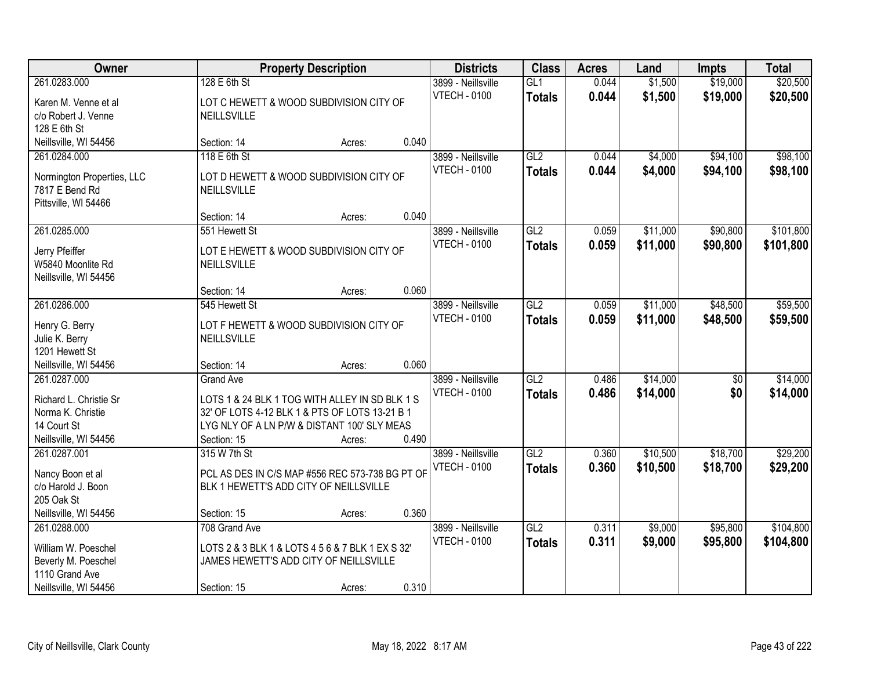| Owner                                                                                                 |                                                                                                                                                                                    | <b>Property Description</b> |       | <b>Districts</b>                          | <b>Class</b>         | <b>Acres</b>   | Land                 | <b>Impts</b>           | <b>Total</b>           |
|-------------------------------------------------------------------------------------------------------|------------------------------------------------------------------------------------------------------------------------------------------------------------------------------------|-----------------------------|-------|-------------------------------------------|----------------------|----------------|----------------------|------------------------|------------------------|
| 261.0283.000<br>Karen M. Venne et al<br>c/o Robert J. Venne                                           | 128 E 6th St<br>LOT C HEWETT & WOOD SUBDIVISION CITY OF<br><b>NEILLSVILLE</b>                                                                                                      |                             |       | 3899 - Neillsville<br><b>VTECH - 0100</b> | GL1<br><b>Totals</b> | 0.044<br>0.044 | \$1,500<br>\$1,500   | \$19,000<br>\$19,000   | \$20,500<br>\$20,500   |
| 128 E 6th St<br>Neillsville, WI 54456                                                                 | Section: 14                                                                                                                                                                        | Acres:                      | 0.040 |                                           |                      |                |                      |                        |                        |
| 261.0284.000<br>Normington Properties, LLC<br>7817 E Bend Rd<br>Pittsville, WI 54466                  | 118 E 6th St<br>LOT D HEWETT & WOOD SUBDIVISION CITY OF<br>NEILLSVILLE                                                                                                             |                             |       | 3899 - Neillsville<br><b>VTECH - 0100</b> | GL2<br><b>Totals</b> | 0.044<br>0.044 | \$4,000<br>\$4,000   | \$94,100<br>\$94,100   | \$98,100<br>\$98,100   |
| 261.0285.000                                                                                          | Section: 14<br>551 Hewett St                                                                                                                                                       | Acres:                      | 0.040 | 3899 - Neillsville                        | GL <sub>2</sub>      | 0.059          | \$11,000             | \$90,800               | \$101,800              |
| Jerry Pfeiffer<br>W5840 Moonlite Rd<br>Neillsville, WI 54456                                          | LOT E HEWETT & WOOD SUBDIVISION CITY OF<br>NEILLSVILLE                                                                                                                             |                             |       | <b>VTECH - 0100</b>                       | <b>Totals</b>        | 0.059          | \$11,000             | \$90,800               | \$101,800              |
|                                                                                                       | Section: 14                                                                                                                                                                        | Acres:                      | 0.060 |                                           |                      |                |                      |                        |                        |
| 261.0286.000<br>Henry G. Berry<br>Julie K. Berry<br>1201 Hewett St                                    | 545 Hewett St<br>LOT F HEWETT & WOOD SUBDIVISION CITY OF<br>NEILLSVILLE                                                                                                            |                             |       | 3899 - Neillsville<br><b>VTECH - 0100</b> | GL2<br><b>Totals</b> | 0.059<br>0.059 | \$11,000<br>\$11,000 | \$48,500<br>\$48,500   | \$59,500<br>\$59,500   |
| Neillsville, WI 54456                                                                                 | Section: 14                                                                                                                                                                        | Acres:                      | 0.060 |                                           |                      |                |                      |                        |                        |
| 261.0287.000<br>Richard L. Christie Sr<br>Norma K. Christie<br>14 Court St<br>Neillsville, WI 54456   | <b>Grand Ave</b><br>LOTS 1 & 24 BLK 1 TOG WITH ALLEY IN SD BLK 1 S<br>32' OF LOTS 4-12 BLK 1 & PTS OF LOTS 13-21 B 1<br>LYG NLY OF A LN P/W & DISTANT 100' SLY MEAS<br>Section: 15 | Acres:                      | 0.490 | 3899 - Neillsville<br><b>VTECH - 0100</b> | GL2<br><b>Totals</b> | 0.486<br>0.486 | \$14,000<br>\$14,000 | $\overline{30}$<br>\$0 | \$14,000<br>\$14,000   |
| 261.0287.001<br>Nancy Boon et al<br>c/o Harold J. Boon<br>205 Oak St<br>Neillsville, WI 54456         | 315 W 7th St<br>PCL AS DES IN C/S MAP #556 REC 573-738 BG PT OF<br>BLK 1 HEWETT'S ADD CITY OF NEILLSVILLE<br>Section: 15                                                           | Acres:                      | 0.360 | 3899 - Neillsville<br><b>VTECH - 0100</b> | GL2<br><b>Totals</b> | 0.360<br>0.360 | \$10,500<br>\$10,500 | \$18,700<br>\$18,700   | \$29,200<br>\$29,200   |
| 261.0288.000<br>William W. Poeschel<br>Beverly M. Poeschel<br>1110 Grand Ave<br>Neillsville, WI 54456 | 708 Grand Ave<br>LOTS 2 & 3 BLK 1 & LOTS 4 5 6 & 7 BLK 1 EX S 32'<br>JAMES HEWETT'S ADD CITY OF NEILLSVILLE<br>Section: 15                                                         | Acres:                      | 0.310 | 3899 - Neillsville<br><b>VTECH - 0100</b> | GL2<br><b>Totals</b> | 0.311<br>0.311 | \$9,000<br>\$9,000   | \$95,800<br>\$95,800   | \$104,800<br>\$104,800 |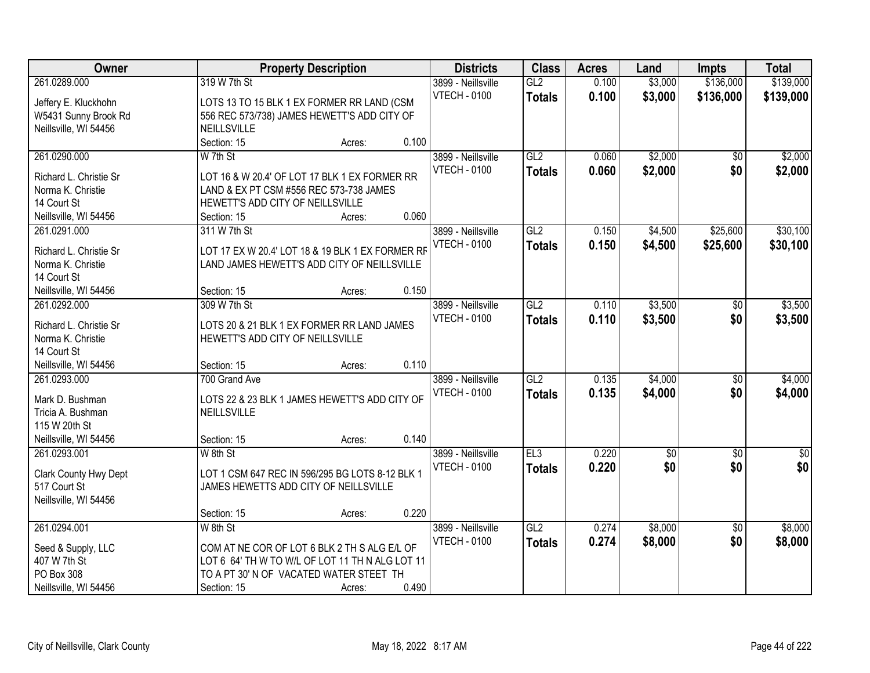| Owner                  |                                                  | <b>Property Description</b> |       | <b>Districts</b>                          | <b>Class</b>    | <b>Acres</b> | Land        | <b>Impts</b>    | <b>Total</b> |
|------------------------|--------------------------------------------------|-----------------------------|-------|-------------------------------------------|-----------------|--------------|-------------|-----------------|--------------|
| 261.0289.000           | 319 W 7th St                                     |                             |       | 3899 - Neillsville<br><b>VTECH - 0100</b> | GL2             | 0.100        | \$3,000     | \$136,000       | \$139,000    |
| Jeffery E. Kluckhohn   | LOTS 13 TO 15 BLK 1 EX FORMER RR LAND (CSM       |                             |       |                                           | <b>Totals</b>   | 0.100        | \$3,000     | \$136,000       | \$139,000    |
| W5431 Sunny Brook Rd   | 556 REC 573/738) JAMES HEWETT'S ADD CITY OF      |                             |       |                                           |                 |              |             |                 |              |
| Neillsville, WI 54456  | NEILLSVILLE                                      |                             |       |                                           |                 |              |             |                 |              |
|                        | Section: 15                                      | Acres:                      | 0.100 |                                           |                 |              |             |                 |              |
| 261.0290.000           | W 7th St                                         |                             |       | 3899 - Neillsville                        | GL2             | 0.060        | \$2,000     | $\overline{50}$ | \$2,000      |
| Richard L. Christie Sr | LOT 16 & W 20.4' OF LOT 17 BLK 1 EX FORMER RR    |                             |       | <b>VTECH - 0100</b>                       | <b>Totals</b>   | 0.060        | \$2,000     | \$0             | \$2,000      |
| Norma K. Christie      | LAND & EX PT CSM #556 REC 573-738 JAMES          |                             |       |                                           |                 |              |             |                 |              |
| 14 Court St            | HEWETT'S ADD CITY OF NEILLSVILLE                 |                             |       |                                           |                 |              |             |                 |              |
| Neillsville, WI 54456  | Section: 15                                      | Acres:                      | 0.060 |                                           |                 |              |             |                 |              |
| 261.0291.000           | 311 W 7th St                                     |                             |       | 3899 - Neillsville                        | GL2             | 0.150        | \$4,500     | \$25,600        | \$30,100     |
|                        |                                                  |                             |       | <b>VTECH - 0100</b>                       | <b>Totals</b>   | 0.150        | \$4,500     | \$25,600        | \$30,100     |
| Richard L. Christie Sr | LOT 17 EX W 20.4' LOT 18 & 19 BLK 1 EX FORMER RF |                             |       |                                           |                 |              |             |                 |              |
| Norma K. Christie      | LAND JAMES HEWETT'S ADD CITY OF NEILLSVILLE      |                             |       |                                           |                 |              |             |                 |              |
| 14 Court St            |                                                  |                             |       |                                           |                 |              |             |                 |              |
| Neillsville, WI 54456  | Section: 15                                      | Acres:                      | 0.150 |                                           |                 |              |             |                 |              |
| 261.0292.000           | 309 W 7th St                                     |                             |       | 3899 - Neillsville                        | GL2             | 0.110        | \$3,500     | \$0             | \$3,500      |
| Richard L. Christie Sr | LOTS 20 & 21 BLK 1 EX FORMER RR LAND JAMES       |                             |       | <b>VTECH - 0100</b>                       | <b>Totals</b>   | 0.110        | \$3,500     | \$0             | \$3,500      |
| Norma K. Christie      | HEWETT'S ADD CITY OF NEILLSVILLE                 |                             |       |                                           |                 |              |             |                 |              |
| 14 Court St            |                                                  |                             |       |                                           |                 |              |             |                 |              |
| Neillsville, WI 54456  | Section: 15                                      | Acres:                      | 0.110 |                                           |                 |              |             |                 |              |
| 261.0293.000           | 700 Grand Ave                                    |                             |       | 3899 - Neillsville                        | GL2             | 0.135        | \$4,000     | $\overline{50}$ | \$4,000      |
|                        |                                                  |                             |       | <b>VTECH - 0100</b>                       | <b>Totals</b>   | 0.135        | \$4,000     | \$0             | \$4,000      |
| Mark D. Bushman        | LOTS 22 & 23 BLK 1 JAMES HEWETT'S ADD CITY OF    |                             |       |                                           |                 |              |             |                 |              |
| Tricia A. Bushman      | NEILLSVILLE                                      |                             |       |                                           |                 |              |             |                 |              |
| 115 W 20th St          |                                                  |                             |       |                                           |                 |              |             |                 |              |
| Neillsville, WI 54456  | Section: 15                                      | Acres:                      | 0.140 |                                           |                 |              |             |                 |              |
| 261.0293.001           | W 8th St                                         |                             |       | 3899 - Neillsville                        | EL <sub>3</sub> | 0.220        | $\sqrt{$0}$ | $\sqrt{6}$      | \$0          |
| Clark County Hwy Dept  | LOT 1 CSM 647 REC IN 596/295 BG LOTS 8-12 BLK 1  |                             |       | <b>VTECH - 0100</b>                       | <b>Totals</b>   | 0.220        | \$0         | \$0             | \$0          |
| 517 Court St           | JAMES HEWETTS ADD CITY OF NEILLSVILLE            |                             |       |                                           |                 |              |             |                 |              |
| Neillsville, WI 54456  |                                                  |                             |       |                                           |                 |              |             |                 |              |
|                        | Section: 15                                      | Acres:                      | 0.220 |                                           |                 |              |             |                 |              |
| 261.0294.001           | W 8th St                                         |                             |       | 3899 - Neillsville                        | GL2             | 0.274        | \$8,000     | $\overline{30}$ | \$8,000      |
|                        |                                                  |                             |       | <b>VTECH - 0100</b>                       | <b>Totals</b>   | 0.274        | \$8,000     | \$0             | \$8,000      |
| Seed & Supply, LLC     | COM AT NE COR OF LOT 6 BLK 2 TH S ALG E/L OF     |                             |       |                                           |                 |              |             |                 |              |
| 407 W 7th St           | LOT 6 64' TH W TO W/L OF LOT 11 TH N ALG LOT 11  |                             |       |                                           |                 |              |             |                 |              |
| PO Box 308             | TO A PT 30' N OF VACATED WATER STEET TH          |                             |       |                                           |                 |              |             |                 |              |
| Neillsville, WI 54456  | Section: 15                                      | Acres:                      | 0.490 |                                           |                 |              |             |                 |              |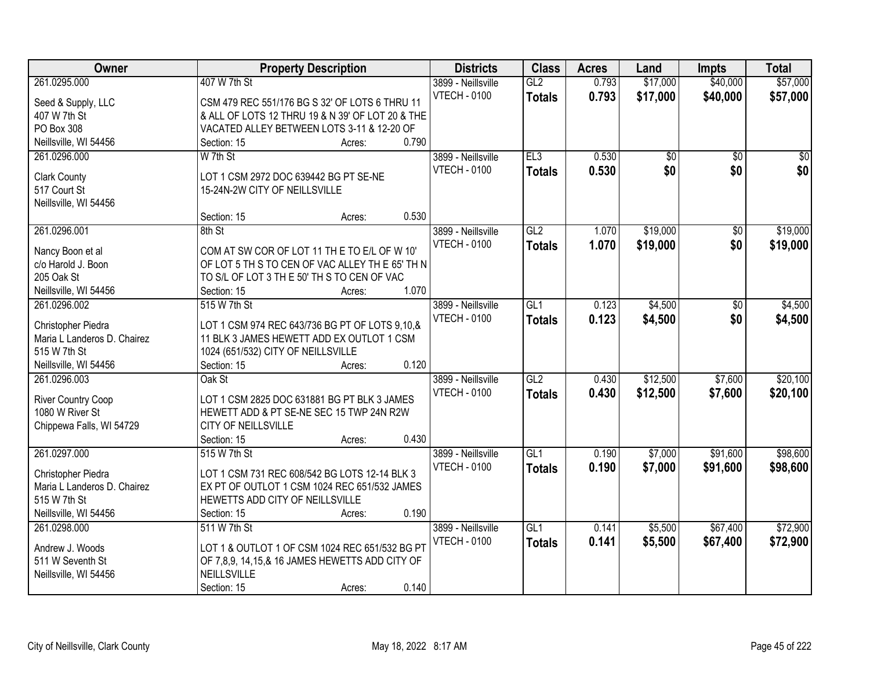| \$17,000<br>\$57,000<br>261.0295.000<br>407 W 7th St<br>GL2<br>0.793<br>\$40,000<br>3899 - Neillsville<br><b>VTECH - 0100</b><br>0.793<br>\$17,000<br>\$40,000<br>\$57,000<br><b>Totals</b><br>Seed & Supply, LLC<br>CSM 479 REC 551/176 BG S 32' OF LOTS 6 THRU 11<br>407 W 7th St<br>& ALL OF LOTS 12 THRU 19 & N 39' OF LOT 20 & THE<br>PO Box 308<br>VACATED ALLEY BETWEEN LOTS 3-11 & 12-20 OF<br>0.790<br>Neillsville, WI 54456<br>Section: 15<br>Acres:<br>EL3<br>0.530<br>261.0296.000<br>W 7th St<br>3899 - Neillsville<br>$\overline{50}$<br>$\overline{50}$<br>\$0<br>0.530<br>\$0<br>\$0<br><b>VTECH - 0100</b><br><b>Totals</b><br><b>Clark County</b><br>LOT 1 CSM 2972 DOC 639442 BG PT SE-NE<br>517 Court St<br>15-24N-2W CITY OF NEILLSVILLE<br>Neillsville, WI 54456<br>0.530<br>Section: 15<br>Acres:<br>\$19,000<br>261.0296.001<br>3899 - Neillsville<br>GL2<br>1.070<br>\$0<br>8th St<br><b>VTECH - 0100</b><br>1.070<br>\$19,000<br>\$0<br><b>Totals</b><br>COM AT SW COR OF LOT 11 THE TO E/L OF W 10'<br>Nancy Boon et al<br>c/o Harold J. Boon<br>OF LOT 5 TH S TO CEN OF VAC ALLEY TH E 65' TH N<br>205 Oak St<br>TO S/L OF LOT 3 TH E 50' TH S TO CEN OF VAC<br>Neillsville, WI 54456<br>1.070<br>Section: 15<br>Acres:<br>GL1<br>0.123<br>\$4,500<br>261.0296.002<br>515 W 7th St<br>3899 - Neillsville<br>\$0<br><b>VTECH - 0100</b><br>0.123<br>\$4,500<br>\$0<br>\$4,500<br><b>Totals</b><br>LOT 1 CSM 974 REC 643/736 BG PT OF LOTS 9,10,&<br>Christopher Piedra<br>Maria L Landeros D. Chairez<br>11 BLK 3 JAMES HEWETT ADD EX OUTLOT 1 CSM<br>515 W 7th St<br>1024 (651/532) CITY OF NEILLSVILLE<br>0.120<br>Neillsville, WI 54456<br>Section: 15<br>Acres:<br>\$12,500<br>\$7,600<br>261.0296.003<br>Oak St<br>GL2<br>0.430<br>3899 - Neillsville<br>\$12,500<br><b>VTECH - 0100</b><br>0.430<br>\$7,600<br><b>Totals</b><br>River Country Coop<br>LOT 1 CSM 2825 DOC 631881 BG PT BLK 3 JAMES<br>1080 W River St<br>HEWETT ADD & PT SE-NE SEC 15 TWP 24N R2W<br>CITY OF NEILLSVILLE<br>Chippewa Falls, WI 54729<br>0.430<br>Section: 15<br>Acres:<br>261.0297.000<br>GL1<br>\$7,000<br>\$91,600<br>515 W 7th St<br>3899 - Neillsville<br>0.190<br><b>VTECH - 0100</b><br>0.190<br>\$98,600<br><b>Totals</b><br>\$7,000<br>\$91,600<br>LOT 1 CSM 731 REC 608/542 BG LOTS 12-14 BLK 3<br>Christopher Piedra<br>Maria L Landeros D. Chairez<br>EX PT OF OUTLOT 1 CSM 1024 REC 651/532 JAMES<br>515 W 7th St<br>HEWETTS ADD CITY OF NEILLSVILLE<br>0.190<br>Neillsville, WI 54456<br>Section: 15<br>Acres:<br>GL1<br>0.141<br>\$5,500<br>\$67,400<br>261.0298.000<br>511 W 7th St<br>3899 - Neillsville<br><b>VTECH - 0100</b><br>0.141<br>\$67,400<br><b>Totals</b><br>\$5,500<br>\$72,900<br>LOT 1 & OUTLOT 1 OF CSM 1024 REC 651/532 BG PT<br>Andrew J. Woods<br>511 W Seventh St<br>OF 7,8,9, 14,15,& 16 JAMES HEWETTS ADD CITY OF | Owner                 | <b>Property Description</b> | <b>Districts</b> | <b>Class</b> | <b>Acres</b> | Land | <b>Impts</b> | <b>Total</b> |
|-------------------------------------------------------------------------------------------------------------------------------------------------------------------------------------------------------------------------------------------------------------------------------------------------------------------------------------------------------------------------------------------------------------------------------------------------------------------------------------------------------------------------------------------------------------------------------------------------------------------------------------------------------------------------------------------------------------------------------------------------------------------------------------------------------------------------------------------------------------------------------------------------------------------------------------------------------------------------------------------------------------------------------------------------------------------------------------------------------------------------------------------------------------------------------------------------------------------------------------------------------------------------------------------------------------------------------------------------------------------------------------------------------------------------------------------------------------------------------------------------------------------------------------------------------------------------------------------------------------------------------------------------------------------------------------------------------------------------------------------------------------------------------------------------------------------------------------------------------------------------------------------------------------------------------------------------------------------------------------------------------------------------------------------------------------------------------------------------------------------------------------------------------------------------------------------------------------------------------------------------------------------------------------------------------------------------------------------------------------------------------------------------------------------------------------------------------------------------------------------------------------------------------------------------------------------------------------------------------------------------------------------------------------------------------------------------------------------------------------------------------------------------------------------------------------------------------------------------------------------------|-----------------------|-----------------------------|------------------|--------------|--------------|------|--------------|--------------|
|                                                                                                                                                                                                                                                                                                                                                                                                                                                                                                                                                                                                                                                                                                                                                                                                                                                                                                                                                                                                                                                                                                                                                                                                                                                                                                                                                                                                                                                                                                                                                                                                                                                                                                                                                                                                                                                                                                                                                                                                                                                                                                                                                                                                                                                                                                                                                                                                                                                                                                                                                                                                                                                                                                                                                                                                                                                                         |                       |                             |                  |              |              |      |              |              |
|                                                                                                                                                                                                                                                                                                                                                                                                                                                                                                                                                                                                                                                                                                                                                                                                                                                                                                                                                                                                                                                                                                                                                                                                                                                                                                                                                                                                                                                                                                                                                                                                                                                                                                                                                                                                                                                                                                                                                                                                                                                                                                                                                                                                                                                                                                                                                                                                                                                                                                                                                                                                                                                                                                                                                                                                                                                                         |                       |                             |                  |              |              |      |              |              |
| $\sqrt{50}$<br>\$19,000<br>\$19,000<br>\$4,500<br>\$20,100<br>\$20,100<br>\$98,600<br>\$72,900                                                                                                                                                                                                                                                                                                                                                                                                                                                                                                                                                                                                                                                                                                                                                                                                                                                                                                                                                                                                                                                                                                                                                                                                                                                                                                                                                                                                                                                                                                                                                                                                                                                                                                                                                                                                                                                                                                                                                                                                                                                                                                                                                                                                                                                                                                                                                                                                                                                                                                                                                                                                                                                                                                                                                                          |                       |                             |                  |              |              |      |              |              |
|                                                                                                                                                                                                                                                                                                                                                                                                                                                                                                                                                                                                                                                                                                                                                                                                                                                                                                                                                                                                                                                                                                                                                                                                                                                                                                                                                                                                                                                                                                                                                                                                                                                                                                                                                                                                                                                                                                                                                                                                                                                                                                                                                                                                                                                                                                                                                                                                                                                                                                                                                                                                                                                                                                                                                                                                                                                                         |                       |                             |                  |              |              |      |              |              |
|                                                                                                                                                                                                                                                                                                                                                                                                                                                                                                                                                                                                                                                                                                                                                                                                                                                                                                                                                                                                                                                                                                                                                                                                                                                                                                                                                                                                                                                                                                                                                                                                                                                                                                                                                                                                                                                                                                                                                                                                                                                                                                                                                                                                                                                                                                                                                                                                                                                                                                                                                                                                                                                                                                                                                                                                                                                                         |                       |                             |                  |              |              |      |              |              |
|                                                                                                                                                                                                                                                                                                                                                                                                                                                                                                                                                                                                                                                                                                                                                                                                                                                                                                                                                                                                                                                                                                                                                                                                                                                                                                                                                                                                                                                                                                                                                                                                                                                                                                                                                                                                                                                                                                                                                                                                                                                                                                                                                                                                                                                                                                                                                                                                                                                                                                                                                                                                                                                                                                                                                                                                                                                                         |                       |                             |                  |              |              |      |              |              |
|                                                                                                                                                                                                                                                                                                                                                                                                                                                                                                                                                                                                                                                                                                                                                                                                                                                                                                                                                                                                                                                                                                                                                                                                                                                                                                                                                                                                                                                                                                                                                                                                                                                                                                                                                                                                                                                                                                                                                                                                                                                                                                                                                                                                                                                                                                                                                                                                                                                                                                                                                                                                                                                                                                                                                                                                                                                                         |                       |                             |                  |              |              |      |              |              |
|                                                                                                                                                                                                                                                                                                                                                                                                                                                                                                                                                                                                                                                                                                                                                                                                                                                                                                                                                                                                                                                                                                                                                                                                                                                                                                                                                                                                                                                                                                                                                                                                                                                                                                                                                                                                                                                                                                                                                                                                                                                                                                                                                                                                                                                                                                                                                                                                                                                                                                                                                                                                                                                                                                                                                                                                                                                                         |                       |                             |                  |              |              |      |              |              |
|                                                                                                                                                                                                                                                                                                                                                                                                                                                                                                                                                                                                                                                                                                                                                                                                                                                                                                                                                                                                                                                                                                                                                                                                                                                                                                                                                                                                                                                                                                                                                                                                                                                                                                                                                                                                                                                                                                                                                                                                                                                                                                                                                                                                                                                                                                                                                                                                                                                                                                                                                                                                                                                                                                                                                                                                                                                                         |                       |                             |                  |              |              |      |              |              |
|                                                                                                                                                                                                                                                                                                                                                                                                                                                                                                                                                                                                                                                                                                                                                                                                                                                                                                                                                                                                                                                                                                                                                                                                                                                                                                                                                                                                                                                                                                                                                                                                                                                                                                                                                                                                                                                                                                                                                                                                                                                                                                                                                                                                                                                                                                                                                                                                                                                                                                                                                                                                                                                                                                                                                                                                                                                                         |                       |                             |                  |              |              |      |              |              |
|                                                                                                                                                                                                                                                                                                                                                                                                                                                                                                                                                                                                                                                                                                                                                                                                                                                                                                                                                                                                                                                                                                                                                                                                                                                                                                                                                                                                                                                                                                                                                                                                                                                                                                                                                                                                                                                                                                                                                                                                                                                                                                                                                                                                                                                                                                                                                                                                                                                                                                                                                                                                                                                                                                                                                                                                                                                                         |                       |                             |                  |              |              |      |              |              |
|                                                                                                                                                                                                                                                                                                                                                                                                                                                                                                                                                                                                                                                                                                                                                                                                                                                                                                                                                                                                                                                                                                                                                                                                                                                                                                                                                                                                                                                                                                                                                                                                                                                                                                                                                                                                                                                                                                                                                                                                                                                                                                                                                                                                                                                                                                                                                                                                                                                                                                                                                                                                                                                                                                                                                                                                                                                                         |                       |                             |                  |              |              |      |              |              |
|                                                                                                                                                                                                                                                                                                                                                                                                                                                                                                                                                                                                                                                                                                                                                                                                                                                                                                                                                                                                                                                                                                                                                                                                                                                                                                                                                                                                                                                                                                                                                                                                                                                                                                                                                                                                                                                                                                                                                                                                                                                                                                                                                                                                                                                                                                                                                                                                                                                                                                                                                                                                                                                                                                                                                                                                                                                                         |                       |                             |                  |              |              |      |              |              |
|                                                                                                                                                                                                                                                                                                                                                                                                                                                                                                                                                                                                                                                                                                                                                                                                                                                                                                                                                                                                                                                                                                                                                                                                                                                                                                                                                                                                                                                                                                                                                                                                                                                                                                                                                                                                                                                                                                                                                                                                                                                                                                                                                                                                                                                                                                                                                                                                                                                                                                                                                                                                                                                                                                                                                                                                                                                                         |                       |                             |                  |              |              |      |              |              |
|                                                                                                                                                                                                                                                                                                                                                                                                                                                                                                                                                                                                                                                                                                                                                                                                                                                                                                                                                                                                                                                                                                                                                                                                                                                                                                                                                                                                                                                                                                                                                                                                                                                                                                                                                                                                                                                                                                                                                                                                                                                                                                                                                                                                                                                                                                                                                                                                                                                                                                                                                                                                                                                                                                                                                                                                                                                                         |                       |                             |                  |              |              |      |              |              |
|                                                                                                                                                                                                                                                                                                                                                                                                                                                                                                                                                                                                                                                                                                                                                                                                                                                                                                                                                                                                                                                                                                                                                                                                                                                                                                                                                                                                                                                                                                                                                                                                                                                                                                                                                                                                                                                                                                                                                                                                                                                                                                                                                                                                                                                                                                                                                                                                                                                                                                                                                                                                                                                                                                                                                                                                                                                                         |                       |                             |                  |              |              |      |              |              |
|                                                                                                                                                                                                                                                                                                                                                                                                                                                                                                                                                                                                                                                                                                                                                                                                                                                                                                                                                                                                                                                                                                                                                                                                                                                                                                                                                                                                                                                                                                                                                                                                                                                                                                                                                                                                                                                                                                                                                                                                                                                                                                                                                                                                                                                                                                                                                                                                                                                                                                                                                                                                                                                                                                                                                                                                                                                                         |                       |                             |                  |              |              |      |              |              |
|                                                                                                                                                                                                                                                                                                                                                                                                                                                                                                                                                                                                                                                                                                                                                                                                                                                                                                                                                                                                                                                                                                                                                                                                                                                                                                                                                                                                                                                                                                                                                                                                                                                                                                                                                                                                                                                                                                                                                                                                                                                                                                                                                                                                                                                                                                                                                                                                                                                                                                                                                                                                                                                                                                                                                                                                                                                                         |                       |                             |                  |              |              |      |              |              |
|                                                                                                                                                                                                                                                                                                                                                                                                                                                                                                                                                                                                                                                                                                                                                                                                                                                                                                                                                                                                                                                                                                                                                                                                                                                                                                                                                                                                                                                                                                                                                                                                                                                                                                                                                                                                                                                                                                                                                                                                                                                                                                                                                                                                                                                                                                                                                                                                                                                                                                                                                                                                                                                                                                                                                                                                                                                                         |                       |                             |                  |              |              |      |              |              |
|                                                                                                                                                                                                                                                                                                                                                                                                                                                                                                                                                                                                                                                                                                                                                                                                                                                                                                                                                                                                                                                                                                                                                                                                                                                                                                                                                                                                                                                                                                                                                                                                                                                                                                                                                                                                                                                                                                                                                                                                                                                                                                                                                                                                                                                                                                                                                                                                                                                                                                                                                                                                                                                                                                                                                                                                                                                                         |                       |                             |                  |              |              |      |              |              |
|                                                                                                                                                                                                                                                                                                                                                                                                                                                                                                                                                                                                                                                                                                                                                                                                                                                                                                                                                                                                                                                                                                                                                                                                                                                                                                                                                                                                                                                                                                                                                                                                                                                                                                                                                                                                                                                                                                                                                                                                                                                                                                                                                                                                                                                                                                                                                                                                                                                                                                                                                                                                                                                                                                                                                                                                                                                                         |                       |                             |                  |              |              |      |              |              |
|                                                                                                                                                                                                                                                                                                                                                                                                                                                                                                                                                                                                                                                                                                                                                                                                                                                                                                                                                                                                                                                                                                                                                                                                                                                                                                                                                                                                                                                                                                                                                                                                                                                                                                                                                                                                                                                                                                                                                                                                                                                                                                                                                                                                                                                                                                                                                                                                                                                                                                                                                                                                                                                                                                                                                                                                                                                                         |                       |                             |                  |              |              |      |              |              |
|                                                                                                                                                                                                                                                                                                                                                                                                                                                                                                                                                                                                                                                                                                                                                                                                                                                                                                                                                                                                                                                                                                                                                                                                                                                                                                                                                                                                                                                                                                                                                                                                                                                                                                                                                                                                                                                                                                                                                                                                                                                                                                                                                                                                                                                                                                                                                                                                                                                                                                                                                                                                                                                                                                                                                                                                                                                                         |                       |                             |                  |              |              |      |              |              |
|                                                                                                                                                                                                                                                                                                                                                                                                                                                                                                                                                                                                                                                                                                                                                                                                                                                                                                                                                                                                                                                                                                                                                                                                                                                                                                                                                                                                                                                                                                                                                                                                                                                                                                                                                                                                                                                                                                                                                                                                                                                                                                                                                                                                                                                                                                                                                                                                                                                                                                                                                                                                                                                                                                                                                                                                                                                                         |                       |                             |                  |              |              |      |              |              |
|                                                                                                                                                                                                                                                                                                                                                                                                                                                                                                                                                                                                                                                                                                                                                                                                                                                                                                                                                                                                                                                                                                                                                                                                                                                                                                                                                                                                                                                                                                                                                                                                                                                                                                                                                                                                                                                                                                                                                                                                                                                                                                                                                                                                                                                                                                                                                                                                                                                                                                                                                                                                                                                                                                                                                                                                                                                                         |                       |                             |                  |              |              |      |              |              |
|                                                                                                                                                                                                                                                                                                                                                                                                                                                                                                                                                                                                                                                                                                                                                                                                                                                                                                                                                                                                                                                                                                                                                                                                                                                                                                                                                                                                                                                                                                                                                                                                                                                                                                                                                                                                                                                                                                                                                                                                                                                                                                                                                                                                                                                                                                                                                                                                                                                                                                                                                                                                                                                                                                                                                                                                                                                                         |                       |                             |                  |              |              |      |              |              |
|                                                                                                                                                                                                                                                                                                                                                                                                                                                                                                                                                                                                                                                                                                                                                                                                                                                                                                                                                                                                                                                                                                                                                                                                                                                                                                                                                                                                                                                                                                                                                                                                                                                                                                                                                                                                                                                                                                                                                                                                                                                                                                                                                                                                                                                                                                                                                                                                                                                                                                                                                                                                                                                                                                                                                                                                                                                                         |                       |                             |                  |              |              |      |              |              |
|                                                                                                                                                                                                                                                                                                                                                                                                                                                                                                                                                                                                                                                                                                                                                                                                                                                                                                                                                                                                                                                                                                                                                                                                                                                                                                                                                                                                                                                                                                                                                                                                                                                                                                                                                                                                                                                                                                                                                                                                                                                                                                                                                                                                                                                                                                                                                                                                                                                                                                                                                                                                                                                                                                                                                                                                                                                                         |                       |                             |                  |              |              |      |              |              |
|                                                                                                                                                                                                                                                                                                                                                                                                                                                                                                                                                                                                                                                                                                                                                                                                                                                                                                                                                                                                                                                                                                                                                                                                                                                                                                                                                                                                                                                                                                                                                                                                                                                                                                                                                                                                                                                                                                                                                                                                                                                                                                                                                                                                                                                                                                                                                                                                                                                                                                                                                                                                                                                                                                                                                                                                                                                                         |                       |                             |                  |              |              |      |              |              |
|                                                                                                                                                                                                                                                                                                                                                                                                                                                                                                                                                                                                                                                                                                                                                                                                                                                                                                                                                                                                                                                                                                                                                                                                                                                                                                                                                                                                                                                                                                                                                                                                                                                                                                                                                                                                                                                                                                                                                                                                                                                                                                                                                                                                                                                                                                                                                                                                                                                                                                                                                                                                                                                                                                                                                                                                                                                                         |                       |                             |                  |              |              |      |              |              |
|                                                                                                                                                                                                                                                                                                                                                                                                                                                                                                                                                                                                                                                                                                                                                                                                                                                                                                                                                                                                                                                                                                                                                                                                                                                                                                                                                                                                                                                                                                                                                                                                                                                                                                                                                                                                                                                                                                                                                                                                                                                                                                                                                                                                                                                                                                                                                                                                                                                                                                                                                                                                                                                                                                                                                                                                                                                                         |                       |                             |                  |              |              |      |              |              |
|                                                                                                                                                                                                                                                                                                                                                                                                                                                                                                                                                                                                                                                                                                                                                                                                                                                                                                                                                                                                                                                                                                                                                                                                                                                                                                                                                                                                                                                                                                                                                                                                                                                                                                                                                                                                                                                                                                                                                                                                                                                                                                                                                                                                                                                                                                                                                                                                                                                                                                                                                                                                                                                                                                                                                                                                                                                                         |                       |                             |                  |              |              |      |              |              |
|                                                                                                                                                                                                                                                                                                                                                                                                                                                                                                                                                                                                                                                                                                                                                                                                                                                                                                                                                                                                                                                                                                                                                                                                                                                                                                                                                                                                                                                                                                                                                                                                                                                                                                                                                                                                                                                                                                                                                                                                                                                                                                                                                                                                                                                                                                                                                                                                                                                                                                                                                                                                                                                                                                                                                                                                                                                                         |                       |                             |                  |              |              |      |              |              |
|                                                                                                                                                                                                                                                                                                                                                                                                                                                                                                                                                                                                                                                                                                                                                                                                                                                                                                                                                                                                                                                                                                                                                                                                                                                                                                                                                                                                                                                                                                                                                                                                                                                                                                                                                                                                                                                                                                                                                                                                                                                                                                                                                                                                                                                                                                                                                                                                                                                                                                                                                                                                                                                                                                                                                                                                                                                                         |                       |                             |                  |              |              |      |              |              |
|                                                                                                                                                                                                                                                                                                                                                                                                                                                                                                                                                                                                                                                                                                                                                                                                                                                                                                                                                                                                                                                                                                                                                                                                                                                                                                                                                                                                                                                                                                                                                                                                                                                                                                                                                                                                                                                                                                                                                                                                                                                                                                                                                                                                                                                                                                                                                                                                                                                                                                                                                                                                                                                                                                                                                                                                                                                                         |                       |                             |                  |              |              |      |              |              |
|                                                                                                                                                                                                                                                                                                                                                                                                                                                                                                                                                                                                                                                                                                                                                                                                                                                                                                                                                                                                                                                                                                                                                                                                                                                                                                                                                                                                                                                                                                                                                                                                                                                                                                                                                                                                                                                                                                                                                                                                                                                                                                                                                                                                                                                                                                                                                                                                                                                                                                                                                                                                                                                                                                                                                                                                                                                                         | Neillsville, WI 54456 | NEILLSVILLE                 |                  |              |              |      |              |              |
| 0.140<br>Section: 15<br>Acres:                                                                                                                                                                                                                                                                                                                                                                                                                                                                                                                                                                                                                                                                                                                                                                                                                                                                                                                                                                                                                                                                                                                                                                                                                                                                                                                                                                                                                                                                                                                                                                                                                                                                                                                                                                                                                                                                                                                                                                                                                                                                                                                                                                                                                                                                                                                                                                                                                                                                                                                                                                                                                                                                                                                                                                                                                                          |                       |                             |                  |              |              |      |              |              |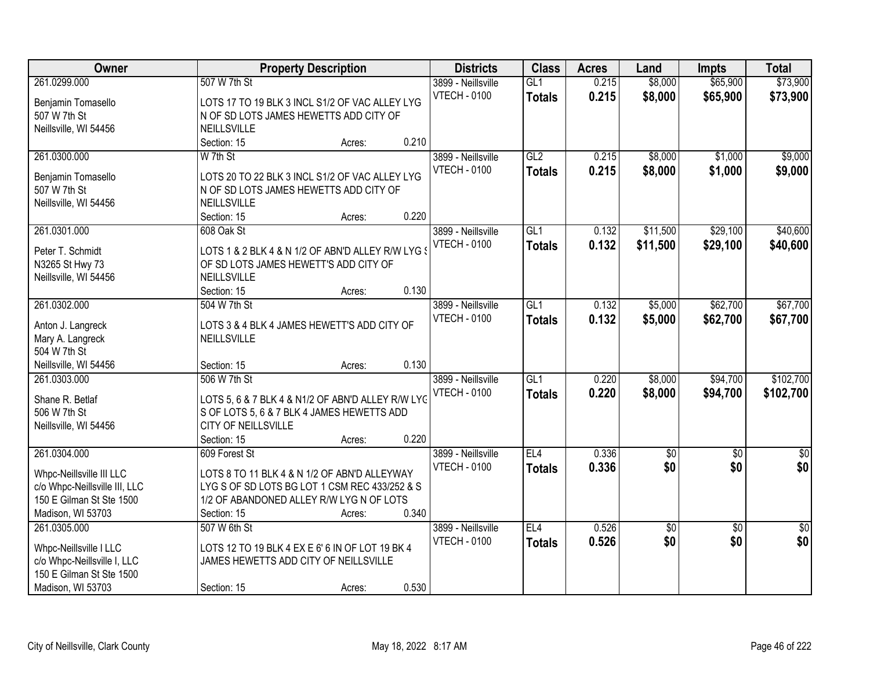| Owner                                                   |                                                                                            | <b>Property Description</b> |       | <b>Districts</b>                          | <b>Class</b>         | <b>Acres</b>   | Land               | <b>Impts</b>         | <b>Total</b>         |
|---------------------------------------------------------|--------------------------------------------------------------------------------------------|-----------------------------|-------|-------------------------------------------|----------------------|----------------|--------------------|----------------------|----------------------|
| 261.0299.000<br>Benjamin Tomasello                      | 507 W 7th St<br>LOTS 17 TO 19 BLK 3 INCL S1/2 OF VAC ALLEY LYG                             |                             |       | 3899 - Neillsville<br><b>VTECH - 0100</b> | GL1<br><b>Totals</b> | 0.215<br>0.215 | \$8,000<br>\$8,000 | \$65,900<br>\$65,900 | \$73,900<br>\$73,900 |
| 507 W 7th St                                            | N OF SD LOTS JAMES HEWETTS ADD CITY OF                                                     |                             |       |                                           |                      |                |                    |                      |                      |
| Neillsville, WI 54456                                   | NEILLSVILLE                                                                                |                             |       |                                           |                      |                |                    |                      |                      |
|                                                         | Section: 15                                                                                | Acres:                      | 0.210 |                                           |                      |                |                    |                      |                      |
| 261.0300.000                                            | W 7th St                                                                                   |                             |       | 3899 - Neillsville                        | GL2                  | 0.215          | \$8,000            | \$1,000              | \$9,000              |
| Benjamin Tomasello                                      | LOTS 20 TO 22 BLK 3 INCL S1/2 OF VAC ALLEY LYG                                             |                             |       | <b>VTECH - 0100</b>                       | <b>Totals</b>        | 0.215          | \$8,000            | \$1,000              | \$9,000              |
| 507 W 7th St                                            | N OF SD LOTS JAMES HEWETTS ADD CITY OF                                                     |                             |       |                                           |                      |                |                    |                      |                      |
| Neillsville, WI 54456                                   | NEILLSVILLE                                                                                |                             |       |                                           |                      |                |                    |                      |                      |
|                                                         | Section: 15                                                                                | Acres:                      | 0.220 |                                           |                      |                |                    |                      |                      |
| 261.0301.000                                            | 608 Oak St                                                                                 |                             |       | 3899 - Neillsville                        | GL1                  | 0.132          | \$11,500           | \$29,100             | \$40,600             |
|                                                         |                                                                                            |                             |       | <b>VTECH - 0100</b>                       | <b>Totals</b>        | 0.132          | \$11,500           | \$29,100             | \$40,600             |
| Peter T. Schmidt                                        | LOTS 1 & 2 BLK 4 & N 1/2 OF ABN'D ALLEY R/W LYG :<br>OF SD LOTS JAMES HEWETT'S ADD CITY OF |                             |       |                                           |                      |                |                    |                      |                      |
| N3265 St Hwy 73<br>Neillsville, WI 54456                | <b>NEILLSVILLE</b>                                                                         |                             |       |                                           |                      |                |                    |                      |                      |
|                                                         | Section: 15                                                                                | Acres:                      | 0.130 |                                           |                      |                |                    |                      |                      |
| 261.0302.000                                            | 504 W 7th St                                                                               |                             |       | 3899 - Neillsville                        | GL1                  | 0.132          | \$5,000            | \$62,700             | \$67,700             |
|                                                         |                                                                                            |                             |       | <b>VTECH - 0100</b>                       | <b>Totals</b>        | 0.132          | \$5,000            | \$62,700             | \$67,700             |
| Anton J. Langreck                                       | LOTS 3 & 4 BLK 4 JAMES HEWETT'S ADD CITY OF                                                |                             |       |                                           |                      |                |                    |                      |                      |
| Mary A. Langreck                                        | NEILLSVILLE                                                                                |                             |       |                                           |                      |                |                    |                      |                      |
| 504 W 7th St                                            |                                                                                            |                             |       |                                           |                      |                |                    |                      |                      |
| Neillsville, WI 54456                                   | Section: 15                                                                                | Acres:                      | 0.130 |                                           |                      |                |                    |                      |                      |
| 261.0303.000                                            | 506 W 7th St                                                                               |                             |       | 3899 - Neillsville                        | $\overline{GL1}$     | 0.220          | \$8,000            | \$94,700             | \$102,700            |
| Shane R. Betlaf                                         | LOTS 5, 6 & 7 BLK 4 & N1/2 OF ABN'D ALLEY R/W LYG                                          |                             |       | <b>VTECH - 0100</b>                       | <b>Totals</b>        | 0.220          | \$8,000            | \$94,700             | \$102,700            |
| 506 W 7th St                                            | S OF LOTS 5, 6 & 7 BLK 4 JAMES HEWETTS ADD                                                 |                             |       |                                           |                      |                |                    |                      |                      |
| Neillsville, WI 54456                                   | CITY OF NEILLSVILLE                                                                        |                             |       |                                           |                      |                |                    |                      |                      |
|                                                         | Section: 15                                                                                | Acres:                      | 0.220 |                                           |                      |                |                    |                      |                      |
| 261.0304.000                                            | 609 Forest St                                                                              |                             |       | 3899 - Neillsville                        | EL4                  | 0.336          | $\sqrt{30}$        | $\overline{50}$      | $\frac{1}{6}$        |
| Whpc-Neillsville III LLC                                | LOTS 8 TO 11 BLK 4 & N 1/2 OF ABN'D ALLEYWAY                                               |                             |       | <b>VTECH - 0100</b>                       | <b>Totals</b>        | 0.336          | \$0                | \$0                  | \$0                  |
| c/o Whpc-Neillsville III, LLC                           | LYG S OF SD LOTS BG LOT 1 CSM REC 433/252 & S                                              |                             |       |                                           |                      |                |                    |                      |                      |
| 150 E Gilman St Ste 1500                                | 1/2 OF ABANDONED ALLEY R/W LYG N OF LOTS                                                   |                             |       |                                           |                      |                |                    |                      |                      |
| Madison, WI 53703                                       | Section: 15                                                                                | Acres:                      | 0.340 |                                           |                      |                |                    |                      |                      |
| 261.0305.000                                            | 507 W 6th St                                                                               |                             |       | 3899 - Neillsville                        | EL4                  | 0.526          | \$0                | $\overline{50}$      | $\overline{50}$      |
|                                                         |                                                                                            |                             |       | <b>VTECH - 0100</b>                       | <b>Totals</b>        | 0.526          | \$0                | \$0                  | \$0                  |
| Whpc-Neillsville I LLC                                  | LOTS 12 TO 19 BLK 4 EX E 6' 6 IN OF LOT 19 BK 4<br>JAMES HEWETTS ADD CITY OF NEILLSVILLE   |                             |       |                                           |                      |                |                    |                      |                      |
| c/o Whpc-Neillsville I, LLC<br>150 E Gilman St Ste 1500 |                                                                                            |                             |       |                                           |                      |                |                    |                      |                      |
|                                                         |                                                                                            |                             |       |                                           |                      |                |                    |                      |                      |
| Madison, WI 53703                                       | Section: 15                                                                                | Acres:                      | 0.530 |                                           |                      |                |                    |                      |                      |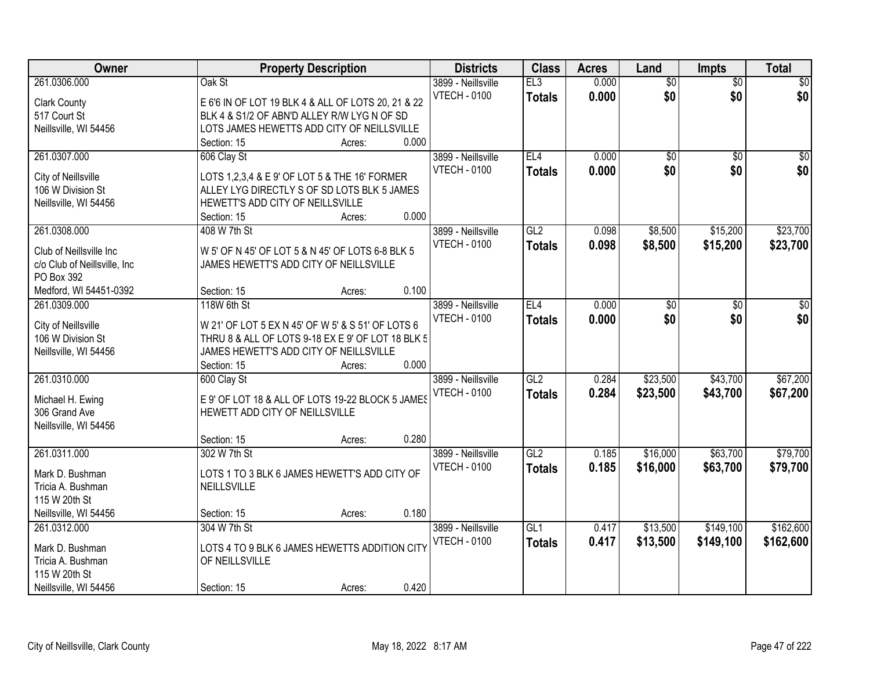| Owner                              |                                                    | <b>Property Description</b> |       | <b>Districts</b>    | <b>Class</b>  | <b>Acres</b> | Land            | <b>Impts</b>    | <b>Total</b> |
|------------------------------------|----------------------------------------------------|-----------------------------|-------|---------------------|---------------|--------------|-----------------|-----------------|--------------|
| 261.0306.000                       | Oak St                                             |                             |       | 3899 - Neillsville  | EL3           | 0.000        | $\overline{50}$ | $\overline{50}$ | $\sqrt{50}$  |
| <b>Clark County</b>                | E 6'6 IN OF LOT 19 BLK 4 & ALL OF LOTS 20, 21 & 22 |                             |       | <b>VTECH - 0100</b> | <b>Totals</b> | 0.000        | \$0             | \$0             | \$0          |
| 517 Court St                       | BLK 4 & S1/2 OF ABN'D ALLEY R/W LYG N OF SD        |                             |       |                     |               |              |                 |                 |              |
| Neillsville, WI 54456              | LOTS JAMES HEWETTS ADD CITY OF NEILLSVILLE         |                             |       |                     |               |              |                 |                 |              |
|                                    | Section: 15                                        | Acres:                      | 0.000 |                     |               |              |                 |                 |              |
| 261.0307.000                       | 606 Clay St                                        |                             |       | 3899 - Neillsville  | EL4           | 0.000        | $\overline{50}$ | $\overline{50}$ | $\sqrt{50}$  |
|                                    |                                                    |                             |       | <b>VTECH - 0100</b> | <b>Totals</b> | 0.000        | \$0             | \$0             | \$0          |
| City of Neillsville                | LOTS 1,2,3,4 & E 9' OF LOT 5 & THE 16' FORMER      |                             |       |                     |               |              |                 |                 |              |
| 106 W Division St                  | ALLEY LYG DIRECTLY S OF SD LOTS BLK 5 JAMES        |                             |       |                     |               |              |                 |                 |              |
| Neillsville, WI 54456              | HEWETT'S ADD CITY OF NEILLSVILLE                   |                             |       |                     |               |              |                 |                 |              |
|                                    | Section: 15                                        | Acres:                      | 0.000 |                     |               |              |                 |                 |              |
| 261.0308.000                       | 408 W 7th St                                       |                             |       | 3899 - Neillsville  | GL2           | 0.098        | \$8,500         | \$15,200        | \$23,700     |
| Club of Neillsville Inc            | W 5' OF N 45' OF LOT 5 & N 45' OF LOTS 6-8 BLK 5   |                             |       | <b>VTECH - 0100</b> | <b>Totals</b> | 0.098        | \$8,500         | \$15,200        | \$23,700     |
| c/o Club of Neillsville, Inc       | JAMES HEWETT'S ADD CITY OF NEILLSVILLE             |                             |       |                     |               |              |                 |                 |              |
| PO Box 392                         |                                                    |                             |       |                     |               |              |                 |                 |              |
| Medford, WI 54451-0392             | Section: 15                                        | Acres:                      | 0.100 |                     |               |              |                 |                 |              |
| 261.0309.000                       | 118W 6th St                                        |                             |       | 3899 - Neillsville  | EL4           | 0.000        | \$0             | \$0             | \$0          |
|                                    |                                                    |                             |       | <b>VTECH - 0100</b> | <b>Totals</b> | 0.000        | \$0             | \$0             | \$0          |
| City of Neillsville                | W 21' OF LOT 5 EX N 45' OF W 5' & S 51' OF LOTS 6  |                             |       |                     |               |              |                 |                 |              |
| 106 W Division St                  | THRU 8 & ALL OF LOTS 9-18 EX E 9' OF LOT 18 BLK 5  |                             |       |                     |               |              |                 |                 |              |
| Neillsville, WI 54456              | JAMES HEWETT'S ADD CITY OF NEILLSVILLE             |                             |       |                     |               |              |                 |                 |              |
|                                    | Section: 15                                        | Acres:                      | 0.000 |                     |               |              |                 |                 |              |
| 261.0310.000                       | 600 Clay St                                        |                             |       | 3899 - Neillsville  | GL2           | 0.284        | \$23,500        | \$43,700        | \$67,200     |
| Michael H. Ewing                   | E 9' OF LOT 18 & ALL OF LOTS 19-22 BLOCK 5 JAMES   |                             |       | <b>VTECH - 0100</b> | <b>Totals</b> | 0.284        | \$23,500        | \$43,700        | \$67,200     |
| 306 Grand Ave                      | HEWETT ADD CITY OF NEILLSVILLE                     |                             |       |                     |               |              |                 |                 |              |
| Neillsville, WI 54456              |                                                    |                             |       |                     |               |              |                 |                 |              |
|                                    | Section: 15                                        | Acres:                      | 0.280 |                     |               |              |                 |                 |              |
| 261.0311.000                       | 302 W 7th St                                       |                             |       | 3899 - Neillsville  | GL2           | 0.185        | \$16,000        | \$63,700        | \$79,700     |
|                                    |                                                    |                             |       | <b>VTECH - 0100</b> | <b>Totals</b> | 0.185        | \$16,000        | \$63,700        | \$79,700     |
| Mark D. Bushman                    | LOTS 1 TO 3 BLK 6 JAMES HEWETT'S ADD CITY OF       |                             |       |                     |               |              |                 |                 |              |
| Tricia A. Bushman<br>115 W 20th St | NEILLSVILLE                                        |                             |       |                     |               |              |                 |                 |              |
| Neillsville, WI 54456              |                                                    |                             | 0.180 |                     |               |              |                 |                 |              |
|                                    | Section: 15                                        | Acres:                      |       |                     |               |              |                 |                 |              |
| 261.0312.000                       | 304 W 7th St                                       |                             |       | 3899 - Neillsville  | GL1           | 0.417        | \$13,500        | \$149,100       | \$162,600    |
| Mark D. Bushman                    | LOTS 4 TO 9 BLK 6 JAMES HEWETTS ADDITION CITY      |                             |       | <b>VTECH - 0100</b> | <b>Totals</b> | 0.417        | \$13,500        | \$149,100       | \$162,600    |
| Tricia A. Bushman                  | OF NEILLSVILLE                                     |                             |       |                     |               |              |                 |                 |              |
| 115 W 20th St                      |                                                    |                             |       |                     |               |              |                 |                 |              |
| Neillsville, WI 54456              | Section: 15                                        | Acres:                      | 0.420 |                     |               |              |                 |                 |              |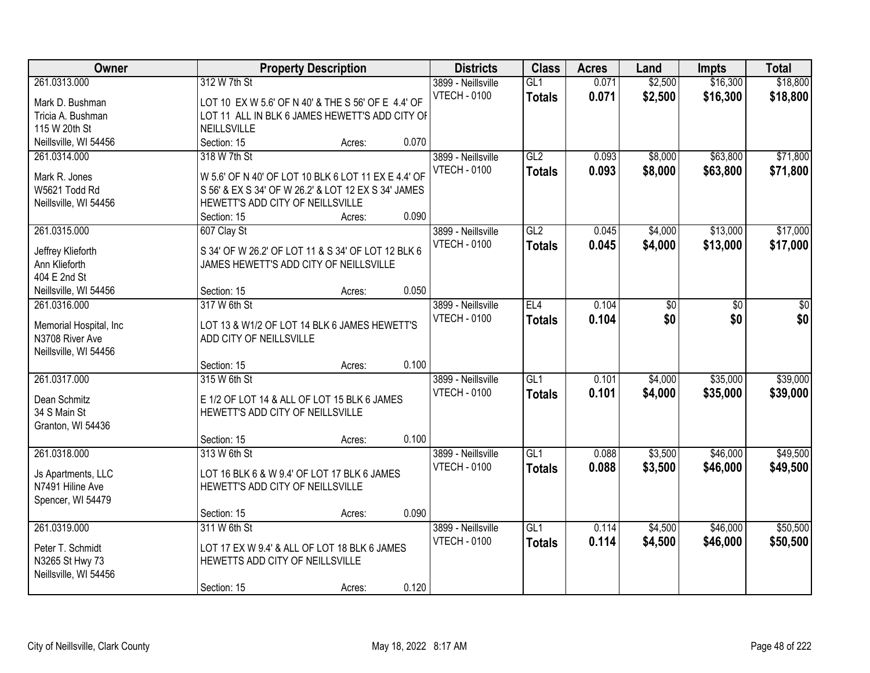| Owner                                                                                            |                                                                                                                                                                               | <b>Property Description</b> |                | <b>Districts</b>                          | <b>Class</b>                      | <b>Acres</b>   | Land               | <b>Impts</b>         | <b>Total</b>         |
|--------------------------------------------------------------------------------------------------|-------------------------------------------------------------------------------------------------------------------------------------------------------------------------------|-----------------------------|----------------|-------------------------------------------|-----------------------------------|----------------|--------------------|----------------------|----------------------|
| 261.0313.000<br>Mark D. Bushman<br>Tricia A. Bushman                                             | 312 W 7th St<br>LOT 10 EX W 5.6' OF N 40' & THE S 56' OF E 4.4' OF<br>LOT 11 ALL IN BLK 6 JAMES HEWETT'S ADD CITY OF                                                          |                             |                | 3899 - Neillsville<br><b>VTECH - 0100</b> | GL1<br><b>Totals</b>              | 0.071<br>0.071 | \$2,500<br>\$2,500 | \$16,300<br>\$16,300 | \$18,800<br>\$18,800 |
| 115 W 20th St                                                                                    | NEILLSVILLE                                                                                                                                                                   |                             | 0.070          |                                           |                                   |                |                    |                      |                      |
| Neillsville, WI 54456<br>261.0314.000<br>Mark R. Jones<br>W5621 Todd Rd<br>Neillsville, WI 54456 | Section: 15<br>318 W 7th St<br>W 5.6' OF N 40' OF LOT 10 BLK 6 LOT 11 EX E 4.4' OF<br>S 56' & EX S 34' OF W 26.2' & LOT 12 EX S 34' JAMES<br>HEWETT'S ADD CITY OF NEILLSVILLE | Acres:                      |                | 3899 - Neillsville<br><b>VTECH - 0100</b> | GL2<br><b>Totals</b>              | 0.093<br>0.093 | \$8,000<br>\$8,000 | \$63,800<br>\$63,800 | \$71,800<br>\$71,800 |
| 261.0315.000<br>Jeffrey Klieforth<br>Ann Klieforth<br>404 E 2nd St<br>Neillsville, WI 54456      | Section: 15<br>607 Clay St<br>S 34' OF W 26.2' OF LOT 11 & S 34' OF LOT 12 BLK 6<br>JAMES HEWETT'S ADD CITY OF NEILLSVILLE<br>Section: 15                                     | Acres:<br>Acres:            | 0.090<br>0.050 | 3899 - Neillsville<br><b>VTECH - 0100</b> | GL2<br><b>Totals</b>              | 0.045<br>0.045 | \$4,000<br>\$4,000 | \$13,000<br>\$13,000 | \$17,000<br>\$17,000 |
| 261.0316.000<br>Memorial Hospital, Inc<br>N3708 River Ave<br>Neillsville, WI 54456               | 317 W 6th St<br>LOT 13 & W1/2 OF LOT 14 BLK 6 JAMES HEWETT'S<br>ADD CITY OF NEILLSVILLE<br>Section: 15                                                                        | Acres:                      | 0.100          | 3899 - Neillsville<br><b>VTECH - 0100</b> | EL4<br><b>Totals</b>              | 0.104<br>0.104 | \$0<br>\$0         | \$0<br>\$0           | $\frac{1}{3}$<br>\$0 |
| 261.0317.000<br>Dean Schmitz<br>34 S Main St<br>Granton, WI 54436                                | 315 W 6th St<br>E 1/2 OF LOT 14 & ALL OF LOT 15 BLK 6 JAMES<br>HEWETT'S ADD CITY OF NEILLSVILLE<br>Section: 15                                                                | Acres:                      | 0.100          | 3899 - Neillsville<br><b>VTECH - 0100</b> | $\overline{GL1}$<br><b>Totals</b> | 0.101<br>0.101 | \$4,000<br>\$4,000 | \$35,000<br>\$35,000 | \$39,000<br>\$39,000 |
| 261.0318.000<br>Js Apartments, LLC<br>N7491 Hiline Ave<br>Spencer, WI 54479                      | 313 W 6th St<br>LOT 16 BLK 6 & W 9.4' OF LOT 17 BLK 6 JAMES<br>HEWETT'S ADD CITY OF NEILLSVILLE<br>Section: 15                                                                | Acres:                      | 0.090          | 3899 - Neillsville<br><b>VTECH - 0100</b> | GL1<br><b>Totals</b>              | 0.088<br>0.088 | \$3,500<br>\$3,500 | \$46,000<br>\$46,000 | \$49,500<br>\$49,500 |
| 261.0319.000<br>Peter T. Schmidt<br>N3265 St Hwy 73<br>Neillsville, WI 54456                     | 311 W 6th St<br>LOT 17 EX W 9.4' & ALL OF LOT 18 BLK 6 JAMES<br>HEWETTS ADD CITY OF NEILLSVILLE<br>Section: 15                                                                | Acres:                      | 0.120          | 3899 - Neillsville<br><b>VTECH - 0100</b> | GL1<br><b>Totals</b>              | 0.114<br>0.114 | \$4,500<br>\$4,500 | \$46,000<br>\$46,000 | \$50,500<br>\$50,500 |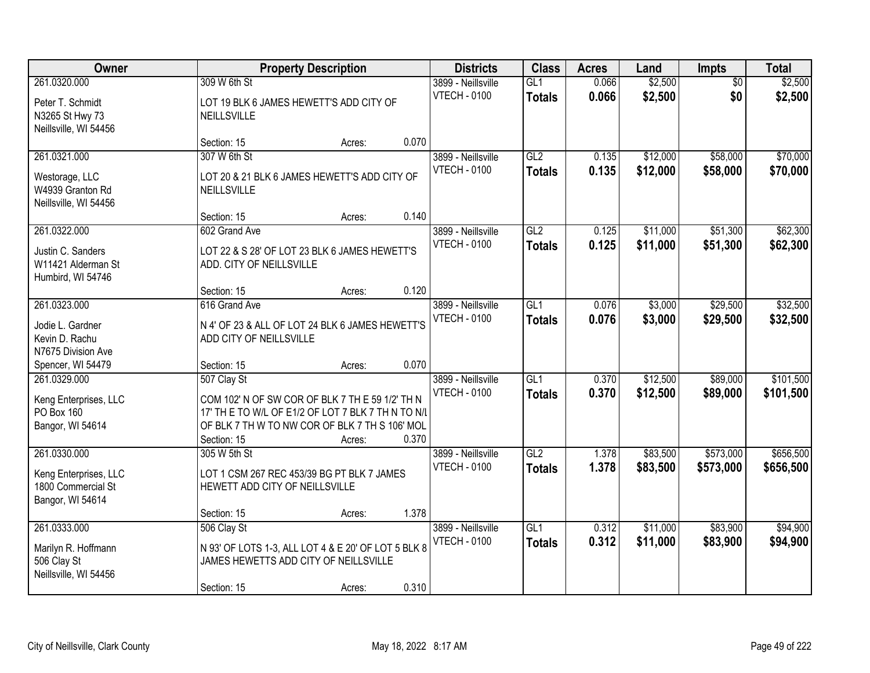| Owner                                                                           |                                                                                                                                                                                       | <b>Property Description</b> |       | <b>Districts</b>                          | <b>Class</b>                      | <b>Acres</b>   | Land                 | <b>Impts</b>           | <b>Total</b>           |
|---------------------------------------------------------------------------------|---------------------------------------------------------------------------------------------------------------------------------------------------------------------------------------|-----------------------------|-------|-------------------------------------------|-----------------------------------|----------------|----------------------|------------------------|------------------------|
| 261.0320.000<br>Peter T. Schmidt<br>N3265 St Hwy 73                             | 309 W 6th St<br>LOT 19 BLK 6 JAMES HEWETT'S ADD CITY OF<br>NEILLSVILLE                                                                                                                |                             |       | 3899 - Neillsville<br><b>VTECH - 0100</b> | GL1<br><b>Totals</b>              | 0.066<br>0.066 | \$2,500<br>\$2,500   | $\overline{50}$<br>\$0 | \$2,500<br>\$2,500     |
| Neillsville, WI 54456                                                           | Section: 15                                                                                                                                                                           | Acres:                      | 0.070 |                                           |                                   |                |                      |                        |                        |
| 261.0321.000<br>Westorage, LLC<br>W4939 Granton Rd<br>Neillsville, WI 54456     | 307 W 6th St<br>LOT 20 & 21 BLK 6 JAMES HEWETT'S ADD CITY OF<br>NEILLSVILLE                                                                                                           |                             |       | 3899 - Neillsville<br><b>VTECH - 0100</b> | GL2<br><b>Totals</b>              | 0.135<br>0.135 | \$12,000<br>\$12,000 | \$58,000<br>\$58,000   | \$70,000<br>\$70,000   |
| 261.0322.000                                                                    | Section: 15<br>602 Grand Ave                                                                                                                                                          | Acres:                      | 0.140 | 3899 - Neillsville                        | GL2                               | 0.125          | \$11,000             | \$51,300               | \$62,300               |
| Justin C. Sanders<br>W11421 Alderman St<br>Humbird, WI 54746                    | LOT 22 & S 28' OF LOT 23 BLK 6 JAMES HEWETT'S<br>ADD. CITY OF NEILLSVILLE                                                                                                             |                             |       | <b>VTECH - 0100</b>                       | <b>Totals</b>                     | 0.125          | \$11,000             | \$51,300               | \$62,300               |
|                                                                                 | Section: 15                                                                                                                                                                           | Acres:                      | 0.120 |                                           |                                   |                |                      |                        |                        |
| 261.0323.000<br>Jodie L. Gardner<br>Kevin D. Rachu<br>N7675 Division Ave        | 616 Grand Ave<br>N 4' OF 23 & ALL OF LOT 24 BLK 6 JAMES HEWETT'S<br>ADD CITY OF NEILLSVILLE                                                                                           |                             |       | 3899 - Neillsville<br><b>VTECH - 0100</b> | $\overline{GL1}$<br><b>Totals</b> | 0.076<br>0.076 | \$3,000<br>\$3,000   | \$29,500<br>\$29,500   | \$32,500<br>\$32,500   |
| Spencer, WI 54479                                                               | Section: 15                                                                                                                                                                           | Acres:                      | 0.070 |                                           |                                   |                |                      |                        |                        |
| 261.0329.000<br>Keng Enterprises, LLC<br>PO Box 160<br>Bangor, WI 54614         | 507 Clay St<br>COM 102' N OF SW COR OF BLK 7 TH E 59 1/2' TH N<br>17' TH E TO W/L OF E1/2 OF LOT 7 BLK 7 TH N TO N/L<br>OF BLK 7 TH W TO NW COR OF BLK 7 TH S 106' MOL<br>Section: 15 | Acres:                      | 0.370 | 3899 - Neillsville<br><b>VTECH - 0100</b> | $\overline{GL1}$<br><b>Totals</b> | 0.370<br>0.370 | \$12,500<br>\$12,500 | \$89,000<br>\$89,000   | \$101,500<br>\$101,500 |
| 261.0330.000<br>Keng Enterprises, LLC<br>1800 Commercial St<br>Bangor, WI 54614 | 305 W 5th St<br>LOT 1 CSM 267 REC 453/39 BG PT BLK 7 JAMES<br>HEWETT ADD CITY OF NEILLSVILLE<br>Section: 15                                                                           | Acres:                      | 1.378 | 3899 - Neillsville<br><b>VTECH - 0100</b> | GL2<br><b>Totals</b>              | 1.378<br>1.378 | \$83,500<br>\$83,500 | \$573,000<br>\$573,000 | \$656,500<br>\$656,500 |
| 261.0333.000<br>Marilyn R. Hoffmann<br>506 Clay St<br>Neillsville, WI 54456     | 506 Clay St<br>N 93' OF LOTS 1-3, ALL LOT 4 & E 20' OF LOT 5 BLK 8<br>JAMES HEWETTS ADD CITY OF NEILLSVILLE<br>Section: 15                                                            | Acres:                      | 0.310 | 3899 - Neillsville<br><b>VTECH - 0100</b> | GL1<br><b>Totals</b>              | 0.312<br>0.312 | \$11,000<br>\$11,000 | \$83,900<br>\$83,900   | \$94,900<br>\$94,900   |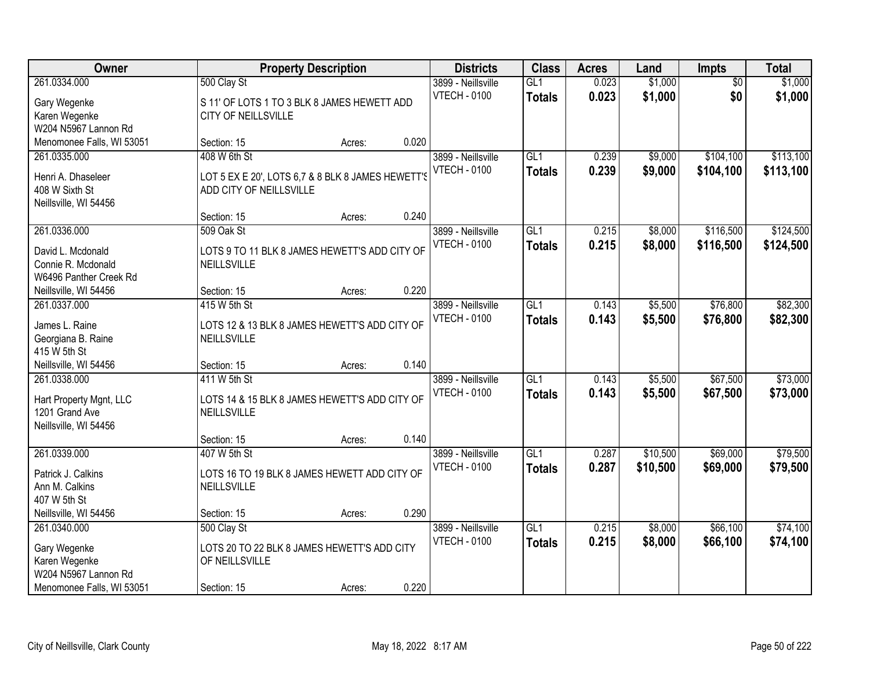| Owner                              |                                                   | <b>Property Description</b> |       | <b>Districts</b>    | <b>Class</b>    | <b>Acres</b> | Land     | <b>Impts</b>    | <b>Total</b> |
|------------------------------------|---------------------------------------------------|-----------------------------|-------|---------------------|-----------------|--------------|----------|-----------------|--------------|
| 261.0334.000                       | 500 Clay St                                       |                             |       | 3899 - Neillsville  | GL1             | 0.023        | \$1,000  | $\overline{50}$ | \$1,000      |
| Gary Wegenke                       | S 11' OF LOTS 1 TO 3 BLK 8 JAMES HEWETT ADD       |                             |       | <b>VTECH - 0100</b> | <b>Totals</b>   | 0.023        | \$1,000  | \$0             | \$1,000      |
| Karen Wegenke                      | CITY OF NEILLSVILLE                               |                             |       |                     |                 |              |          |                 |              |
| W204 N5967 Lannon Rd               |                                                   |                             |       |                     |                 |              |          |                 |              |
| Menomonee Falls, WI 53051          | Section: 15                                       | Acres:                      | 0.020 |                     |                 |              |          |                 |              |
| 261.0335.000                       | 408 W 6th St                                      |                             |       | 3899 - Neillsville  | GL1             | 0.239        | \$9,000  | \$104,100       | \$113,100    |
| Henri A. Dhaseleer                 | LOT 5 EX E 20', LOTS 6,7 & 8 BLK 8 JAMES HEWETT'S |                             |       | <b>VTECH - 0100</b> | <b>Totals</b>   | 0.239        | \$9,000  | \$104,100       | \$113,100    |
| 408 W Sixth St                     | ADD CITY OF NEILLSVILLE                           |                             |       |                     |                 |              |          |                 |              |
| Neillsville, WI 54456              |                                                   |                             |       |                     |                 |              |          |                 |              |
|                                    | Section: 15                                       | Acres:                      | 0.240 |                     |                 |              |          |                 |              |
| 261.0336.000                       | 509 Oak St                                        |                             |       | 3899 - Neillsville  | GL <sub>1</sub> | 0.215        | \$8,000  | \$116,500       | \$124,500    |
| David L. Mcdonald                  | LOTS 9 TO 11 BLK 8 JAMES HEWETT'S ADD CITY OF     |                             |       | <b>VTECH - 0100</b> | <b>Totals</b>   | 0.215        | \$8,000  | \$116,500       | \$124,500    |
| Connie R. Mcdonald                 | NEILLSVILLE                                       |                             |       |                     |                 |              |          |                 |              |
| W6496 Panther Creek Rd             |                                                   |                             |       |                     |                 |              |          |                 |              |
| Neillsville, WI 54456              | Section: 15                                       | Acres:                      | 0.220 |                     |                 |              |          |                 |              |
| 261.0337.000                       | 415 W 5th St                                      |                             |       | 3899 - Neillsville  | GL1             | 0.143        | \$5,500  | \$76,800        | \$82,300     |
|                                    |                                                   |                             |       | <b>VTECH - 0100</b> | <b>Totals</b>   | 0.143        | \$5,500  | \$76,800        | \$82,300     |
| James L. Raine                     | LOTS 12 & 13 BLK 8 JAMES HEWETT'S ADD CITY OF     |                             |       |                     |                 |              |          |                 |              |
| Georgiana B. Raine<br>415 W 5th St | NEILLSVILLE                                       |                             |       |                     |                 |              |          |                 |              |
| Neillsville, WI 54456              | Section: 15                                       | Acres:                      | 0.140 |                     |                 |              |          |                 |              |
| 261.0338.000                       | 411 W 5th St                                      |                             |       | 3899 - Neillsville  | GL1             | 0.143        | \$5,500  | \$67,500        | \$73,000     |
|                                    |                                                   |                             |       | <b>VTECH - 0100</b> | <b>Totals</b>   | 0.143        | \$5,500  | \$67,500        | \$73,000     |
| Hart Property Mgnt, LLC            | LOTS 14 & 15 BLK 8 JAMES HEWETT'S ADD CITY OF     |                             |       |                     |                 |              |          |                 |              |
| 1201 Grand Ave                     | NEILLSVILLE                                       |                             |       |                     |                 |              |          |                 |              |
| Neillsville, WI 54456              |                                                   |                             |       |                     |                 |              |          |                 |              |
|                                    | Section: 15                                       | Acres:                      | 0.140 |                     |                 |              |          |                 |              |
| 261.0339.000                       | 407 W 5th St                                      |                             |       | 3899 - Neillsville  | GL1             | 0.287        | \$10,500 | \$69,000        | \$79,500     |
| Patrick J. Calkins                 | LOTS 16 TO 19 BLK 8 JAMES HEWETT ADD CITY OF      |                             |       | <b>VTECH - 0100</b> | <b>Totals</b>   | 0.287        | \$10,500 | \$69,000        | \$79,500     |
| Ann M. Calkins                     | NEILLSVILLE                                       |                             |       |                     |                 |              |          |                 |              |
| 407 W 5th St                       |                                                   |                             |       |                     |                 |              |          |                 |              |
| Neillsville, WI 54456              | Section: 15                                       | Acres:                      | 0.290 |                     |                 |              |          |                 |              |
| 261.0340.000                       | 500 Clay St                                       |                             |       | 3899 - Neillsville  | GL1             | 0.215        | \$8,000  | \$66,100        | \$74,100     |
| Gary Wegenke                       | LOTS 20 TO 22 BLK 8 JAMES HEWETT'S ADD CITY       |                             |       | <b>VTECH - 0100</b> | <b>Totals</b>   | 0.215        | \$8,000  | \$66,100        | \$74,100     |
| Karen Wegenke                      | OF NEILLSVILLE                                    |                             |       |                     |                 |              |          |                 |              |
| W204 N5967 Lannon Rd               |                                                   |                             |       |                     |                 |              |          |                 |              |
| Menomonee Falls, WI 53051          | Section: 15                                       | Acres:                      | 0.220 |                     |                 |              |          |                 |              |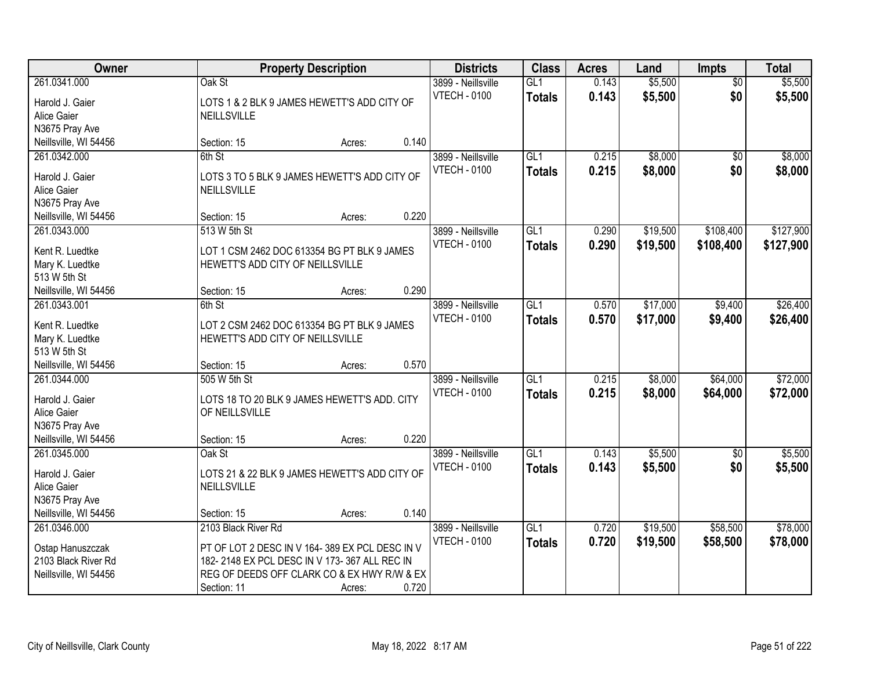| Owner                           | <b>Property Description</b>                                                     |        |       | <b>Districts</b>                          | <b>Class</b>  | <b>Acres</b> | Land     | <b>Impts</b>    | <b>Total</b> |
|---------------------------------|---------------------------------------------------------------------------------|--------|-------|-------------------------------------------|---------------|--------------|----------|-----------------|--------------|
| 261.0341.000                    | Oak St                                                                          |        |       | 3899 - Neillsville                        | GL1           | 0.143        | \$5,500  | $\overline{50}$ | \$5,500      |
| Harold J. Gaier                 | LOTS 1 & 2 BLK 9 JAMES HEWETT'S ADD CITY OF                                     |        |       | <b>VTECH - 0100</b>                       | <b>Totals</b> | 0.143        | \$5,500  | \$0             | \$5,500      |
| Alice Gaier                     | <b>NEILLSVILLE</b>                                                              |        |       |                                           |               |              |          |                 |              |
| N3675 Pray Ave                  |                                                                                 |        |       |                                           |               |              |          |                 |              |
| Neillsville, WI 54456           | Section: 15                                                                     | Acres: | 0.140 |                                           |               |              |          |                 |              |
| 261.0342.000                    | 6th St                                                                          |        |       | 3899 - Neillsville                        | GI1           | 0.215        | \$8,000  | \$0             | \$8,000      |
| Harold J. Gaier                 | LOTS 3 TO 5 BLK 9 JAMES HEWETT'S ADD CITY OF                                    |        |       | <b>VTECH - 0100</b>                       | <b>Totals</b> | 0.215        | \$8,000  | \$0             | \$8,000      |
| Alice Gaier                     | <b>NEILLSVILLE</b>                                                              |        |       |                                           |               |              |          |                 |              |
| N3675 Pray Ave                  |                                                                                 |        |       |                                           |               |              |          |                 |              |
| Neillsville, WI 54456           | Section: 15                                                                     | Acres: | 0.220 |                                           |               |              |          |                 |              |
| 261.0343.000                    | 513 W 5th St                                                                    |        |       | 3899 - Neillsville                        | GL1           | 0.290        | \$19,500 | \$108,400       | \$127,900    |
|                                 |                                                                                 |        |       | <b>VTECH - 0100</b>                       | <b>Totals</b> | 0.290        | \$19,500 | \$108,400       | \$127,900    |
| Kent R. Luedtke                 | LOT 1 CSM 2462 DOC 613354 BG PT BLK 9 JAMES<br>HEWETT'S ADD CITY OF NEILLSVILLE |        |       |                                           |               |              |          |                 |              |
| Mary K. Luedtke<br>513 W 5th St |                                                                                 |        |       |                                           |               |              |          |                 |              |
| Neillsville, WI 54456           | Section: 15                                                                     | Acres: | 0.290 |                                           |               |              |          |                 |              |
| 261.0343.001                    | 6th St                                                                          |        |       | 3899 - Neillsville                        | GL1           | 0.570        | \$17,000 | \$9,400         | \$26,400     |
|                                 |                                                                                 |        |       | <b>VTECH - 0100</b>                       | <b>Totals</b> | 0.570        | \$17,000 | \$9,400         | \$26,400     |
| Kent R. Luedtke                 | LOT 2 CSM 2462 DOC 613354 BG PT BLK 9 JAMES                                     |        |       |                                           |               |              |          |                 |              |
| Mary K. Luedtke                 | HEWETT'S ADD CITY OF NEILLSVILLE                                                |        |       |                                           |               |              |          |                 |              |
| 513 W 5th St                    |                                                                                 |        |       |                                           |               |              |          |                 |              |
| Neillsville, WI 54456           | Section: 15<br>505 W 5th St                                                     | Acres: | 0.570 |                                           | GL1           | 0.215        | \$8,000  | \$64,000        | \$72,000     |
| 261.0344.000                    |                                                                                 |        |       | 3899 - Neillsville<br><b>VTECH - 0100</b> |               |              |          |                 |              |
| Harold J. Gaier                 | LOTS 18 TO 20 BLK 9 JAMES HEWETT'S ADD. CITY                                    |        |       |                                           | <b>Totals</b> | 0.215        | \$8,000  | \$64,000        | \$72,000     |
| Alice Gaier                     | OF NEILLSVILLE                                                                  |        |       |                                           |               |              |          |                 |              |
| N3675 Pray Ave                  |                                                                                 |        |       |                                           |               |              |          |                 |              |
| Neillsville, WI 54456           | Section: 15                                                                     | Acres: | 0.220 |                                           |               |              |          |                 |              |
| 261.0345.000                    | Oak St                                                                          |        |       | 3899 - Neillsville                        | GL1           | 0.143        | \$5,500  | $\sqrt{6}$      | \$5,500      |
| Harold J. Gaier                 | LOTS 21 & 22 BLK 9 JAMES HEWETT'S ADD CITY OF                                   |        |       | <b>VTECH - 0100</b>                       | <b>Totals</b> | 0.143        | \$5,500  | \$0             | \$5,500      |
| Alice Gaier                     | <b>NEILLSVILLE</b>                                                              |        |       |                                           |               |              |          |                 |              |
| N3675 Pray Ave                  |                                                                                 |        |       |                                           |               |              |          |                 |              |
| Neillsville, WI 54456           | Section: 15                                                                     | Acres: | 0.140 |                                           |               |              |          |                 |              |
| 261.0346.000                    | 2103 Black River Rd                                                             |        |       | 3899 - Neillsville                        | GL1           | 0.720        | \$19,500 | \$58,500        | \$78,000     |
| Ostap Hanuszczak                | PT OF LOT 2 DESC IN V 164-389 EX PCL DESC IN V                                  |        |       | <b>VTECH - 0100</b>                       | <b>Totals</b> | 0.720        | \$19,500 | \$58,500        | \$78,000     |
| 2103 Black River Rd             | 182-2148 EX PCL DESC IN V 173-367 ALL REC IN                                    |        |       |                                           |               |              |          |                 |              |
| Neillsville, WI 54456           | REG OF DEEDS OFF CLARK CO & EX HWY R/W & EX                                     |        |       |                                           |               |              |          |                 |              |
|                                 | Section: 11                                                                     | Acres: | 0.720 |                                           |               |              |          |                 |              |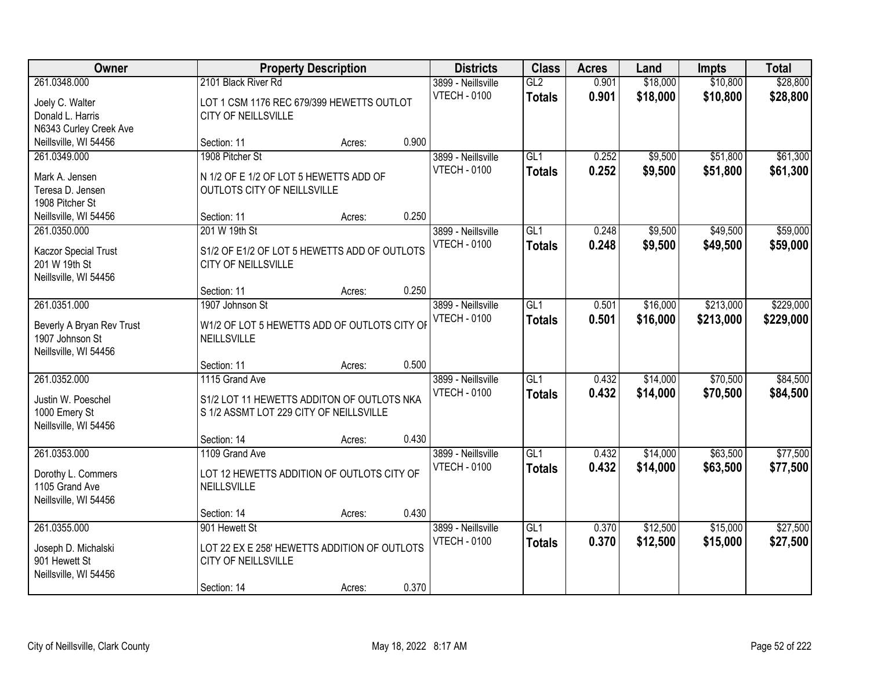| Owner                                                                                 |                                                                                                         | <b>Property Description</b> |       | <b>Districts</b>                          | <b>Class</b>                      | <b>Acres</b>   | Land                 | <b>Impts</b>           | <b>Total</b>           |
|---------------------------------------------------------------------------------------|---------------------------------------------------------------------------------------------------------|-----------------------------|-------|-------------------------------------------|-----------------------------------|----------------|----------------------|------------------------|------------------------|
| 261.0348.000<br>Joely C. Walter<br>Donald L. Harris<br>N6343 Curley Creek Ave         | 2101 Black River Rd<br>LOT 1 CSM 1176 REC 679/399 HEWETTS OUTLOT<br>CITY OF NEILLSVILLE                 |                             |       | 3899 - Neillsville<br><b>VTECH - 0100</b> | GL2<br><b>Totals</b>              | 0.901<br>0.901 | \$18,000<br>\$18,000 | \$10,800<br>\$10,800   | \$28,800<br>\$28,800   |
| Neillsville, WI 54456                                                                 | Section: 11                                                                                             | Acres:                      | 0.900 |                                           |                                   |                |                      |                        |                        |
| 261.0349.000<br>Mark A. Jensen<br>Teresa D. Jensen<br>1908 Pitcher St                 | 1908 Pitcher St<br>N 1/2 OF E 1/2 OF LOT 5 HEWETTS ADD OF<br>OUTLOTS CITY OF NEILLSVILLE                |                             |       | 3899 - Neillsville<br><b>VTECH - 0100</b> | GL1<br><b>Totals</b>              | 0.252<br>0.252 | \$9,500<br>\$9,500   | \$51,800<br>\$51,800   | \$61,300<br>\$61,300   |
| Neillsville, WI 54456                                                                 | Section: 11                                                                                             | Acres:                      | 0.250 |                                           |                                   |                |                      |                        |                        |
| 261.0350.000<br>Kaczor Special Trust<br>201 W 19th St<br>Neillsville, WI 54456        | 201 W 19th St<br>S1/2 OF E1/2 OF LOT 5 HEWETTS ADD OF OUTLOTS<br>CITY OF NEILLSVILLE                    |                             |       | 3899 - Neillsville<br><b>VTECH - 0100</b> | GL1<br><b>Totals</b>              | 0.248<br>0.248 | \$9,500<br>\$9,500   | \$49,500<br>\$49,500   | \$59,000<br>\$59,000   |
|                                                                                       | Section: 11                                                                                             | Acres:                      | 0.250 |                                           |                                   |                |                      |                        |                        |
| 261.0351.000<br>Beverly A Bryan Rev Trust<br>1907 Johnson St<br>Neillsville, WI 54456 | 1907 Johnson St<br>W1/2 OF LOT 5 HEWETTS ADD OF OUTLOTS CITY OF<br>NEILLSVILLE                          |                             |       | 3899 - Neillsville<br><b>VTECH - 0100</b> | GL1<br><b>Totals</b>              | 0.501<br>0.501 | \$16,000<br>\$16,000 | \$213,000<br>\$213,000 | \$229,000<br>\$229,000 |
|                                                                                       | Section: 11                                                                                             | Acres:                      | 0.500 |                                           |                                   |                |                      |                        |                        |
| 261.0352.000<br>Justin W. Poeschel<br>1000 Emery St<br>Neillsville, WI 54456          | 1115 Grand Ave<br>S1/2 LOT 11 HEWETTS ADDITON OF OUTLOTS NKA<br>S 1/2 ASSMT LOT 229 CITY OF NEILLSVILLE |                             |       | 3899 - Neillsville<br><b>VTECH - 0100</b> | $\overline{GL1}$<br><b>Totals</b> | 0.432<br>0.432 | \$14,000<br>\$14,000 | \$70,500<br>\$70,500   | \$84,500<br>\$84,500   |
|                                                                                       | Section: 14                                                                                             | Acres:                      | 0.430 |                                           |                                   |                |                      |                        |                        |
| 261.0353.000<br>Dorothy L. Commers<br>1105 Grand Ave<br>Neillsville, WI 54456         | 1109 Grand Ave<br>LOT 12 HEWETTS ADDITION OF OUTLOTS CITY OF<br>NEILLSVILLE                             |                             |       | 3899 - Neillsville<br><b>VTECH - 0100</b> | GL1<br><b>Totals</b>              | 0.432<br>0.432 | \$14,000<br>\$14,000 | \$63,500<br>\$63,500   | \$77,500<br>\$77,500   |
|                                                                                       | Section: 14                                                                                             | Acres:                      | 0.430 |                                           |                                   |                |                      |                        |                        |
| 261.0355.000<br>Joseph D. Michalski<br>901 Hewett St<br>Neillsville, WI 54456         | 901 Hewett St<br>LOT 22 EX E 258' HEWETTS ADDITION OF OUTLOTS<br>CITY OF NEILLSVILLE<br>Section: 14     | Acres:                      | 0.370 | 3899 - Neillsville<br><b>VTECH - 0100</b> | GL1<br><b>Totals</b>              | 0.370<br>0.370 | \$12,500<br>\$12,500 | \$15,000<br>\$15,000   | \$27,500<br>\$27,500   |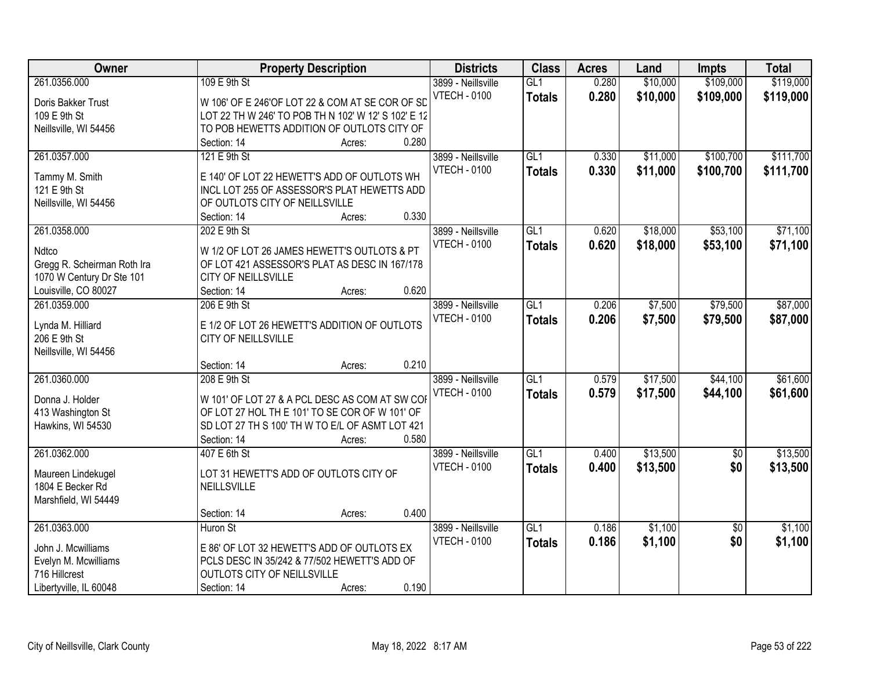| Owner                                  | <b>Property Description</b>                         |        |       | <b>Districts</b>    | <b>Class</b>     | <b>Acres</b> | Land     | <b>Impts</b>    | <b>Total</b> |
|----------------------------------------|-----------------------------------------------------|--------|-------|---------------------|------------------|--------------|----------|-----------------|--------------|
| 261.0356.000                           | 109 E 9th St                                        |        |       | 3899 - Neillsville  | GL1              | 0.280        | \$10,000 | \$109,000       | \$119,000    |
| Doris Bakker Trust                     | W 106' OF E 246'OF LOT 22 & COM AT SE COR OF SD     |        |       | <b>VTECH - 0100</b> | <b>Totals</b>    | 0.280        | \$10,000 | \$109,000       | \$119,000    |
| 109 E 9th St                           | LOT 22 TH W 246' TO POB TH N 102' W 12' S 102' E 12 |        |       |                     |                  |              |          |                 |              |
| Neillsville, WI 54456                  | TO POB HEWETTS ADDITION OF OUTLOTS CITY OF          |        |       |                     |                  |              |          |                 |              |
|                                        | Section: 14                                         | Acres: | 0.280 |                     |                  |              |          |                 |              |
| 261.0357.000                           | 121 E 9th St                                        |        |       | 3899 - Neillsville  | GL1              | 0.330        | \$11,000 | \$100,700       | \$111,700    |
|                                        |                                                     |        |       | <b>VTECH - 0100</b> | <b>Totals</b>    | 0.330        | \$11,000 | \$100,700       | \$111,700    |
| Tammy M. Smith                         | E 140' OF LOT 22 HEWETT'S ADD OF OUTLOTS WH         |        |       |                     |                  |              |          |                 |              |
| 121 E 9th St                           | INCL LOT 255 OF ASSESSOR'S PLAT HEWETTS ADD         |        |       |                     |                  |              |          |                 |              |
| Neillsville, WI 54456                  | OF OUTLOTS CITY OF NEILLSVILLE                      |        |       |                     |                  |              |          |                 |              |
|                                        | Section: 14                                         | Acres: | 0.330 |                     |                  |              |          |                 |              |
| 261.0358.000                           | 202 E 9th St                                        |        |       | 3899 - Neillsville  | GL1              | 0.620        | \$18,000 | \$53,100        | \$71,100     |
| Ndtco                                  | W 1/2 OF LOT 26 JAMES HEWETT'S OUTLOTS & PT         |        |       | <b>VTECH - 0100</b> | <b>Totals</b>    | 0.620        | \$18,000 | \$53,100        | \$71,100     |
| Gregg R. Scheirman Roth Ira            | OF LOT 421 ASSESSOR'S PLAT AS DESC IN 167/178       |        |       |                     |                  |              |          |                 |              |
| 1070 W Century Dr Ste 101              | CITY OF NEILLSVILLE                                 |        |       |                     |                  |              |          |                 |              |
| Louisville, CO 80027                   | Section: 14                                         | Acres: | 0.620 |                     |                  |              |          |                 |              |
| 261.0359.000                           | 206 E 9th St                                        |        |       | 3899 - Neillsville  | GL1              | 0.206        | \$7,500  | \$79,500        | \$87,000     |
|                                        |                                                     |        |       | <b>VTECH - 0100</b> | <b>Totals</b>    | 0.206        | \$7,500  | \$79,500        | \$87,000     |
| Lynda M. Hilliard                      | E 1/2 OF LOT 26 HEWETT'S ADDITION OF OUTLOTS        |        |       |                     |                  |              |          |                 |              |
| 206 E 9th St                           | CITY OF NEILLSVILLE                                 |        |       |                     |                  |              |          |                 |              |
| Neillsville, WI 54456                  |                                                     |        |       |                     |                  |              |          |                 |              |
|                                        | Section: 14                                         | Acres: | 0.210 |                     |                  |              |          |                 |              |
| 261.0360.000                           | 208 E 9th St                                        |        |       | 3899 - Neillsville  | $\overline{GL1}$ | 0.579        | \$17,500 | \$44,100        | \$61,600     |
| Donna J. Holder                        | W 101' OF LOT 27 & A PCL DESC AS COM AT SW COR      |        |       | <b>VTECH - 0100</b> | <b>Totals</b>    | 0.579        | \$17,500 | \$44,100        | \$61,600     |
| 413 Washington St                      | OF LOT 27 HOL THE 101' TO SE COR OF W 101' OF       |        |       |                     |                  |              |          |                 |              |
| Hawkins, WI 54530                      | SD LOT 27 TH S 100' TH W TO E/L OF ASMT LOT 421     |        |       |                     |                  |              |          |                 |              |
|                                        | Section: 14                                         | Acres: | 0.580 |                     |                  |              |          |                 |              |
| 261.0362.000                           | 407 E 6th St                                        |        |       | 3899 - Neillsville  | GL1              | 0.400        | \$13,500 | $\sqrt{6}$      | \$13,500     |
|                                        | LOT 31 HEWETT'S ADD OF OUTLOTS CITY OF              |        |       | <b>VTECH - 0100</b> | <b>Totals</b>    | 0.400        | \$13,500 | \$0             | \$13,500     |
| Maureen Lindekugel<br>1804 E Becker Rd | NEILLSVILLE                                         |        |       |                     |                  |              |          |                 |              |
|                                        |                                                     |        |       |                     |                  |              |          |                 |              |
| Marshfield, WI 54449                   | Section: 14                                         |        | 0.400 |                     |                  |              |          |                 |              |
| 261.0363.000                           | Huron St                                            | Acres: |       | 3899 - Neillsville  | GL1              | 0.186        | \$1,100  |                 | \$1,100      |
|                                        |                                                     |        |       |                     |                  |              |          | $\overline{50}$ |              |
| John J. Mcwilliams                     | E 86' OF LOT 32 HEWETT'S ADD OF OUTLOTS EX          |        |       | <b>VTECH - 0100</b> | <b>Totals</b>    | 0.186        | \$1,100  | \$0             | \$1,100      |
| Evelyn M. Mcwilliams                   | PCLS DESC IN 35/242 & 77/502 HEWETT'S ADD OF        |        |       |                     |                  |              |          |                 |              |
| 716 Hillcrest                          | OUTLOTS CITY OF NEILLSVILLE                         |        |       |                     |                  |              |          |                 |              |
| Libertyville, IL 60048                 | Section: 14                                         | Acres: | 0.190 |                     |                  |              |          |                 |              |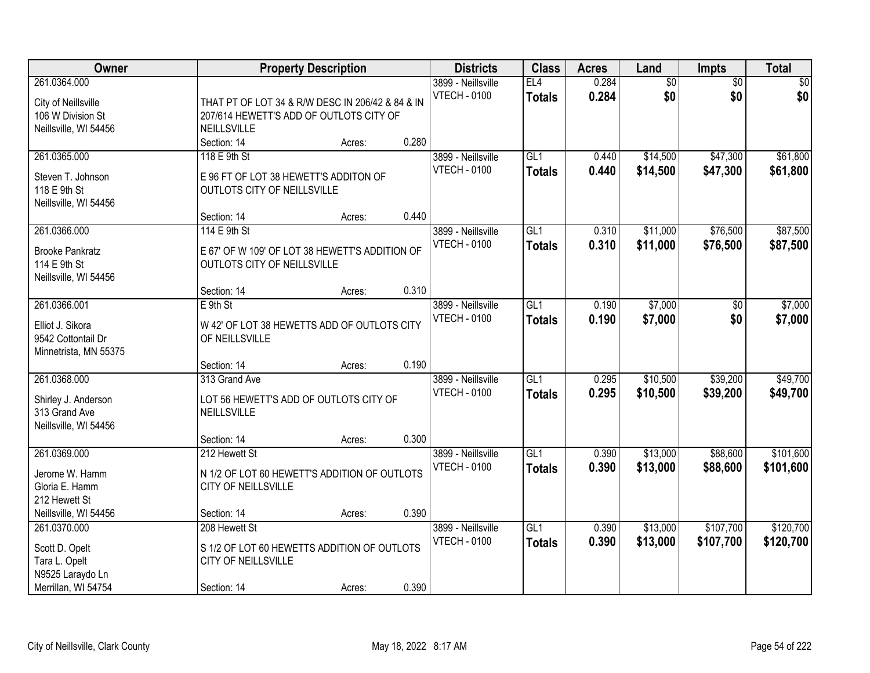| Owner                                                                                      |                                                                                                            | <b>Property Description</b> |       | <b>Districts</b>                          | <b>Class</b>                      | <b>Acres</b>   | Land                   | Impts                  | <b>Total</b>           |
|--------------------------------------------------------------------------------------------|------------------------------------------------------------------------------------------------------------|-----------------------------|-------|-------------------------------------------|-----------------------------------|----------------|------------------------|------------------------|------------------------|
| 261.0364.000<br>City of Neillsville<br>106 W Division St<br>Neillsville, WI 54456          | THAT PT OF LOT 34 & R/W DESC IN 206/42 & 84 & IN<br>207/614 HEWETT'S ADD OF OUTLOTS CITY OF<br>NEILLSVILLE |                             |       | 3899 - Neillsville<br><b>VTECH - 0100</b> | EL4<br><b>Totals</b>              | 0.284<br>0.284 | $\overline{60}$<br>\$0 | $\overline{50}$<br>\$0 | \$0<br>\$0             |
|                                                                                            | Section: 14                                                                                                | Acres:                      | 0.280 |                                           |                                   |                |                        |                        |                        |
| 261.0365.000<br>Steven T. Johnson<br>118 E 9th St<br>Neillsville, WI 54456                 | 118 E 9th St<br>E 96 FT OF LOT 38 HEWETT'S ADDITON OF<br>OUTLOTS CITY OF NEILLSVILLE                       |                             |       | 3899 - Neillsville<br><b>VTECH - 0100</b> | GL1<br><b>Totals</b>              | 0.440<br>0.440 | \$14,500<br>\$14,500   | \$47,300<br>\$47,300   | \$61,800<br>\$61,800   |
|                                                                                            | Section: 14                                                                                                | Acres:                      | 0.440 |                                           |                                   |                |                        |                        |                        |
| 261.0366.000<br><b>Brooke Pankratz</b><br>114 E 9th St<br>Neillsville, WI 54456            | 114 E 9th St<br>E 67' OF W 109' OF LOT 38 HEWETT'S ADDITION OF<br>OUTLOTS CITY OF NEILLSVILLE              |                             |       | 3899 - Neillsville<br><b>VTECH - 0100</b> | GL1<br><b>Totals</b>              | 0.310<br>0.310 | \$11,000<br>\$11,000   | \$76,500<br>\$76,500   | \$87,500<br>\$87,500   |
|                                                                                            | Section: 14                                                                                                | Acres:                      | 0.310 |                                           |                                   |                |                        |                        |                        |
| 261.0366.001<br>Elliot J. Sikora<br>9542 Cottontail Dr<br>Minnetrista, MN 55375            | $E$ 9th St<br>W 42' OF LOT 38 HEWETTS ADD OF OUTLOTS CITY<br>OF NEILLSVILLE                                |                             |       | 3899 - Neillsville<br><b>VTECH - 0100</b> | $\overline{GL1}$<br><b>Totals</b> | 0.190<br>0.190 | \$7,000<br>\$7,000     | \$0<br>\$0             | \$7,000<br>\$7,000     |
|                                                                                            | Section: 14                                                                                                | Acres:                      | 0.190 |                                           |                                   |                |                        |                        |                        |
| 261.0368.000<br>Shirley J. Anderson<br>313 Grand Ave<br>Neillsville, WI 54456              | 313 Grand Ave<br>LOT 56 HEWETT'S ADD OF OUTLOTS CITY OF<br>NEILLSVILLE                                     |                             |       | 3899 - Neillsville<br><b>VTECH - 0100</b> | $\overline{GL1}$<br><b>Totals</b> | 0.295<br>0.295 | \$10,500<br>\$10,500   | \$39,200<br>\$39,200   | \$49,700<br>\$49,700   |
|                                                                                            | Section: 14                                                                                                | Acres:                      | 0.300 |                                           |                                   |                |                        |                        |                        |
| 261.0369.000<br>Jerome W. Hamm<br>Gloria E. Hamm<br>212 Hewett St                          | 212 Hewett St<br>N 1/2 OF LOT 60 HEWETT'S ADDITION OF OUTLOTS<br>CITY OF NEILLSVILLE                       |                             |       | 3899 - Neillsville<br><b>VTECH - 0100</b> | $\overline{GL1}$<br><b>Totals</b> | 0.390<br>0.390 | \$13,000<br>\$13,000   | \$88,600<br>\$88,600   | \$101,600<br>\$101,600 |
| Neillsville, WI 54456                                                                      | Section: 14                                                                                                | Acres:                      | 0.390 |                                           |                                   |                |                        |                        |                        |
| 261.0370.000<br>Scott D. Opelt<br>Tara L. Opelt<br>N9525 Laraydo Ln<br>Merrillan, WI 54754 | 208 Hewett St<br>S 1/2 OF LOT 60 HEWETTS ADDITION OF OUTLOTS<br>CITY OF NEILLSVILLE<br>Section: 14         | Acres:                      | 0.390 | 3899 - Neillsville<br><b>VTECH - 0100</b> | GL1<br><b>Totals</b>              | 0.390<br>0.390 | \$13,000<br>\$13,000   | \$107,700<br>\$107,700 | \$120,700<br>\$120,700 |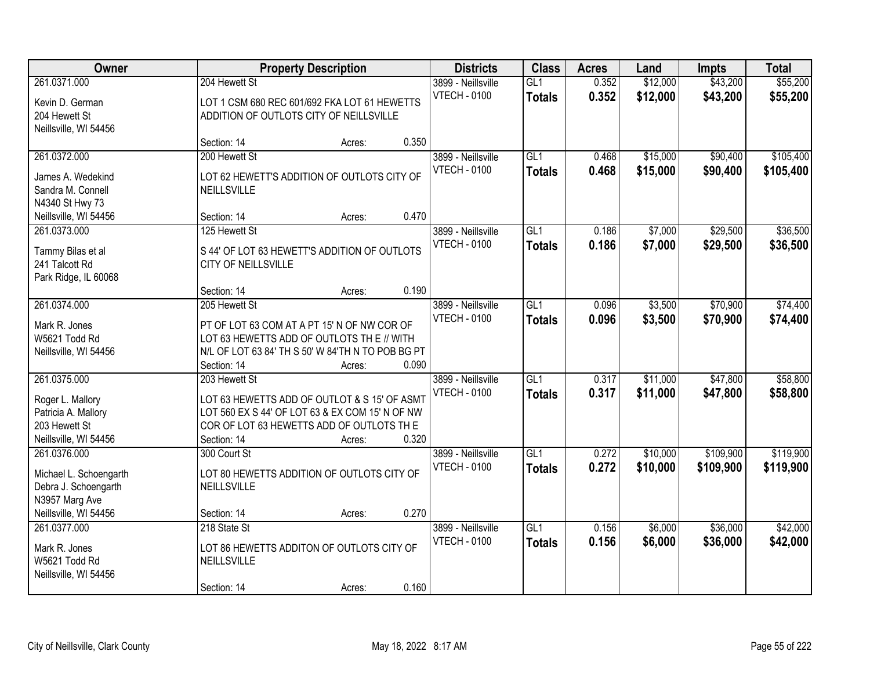| Owner                                                                                                     |                                                                                                                                                                             | <b>Property Description</b> |       | <b>Districts</b>                          | <b>Class</b>                      | <b>Acres</b>   | Land                 | <b>Impts</b>           | <b>Total</b>           |
|-----------------------------------------------------------------------------------------------------------|-----------------------------------------------------------------------------------------------------------------------------------------------------------------------------|-----------------------------|-------|-------------------------------------------|-----------------------------------|----------------|----------------------|------------------------|------------------------|
| 261.0371.000<br>Kevin D. German<br>204 Hewett St<br>Neillsville, WI 54456                                 | 204 Hewett St<br>LOT 1 CSM 680 REC 601/692 FKA LOT 61 HEWETTS<br>ADDITION OF OUTLOTS CITY OF NEILLSVILLE                                                                    |                             |       | 3899 - Neillsville<br><b>VTECH - 0100</b> | GL1<br><b>Totals</b>              | 0.352<br>0.352 | \$12,000<br>\$12,000 | \$43,200<br>\$43,200   | \$55,200<br>\$55,200   |
|                                                                                                           | Section: 14                                                                                                                                                                 | Acres:                      | 0.350 |                                           |                                   |                |                      |                        |                        |
| 261.0372.000<br>James A. Wedekind<br>Sandra M. Connell<br>N4340 St Hwy 73                                 | 200 Hewett St<br>LOT 62 HEWETT'S ADDITION OF OUTLOTS CITY OF<br>NEILLSVILLE                                                                                                 |                             |       | 3899 - Neillsville<br><b>VTECH - 0100</b> | GL1<br><b>Totals</b>              | 0.468<br>0.468 | \$15,000<br>\$15,000 | \$90,400<br>\$90,400   | \$105,400<br>\$105,400 |
| Neillsville, WI 54456                                                                                     | Section: 14                                                                                                                                                                 | Acres:                      | 0.470 |                                           |                                   |                |                      |                        |                        |
| 261.0373.000<br>Tammy Bilas et al<br>241 Talcott Rd<br>Park Ridge, IL 60068                               | 125 Hewett St<br>S 44' OF LOT 63 HEWETT'S ADDITION OF OUTLOTS<br>CITY OF NEILLSVILLE                                                                                        |                             |       | 3899 - Neillsville<br><b>VTECH - 0100</b> | GL1<br><b>Totals</b>              | 0.186<br>0.186 | \$7,000<br>\$7,000   | \$29,500<br>\$29,500   | \$36,500<br>\$36,500   |
|                                                                                                           | Section: 14                                                                                                                                                                 | Acres:                      | 0.190 |                                           |                                   |                |                      |                        |                        |
| 261.0374.000<br>Mark R. Jones<br>W5621 Todd Rd<br>Neillsville, WI 54456                                   | 205 Hewett St<br>PT OF LOT 63 COM AT A PT 15' N OF NW COR OF<br>LOT 63 HEWETTS ADD OF OUTLOTS TH E // WITH<br>N/L OF LOT 63 84' TH S 50' W 84'TH N TO POB BG PT             |                             |       | 3899 - Neillsville<br><b>VTECH - 0100</b> | GL1<br><b>Totals</b>              | 0.096<br>0.096 | \$3,500<br>\$3,500   | \$70,900<br>\$70,900   | \$74,400<br>\$74,400   |
|                                                                                                           | Section: 14                                                                                                                                                                 | Acres:                      | 0.090 |                                           |                                   |                |                      |                        |                        |
| 261.0375.000<br>Roger L. Mallory<br>Patricia A. Mallory<br>203 Hewett St<br>Neillsville, WI 54456         | 203 Hewett St<br>LOT 63 HEWETTS ADD OF OUTLOT & S 15' OF ASMT<br>LOT 560 EX S 44' OF LOT 63 & EX COM 15' N OF NW<br>COR OF LOT 63 HEWETTS ADD OF OUTLOTS THE<br>Section: 14 | Acres:                      | 0.320 | 3899 - Neillsville<br><b>VTECH - 0100</b> | $\overline{GL1}$<br><b>Totals</b> | 0.317<br>0.317 | \$11,000<br>\$11,000 | \$47,800<br>\$47,800   | \$58,800<br>\$58,800   |
| 261.0376.000<br>Michael L. Schoengarth<br>Debra J. Schoengarth<br>N3957 Marg Ave<br>Neillsville, WI 54456 | 300 Court St<br>LOT 80 HEWETTS ADDITION OF OUTLOTS CITY OF<br>NEILLSVILLE<br>Section: 14                                                                                    | Acres:                      | 0.270 | 3899 - Neillsville<br><b>VTECH - 0100</b> | GL1<br><b>Totals</b>              | 0.272<br>0.272 | \$10,000<br>\$10,000 | \$109,900<br>\$109,900 | \$119,900<br>\$119,900 |
| 261.0377.000<br>Mark R. Jones<br>W5621 Todd Rd<br>Neillsville, WI 54456                                   | 218 State St<br>LOT 86 HEWETTS ADDITON OF OUTLOTS CITY OF<br>NEILLSVILLE<br>Section: 14                                                                                     | Acres:                      | 0.160 | 3899 - Neillsville<br><b>VTECH - 0100</b> | GL1<br><b>Totals</b>              | 0.156<br>0.156 | \$6,000<br>\$6,000   | \$36,000<br>\$36,000   | \$42,000<br>\$42,000   |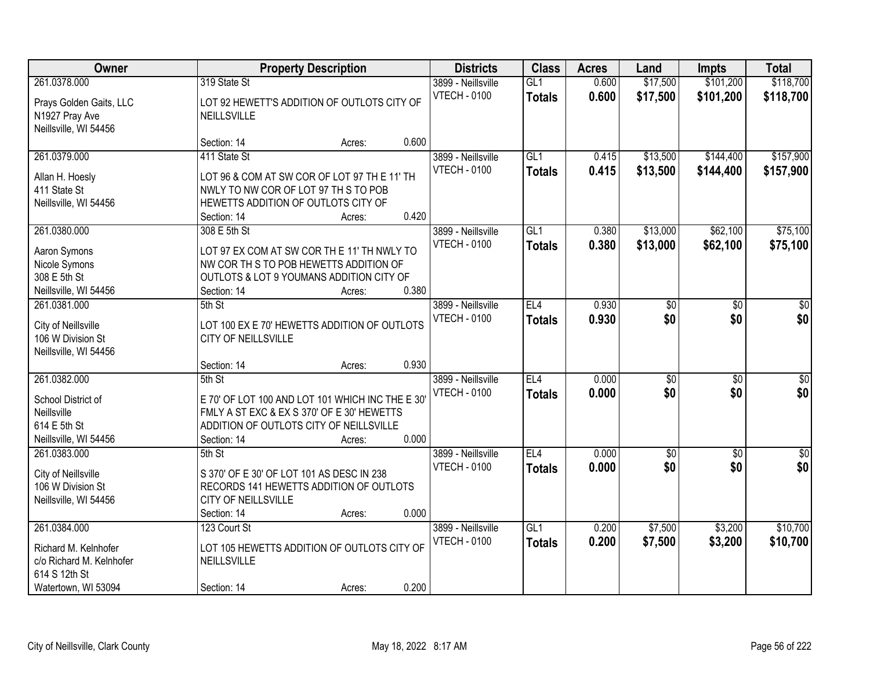| Owner                                                                                                    |                                                                                                            | <b>Property Description</b>                                                                                                                        |       | <b>Districts</b>                          | <b>Class</b>         | <b>Acres</b>   | Land                   | <b>Impts</b>           | <b>Total</b>            |
|----------------------------------------------------------------------------------------------------------|------------------------------------------------------------------------------------------------------------|----------------------------------------------------------------------------------------------------------------------------------------------------|-------|-------------------------------------------|----------------------|----------------|------------------------|------------------------|-------------------------|
| 261.0378.000<br>Prays Golden Gaits, LLC<br>N1927 Pray Ave<br>Neillsville, WI 54456                       | 319 State St<br>NEILLSVILLE                                                                                | LOT 92 HEWETT'S ADDITION OF OUTLOTS CITY OF                                                                                                        |       | 3899 - Neillsville<br><b>VTECH - 0100</b> | GL1<br><b>Totals</b> | 0.600<br>0.600 | \$17,500<br>\$17,500   | \$101,200<br>\$101,200 | \$118,700<br>\$118,700  |
|                                                                                                          | Section: 14                                                                                                | Acres:                                                                                                                                             | 0.600 |                                           |                      |                |                        |                        |                         |
| 261.0379.000<br>Allan H. Hoesly<br>411 State St<br>Neillsville, WI 54456                                 | 411 State St<br>NWLY TO NW COR OF LOT 97 TH S TO POB<br>HEWETTS ADDITION OF OUTLOTS CITY OF<br>Section: 14 | LOT 96 & COM AT SW COR OF LOT 97 TH E 11' TH<br>Acres:                                                                                             | 0.420 | 3899 - Neillsville<br><b>VTECH - 0100</b> | GL1<br><b>Totals</b> | 0.415<br>0.415 | \$13,500<br>\$13,500   | \$144,400<br>\$144,400 | \$157,900<br>\$157,900  |
| 261.0380.000<br>Aaron Symons<br>Nicole Symons<br>308 E 5th St<br>Neillsville, WI 54456                   | 308 E 5th St<br>Section: 14                                                                                | LOT 97 EX COM AT SW COR TH E 11' TH NWLY TO<br>NW COR THIS TO POB HEWETTS ADDITION OF<br>OUTLOTS & LOT 9 YOUMANS ADDITION CITY OF<br>Acres:        | 0.380 | 3899 - Neillsville<br><b>VTECH - 0100</b> | GL1<br><b>Totals</b> | 0.380<br>0.380 | \$13,000<br>\$13,000   | \$62,100<br>\$62,100   | \$75,100<br>\$75,100    |
| 261.0381.000<br>City of Neillsville<br>106 W Division St<br>Neillsville, WI 54456                        | 5th St<br>CITY OF NEILLSVILLE<br>Section: 14                                                               | LOT 100 EX E 70' HEWETTS ADDITION OF OUTLOTS<br>Acres:                                                                                             | 0.930 | 3899 - Neillsville<br><b>VTECH - 0100</b> | EL4<br><b>Totals</b> | 0.930<br>0.930 | \$0<br>\$0             | \$0<br>\$0             | \$0<br>\$0              |
| 261.0382.000<br>School District of<br>Neillsville<br>614 E 5th St<br>Neillsville, WI 54456               | 5th St<br>Section: 14                                                                                      | E 70' OF LOT 100 AND LOT 101 WHICH INC THE E 30<br>FMLY A ST EXC & EX S 370' OF E 30' HEWETTS<br>ADDITION OF OUTLOTS CITY OF NEILLSVILLE<br>Acres: | 0.000 | 3899 - Neillsville<br><b>VTECH - 0100</b> | EL4<br><b>Totals</b> | 0.000<br>0.000 | $\overline{50}$<br>\$0 | $\overline{50}$<br>\$0 | $\overline{50}$<br>\$0  |
| 261.0383.000<br>City of Neillsville<br>106 W Division St<br>Neillsville, WI 54456                        | 5th St<br>S 370' OF E 30' OF LOT 101 AS DESC IN 238<br>CITY OF NEILLSVILLE<br>Section: 14                  | RECORDS 141 HEWETTS ADDITION OF OUTLOTS<br>Acres:                                                                                                  | 0.000 | 3899 - Neillsville<br><b>VTECH - 0100</b> | EL4<br><b>Totals</b> | 0.000<br>0.000 | $\overline{50}$<br>\$0 | $\overline{50}$<br>\$0 | $\overline{\$0}$<br>\$0 |
| 261.0384.000<br>Richard M. Kelnhofer<br>c/o Richard M. Kelnhofer<br>614 S 12th St<br>Watertown, WI 53094 | 123 Court St<br>NEILLSVILLE<br>Section: 14                                                                 | LOT 105 HEWETTS ADDITION OF OUTLOTS CITY OF<br>Acres:                                                                                              | 0.200 | 3899 - Neillsville<br><b>VTECH - 0100</b> | GL1<br><b>Totals</b> | 0.200<br>0.200 | \$7,500<br>\$7,500     | \$3,200<br>\$3,200     | \$10,700<br>\$10,700    |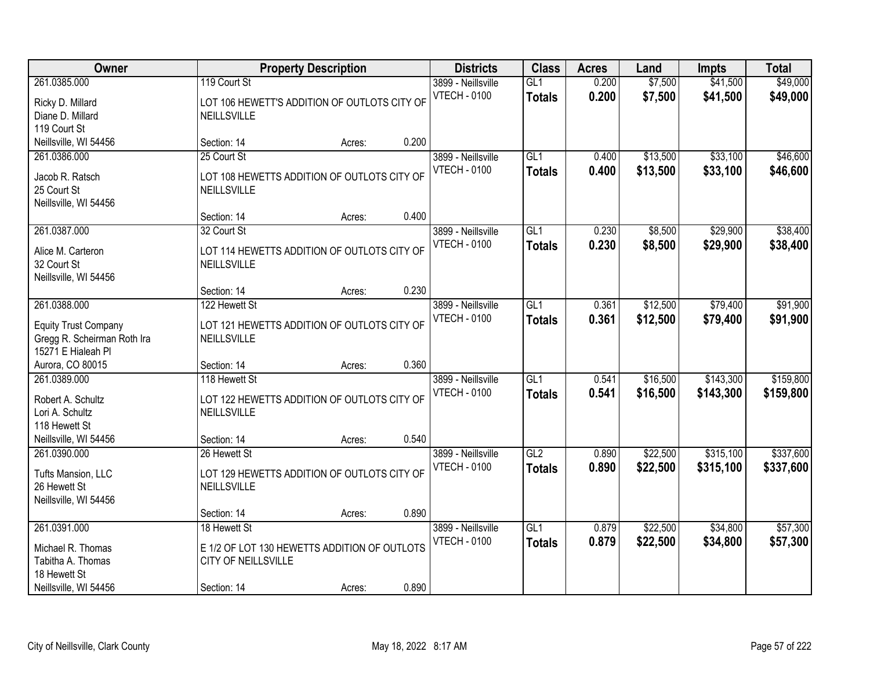| Owner                                                                                            |                                                                                                    | <b>Property Description</b> |       | <b>Districts</b>                          | <b>Class</b>                      | <b>Acres</b>   | Land                 | <b>Impts</b>           | <b>Total</b>           |
|--------------------------------------------------------------------------------------------------|----------------------------------------------------------------------------------------------------|-----------------------------|-------|-------------------------------------------|-----------------------------------|----------------|----------------------|------------------------|------------------------|
| 261.0385.000<br>Ricky D. Millard<br>Diane D. Millard<br>119 Court St                             | 119 Court St<br>LOT 106 HEWETT'S ADDITION OF OUTLOTS CITY OF<br><b>NEILLSVILLE</b>                 |                             |       | 3899 - Neillsville<br><b>VTECH - 0100</b> | GL1<br><b>Totals</b>              | 0.200<br>0.200 | \$7,500<br>\$7,500   | \$41,500<br>\$41,500   | \$49,000<br>\$49,000   |
| Neillsville, WI 54456                                                                            | Section: 14                                                                                        | Acres:                      | 0.200 |                                           |                                   |                |                      |                        |                        |
| 261.0386.000<br>Jacob R. Ratsch<br>25 Court St<br>Neillsville, WI 54456                          | 25 Court St<br>LOT 108 HEWETTS ADDITION OF OUTLOTS CITY OF<br>NEILLSVILLE                          |                             |       | 3899 - Neillsville<br><b>VTECH - 0100</b> | GL1<br><b>Totals</b>              | 0.400<br>0.400 | \$13,500<br>\$13,500 | \$33,100<br>\$33,100   | \$46,600<br>\$46,600   |
|                                                                                                  | Section: 14                                                                                        | Acres:                      | 0.400 |                                           |                                   |                |                      |                        |                        |
| 261.0387.000<br>Alice M. Carteron<br>32 Court St<br>Neillsville, WI 54456                        | 32 Court St<br>LOT 114 HEWETTS ADDITION OF OUTLOTS CITY OF<br>NEILLSVILLE                          |                             |       | 3899 - Neillsville<br><b>VTECH - 0100</b> | GL1<br><b>Totals</b>              | 0.230<br>0.230 | \$8,500<br>\$8,500   | \$29,900<br>\$29,900   | \$38,400<br>\$38,400   |
|                                                                                                  | Section: 14                                                                                        | Acres:                      | 0.230 |                                           |                                   |                |                      |                        |                        |
| 261.0388.000<br><b>Equity Trust Company</b><br>Gregg R. Scheirman Roth Ira<br>15271 E Hialeah Pl | 122 Hewett St<br>LOT 121 HEWETTS ADDITION OF OUTLOTS CITY OF<br><b>NEILLSVILLE</b>                 |                             |       | 3899 - Neillsville<br><b>VTECH - 0100</b> | GL1<br><b>Totals</b>              | 0.361<br>0.361 | \$12,500<br>\$12,500 | \$79,400<br>\$79,400   | \$91,900<br>\$91,900   |
| Aurora, CO 80015                                                                                 | Section: 14                                                                                        | Acres:                      | 0.360 |                                           |                                   |                |                      |                        |                        |
| 261.0389.000<br>Robert A. Schultz<br>Lori A. Schultz<br>118 Hewett St                            | 118 Hewett St<br>LOT 122 HEWETTS ADDITION OF OUTLOTS CITY OF<br>NEILLSVILLE                        |                             |       | 3899 - Neillsville<br><b>VTECH - 0100</b> | $\overline{GL1}$<br><b>Totals</b> | 0.541<br>0.541 | \$16,500<br>\$16,500 | \$143,300<br>\$143,300 | \$159,800<br>\$159,800 |
| Neillsville, WI 54456<br>261.0390.000                                                            | Section: 14<br>26 Hewett St                                                                        | Acres:                      | 0.540 | 3899 - Neillsville                        | GL2                               | 0.890          | \$22,500             | \$315,100              | \$337,600              |
| Tufts Mansion, LLC<br>26 Hewett St<br>Neillsville, WI 54456                                      | LOT 129 HEWETTS ADDITION OF OUTLOTS CITY OF<br>NEILLSVILLE                                         |                             |       | <b>VTECH - 0100</b>                       | <b>Totals</b>                     | 0.890          | \$22,500             | \$315,100              | \$337,600              |
|                                                                                                  | Section: 14                                                                                        | Acres:                      | 0.890 |                                           |                                   |                |                      |                        |                        |
| 261.0391.000<br>Michael R. Thomas<br>Tabitha A. Thomas<br>18 Hewett St<br>Neillsville, WI 54456  | 18 Hewett St<br>E 1/2 OF LOT 130 HEWETTS ADDITION OF OUTLOTS<br>CITY OF NEILLSVILLE<br>Section: 14 | Acres:                      | 0.890 | 3899 - Neillsville<br><b>VTECH - 0100</b> | GL1<br><b>Totals</b>              | 0.879<br>0.879 | \$22,500<br>\$22,500 | \$34,800<br>\$34,800   | \$57,300<br>\$57,300   |
|                                                                                                  |                                                                                                    |                             |       |                                           |                                   |                |                      |                        |                        |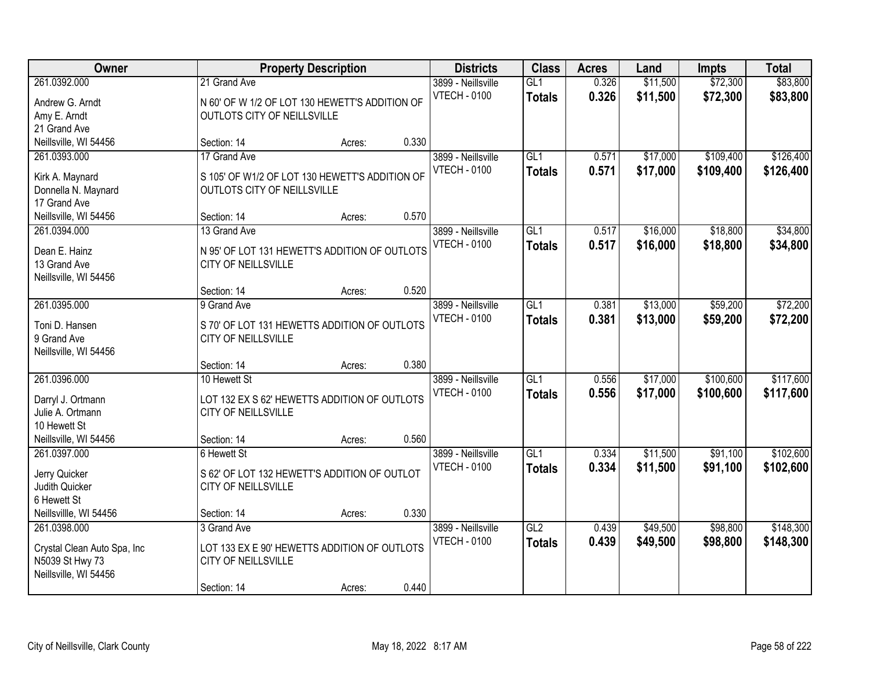| Owner                                                                                   |                                                                                                          | <b>Property Description</b> |       | <b>Districts</b>                          | <b>Class</b>                      | <b>Acres</b>   | Land                 | <b>Impts</b>           | <b>Total</b>           |
|-----------------------------------------------------------------------------------------|----------------------------------------------------------------------------------------------------------|-----------------------------|-------|-------------------------------------------|-----------------------------------|----------------|----------------------|------------------------|------------------------|
| 261.0392.000<br>Andrew G. Arndt<br>Amy E. Arndt<br>21 Grand Ave                         | 21 Grand Ave<br>N 60' OF W 1/2 OF LOT 130 HEWETT'S ADDITION OF<br>OUTLOTS CITY OF NEILLSVILLE            |                             |       | 3899 - Neillsville<br><b>VTECH - 0100</b> | GL1<br><b>Totals</b>              | 0.326<br>0.326 | \$11,500<br>\$11,500 | \$72,300<br>\$72,300   | \$83,800<br>\$83,800   |
| Neillsville, WI 54456                                                                   | Section: 14                                                                                              | Acres:                      | 0.330 |                                           |                                   |                |                      |                        |                        |
| 261.0393.000<br>Kirk A. Maynard<br>Donnella N. Maynard<br>17 Grand Ave                  | 17 Grand Ave<br>S 105' OF W1/2 OF LOT 130 HEWETT'S ADDITION OF<br>OUTLOTS CITY OF NEILLSVILLE            |                             |       | 3899 - Neillsville<br><b>VTECH - 0100</b> | GL1<br><b>Totals</b>              | 0.571<br>0.571 | \$17,000<br>\$17,000 | \$109,400<br>\$109,400 | \$126,400<br>\$126,400 |
| Neillsville, WI 54456                                                                   | Section: 14                                                                                              | Acres:                      | 0.570 |                                           |                                   |                |                      |                        |                        |
| 261.0394.000<br>Dean E. Hainz<br>13 Grand Ave<br>Neillsville, WI 54456                  | 13 Grand Ave<br>N 95' OF LOT 131 HEWETT'S ADDITION OF OUTLOTS<br><b>CITY OF NEILLSVILLE</b>              |                             |       | 3899 - Neillsville<br><b>VTECH - 0100</b> | GL1<br><b>Totals</b>              | 0.517<br>0.517 | \$16,000<br>\$16,000 | \$18,800<br>\$18,800   | \$34,800<br>\$34,800   |
|                                                                                         | Section: 14                                                                                              | Acres:                      | 0.520 |                                           |                                   |                |                      |                        |                        |
| 261.0395.000<br>Toni D. Hansen<br>9 Grand Ave<br>Neillsville, WI 54456                  | 9 Grand Ave<br>S 70' OF LOT 131 HEWETTS ADDITION OF OUTLOTS<br>CITY OF NEILLSVILLE                       |                             |       | 3899 - Neillsville<br><b>VTECH - 0100</b> | GL1<br><b>Totals</b>              | 0.381<br>0.381 | \$13,000<br>\$13,000 | \$59,200<br>\$59,200   | \$72,200<br>\$72,200   |
|                                                                                         | Section: 14                                                                                              | Acres:                      | 0.380 |                                           |                                   |                |                      |                        |                        |
| 261.0396.000<br>Darryl J. Ortmann<br>Julie A. Ortmann<br>10 Hewett St                   | 10 Hewett St<br>LOT 132 EX S 62' HEWETTS ADDITION OF OUTLOTS<br>CITY OF NEILLSVILLE                      |                             |       | 3899 - Neillsville<br><b>VTECH - 0100</b> | $\overline{GL1}$<br><b>Totals</b> | 0.556<br>0.556 | \$17,000<br>\$17,000 | \$100,600<br>\$100,600 | \$117,600<br>\$117,600 |
| Neillsville, WI 54456                                                                   | Section: 14                                                                                              | Acres:                      | 0.560 |                                           |                                   |                |                      |                        |                        |
| 261.0397.000<br>Jerry Quicker<br>Judith Quicker<br>6 Hewett St                          | 6 Hewett St<br>S 62' OF LOT 132 HEWETT'S ADDITION OF OUTLOT<br>CITY OF NEILLSVILLE                       |                             |       | 3899 - Neillsville<br><b>VTECH - 0100</b> | GL1<br><b>Totals</b>              | 0.334<br>0.334 | \$11,500<br>\$11,500 | \$91,100<br>\$91,100   | \$102,600<br>\$102,600 |
| Neillsvillle, WI 54456                                                                  | Section: 14                                                                                              | Acres:                      | 0.330 |                                           |                                   |                |                      |                        |                        |
| 261.0398.000<br>Crystal Clean Auto Spa, Inc<br>N5039 St Hwy 73<br>Neillsville, WI 54456 | 3 Grand Ave<br>LOT 133 EX E 90' HEWETTS ADDITION OF OUTLOTS<br><b>CITY OF NEILLSVILLE</b><br>Section: 14 | Acres:                      | 0.440 | 3899 - Neillsville<br><b>VTECH - 0100</b> | GL2<br><b>Totals</b>              | 0.439<br>0.439 | \$49,500<br>\$49,500 | \$98,800<br>\$98,800   | \$148,300<br>\$148,300 |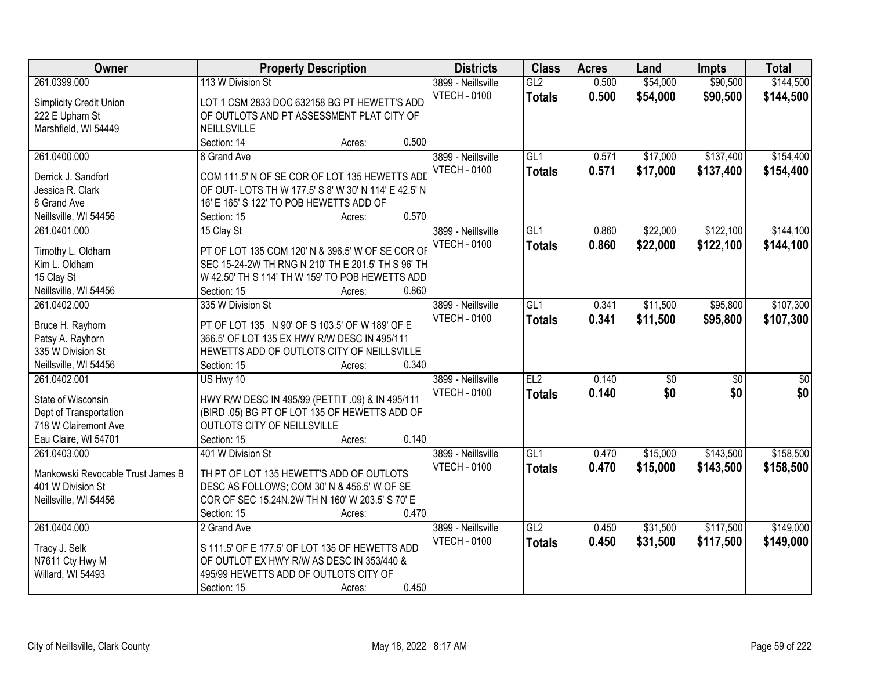| Owner                             | <b>Property Description</b>                         | <b>Districts</b>    | <b>Class</b>    | <b>Acres</b> | Land            | <b>Impts</b>    | <b>Total</b>     |
|-----------------------------------|-----------------------------------------------------|---------------------|-----------------|--------------|-----------------|-----------------|------------------|
| 261.0399.000                      | 113 W Division St                                   | 3899 - Neillsville  | GL2             | 0.500        | \$54,000        | \$90,500        | \$144,500        |
| Simplicity Credit Union           | LOT 1 CSM 2833 DOC 632158 BG PT HEWETT'S ADD        | <b>VTECH - 0100</b> | <b>Totals</b>   | 0.500        | \$54,000        | \$90,500        | \$144,500        |
| 222 E Upham St                    | OF OUTLOTS AND PT ASSESSMENT PLAT CITY OF           |                     |                 |              |                 |                 |                  |
| Marshfield, WI 54449              | <b>NEILLSVILLE</b>                                  |                     |                 |              |                 |                 |                  |
|                                   | 0.500<br>Section: 14<br>Acres:                      |                     |                 |              |                 |                 |                  |
| 261.0400.000                      | 8 Grand Ave                                         | 3899 - Neillsville  | GL <sub>1</sub> | 0.571        | \$17,000        | \$137,400       | \$154,400        |
|                                   |                                                     | <b>VTECH - 0100</b> | <b>Totals</b>   | 0.571        | \$17,000        | \$137,400       | \$154,400        |
| Derrick J. Sandfort               | COM 111.5' N OF SE COR OF LOT 135 HEWETTS ADD       |                     |                 |              |                 |                 |                  |
| Jessica R. Clark                  | OF OUT-LOTS TH W 177.5' S 8' W 30' N 114' E 42.5' N |                     |                 |              |                 |                 |                  |
| 8 Grand Ave                       | 16' E 165' S 122' TO POB HEWETTS ADD OF             |                     |                 |              |                 |                 |                  |
| Neillsville, WI 54456             | 0.570<br>Section: 15<br>Acres:                      |                     |                 |              |                 |                 |                  |
| 261.0401.000                      | 15 Clay St                                          | 3899 - Neillsville  | GLI             | 0.860        | \$22,000        | \$122,100       | \$144,100        |
| Timothy L. Oldham                 | PT OF LOT 135 COM 120' N & 396.5' W OF SE COR OF    | <b>VTECH - 0100</b> | <b>Totals</b>   | 0.860        | \$22,000        | \$122,100       | \$144,100        |
| Kim L. Oldham                     | SEC 15-24-2W TH RNG N 210' TH E 201.5' TH S 96' TH  |                     |                 |              |                 |                 |                  |
| 15 Clay St                        | W 42.50' TH S 114' TH W 159' TO POB HEWETTS ADD     |                     |                 |              |                 |                 |                  |
| Neillsville, WI 54456             | 0.860<br>Section: 15<br>Acres:                      |                     |                 |              |                 |                 |                  |
| 261.0402.000                      | 335 W Division St                                   | 3899 - Neillsville  | GL1             | 0.341        | \$11,500        | \$95,800        | \$107,300        |
|                                   |                                                     | <b>VTECH - 0100</b> | <b>Totals</b>   | 0.341        | \$11,500        | \$95,800        | \$107,300        |
| Bruce H. Rayhorn                  | PT OF LOT 135 N 90' OF S 103.5' OF W 189' OF E      |                     |                 |              |                 |                 |                  |
| Patsy A. Rayhorn                  | 366.5' OF LOT 135 EX HWY R/W DESC IN 495/111        |                     |                 |              |                 |                 |                  |
| 335 W Division St                 | HEWETTS ADD OF OUTLOTS CITY OF NEILLSVILLE          |                     |                 |              |                 |                 |                  |
| Neillsville, WI 54456             | 0.340<br>Section: 15<br>Acres:                      |                     |                 |              |                 |                 |                  |
| 261.0402.001                      | US Hwy 10                                           | 3899 - Neillsville  | EL2             | 0.140        | $\overline{50}$ | $\overline{50}$ | $\overline{\$0}$ |
| State of Wisconsin                | HWY R/W DESC IN 495/99 (PETTIT .09) & IN 495/111    | <b>VTECH - 0100</b> | <b>Totals</b>   | 0.140        | \$0             | \$0             | \$0              |
| Dept of Transportation            | (BIRD .05) BG PT OF LOT 135 OF HEWETTS ADD OF       |                     |                 |              |                 |                 |                  |
| 718 W Clairemont Ave              | OUTLOTS CITY OF NEILLSVILLE                         |                     |                 |              |                 |                 |                  |
| Eau Claire, WI 54701              | 0.140<br>Section: 15<br>Acres:                      |                     |                 |              |                 |                 |                  |
| 261.0403.000                      | 401 W Division St                                   | 3899 - Neillsville  | GL1             | 0.470        | \$15,000        | \$143,500       | \$158,500        |
|                                   |                                                     | <b>VTECH - 0100</b> | <b>Totals</b>   | 0.470        | \$15,000        | \$143,500       |                  |
| Mankowski Revocable Trust James B | TH PT OF LOT 135 HEWETT'S ADD OF OUTLOTS            |                     |                 |              |                 |                 | \$158,500        |
| 401 W Division St                 | DESC AS FOLLOWS; COM 30' N & 456.5' W OF SE         |                     |                 |              |                 |                 |                  |
| Neillsville, WI 54456             | COR OF SEC 15.24N.2W TH N 160' W 203.5' S 70' E     |                     |                 |              |                 |                 |                  |
|                                   | 0.470<br>Section: 15<br>Acres:                      |                     |                 |              |                 |                 |                  |
| 261.0404.000                      | 2 Grand Ave                                         | 3899 - Neillsville  | GL2             | 0.450        | \$31,500        | \$117,500       | \$149,000        |
| Tracy J. Selk                     | S 111.5' OF E 177.5' OF LOT 135 OF HEWETTS ADD      | <b>VTECH - 0100</b> | <b>Totals</b>   | 0.450        | \$31,500        | \$117,500       | \$149,000        |
| N7611 Cty Hwy M                   | OF OUTLOT EX HWY R/W AS DESC IN 353/440 &           |                     |                 |              |                 |                 |                  |
| Willard, WI 54493                 | 495/99 HEWETTS ADD OF OUTLOTS CITY OF               |                     |                 |              |                 |                 |                  |
|                                   | 0.450                                               |                     |                 |              |                 |                 |                  |
|                                   | Section: 15<br>Acres:                               |                     |                 |              |                 |                 |                  |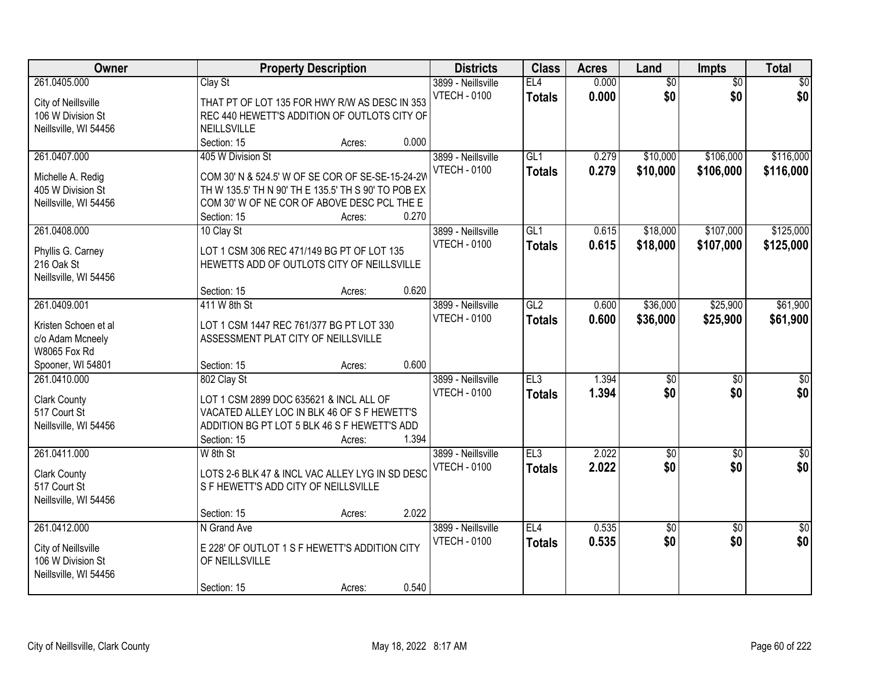| Owner                                  | <b>Property Description</b>                                                                             | <b>Districts</b>    | <b>Class</b>     | <b>Acres</b> | Land            | Impts           | <b>Total</b>    |
|----------------------------------------|---------------------------------------------------------------------------------------------------------|---------------------|------------------|--------------|-----------------|-----------------|-----------------|
| 261.0405.000                           | Clay St                                                                                                 | 3899 - Neillsville  | EL4              | 0.000        | $\overline{60}$ | $\overline{50}$ | \$0             |
| City of Neillsville                    | THAT PT OF LOT 135 FOR HWY R/W AS DESC IN 353                                                           | <b>VTECH - 0100</b> | <b>Totals</b>    | 0.000        | \$0             | \$0             | \$0             |
| 106 W Division St                      | REC 440 HEWETT'S ADDITION OF OUTLOTS CITY OF                                                            |                     |                  |              |                 |                 |                 |
| Neillsville, WI 54456                  | NEILLSVILLE                                                                                             |                     |                  |              |                 |                 |                 |
|                                        | 0.000<br>Section: 15<br>Acres:                                                                          |                     |                  |              |                 |                 |                 |
| 261.0407.000                           | 405 W Division St                                                                                       | 3899 - Neillsville  | GL1              | 0.279        | \$10,000        | \$106,000       | \$116,000       |
|                                        |                                                                                                         | <b>VTECH - 0100</b> | <b>Totals</b>    | 0.279        | \$10,000        | \$106,000       | \$116,000       |
| Michelle A. Redig<br>405 W Division St | COM 30' N & 524.5' W OF SE COR OF SE-SE-15-24-2W<br>TH W 135.5' TH N 90' TH E 135.5' TH S 90' TO POB EX |                     |                  |              |                 |                 |                 |
| Neillsville, WI 54456                  | COM 30' W OF NE COR OF ABOVE DESC PCL THE E                                                             |                     |                  |              |                 |                 |                 |
|                                        | 0.270<br>Section: 15<br>Acres:                                                                          |                     |                  |              |                 |                 |                 |
| 261.0408.000                           | 10 Clay St                                                                                              | 3899 - Neillsville  | GL1              | 0.615        | \$18,000        | \$107,000       | \$125,000       |
|                                        |                                                                                                         | <b>VTECH - 0100</b> |                  | 0.615        | \$18,000        | \$107,000       | \$125,000       |
| Phyllis G. Carney                      | LOT 1 CSM 306 REC 471/149 BG PT OF LOT 135                                                              |                     | <b>Totals</b>    |              |                 |                 |                 |
| 216 Oak St                             | HEWETTS ADD OF OUTLOTS CITY OF NEILLSVILLE                                                              |                     |                  |              |                 |                 |                 |
| Neillsville, WI 54456                  |                                                                                                         |                     |                  |              |                 |                 |                 |
|                                        | 0.620<br>Section: 15<br>Acres:                                                                          |                     |                  |              |                 |                 |                 |
| 261.0409.001                           | 411 W 8th St                                                                                            | 3899 - Neillsville  | $\overline{GL2}$ | 0.600        | \$36,000        | \$25,900        | \$61,900        |
| Kristen Schoen et al                   | LOT 1 CSM 1447 REC 761/377 BG PT LOT 330                                                                | <b>VTECH - 0100</b> | <b>Totals</b>    | 0.600        | \$36,000        | \$25,900        | \$61,900        |
| c/o Adam Mcneely                       | ASSESSMENT PLAT CITY OF NEILLSVILLE                                                                     |                     |                  |              |                 |                 |                 |
| <b>W8065 Fox Rd</b>                    |                                                                                                         |                     |                  |              |                 |                 |                 |
| Spooner, WI 54801                      | 0.600<br>Section: 15<br>Acres:                                                                          |                     |                  |              |                 |                 |                 |
| 261.0410.000                           | 802 Clay St                                                                                             | 3899 - Neillsville  | EL3              | 1.394        | \$0             | \$0             | $\overline{50}$ |
|                                        |                                                                                                         | <b>VTECH - 0100</b> | <b>Totals</b>    | 1.394        | \$0             | \$0             | \$0             |
| <b>Clark County</b>                    | LOT 1 CSM 2899 DOC 635621 & INCL ALL OF                                                                 |                     |                  |              |                 |                 |                 |
| 517 Court St                           | VACATED ALLEY LOC IN BLK 46 OF S F HEWETT'S                                                             |                     |                  |              |                 |                 |                 |
| Neillsville, WI 54456                  | ADDITION BG PT LOT 5 BLK 46 S F HEWETT'S ADD                                                            |                     |                  |              |                 |                 |                 |
|                                        | 1.394<br>Section: 15<br>Acres:                                                                          |                     |                  |              |                 |                 |                 |
| 261.0411.000                           | W 8th St                                                                                                | 3899 - Neillsville  | EL3              | 2.022        | $\overline{60}$ | $\overline{50}$ | $\sqrt{30}$     |
| <b>Clark County</b>                    | LOTS 2-6 BLK 47 & INCL VAC ALLEY LYG IN SD DESC                                                         | <b>VTECH - 0100</b> | <b>Totals</b>    | 2.022        | \$0             | \$0             | \$0             |
| 517 Court St                           | S F HEWETT'S ADD CITY OF NEILLSVILLE                                                                    |                     |                  |              |                 |                 |                 |
| Neillsville, WI 54456                  |                                                                                                         |                     |                  |              |                 |                 |                 |
|                                        | 2.022<br>Section: 15<br>Acres:                                                                          |                     |                  |              |                 |                 |                 |
| 261.0412.000                           | N Grand Ave                                                                                             | 3899 - Neillsville  | EL4              | 0.535        | $\overline{60}$ | $\overline{30}$ | $\overline{50}$ |
|                                        | E 228' OF OUTLOT 1 S F HEWETT'S ADDITION CITY                                                           | <b>VTECH - 0100</b> | <b>Totals</b>    | 0.535        | \$0             | \$0             | \$0             |
| City of Neillsville                    |                                                                                                         |                     |                  |              |                 |                 |                 |
| 106 W Division St                      | OF NEILLSVILLE                                                                                          |                     |                  |              |                 |                 |                 |
| Neillsville, WI 54456                  | 0.540<br>Section: 15                                                                                    |                     |                  |              |                 |                 |                 |
|                                        | Acres:                                                                                                  |                     |                  |              |                 |                 |                 |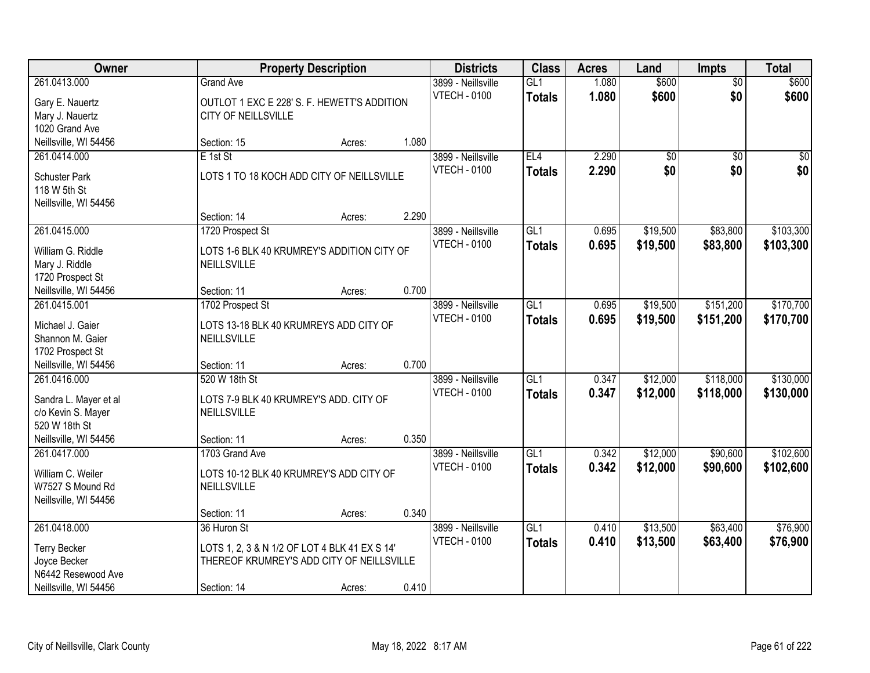| Owner                                 |                                                                    | <b>Property Description</b> |       | <b>Districts</b>                          | <b>Class</b>         | <b>Acres</b>   | Land            | <b>Impts</b>           | <b>Total</b>   |
|---------------------------------------|--------------------------------------------------------------------|-----------------------------|-------|-------------------------------------------|----------------------|----------------|-----------------|------------------------|----------------|
| 261.0413.000                          | <b>Grand Ave</b>                                                   |                             |       | 3899 - Neillsville<br><b>VTECH - 0100</b> | GL1<br><b>Totals</b> | 1.080<br>1.080 | \$600<br>\$600  | $\overline{50}$<br>\$0 | \$600<br>\$600 |
| Gary E. Nauertz<br>Mary J. Nauertz    | OUTLOT 1 EXC E 228' S. F. HEWETT'S ADDITION<br>CITY OF NEILLSVILLE |                             |       |                                           |                      |                |                 |                        |                |
| 1020 Grand Ave                        |                                                                    |                             |       |                                           |                      |                |                 |                        |                |
| Neillsville, WI 54456                 | Section: 15                                                        | Acres:                      | 1.080 |                                           |                      |                |                 |                        |                |
| 261.0414.000                          | $E$ 1st St                                                         |                             |       | 3899 - Neillsville                        | EL4                  | 2.290          | $\overline{50}$ | $\overline{50}$        | $\sqrt{50}$    |
|                                       |                                                                    |                             |       |                                           |                      |                |                 |                        |                |
| <b>Schuster Park</b>                  | LOTS 1 TO 18 KOCH ADD CITY OF NEILLSVILLE                          |                             |       | <b>VTECH - 0100</b>                       | <b>Totals</b>        | 2.290          | \$0             | \$0                    | \$0            |
| 118 W 5th St                          |                                                                    |                             |       |                                           |                      |                |                 |                        |                |
| Neillsville, WI 54456                 |                                                                    |                             |       |                                           |                      |                |                 |                        |                |
|                                       | Section: 14                                                        | Acres:                      | 2.290 |                                           |                      |                |                 |                        |                |
| 261.0415.000                          | 1720 Prospect St                                                   |                             |       | 3899 - Neillsville                        | GL <sub>1</sub>      | 0.695          | \$19,500        | \$83,800               | \$103,300      |
|                                       |                                                                    |                             |       | <b>VTECH - 0100</b>                       | <b>Totals</b>        | 0.695          | \$19,500        | \$83,800               | \$103,300      |
| William G. Riddle                     | LOTS 1-6 BLK 40 KRUMREY'S ADDITION CITY OF                         |                             |       |                                           |                      |                |                 |                        |                |
| Mary J. Riddle                        | <b>NEILLSVILLE</b>                                                 |                             |       |                                           |                      |                |                 |                        |                |
| 1720 Prospect St                      | Section: 11                                                        |                             | 0.700 |                                           |                      |                |                 |                        |                |
| Neillsville, WI 54456<br>261.0415.001 |                                                                    | Acres:                      |       |                                           | GL1                  |                |                 | \$151,200              |                |
|                                       | 1702 Prospect St                                                   |                             |       | 3899 - Neillsville                        |                      | 0.695          | \$19,500        |                        | \$170,700      |
| Michael J. Gaier                      | LOTS 13-18 BLK 40 KRUMREYS ADD CITY OF                             |                             |       | <b>VTECH - 0100</b>                       | <b>Totals</b>        | 0.695          | \$19,500        | \$151,200              | \$170,700      |
| Shannon M. Gaier                      | NEILLSVILLE                                                        |                             |       |                                           |                      |                |                 |                        |                |
| 1702 Prospect St                      |                                                                    |                             |       |                                           |                      |                |                 |                        |                |
| Neillsville, WI 54456                 | Section: 11                                                        | Acres:                      | 0.700 |                                           |                      |                |                 |                        |                |
| 261.0416.000                          | 520 W 18th St                                                      |                             |       | 3899 - Neillsville                        | GL1                  | 0.347          | \$12,000        | \$118,000              | \$130,000      |
|                                       |                                                                    |                             |       | <b>VTECH - 0100</b>                       | <b>Totals</b>        | 0.347          | \$12,000        | \$118,000              | \$130,000      |
| Sandra L. Mayer et al                 | LOTS 7-9 BLK 40 KRUMREY'S ADD. CITY OF                             |                             |       |                                           |                      |                |                 |                        |                |
| c/o Kevin S. Mayer<br>520 W 18th St   | NEILLSVILLE                                                        |                             |       |                                           |                      |                |                 |                        |                |
|                                       |                                                                    |                             |       |                                           |                      |                |                 |                        |                |
| Neillsville, WI 54456                 | Section: 11                                                        | Acres:                      | 0.350 |                                           |                      |                |                 |                        |                |
| 261.0417.000                          | 1703 Grand Ave                                                     |                             |       | 3899 - Neillsville                        | GL <sub>1</sub>      | 0.342          | \$12,000        | \$90,600               | \$102,600      |
| William C. Weiler                     | LOTS 10-12 BLK 40 KRUMREY'S ADD CITY OF                            |                             |       | <b>VTECH - 0100</b>                       | <b>Totals</b>        | 0.342          | \$12,000        | \$90,600               | \$102,600      |
| W7527 S Mound Rd                      | NEILLSVILLE                                                        |                             |       |                                           |                      |                |                 |                        |                |
| Neillsville, WI 54456                 |                                                                    |                             |       |                                           |                      |                |                 |                        |                |
|                                       | Section: 11                                                        | Acres:                      | 0.340 |                                           |                      |                |                 |                        |                |
| 261.0418.000                          | 36 Huron St                                                        |                             |       | 3899 - Neillsville                        | $\overline{GL1}$     | 0.410          | \$13,500        | \$63,400               | \$76,900       |
|                                       |                                                                    |                             |       | <b>VTECH - 0100</b>                       | <b>Totals</b>        | 0.410          | \$13,500        | \$63,400               | \$76,900       |
| <b>Terry Becker</b>                   | LOTS 1, 2, 3 & N 1/2 OF LOT 4 BLK 41 EX S 14'                      |                             |       |                                           |                      |                |                 |                        |                |
| Joyce Becker<br>N6442 Resewood Ave    | THEREOF KRUMREY'S ADD CITY OF NEILLSVILLE                          |                             |       |                                           |                      |                |                 |                        |                |
|                                       |                                                                    |                             |       |                                           |                      |                |                 |                        |                |
| Neillsville, WI 54456                 | Section: 14                                                        | Acres:                      | 0.410 |                                           |                      |                |                 |                        |                |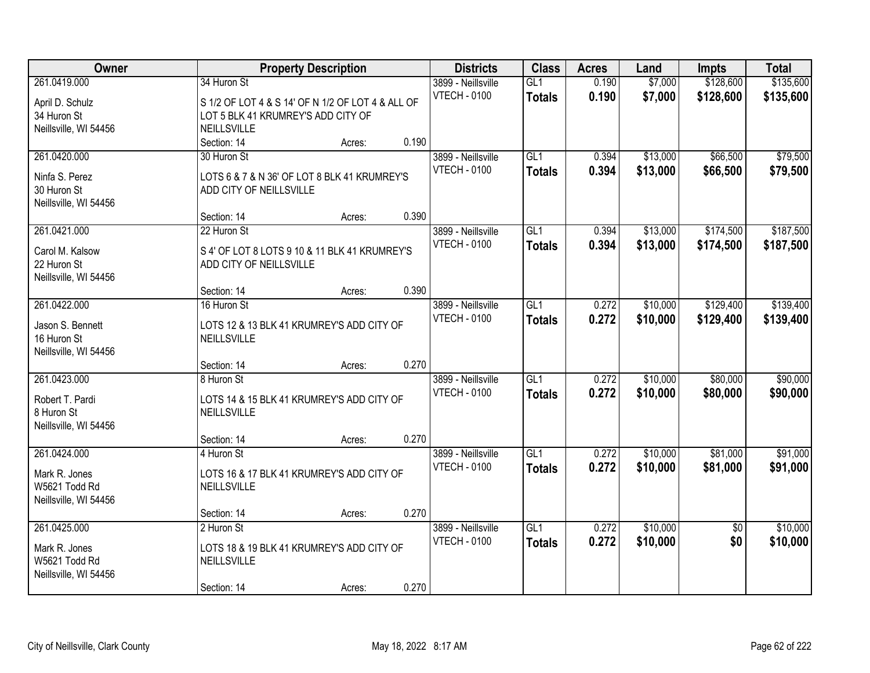| Owner                 | <b>Property Description</b>                       |       | <b>Districts</b>    | <b>Class</b>     | <b>Acres</b> | Land     | <b>Impts</b>    | <b>Total</b> |
|-----------------------|---------------------------------------------------|-------|---------------------|------------------|--------------|----------|-----------------|--------------|
| 261.0419.000          | 34 Huron St                                       |       | 3899 - Neillsville  | GL1              | 0.190        | \$7,000  | \$128,600       | \$135,600    |
| April D. Schulz       | S 1/2 OF LOT 4 & S 14' OF N 1/2 OF LOT 4 & ALL OF |       | <b>VTECH - 0100</b> | <b>Totals</b>    | 0.190        | \$7,000  | \$128,600       | \$135,600    |
| 34 Huron St           | LOT 5 BLK 41 KRUMREY'S ADD CITY OF                |       |                     |                  |              |          |                 |              |
| Neillsville, WI 54456 | NEILLSVILLE                                       |       |                     |                  |              |          |                 |              |
|                       | Section: 14<br>Acres:                             | 0.190 |                     |                  |              |          |                 |              |
| 261.0420.000          | 30 Huron St                                       |       | 3899 - Neillsville  | GL1              | 0.394        | \$13,000 | \$66,500        | \$79,500     |
| Ninfa S. Perez        | LOTS 6 & 7 & N 36' OF LOT 8 BLK 41 KRUMREY'S      |       | <b>VTECH - 0100</b> | <b>Totals</b>    | 0.394        | \$13,000 | \$66,500        | \$79,500     |
| 30 Huron St           | ADD CITY OF NEILLSVILLE                           |       |                     |                  |              |          |                 |              |
| Neillsville, WI 54456 |                                                   |       |                     |                  |              |          |                 |              |
|                       | Section: 14<br>Acres:                             | 0.390 |                     |                  |              |          |                 |              |
| 261.0421.000          | 22 Huron St                                       |       | 3899 - Neillsville  | GL1              | 0.394        | \$13,000 | \$174,500       | \$187,500    |
| Carol M. Kalsow       | S 4' OF LOT 8 LOTS 9 10 & 11 BLK 41 KRUMREY'S     |       | <b>VTECH - 0100</b> | <b>Totals</b>    | 0.394        | \$13,000 | \$174,500       | \$187,500    |
| 22 Huron St           | ADD CITY OF NEILLSVILLE                           |       |                     |                  |              |          |                 |              |
| Neillsville, WI 54456 |                                                   |       |                     |                  |              |          |                 |              |
|                       | Section: 14<br>Acres:                             | 0.390 |                     |                  |              |          |                 |              |
| 261.0422.000          | 16 Huron St                                       |       | 3899 - Neillsville  | GL1              | 0.272        | \$10,000 | \$129,400       | \$139,400    |
| Jason S. Bennett      | LOTS 12 & 13 BLK 41 KRUMREY'S ADD CITY OF         |       | <b>VTECH - 0100</b> | <b>Totals</b>    | 0.272        | \$10,000 | \$129,400       | \$139,400    |
| 16 Huron St           | NEILLSVILLE                                       |       |                     |                  |              |          |                 |              |
| Neillsville, WI 54456 |                                                   |       |                     |                  |              |          |                 |              |
|                       | Section: 14<br>Acres:                             | 0.270 |                     |                  |              |          |                 |              |
| 261.0423.000          | 8 Huron St                                        |       | 3899 - Neillsville  | $\overline{GL1}$ | 0.272        | \$10,000 | \$80,000        | \$90,000     |
| Robert T. Pardi       | LOTS 14 & 15 BLK 41 KRUMREY'S ADD CITY OF         |       | <b>VTECH - 0100</b> | <b>Totals</b>    | 0.272        | \$10,000 | \$80,000        | \$90,000     |
| 8 Huron St            | NEILLSVILLE                                       |       |                     |                  |              |          |                 |              |
| Neillsville, WI 54456 |                                                   |       |                     |                  |              |          |                 |              |
|                       | Section: 14<br>Acres:                             | 0.270 |                     |                  |              |          |                 |              |
| 261.0424.000          | 4 Huron St                                        |       | 3899 - Neillsville  | GL1              | 0.272        | \$10,000 | \$81,000        | \$91,000     |
| Mark R. Jones         | LOTS 16 & 17 BLK 41 KRUMREY'S ADD CITY OF         |       | <b>VTECH - 0100</b> | <b>Totals</b>    | 0.272        | \$10,000 | \$81,000        | \$91,000     |
| W5621 Todd Rd         | NEILLSVILLE                                       |       |                     |                  |              |          |                 |              |
| Neillsville, WI 54456 |                                                   |       |                     |                  |              |          |                 |              |
|                       | Section: 14<br>Acres:                             | 0.270 |                     |                  |              |          |                 |              |
| 261.0425.000          | 2 Huron St                                        |       | 3899 - Neillsville  | GL1              | 0.272        | \$10,000 | $\overline{50}$ | \$10,000     |
| Mark R. Jones         | LOTS 18 & 19 BLK 41 KRUMREY'S ADD CITY OF         |       | <b>VTECH - 0100</b> | <b>Totals</b>    | 0.272        | \$10,000 | \$0             | \$10,000     |
| W5621 Todd Rd         | NEILLSVILLE                                       |       |                     |                  |              |          |                 |              |
| Neillsville, WI 54456 |                                                   |       |                     |                  |              |          |                 |              |
|                       | Section: 14<br>Acres:                             | 0.270 |                     |                  |              |          |                 |              |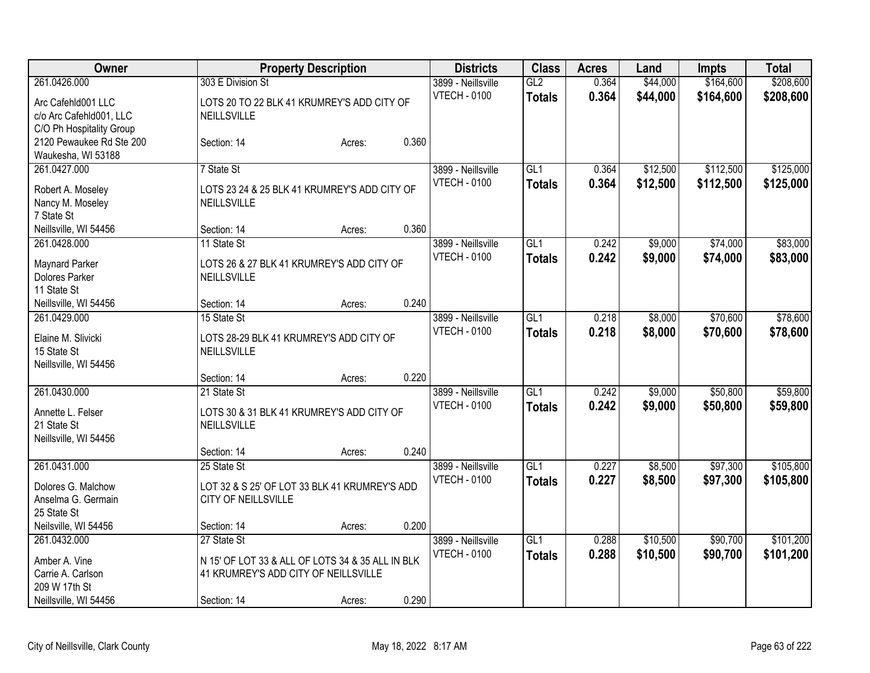| Owner                    |                                                  | <b>Property Description</b> |       | <b>Districts</b>    | <b>Class</b>     | <b>Acres</b> | Land     | Impts     | <b>Total</b> |
|--------------------------|--------------------------------------------------|-----------------------------|-------|---------------------|------------------|--------------|----------|-----------|--------------|
| 261.0426.000             | 303 E Division St                                |                             |       | 3899 - Neillsville  | GL2              | 0.364        | \$44,000 | \$164,600 | \$208,600    |
| Arc Cafehld001 LLC       | LOTS 20 TO 22 BLK 41 KRUMREY'S ADD CITY OF       |                             |       | <b>VTECH - 0100</b> | <b>Totals</b>    | 0.364        | \$44,000 | \$164,600 | \$208,600    |
| c/o Arc Cafehld001, LLC  | <b>NEILLSVILLE</b>                               |                             |       |                     |                  |              |          |           |              |
| C/O Ph Hospitality Group |                                                  |                             |       |                     |                  |              |          |           |              |
| 2120 Pewaukee Rd Ste 200 | Section: 14                                      | Acres:                      | 0.360 |                     |                  |              |          |           |              |
| Waukesha, WI 53188       |                                                  |                             |       |                     |                  |              |          |           |              |
| 261.0427.000             | 7 State St                                       |                             |       | 3899 - Neillsville  | GL1              | 0.364        | \$12,500 | \$112,500 | \$125,000    |
| Robert A. Moseley        | LOTS 23 24 & 25 BLK 41 KRUMREY'S ADD CITY OF     |                             |       | <b>VTECH - 0100</b> | <b>Totals</b>    | 0.364        | \$12,500 | \$112,500 | \$125,000    |
| Nancy M. Moseley         | <b>NEILLSVILLE</b>                               |                             |       |                     |                  |              |          |           |              |
| 7 State St               |                                                  |                             |       |                     |                  |              |          |           |              |
| Neillsville, WI 54456    | Section: 14                                      | Acres:                      | 0.360 |                     |                  |              |          |           |              |
| 261.0428.000             | 11 State St                                      |                             |       | 3899 - Neillsville  | GL1              | 0.242        | \$9,000  | \$74,000  | \$83,000     |
| <b>Maynard Parker</b>    | LOTS 26 & 27 BLK 41 KRUMREY'S ADD CITY OF        |                             |       | <b>VTECH - 0100</b> | <b>Totals</b>    | 0.242        | \$9,000  | \$74,000  | \$83,000     |
| Dolores Parker           | <b>NEILLSVILLE</b>                               |                             |       |                     |                  |              |          |           |              |
| 11 State St              |                                                  |                             |       |                     |                  |              |          |           |              |
| Neillsville, WI 54456    | Section: 14                                      | Acres:                      | 0.240 |                     |                  |              |          |           |              |
| 261.0429.000             | 15 State St                                      |                             |       | 3899 - Neillsville  | GL <sub>1</sub>  | 0.218        | \$8,000  | \$70,600  | \$78,600     |
| Elaine M. Slivicki       | LOTS 28-29 BLK 41 KRUMREY'S ADD CITY OF          |                             |       | <b>VTECH - 0100</b> | <b>Totals</b>    | 0.218        | \$8,000  | \$70,600  | \$78,600     |
| 15 State St              | <b>NEILLSVILLE</b>                               |                             |       |                     |                  |              |          |           |              |
| Neillsville, WI 54456    |                                                  |                             |       |                     |                  |              |          |           |              |
|                          | Section: 14                                      | Acres:                      | 0.220 |                     |                  |              |          |           |              |
| 261.0430.000             | 21 State St                                      |                             |       | 3899 - Neillsville  | $\overline{GL1}$ | 0.242        | \$9,000  | \$50,800  | \$59,800     |
| Annette L. Felser        | LOTS 30 & 31 BLK 41 KRUMREY'S ADD CITY OF        |                             |       | <b>VTECH - 0100</b> | <b>Totals</b>    | 0.242        | \$9,000  | \$50,800  | \$59,800     |
| 21 State St              | NEILLSVILLE                                      |                             |       |                     |                  |              |          |           |              |
| Neillsville, WI 54456    |                                                  |                             |       |                     |                  |              |          |           |              |
|                          | Section: 14                                      | Acres:                      | 0.240 |                     |                  |              |          |           |              |
| 261.0431.000             | 25 State St                                      |                             |       | 3899 - Neillsville  | $\overline{GL1}$ | 0.227        | \$8,500  | \$97,300  | \$105,800    |
| Dolores G. Malchow       | LOT 32 & S 25' OF LOT 33 BLK 41 KRUMREY'S ADD    |                             |       | <b>VTECH - 0100</b> | <b>Totals</b>    | 0.227        | \$8,500  | \$97,300  | \$105,800    |
| Anselma G. Germain       | <b>CITY OF NEILLSVILLE</b>                       |                             |       |                     |                  |              |          |           |              |
| 25 State St              |                                                  |                             |       |                     |                  |              |          |           |              |
| Neilsville, WI 54456     | Section: 14                                      | Acres:                      | 0.200 |                     |                  |              |          |           |              |
| 261.0432.000             | 27 State St                                      |                             |       | 3899 - Neillsville  | $\overline{GL1}$ | 0.288        | \$10,500 | \$90,700  | \$101,200    |
| Amber A. Vine            | N 15' OF LOT 33 & ALL OF LOTS 34 & 35 ALL IN BLK |                             |       | <b>VTECH - 0100</b> | <b>Totals</b>    | 0.288        | \$10,500 | \$90,700  | \$101,200    |
| Carrie A. Carlson        | 41 KRUMREY'S ADD CITY OF NEILLSVILLE             |                             |       |                     |                  |              |          |           |              |
| 209 W 17th St            |                                                  |                             |       |                     |                  |              |          |           |              |
| Neillsville, WI 54456    | Section: 14                                      | Acres:                      | 0.290 |                     |                  |              |          |           |              |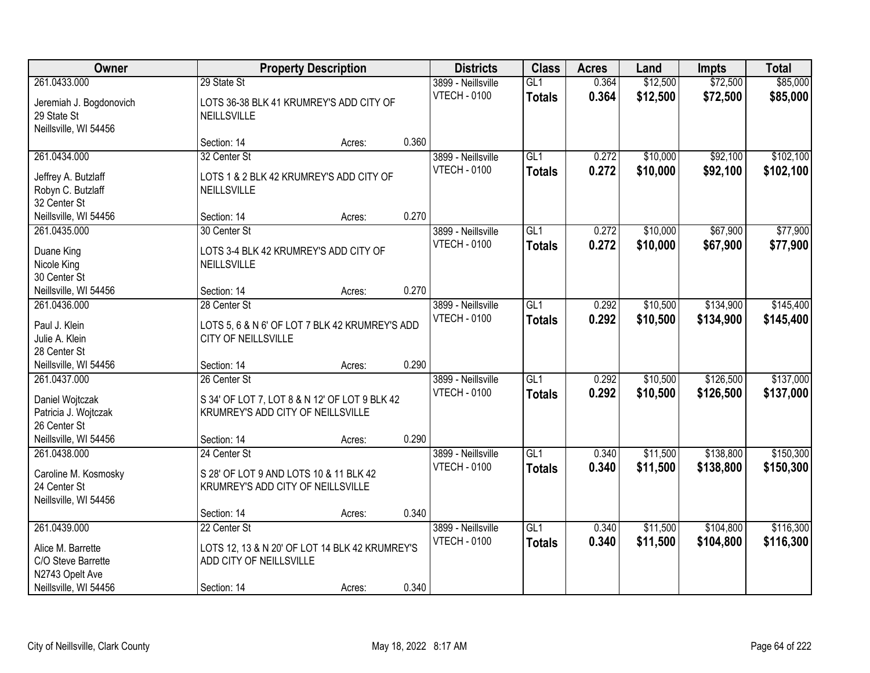| Owner                                 |                                                | <b>Property Description</b> |       | <b>Districts</b>    | <b>Class</b>     | <b>Acres</b> | Land     | <b>Impts</b> | <b>Total</b> |
|---------------------------------------|------------------------------------------------|-----------------------------|-------|---------------------|------------------|--------------|----------|--------------|--------------|
| 261.0433.000                          | 29 State St                                    |                             |       | 3899 - Neillsville  | GL1              | 0.364        | \$12,500 | \$72,500     | \$85,000     |
| Jeremiah J. Bogdonovich               | LOTS 36-38 BLK 41 KRUMREY'S ADD CITY OF        |                             |       | <b>VTECH - 0100</b> | <b>Totals</b>    | 0.364        | \$12,500 | \$72,500     | \$85,000     |
| 29 State St                           | <b>NEILLSVILLE</b>                             |                             |       |                     |                  |              |          |              |              |
| Neillsville, WI 54456                 |                                                |                             |       |                     |                  |              |          |              |              |
|                                       | Section: 14                                    | Acres:                      | 0.360 |                     |                  |              |          |              |              |
| 261.0434.000                          | 32 Center St                                   |                             |       | 3899 - Neillsville  | GL1              | 0.272        | \$10,000 | \$92,100     | \$102,100    |
| Jeffrey A. Butzlaff                   | LOTS 1 & 2 BLK 42 KRUMREY'S ADD CITY OF        |                             |       | <b>VTECH - 0100</b> | <b>Totals</b>    | 0.272        | \$10,000 | \$92,100     | \$102,100    |
| Robyn C. Butzlaff                     | <b>NEILLSVILLE</b>                             |                             |       |                     |                  |              |          |              |              |
| 32 Center St                          |                                                |                             |       |                     |                  |              |          |              |              |
| Neillsville, WI 54456                 | Section: 14                                    | Acres:                      | 0.270 |                     |                  |              |          |              |              |
| 261.0435.000                          | 30 Center St                                   |                             |       | 3899 - Neillsville  | GL <sub>1</sub>  | 0.272        | \$10,000 | \$67,900     | \$77,900     |
|                                       | LOTS 3-4 BLK 42 KRUMREY'S ADD CITY OF          |                             |       | <b>VTECH - 0100</b> | <b>Totals</b>    | 0.272        | \$10,000 | \$67,900     | \$77,900     |
| Duane King<br>Nicole King             | NEILLSVILLE                                    |                             |       |                     |                  |              |          |              |              |
| 30 Center St                          |                                                |                             |       |                     |                  |              |          |              |              |
| Neillsville, WI 54456                 | Section: 14                                    | Acres:                      | 0.270 |                     |                  |              |          |              |              |
| 261.0436.000                          | 28 Center St                                   |                             |       | 3899 - Neillsville  | GL1              | 0.292        | \$10,500 | \$134,900    | \$145,400    |
|                                       |                                                |                             |       | <b>VTECH - 0100</b> | <b>Totals</b>    | 0.292        | \$10,500 | \$134,900    | \$145,400    |
| Paul J. Klein                         | LOTS 5, 6 & N 6' OF LOT 7 BLK 42 KRUMREY'S ADD |                             |       |                     |                  |              |          |              |              |
| Julie A. Klein                        | CITY OF NEILLSVILLE                            |                             |       |                     |                  |              |          |              |              |
| 28 Center St                          |                                                |                             | 0.290 |                     |                  |              |          |              |              |
| Neillsville, WI 54456<br>261.0437.000 | Section: 14<br>26 Center St                    | Acres:                      |       | 3899 - Neillsville  | GL1              | 0.292        | \$10,500 | \$126,500    | \$137,000    |
|                                       |                                                |                             |       | <b>VTECH - 0100</b> |                  | 0.292        | \$10,500 | \$126,500    |              |
| Daniel Wojtczak                       | S 34' OF LOT 7, LOT 8 & N 12' OF LOT 9 BLK 42  |                             |       |                     | <b>Totals</b>    |              |          |              | \$137,000    |
| Patricia J. Wojtczak                  | KRUMREY'S ADD CITY OF NEILLSVILLE              |                             |       |                     |                  |              |          |              |              |
| 26 Center St                          |                                                |                             |       |                     |                  |              |          |              |              |
| Neillsville, WI 54456                 | Section: 14                                    | Acres:                      | 0.290 |                     |                  |              |          |              |              |
| 261.0438.000                          | 24 Center St                                   |                             |       | 3899 - Neillsville  | GL <sub>1</sub>  | 0.340        | \$11,500 | \$138,800    | \$150,300    |
| Caroline M. Kosmosky                  | S 28' OF LOT 9 AND LOTS 10 & 11 BLK 42         |                             |       | <b>VTECH - 0100</b> | <b>Totals</b>    | 0.340        | \$11,500 | \$138,800    | \$150,300    |
| 24 Center St                          | KRUMREY'S ADD CITY OF NEILLSVILLE              |                             |       |                     |                  |              |          |              |              |
| Neillsville, WI 54456                 |                                                |                             |       |                     |                  |              |          |              |              |
|                                       | Section: 14                                    | Acres:                      | 0.340 |                     |                  |              |          |              |              |
| 261.0439.000                          | 22 Center St                                   |                             |       | 3899 - Neillsville  | $\overline{GL1}$ | 0.340        | \$11,500 | \$104,800    | \$116,300    |
| Alice M. Barrette                     | LOTS 12, 13 & N 20' OF LOT 14 BLK 42 KRUMREY'S |                             |       | <b>VTECH - 0100</b> | <b>Totals</b>    | 0.340        | \$11,500 | \$104,800    | \$116,300    |
| C/O Steve Barrette                    | ADD CITY OF NEILLSVILLE                        |                             |       |                     |                  |              |          |              |              |
| N2743 Opelt Ave                       |                                                |                             |       |                     |                  |              |          |              |              |
| Neillsville, WI 54456                 | Section: 14                                    | Acres:                      | 0.340 |                     |                  |              |          |              |              |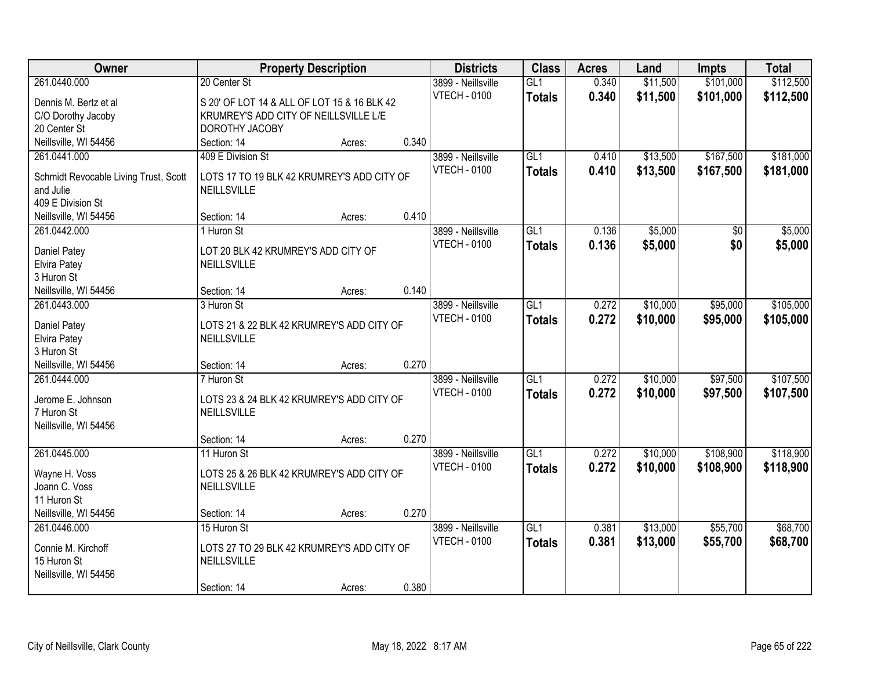| Owner                                              | <b>Property Description</b>                 |       | <b>Districts</b>    | <b>Class</b>     | <b>Acres</b> | Land     | <b>Impts</b> | <b>Total</b> |
|----------------------------------------------------|---------------------------------------------|-------|---------------------|------------------|--------------|----------|--------------|--------------|
| 261.0440.000                                       | 20 Center St                                |       | 3899 - Neillsville  | GL <sub>1</sub>  | 0.340        | \$11,500 | \$101,000    | \$112,500    |
| Dennis M. Bertz et al                              | S 20' OF LOT 14 & ALL OF LOT 15 & 16 BLK 42 |       | <b>VTECH - 0100</b> | <b>Totals</b>    | 0.340        | \$11,500 | \$101,000    | \$112,500    |
| C/O Dorothy Jacoby                                 | KRUMREY'S ADD CITY OF NEILLSVILLE L/E       |       |                     |                  |              |          |              |              |
| 20 Center St                                       | DOROTHY JACOBY                              |       |                     |                  |              |          |              |              |
| Neillsville, WI 54456                              | Section: 14<br>Acres:                       | 0.340 |                     |                  |              |          |              |              |
| 261.0441.000                                       | 409 E Division St                           |       | 3899 - Neillsville  | GL1              | 0.410        | \$13,500 | \$167,500    | \$181,000    |
|                                                    | LOTS 17 TO 19 BLK 42 KRUMREY'S ADD CITY OF  |       | <b>VTECH - 0100</b> | <b>Totals</b>    | 0.410        | \$13,500 | \$167,500    | \$181,000    |
| Schmidt Revocable Living Trust, Scott<br>and Julie | <b>NEILLSVILLE</b>                          |       |                     |                  |              |          |              |              |
| 409 E Division St                                  |                                             |       |                     |                  |              |          |              |              |
| Neillsville, WI 54456                              | Section: 14<br>Acres:                       | 0.410 |                     |                  |              |          |              |              |
| 261.0442.000                                       | 1 Huron St                                  |       | 3899 - Neillsville  | GL1              | 0.136        | \$5,000  | \$0          | \$5,000      |
|                                                    |                                             |       | <b>VTECH - 0100</b> | <b>Totals</b>    | 0.136        | \$5,000  | \$0          | \$5,000      |
| Daniel Patey                                       | LOT 20 BLK 42 KRUMREY'S ADD CITY OF         |       |                     |                  |              |          |              |              |
| Elvira Patey                                       | <b>NEILLSVILLE</b>                          |       |                     |                  |              |          |              |              |
| 3 Huron St<br>Neillsville, WI 54456                | Section: 14                                 | 0.140 |                     |                  |              |          |              |              |
| 261.0443.000                                       | Acres:<br>3 Huron St                        |       | 3899 - Neillsville  | GL1              | 0.272        | \$10,000 | \$95,000     | \$105,000    |
|                                                    |                                             |       | <b>VTECH - 0100</b> |                  | 0.272        |          |              |              |
| Daniel Patey                                       | LOTS 21 & 22 BLK 42 KRUMREY'S ADD CITY OF   |       |                     | <b>Totals</b>    |              | \$10,000 | \$95,000     | \$105,000    |
| Elvira Patey                                       | NEILLSVILLE                                 |       |                     |                  |              |          |              |              |
| 3 Huron St                                         |                                             |       |                     |                  |              |          |              |              |
| Neillsville, WI 54456                              | Section: 14<br>Acres:                       | 0.270 |                     |                  |              |          |              |              |
| 261.0444.000                                       | 7 Huron St                                  |       | 3899 - Neillsville  | $\overline{GL1}$ | 0.272        | \$10,000 | \$97,500     | \$107,500    |
| Jerome E. Johnson                                  | LOTS 23 & 24 BLK 42 KRUMREY'S ADD CITY OF   |       | <b>VTECH - 0100</b> | <b>Totals</b>    | 0.272        | \$10,000 | \$97,500     | \$107,500    |
| 7 Huron St                                         | NEILLSVILLE                                 |       |                     |                  |              |          |              |              |
| Neillsville, WI 54456                              |                                             |       |                     |                  |              |          |              |              |
|                                                    | Section: 14<br>Acres:                       | 0.270 |                     |                  |              |          |              |              |
| 261.0445.000                                       | 11 Huron St                                 |       | 3899 - Neillsville  | $\overline{GL1}$ | 0.272        | \$10,000 | \$108,900    | \$118,900    |
| Wayne H. Voss                                      | LOTS 25 & 26 BLK 42 KRUMREY'S ADD CITY OF   |       | <b>VTECH - 0100</b> | <b>Totals</b>    | 0.272        | \$10,000 | \$108,900    | \$118,900    |
| Joann C. Voss                                      | NEILLSVILLE                                 |       |                     |                  |              |          |              |              |
| 11 Huron St                                        |                                             |       |                     |                  |              |          |              |              |
| Neillsville, WI 54456                              | Section: 14<br>Acres:                       | 0.270 |                     |                  |              |          |              |              |
| 261.0446.000                                       | 15 Huron St                                 |       | 3899 - Neillsville  | $\overline{GL1}$ | 0.381        | \$13,000 | \$55,700     | \$68,700     |
|                                                    |                                             |       | <b>VTECH - 0100</b> | <b>Totals</b>    | 0.381        | \$13,000 | \$55,700     | \$68,700     |
| Connie M. Kirchoff                                 | LOTS 27 TO 29 BLK 42 KRUMREY'S ADD CITY OF  |       |                     |                  |              |          |              |              |
| 15 Huron St                                        | NEILLSVILLE                                 |       |                     |                  |              |          |              |              |
| Neillsville, WI 54456                              |                                             |       |                     |                  |              |          |              |              |
|                                                    | Section: 14<br>Acres:                       | 0.380 |                     |                  |              |          |              |              |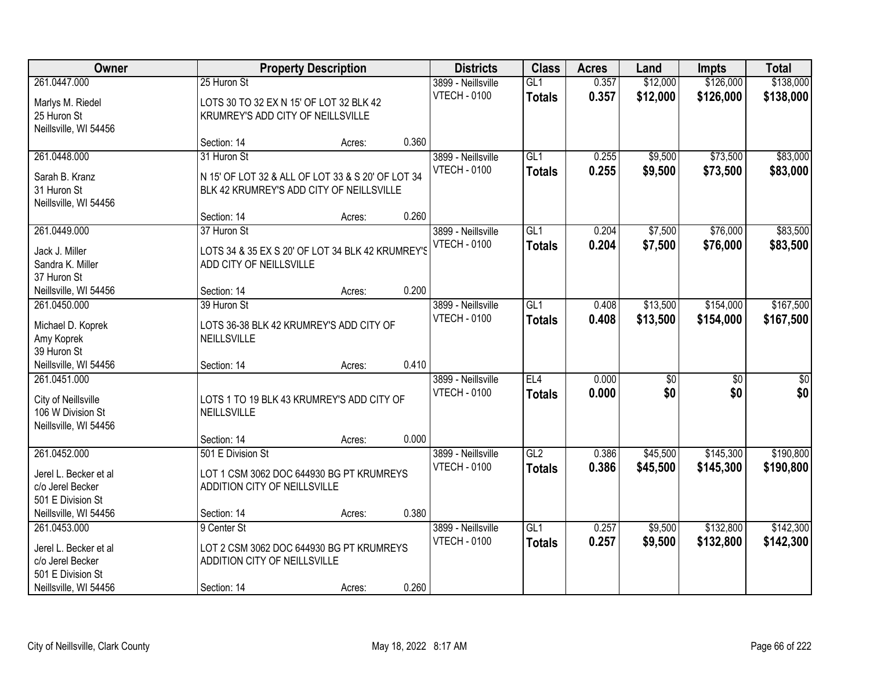| Owner                                     |                                                                          | <b>Property Description</b> |       | <b>Districts</b>    | <b>Class</b>    | <b>Acres</b> | Land            | <b>Impts</b>    | <b>Total</b>    |
|-------------------------------------------|--------------------------------------------------------------------------|-----------------------------|-------|---------------------|-----------------|--------------|-----------------|-----------------|-----------------|
| 261.0447.000                              | 25 Huron St                                                              |                             |       | 3899 - Neillsville  | GL1             | 0.357        | \$12,000        | \$126,000       | \$138,000       |
| Marlys M. Riedel                          | LOTS 30 TO 32 EX N 15' OF LOT 32 BLK 42                                  |                             |       | <b>VTECH - 0100</b> | <b>Totals</b>   | 0.357        | \$12,000        | \$126,000       | \$138,000       |
| 25 Huron St                               | KRUMREY'S ADD CITY OF NEILLSVILLE                                        |                             |       |                     |                 |              |                 |                 |                 |
| Neillsville, WI 54456                     |                                                                          |                             |       |                     |                 |              |                 |                 |                 |
|                                           | Section: 14                                                              | Acres:                      | 0.360 |                     |                 |              |                 |                 |                 |
| 261.0448.000                              | 31 Huron St                                                              |                             |       | 3899 - Neillsville  | GL1             | 0.255        | \$9,500         | \$73,500        | \$83,000        |
| Sarah B. Kranz                            | N 15' OF LOT 32 & ALL OF LOT 33 & S 20' OF LOT 34                        |                             |       | <b>VTECH - 0100</b> | <b>Totals</b>   | 0.255        | \$9,500         | \$73,500        | \$83,000        |
| 31 Huron St                               | BLK 42 KRUMREY'S ADD CITY OF NEILLSVILLE                                 |                             |       |                     |                 |              |                 |                 |                 |
| Neillsville, WI 54456                     |                                                                          |                             |       |                     |                 |              |                 |                 |                 |
|                                           | Section: 14                                                              | Acres:                      | 0.260 |                     |                 |              |                 |                 |                 |
| 261.0449.000                              | 37 Huron St                                                              |                             |       | 3899 - Neillsville  | GL <sub>1</sub> | 0.204        | \$7,500         | \$76,000        | \$83,500        |
| Jack J. Miller                            | LOTS 34 & 35 EX S 20' OF LOT 34 BLK 42 KRUMREY'S                         |                             |       | <b>VTECH - 0100</b> | <b>Totals</b>   | 0.204        | \$7,500         | \$76,000        | \$83,500        |
| Sandra K. Miller                          | ADD CITY OF NEILLSVILLE                                                  |                             |       |                     |                 |              |                 |                 |                 |
| 37 Huron St                               |                                                                          |                             |       |                     |                 |              |                 |                 |                 |
| Neillsville, WI 54456                     | Section: 14                                                              | Acres:                      | 0.200 |                     |                 |              |                 |                 |                 |
| 261.0450.000                              | 39 Huron St                                                              |                             |       | 3899 - Neillsville  | GL1             | 0.408        | \$13,500        | \$154,000       | \$167,500       |
|                                           |                                                                          |                             |       | <b>VTECH - 0100</b> | <b>Totals</b>   | 0.408        | \$13,500        | \$154,000       | \$167,500       |
| Michael D. Koprek<br>Amy Koprek           | LOTS 36-38 BLK 42 KRUMREY'S ADD CITY OF<br>NEILLSVILLE                   |                             |       |                     |                 |              |                 |                 |                 |
| 39 Huron St                               |                                                                          |                             |       |                     |                 |              |                 |                 |                 |
| Neillsville, WI 54456                     | Section: 14                                                              | Acres:                      | 0.410 |                     |                 |              |                 |                 |                 |
| 261.0451.000                              |                                                                          |                             |       | 3899 - Neillsville  | EL4             | 0.000        | $\overline{50}$ | $\overline{50}$ | $\overline{50}$ |
|                                           |                                                                          |                             |       | <b>VTECH - 0100</b> | <b>Totals</b>   | 0.000        | \$0             | \$0             | \$0             |
| City of Neillsville<br>106 W Division St  | LOTS 1 TO 19 BLK 43 KRUMREY'S ADD CITY OF<br>NEILLSVILLE                 |                             |       |                     |                 |              |                 |                 |                 |
| Neillsville, WI 54456                     |                                                                          |                             |       |                     |                 |              |                 |                 |                 |
|                                           | Section: 14                                                              | Acres:                      | 0.000 |                     |                 |              |                 |                 |                 |
| 261.0452.000                              | 501 E Division St                                                        |                             |       | 3899 - Neillsville  | GL2             | 0.386        | \$45,500        | \$145,300       | \$190,800       |
|                                           |                                                                          |                             |       | <b>VTECH - 0100</b> | <b>Totals</b>   | 0.386        | \$45,500        | \$145,300       | \$190,800       |
| Jerel L. Becker et al<br>c/o Jerel Becker | LOT 1 CSM 3062 DOC 644930 BG PT KRUMREYS<br>ADDITION CITY OF NEILLSVILLE |                             |       |                     |                 |              |                 |                 |                 |
| 501 E Division St                         |                                                                          |                             |       |                     |                 |              |                 |                 |                 |
| Neillsville, WI 54456                     | Section: 14                                                              | Acres:                      | 0.380 |                     |                 |              |                 |                 |                 |
| 261.0453.000                              | 9 Center St                                                              |                             |       | 3899 - Neillsville  | GL1             | 0.257        | \$9,500         | \$132,800       | \$142,300       |
|                                           |                                                                          |                             |       | <b>VTECH - 0100</b> | <b>Totals</b>   | 0.257        | \$9,500         | \$132,800       | \$142,300       |
| Jerel L. Becker et al<br>c/o Jerel Becker | LOT 2 CSM 3062 DOC 644930 BG PT KRUMREYS<br>ADDITION CITY OF NEILLSVILLE |                             |       |                     |                 |              |                 |                 |                 |
| 501 E Division St                         |                                                                          |                             |       |                     |                 |              |                 |                 |                 |
| Neillsville, WI 54456                     | Section: 14                                                              | Acres:                      | 0.260 |                     |                 |              |                 |                 |                 |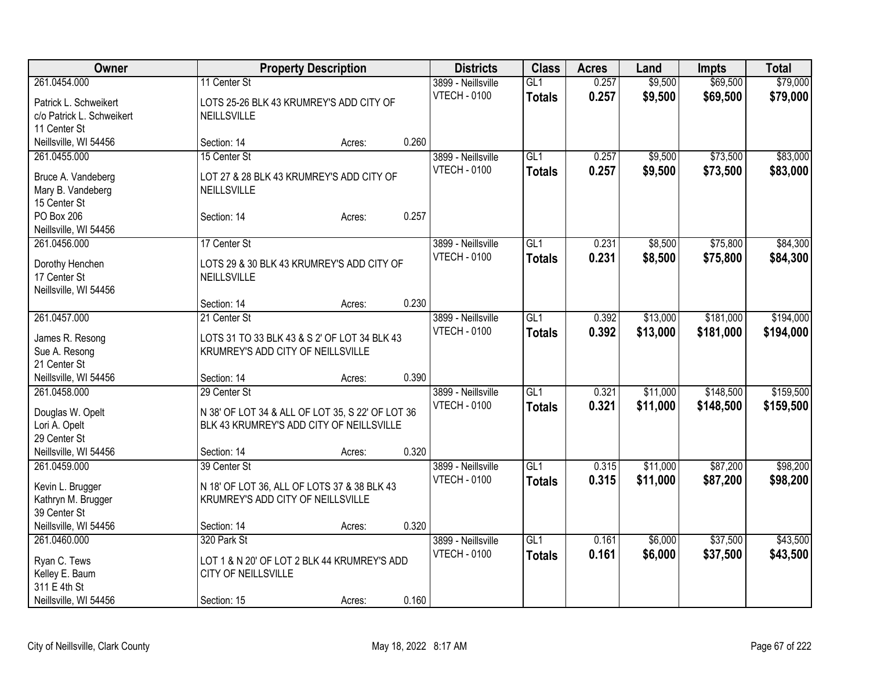| Owner                                   | <b>Property Description</b>                      |        |       | <b>Districts</b>    | <b>Class</b>     | <b>Acres</b> | Land     | <b>Impts</b> | <b>Total</b> |
|-----------------------------------------|--------------------------------------------------|--------|-------|---------------------|------------------|--------------|----------|--------------|--------------|
| 261.0454.000                            | 11 Center St                                     |        |       | 3899 - Neillsville  | GL1              | 0.257        | \$9,500  | \$69,500     | \$79,000     |
| Patrick L. Schweikert                   | LOTS 25-26 BLK 43 KRUMREY'S ADD CITY OF          |        |       | <b>VTECH - 0100</b> | <b>Totals</b>    | 0.257        | \$9,500  | \$69,500     | \$79,000     |
| c/o Patrick L. Schweikert               | <b>NEILLSVILLE</b>                               |        |       |                     |                  |              |          |              |              |
| 11 Center St                            |                                                  |        |       |                     |                  |              |          |              |              |
| Neillsville, WI 54456                   | Section: 14                                      | Acres: | 0.260 |                     |                  |              |          |              |              |
| 261.0455.000                            | 15 Center St                                     |        |       | 3899 - Neillsville  | GL1              | 0.257        | \$9,500  | \$73,500     | \$83,000     |
|                                         | LOT 27 & 28 BLK 43 KRUMREY'S ADD CITY OF         |        |       | <b>VTECH - 0100</b> | <b>Totals</b>    | 0.257        | \$9,500  | \$73,500     | \$83,000     |
| Bruce A. Vandeberg<br>Mary B. Vandeberg | NEILLSVILLE                                      |        |       |                     |                  |              |          |              |              |
| 15 Center St                            |                                                  |        |       |                     |                  |              |          |              |              |
| PO Box 206                              | Section: 14                                      | Acres: | 0.257 |                     |                  |              |          |              |              |
| Neillsville, WI 54456                   |                                                  |        |       |                     |                  |              |          |              |              |
| 261.0456.000                            | 17 Center St                                     |        |       | 3899 - Neillsville  | GL1              | 0.231        | \$8,500  | \$75,800     | \$84,300     |
|                                         |                                                  |        |       | <b>VTECH - 0100</b> | <b>Totals</b>    | 0.231        | \$8,500  | \$75,800     | \$84,300     |
| Dorothy Henchen                         | LOTS 29 & 30 BLK 43 KRUMREY'S ADD CITY OF        |        |       |                     |                  |              |          |              |              |
| 17 Center St                            | NEILLSVILLE                                      |        |       |                     |                  |              |          |              |              |
| Neillsville, WI 54456                   | Section: 14                                      | Acres: | 0.230 |                     |                  |              |          |              |              |
| 261.0457.000                            | 21 Center St                                     |        |       | 3899 - Neillsville  | GL1              | 0.392        | \$13,000 | \$181,000    | \$194,000    |
|                                         |                                                  |        |       | <b>VTECH - 0100</b> | <b>Totals</b>    | 0.392        | \$13,000 | \$181,000    | \$194,000    |
| James R. Resong                         | LOTS 31 TO 33 BLK 43 & S 2' OF LOT 34 BLK 43     |        |       |                     |                  |              |          |              |              |
| Sue A. Resong                           | KRUMREY'S ADD CITY OF NEILLSVILLE                |        |       |                     |                  |              |          |              |              |
| 21 Center St                            |                                                  |        |       |                     |                  |              |          |              |              |
| Neillsville, WI 54456                   | Section: 14                                      | Acres: | 0.390 |                     |                  |              |          |              |              |
| 261.0458.000                            | 29 Center St                                     |        |       | 3899 - Neillsville  | GL1              | 0.321        | \$11,000 | \$148,500    | \$159,500    |
| Douglas W. Opelt                        | N 38' OF LOT 34 & ALL OF LOT 35, S 22' OF LOT 36 |        |       | <b>VTECH - 0100</b> | <b>Totals</b>    | 0.321        | \$11,000 | \$148,500    | \$159,500    |
| Lori A. Opelt                           | BLK 43 KRUMREY'S ADD CITY OF NEILLSVILLE         |        |       |                     |                  |              |          |              |              |
| 29 Center St                            |                                                  |        |       |                     |                  |              |          |              |              |
| Neillsville, WI 54456                   | Section: 14                                      | Acres: | 0.320 |                     |                  |              |          |              |              |
| 261.0459.000                            | 39 Center St                                     |        |       | 3899 - Neillsville  | $\overline{GL1}$ | 0.315        | \$11,000 | \$87,200     | \$98,200     |
| Kevin L. Brugger                        | N 18' OF LOT 36, ALL OF LOTS 37 & 38 BLK 43      |        |       | <b>VTECH - 0100</b> | <b>Totals</b>    | 0.315        | \$11,000 | \$87,200     | \$98,200     |
| Kathryn M. Brugger                      | KRUMREY'S ADD CITY OF NEILLSVILLE                |        |       |                     |                  |              |          |              |              |
| 39 Center St                            |                                                  |        |       |                     |                  |              |          |              |              |
| Neillsville, WI 54456                   | Section: 14                                      | Acres: | 0.320 |                     |                  |              |          |              |              |
| 261.0460.000                            | 320 Park St                                      |        |       | 3899 - Neillsville  | $\overline{GL1}$ | 0.161        | \$6,000  | \$37,500     | \$43,500     |
| Ryan C. Tews                            | LOT 1 & N 20' OF LOT 2 BLK 44 KRUMREY'S ADD      |        |       | <b>VTECH - 0100</b> | <b>Totals</b>    | 0.161        | \$6,000  | \$37,500     | \$43,500     |
| Kelley E. Baum                          | CITY OF NEILLSVILLE                              |        |       |                     |                  |              |          |              |              |
| 311 E 4th St                            |                                                  |        |       |                     |                  |              |          |              |              |
| Neillsville, WI 54456                   | Section: 15                                      | Acres: | 0.160 |                     |                  |              |          |              |              |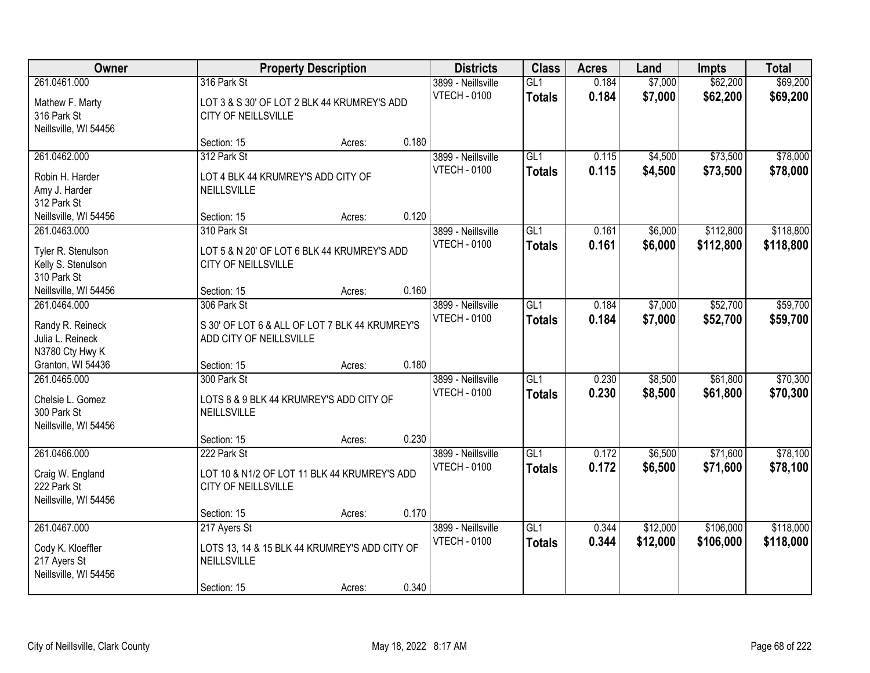| <b>Owner</b><br><b>Property Description</b>                                |                                                                                             | <b>Districts</b> | <b>Class</b> | <b>Acres</b>                              | Land                              | <b>Impts</b>   | <b>Total</b>         |                        |                        |
|----------------------------------------------------------------------------|---------------------------------------------------------------------------------------------|------------------|--------------|-------------------------------------------|-----------------------------------|----------------|----------------------|------------------------|------------------------|
| 261.0461.000<br>Mathew F. Marty<br>316 Park St<br>Neillsville, WI 54456    | 316 Park St<br>LOT 3 & S 30' OF LOT 2 BLK 44 KRUMREY'S ADD<br>CITY OF NEILLSVILLE           |                  |              | 3899 - Neillsville<br><b>VTECH - 0100</b> | GL1<br><b>Totals</b>              | 0.184<br>0.184 | \$7,000<br>\$7,000   | \$62,200<br>\$62,200   | \$69,200<br>\$69,200   |
|                                                                            | Section: 15                                                                                 | Acres:           | 0.180        |                                           |                                   |                |                      |                        |                        |
| 261.0462.000<br>Robin H. Harder<br>Amy J. Harder<br>312 Park St            | 312 Park St<br>LOT 4 BLK 44 KRUMREY'S ADD CITY OF<br>NEILLSVILLE                            |                  |              | 3899 - Neillsville<br><b>VTECH - 0100</b> | GL1<br><b>Totals</b>              | 0.115<br>0.115 | \$4,500<br>\$4,500   | \$73,500<br>\$73,500   | \$78,000<br>\$78,000   |
| Neillsville, WI 54456                                                      | Section: 15                                                                                 | Acres:           | 0.120        |                                           |                                   |                |                      |                        |                        |
| 261.0463.000<br>Tyler R. Stenulson<br>Kelly S. Stenulson<br>310 Park St    | 310 Park St<br>LOT 5 & N 20' OF LOT 6 BLK 44 KRUMREY'S ADD<br>CITY OF NEILLSVILLE           |                  |              | 3899 - Neillsville<br><b>VTECH - 0100</b> | GL1<br><b>Totals</b>              | 0.161<br>0.161 | \$6,000<br>\$6,000   | \$112,800<br>\$112,800 | \$118,800<br>\$118,800 |
| Neillsville, WI 54456                                                      | Section: 15                                                                                 | Acres:           | 0.160        |                                           |                                   |                |                      |                        |                        |
| 261.0464.000<br>Randy R. Reineck<br>Julia L. Reineck<br>N3780 Cty Hwy K    | 306 Park St<br>S 30' OF LOT 6 & ALL OF LOT 7 BLK 44 KRUMREY'S<br>ADD CITY OF NEILLSVILLE    |                  |              | 3899 - Neillsville<br><b>VTECH - 0100</b> | GL1<br><b>Totals</b>              | 0.184<br>0.184 | \$7,000<br>\$7,000   | \$52,700<br>\$52,700   | \$59,700<br>\$59,700   |
| Granton, WI 54436                                                          | Section: 15                                                                                 | Acres:           | 0.180        |                                           |                                   |                |                      |                        |                        |
| 261.0465.000<br>Chelsie L. Gomez<br>300 Park St<br>Neillsville, WI 54456   | 300 Park St<br>LOTS 8 & 9 BLK 44 KRUMREY'S ADD CITY OF<br>NEILLSVILLE                       |                  |              | 3899 - Neillsville<br><b>VTECH - 0100</b> | $\overline{GL1}$<br><b>Totals</b> | 0.230<br>0.230 | \$8,500<br>\$8,500   | \$61,800<br>\$61,800   | \$70,300<br>\$70,300   |
|                                                                            | Section: 15                                                                                 | Acres:           | 0.230        |                                           |                                   |                |                      |                        |                        |
| 261.0466.000<br>Craig W. England<br>222 Park St<br>Neillsville, WI 54456   | 222 Park St<br>LOT 10 & N1/2 OF LOT 11 BLK 44 KRUMREY'S ADD<br>CITY OF NEILLSVILLE          |                  |              | 3899 - Neillsville<br><b>VTECH - 0100</b> | GL1<br><b>Totals</b>              | 0.172<br>0.172 | \$6,500<br>\$6,500   | \$71,600<br>\$71,600   | \$78,100<br>\$78,100   |
|                                                                            | Section: 15                                                                                 | Acres:           | 0.170        |                                           |                                   |                |                      |                        |                        |
| 261.0467.000<br>Cody K. Kloeffler<br>217 Ayers St<br>Neillsville, WI 54456 | 217 Ayers St<br>LOTS 13, 14 & 15 BLK 44 KRUMREY'S ADD CITY OF<br>NEILLSVILLE<br>Section: 15 | Acres:           | 0.340        | 3899 - Neillsville<br><b>VTECH - 0100</b> | GL1<br><b>Totals</b>              | 0.344<br>0.344 | \$12,000<br>\$12,000 | \$106,000<br>\$106,000 | \$118,000<br>\$118,000 |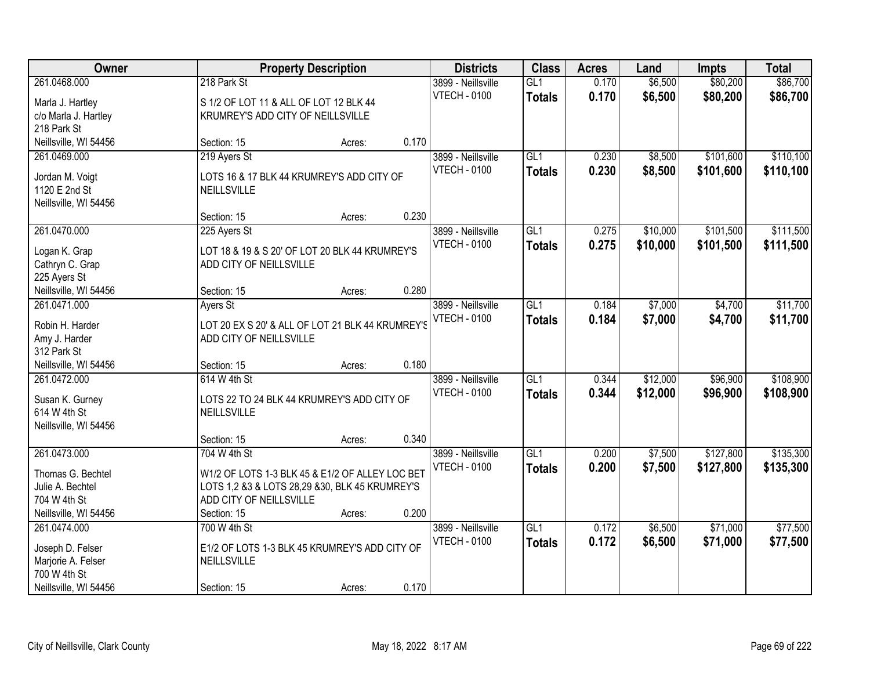| Owner                 | <b>Property Description</b>                      |       | <b>Districts</b>    | <b>Class</b>     | <b>Acres</b> | Land     | <b>Impts</b> | <b>Total</b> |
|-----------------------|--------------------------------------------------|-------|---------------------|------------------|--------------|----------|--------------|--------------|
| 261.0468.000          | 218 Park St                                      |       | 3899 - Neillsville  | GL <sub>1</sub>  | 0.170        | \$6,500  | \$80,200     | \$86,700     |
| Marla J. Hartley      | S 1/2 OF LOT 11 & ALL OF LOT 12 BLK 44           |       | <b>VTECH - 0100</b> | <b>Totals</b>    | 0.170        | \$6,500  | \$80,200     | \$86,700     |
| c/o Marla J. Hartley  | KRUMREY'S ADD CITY OF NEILLSVILLE                |       |                     |                  |              |          |              |              |
| 218 Park St           |                                                  |       |                     |                  |              |          |              |              |
| Neillsville, WI 54456 | Section: 15<br>Acres:                            | 0.170 |                     |                  |              |          |              |              |
| 261.0469.000          | 219 Ayers St                                     |       | 3899 - Neillsville  | GL1              | 0.230        | \$8,500  | \$101,600    | \$110,100    |
|                       |                                                  |       | <b>VTECH - 0100</b> | <b>Totals</b>    | 0.230        | \$8,500  | \$101,600    | \$110,100    |
| Jordan M. Voigt       | LOTS 16 & 17 BLK 44 KRUMREY'S ADD CITY OF        |       |                     |                  |              |          |              |              |
| 1120 E 2nd St         | <b>NEILLSVILLE</b>                               |       |                     |                  |              |          |              |              |
| Neillsville, WI 54456 |                                                  | 0.230 |                     |                  |              |          |              |              |
|                       | Section: 15<br>Acres:                            |       |                     |                  |              |          |              |              |
| 261.0470.000          | 225 Ayers St                                     |       | 3899 - Neillsville  | GL1              | 0.275        | \$10,000 | \$101,500    | \$111,500    |
| Logan K. Grap         | LOT 18 & 19 & S 20' OF LOT 20 BLK 44 KRUMREY'S   |       | <b>VTECH - 0100</b> | <b>Totals</b>    | 0.275        | \$10,000 | \$101,500    | \$111,500    |
| Cathryn C. Grap       | ADD CITY OF NEILLSVILLE                          |       |                     |                  |              |          |              |              |
| 225 Ayers St          |                                                  |       |                     |                  |              |          |              |              |
| Neillsville, WI 54456 | Section: 15<br>Acres:                            | 0.280 |                     |                  |              |          |              |              |
| 261.0471.000          | Ayers St                                         |       | 3899 - Neillsville  | GL1              | 0.184        | \$7,000  | \$4,700      | \$11,700     |
| Robin H. Harder       | LOT 20 EX S 20' & ALL OF LOT 21 BLK 44 KRUMREY'S |       | <b>VTECH - 0100</b> | <b>Totals</b>    | 0.184        | \$7,000  | \$4,700      | \$11,700     |
| Amy J. Harder         | ADD CITY OF NEILLSVILLE                          |       |                     |                  |              |          |              |              |
| 312 Park St           |                                                  |       |                     |                  |              |          |              |              |
| Neillsville, WI 54456 | Section: 15<br>Acres:                            | 0.180 |                     |                  |              |          |              |              |
| 261.0472.000          | 614 W 4th St                                     |       | 3899 - Neillsville  | $\overline{GL1}$ | 0.344        | \$12,000 | \$96,900     | \$108,900    |
|                       |                                                  |       | <b>VTECH - 0100</b> | <b>Totals</b>    | 0.344        | \$12,000 | \$96,900     | \$108,900    |
| Susan K. Gurney       | LOTS 22 TO 24 BLK 44 KRUMREY'S ADD CITY OF       |       |                     |                  |              |          |              |              |
| 614 W 4th St          | NEILLSVILLE                                      |       |                     |                  |              |          |              |              |
| Neillsville, WI 54456 |                                                  |       |                     |                  |              |          |              |              |
|                       | Section: 15<br>Acres:                            | 0.340 |                     |                  |              |          |              |              |
| 261.0473.000          | 704 W 4th St                                     |       | 3899 - Neillsville  | $\overline{GL1}$ | 0.200        | \$7,500  | \$127,800    | \$135,300    |
| Thomas G. Bechtel     | W1/2 OF LOTS 1-3 BLK 45 & E1/2 OF ALLEY LOC BET  |       | <b>VTECH - 0100</b> | <b>Totals</b>    | 0.200        | \$7,500  | \$127,800    | \$135,300    |
| Julie A. Bechtel      | LOTS 1,2 &3 & LOTS 28,29 &30, BLK 45 KRUMREY'S   |       |                     |                  |              |          |              |              |
| 704 W 4th St          | ADD CITY OF NEILLSVILLE                          |       |                     |                  |              |          |              |              |
| Neillsville, WI 54456 | Section: 15<br>Acres:                            | 0.200 |                     |                  |              |          |              |              |
| 261.0474.000          | 700 W 4th St                                     |       | 3899 - Neillsville  | $\overline{GL1}$ | 0.172        | \$6,500  | \$71,000     | \$77,500     |
|                       |                                                  |       | <b>VTECH - 0100</b> | <b>Totals</b>    | 0.172        | \$6,500  | \$71,000     | \$77,500     |
| Joseph D. Felser      | E1/2 OF LOTS 1-3 BLK 45 KRUMREY'S ADD CITY OF    |       |                     |                  |              |          |              |              |
| Marjorie A. Felser    | NEILLSVILLE                                      |       |                     |                  |              |          |              |              |
| 700 W 4th St          |                                                  |       |                     |                  |              |          |              |              |
| Neillsville, WI 54456 | Section: 15<br>Acres:                            | 0.170 |                     |                  |              |          |              |              |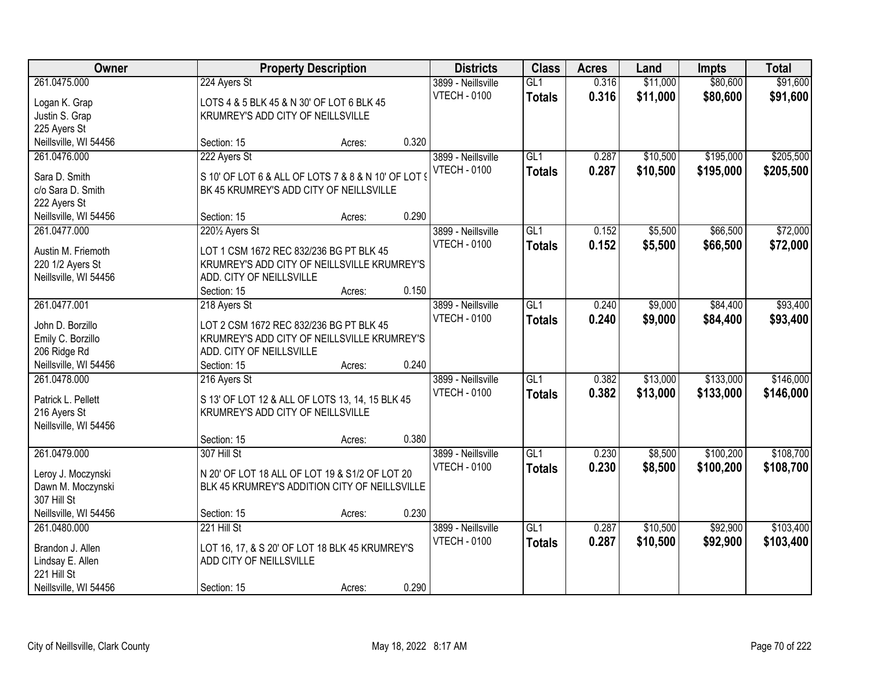| Owner                              |                                                     | <b>Property Description</b> |       | <b>Districts</b>    | <b>Class</b>    | <b>Acres</b> | Land     | <b>Impts</b> | <b>Total</b> |
|------------------------------------|-----------------------------------------------------|-----------------------------|-------|---------------------|-----------------|--------------|----------|--------------|--------------|
| 261.0475.000                       | 224 Ayers St                                        |                             |       | 3899 - Neillsville  | GL1             | 0.316        | \$11,000 | \$80,600     | \$91,600     |
| Logan K. Grap                      | LOTS 4 & 5 BLK 45 & N 30' OF LOT 6 BLK 45           |                             |       | <b>VTECH - 0100</b> | <b>Totals</b>   | 0.316        | \$11,000 | \$80,600     | \$91,600     |
| Justin S. Grap                     | KRUMREY'S ADD CITY OF NEILLSVILLE                   |                             |       |                     |                 |              |          |              |              |
| 225 Ayers St                       |                                                     |                             |       |                     |                 |              |          |              |              |
| Neillsville, WI 54456              | Section: 15                                         | Acres:                      | 0.320 |                     |                 |              |          |              |              |
| 261.0476.000                       | 222 Ayers St                                        |                             |       | 3899 - Neillsville  | GL1             | 0.287        | \$10,500 | \$195,000    | \$205,500    |
|                                    |                                                     |                             |       | <b>VTECH - 0100</b> | <b>Totals</b>   | 0.287        | \$10,500 | \$195,000    | \$205,500    |
| Sara D. Smith<br>c/o Sara D. Smith | S 10' OF LOT 6 & ALL OF LOTS 7 & 8 & N 10' OF LOT 9 |                             |       |                     |                 |              |          |              |              |
| 222 Ayers St                       | BK 45 KRUMREY'S ADD CITY OF NEILLSVILLE             |                             |       |                     |                 |              |          |              |              |
| Neillsville, WI 54456              | Section: 15                                         | Acres:                      | 0.290 |                     |                 |              |          |              |              |
| 261.0477.000                       | 2201/2 Ayers St                                     |                             |       | 3899 - Neillsville  | GL <sub>1</sub> | 0.152        | \$5,500  | \$66,500     | \$72,000     |
|                                    |                                                     |                             |       | <b>VTECH - 0100</b> | <b>Totals</b>   | 0.152        | \$5,500  | \$66,500     | \$72,000     |
| Austin M. Friemoth                 | LOT 1 CSM 1672 REC 832/236 BG PT BLK 45             |                             |       |                     |                 |              |          |              |              |
| 220 1/2 Ayers St                   | KRUMREY'S ADD CITY OF NEILLSVILLE KRUMREY'S         |                             |       |                     |                 |              |          |              |              |
| Neillsville, WI 54456              | ADD. CITY OF NEILLSVILLE                            |                             |       |                     |                 |              |          |              |              |
|                                    | Section: 15                                         | Acres:                      | 0.150 |                     |                 |              |          |              |              |
| 261.0477.001                       | 218 Ayers St                                        |                             |       | 3899 - Neillsville  | GL1             | 0.240        | \$9,000  | \$84,400     | \$93,400     |
| John D. Borzillo                   | LOT 2 CSM 1672 REC 832/236 BG PT BLK 45             |                             |       | <b>VTECH - 0100</b> | <b>Totals</b>   | 0.240        | \$9,000  | \$84,400     | \$93,400     |
| Emily C. Borzillo                  | KRUMREY'S ADD CITY OF NEILLSVILLE KRUMREY'S         |                             |       |                     |                 |              |          |              |              |
| 206 Ridge Rd                       | ADD. CITY OF NEILLSVILLE                            |                             |       |                     |                 |              |          |              |              |
| Neillsville, WI 54456              | Section: 15                                         | Acres:                      | 0.240 |                     |                 |              |          |              |              |
| 261.0478.000                       | 216 Ayers St                                        |                             |       | 3899 - Neillsville  | GL1             | 0.382        | \$13,000 | \$133,000    | \$146,000    |
|                                    |                                                     |                             |       | <b>VTECH - 0100</b> | Totals          | 0.382        | \$13,000 | \$133,000    | \$146,000    |
| Patrick L. Pellett                 | S 13' OF LOT 12 & ALL OF LOTS 13, 14, 15 BLK 45     |                             |       |                     |                 |              |          |              |              |
| 216 Ayers St                       | KRUMREY'S ADD CITY OF NEILLSVILLE                   |                             |       |                     |                 |              |          |              |              |
| Neillsville, WI 54456              | Section: 15                                         |                             | 0.380 |                     |                 |              |          |              |              |
| 261.0479.000                       | 307 Hill St                                         | Acres:                      |       | 3899 - Neillsville  | GL1             | 0.230        | \$8,500  | \$100,200    | \$108,700    |
|                                    |                                                     |                             |       | <b>VTECH - 0100</b> |                 | 0.230        |          |              |              |
| Leroy J. Moczynski                 | N 20' OF LOT 18 ALL OF LOT 19 & S1/2 OF LOT 20      |                             |       |                     | <b>Totals</b>   |              | \$8,500  | \$100,200    | \$108,700    |
| Dawn M. Moczynski                  | BLK 45 KRUMREY'S ADDITION CITY OF NEILLSVILLE       |                             |       |                     |                 |              |          |              |              |
| 307 Hill St                        |                                                     |                             |       |                     |                 |              |          |              |              |
| Neillsville, WI 54456              | Section: 15                                         | Acres:                      | 0.230 |                     |                 |              |          |              |              |
| 261.0480.000                       | 221 Hill St                                         |                             |       | 3899 - Neillsville  | GL1             | 0.287        | \$10,500 | \$92,900     | \$103,400    |
| Brandon J. Allen                   | LOT 16, 17, & S 20' OF LOT 18 BLK 45 KRUMREY'S      |                             |       | <b>VTECH - 0100</b> | <b>Totals</b>   | 0.287        | \$10,500 | \$92,900     | \$103,400    |
| Lindsay E. Allen                   | ADD CITY OF NEILLSVILLE                             |                             |       |                     |                 |              |          |              |              |
| 221 Hill St                        |                                                     |                             |       |                     |                 |              |          |              |              |
| Neillsville, WI 54456              | Section: 15                                         | Acres:                      | 0.290 |                     |                 |              |          |              |              |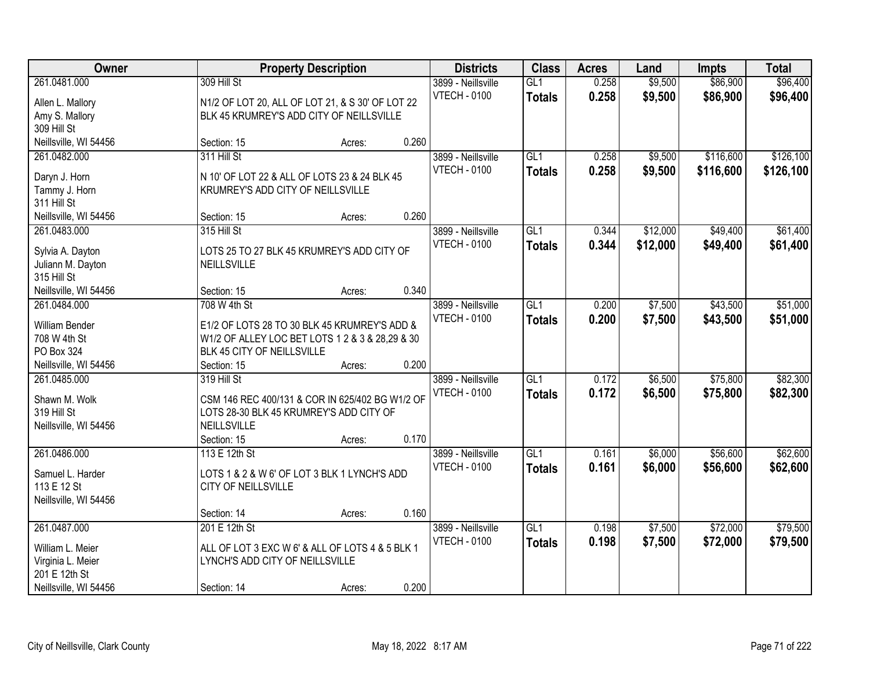| Owner                                                                  |                                                                                                                                               | <b>Property Description</b> |       | <b>Districts</b>                          | <b>Class</b>                     | <b>Acres</b>   | Land                 | <b>Impts</b>           | <b>Total</b>           |
|------------------------------------------------------------------------|-----------------------------------------------------------------------------------------------------------------------------------------------|-----------------------------|-------|-------------------------------------------|----------------------------------|----------------|----------------------|------------------------|------------------------|
| 261.0481.000<br>Allen L. Mallory<br>Amy S. Mallory                     | 309 Hill St<br>N1/2 OF LOT 20, ALL OF LOT 21, & S 30' OF LOT 22<br>BLK 45 KRUMREY'S ADD CITY OF NEILLSVILLE                                   |                             |       | 3899 - Neillsville<br><b>VTECH - 0100</b> | GL1<br><b>Totals</b>             | 0.258<br>0.258 | \$9,500<br>\$9,500   | \$86,900<br>\$86,900   | \$96,400<br>\$96,400   |
| 309 Hill St<br>Neillsville, WI 54456                                   | Section: 15                                                                                                                                   | Acres:                      | 0.260 |                                           |                                  |                |                      |                        |                        |
| 261.0482.000<br>Daryn J. Horn<br>Tammy J. Horn<br>311 Hill St          | 311 Hill St<br>N 10' OF LOT 22 & ALL OF LOTS 23 & 24 BLK 45<br>KRUMREY'S ADD CITY OF NEILLSVILLE                                              |                             |       | 3899 - Neillsville<br><b>VTECH - 0100</b> | GL1<br><b>Totals</b>             | 0.258<br>0.258 | \$9,500<br>\$9,500   | \$116,600<br>\$116,600 | \$126,100<br>\$126,100 |
| Neillsville, WI 54456                                                  | Section: 15                                                                                                                                   | Acres:                      | 0.260 |                                           |                                  |                |                      |                        |                        |
| 261.0483.000<br>Sylvia A. Dayton<br>Juliann M. Dayton<br>315 Hill St   | 315 Hill St<br>LOTS 25 TO 27 BLK 45 KRUMREY'S ADD CITY OF<br>NEILLSVILLE                                                                      |                             |       | 3899 - Neillsville<br><b>VTECH - 0100</b> | GL <sub>1</sub><br><b>Totals</b> | 0.344<br>0.344 | \$12,000<br>\$12,000 | \$49,400<br>\$49,400   | \$61,400<br>\$61,400   |
| Neillsville, WI 54456                                                  | Section: 15                                                                                                                                   | Acres:                      | 0.340 |                                           |                                  |                |                      |                        |                        |
| 261.0484.000<br>William Bender<br>708 W 4th St<br>PO Box 324           | 708 W 4th St<br>E1/2 OF LOTS 28 TO 30 BLK 45 KRUMREY'S ADD &<br>W1/2 OF ALLEY LOC BET LOTS 1 2 & 3 & 28,29 & 30<br>BLK 45 CITY OF NEILLSVILLE |                             |       | 3899 - Neillsville<br><b>VTECH - 0100</b> | GL1<br><b>Totals</b>             | 0.200<br>0.200 | \$7,500<br>\$7,500   | \$43,500<br>\$43,500   | \$51,000<br>\$51,000   |
| Neillsville, WI 54456<br>261.0485.000                                  | Section: 15<br>319 Hill St                                                                                                                    | Acres:                      | 0.200 | 3899 - Neillsville                        | GL1                              | 0.172          | \$6,500              | \$75,800               | \$82,300               |
| Shawn M. Wolk<br>319 Hill St<br>Neillsville, WI 54456                  | CSM 146 REC 400/131 & COR IN 625/402 BG W1/2 OF<br>LOTS 28-30 BLK 45 KRUMREY'S ADD CITY OF<br>NEILLSVILLE<br>Section: 15                      | Acres:                      | 0.170 | <b>VTECH - 0100</b>                       | <b>Totals</b>                    | 0.172          | \$6,500              | \$75,800               | \$82,300               |
| 261.0486.000<br>Samuel L. Harder                                       | 113 E 12th St<br>LOTS 1 & 2 & W 6' OF LOT 3 BLK 1 LYNCH'S ADD                                                                                 |                             |       | 3899 - Neillsville<br><b>VTECH - 0100</b> | GL1<br><b>Totals</b>             | 0.161<br>0.161 | \$6,000<br>\$6,000   | \$56,600<br>\$56,600   | \$62,600<br>\$62,600   |
| 113 E 12 St<br>Neillsville, WI 54456                                   | CITY OF NEILLSVILLE                                                                                                                           |                             |       |                                           |                                  |                |                      |                        |                        |
|                                                                        | Section: 14                                                                                                                                   | Acres:                      | 0.160 |                                           |                                  |                |                      |                        |                        |
| 261.0487.000<br>William L. Meier<br>Virginia L. Meier<br>201 E 12th St | 201 E 12th St<br>ALL OF LOT 3 EXC W 6' & ALL OF LOTS 4 & 5 BLK 1<br>LYNCH'S ADD CITY OF NEILLSVILLE                                           |                             |       | 3899 - Neillsville<br><b>VTECH - 0100</b> | GL1<br><b>Totals</b>             | 0.198<br>0.198 | \$7,500<br>\$7,500   | \$72,000<br>\$72,000   | \$79,500<br>\$79,500   |
| Neillsville, WI 54456                                                  | Section: 14                                                                                                                                   | Acres:                      | 0.200 |                                           |                                  |                |                      |                        |                        |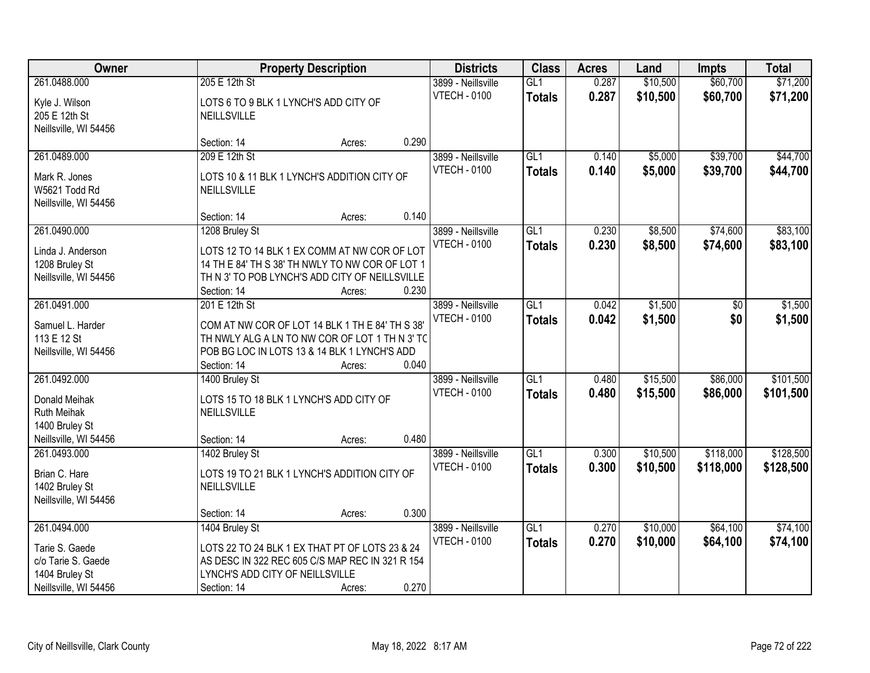| Owner<br><b>Property Description</b>                                                            |                                                                                                                                                                                    | <b>Districts</b> | <b>Class</b> | <b>Acres</b>                              | Land                              | <b>Impts</b>   | <b>Total</b>         |                        |                        |
|-------------------------------------------------------------------------------------------------|------------------------------------------------------------------------------------------------------------------------------------------------------------------------------------|------------------|--------------|-------------------------------------------|-----------------------------------|----------------|----------------------|------------------------|------------------------|
| 261.0488.000<br>Kyle J. Wilson<br>205 E 12th St<br>Neillsville, WI 54456                        | 205 E 12th St<br>LOTS 6 TO 9 BLK 1 LYNCH'S ADD CITY OF<br>NEILLSVILLE                                                                                                              |                  |              | 3899 - Neillsville<br><b>VTECH - 0100</b> | GL1<br><b>Totals</b>              | 0.287<br>0.287 | \$10,500<br>\$10,500 | \$60,700<br>\$60,700   | \$71,200<br>\$71,200   |
|                                                                                                 | Section: 14                                                                                                                                                                        | Acres:           | 0.290        |                                           |                                   |                |                      |                        |                        |
| 261.0489.000<br>Mark R. Jones<br>W5621 Todd Rd<br>Neillsville, WI 54456                         | 209 E 12th St<br>LOTS 10 & 11 BLK 1 LYNCH'S ADDITION CITY OF<br>NEILLSVILLE                                                                                                        |                  |              | 3899 - Neillsville<br><b>VTECH - 0100</b> | GL1<br><b>Totals</b>              | 0.140<br>0.140 | \$5,000<br>\$5,000   | \$39,700<br>\$39,700   | \$44,700<br>\$44,700   |
|                                                                                                 | Section: 14                                                                                                                                                                        | Acres:           | 0.140        |                                           |                                   |                |                      |                        |                        |
| 261.0490.000<br>Linda J. Anderson<br>1208 Bruley St<br>Neillsville, WI 54456                    | 1208 Bruley St<br>LOTS 12 TO 14 BLK 1 EX COMM AT NW COR OF LOT<br>14 TH E 84' TH S 38' TH NWLY TO NW COR OF LOT 1<br>TH N 3' TO POB LYNCH'S ADD CITY OF NEILLSVILLE<br>Section: 14 | Acres:           | 0.230        | 3899 - Neillsville<br><b>VTECH - 0100</b> | GL1<br><b>Totals</b>              | 0.230<br>0.230 | \$8,500<br>\$8,500   | \$74,600<br>\$74,600   | \$83,100<br>\$83,100   |
| 261.0491.000<br>Samuel L. Harder<br>113 E 12 St<br>Neillsville, WI 54456                        | 201 E 12th St<br>COM AT NW COR OF LOT 14 BLK 1 TH E 84' TH S 38'<br>TH NWLY ALG A LN TO NW COR OF LOT 1 TH N 3' TC<br>POB BG LOC IN LOTS 13 & 14 BLK 1 LYNCH'S ADD<br>Section: 14  | Acres:           | 0.040        | 3899 - Neillsville<br><b>VTECH - 0100</b> | GL1<br><b>Totals</b>              | 0.042<br>0.042 | \$1,500<br>\$1,500   | \$0<br>\$0             | \$1,500<br>\$1,500     |
| 261.0492.000<br>Donald Meihak<br>Ruth Meihak<br>1400 Bruley St<br>Neillsville, WI 54456         | 1400 Bruley St<br>LOTS 15 TO 18 BLK 1 LYNCH'S ADD CITY OF<br>NEILLSVILLE<br>Section: 14                                                                                            | Acres:           | 0.480        | 3899 - Neillsville<br><b>VTECH - 0100</b> | $\overline{GL1}$<br><b>Totals</b> | 0.480<br>0.480 | \$15,500<br>\$15,500 | \$86,000<br>\$86,000   | \$101,500<br>\$101,500 |
| 261.0493.000<br>Brian C. Hare<br>1402 Bruley St<br>Neillsville, WI 54456                        | 1402 Bruley St<br>LOTS 19 TO 21 BLK 1 LYNCH'S ADDITION CITY OF<br>NEILLSVILLE<br>Section: 14                                                                                       | Acres:           | 0.300        | 3899 - Neillsville<br><b>VTECH - 0100</b> | GL1<br><b>Totals</b>              | 0.300<br>0.300 | \$10,500<br>\$10,500 | \$118,000<br>\$118,000 | \$128,500<br>\$128,500 |
| 261.0494.000<br>Tarie S. Gaede<br>c/o Tarie S. Gaede<br>1404 Bruley St<br>Neillsville, WI 54456 | 1404 Bruley St<br>LOTS 22 TO 24 BLK 1 EX THAT PT OF LOTS 23 & 24<br>AS DESC IN 322 REC 605 C/S MAP REC IN 321 R 154<br>LYNCH'S ADD CITY OF NEILLSVILLE<br>Section: 14              | Acres:           | 0.270        | 3899 - Neillsville<br><b>VTECH - 0100</b> | GL1<br><b>Totals</b>              | 0.270<br>0.270 | \$10,000<br>\$10,000 | \$64,100<br>\$64,100   | \$74,100<br>\$74,100   |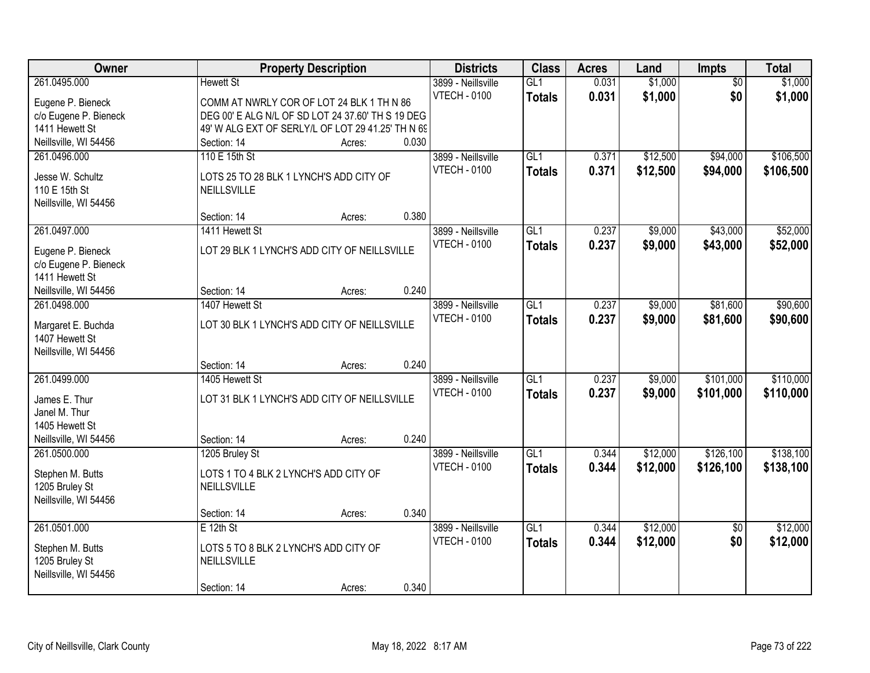| Owner                                   |                                                   | <b>Property Description</b> |       | <b>Districts</b>    | <b>Class</b>     | <b>Acres</b> | Land     | Impts           | <b>Total</b> |
|-----------------------------------------|---------------------------------------------------|-----------------------------|-------|---------------------|------------------|--------------|----------|-----------------|--------------|
| 261.0495.000                            | <b>Hewett St</b>                                  |                             |       | 3899 - Neillsville  | GL1              | 0.031        | \$1,000  | $\overline{50}$ | \$1,000      |
| Eugene P. Bieneck                       | COMM AT NWRLY COR OF LOT 24 BLK 1 TH N 86         |                             |       | <b>VTECH - 0100</b> | <b>Totals</b>    | 0.031        | \$1,000  | \$0             | \$1,000      |
| c/o Eugene P. Bieneck                   | DEG 00' E ALG N/L OF SD LOT 24 37.60' TH S 19 DEG |                             |       |                     |                  |              |          |                 |              |
| 1411 Hewett St                          | 49' W ALG EXT OF SERLY/L OF LOT 29 41.25' TH N 69 |                             |       |                     |                  |              |          |                 |              |
| Neillsville, WI 54456                   | Section: 14                                       | Acres:                      | 0.030 |                     |                  |              |          |                 |              |
| 261.0496.000                            | 110 E 15th St                                     |                             |       | 3899 - Neillsville  | GL1              | 0.371        | \$12,500 | \$94,000        | \$106,500    |
| Jesse W. Schultz                        | LOTS 25 TO 28 BLK 1 LYNCH'S ADD CITY OF           |                             |       | <b>VTECH - 0100</b> | <b>Totals</b>    | 0.371        | \$12,500 | \$94,000        | \$106,500    |
| 110 E 15th St                           | NEILLSVILLE                                       |                             |       |                     |                  |              |          |                 |              |
| Neillsville, WI 54456                   |                                                   |                             |       |                     |                  |              |          |                 |              |
|                                         | Section: 14                                       | Acres:                      | 0.380 |                     |                  |              |          |                 |              |
| 261.0497.000                            | 1411 Hewett St                                    |                             |       | 3899 - Neillsville  | GL1              | 0.237        | \$9,000  | \$43,000        | \$52,000     |
| Eugene P. Bieneck                       | LOT 29 BLK 1 LYNCH'S ADD CITY OF NEILLSVILLE      |                             |       | <b>VTECH - 0100</b> | <b>Totals</b>    | 0.237        | \$9,000  | \$43,000        | \$52,000     |
| c/o Eugene P. Bieneck                   |                                                   |                             |       |                     |                  |              |          |                 |              |
| 1411 Hewett St                          |                                                   |                             |       |                     |                  |              |          |                 |              |
| Neillsville, WI 54456                   | Section: 14                                       | Acres:                      | 0.240 |                     |                  |              |          |                 |              |
| 261.0498.000                            | 1407 Hewett St                                    |                             |       | 3899 - Neillsville  | GL1              | 0.237        | \$9,000  | \$81,600        | \$90,600     |
|                                         | LOT 30 BLK 1 LYNCH'S ADD CITY OF NEILLSVILLE      |                             |       | <b>VTECH - 0100</b> | <b>Totals</b>    | 0.237        | \$9,000  | \$81,600        | \$90,600     |
| Margaret E. Buchda<br>1407 Hewett St    |                                                   |                             |       |                     |                  |              |          |                 |              |
| Neillsville, WI 54456                   |                                                   |                             |       |                     |                  |              |          |                 |              |
|                                         | Section: 14                                       | Acres:                      | 0.240 |                     |                  |              |          |                 |              |
| 261.0499.000                            | 1405 Hewett St                                    |                             |       | 3899 - Neillsville  | $\overline{GL1}$ | 0.237        | \$9,000  | \$101,000       | \$110,000    |
|                                         | LOT 31 BLK 1 LYNCH'S ADD CITY OF NEILLSVILLE      |                             |       | <b>VTECH - 0100</b> | <b>Totals</b>    | 0.237        | \$9,000  | \$101,000       | \$110,000    |
| James E. Thur<br>Janel M. Thur          |                                                   |                             |       |                     |                  |              |          |                 |              |
| 1405 Hewett St                          |                                                   |                             |       |                     |                  |              |          |                 |              |
| Neillsville, WI 54456                   | Section: 14                                       | Acres:                      | 0.240 |                     |                  |              |          |                 |              |
| 261.0500.000                            | 1205 Bruley St                                    |                             |       | 3899 - Neillsville  | GL1              | 0.344        | \$12,000 | \$126,100       | \$138,100    |
|                                         |                                                   |                             |       | <b>VTECH - 0100</b> | <b>Totals</b>    | 0.344        | \$12,000 | \$126,100       | \$138,100    |
| Stephen M. Butts                        | LOTS 1 TO 4 BLK 2 LYNCH'S ADD CITY OF             |                             |       |                     |                  |              |          |                 |              |
| 1205 Bruley St<br>Neillsville, WI 54456 | NEILLSVILLE                                       |                             |       |                     |                  |              |          |                 |              |
|                                         | Section: 14                                       | Acres:                      | 0.340 |                     |                  |              |          |                 |              |
| 261.0501.000                            | $E$ 12th St                                       |                             |       | 3899 - Neillsville  | GL1              | 0.344        | \$12,000 | $\overline{50}$ | \$12,000     |
|                                         |                                                   |                             |       | <b>VTECH - 0100</b> | <b>Totals</b>    | 0.344        | \$12,000 | \$0             | \$12,000     |
| Stephen M. Butts                        | LOTS 5 TO 8 BLK 2 LYNCH'S ADD CITY OF             |                             |       |                     |                  |              |          |                 |              |
| 1205 Bruley St                          | NEILLSVILLE                                       |                             |       |                     |                  |              |          |                 |              |
| Neillsville, WI 54456                   |                                                   |                             | 0.340 |                     |                  |              |          |                 |              |
|                                         | Section: 14                                       | Acres:                      |       |                     |                  |              |          |                 |              |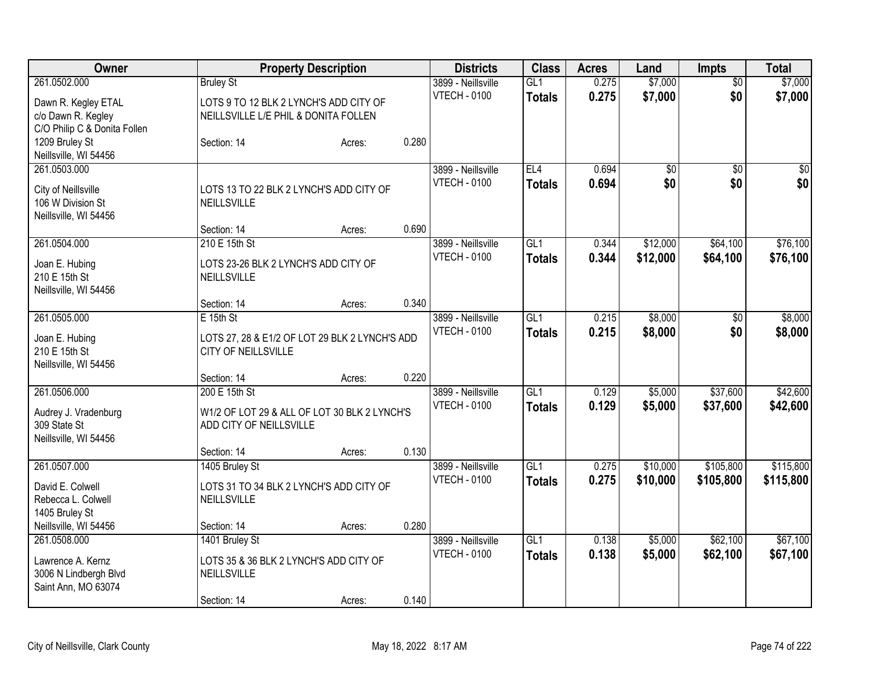| Owner                        |                                                | <b>Property Description</b> |       | <b>Districts</b>    | <b>Class</b>    | <b>Acres</b> | Land            | <b>Impts</b>    | <b>Total</b>    |
|------------------------------|------------------------------------------------|-----------------------------|-------|---------------------|-----------------|--------------|-----------------|-----------------|-----------------|
| 261.0502.000                 | <b>Bruley St</b>                               |                             |       | 3899 - Neillsville  | GL1             | 0.275        | \$7,000         | $\overline{60}$ | \$7,000         |
| Dawn R. Kegley ETAL          | LOTS 9 TO 12 BLK 2 LYNCH'S ADD CITY OF         |                             |       | <b>VTECH - 0100</b> | <b>Totals</b>   | 0.275        | \$7,000         | \$0             | \$7,000         |
| c/o Dawn R. Kegley           | NEILLSVILLE L/E PHIL & DONITA FOLLEN           |                             |       |                     |                 |              |                 |                 |                 |
| C/O Philip C & Donita Follen |                                                |                             |       |                     |                 |              |                 |                 |                 |
| 1209 Bruley St               | Section: 14                                    | Acres:                      | 0.280 |                     |                 |              |                 |                 |                 |
| Neillsville, WI 54456        |                                                |                             |       |                     |                 |              |                 |                 |                 |
| 261.0503.000                 |                                                |                             |       | 3899 - Neillsville  | EL <sub>4</sub> | 0.694        | $\overline{50}$ | \$0             | $\overline{50}$ |
| City of Neillsville          | LOTS 13 TO 22 BLK 2 LYNCH'S ADD CITY OF        |                             |       | <b>VTECH - 0100</b> | <b>Totals</b>   | 0.694        | \$0             | \$0             | \$0             |
| 106 W Division St            | NEILLSVILLE                                    |                             |       |                     |                 |              |                 |                 |                 |
| Neillsville, WI 54456        |                                                |                             |       |                     |                 |              |                 |                 |                 |
|                              | Section: 14                                    | Acres:                      | 0.690 |                     |                 |              |                 |                 |                 |
| 261.0504.000                 | 210 E 15th St                                  |                             |       | 3899 - Neillsville  | GL1             | 0.344        | \$12,000        | \$64,100        | \$76,100        |
|                              |                                                |                             |       | <b>VTECH - 0100</b> | <b>Totals</b>   | 0.344        | \$12,000        | \$64,100        | \$76,100        |
| Joan E. Hubing               | LOTS 23-26 BLK 2 LYNCH'S ADD CITY OF           |                             |       |                     |                 |              |                 |                 |                 |
| 210 E 15th St                | <b>NEILLSVILLE</b>                             |                             |       |                     |                 |              |                 |                 |                 |
| Neillsville, WI 54456        | Section: 14                                    |                             | 0.340 |                     |                 |              |                 |                 |                 |
| 261.0505.000                 | $E$ 15th St                                    | Acres:                      |       | 3899 - Neillsville  | GL1             | 0.215        | \$8,000         | \$0             | \$8,000         |
|                              |                                                |                             |       | <b>VTECH - 0100</b> |                 | 0.215        | \$8,000         | \$0             | \$8,000         |
| Joan E. Hubing               | LOTS 27, 28 & E1/2 OF LOT 29 BLK 2 LYNCH'S ADD |                             |       |                     | <b>Totals</b>   |              |                 |                 |                 |
| 210 E 15th St                | <b>CITY OF NEILLSVILLE</b>                     |                             |       |                     |                 |              |                 |                 |                 |
| Neillsville, WI 54456        |                                                |                             |       |                     |                 |              |                 |                 |                 |
|                              | Section: 14                                    | Acres:                      | 0.220 |                     |                 |              |                 |                 |                 |
| 261.0506.000                 | 200 E 15th St                                  |                             |       | 3899 - Neillsville  | GL1             | 0.129        | \$5,000         | \$37,600        | \$42,600        |
| Audrey J. Vradenburg         | W1/2 OF LOT 29 & ALL OF LOT 30 BLK 2 LYNCH'S   |                             |       | <b>VTECH - 0100</b> | <b>Totals</b>   | 0.129        | \$5,000         | \$37,600        | \$42,600        |
| 309 State St                 | ADD CITY OF NEILLSVILLE                        |                             |       |                     |                 |              |                 |                 |                 |
| Neillsville, WI 54456        |                                                |                             |       |                     |                 |              |                 |                 |                 |
|                              | Section: 14                                    | Acres:                      | 0.130 |                     |                 |              |                 |                 |                 |
| 261.0507.000                 | 1405 Bruley St                                 |                             |       | 3899 - Neillsville  | GLI             | 0.275        | \$10,000        | \$105,800       | \$115,800       |
| David E. Colwell             | LOTS 31 TO 34 BLK 2 LYNCH'S ADD CITY OF        |                             |       | <b>VTECH - 0100</b> | <b>Totals</b>   | 0.275        | \$10,000        | \$105,800       | \$115,800       |
| Rebecca L. Colwell           | <b>NEILLSVILLE</b>                             |                             |       |                     |                 |              |                 |                 |                 |
| 1405 Bruley St               |                                                |                             |       |                     |                 |              |                 |                 |                 |
| Neillsville, WI 54456        | Section: 14                                    | Acres:                      | 0.280 |                     |                 |              |                 |                 |                 |
| 261.0508.000                 | 1401 Bruley St                                 |                             |       | 3899 - Neillsville  | GL1             | 0.138        | \$5,000         | \$62,100        | \$67,100        |
|                              |                                                |                             |       | <b>VTECH - 0100</b> | <b>Totals</b>   | 0.138        | \$5,000         | \$62,100        | \$67,100        |
| Lawrence A. Kernz            | LOTS 35 & 36 BLK 2 LYNCH'S ADD CITY OF         |                             |       |                     |                 |              |                 |                 |                 |
| 3006 N Lindbergh Blvd        | NEILLSVILLE                                    |                             |       |                     |                 |              |                 |                 |                 |
| Saint Ann, MO 63074          |                                                |                             |       |                     |                 |              |                 |                 |                 |
|                              | Section: 14                                    | Acres:                      | 0.140 |                     |                 |              |                 |                 |                 |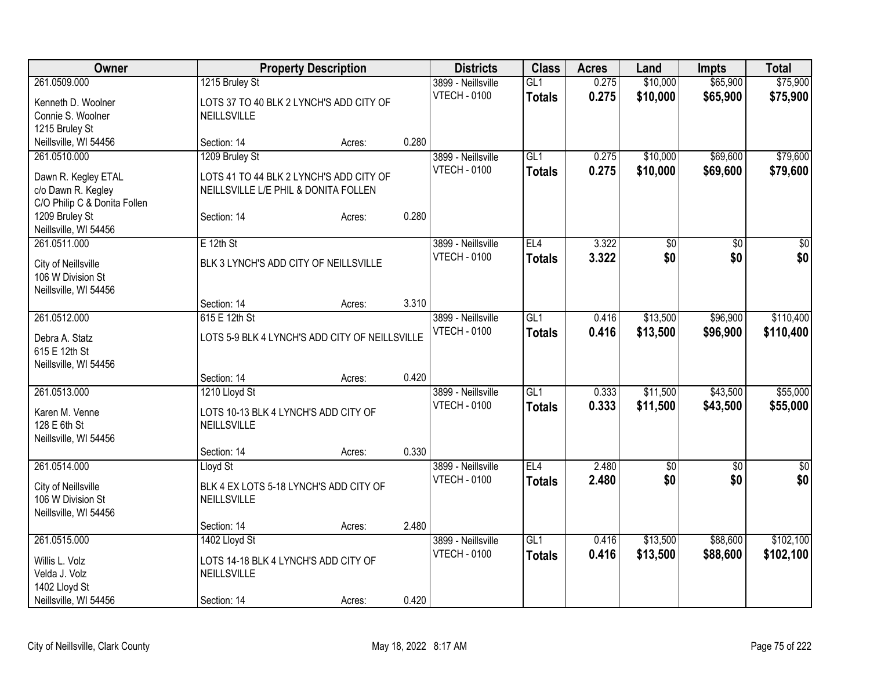| Owner                                     |                                                | <b>Property Description</b> |       | <b>Districts</b>    | <b>Class</b>  | <b>Acres</b> | Land            | <b>Impts</b>    | <b>Total</b>    |
|-------------------------------------------|------------------------------------------------|-----------------------------|-------|---------------------|---------------|--------------|-----------------|-----------------|-----------------|
| 261.0509.000                              | 1215 Bruley St                                 |                             |       | 3899 - Neillsville  | GL1           | 0.275        | \$10,000        | \$65,900        | \$75,900        |
| Kenneth D. Woolner                        | LOTS 37 TO 40 BLK 2 LYNCH'S ADD CITY OF        |                             |       | <b>VTECH - 0100</b> | <b>Totals</b> | 0.275        | \$10,000        | \$65,900        | \$75,900        |
| Connie S. Woolner                         | <b>NEILLSVILLE</b>                             |                             |       |                     |               |              |                 |                 |                 |
| 1215 Bruley St                            |                                                |                             |       |                     |               |              |                 |                 |                 |
| Neillsville, WI 54456                     | Section: 14                                    | Acres:                      | 0.280 |                     |               |              |                 |                 |                 |
| 261.0510.000                              | 1209 Bruley St                                 |                             |       | 3899 - Neillsville  | GL1           | 0.275        | \$10,000        | \$69,600        | \$79,600        |
|                                           | LOTS 41 TO 44 BLK 2 LYNCH'S ADD CITY OF        |                             |       | <b>VTECH - 0100</b> | <b>Totals</b> | 0.275        | \$10,000        | \$69,600        | \$79,600        |
| Dawn R. Kegley ETAL<br>c/o Dawn R. Kegley | NEILLSVILLE L/E PHIL & DONITA FOLLEN           |                             |       |                     |               |              |                 |                 |                 |
| C/O Philip C & Donita Follen              |                                                |                             |       |                     |               |              |                 |                 |                 |
| 1209 Bruley St                            | Section: 14                                    | Acres:                      | 0.280 |                     |               |              |                 |                 |                 |
| Neillsville, WI 54456                     |                                                |                             |       |                     |               |              |                 |                 |                 |
| 261.0511.000                              | $E$ 12th St                                    |                             |       | 3899 - Neillsville  | EL4           | 3.322        | $\overline{50}$ | \$0             | $\sqrt{50}$     |
|                                           |                                                |                             |       | <b>VTECH - 0100</b> | <b>Totals</b> | 3.322        | \$0             | \$0             | \$0             |
| City of Neillsville                       | BLK 3 LYNCH'S ADD CITY OF NEILLSVILLE          |                             |       |                     |               |              |                 |                 |                 |
| 106 W Division St                         |                                                |                             |       |                     |               |              |                 |                 |                 |
| Neillsville, WI 54456                     | Section: 14                                    | Acres:                      | 3.310 |                     |               |              |                 |                 |                 |
| 261.0512.000                              | 615 E 12th St                                  |                             |       | 3899 - Neillsville  | GL1           | 0.416        | \$13,500        | \$96,900        | \$110,400       |
|                                           |                                                |                             |       | <b>VTECH - 0100</b> | <b>Totals</b> | 0.416        | \$13,500        | \$96,900        | \$110,400       |
| Debra A. Statz                            | LOTS 5-9 BLK 4 LYNCH'S ADD CITY OF NEILLSVILLE |                             |       |                     |               |              |                 |                 |                 |
| 615 E 12th St                             |                                                |                             |       |                     |               |              |                 |                 |                 |
| Neillsville, WI 54456                     |                                                |                             |       |                     |               |              |                 |                 |                 |
|                                           | Section: 14                                    | Acres:                      | 0.420 |                     |               |              |                 |                 |                 |
| 261.0513.000                              | 1210 Lloyd St                                  |                             |       | 3899 - Neillsville  | GL1           | 0.333        | \$11,500        | \$43,500        | \$55,000        |
| Karen M. Venne                            | LOTS 10-13 BLK 4 LYNCH'S ADD CITY OF           |                             |       | <b>VTECH - 0100</b> | <b>Totals</b> | 0.333        | \$11,500        | \$43,500        | \$55,000        |
| 128 E 6th St                              | <b>NEILLSVILLE</b>                             |                             |       |                     |               |              |                 |                 |                 |
| Neillsville, WI 54456                     |                                                |                             |       |                     |               |              |                 |                 |                 |
|                                           | Section: 14                                    | Acres:                      | 0.330 |                     |               |              |                 |                 |                 |
| 261.0514.000                              | Lloyd St                                       |                             |       | 3899 - Neillsville  | EL4           | 2.480        | $\overline{60}$ | $\overline{50}$ | $\overline{30}$ |
| City of Neillsville                       | BLK 4 EX LOTS 5-18 LYNCH'S ADD CITY OF         |                             |       | <b>VTECH - 0100</b> | <b>Totals</b> | 2.480        | \$0             | \$0             | \$0             |
| 106 W Division St                         | <b>NEILLSVILLE</b>                             |                             |       |                     |               |              |                 |                 |                 |
| Neillsville, WI 54456                     |                                                |                             |       |                     |               |              |                 |                 |                 |
|                                           | Section: 14                                    | Acres:                      | 2.480 |                     |               |              |                 |                 |                 |
| 261.0515.000                              | 1402 Lloyd St                                  |                             |       | 3899 - Neillsville  | GL1           | 0.416        | \$13,500        | \$88,600        | \$102,100       |
| Willis L. Volz                            | LOTS 14-18 BLK 4 LYNCH'S ADD CITY OF           |                             |       | <b>VTECH - 0100</b> | <b>Totals</b> | 0.416        | \$13,500        | \$88,600        | \$102,100       |
| Velda J. Volz                             | NEILLSVILLE                                    |                             |       |                     |               |              |                 |                 |                 |
| 1402 Lloyd St                             |                                                |                             |       |                     |               |              |                 |                 |                 |
| Neillsville, WI 54456                     | Section: 14                                    | Acres:                      | 0.420 |                     |               |              |                 |                 |                 |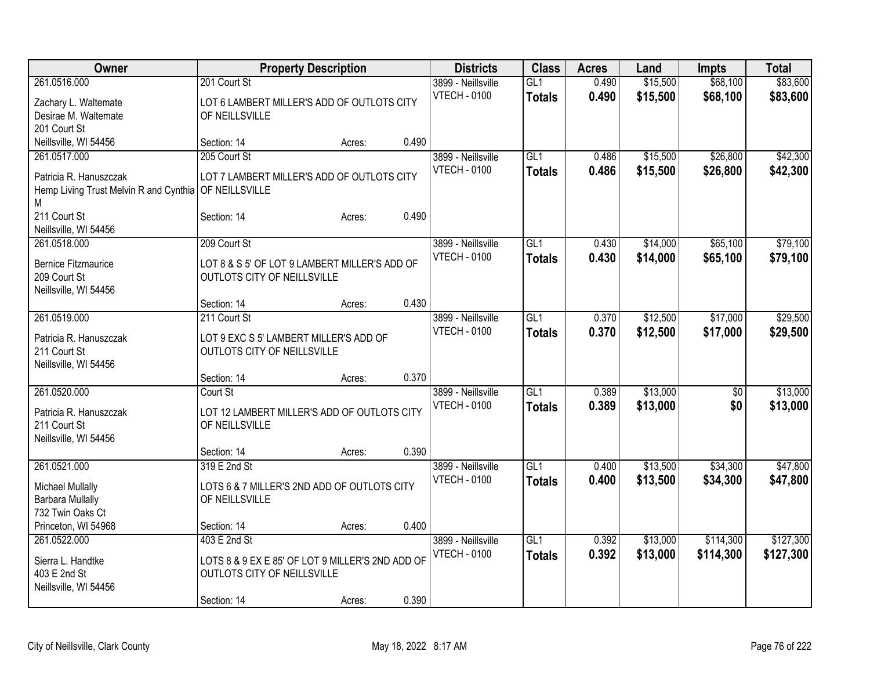| \$15,500<br>\$68,100<br>261.0516.000<br>201 Court St<br>GL1<br>0.490<br>3899 - Neillsville<br><b>VTECH - 0100</b><br>0.490<br>\$15,500<br>\$68,100<br>\$83,600<br><b>Totals</b><br>LOT 6 LAMBERT MILLER'S ADD OF OUTLOTS CITY<br>Zachary L. Waltemate<br>Desirae M. Waltemate<br>OF NEILLSVILLE<br>201 Court St<br>0.490<br>Neillsville, WI 54456<br>Section: 14<br>Acres:<br>205 Court St<br>GL1<br>\$15,500<br>\$26,800<br>261.0517.000<br>3899 - Neillsville<br>0.486<br><b>VTECH - 0100</b><br>0.486<br>\$15,500<br>\$26,800<br>\$42,300<br><b>Totals</b><br>Patricia R. Hanuszczak<br>LOT 7 LAMBERT MILLER'S ADD OF OUTLOTS CITY<br>Hemp Living Trust Melvin R and Cynthia<br>OF NEILLSVILLE<br>М<br>0.490<br>211 Court St<br>Section: 14<br>Acres:<br>Neillsville, WI 54456<br>\$65,100<br>261.0518.000<br>209 Court St<br>3899 - Neillsville<br>GL1<br>0.430<br>\$14,000<br><b>VTECH - 0100</b><br>\$14,000<br>0.430<br>\$65,100<br><b>Totals</b><br><b>Bernice Fitzmaurice</b><br>LOT 8 & S 5' OF LOT 9 LAMBERT MILLER'S ADD OF<br>209 Court St<br>OUTLOTS CITY OF NEILLSVILLE<br>Neillsville, WI 54456<br>0.430<br>Section: 14<br>Acres:<br>211 Court St<br>261.0519.000<br>GL1<br>\$12,500<br>\$17,000<br>3899 - Neillsville<br>0.370<br><b>VTECH - 0100</b><br>0.370<br>\$12,500<br>\$17,000<br>\$29,500<br><b>Totals</b><br>Patricia R. Hanuszczak<br>LOT 9 EXC S 5' LAMBERT MILLER'S ADD OF<br>211 Court St<br>OUTLOTS CITY OF NEILLSVILLE<br>Neillsville, WI 54456<br>0.370<br>Section: 14<br>Acres:<br>261.0520.000<br>\$13,000<br>Court St<br>GL1<br>0.389<br>3899 - Neillsville<br>\$0<br><b>VTECH - 0100</b><br>0.389<br>\$0<br>\$13,000<br>\$13,000<br><b>Totals</b><br>Patricia R. Hanuszczak<br>LOT 12 LAMBERT MILLER'S ADD OF OUTLOTS CITY<br>211 Court St<br>OF NEILLSVILLE<br>Neillsville, WI 54456<br>0.390<br>Section: 14<br>Acres:<br>261.0521.000<br>319 E 2nd St<br>3899 - Neillsville<br>GL1<br>\$13,500<br>\$34,300<br>0.400<br><b>VTECH - 0100</b><br>0.400<br>\$13,500<br>\$34,300<br><b>Totals</b><br>\$47,800<br>LOTS 6 & 7 MILLER'S 2ND ADD OF OUTLOTS CITY<br>Michael Mullally<br><b>Barbara Mullally</b><br>OF NEILLSVILLE<br>732 Twin Oaks Ct<br>Princeton, WI 54968<br>0.400<br>Section: 14<br>Acres:<br>GL1<br>\$114,300<br>261.0522.000<br>403 E 2nd St<br>3899 - Neillsville<br>0.392<br>\$13,000<br><b>VTECH - 0100</b><br>0.392<br>\$13,000<br>\$114,300<br>\$127,300<br><b>Totals</b><br>LOTS 8 & 9 EX E 85' OF LOT 9 MILLER'S 2ND ADD OF<br>Sierra L. Handtke<br>403 E 2nd St<br>OUTLOTS CITY OF NEILLSVILLE | Owner                 | <b>Property Description</b> |  | <b>Districts</b> | <b>Class</b> | <b>Acres</b> | Land | Impts | <b>Total</b> |
|-------------------------------------------------------------------------------------------------------------------------------------------------------------------------------------------------------------------------------------------------------------------------------------------------------------------------------------------------------------------------------------------------------------------------------------------------------------------------------------------------------------------------------------------------------------------------------------------------------------------------------------------------------------------------------------------------------------------------------------------------------------------------------------------------------------------------------------------------------------------------------------------------------------------------------------------------------------------------------------------------------------------------------------------------------------------------------------------------------------------------------------------------------------------------------------------------------------------------------------------------------------------------------------------------------------------------------------------------------------------------------------------------------------------------------------------------------------------------------------------------------------------------------------------------------------------------------------------------------------------------------------------------------------------------------------------------------------------------------------------------------------------------------------------------------------------------------------------------------------------------------------------------------------------------------------------------------------------------------------------------------------------------------------------------------------------------------------------------------------------------------------------------------------------------------------------------------------------------------------------------------------------------------------------------------------------------------------------------------------------------------------------------------------------------------------------------------------------------------------------------------------------------------------------------------------|-----------------------|-----------------------------|--|------------------|--------------|--------------|------|-------|--------------|
|                                                                                                                                                                                                                                                                                                                                                                                                                                                                                                                                                                                                                                                                                                                                                                                                                                                                                                                                                                                                                                                                                                                                                                                                                                                                                                                                                                                                                                                                                                                                                                                                                                                                                                                                                                                                                                                                                                                                                                                                                                                                                                                                                                                                                                                                                                                                                                                                                                                                                                                                                             |                       |                             |  |                  |              |              |      |       | \$83,600     |
|                                                                                                                                                                                                                                                                                                                                                                                                                                                                                                                                                                                                                                                                                                                                                                                                                                                                                                                                                                                                                                                                                                                                                                                                                                                                                                                                                                                                                                                                                                                                                                                                                                                                                                                                                                                                                                                                                                                                                                                                                                                                                                                                                                                                                                                                                                                                                                                                                                                                                                                                                             |                       |                             |  |                  |              |              |      |       |              |
|                                                                                                                                                                                                                                                                                                                                                                                                                                                                                                                                                                                                                                                                                                                                                                                                                                                                                                                                                                                                                                                                                                                                                                                                                                                                                                                                                                                                                                                                                                                                                                                                                                                                                                                                                                                                                                                                                                                                                                                                                                                                                                                                                                                                                                                                                                                                                                                                                                                                                                                                                             |                       |                             |  |                  |              |              |      |       |              |
|                                                                                                                                                                                                                                                                                                                                                                                                                                                                                                                                                                                                                                                                                                                                                                                                                                                                                                                                                                                                                                                                                                                                                                                                                                                                                                                                                                                                                                                                                                                                                                                                                                                                                                                                                                                                                                                                                                                                                                                                                                                                                                                                                                                                                                                                                                                                                                                                                                                                                                                                                             |                       |                             |  |                  |              |              |      |       |              |
| \$42,300<br>\$79,100<br>\$79,100<br>\$29,500<br>\$13,000<br>\$47,800<br>\$127,300                                                                                                                                                                                                                                                                                                                                                                                                                                                                                                                                                                                                                                                                                                                                                                                                                                                                                                                                                                                                                                                                                                                                                                                                                                                                                                                                                                                                                                                                                                                                                                                                                                                                                                                                                                                                                                                                                                                                                                                                                                                                                                                                                                                                                                                                                                                                                                                                                                                                           |                       |                             |  |                  |              |              |      |       |              |
|                                                                                                                                                                                                                                                                                                                                                                                                                                                                                                                                                                                                                                                                                                                                                                                                                                                                                                                                                                                                                                                                                                                                                                                                                                                                                                                                                                                                                                                                                                                                                                                                                                                                                                                                                                                                                                                                                                                                                                                                                                                                                                                                                                                                                                                                                                                                                                                                                                                                                                                                                             |                       |                             |  |                  |              |              |      |       |              |
|                                                                                                                                                                                                                                                                                                                                                                                                                                                                                                                                                                                                                                                                                                                                                                                                                                                                                                                                                                                                                                                                                                                                                                                                                                                                                                                                                                                                                                                                                                                                                                                                                                                                                                                                                                                                                                                                                                                                                                                                                                                                                                                                                                                                                                                                                                                                                                                                                                                                                                                                                             |                       |                             |  |                  |              |              |      |       |              |
|                                                                                                                                                                                                                                                                                                                                                                                                                                                                                                                                                                                                                                                                                                                                                                                                                                                                                                                                                                                                                                                                                                                                                                                                                                                                                                                                                                                                                                                                                                                                                                                                                                                                                                                                                                                                                                                                                                                                                                                                                                                                                                                                                                                                                                                                                                                                                                                                                                                                                                                                                             |                       |                             |  |                  |              |              |      |       |              |
|                                                                                                                                                                                                                                                                                                                                                                                                                                                                                                                                                                                                                                                                                                                                                                                                                                                                                                                                                                                                                                                                                                                                                                                                                                                                                                                                                                                                                                                                                                                                                                                                                                                                                                                                                                                                                                                                                                                                                                                                                                                                                                                                                                                                                                                                                                                                                                                                                                                                                                                                                             |                       |                             |  |                  |              |              |      |       |              |
|                                                                                                                                                                                                                                                                                                                                                                                                                                                                                                                                                                                                                                                                                                                                                                                                                                                                                                                                                                                                                                                                                                                                                                                                                                                                                                                                                                                                                                                                                                                                                                                                                                                                                                                                                                                                                                                                                                                                                                                                                                                                                                                                                                                                                                                                                                                                                                                                                                                                                                                                                             |                       |                             |  |                  |              |              |      |       |              |
|                                                                                                                                                                                                                                                                                                                                                                                                                                                                                                                                                                                                                                                                                                                                                                                                                                                                                                                                                                                                                                                                                                                                                                                                                                                                                                                                                                                                                                                                                                                                                                                                                                                                                                                                                                                                                                                                                                                                                                                                                                                                                                                                                                                                                                                                                                                                                                                                                                                                                                                                                             |                       |                             |  |                  |              |              |      |       |              |
|                                                                                                                                                                                                                                                                                                                                                                                                                                                                                                                                                                                                                                                                                                                                                                                                                                                                                                                                                                                                                                                                                                                                                                                                                                                                                                                                                                                                                                                                                                                                                                                                                                                                                                                                                                                                                                                                                                                                                                                                                                                                                                                                                                                                                                                                                                                                                                                                                                                                                                                                                             |                       |                             |  |                  |              |              |      |       |              |
|                                                                                                                                                                                                                                                                                                                                                                                                                                                                                                                                                                                                                                                                                                                                                                                                                                                                                                                                                                                                                                                                                                                                                                                                                                                                                                                                                                                                                                                                                                                                                                                                                                                                                                                                                                                                                                                                                                                                                                                                                                                                                                                                                                                                                                                                                                                                                                                                                                                                                                                                                             |                       |                             |  |                  |              |              |      |       |              |
|                                                                                                                                                                                                                                                                                                                                                                                                                                                                                                                                                                                                                                                                                                                                                                                                                                                                                                                                                                                                                                                                                                                                                                                                                                                                                                                                                                                                                                                                                                                                                                                                                                                                                                                                                                                                                                                                                                                                                                                                                                                                                                                                                                                                                                                                                                                                                                                                                                                                                                                                                             |                       |                             |  |                  |              |              |      |       |              |
|                                                                                                                                                                                                                                                                                                                                                                                                                                                                                                                                                                                                                                                                                                                                                                                                                                                                                                                                                                                                                                                                                                                                                                                                                                                                                                                                                                                                                                                                                                                                                                                                                                                                                                                                                                                                                                                                                                                                                                                                                                                                                                                                                                                                                                                                                                                                                                                                                                                                                                                                                             |                       |                             |  |                  |              |              |      |       |              |
|                                                                                                                                                                                                                                                                                                                                                                                                                                                                                                                                                                                                                                                                                                                                                                                                                                                                                                                                                                                                                                                                                                                                                                                                                                                                                                                                                                                                                                                                                                                                                                                                                                                                                                                                                                                                                                                                                                                                                                                                                                                                                                                                                                                                                                                                                                                                                                                                                                                                                                                                                             |                       |                             |  |                  |              |              |      |       |              |
|                                                                                                                                                                                                                                                                                                                                                                                                                                                                                                                                                                                                                                                                                                                                                                                                                                                                                                                                                                                                                                                                                                                                                                                                                                                                                                                                                                                                                                                                                                                                                                                                                                                                                                                                                                                                                                                                                                                                                                                                                                                                                                                                                                                                                                                                                                                                                                                                                                                                                                                                                             |                       |                             |  |                  |              |              |      |       |              |
|                                                                                                                                                                                                                                                                                                                                                                                                                                                                                                                                                                                                                                                                                                                                                                                                                                                                                                                                                                                                                                                                                                                                                                                                                                                                                                                                                                                                                                                                                                                                                                                                                                                                                                                                                                                                                                                                                                                                                                                                                                                                                                                                                                                                                                                                                                                                                                                                                                                                                                                                                             |                       |                             |  |                  |              |              |      |       |              |
|                                                                                                                                                                                                                                                                                                                                                                                                                                                                                                                                                                                                                                                                                                                                                                                                                                                                                                                                                                                                                                                                                                                                                                                                                                                                                                                                                                                                                                                                                                                                                                                                                                                                                                                                                                                                                                                                                                                                                                                                                                                                                                                                                                                                                                                                                                                                                                                                                                                                                                                                                             |                       |                             |  |                  |              |              |      |       |              |
|                                                                                                                                                                                                                                                                                                                                                                                                                                                                                                                                                                                                                                                                                                                                                                                                                                                                                                                                                                                                                                                                                                                                                                                                                                                                                                                                                                                                                                                                                                                                                                                                                                                                                                                                                                                                                                                                                                                                                                                                                                                                                                                                                                                                                                                                                                                                                                                                                                                                                                                                                             |                       |                             |  |                  |              |              |      |       |              |
|                                                                                                                                                                                                                                                                                                                                                                                                                                                                                                                                                                                                                                                                                                                                                                                                                                                                                                                                                                                                                                                                                                                                                                                                                                                                                                                                                                                                                                                                                                                                                                                                                                                                                                                                                                                                                                                                                                                                                                                                                                                                                                                                                                                                                                                                                                                                                                                                                                                                                                                                                             |                       |                             |  |                  |              |              |      |       |              |
|                                                                                                                                                                                                                                                                                                                                                                                                                                                                                                                                                                                                                                                                                                                                                                                                                                                                                                                                                                                                                                                                                                                                                                                                                                                                                                                                                                                                                                                                                                                                                                                                                                                                                                                                                                                                                                                                                                                                                                                                                                                                                                                                                                                                                                                                                                                                                                                                                                                                                                                                                             |                       |                             |  |                  |              |              |      |       |              |
|                                                                                                                                                                                                                                                                                                                                                                                                                                                                                                                                                                                                                                                                                                                                                                                                                                                                                                                                                                                                                                                                                                                                                                                                                                                                                                                                                                                                                                                                                                                                                                                                                                                                                                                                                                                                                                                                                                                                                                                                                                                                                                                                                                                                                                                                                                                                                                                                                                                                                                                                                             |                       |                             |  |                  |              |              |      |       |              |
|                                                                                                                                                                                                                                                                                                                                                                                                                                                                                                                                                                                                                                                                                                                                                                                                                                                                                                                                                                                                                                                                                                                                                                                                                                                                                                                                                                                                                                                                                                                                                                                                                                                                                                                                                                                                                                                                                                                                                                                                                                                                                                                                                                                                                                                                                                                                                                                                                                                                                                                                                             |                       |                             |  |                  |              |              |      |       |              |
|                                                                                                                                                                                                                                                                                                                                                                                                                                                                                                                                                                                                                                                                                                                                                                                                                                                                                                                                                                                                                                                                                                                                                                                                                                                                                                                                                                                                                                                                                                                                                                                                                                                                                                                                                                                                                                                                                                                                                                                                                                                                                                                                                                                                                                                                                                                                                                                                                                                                                                                                                             |                       |                             |  |                  |              |              |      |       |              |
|                                                                                                                                                                                                                                                                                                                                                                                                                                                                                                                                                                                                                                                                                                                                                                                                                                                                                                                                                                                                                                                                                                                                                                                                                                                                                                                                                                                                                                                                                                                                                                                                                                                                                                                                                                                                                                                                                                                                                                                                                                                                                                                                                                                                                                                                                                                                                                                                                                                                                                                                                             |                       |                             |  |                  |              |              |      |       |              |
|                                                                                                                                                                                                                                                                                                                                                                                                                                                                                                                                                                                                                                                                                                                                                                                                                                                                                                                                                                                                                                                                                                                                                                                                                                                                                                                                                                                                                                                                                                                                                                                                                                                                                                                                                                                                                                                                                                                                                                                                                                                                                                                                                                                                                                                                                                                                                                                                                                                                                                                                                             |                       |                             |  |                  |              |              |      |       |              |
|                                                                                                                                                                                                                                                                                                                                                                                                                                                                                                                                                                                                                                                                                                                                                                                                                                                                                                                                                                                                                                                                                                                                                                                                                                                                                                                                                                                                                                                                                                                                                                                                                                                                                                                                                                                                                                                                                                                                                                                                                                                                                                                                                                                                                                                                                                                                                                                                                                                                                                                                                             |                       |                             |  |                  |              |              |      |       |              |
|                                                                                                                                                                                                                                                                                                                                                                                                                                                                                                                                                                                                                                                                                                                                                                                                                                                                                                                                                                                                                                                                                                                                                                                                                                                                                                                                                                                                                                                                                                                                                                                                                                                                                                                                                                                                                                                                                                                                                                                                                                                                                                                                                                                                                                                                                                                                                                                                                                                                                                                                                             |                       |                             |  |                  |              |              |      |       |              |
|                                                                                                                                                                                                                                                                                                                                                                                                                                                                                                                                                                                                                                                                                                                                                                                                                                                                                                                                                                                                                                                                                                                                                                                                                                                                                                                                                                                                                                                                                                                                                                                                                                                                                                                                                                                                                                                                                                                                                                                                                                                                                                                                                                                                                                                                                                                                                                                                                                                                                                                                                             |                       |                             |  |                  |              |              |      |       |              |
|                                                                                                                                                                                                                                                                                                                                                                                                                                                                                                                                                                                                                                                                                                                                                                                                                                                                                                                                                                                                                                                                                                                                                                                                                                                                                                                                                                                                                                                                                                                                                                                                                                                                                                                                                                                                                                                                                                                                                                                                                                                                                                                                                                                                                                                                                                                                                                                                                                                                                                                                                             |                       |                             |  |                  |              |              |      |       |              |
|                                                                                                                                                                                                                                                                                                                                                                                                                                                                                                                                                                                                                                                                                                                                                                                                                                                                                                                                                                                                                                                                                                                                                                                                                                                                                                                                                                                                                                                                                                                                                                                                                                                                                                                                                                                                                                                                                                                                                                                                                                                                                                                                                                                                                                                                                                                                                                                                                                                                                                                                                             |                       |                             |  |                  |              |              |      |       |              |
|                                                                                                                                                                                                                                                                                                                                                                                                                                                                                                                                                                                                                                                                                                                                                                                                                                                                                                                                                                                                                                                                                                                                                                                                                                                                                                                                                                                                                                                                                                                                                                                                                                                                                                                                                                                                                                                                                                                                                                                                                                                                                                                                                                                                                                                                                                                                                                                                                                                                                                                                                             |                       |                             |  |                  |              |              |      |       |              |
|                                                                                                                                                                                                                                                                                                                                                                                                                                                                                                                                                                                                                                                                                                                                                                                                                                                                                                                                                                                                                                                                                                                                                                                                                                                                                                                                                                                                                                                                                                                                                                                                                                                                                                                                                                                                                                                                                                                                                                                                                                                                                                                                                                                                                                                                                                                                                                                                                                                                                                                                                             |                       |                             |  |                  |              |              |      |       |              |
|                                                                                                                                                                                                                                                                                                                                                                                                                                                                                                                                                                                                                                                                                                                                                                                                                                                                                                                                                                                                                                                                                                                                                                                                                                                                                                                                                                                                                                                                                                                                                                                                                                                                                                                                                                                                                                                                                                                                                                                                                                                                                                                                                                                                                                                                                                                                                                                                                                                                                                                                                             |                       |                             |  |                  |              |              |      |       |              |
|                                                                                                                                                                                                                                                                                                                                                                                                                                                                                                                                                                                                                                                                                                                                                                                                                                                                                                                                                                                                                                                                                                                                                                                                                                                                                                                                                                                                                                                                                                                                                                                                                                                                                                                                                                                                                                                                                                                                                                                                                                                                                                                                                                                                                                                                                                                                                                                                                                                                                                                                                             | Neillsville, WI 54456 |                             |  |                  |              |              |      |       |              |
| 0.390<br>Section: 14<br>Acres:                                                                                                                                                                                                                                                                                                                                                                                                                                                                                                                                                                                                                                                                                                                                                                                                                                                                                                                                                                                                                                                                                                                                                                                                                                                                                                                                                                                                                                                                                                                                                                                                                                                                                                                                                                                                                                                                                                                                                                                                                                                                                                                                                                                                                                                                                                                                                                                                                                                                                                                              |                       |                             |  |                  |              |              |      |       |              |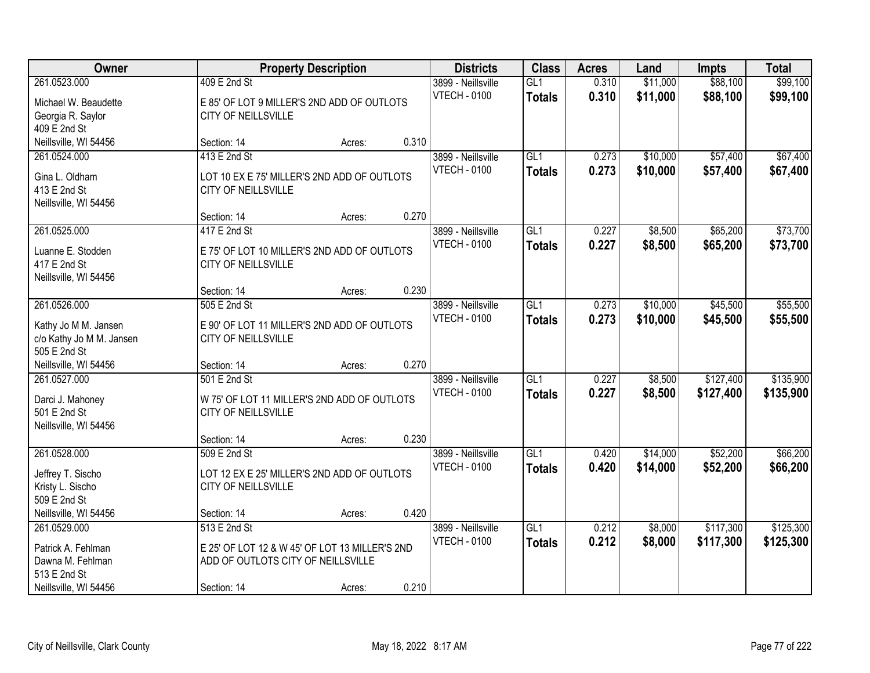| Owner                                                                                           |                                                                                                                     | <b>Property Description</b> |       | <b>Districts</b>                          | <b>Class</b>                      | <b>Acres</b>   | Land                 | <b>Impts</b>           | <b>Total</b>           |
|-------------------------------------------------------------------------------------------------|---------------------------------------------------------------------------------------------------------------------|-----------------------------|-------|-------------------------------------------|-----------------------------------|----------------|----------------------|------------------------|------------------------|
| 261.0523.000<br>Michael W. Beaudette<br>Georgia R. Saylor                                       | 409 E 2nd St<br>E 85' OF LOT 9 MILLER'S 2ND ADD OF OUTLOTS<br>CITY OF NEILLSVILLE                                   |                             |       | 3899 - Neillsville<br><b>VTECH - 0100</b> | GL1<br><b>Totals</b>              | 0.310<br>0.310 | \$11,000<br>\$11,000 | \$88,100<br>\$88,100   | \$99,100<br>\$99,100   |
| 409 E 2nd St<br>Neillsville, WI 54456                                                           | Section: 14                                                                                                         | Acres:                      | 0.310 |                                           |                                   |                |                      |                        |                        |
| 261.0524.000<br>Gina L. Oldham<br>413 E 2nd St<br>Neillsville, WI 54456                         | 413 E 2nd St<br>LOT 10 EX E 75' MILLER'S 2ND ADD OF OUTLOTS<br>CITY OF NEILLSVILLE                                  |                             |       | 3899 - Neillsville<br><b>VTECH - 0100</b> | GL1<br><b>Totals</b>              | 0.273<br>0.273 | \$10,000<br>\$10,000 | \$57,400<br>\$57,400   | \$67,400<br>\$67,400   |
| 261.0525.000                                                                                    | Section: 14<br>417 E 2nd St                                                                                         | Acres:                      | 0.270 | 3899 - Neillsville                        | GL1                               | 0.227          | \$8,500              | \$65,200               | \$73,700               |
| Luanne E. Stodden<br>417 E 2nd St<br>Neillsville, WI 54456                                      | E 75' OF LOT 10 MILLER'S 2ND ADD OF OUTLOTS<br>CITY OF NEILLSVILLE                                                  |                             |       | <b>VTECH - 0100</b>                       | <b>Totals</b>                     | 0.227          | \$8,500              | \$65,200               | \$73,700               |
|                                                                                                 | Section: 14                                                                                                         | Acres:                      | 0.230 |                                           |                                   |                |                      |                        |                        |
| 261.0526.000<br>Kathy Jo M M. Jansen<br>c/o Kathy Jo M M. Jansen<br>505 E 2nd St                | 505 E 2nd St<br>E 90' OF LOT 11 MILLER'S 2ND ADD OF OUTLOTS<br>CITY OF NEILLSVILLE                                  |                             |       | 3899 - Neillsville<br><b>VTECH - 0100</b> | GL1<br><b>Totals</b>              | 0.273<br>0.273 | \$10,000<br>\$10,000 | \$45,500<br>\$45,500   | \$55,500<br>\$55,500   |
| Neillsville, WI 54456                                                                           | Section: 14                                                                                                         | Acres:                      | 0.270 |                                           |                                   |                |                      |                        |                        |
| 261.0527.000<br>Darci J. Mahoney<br>501 E 2nd St<br>Neillsville, WI 54456                       | 501 E 2nd St<br>W 75' OF LOT 11 MILLER'S 2ND ADD OF OUTLOTS<br>CITY OF NEILLSVILLE                                  |                             |       | 3899 - Neillsville<br><b>VTECH - 0100</b> | $\overline{GL1}$<br><b>Totals</b> | 0.227<br>0.227 | \$8,500<br>\$8,500   | \$127,400<br>\$127,400 | \$135,900<br>\$135,900 |
|                                                                                                 | Section: 14                                                                                                         | Acres:                      | 0.230 |                                           |                                   |                |                      |                        |                        |
| 261.0528.000<br>Jeffrey T. Sischo<br>Kristy L. Sischo<br>509 E 2nd St                           | 509 E 2nd St<br>LOT 12 EX E 25' MILLER'S 2ND ADD OF OUTLOTS<br>CITY OF NEILLSVILLE                                  |                             |       | 3899 - Neillsville<br><b>VTECH - 0100</b> | GL1<br><b>Totals</b>              | 0.420<br>0.420 | \$14,000<br>\$14,000 | \$52,200<br>\$52,200   | \$66,200<br>\$66,200   |
| Neillsville, WI 54456                                                                           | Section: 14                                                                                                         | Acres:                      | 0.420 |                                           |                                   |                |                      |                        |                        |
| 261.0529.000<br>Patrick A. Fehlman<br>Dawna M. Fehlman<br>513 E 2nd St<br>Neillsville, WI 54456 | 513 E 2nd St<br>E 25' OF LOT 12 & W 45' OF LOT 13 MILLER'S 2ND<br>ADD OF OUTLOTS CITY OF NEILLSVILLE<br>Section: 14 | Acres:                      | 0.210 | 3899 - Neillsville<br><b>VTECH - 0100</b> | GL1<br><b>Totals</b>              | 0.212<br>0.212 | \$8,000<br>\$8,000   | \$117,300<br>\$117,300 | \$125,300<br>\$125,300 |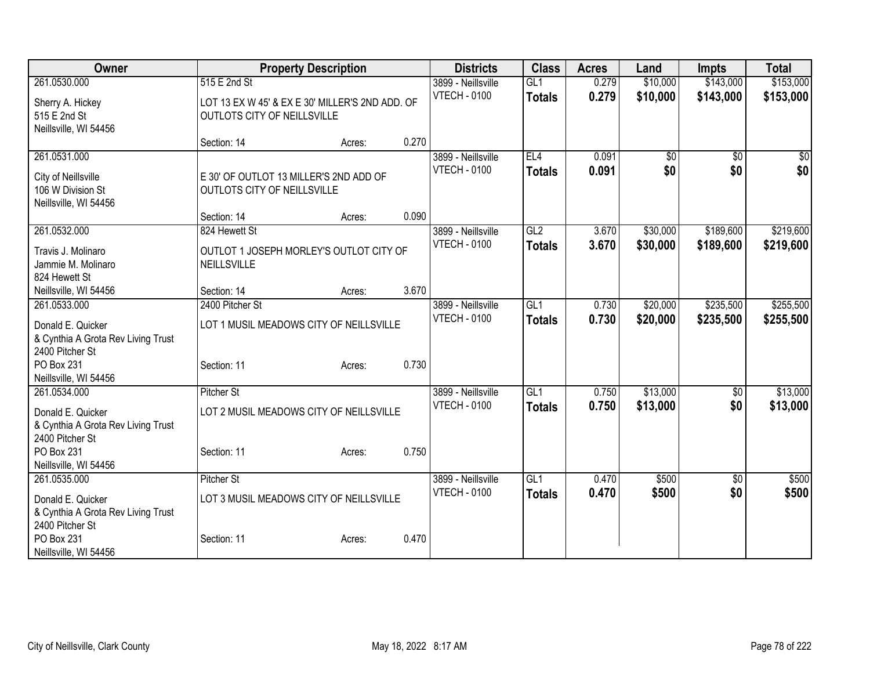| Owner                              |                                                 | <b>Property Description</b> |       | <b>Districts</b>    | <b>Class</b>    | <b>Acres</b> | Land            | <b>Impts</b>    | <b>Total</b> |
|------------------------------------|-------------------------------------------------|-----------------------------|-------|---------------------|-----------------|--------------|-----------------|-----------------|--------------|
| 261.0530.000                       | 515 E 2nd St                                    |                             |       | 3899 - Neillsville  | GL1             | 0.279        | \$10,000        | \$143,000       | \$153,000    |
| Sherry A. Hickey                   | LOT 13 EX W 45' & EX E 30' MILLER'S 2ND ADD. OF |                             |       | <b>VTECH - 0100</b> | <b>Totals</b>   | 0.279        | \$10,000        | \$143,000       | \$153,000    |
| 515 E 2nd St                       | OUTLOTS CITY OF NEILLSVILLE                     |                             |       |                     |                 |              |                 |                 |              |
| Neillsville, WI 54456              |                                                 |                             |       |                     |                 |              |                 |                 |              |
|                                    | Section: 14                                     | Acres:                      | 0.270 |                     |                 |              |                 |                 |              |
| 261.0531.000                       |                                                 |                             |       | 3899 - Neillsville  | EL4             | 0.091        | $\overline{50}$ | $\overline{50}$ | \$0          |
| City of Neillsville                | E 30' OF OUTLOT 13 MILLER'S 2ND ADD OF          |                             |       | <b>VTECH - 0100</b> | <b>Totals</b>   | 0.091        | \$0             | \$0             | \$0          |
| 106 W Division St                  | OUTLOTS CITY OF NEILLSVILLE                     |                             |       |                     |                 |              |                 |                 |              |
| Neillsville, WI 54456              |                                                 |                             |       |                     |                 |              |                 |                 |              |
|                                    | Section: 14                                     | Acres:                      | 0.090 |                     |                 |              |                 |                 |              |
| 261.0532.000                       | 824 Hewett St                                   |                             |       | 3899 - Neillsville  | GL2             | 3.670        | \$30,000        | \$189,600       | \$219,600    |
| Travis J. Molinaro                 | OUTLOT 1 JOSEPH MORLEY'S OUTLOT CITY OF         |                             |       | <b>VTECH - 0100</b> | <b>Totals</b>   | 3.670        | \$30,000        | \$189,600       | \$219,600    |
| Jammie M. Molinaro                 | NEILLSVILLE                                     |                             |       |                     |                 |              |                 |                 |              |
| 824 Hewett St                      |                                                 |                             |       |                     |                 |              |                 |                 |              |
| Neillsville, WI 54456              | Section: 14                                     | Acres:                      | 3.670 |                     |                 |              |                 |                 |              |
| 261.0533.000                       | 2400 Pitcher St                                 |                             |       | 3899 - Neillsville  | GL <sub>1</sub> | 0.730        | \$20,000        | \$235,500       | \$255,500    |
| Donald E. Quicker                  | LOT 1 MUSIL MEADOWS CITY OF NEILLSVILLE         |                             |       | <b>VTECH - 0100</b> | <b>Totals</b>   | 0.730        | \$20,000        | \$235,500       | \$255,500    |
| & Cynthia A Grota Rev Living Trust |                                                 |                             |       |                     |                 |              |                 |                 |              |
| 2400 Pitcher St                    |                                                 |                             |       |                     |                 |              |                 |                 |              |
| PO Box 231                         | Section: 11                                     | Acres:                      | 0.730 |                     |                 |              |                 |                 |              |
| Neillsville, WI 54456              |                                                 |                             |       |                     |                 |              |                 |                 |              |
| 261.0534.000                       | <b>Pitcher St</b>                               |                             |       | 3899 - Neillsville  | GL <sub>1</sub> | 0.750        | \$13,000        | $\sqrt[6]{30}$  | \$13,000     |
| Donald E. Quicker                  | LOT 2 MUSIL MEADOWS CITY OF NEILLSVILLE         |                             |       | <b>VTECH - 0100</b> | <b>Totals</b>   | 0.750        | \$13,000        | \$0             | \$13,000     |
| & Cynthia A Grota Rev Living Trust |                                                 |                             |       |                     |                 |              |                 |                 |              |
| 2400 Pitcher St                    |                                                 |                             |       |                     |                 |              |                 |                 |              |
| PO Box 231                         | Section: 11                                     | Acres:                      | 0.750 |                     |                 |              |                 |                 |              |
| Neillsville, WI 54456              |                                                 |                             |       |                     |                 |              |                 |                 |              |
| 261.0535.000                       | <b>Pitcher St</b>                               |                             |       | 3899 - Neillsville  | GL <sub>1</sub> | 0.470        | \$500           | \$0             | \$500        |
| Donald E. Quicker                  | LOT 3 MUSIL MEADOWS CITY OF NEILLSVILLE         |                             |       | <b>VTECH - 0100</b> | <b>Totals</b>   | 0.470        | \$500           | \$0             | \$500        |
| & Cynthia A Grota Rev Living Trust |                                                 |                             |       |                     |                 |              |                 |                 |              |
| 2400 Pitcher St                    |                                                 |                             |       |                     |                 |              |                 |                 |              |
| PO Box 231                         | Section: 11                                     | Acres:                      | 0.470 |                     |                 |              |                 |                 |              |
| Neillsville, WI 54456              |                                                 |                             |       |                     |                 |              |                 |                 |              |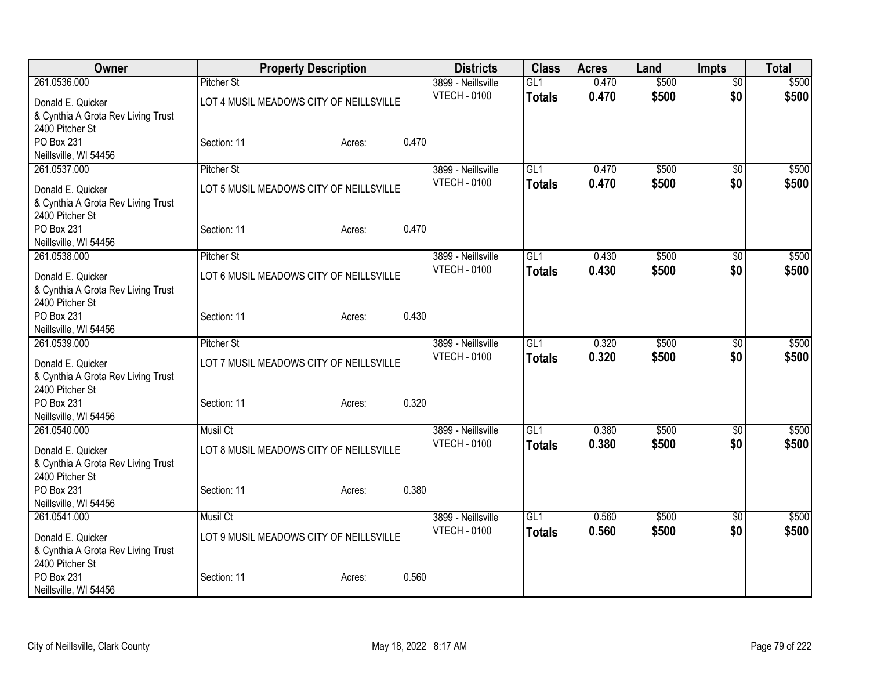| Owner                                                   | <b>Property Description</b>             |        | <b>Districts</b>                          | <b>Class</b>    | <b>Acres</b>   | Land           | <b>Impts</b>           | <b>Total</b>   |
|---------------------------------------------------------|-----------------------------------------|--------|-------------------------------------------|-----------------|----------------|----------------|------------------------|----------------|
| 261.0536.000                                            | <b>Pitcher St</b>                       |        | 3899 - Neillsville                        | GL1             | 0.470          | \$500          | $\overline{50}$        | \$500          |
| Donald E. Quicker                                       | LOT 4 MUSIL MEADOWS CITY OF NEILLSVILLE |        | <b>VTECH - 0100</b>                       | <b>Totals</b>   | 0.470          | \$500          | \$0                    | \$500          |
| & Cynthia A Grota Rev Living Trust                      |                                         |        |                                           |                 |                |                |                        |                |
| 2400 Pitcher St                                         |                                         |        |                                           |                 |                |                |                        |                |
| PO Box 231                                              | Section: 11                             | Acres: | 0.470                                     |                 |                |                |                        |                |
| Neillsville, WI 54456                                   |                                         |        |                                           |                 |                |                |                        |                |
| 261.0537.000                                            | <b>Pitcher St</b>                       |        | 3899 - Neillsville                        | GL <sub>1</sub> | 0.470          | \$500          | $\overline{50}$        | \$500          |
| Donald E. Quicker                                       | LOT 5 MUSIL MEADOWS CITY OF NEILLSVILLE |        | <b>VTECH - 0100</b>                       | <b>Totals</b>   | 0.470          | \$500          | \$0                    | \$500          |
| & Cynthia A Grota Rev Living Trust                      |                                         |        |                                           |                 |                |                |                        |                |
| 2400 Pitcher St                                         |                                         |        |                                           |                 |                |                |                        |                |
| PO Box 231                                              | Section: 11                             | Acres: | 0.470                                     |                 |                |                |                        |                |
| Neillsville, WI 54456                                   |                                         |        |                                           |                 |                |                |                        |                |
| 261.0538.000                                            | <b>Pitcher St</b>                       |        | 3899 - Neillsville<br><b>VTECH - 0100</b> | GL1             | 0.430<br>0.430 | \$500<br>\$500 | $\overline{50}$<br>\$0 | \$500<br>\$500 |
| Donald E. Quicker                                       | LOT 6 MUSIL MEADOWS CITY OF NEILLSVILLE |        |                                           | <b>Totals</b>   |                |                |                        |                |
| & Cynthia A Grota Rev Living Trust                      |                                         |        |                                           |                 |                |                |                        |                |
| 2400 Pitcher St                                         |                                         |        |                                           |                 |                |                |                        |                |
| PO Box 231                                              | Section: 11                             | Acres: | 0.430                                     |                 |                |                |                        |                |
| Neillsville, WI 54456<br>261.0539.000                   | <b>Pitcher St</b>                       |        | 3899 - Neillsville                        | GL1             | 0.320          | \$500          | \$0                    | \$500          |
|                                                         |                                         |        | <b>VTECH - 0100</b>                       | <b>Totals</b>   | 0.320          | \$500          | \$0                    | \$500          |
| Donald E. Quicker                                       | LOT 7 MUSIL MEADOWS CITY OF NEILLSVILLE |        |                                           |                 |                |                |                        |                |
| & Cynthia A Grota Rev Living Trust                      |                                         |        |                                           |                 |                |                |                        |                |
| 2400 Pitcher St<br>PO Box 231                           | Section: 11                             | Acres: | 0.320                                     |                 |                |                |                        |                |
| Neillsville, WI 54456                                   |                                         |        |                                           |                 |                |                |                        |                |
| 261.0540.000                                            | Musil Ct                                |        | 3899 - Neillsville                        | GL1             | 0.380          | \$500          | $\overline{50}$        | \$500          |
|                                                         |                                         |        | <b>VTECH - 0100</b>                       | <b>Totals</b>   | 0.380          | \$500          | \$0                    | \$500          |
| Donald E. Quicker<br>& Cynthia A Grota Rev Living Trust | LOT 8 MUSIL MEADOWS CITY OF NEILLSVILLE |        |                                           |                 |                |                |                        |                |
| 2400 Pitcher St                                         |                                         |        |                                           |                 |                |                |                        |                |
| PO Box 231                                              | Section: 11                             | Acres: | 0.380                                     |                 |                |                |                        |                |
| Neillsville, WI 54456                                   |                                         |        |                                           |                 |                |                |                        |                |
| 261.0541.000                                            | Musil Ct                                |        | 3899 - Neillsville                        | GL1             | 0.560          | \$500          | \$0                    | \$500          |
| Donald E. Quicker                                       | LOT 9 MUSIL MEADOWS CITY OF NEILLSVILLE |        | <b>VTECH - 0100</b>                       | <b>Totals</b>   | 0.560          | \$500          | \$0                    | \$500          |
| & Cynthia A Grota Rev Living Trust                      |                                         |        |                                           |                 |                |                |                        |                |
| 2400 Pitcher St                                         |                                         |        |                                           |                 |                |                |                        |                |
| PO Box 231                                              | Section: 11                             | Acres: | 0.560                                     |                 |                |                |                        |                |
| Neillsville, WI 54456                                   |                                         |        |                                           |                 |                |                |                        |                |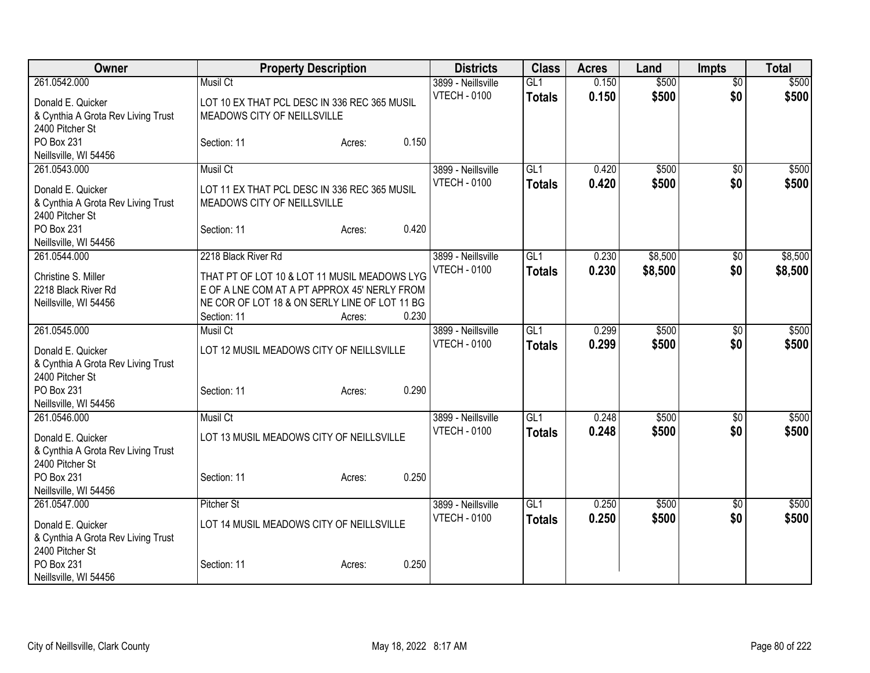| Owner                                                 |                                                              | <b>Property Description</b> |       | <b>Districts</b>                          | <b>Class</b>    | <b>Acres</b>   | Land    | <b>Impts</b>    | <b>Total</b> |
|-------------------------------------------------------|--------------------------------------------------------------|-----------------------------|-------|-------------------------------------------|-----------------|----------------|---------|-----------------|--------------|
| 261.0542.000                                          | Musil Ct                                                     |                             |       | 3899 - Neillsville                        | GL1             | 0.150          | \$500   | \$0             | \$500        |
| Donald E. Quicker                                     | LOT 10 EX THAT PCL DESC IN 336 REC 365 MUSIL                 |                             |       | <b>VTECH - 0100</b>                       | <b>Totals</b>   | 0.150          | \$500   | \$0             | \$500        |
| & Cynthia A Grota Rev Living Trust                    | MEADOWS CITY OF NEILLSVILLE                                  |                             |       |                                           |                 |                |         |                 |              |
| 2400 Pitcher St                                       |                                                              |                             |       |                                           |                 |                |         |                 |              |
| PO Box 231                                            | Section: 11                                                  | Acres:                      | 0.150 |                                           |                 |                |         |                 |              |
| Neillsville, WI 54456                                 |                                                              |                             |       |                                           |                 |                |         |                 |              |
| 261.0543.000                                          | Musil Ct                                                     |                             |       | 3899 - Neillsville<br><b>VTECH - 0100</b> | GL1             | 0.420<br>0.420 | \$500   | $\overline{50}$ | \$500        |
| Donald E. Quicker                                     | LOT 11 EX THAT PCL DESC IN 336 REC 365 MUSIL                 |                             |       |                                           | <b>Totals</b>   |                | \$500   | \$0             | \$500        |
| & Cynthia A Grota Rev Living Trust                    | MEADOWS CITY OF NEILLSVILLE                                  |                             |       |                                           |                 |                |         |                 |              |
| 2400 Pitcher St                                       |                                                              |                             |       |                                           |                 |                |         |                 |              |
| PO Box 231<br>Neillsville, WI 54456                   | Section: 11                                                  | Acres:                      | 0.420 |                                           |                 |                |         |                 |              |
| 261.0544.000                                          | 2218 Black River Rd                                          |                             |       | 3899 - Neillsville                        | GL <sub>1</sub> | 0.230          | \$8,500 | $\sqrt{6}$      | \$8,500      |
|                                                       |                                                              |                             |       | <b>VTECH - 0100</b>                       | <b>Totals</b>   | 0.230          | \$8,500 | \$0             | \$8,500      |
| Christine S. Miller                                   | THAT PT OF LOT 10 & LOT 11 MUSIL MEADOWS LYG                 |                             |       |                                           |                 |                |         |                 |              |
| 2218 Black River Rd                                   | E OF A LNE COM AT A PT APPROX 45' NERLY FROM                 |                             |       |                                           |                 |                |         |                 |              |
| Neillsville, WI 54456                                 | NE COR OF LOT 18 & ON SERLY LINE OF LOT 11 BG<br>Section: 11 | Acres:                      | 0.230 |                                           |                 |                |         |                 |              |
| 261.0545.000                                          | Musil Ct                                                     |                             |       | 3899 - Neillsville                        | GI1             | 0.299          | \$500   | $\overline{50}$ | \$500        |
|                                                       |                                                              |                             |       | <b>VTECH - 0100</b>                       | <b>Totals</b>   | 0.299          | \$500   | \$0             | \$500        |
| Donald E. Quicker                                     | LOT 12 MUSIL MEADOWS CITY OF NEILLSVILLE                     |                             |       |                                           |                 |                |         |                 |              |
| & Cynthia A Grota Rev Living Trust<br>2400 Pitcher St |                                                              |                             |       |                                           |                 |                |         |                 |              |
| PO Box 231                                            | Section: 11                                                  | Acres:                      | 0.290 |                                           |                 |                |         |                 |              |
| Neillsville, WI 54456                                 |                                                              |                             |       |                                           |                 |                |         |                 |              |
| 261.0546.000                                          | <b>Musil Ct</b>                                              |                             |       | 3899 - Neillsville                        | GL <sub>1</sub> | 0.248          | \$500   | \$0             | \$500        |
| Donald E. Quicker                                     | LOT 13 MUSIL MEADOWS CITY OF NEILLSVILLE                     |                             |       | <b>VTECH - 0100</b>                       | <b>Totals</b>   | 0.248          | \$500   | \$0             | \$500        |
| & Cynthia A Grota Rev Living Trust                    |                                                              |                             |       |                                           |                 |                |         |                 |              |
| 2400 Pitcher St                                       |                                                              |                             |       |                                           |                 |                |         |                 |              |
| PO Box 231                                            | Section: 11                                                  | Acres:                      | 0.250 |                                           |                 |                |         |                 |              |
| Neillsville, WI 54456                                 |                                                              |                             |       |                                           |                 |                |         |                 |              |
| 261.0547.000                                          | <b>Pitcher St</b>                                            |                             |       | 3899 - Neillsville                        | GL1             | 0.250          | \$500   | \$0             | \$500        |
| Donald E. Quicker                                     | LOT 14 MUSIL MEADOWS CITY OF NEILLSVILLE                     |                             |       | <b>VTECH - 0100</b>                       | <b>Totals</b>   | 0.250          | \$500   | \$0             | \$500        |
| & Cynthia A Grota Rev Living Trust                    |                                                              |                             |       |                                           |                 |                |         |                 |              |
| 2400 Pitcher St                                       |                                                              |                             |       |                                           |                 |                |         |                 |              |
| PO Box 231                                            | Section: 11                                                  | Acres:                      | 0.250 |                                           |                 |                |         |                 |              |
| Neillsville, WI 54456                                 |                                                              |                             |       |                                           |                 |                |         |                 |              |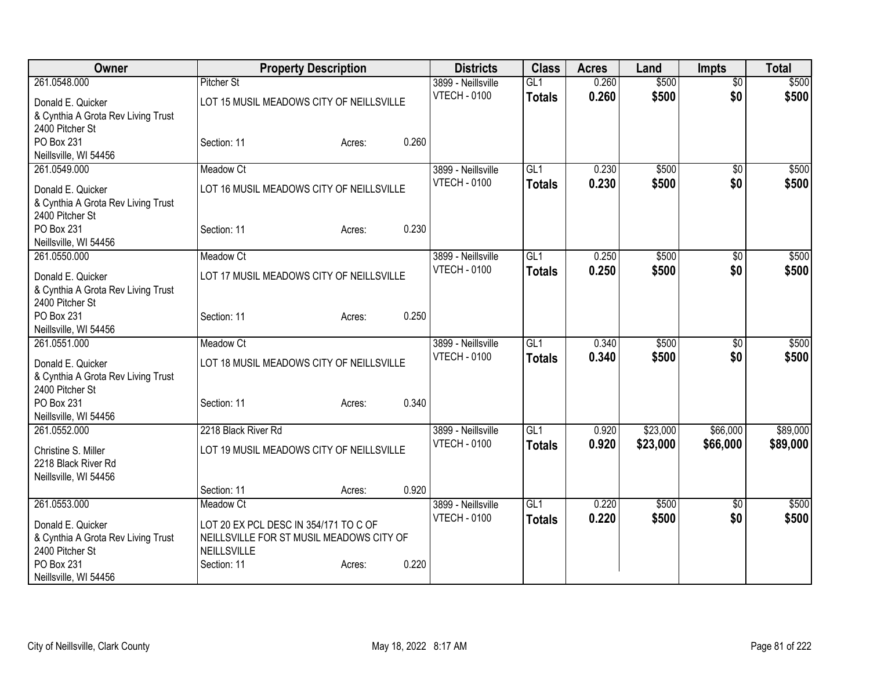| Owner                                                 | <b>Property Description</b>              | <b>Districts</b>                          | <b>Class</b>    | <b>Acres</b> | Land     | <b>Impts</b>    | <b>Total</b> |
|-------------------------------------------------------|------------------------------------------|-------------------------------------------|-----------------|--------------|----------|-----------------|--------------|
| 261.0548.000                                          | <b>Pitcher St</b>                        | 3899 - Neillsville                        | GL1             | 0.260        | \$500    | $\sqrt{$0}$     | \$500        |
| Donald E. Quicker                                     | LOT 15 MUSIL MEADOWS CITY OF NEILLSVILLE | <b>VTECH - 0100</b>                       | <b>Totals</b>   | 0.260        | \$500    | \$0             | \$500        |
| & Cynthia A Grota Rev Living Trust                    |                                          |                                           |                 |              |          |                 |              |
| 2400 Pitcher St                                       |                                          |                                           |                 |              |          |                 |              |
| PO Box 231                                            | 0.260<br>Section: 11<br>Acres:           |                                           |                 |              |          |                 |              |
| Neillsville, WI 54456                                 |                                          |                                           |                 |              |          |                 |              |
| 261.0549.000                                          | Meadow Ct                                | 3899 - Neillsville<br><b>VTECH - 0100</b> | GL1             | 0.230        | \$500    | $\overline{50}$ | \$500        |
| Donald E. Quicker                                     | LOT 16 MUSIL MEADOWS CITY OF NEILLSVILLE |                                           | <b>Totals</b>   | 0.230        | \$500    | \$0             | \$500        |
| & Cynthia A Grota Rev Living Trust                    |                                          |                                           |                 |              |          |                 |              |
| 2400 Pitcher St                                       |                                          |                                           |                 |              |          |                 |              |
| PO Box 231<br>Neillsville, WI 54456                   | 0.230<br>Section: 11<br>Acres:           |                                           |                 |              |          |                 |              |
| 261.0550.000                                          | Meadow Ct                                | 3899 - Neillsville                        | GL <sub>1</sub> | 0.250        | \$500    | \$0             | \$500        |
|                                                       |                                          | <b>VTECH - 0100</b>                       | <b>Totals</b>   | 0.250        | \$500    | \$0             | \$500        |
| Donald E. Quicker                                     | LOT 17 MUSIL MEADOWS CITY OF NEILLSVILLE |                                           |                 |              |          |                 |              |
| & Cynthia A Grota Rev Living Trust<br>2400 Pitcher St |                                          |                                           |                 |              |          |                 |              |
| PO Box 231                                            | 0.250<br>Section: 11<br>Acres:           |                                           |                 |              |          |                 |              |
| Neillsville, WI 54456                                 |                                          |                                           |                 |              |          |                 |              |
| 261.0551.000                                          | Meadow Ct                                | 3899 - Neillsville                        | GL1             | 0.340        | \$500    | $\sqrt{6}$      | \$500        |
| Donald E. Quicker                                     | LOT 18 MUSIL MEADOWS CITY OF NEILLSVILLE | <b>VTECH - 0100</b>                       | <b>Totals</b>   | 0.340        | \$500    | \$0             | \$500        |
| & Cynthia A Grota Rev Living Trust                    |                                          |                                           |                 |              |          |                 |              |
| 2400 Pitcher St                                       |                                          |                                           |                 |              |          |                 |              |
| PO Box 231                                            | 0.340<br>Section: 11<br>Acres:           |                                           |                 |              |          |                 |              |
| Neillsville, WI 54456                                 |                                          |                                           |                 |              |          |                 |              |
| 261.0552.000                                          | 2218 Black River Rd                      | 3899 - Neillsville                        | GLI             | 0.920        | \$23,000 | \$66,000        | \$89,000     |
| Christine S. Miller                                   | LOT 19 MUSIL MEADOWS CITY OF NEILLSVILLE | <b>VTECH - 0100</b>                       | <b>Totals</b>   | 0.920        | \$23,000 | \$66,000        | \$89,000     |
| 2218 Black River Rd                                   |                                          |                                           |                 |              |          |                 |              |
| Neillsville, WI 54456                                 |                                          |                                           |                 |              |          |                 |              |
|                                                       | 0.920<br>Section: 11<br>Acres:           |                                           |                 |              |          |                 |              |
| 261.0553.000                                          | Meadow Ct                                | 3899 - Neillsville                        | GL <sub>1</sub> | 0.220        | \$500    | $\sqrt{6}$      | \$500        |
| Donald E. Quicker                                     | LOT 20 EX PCL DESC IN 354/171 TO C OF    | <b>VTECH - 0100</b>                       | <b>Totals</b>   | 0.220        | \$500    | \$0             | \$500        |
| & Cynthia A Grota Rev Living Trust                    | NEILLSVILLE FOR ST MUSIL MEADOWS CITY OF |                                           |                 |              |          |                 |              |
| 2400 Pitcher St                                       | NEILLSVILLE                              |                                           |                 |              |          |                 |              |
| PO Box 231                                            | 0.220<br>Section: 11<br>Acres:           |                                           |                 |              |          |                 |              |
| Neillsville, WI 54456                                 |                                          |                                           |                 |              |          |                 |              |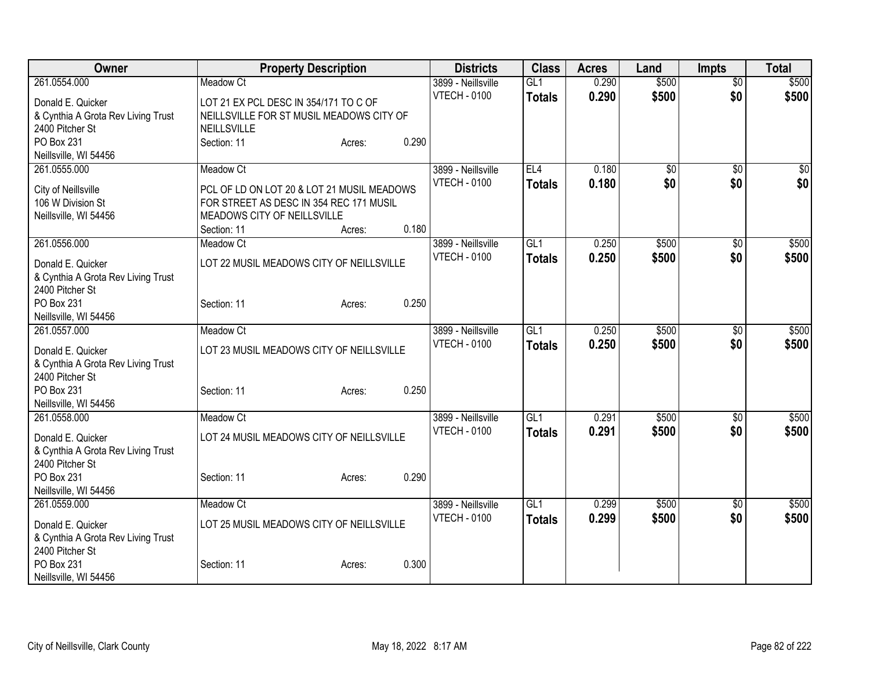| Owner                              | <b>Property Description</b>                | <b>Districts</b>                          | <b>Class</b>    | <b>Acres</b> | Land            | <b>Impts</b>    | <b>Total</b> |
|------------------------------------|--------------------------------------------|-------------------------------------------|-----------------|--------------|-----------------|-----------------|--------------|
| 261.0554.000                       | Meadow Ct                                  | 3899 - Neillsville                        | GL1             | 0.290        | \$500           | $\overline{50}$ | \$500        |
| Donald E. Quicker                  | LOT 21 EX PCL DESC IN 354/171 TO C OF      | <b>VTECH - 0100</b>                       | <b>Totals</b>   | 0.290        | \$500           | \$0             | \$500        |
| & Cynthia A Grota Rev Living Trust | NEILLSVILLE FOR ST MUSIL MEADOWS CITY OF   |                                           |                 |              |                 |                 |              |
| 2400 Pitcher St                    | NEILLSVILLE                                |                                           |                 |              |                 |                 |              |
| PO Box 231                         | 0.290<br>Section: 11<br>Acres:             |                                           |                 |              |                 |                 |              |
| Neillsville, WI 54456              |                                            |                                           |                 |              |                 |                 |              |
| 261.0555.000                       | <b>Meadow Ct</b>                           | 3899 - Neillsville                        | EL4             | 0.180        | $\overline{50}$ | $\overline{50}$ | \$0          |
| City of Neillsville                | PCL OF LD ON LOT 20 & LOT 21 MUSIL MEADOWS | <b>VTECH - 0100</b>                       | <b>Totals</b>   | 0.180        | \$0             | \$0             | \$0          |
| 106 W Division St                  | FOR STREET AS DESC IN 354 REC 171 MUSIL    |                                           |                 |              |                 |                 |              |
| Neillsville, WI 54456              | MEADOWS CITY OF NEILLSVILLE                |                                           |                 |              |                 |                 |              |
|                                    | 0.180<br>Section: 11<br>Acres:             |                                           |                 |              |                 |                 |              |
| 261.0556.000                       | Meadow Ct                                  | 3899 - Neillsville                        | GL1             | 0.250        | \$500           | $\sqrt{6}$      | \$500        |
| Donald E. Quicker                  | LOT 22 MUSIL MEADOWS CITY OF NEILLSVILLE   | <b>VTECH - 0100</b>                       | <b>Totals</b>   | 0.250        | \$500           | \$0             | \$500        |
| & Cynthia A Grota Rev Living Trust |                                            |                                           |                 |              |                 |                 |              |
| 2400 Pitcher St                    |                                            |                                           |                 |              |                 |                 |              |
| PO Box 231                         | 0.250<br>Section: 11<br>Acres:             |                                           |                 |              |                 |                 |              |
| Neillsville, WI 54456              |                                            |                                           |                 |              |                 |                 |              |
| 261.0557.000                       | Meadow Ct                                  | 3899 - Neillsville                        | GL1             | 0.250        | \$500           | \$0             | \$500        |
| Donald E. Quicker                  | LOT 23 MUSIL MEADOWS CITY OF NEILLSVILLE   | <b>VTECH - 0100</b>                       | <b>Totals</b>   | 0.250        | \$500           | \$0             | \$500        |
| & Cynthia A Grota Rev Living Trust |                                            |                                           |                 |              |                 |                 |              |
| 2400 Pitcher St                    |                                            |                                           |                 |              |                 |                 |              |
| PO Box 231                         | 0.250<br>Section: 11<br>Acres:             |                                           |                 |              |                 |                 |              |
| Neillsville, WI 54456              |                                            |                                           |                 |              |                 |                 |              |
| 261.0558.000                       | <b>Meadow Ct</b>                           | 3899 - Neillsville                        | GL <sub>1</sub> | 0.291        | \$500           | \$0             | \$500        |
| Donald E. Quicker                  | LOT 24 MUSIL MEADOWS CITY OF NEILLSVILLE   | <b>VTECH - 0100</b>                       | <b>Totals</b>   | 0.291        | \$500           | \$0             | \$500        |
| & Cynthia A Grota Rev Living Trust |                                            |                                           |                 |              |                 |                 |              |
| 2400 Pitcher St                    |                                            |                                           |                 |              |                 |                 |              |
| PO Box 231                         | 0.290<br>Section: 11<br>Acres:             |                                           |                 |              |                 |                 |              |
| Neillsville, WI 54456              |                                            |                                           |                 |              |                 |                 |              |
| 261.0559.000                       | Meadow Ct                                  | 3899 - Neillsville<br><b>VTECH - 0100</b> | GL <sub>1</sub> | 0.299        | \$500           | $\sqrt[6]{3}$   | \$500        |
| Donald E. Quicker                  | LOT 25 MUSIL MEADOWS CITY OF NEILLSVILLE   |                                           | <b>Totals</b>   | 0.299        | \$500           | \$0             | \$500        |
| & Cynthia A Grota Rev Living Trust |                                            |                                           |                 |              |                 |                 |              |
| 2400 Pitcher St                    |                                            |                                           |                 |              |                 |                 |              |
| PO Box 231                         | 0.300<br>Section: 11<br>Acres:             |                                           |                 |              |                 |                 |              |
| Neillsville, WI 54456              |                                            |                                           |                 |              |                 |                 |              |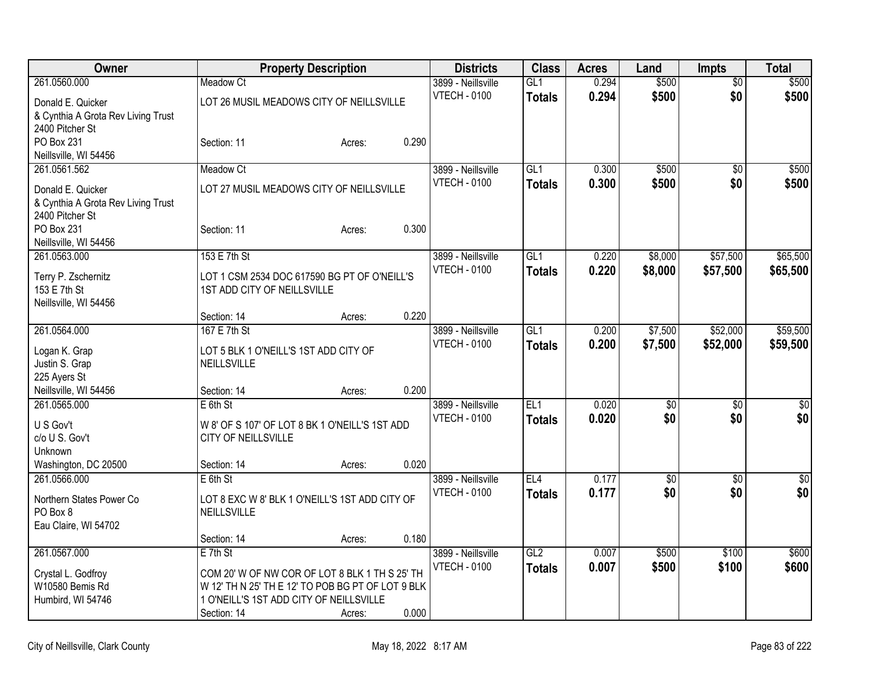| Owner                              |                                                   | <b>Property Description</b> |       | <b>Districts</b>    | <b>Class</b>    | <b>Acres</b> | Land            | <b>Impts</b>    | <b>Total</b>     |
|------------------------------------|---------------------------------------------------|-----------------------------|-------|---------------------|-----------------|--------------|-----------------|-----------------|------------------|
| 261.0560.000                       | Meadow Ct                                         |                             |       | 3899 - Neillsville  | GL1             | 0.294        | \$500           | $\overline{50}$ | \$500            |
| Donald E. Quicker                  | LOT 26 MUSIL MEADOWS CITY OF NEILLSVILLE          |                             |       | <b>VTECH - 0100</b> | <b>Totals</b>   | 0.294        | \$500           | \$0             | \$500            |
| & Cynthia A Grota Rev Living Trust |                                                   |                             |       |                     |                 |              |                 |                 |                  |
| 2400 Pitcher St                    |                                                   |                             |       |                     |                 |              |                 |                 |                  |
| PO Box 231                         | Section: 11                                       | Acres:                      | 0.290 |                     |                 |              |                 |                 |                  |
| Neillsville, WI 54456              |                                                   |                             |       |                     |                 |              |                 |                 |                  |
| 261.0561.562                       | Meadow Ct                                         |                             |       | 3899 - Neillsville  | GL1             | 0.300        | \$500           | $\overline{50}$ | \$500            |
| Donald E. Quicker                  | LOT 27 MUSIL MEADOWS CITY OF NEILLSVILLE          |                             |       | <b>VTECH - 0100</b> | <b>Totals</b>   | 0.300        | \$500           | \$0             | \$500            |
| & Cynthia A Grota Rev Living Trust |                                                   |                             |       |                     |                 |              |                 |                 |                  |
| 2400 Pitcher St                    |                                                   |                             |       |                     |                 |              |                 |                 |                  |
| PO Box 231                         | Section: 11                                       | Acres:                      | 0.300 |                     |                 |              |                 |                 |                  |
| Neillsville, WI 54456              |                                                   |                             |       |                     |                 |              |                 |                 |                  |
| 261.0563.000                       | 153 E 7th St                                      |                             |       | 3899 - Neillsville  | GL <sub>1</sub> | 0.220        | \$8,000         | \$57,500        | \$65,500         |
|                                    |                                                   |                             |       | <b>VTECH - 0100</b> | <b>Totals</b>   | 0.220        | \$8,000         | \$57,500        | \$65,500         |
| Terry P. Zschernitz                | LOT 1 CSM 2534 DOC 617590 BG PT OF O'NEILL'S      |                             |       |                     |                 |              |                 |                 |                  |
| 153 E 7th St                       | 1ST ADD CITY OF NEILLSVILLE                       |                             |       |                     |                 |              |                 |                 |                  |
| Neillsville, WI 54456              | Section: 14                                       |                             | 0.220 |                     |                 |              |                 |                 |                  |
| 261.0564.000                       | 167 E 7th St                                      | Acres:                      |       | 3899 - Neillsville  | GL1             | 0.200        | \$7,500         | \$52,000        | \$59,500         |
|                                    |                                                   |                             |       | <b>VTECH - 0100</b> |                 |              |                 |                 |                  |
| Logan K. Grap                      | LOT 5 BLK 1 O'NEILL'S 1ST ADD CITY OF             |                             |       |                     | <b>Totals</b>   | 0.200        | \$7,500         | \$52,000        | \$59,500         |
| Justin S. Grap                     | NEILLSVILLE                                       |                             |       |                     |                 |              |                 |                 |                  |
| 225 Ayers St                       |                                                   |                             |       |                     |                 |              |                 |                 |                  |
| Neillsville, WI 54456              | Section: 14                                       | Acres:                      | 0.200 |                     |                 |              |                 |                 |                  |
| 261.0565.000                       | $E$ 6th St                                        |                             |       | 3899 - Neillsville  | EL <sub>1</sub> | 0.020        | $\overline{60}$ | \$0             | $\overline{\$0}$ |
| U S Gov't                          | W 8' OF S 107' OF LOT 8 BK 1 O'NEILL'S 1ST ADD    |                             |       | <b>VTECH - 0100</b> | <b>Totals</b>   | 0.020        | \$0             | \$0             | \$0              |
| c/o U S. Gov't                     | CITY OF NEILLSVILLE                               |                             |       |                     |                 |              |                 |                 |                  |
| Unknown                            |                                                   |                             |       |                     |                 |              |                 |                 |                  |
| Washington, DC 20500               | Section: 14                                       | Acres:                      | 0.020 |                     |                 |              |                 |                 |                  |
| 261.0566.000                       | $E$ 6th St                                        |                             |       | 3899 - Neillsville  | EL <sub>4</sub> | 0.177        | $\overline{50}$ | \$0             | $\overline{50}$  |
| Northern States Power Co           | LOT 8 EXC W 8' BLK 1 O'NEILL'S 1ST ADD CITY OF    |                             |       | <b>VTECH - 0100</b> | <b>Totals</b>   | 0.177        | \$0             | \$0             | \$0              |
| PO Box 8                           | NEILLSVILLE                                       |                             |       |                     |                 |              |                 |                 |                  |
| Eau Claire, WI 54702               |                                                   |                             |       |                     |                 |              |                 |                 |                  |
|                                    | Section: 14                                       | Acres:                      | 0.180 |                     |                 |              |                 |                 |                  |
| 261.0567.000                       | $E$ 7th St                                        |                             |       | 3899 - Neillsville  | GL2             | 0.007        | \$500           | \$100           | \$600            |
|                                    |                                                   |                             |       | <b>VTECH - 0100</b> | <b>Totals</b>   | 0.007        | \$500           | \$100           | \$600            |
| Crystal L. Godfroy                 | COM 20' W OF NW COR OF LOT 8 BLK 1 TH S 25' TH    |                             |       |                     |                 |              |                 |                 |                  |
| W10580 Bemis Rd                    | W 12' TH N 25' TH E 12' TO POB BG PT OF LOT 9 BLK |                             |       |                     |                 |              |                 |                 |                  |
| Humbird, WI 54746                  | 1 O'NEILL'S 1ST ADD CITY OF NEILLSVILLE           |                             |       |                     |                 |              |                 |                 |                  |
|                                    | Section: 14                                       | Acres:                      | 0.000 |                     |                 |              |                 |                 |                  |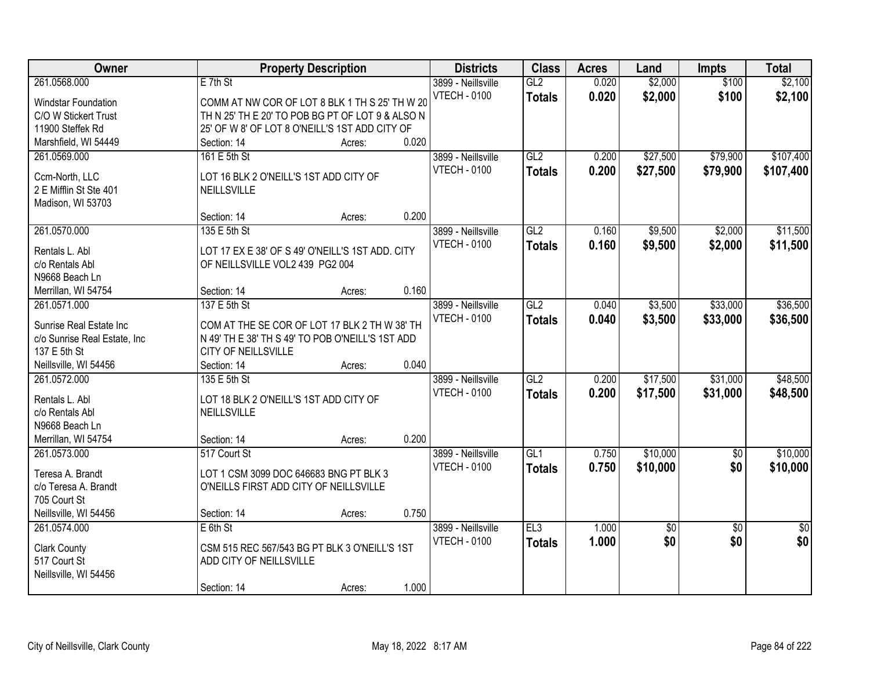| Owner                        | <b>Property Description</b>                      |        |       | <b>Districts</b>    | <b>Class</b>    | <b>Acres</b> | Land            | <b>Impts</b>    | <b>Total</b>   |
|------------------------------|--------------------------------------------------|--------|-------|---------------------|-----------------|--------------|-----------------|-----------------|----------------|
| 261.0568.000                 | $E$ 7th St                                       |        |       | 3899 - Neillsville  | GL2             | 0.020        | \$2,000         | \$100           | \$2,100        |
| Windstar Foundation          | COMM AT NW COR OF LOT 8 BLK 1 TH S 25' TH W 20   |        |       | <b>VTECH - 0100</b> | <b>Totals</b>   | 0.020        | \$2,000         | \$100           | \$2,100        |
| C/O W Stickert Trust         | TH N 25' TH E 20' TO POB BG PT OF LOT 9 & ALSO N |        |       |                     |                 |              |                 |                 |                |
| 11900 Steffek Rd             | 25' OF W 8' OF LOT 8 O'NEILL'S 1ST ADD CITY OF   |        |       |                     |                 |              |                 |                 |                |
| Marshfield, WI 54449         | Section: 14                                      | Acres: | 0.020 |                     |                 |              |                 |                 |                |
| 261.0569.000                 | 161 E 5th St                                     |        |       | 3899 - Neillsville  | GL2             | 0.200        | \$27,500        | \$79,900        | \$107,400      |
|                              |                                                  |        |       | <b>VTECH - 0100</b> | <b>Totals</b>   | 0.200        | \$27,500        | \$79,900        | \$107,400      |
| Ccm-North, LLC               | LOT 16 BLK 2 O'NEILL'S 1ST ADD CITY OF           |        |       |                     |                 |              |                 |                 |                |
| 2 E Mifflin St Ste 401       | <b>NEILLSVILLE</b>                               |        |       |                     |                 |              |                 |                 |                |
| Madison, WI 53703            | Section: 14                                      | Acres: | 0.200 |                     |                 |              |                 |                 |                |
| 261.0570.000                 | 135 E 5th St                                     |        |       | 3899 - Neillsville  | GL <sub>2</sub> | 0.160        | \$9,500         | \$2,000         | \$11,500       |
|                              |                                                  |        |       | <b>VTECH - 0100</b> |                 |              |                 |                 |                |
| Rentals L. Abl               | LOT 17 EX E 38' OF S 49' O'NEILL'S 1ST ADD. CITY |        |       |                     | <b>Totals</b>   | 0.160        | \$9,500         | \$2,000         | \$11,500       |
| c/o Rentals Abl              | OF NEILLSVILLE VOL2 439 PG2 004                  |        |       |                     |                 |              |                 |                 |                |
| N9668 Beach Ln               |                                                  |        |       |                     |                 |              |                 |                 |                |
| Merrillan, WI 54754          | Section: 14                                      | Acres: | 0.160 |                     |                 |              |                 |                 |                |
| 261.0571.000                 | 137 E 5th St                                     |        |       | 3899 - Neillsville  | GL2             | 0.040        | \$3,500         | \$33,000        | \$36,500       |
| Sunrise Real Estate Inc      | COM AT THE SE COR OF LOT 17 BLK 2 TH W 38' TH    |        |       | <b>VTECH - 0100</b> | <b>Totals</b>   | 0.040        | \$3,500         | \$33,000        | \$36,500       |
| c/o Sunrise Real Estate, Inc | N 49' TH E 38' TH S 49' TO POB O'NEILL'S 1ST ADD |        |       |                     |                 |              |                 |                 |                |
| 137 E 5th St                 | CITY OF NEILLSVILLE                              |        |       |                     |                 |              |                 |                 |                |
| Neillsville, WI 54456        | Section: 14                                      | Acres: | 0.040 |                     |                 |              |                 |                 |                |
| 261.0572.000                 | 135 E 5th St                                     |        |       | 3899 - Neillsville  | GL2             | 0.200        | \$17,500        | \$31,000        | \$48,500       |
|                              |                                                  |        |       | <b>VTECH - 0100</b> | <b>Totals</b>   | 0.200        | \$17,500        | \$31,000        | \$48,500       |
| Rentals L. Abl               | LOT 18 BLK 2 O'NEILL'S 1ST ADD CITY OF           |        |       |                     |                 |              |                 |                 |                |
| c/o Rentals Abl              | <b>NEILLSVILLE</b>                               |        |       |                     |                 |              |                 |                 |                |
| N9668 Beach Ln               |                                                  |        |       |                     |                 |              |                 |                 |                |
| Merrillan, WI 54754          | Section: 14                                      | Acres: | 0.200 |                     |                 |              |                 |                 |                |
| 261.0573.000                 | 517 Court St                                     |        |       | 3899 - Neillsville  | GL <sub>1</sub> | 0.750        | \$10,000        | $\overline{60}$ | \$10,000       |
| Teresa A. Brandt             | LOT 1 CSM 3099 DOC 646683 BNG PT BLK 3           |        |       | <b>VTECH - 0100</b> | <b>Totals</b>   | 0.750        | \$10,000        | \$0             | \$10,000       |
| c/o Teresa A. Brandt         | O'NEILLS FIRST ADD CITY OF NEILLSVILLE           |        |       |                     |                 |              |                 |                 |                |
| 705 Court St                 |                                                  |        |       |                     |                 |              |                 |                 |                |
| Neillsville, WI 54456        | Section: 14                                      | Acres: | 0.750 |                     |                 |              |                 |                 |                |
| 261.0574.000                 | $E$ 6th St                                       |        |       | 3899 - Neillsville  | EL3             | 1.000        | $\overline{50}$ | $\overline{50}$ | $\frac{1}{30}$ |
| <b>Clark County</b>          | CSM 515 REC 567/543 BG PT BLK 3 O'NEILL'S 1ST    |        |       | <b>VTECH - 0100</b> | <b>Totals</b>   | 1.000        | \$0             | \$0             | \$0            |
| 517 Court St                 | ADD CITY OF NEILLSVILLE                          |        |       |                     |                 |              |                 |                 |                |
| Neillsville, WI 54456        |                                                  |        |       |                     |                 |              |                 |                 |                |
|                              | Section: 14                                      | Acres: | 1.000 |                     |                 |              |                 |                 |                |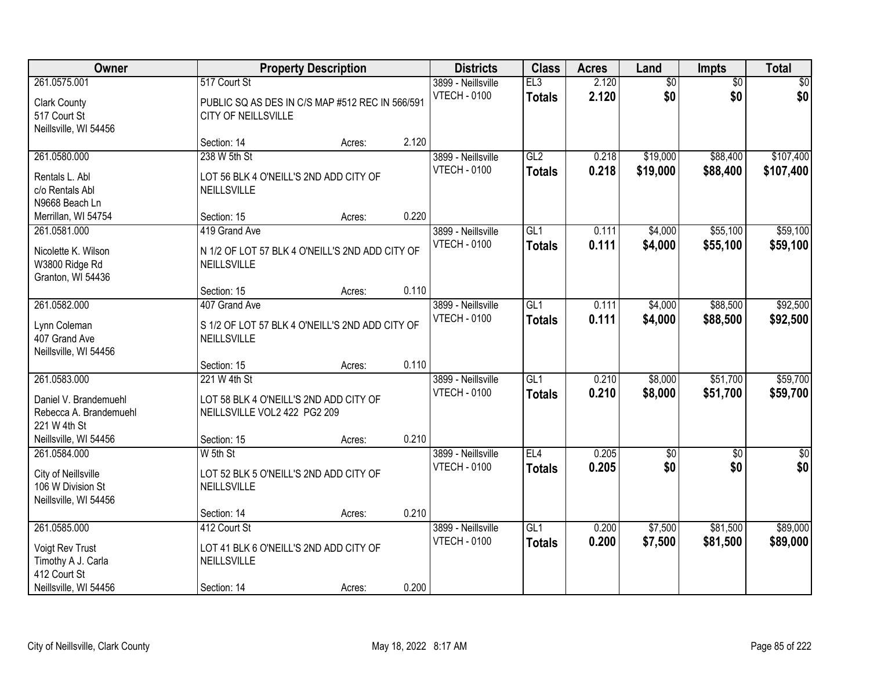| Owner                                                                             |                                                                        | <b>Property Description</b> |       | <b>Districts</b>                          | <b>Class</b>                      | <b>Acres</b>   | Land               | <b>Impts</b>           | <b>Total</b>         |
|-----------------------------------------------------------------------------------|------------------------------------------------------------------------|-----------------------------|-------|-------------------------------------------|-----------------------------------|----------------|--------------------|------------------------|----------------------|
| 261.0575.001                                                                      | 517 Court St                                                           |                             |       | 3899 - Neillsville                        | EL3                               | 2.120          | \$0                | $\overline{50}$        | \$0                  |
| <b>Clark County</b><br>517 Court St<br>Neillsville, WI 54456                      | PUBLIC SQ AS DES IN C/S MAP #512 REC IN 566/591<br>CITY OF NEILLSVILLE |                             |       | <b>VTECH - 0100</b>                       | <b>Totals</b>                     | 2.120          | \$0                | \$0                    | \$0                  |
|                                                                                   | Section: 14                                                            | Acres:                      | 2.120 |                                           |                                   |                |                    |                        |                      |
| 261.0580.000                                                                      | 238 W 5th St                                                           |                             |       | 3899 - Neillsville                        | GL2                               | 0.218          | \$19,000           | \$88,400               | \$107,400            |
| Rentals L. Abl<br>c/o Rentals Abl<br>N9668 Beach Ln                               | LOT 56 BLK 4 O'NEILL'S 2ND ADD CITY OF<br>NEILLSVILLE                  |                             |       | <b>VTECH - 0100</b>                       | <b>Totals</b>                     | 0.218          | \$19,000           | \$88,400               | \$107,400            |
| Merrillan, WI 54754                                                               | Section: 15                                                            | Acres:                      | 0.220 |                                           |                                   |                |                    |                        |                      |
| 261.0581.000                                                                      | 419 Grand Ave                                                          |                             |       | 3899 - Neillsville                        | GL1                               | 0.111          | \$4,000            | \$55,100               | \$59,100             |
| Nicolette K. Wilson<br>W3800 Ridge Rd<br>Granton, WI 54436                        | N 1/2 OF LOT 57 BLK 4 O'NEILL'S 2ND ADD CITY OF<br>NEILLSVILLE         |                             |       | <b>VTECH - 0100</b>                       | <b>Totals</b>                     | 0.111          | \$4,000            | \$55,100               | \$59,100             |
|                                                                                   | Section: 15                                                            | Acres:                      | 0.110 |                                           |                                   |                |                    |                        |                      |
| 261.0582.000                                                                      | 407 Grand Ave                                                          |                             |       | 3899 - Neillsville                        | GL1                               | 0.111          | \$4,000            | \$88,500               | \$92,500             |
| Lynn Coleman<br>407 Grand Ave<br>Neillsville, WI 54456                            | S 1/2 OF LOT 57 BLK 4 O'NEILL'S 2ND ADD CITY OF<br>NEILLSVILLE         |                             |       | <b>VTECH - 0100</b>                       | <b>Totals</b>                     | 0.111          | \$4,000            | \$88,500               | \$92,500             |
|                                                                                   | Section: 15                                                            | Acres:                      | 0.110 |                                           |                                   |                |                    |                        |                      |
| 261.0583.000                                                                      | 221 W 4th St                                                           |                             |       | 3899 - Neillsville<br><b>VTECH - 0100</b> | $\overline{GL1}$<br><b>Totals</b> | 0.210<br>0.210 | \$8,000<br>\$8,000 | \$51,700<br>\$51,700   | \$59,700<br>\$59,700 |
| Daniel V. Brandemuehl<br>Rebecca A. Brandemuehl<br>221 W 4th St                   | LOT 58 BLK 4 O'NEILL'S 2ND ADD CITY OF<br>NEILLSVILLE VOL2 422 PG2 209 |                             |       |                                           |                                   |                |                    |                        |                      |
| Neillsville, WI 54456                                                             | Section: 15                                                            | Acres:                      | 0.210 |                                           |                                   |                |                    |                        |                      |
| 261.0584.000<br>City of Neillsville<br>106 W Division St<br>Neillsville, WI 54456 | W 5th St<br>LOT 52 BLK 5 O'NEILL'S 2ND ADD CITY OF<br>NEILLSVILLE      |                             |       | 3899 - Neillsville<br><b>VTECH - 0100</b> | EL4<br><b>Totals</b>              | 0.205<br>0.205 | $\sqrt{30}$<br>\$0 | $\overline{60}$<br>\$0 | $\sqrt{50}$<br>\$0   |
|                                                                                   | Section: 14                                                            | Acres:                      | 0.210 |                                           |                                   |                |                    |                        |                      |
| 261.0585.000                                                                      | 412 Court St                                                           |                             |       | 3899 - Neillsville                        | GL1                               | 0.200          | \$7,500            | \$81,500               | \$89,000             |
| Voigt Rev Trust<br>Timothy A J. Carla<br>412 Court St                             | LOT 41 BLK 6 O'NEILL'S 2ND ADD CITY OF<br>NEILLSVILLE                  |                             |       | <b>VTECH - 0100</b>                       | <b>Totals</b>                     | 0.200          | \$7,500            | \$81,500               | \$89,000             |
| Neillsville, WI 54456                                                             | Section: 14                                                            | Acres:                      | 0.200 |                                           |                                   |                |                    |                        |                      |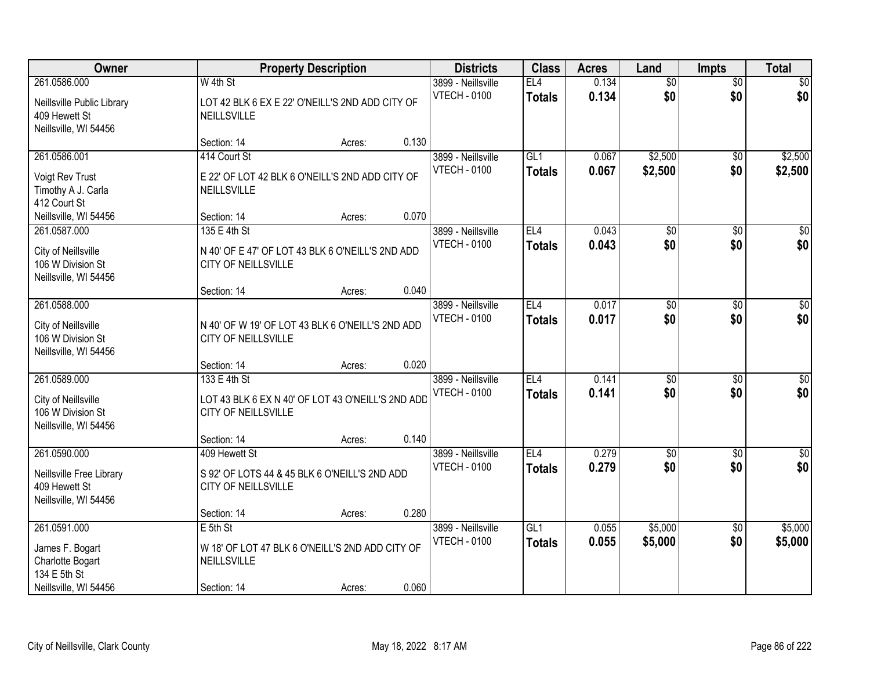| Owner                                                                                        |                                                                                                         | <b>Property Description</b> |       | <b>Districts</b>                          | <b>Class</b>                     | <b>Acres</b>   | Land                   | <b>Impts</b>           | <b>Total</b>            |
|----------------------------------------------------------------------------------------------|---------------------------------------------------------------------------------------------------------|-----------------------------|-------|-------------------------------------------|----------------------------------|----------------|------------------------|------------------------|-------------------------|
| 261.0586.000<br>Neillsville Public Library<br>409 Hewett St<br>Neillsville, WI 54456         | W 4th St<br>LOT 42 BLK 6 EX E 22' O'NEILL'S 2ND ADD CITY OF<br><b>NEILLSVILLE</b>                       |                             |       | 3899 - Neillsville<br><b>VTECH - 0100</b> | EL4<br><b>Totals</b>             | 0.134<br>0.134 | $\overline{60}$<br>\$0 | $\overline{50}$<br>\$0 | \$0<br>\$0              |
|                                                                                              | Section: 14                                                                                             | Acres:                      | 0.130 |                                           |                                  |                |                        |                        |                         |
| 261.0586.001<br>Voigt Rev Trust<br>Timothy A J. Carla<br>412 Court St                        | 414 Court St<br>E 22' OF LOT 42 BLK 6 O'NEILL'S 2ND ADD CITY OF<br><b>NEILLSVILLE</b>                   |                             |       | 3899 - Neillsville<br><b>VTECH - 0100</b> | GL1<br><b>Totals</b>             | 0.067<br>0.067 | \$2,500<br>\$2,500     | \$0<br>\$0             | \$2,500<br>\$2,500      |
| Neillsville, WI 54456                                                                        | Section: 14                                                                                             | Acres:                      | 0.070 |                                           |                                  |                |                        |                        |                         |
| 261.0587.000<br>City of Neillsville<br>106 W Division St<br>Neillsville, WI 54456            | 135 E 4th St<br>N 40' OF E 47' OF LOT 43 BLK 6 O'NEILL'S 2ND ADD<br>CITY OF NEILLSVILLE                 |                             |       | 3899 - Neillsville<br><b>VTECH - 0100</b> | EL <sub>4</sub><br><b>Totals</b> | 0.043<br>0.043 | $\overline{50}$<br>\$0 | \$0<br>\$0             | $\overline{\$0}$<br>\$0 |
|                                                                                              | Section: 14                                                                                             | Acres:                      | 0.040 |                                           |                                  |                |                        |                        |                         |
| 261.0588.000<br>City of Neillsville<br>106 W Division St<br>Neillsville, WI 54456            | N 40' OF W 19' OF LOT 43 BLK 6 O'NEILL'S 2ND ADD<br>CITY OF NEILLSVILLE                                 |                             |       | 3899 - Neillsville<br><b>VTECH - 0100</b> | EL4<br><b>Totals</b>             | 0.017<br>0.017 | \$0<br>\$0             | \$0<br>\$0             | $\sqrt{50}$<br>\$0      |
|                                                                                              | Section: 14                                                                                             | Acres:                      | 0.020 |                                           |                                  |                |                        |                        |                         |
| 261.0589.000<br>City of Neillsville<br>106 W Division St<br>Neillsville, WI 54456            | 133 E 4th St<br>LOT 43 BLK 6 EX N 40' OF LOT 43 O'NEILL'S 2ND ADD<br>CITY OF NEILLSVILLE<br>Section: 14 | Acres:                      | 0.140 | 3899 - Neillsville<br><b>VTECH - 0100</b> | EL4<br><b>Totals</b>             | 0.141<br>0.141 | $\overline{50}$<br>\$0 | $\overline{50}$<br>\$0 | $\overline{50}$<br>\$0  |
| 261.0590.000                                                                                 | 409 Hewett St                                                                                           |                             |       | 3899 - Neillsville                        | EL <sub>4</sub>                  | 0.279          | $\overline{60}$        | \$0                    | \$0                     |
| Neillsville Free Library<br>409 Hewett St<br>Neillsville, WI 54456                           | S 92' OF LOTS 44 & 45 BLK 6 O'NEILL'S 2ND ADD<br>CITY OF NEILLSVILLE                                    |                             |       | <b>VTECH - 0100</b>                       | <b>Totals</b>                    | 0.279          | \$0                    | \$0                    | \$0                     |
|                                                                                              | Section: 14                                                                                             | Acres:                      | 0.280 |                                           |                                  |                |                        |                        |                         |
| 261.0591.000<br>James F. Bogart<br>Charlotte Bogart<br>134 E 5th St<br>Neillsville, WI 54456 | $E$ 5th St<br>W 18' OF LOT 47 BLK 6 O'NEILL'S 2ND ADD CITY OF<br>NEILLSVILLE<br>Section: 14             | Acres:                      | 0.060 | 3899 - Neillsville<br><b>VTECH - 0100</b> | GL1<br><b>Totals</b>             | 0.055<br>0.055 | \$5,000<br>\$5,000     | $\overline{50}$<br>\$0 | \$5,000<br>\$5,000      |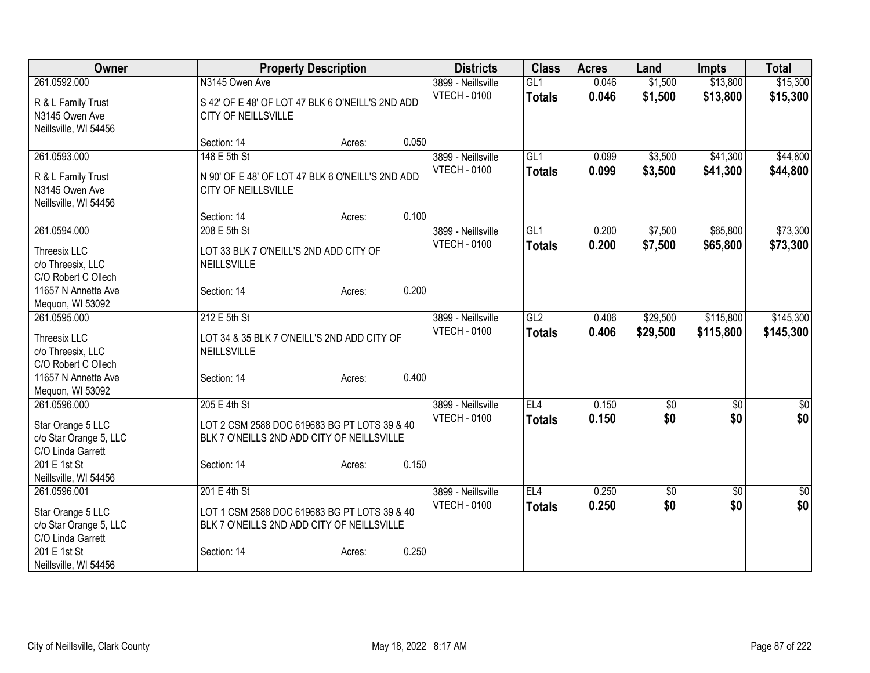| Owner                                                                           |                                                              | <b>Property Description</b>                                                                |       | <b>Districts</b>    | <b>Class</b>  | <b>Acres</b> | Land     | <b>Impts</b>  | <b>Total</b>     |
|---------------------------------------------------------------------------------|--------------------------------------------------------------|--------------------------------------------------------------------------------------------|-------|---------------------|---------------|--------------|----------|---------------|------------------|
| 261.0592.000                                                                    | N3145 Owen Ave                                               |                                                                                            |       | 3899 - Neillsville  | GL1           | 0.046        | \$1,500  | \$13,800      | \$15,300         |
| R & L Family Trust<br>N3145 Owen Ave<br>Neillsville, WI 54456                   | <b>CITY OF NEILLSVILLE</b>                                   | S 42' OF E 48' OF LOT 47 BLK 6 O'NEILL'S 2ND ADD                                           |       | <b>VTECH - 0100</b> | <b>Totals</b> | 0.046        | \$1,500  | \$13,800      | \$15,300         |
|                                                                                 | Section: 14                                                  | Acres:                                                                                     | 0.050 |                     |               |              |          |               |                  |
| 261.0593.000                                                                    | 148 E 5th St                                                 |                                                                                            |       | 3899 - Neillsville  | GL1           | 0.099        | \$3,500  | \$41,300      | \$44,800         |
| R & L Family Trust<br>N3145 Owen Ave<br>Neillsville, WI 54456                   | CITY OF NEILLSVILLE                                          | N 90' OF E 48' OF LOT 47 BLK 6 O'NEILL'S 2ND ADD                                           |       | <b>VTECH - 0100</b> | <b>Totals</b> | 0.099        | \$3,500  | \$41,300      | \$44,800         |
|                                                                                 | Section: 14                                                  | Acres:                                                                                     | 0.100 |                     |               |              |          |               |                  |
| 261.0594.000                                                                    | 208 E 5th St                                                 |                                                                                            |       | 3899 - Neillsville  | GL1           | 0.200        | \$7,500  | \$65,800      | \$73,300         |
| Threesix LLC<br>c/o Threesix, LLC<br>C/O Robert C Ollech                        | LOT 33 BLK 7 O'NEILL'S 2ND ADD CITY OF<br><b>NEILLSVILLE</b> |                                                                                            |       | <b>VTECH - 0100</b> | <b>Totals</b> | 0.200        | \$7,500  | \$65,800      | \$73,300         |
| 11657 N Annette Ave<br>Mequon, WI 53092                                         | Section: 14                                                  | Acres:                                                                                     | 0.200 |                     |               |              |          |               |                  |
| 261.0595.000                                                                    | 212 E 5th St                                                 |                                                                                            |       | 3899 - Neillsville  | GL2           | 0.406        | \$29,500 | \$115,800     | \$145,300        |
| Threesix LLC<br>c/o Threesix, LLC<br>C/O Robert C Ollech<br>11657 N Annette Ave | <b>NEILLSVILLE</b><br>Section: 14                            | LOT 34 & 35 BLK 7 O'NEILL'S 2ND ADD CITY OF<br>Acres:                                      | 0.400 | <b>VTECH - 0100</b> | <b>Totals</b> | 0.406        | \$29,500 | \$115,800     | \$145,300        |
| Mequon, WI 53092                                                                |                                                              |                                                                                            |       |                     |               |              |          |               |                  |
| 261.0596.000                                                                    | 205 E 4th St                                                 |                                                                                            |       | 3899 - Neillsville  | EL4           | 0.150        | \$0      | $\sqrt[6]{3}$ | $\sqrt{50}$      |
| Star Orange 5 LLC<br>c/o Star Orange 5, LLC<br>C/O Linda Garrett                |                                                              | LOT 2 CSM 2588 DOC 619683 BG PT LOTS 39 & 40<br>BLK 7 O'NEILLS 2ND ADD CITY OF NEILLSVILLE |       | <b>VTECH - 0100</b> | <b>Totals</b> | 0.150        | \$0      | \$0           | \$0              |
| 201 E 1st St<br>Neillsville, WI 54456                                           | Section: 14                                                  | Acres:                                                                                     | 0.150 |                     |               |              |          |               |                  |
| 261.0596.001                                                                    | 201 E 4th St                                                 |                                                                                            |       | 3899 - Neillsville  | EL4           | 0.250        | \$0      | \$0           | $\overline{\$0}$ |
| Star Orange 5 LLC<br>c/o Star Orange 5, LLC<br>C/O Linda Garrett                |                                                              | LOT 1 CSM 2588 DOC 619683 BG PT LOTS 39 & 40<br>BLK 7 O'NEILLS 2ND ADD CITY OF NEILLSVILLE |       | <b>VTECH - 0100</b> | <b>Totals</b> | 0.250        | \$0      | \$0           | \$0              |
| 201 E 1st St<br>Neillsville, WI 54456                                           | Section: 14                                                  | Acres:                                                                                     | 0.250 |                     |               |              |          |               |                  |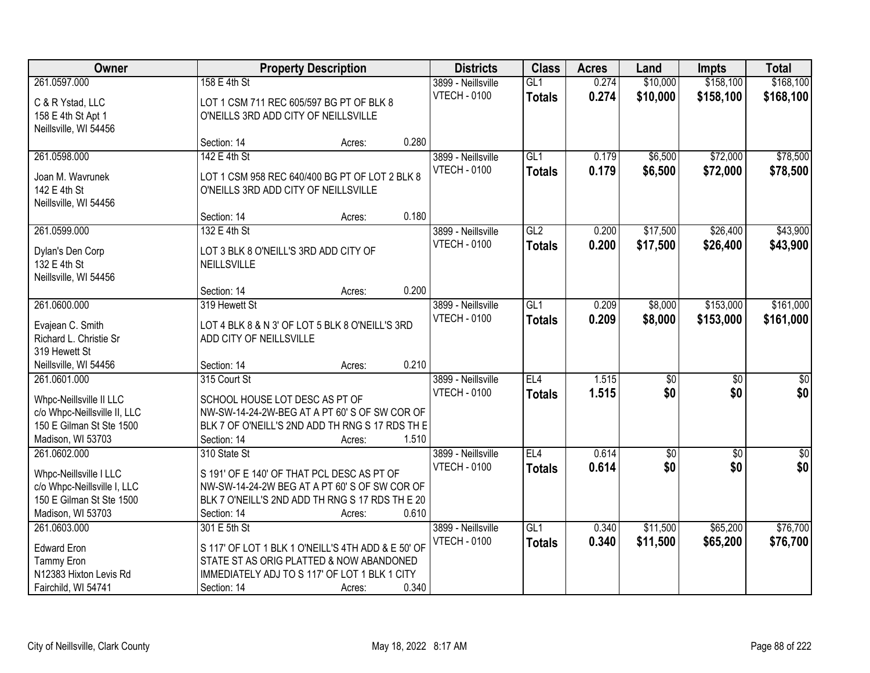| Owner                                                    |                                       | <b>Property Description</b>                                                                      |       | <b>Districts</b>    | <b>Class</b>    | <b>Acres</b> | Land            | <b>Impts</b>    | <b>Total</b>     |
|----------------------------------------------------------|---------------------------------------|--------------------------------------------------------------------------------------------------|-------|---------------------|-----------------|--------------|-----------------|-----------------|------------------|
| 261.0597.000                                             | 158 E 4th St                          |                                                                                                  |       | 3899 - Neillsville  | GL1             | 0.274        | \$10,000        | \$158,100       | \$168,100        |
| C & R Ystad, LLC                                         |                                       | LOT 1 CSM 711 REC 605/597 BG PT OF BLK 8                                                         |       | <b>VTECH - 0100</b> | <b>Totals</b>   | 0.274        | \$10,000        | \$158,100       | \$168,100        |
| 158 E 4th St Apt 1                                       | O'NEILLS 3RD ADD CITY OF NEILLSVILLE  |                                                                                                  |       |                     |                 |              |                 |                 |                  |
| Neillsville, WI 54456                                    |                                       |                                                                                                  |       |                     |                 |              |                 |                 |                  |
|                                                          | Section: 14                           | Acres:                                                                                           | 0.280 |                     |                 |              |                 |                 |                  |
| 261.0598.000                                             | 142 E 4th St                          |                                                                                                  |       | 3899 - Neillsville  | GL1             | 0.179        | \$6,500         | \$72,000        | \$78,500         |
| Joan M. Wavrunek                                         |                                       | LOT 1 CSM 958 REC 640/400 BG PT OF LOT 2 BLK 8                                                   |       | <b>VTECH - 0100</b> | <b>Totals</b>   | 0.179        | \$6,500         | \$72,000        | \$78,500         |
| 142 E 4th St                                             | O'NEILLS 3RD ADD CITY OF NEILLSVILLE  |                                                                                                  |       |                     |                 |              |                 |                 |                  |
| Neillsville, WI 54456                                    |                                       |                                                                                                  |       |                     |                 |              |                 |                 |                  |
|                                                          | Section: 14                           | Acres:                                                                                           | 0.180 |                     |                 |              |                 |                 |                  |
| 261.0599.000                                             | 132 E 4th St                          |                                                                                                  |       | 3899 - Neillsville  | GL2             | 0.200        | \$17,500        | \$26,400        | \$43,900         |
| Dylan's Den Corp                                         | LOT 3 BLK 8 O'NEILL'S 3RD ADD CITY OF |                                                                                                  |       | <b>VTECH - 0100</b> | <b>Totals</b>   | 0.200        | \$17,500        | \$26,400        | \$43,900         |
| 132 E 4th St                                             | NEILLSVILLE                           |                                                                                                  |       |                     |                 |              |                 |                 |                  |
| Neillsville, WI 54456                                    |                                       |                                                                                                  |       |                     |                 |              |                 |                 |                  |
|                                                          | Section: 14                           | Acres:                                                                                           | 0.200 |                     |                 |              |                 |                 |                  |
| 261.0600.000                                             | 319 Hewett St                         |                                                                                                  |       | 3899 - Neillsville  | GL1             | 0.209        | \$8,000         | \$153,000       | \$161,000        |
|                                                          |                                       |                                                                                                  |       | <b>VTECH - 0100</b> | <b>Totals</b>   | 0.209        | \$8,000         | \$153,000       | \$161,000        |
| Evajean C. Smith<br>Richard L. Christie Sr               | ADD CITY OF NEILLSVILLE               | LOT 4 BLK 8 & N 3' OF LOT 5 BLK 8 O'NEILL'S 3RD                                                  |       |                     |                 |              |                 |                 |                  |
| 319 Hewett St                                            |                                       |                                                                                                  |       |                     |                 |              |                 |                 |                  |
| Neillsville, WI 54456                                    | Section: 14                           | Acres:                                                                                           | 0.210 |                     |                 |              |                 |                 |                  |
| 261.0601.000                                             | 315 Court St                          |                                                                                                  |       | 3899 - Neillsville  | EL4             | 1.515        | $\overline{30}$ | $\overline{30}$ | $\overline{\$0}$ |
|                                                          |                                       |                                                                                                  |       | <b>VTECH - 0100</b> | Totals          | 1.515        | \$0             | \$0             | \$0              |
| Whpc-Neillsville II LLC                                  | SCHOOL HOUSE LOT DESC AS PT OF        |                                                                                                  |       |                     |                 |              |                 |                 |                  |
| c/o Whpc-Neillsville II, LLC<br>150 E Gilman St Ste 1500 |                                       | NW-SW-14-24-2W-BEG AT A PT 60' S OF SW COR OF<br>BLK 7 OF O'NEILL'S 2ND ADD TH RNG S 17 RDS TH E |       |                     |                 |              |                 |                 |                  |
| Madison, WI 53703                                        | Section: 14                           | Acres:                                                                                           | 1.510 |                     |                 |              |                 |                 |                  |
| 261.0602.000                                             | 310 State St                          |                                                                                                  |       | 3899 - Neillsville  | EL <sub>4</sub> | 0.614        | $\sqrt{$0}$     | $\sqrt{6}$      | \$0              |
|                                                          |                                       |                                                                                                  |       | <b>VTECH - 0100</b> | <b>Totals</b>   | 0.614        | \$0             | \$0             | \$0              |
| Whpc-Neillsville I LLC                                   |                                       | S 191' OF E 140' OF THAT PCL DESC AS PT OF                                                       |       |                     |                 |              |                 |                 |                  |
| c/o Whpc-Neillsville I, LLC                              |                                       | NW-SW-14-24-2W BEG AT A PT 60'S OF SW COR OF                                                     |       |                     |                 |              |                 |                 |                  |
| 150 E Gilman St Ste 1500<br>Madison, WI 53703            | Section: 14                           | BLK 7 O'NEILL'S 2ND ADD TH RNG S 17 RDS TH E 20                                                  | 0.610 |                     |                 |              |                 |                 |                  |
| 261.0603.000                                             | 301 E 5th St                          | Acres:                                                                                           |       | 3899 - Neillsville  | GL1             | 0.340        | \$11,500        | \$65,200        | \$76,700         |
|                                                          |                                       |                                                                                                  |       | <b>VTECH - 0100</b> | <b>Totals</b>   | 0.340        | \$11,500        | \$65,200        | \$76,700         |
| <b>Edward Eron</b>                                       |                                       | S 117' OF LOT 1 BLK 1 O'NEILL'S 4TH ADD & E 50' OF                                               |       |                     |                 |              |                 |                 |                  |
| <b>Tammy Eron</b>                                        |                                       | STATE ST AS ORIG PLATTED & NOW ABANDONED                                                         |       |                     |                 |              |                 |                 |                  |
| N12383 Hixton Levis Rd                                   |                                       | IMMEDIATELY ADJ TO S 117' OF LOT 1 BLK 1 CITY                                                    |       |                     |                 |              |                 |                 |                  |
| Fairchild, WI 54741                                      | Section: 14                           | Acres:                                                                                           | 0.340 |                     |                 |              |                 |                 |                  |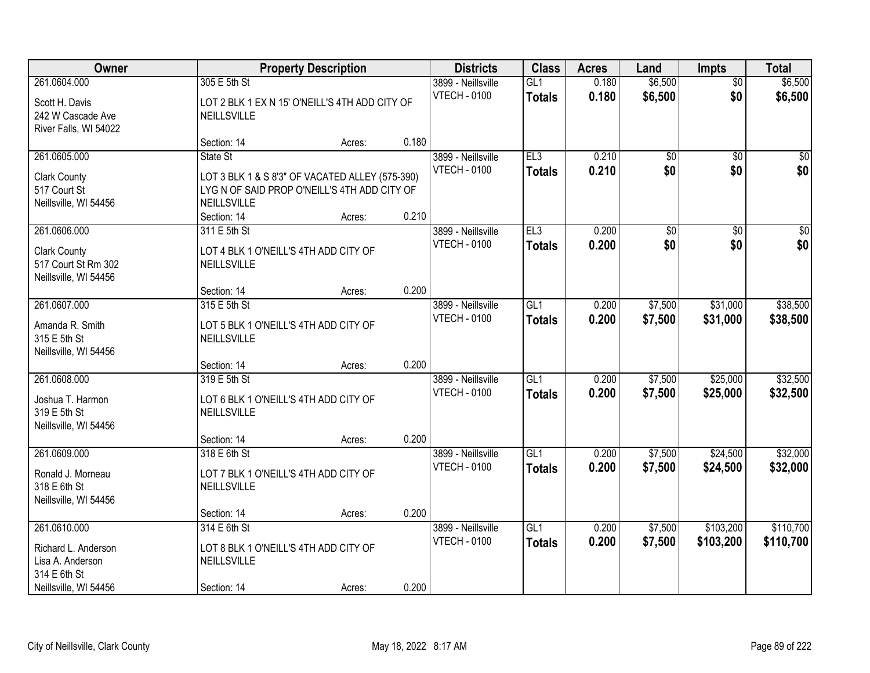| Owner                                                                                            | <b>Property Description</b>                                                                                                      | <b>Districts</b> | <b>Class</b> | <b>Acres</b>                              | Land                             | <b>Impts</b>   | <b>Total</b>           |                        |                         |
|--------------------------------------------------------------------------------------------------|----------------------------------------------------------------------------------------------------------------------------------|------------------|--------------|-------------------------------------------|----------------------------------|----------------|------------------------|------------------------|-------------------------|
| 261.0604.000<br>Scott H. Davis<br>242 W Cascade Ave<br>River Falls, WI 54022                     | 305 E 5th St<br>LOT 2 BLK 1 EX N 15' O'NEILL'S 4TH ADD CITY OF<br><b>NEILLSVILLE</b>                                             |                  |              | 3899 - Neillsville<br><b>VTECH - 0100</b> | GL1<br><b>Totals</b>             | 0.180<br>0.180 | \$6,500<br>\$6,500     | $\overline{50}$<br>\$0 | \$6,500<br>\$6,500      |
|                                                                                                  | Section: 14                                                                                                                      | Acres:           | 0.180        |                                           |                                  |                |                        |                        |                         |
| 261.0605.000<br><b>Clark County</b><br>517 Court St<br>Neillsville, WI 54456                     | State St<br>LOT 3 BLK 1 & S 8'3" OF VACATED ALLEY (575-390)<br>LYGN OF SAID PROP O'NEILL'S 4TH ADD CITY OF<br><b>NEILLSVILLE</b> |                  |              | 3899 - Neillsville<br><b>VTECH - 0100</b> | EL3<br><b>Totals</b>             | 0.210<br>0.210 | $\overline{50}$<br>\$0 | $\overline{50}$<br>\$0 | $\overline{\$0}$<br>\$0 |
| 261.0606.000                                                                                     | Section: 14<br>311 E 5th St                                                                                                      | Acres:           | 0.210        | 3899 - Neillsville                        | EL3                              | 0.200          | $\overline{60}$        | \$0                    | $\overline{\$0}$        |
| <b>Clark County</b><br>517 Court St Rm 302<br>Neillsville, WI 54456                              | LOT 4 BLK 1 O'NEILL'S 4TH ADD CITY OF<br>NEILLSVILLE                                                                             |                  |              | <b>VTECH - 0100</b>                       | <b>Totals</b>                    | 0.200          | \$0                    | \$0                    | \$0                     |
|                                                                                                  | Section: 14                                                                                                                      | Acres:           | 0.200        |                                           |                                  |                |                        |                        |                         |
| 261.0607.000<br>Amanda R. Smith<br>315 E 5th St<br>Neillsville, WI 54456                         | 315 E 5th St<br>LOT 5 BLK 1 O'NEILL'S 4TH ADD CITY OF<br>NEILLSVILLE                                                             |                  |              | 3899 - Neillsville<br><b>VTECH - 0100</b> | GL1<br><b>Totals</b>             | 0.200<br>0.200 | \$7,500<br>\$7,500     | \$31,000<br>\$31,000   | \$38,500<br>\$38,500    |
|                                                                                                  | Section: 14                                                                                                                      | Acres:           | 0.200        |                                           |                                  |                |                        |                        |                         |
| 261.0608.000<br>Joshua T. Harmon<br>319 E 5th St<br>Neillsville, WI 54456                        | 319 E 5th St<br>LOT 6 BLK 1 O'NEILL'S 4TH ADD CITY OF<br>NEILLSVILLE<br>Section: 14                                              | Acres:           | 0.200        | 3899 - Neillsville<br><b>VTECH - 0100</b> | GLI<br><b>Totals</b>             | 0.200<br>0.200 | \$7,500<br>\$7,500     | \$25,000<br>\$25,000   | \$32,500<br>\$32,500    |
| 261.0609.000<br>Ronald J. Morneau<br>318 E 6th St<br>Neillsville, WI 54456                       | 318 E 6th St<br>LOT 7 BLK 1 O'NEILL'S 4TH ADD CITY OF<br><b>NEILLSVILLE</b>                                                      |                  |              | 3899 - Neillsville<br><b>VTECH - 0100</b> | GL <sub>1</sub><br><b>Totals</b> | 0.200<br>0.200 | \$7,500<br>\$7,500     | \$24,500<br>\$24,500   | \$32,000<br>\$32,000    |
|                                                                                                  | Section: 14                                                                                                                      | Acres:           | 0.200        |                                           |                                  |                |                        |                        |                         |
| 261.0610.000<br>Richard L. Anderson<br>Lisa A. Anderson<br>314 E 6th St<br>Neillsville, WI 54456 | 314 E 6th St<br>LOT 8 BLK 1 O'NEILL'S 4TH ADD CITY OF<br>NEILLSVILLE<br>Section: 14                                              | Acres:           | 0.200        | 3899 - Neillsville<br><b>VTECH - 0100</b> | GL1<br><b>Totals</b>             | 0.200<br>0.200 | \$7,500<br>\$7,500     | \$103,200<br>\$103,200 | \$110,700<br>\$110,700  |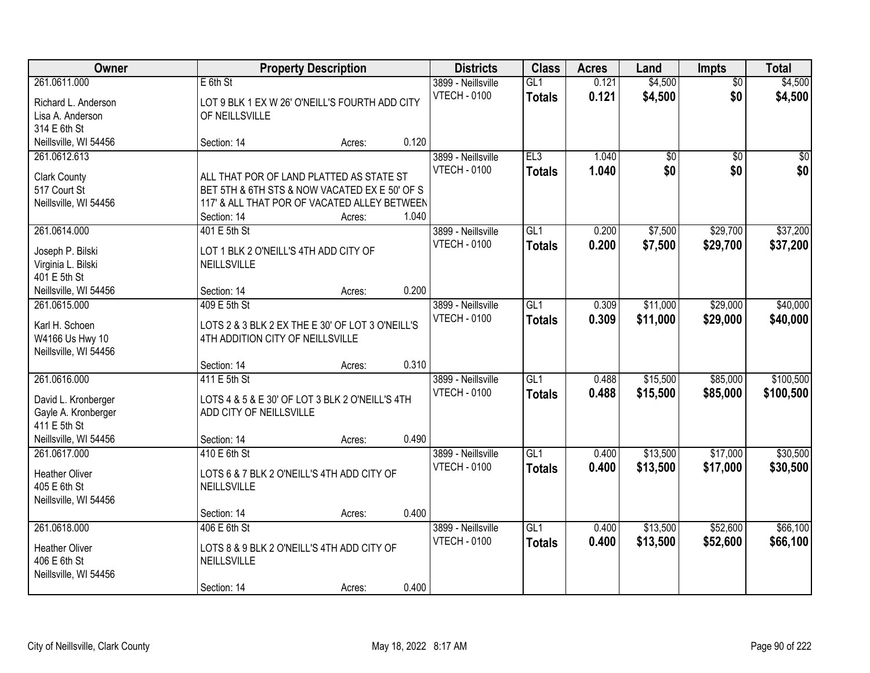| Owner                                                                                               |                                                                                                                                                          | <b>Property Description</b> |       | <b>Districts</b>                          | <b>Class</b>                      | <b>Acres</b>   | Land                 | Impts                  | <b>Total</b>           |
|-----------------------------------------------------------------------------------------------------|----------------------------------------------------------------------------------------------------------------------------------------------------------|-----------------------------|-------|-------------------------------------------|-----------------------------------|----------------|----------------------|------------------------|------------------------|
| 261.0611.000<br>Richard L. Anderson<br>Lisa A. Anderson<br>314 E 6th St                             | $E$ 6th St<br>LOT 9 BLK 1 EX W 26' O'NEILL'S FOURTH ADD CITY<br>OF NEILLSVILLE                                                                           |                             |       | 3899 - Neillsville<br><b>VTECH - 0100</b> | GL1<br><b>Totals</b>              | 0.121<br>0.121 | \$4,500<br>\$4,500   | $\overline{50}$<br>\$0 | \$4,500<br>\$4,500     |
| Neillsville, WI 54456                                                                               | Section: 14                                                                                                                                              | Acres:                      | 0.120 |                                           |                                   |                |                      |                        |                        |
| 261.0612.613<br><b>Clark County</b><br>517 Court St<br>Neillsville, WI 54456                        | ALL THAT POR OF LAND PLATTED AS STATE ST<br>BET 5TH & 6TH STS & NOW VACATED EX E 50' OF S<br>117' & ALL THAT POR OF VACATED ALLEY BETWEEN<br>Section: 14 | Acres:                      | 1.040 | 3899 - Neillsville<br><b>VTECH - 0100</b> | EL3<br><b>Totals</b>              | 1.040<br>1.040 | \$0<br>\$0           | $\overline{50}$<br>\$0 | $\overline{50}$<br>\$0 |
| 261.0614.000<br>Joseph P. Bilski<br>Virginia L. Bilski<br>401 E 5th St<br>Neillsville, WI 54456     | 401 E 5th St<br>LOT 1 BLK 2 O'NEILL'S 4TH ADD CITY OF<br>NEILLSVILLE<br>Section: 14                                                                      | Acres:                      | 0.200 | 3899 - Neillsville<br><b>VTECH - 0100</b> | GL1<br><b>Totals</b>              | 0.200<br>0.200 | \$7,500<br>\$7,500   | \$29,700<br>\$29,700   | \$37,200<br>\$37,200   |
| 261.0615.000<br>Karl H. Schoen<br>W4166 Us Hwy 10<br>Neillsville, WI 54456                          | 409 E 5th St<br>LOTS 2 & 3 BLK 2 EX THE E 30' OF LOT 3 O'NEILL'S<br>4TH ADDITION CITY OF NEILLSVILLE<br>Section: 14                                      | Acres:                      | 0.310 | 3899 - Neillsville<br><b>VTECH - 0100</b> | $\overline{GL1}$<br><b>Totals</b> | 0.309<br>0.309 | \$11,000<br>\$11,000 | \$29,000<br>\$29,000   | \$40,000<br>\$40,000   |
| 261.0616.000<br>David L. Kronberger<br>Gayle A. Kronberger<br>411 E 5th St<br>Neillsville, WI 54456 | 411 E 5th St<br>LOTS 4 & 5 & E 30' OF LOT 3 BLK 2 O'NEILL'S 4TH<br>ADD CITY OF NEILLSVILLE<br>Section: 14                                                | Acres:                      | 0.490 | 3899 - Neillsville<br><b>VTECH - 0100</b> | $\overline{GL1}$<br><b>Totals</b> | 0.488<br>0.488 | \$15,500<br>\$15,500 | \$85,000<br>\$85,000   | \$100,500<br>\$100,500 |
| 261.0617.000<br><b>Heather Oliver</b><br>405 E 6th St<br>Neillsville, WI 54456                      | 410 E 6th St<br>LOTS 6 & 7 BLK 2 O'NEILL'S 4TH ADD CITY OF<br>NEILLSVILLE<br>Section: 14                                                                 | Acres:                      | 0.400 | 3899 - Neillsville<br><b>VTECH - 0100</b> | GL1<br><b>Totals</b>              | 0.400<br>0.400 | \$13,500<br>\$13,500 | \$17,000<br>\$17,000   | \$30,500<br>\$30,500   |
| 261.0618.000<br><b>Heather Oliver</b><br>406 E 6th St<br>Neillsville, WI 54456                      | 406 E 6th St<br>LOTS 8 & 9 BLK 2 O'NEILL'S 4TH ADD CITY OF<br>NEILLSVILLE<br>Section: 14                                                                 | Acres:                      | 0.400 | 3899 - Neillsville<br><b>VTECH - 0100</b> | GL1<br><b>Totals</b>              | 0.400<br>0.400 | \$13,500<br>\$13,500 | \$52,600<br>\$52,600   | \$66,100<br>\$66,100   |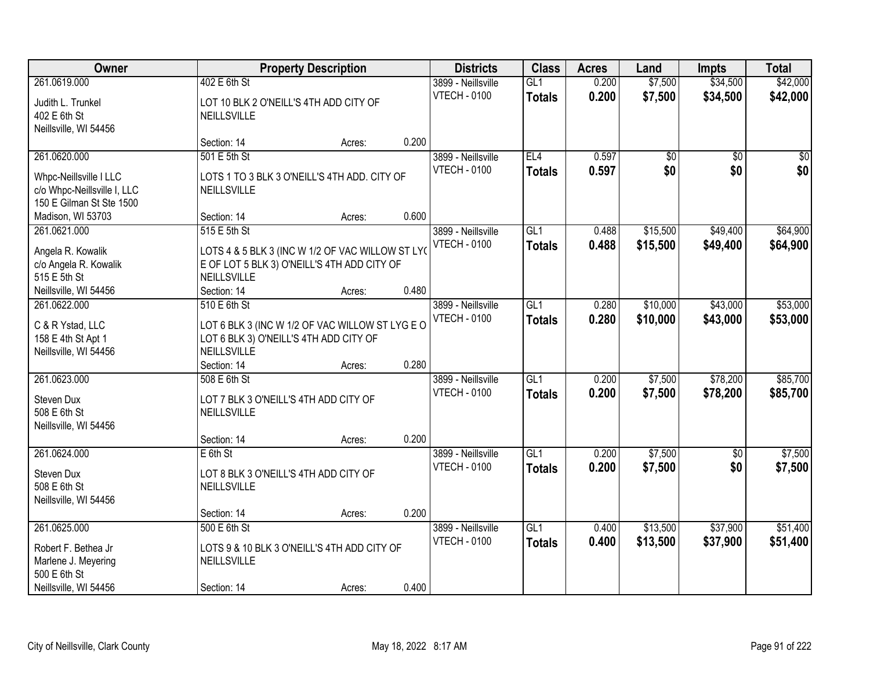| Owner                                                                                               |                                                                                                                                | <b>Property Description</b> |       | <b>Districts</b>                          | <b>Class</b>         | <b>Acres</b>   | Land                 | <b>Impts</b>         | <b>Total</b>         |
|-----------------------------------------------------------------------------------------------------|--------------------------------------------------------------------------------------------------------------------------------|-----------------------------|-------|-------------------------------------------|----------------------|----------------|----------------------|----------------------|----------------------|
| 261.0619.000<br>Judith L. Trunkel<br>402 E 6th St                                                   | 402 E 6th St<br>LOT 10 BLK 2 O'NEILL'S 4TH ADD CITY OF<br>NEILLSVILLE                                                          |                             |       | 3899 - Neillsville<br><b>VTECH - 0100</b> | GL1<br><b>Totals</b> | 0.200<br>0.200 | \$7,500<br>\$7,500   | \$34,500<br>\$34,500 | \$42,000<br>\$42,000 |
| Neillsville, WI 54456                                                                               | Section: 14                                                                                                                    | Acres:                      | 0.200 |                                           |                      |                |                      |                      |                      |
| 261.0620.000                                                                                        | 501 E 5th St                                                                                                                   |                             |       | 3899 - Neillsville                        | EL4                  | 0.597          | \$0                  | $\overline{50}$      | $\frac{1}{20}$       |
| Whpc-Neillsville I LLC<br>c/o Whpc-Neillsville I, LLC<br>150 E Gilman St Ste 1500                   | LOTS 1 TO 3 BLK 3 O'NEILL'S 4TH ADD. CITY OF<br>NEILLSVILLE                                                                    |                             |       | <b>VTECH - 0100</b>                       | <b>Totals</b>        | 0.597          | \$0                  | \$0                  | \$0                  |
| Madison, WI 53703                                                                                   | Section: 14                                                                                                                    | Acres:                      | 0.600 |                                           |                      |                |                      |                      |                      |
| 261.0621.000<br>Angela R. Kowalik<br>c/o Angela R. Kowalik<br>515 E 5th St                          | 515 E 5th St<br>LOTS 4 & 5 BLK 3 (INC W 1/2 OF VAC WILLOW ST LYO<br>E OF LOT 5 BLK 3) O'NEILL'S 4TH ADD CITY OF<br>NEILLSVILLE |                             |       | 3899 - Neillsville<br><b>VTECH - 0100</b> | GL1<br><b>Totals</b> | 0.488<br>0.488 | \$15,500<br>\$15,500 | \$49,400<br>\$49,400 | \$64,900<br>\$64,900 |
| Neillsville, WI 54456                                                                               | Section: 14                                                                                                                    | Acres:                      | 0.480 |                                           |                      |                |                      |                      |                      |
| 261.0622.000<br>C & R Ystad, LLC<br>158 E 4th St Apt 1<br>Neillsville, WI 54456                     | 510 E 6th St<br>LOT 6 BLK 3 (INC W 1/2 OF VAC WILLOW ST LYG E O<br>LOT 6 BLK 3) O'NEILL'S 4TH ADD CITY OF<br>NEILLSVILLE       |                             |       | 3899 - Neillsville<br><b>VTECH - 0100</b> | GL1<br><b>Totals</b> | 0.280<br>0.280 | \$10,000<br>\$10,000 | \$43,000<br>\$43,000 | \$53,000<br>\$53,000 |
|                                                                                                     | Section: 14                                                                                                                    | Acres:                      | 0.280 |                                           |                      |                |                      |                      |                      |
| 261.0623.000<br>Steven Dux<br>508 E 6th St<br>Neillsville, WI 54456                                 | 508 E 6th St<br>LOT 7 BLK 3 O'NEILL'S 4TH ADD CITY OF<br>NEILLSVILLE                                                           |                             |       | 3899 - Neillsville<br><b>VTECH - 0100</b> | GL1<br><b>Totals</b> | 0.200<br>0.200 | \$7,500<br>\$7,500   | \$78,200<br>\$78,200 | \$85,700<br>\$85,700 |
|                                                                                                     | Section: 14                                                                                                                    | Acres:                      | 0.200 |                                           |                      |                |                      |                      |                      |
| 261.0624.000<br>Steven Dux<br>508 E 6th St<br>Neillsville, WI 54456                                 | $E$ 6th St<br>LOT 8 BLK 3 O'NEILL'S 4TH ADD CITY OF<br><b>NEILLSVILLE</b>                                                      |                             |       | 3899 - Neillsville<br><b>VTECH - 0100</b> | GL1<br><b>Totals</b> | 0.200<br>0.200 | \$7,500<br>\$7,500   | $\sqrt{$0}$<br>\$0   | \$7,500<br>\$7,500   |
|                                                                                                     | Section: 14                                                                                                                    | Acres:                      | 0.200 |                                           |                      |                |                      |                      |                      |
| 261.0625.000<br>Robert F. Bethea Jr<br>Marlene J. Meyering<br>500 E 6th St<br>Neillsville, WI 54456 | 500 E 6th St<br>LOTS 9 & 10 BLK 3 O'NEILL'S 4TH ADD CITY OF<br>NEILLSVILLE<br>Section: 14                                      | Acres:                      | 0.400 | 3899 - Neillsville<br><b>VTECH - 0100</b> | GL1<br><b>Totals</b> | 0.400<br>0.400 | \$13,500<br>\$13,500 | \$37,900<br>\$37,900 | \$51,400<br>\$51,400 |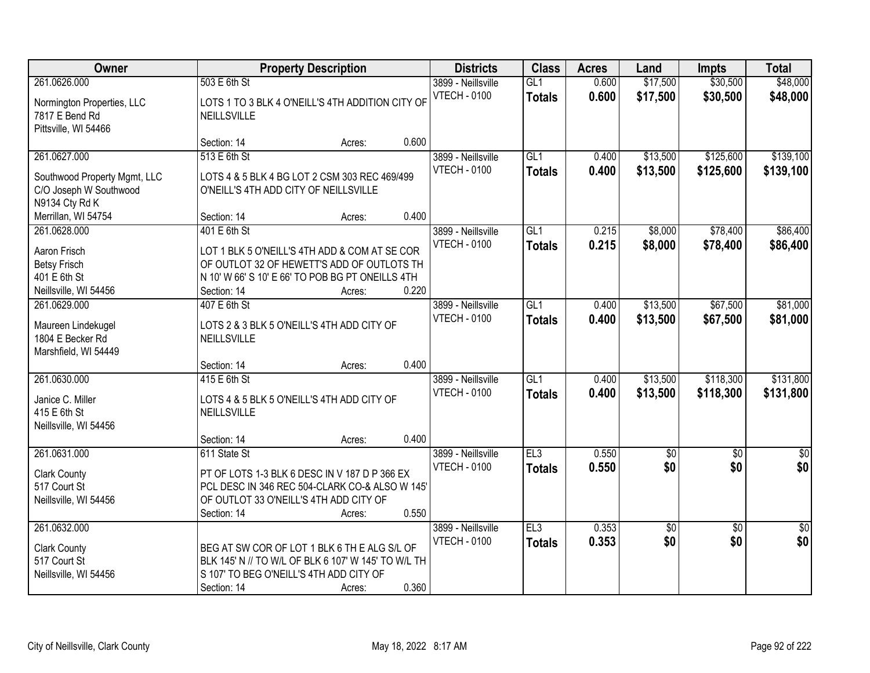| Owner                                                                                        |                                                                       | <b>Property Description</b>                                                                                                                               |                | <b>Districts</b>                          | <b>Class</b>                      | <b>Acres</b>   | Land                 | <b>Impts</b>           | <b>Total</b>           |
|----------------------------------------------------------------------------------------------|-----------------------------------------------------------------------|-----------------------------------------------------------------------------------------------------------------------------------------------------------|----------------|-------------------------------------------|-----------------------------------|----------------|----------------------|------------------------|------------------------|
| 261.0626.000<br>Normington Properties, LLC<br>7817 E Bend Rd<br>Pittsville, WI 54466         | 503 E 6th St<br>NEILLSVILLE                                           | LOTS 1 TO 3 BLK 4 O'NEILL'S 4TH ADDITION CITY OF                                                                                                          |                | 3899 - Neillsville<br><b>VTECH - 0100</b> | GL1<br><b>Totals</b>              | 0.600<br>0.600 | \$17,500<br>\$17,500 | \$30,500<br>\$30,500   | \$48,000<br>\$48,000   |
|                                                                                              | Section: 14                                                           | Acres:                                                                                                                                                    | 0.600          |                                           |                                   |                |                      |                        |                        |
| 261.0627.000<br>Southwood Property Mgmt, LLC<br>C/O Joseph W Southwood<br>N9134 Cty Rd K     | 513 E 6th St<br>O'NEILL'S 4TH ADD CITY OF NEILLSVILLE                 | LOTS 4 & 5 BLK 4 BG LOT 2 CSM 303 REC 469/499                                                                                                             |                | 3899 - Neillsville<br><b>VTECH - 0100</b> | GL1<br><b>Totals</b>              | 0.400<br>0.400 | \$13,500<br>\$13,500 | \$125,600<br>\$125,600 | \$139,100<br>\$139,100 |
| Merrillan, WI 54754                                                                          | Section: 14                                                           | Acres:                                                                                                                                                    | 0.400          |                                           |                                   |                |                      |                        |                        |
| 261.0628.000<br>Aaron Frisch<br><b>Betsy Frisch</b><br>401 E 6th St<br>Neillsville, WI 54456 | 401 E 6th St<br>Section: 14                                           | LOT 1 BLK 5 O'NEILL'S 4TH ADD & COM AT SE COR<br>OF OUTLOT 32 OF HEWETT'S ADD OF OUTLOTS TH<br>N 10' W 66' S 10' E 66' TO POB BG PT ONEILLS 4TH<br>Acres: | 0.220          | 3899 - Neillsville<br><b>VTECH - 0100</b> | GL1<br><b>Totals</b>              | 0.215<br>0.215 | \$8,000<br>\$8,000   | \$78,400<br>\$78,400   | \$86,400<br>\$86,400   |
| 261.0629.000<br>Maureen Lindekugel<br>1804 E Becker Rd<br>Marshfield, WI 54449               | 407 E 6th St<br>NEILLSVILLE                                           | LOTS 2 & 3 BLK 5 O'NEILL'S 4TH ADD CITY OF                                                                                                                |                | 3899 - Neillsville<br><b>VTECH - 0100</b> | GL1<br><b>Totals</b>              | 0.400<br>0.400 | \$13,500<br>\$13,500 | \$67,500<br>\$67,500   | \$81,000<br>\$81,000   |
| 261.0630.000<br>Janice C. Miller<br>415 E 6th St<br>Neillsville, WI 54456                    | Section: 14<br>415 E 6th St<br>NEILLSVILLE<br>Section: 14             | Acres:<br>LOTS 4 & 5 BLK 5 O'NEILL'S 4TH ADD CITY OF<br>Acres:                                                                                            | 0.400<br>0.400 | 3899 - Neillsville<br><b>VTECH - 0100</b> | $\overline{GL1}$<br><b>Totals</b> | 0.400<br>0.400 | \$13,500<br>\$13,500 | \$118,300<br>\$118,300 | \$131,800<br>\$131,800 |
| 261.0631.000<br><b>Clark County</b><br>517 Court St<br>Neillsville, WI 54456                 | 611 State St<br>OF OUTLOT 33 O'NEILL'S 4TH ADD CITY OF<br>Section: 14 | PT OF LOTS 1-3 BLK 6 DESC IN V 187 D P 366 EX<br>PCL DESC IN 346 REC 504-CLARK CO-& ALSO W 145'<br>Acres:                                                 | 0.550          | 3899 - Neillsville<br><b>VTECH - 0100</b> | EL3<br><b>Totals</b>              | 0.550<br>0.550 | $\sqrt{30}$<br>\$0   | $\overline{50}$<br>\$0 | $\frac{6}{3}$<br>\$0   |
| 261.0632.000<br><b>Clark County</b><br>517 Court St<br>Neillsville, WI 54456                 | S 107' TO BEG O'NEILL'S 4TH ADD CITY OF<br>Section: 14                | BEG AT SW COR OF LOT 1 BLK 6 TH E ALG S/L OF<br>BLK 145' N // TO W/L OF BLK 6 107' W 145' TO W/L TH<br>Acres:                                             | 0.360          | 3899 - Neillsville<br><b>VTECH - 0100</b> | EL3<br><b>Totals</b>              | 0.353<br>0.353 | \$0<br>\$0           | $\overline{30}$<br>\$0 | $\overline{50}$<br>\$0 |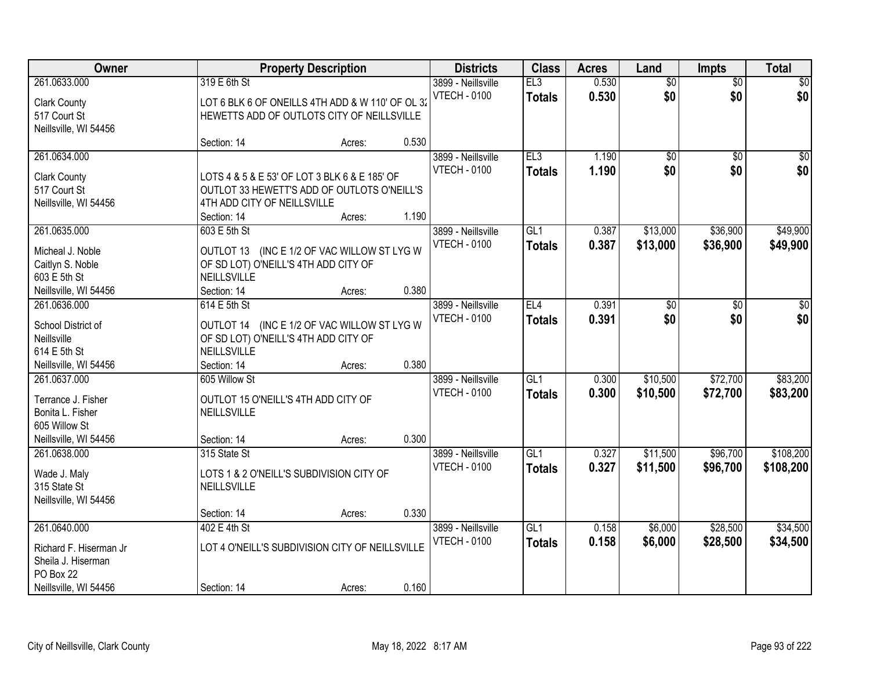| Owner                                 |                                      | <b>Property Description</b>                      |       | <b>Districts</b>    | <b>Class</b>    | <b>Acres</b> | Land            | <b>Impts</b>    | <b>Total</b> |
|---------------------------------------|--------------------------------------|--------------------------------------------------|-------|---------------------|-----------------|--------------|-----------------|-----------------|--------------|
| 261.0633.000                          | 319 E 6th St                         |                                                  |       | 3899 - Neillsville  | EL3             | 0.530        | $\overline{50}$ | $\overline{50}$ | $\sqrt{50}$  |
| <b>Clark County</b>                   |                                      | LOT 6 BLK 6 OF ONEILLS 4TH ADD & W 110' OF OL 32 |       | <b>VTECH - 0100</b> | <b>Totals</b>   | 0.530        | \$0             | \$0             | \$0          |
| 517 Court St                          |                                      | HEWETTS ADD OF OUTLOTS CITY OF NEILLSVILLE       |       |                     |                 |              |                 |                 |              |
| Neillsville, WI 54456                 |                                      |                                                  |       |                     |                 |              |                 |                 |              |
|                                       | Section: 14                          | Acres:                                           | 0.530 |                     |                 |              |                 |                 |              |
| 261.0634.000                          |                                      |                                                  |       | 3899 - Neillsville  | EL3             | 1.190        | $\overline{50}$ | $\overline{50}$ | $\sqrt{50}$  |
| <b>Clark County</b>                   |                                      | LOTS 4 & 5 & E 53' OF LOT 3 BLK 6 & E 185' OF    |       | <b>VTECH - 0100</b> | Totals          | 1.190        | \$0             | \$0             | \$0          |
| 517 Court St                          |                                      | OUTLOT 33 HEWETT'S ADD OF OUTLOTS O'NEILL'S      |       |                     |                 |              |                 |                 |              |
| Neillsville, WI 54456                 | 4TH ADD CITY OF NEILLSVILLE          |                                                  |       |                     |                 |              |                 |                 |              |
|                                       | Section: 14                          | Acres:                                           | 1.190 |                     |                 |              |                 |                 |              |
| 261.0635.000                          | 603 E 5th St                         |                                                  |       | 3899 - Neillsville  | GL <sub>1</sub> | 0.387        | \$13,000        | \$36,900        | \$49,900     |
| Micheal J. Noble                      |                                      | OUTLOT 13 (INC E 1/2 OF VAC WILLOW ST LYG W      |       | <b>VTECH - 0100</b> | <b>Totals</b>   | 0.387        | \$13,000        | \$36,900        | \$49,900     |
| Caitlyn S. Noble                      | OF SD LOT) O'NEILL'S 4TH ADD CITY OF |                                                  |       |                     |                 |              |                 |                 |              |
| 603 E 5th St                          | <b>NEILLSVILLE</b>                   |                                                  |       |                     |                 |              |                 |                 |              |
| Neillsville, WI 54456                 | Section: 14                          | Acres:                                           | 0.380 |                     |                 |              |                 |                 |              |
| 261.0636.000                          | 614 E 5th St                         |                                                  |       | 3899 - Neillsville  | EL4             | 0.391        | \$0             | \$0             | \$0          |
|                                       |                                      |                                                  |       | <b>VTECH - 0100</b> | <b>Totals</b>   | 0.391        | \$0             | \$0             | \$0          |
| School District of<br>Neillsville     | OF SD LOT) O'NEILL'S 4TH ADD CITY OF | OUTLOT 14 (INC E 1/2 OF VAC WILLOW ST LYG W      |       |                     |                 |              |                 |                 |              |
| 614 E 5th St                          | NEILLSVILLE                          |                                                  |       |                     |                 |              |                 |                 |              |
| Neillsville, WI 54456                 | Section: 14                          | Acres:                                           | 0.380 |                     |                 |              |                 |                 |              |
| 261.0637.000                          | 605 Willow St                        |                                                  |       | 3899 - Neillsville  | GL1             | 0.300        | \$10,500        | \$72,700        | \$83,200     |
|                                       |                                      |                                                  |       | <b>VTECH - 0100</b> | <b>Totals</b>   | 0.300        | \$10,500        | \$72,700        | \$83,200     |
| Terrance J. Fisher                    | OUTLOT 15 O'NEILL'S 4TH ADD CITY OF  |                                                  |       |                     |                 |              |                 |                 |              |
| Bonita L. Fisher<br>605 Willow St     | <b>NEILLSVILLE</b>                   |                                                  |       |                     |                 |              |                 |                 |              |
| Neillsville, WI 54456                 | Section: 14                          | Acres:                                           | 0.300 |                     |                 |              |                 |                 |              |
| 261.0638.000                          | 315 State St                         |                                                  |       | 3899 - Neillsville  | GL1             | 0.327        | \$11,500        | \$96,700        | \$108,200    |
|                                       |                                      |                                                  |       | <b>VTECH - 0100</b> | <b>Totals</b>   | 0.327        | \$11,500        | \$96,700        | \$108,200    |
| Wade J. Maly                          |                                      | LOTS 1 & 2 O'NEILL'S SUBDIVISION CITY OF         |       |                     |                 |              |                 |                 |              |
| 315 State St<br>Neillsville, WI 54456 | NEILLSVILLE                          |                                                  |       |                     |                 |              |                 |                 |              |
|                                       | Section: 14                          | Acres:                                           | 0.330 |                     |                 |              |                 |                 |              |
| 261.0640.000                          | 402 E 4th St                         |                                                  |       | 3899 - Neillsville  | GL1             | 0.158        | \$6,000         | \$28,500        | \$34,500     |
|                                       |                                      |                                                  |       | <b>VTECH - 0100</b> | <b>Totals</b>   | 0.158        | \$6,000         | \$28,500        | \$34,500     |
| Richard F. Hiserman Jr                |                                      | LOT 4 O'NEILL'S SUBDIVISION CITY OF NEILLSVILLE  |       |                     |                 |              |                 |                 |              |
| Sheila J. Hiserman                    |                                      |                                                  |       |                     |                 |              |                 |                 |              |
| PO Box 22<br>Neillsville, WI 54456    | Section: 14                          |                                                  | 0.160 |                     |                 |              |                 |                 |              |
|                                       |                                      | Acres:                                           |       |                     |                 |              |                 |                 |              |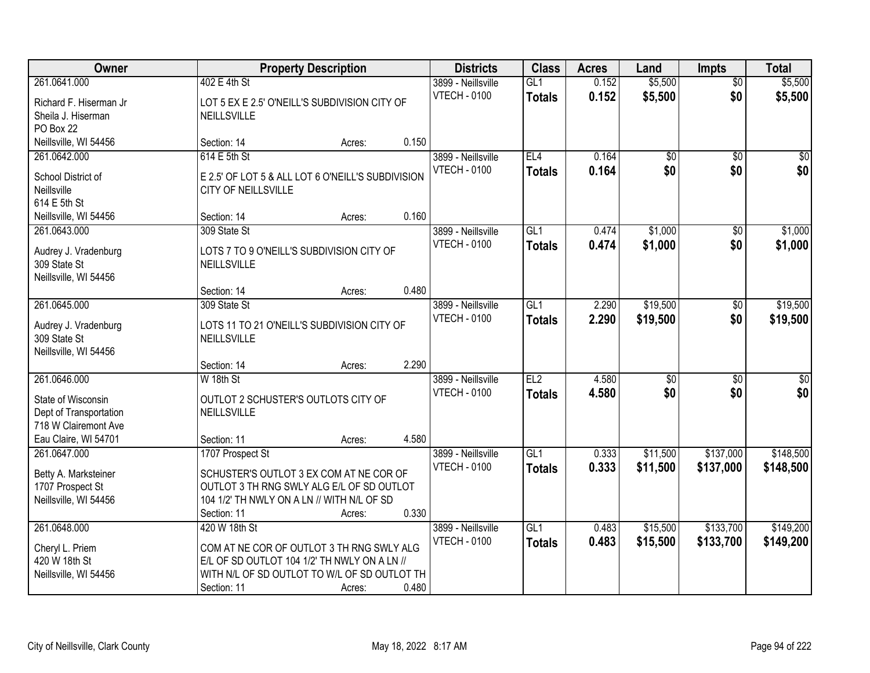| Owner                                                                                                        |                                                                                                                                                                           | <b>Property Description</b> |       | <b>Districts</b>                          | <b>Class</b>                      | <b>Acres</b>   | Land                   | <b>Impts</b>           | <b>Total</b>           |
|--------------------------------------------------------------------------------------------------------------|---------------------------------------------------------------------------------------------------------------------------------------------------------------------------|-----------------------------|-------|-------------------------------------------|-----------------------------------|----------------|------------------------|------------------------|------------------------|
| 261.0641.000<br>Richard F. Hiserman Jr<br>Sheila J. Hiserman                                                 | 402 E 4th St<br>LOT 5 EX E 2.5' O'NEILL'S SUBDIVISION CITY OF<br>NEILLSVILLE                                                                                              |                             |       | 3899 - Neillsville<br><b>VTECH - 0100</b> | GL1<br><b>Totals</b>              | 0.152<br>0.152 | \$5,500<br>\$5,500     | $\overline{50}$<br>\$0 | \$5,500<br>\$5,500     |
| PO Box 22<br>Neillsville, WI 54456                                                                           | Section: 14                                                                                                                                                               | Acres:                      | 0.150 |                                           |                                   |                |                        |                        |                        |
| 261.0642.000<br>School District of<br>Neillsville<br>614 E 5th St                                            | 614 E 5th St<br>E 2.5' OF LOT 5 & ALL LOT 6 O'NEILL'S SUBDIVISION<br><b>CITY OF NEILLSVILLE</b>                                                                           |                             |       | 3899 - Neillsville<br><b>VTECH - 0100</b> | EL4<br><b>Totals</b>              | 0.164<br>0.164 | $\overline{50}$<br>\$0 | $\overline{50}$<br>\$0 | $\sqrt{50}$<br>\$0     |
| Neillsville, WI 54456                                                                                        | Section: 14                                                                                                                                                               | Acres:                      | 0.160 |                                           |                                   |                |                        |                        |                        |
| 261.0643.000<br>Audrey J. Vradenburg<br>309 State St<br>Neillsville, WI 54456                                | 309 State St<br>LOTS 7 TO 9 O'NEILL'S SUBDIVISION CITY OF<br>NEILLSVILLE                                                                                                  |                             |       | 3899 - Neillsville<br><b>VTECH - 0100</b> | GL1<br>Totals                     | 0.474<br>0.474 | \$1,000<br>\$1,000     | $\overline{50}$<br>\$0 | \$1,000<br>\$1,000     |
|                                                                                                              | Section: 14                                                                                                                                                               | Acres:                      | 0.480 |                                           |                                   |                |                        |                        |                        |
| 261.0645.000<br>Audrey J. Vradenburg<br>309 State St<br>Neillsville, WI 54456                                | 309 State St<br>LOTS 11 TO 21 O'NEILL'S SUBDIVISION CITY OF<br>NEILLSVILLE                                                                                                |                             |       | 3899 - Neillsville<br><b>VTECH - 0100</b> | $\overline{GL1}$<br><b>Totals</b> | 2.290<br>2.290 | \$19,500<br>\$19,500   | \$0<br>\$0             | \$19,500<br>\$19,500   |
|                                                                                                              | Section: 14                                                                                                                                                               | Acres:                      | 2.290 |                                           |                                   |                |                        |                        |                        |
| 261.0646.000<br>State of Wisconsin<br>Dept of Transportation<br>718 W Clairemont Ave<br>Eau Claire, WI 54701 | W 18th St<br>OUTLOT 2 SCHUSTER'S OUTLOTS CITY OF<br>NEILLSVILLE<br>Section: 11                                                                                            | Acres:                      | 4.580 | 3899 - Neillsville<br><b>VTECH - 0100</b> | EL2<br>Totals                     | 4.580<br>4.580 | $\overline{50}$<br>\$0 | $\overline{30}$<br>\$0 | $\overline{30}$<br>\$0 |
| 261.0647.000<br>Betty A. Marksteiner<br>1707 Prospect St<br>Neillsville, WI 54456                            | 1707 Prospect St<br>SCHUSTER'S OUTLOT 3 EX COM AT NE COR OF<br>OUTLOT 3 TH RNG SWLY ALG E/L OF SD OUTLOT<br>104 1/2' TH NWLY ON A LN // WITH N/L OF SD<br>Section: 11     | Acres:                      | 0.330 | 3899 - Neillsville<br><b>VTECH - 0100</b> | GL1<br><b>Totals</b>              | 0.333<br>0.333 | \$11,500<br>\$11,500   | \$137,000<br>\$137,000 | \$148,500<br>\$148,500 |
| 261.0648.000<br>Cheryl L. Priem<br>420 W 18th St<br>Neillsville, WI 54456                                    | 420 W 18th St<br>COM AT NE COR OF OUTLOT 3 TH RNG SWLY ALG<br>E/L OF SD OUTLOT 104 1/2' TH NWLY ON A LN //<br>WITH N/L OF SD OUTLOT TO W/L OF SD OUTLOT TH<br>Section: 11 | Acres:                      | 0.480 | 3899 - Neillsville<br><b>VTECH - 0100</b> | GL1<br><b>Totals</b>              | 0.483<br>0.483 | \$15,500<br>\$15,500   | \$133,700<br>\$133,700 | \$149,200<br>\$149,200 |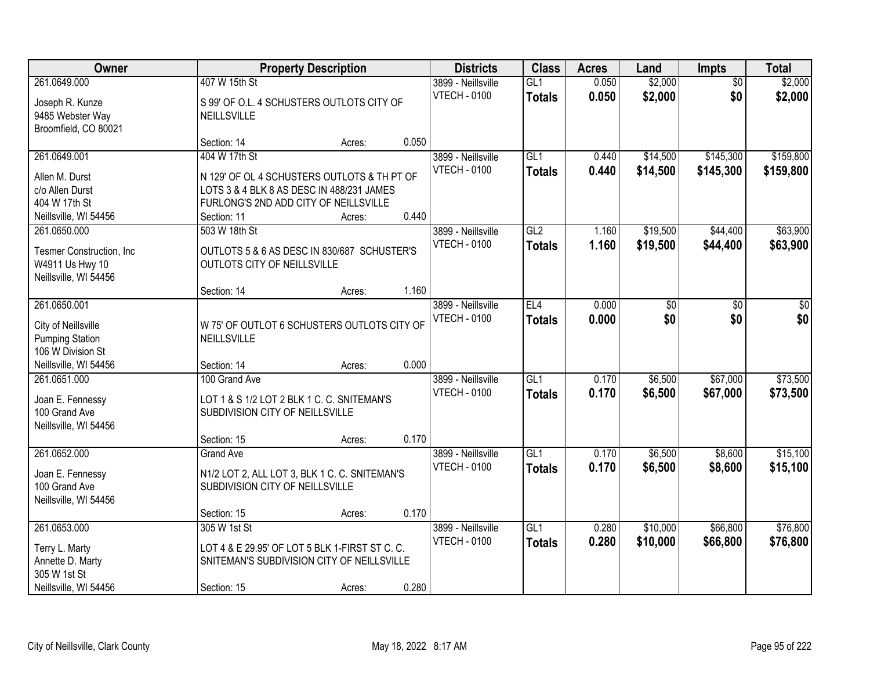| Owner                                                                                                       |                                                                                                                                                                   | <b>Property Description</b> |       | <b>Districts</b>                          | <b>Class</b>         | <b>Acres</b>   | Land                   | <b>Impts</b>           | <b>Total</b>           |
|-------------------------------------------------------------------------------------------------------------|-------------------------------------------------------------------------------------------------------------------------------------------------------------------|-----------------------------|-------|-------------------------------------------|----------------------|----------------|------------------------|------------------------|------------------------|
| 261.0649.000<br>Joseph R. Kunze<br>9485 Webster Way<br>Broomfield, CO 80021                                 | 407 W 15th St<br>S 99' OF O.L. 4 SCHUSTERS OUTLOTS CITY OF<br>NEILLSVILLE                                                                                         |                             |       | 3899 - Neillsville<br><b>VTECH - 0100</b> | GL1<br><b>Totals</b> | 0.050<br>0.050 | \$2,000<br>\$2,000     | $\overline{50}$<br>\$0 | \$2,000<br>\$2,000     |
|                                                                                                             | Section: 14                                                                                                                                                       | Acres:                      | 0.050 |                                           |                      |                |                        |                        |                        |
| 261.0649.001<br>Allen M. Durst<br>c/o Allen Durst<br>404 W 17th St<br>Neillsville, WI 54456                 | 404 W 17th St<br>N 129' OF OL 4 SCHUSTERS OUTLOTS & TH PT OF<br>LOTS 3 & 4 BLK 8 AS DESC IN 488/231 JAMES<br>FURLONG'S 2ND ADD CITY OF NEILLSVILLE<br>Section: 11 | Acres:                      | 0.440 | 3899 - Neillsville<br><b>VTECH - 0100</b> | GL1<br><b>Totals</b> | 0.440<br>0.440 | \$14,500<br>\$14,500   | \$145,300<br>\$145,300 | \$159,800<br>\$159,800 |
| 261.0650.000<br>Tesmer Construction, Inc.<br>W4911 Us Hwy 10<br>Neillsville, WI 54456                       | 503 W 18th St<br>OUTLOTS 5 & 6 AS DESC IN 830/687 SCHUSTER'S<br>OUTLOTS CITY OF NEILLSVILLE<br>Section: 14                                                        | Acres:                      | 1.160 | 3899 - Neillsville<br><b>VTECH - 0100</b> | GL2<br><b>Totals</b> | 1.160<br>1.160 | \$19,500<br>\$19,500   | \$44,400<br>\$44,400   | \$63,900<br>\$63,900   |
| 261.0650.001<br>City of Neillsville<br><b>Pumping Station</b><br>106 W Division St<br>Neillsville, WI 54456 | W 75' OF OUTLOT 6 SCHUSTERS OUTLOTS CITY OF<br>NEILLSVILLE<br>Section: 14                                                                                         | Acres:                      | 0.000 | 3899 - Neillsville<br><b>VTECH - 0100</b> | EL4<br><b>Totals</b> | 0.000<br>0.000 | $\overline{50}$<br>\$0 | \$0<br>\$0             | \$0<br>\$0             |
| 261.0651.000<br>Joan E. Fennessy<br>100 Grand Ave<br>Neillsville, WI 54456                                  | 100 Grand Ave<br>LOT 1 & S 1/2 LOT 2 BLK 1 C. C. SNITEMAN'S<br>SUBDIVISION CITY OF NEILLSVILLE<br>Section: 15                                                     | Acres:                      | 0.170 | 3899 - Neillsville<br><b>VTECH - 0100</b> | GL1<br><b>Totals</b> | 0.170<br>0.170 | \$6,500<br>\$6,500     | \$67,000<br>\$67,000   | \$73,500<br>\$73,500   |
| 261.0652.000<br>Joan E. Fennessy<br>100 Grand Ave<br>Neillsville, WI 54456                                  | <b>Grand Ave</b><br>N1/2 LOT 2, ALL LOT 3, BLK 1 C. C. SNITEMAN'S<br>SUBDIVISION CITY OF NEILLSVILLE<br>Section: 15                                               | Acres:                      | 0.170 | 3899 - Neillsville<br><b>VTECH - 0100</b> | GL1<br><b>Totals</b> | 0.170<br>0.170 | \$6,500<br>\$6,500     | \$8,600<br>\$8,600     | \$15,100<br>\$15,100   |
| 261.0653.000<br>Terry L. Marty<br>Annette D. Marty<br>305 W 1st St<br>Neillsville, WI 54456                 | 305 W 1st St<br>LOT 4 & E 29.95' OF LOT 5 BLK 1-FIRST ST C. C.<br>SNITEMAN'S SUBDIVISION CITY OF NEILLSVILLE<br>Section: 15                                       | Acres:                      | 0.280 | 3899 - Neillsville<br><b>VTECH - 0100</b> | GL1<br><b>Totals</b> | 0.280<br>0.280 | \$10,000<br>\$10,000   | \$66,800<br>\$66,800   | \$76,800<br>\$76,800   |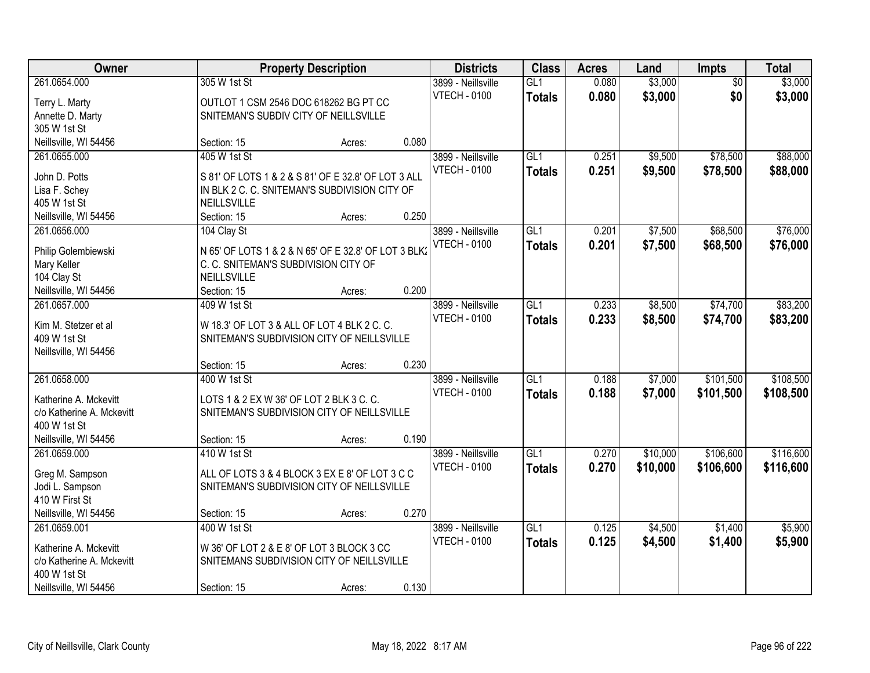| Owner                     |                                                      | <b>Property Description</b> |       | <b>Districts</b>    | <b>Class</b>     | <b>Acres</b> | Land     | <b>Impts</b>    | <b>Total</b> |
|---------------------------|------------------------------------------------------|-----------------------------|-------|---------------------|------------------|--------------|----------|-----------------|--------------|
| 261.0654.000              | 305 W 1st St                                         |                             |       | 3899 - Neillsville  | GL1              | 0.080        | \$3,000  | $\overline{30}$ | \$3,000      |
| Terry L. Marty            | OUTLOT 1 CSM 2546 DOC 618262 BG PT CC                |                             |       | <b>VTECH - 0100</b> | <b>Totals</b>    | 0.080        | \$3,000  | \$0             | \$3,000      |
| Annette D. Marty          | SNITEMAN'S SUBDIV CITY OF NEILLSVILLE                |                             |       |                     |                  |              |          |                 |              |
| 305 W 1st St              |                                                      |                             |       |                     |                  |              |          |                 |              |
| Neillsville, WI 54456     | Section: 15                                          | Acres:                      | 0.080 |                     |                  |              |          |                 |              |
| 261.0655.000              | 405 W 1st St                                         |                             |       | 3899 - Neillsville  | GL1              | 0.251        | \$9,500  | \$78,500        | \$88,000     |
|                           |                                                      |                             |       | <b>VTECH - 0100</b> | <b>Totals</b>    | 0.251        | \$9,500  | \$78,500        | \$88,000     |
| John D. Potts             | S 81' OF LOTS 1 & 2 & S 81' OF E 32.8' OF LOT 3 ALL  |                             |       |                     |                  |              |          |                 |              |
| Lisa F. Schey             | IN BLK 2 C. C. SNITEMAN'S SUBDIVISION CITY OF        |                             |       |                     |                  |              |          |                 |              |
| 405 W 1st St              | NEILLSVILLE                                          |                             |       |                     |                  |              |          |                 |              |
| Neillsville, WI 54456     | Section: 15                                          | Acres:                      | 0.250 |                     |                  |              |          |                 |              |
| 261.0656.000              | 104 Clay St                                          |                             |       | 3899 - Neillsville  | GL1              | 0.201        | \$7,500  | \$68,500        | \$76,000     |
| Philip Golembiewski       | N 65' OF LOTS 1 & 2 & N 65' OF E 32.8' OF LOT 3 BLK. |                             |       | <b>VTECH - 0100</b> | <b>Totals</b>    | 0.201        | \$7,500  | \$68,500        | \$76,000     |
| Mary Keller               | C. C. SNITEMAN'S SUBDIVISION CITY OF                 |                             |       |                     |                  |              |          |                 |              |
| 104 Clay St               | <b>NEILLSVILLE</b>                                   |                             |       |                     |                  |              |          |                 |              |
| Neillsville, WI 54456     | Section: 15                                          | Acres:                      | 0.200 |                     |                  |              |          |                 |              |
| 261.0657.000              | 409 W 1st St                                         |                             |       | 3899 - Neillsville  | GL1              | 0.233        | \$8,500  | \$74,700        | \$83,200     |
|                           |                                                      |                             |       | <b>VTECH - 0100</b> | <b>Totals</b>    | 0.233        | \$8,500  | \$74,700        | \$83,200     |
| Kim M. Stetzer et al      | W 18.3' OF LOT 3 & ALL OF LOT 4 BLK 2 C. C.          |                             |       |                     |                  |              |          |                 |              |
| 409 W 1st St              | SNITEMAN'S SUBDIVISION CITY OF NEILLSVILLE           |                             |       |                     |                  |              |          |                 |              |
| Neillsville, WI 54456     |                                                      |                             |       |                     |                  |              |          |                 |              |
|                           | Section: 15                                          | Acres:                      | 0.230 |                     |                  |              |          |                 |              |
| 261.0658.000              | 400 W 1st St                                         |                             |       | 3899 - Neillsville  | $\overline{GL1}$ | 0.188        | \$7,000  | \$101,500       | \$108,500    |
| Katherine A. Mckevitt     | LOTS 1 & 2 EX W 36' OF LOT 2 BLK 3 C. C.             |                             |       | <b>VTECH - 0100</b> | <b>Totals</b>    | 0.188        | \$7,000  | \$101,500       | \$108,500    |
| c/o Katherine A. Mckevitt | SNITEMAN'S SUBDIVISION CITY OF NEILLSVILLE           |                             |       |                     |                  |              |          |                 |              |
| 400 W 1st St              |                                                      |                             |       |                     |                  |              |          |                 |              |
| Neillsville, WI 54456     | Section: 15                                          | Acres:                      | 0.190 |                     |                  |              |          |                 |              |
| 261.0659.000              | 410 W 1st St                                         |                             |       | 3899 - Neillsville  | GL1              | 0.270        | \$10,000 | \$106,600       | \$116,600    |
|                           |                                                      |                             |       | <b>VTECH - 0100</b> | <b>Totals</b>    | 0.270        | \$10,000 | \$106,600       | \$116,600    |
| Greg M. Sampson           | ALL OF LOTS 3 & 4 BLOCK 3 EX E 8' OF LOT 3 C C       |                             |       |                     |                  |              |          |                 |              |
| Jodi L. Sampson           | SNITEMAN'S SUBDIVISION CITY OF NEILLSVILLE           |                             |       |                     |                  |              |          |                 |              |
| 410 W First St            |                                                      |                             |       |                     |                  |              |          |                 |              |
| Neillsville, WI 54456     | Section: 15                                          | Acres:                      | 0.270 |                     |                  |              |          |                 |              |
| 261.0659.001              | 400 W 1st St                                         |                             |       | 3899 - Neillsville  | GL1              | 0.125        | \$4,500  | \$1,400         | \$5,900      |
| Katherine A. Mckevitt     | W 36' OF LOT 2 & E 8' OF LOT 3 BLOCK 3 CC            |                             |       | <b>VTECH - 0100</b> | <b>Totals</b>    | 0.125        | \$4,500  | \$1,400         | \$5,900      |
| c/o Katherine A. Mckevitt | SNITEMANS SUBDIVISION CITY OF NEILLSVILLE            |                             |       |                     |                  |              |          |                 |              |
| 400 W 1st St              |                                                      |                             |       |                     |                  |              |          |                 |              |
| Neillsville, WI 54456     | Section: 15                                          | Acres:                      | 0.130 |                     |                  |              |          |                 |              |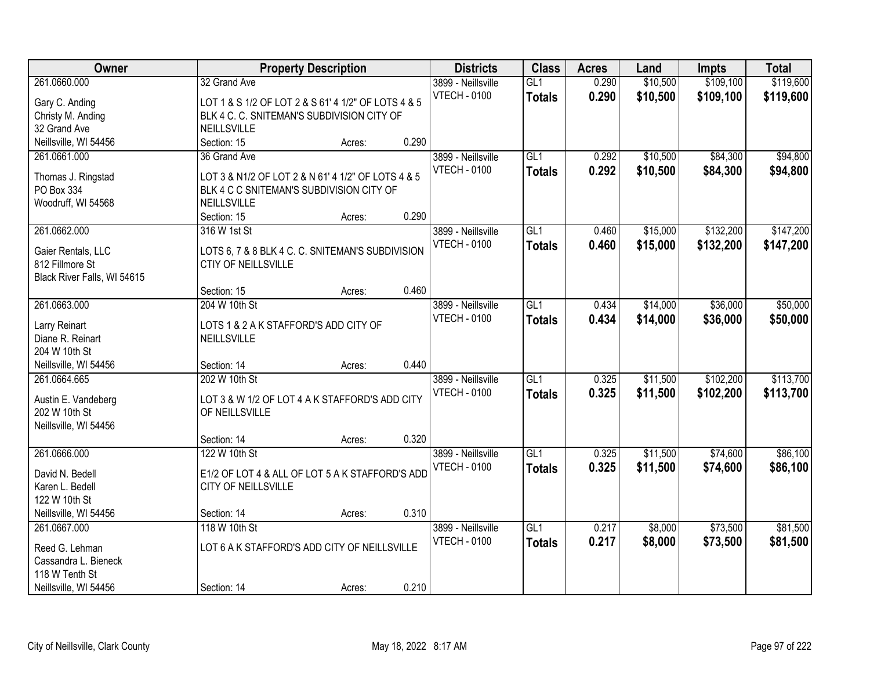| Owner                                                                |                                                                                | <b>Property Description</b> |       | <b>Districts</b>                          | <b>Class</b>         | <b>Acres</b>   | Land                 | <b>Impts</b>           | <b>Total</b>           |
|----------------------------------------------------------------------|--------------------------------------------------------------------------------|-----------------------------|-------|-------------------------------------------|----------------------|----------------|----------------------|------------------------|------------------------|
| 261.0660.000<br>Gary C. Anding                                       | 32 Grand Ave<br>LOT 1 & S 1/2 OF LOT 2 & S 61' 4 1/2" OF LOTS 4 & 5            |                             |       | 3899 - Neillsville<br><b>VTECH - 0100</b> | GL1<br><b>Totals</b> | 0.290<br>0.290 | \$10,500<br>\$10,500 | \$109,100<br>\$109,100 | \$119,600<br>\$119,600 |
| Christy M. Anding                                                    | BLK 4 C. C. SNITEMAN'S SUBDIVISION CITY OF                                     |                             |       |                                           |                      |                |                      |                        |                        |
| 32 Grand Ave                                                         | NEILLSVILLE                                                                    |                             |       |                                           |                      |                |                      |                        |                        |
| Neillsville, WI 54456                                                | Section: 15                                                                    | Acres:                      | 0.290 |                                           |                      |                |                      |                        |                        |
| 261.0661.000                                                         | 36 Grand Ave                                                                   |                             |       | 3899 - Neillsville                        | GL1                  | 0.292          | \$10,500             | \$84,300               | \$94,800               |
| Thomas J. Ringstad                                                   | LOT 3 & N1/2 OF LOT 2 & N 61' 4 1/2" OF LOTS 4 & 5                             |                             |       | <b>VTECH - 0100</b>                       | <b>Totals</b>        | 0.292          | \$10,500             | \$84,300               | \$94,800               |
| PO Box 334                                                           | BLK 4 C C SNITEMAN'S SUBDIVISION CITY OF                                       |                             |       |                                           |                      |                |                      |                        |                        |
| Woodruff, WI 54568                                                   | NEILLSVILLE                                                                    |                             |       |                                           |                      |                |                      |                        |                        |
|                                                                      | Section: 15                                                                    | Acres:                      | 0.290 |                                           |                      |                |                      |                        |                        |
| 261.0662.000                                                         | 316 W 1st St                                                                   |                             |       | 3899 - Neillsville                        | GL1                  | 0.460          | \$15,000             | \$132,200              | \$147,200              |
| Gaier Rentals, LLC<br>812 Fillmore St<br>Black River Falls, WI 54615 | LOTS 6, 7 & 8 BLK 4 C. C. SNITEMAN'S SUBDIVISION<br><b>CTIY OF NEILLSVILLE</b> |                             |       | <b>VTECH - 0100</b>                       | <b>Totals</b>        | 0.460          | \$15,000             | \$132,200              | \$147,200              |
|                                                                      | Section: 15                                                                    | Acres:                      | 0.460 |                                           |                      |                |                      |                        |                        |
| 261.0663.000                                                         | 204 W 10th St                                                                  |                             |       | 3899 - Neillsville                        | GL1                  | 0.434          | \$14,000             | \$36,000               | \$50,000               |
|                                                                      |                                                                                |                             |       | <b>VTECH - 0100</b>                       | <b>Totals</b>        | 0.434          | \$14,000             | \$36,000               | \$50,000               |
| Larry Reinart                                                        | LOTS 1 & 2 A K STAFFORD'S ADD CITY OF                                          |                             |       |                                           |                      |                |                      |                        |                        |
| Diane R. Reinart                                                     | NEILLSVILLE                                                                    |                             |       |                                           |                      |                |                      |                        |                        |
| 204 W 10th St                                                        |                                                                                |                             | 0.440 |                                           |                      |                |                      |                        |                        |
| Neillsville, WI 54456<br>261.0664.665                                | Section: 14<br>202 W 10th St                                                   | Acres:                      |       | 3899 - Neillsville                        | $\overline{GL1}$     | 0.325          | \$11,500             | \$102,200              | \$113,700              |
|                                                                      |                                                                                |                             |       | <b>VTECH - 0100</b>                       |                      | 0.325          |                      |                        |                        |
| Austin E. Vandeberg                                                  | LOT 3 & W 1/2 OF LOT 4 A K STAFFORD'S ADD CITY                                 |                             |       |                                           | <b>Totals</b>        |                | \$11,500             | \$102,200              | \$113,700              |
| 202 W 10th St                                                        | OF NEILLSVILLE                                                                 |                             |       |                                           |                      |                |                      |                        |                        |
| Neillsville, WI 54456                                                |                                                                                |                             |       |                                           |                      |                |                      |                        |                        |
|                                                                      | Section: 14                                                                    | Acres:                      | 0.320 |                                           |                      |                |                      |                        |                        |
| 261.0666.000                                                         | 122 W 10th St                                                                  |                             |       | 3899 - Neillsville                        | GL1                  | 0.325          | \$11,500             | \$74,600               | \$86,100               |
| David N. Bedell                                                      | E1/2 OF LOT 4 & ALL OF LOT 5 A K STAFFORD'S ADD                                |                             |       | <b>VTECH - 0100</b>                       | <b>Totals</b>        | 0.325          | \$11,500             | \$74,600               | \$86,100               |
| Karen L. Bedell                                                      | CITY OF NEILLSVILLE                                                            |                             |       |                                           |                      |                |                      |                        |                        |
| 122 W 10th St                                                        |                                                                                |                             |       |                                           |                      |                |                      |                        |                        |
| Neillsville, WI 54456                                                | Section: 14                                                                    | Acres:                      | 0.310 |                                           |                      |                |                      |                        |                        |
| 261.0667.000                                                         | 118 W 10th St                                                                  |                             |       | 3899 - Neillsville                        | GL1                  | 0.217          | \$8,000              | \$73,500               | \$81,500               |
| Reed G. Lehman                                                       | LOT 6 A K STAFFORD'S ADD CITY OF NEILLSVILLE                                   |                             |       | <b>VTECH - 0100</b>                       | <b>Totals</b>        | 0.217          | \$8,000              | \$73,500               | \$81,500               |
| Cassandra L. Bieneck                                                 |                                                                                |                             |       |                                           |                      |                |                      |                        |                        |
| 118 W Tenth St                                                       |                                                                                |                             |       |                                           |                      |                |                      |                        |                        |
| Neillsville, WI 54456                                                | Section: 14                                                                    | Acres:                      | 0.210 |                                           |                      |                |                      |                        |                        |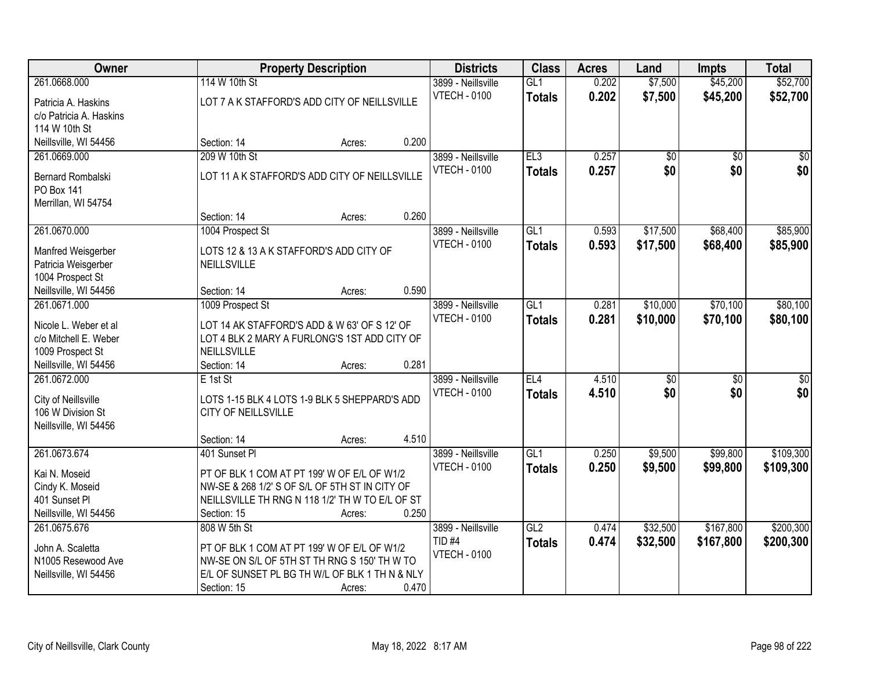| \$45,200<br>\$52,700<br>261.0668.000<br>114 W 10th St<br>GL1<br>0.202<br>\$7,500<br>3899 - Neillsville<br><b>VTECH - 0100</b><br>0.202<br>\$7,500<br>\$45,200<br>\$52,700<br><b>Totals</b><br>LOT 7 A K STAFFORD'S ADD CITY OF NEILLSVILLE<br>Patricia A. Haskins<br>c/o Patricia A. Haskins<br>114 W 10th St<br>0.200<br>Neillsville, WI 54456<br>Section: 14<br>Acres:<br>209 W 10th St<br>EL3<br>0.257<br>261.0669.000<br>3899 - Neillsville<br>$\overline{50}$<br>$\overline{50}$<br>0.257<br>\$0<br>\$0<br><b>VTECH - 0100</b><br><b>Totals</b><br>LOT 11 A K STAFFORD'S ADD CITY OF NEILLSVILLE<br><b>Bernard Rombalski</b><br>PO Box 141<br>Merrillan, WI 54754<br>0.260<br>Section: 14<br>Acres:<br>\$68,400<br>261.0670.000<br>1004 Prospect St<br>3899 - Neillsville<br>GL1<br>0.593<br>\$17,500<br><b>VTECH - 0100</b><br>\$17,500<br>0.593<br>\$68,400<br><b>Totals</b><br>LOTS 12 & 13 A K STAFFORD'S ADD CITY OF<br>Manfred Weisgerber<br>NEILLSVILLE<br>Patricia Weisgerber<br>1004 Prospect St<br>0.590<br>Neillsville, WI 54456<br>Section: 14<br>Acres:<br>GL1<br>\$10,000<br>\$70,100<br>261.0671.000<br>1009 Prospect St<br>3899 - Neillsville<br>0.281<br><b>VTECH - 0100</b><br>0.281<br>\$10,000<br>\$70,100<br><b>Totals</b><br>LOT 14 AK STAFFORD'S ADD & W 63' OF S 12' OF<br>Nicole L. Weber et al<br>c/o Mitchell E. Weber<br>LOT 4 BLK 2 MARY A FURLONG'S 1ST ADD CITY OF<br>1009 Prospect St<br>NEILLSVILLE<br>0.281<br>Neillsville, WI 54456<br>Section: 14<br>Acres:<br>261.0672.000<br>EL4<br>4.510<br>$\overline{50}$<br>$\overline{50}$<br>E 1st St<br>3899 - Neillsville<br>\$0<br>4.510<br>\$0<br><b>VTECH - 0100</b><br>\$0<br><b>Totals</b><br>City of Neillsville<br>LOTS 1-15 BLK 4 LOTS 1-9 BLK 5 SHEPPARD'S ADD<br>106 W Division St<br><b>CITY OF NEILLSVILLE</b><br>Neillsville, WI 54456<br>4.510<br>Section: 14<br>Acres:<br>261.0673.674<br>$\overline{GL1}$<br>\$9,500<br>\$99,800<br>401 Sunset Pl<br>3899 - Neillsville<br>0.250<br><b>VTECH - 0100</b><br>0.250<br>\$9,500<br>\$99,800<br><b>Totals</b><br>PT OF BLK 1 COM AT PT 199' W OF E/L OF W1/2<br>Kai N. Moseid<br>NW-SE & 268 1/2' S OF S/L OF 5TH ST IN CITY OF<br>Cindy K. Moseid<br>401 Sunset Pl<br>NEILLSVILLE TH RNG N 118 1/2' TH W TO E/L OF ST<br>Neillsville, WI 54456<br>0.250<br>Section: 15<br>Acres:<br>261.0675.676<br>GL2<br>\$32,500<br>\$167,800<br>808 W 5th St<br>3899 - Neillsville<br>0.474 | Owner | <b>Property Description</b> | <b>Districts</b> | <b>Class</b>  | <b>Acres</b> | Land     | <b>Impts</b> | <b>Total</b> |
|--------------------------------------------------------------------------------------------------------------------------------------------------------------------------------------------------------------------------------------------------------------------------------------------------------------------------------------------------------------------------------------------------------------------------------------------------------------------------------------------------------------------------------------------------------------------------------------------------------------------------------------------------------------------------------------------------------------------------------------------------------------------------------------------------------------------------------------------------------------------------------------------------------------------------------------------------------------------------------------------------------------------------------------------------------------------------------------------------------------------------------------------------------------------------------------------------------------------------------------------------------------------------------------------------------------------------------------------------------------------------------------------------------------------------------------------------------------------------------------------------------------------------------------------------------------------------------------------------------------------------------------------------------------------------------------------------------------------------------------------------------------------------------------------------------------------------------------------------------------------------------------------------------------------------------------------------------------------------------------------------------------------------------------------------------------------------------------------------------------------------------------------------------------------------------------------------------------------------------------------------------------------------------------------------------------------------------------------------------------------------------------------------------------------------------|-------|-----------------------------|------------------|---------------|--------------|----------|--------------|--------------|
|                                                                                                                                                                                                                                                                                                                                                                                                                                                                                                                                                                                                                                                                                                                                                                                                                                                                                                                                                                                                                                                                                                                                                                                                                                                                                                                                                                                                                                                                                                                                                                                                                                                                                                                                                                                                                                                                                                                                                                                                                                                                                                                                                                                                                                                                                                                                                                                                                                |       |                             |                  |               |              |          |              |              |
|                                                                                                                                                                                                                                                                                                                                                                                                                                                                                                                                                                                                                                                                                                                                                                                                                                                                                                                                                                                                                                                                                                                                                                                                                                                                                                                                                                                                                                                                                                                                                                                                                                                                                                                                                                                                                                                                                                                                                                                                                                                                                                                                                                                                                                                                                                                                                                                                                                |       |                             |                  |               |              |          |              |              |
|                                                                                                                                                                                                                                                                                                                                                                                                                                                                                                                                                                                                                                                                                                                                                                                                                                                                                                                                                                                                                                                                                                                                                                                                                                                                                                                                                                                                                                                                                                                                                                                                                                                                                                                                                                                                                                                                                                                                                                                                                                                                                                                                                                                                                                                                                                                                                                                                                                |       |                             |                  |               |              |          |              |              |
|                                                                                                                                                                                                                                                                                                                                                                                                                                                                                                                                                                                                                                                                                                                                                                                                                                                                                                                                                                                                                                                                                                                                                                                                                                                                                                                                                                                                                                                                                                                                                                                                                                                                                                                                                                                                                                                                                                                                                                                                                                                                                                                                                                                                                                                                                                                                                                                                                                |       |                             |                  |               |              |          |              |              |
|                                                                                                                                                                                                                                                                                                                                                                                                                                                                                                                                                                                                                                                                                                                                                                                                                                                                                                                                                                                                                                                                                                                                                                                                                                                                                                                                                                                                                                                                                                                                                                                                                                                                                                                                                                                                                                                                                                                                                                                                                                                                                                                                                                                                                                                                                                                                                                                                                                |       |                             |                  |               |              |          |              |              |
| \$0<br>\$85,900<br>\$85,900                                                                                                                                                                                                                                                                                                                                                                                                                                                                                                                                                                                                                                                                                                                                                                                                                                                                                                                                                                                                                                                                                                                                                                                                                                                                                                                                                                                                                                                                                                                                                                                                                                                                                                                                                                                                                                                                                                                                                                                                                                                                                                                                                                                                                                                                                                                                                                                                    |       |                             |                  |               |              |          |              | $\sqrt{50}$  |
|                                                                                                                                                                                                                                                                                                                                                                                                                                                                                                                                                                                                                                                                                                                                                                                                                                                                                                                                                                                                                                                                                                                                                                                                                                                                                                                                                                                                                                                                                                                                                                                                                                                                                                                                                                                                                                                                                                                                                                                                                                                                                                                                                                                                                                                                                                                                                                                                                                |       |                             |                  |               |              |          |              |              |
|                                                                                                                                                                                                                                                                                                                                                                                                                                                                                                                                                                                                                                                                                                                                                                                                                                                                                                                                                                                                                                                                                                                                                                                                                                                                                                                                                                                                                                                                                                                                                                                                                                                                                                                                                                                                                                                                                                                                                                                                                                                                                                                                                                                                                                                                                                                                                                                                                                |       |                             |                  |               |              |          |              |              |
|                                                                                                                                                                                                                                                                                                                                                                                                                                                                                                                                                                                                                                                                                                                                                                                                                                                                                                                                                                                                                                                                                                                                                                                                                                                                                                                                                                                                                                                                                                                                                                                                                                                                                                                                                                                                                                                                                                                                                                                                                                                                                                                                                                                                                                                                                                                                                                                                                                |       |                             |                  |               |              |          |              |              |
|                                                                                                                                                                                                                                                                                                                                                                                                                                                                                                                                                                                                                                                                                                                                                                                                                                                                                                                                                                                                                                                                                                                                                                                                                                                                                                                                                                                                                                                                                                                                                                                                                                                                                                                                                                                                                                                                                                                                                                                                                                                                                                                                                                                                                                                                                                                                                                                                                                |       |                             |                  |               |              |          |              |              |
|                                                                                                                                                                                                                                                                                                                                                                                                                                                                                                                                                                                                                                                                                                                                                                                                                                                                                                                                                                                                                                                                                                                                                                                                                                                                                                                                                                                                                                                                                                                                                                                                                                                                                                                                                                                                                                                                                                                                                                                                                                                                                                                                                                                                                                                                                                                                                                                                                                |       |                             |                  |               |              |          |              |              |
|                                                                                                                                                                                                                                                                                                                                                                                                                                                                                                                                                                                                                                                                                                                                                                                                                                                                                                                                                                                                                                                                                                                                                                                                                                                                                                                                                                                                                                                                                                                                                                                                                                                                                                                                                                                                                                                                                                                                                                                                                                                                                                                                                                                                                                                                                                                                                                                                                                |       |                             |                  |               |              |          |              |              |
|                                                                                                                                                                                                                                                                                                                                                                                                                                                                                                                                                                                                                                                                                                                                                                                                                                                                                                                                                                                                                                                                                                                                                                                                                                                                                                                                                                                                                                                                                                                                                                                                                                                                                                                                                                                                                                                                                                                                                                                                                                                                                                                                                                                                                                                                                                                                                                                                                                |       |                             |                  |               |              |          |              |              |
|                                                                                                                                                                                                                                                                                                                                                                                                                                                                                                                                                                                                                                                                                                                                                                                                                                                                                                                                                                                                                                                                                                                                                                                                                                                                                                                                                                                                                                                                                                                                                                                                                                                                                                                                                                                                                                                                                                                                                                                                                                                                                                                                                                                                                                                                                                                                                                                                                                |       |                             |                  |               |              |          |              |              |
| \$80,100<br>\$80,100                                                                                                                                                                                                                                                                                                                                                                                                                                                                                                                                                                                                                                                                                                                                                                                                                                                                                                                                                                                                                                                                                                                                                                                                                                                                                                                                                                                                                                                                                                                                                                                                                                                                                                                                                                                                                                                                                                                                                                                                                                                                                                                                                                                                                                                                                                                                                                                                           |       |                             |                  |               |              |          |              |              |
|                                                                                                                                                                                                                                                                                                                                                                                                                                                                                                                                                                                                                                                                                                                                                                                                                                                                                                                                                                                                                                                                                                                                                                                                                                                                                                                                                                                                                                                                                                                                                                                                                                                                                                                                                                                                                                                                                                                                                                                                                                                                                                                                                                                                                                                                                                                                                                                                                                |       |                             |                  |               |              |          |              |              |
|                                                                                                                                                                                                                                                                                                                                                                                                                                                                                                                                                                                                                                                                                                                                                                                                                                                                                                                                                                                                                                                                                                                                                                                                                                                                                                                                                                                                                                                                                                                                                                                                                                                                                                                                                                                                                                                                                                                                                                                                                                                                                                                                                                                                                                                                                                                                                                                                                                |       |                             |                  |               |              |          |              |              |
|                                                                                                                                                                                                                                                                                                                                                                                                                                                                                                                                                                                                                                                                                                                                                                                                                                                                                                                                                                                                                                                                                                                                                                                                                                                                                                                                                                                                                                                                                                                                                                                                                                                                                                                                                                                                                                                                                                                                                                                                                                                                                                                                                                                                                                                                                                                                                                                                                                |       |                             |                  |               |              |          |              |              |
| $\overline{50}$<br>\$109,300<br>\$109,300<br>\$200,300                                                                                                                                                                                                                                                                                                                                                                                                                                                                                                                                                                                                                                                                                                                                                                                                                                                                                                                                                                                                                                                                                                                                                                                                                                                                                                                                                                                                                                                                                                                                                                                                                                                                                                                                                                                                                                                                                                                                                                                                                                                                                                                                                                                                                                                                                                                                                                         |       |                             |                  |               |              |          |              |              |
|                                                                                                                                                                                                                                                                                                                                                                                                                                                                                                                                                                                                                                                                                                                                                                                                                                                                                                                                                                                                                                                                                                                                                                                                                                                                                                                                                                                                                                                                                                                                                                                                                                                                                                                                                                                                                                                                                                                                                                                                                                                                                                                                                                                                                                                                                                                                                                                                                                |       |                             |                  |               |              |          |              |              |
|                                                                                                                                                                                                                                                                                                                                                                                                                                                                                                                                                                                                                                                                                                                                                                                                                                                                                                                                                                                                                                                                                                                                                                                                                                                                                                                                                                                                                                                                                                                                                                                                                                                                                                                                                                                                                                                                                                                                                                                                                                                                                                                                                                                                                                                                                                                                                                                                                                |       |                             |                  |               |              |          |              |              |
|                                                                                                                                                                                                                                                                                                                                                                                                                                                                                                                                                                                                                                                                                                                                                                                                                                                                                                                                                                                                                                                                                                                                                                                                                                                                                                                                                                                                                                                                                                                                                                                                                                                                                                                                                                                                                                                                                                                                                                                                                                                                                                                                                                                                                                                                                                                                                                                                                                |       |                             |                  |               |              |          |              |              |
|                                                                                                                                                                                                                                                                                                                                                                                                                                                                                                                                                                                                                                                                                                                                                                                                                                                                                                                                                                                                                                                                                                                                                                                                                                                                                                                                                                                                                                                                                                                                                                                                                                                                                                                                                                                                                                                                                                                                                                                                                                                                                                                                                                                                                                                                                                                                                                                                                                |       |                             |                  |               |              |          |              |              |
|                                                                                                                                                                                                                                                                                                                                                                                                                                                                                                                                                                                                                                                                                                                                                                                                                                                                                                                                                                                                                                                                                                                                                                                                                                                                                                                                                                                                                                                                                                                                                                                                                                                                                                                                                                                                                                                                                                                                                                                                                                                                                                                                                                                                                                                                                                                                                                                                                                |       |                             |                  |               |              |          |              |              |
|                                                                                                                                                                                                                                                                                                                                                                                                                                                                                                                                                                                                                                                                                                                                                                                                                                                                                                                                                                                                                                                                                                                                                                                                                                                                                                                                                                                                                                                                                                                                                                                                                                                                                                                                                                                                                                                                                                                                                                                                                                                                                                                                                                                                                                                                                                                                                                                                                                |       |                             |                  |               |              |          |              |              |
|                                                                                                                                                                                                                                                                                                                                                                                                                                                                                                                                                                                                                                                                                                                                                                                                                                                                                                                                                                                                                                                                                                                                                                                                                                                                                                                                                                                                                                                                                                                                                                                                                                                                                                                                                                                                                                                                                                                                                                                                                                                                                                                                                                                                                                                                                                                                                                                                                                |       |                             |                  |               |              |          |              |              |
|                                                                                                                                                                                                                                                                                                                                                                                                                                                                                                                                                                                                                                                                                                                                                                                                                                                                                                                                                                                                                                                                                                                                                                                                                                                                                                                                                                                                                                                                                                                                                                                                                                                                                                                                                                                                                                                                                                                                                                                                                                                                                                                                                                                                                                                                                                                                                                                                                                |       |                             |                  |               |              |          |              |              |
|                                                                                                                                                                                                                                                                                                                                                                                                                                                                                                                                                                                                                                                                                                                                                                                                                                                                                                                                                                                                                                                                                                                                                                                                                                                                                                                                                                                                                                                                                                                                                                                                                                                                                                                                                                                                                                                                                                                                                                                                                                                                                                                                                                                                                                                                                                                                                                                                                                |       |                             |                  |               |              |          |              |              |
|                                                                                                                                                                                                                                                                                                                                                                                                                                                                                                                                                                                                                                                                                                                                                                                                                                                                                                                                                                                                                                                                                                                                                                                                                                                                                                                                                                                                                                                                                                                                                                                                                                                                                                                                                                                                                                                                                                                                                                                                                                                                                                                                                                                                                                                                                                                                                                                                                                |       |                             |                  |               |              |          |              |              |
|                                                                                                                                                                                                                                                                                                                                                                                                                                                                                                                                                                                                                                                                                                                                                                                                                                                                                                                                                                                                                                                                                                                                                                                                                                                                                                                                                                                                                                                                                                                                                                                                                                                                                                                                                                                                                                                                                                                                                                                                                                                                                                                                                                                                                                                                                                                                                                                                                                |       |                             |                  |               |              |          |              |              |
|                                                                                                                                                                                                                                                                                                                                                                                                                                                                                                                                                                                                                                                                                                                                                                                                                                                                                                                                                                                                                                                                                                                                                                                                                                                                                                                                                                                                                                                                                                                                                                                                                                                                                                                                                                                                                                                                                                                                                                                                                                                                                                                                                                                                                                                                                                                                                                                                                                |       |                             |                  |               |              |          |              |              |
|                                                                                                                                                                                                                                                                                                                                                                                                                                                                                                                                                                                                                                                                                                                                                                                                                                                                                                                                                                                                                                                                                                                                                                                                                                                                                                                                                                                                                                                                                                                                                                                                                                                                                                                                                                                                                                                                                                                                                                                                                                                                                                                                                                                                                                                                                                                                                                                                                                |       |                             |                  |               |              |          |              |              |
| PT OF BLK 1 COM AT PT 199' W OF E/L OF W1/2<br>John A. Scaletta                                                                                                                                                                                                                                                                                                                                                                                                                                                                                                                                                                                                                                                                                                                                                                                                                                                                                                                                                                                                                                                                                                                                                                                                                                                                                                                                                                                                                                                                                                                                                                                                                                                                                                                                                                                                                                                                                                                                                                                                                                                                                                                                                                                                                                                                                                                                                                |       |                             | <b>TID #4</b>    | <b>Totals</b> | 0.474        | \$32,500 | \$167,800    | \$200,300    |
| <b>VTECH - 0100</b><br>N1005 Resewood Ave<br>NW-SE ON S/L OF 5TH ST TH RNG S 150' TH W TO                                                                                                                                                                                                                                                                                                                                                                                                                                                                                                                                                                                                                                                                                                                                                                                                                                                                                                                                                                                                                                                                                                                                                                                                                                                                                                                                                                                                                                                                                                                                                                                                                                                                                                                                                                                                                                                                                                                                                                                                                                                                                                                                                                                                                                                                                                                                      |       |                             |                  |               |              |          |              |              |
| E/L OF SUNSET PL BG TH W/L OF BLK 1 TH N & NLY<br>Neillsville, WI 54456                                                                                                                                                                                                                                                                                                                                                                                                                                                                                                                                                                                                                                                                                                                                                                                                                                                                                                                                                                                                                                                                                                                                                                                                                                                                                                                                                                                                                                                                                                                                                                                                                                                                                                                                                                                                                                                                                                                                                                                                                                                                                                                                                                                                                                                                                                                                                        |       |                             |                  |               |              |          |              |              |
| 0.470<br>Section: 15<br>Acres:                                                                                                                                                                                                                                                                                                                                                                                                                                                                                                                                                                                                                                                                                                                                                                                                                                                                                                                                                                                                                                                                                                                                                                                                                                                                                                                                                                                                                                                                                                                                                                                                                                                                                                                                                                                                                                                                                                                                                                                                                                                                                                                                                                                                                                                                                                                                                                                                 |       |                             |                  |               |              |          |              |              |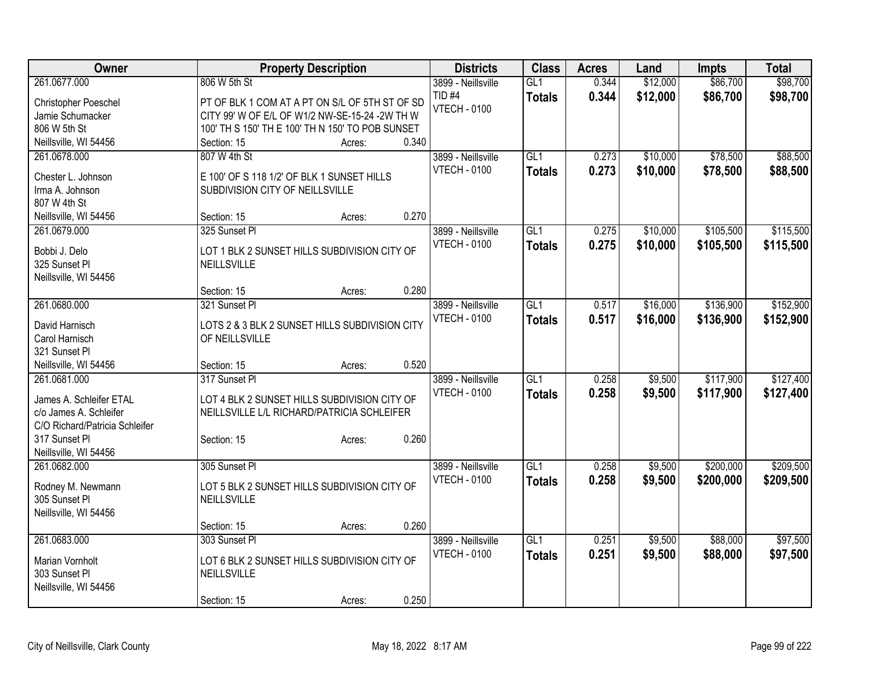| Owner                           |                                                  | <b>Property Description</b> |       | <b>Districts</b>    | <b>Class</b>     | <b>Acres</b> | Land     | <b>Impts</b> | <b>Total</b> |
|---------------------------------|--------------------------------------------------|-----------------------------|-------|---------------------|------------------|--------------|----------|--------------|--------------|
| 261.0677.000                    | 806 W 5th St                                     |                             |       | 3899 - Neillsville  | GL1              | 0.344        | \$12,000 | \$86,700     | \$98,700     |
| Christopher Poeschel            | PT OF BLK 1 COM AT A PT ON S/L OF 5TH ST OF SD   |                             |       | TID <sub>#4</sub>   | <b>Totals</b>    | 0.344        | \$12,000 | \$86,700     | \$98,700     |
| Jamie Schumacker                | CITY 99' W OF E/L OF W1/2 NW-SE-15-24 -2W TH W   |                             |       | <b>VTECH - 0100</b> |                  |              |          |              |              |
| 806 W 5th St                    | 100' TH S 150' TH E 100' TH N 150' TO POB SUNSET |                             |       |                     |                  |              |          |              |              |
| Neillsville, WI 54456           | Section: 15                                      | Acres:                      | 0.340 |                     |                  |              |          |              |              |
| 261.0678.000                    | 807 W 4th St                                     |                             |       | 3899 - Neillsville  | GL1              | 0.273        | \$10,000 | \$78,500     | \$88,500     |
|                                 |                                                  |                             |       | <b>VTECH - 0100</b> | <b>Totals</b>    | 0.273        | \$10,000 | \$78,500     | \$88,500     |
| Chester L. Johnson              | E 100' OF S 118 1/2' OF BLK 1 SUNSET HILLS       |                             |       |                     |                  |              |          |              |              |
| Irma A. Johnson<br>807 W 4th St | SUBDIVISION CITY OF NEILLSVILLE                  |                             |       |                     |                  |              |          |              |              |
| Neillsville, WI 54456           | Section: 15                                      | Acres:                      | 0.270 |                     |                  |              |          |              |              |
| 261.0679.000                    | 325 Sunset Pl                                    |                             |       | 3899 - Neillsville  | GL1              | 0.275        | \$10,000 | \$105,500    | \$115,500    |
|                                 |                                                  |                             |       | <b>VTECH - 0100</b> |                  |              |          |              |              |
| Bobbi J. Delo                   | LOT 1 BLK 2 SUNSET HILLS SUBDIVISION CITY OF     |                             |       |                     | <b>Totals</b>    | 0.275        | \$10,000 | \$105,500    | \$115,500    |
| 325 Sunset Pl                   | NEILLSVILLE                                      |                             |       |                     |                  |              |          |              |              |
| Neillsville, WI 54456           |                                                  |                             |       |                     |                  |              |          |              |              |
|                                 | Section: 15                                      | Acres:                      | 0.280 |                     |                  |              |          |              |              |
| 261.0680.000                    | 321 Sunset Pl                                    |                             |       | 3899 - Neillsville  | GL1              | 0.517        | \$16,000 | \$136,900    | \$152,900    |
| David Harnisch                  | LOTS 2 & 3 BLK 2 SUNSET HILLS SUBDIVISION CITY   |                             |       | <b>VTECH - 0100</b> | <b>Totals</b>    | 0.517        | \$16,000 | \$136,900    | \$152,900    |
| Carol Harnisch                  | OF NEILLSVILLE                                   |                             |       |                     |                  |              |          |              |              |
| 321 Sunset Pl                   |                                                  |                             |       |                     |                  |              |          |              |              |
| Neillsville, WI 54456           | Section: 15                                      | Acres:                      | 0.520 |                     |                  |              |          |              |              |
| 261.0681.000                    | 317 Sunset Pl                                    |                             |       | 3899 - Neillsville  | $\overline{GL1}$ | 0.258        | \$9,500  | \$117,900    | \$127,400    |
|                                 |                                                  |                             |       | <b>VTECH - 0100</b> | <b>Totals</b>    | 0.258        | \$9,500  | \$117,900    | \$127,400    |
| James A. Schleifer ETAL         | LOT 4 BLK 2 SUNSET HILLS SUBDIVISION CITY OF     |                             |       |                     |                  |              |          |              |              |
| c/o James A. Schleifer          | NEILLSVILLE L/L RICHARD/PATRICIA SCHLEIFER       |                             |       |                     |                  |              |          |              |              |
| C/O Richard/Patricia Schleifer  |                                                  |                             |       |                     |                  |              |          |              |              |
| 317 Sunset Pl                   | Section: 15                                      | Acres:                      | 0.260 |                     |                  |              |          |              |              |
| Neillsville, WI 54456           |                                                  |                             |       |                     |                  |              |          |              |              |
| 261.0682.000                    | 305 Sunset Pl                                    |                             |       | 3899 - Neillsville  | GL1              | 0.258        | \$9,500  | \$200,000    | \$209,500    |
| Rodney M. Newmann               | LOT 5 BLK 2 SUNSET HILLS SUBDIVISION CITY OF     |                             |       | <b>VTECH - 0100</b> | <b>Totals</b>    | 0.258        | \$9,500  | \$200,000    | \$209,500    |
| 305 Sunset Pl                   | NEILLSVILLE                                      |                             |       |                     |                  |              |          |              |              |
| Neillsville, WI 54456           |                                                  |                             |       |                     |                  |              |          |              |              |
|                                 | Section: 15                                      | Acres:                      | 0.260 |                     |                  |              |          |              |              |
| 261.0683.000                    | 303 Sunset Pl                                    |                             |       | 3899 - Neillsville  | GL1              | 0.251        | \$9,500  | \$88,000     | \$97,500     |
| Marian Vornholt                 | LOT 6 BLK 2 SUNSET HILLS SUBDIVISION CITY OF     |                             |       | <b>VTECH - 0100</b> | <b>Totals</b>    | 0.251        | \$9,500  | \$88,000     | \$97,500     |
| 303 Sunset Pl                   | NEILLSVILLE                                      |                             |       |                     |                  |              |          |              |              |
| Neillsville, WI 54456           |                                                  |                             |       |                     |                  |              |          |              |              |
|                                 |                                                  |                             | 0.250 |                     |                  |              |          |              |              |
|                                 | Section: 15                                      | Acres:                      |       |                     |                  |              |          |              |              |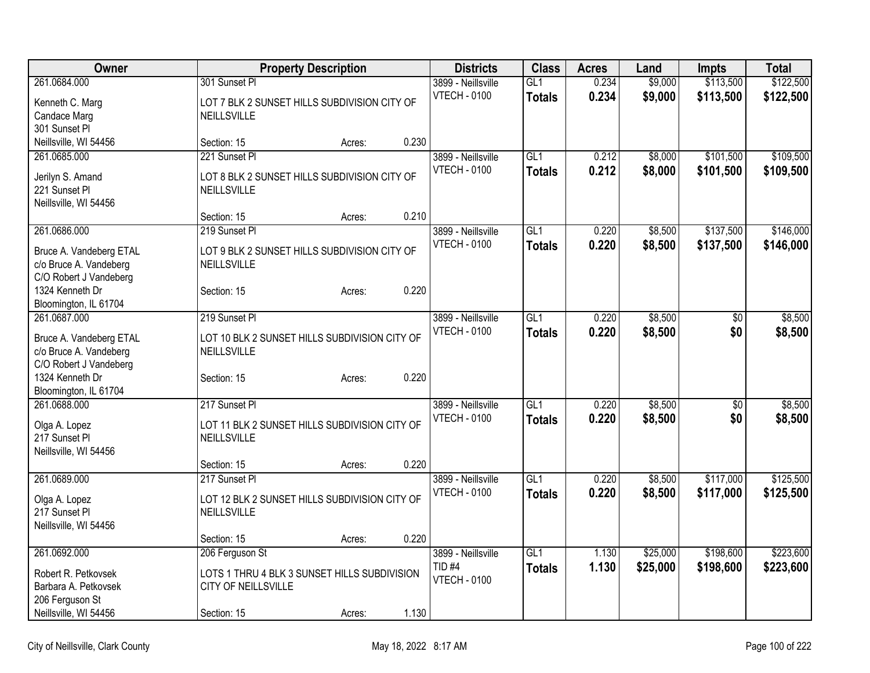| <b>Owner</b>                                      |                                               | <b>Property Description</b> |       | <b>Districts</b>    | <b>Class</b>     | <b>Acres</b> | Land     | <b>Impts</b>    | <b>Total</b> |
|---------------------------------------------------|-----------------------------------------------|-----------------------------|-------|---------------------|------------------|--------------|----------|-----------------|--------------|
| 261.0684.000                                      | 301 Sunset PI                                 |                             |       | 3899 - Neillsville  | GL1              | 0.234        | \$9,000  | \$113,500       | \$122,500    |
| Kenneth C. Marg                                   | LOT 7 BLK 2 SUNSET HILLS SUBDIVISION CITY OF  |                             |       | <b>VTECH - 0100</b> | <b>Totals</b>    | 0.234        | \$9,000  | \$113,500       | \$122,500    |
| Candace Marg                                      | NEILLSVILLE                                   |                             |       |                     |                  |              |          |                 |              |
| 301 Sunset Pl                                     |                                               |                             |       |                     |                  |              |          |                 |              |
| Neillsville, WI 54456                             | Section: 15                                   | Acres:                      | 0.230 |                     |                  |              |          |                 |              |
| 261.0685.000                                      | 221 Sunset PI                                 |                             |       | 3899 - Neillsville  | GL1              | 0.212        | \$8,000  | \$101,500       | \$109,500    |
| Jerilyn S. Amand                                  | LOT 8 BLK 2 SUNSET HILLS SUBDIVISION CITY OF  |                             |       | <b>VTECH - 0100</b> | <b>Totals</b>    | 0.212        | \$8,000  | \$101,500       | \$109,500    |
| 221 Sunset Pl                                     | NEILLSVILLE                                   |                             |       |                     |                  |              |          |                 |              |
| Neillsville, WI 54456                             |                                               |                             |       |                     |                  |              |          |                 |              |
|                                                   | Section: 15                                   | Acres:                      | 0.210 |                     |                  |              |          |                 |              |
| 261.0686.000                                      | 219 Sunset Pl                                 |                             |       | 3899 - Neillsville  | GL1              | 0.220        | \$8,500  | \$137,500       | \$146,000    |
|                                                   | LOT 9 BLK 2 SUNSET HILLS SUBDIVISION CITY OF  |                             |       | <b>VTECH - 0100</b> | <b>Totals</b>    | 0.220        | \$8,500  | \$137,500       | \$146,000    |
| Bruce A. Vandeberg ETAL<br>c/o Bruce A. Vandeberg | NEILLSVILLE                                   |                             |       |                     |                  |              |          |                 |              |
| C/O Robert J Vandeberg                            |                                               |                             |       |                     |                  |              |          |                 |              |
| 1324 Kenneth Dr                                   | Section: 15                                   | Acres:                      | 0.220 |                     |                  |              |          |                 |              |
| Bloomington, IL 61704                             |                                               |                             |       |                     |                  |              |          |                 |              |
| 261.0687.000                                      | 219 Sunset Pl                                 |                             |       | 3899 - Neillsville  | GLI              | 0.220        | \$8,500  | $\overline{50}$ | \$8,500      |
| Bruce A. Vandeberg ETAL                           | LOT 10 BLK 2 SUNSET HILLS SUBDIVISION CITY OF |                             |       | <b>VTECH - 0100</b> | <b>Totals</b>    | 0.220        | \$8,500  | \$0             | \$8,500      |
| c/o Bruce A. Vandeberg                            | NEILLSVILLE                                   |                             |       |                     |                  |              |          |                 |              |
| C/O Robert J Vandeberg                            |                                               |                             |       |                     |                  |              |          |                 |              |
| 1324 Kenneth Dr                                   | Section: 15                                   | Acres:                      | 0.220 |                     |                  |              |          |                 |              |
| Bloomington, IL 61704                             |                                               |                             |       |                     |                  |              |          |                 |              |
| 261.0688.000                                      | 217 Sunset PI                                 |                             |       | 3899 - Neillsville  | GL1              | 0.220        | \$8,500  | $\overline{50}$ | \$8,500      |
| Olga A. Lopez                                     | LOT 11 BLK 2 SUNSET HILLS SUBDIVISION CITY OF |                             |       | <b>VTECH - 0100</b> | <b>Totals</b>    | 0.220        | \$8,500  | \$0             | \$8,500      |
| 217 Sunset Pl                                     | NEILLSVILLE                                   |                             |       |                     |                  |              |          |                 |              |
| Neillsville, WI 54456                             |                                               |                             |       |                     |                  |              |          |                 |              |
|                                                   | Section: 15                                   | Acres:                      | 0.220 |                     |                  |              |          |                 |              |
| 261.0689.000                                      | 217 Sunset PI                                 |                             |       | 3899 - Neillsville  | $\overline{GL1}$ | 0.220        | \$8,500  | \$117,000       | \$125,500    |
| Olga A. Lopez                                     | LOT 12 BLK 2 SUNSET HILLS SUBDIVISION CITY OF |                             |       | <b>VTECH - 0100</b> | <b>Totals</b>    | 0.220        | \$8,500  | \$117,000       | \$125,500    |
| 217 Sunset Pl                                     | NEILLSVILLE                                   |                             |       |                     |                  |              |          |                 |              |
| Neillsville, WI 54456                             |                                               |                             |       |                     |                  |              |          |                 |              |
|                                                   | Section: 15                                   | Acres:                      | 0.220 |                     |                  |              |          |                 |              |
| 261.0692.000                                      | 206 Ferguson St                               |                             |       | 3899 - Neillsville  | GL1              | 1.130        | \$25,000 | \$198,600       | \$223,600    |
| Robert R. Petkovsek                               | LOTS 1 THRU 4 BLK 3 SUNSET HILLS SUBDIVISION  |                             |       | TID <sub>#4</sub>   | <b>Totals</b>    | 1.130        | \$25,000 | \$198,600       | \$223,600    |
| Barbara A. Petkovsek                              | CITY OF NEILLSVILLE                           |                             |       | <b>VTECH - 0100</b> |                  |              |          |                 |              |
| 206 Ferguson St                                   |                                               |                             |       |                     |                  |              |          |                 |              |
| Neillsville, WI 54456                             | Section: 15                                   | Acres:                      | 1.130 |                     |                  |              |          |                 |              |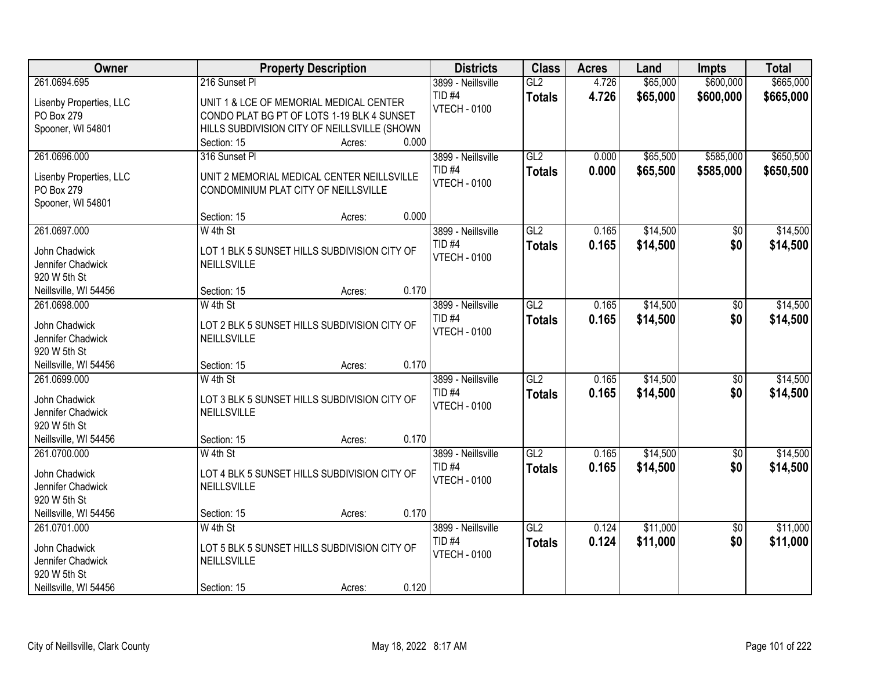| Owner                             | <b>Property Description</b>                  | <b>Districts</b>    | <b>Class</b>  | <b>Acres</b> | Land     | <b>Impts</b>    | <b>Total</b> |
|-----------------------------------|----------------------------------------------|---------------------|---------------|--------------|----------|-----------------|--------------|
| 261.0694.695                      | 216 Sunset Pl                                | 3899 - Neillsville  | GL2           | 4.726        | \$65,000 | \$600,000       | \$665,000    |
| Lisenby Properties, LLC           | UNIT 1 & LCE OF MEMORIAL MEDICAL CENTER      | TID <sub>#4</sub>   | <b>Totals</b> | 4.726        | \$65,000 | \$600,000       | \$665,000    |
| PO Box 279                        | CONDO PLAT BG PT OF LOTS 1-19 BLK 4 SUNSET   | <b>VTECH - 0100</b> |               |              |          |                 |              |
| Spooner, WI 54801                 | HILLS SUBDIVISION CITY OF NEILLSVILLE (SHOWN |                     |               |              |          |                 |              |
|                                   | 0.000<br>Section: 15<br>Acres:               |                     |               |              |          |                 |              |
| 261.0696.000                      | 316 Sunset PI                                | 3899 - Neillsville  | GL2           | 0.000        | \$65,500 | \$585,000       | \$650,500    |
| Lisenby Properties, LLC           | UNIT 2 MEMORIAL MEDICAL CENTER NEILLSVILLE   | <b>TID #4</b>       | <b>Totals</b> | 0.000        | \$65,500 | \$585,000       | \$650,500    |
| PO Box 279                        | CONDOMINIUM PLAT CITY OF NEILLSVILLE         | <b>VTECH - 0100</b> |               |              |          |                 |              |
| Spooner, WI 54801                 |                                              |                     |               |              |          |                 |              |
|                                   | 0.000<br>Section: 15<br>Acres:               |                     |               |              |          |                 |              |
| 261.0697.000                      | W 4th St                                     | 3899 - Neillsville  | GL2           | 0.165        | \$14,500 | \$0             | \$14,500     |
| John Chadwick                     | LOT 1 BLK 5 SUNSET HILLS SUBDIVISION CITY OF | TID <sub>#4</sub>   | <b>Totals</b> | 0.165        | \$14,500 | \$0             | \$14,500     |
| Jennifer Chadwick                 | NEILLSVILLE                                  | <b>VTECH - 0100</b> |               |              |          |                 |              |
| 920 W 5th St                      |                                              |                     |               |              |          |                 |              |
| Neillsville, WI 54456             | 0.170<br>Section: 15<br>Acres:               |                     |               |              |          |                 |              |
| 261.0698.000                      | W 4th St                                     | 3899 - Neillsville  | GL2           | 0.165        | \$14,500 | $\sqrt[6]{3}$   | \$14,500     |
|                                   |                                              | TID <sub>#4</sub>   | <b>Totals</b> | 0.165        | \$14,500 | \$0             | \$14,500     |
| John Chadwick                     | LOT 2 BLK 5 SUNSET HILLS SUBDIVISION CITY OF | <b>VTECH - 0100</b> |               |              |          |                 |              |
| Jennifer Chadwick<br>920 W 5th St | NEILLSVILLE                                  |                     |               |              |          |                 |              |
| Neillsville, WI 54456             | 0.170<br>Section: 15<br>Acres:               |                     |               |              |          |                 |              |
| 261.0699.000                      | W 4th St                                     | 3899 - Neillsville  | GL2           | 0.165        | \$14,500 | $\overline{50}$ | \$14,500     |
|                                   |                                              | <b>TID #4</b>       |               | 0.165        | \$14,500 | \$0             | \$14,500     |
| John Chadwick                     | LOT 3 BLK 5 SUNSET HILLS SUBDIVISION CITY OF | <b>VTECH - 0100</b> | <b>Totals</b> |              |          |                 |              |
| Jennifer Chadwick                 | NEILLSVILLE                                  |                     |               |              |          |                 |              |
| 920 W 5th St                      |                                              |                     |               |              |          |                 |              |
| Neillsville, WI 54456             | 0.170<br>Section: 15<br>Acres:               |                     |               |              |          |                 |              |
| 261.0700.000                      | W 4th St                                     | 3899 - Neillsville  | GL2           | 0.165        | \$14,500 | $\sqrt{$0}$     | \$14,500     |
| John Chadwick                     | LOT 4 BLK 5 SUNSET HILLS SUBDIVISION CITY OF | TID <sub>#4</sub>   | <b>Totals</b> | 0.165        | \$14,500 | \$0             | \$14,500     |
| Jennifer Chadwick                 | NEILLSVILLE                                  | <b>VTECH - 0100</b> |               |              |          |                 |              |
| 920 W 5th St                      |                                              |                     |               |              |          |                 |              |
| Neillsville, WI 54456             | 0.170<br>Section: 15<br>Acres:               |                     |               |              |          |                 |              |
| 261.0701.000                      | $W$ 4th St                                   | 3899 - Neillsville  | GL2           | 0.124        | \$11,000 | $\overline{50}$ | \$11,000     |
| John Chadwick                     | LOT 5 BLK 5 SUNSET HILLS SUBDIVISION CITY OF | TID <sub>#4</sub>   | <b>Totals</b> | 0.124        | \$11,000 | \$0             | \$11,000     |
| Jennifer Chadwick                 | NEILLSVILLE                                  | <b>VTECH - 0100</b> |               |              |          |                 |              |
| 920 W 5th St                      |                                              |                     |               |              |          |                 |              |
| Neillsville, WI 54456             | 0.120<br>Section: 15<br>Acres:               |                     |               |              |          |                 |              |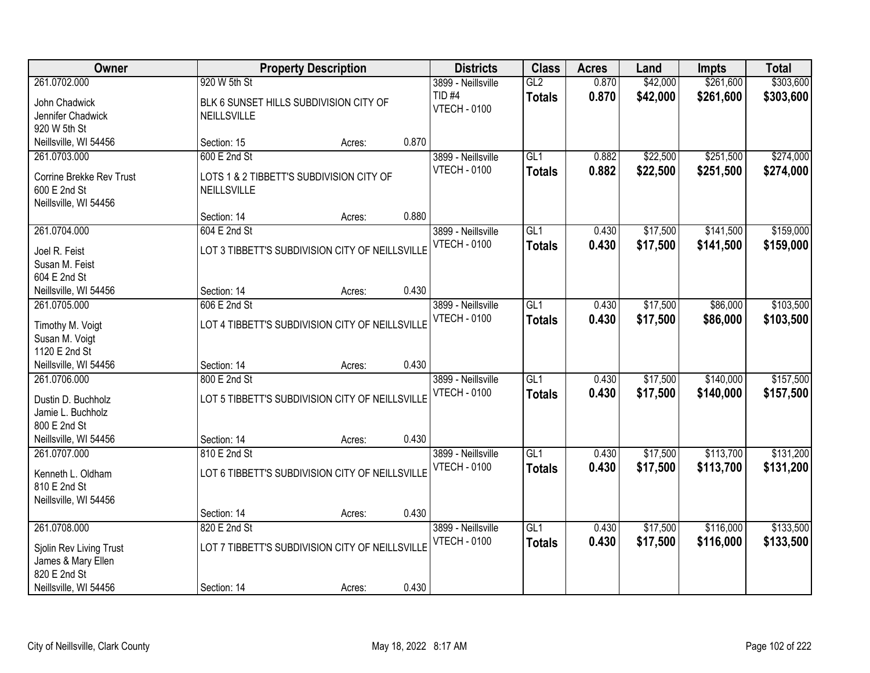| Owner                                    |                    | <b>Property Description</b>                     |       | <b>Districts</b>                     | <b>Class</b>     | <b>Acres</b> | Land     | <b>Impts</b> | <b>Total</b> |
|------------------------------------------|--------------------|-------------------------------------------------|-------|--------------------------------------|------------------|--------------|----------|--------------|--------------|
| 261.0702.000                             | 920 W 5th St       |                                                 |       | 3899 - Neillsville                   | GL2              | 0.870        | \$42,000 | \$261,600    | \$303,600    |
| John Chadwick<br>Jennifer Chadwick       | <b>NEILLSVILLE</b> | BLK 6 SUNSET HILLS SUBDIVISION CITY OF          |       | <b>TID #4</b><br><b>VTECH - 0100</b> | <b>Totals</b>    | 0.870        | \$42,000 | \$261,600    | \$303,600    |
| 920 W 5th St<br>Neillsville, WI 54456    | Section: 15        | Acres:                                          | 0.870 |                                      |                  |              |          |              |              |
| 261.0703.000                             | 600 E 2nd St       |                                                 |       | 3899 - Neillsville                   | GL1              | 0.882        | \$22,500 | \$251,500    | \$274,000    |
|                                          |                    |                                                 |       | <b>VTECH - 0100</b>                  | <b>Totals</b>    | 0.882        | \$22,500 | \$251,500    | \$274,000    |
| Corrine Brekke Rev Trust<br>600 E 2nd St | <b>NEILLSVILLE</b> | LOTS 1 & 2 TIBBETT'S SUBDIVISION CITY OF        |       |                                      |                  |              |          |              |              |
| Neillsville, WI 54456                    |                    |                                                 |       |                                      |                  |              |          |              |              |
|                                          | Section: 14        | Acres:                                          | 0.880 |                                      |                  |              |          |              |              |
| 261.0704.000                             | 604 E 2nd St       |                                                 |       | 3899 - Neillsville                   | GL1              | 0.430        | \$17,500 | \$141,500    | \$159,000    |
| Joel R. Feist                            |                    | LOT 3 TIBBETT'S SUBDIVISION CITY OF NEILLSVILLE |       | <b>VTECH - 0100</b>                  | <b>Totals</b>    | 0.430        | \$17,500 | \$141,500    | \$159,000    |
| Susan M. Feist                           |                    |                                                 |       |                                      |                  |              |          |              |              |
| 604 E 2nd St                             |                    |                                                 |       |                                      |                  |              |          |              |              |
| Neillsville, WI 54456                    | Section: 14        | Acres:                                          | 0.430 |                                      |                  |              |          |              |              |
| 261.0705.000                             | 606 E 2nd St       |                                                 |       | 3899 - Neillsville                   | GL1              | 0.430        | \$17,500 | \$86,000     | \$103,500    |
| Timothy M. Voigt                         |                    | LOT 4 TIBBETT'S SUBDIVISION CITY OF NEILLSVILLE |       | <b>VTECH - 0100</b>                  | <b>Totals</b>    | 0.430        | \$17,500 | \$86,000     | \$103,500    |
| Susan M. Voigt                           |                    |                                                 |       |                                      |                  |              |          |              |              |
| 1120 E 2nd St                            |                    |                                                 |       |                                      |                  |              |          |              |              |
| Neillsville, WI 54456                    | Section: 14        | Acres:                                          | 0.430 |                                      |                  |              |          |              |              |
| 261.0706.000                             | 800 E 2nd St       |                                                 |       | 3899 - Neillsville                   | $\overline{GL1}$ | 0.430        | \$17,500 | \$140,000    | \$157,500    |
| Dustin D. Buchholz                       |                    | LOT 5 TIBBETT'S SUBDIVISION CITY OF NEILLSVILLE |       | <b>VTECH - 0100</b>                  | <b>Totals</b>    | 0.430        | \$17,500 | \$140,000    | \$157,500    |
| Jamie L. Buchholz                        |                    |                                                 |       |                                      |                  |              |          |              |              |
| 800 E 2nd St                             |                    |                                                 |       |                                      |                  |              |          |              |              |
| Neillsville, WI 54456                    | Section: 14        | Acres:                                          | 0.430 |                                      |                  |              |          |              |              |
| 261.0707.000                             | 810 E 2nd St       |                                                 |       | 3899 - Neillsville                   | GL1              | 0.430        | \$17,500 | \$113,700    | \$131,200    |
| Kenneth L. Oldham                        |                    | LOT 6 TIBBETT'S SUBDIVISION CITY OF NEILLSVILLE |       | <b>VTECH - 0100</b>                  | <b>Totals</b>    | 0.430        | \$17,500 | \$113,700    | \$131,200    |
| 810 E 2nd St                             |                    |                                                 |       |                                      |                  |              |          |              |              |
| Neillsville, WI 54456                    |                    |                                                 |       |                                      |                  |              |          |              |              |
|                                          | Section: 14        | Acres:                                          | 0.430 |                                      |                  |              |          |              |              |
| 261.0708.000                             | 820 E 2nd St       |                                                 |       | 3899 - Neillsville                   | GL1              | 0.430        | \$17,500 | \$116,000    | \$133,500    |
| Sjolin Rev Living Trust                  |                    | LOT 7 TIBBETT'S SUBDIVISION CITY OF NEILLSVILLE |       | <b>VTECH - 0100</b>                  | <b>Totals</b>    | 0.430        | \$17,500 | \$116,000    | \$133,500    |
| James & Mary Ellen                       |                    |                                                 |       |                                      |                  |              |          |              |              |
| 820 E 2nd St                             |                    |                                                 |       |                                      |                  |              |          |              |              |
| Neillsville, WI 54456                    | Section: 14        | Acres:                                          | 0.430 |                                      |                  |              |          |              |              |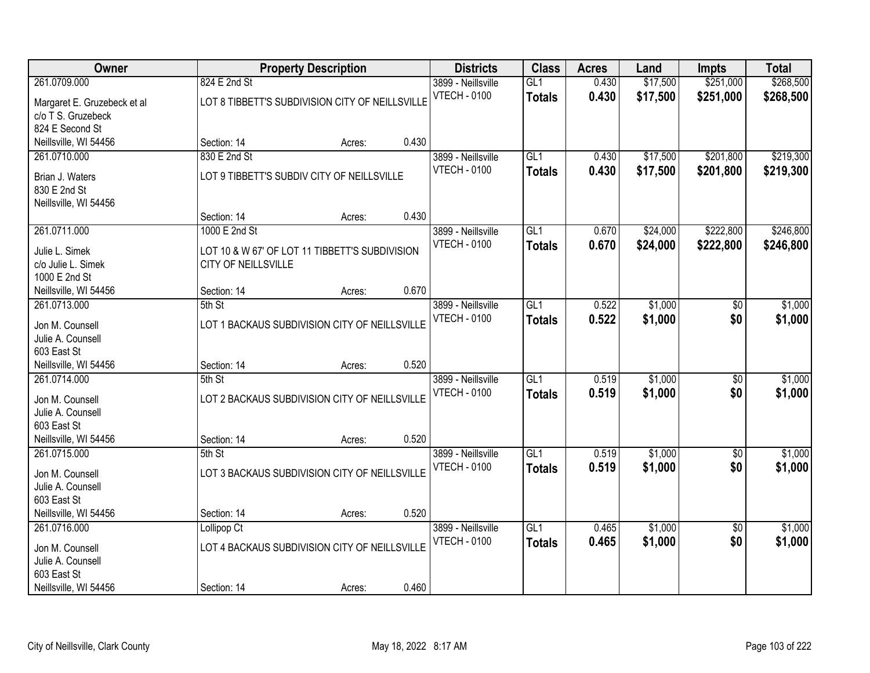| Owner                                |                     | <b>Property Description</b>                     |       | <b>Districts</b>                          | <b>Class</b>     | <b>Acres</b> | Land     | <b>Impts</b>    | <b>Total</b> |
|--------------------------------------|---------------------|-------------------------------------------------|-------|-------------------------------------------|------------------|--------------|----------|-----------------|--------------|
| 261.0709.000                         | 824 E 2nd St        |                                                 |       | 3899 - Neillsville                        | GL1              | 0.430        | \$17,500 | \$251,000       | \$268,500    |
| Margaret E. Gruzebeck et al          |                     | LOT 8 TIBBETT'S SUBDIVISION CITY OF NEILLSVILLE |       | <b>VTECH - 0100</b>                       | <b>Totals</b>    | 0.430        | \$17,500 | \$251,000       | \$268,500    |
| c/o T S. Gruzebeck                   |                     |                                                 |       |                                           |                  |              |          |                 |              |
| 824 E Second St                      |                     |                                                 |       |                                           |                  |              |          |                 |              |
| Neillsville, WI 54456                | Section: 14         | Acres:                                          | 0.430 |                                           |                  |              |          |                 |              |
| 261.0710.000                         | 830 E 2nd St        |                                                 |       | 3899 - Neillsville                        | GL1              | 0.430        | \$17,500 | \$201,800       | \$219,300    |
| Brian J. Waters                      |                     | LOT 9 TIBBETT'S SUBDIV CITY OF NEILLSVILLE      |       | <b>VTECH - 0100</b>                       | <b>Totals</b>    | 0.430        | \$17,500 | \$201,800       | \$219,300    |
| 830 E 2nd St                         |                     |                                                 |       |                                           |                  |              |          |                 |              |
| Neillsville, WI 54456                |                     |                                                 |       |                                           |                  |              |          |                 |              |
|                                      | Section: 14         | Acres:                                          | 0.430 |                                           |                  |              |          |                 |              |
| 261.0711.000                         | 1000 E 2nd St       |                                                 |       | 3899 - Neillsville                        | GL1              | 0.670        | \$24,000 | \$222,800       | \$246,800    |
| Julie L. Simek                       |                     | LOT 10 & W 67' OF LOT 11 TIBBETT'S SUBDIVISION  |       | <b>VTECH - 0100</b>                       | <b>Totals</b>    | 0.670        | \$24,000 | \$222,800       | \$246,800    |
| c/o Julie L. Simek                   | CITY OF NEILLSVILLE |                                                 |       |                                           |                  |              |          |                 |              |
| 1000 E 2nd St                        |                     |                                                 |       |                                           |                  |              |          |                 |              |
| Neillsville, WI 54456                | Section: 14         | Acres:                                          | 0.670 |                                           |                  |              |          |                 |              |
| 261.0713.000                         | 5th St              |                                                 |       | 3899 - Neillsville                        | GL1              | 0.522        | \$1,000  | \$0             | \$1,000      |
|                                      |                     |                                                 |       | <b>VTECH - 0100</b>                       | <b>Totals</b>    | 0.522        | \$1,000  | \$0             | \$1,000      |
| Jon M. Counsell                      |                     | LOT 1 BACKAUS SUBDIVISION CITY OF NEILLSVILLE   |       |                                           |                  |              |          |                 |              |
| Julie A. Counsell<br>603 East St     |                     |                                                 |       |                                           |                  |              |          |                 |              |
| Neillsville, WI 54456                | Section: 14         | Acres:                                          | 0.520 |                                           |                  |              |          |                 |              |
| 261.0714.000                         | 5th St              |                                                 |       | 3899 - Neillsville                        | $\overline{GL1}$ | 0.519        | \$1,000  | \$0             | \$1,000      |
|                                      |                     |                                                 |       | <b>VTECH - 0100</b>                       | <b>Totals</b>    | 0.519        | \$1,000  | \$0             | \$1,000      |
| Jon M. Counsell                      |                     | LOT 2 BACKAUS SUBDIVISION CITY OF NEILLSVILLE   |       |                                           |                  |              |          |                 |              |
| Julie A. Counsell                    |                     |                                                 |       |                                           |                  |              |          |                 |              |
| 603 East St<br>Neillsville, WI 54456 | Section: 14         |                                                 | 0.520 |                                           |                  |              |          |                 |              |
| 261.0715.000                         | $5th$ St            | Acres:                                          |       | 3899 - Neillsville                        | GL1              | 0.519        | \$1,000  | $\sqrt{6}$      | \$1,000      |
|                                      |                     |                                                 |       | <b>VTECH - 0100</b>                       | <b>Totals</b>    | 0.519        | \$1,000  | \$0             | \$1,000      |
| Jon M. Counsell                      |                     | LOT 3 BACKAUS SUBDIVISION CITY OF NEILLSVILLE   |       |                                           |                  |              |          |                 |              |
| Julie A. Counsell                    |                     |                                                 |       |                                           |                  |              |          |                 |              |
| 603 East St                          |                     |                                                 |       |                                           |                  |              |          |                 |              |
| Neillsville, WI 54456                | Section: 14         | Acres:                                          | 0.520 |                                           |                  |              |          |                 |              |
| 261.0716.000                         | Lollipop Ct         |                                                 |       | 3899 - Neillsville<br><b>VTECH - 0100</b> | GL1              | 0.465        | \$1,000  | $\overline{50}$ | \$1,000      |
| Jon M. Counsell                      |                     | LOT 4 BACKAUS SUBDIVISION CITY OF NEILLSVILLE   |       |                                           | <b>Totals</b>    | 0.465        | \$1,000  | \$0             | \$1,000      |
| Julie A. Counsell                    |                     |                                                 |       |                                           |                  |              |          |                 |              |
| 603 East St                          |                     |                                                 |       |                                           |                  |              |          |                 |              |
| Neillsville, WI 54456                | Section: 14         | Acres:                                          | 0.460 |                                           |                  |              |          |                 |              |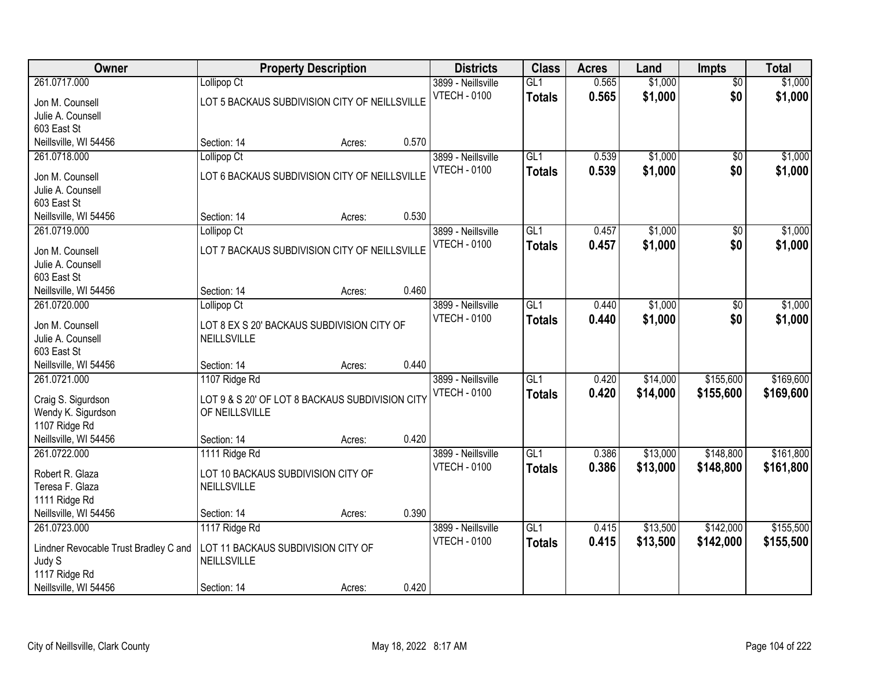| Owner                                  |                                                           | <b>Property Description</b> |       | <b>Districts</b>    | <b>Class</b>     | <b>Acres</b> | Land     | <b>Impts</b>    | <b>Total</b> |
|----------------------------------------|-----------------------------------------------------------|-----------------------------|-------|---------------------|------------------|--------------|----------|-----------------|--------------|
| 261.0717.000                           | Lollipop Ct                                               |                             |       | 3899 - Neillsville  | GL1              | 0.565        | \$1,000  | $\overline{50}$ | \$1,000      |
| Jon M. Counsell                        | LOT 5 BACKAUS SUBDIVISION CITY OF NEILLSVILLE             |                             |       | <b>VTECH - 0100</b> | <b>Totals</b>    | 0.565        | \$1,000  | \$0             | \$1,000      |
| Julie A. Counsell                      |                                                           |                             |       |                     |                  |              |          |                 |              |
| 603 East St                            |                                                           |                             |       |                     |                  |              |          |                 |              |
| Neillsville, WI 54456                  | Section: 14                                               | Acres:                      | 0.570 |                     |                  |              |          |                 |              |
| 261.0718.000                           | Lollipop Ct                                               |                             |       | 3899 - Neillsville  | GL1              | 0.539        | \$1,000  | \$0             | \$1,000      |
| Jon M. Counsell                        | LOT 6 BACKAUS SUBDIVISION CITY OF NEILLSVILLE             |                             |       | <b>VTECH - 0100</b> | <b>Totals</b>    | 0.539        | \$1,000  | \$0             | \$1,000      |
| Julie A. Counsell                      |                                                           |                             |       |                     |                  |              |          |                 |              |
| 603 East St                            |                                                           |                             |       |                     |                  |              |          |                 |              |
| Neillsville, WI 54456                  | Section: 14                                               | Acres:                      | 0.530 |                     |                  |              |          |                 |              |
| 261.0719.000                           | Lollipop <sub>Ct</sub>                                    |                             |       | 3899 - Neillsville  | GL1              | 0.457        | \$1,000  | $\overline{50}$ | \$1,000      |
| Jon M. Counsell                        | LOT 7 BACKAUS SUBDIVISION CITY OF NEILLSVILLE             |                             |       | <b>VTECH - 0100</b> | <b>Totals</b>    | 0.457        | \$1,000  | \$0             | \$1,000      |
| Julie A. Counsell                      |                                                           |                             |       |                     |                  |              |          |                 |              |
| 603 East St                            |                                                           |                             |       |                     |                  |              |          |                 |              |
| Neillsville, WI 54456                  | Section: 14                                               | Acres:                      | 0.460 |                     |                  |              |          |                 |              |
| 261.0720.000                           | Lollipop Ct                                               |                             |       | 3899 - Neillsville  | GL1              | 0.440        | \$1,000  | \$0             | \$1,000      |
|                                        |                                                           |                             |       | <b>VTECH - 0100</b> | <b>Totals</b>    | 0.440        | \$1,000  | \$0             | \$1,000      |
| Jon M. Counsell<br>Julie A. Counsell   | LOT 8 EX S 20' BACKAUS SUBDIVISION CITY OF<br>NEILLSVILLE |                             |       |                     |                  |              |          |                 |              |
| 603 East St                            |                                                           |                             |       |                     |                  |              |          |                 |              |
| Neillsville, WI 54456                  | Section: 14                                               | Acres:                      | 0.440 |                     |                  |              |          |                 |              |
| 261.0721.000                           | 1107 Ridge Rd                                             |                             |       | 3899 - Neillsville  | $\overline{GL1}$ | 0.420        | \$14,000 | \$155,600       | \$169,600    |
|                                        |                                                           |                             |       | <b>VTECH - 0100</b> | Totals           | 0.420        | \$14,000 | \$155,600       | \$169,600    |
| Craig S. Sigurdson                     | LOT 9 & S 20' OF LOT 8 BACKAUS SUBDIVISION CITY           |                             |       |                     |                  |              |          |                 |              |
| Wendy K. Sigurdson                     | OF NEILLSVILLE                                            |                             |       |                     |                  |              |          |                 |              |
| 1107 Ridge Rd<br>Neillsville, WI 54456 | Section: 14                                               | Acres:                      | 0.420 |                     |                  |              |          |                 |              |
| 261.0722.000                           | 1111 Ridge Rd                                             |                             |       | 3899 - Neillsville  | GL1              | 0.386        | \$13,000 | \$148,800       | \$161,800    |
|                                        |                                                           |                             |       | <b>VTECH - 0100</b> | <b>Totals</b>    | 0.386        | \$13,000 | \$148,800       | \$161,800    |
| Robert R. Glaza                        | LOT 10 BACKAUS SUBDIVISION CITY OF                        |                             |       |                     |                  |              |          |                 |              |
| Teresa F. Glaza                        | NEILLSVILLE                                               |                             |       |                     |                  |              |          |                 |              |
| 1111 Ridge Rd                          |                                                           |                             | 0.390 |                     |                  |              |          |                 |              |
| Neillsville, WI 54456<br>261.0723.000  | Section: 14<br>1117 Ridge Rd                              | Acres:                      |       | 3899 - Neillsville  | GL1              | 0.415        | \$13,500 | \$142,000       | \$155,500    |
|                                        |                                                           |                             |       | <b>VTECH - 0100</b> |                  | 0.415        | \$13,500 | \$142,000       |              |
| Lindner Revocable Trust Bradley C and  | LOT 11 BACKAUS SUBDIVISION CITY OF                        |                             |       |                     | <b>Totals</b>    |              |          |                 | \$155,500    |
| Judy S                                 | NEILLSVILLE                                               |                             |       |                     |                  |              |          |                 |              |
| 1117 Ridge Rd                          |                                                           |                             |       |                     |                  |              |          |                 |              |
| Neillsville, WI 54456                  | Section: 14                                               | Acres:                      | 0.420 |                     |                  |              |          |                 |              |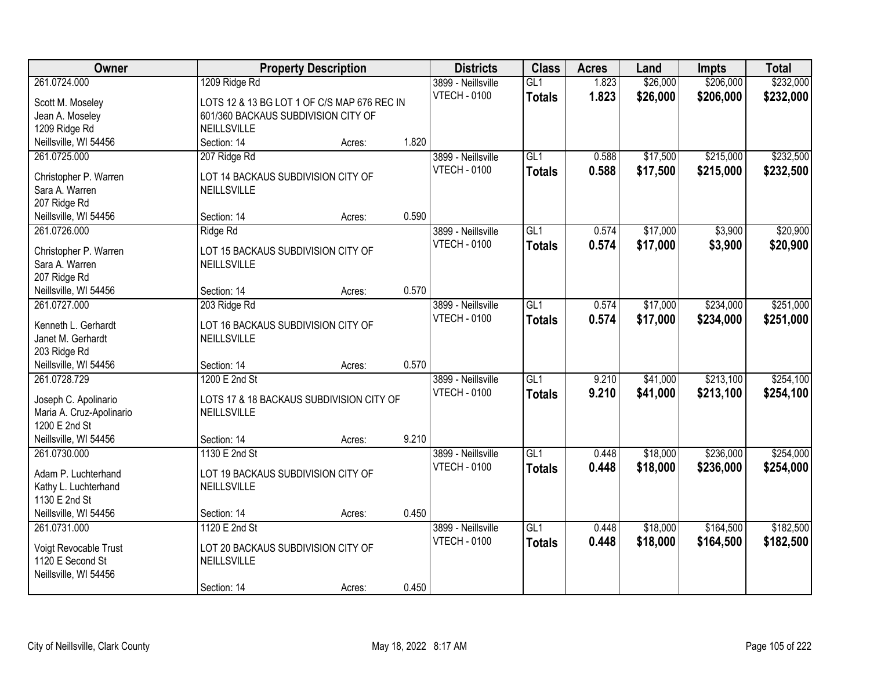| Owner                                    | <b>Property Description</b>                       |        |       | <b>Districts</b>    | <b>Class</b>     | <b>Acres</b> | Land     | <b>Impts</b> | <b>Total</b> |
|------------------------------------------|---------------------------------------------------|--------|-------|---------------------|------------------|--------------|----------|--------------|--------------|
| 261.0724.000                             | 1209 Ridge Rd                                     |        |       | 3899 - Neillsville  | GL1              | 1.823        | \$26,000 | \$206,000    | \$232,000    |
| Scott M. Moseley                         | LOTS 12 & 13 BG LOT 1 OF C/S MAP 676 REC IN       |        |       | <b>VTECH - 0100</b> | <b>Totals</b>    | 1.823        | \$26,000 | \$206,000    | \$232,000    |
| Jean A. Moseley                          | 601/360 BACKAUS SUBDIVISION CITY OF               |        |       |                     |                  |              |          |              |              |
| 1209 Ridge Rd                            | NEILLSVILLE                                       |        |       |                     |                  |              |          |              |              |
| Neillsville, WI 54456                    | Section: 14                                       | Acres: | 1.820 |                     |                  |              |          |              |              |
| 261.0725.000                             | 207 Ridge Rd                                      |        |       | 3899 - Neillsville  | GL1              | 0.588        | \$17,500 | \$215,000    | \$232,500    |
|                                          |                                                   |        |       | <b>VTECH - 0100</b> | <b>Totals</b>    | 0.588        | \$17,500 | \$215,000    | \$232,500    |
| Christopher P. Warren                    | LOT 14 BACKAUS SUBDIVISION CITY OF                |        |       |                     |                  |              |          |              |              |
| Sara A. Warren                           | NEILLSVILLE                                       |        |       |                     |                  |              |          |              |              |
| 207 Ridge Rd                             |                                                   |        |       |                     |                  |              |          |              |              |
| Neillsville, WI 54456                    | Section: 14                                       | Acres: | 0.590 |                     |                  |              |          |              |              |
| 261.0726.000                             | Ridge Rd                                          |        |       | 3899 - Neillsville  | GL1              | 0.574        | \$17,000 | \$3,900      | \$20,900     |
| Christopher P. Warren                    | LOT 15 BACKAUS SUBDIVISION CITY OF                |        |       | <b>VTECH - 0100</b> | <b>Totals</b>    | 0.574        | \$17,000 | \$3,900      | \$20,900     |
| Sara A. Warren                           | NEILLSVILLE                                       |        |       |                     |                  |              |          |              |              |
| 207 Ridge Rd                             |                                                   |        |       |                     |                  |              |          |              |              |
| Neillsville, WI 54456                    | Section: 14                                       | Acres: | 0.570 |                     |                  |              |          |              |              |
| 261.0727.000                             | 203 Ridge Rd                                      |        |       | 3899 - Neillsville  | GL1              | 0.574        | \$17,000 | \$234,000    | \$251,000    |
|                                          |                                                   |        |       | <b>VTECH - 0100</b> | <b>Totals</b>    | 0.574        | \$17,000 | \$234,000    | \$251,000    |
| Kenneth L. Gerhardt<br>Janet M. Gerhardt | LOT 16 BACKAUS SUBDIVISION CITY OF<br>NEILLSVILLE |        |       |                     |                  |              |          |              |              |
| 203 Ridge Rd                             |                                                   |        |       |                     |                  |              |          |              |              |
| Neillsville, WI 54456                    | Section: 14                                       | Acres: | 0.570 |                     |                  |              |          |              |              |
| 261.0728.729                             | 1200 E 2nd St                                     |        |       | 3899 - Neillsville  | $\overline{GL1}$ | 9.210        | \$41,000 | \$213,100    | \$254,100    |
|                                          |                                                   |        |       | <b>VTECH - 0100</b> |                  |              |          |              |              |
| Joseph C. Apolinario                     | LOTS 17 & 18 BACKAUS SUBDIVISION CITY OF          |        |       |                     | <b>Totals</b>    | 9.210        | \$41,000 | \$213,100    | \$254,100    |
| Maria A. Cruz-Apolinario                 | NEILLSVILLE                                       |        |       |                     |                  |              |          |              |              |
| 1200 E 2nd St                            |                                                   |        |       |                     |                  |              |          |              |              |
| Neillsville, WI 54456                    | Section: 14                                       | Acres: | 9.210 |                     |                  |              |          |              |              |
| 261.0730.000                             | 1130 E 2nd St                                     |        |       | 3899 - Neillsville  | GL1              | 0.448        | \$18,000 | \$236,000    | \$254,000    |
| Adam P. Luchterhand                      | LOT 19 BACKAUS SUBDIVISION CITY OF                |        |       | <b>VTECH - 0100</b> | <b>Totals</b>    | 0.448        | \$18,000 | \$236,000    | \$254,000    |
| Kathy L. Luchterhand                     | NEILLSVILLE                                       |        |       |                     |                  |              |          |              |              |
| 1130 E 2nd St                            |                                                   |        |       |                     |                  |              |          |              |              |
| Neillsville, WI 54456                    | Section: 14                                       | Acres: | 0.450 |                     |                  |              |          |              |              |
| 261.0731.000                             | 1120 E 2nd St                                     |        |       | 3899 - Neillsville  | GL1              | 0.448        | \$18,000 | \$164,500    | \$182,500    |
|                                          |                                                   |        |       | <b>VTECH - 0100</b> | <b>Totals</b>    | 0.448        | \$18,000 | \$164,500    | \$182,500    |
| Voigt Revocable Trust                    | LOT 20 BACKAUS SUBDIVISION CITY OF                |        |       |                     |                  |              |          |              |              |
| 1120 E Second St                         | NEILLSVILLE                                       |        |       |                     |                  |              |          |              |              |
| Neillsville, WI 54456                    |                                                   |        |       |                     |                  |              |          |              |              |
|                                          | Section: 14                                       | Acres: | 0.450 |                     |                  |              |          |              |              |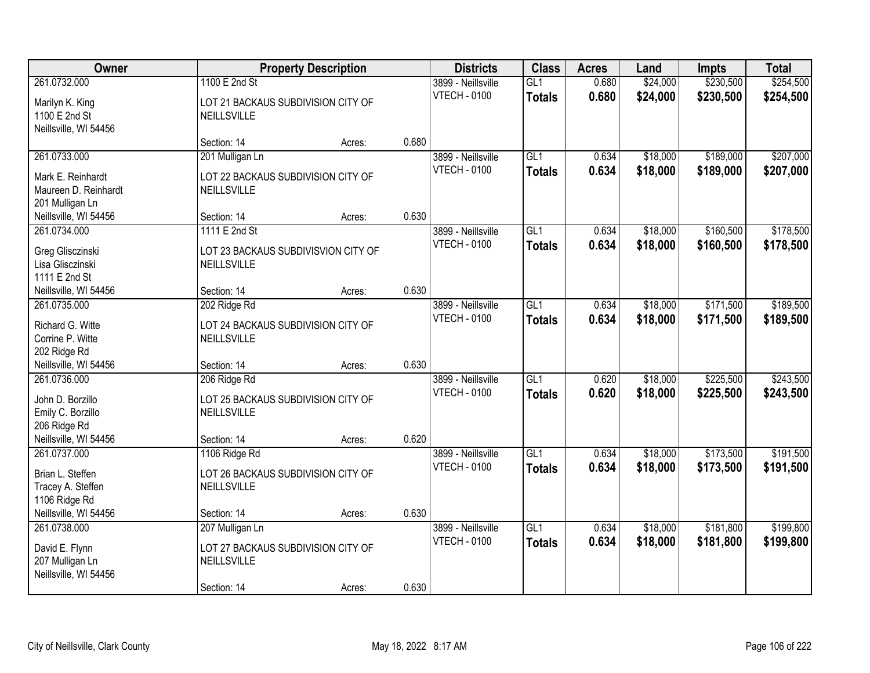| Owner                                                                                          |                                                                                     | <b>Property Description</b> |       | <b>Districts</b>                          | <b>Class</b>                      | <b>Acres</b>   | Land                 | <b>Impts</b>           | <b>Total</b>           |
|------------------------------------------------------------------------------------------------|-------------------------------------------------------------------------------------|-----------------------------|-------|-------------------------------------------|-----------------------------------|----------------|----------------------|------------------------|------------------------|
| 261.0732.000                                                                                   | 1100 E 2nd St                                                                       |                             |       | 3899 - Neillsville                        | GL1                               | 0.680          | \$24,000             | \$230,500              | \$254,500              |
| Marilyn K. King<br>1100 E 2nd St<br>Neillsville, WI 54456                                      | LOT 21 BACKAUS SUBDIVISION CITY OF<br>NEILLSVILLE                                   |                             |       | <b>VTECH - 0100</b>                       | <b>Totals</b>                     | 0.680          | \$24,000             | \$230,500              | \$254,500              |
|                                                                                                | Section: 14                                                                         | Acres:                      | 0.680 |                                           |                                   |                |                      |                        |                        |
| 261.0733.000                                                                                   | 201 Mulligan Ln                                                                     |                             |       | 3899 - Neillsville                        | GL1                               | 0.634          | \$18,000             | \$189,000              | \$207,000              |
| Mark E. Reinhardt<br>Maureen D. Reinhardt<br>201 Mulligan Ln                                   | LOT 22 BACKAUS SUBDIVISION CITY OF<br>NEILLSVILLE                                   |                             |       | <b>VTECH - 0100</b>                       | <b>Totals</b>                     | 0.634          | \$18,000             | \$189,000              | \$207,000              |
| Neillsville, WI 54456                                                                          | Section: 14                                                                         | Acres:                      | 0.630 |                                           |                                   |                |                      |                        |                        |
| 261.0734.000                                                                                   | 1111 E 2nd St                                                                       |                             |       | 3899 - Neillsville                        | GL1                               | 0.634          | \$18,000             | \$160,500              | \$178,500              |
| Greg Glisczinski<br>Lisa Glisczinski<br>1111 E 2nd St                                          | LOT 23 BACKAUS SUBDIVISVION CITY OF<br>NEILLSVILLE                                  |                             |       | <b>VTECH - 0100</b>                       | <b>Totals</b>                     | 0.634          | \$18,000             | \$160,500              | \$178,500              |
| Neillsville, WI 54456                                                                          | Section: 14                                                                         | Acres:                      | 0.630 |                                           |                                   |                |                      |                        |                        |
| 261.0735.000<br>Richard G. Witte<br>Corrine P. Witte                                           | 202 Ridge Rd<br>LOT 24 BACKAUS SUBDIVISION CITY OF<br>NEILLSVILLE                   |                             |       | 3899 - Neillsville<br><b>VTECH - 0100</b> | $\overline{GL1}$<br><b>Totals</b> | 0.634<br>0.634 | \$18,000<br>\$18,000 | \$171,500<br>\$171,500 | \$189,500<br>\$189,500 |
| 202 Ridge Rd                                                                                   |                                                                                     |                             |       |                                           |                                   |                |                      |                        |                        |
| Neillsville, WI 54456                                                                          | Section: 14                                                                         | Acres:                      | 0.630 |                                           |                                   |                |                      |                        |                        |
| 261.0736.000<br>John D. Borzillo<br>Emily C. Borzillo<br>206 Ridge Rd<br>Neillsville, WI 54456 | 206 Ridge Rd<br>LOT 25 BACKAUS SUBDIVISION CITY OF<br>NEILLSVILLE<br>Section: 14    |                             | 0.620 | 3899 - Neillsville<br><b>VTECH - 0100</b> | GL1<br><b>Totals</b>              | 0.620<br>0.620 | \$18,000<br>\$18,000 | \$225,500<br>\$225,500 | \$243,500<br>\$243,500 |
| 261.0737.000                                                                                   | 1106 Ridge Rd                                                                       | Acres:                      |       | 3899 - Neillsville                        | GL1                               | 0.634          | \$18,000             | \$173,500              | \$191,500              |
| Brian L. Steffen<br>Tracey A. Steffen<br>1106 Ridge Rd                                         | LOT 26 BACKAUS SUBDIVISION CITY OF<br>NEILLSVILLE                                   |                             |       | <b>VTECH - 0100</b>                       | <b>Totals</b>                     | 0.634          | \$18,000             | \$173,500              | \$191,500              |
| Neillsville, WI 54456                                                                          | Section: 14                                                                         | Acres:                      | 0.630 |                                           |                                   |                |                      |                        |                        |
| 261.0738.000<br>David E. Flynn<br>207 Mulligan Ln<br>Neillsville, WI 54456                     | 207 Mulligan Ln<br>LOT 27 BACKAUS SUBDIVISION CITY OF<br>NEILLSVILLE<br>Section: 14 | Acres:                      | 0.630 | 3899 - Neillsville<br><b>VTECH - 0100</b> | GL1<br><b>Totals</b>              | 0.634<br>0.634 | \$18,000<br>\$18,000 | \$181,800<br>\$181,800 | \$199,800<br>\$199,800 |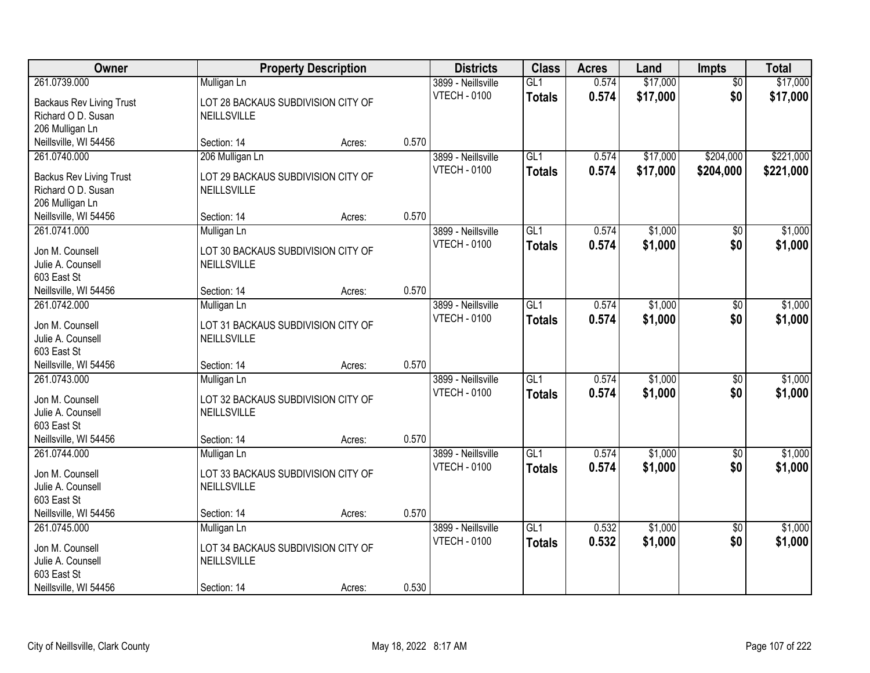| <b>Owner</b>                         | <b>Property Description</b>                              |        |       | <b>Districts</b>    | <b>Class</b>    | <b>Acres</b> | Land     | Impts           | <b>Total</b> |
|--------------------------------------|----------------------------------------------------------|--------|-------|---------------------|-----------------|--------------|----------|-----------------|--------------|
| 261.0739.000                         | Mulligan Ln                                              |        |       | 3899 - Neillsville  | GL1             | 0.574        | \$17,000 | $\overline{50}$ | \$17,000     |
| <b>Backaus Rev Living Trust</b>      | LOT 28 BACKAUS SUBDIVISION CITY OF                       |        |       | <b>VTECH - 0100</b> | <b>Totals</b>   | 0.574        | \$17,000 | \$0             | \$17,000     |
| Richard O D. Susan                   | <b>NEILLSVILLE</b>                                       |        |       |                     |                 |              |          |                 |              |
| 206 Mulligan Ln                      |                                                          |        |       |                     |                 |              |          |                 |              |
| Neillsville, WI 54456                | Section: 14                                              | Acres: | 0.570 |                     |                 |              |          |                 |              |
| 261.0740.000                         | 206 Mulligan Ln                                          |        |       | 3899 - Neillsville  | GL1             | 0.574        | \$17,000 | \$204,000       | \$221,000    |
|                                      |                                                          |        |       | <b>VTECH - 0100</b> | <b>Totals</b>   | 0.574        | \$17,000 | \$204,000       | \$221,000    |
| <b>Backus Rev Living Trust</b>       | LOT 29 BACKAUS SUBDIVISION CITY OF                       |        |       |                     |                 |              |          |                 |              |
| Richard O D. Susan                   | <b>NEILLSVILLE</b>                                       |        |       |                     |                 |              |          |                 |              |
| 206 Mulligan Ln                      |                                                          |        |       |                     |                 |              |          |                 |              |
| Neillsville, WI 54456                | Section: 14                                              | Acres: | 0.570 |                     |                 |              |          |                 |              |
| 261.0741.000                         | Mulligan Ln                                              |        |       | 3899 - Neillsville  | GL <sub>1</sub> | 0.574        | \$1,000  | \$0             | \$1,000      |
| Jon M. Counsell                      | LOT 30 BACKAUS SUBDIVISION CITY OF                       |        |       | <b>VTECH - 0100</b> | <b>Totals</b>   | 0.574        | \$1,000  | \$0             | \$1,000      |
| Julie A. Counsell                    | NEILLSVILLE                                              |        |       |                     |                 |              |          |                 |              |
| 603 East St                          |                                                          |        |       |                     |                 |              |          |                 |              |
| Neillsville, WI 54456                | Section: 14                                              | Acres: | 0.570 |                     |                 |              |          |                 |              |
| 261.0742.000                         | Mulligan Ln                                              |        |       | 3899 - Neillsville  | GL1             | 0.574        | \$1,000  | \$0             | \$1,000      |
|                                      |                                                          |        |       | <b>VTECH - 0100</b> | <b>Totals</b>   | 0.574        | \$1,000  | \$0             | \$1,000      |
| Jon M. Counsell<br>Julie A. Counsell | LOT 31 BACKAUS SUBDIVISION CITY OF<br><b>NEILLSVILLE</b> |        |       |                     |                 |              |          |                 |              |
| 603 East St                          |                                                          |        |       |                     |                 |              |          |                 |              |
| Neillsville, WI 54456                | Section: 14                                              | Acres: | 0.570 |                     |                 |              |          |                 |              |
| 261.0743.000                         | Mulligan Ln                                              |        |       | 3899 - Neillsville  | GLI             | 0.574        | \$1,000  | \$0             | \$1,000      |
|                                      |                                                          |        |       | <b>VTECH - 0100</b> | <b>Totals</b>   | 0.574        | \$1,000  | \$0             | \$1,000      |
| Jon M. Counsell                      | LOT 32 BACKAUS SUBDIVISION CITY OF                       |        |       |                     |                 |              |          |                 |              |
| Julie A. Counsell                    | NEILLSVILLE                                              |        |       |                     |                 |              |          |                 |              |
| 603 East St                          |                                                          |        |       |                     |                 |              |          |                 |              |
| Neillsville, WI 54456                | Section: 14                                              | Acres: | 0.570 |                     |                 |              |          |                 |              |
| 261.0744.000                         | Mulligan Ln                                              |        |       | 3899 - Neillsville  | GL1             | 0.574        | \$1,000  | $\sqrt{$0}$     | \$1,000      |
| Jon M. Counsell                      | LOT 33 BACKAUS SUBDIVISION CITY OF                       |        |       | <b>VTECH - 0100</b> | <b>Totals</b>   | 0.574        | \$1,000  | \$0             | \$1,000      |
| Julie A. Counsell                    | <b>NEILLSVILLE</b>                                       |        |       |                     |                 |              |          |                 |              |
| 603 East St                          |                                                          |        |       |                     |                 |              |          |                 |              |
| Neillsville, WI 54456                | Section: 14                                              | Acres: | 0.570 |                     |                 |              |          |                 |              |
| 261.0745.000                         | Mulligan Ln                                              |        |       | 3899 - Neillsville  | GL1             | 0.532        | \$1,000  | $\overline{50}$ | \$1,000      |
|                                      |                                                          |        |       | <b>VTECH - 0100</b> | <b>Totals</b>   | 0.532        | \$1,000  | \$0             | \$1,000      |
| Jon M. Counsell                      | LOT 34 BACKAUS SUBDIVISION CITY OF                       |        |       |                     |                 |              |          |                 |              |
| Julie A. Counsell                    | NEILLSVILLE                                              |        |       |                     |                 |              |          |                 |              |
| 603 East St                          |                                                          |        |       |                     |                 |              |          |                 |              |
| Neillsville, WI 54456                | Section: 14                                              | Acres: | 0.530 |                     |                 |              |          |                 |              |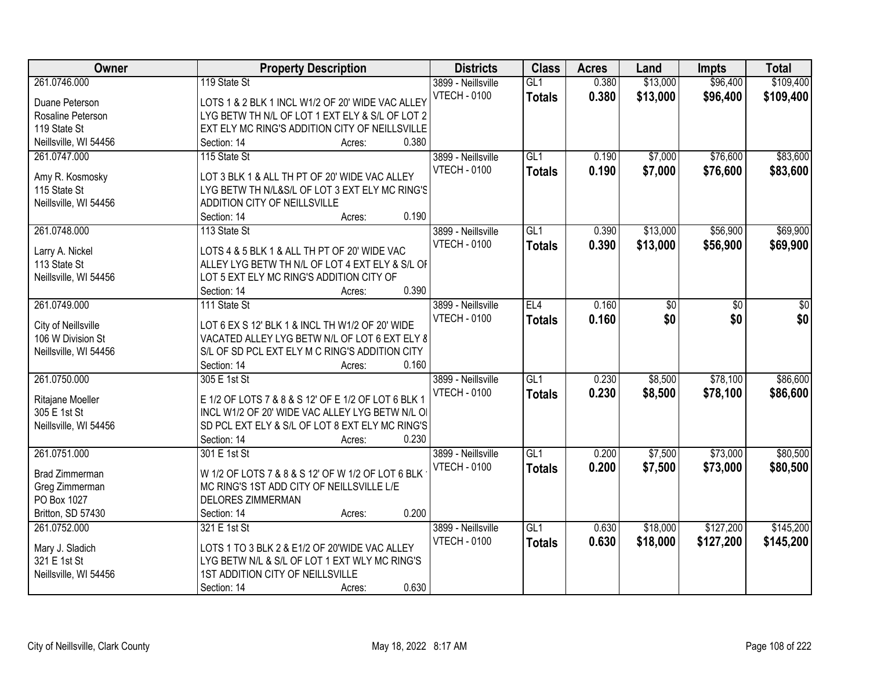| Owner                 | <b>Property Description</b>                         | <b>Districts</b>    | <b>Class</b>     | <b>Acres</b> | Land     | <b>Impts</b> | <b>Total</b> |
|-----------------------|-----------------------------------------------------|---------------------|------------------|--------------|----------|--------------|--------------|
| 261.0746.000          | 119 State St                                        | 3899 - Neillsville  | GL1              | 0.380        | \$13,000 | \$96,400     | \$109,400    |
| Duane Peterson        | LOTS 1 & 2 BLK 1 INCL W1/2 OF 20' WIDE VAC ALLEY    | <b>VTECH - 0100</b> | <b>Totals</b>    | 0.380        | \$13,000 | \$96,400     | \$109,400    |
| Rosaline Peterson     | LYG BETW TH N/L OF LOT 1 EXT ELY & S/L OF LOT 2     |                     |                  |              |          |              |              |
| 119 State St          | EXT ELY MC RING'S ADDITION CITY OF NEILLSVILLE      |                     |                  |              |          |              |              |
| Neillsville, WI 54456 | 0.380<br>Section: 14<br>Acres:                      |                     |                  |              |          |              |              |
| 261.0747.000          | 115 State St                                        | 3899 - Neillsville  | GL1              | 0.190        | \$7,000  | \$76,600     | \$83,600     |
|                       |                                                     | <b>VTECH - 0100</b> | <b>Totals</b>    | 0.190        | \$7,000  | \$76,600     | \$83,600     |
| Amy R. Kosmosky       | LOT 3 BLK 1 & ALL TH PT OF 20' WIDE VAC ALLEY       |                     |                  |              |          |              |              |
| 115 State St          | LYG BETW TH N/L&S/L OF LOT 3 EXT ELY MC RING'S      |                     |                  |              |          |              |              |
| Neillsville, WI 54456 | ADDITION CITY OF NEILLSVILLE                        |                     |                  |              |          |              |              |
|                       | 0.190<br>Section: 14<br>Acres:                      |                     |                  |              |          |              |              |
| 261.0748.000          | 113 State St                                        | 3899 - Neillsville  | GL1              | 0.390        | \$13,000 | \$56,900     | \$69,900     |
| Larry A. Nickel       | LOTS 4 & 5 BLK 1 & ALL TH PT OF 20' WIDE VAC        | <b>VTECH - 0100</b> | <b>Totals</b>    | 0.390        | \$13,000 | \$56,900     | \$69,900     |
| 113 State St          | ALLEY LYG BETW TH N/L OF LOT 4 EXT ELY & S/L OF     |                     |                  |              |          |              |              |
| Neillsville, WI 54456 | LOT 5 EXT ELY MC RING'S ADDITION CITY OF            |                     |                  |              |          |              |              |
|                       | 0.390<br>Section: 14<br>Acres:                      |                     |                  |              |          |              |              |
| 261.0749.000          | 111 State St                                        | 3899 - Neillsville  | EL4              | 0.160        | \$0      | \$0          | \$0          |
|                       |                                                     | <b>VTECH - 0100</b> | <b>Totals</b>    | 0.160        | \$0      | \$0          | \$0          |
| City of Neillsville   | LOT 6 EX S 12' BLK 1 & INCL TH W1/2 OF 20' WIDE     |                     |                  |              |          |              |              |
| 106 W Division St     | VACATED ALLEY LYG BETW N/L OF LOT 6 EXT ELY 8       |                     |                  |              |          |              |              |
| Neillsville, WI 54456 | S/L OF SD PCL EXT ELY M C RING'S ADDITION CITY      |                     |                  |              |          |              |              |
|                       | 0.160<br>Section: 14<br>Acres:                      |                     |                  |              |          |              |              |
| 261.0750.000          | 305 E 1st St                                        | 3899 - Neillsville  | $\overline{GL1}$ | 0.230        | \$8,500  | \$78,100     | \$86,600     |
| Ritajane Moeller      | E 1/2 OF LOTS 7 & 8 & S 12' OF E 1/2 OF LOT 6 BLK 1 | <b>VTECH - 0100</b> | <b>Totals</b>    | 0.230        | \$8,500  | \$78,100     | \$86,600     |
| 305 E 1st St          | INCL W1/2 OF 20' WIDE VAC ALLEY LYG BETW N/L OI     |                     |                  |              |          |              |              |
| Neillsville, WI 54456 | SD PCL EXT ELY & S/L OF LOT 8 EXT ELY MC RING'S     |                     |                  |              |          |              |              |
|                       | Section: 14<br>0.230<br>Acres:                      |                     |                  |              |          |              |              |
| 261.0751.000          | 301 E 1st St                                        | 3899 - Neillsville  | GL1              | 0.200        | \$7,500  | \$73,000     | \$80,500     |
|                       |                                                     | <b>VTECH - 0100</b> | <b>Totals</b>    | 0.200        | \$7,500  | \$73,000     | \$80,500     |
| Brad Zimmerman        | W 1/2 OF LOTS 7 & 8 & S 12' OF W 1/2 OF LOT 6 BLK   |                     |                  |              |          |              |              |
| Greg Zimmerman        | MC RING'S 1ST ADD CITY OF NEILLSVILLE L/E           |                     |                  |              |          |              |              |
| PO Box 1027           | <b>DELORES ZIMMERMAN</b>                            |                     |                  |              |          |              |              |
| Britton, SD 57430     | 0.200<br>Section: 14<br>Acres:                      |                     |                  |              |          |              |              |
| 261.0752.000          | 321 E 1st St                                        | 3899 - Neillsville  | GL1              | 0.630        | \$18,000 | \$127,200    | \$145,200    |
| Mary J. Sladich       | LOTS 1 TO 3 BLK 2 & E1/2 OF 20'WIDE VAC ALLEY       | <b>VTECH - 0100</b> | <b>Totals</b>    | 0.630        | \$18,000 | \$127,200    | \$145,200    |
| 321 E 1st St          | LYG BETW N/L & S/L OF LOT 1 EXT WLY MC RING'S       |                     |                  |              |          |              |              |
| Neillsville, WI 54456 | 1ST ADDITION CITY OF NEILLSVILLE                    |                     |                  |              |          |              |              |
|                       | 0.630<br>Section: 14<br>Acres:                      |                     |                  |              |          |              |              |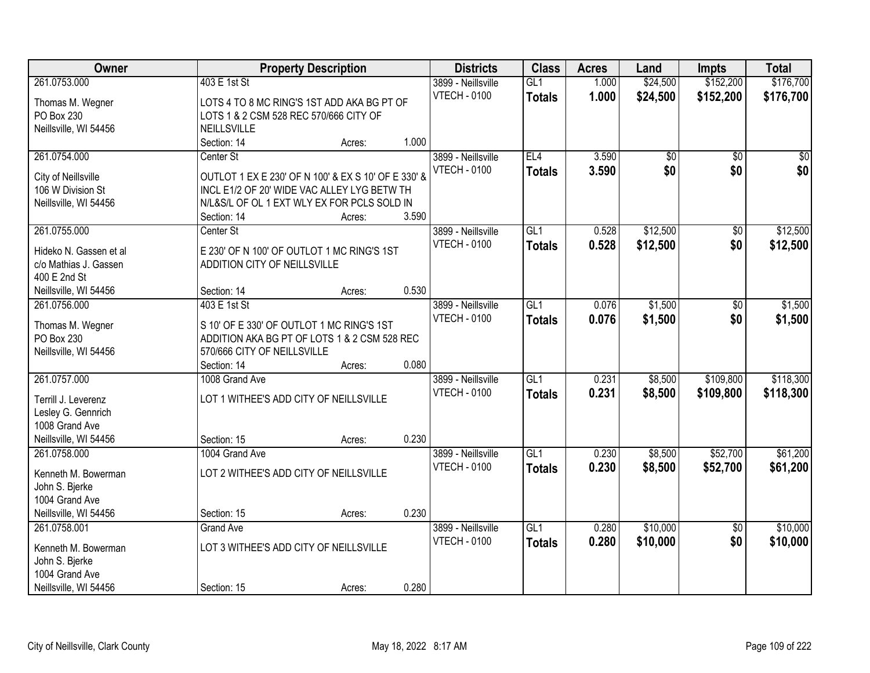| Owner                  | <b>Property Description</b>                         | <b>Districts</b>    | <b>Class</b>    | <b>Acres</b> | Land            | Impts           | <b>Total</b> |
|------------------------|-----------------------------------------------------|---------------------|-----------------|--------------|-----------------|-----------------|--------------|
| 261.0753.000           | 403 E 1st St                                        | 3899 - Neillsville  | GL1             | 1.000        | \$24,500        | \$152,200       | \$176,700    |
| Thomas M. Wegner       | LOTS 4 TO 8 MC RING'S 1ST ADD AKA BG PT OF          | <b>VTECH - 0100</b> | <b>Totals</b>   | 1.000        | \$24,500        | \$152,200       | \$176,700    |
| PO Box 230             | LOTS 1 & 2 CSM 528 REC 570/666 CITY OF              |                     |                 |              |                 |                 |              |
| Neillsville, WI 54456  | <b>NEILLSVILLE</b>                                  |                     |                 |              |                 |                 |              |
|                        | 1.000<br>Section: 14<br>Acres:                      |                     |                 |              |                 |                 |              |
| 261.0754.000           | Center St                                           | 3899 - Neillsville  | EL4             | 3.590        | $\overline{50}$ | $\overline{50}$ | $\sqrt{50}$  |
|                        |                                                     | <b>VTECH - 0100</b> | <b>Totals</b>   | 3.590        | \$0             | \$0             | \$0          |
| City of Neillsville    | OUTLOT 1 EX E 230' OF N 100' & EX S 10' OF E 330' & |                     |                 |              |                 |                 |              |
| 106 W Division St      | INCL E1/2 OF 20' WIDE VAC ALLEY LYG BETW TH         |                     |                 |              |                 |                 |              |
| Neillsville, WI 54456  | N/L&S/L OF OL 1 EXT WLY EX FOR PCLS SOLD IN         |                     |                 |              |                 |                 |              |
|                        | 3.590<br>Section: 14<br>Acres:                      |                     |                 |              |                 |                 |              |
| 261.0755.000           | Center St                                           | 3899 - Neillsville  | GL <sub>1</sub> | 0.528        | \$12,500        | \$0             | \$12,500     |
| Hideko N. Gassen et al | E 230' OF N 100' OF OUTLOT 1 MC RING'S 1ST          | <b>VTECH - 0100</b> | <b>Totals</b>   | 0.528        | \$12,500        | \$0             | \$12,500     |
| c/o Mathias J. Gassen  | ADDITION CITY OF NEILLSVILLE                        |                     |                 |              |                 |                 |              |
| 400 E 2nd St           |                                                     |                     |                 |              |                 |                 |              |
| Neillsville, WI 54456  | 0.530<br>Section: 14<br>Acres:                      |                     |                 |              |                 |                 |              |
| 261.0756.000           | 403 E 1st St                                        | 3899 - Neillsville  | GL1             | 0.076        | \$1,500         | \$0             | \$1,500      |
|                        |                                                     | <b>VTECH - 0100</b> |                 | 0.076        | \$1,500         | \$0             | \$1,500      |
| Thomas M. Wegner       | S 10' OF E 330' OF OUTLOT 1 MC RING'S 1ST           |                     | <b>Totals</b>   |              |                 |                 |              |
| PO Box 230             | ADDITION AKA BG PT OF LOTS 1 & 2 CSM 528 REC        |                     |                 |              |                 |                 |              |
| Neillsville, WI 54456  | 570/666 CITY OF NEILLSVILLE                         |                     |                 |              |                 |                 |              |
|                        | 0.080<br>Section: 14<br>Acres:                      |                     |                 |              |                 |                 |              |
| 261.0757.000           | 1008 Grand Ave                                      | 3899 - Neillsville  | GL1             | 0.231        | \$8,500         | \$109,800       | \$118,300    |
| Terrill J. Leverenz    | LOT 1 WITHEE'S ADD CITY OF NEILLSVILLE              | <b>VTECH - 0100</b> | <b>Totals</b>   | 0.231        | \$8,500         | \$109,800       | \$118,300    |
| Lesley G. Gennrich     |                                                     |                     |                 |              |                 |                 |              |
| 1008 Grand Ave         |                                                     |                     |                 |              |                 |                 |              |
| Neillsville, WI 54456  | 0.230<br>Section: 15<br>Acres:                      |                     |                 |              |                 |                 |              |
| 261.0758.000           | 1004 Grand Ave                                      | 3899 - Neillsville  | GL1             | 0.230        | \$8,500         | \$52,700        | \$61,200     |
|                        |                                                     | <b>VTECH - 0100</b> |                 |              |                 |                 |              |
| Kenneth M. Bowerman    | LOT 2 WITHEE'S ADD CITY OF NEILLSVILLE              |                     | <b>Totals</b>   | 0.230        | \$8,500         | \$52,700        | \$61,200     |
| John S. Bjerke         |                                                     |                     |                 |              |                 |                 |              |
| 1004 Grand Ave         |                                                     |                     |                 |              |                 |                 |              |
| Neillsville, WI 54456  | 0.230<br>Section: 15<br>Acres:                      |                     |                 |              |                 |                 |              |
| 261.0758.001           | <b>Grand Ave</b>                                    | 3899 - Neillsville  | GL1             | 0.280        | \$10,000        | $\overline{50}$ | \$10,000     |
| Kenneth M. Bowerman    | LOT 3 WITHEE'S ADD CITY OF NEILLSVILLE              | <b>VTECH - 0100</b> | <b>Totals</b>   | 0.280        | \$10,000        | \$0             | \$10,000     |
| John S. Bjerke         |                                                     |                     |                 |              |                 |                 |              |
| 1004 Grand Ave         |                                                     |                     |                 |              |                 |                 |              |
| Neillsville, WI 54456  | 0.280<br>Section: 15<br>Acres:                      |                     |                 |              |                 |                 |              |
|                        |                                                     |                     |                 |              |                 |                 |              |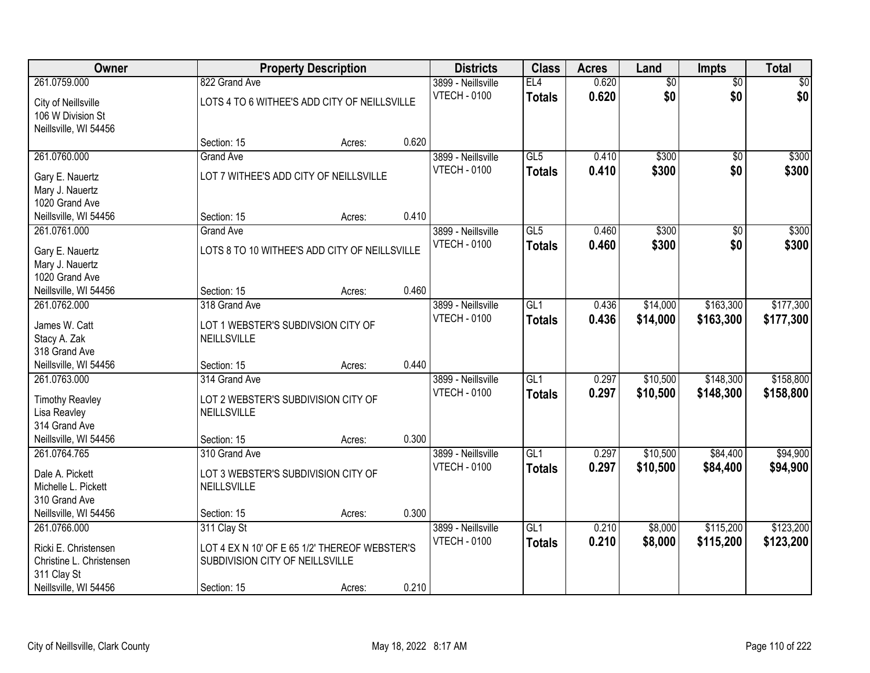| Owner                                  |                                                   | <b>Property Description</b> |       |                     | <b>Class</b>    | <b>Acres</b> | Land            | <b>Impts</b>    | <b>Total</b> |
|----------------------------------------|---------------------------------------------------|-----------------------------|-------|---------------------|-----------------|--------------|-----------------|-----------------|--------------|
| 261.0759.000                           | 822 Grand Ave                                     |                             |       | 3899 - Neillsville  | EL4             | 0.620        | $\overline{60}$ | $\overline{60}$ | \$0          |
| City of Neillsville                    | LOTS 4 TO 6 WITHEE'S ADD CITY OF NEILLSVILLE      |                             |       | <b>VTECH - 0100</b> | <b>Totals</b>   | 0.620        | \$0             | \$0             | \$0          |
| 106 W Division St                      |                                                   |                             |       |                     |                 |              |                 |                 |              |
| Neillsville, WI 54456                  |                                                   |                             |       |                     |                 |              |                 |                 |              |
|                                        | Section: 15                                       | Acres:                      | 0.620 |                     |                 |              |                 |                 |              |
| 261.0760.000                           | <b>Grand Ave</b>                                  |                             |       | 3899 - Neillsville  | GL5             | 0.410        | \$300           | $\overline{50}$ | \$300        |
| Gary E. Nauertz                        | LOT 7 WITHEE'S ADD CITY OF NEILLSVILLE            |                             |       | <b>VTECH - 0100</b> | <b>Totals</b>   | 0.410        | \$300           | \$0             | \$300        |
| Mary J. Nauertz                        |                                                   |                             |       |                     |                 |              |                 |                 |              |
| 1020 Grand Ave                         |                                                   |                             |       |                     |                 |              |                 |                 |              |
| Neillsville, WI 54456                  | Section: 15                                       | Acres:                      | 0.410 |                     |                 |              |                 |                 |              |
| 261.0761.000                           | <b>Grand Ave</b>                                  |                             |       | 3899 - Neillsville  | GL5             | 0.460        | \$300           | \$0             | \$300        |
| Gary E. Nauertz                        | LOTS 8 TO 10 WITHEE'S ADD CITY OF NEILLSVILLE     |                             |       | <b>VTECH - 0100</b> | <b>Totals</b>   | 0.460        | \$300           | \$0             | \$300        |
| Mary J. Nauertz                        |                                                   |                             |       |                     |                 |              |                 |                 |              |
| 1020 Grand Ave                         |                                                   |                             |       |                     |                 |              |                 |                 |              |
| Neillsville, WI 54456                  | Section: 15                                       | Acres:                      | 0.460 |                     |                 |              |                 |                 |              |
| 261.0762.000                           | 318 Grand Ave                                     |                             |       | 3899 - Neillsville  | GL1             | 0.436        | \$14,000        | \$163,300       | \$177,300    |
|                                        |                                                   |                             |       | <b>VTECH - 0100</b> | <b>Totals</b>   | 0.436        | \$14,000        | \$163,300       | \$177,300    |
| James W. Catt<br>Stacy A. Zak          | LOT 1 WEBSTER'S SUBDIVSION CITY OF<br>NEILLSVILLE |                             |       |                     |                 |              |                 |                 |              |
| 318 Grand Ave                          |                                                   |                             |       |                     |                 |              |                 |                 |              |
| Neillsville, WI 54456                  | Section: 15                                       | Acres:                      | 0.440 |                     |                 |              |                 |                 |              |
| 261.0763.000                           | 314 Grand Ave                                     |                             |       | 3899 - Neillsville  | GL1             | 0.297        | \$10,500        | \$148,300       | \$158,800    |
|                                        |                                                   |                             |       | <b>VTECH - 0100</b> | <b>Totals</b>   | 0.297        | \$10,500        | \$148,300       | \$158,800    |
| <b>Timothy Reavley</b>                 | LOT 2 WEBSTER'S SUBDIVISION CITY OF               |                             |       |                     |                 |              |                 |                 |              |
| Lisa Reavley                           | <b>NEILLSVILLE</b>                                |                             |       |                     |                 |              |                 |                 |              |
| 314 Grand Ave<br>Neillsville, WI 54456 | Section: 15                                       | Acres:                      | 0.300 |                     |                 |              |                 |                 |              |
| 261.0764.765                           | 310 Grand Ave                                     |                             |       | 3899 - Neillsville  | GL <sub>1</sub> | 0.297        | \$10,500        | \$84,400        | \$94,900     |
|                                        |                                                   |                             |       | <b>VTECH - 0100</b> | <b>Totals</b>   | 0.297        | \$10,500        | \$84,400        | \$94,900     |
| Dale A. Pickett                        | LOT 3 WEBSTER'S SUBDIVISION CITY OF               |                             |       |                     |                 |              |                 |                 |              |
| Michelle L. Pickett                    | <b>NEILLSVILLE</b>                                |                             |       |                     |                 |              |                 |                 |              |
| 310 Grand Ave                          |                                                   |                             |       |                     |                 |              |                 |                 |              |
| Neillsville, WI 54456                  | Section: 15                                       | Acres:                      | 0.300 |                     |                 |              |                 |                 |              |
| 261.0766.000                           | 311 Clay St                                       |                             |       | 3899 - Neillsville  | GL1             | 0.210        | \$8,000         | \$115,200       | \$123,200    |
| Ricki E. Christensen                   | LOT 4 EX N 10' OF E 65 1/2' THEREOF WEBSTER'S     |                             |       | <b>VTECH - 0100</b> | <b>Totals</b>   | 0.210        | \$8,000         | \$115,200       | \$123,200    |
| Christine L. Christensen               | SUBDIVISION CITY OF NEILLSVILLE                   |                             |       |                     |                 |              |                 |                 |              |
| 311 Clay St                            |                                                   |                             |       |                     |                 |              |                 |                 |              |
| Neillsville, WI 54456                  | Section: 15                                       | Acres:                      | 0.210 |                     |                 |              |                 |                 |              |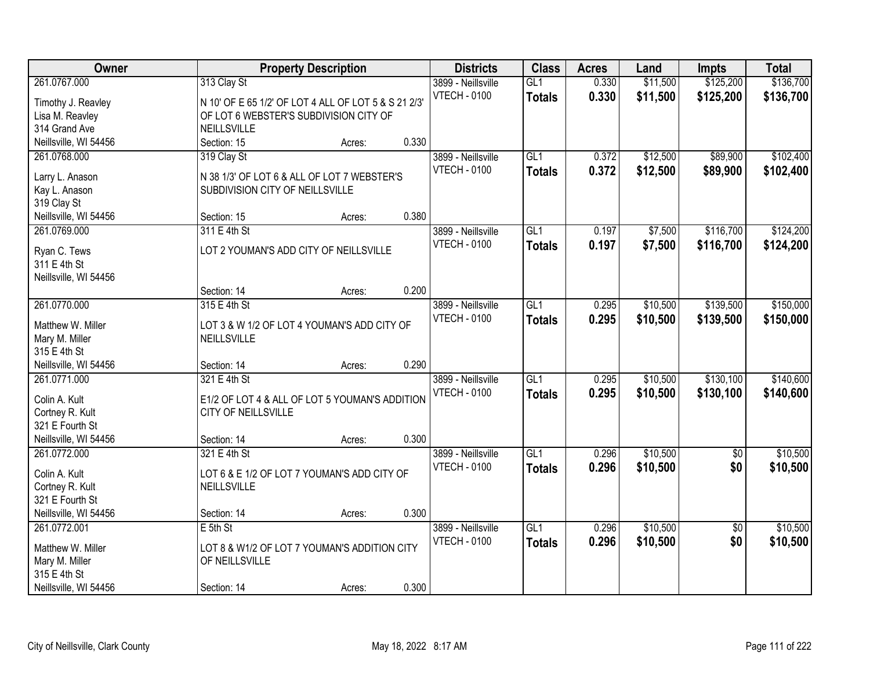| Owner                 |                                                      | <b>Property Description</b> |       |                     | <b>Class</b>     | <b>Acres</b> | Land     | Impts           | <b>Total</b> |
|-----------------------|------------------------------------------------------|-----------------------------|-------|---------------------|------------------|--------------|----------|-----------------|--------------|
| 261.0767.000          | 313 Clay St                                          |                             |       | 3899 - Neillsville  | GL1              | 0.330        | \$11,500 | \$125,200       | \$136,700    |
| Timothy J. Reavley    | N 10' OF E 65 1/2' OF LOT 4 ALL OF LOT 5 & S 21 2/3' |                             |       | <b>VTECH - 0100</b> | <b>Totals</b>    | 0.330        | \$11,500 | \$125,200       | \$136,700    |
| Lisa M. Reavley       | OF LOT 6 WEBSTER'S SUBDIVISION CITY OF               |                             |       |                     |                  |              |          |                 |              |
| 314 Grand Ave         | NEILLSVILLE                                          |                             |       |                     |                  |              |          |                 |              |
| Neillsville, WI 54456 | Section: 15                                          | Acres:                      | 0.330 |                     |                  |              |          |                 |              |
| 261.0768.000          | 319 Clay St                                          |                             |       | 3899 - Neillsville  | GL1              | 0.372        | \$12,500 | \$89,900        | \$102,400    |
|                       |                                                      |                             |       | <b>VTECH - 0100</b> | <b>Totals</b>    | 0.372        | \$12,500 | \$89,900        | \$102,400    |
| Larry L. Anason       | N 38 1/3' OF LOT 6 & ALL OF LOT 7 WEBSTER'S          |                             |       |                     |                  |              |          |                 |              |
| Kay L. Anason         | SUBDIVISION CITY OF NEILLSVILLE                      |                             |       |                     |                  |              |          |                 |              |
| 319 Clay St           |                                                      |                             |       |                     |                  |              |          |                 |              |
| Neillsville, WI 54456 | Section: 15                                          | Acres:                      | 0.380 |                     |                  |              |          |                 |              |
| 261.0769.000          | 311 E 4th St                                         |                             |       | 3899 - Neillsville  | GL1              | 0.197        | \$7,500  | \$116,700       | \$124,200    |
| Ryan C. Tews          | LOT 2 YOUMAN'S ADD CITY OF NEILLSVILLE               |                             |       | <b>VTECH - 0100</b> | <b>Totals</b>    | 0.197        | \$7,500  | \$116,700       | \$124,200    |
| 311 E 4th St          |                                                      |                             |       |                     |                  |              |          |                 |              |
| Neillsville, WI 54456 |                                                      |                             |       |                     |                  |              |          |                 |              |
|                       | Section: 14                                          | Acres:                      | 0.200 |                     |                  |              |          |                 |              |
| 261.0770.000          | 315 E 4th St                                         |                             |       | 3899 - Neillsville  | GL1              | 0.295        | \$10,500 | \$139,500       | \$150,000    |
|                       |                                                      |                             |       | <b>VTECH - 0100</b> | <b>Totals</b>    | 0.295        | \$10,500 | \$139,500       | \$150,000    |
| Matthew W. Miller     | LOT 3 & W 1/2 OF LOT 4 YOUMAN'S ADD CITY OF          |                             |       |                     |                  |              |          |                 |              |
| Mary M. Miller        | NEILLSVILLE                                          |                             |       |                     |                  |              |          |                 |              |
| 315 E 4th St          |                                                      |                             |       |                     |                  |              |          |                 |              |
| Neillsville, WI 54456 | Section: 14                                          | Acres:                      | 0.290 |                     |                  |              |          |                 |              |
| 261.0771.000          | 321 E 4th St                                         |                             |       | 3899 - Neillsville  | $\overline{GL1}$ | 0.295        | \$10,500 | \$130,100       | \$140,600    |
| Colin A. Kult         | E1/2 OF LOT 4 & ALL OF LOT 5 YOUMAN'S ADDITION       |                             |       | <b>VTECH - 0100</b> | <b>Totals</b>    | 0.295        | \$10,500 | \$130,100       | \$140,600    |
| Cortney R. Kult       | CITY OF NEILLSVILLE                                  |                             |       |                     |                  |              |          |                 |              |
| 321 E Fourth St       |                                                      |                             |       |                     |                  |              |          |                 |              |
| Neillsville, WI 54456 | Section: 14                                          | Acres:                      | 0.300 |                     |                  |              |          |                 |              |
| 261.0772.000          | 321 E 4th St                                         |                             |       | 3899 - Neillsville  | GL1              | 0.296        | \$10,500 | $\sqrt{6}$      | \$10,500     |
|                       |                                                      |                             |       | <b>VTECH - 0100</b> | <b>Totals</b>    | 0.296        | \$10,500 | \$0             | \$10,500     |
| Colin A. Kult         | LOT 6 & E 1/2 OF LOT 7 YOUMAN'S ADD CITY OF          |                             |       |                     |                  |              |          |                 |              |
| Cortney R. Kult       | NEILLSVILLE                                          |                             |       |                     |                  |              |          |                 |              |
| 321 E Fourth St       |                                                      |                             |       |                     |                  |              |          |                 |              |
| Neillsville, WI 54456 | Section: 14                                          | Acres:                      | 0.300 |                     |                  |              |          |                 |              |
| 261.0772.001          | $E$ 5th St                                           |                             |       | 3899 - Neillsville  | GL1              | 0.296        | \$10,500 | $\overline{50}$ | \$10,500     |
| Matthew W. Miller     | LOT 8 & W1/2 OF LOT 7 YOUMAN'S ADDITION CITY         |                             |       | <b>VTECH - 0100</b> | <b>Totals</b>    | 0.296        | \$10,500 | \$0             | \$10,500     |
| Mary M. Miller        | OF NEILLSVILLE                                       |                             |       |                     |                  |              |          |                 |              |
| 315 E 4th St          |                                                      |                             |       |                     |                  |              |          |                 |              |
| Neillsville, WI 54456 | Section: 14                                          | Acres:                      | 0.300 |                     |                  |              |          |                 |              |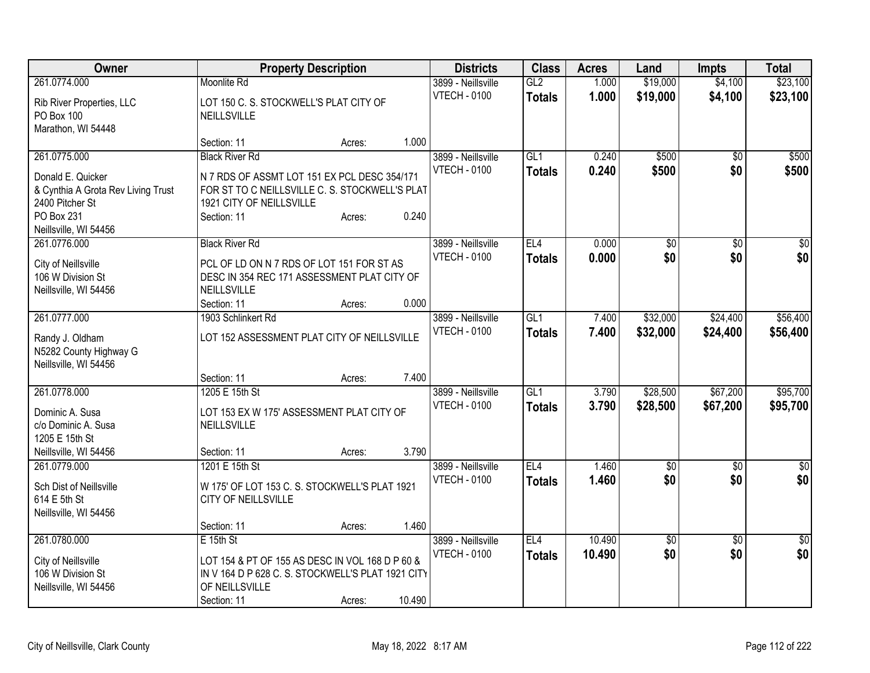| Owner                                                   | <b>Property Description</b>                                                                    |        |        | <b>Districts</b>    | <b>Class</b>  | <b>Acres</b> | Land            | <b>Impts</b>    | <b>Total</b>     |
|---------------------------------------------------------|------------------------------------------------------------------------------------------------|--------|--------|---------------------|---------------|--------------|-----------------|-----------------|------------------|
| 261.0774.000                                            | Moonlite Rd                                                                                    |        |        | 3899 - Neillsville  | GL2           | 1.000        | \$19,000        | \$4,100         | \$23,100         |
| Rib River Properties, LLC                               | LOT 150 C. S. STOCKWELL'S PLAT CITY OF                                                         |        |        | <b>VTECH - 0100</b> | <b>Totals</b> | 1.000        | \$19,000        | \$4,100         | \$23,100         |
| PO Box 100                                              | <b>NEILLSVILLE</b>                                                                             |        |        |                     |               |              |                 |                 |                  |
| Marathon, WI 54448                                      |                                                                                                |        |        |                     |               |              |                 |                 |                  |
|                                                         | Section: 11                                                                                    | Acres: | 1.000  |                     |               |              |                 |                 |                  |
| 261.0775.000                                            | <b>Black River Rd</b>                                                                          |        |        | 3899 - Neillsville  | GL1           | 0.240        | \$500           | $\overline{30}$ | \$500            |
|                                                         |                                                                                                |        |        | <b>VTECH - 0100</b> | <b>Totals</b> | 0.240        | \$500           | \$0             | \$500            |
| Donald E. Quicker<br>& Cynthia A Grota Rev Living Trust | N 7 RDS OF ASSMT LOT 151 EX PCL DESC 354/171<br>FOR ST TO C NEILLSVILLE C. S. STOCKWELL'S PLAT |        |        |                     |               |              |                 |                 |                  |
| 2400 Pitcher St                                         | 1921 CITY OF NEILLSVILLE                                                                       |        |        |                     |               |              |                 |                 |                  |
| PO Box 231                                              | Section: 11                                                                                    | Acres: | 0.240  |                     |               |              |                 |                 |                  |
| Neillsville, WI 54456                                   |                                                                                                |        |        |                     |               |              |                 |                 |                  |
| 261.0776.000                                            | <b>Black River Rd</b>                                                                          |        |        | 3899 - Neillsville  | EL4           | 0.000        | \$0             | $\sqrt{50}$     | $\overline{\$0}$ |
|                                                         |                                                                                                |        |        | <b>VTECH - 0100</b> |               | 0.000        | \$0             | \$0             | \$0              |
| City of Neillsville                                     | PCL OF LD ON N 7 RDS OF LOT 151 FOR ST AS                                                      |        |        |                     | <b>Totals</b> |              |                 |                 |                  |
| 106 W Division St                                       | DESC IN 354 REC 171 ASSESSMENT PLAT CITY OF                                                    |        |        |                     |               |              |                 |                 |                  |
| Neillsville, WI 54456                                   | NEILLSVILLE                                                                                    |        |        |                     |               |              |                 |                 |                  |
|                                                         | Section: 11                                                                                    | Acres: | 0.000  |                     |               |              |                 |                 |                  |
| 261.0777.000                                            | 1903 Schlinkert Rd                                                                             |        |        | 3899 - Neillsville  | GL1           | 7.400        | \$32,000        | \$24,400        | \$56,400         |
| Randy J. Oldham                                         | LOT 152 ASSESSMENT PLAT CITY OF NEILLSVILLE                                                    |        |        | <b>VTECH - 0100</b> | <b>Totals</b> | 7.400        | \$32,000        | \$24,400        | \$56,400         |
| N5282 County Highway G                                  |                                                                                                |        |        |                     |               |              |                 |                 |                  |
| Neillsville, WI 54456                                   |                                                                                                |        |        |                     |               |              |                 |                 |                  |
|                                                         | Section: 11                                                                                    | Acres: | 7.400  |                     |               |              |                 |                 |                  |
| 261.0778.000                                            | 1205 E 15th St                                                                                 |        |        | 3899 - Neillsville  | GL1           | 3.790        | \$28,500        | \$67,200        | \$95,700         |
|                                                         |                                                                                                |        |        | <b>VTECH - 0100</b> | <b>Totals</b> | 3.790        | \$28,500        | \$67,200        | \$95,700         |
| Dominic A. Susa                                         | LOT 153 EX W 175' ASSESSMENT PLAT CITY OF                                                      |        |        |                     |               |              |                 |                 |                  |
| c/o Dominic A. Susa                                     | NEILLSVILLE                                                                                    |        |        |                     |               |              |                 |                 |                  |
| 1205 E 15th St                                          |                                                                                                |        |        |                     |               |              |                 |                 |                  |
| Neillsville, WI 54456                                   | Section: 11                                                                                    | Acres: | 3.790  |                     |               |              |                 |                 |                  |
| 261.0779.000                                            | 1201 E 15th St                                                                                 |        |        | 3899 - Neillsville  | EL4           | 1.460        | $\overline{50}$ | $\overline{50}$ | $\overline{30}$  |
| Sch Dist of Neillsville                                 | W 175' OF LOT 153 C. S. STOCKWELL'S PLAT 1921                                                  |        |        | <b>VTECH - 0100</b> | <b>Totals</b> | 1.460        | \$0             | \$0             | \$0              |
| 614 E 5th St                                            | CITY OF NEILLSVILLE                                                                            |        |        |                     |               |              |                 |                 |                  |
| Neillsville, WI 54456                                   |                                                                                                |        |        |                     |               |              |                 |                 |                  |
|                                                         | Section: 11                                                                                    | Acres: | 1.460  |                     |               |              |                 |                 |                  |
| 261.0780.000                                            | $E$ 15th St                                                                                    |        |        | 3899 - Neillsville  | EL4           | 10.490       | $\overline{50}$ | $\overline{50}$ | $\sqrt{50}$      |
|                                                         |                                                                                                |        |        | <b>VTECH - 0100</b> | <b>Totals</b> | 10.490       | \$0             | \$0             | \$0              |
| City of Neillsville                                     | LOT 154 & PT OF 155 AS DESC IN VOL 168 D P 60 &                                                |        |        |                     |               |              |                 |                 |                  |
| 106 W Division St                                       | IN V 164 D P 628 C. S. STOCKWELL'S PLAT 1921 CITY                                              |        |        |                     |               |              |                 |                 |                  |
| Neillsville, WI 54456                                   | OF NEILLSVILLE                                                                                 |        |        |                     |               |              |                 |                 |                  |
|                                                         | Section: 11                                                                                    | Acres: | 10.490 |                     |               |              |                 |                 |                  |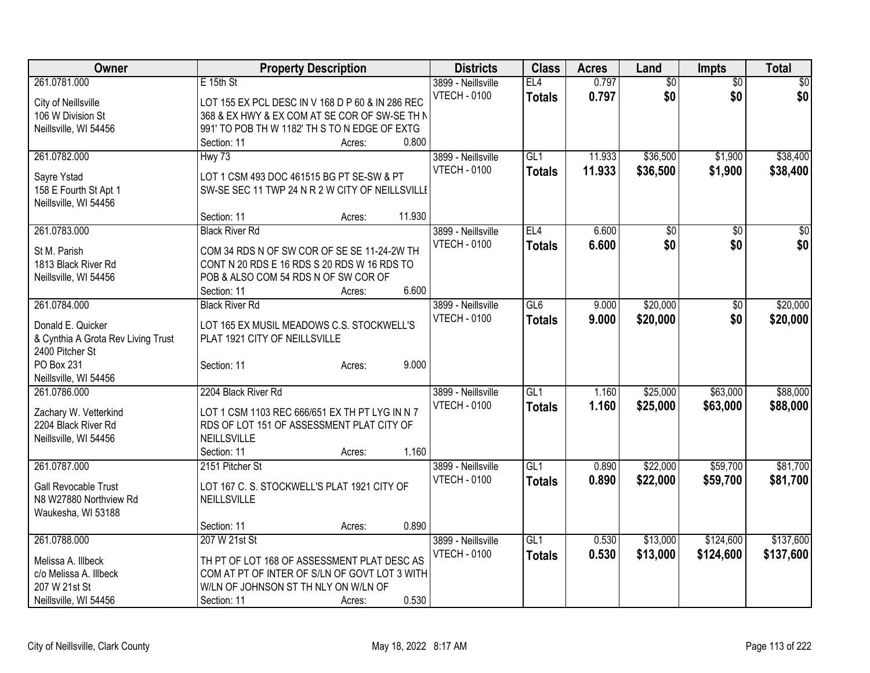| Owner                                        |                                                                                     | <b>Property Description</b> |        |                     | <b>Class</b>  | <b>Acres</b> | Land            | <b>Impts</b>    | <b>Total</b> |
|----------------------------------------------|-------------------------------------------------------------------------------------|-----------------------------|--------|---------------------|---------------|--------------|-----------------|-----------------|--------------|
| 261.0781.000                                 | E 15th St                                                                           |                             |        | 3899 - Neillsville  | EL4           | 0.797        | $\overline{50}$ | $\overline{50}$ | $\sqrt{50}$  |
| City of Neillsville                          | LOT 155 EX PCL DESC IN V 168 D P 60 & IN 286 REC                                    |                             |        | <b>VTECH - 0100</b> | <b>Totals</b> | 0.797        | \$0             | \$0             | \$0          |
| 106 W Division St                            | 368 & EX HWY & EX COM AT SE COR OF SW-SE TH N                                       |                             |        |                     |               |              |                 |                 |              |
| Neillsville, WI 54456                        | 991' TO POB TH W 1182' TH S TO N EDGE OF EXTG                                       |                             |        |                     |               |              |                 |                 |              |
|                                              | Section: 11                                                                         | Acres:                      | 0.800  |                     |               |              |                 |                 |              |
| 261.0782.000                                 | Hwy 73                                                                              |                             |        | 3899 - Neillsville  | GL1           | 11.933       | \$36,500        | \$1,900         | \$38,400     |
| Sayre Ystad                                  | LOT 1 CSM 493 DOC 461515 BG PT SE-SW & PT                                           |                             |        | <b>VTECH - 0100</b> | <b>Totals</b> | 11.933       | \$36,500        | \$1,900         | \$38,400     |
| 158 E Fourth St Apt 1                        | SW-SE SEC 11 TWP 24 N R 2 W CITY OF NEILLSVILLE                                     |                             |        |                     |               |              |                 |                 |              |
| Neillsville, WI 54456                        |                                                                                     |                             |        |                     |               |              |                 |                 |              |
|                                              | Section: 11                                                                         | Acres:                      | 11.930 |                     |               |              |                 |                 |              |
| 261.0783.000                                 | <b>Black River Rd</b>                                                               |                             |        | 3899 - Neillsville  | EL4           | 6.600        | \$0             | $\overline{50}$ | \$0          |
|                                              |                                                                                     |                             |        | <b>VTECH - 0100</b> | <b>Totals</b> | 6.600        | \$0             | \$0             | \$0          |
| St M. Parish                                 | COM 34 RDS N OF SW COR OF SE SE 11-24-2W TH                                         |                             |        |                     |               |              |                 |                 |              |
| 1813 Black River Rd<br>Neillsville, WI 54456 | CONT N 20 RDS E 16 RDS S 20 RDS W 16 RDS TO<br>POB & ALSO COM 54 RDS N OF SW COR OF |                             |        |                     |               |              |                 |                 |              |
|                                              | Section: 11                                                                         | Acres:                      | 6.600  |                     |               |              |                 |                 |              |
| 261.0784.000                                 | <b>Black River Rd</b>                                                               |                             |        | 3899 - Neillsville  | GL6           | 9.000        | \$20,000        | \$0             | \$20,000     |
|                                              |                                                                                     |                             |        | <b>VTECH - 0100</b> | <b>Totals</b> | 9.000        | \$20,000        | \$0             | \$20,000     |
| Donald E. Quicker                            | LOT 165 EX MUSIL MEADOWS C.S. STOCKWELL'S                                           |                             |        |                     |               |              |                 |                 |              |
| & Cynthia A Grota Rev Living Trust           | PLAT 1921 CITY OF NEILLSVILLE                                                       |                             |        |                     |               |              |                 |                 |              |
| 2400 Pitcher St                              |                                                                                     |                             |        |                     |               |              |                 |                 |              |
| PO Box 231                                   | Section: 11                                                                         | Acres:                      | 9.000  |                     |               |              |                 |                 |              |
| Neillsville, WI 54456<br>261.0786.000        | 2204 Black River Rd                                                                 |                             |        | 3899 - Neillsville  | GL1           | 1.160        | \$25,000        | \$63,000        | \$88,000     |
|                                              |                                                                                     |                             |        | <b>VTECH - 0100</b> |               | 1.160        |                 |                 |              |
| Zachary W. Vetterkind                        | LOT 1 CSM 1103 REC 666/651 EX TH PT LYG IN N 7                                      |                             |        |                     | <b>Totals</b> |              | \$25,000        | \$63,000        | \$88,000     |
| 2204 Black River Rd                          | RDS OF LOT 151 OF ASSESSMENT PLAT CITY OF                                           |                             |        |                     |               |              |                 |                 |              |
| Neillsville, WI 54456                        | NEILLSVILLE                                                                         |                             |        |                     |               |              |                 |                 |              |
|                                              | Section: 11                                                                         | Acres:                      | 1.160  |                     |               |              |                 |                 |              |
| 261.0787.000                                 | 2151 Pitcher St                                                                     |                             |        | 3899 - Neillsville  | GL1           | 0.890        | \$22,000        | \$59,700        | \$81,700     |
| Gall Revocable Trust                         | LOT 167 C. S. STOCKWELL'S PLAT 1921 CITY OF                                         |                             |        | <b>VTECH - 0100</b> | <b>Totals</b> | 0.890        | \$22,000        | \$59,700        | \$81,700     |
| N8 W27880 Northview Rd                       | NEILLSVILLE                                                                         |                             |        |                     |               |              |                 |                 |              |
| Waukesha, WI 53188                           |                                                                                     |                             |        |                     |               |              |                 |                 |              |
|                                              | Section: 11                                                                         | Acres:                      | 0.890  |                     |               |              |                 |                 |              |
| 261.0788.000                                 | 207 W 21st St                                                                       |                             |        | 3899 - Neillsville  | GL1           | 0.530        | \$13,000        | \$124,600       | \$137,600    |
| Melissa A. Illbeck                           | TH PT OF LOT 168 OF ASSESSMENT PLAT DESC AS                                         |                             |        | <b>VTECH - 0100</b> | <b>Totals</b> | 0.530        | \$13,000        | \$124,600       | \$137,600    |
| c/o Melissa A. Illbeck                       | COM AT PT OF INTER OF S/LN OF GOVT LOT 3 WITH                                       |                             |        |                     |               |              |                 |                 |              |
| 207 W 21st St                                | W/LN OF JOHNSON ST TH NLY ON W/LN OF                                                |                             |        |                     |               |              |                 |                 |              |
| Neillsville, WI 54456                        | Section: 11                                                                         | Acres:                      | 0.530  |                     |               |              |                 |                 |              |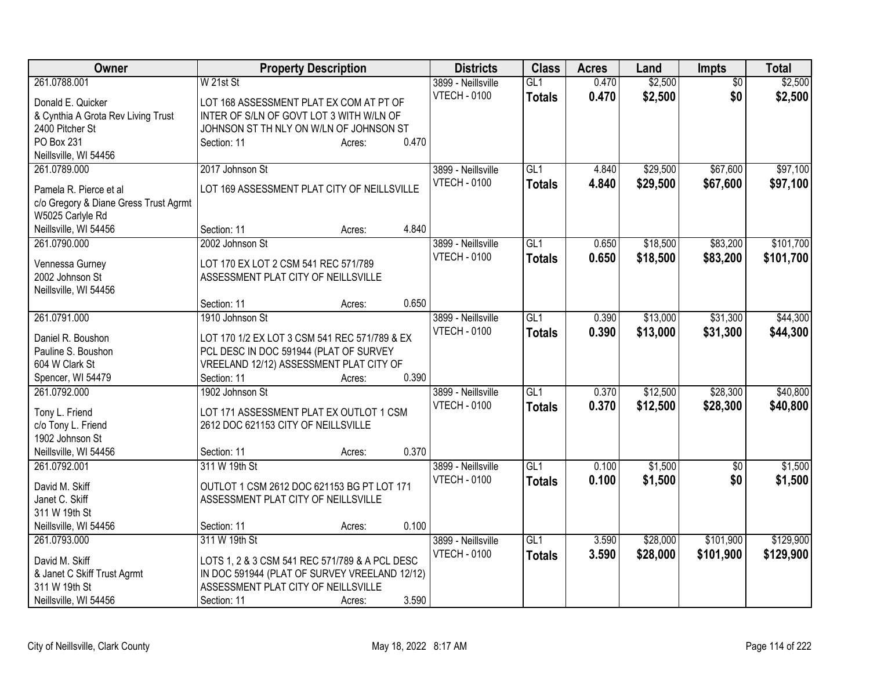| Owner                                 | <b>Property Description</b>                    |                 | <b>Districts</b>                          | <b>Class</b>     | <b>Acres</b> | Land     | <b>Impts</b>    | <b>Total</b> |
|---------------------------------------|------------------------------------------------|-----------------|-------------------------------------------|------------------|--------------|----------|-----------------|--------------|
| 261.0788.001                          | W 21st St                                      |                 | 3899 - Neillsville                        | GL1              | 0.470        | \$2,500  | $\overline{50}$ | \$2,500      |
| Donald E. Quicker                     | LOT 168 ASSESSMENT PLAT EX COM AT PT OF        |                 | <b>VTECH - 0100</b>                       | <b>Totals</b>    | 0.470        | \$2,500  | \$0             | \$2,500      |
| & Cynthia A Grota Rev Living Trust    | INTER OF S/LN OF GOVT LOT 3 WITH W/LN OF       |                 |                                           |                  |              |          |                 |              |
| 2400 Pitcher St                       | JOHNSON ST TH NLY ON W/LN OF JOHNSON ST        |                 |                                           |                  |              |          |                 |              |
| PO Box 231                            | Section: 11                                    | 0.470<br>Acres: |                                           |                  |              |          |                 |              |
| Neillsville, WI 54456                 |                                                |                 |                                           |                  |              |          |                 |              |
| 261.0789.000                          | 2017 Johnson St                                |                 | 3899 - Neillsville                        | GL <sub>1</sub>  | 4.840        | \$29,500 | \$67,600        | \$97,100     |
| Pamela R. Pierce et al                | LOT 169 ASSESSMENT PLAT CITY OF NEILLSVILLE    |                 | <b>VTECH - 0100</b>                       | <b>Totals</b>    | 4.840        | \$29,500 | \$67,600        | \$97,100     |
| c/o Gregory & Diane Gress Trust Agrmt |                                                |                 |                                           |                  |              |          |                 |              |
| W5025 Carlyle Rd                      |                                                |                 |                                           |                  |              |          |                 |              |
| Neillsville, WI 54456                 | Section: 11                                    | 4.840<br>Acres: |                                           |                  |              |          |                 |              |
| 261.0790.000                          | 2002 Johnson St                                |                 | 3899 - Neillsville                        | GL <sub>1</sub>  | 0.650        | \$18,500 | \$83,200        | \$101,700    |
|                                       |                                                |                 | <b>VTECH - 0100</b>                       | <b>Totals</b>    | 0.650        | \$18,500 | \$83,200        | \$101,700    |
| Vennessa Gurney                       | LOT 170 EX LOT 2 CSM 541 REC 571/789           |                 |                                           |                  |              |          |                 |              |
| 2002 Johnson St                       | ASSESSMENT PLAT CITY OF NEILLSVILLE            |                 |                                           |                  |              |          |                 |              |
| Neillsville, WI 54456                 |                                                |                 |                                           |                  |              |          |                 |              |
|                                       | Section: 11                                    | 0.650<br>Acres: |                                           |                  |              |          |                 |              |
| 261.0791.000                          | 1910 Johnson St                                |                 | 3899 - Neillsville<br><b>VTECH - 0100</b> | GL1              | 0.390        | \$13,000 | \$31,300        | \$44,300     |
| Daniel R. Boushon                     | LOT 170 1/2 EX LOT 3 CSM 541 REC 571/789 & EX  |                 |                                           | <b>Totals</b>    | 0.390        | \$13,000 | \$31,300        | \$44,300     |
| Pauline S. Boushon                    | PCL DESC IN DOC 591944 (PLAT OF SURVEY         |                 |                                           |                  |              |          |                 |              |
| 604 W Clark St                        | VREELAND 12/12) ASSESSMENT PLAT CITY OF        |                 |                                           |                  |              |          |                 |              |
| Spencer, WI 54479                     | Section: 11                                    | 0.390<br>Acres: |                                           |                  |              |          |                 |              |
| 261.0792.000                          | 1902 Johnson St                                |                 | 3899 - Neillsville                        | GL1              | 0.370        | \$12,500 | \$28,300        | \$40,800     |
| Tony L. Friend                        | LOT 171 ASSESSMENT PLAT EX OUTLOT 1 CSM        |                 | <b>VTECH - 0100</b>                       | <b>Totals</b>    | 0.370        | \$12,500 | \$28,300        | \$40,800     |
| c/o Tony L. Friend                    | 2612 DOC 621153 CITY OF NEILLSVILLE            |                 |                                           |                  |              |          |                 |              |
| 1902 Johnson St                       |                                                |                 |                                           |                  |              |          |                 |              |
| Neillsville, WI 54456                 | Section: 11                                    | 0.370<br>Acres: |                                           |                  |              |          |                 |              |
| 261.0792.001                          | 311 W 19th St                                  |                 | 3899 - Neillsville                        | GL1              | 0.100        | \$1,500  | $\overline{50}$ | \$1,500      |
|                                       |                                                |                 | <b>VTECH - 0100</b>                       | <b>Totals</b>    | 0.100        | \$1,500  | \$0             | \$1,500      |
| David M. Skiff                        | OUTLOT 1 CSM 2612 DOC 621153 BG PT LOT 171     |                 |                                           |                  |              |          |                 |              |
| Janet C. Skiff                        | ASSESSMENT PLAT CITY OF NEILLSVILLE            |                 |                                           |                  |              |          |                 |              |
| 311 W 19th St                         |                                                |                 |                                           |                  |              |          |                 |              |
| Neillsville, WI 54456                 | Section: 11                                    | 0.100<br>Acres: |                                           |                  |              |          |                 |              |
| 261.0793.000                          | 311 W 19th St                                  |                 | 3899 - Neillsville                        | $\overline{GL1}$ | 3.590        | \$28,000 | \$101,900       | \$129,900    |
| David M. Skiff                        | LOTS 1, 2 & 3 CSM 541 REC 571/789 & A PCL DESC |                 | <b>VTECH - 0100</b>                       | <b>Totals</b>    | 3.590        | \$28,000 | \$101,900       | \$129,900    |
| & Janet C Skiff Trust Agrmt           | IN DOC 591944 (PLAT OF SURVEY VREELAND 12/12)  |                 |                                           |                  |              |          |                 |              |
| 311 W 19th St                         | ASSESSMENT PLAT CITY OF NEILLSVILLE            |                 |                                           |                  |              |          |                 |              |
| Neillsville, WI 54456                 | Section: 11                                    | 3.590<br>Acres: |                                           |                  |              |          |                 |              |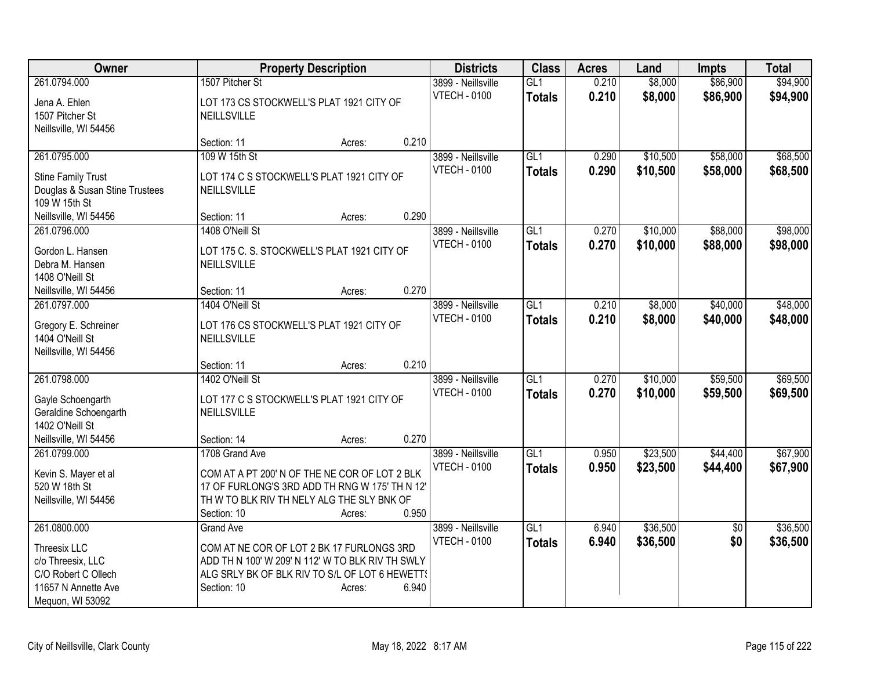| 1507 Pitcher St<br>0.210<br>\$8,000<br>\$94,900<br>261.0794.000<br>3899 - Neillsville<br>GL1<br><b>VTECH - 0100</b><br>0.210<br>\$94,900<br>\$8,000<br>\$86,900<br><b>Totals</b><br>Jena A. Ehlen<br>LOT 173 CS STOCKWELL'S PLAT 1921 CITY OF<br>1507 Pitcher St<br>NEILLSVILLE<br>Neillsville, WI 54456<br>0.210<br>Section: 11<br>Acres:<br>109 W 15th St<br>261.0795.000<br>GL1<br>\$10,500<br>\$58,000<br>3899 - Neillsville<br>0.290<br><b>VTECH - 0100</b><br>0.290<br>\$58,000<br>\$10,500<br><b>Totals</b><br><b>Stine Family Trust</b><br>LOT 174 C S STOCKWELL'S PLAT 1921 CITY OF<br>Douglas & Susan Stine Trustees<br>NEILLSVILLE<br>109 W 15th St<br>0.290<br>Neillsville, WI 54456<br>Section: 11<br>Acres:<br>1408 O'Neill St<br>GL1<br>\$10,000<br>\$88,000<br>261.0796.000<br>3899 - Neillsville<br>0.270<br><b>VTECH - 0100</b><br>0.270<br>\$10,000<br>\$88,000<br>\$98,000<br><b>Totals</b><br>Gordon L. Hansen<br>LOT 175 C. S. STOCKWELL'S PLAT 1921 CITY OF<br>Debra M. Hansen<br>NEILLSVILLE<br>1408 O'Neill St<br>0.270<br>Neillsville, WI 54456<br>Section: 11<br>Acres:<br>1404 O'Neill St<br>\$40,000<br>261.0797.000<br>3899 - Neillsville<br>GL1<br>0.210<br>\$8,000<br><b>VTECH - 0100</b><br>0.210<br>\$8,000<br>\$40,000<br>\$48,000<br><b>Totals</b><br>LOT 176 CS STOCKWELL'S PLAT 1921 CITY OF<br>Gregory E. Schreiner<br>1404 O'Neill St<br>NEILLSVILLE<br>Neillsville, WI 54456<br>0.210<br>Section: 11<br>Acres:<br>261.0798.000<br>1402 O'Neill St<br>$\overline{GL1}$<br>0.270<br>\$10,000<br>\$59,500<br>3899 - Neillsville<br>0.270<br><b>VTECH - 0100</b><br>\$10,000<br>\$59,500<br>\$69,500<br><b>Totals</b><br>Gayle Schoengarth<br>LOT 177 C S STOCKWELL'S PLAT 1921 CITY OF<br>Geraldine Schoengarth<br>NEILLSVILLE<br>1402 O'Neill St<br>0.270<br>Neillsville, WI 54456<br>Section: 14<br>Acres:<br>\$23,500<br>261.0799.000<br>1708 Grand Ave<br>3899 - Neillsville<br>GL1<br>0.950<br>\$44,400<br><b>VTECH - 0100</b><br>0.950<br>\$23,500<br>\$44,400<br>\$67,900<br>Totals<br>Kevin S. Mayer et al<br>COM AT A PT 200' N OF THE NE COR OF LOT 2 BLK<br>520 W 18th St<br>17 OF FURLONG'S 3RD ADD TH RNG W 175' TH N 12'<br>Neillsville, WI 54456<br>TH W TO BLK RIV TH NELY ALG THE SLY BNK OF | Owner | <b>Property Description</b> | <b>Districts</b> | <b>Class</b> | <b>Acres</b> | Land | Impts    | <b>Total</b> |
|-----------------------------------------------------------------------------------------------------------------------------------------------------------------------------------------------------------------------------------------------------------------------------------------------------------------------------------------------------------------------------------------------------------------------------------------------------------------------------------------------------------------------------------------------------------------------------------------------------------------------------------------------------------------------------------------------------------------------------------------------------------------------------------------------------------------------------------------------------------------------------------------------------------------------------------------------------------------------------------------------------------------------------------------------------------------------------------------------------------------------------------------------------------------------------------------------------------------------------------------------------------------------------------------------------------------------------------------------------------------------------------------------------------------------------------------------------------------------------------------------------------------------------------------------------------------------------------------------------------------------------------------------------------------------------------------------------------------------------------------------------------------------------------------------------------------------------------------------------------------------------------------------------------------------------------------------------------------------------------------------------------------------------------------------------------------------------------------------------------------------------------------------------------------------------------------------------------------------------------------------------|-------|-----------------------------|------------------|--------------|--------------|------|----------|--------------|
|                                                                                                                                                                                                                                                                                                                                                                                                                                                                                                                                                                                                                                                                                                                                                                                                                                                                                                                                                                                                                                                                                                                                                                                                                                                                                                                                                                                                                                                                                                                                                                                                                                                                                                                                                                                                                                                                                                                                                                                                                                                                                                                                                                                                                                                     |       |                             |                  |              |              |      | \$86,900 |              |
|                                                                                                                                                                                                                                                                                                                                                                                                                                                                                                                                                                                                                                                                                                                                                                                                                                                                                                                                                                                                                                                                                                                                                                                                                                                                                                                                                                                                                                                                                                                                                                                                                                                                                                                                                                                                                                                                                                                                                                                                                                                                                                                                                                                                                                                     |       |                             |                  |              |              |      |          |              |
|                                                                                                                                                                                                                                                                                                                                                                                                                                                                                                                                                                                                                                                                                                                                                                                                                                                                                                                                                                                                                                                                                                                                                                                                                                                                                                                                                                                                                                                                                                                                                                                                                                                                                                                                                                                                                                                                                                                                                                                                                                                                                                                                                                                                                                                     |       |                             |                  |              |              |      |          |              |
|                                                                                                                                                                                                                                                                                                                                                                                                                                                                                                                                                                                                                                                                                                                                                                                                                                                                                                                                                                                                                                                                                                                                                                                                                                                                                                                                                                                                                                                                                                                                                                                                                                                                                                                                                                                                                                                                                                                                                                                                                                                                                                                                                                                                                                                     |       |                             |                  |              |              |      |          |              |
|                                                                                                                                                                                                                                                                                                                                                                                                                                                                                                                                                                                                                                                                                                                                                                                                                                                                                                                                                                                                                                                                                                                                                                                                                                                                                                                                                                                                                                                                                                                                                                                                                                                                                                                                                                                                                                                                                                                                                                                                                                                                                                                                                                                                                                                     |       |                             |                  |              |              |      |          |              |
| \$68,500<br>\$98,000<br>\$48,000<br>\$69,500<br>\$67,900                                                                                                                                                                                                                                                                                                                                                                                                                                                                                                                                                                                                                                                                                                                                                                                                                                                                                                                                                                                                                                                                                                                                                                                                                                                                                                                                                                                                                                                                                                                                                                                                                                                                                                                                                                                                                                                                                                                                                                                                                                                                                                                                                                                            |       |                             |                  |              |              |      |          | \$68,500     |
|                                                                                                                                                                                                                                                                                                                                                                                                                                                                                                                                                                                                                                                                                                                                                                                                                                                                                                                                                                                                                                                                                                                                                                                                                                                                                                                                                                                                                                                                                                                                                                                                                                                                                                                                                                                                                                                                                                                                                                                                                                                                                                                                                                                                                                                     |       |                             |                  |              |              |      |          |              |
|                                                                                                                                                                                                                                                                                                                                                                                                                                                                                                                                                                                                                                                                                                                                                                                                                                                                                                                                                                                                                                                                                                                                                                                                                                                                                                                                                                                                                                                                                                                                                                                                                                                                                                                                                                                                                                                                                                                                                                                                                                                                                                                                                                                                                                                     |       |                             |                  |              |              |      |          |              |
|                                                                                                                                                                                                                                                                                                                                                                                                                                                                                                                                                                                                                                                                                                                                                                                                                                                                                                                                                                                                                                                                                                                                                                                                                                                                                                                                                                                                                                                                                                                                                                                                                                                                                                                                                                                                                                                                                                                                                                                                                                                                                                                                                                                                                                                     |       |                             |                  |              |              |      |          |              |
|                                                                                                                                                                                                                                                                                                                                                                                                                                                                                                                                                                                                                                                                                                                                                                                                                                                                                                                                                                                                                                                                                                                                                                                                                                                                                                                                                                                                                                                                                                                                                                                                                                                                                                                                                                                                                                                                                                                                                                                                                                                                                                                                                                                                                                                     |       |                             |                  |              |              |      |          |              |
|                                                                                                                                                                                                                                                                                                                                                                                                                                                                                                                                                                                                                                                                                                                                                                                                                                                                                                                                                                                                                                                                                                                                                                                                                                                                                                                                                                                                                                                                                                                                                                                                                                                                                                                                                                                                                                                                                                                                                                                                                                                                                                                                                                                                                                                     |       |                             |                  |              |              |      |          |              |
|                                                                                                                                                                                                                                                                                                                                                                                                                                                                                                                                                                                                                                                                                                                                                                                                                                                                                                                                                                                                                                                                                                                                                                                                                                                                                                                                                                                                                                                                                                                                                                                                                                                                                                                                                                                                                                                                                                                                                                                                                                                                                                                                                                                                                                                     |       |                             |                  |              |              |      |          |              |
|                                                                                                                                                                                                                                                                                                                                                                                                                                                                                                                                                                                                                                                                                                                                                                                                                                                                                                                                                                                                                                                                                                                                                                                                                                                                                                                                                                                                                                                                                                                                                                                                                                                                                                                                                                                                                                                                                                                                                                                                                                                                                                                                                                                                                                                     |       |                             |                  |              |              |      |          |              |
|                                                                                                                                                                                                                                                                                                                                                                                                                                                                                                                                                                                                                                                                                                                                                                                                                                                                                                                                                                                                                                                                                                                                                                                                                                                                                                                                                                                                                                                                                                                                                                                                                                                                                                                                                                                                                                                                                                                                                                                                                                                                                                                                                                                                                                                     |       |                             |                  |              |              |      |          |              |
|                                                                                                                                                                                                                                                                                                                                                                                                                                                                                                                                                                                                                                                                                                                                                                                                                                                                                                                                                                                                                                                                                                                                                                                                                                                                                                                                                                                                                                                                                                                                                                                                                                                                                                                                                                                                                                                                                                                                                                                                                                                                                                                                                                                                                                                     |       |                             |                  |              |              |      |          |              |
|                                                                                                                                                                                                                                                                                                                                                                                                                                                                                                                                                                                                                                                                                                                                                                                                                                                                                                                                                                                                                                                                                                                                                                                                                                                                                                                                                                                                                                                                                                                                                                                                                                                                                                                                                                                                                                                                                                                                                                                                                                                                                                                                                                                                                                                     |       |                             |                  |              |              |      |          |              |
|                                                                                                                                                                                                                                                                                                                                                                                                                                                                                                                                                                                                                                                                                                                                                                                                                                                                                                                                                                                                                                                                                                                                                                                                                                                                                                                                                                                                                                                                                                                                                                                                                                                                                                                                                                                                                                                                                                                                                                                                                                                                                                                                                                                                                                                     |       |                             |                  |              |              |      |          |              |
|                                                                                                                                                                                                                                                                                                                                                                                                                                                                                                                                                                                                                                                                                                                                                                                                                                                                                                                                                                                                                                                                                                                                                                                                                                                                                                                                                                                                                                                                                                                                                                                                                                                                                                                                                                                                                                                                                                                                                                                                                                                                                                                                                                                                                                                     |       |                             |                  |              |              |      |          |              |
|                                                                                                                                                                                                                                                                                                                                                                                                                                                                                                                                                                                                                                                                                                                                                                                                                                                                                                                                                                                                                                                                                                                                                                                                                                                                                                                                                                                                                                                                                                                                                                                                                                                                                                                                                                                                                                                                                                                                                                                                                                                                                                                                                                                                                                                     |       |                             |                  |              |              |      |          |              |
|                                                                                                                                                                                                                                                                                                                                                                                                                                                                                                                                                                                                                                                                                                                                                                                                                                                                                                                                                                                                                                                                                                                                                                                                                                                                                                                                                                                                                                                                                                                                                                                                                                                                                                                                                                                                                                                                                                                                                                                                                                                                                                                                                                                                                                                     |       |                             |                  |              |              |      |          |              |
|                                                                                                                                                                                                                                                                                                                                                                                                                                                                                                                                                                                                                                                                                                                                                                                                                                                                                                                                                                                                                                                                                                                                                                                                                                                                                                                                                                                                                                                                                                                                                                                                                                                                                                                                                                                                                                                                                                                                                                                                                                                                                                                                                                                                                                                     |       |                             |                  |              |              |      |          |              |
|                                                                                                                                                                                                                                                                                                                                                                                                                                                                                                                                                                                                                                                                                                                                                                                                                                                                                                                                                                                                                                                                                                                                                                                                                                                                                                                                                                                                                                                                                                                                                                                                                                                                                                                                                                                                                                                                                                                                                                                                                                                                                                                                                                                                                                                     |       |                             |                  |              |              |      |          |              |
|                                                                                                                                                                                                                                                                                                                                                                                                                                                                                                                                                                                                                                                                                                                                                                                                                                                                                                                                                                                                                                                                                                                                                                                                                                                                                                                                                                                                                                                                                                                                                                                                                                                                                                                                                                                                                                                                                                                                                                                                                                                                                                                                                                                                                                                     |       |                             |                  |              |              |      |          |              |
|                                                                                                                                                                                                                                                                                                                                                                                                                                                                                                                                                                                                                                                                                                                                                                                                                                                                                                                                                                                                                                                                                                                                                                                                                                                                                                                                                                                                                                                                                                                                                                                                                                                                                                                                                                                                                                                                                                                                                                                                                                                                                                                                                                                                                                                     |       |                             |                  |              |              |      |          |              |
|                                                                                                                                                                                                                                                                                                                                                                                                                                                                                                                                                                                                                                                                                                                                                                                                                                                                                                                                                                                                                                                                                                                                                                                                                                                                                                                                                                                                                                                                                                                                                                                                                                                                                                                                                                                                                                                                                                                                                                                                                                                                                                                                                                                                                                                     |       |                             |                  |              |              |      |          |              |
|                                                                                                                                                                                                                                                                                                                                                                                                                                                                                                                                                                                                                                                                                                                                                                                                                                                                                                                                                                                                                                                                                                                                                                                                                                                                                                                                                                                                                                                                                                                                                                                                                                                                                                                                                                                                                                                                                                                                                                                                                                                                                                                                                                                                                                                     |       |                             |                  |              |              |      |          |              |
|                                                                                                                                                                                                                                                                                                                                                                                                                                                                                                                                                                                                                                                                                                                                                                                                                                                                                                                                                                                                                                                                                                                                                                                                                                                                                                                                                                                                                                                                                                                                                                                                                                                                                                                                                                                                                                                                                                                                                                                                                                                                                                                                                                                                                                                     |       |                             |                  |              |              |      |          |              |
|                                                                                                                                                                                                                                                                                                                                                                                                                                                                                                                                                                                                                                                                                                                                                                                                                                                                                                                                                                                                                                                                                                                                                                                                                                                                                                                                                                                                                                                                                                                                                                                                                                                                                                                                                                                                                                                                                                                                                                                                                                                                                                                                                                                                                                                     |       |                             |                  |              |              |      |          |              |
|                                                                                                                                                                                                                                                                                                                                                                                                                                                                                                                                                                                                                                                                                                                                                                                                                                                                                                                                                                                                                                                                                                                                                                                                                                                                                                                                                                                                                                                                                                                                                                                                                                                                                                                                                                                                                                                                                                                                                                                                                                                                                                                                                                                                                                                     |       |                             |                  |              |              |      |          |              |
|                                                                                                                                                                                                                                                                                                                                                                                                                                                                                                                                                                                                                                                                                                                                                                                                                                                                                                                                                                                                                                                                                                                                                                                                                                                                                                                                                                                                                                                                                                                                                                                                                                                                                                                                                                                                                                                                                                                                                                                                                                                                                                                                                                                                                                                     |       |                             |                  |              |              |      |          |              |
| Acres:                                                                                                                                                                                                                                                                                                                                                                                                                                                                                                                                                                                                                                                                                                                                                                                                                                                                                                                                                                                                                                                                                                                                                                                                                                                                                                                                                                                                                                                                                                                                                                                                                                                                                                                                                                                                                                                                                                                                                                                                                                                                                                                                                                                                                                              |       | 0.950<br>Section: 10        |                  |              |              |      |          |              |
| \$36,500<br>\$36,500<br>261.0800.000<br>3899 - Neillsville<br>GL1<br>6.940<br><b>Grand Ave</b><br>$\overline{50}$                                                                                                                                                                                                                                                                                                                                                                                                                                                                                                                                                                                                                                                                                                                                                                                                                                                                                                                                                                                                                                                                                                                                                                                                                                                                                                                                                                                                                                                                                                                                                                                                                                                                                                                                                                                                                                                                                                                                                                                                                                                                                                                                   |       |                             |                  |              |              |      |          |              |
| <b>VTECH - 0100</b><br>\$36,500<br>\$0<br>6.940<br>\$36,500<br><b>Totals</b>                                                                                                                                                                                                                                                                                                                                                                                                                                                                                                                                                                                                                                                                                                                                                                                                                                                                                                                                                                                                                                                                                                                                                                                                                                                                                                                                                                                                                                                                                                                                                                                                                                                                                                                                                                                                                                                                                                                                                                                                                                                                                                                                                                        |       |                             |                  |              |              |      |          |              |
| COM AT NE COR OF LOT 2 BK 17 FURLONGS 3RD<br>Threesix LLC<br>ADD TH N 100' W 209' N 112' W TO BLK RIV TH SWLY                                                                                                                                                                                                                                                                                                                                                                                                                                                                                                                                                                                                                                                                                                                                                                                                                                                                                                                                                                                                                                                                                                                                                                                                                                                                                                                                                                                                                                                                                                                                                                                                                                                                                                                                                                                                                                                                                                                                                                                                                                                                                                                                       |       |                             |                  |              |              |      |          |              |
| c/o Threesix, LLC<br>C/O Robert C Ollech<br>ALG SRLY BK OF BLK RIV TO S/L OF LOT 6 HEWETT!                                                                                                                                                                                                                                                                                                                                                                                                                                                                                                                                                                                                                                                                                                                                                                                                                                                                                                                                                                                                                                                                                                                                                                                                                                                                                                                                                                                                                                                                                                                                                                                                                                                                                                                                                                                                                                                                                                                                                                                                                                                                                                                                                          |       |                             |                  |              |              |      |          |              |
| 11657 N Annette Ave<br>6.940<br>Section: 10<br>Acres:                                                                                                                                                                                                                                                                                                                                                                                                                                                                                                                                                                                                                                                                                                                                                                                                                                                                                                                                                                                                                                                                                                                                                                                                                                                                                                                                                                                                                                                                                                                                                                                                                                                                                                                                                                                                                                                                                                                                                                                                                                                                                                                                                                                               |       |                             |                  |              |              |      |          |              |
| Mequon, WI 53092                                                                                                                                                                                                                                                                                                                                                                                                                                                                                                                                                                                                                                                                                                                                                                                                                                                                                                                                                                                                                                                                                                                                                                                                                                                                                                                                                                                                                                                                                                                                                                                                                                                                                                                                                                                                                                                                                                                                                                                                                                                                                                                                                                                                                                    |       |                             |                  |              |              |      |          |              |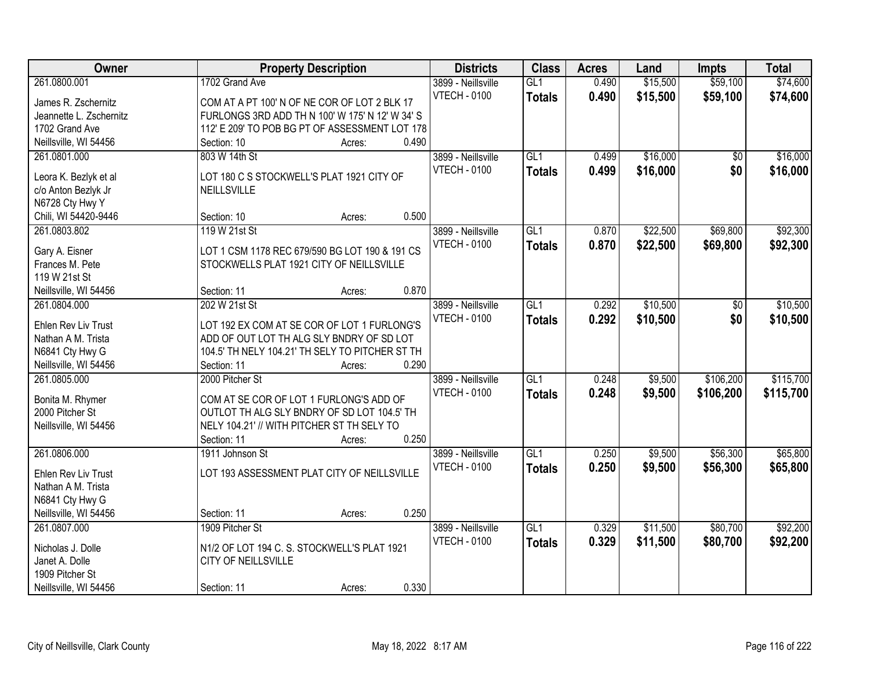| Owner                                        | <b>Property Description</b>                              | <b>Districts</b>    | <b>Class</b>     | <b>Acres</b> | Land     | <b>Impts</b> | <b>Total</b> |
|----------------------------------------------|----------------------------------------------------------|---------------------|------------------|--------------|----------|--------------|--------------|
| 261.0800.001                                 | 1702 Grand Ave                                           | 3899 - Neillsville  | GL1              | 0.490        | \$15,500 | \$59,100     | \$74,600     |
| James R. Zschernitz                          | COM AT A PT 100' N OF NE COR OF LOT 2 BLK 17             | <b>VTECH - 0100</b> | <b>Totals</b>    | 0.490        | \$15,500 | \$59,100     | \$74,600     |
| Jeannette L. Zschernitz                      | FURLONGS 3RD ADD TH N 100' W 175' N 12' W 34' S          |                     |                  |              |          |              |              |
| 1702 Grand Ave                               | 112' E 209' TO POB BG PT OF ASSESSMENT LOT 178           |                     |                  |              |          |              |              |
| Neillsville, WI 54456                        | 0.490<br>Section: 10<br>Acres:                           |                     |                  |              |          |              |              |
| 261.0801.000                                 | 803 W 14th St                                            | 3899 - Neillsville  | GL1              | 0.499        | \$16,000 | \$0          | \$16,000     |
|                                              |                                                          | <b>VTECH - 0100</b> | <b>Totals</b>    | 0.499        | \$16,000 | \$0          | \$16,000     |
| Leora K. Bezlyk et al<br>c/o Anton Bezlyk Jr | LOT 180 C S STOCKWELL'S PLAT 1921 CITY OF<br>NEILLSVILLE |                     |                  |              |          |              |              |
| N6728 Cty Hwy Y                              |                                                          |                     |                  |              |          |              |              |
| Chili, WI 54420-9446                         | 0.500<br>Section: 10<br>Acres:                           |                     |                  |              |          |              |              |
| 261.0803.802                                 | 119 W 21st St                                            | 3899 - Neillsville  | GL1              | 0.870        | \$22,500 | \$69,800     | \$92,300     |
|                                              |                                                          | <b>VTECH - 0100</b> | <b>Totals</b>    | 0.870        | \$22,500 | \$69,800     | \$92,300     |
| Gary A. Eisner                               | LOT 1 CSM 1178 REC 679/590 BG LOT 190 & 191 CS           |                     |                  |              |          |              |              |
| Frances M. Pete                              | STOCKWELLS PLAT 1921 CITY OF NEILLSVILLE                 |                     |                  |              |          |              |              |
| 119 W 21st St                                |                                                          |                     |                  |              |          |              |              |
| Neillsville, WI 54456                        | 0.870<br>Section: 11<br>Acres:                           |                     |                  |              |          |              |              |
| 261.0804.000                                 | 202 W 21st St                                            | 3899 - Neillsville  | GL1              | 0.292        | \$10,500 | \$0          | \$10,500     |
| Ehlen Rev Liv Trust                          | LOT 192 EX COM AT SE COR OF LOT 1 FURLONG'S              | <b>VTECH - 0100</b> | <b>Totals</b>    | 0.292        | \$10,500 | \$0          | \$10,500     |
| Nathan A M. Trista                           | ADD OF OUT LOT TH ALG SLY BNDRY OF SD LOT                |                     |                  |              |          |              |              |
| N6841 Cty Hwy G                              | 104.5' TH NELY 104.21' TH SELY TO PITCHER ST TH          |                     |                  |              |          |              |              |
| Neillsville, WI 54456                        | 0.290<br>Section: 11<br>Acres:                           |                     |                  |              |          |              |              |
| 261.0805.000                                 | 2000 Pitcher St                                          | 3899 - Neillsville  | $\overline{GL1}$ | 0.248        | \$9,500  | \$106,200    | \$115,700    |
| Bonita M. Rhymer                             | COM AT SE COR OF LOT 1 FURLONG'S ADD OF                  | <b>VTECH - 0100</b> | <b>Totals</b>    | 0.248        | \$9,500  | \$106,200    | \$115,700    |
| 2000 Pitcher St                              | OUTLOT TH ALG SLY BNDRY OF SD LOT 104.5' TH              |                     |                  |              |          |              |              |
| Neillsville, WI 54456                        | NELY 104.21' // WITH PITCHER ST TH SELY TO               |                     |                  |              |          |              |              |
|                                              | 0.250<br>Section: 11<br>Acres:                           |                     |                  |              |          |              |              |
| 261.0806.000                                 | 1911 Johnson St                                          | 3899 - Neillsville  | GL1              | 0.250        | \$9,500  | \$56,300     | \$65,800     |
|                                              |                                                          | <b>VTECH - 0100</b> | <b>Totals</b>    | 0.250        | \$9,500  | \$56,300     | \$65,800     |
| Ehlen Rev Liv Trust                          | LOT 193 ASSESSMENT PLAT CITY OF NEILLSVILLE              |                     |                  |              |          |              |              |
| Nathan A M. Trista                           |                                                          |                     |                  |              |          |              |              |
| N6841 Cty Hwy G                              |                                                          |                     |                  |              |          |              |              |
| Neillsville, WI 54456                        | 0.250<br>Section: 11<br>Acres:                           |                     |                  |              |          |              |              |
| 261.0807.000                                 | 1909 Pitcher St                                          | 3899 - Neillsville  | GL1              | 0.329        | \$11,500 | \$80,700     | \$92,200     |
| Nicholas J. Dolle                            | N1/2 OF LOT 194 C. S. STOCKWELL'S PLAT 1921              | <b>VTECH - 0100</b> | <b>Totals</b>    | 0.329        | \$11,500 | \$80,700     | \$92,200     |
| Janet A. Dolle                               | CITY OF NEILLSVILLE                                      |                     |                  |              |          |              |              |
| 1909 Pitcher St                              |                                                          |                     |                  |              |          |              |              |
| Neillsville, WI 54456                        | 0.330<br>Section: 11<br>Acres:                           |                     |                  |              |          |              |              |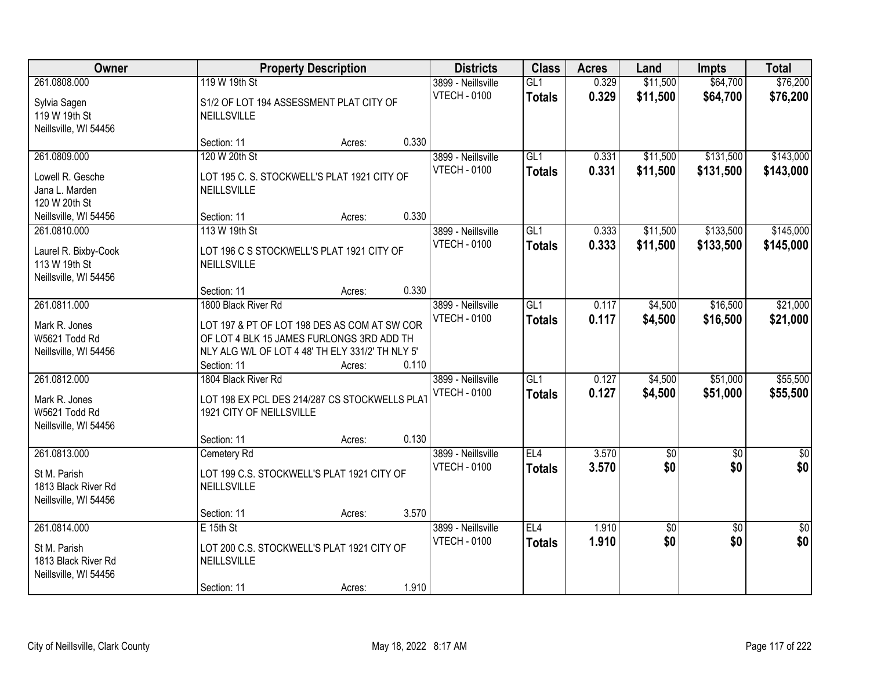| Owner                                                                          | <b>Property Description</b>                                                                                                                                                                            | <b>Districts</b>                          | <b>Class</b>                      | <b>Acres</b>   | Land                   | <b>Impts</b>           | <b>Total</b>            |
|--------------------------------------------------------------------------------|--------------------------------------------------------------------------------------------------------------------------------------------------------------------------------------------------------|-------------------------------------------|-----------------------------------|----------------|------------------------|------------------------|-------------------------|
| 261.0808.000<br>Sylvia Sagen<br>119 W 19th St<br>Neillsville, WI 54456         | 119 W 19th St<br>S1/2 OF LOT 194 ASSESSMENT PLAT CITY OF<br>NEILLSVILLE                                                                                                                                | 3899 - Neillsville<br><b>VTECH - 0100</b> | GL <sub>1</sub><br><b>Totals</b>  | 0.329<br>0.329 | \$11,500<br>\$11,500   | \$64,700<br>\$64,700   | \$76,200<br>\$76,200    |
|                                                                                | 0.330<br>Section: 11<br>Acres:                                                                                                                                                                         |                                           |                                   |                |                        |                        |                         |
| 261.0809.000<br>Lowell R. Gesche<br>Jana L. Marden<br>120 W 20th St            | 120 W 20th St<br>LOT 195 C. S. STOCKWELL'S PLAT 1921 CITY OF<br><b>NEILLSVILLE</b>                                                                                                                     | 3899 - Neillsville<br><b>VTECH - 0100</b> | GL1<br><b>Totals</b>              | 0.331<br>0.331 | \$11,500<br>\$11,500   | \$131,500<br>\$131,500 | \$143,000<br>\$143,000  |
| Neillsville, WI 54456                                                          | 0.330<br>Section: 11<br>Acres:                                                                                                                                                                         |                                           |                                   |                |                        |                        |                         |
| 261.0810.000<br>Laurel R. Bixby-Cook<br>113 W 19th St<br>Neillsville, WI 54456 | 113 W 19th St<br>LOT 196 C S STOCKWELL'S PLAT 1921 CITY OF<br><b>NEILLSVILLE</b>                                                                                                                       | 3899 - Neillsville<br><b>VTECH - 0100</b> | GL1<br><b>Totals</b>              | 0.333<br>0.333 | \$11,500<br>\$11,500   | \$133,500<br>\$133,500 | \$145,000<br>\$145,000  |
|                                                                                | 0.330<br>Section: 11<br>Acres:                                                                                                                                                                         |                                           |                                   |                |                        |                        |                         |
| 261.0811.000<br>Mark R. Jones<br>W5621 Todd Rd<br>Neillsville, WI 54456        | 1800 Black River Rd<br>LOT 197 & PT OF LOT 198 DES AS COM AT SW COR<br>OF LOT 4 BLK 15 JAMES FURLONGS 3RD ADD TH<br>NLY ALG W/L OF LOT 4 48' TH ELY 331/2' TH NLY 5'<br>0.110<br>Section: 11<br>Acres: | 3899 - Neillsville<br><b>VTECH - 0100</b> | GL1<br><b>Totals</b>              | 0.117<br>0.117 | \$4,500<br>\$4,500     | \$16,500<br>\$16,500   | \$21,000<br>\$21,000    |
| 261.0812.000<br>Mark R. Jones<br>W5621 Todd Rd<br>Neillsville, WI 54456        | 1804 Black River Rd<br>LOT 198 EX PCL DES 214/287 CS STOCKWELLS PLAT<br>1921 CITY OF NEILLSVILLE<br>0.130<br>Section: 11<br>Acres:                                                                     | 3899 - Neillsville<br><b>VTECH - 0100</b> | $\overline{GL1}$<br><b>Totals</b> | 0.127<br>0.127 | \$4,500<br>\$4,500     | \$51,000<br>\$51,000   | \$55,500<br>\$55,500    |
| 261.0813.000<br>St M. Parish<br>1813 Black River Rd<br>Neillsville, WI 54456   | Cemetery Rd<br>LOT 199 C.S. STOCKWELL'S PLAT 1921 CITY OF<br>NEILLSVILLE<br>3.570<br>Section: 11<br>Acres:                                                                                             | 3899 - Neillsville<br><b>VTECH - 0100</b> | EL4<br><b>Totals</b>              | 3.570<br>3.570 | $\overline{50}$<br>\$0 | $\overline{50}$<br>\$0 | $\overline{\$0}$<br>\$0 |
| 261.0814.000<br>St M. Parish<br>1813 Black River Rd<br>Neillsville, WI 54456   | $E$ 15th St<br>LOT 200 C.S. STOCKWELL'S PLAT 1921 CITY OF<br>NEILLSVILLE<br>1.910<br>Section: 11<br>Acres:                                                                                             | 3899 - Neillsville<br><b>VTECH - 0100</b> | EL4<br><b>Totals</b>              | 1.910<br>1.910 | \$0<br>\$0             | $\overline{30}$<br>\$0 | $\overline{50}$<br>\$0  |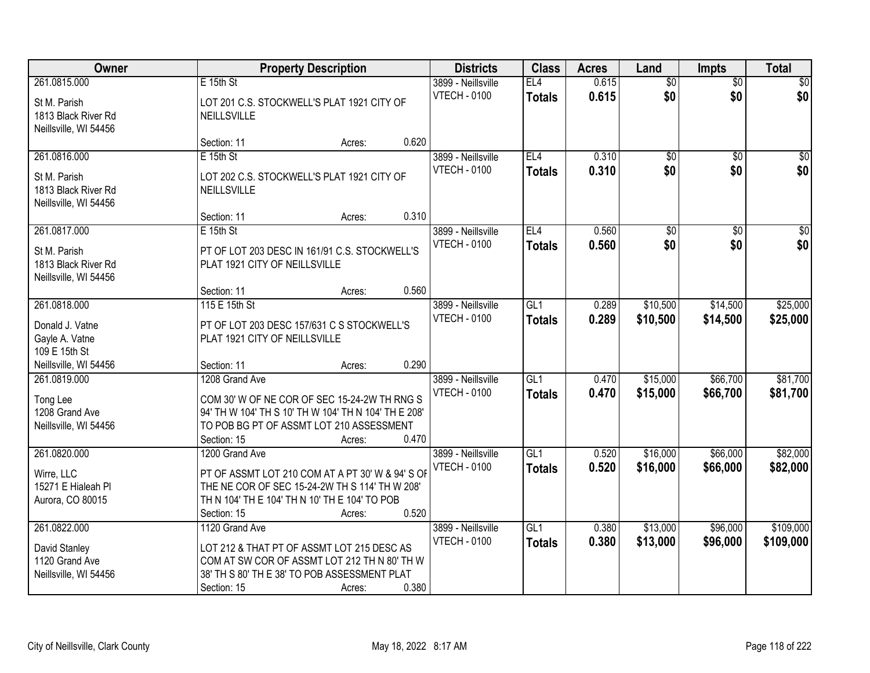| Owner                                                                                       |                                                                                                                                                                                      | <b>Property Description</b>        |                                           |                                  | <b>Acres</b>   | Land                   | <b>Impts</b>           | <b>Total</b>           |
|---------------------------------------------------------------------------------------------|--------------------------------------------------------------------------------------------------------------------------------------------------------------------------------------|------------------------------------|-------------------------------------------|----------------------------------|----------------|------------------------|------------------------|------------------------|
| 261.0815.000<br>St M. Parish<br>1813 Black River Rd<br>Neillsville, WI 54456                | E 15th St<br>LOT 201 C.S. STOCKWELL'S PLAT 1921 CITY OF<br>NEILLSVILLE                                                                                                               |                                    | 3899 - Neillsville<br><b>VTECH - 0100</b> | EL4<br><b>Totals</b>             | 0.615<br>0.615 | $\overline{60}$<br>\$0 | $\overline{50}$<br>\$0 | \$0<br>\$0             |
|                                                                                             | Section: 11                                                                                                                                                                          | 0.620<br>Acres:                    |                                           |                                  |                |                        |                        |                        |
| 261.0816.000<br>St M. Parish<br>1813 Black River Rd<br>Neillsville, WI 54456                | $E$ 15th St<br>LOT 202 C.S. STOCKWELL'S PLAT 1921 CITY OF<br><b>NEILLSVILLE</b>                                                                                                      |                                    | 3899 - Neillsville<br><b>VTECH - 0100</b> | EL4<br><b>Totals</b>             | 0.310<br>0.310 | $\overline{50}$<br>\$0 | $\overline{50}$<br>\$0 | $\overline{50}$<br>\$0 |
| 261.0817.000<br>St M. Parish<br>1813 Black River Rd<br>Neillsville, WI 54456                | Section: 11<br>$E$ 15th St<br>PT OF LOT 203 DESC IN 161/91 C.S. STOCKWELL'S<br>PLAT 1921 CITY OF NEILLSVILLE<br>Section: 11                                                          | 0.310<br>Acres:<br>0.560<br>Acres: | 3899 - Neillsville<br><b>VTECH - 0100</b> | EL <sub>4</sub><br><b>Totals</b> | 0.560<br>0.560 | \$0<br>\$0             | \$0<br>\$0             | $\overline{50}$<br>\$0 |
| 261.0818.000<br>Donald J. Vatne<br>Gayle A. Vatne<br>109 E 15th St<br>Neillsville, WI 54456 | 115 E 15th St<br>PT OF LOT 203 DESC 157/631 C S STOCKWELL'S<br>PLAT 1921 CITY OF NEILLSVILLE<br>Section: 11                                                                          | 0.290<br>Acres:                    | 3899 - Neillsville<br><b>VTECH - 0100</b> | GL1<br><b>Totals</b>             | 0.289<br>0.289 | \$10,500<br>\$10,500   | \$14,500<br>\$14,500   | \$25,000<br>\$25,000   |
| 261.0819.000<br>Tong Lee<br>1208 Grand Ave<br>Neillsville, WI 54456                         | 1208 Grand Ave<br>COM 30' W OF NE COR OF SEC 15-24-2W TH RNG S<br>94' TH W 104' TH S 10' TH W 104' TH N 104' TH E 208'<br>TO POB BG PT OF ASSMT LOT 210 ASSESSMENT<br>Section: 15    | 0.470<br>Acres:                    | 3899 - Neillsville<br><b>VTECH - 0100</b> | GL1<br><b>Totals</b>             | 0.470<br>0.470 | \$15,000<br>\$15,000   | \$66,700<br>\$66,700   | \$81,700<br>\$81,700   |
| 261.0820.000<br>Wirre, LLC<br>15271 E Hialeah Pl<br>Aurora, CO 80015                        | 1200 Grand Ave<br>PT OF ASSMT LOT 210 COM AT A PT 30' W & 94' S OF<br>THE NE COR OF SEC 15-24-2W TH S 114' TH W 208'<br>TH N 104' TH E 104' TH N 10' TH E 104' TO POB<br>Section: 15 | 0.520<br>Acres:                    | 3899 - Neillsville<br><b>VTECH - 0100</b> | GL1<br><b>Totals</b>             | 0.520<br>0.520 | \$16,000<br>\$16,000   | \$66,000<br>\$66,000   | \$82,000<br>\$82,000   |
| 261.0822.000<br>David Stanley<br>1120 Grand Ave<br>Neillsville, WI 54456                    | 1120 Grand Ave<br>LOT 212 & THAT PT OF ASSMT LOT 215 DESC AS<br>COM AT SW COR OF ASSMT LOT 212 TH N 80' TH W<br>38' TH S 80' TH E 38' TO POB ASSESSMENT PLAT<br>Section: 15          | 0.380<br>Acres:                    | 3899 - Neillsville<br><b>VTECH - 0100</b> | GL1<br><b>Totals</b>             | 0.380<br>0.380 | \$13,000<br>\$13,000   | \$96,000<br>\$96,000   | \$109,000<br>\$109,000 |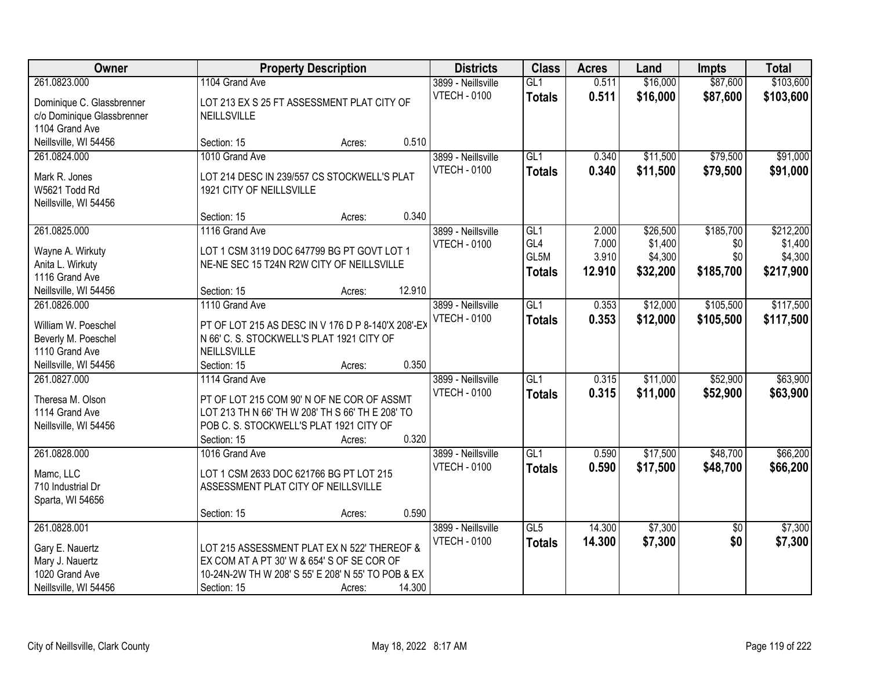| Owner                                 | <b>Property Description</b>                                     |        |        | <b>Districts</b>    | <b>Class</b>     | <b>Acres</b> | Land     | <b>Impts</b>    | <b>Total</b> |
|---------------------------------------|-----------------------------------------------------------------|--------|--------|---------------------|------------------|--------------|----------|-----------------|--------------|
| 261.0823.000                          | 1104 Grand Ave                                                  |        |        | 3899 - Neillsville  | GL <sub>1</sub>  | 0.511        | \$16,000 | \$87,600        | \$103,600    |
| Dominique C. Glassbrenner             | LOT 213 EX S 25 FT ASSESSMENT PLAT CITY OF                      |        |        | <b>VTECH - 0100</b> | <b>Totals</b>    | 0.511        | \$16,000 | \$87,600        | \$103,600    |
| c/o Dominique Glassbrenner            | NEILLSVILLE                                                     |        |        |                     |                  |              |          |                 |              |
| 1104 Grand Ave                        |                                                                 |        |        |                     |                  |              |          |                 |              |
| Neillsville, WI 54456                 | Section: 15                                                     | Acres: | 0.510  |                     |                  |              |          |                 |              |
| 261.0824.000                          | 1010 Grand Ave                                                  |        |        | 3899 - Neillsville  | GL <sub>1</sub>  | 0.340        | \$11,500 | \$79,500        | \$91,000     |
| Mark R. Jones                         | LOT 214 DESC IN 239/557 CS STOCKWELL'S PLAT                     |        |        | <b>VTECH - 0100</b> | <b>Totals</b>    | 0.340        | \$11,500 | \$79,500        | \$91,000     |
| W5621 Todd Rd                         | 1921 CITY OF NEILLSVILLE                                        |        |        |                     |                  |              |          |                 |              |
| Neillsville, WI 54456                 |                                                                 |        |        |                     |                  |              |          |                 |              |
|                                       | Section: 15                                                     | Acres: | 0.340  |                     |                  |              |          |                 |              |
| 261.0825.000                          | 1116 Grand Ave                                                  |        |        | 3899 - Neillsville  | GL1              | 2.000        | \$26,500 | \$185,700       | \$212,200    |
| Wayne A. Wirkuty                      | LOT 1 CSM 3119 DOC 647799 BG PT GOVT LOT 1                      |        |        | <b>VTECH - 0100</b> | GL <sub>4</sub>  | 7.000        | \$1,400  | \$0             | \$1,400      |
| Anita L. Wirkuty                      | NE-NE SEC 15 T24N R2W CITY OF NEILLSVILLE                       |        |        |                     | GL5M             | 3.910        | \$4,300  | \$0             | \$4,300      |
| 1116 Grand Ave                        |                                                                 |        |        |                     | <b>Totals</b>    | 12.910       | \$32,200 | \$185,700       | \$217,900    |
| Neillsville, WI 54456                 | Section: 15                                                     | Acres: | 12.910 |                     |                  |              |          |                 |              |
| 261.0826.000                          | 1110 Grand Ave                                                  |        |        | 3899 - Neillsville  | GL1              | 0.353        | \$12,000 | \$105,500       | \$117,500    |
|                                       |                                                                 |        |        | <b>VTECH - 0100</b> | <b>Totals</b>    | 0.353        | \$12,000 | \$105,500       | \$117,500    |
| William W. Poeschel                   | PT OF LOT 215 AS DESC IN V 176 D P 8-140'X 208'-EX              |        |        |                     |                  |              |          |                 |              |
| Beverly M. Poeschel<br>1110 Grand Ave | N 66' C. S. STOCKWELL'S PLAT 1921 CITY OF<br><b>NEILLSVILLE</b> |        |        |                     |                  |              |          |                 |              |
| Neillsville, WI 54456                 | Section: 15                                                     | Acres: | 0.350  |                     |                  |              |          |                 |              |
| 261.0827.000                          | 1114 Grand Ave                                                  |        |        | 3899 - Neillsville  | $\overline{GL1}$ | 0.315        | \$11,000 | \$52,900        | \$63,900     |
|                                       |                                                                 |        |        | <b>VTECH - 0100</b> | <b>Totals</b>    | 0.315        | \$11,000 | \$52,900        | \$63,900     |
| Theresa M. Olson                      | PT OF LOT 215 COM 90' N OF NE COR OF ASSMT                      |        |        |                     |                  |              |          |                 |              |
| 1114 Grand Ave                        | LOT 213 TH N 66' TH W 208' TH S 66' TH E 208' TO                |        |        |                     |                  |              |          |                 |              |
| Neillsville, WI 54456                 | POB C. S. STOCKWELL'S PLAT 1921 CITY OF                         |        |        |                     |                  |              |          |                 |              |
|                                       | Section: 15                                                     | Acres: | 0.320  |                     |                  |              |          |                 |              |
| 261.0828.000                          | 1016 Grand Ave                                                  |        |        | 3899 - Neillsville  | GL1              | 0.590        | \$17,500 | \$48,700        | \$66,200     |
| Mamc, LLC                             | LOT 1 CSM 2633 DOC 621766 BG PT LOT 215                         |        |        | <b>VTECH - 0100</b> | <b>Totals</b>    | 0.590        | \$17,500 | \$48,700        | \$66,200     |
| 710 Industrial Dr                     | ASSESSMENT PLAT CITY OF NEILLSVILLE                             |        |        |                     |                  |              |          |                 |              |
| Sparta, WI 54656                      |                                                                 |        |        |                     |                  |              |          |                 |              |
|                                       | Section: 15                                                     | Acres: | 0.590  |                     |                  |              |          |                 |              |
| 261.0828.001                          |                                                                 |        |        | 3899 - Neillsville  | GL5              | 14.300       | \$7,300  | $\overline{30}$ | \$7,300      |
| Gary E. Nauertz                       | LOT 215 ASSESSMENT PLAT EX N 522' THEREOF &                     |        |        | <b>VTECH - 0100</b> | <b>Totals</b>    | 14.300       | \$7,300  | \$0             | \$7,300      |
| Mary J. Nauertz                       | EX COM AT A PT 30' W & 654' S OF SE COR OF                      |        |        |                     |                  |              |          |                 |              |
| 1020 Grand Ave                        | 10-24N-2W TH W 208' S 55' E 208' N 55' TO POB & EX              |        |        |                     |                  |              |          |                 |              |
| Neillsville, WI 54456                 | Section: 15                                                     | Acres: | 14.300 |                     |                  |              |          |                 |              |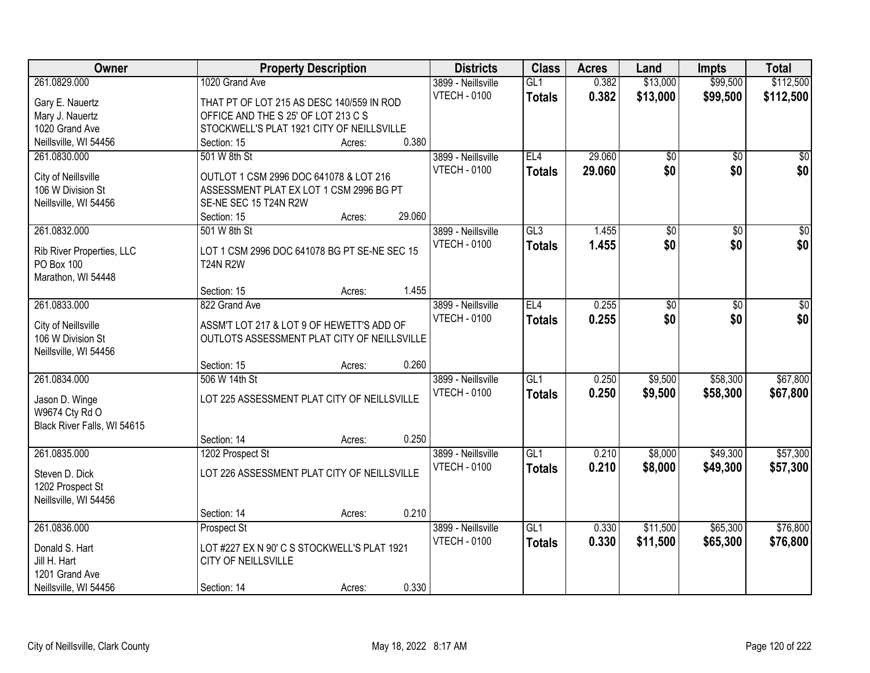| Owner                       |                                              | <b>Property Description</b> |        | <b>Districts</b>    | <b>Class</b>  | <b>Acres</b> | Land            | <b>Impts</b>    | <b>Total</b>    |
|-----------------------------|----------------------------------------------|-----------------------------|--------|---------------------|---------------|--------------|-----------------|-----------------|-----------------|
| 261.0829.000                | 1020 Grand Ave                               |                             |        | 3899 - Neillsville  | GL1           | 0.382        | \$13,000        | \$99,500        | \$112,500       |
| Gary E. Nauertz             | THAT PT OF LOT 215 AS DESC 140/559 IN ROD    |                             |        | <b>VTECH - 0100</b> | <b>Totals</b> | 0.382        | \$13,000        | \$99,500        | \$112,500       |
| Mary J. Nauertz             | OFFICE AND THE S 25' OF LOT 213 C S          |                             |        |                     |               |              |                 |                 |                 |
| 1020 Grand Ave              | STOCKWELL'S PLAT 1921 CITY OF NEILLSVILLE    |                             |        |                     |               |              |                 |                 |                 |
| Neillsville, WI 54456       | Section: 15                                  | Acres:                      | 0.380  |                     |               |              |                 |                 |                 |
| 261.0830.000                | 501 W 8th St                                 |                             |        | 3899 - Neillsville  | EL4           | 29.060       | $\overline{50}$ | $\overline{50}$ | \$0             |
|                             |                                              |                             |        | <b>VTECH - 0100</b> | <b>Totals</b> | 29.060       | \$0             | \$0             | \$0             |
| City of Neillsville         | OUTLOT 1 CSM 2996 DOC 641078 & LOT 216       |                             |        |                     |               |              |                 |                 |                 |
| 106 W Division St           | ASSESSMENT PLAT EX LOT 1 CSM 2996 BG PT      |                             |        |                     |               |              |                 |                 |                 |
| Neillsville, WI 54456       | SE-NE SEC 15 T24N R2W                        |                             | 29.060 |                     |               |              |                 |                 |                 |
|                             | Section: 15                                  | Acres:                      |        |                     |               |              |                 |                 |                 |
| 261.0832.000                | 501 W 8th St                                 |                             |        | 3899 - Neillsville  | GL3           | 1.455        | $\overline{60}$ | $\overline{50}$ | $\overline{30}$ |
| Rib River Properties, LLC   | LOT 1 CSM 2996 DOC 641078 BG PT SE-NE SEC 15 |                             |        | <b>VTECH - 0100</b> | <b>Totals</b> | 1.455        | \$0             | \$0             | \$0             |
| <b>PO Box 100</b>           | <b>T24N R2W</b>                              |                             |        |                     |               |              |                 |                 |                 |
| Marathon, WI 54448          |                                              |                             |        |                     |               |              |                 |                 |                 |
|                             | Section: 15                                  | Acres:                      | 1.455  |                     |               |              |                 |                 |                 |
| 261.0833.000                | 822 Grand Ave                                |                             |        | 3899 - Neillsville  | EL4           | 0.255        | $\overline{50}$ | \$0             | $\overline{30}$ |
| City of Neillsville         | ASSM'T LOT 217 & LOT 9 OF HEWETT'S ADD OF    |                             |        | <b>VTECH - 0100</b> | <b>Totals</b> | 0.255        | \$0             | \$0             | \$0             |
| 106 W Division St           | OUTLOTS ASSESSMENT PLAT CITY OF NEILLSVILLE  |                             |        |                     |               |              |                 |                 |                 |
| Neillsville, WI 54456       |                                              |                             |        |                     |               |              |                 |                 |                 |
|                             | Section: 15                                  | Acres:                      | 0.260  |                     |               |              |                 |                 |                 |
| 261.0834.000                | 506 W 14th St                                |                             |        | 3899 - Neillsville  | GL1           | 0.250        | \$9,500         | \$58,300        | \$67,800        |
|                             |                                              |                             |        | <b>VTECH - 0100</b> | <b>Totals</b> | 0.250        | \$9,500         | \$58,300        | \$67,800        |
| Jason D. Winge              | LOT 225 ASSESSMENT PLAT CITY OF NEILLSVILLE  |                             |        |                     |               |              |                 |                 |                 |
| W9674 Cty Rd O              |                                              |                             |        |                     |               |              |                 |                 |                 |
| Black River Falls, WI 54615 |                                              |                             |        |                     |               |              |                 |                 |                 |
|                             | Section: 14                                  | Acres:                      | 0.250  |                     |               |              |                 |                 |                 |
| 261.0835.000                | 1202 Prospect St                             |                             |        | 3899 - Neillsville  | GL1           | 0.210        | \$8,000         | \$49,300        | \$57,300        |
| Steven D. Dick              | LOT 226 ASSESSMENT PLAT CITY OF NEILLSVILLE  |                             |        | <b>VTECH - 0100</b> | <b>Totals</b> | 0.210        | \$8,000         | \$49,300        | \$57,300        |
| 1202 Prospect St            |                                              |                             |        |                     |               |              |                 |                 |                 |
| Neillsville, WI 54456       |                                              |                             |        |                     |               |              |                 |                 |                 |
|                             | Section: 14                                  | Acres:                      | 0.210  |                     |               |              |                 |                 |                 |
| 261.0836.000                | Prospect St                                  |                             |        | 3899 - Neillsville  | GL1           | 0.330        | \$11,500        | \$65,300        | \$76,800        |
|                             |                                              |                             |        | <b>VTECH - 0100</b> | <b>Totals</b> | 0.330        | \$11,500        | \$65,300        | \$76,800        |
| Donald S. Hart              | LOT #227 EX N 90' C S STOCKWELL'S PLAT 1921  |                             |        |                     |               |              |                 |                 |                 |
| Jill H. Hart                | CITY OF NEILLSVILLE                          |                             |        |                     |               |              |                 |                 |                 |
| 1201 Grand Ave              |                                              |                             |        |                     |               |              |                 |                 |                 |
| Neillsville, WI 54456       | Section: 14                                  | Acres:                      | 0.330  |                     |               |              |                 |                 |                 |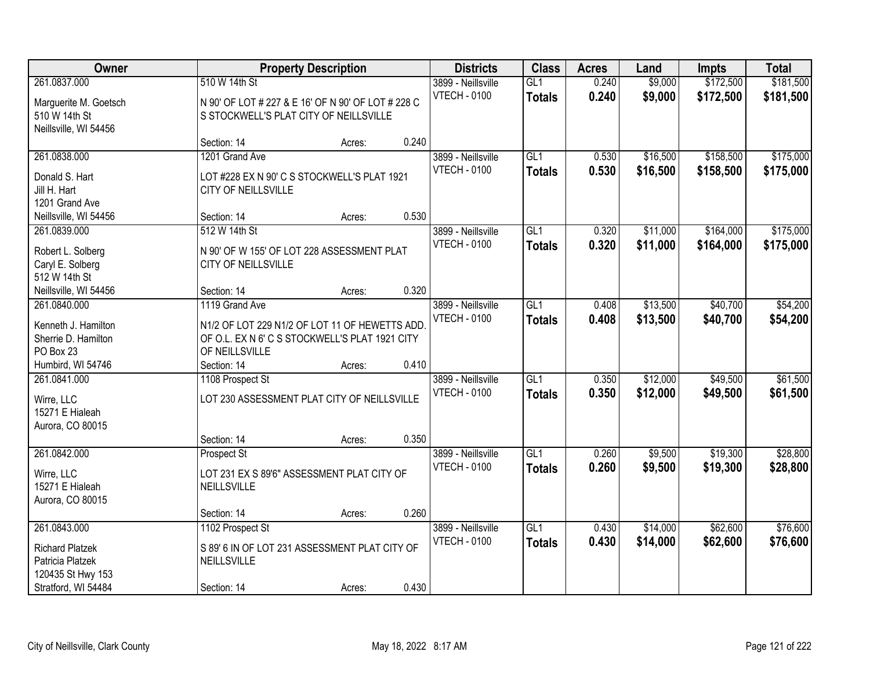| Owner                                                                                                  |                                                                                                                                     | <b>Property Description</b> |       | <b>Districts</b>                          | <b>Class</b>                      | <b>Acres</b>   | Land                 | Impts                  | <b>Total</b>           |
|--------------------------------------------------------------------------------------------------------|-------------------------------------------------------------------------------------------------------------------------------------|-----------------------------|-------|-------------------------------------------|-----------------------------------|----------------|----------------------|------------------------|------------------------|
| 261.0837.000<br>Marguerite M. Goetsch<br>510 W 14th St<br>Neillsville, WI 54456                        | 510 W 14th St<br>N 90' OF LOT # 227 & E 16' OF N 90' OF LOT # 228 C<br>S STOCKWELL'S PLAT CITY OF NEILLSVILLE                       |                             |       | 3899 - Neillsville<br><b>VTECH - 0100</b> | GL1<br><b>Totals</b>              | 0.240<br>0.240 | \$9,000<br>\$9,000   | \$172,500<br>\$172,500 | \$181,500<br>\$181,500 |
|                                                                                                        | Section: 14                                                                                                                         | Acres:                      | 0.240 |                                           |                                   |                |                      |                        |                        |
| 261.0838.000<br>Donald S. Hart<br>Jill H. Hart<br>1201 Grand Ave                                       | 1201 Grand Ave<br>LOT #228 EX N 90' C S STOCKWELL'S PLAT 1921<br>CITY OF NEILLSVILLE                                                |                             |       | 3899 - Neillsville<br><b>VTECH - 0100</b> | GL1<br><b>Totals</b>              | 0.530<br>0.530 | \$16,500<br>\$16,500 | \$158,500<br>\$158,500 | \$175,000<br>\$175,000 |
| Neillsville, WI 54456                                                                                  | Section: 14                                                                                                                         | Acres:                      | 0.530 |                                           |                                   |                |                      |                        |                        |
| 261.0839.000<br>Robert L. Solberg<br>Caryl E. Solberg<br>512 W 14th St                                 | 512 W 14th St<br>N 90' OF W 155' OF LOT 228 ASSESSMENT PLAT<br>CITY OF NEILLSVILLE                                                  |                             |       | 3899 - Neillsville<br><b>VTECH - 0100</b> | GL1<br><b>Totals</b>              | 0.320<br>0.320 | \$11,000<br>\$11,000 | \$164,000<br>\$164,000 | \$175,000<br>\$175,000 |
| Neillsville, WI 54456                                                                                  | Section: 14                                                                                                                         | Acres:                      | 0.320 |                                           |                                   |                |                      |                        |                        |
| 261.0840.000<br>Kenneth J. Hamilton<br>Sherrie D. Hamilton<br>PO Box 23                                | 1119 Grand Ave<br>N1/2 OF LOT 229 N1/2 OF LOT 11 OF HEWETTS ADD<br>OF O.L. EX N 6' C S STOCKWELL'S PLAT 1921 CITY<br>OF NEILLSVILLE |                             |       | 3899 - Neillsville<br><b>VTECH - 0100</b> | GL1<br><b>Totals</b>              | 0.408<br>0.408 | \$13,500<br>\$13,500 | \$40,700<br>\$40,700   | \$54,200<br>\$54,200   |
| Humbird, WI 54746                                                                                      | Section: 14                                                                                                                         | Acres:                      | 0.410 |                                           |                                   |                |                      |                        |                        |
| 261.0841.000<br>Wirre, LLC<br>15271 E Hialeah<br>Aurora, CO 80015                                      | 1108 Prospect St<br>LOT 230 ASSESSMENT PLAT CITY OF NEILLSVILLE                                                                     |                             |       | 3899 - Neillsville<br><b>VTECH - 0100</b> | $\overline{GL1}$<br><b>Totals</b> | 0.350<br>0.350 | \$12,000<br>\$12,000 | \$49,500<br>\$49,500   | \$61,500<br>\$61,500   |
|                                                                                                        | Section: 14                                                                                                                         | Acres:                      | 0.350 |                                           |                                   |                |                      |                        |                        |
| 261.0842.000<br>Wirre, LLC<br>15271 E Hialeah<br>Aurora, CO 80015                                      | Prospect St<br>LOT 231 EX S 89'6" ASSESSMENT PLAT CITY OF<br>NEILLSVILLE                                                            |                             |       | 3899 - Neillsville<br><b>VTECH - 0100</b> | GL1<br><b>Totals</b>              | 0.260<br>0.260 | \$9,500<br>\$9,500   | \$19,300<br>\$19,300   | \$28,800<br>\$28,800   |
|                                                                                                        | Section: 14                                                                                                                         | Acres:                      | 0.260 |                                           |                                   |                |                      |                        |                        |
| 261.0843.000<br><b>Richard Platzek</b><br>Patricia Platzek<br>120435 St Hwy 153<br>Stratford, WI 54484 | 1102 Prospect St<br>S 89' 6 IN OF LOT 231 ASSESSMENT PLAT CITY OF<br>NEILLSVILLE<br>Section: 14                                     | Acres:                      | 0.430 | 3899 - Neillsville<br><b>VTECH - 0100</b> | GL1<br><b>Totals</b>              | 0.430<br>0.430 | \$14,000<br>\$14,000 | \$62,600<br>\$62,600   | \$76,600<br>\$76,600   |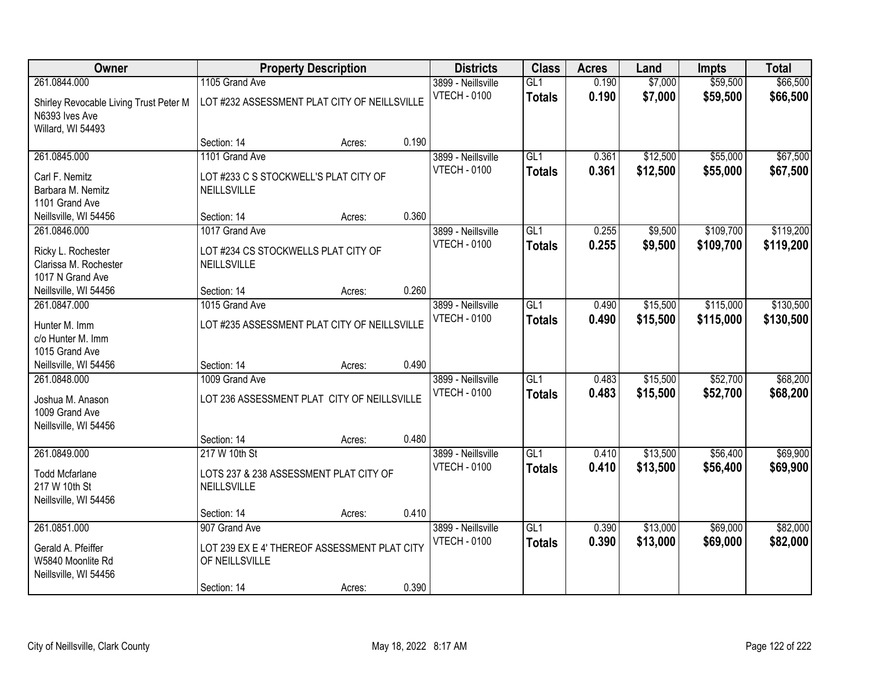| Owner                                  |                                              | <b>Property Description</b> |       | <b>Districts</b>    | <b>Class</b>     | <b>Acres</b> | Land     | <b>Impts</b> | <b>Total</b> |
|----------------------------------------|----------------------------------------------|-----------------------------|-------|---------------------|------------------|--------------|----------|--------------|--------------|
| 261.0844.000                           | 1105 Grand Ave                               |                             |       | 3899 - Neillsville  | GL1              | 0.190        | \$7,000  | \$59,500     | \$66,500     |
| Shirley Revocable Living Trust Peter M | LOT #232 ASSESSMENT PLAT CITY OF NEILLSVILLE |                             |       | <b>VTECH - 0100</b> | <b>Totals</b>    | 0.190        | \$7,000  | \$59,500     | \$66,500     |
| N6393 Ives Ave                         |                                              |                             |       |                     |                  |              |          |              |              |
| Willard, WI 54493                      |                                              |                             |       |                     |                  |              |          |              |              |
|                                        | Section: 14                                  | Acres:                      | 0.190 |                     |                  |              |          |              |              |
| 261.0845.000                           | 1101 Grand Ave                               |                             |       | 3899 - Neillsville  | GL1              | 0.361        | \$12,500 | \$55,000     | \$67,500     |
| Carl F. Nemitz                         | LOT #233 C S STOCKWELL'S PLAT CITY OF        |                             |       | <b>VTECH - 0100</b> | <b>Totals</b>    | 0.361        | \$12,500 | \$55,000     | \$67,500     |
| Barbara M. Nemitz                      | NEILLSVILLE                                  |                             |       |                     |                  |              |          |              |              |
| 1101 Grand Ave                         |                                              |                             |       |                     |                  |              |          |              |              |
| Neillsville, WI 54456                  | Section: 14                                  | Acres:                      | 0.360 |                     |                  |              |          |              |              |
| 261.0846.000                           | 1017 Grand Ave                               |                             |       | 3899 - Neillsville  | GL1              | 0.255        | \$9,500  | \$109,700    | \$119,200    |
| Ricky L. Rochester                     | LOT #234 CS STOCKWELLS PLAT CITY OF          |                             |       | <b>VTECH - 0100</b> | <b>Totals</b>    | 0.255        | \$9,500  | \$109,700    | \$119,200    |
| Clarissa M. Rochester                  | NEILLSVILLE                                  |                             |       |                     |                  |              |          |              |              |
| 1017 N Grand Ave                       |                                              |                             |       |                     |                  |              |          |              |              |
| Neillsville, WI 54456                  | Section: 14                                  | Acres:                      | 0.260 |                     |                  |              |          |              |              |
| 261.0847.000                           | 1015 Grand Ave                               |                             |       | 3899 - Neillsville  | GL1              | 0.490        | \$15,500 | \$115,000    | \$130,500    |
|                                        |                                              |                             |       | <b>VTECH - 0100</b> | <b>Totals</b>    | 0.490        | \$15,500 | \$115,000    | \$130,500    |
| Hunter M. Imm                          | LOT #235 ASSESSMENT PLAT CITY OF NEILLSVILLE |                             |       |                     |                  |              |          |              |              |
| c/o Hunter M. Imm                      |                                              |                             |       |                     |                  |              |          |              |              |
| 1015 Grand Ave                         |                                              |                             |       |                     |                  |              |          |              |              |
| Neillsville, WI 54456                  | Section: 14                                  | Acres:                      | 0.490 |                     |                  |              |          |              |              |
| 261.0848.000                           | 1009 Grand Ave                               |                             |       | 3899 - Neillsville  | $\overline{GL1}$ | 0.483        | \$15,500 | \$52,700     | \$68,200     |
| Joshua M. Anason                       | LOT 236 ASSESSMENT PLAT CITY OF NEILLSVILLE  |                             |       | <b>VTECH - 0100</b> | <b>Totals</b>    | 0.483        | \$15,500 | \$52,700     | \$68,200     |
| 1009 Grand Ave                         |                                              |                             |       |                     |                  |              |          |              |              |
| Neillsville, WI 54456                  |                                              |                             |       |                     |                  |              |          |              |              |
|                                        | Section: 14                                  | Acres:                      | 0.480 |                     |                  |              |          |              |              |
| 261.0849.000                           | 217 W 10th St                                |                             |       | 3899 - Neillsville  | $\overline{GL1}$ | 0.410        | \$13,500 | \$56,400     | \$69,900     |
| <b>Todd Mcfarlane</b>                  | LOTS 237 & 238 ASSESSMENT PLAT CITY OF       |                             |       | <b>VTECH - 0100</b> | <b>Totals</b>    | 0.410        | \$13,500 | \$56,400     | \$69,900     |
| 217 W 10th St                          | NEILLSVILLE                                  |                             |       |                     |                  |              |          |              |              |
| Neillsville, WI 54456                  |                                              |                             |       |                     |                  |              |          |              |              |
|                                        | Section: 14                                  | Acres:                      | 0.410 |                     |                  |              |          |              |              |
| 261.0851.000                           | 907 Grand Ave                                |                             |       | 3899 - Neillsville  | GL1              | 0.390        | \$13,000 | \$69,000     | \$82,000     |
|                                        |                                              |                             |       | <b>VTECH - 0100</b> | <b>Totals</b>    | 0.390        | \$13,000 | \$69,000     | \$82,000     |
| Gerald A. Pfeiffer                     | LOT 239 EX E 4' THEREOF ASSESSMENT PLAT CITY |                             |       |                     |                  |              |          |              |              |
| W5840 Moonlite Rd                      | OF NEILLSVILLE                               |                             |       |                     |                  |              |          |              |              |
| Neillsville, WI 54456                  |                                              |                             |       |                     |                  |              |          |              |              |
|                                        | Section: 14                                  | Acres:                      | 0.390 |                     |                  |              |          |              |              |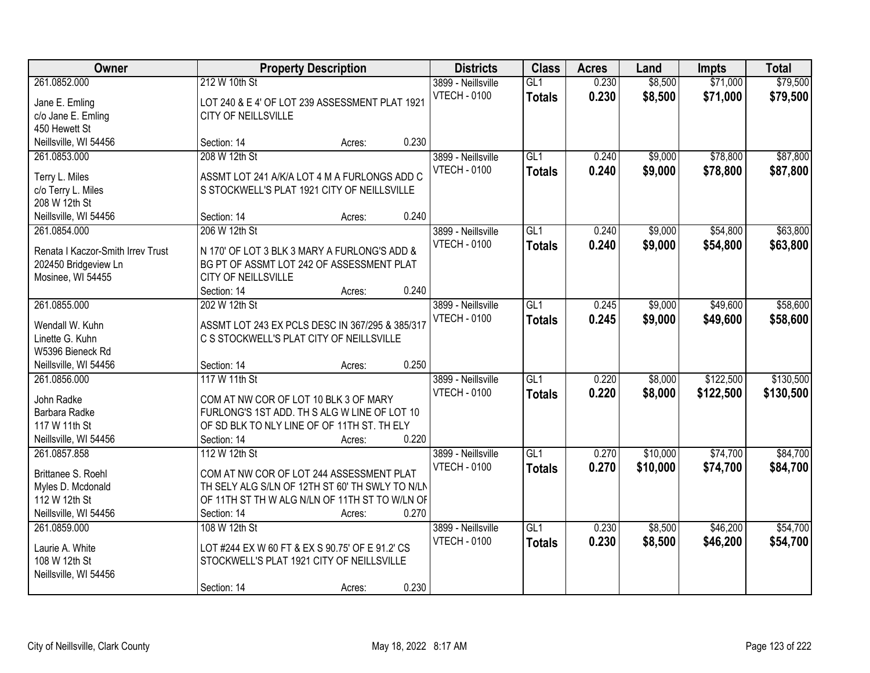| Owner                                                                                          |                                                                                                                                                                      | <b>Property Description</b> |       | <b>Districts</b>                          | <b>Class</b>                      | <b>Acres</b>   | Land               | <b>Impts</b>           | <b>Total</b>           |
|------------------------------------------------------------------------------------------------|----------------------------------------------------------------------------------------------------------------------------------------------------------------------|-----------------------------|-------|-------------------------------------------|-----------------------------------|----------------|--------------------|------------------------|------------------------|
| 261.0852.000<br>Jane E. Emling<br>c/o Jane E. Emling<br>450 Hewett St                          | 212 W 10th St<br>LOT 240 & E 4' OF LOT 239 ASSESSMENT PLAT 1921<br>CITY OF NEILLSVILLE                                                                               |                             |       | 3899 - Neillsville<br><b>VTECH - 0100</b> | GL1<br><b>Totals</b>              | 0.230<br>0.230 | \$8,500<br>\$8,500 | \$71,000<br>\$71,000   | \$79,500<br>\$79,500   |
| Neillsville, WI 54456                                                                          | Section: 14                                                                                                                                                          | Acres:                      | 0.230 |                                           |                                   |                |                    |                        |                        |
| 261.0853.000<br>Terry L. Miles<br>c/o Terry L. Miles<br>208 W 12th St                          | 208 W 12th St<br>ASSMT LOT 241 A/K/A LOT 4 M A FURLONGS ADD C<br>S STOCKWELL'S PLAT 1921 CITY OF NEILLSVILLE                                                         |                             |       | 3899 - Neillsville<br><b>VTECH - 0100</b> | GL1<br><b>Totals</b>              | 0.240<br>0.240 | \$9,000<br>\$9,000 | \$78,800<br>\$78,800   | \$87,800<br>\$87,800   |
| Neillsville, WI 54456                                                                          | Section: 14                                                                                                                                                          | Acres:                      | 0.240 |                                           |                                   |                |                    |                        |                        |
| 261.0854.000<br>Renata I Kaczor-Smith Irrev Trust<br>202450 Bridgeview Ln<br>Mosinee, WI 54455 | 206 W 12th St<br>N 170' OF LOT 3 BLK 3 MARY A FURLONG'S ADD &<br>BG PT OF ASSMT LOT 242 OF ASSESSMENT PLAT<br><b>CITY OF NEILLSVILLE</b><br>Section: 14              | Acres:                      | 0.240 | 3899 - Neillsville<br><b>VTECH - 0100</b> | GL1<br><b>Totals</b>              | 0.240<br>0.240 | \$9,000<br>\$9,000 | \$54,800<br>\$54,800   | \$63,800<br>\$63,800   |
| 261.0855.000                                                                                   | 202 W 12th St                                                                                                                                                        |                             |       | 3899 - Neillsville                        | GL1                               | 0.245          | \$9,000            | \$49,600               | \$58,600               |
| Wendall W. Kuhn<br>Linette G. Kuhn<br>W5396 Bieneck Rd                                         | ASSMT LOT 243 EX PCLS DESC IN 367/295 & 385/317<br>C S STOCKWELL'S PLAT CITY OF NEILLSVILLE                                                                          |                             |       | <b>VTECH - 0100</b>                       | <b>Totals</b>                     | 0.245          | \$9,000            | \$49,600               | \$58,600               |
| Neillsville, WI 54456                                                                          | Section: 14                                                                                                                                                          | Acres:                      | 0.250 |                                           |                                   |                |                    |                        |                        |
| 261.0856.000<br>John Radke<br>Barbara Radke<br>117 W 11th St<br>Neillsville, WI 54456          | 117 W 11th St<br>COM AT NW COR OF LOT 10 BLK 3 OF MARY<br>FURLONG'S 1ST ADD. TH S ALG W LINE OF LOT 10<br>OF SD BLK TO NLY LINE OF OF 11TH ST. TH ELY<br>Section: 14 | Acres:                      | 0.220 | 3899 - Neillsville<br><b>VTECH - 0100</b> | $\overline{GL1}$<br><b>Totals</b> | 0.220<br>0.220 | \$8,000<br>\$8,000 | \$122,500<br>\$122,500 | \$130,500<br>\$130,500 |
| 261.0857.858                                                                                   | 112 W 12th St                                                                                                                                                        |                             |       | 3899 - Neillsville                        | GL1                               | 0.270          | \$10,000           | \$74,700               | \$84,700               |
| Brittanee S. Roehl<br>Myles D. Mcdonald<br>112 W 12th St<br>Neillsville, WI 54456              | COM AT NW COR OF LOT 244 ASSESSMENT PLAT<br>TH SELY ALG S/LN OF 12TH ST 60' TH SWLY TO N/LN<br>OF 11TH ST TH W ALG N/LN OF 11TH ST TO W/LN OF<br>Section: 14         | Acres:                      | 0.270 | <b>VTECH - 0100</b>                       | <b>Totals</b>                     | 0.270          | \$10,000           | \$74,700               | \$84,700               |
| 261.0859.000<br>Laurie A. White<br>108 W 12th St<br>Neillsville, WI 54456                      | 108 W 12th St<br>LOT #244 EX W 60 FT & EX S 90.75' OF E 91.2' CS<br>STOCKWELL'S PLAT 1921 CITY OF NEILLSVILLE<br>Section: 14                                         | Acres:                      | 0.230 | 3899 - Neillsville<br><b>VTECH - 0100</b> | GL1<br><b>Totals</b>              | 0.230<br>0.230 | \$8,500<br>\$8,500 | \$46,200<br>\$46,200   | \$54,700<br>\$54,700   |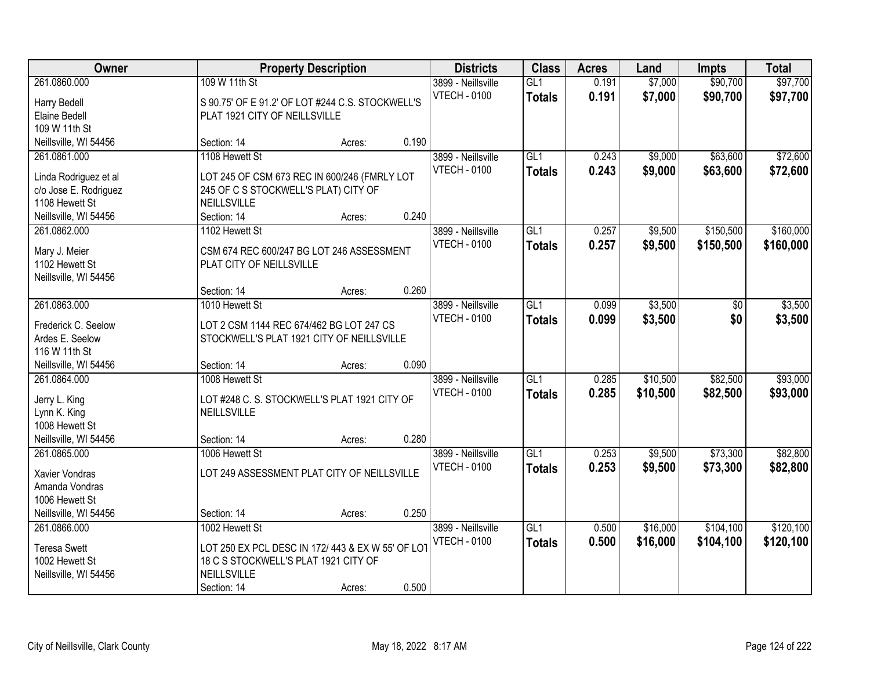| Owner                                                                                                             |                                                                                                                                           | <b>Property Description</b> |                | <b>Districts</b>                          | <b>Class</b>                      | <b>Acres</b>   | Land                 | <b>Impts</b>           | <b>Total</b>           |
|-------------------------------------------------------------------------------------------------------------------|-------------------------------------------------------------------------------------------------------------------------------------------|-----------------------------|----------------|-------------------------------------------|-----------------------------------|----------------|----------------------|------------------------|------------------------|
| 261.0860.000<br>Harry Bedell<br>Elaine Bedell<br>109 W 11th St                                                    | 109 W 11th St<br>S 90.75' OF E 91.2' OF LOT #244 C.S. STOCKWELL'S<br>PLAT 1921 CITY OF NEILLSVILLE                                        |                             |                | 3899 - Neillsville<br><b>VTECH - 0100</b> | GL1<br><b>Totals</b>              | 0.191<br>0.191 | \$7,000<br>\$7,000   | \$90,700<br>\$90,700   | \$97,700<br>\$97,700   |
| Neillsville, WI 54456                                                                                             | Section: 14                                                                                                                               | Acres:                      | 0.190          |                                           |                                   |                |                      |                        |                        |
| 261.0861.000<br>Linda Rodriguez et al<br>c/o Jose E. Rodriguez<br>1108 Hewett St<br>Neillsville, WI 54456         | 1108 Hewett St<br>LOT 245 OF CSM 673 REC IN 600/246 (FMRLY LOT<br>245 OF C S STOCKWELL'S PLAT) CITY OF<br>NEILLSVILLE<br>Section: 14      | Acres:                      | 0.240          | 3899 - Neillsville<br><b>VTECH - 0100</b> | GL1<br><b>Totals</b>              | 0.243<br>0.243 | \$9,000<br>\$9,000   | \$63,600<br>\$63,600   | \$72,600<br>\$72,600   |
| 261.0862.000<br>Mary J. Meier<br>1102 Hewett St<br>Neillsville, WI 54456                                          | 1102 Hewett St<br>CSM 674 REC 600/247 BG LOT 246 ASSESSMENT<br>PLAT CITY OF NEILLSVILLE<br>Section: 14                                    | Acres:                      | 0.260          | 3899 - Neillsville<br><b>VTECH - 0100</b> | GL1<br><b>Totals</b>              | 0.257<br>0.257 | \$9,500<br>\$9,500   | \$150,500<br>\$150,500 | \$160,000<br>\$160,000 |
| 261.0863.000<br>Frederick C. Seelow<br>Ardes E. Seelow<br>116 W 11th St                                           | 1010 Hewett St<br>LOT 2 CSM 1144 REC 674/462 BG LOT 247 CS<br>STOCKWELL'S PLAT 1921 CITY OF NEILLSVILLE                                   |                             |                | 3899 - Neillsville<br><b>VTECH - 0100</b> | GL1<br><b>Totals</b>              | 0.099<br>0.099 | \$3,500<br>\$3,500   | \$0<br>\$0             | \$3,500<br>\$3,500     |
| Neillsville, WI 54456<br>261.0864.000<br>Jerry L. King<br>Lynn K. King<br>1008 Hewett St<br>Neillsville, WI 54456 | Section: 14<br>1008 Hewett St<br>LOT #248 C. S. STOCKWELL'S PLAT 1921 CITY OF<br>NEILLSVILLE<br>Section: 14                               | Acres:<br>Acres:            | 0.090<br>0.280 | 3899 - Neillsville<br><b>VTECH - 0100</b> | $\overline{GL1}$<br><b>Totals</b> | 0.285<br>0.285 | \$10,500<br>\$10,500 | \$82,500<br>\$82,500   | \$93,000<br>\$93,000   |
| 261.0865.000<br>Xavier Vondras<br>Amanda Vondras<br>1006 Hewett St<br>Neillsville, WI 54456                       | 1006 Hewett St<br>LOT 249 ASSESSMENT PLAT CITY OF NEILLSVILLE<br>Section: 14                                                              | Acres:                      | 0.250          | 3899 - Neillsville<br><b>VTECH - 0100</b> | GL1<br><b>Totals</b>              | 0.253<br>0.253 | \$9,500<br>\$9,500   | \$73,300<br>\$73,300   | \$82,800<br>\$82,800   |
| 261.0866.000<br><b>Teresa Swett</b><br>1002 Hewett St<br>Neillsville, WI 54456                                    | 1002 Hewett St<br>LOT 250 EX PCL DESC IN 172/ 443 & EX W 55' OF LOT<br>18 C S STOCKWELL'S PLAT 1921 CITY OF<br>NEILLSVILLE<br>Section: 14 | Acres:                      | 0.500          | 3899 - Neillsville<br><b>VTECH - 0100</b> | GL1<br><b>Totals</b>              | 0.500<br>0.500 | \$16,000<br>\$16,000 | \$104,100<br>\$104,100 | \$120,100<br>\$120,100 |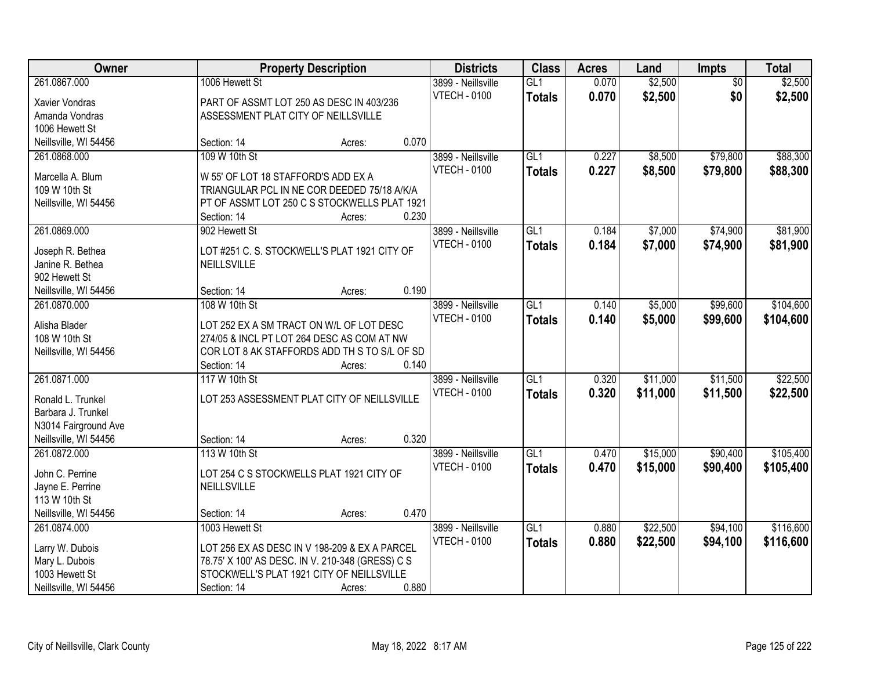| <b>Owner</b>          |                                     | <b>Property Description</b>                      |       | <b>Districts</b>    | <b>Class</b>    | <b>Acres</b> | Land     | <b>Impts</b>    | <b>Total</b> |
|-----------------------|-------------------------------------|--------------------------------------------------|-------|---------------------|-----------------|--------------|----------|-----------------|--------------|
| 261.0867.000          | 1006 Hewett St                      |                                                  |       | 3899 - Neillsville  | GL1             | 0.070        | \$2,500  | $\overline{50}$ | \$2,500      |
| Xavier Vondras        |                                     | PART OF ASSMT LOT 250 AS DESC IN 403/236         |       | <b>VTECH - 0100</b> | <b>Totals</b>   | 0.070        | \$2,500  | \$0             | \$2,500      |
| Amanda Vondras        | ASSESSMENT PLAT CITY OF NEILLSVILLE |                                                  |       |                     |                 |              |          |                 |              |
| 1006 Hewett St        |                                     |                                                  |       |                     |                 |              |          |                 |              |
| Neillsville, WI 54456 | Section: 14                         | Acres:                                           | 0.070 |                     |                 |              |          |                 |              |
| 261.0868.000          | 109 W 10th St                       |                                                  |       | 3899 - Neillsville  | GL1             | 0.227        | \$8,500  | \$79,800        | \$88,300     |
|                       |                                     |                                                  |       | <b>VTECH - 0100</b> | <b>Totals</b>   | 0.227        | \$8,500  | \$79,800        | \$88,300     |
| Marcella A. Blum      | W 55' OF LOT 18 STAFFORD'S ADD EX A |                                                  |       |                     |                 |              |          |                 |              |
| 109 W 10th St         |                                     | TRIANGULAR PCL IN NE COR DEEDED 75/18 A/K/A      |       |                     |                 |              |          |                 |              |
| Neillsville, WI 54456 |                                     | PT OF ASSMT LOT 250 C S STOCKWELLS PLAT 1921     |       |                     |                 |              |          |                 |              |
|                       | Section: 14                         | Acres:                                           | 0.230 |                     |                 |              |          |                 |              |
| 261.0869.000          | 902 Hewett St                       |                                                  |       | 3899 - Neillsville  | GL <sub>1</sub> | 0.184        | \$7,000  | \$74,900        | \$81,900     |
| Joseph R. Bethea      |                                     | LOT #251 C. S. STOCKWELL'S PLAT 1921 CITY OF     |       | <b>VTECH - 0100</b> | <b>Totals</b>   | 0.184        | \$7,000  | \$74,900        | \$81,900     |
| Janine R. Bethea      | NEILLSVILLE                         |                                                  |       |                     |                 |              |          |                 |              |
| 902 Hewett St         |                                     |                                                  |       |                     |                 |              |          |                 |              |
| Neillsville, WI 54456 | Section: 14                         | Acres:                                           | 0.190 |                     |                 |              |          |                 |              |
| 261.0870.000          | 108 W 10th St                       |                                                  |       | 3899 - Neillsville  | GL1             | 0.140        | \$5,000  | \$99,600        | \$104,600    |
|                       |                                     |                                                  |       | <b>VTECH - 0100</b> | <b>Totals</b>   | 0.140        | \$5,000  | \$99,600        | \$104,600    |
| Alisha Blader         |                                     | LOT 252 EX A SM TRACT ON W/L OF LOT DESC         |       |                     |                 |              |          |                 |              |
| 108 W 10th St         |                                     | 274/05 & INCL PT LOT 264 DESC AS COM AT NW       |       |                     |                 |              |          |                 |              |
| Neillsville, WI 54456 |                                     | COR LOT 8 AK STAFFORDS ADD TH S TO S/L OF SD     |       |                     |                 |              |          |                 |              |
|                       | Section: 14                         | Acres:                                           | 0.140 |                     |                 |              |          |                 |              |
| 261.0871.000          | 117 W 10th St                       |                                                  |       | 3899 - Neillsville  | GL1             | 0.320        | \$11,000 | \$11,500        | \$22,500     |
| Ronald L. Trunkel     |                                     | LOT 253 ASSESSMENT PLAT CITY OF NEILLSVILLE      |       | <b>VTECH - 0100</b> | <b>Totals</b>   | 0.320        | \$11,000 | \$11,500        | \$22,500     |
| Barbara J. Trunkel    |                                     |                                                  |       |                     |                 |              |          |                 |              |
| N3014 Fairground Ave  |                                     |                                                  |       |                     |                 |              |          |                 |              |
| Neillsville, WI 54456 | Section: 14                         | Acres:                                           | 0.320 |                     |                 |              |          |                 |              |
| 261.0872.000          | 113 W 10th St                       |                                                  |       | 3899 - Neillsville  | GL1             | 0.470        | \$15,000 | \$90,400        | \$105,400    |
|                       |                                     |                                                  |       | <b>VTECH - 0100</b> | <b>Totals</b>   | 0.470        | \$15,000 | \$90,400        | \$105,400    |
| John C. Perrine       |                                     | LOT 254 C S STOCKWELLS PLAT 1921 CITY OF         |       |                     |                 |              |          |                 |              |
| Jayne E. Perrine      | <b>NEILLSVILLE</b>                  |                                                  |       |                     |                 |              |          |                 |              |
| 113 W 10th St         |                                     |                                                  |       |                     |                 |              |          |                 |              |
| Neillsville, WI 54456 | Section: 14                         | Acres:                                           | 0.470 |                     |                 |              |          |                 |              |
| 261.0874.000          | 1003 Hewett St                      |                                                  |       | 3899 - Neillsville  | GL1             | 0.880        | \$22,500 | \$94,100        | \$116,600    |
| Larry W. Dubois       |                                     | LOT 256 EX AS DESC IN V 198-209 & EX A PARCEL    |       | <b>VTECH - 0100</b> | <b>Totals</b>   | 0.880        | \$22,500 | \$94,100        | \$116,600    |
| Mary L. Dubois        |                                     | 78.75' X 100' AS DESC. IN V. 210-348 (GRESS) C S |       |                     |                 |              |          |                 |              |
| 1003 Hewett St        |                                     | STOCKWELL'S PLAT 1921 CITY OF NEILLSVILLE        |       |                     |                 |              |          |                 |              |
| Neillsville, WI 54456 | Section: 14                         | Acres:                                           | 0.880 |                     |                 |              |          |                 |              |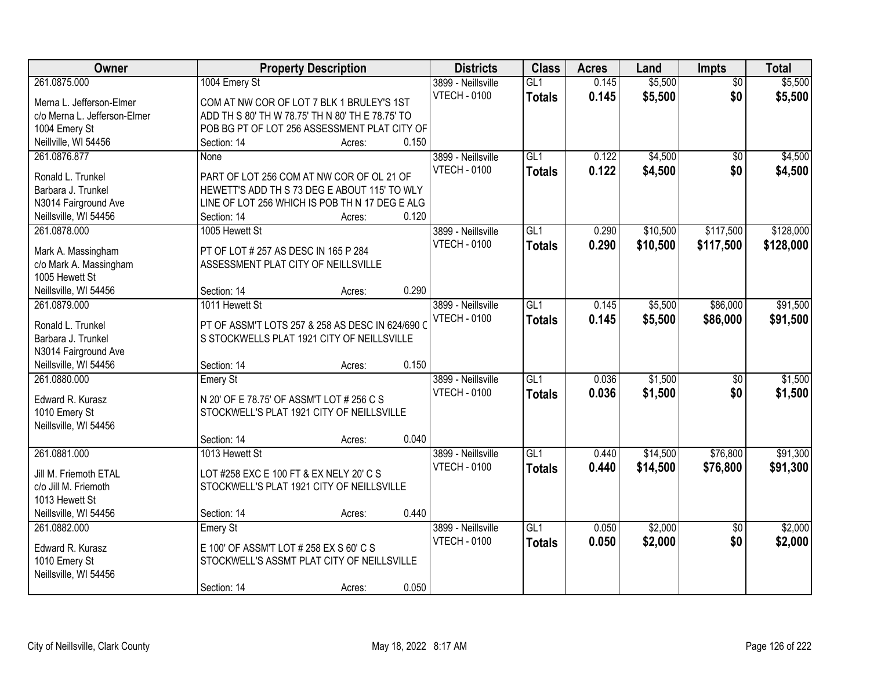| <b>Owner</b>                 |                                                  | <b>Property Description</b> |       | <b>Districts</b>    | <b>Class</b>     | <b>Acres</b> | Land     | <b>Impts</b>    | <b>Total</b> |
|------------------------------|--------------------------------------------------|-----------------------------|-------|---------------------|------------------|--------------|----------|-----------------|--------------|
| 261.0875.000                 | 1004 Emery St                                    |                             |       | 3899 - Neillsville  | GL1              | 0.145        | \$5,500  | $\overline{50}$ | \$5,500      |
| Merna L. Jefferson-Elmer     | COM AT NW COR OF LOT 7 BLK 1 BRULEY'S 1ST        |                             |       | <b>VTECH - 0100</b> | <b>Totals</b>    | 0.145        | \$5,500  | \$0             | \$5,500      |
| c/o Merna L. Jefferson-Elmer | ADD TH S 80' TH W 78.75' TH N 80' TH E 78.75' TO |                             |       |                     |                  |              |          |                 |              |
| 1004 Emery St                | POB BG PT OF LOT 256 ASSESSMENT PLAT CITY OF     |                             |       |                     |                  |              |          |                 |              |
| Neillville, WI 54456         | Section: 14                                      | Acres:                      | 0.150 |                     |                  |              |          |                 |              |
| 261.0876.877                 | None                                             |                             |       | 3899 - Neillsville  | $\overline{GL1}$ | 0.122        | \$4,500  | $\overline{50}$ | \$4,500      |
|                              |                                                  |                             |       | <b>VTECH - 0100</b> | <b>Totals</b>    | 0.122        | \$4,500  | \$0             | \$4,500      |
| Ronald L. Trunkel            | PART OF LOT 256 COM AT NW COR OF OL 21 OF        |                             |       |                     |                  |              |          |                 |              |
| Barbara J. Trunkel           | HEWETT'S ADD TH S 73 DEG E ABOUT 115' TO WLY     |                             |       |                     |                  |              |          |                 |              |
| N3014 Fairground Ave         | LINE OF LOT 256 WHICH IS POB TH N 17 DEG E ALG   |                             |       |                     |                  |              |          |                 |              |
| Neillsville, WI 54456        | Section: 14                                      | Acres:                      | 0.120 |                     |                  |              |          |                 |              |
| 261.0878.000                 | 1005 Hewett St                                   |                             |       | 3899 - Neillsville  | GL1              | 0.290        | \$10,500 | \$117,500       | \$128,000    |
| Mark A. Massingham           | PT OF LOT # 257 AS DESC IN 165 P 284             |                             |       | <b>VTECH - 0100</b> | <b>Totals</b>    | 0.290        | \$10,500 | \$117,500       | \$128,000    |
| c/o Mark A. Massingham       | ASSESSMENT PLAT CITY OF NEILLSVILLE              |                             |       |                     |                  |              |          |                 |              |
| 1005 Hewett St               |                                                  |                             |       |                     |                  |              |          |                 |              |
| Neillsville, WI 54456        | Section: 14                                      | Acres:                      | 0.290 |                     |                  |              |          |                 |              |
| 261.0879.000                 | 1011 Hewett St                                   |                             |       | 3899 - Neillsville  | GL1              | 0.145        | \$5,500  | \$86,000        | \$91,500     |
|                              |                                                  |                             |       | <b>VTECH - 0100</b> | <b>Totals</b>    | 0.145        | \$5,500  | \$86,000        | \$91,500     |
| Ronald L. Trunkel            | PT OF ASSM'T LOTS 257 & 258 AS DESC IN 624/690 C |                             |       |                     |                  |              |          |                 |              |
| Barbara J. Trunkel           | S STOCKWELLS PLAT 1921 CITY OF NEILLSVILLE       |                             |       |                     |                  |              |          |                 |              |
| N3014 Fairground Ave         |                                                  |                             |       |                     |                  |              |          |                 |              |
| Neillsville, WI 54456        | Section: 14                                      | Acres:                      | 0.150 |                     |                  |              |          |                 |              |
| 261.0880.000                 | <b>Emery St</b>                                  |                             |       | 3899 - Neillsville  | $\overline{GL1}$ | 0.036        | \$1,500  | $\overline{50}$ | \$1,500      |
| Edward R. Kurasz             | N 20' OF E 78.75' OF ASSM'T LOT # 256 C S        |                             |       | <b>VTECH - 0100</b> | <b>Totals</b>    | 0.036        | \$1,500  | \$0             | \$1,500      |
| 1010 Emery St                | STOCKWELL'S PLAT 1921 CITY OF NEILLSVILLE        |                             |       |                     |                  |              |          |                 |              |
| Neillsville, WI 54456        |                                                  |                             |       |                     |                  |              |          |                 |              |
|                              | Section: 14                                      | Acres:                      | 0.040 |                     |                  |              |          |                 |              |
| 261.0881.000                 | 1013 Hewett St                                   |                             |       | 3899 - Neillsville  | GL1              | 0.440        | \$14,500 | \$76,800        | \$91,300     |
| Jill M. Friemoth ETAL        | LOT #258 EXC E 100 FT & EX NELY 20' C S          |                             |       | <b>VTECH - 0100</b> | <b>Totals</b>    | 0.440        | \$14,500 | \$76,800        | \$91,300     |
| c/o Jill M. Friemoth         | STOCKWELL'S PLAT 1921 CITY OF NEILLSVILLE        |                             |       |                     |                  |              |          |                 |              |
| 1013 Hewett St               |                                                  |                             |       |                     |                  |              |          |                 |              |
| Neillsville, WI 54456        | Section: 14                                      | Acres:                      | 0.440 |                     |                  |              |          |                 |              |
| 261.0882.000                 | Emery St                                         |                             |       | 3899 - Neillsville  | GL1              | 0.050        | \$2,000  | $\overline{50}$ | \$2,000      |
|                              |                                                  |                             |       | <b>VTECH - 0100</b> |                  | 0.050        |          | \$0             | \$2,000      |
| Edward R. Kurasz             | E 100' OF ASSM'T LOT # 258 EX S 60' C S          |                             |       |                     | <b>Totals</b>    |              | \$2,000  |                 |              |
| 1010 Emery St                | STOCKWELL'S ASSMT PLAT CITY OF NEILLSVILLE       |                             |       |                     |                  |              |          |                 |              |
| Neillsville, WI 54456        |                                                  |                             |       |                     |                  |              |          |                 |              |
|                              | Section: 14                                      | Acres:                      | 0.050 |                     |                  |              |          |                 |              |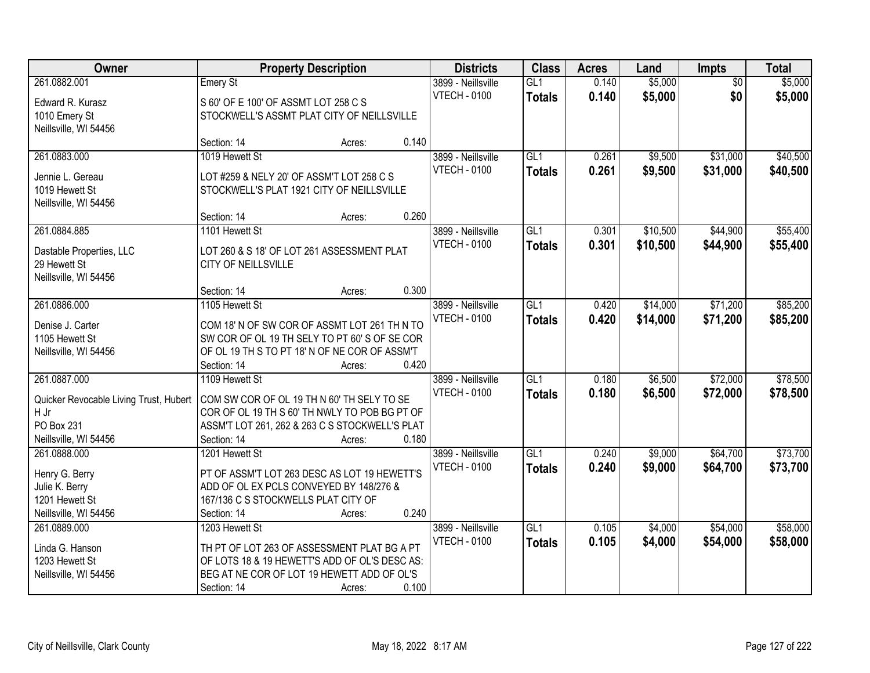| Owner                                  |                                                | <b>Property Description</b> |       | <b>Districts</b>    | <b>Class</b>     | <b>Acres</b> | Land     | <b>Impts</b>    | <b>Total</b> |
|----------------------------------------|------------------------------------------------|-----------------------------|-------|---------------------|------------------|--------------|----------|-----------------|--------------|
| 261.0882.001                           | Emery St                                       |                             |       | 3899 - Neillsville  | GL1              | 0.140        | \$5,000  | $\overline{50}$ | \$5,000      |
| Edward R. Kurasz                       | S 60' OF E 100' OF ASSMT LOT 258 C S           |                             |       | <b>VTECH - 0100</b> | <b>Totals</b>    | 0.140        | \$5,000  | \$0             | \$5,000      |
| 1010 Emery St                          | STOCKWELL'S ASSMT PLAT CITY OF NEILLSVILLE     |                             |       |                     |                  |              |          |                 |              |
| Neillsville, WI 54456                  |                                                |                             |       |                     |                  |              |          |                 |              |
|                                        | Section: 14                                    | Acres:                      | 0.140 |                     |                  |              |          |                 |              |
| 261.0883.000                           | 1019 Hewett St                                 |                             |       | 3899 - Neillsville  | GL1              | 0.261        | \$9,500  | \$31,000        | \$40,500     |
| Jennie L. Gereau                       | LOT #259 & NELY 20' OF ASSM'T LOT 258 C S      |                             |       | <b>VTECH - 0100</b> | <b>Totals</b>    | 0.261        | \$9,500  | \$31,000        | \$40,500     |
| 1019 Hewett St                         | STOCKWELL'S PLAT 1921 CITY OF NEILLSVILLE      |                             |       |                     |                  |              |          |                 |              |
| Neillsville, WI 54456                  |                                                |                             |       |                     |                  |              |          |                 |              |
|                                        | Section: 14                                    | Acres:                      | 0.260 |                     |                  |              |          |                 |              |
| 261.0884.885                           | 1101 Hewett St                                 |                             |       | 3899 - Neillsville  | GL1              | 0.301        | \$10,500 | \$44,900        | \$55,400     |
| Dastable Properties, LLC               | LOT 260 & S 18' OF LOT 261 ASSESSMENT PLAT     |                             |       | <b>VTECH - 0100</b> | <b>Totals</b>    | 0.301        | \$10,500 | \$44,900        | \$55,400     |
| 29 Hewett St                           | <b>CITY OF NEILLSVILLE</b>                     |                             |       |                     |                  |              |          |                 |              |
| Neillsville, WI 54456                  |                                                |                             |       |                     |                  |              |          |                 |              |
|                                        | Section: 14                                    | Acres:                      | 0.300 |                     |                  |              |          |                 |              |
| 261.0886.000                           | 1105 Hewett St                                 |                             |       | 3899 - Neillsville  | GL1              | 0.420        | \$14,000 | \$71,200        | \$85,200     |
| Denise J. Carter                       | COM 18' N OF SW COR OF ASSMT LOT 261 TH N TO   |                             |       | <b>VTECH - 0100</b> | <b>Totals</b>    | 0.420        | \$14,000 | \$71,200        | \$85,200     |
| 1105 Hewett St                         | SW COR OF OL 19 TH SELY TO PT 60' S OF SE COR  |                             |       |                     |                  |              |          |                 |              |
| Neillsville, WI 54456                  | OF OL 19 TH S TO PT 18' N OF NE COR OF ASSM'T  |                             |       |                     |                  |              |          |                 |              |
|                                        | Section: 14                                    | Acres:                      | 0.420 |                     |                  |              |          |                 |              |
| 261.0887.000                           | 1109 Hewett St                                 |                             |       | 3899 - Neillsville  | $\overline{GL1}$ | 0.180        | \$6,500  | \$72,000        | \$78,500     |
| Quicker Revocable Living Trust, Hubert | COM SW COR OF OL 19 TH N 60' TH SELY TO SE     |                             |       | <b>VTECH - 0100</b> | Totals           | 0.180        | \$6,500  | \$72,000        | \$78,500     |
| H Jr                                   | COR OF OL 19 TH S 60' TH NWLY TO POB BG PT OF  |                             |       |                     |                  |              |          |                 |              |
| PO Box 231                             | ASSM'T LOT 261, 262 & 263 C S STOCKWELL'S PLAT |                             |       |                     |                  |              |          |                 |              |
| Neillsville, WI 54456                  | Section: 14                                    | Acres:                      | 0.180 |                     |                  |              |          |                 |              |
| 261.0888.000                           | 1201 Hewett St                                 |                             |       | 3899 - Neillsville  | GL1              | 0.240        | \$9,000  | \$64,700        | \$73,700     |
| Henry G. Berry                         | PT OF ASSM'T LOT 263 DESC AS LOT 19 HEWETT'S   |                             |       | <b>VTECH - 0100</b> | <b>Totals</b>    | 0.240        | \$9,000  | \$64,700        | \$73,700     |
| Julie K. Berry                         | ADD OF OL EX PCLS CONVEYED BY 148/276 &        |                             |       |                     |                  |              |          |                 |              |
| 1201 Hewett St                         | 167/136 C S STOCKWELLS PLAT CITY OF            |                             |       |                     |                  |              |          |                 |              |
| Neillsville, WI 54456                  | Section: 14                                    | Acres:                      | 0.240 |                     |                  |              |          |                 |              |
| 261.0889.000                           | 1203 Hewett St                                 |                             |       | 3899 - Neillsville  | GL1              | 0.105        | \$4,000  | \$54,000        | \$58,000     |
| Linda G. Hanson                        | TH PT OF LOT 263 OF ASSESSMENT PLAT BG A PT    |                             |       | <b>VTECH - 0100</b> | <b>Totals</b>    | 0.105        | \$4,000  | \$54,000        | \$58,000     |
| 1203 Hewett St                         | OF LOTS 18 & 19 HEWETT'S ADD OF OL'S DESC AS:  |                             |       |                     |                  |              |          |                 |              |
| Neillsville, WI 54456                  | BEG AT NE COR OF LOT 19 HEWETT ADD OF OL'S     |                             |       |                     |                  |              |          |                 |              |
|                                        | Section: 14                                    | Acres:                      | 0.100 |                     |                  |              |          |                 |              |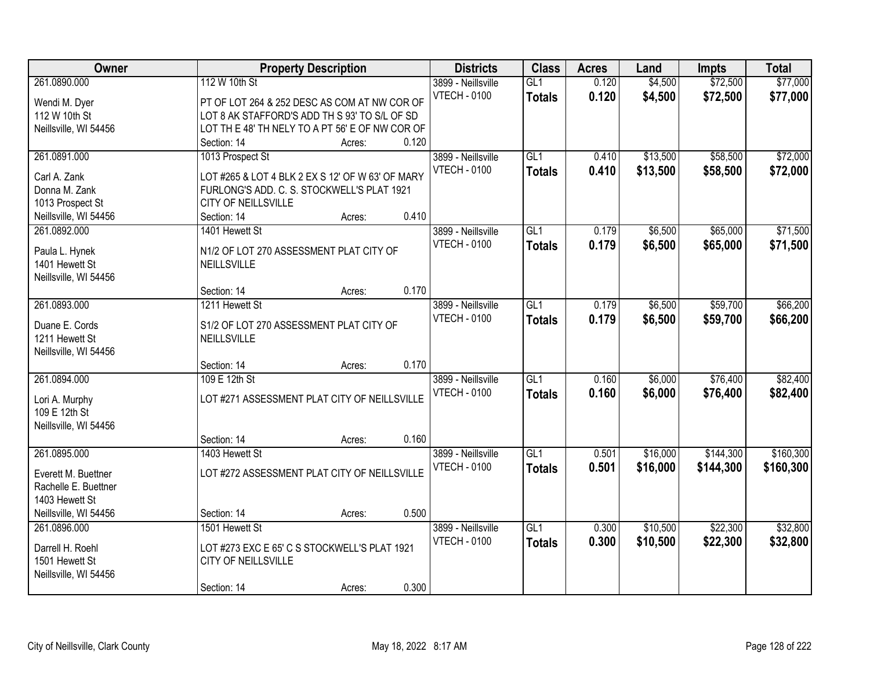| Owner                 | <b>Property Description</b>                      |        |       | <b>Districts</b>    | <b>Class</b>     | <b>Acres</b> | Land     | <b>Impts</b> | <b>Total</b> |
|-----------------------|--------------------------------------------------|--------|-------|---------------------|------------------|--------------|----------|--------------|--------------|
| 261.0890.000          | 112 W 10th St                                    |        |       | 3899 - Neillsville  | GL1              | 0.120        | \$4,500  | \$72,500     | \$77,000     |
| Wendi M. Dyer         | PT OF LOT 264 & 252 DESC AS COM AT NW COR OF     |        |       | <b>VTECH - 0100</b> | <b>Totals</b>    | 0.120        | \$4,500  | \$72,500     | \$77,000     |
| 112 W 10th St         | LOT 8 AK STAFFORD'S ADD TH S 93' TO S/L OF SD    |        |       |                     |                  |              |          |              |              |
| Neillsville, WI 54456 | LOT TH E 48' TH NELY TO A PT 56' E OF NW COR OF  |        |       |                     |                  |              |          |              |              |
|                       | Section: 14                                      | Acres: | 0.120 |                     |                  |              |          |              |              |
| 261.0891.000          | 1013 Prospect St                                 |        |       | 3899 - Neillsville  | GL1              | 0.410        | \$13,500 | \$58,500     | \$72,000     |
|                       |                                                  |        |       | <b>VTECH - 0100</b> | <b>Totals</b>    | 0.410        | \$13,500 | \$58,500     | \$72,000     |
| Carl A. Zank          | LOT #265 & LOT 4 BLK 2 EX S 12' OF W 63' OF MARY |        |       |                     |                  |              |          |              |              |
| Donna M. Zank         | FURLONG'S ADD. C. S. STOCKWELL'S PLAT 1921       |        |       |                     |                  |              |          |              |              |
| 1013 Prospect St      | CITY OF NEILLSVILLE                              |        |       |                     |                  |              |          |              |              |
| Neillsville, WI 54456 | Section: 14                                      | Acres: | 0.410 |                     |                  |              |          |              |              |
| 261.0892.000          | 1401 Hewett St                                   |        |       | 3899 - Neillsville  | GL1              | 0.179        | \$6,500  | \$65,000     | \$71,500     |
| Paula L. Hynek        | N1/2 OF LOT 270 ASSESSMENT PLAT CITY OF          |        |       | <b>VTECH - 0100</b> | <b>Totals</b>    | 0.179        | \$6,500  | \$65,000     | \$71,500     |
| 1401 Hewett St        | NEILLSVILLE                                      |        |       |                     |                  |              |          |              |              |
| Neillsville, WI 54456 |                                                  |        |       |                     |                  |              |          |              |              |
|                       | Section: 14                                      | Acres: | 0.170 |                     |                  |              |          |              |              |
| 261.0893.000          | 1211 Hewett St                                   |        |       | 3899 - Neillsville  | GL1              | 0.179        | \$6,500  | \$59,700     | \$66,200     |
|                       |                                                  |        |       | <b>VTECH - 0100</b> | <b>Totals</b>    | 0.179        | \$6,500  | \$59,700     | \$66,200     |
| Duane E. Cords        | S1/2 OF LOT 270 ASSESSMENT PLAT CITY OF          |        |       |                     |                  |              |          |              |              |
| 1211 Hewett St        | NEILLSVILLE                                      |        |       |                     |                  |              |          |              |              |
| Neillsville, WI 54456 |                                                  |        |       |                     |                  |              |          |              |              |
|                       | Section: 14                                      | Acres: | 0.170 |                     |                  |              |          |              |              |
| 261.0894.000          | 109 E 12th St                                    |        |       | 3899 - Neillsville  | $\overline{GL1}$ | 0.160        | \$6,000  | \$76,400     | \$82,400     |
| Lori A. Murphy        | LOT #271 ASSESSMENT PLAT CITY OF NEILLSVILLE     |        |       | <b>VTECH - 0100</b> | <b>Totals</b>    | 0.160        | \$6,000  | \$76,400     | \$82,400     |
| 109 E 12th St         |                                                  |        |       |                     |                  |              |          |              |              |
| Neillsville, WI 54456 |                                                  |        |       |                     |                  |              |          |              |              |
|                       | Section: 14                                      | Acres: | 0.160 |                     |                  |              |          |              |              |
| 261.0895.000          | 1403 Hewett St                                   |        |       | 3899 - Neillsville  | GL1              | 0.501        | \$16,000 | \$144,300    | \$160,300    |
|                       |                                                  |        |       | <b>VTECH - 0100</b> | <b>Totals</b>    | 0.501        | \$16,000 | \$144,300    | \$160,300    |
| Everett M. Buettner   | LOT #272 ASSESSMENT PLAT CITY OF NEILLSVILLE     |        |       |                     |                  |              |          |              |              |
| Rachelle E. Buettner  |                                                  |        |       |                     |                  |              |          |              |              |
| 1403 Hewett St        |                                                  |        |       |                     |                  |              |          |              |              |
| Neillsville, WI 54456 | Section: 14                                      | Acres: | 0.500 |                     |                  |              |          |              |              |
| 261.0896.000          | 1501 Hewett St                                   |        |       | 3899 - Neillsville  | GL1              | 0.300        | \$10,500 | \$22,300     | \$32,800     |
| Darrell H. Roehl      | LOT #273 EXC E 65' C S STOCKWELL'S PLAT 1921     |        |       | <b>VTECH - 0100</b> | <b>Totals</b>    | 0.300        | \$10,500 | \$22,300     | \$32,800     |
| 1501 Hewett St        | <b>CITY OF NEILLSVILLE</b>                       |        |       |                     |                  |              |          |              |              |
| Neillsville, WI 54456 |                                                  |        |       |                     |                  |              |          |              |              |
|                       | Section: 14                                      | Acres: | 0.300 |                     |                  |              |          |              |              |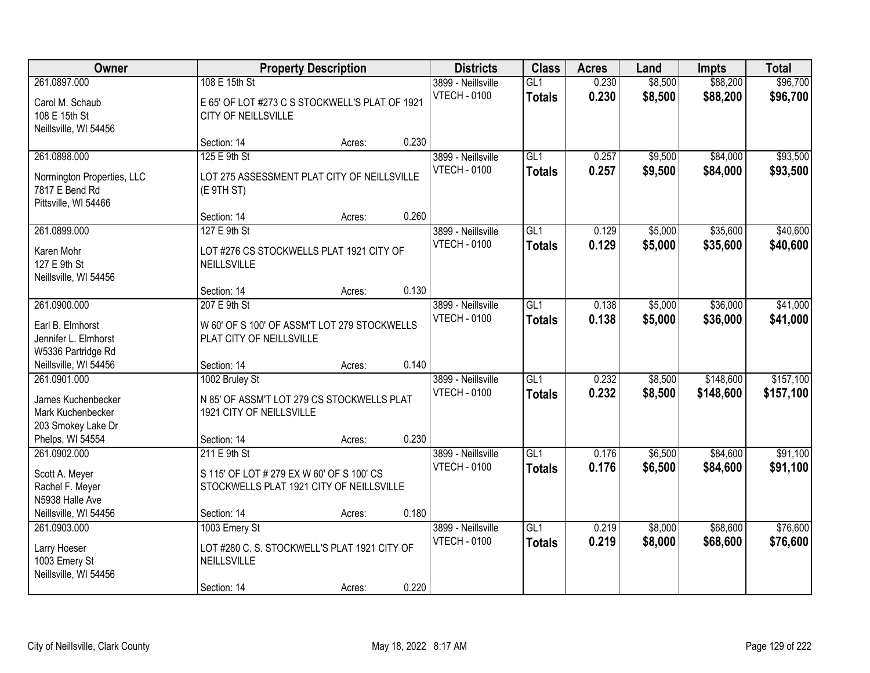| Owner                                                                                             |                                                                                                         | <b>Property Description</b> |       | <b>Districts</b>                          | <b>Class</b>                      | <b>Acres</b>   | Land               | <b>Impts</b>           | <b>Total</b>           |
|---------------------------------------------------------------------------------------------------|---------------------------------------------------------------------------------------------------------|-----------------------------|-------|-------------------------------------------|-----------------------------------|----------------|--------------------|------------------------|------------------------|
| 261.0897.000<br>Carol M. Schaub<br>108 E 15th St<br>Neillsville, WI 54456                         | 108 E 15th St<br>E 65' OF LOT #273 C S STOCKWELL'S PLAT OF 1921<br><b>CITY OF NEILLSVILLE</b>           |                             |       | 3899 - Neillsville<br><b>VTECH - 0100</b> | GL1<br><b>Totals</b>              | 0.230<br>0.230 | \$8,500<br>\$8,500 | \$88,200<br>\$88,200   | \$96,700<br>\$96,700   |
|                                                                                                   | Section: 14                                                                                             | Acres:                      | 0.230 |                                           |                                   |                |                    |                        |                        |
| 261.0898.000<br>Normington Properties, LLC<br>7817 E Bend Rd<br>Pittsville, WI 54466              | 125 E 9th St<br>LOT 275 ASSESSMENT PLAT CITY OF NEILLSVILLE<br>(E 9TH ST)                               |                             |       | 3899 - Neillsville<br><b>VTECH - 0100</b> | GL1<br><b>Totals</b>              | 0.257<br>0.257 | \$9,500<br>\$9,500 | \$84,000<br>\$84,000   | \$93,500<br>\$93,500   |
|                                                                                                   | Section: 14                                                                                             | Acres:                      | 0.260 |                                           |                                   |                |                    |                        |                        |
| 261.0899.000<br>Karen Mohr<br>127 E 9th St<br>Neillsville, WI 54456                               | 127 E 9th St<br>LOT #276 CS STOCKWELLS PLAT 1921 CITY OF<br>NEILLSVILLE                                 |                             |       | 3899 - Neillsville<br><b>VTECH - 0100</b> | GL1<br><b>Totals</b>              | 0.129<br>0.129 | \$5,000<br>\$5,000 | \$35,600<br>\$35,600   | \$40,600<br>\$40,600   |
|                                                                                                   | Section: 14                                                                                             | Acres:                      | 0.130 |                                           |                                   |                |                    |                        |                        |
| 261.0900.000<br>Earl B. Elmhorst<br>Jennifer L. Elmhorst<br>W5336 Partridge Rd                    | 207 E 9th St<br>W 60' OF S 100' OF ASSM'T LOT 279 STOCKWELLS<br>PLAT CITY OF NEILLSVILLE                |                             |       | 3899 - Neillsville<br><b>VTECH - 0100</b> | GL1<br><b>Totals</b>              | 0.138<br>0.138 | \$5,000<br>\$5,000 | \$36,000<br>\$36,000   | \$41,000<br>\$41,000   |
| Neillsville, WI 54456                                                                             | Section: 14                                                                                             | Acres:                      | 0.140 |                                           |                                   |                |                    |                        |                        |
| 261.0901.000<br>James Kuchenbecker<br>Mark Kuchenbecker<br>203 Smokey Lake Dr<br>Phelps, WI 54554 | 1002 Bruley St<br>N 85' OF ASSM'T LOT 279 CS STOCKWELLS PLAT<br>1921 CITY OF NEILLSVILLE<br>Section: 14 | Acres:                      | 0.230 | 3899 - Neillsville<br><b>VTECH - 0100</b> | $\overline{GL1}$<br><b>Totals</b> | 0.232<br>0.232 | \$8,500<br>\$8,500 | \$148,600<br>\$148,600 | \$157,100<br>\$157,100 |
| 261.0902.000                                                                                      | 211 E 9th St                                                                                            |                             |       | 3899 - Neillsville                        | $\overline{GL1}$                  | 0.176          | \$6,500            | \$84,600               | \$91,100               |
| Scott A. Meyer<br>Rachel F. Meyer<br>N5938 Halle Ave<br>Neillsville, WI 54456                     | S 115' OF LOT # 279 EX W 60' OF S 100' CS<br>STOCKWELLS PLAT 1921 CITY OF NEILLSVILLE<br>Section: 14    | Acres:                      | 0.180 | <b>VTECH - 0100</b>                       | <b>Totals</b>                     | 0.176          | \$6,500            | \$84,600               | \$91,100               |
| 261.0903.000<br>Larry Hoeser<br>1003 Emery St<br>Neillsville, WI 54456                            | 1003 Emery St<br>LOT #280 C. S. STOCKWELL'S PLAT 1921 CITY OF<br>NEILLSVILLE<br>Section: 14             | Acres:                      | 0.220 | 3899 - Neillsville<br><b>VTECH - 0100</b> | GL1<br><b>Totals</b>              | 0.219<br>0.219 | \$8,000<br>\$8,000 | \$68,600<br>\$68,600   | \$76,600<br>\$76,600   |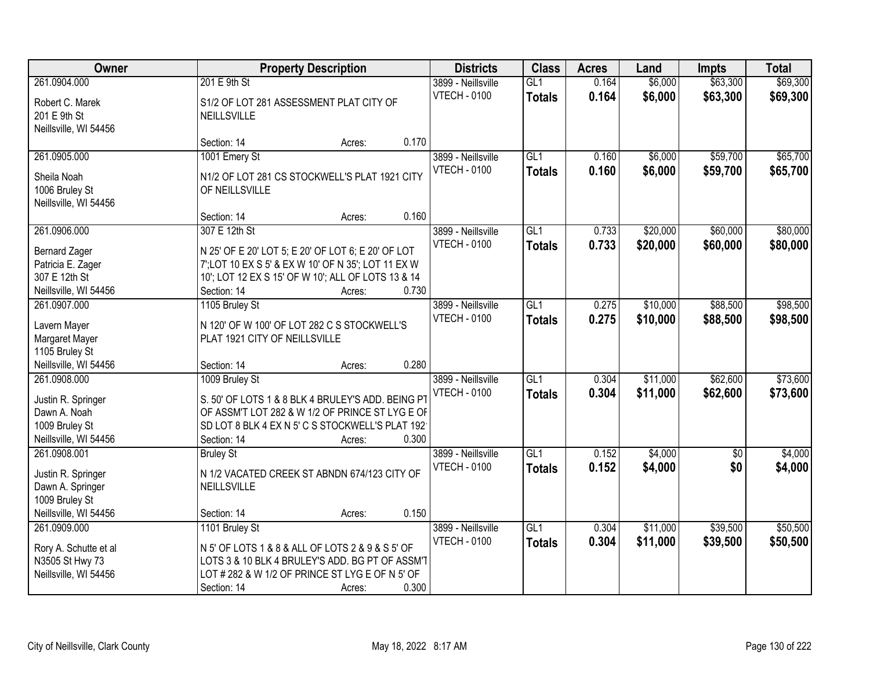| Owner                                                                               |                                                                                                                                                                                         | <b>Property Description</b> |       | <b>Districts</b>                          | <b>Class</b>         | <b>Acres</b>   | Land                 | <b>Impts</b>         | <b>Total</b>         |
|-------------------------------------------------------------------------------------|-----------------------------------------------------------------------------------------------------------------------------------------------------------------------------------------|-----------------------------|-------|-------------------------------------------|----------------------|----------------|----------------------|----------------------|----------------------|
| 261.0904.000                                                                        | 201 E 9th St                                                                                                                                                                            |                             |       | 3899 - Neillsville                        | GL1                  | 0.164          | \$6,000              | \$63,300             | \$69,300             |
| Robert C. Marek<br>201 E 9th St<br>Neillsville, WI 54456                            | S1/2 OF LOT 281 ASSESSMENT PLAT CITY OF<br>NEILLSVILLE                                                                                                                                  |                             |       | <b>VTECH - 0100</b>                       | <b>Totals</b>        | 0.164          | \$6,000              | \$63,300             | \$69,300             |
|                                                                                     | Section: 14                                                                                                                                                                             | Acres:                      | 0.170 |                                           |                      |                |                      |                      |                      |
| 261.0905.000                                                                        | 1001 Emery St                                                                                                                                                                           |                             |       | 3899 - Neillsville<br><b>VTECH - 0100</b> | GL1<br><b>Totals</b> | 0.160<br>0.160 | \$6,000<br>\$6,000   | \$59,700<br>\$59,700 | \$65,700<br>\$65,700 |
| Sheila Noah<br>1006 Bruley St<br>Neillsville, WI 54456                              | N1/2 OF LOT 281 CS STOCKWELL'S PLAT 1921 CITY<br>OF NEILLSVILLE                                                                                                                         |                             |       |                                           |                      |                |                      |                      |                      |
|                                                                                     | Section: 14                                                                                                                                                                             | Acres:                      | 0.160 |                                           |                      |                |                      |                      |                      |
| 261.0906.000                                                                        | 307 E 12th St                                                                                                                                                                           |                             |       | 3899 - Neillsville                        | GL1                  | 0.733          | \$20,000             | \$60,000             | \$80,000             |
| <b>Bernard Zager</b><br>Patricia E. Zager<br>307 E 12th St<br>Neillsville, WI 54456 | N 25' OF E 20' LOT 5; E 20' OF LOT 6; E 20' OF LOT<br>7'; LOT 10 EX S 5' & EX W 10' OF N 35'; LOT 11 EX W<br>10'; LOT 12 EX S 15' OF W 10'; ALL OF LOTS 13 & 14<br>Section: 14          | Acres:                      | 0.730 | <b>VTECH - 0100</b>                       | <b>Totals</b>        | 0.733          | \$20,000             | \$60,000             | \$80,000             |
| 261.0907.000                                                                        | 1105 Bruley St                                                                                                                                                                          |                             |       | 3899 - Neillsville                        | GL1                  | 0.275          | \$10,000             | \$88,500             | \$98,500             |
| Lavern Mayer<br>Margaret Mayer<br>1105 Bruley St                                    | N 120' OF W 100' OF LOT 282 C S STOCKWELL'S<br>PLAT 1921 CITY OF NEILLSVILLE                                                                                                            |                             |       | <b>VTECH - 0100</b>                       | <b>Totals</b>        | 0.275          | \$10,000             | \$88,500             | \$98,500             |
| Neillsville, WI 54456                                                               | Section: 14                                                                                                                                                                             | Acres:                      | 0.280 |                                           |                      |                |                      |                      |                      |
| 261.0908.000<br>Justin R. Springer<br>Dawn A. Noah<br>1009 Bruley St                | 1009 Bruley St<br>S. 50' OF LOTS 1 & 8 BLK 4 BRULEY'S ADD. BEING PT<br>OF ASSM'T LOT 282 & W 1/2 OF PRINCE ST LYG E OF<br>SD LOT 8 BLK 4 EX N 5' C S STOCKWELL'S PLAT 192               |                             |       | 3899 - Neillsville<br><b>VTECH - 0100</b> | GL1<br><b>Totals</b> | 0.304<br>0.304 | \$11,000<br>\$11,000 | \$62,600<br>\$62,600 | \$73,600<br>\$73,600 |
| Neillsville, WI 54456                                                               | Section: 14                                                                                                                                                                             | Acres:                      | 0.300 |                                           |                      |                |                      |                      |                      |
| 261.0908.001                                                                        | <b>Bruley St</b>                                                                                                                                                                        |                             |       | 3899 - Neillsville                        | GL <sub>1</sub>      | 0.152          | \$4,000              | \$0                  | \$4,000              |
| Justin R. Springer<br>Dawn A. Springer<br>1009 Bruley St                            | N 1/2 VACATED CREEK ST ABNDN 674/123 CITY OF<br><b>NEILLSVILLE</b>                                                                                                                      |                             |       | <b>VTECH - 0100</b>                       | <b>Totals</b>        | 0.152          | \$4,000              | \$0                  | \$4,000              |
| Neillsville, WI 54456                                                               | Section: 14                                                                                                                                                                             | Acres:                      | 0.150 |                                           |                      |                |                      |                      |                      |
| 261.0909.000<br>Rory A. Schutte et al<br>N3505 St Hwy 73<br>Neillsville, WI 54456   | 1101 Bruley St<br>N 5' OF LOTS 1 & 8 & ALL OF LOTS 2 & 9 & S 5' OF<br>LOTS 3 & 10 BLK 4 BRULEY'S ADD. BG PT OF ASSM'T<br>LOT # 282 & W 1/2 OF PRINCE ST LYG E OF N 5' OF<br>Section: 14 | Acres:                      | 0.300 | 3899 - Neillsville<br><b>VTECH - 0100</b> | GL1<br><b>Totals</b> | 0.304<br>0.304 | \$11,000<br>\$11,000 | \$39,500<br>\$39,500 | \$50,500<br>\$50,500 |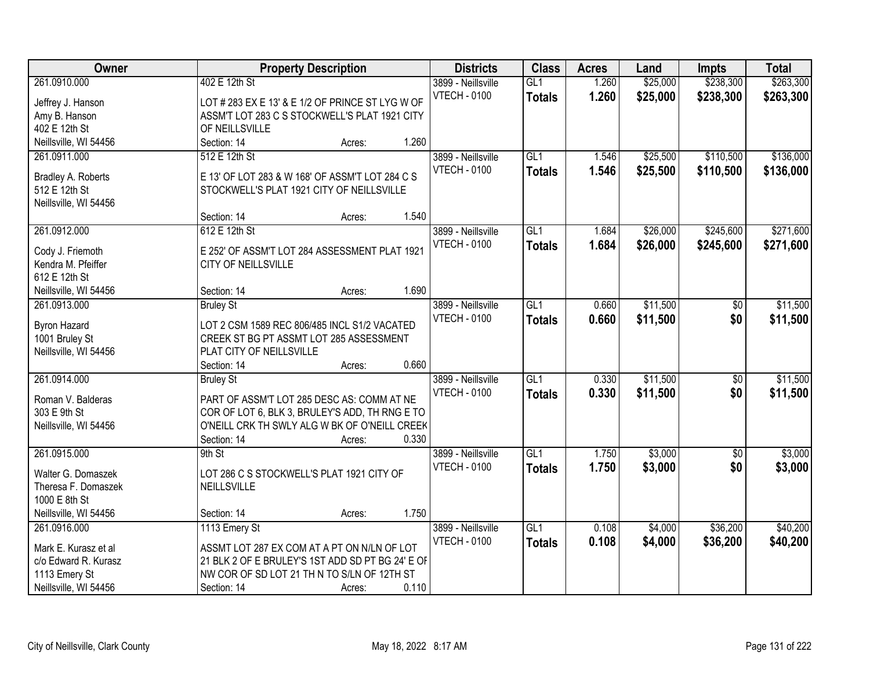| <b>Owner</b>          | <b>Property Description</b>                                         | <b>Districts</b>    | <b>Class</b>     | <b>Acres</b> | Land     | <b>Impts</b>    | <b>Total</b> |
|-----------------------|---------------------------------------------------------------------|---------------------|------------------|--------------|----------|-----------------|--------------|
| 261.0910.000          | 402 E 12th St                                                       | 3899 - Neillsville  | GL1              | 1.260        | \$25,000 | \$238,300       | \$263,300    |
| Jeffrey J. Hanson     | LOT # 283 EX E 13' & E 1/2 OF PRINCE ST LYG W OF                    | <b>VTECH - 0100</b> | <b>Totals</b>    | 1.260        | \$25,000 | \$238,300       | \$263,300    |
| Amy B. Hanson         | ASSM'T LOT 283 C S STOCKWELL'S PLAT 1921 CITY                       |                     |                  |              |          |                 |              |
| 402 E 12th St         | OF NEILLSVILLE                                                      |                     |                  |              |          |                 |              |
| Neillsville, WI 54456 | 1.260<br>Section: 14<br>Acres:                                      |                     |                  |              |          |                 |              |
| 261.0911.000          | 512 E 12th St                                                       | 3899 - Neillsville  | GL1              | 1.546        | \$25,500 | \$110,500       | \$136,000    |
|                       |                                                                     | <b>VTECH - 0100</b> | <b>Totals</b>    | 1.546        | \$25,500 | \$110,500       | \$136,000    |
| Bradley A. Roberts    | E 13' OF LOT 283 & W 168' OF ASSM'T LOT 284 C S                     |                     |                  |              |          |                 |              |
| 512 E 12th St         | STOCKWELL'S PLAT 1921 CITY OF NEILLSVILLE                           |                     |                  |              |          |                 |              |
| Neillsville, WI 54456 |                                                                     |                     |                  |              |          |                 |              |
|                       | 1.540<br>Section: 14<br>Acres:                                      |                     |                  |              |          |                 |              |
| 261.0912.000          | 612 E 12th St                                                       | 3899 - Neillsville  | GL1              | 1.684        | \$26,000 | \$245,600       | \$271,600    |
| Cody J. Friemoth      | E 252' OF ASSM'T LOT 284 ASSESSMENT PLAT 1921                       | <b>VTECH - 0100</b> | <b>Totals</b>    | 1.684        | \$26,000 | \$245,600       | \$271,600    |
| Kendra M. Pfeiffer    | CITY OF NEILLSVILLE                                                 |                     |                  |              |          |                 |              |
| 612 E 12th St         |                                                                     |                     |                  |              |          |                 |              |
| Neillsville, WI 54456 | 1.690<br>Section: 14<br>Acres:                                      |                     |                  |              |          |                 |              |
| 261.0913.000          | <b>Bruley St</b>                                                    | 3899 - Neillsville  | GL <sub>1</sub>  | 0.660        | \$11,500 | $\sqrt[6]{}$    | \$11,500     |
|                       |                                                                     | <b>VTECH - 0100</b> | <b>Totals</b>    | 0.660        | \$11,500 | \$0             | \$11,500     |
| <b>Byron Hazard</b>   | LOT 2 CSM 1589 REC 806/485 INCL S1/2 VACATED                        |                     |                  |              |          |                 |              |
| 1001 Bruley St        | CREEK ST BG PT ASSMT LOT 285 ASSESSMENT<br>PLAT CITY OF NEILLSVILLE |                     |                  |              |          |                 |              |
| Neillsville, WI 54456 | 0.660<br>Section: 14                                                |                     |                  |              |          |                 |              |
| 261.0914.000          | Acres:                                                              | 3899 - Neillsville  | $\overline{GL1}$ | 0.330        | \$11,500 | $\overline{50}$ | \$11,500     |
|                       | <b>Bruley St</b>                                                    |                     |                  |              |          |                 |              |
| Roman V. Balderas     | PART OF ASSM'T LOT 285 DESC AS: COMM AT NE                          | <b>VTECH - 0100</b> | <b>Totals</b>    | 0.330        | \$11,500 | \$0             | \$11,500     |
| 303 E 9th St          | COR OF LOT 6, BLK 3, BRULEY'S ADD, TH RNG E TO                      |                     |                  |              |          |                 |              |
| Neillsville, WI 54456 | O'NEILL CRK TH SWLY ALG W BK OF O'NEILL CREEK                       |                     |                  |              |          |                 |              |
|                       | 0.330<br>Section: 14<br>Acres:                                      |                     |                  |              |          |                 |              |
| 261.0915.000          | 9th St                                                              | 3899 - Neillsville  | $\overline{GL1}$ | 1.750        | \$3,000  | $\overline{60}$ | \$3,000      |
| Walter G. Domaszek    | LOT 286 C S STOCKWELL'S PLAT 1921 CITY OF                           | <b>VTECH - 0100</b> | <b>Totals</b>    | 1.750        | \$3,000  | \$0             | \$3,000      |
| Theresa F. Domaszek   | NEILLSVILLE                                                         |                     |                  |              |          |                 |              |
| 1000 E 8th St         |                                                                     |                     |                  |              |          |                 |              |
| Neillsville, WI 54456 | 1.750<br>Section: 14<br>Acres:                                      |                     |                  |              |          |                 |              |
| 261.0916.000          | 1113 Emery St                                                       | 3899 - Neillsville  | GL1              | 0.108        | \$4,000  | \$36,200        | \$40,200     |
|                       |                                                                     | <b>VTECH - 0100</b> | <b>Totals</b>    | 0.108        | \$4,000  | \$36,200        | \$40,200     |
| Mark E. Kurasz et al  | ASSMT LOT 287 EX COM AT A PT ON N/LN OF LOT                         |                     |                  |              |          |                 |              |
| c/o Edward R. Kurasz  | 21 BLK 2 OF E BRULEY'S 1ST ADD SD PT BG 24' E OF                    |                     |                  |              |          |                 |              |
| 1113 Emery St         | NW COR OF SD LOT 21 TH N TO S/LN OF 12TH ST                         |                     |                  |              |          |                 |              |
| Neillsville, WI 54456 | 0.110<br>Section: 14<br>Acres:                                      |                     |                  |              |          |                 |              |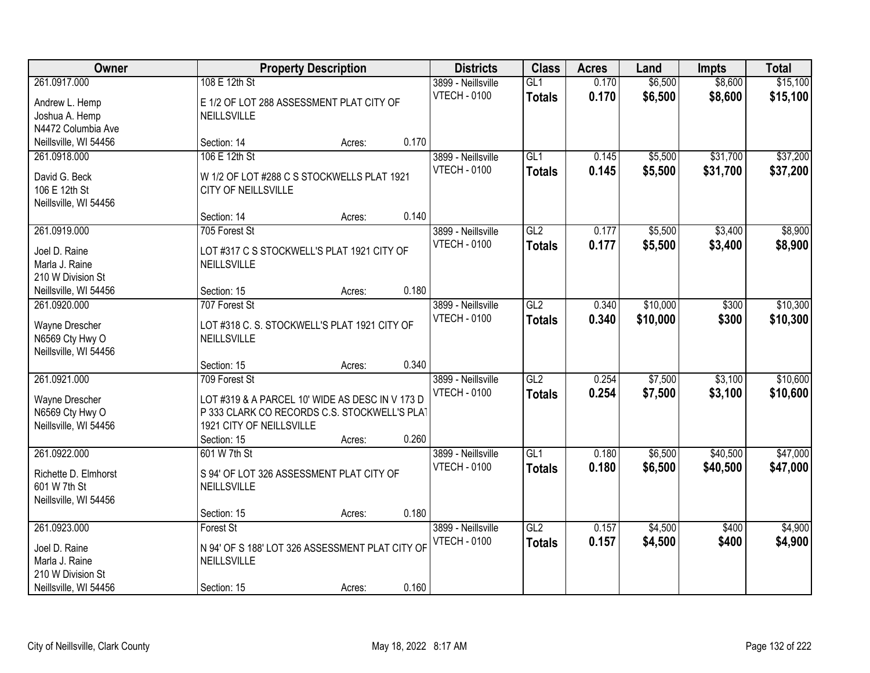| Owner                                                                                         |                                                                                                                                                             | <b>Property Description</b> |       | <b>Districts</b>                          | <b>Class</b>         | <b>Acres</b>   | Land                 | <b>Impts</b>         | <b>Total</b>         |
|-----------------------------------------------------------------------------------------------|-------------------------------------------------------------------------------------------------------------------------------------------------------------|-----------------------------|-------|-------------------------------------------|----------------------|----------------|----------------------|----------------------|----------------------|
| 261.0917.000<br>Andrew L. Hemp<br>Joshua A. Hemp<br>N4472 Columbia Ave                        | 108 E 12th St<br>E 1/2 OF LOT 288 ASSESSMENT PLAT CITY OF<br>NEILLSVILLE                                                                                    |                             |       | 3899 - Neillsville<br><b>VTECH - 0100</b> | GL1<br><b>Totals</b> | 0.170<br>0.170 | \$6,500<br>\$6,500   | \$8,600<br>\$8,600   | \$15,100<br>\$15,100 |
| Neillsville, WI 54456                                                                         | Section: 14                                                                                                                                                 | Acres:                      | 0.170 |                                           |                      |                |                      |                      |                      |
| 261.0918.000<br>David G. Beck<br>106 E 12th St<br>Neillsville, WI 54456                       | 106 E 12th St<br>W 1/2 OF LOT #288 C S STOCKWELLS PLAT 1921<br>CITY OF NEILLSVILLE                                                                          |                             |       | 3899 - Neillsville<br><b>VTECH - 0100</b> | GL1<br><b>Totals</b> | 0.145<br>0.145 | \$5,500<br>\$5,500   | \$31,700<br>\$31,700 | \$37,200<br>\$37,200 |
|                                                                                               | Section: 14                                                                                                                                                 | Acres:                      | 0.140 |                                           |                      |                |                      |                      |                      |
| 261.0919.000<br>Joel D. Raine<br>Marla J. Raine<br>210 W Division St                          | 705 Forest St<br>LOT #317 C S STOCKWELL'S PLAT 1921 CITY OF<br>NEILLSVILLE                                                                                  |                             |       | 3899 - Neillsville<br><b>VTECH - 0100</b> | GL2<br><b>Totals</b> | 0.177<br>0.177 | \$5,500<br>\$5,500   | \$3,400<br>\$3,400   | \$8,900<br>\$8,900   |
| Neillsville, WI 54456                                                                         | Section: 15                                                                                                                                                 | Acres:                      | 0.180 |                                           |                      |                |                      |                      |                      |
| 261.0920.000<br>Wayne Drescher<br>N6569 Cty Hwy O<br>Neillsville, WI 54456                    | 707 Forest St<br>LOT #318 C. S. STOCKWELL'S PLAT 1921 CITY OF<br>NEILLSVILLE                                                                                |                             |       | 3899 - Neillsville<br><b>VTECH - 0100</b> | GL2<br><b>Totals</b> | 0.340<br>0.340 | \$10,000<br>\$10,000 | \$300<br>\$300       | \$10,300<br>\$10,300 |
|                                                                                               | Section: 15                                                                                                                                                 | Acres:                      | 0.340 |                                           |                      |                |                      |                      |                      |
| 261.0921.000<br>Wayne Drescher<br>N6569 Cty Hwy O<br>Neillsville, WI 54456                    | 709 Forest St<br>LOT #319 & A PARCEL 10' WIDE AS DESC IN V 173 D<br>P 333 CLARK CO RECORDS C.S. STOCKWELL'S PLAT<br>1921 CITY OF NEILLSVILLE<br>Section: 15 | Acres:                      | 0.260 | 3899 - Neillsville<br><b>VTECH - 0100</b> | GL2<br><b>Totals</b> | 0.254<br>0.254 | \$7,500<br>\$7,500   | \$3,100<br>\$3,100   | \$10,600<br>\$10,600 |
| 261.0922.000<br>Richette D. Elmhorst<br>601 W 7th St<br>Neillsville, WI 54456                 | 601 W 7th St<br>S 94' OF LOT 326 ASSESSMENT PLAT CITY OF<br>NEILLSVILLE<br>Section: 15                                                                      | Acres:                      | 0.180 | 3899 - Neillsville<br><b>VTECH - 0100</b> | GL1<br><b>Totals</b> | 0.180<br>0.180 | \$6,500<br>\$6,500   | \$40,500<br>\$40,500 | \$47,000<br>\$47,000 |
| 261.0923.000<br>Joel D. Raine<br>Marla J. Raine<br>210 W Division St<br>Neillsville, WI 54456 | Forest St<br>N 94' OF S 188' LOT 326 ASSESSMENT PLAT CITY OF<br>NEILLSVILLE<br>Section: 15                                                                  | Acres:                      | 0.160 | 3899 - Neillsville<br><b>VTECH - 0100</b> | GL2<br><b>Totals</b> | 0.157<br>0.157 | \$4,500<br>\$4,500   | \$400<br>\$400       | \$4,900<br>\$4,900   |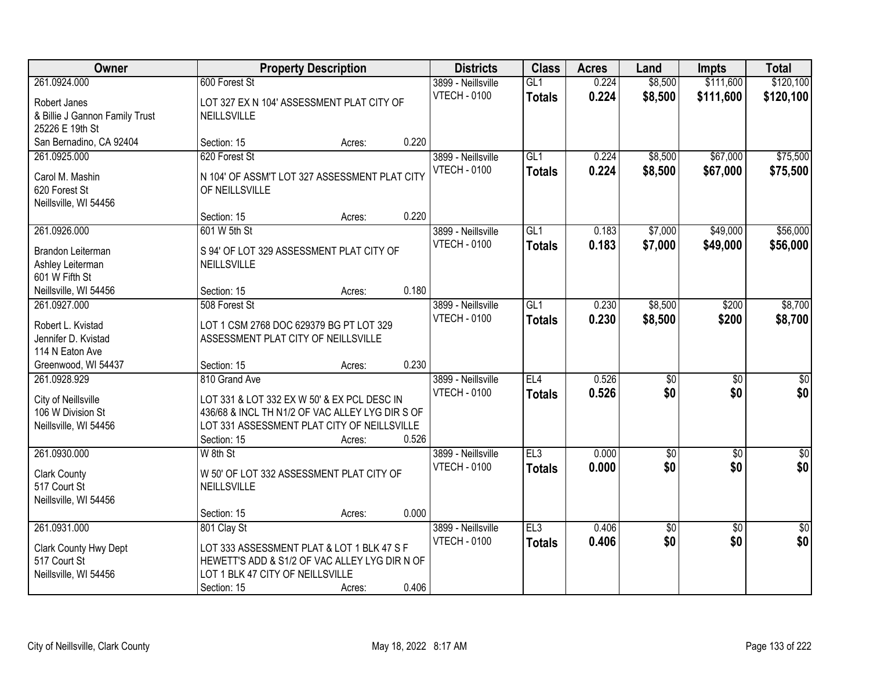| Owner                                  |                                                 | <b>Property Description</b> |       | <b>Districts</b>                          | <b>Class</b>  | <b>Acres</b> | Land                   | <b>Impts</b>           | <b>Total</b>       |
|----------------------------------------|-------------------------------------------------|-----------------------------|-------|-------------------------------------------|---------------|--------------|------------------------|------------------------|--------------------|
| 261.0924.000                           | 600 Forest St                                   |                             |       | 3899 - Neillsville                        | GL1           | 0.224        | \$8,500                | \$111,600              | \$120,100          |
| Robert Janes                           | LOT 327 EX N 104' ASSESSMENT PLAT CITY OF       |                             |       | <b>VTECH - 0100</b>                       | <b>Totals</b> | 0.224        | \$8,500                | \$111,600              | \$120,100          |
| & Billie J Gannon Family Trust         | NEILLSVILLE                                     |                             |       |                                           |               |              |                        |                        |                    |
| 25226 E 19th St                        |                                                 |                             |       |                                           |               |              |                        |                        |                    |
| San Bernadino, CA 92404                | Section: 15                                     | Acres:                      | 0.220 |                                           |               |              |                        |                        |                    |
| 261.0925.000                           | 620 Forest St                                   |                             |       | 3899 - Neillsville                        | GL1           | 0.224        | \$8,500                | \$67,000               | \$75,500           |
| Carol M. Mashin                        | N 104' OF ASSM'T LOT 327 ASSESSMENT PLAT CITY   |                             |       | <b>VTECH - 0100</b>                       | <b>Totals</b> | 0.224        | \$8,500                | \$67,000               | \$75,500           |
| 620 Forest St                          | OF NEILLSVILLE                                  |                             |       |                                           |               |              |                        |                        |                    |
| Neillsville, WI 54456                  |                                                 |                             |       |                                           |               |              |                        |                        |                    |
|                                        | Section: 15                                     | Acres:                      | 0.220 |                                           |               |              |                        |                        |                    |
| 261.0926.000                           | 601 W 5th St                                    |                             |       | 3899 - Neillsville                        | GL1           | 0.183        | \$7,000                | \$49,000               | \$56,000           |
| Brandon Leiterman                      | S 94' OF LOT 329 ASSESSMENT PLAT CITY OF        |                             |       | <b>VTECH - 0100</b>                       | <b>Totals</b> | 0.183        | \$7,000                | \$49,000               | \$56,000           |
| Ashley Leiterman                       | NEILLSVILLE                                     |                             |       |                                           |               |              |                        |                        |                    |
| 601 W Fifth St                         |                                                 |                             |       |                                           |               |              |                        |                        |                    |
| Neillsville, WI 54456                  | Section: 15                                     | Acres:                      | 0.180 |                                           |               |              |                        |                        |                    |
| 261.0927.000                           | 508 Forest St                                   |                             |       | 3899 - Neillsville                        | GL1           | 0.230        | \$8,500                | \$200                  | \$8,700            |
|                                        |                                                 |                             |       | <b>VTECH - 0100</b>                       | <b>Totals</b> | 0.230        | \$8,500                | \$200                  | \$8,700            |
| Robert L. Kvistad                      | LOT 1 CSM 2768 DOC 629379 BG PT LOT 329         |                             |       |                                           |               |              |                        |                        |                    |
| Jennifer D. Kvistad<br>114 N Eaton Ave | ASSESSMENT PLAT CITY OF NEILLSVILLE             |                             |       |                                           |               |              |                        |                        |                    |
| Greenwood, WI 54437                    | Section: 15                                     | Acres:                      | 0.230 |                                           |               |              |                        |                        |                    |
| 261.0928.929                           | 810 Grand Ave                                   |                             |       | 3899 - Neillsville                        | EL4           | 0.526        | $\overline{50}$        | $\overline{50}$        | \$0                |
|                                        |                                                 |                             |       | <b>VTECH - 0100</b>                       | <b>Totals</b> | 0.526        | \$0                    | \$0                    | \$0                |
| City of Neillsville                    | LOT 331 & LOT 332 EX W 50' & EX PCL DESC IN     |                             |       |                                           |               |              |                        |                        |                    |
| 106 W Division St                      | 436/68 & INCL TH N1/2 OF VAC ALLEY LYG DIR S OF |                             |       |                                           |               |              |                        |                        |                    |
| Neillsville, WI 54456                  | LOT 331 ASSESSMENT PLAT CITY OF NEILLSVILLE     |                             |       |                                           |               |              |                        |                        |                    |
|                                        | Section: 15                                     | Acres:                      | 0.526 |                                           | E13           |              |                        |                        |                    |
| 261.0930.000                           | W 8th St                                        |                             |       | 3899 - Neillsville<br><b>VTECH - 0100</b> |               | 0.000        | $\overline{60}$<br>\$0 | $\overline{50}$<br>\$0 | $\sqrt{50}$<br>\$0 |
| <b>Clark County</b>                    | W 50' OF LOT 332 ASSESSMENT PLAT CITY OF        |                             |       |                                           | <b>Totals</b> | 0.000        |                        |                        |                    |
| 517 Court St                           | <b>NEILLSVILLE</b>                              |                             |       |                                           |               |              |                        |                        |                    |
| Neillsville, WI 54456                  |                                                 |                             |       |                                           |               |              |                        |                        |                    |
|                                        | Section: 15                                     | Acres:                      | 0.000 |                                           |               |              |                        |                        |                    |
| 261.0931.000                           | 801 Clay St                                     |                             |       | 3899 - Neillsville                        | EL3           | 0.406        | $\overline{50}$        | $\overline{30}$        | $\overline{30}$    |
| Clark County Hwy Dept                  | LOT 333 ASSESSMENT PLAT & LOT 1 BLK 47 S F      |                             |       | <b>VTECH - 0100</b>                       | <b>Totals</b> | 0.406        | \$0                    | \$0                    | \$0                |
| 517 Court St                           | HEWETT'S ADD & S1/2 OF VAC ALLEY LYG DIR N OF   |                             |       |                                           |               |              |                        |                        |                    |
| Neillsville, WI 54456                  | LOT 1 BLK 47 CITY OF NEILLSVILLE                |                             |       |                                           |               |              |                        |                        |                    |
|                                        | Section: 15                                     | Acres:                      | 0.406 |                                           |               |              |                        |                        |                    |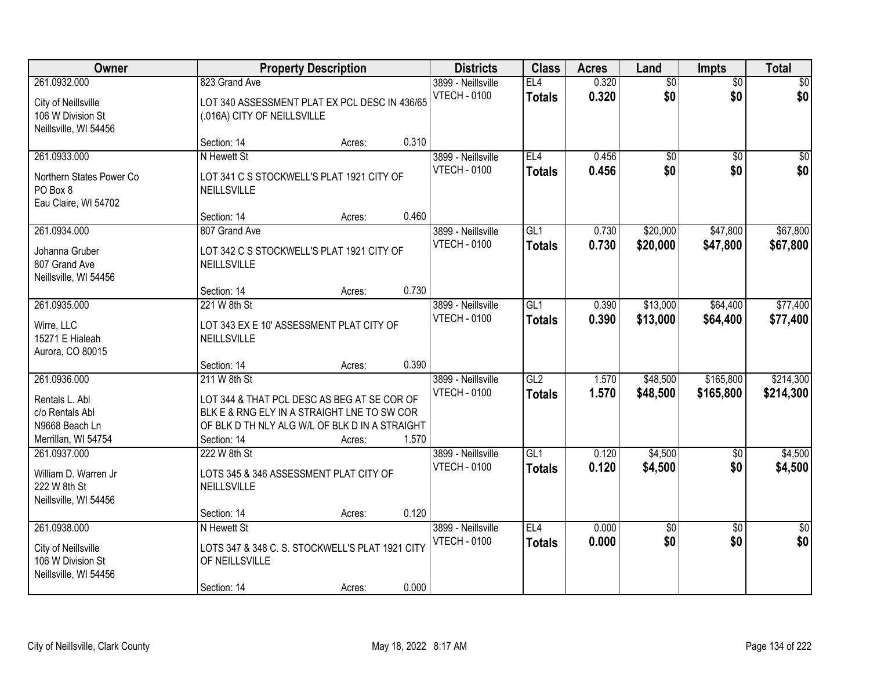| Owner                                                                                      |                                                                                                                                                                             | <b>Property Description</b> |       | <b>Districts</b>                          | <b>Class</b>                      | <b>Acres</b>   | Land                   | Impts                  | <b>Total</b>           |
|--------------------------------------------------------------------------------------------|-----------------------------------------------------------------------------------------------------------------------------------------------------------------------------|-----------------------------|-------|-------------------------------------------|-----------------------------------|----------------|------------------------|------------------------|------------------------|
| 261.0932.000<br>City of Neillsville<br>106 W Division St<br>Neillsville, WI 54456          | 823 Grand Ave<br>LOT 340 ASSESSMENT PLAT EX PCL DESC IN 436/65<br>(.016A) CITY OF NEILLSVILLE                                                                               |                             |       | 3899 - Neillsville<br><b>VTECH - 0100</b> | EL4<br><b>Totals</b>              | 0.320<br>0.320 | $\overline{60}$<br>\$0 | $\overline{50}$<br>\$0 | \$0<br>\$0             |
|                                                                                            | Section: 14                                                                                                                                                                 | Acres:                      | 0.310 |                                           |                                   |                |                        |                        |                        |
| 261.0933.000<br>Northern States Power Co<br>PO Box 8<br>Eau Claire, WI 54702               | N Hewett St<br>LOT 341 C S STOCKWELL'S PLAT 1921 CITY OF<br>NEILLSVILLE                                                                                                     |                             |       | 3899 - Neillsville<br><b>VTECH - 0100</b> | EL4<br><b>Totals</b>              | 0.456<br>0.456 | $\overline{50}$<br>\$0 | $\overline{50}$<br>\$0 | $\sqrt{50}$<br>\$0     |
| 261.0934.000                                                                               | Section: 14<br>807 Grand Ave                                                                                                                                                | Acres:                      | 0.460 | 3899 - Neillsville                        | GL1                               | 0.730          | \$20,000               | \$47,800               | \$67,800               |
| Johanna Gruber<br>807 Grand Ave<br>Neillsville, WI 54456                                   | LOT 342 C S STOCKWELL'S PLAT 1921 CITY OF<br>NEILLSVILLE                                                                                                                    |                             |       | <b>VTECH - 0100</b>                       | <b>Totals</b>                     | 0.730          | \$20,000               | \$47,800               | \$67,800               |
|                                                                                            | Section: 14                                                                                                                                                                 | Acres:                      | 0.730 |                                           |                                   |                |                        |                        |                        |
| 261.0935.000<br>Wirre, LLC<br>15271 E Hialeah<br>Aurora, CO 80015                          | 221 W 8th St<br>LOT 343 EX E 10' ASSESSMENT PLAT CITY OF<br>NEILLSVILLE                                                                                                     |                             |       | 3899 - Neillsville<br><b>VTECH - 0100</b> | GL1<br><b>Totals</b>              | 0.390<br>0.390 | \$13,000<br>\$13,000   | \$64,400<br>\$64,400   | \$77,400<br>\$77,400   |
|                                                                                            | Section: 14                                                                                                                                                                 | Acres:                      | 0.390 |                                           |                                   |                |                        |                        |                        |
| 261.0936.000<br>Rentals L. Abl<br>c/o Rentals Abl<br>N9668 Beach Ln<br>Merrillan, WI 54754 | 211 W 8th St<br>LOT 344 & THAT PCL DESC AS BEG AT SE COR OF<br>BLK E & RNG ELY IN A STRAIGHT LNE TO SW COR<br>OF BLK D TH NLY ALG W/L OF BLK D IN A STRAIGHT<br>Section: 14 | Acres:                      | 1.570 | 3899 - Neillsville<br><b>VTECH - 0100</b> | GL2<br><b>Totals</b>              | 1.570<br>1.570 | \$48,500<br>\$48,500   | \$165,800<br>\$165,800 | \$214,300<br>\$214,300 |
| 261.0937.000<br>William D. Warren Jr<br>222 W 8th St<br>Neillsville, WI 54456              | 222 W 8th St<br>LOTS 345 & 346 ASSESSMENT PLAT CITY OF<br>NEILLSVILLE<br>Section: 14                                                                                        | Acres:                      | 0.120 | 3899 - Neillsville<br><b>VTECH - 0100</b> | $\overline{GL1}$<br><b>Totals</b> | 0.120<br>0.120 | \$4,500<br>\$4,500     | $\overline{50}$<br>\$0 | \$4,500<br>\$4,500     |
| 261.0938.000<br>City of Neillsville<br>106 W Division St<br>Neillsville, WI 54456          | N Hewett St<br>LOTS 347 & 348 C. S. STOCKWELL'S PLAT 1921 CITY<br>OF NEILLSVILLE<br>Section: 14                                                                             | Acres:                      | 0.000 | 3899 - Neillsville<br><b>VTECH - 0100</b> | EL4<br><b>Totals</b>              | 0.000<br>0.000 | \$0<br>\$0             | $\overline{50}$<br>\$0 | $\overline{50}$<br>\$0 |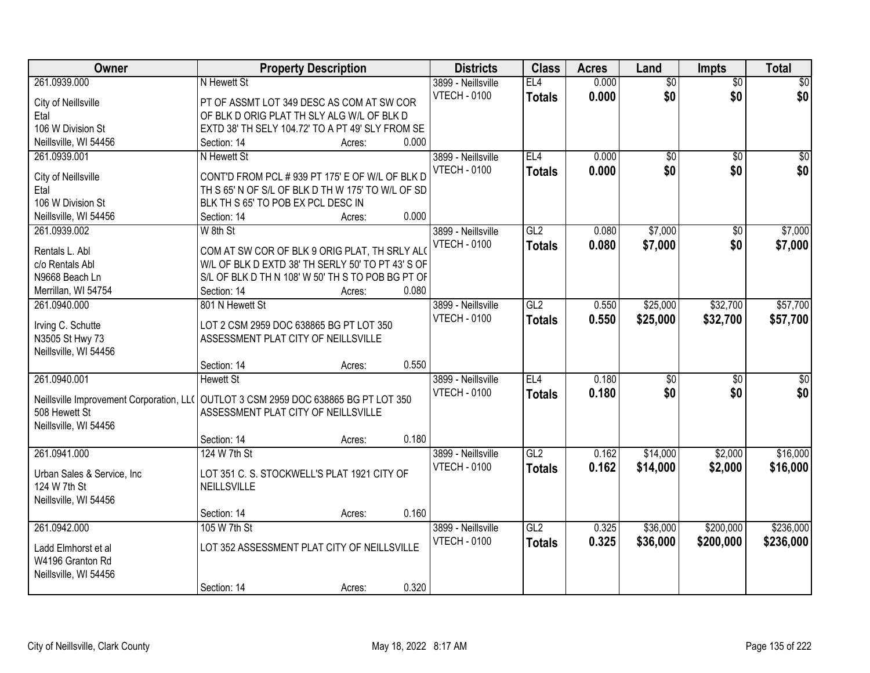| Owner                                    | <b>Property Description</b>                       |       | <b>Districts</b>    | <b>Class</b>    | <b>Acres</b> | Land            | <b>Impts</b>    | <b>Total</b>    |
|------------------------------------------|---------------------------------------------------|-------|---------------------|-----------------|--------------|-----------------|-----------------|-----------------|
| 261.0939.000                             | N Hewett St                                       |       | 3899 - Neillsville  | EL <sub>4</sub> | 0.000        | $\overline{50}$ | $\overline{50}$ | \$0             |
| City of Neillsville                      | PT OF ASSMT LOT 349 DESC AS COM AT SW COR         |       | <b>VTECH - 0100</b> | <b>Totals</b>   | 0.000        | \$0             | \$0             | \$0             |
| Etal                                     | OF BLK D ORIG PLAT TH SLY ALG W/L OF BLK D        |       |                     |                 |              |                 |                 |                 |
| 106 W Division St                        | EXTD 38' TH SELY 104.72' TO A PT 49' SLY FROM SE  |       |                     |                 |              |                 |                 |                 |
| Neillsville, WI 54456                    | Section: 14<br>Acres:                             | 0.000 |                     |                 |              |                 |                 |                 |
| 261.0939.001                             | N Hewett St                                       |       | 3899 - Neillsville  | EL4             | 0.000        | $\overline{50}$ | $\overline{50}$ | \$0             |
|                                          |                                                   |       | <b>VTECH - 0100</b> | <b>Totals</b>   | 0.000        | \$0             | \$0             | \$0             |
| City of Neillsville                      | CONT'D FROM PCL # 939 PT 175' E OF W/L OF BLK D   |       |                     |                 |              |                 |                 |                 |
| Etal                                     | TH S 65' N OF S/L OF BLK D TH W 175' TO W/L OF SD |       |                     |                 |              |                 |                 |                 |
| 106 W Division St                        | BLK TH S 65' TO POB EX PCL DESC IN                |       |                     |                 |              |                 |                 |                 |
| Neillsville, WI 54456                    | Section: 14<br>Acres:                             | 0.000 |                     |                 |              |                 |                 |                 |
| 261.0939.002                             | W 8th St                                          |       | 3899 - Neillsville  | GL2             | 0.080        | \$7,000         | \$0             | \$7,000         |
| Rentals L. Abl                           | COM AT SW COR OF BLK 9 ORIG PLAT, TH SRLY ALO     |       | <b>VTECH - 0100</b> | <b>Totals</b>   | 0.080        | \$7,000         | \$0             | \$7,000         |
| c/o Rentals Abl                          | W/L OF BLK D EXTD 38' TH SERLY 50' TO PT 43' S OF |       |                     |                 |              |                 |                 |                 |
| N9668 Beach Ln                           | S/L OF BLK D TH N 108' W 50' TH S TO POB BG PT OF |       |                     |                 |              |                 |                 |                 |
| Merrillan, WI 54754                      | Section: 14<br>Acres:                             | 0.080 |                     |                 |              |                 |                 |                 |
| 261.0940.000                             | 801 N Hewett St                                   |       | 3899 - Neillsville  | GL2             | 0.550        | \$25,000        | \$32,700        | \$57,700        |
|                                          |                                                   |       | <b>VTECH - 0100</b> | <b>Totals</b>   | 0.550        | \$25,000        | \$32,700        | \$57,700        |
| Irving C. Schutte                        | LOT 2 CSM 2959 DOC 638865 BG PT LOT 350           |       |                     |                 |              |                 |                 |                 |
| N3505 St Hwy 73                          | ASSESSMENT PLAT CITY OF NEILLSVILLE               |       |                     |                 |              |                 |                 |                 |
| Neillsville, WI 54456                    |                                                   |       |                     |                 |              |                 |                 |                 |
|                                          | Section: 14<br>Acres:                             | 0.550 |                     |                 |              |                 |                 |                 |
| 261.0940.001                             | <b>Hewett St</b>                                  |       | 3899 - Neillsville  | EL4             | 0.180        | $\overline{50}$ | $\overline{30}$ | $\overline{50}$ |
| Neillsville Improvement Corporation, LL( | OUTLOT 3 CSM 2959 DOC 638865 BG PT LOT 350        |       | <b>VTECH - 0100</b> | <b>Totals</b>   | 0.180        | \$0             | \$0             | \$0             |
| 508 Hewett St                            | ASSESSMENT PLAT CITY OF NEILLSVILLE               |       |                     |                 |              |                 |                 |                 |
| Neillsville, WI 54456                    |                                                   |       |                     |                 |              |                 |                 |                 |
|                                          | Section: 14<br>Acres:                             | 0.180 |                     |                 |              |                 |                 |                 |
| 261.0941.000                             | 124 W 7th St                                      |       | 3899 - Neillsville  | GL <sub>2</sub> | 0.162        | \$14,000        | \$2,000         | \$16,000        |
|                                          |                                                   |       |                     |                 |              |                 |                 |                 |
| Urban Sales & Service, Inc               | LOT 351 C. S. STOCKWELL'S PLAT 1921 CITY OF       |       | <b>VTECH - 0100</b> | <b>Totals</b>   | 0.162        | \$14,000        | \$2,000         | \$16,000        |
| 124 W 7th St                             | NEILLSVILLE                                       |       |                     |                 |              |                 |                 |                 |
| Neillsville, WI 54456                    |                                                   |       |                     |                 |              |                 |                 |                 |
|                                          | Section: 14<br>Acres:                             | 0.160 |                     |                 |              |                 |                 |                 |
| 261.0942.000                             | 105 W 7th St                                      |       | 3899 - Neillsville  | GL2             | 0.325        | \$36,000        | \$200,000       | \$236,000       |
|                                          | LOT 352 ASSESSMENT PLAT CITY OF NEILLSVILLE       |       | <b>VTECH - 0100</b> | <b>Totals</b>   | 0.325        | \$36,000        | \$200,000       | \$236,000       |
| Ladd Elmhorst et al                      |                                                   |       |                     |                 |              |                 |                 |                 |
| W4196 Granton Rd                         |                                                   |       |                     |                 |              |                 |                 |                 |
| Neillsville, WI 54456                    |                                                   |       |                     |                 |              |                 |                 |                 |
|                                          | Section: 14<br>Acres:                             | 0.320 |                     |                 |              |                 |                 |                 |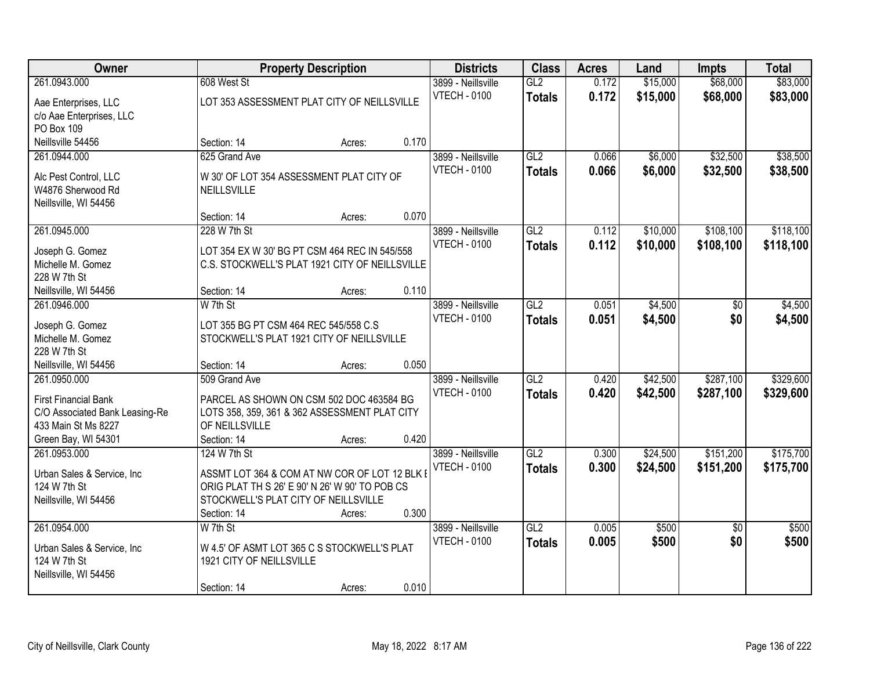| Owner                                                 |                                                                                    | <b>Property Description</b> |       | <b>Districts</b>                          | <b>Class</b>  | <b>Acres</b>   | Land           | <b>Impts</b>           | <b>Total</b>   |
|-------------------------------------------------------|------------------------------------------------------------------------------------|-----------------------------|-------|-------------------------------------------|---------------|----------------|----------------|------------------------|----------------|
| 261.0943.000                                          | 608 West St                                                                        |                             |       | 3899 - Neillsville                        | GL2           | 0.172          | \$15,000       | \$68,000               | \$83,000       |
| Aae Enterprises, LLC                                  | LOT 353 ASSESSMENT PLAT CITY OF NEILLSVILLE                                        |                             |       | <b>VTECH - 0100</b>                       | <b>Totals</b> | 0.172          | \$15,000       | \$68,000               | \$83,000       |
| c/o Aae Enterprises, LLC                              |                                                                                    |                             |       |                                           |               |                |                |                        |                |
| PO Box 109                                            |                                                                                    |                             |       |                                           |               |                |                |                        |                |
| Neillsville 54456                                     | Section: 14                                                                        | Acres:                      | 0.170 |                                           |               |                |                |                        |                |
| 261.0944.000                                          | 625 Grand Ave                                                                      |                             |       | 3899 - Neillsville                        | GL2           | 0.066          | \$6,000        | \$32,500               | \$38,500       |
| Alc Pest Control, LLC                                 | W 30' OF LOT 354 ASSESSMENT PLAT CITY OF                                           |                             |       | <b>VTECH - 0100</b>                       | <b>Totals</b> | 0.066          | \$6,000        | \$32,500               | \$38,500       |
| W4876 Sherwood Rd                                     | <b>NEILLSVILLE</b>                                                                 |                             |       |                                           |               |                |                |                        |                |
| Neillsville, WI 54456                                 |                                                                                    |                             |       |                                           |               |                |                |                        |                |
|                                                       | Section: 14                                                                        | Acres:                      | 0.070 |                                           |               |                |                |                        |                |
| 261.0945.000                                          | 228 W 7th St                                                                       |                             |       | 3899 - Neillsville                        | GL2           | 0.112          | \$10,000       | \$108,100              | \$118,100      |
| Joseph G. Gomez                                       | LOT 354 EX W 30' BG PT CSM 464 REC IN 545/558                                      |                             |       | <b>VTECH - 0100</b>                       | <b>Totals</b> | 0.112          | \$10,000       | \$108,100              | \$118,100      |
| Michelle M. Gomez                                     | C.S. STOCKWELL'S PLAT 1921 CITY OF NEILLSVILLE                                     |                             |       |                                           |               |                |                |                        |                |
| 228 W 7th St                                          |                                                                                    |                             |       |                                           |               |                |                |                        |                |
| Neillsville, WI 54456                                 | Section: 14                                                                        | Acres:                      | 0.110 |                                           |               |                |                |                        |                |
| 261.0946.000                                          | W 7th St                                                                           |                             |       | 3899 - Neillsville                        | GL2           | 0.051          | \$4,500        | \$0                    | \$4,500        |
|                                                       |                                                                                    |                             |       | <b>VTECH - 0100</b>                       | <b>Totals</b> | 0.051          | \$4,500        | \$0                    | \$4,500        |
| Joseph G. Gomez<br>Michelle M. Gomez                  | LOT 355 BG PT CSM 464 REC 545/558 C.S<br>STOCKWELL'S PLAT 1921 CITY OF NEILLSVILLE |                             |       |                                           |               |                |                |                        |                |
| 228 W 7th St                                          |                                                                                    |                             |       |                                           |               |                |                |                        |                |
| Neillsville, WI 54456                                 | Section: 14                                                                        | Acres:                      | 0.050 |                                           |               |                |                |                        |                |
| 261.0950.000                                          | 509 Grand Ave                                                                      |                             |       | 3899 - Neillsville                        | GL2           | 0.420          | \$42,500       | \$287,100              | \$329,600      |
|                                                       |                                                                                    |                             |       | <b>VTECH - 0100</b>                       | <b>Totals</b> | 0.420          | \$42,500       | \$287,100              | \$329,600      |
| <b>First Financial Bank</b>                           | PARCEL AS SHOWN ON CSM 502 DOC 463584 BG                                           |                             |       |                                           |               |                |                |                        |                |
| C/O Associated Bank Leasing-Re<br>433 Main St Ms 8227 | LOTS 358, 359, 361 & 362 ASSESSMENT PLAT CITY<br>OF NEILLSVILLE                    |                             |       |                                           |               |                |                |                        |                |
| Green Bay, WI 54301                                   | Section: 14                                                                        | Acres:                      | 0.420 |                                           |               |                |                |                        |                |
| 261.0953.000                                          | 124 W 7th St                                                                       |                             |       | 3899 - Neillsville                        | GL2           | 0.300          | \$24,500       | \$151,200              | \$175,700      |
|                                                       |                                                                                    |                             |       | <b>VTECH - 0100</b>                       | <b>Totals</b> | 0.300          | \$24,500       | \$151,200              | \$175,700      |
| Urban Sales & Service, Inc                            | ASSMT LOT 364 & COM AT NW COR OF LOT 12 BLK I                                      |                             |       |                                           |               |                |                |                        |                |
| 124 W 7th St                                          | ORIG PLAT TH S 26' E 90' N 26' W 90' TO POB CS                                     |                             |       |                                           |               |                |                |                        |                |
| Neillsville, WI 54456                                 | STOCKWELL'S PLAT CITY OF NEILLSVILLE                                               |                             |       |                                           |               |                |                |                        |                |
|                                                       | Section: 14                                                                        | Acres:                      | 0.300 |                                           |               |                |                |                        |                |
| 261.0954.000                                          | W 7th St                                                                           |                             |       | 3899 - Neillsville<br><b>VTECH - 0100</b> | GL2           | 0.005<br>0.005 | \$500<br>\$500 | $\overline{50}$<br>\$0 | \$500<br>\$500 |
| Urban Sales & Service, Inc.                           | W 4.5' OF ASMT LOT 365 C S STOCKWELL'S PLAT                                        |                             |       |                                           | <b>Totals</b> |                |                |                        |                |
| 124 W 7th St                                          | 1921 CITY OF NEILLSVILLE                                                           |                             |       |                                           |               |                |                |                        |                |
| Neillsville, WI 54456                                 |                                                                                    |                             |       |                                           |               |                |                |                        |                |
|                                                       | Section: 14                                                                        | Acres:                      | 0.010 |                                           |               |                |                |                        |                |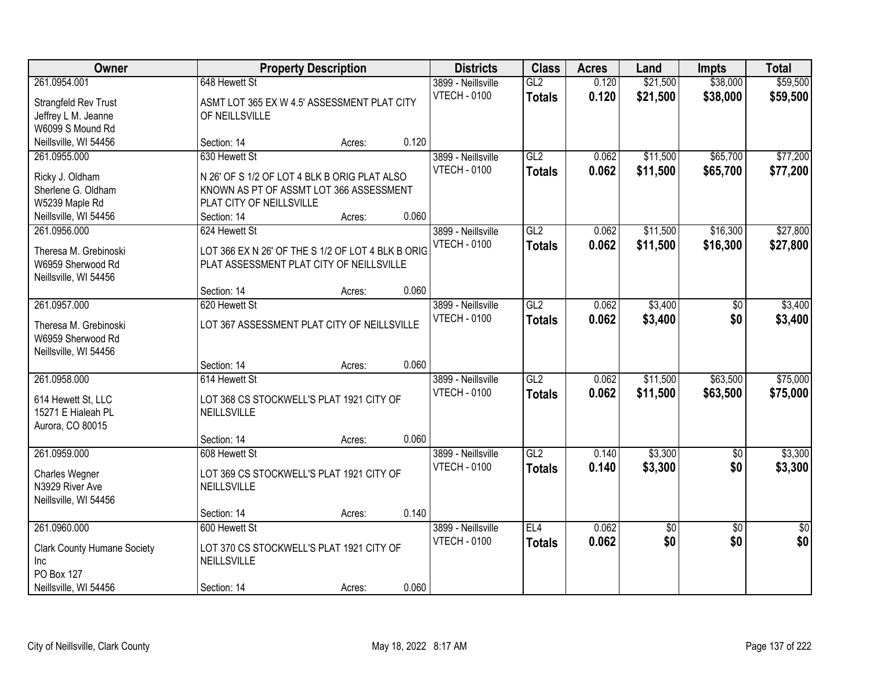| Owner                                   |                                                   | <b>Property Description</b> |       | <b>Districts</b>                          | <b>Class</b>         | <b>Acres</b>   | Land                 | <b>Impts</b>         | <b>Total</b>         |
|-----------------------------------------|---------------------------------------------------|-----------------------------|-------|-------------------------------------------|----------------------|----------------|----------------------|----------------------|----------------------|
| 261.0954.001                            | 648 Hewett St                                     |                             |       | 3899 - Neillsville<br><b>VTECH - 0100</b> | GL2<br><b>Totals</b> | 0.120<br>0.120 | \$21,500<br>\$21,500 | \$38,000<br>\$38,000 | \$59,500<br>\$59,500 |
| Strangfeld Rev Trust                    | ASMT LOT 365 EX W 4.5' ASSESSMENT PLAT CITY       |                             |       |                                           |                      |                |                      |                      |                      |
| Jeffrey L M. Jeanne<br>W6099 S Mound Rd | OF NEILLSVILLE                                    |                             |       |                                           |                      |                |                      |                      |                      |
| Neillsville, WI 54456                   | Section: 14                                       | Acres:                      | 0.120 |                                           |                      |                |                      |                      |                      |
| 261.0955.000                            | 630 Hewett St                                     |                             |       | 3899 - Neillsville                        | GL2                  | 0.062          | \$11,500             | \$65,700             | \$77,200             |
|                                         |                                                   |                             |       | <b>VTECH - 0100</b>                       | <b>Totals</b>        | 0.062          | \$11,500             | \$65,700             | \$77,200             |
| Ricky J. Oldham                         | N 26' OF S 1/2 OF LOT 4 BLK B ORIG PLAT ALSO      |                             |       |                                           |                      |                |                      |                      |                      |
| Sherlene G. Oldham                      | KNOWN AS PT OF ASSMT LOT 366 ASSESSMENT           |                             |       |                                           |                      |                |                      |                      |                      |
| W5239 Maple Rd                          | PLAT CITY OF NEILLSVILLE                          |                             |       |                                           |                      |                |                      |                      |                      |
| Neillsville, WI 54456                   | Section: 14                                       | Acres:                      | 0.060 |                                           |                      |                |                      |                      |                      |
| 261.0956.000                            | 624 Hewett St                                     |                             |       | 3899 - Neillsville                        | GL2                  | 0.062          | \$11,500             | \$16,300             | \$27,800             |
| Theresa M. Grebinoski                   | LOT 366 EX N 26' OF THE S 1/2 OF LOT 4 BLK B ORIG |                             |       | <b>VTECH - 0100</b>                       | <b>Totals</b>        | 0.062          | \$11,500             | \$16,300             | \$27,800             |
| W6959 Sherwood Rd                       | PLAT ASSESSMENT PLAT CITY OF NEILLSVILLE          |                             |       |                                           |                      |                |                      |                      |                      |
| Neillsville, WI 54456                   |                                                   |                             |       |                                           |                      |                |                      |                      |                      |
|                                         | Section: 14                                       | Acres:                      | 0.060 |                                           |                      |                |                      |                      |                      |
| 261.0957.000                            | 620 Hewett St                                     |                             |       | 3899 - Neillsville                        | GL2                  | 0.062          | \$3,400              | $\sqrt[6]{3}$        | \$3,400              |
| Theresa M. Grebinoski                   | LOT 367 ASSESSMENT PLAT CITY OF NEILLSVILLE       |                             |       | <b>VTECH - 0100</b>                       | <b>Totals</b>        | 0.062          | \$3,400              | \$0                  | \$3,400              |
| W6959 Sherwood Rd                       |                                                   |                             |       |                                           |                      |                |                      |                      |                      |
| Neillsville, WI 54456                   |                                                   |                             |       |                                           |                      |                |                      |                      |                      |
|                                         | Section: 14                                       | Acres:                      | 0.060 |                                           |                      |                |                      |                      |                      |
| 261.0958.000                            | 614 Hewett St                                     |                             |       | 3899 - Neillsville                        | GL2                  | 0.062          | \$11,500             | \$63,500             | \$75,000             |
|                                         |                                                   |                             |       | <b>VTECH - 0100</b>                       | <b>Totals</b>        | 0.062          | \$11,500             | \$63,500             | \$75,000             |
| 614 Hewett St, LLC                      | LOT 368 CS STOCKWELL'S PLAT 1921 CITY OF          |                             |       |                                           |                      |                |                      |                      |                      |
| 15271 E Hialeah PL                      | NEILLSVILLE                                       |                             |       |                                           |                      |                |                      |                      |                      |
| Aurora, CO 80015                        | Section: 14                                       |                             | 0.060 |                                           |                      |                |                      |                      |                      |
| 261.0959.000                            | 608 Hewett St                                     | Acres:                      |       | 3899 - Neillsville                        | GL2                  | 0.140          | \$3,300              | $\sqrt{6}$           | \$3,300              |
|                                         |                                                   |                             |       | <b>VTECH - 0100</b>                       |                      | 0.140          | \$3,300              | \$0                  |                      |
| <b>Charles Wegner</b>                   | LOT 369 CS STOCKWELL'S PLAT 1921 CITY OF          |                             |       |                                           | <b>Totals</b>        |                |                      |                      | \$3,300              |
| N3929 River Ave                         | NEILLSVILLE                                       |                             |       |                                           |                      |                |                      |                      |                      |
| Neillsville, WI 54456                   |                                                   |                             |       |                                           |                      |                |                      |                      |                      |
|                                         | Section: 14                                       | Acres:                      | 0.140 |                                           |                      |                |                      |                      |                      |
| 261.0960.000                            | 600 Hewett St                                     |                             |       | 3899 - Neillsville                        | EL4                  | 0.062          | \$0                  | $\overline{50}$      | $\overline{50}$      |
| <b>Clark County Humane Society</b>      | LOT 370 CS STOCKWELL'S PLAT 1921 CITY OF          |                             |       | <b>VTECH - 0100</b>                       | <b>Totals</b>        | 0.062          | \$0                  | \$0                  | \$0                  |
| Inc.                                    | NEILLSVILLE                                       |                             |       |                                           |                      |                |                      |                      |                      |
| PO Box 127                              |                                                   |                             |       |                                           |                      |                |                      |                      |                      |
| Neillsville, WI 54456                   | Section: 14                                       | Acres:                      | 0.060 |                                           |                      |                |                      |                      |                      |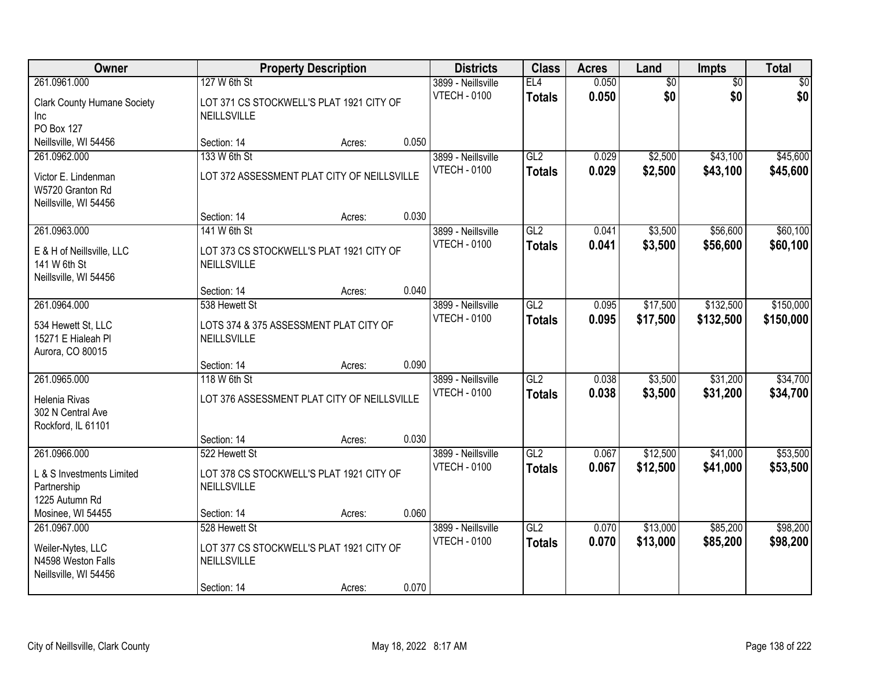| Owner                                                            |                                                          | <b>Property Description</b> |       | <b>Districts</b>                          | <b>Class</b>         | <b>Acres</b>   | Land                   | <b>Impts</b>           | <b>Total</b>       |
|------------------------------------------------------------------|----------------------------------------------------------|-----------------------------|-------|-------------------------------------------|----------------------|----------------|------------------------|------------------------|--------------------|
| 261.0961.000                                                     | 127 W 6th St<br>LOT 371 CS STOCKWELL'S PLAT 1921 CITY OF |                             |       | 3899 - Neillsville<br><b>VTECH - 0100</b> | EL4<br><b>Totals</b> | 0.050<br>0.050 | $\overline{50}$<br>\$0 | $\overline{50}$<br>\$0 | $\sqrt{30}$<br>\$0 |
| <b>Clark County Humane Society</b><br>Inc.                       | NEILLSVILLE                                              |                             |       |                                           |                      |                |                        |                        |                    |
| PO Box 127<br>Neillsville, WI 54456                              | Section: 14                                              | Acres:                      | 0.050 |                                           |                      |                |                        |                        |                    |
| 261.0962.000                                                     | 133 W 6th St                                             |                             |       | 3899 - Neillsville                        | GL2                  | 0.029          | \$2,500                | \$43,100               | \$45,600           |
|                                                                  |                                                          |                             |       | <b>VTECH - 0100</b>                       | <b>Totals</b>        | 0.029          | \$2,500                | \$43,100               | \$45,600           |
| Victor E. Lindenman<br>W5720 Granton Rd<br>Neillsville, WI 54456 | LOT 372 ASSESSMENT PLAT CITY OF NEILLSVILLE              |                             |       |                                           |                      |                |                        |                        |                    |
|                                                                  | Section: 14                                              | Acres:                      | 0.030 |                                           |                      |                |                        |                        |                    |
| 261.0963.000                                                     | 141 W 6th St                                             |                             |       | 3899 - Neillsville                        | GL2                  | 0.041          | \$3,500                | \$56,600               | \$60,100           |
|                                                                  |                                                          |                             |       | <b>VTECH - 0100</b>                       | <b>Totals</b>        | 0.041          | \$3,500                | \$56,600               | \$60,100           |
| E & H of Neillsville, LLC<br>141 W 6th St                        | LOT 373 CS STOCKWELL'S PLAT 1921 CITY OF<br>NEILLSVILLE  |                             |       |                                           |                      |                |                        |                        |                    |
| Neillsville, WI 54456                                            |                                                          |                             |       |                                           |                      |                |                        |                        |                    |
|                                                                  | Section: 14                                              | Acres:                      | 0.040 |                                           |                      |                |                        |                        |                    |
| 261.0964.000                                                     | 538 Hewett St                                            |                             |       | 3899 - Neillsville                        | GL2                  | 0.095          | \$17,500               | \$132,500              | \$150,000          |
| 534 Hewett St, LLC                                               | LOTS 374 & 375 ASSESSMENT PLAT CITY OF                   |                             |       | <b>VTECH - 0100</b>                       | <b>Totals</b>        | 0.095          | \$17,500               | \$132,500              | \$150,000          |
| 15271 E Hialeah Pl                                               | NEILLSVILLE                                              |                             |       |                                           |                      |                |                        |                        |                    |
| Aurora, CO 80015                                                 |                                                          |                             |       |                                           |                      |                |                        |                        |                    |
|                                                                  | Section: 14                                              | Acres:                      | 0.090 |                                           |                      |                |                        |                        |                    |
| 261.0965.000                                                     | 118 W 6th St                                             |                             |       | 3899 - Neillsville                        | GL2                  | 0.038          | \$3,500                | \$31,200               | \$34,700           |
| Helenia Rivas                                                    | LOT 376 ASSESSMENT PLAT CITY OF NEILLSVILLE              |                             |       | <b>VTECH - 0100</b>                       | <b>Totals</b>        | 0.038          | \$3,500                | \$31,200               | \$34,700           |
| 302 N Central Ave                                                |                                                          |                             |       |                                           |                      |                |                        |                        |                    |
| Rockford, IL 61101                                               |                                                          |                             |       |                                           |                      |                |                        |                        |                    |
|                                                                  | Section: 14                                              | Acres:                      | 0.030 |                                           |                      |                |                        |                        |                    |
| 261.0966.000                                                     | 522 Hewett St                                            |                             |       | 3899 - Neillsville                        | GL2                  | 0.067          | \$12,500               | \$41,000               | \$53,500           |
| L & S Investments Limited                                        | LOT 378 CS STOCKWELL'S PLAT 1921 CITY OF                 |                             |       | <b>VTECH - 0100</b>                       | <b>Totals</b>        | 0.067          | \$12,500               | \$41,000               | \$53,500           |
| Partnership                                                      | NEILLSVILLE                                              |                             |       |                                           |                      |                |                        |                        |                    |
| 1225 Autumn Rd                                                   |                                                          |                             |       |                                           |                      |                |                        |                        |                    |
| Mosinee, WI 54455                                                | Section: 14                                              | Acres:                      | 0.060 |                                           |                      |                |                        |                        |                    |
| 261.0967.000                                                     | 528 Hewett St                                            |                             |       | 3899 - Neillsville                        | GL2                  | 0.070          | \$13,000               | \$85,200               | \$98,200           |
| Weiler-Nytes, LLC                                                | LOT 377 CS STOCKWELL'S PLAT 1921 CITY OF                 |                             |       | <b>VTECH - 0100</b>                       | <b>Totals</b>        | 0.070          | \$13,000               | \$85,200               | \$98,200           |
| N4598 Weston Falls                                               | NEILLSVILLE                                              |                             |       |                                           |                      |                |                        |                        |                    |
| Neillsville, WI 54456                                            |                                                          |                             |       |                                           |                      |                |                        |                        |                    |
|                                                                  | Section: 14                                              | Acres:                      | 0.070 |                                           |                      |                |                        |                        |                    |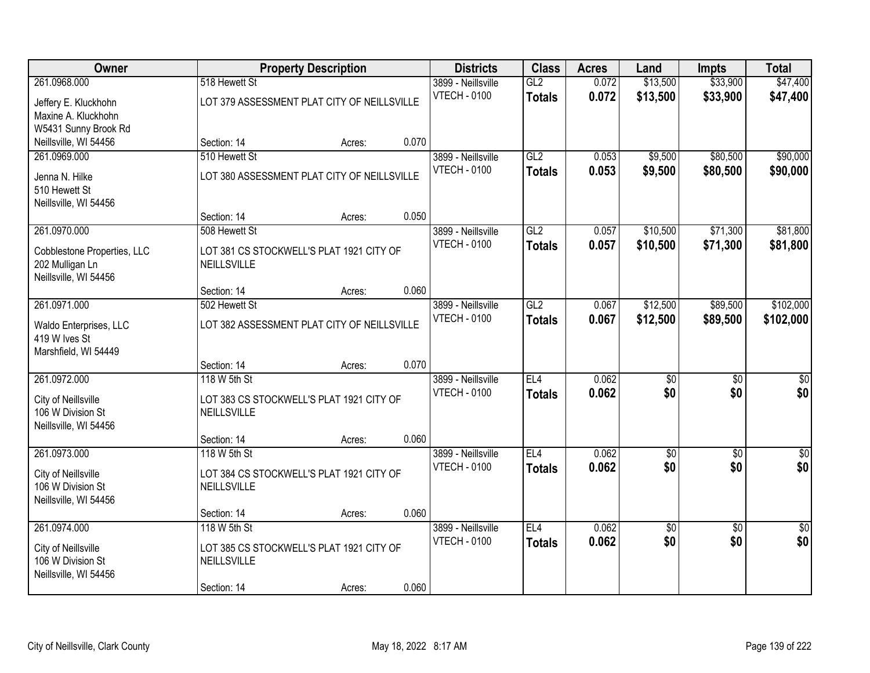| Owner                                         |                                                         | <b>Property Description</b> |       | <b>Districts</b>                          | <b>Class</b>  | <b>Acres</b>   | Land                 | <b>Impts</b>         | <b>Total</b>         |
|-----------------------------------------------|---------------------------------------------------------|-----------------------------|-------|-------------------------------------------|---------------|----------------|----------------------|----------------------|----------------------|
| 261.0968.000                                  | 518 Hewett St                                           |                             |       | 3899 - Neillsville<br><b>VTECH - 0100</b> | GL2           | 0.072<br>0.072 | \$13,500<br>\$13,500 | \$33,900<br>\$33,900 | \$47,400<br>\$47,400 |
| Jeffery E. Kluckhohn                          | LOT 379 ASSESSMENT PLAT CITY OF NEILLSVILLE             |                             |       |                                           | <b>Totals</b> |                |                      |                      |                      |
| Maxine A. Kluckhohn                           |                                                         |                             |       |                                           |               |                |                      |                      |                      |
| W5431 Sunny Brook Rd<br>Neillsville, WI 54456 | Section: 14                                             | Acres:                      | 0.070 |                                           |               |                |                      |                      |                      |
| 261.0969.000                                  | 510 Hewett St                                           |                             |       | 3899 - Neillsville                        | GL2           | 0.053          | \$9,500              | \$80,500             | \$90,000             |
|                                               |                                                         |                             |       | <b>VTECH - 0100</b>                       | <b>Totals</b> | 0.053          | \$9,500              | \$80,500             | \$90,000             |
| Jenna N. Hilke                                | LOT 380 ASSESSMENT PLAT CITY OF NEILLSVILLE             |                             |       |                                           |               |                |                      |                      |                      |
| 510 Hewett St                                 |                                                         |                             |       |                                           |               |                |                      |                      |                      |
| Neillsville, WI 54456                         | Section: 14                                             | Acres:                      | 0.050 |                                           |               |                |                      |                      |                      |
| 261.0970.000                                  | 508 Hewett St                                           |                             |       | 3899 - Neillsville                        | GL2           | 0.057          | \$10,500             | \$71,300             | \$81,800             |
|                                               |                                                         |                             |       | <b>VTECH - 0100</b>                       | <b>Totals</b> | 0.057          | \$10,500             | \$71,300             | \$81,800             |
| Cobblestone Properties, LLC                   | LOT 381 CS STOCKWELL'S PLAT 1921 CITY OF<br>NEILLSVILLE |                             |       |                                           |               |                |                      |                      |                      |
| 202 Mulligan Ln<br>Neillsville, WI 54456      |                                                         |                             |       |                                           |               |                |                      |                      |                      |
|                                               | Section: 14                                             | Acres:                      | 0.060 |                                           |               |                |                      |                      |                      |
| 261.0971.000                                  | 502 Hewett St                                           |                             |       | 3899 - Neillsville                        | GL2           | 0.067          | \$12,500             | \$89,500             | \$102,000            |
|                                               | LOT 382 ASSESSMENT PLAT CITY OF NEILLSVILLE             |                             |       | <b>VTECH - 0100</b>                       | <b>Totals</b> | 0.067          | \$12,500             | \$89,500             | \$102,000            |
| Waldo Enterprises, LLC<br>419 W Ives St       |                                                         |                             |       |                                           |               |                |                      |                      |                      |
| Marshfield, WI 54449                          |                                                         |                             |       |                                           |               |                |                      |                      |                      |
|                                               | Section: 14                                             | Acres:                      | 0.070 |                                           |               |                |                      |                      |                      |
| 261.0972.000                                  | 118 W 5th St                                            |                             |       | 3899 - Neillsville                        | EL4           | 0.062          | $\overline{50}$      | $\overline{50}$      | $\overline{50}$      |
| City of Neillsville                           | LOT 383 CS STOCKWELL'S PLAT 1921 CITY OF                |                             |       | <b>VTECH - 0100</b>                       | <b>Totals</b> | 0.062          | \$0                  | \$0                  | \$0                  |
| 106 W Division St                             | NEILLSVILLE                                             |                             |       |                                           |               |                |                      |                      |                      |
| Neillsville, WI 54456                         |                                                         |                             |       |                                           |               |                |                      |                      |                      |
|                                               | Section: 14                                             | Acres:                      | 0.060 |                                           |               |                |                      |                      |                      |
| 261.0973.000                                  | 118 W 5th St                                            |                             |       | 3899 - Neillsville                        | EL4           | 0.062          | $\overline{\$0}$     | $\overline{50}$      | $\overline{\$0}$     |
| City of Neillsville                           | LOT 384 CS STOCKWELL'S PLAT 1921 CITY OF                |                             |       | <b>VTECH - 0100</b>                       | <b>Totals</b> | 0.062          | \$0                  | \$0                  | \$0                  |
| 106 W Division St                             | NEILLSVILLE                                             |                             |       |                                           |               |                |                      |                      |                      |
| Neillsville, WI 54456                         |                                                         |                             |       |                                           |               |                |                      |                      |                      |
|                                               | Section: 14                                             | Acres:                      | 0.060 |                                           |               |                |                      |                      |                      |
| 261.0974.000                                  | 118 W 5th St                                            |                             |       | 3899 - Neillsville                        | EL4           | 0.062          | \$0                  | $\overline{50}$      | $\overline{50}$      |
| City of Neillsville                           | LOT 385 CS STOCKWELL'S PLAT 1921 CITY OF                |                             |       | <b>VTECH - 0100</b>                       | <b>Totals</b> | 0.062          | \$0                  | \$0                  | \$0                  |
| 106 W Division St                             | NEILLSVILLE                                             |                             |       |                                           |               |                |                      |                      |                      |
| Neillsville, WI 54456                         |                                                         |                             |       |                                           |               |                |                      |                      |                      |
|                                               | Section: 14                                             | Acres:                      | 0.060 |                                           |               |                |                      |                      |                      |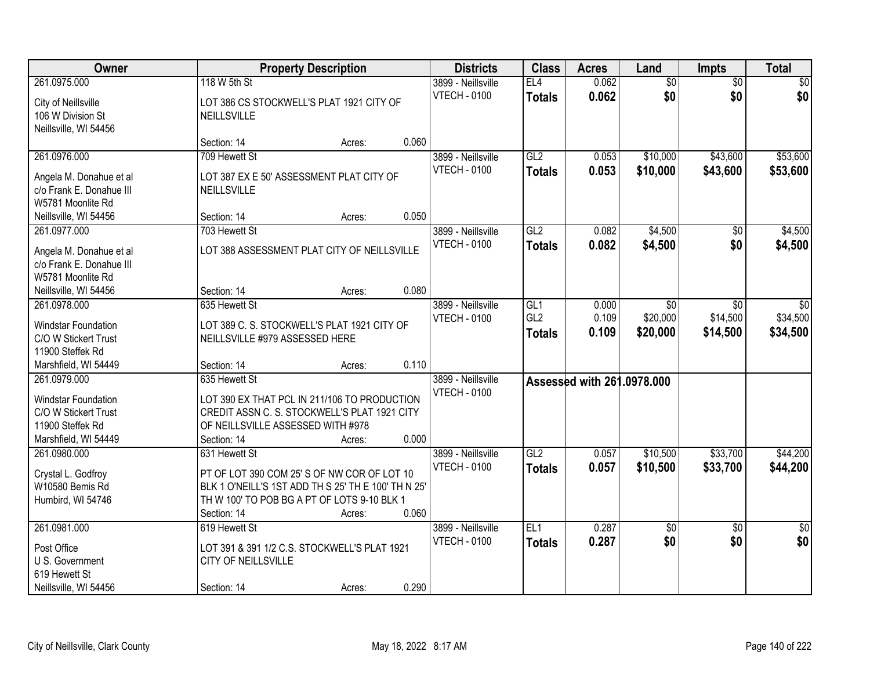| Owner                                 |                                                     | <b>Property Description</b> |       | <b>Districts</b>    | <b>Class</b>           | <b>Acres</b>   | Land                       | Impts           | <b>Total</b>    |
|---------------------------------------|-----------------------------------------------------|-----------------------------|-------|---------------------|------------------------|----------------|----------------------------|-----------------|-----------------|
| 261.0975.000                          | 118 W 5th St                                        |                             |       | 3899 - Neillsville  | EL4                    | 0.062          | $\overline{50}$            | $\overline{50}$ | \$0             |
| City of Neillsville                   | LOT 386 CS STOCKWELL'S PLAT 1921 CITY OF            |                             |       | <b>VTECH - 0100</b> | <b>Totals</b>          | 0.062          | \$0                        | \$0             | \$0             |
| 106 W Division St                     | <b>NEILLSVILLE</b>                                  |                             |       |                     |                        |                |                            |                 |                 |
| Neillsville, WI 54456                 | Section: 14                                         | Acres:                      | 0.060 |                     |                        |                |                            |                 |                 |
| 261.0976.000                          | 709 Hewett St                                       |                             |       | 3899 - Neillsville  | GL2                    | 0.053          | \$10,000                   | \$43,600        | \$53,600        |
|                                       |                                                     |                             |       | <b>VTECH - 0100</b> | <b>Totals</b>          | 0.053          | \$10,000                   | \$43,600        | \$53,600        |
| Angela M. Donahue et al               | LOT 387 EX E 50' ASSESSMENT PLAT CITY OF            |                             |       |                     |                        |                |                            |                 |                 |
| c/o Frank E. Donahue III              | NEILLSVILLE                                         |                             |       |                     |                        |                |                            |                 |                 |
| W5781 Moonlite Rd                     | Section: 14                                         |                             | 0.050 |                     |                        |                |                            |                 |                 |
| Neillsville, WI 54456<br>261.0977.000 | 703 Hewett St                                       | Acres:                      |       | 3899 - Neillsville  | GL2                    | 0.082          | \$4,500                    | \$0             | \$4,500         |
|                                       |                                                     |                             |       | <b>VTECH - 0100</b> |                        | 0.082          | \$4,500                    | \$0             | \$4,500         |
| Angela M. Donahue et al               | LOT 388 ASSESSMENT PLAT CITY OF NEILLSVILLE         |                             |       |                     | <b>Totals</b>          |                |                            |                 |                 |
| c/o Frank E. Donahue III              |                                                     |                             |       |                     |                        |                |                            |                 |                 |
| W5781 Moonlite Rd                     |                                                     |                             |       |                     |                        |                |                            |                 |                 |
| Neillsville, WI 54456                 | Section: 14                                         | Acres:                      | 0.080 |                     |                        |                |                            |                 |                 |
| 261.0978.000                          | 635 Hewett St                                       |                             |       | 3899 - Neillsville  | GL1<br>GL <sub>2</sub> | 0.000<br>0.109 | $\sqrt[6]{}$               | $\sqrt{6}$      | \$0             |
| Windstar Foundation                   | LOT 389 C. S. STOCKWELL'S PLAT 1921 CITY OF         |                             |       | <b>VTECH - 0100</b> |                        |                | \$20,000                   | \$14,500        | \$34,500        |
| C/O W Stickert Trust                  | NEILLSVILLE #979 ASSESSED HERE                      |                             |       |                     | <b>Totals</b>          | 0.109          | \$20,000                   | \$14,500        | \$34,500        |
| 11900 Steffek Rd                      |                                                     |                             |       |                     |                        |                |                            |                 |                 |
| Marshfield, WI 54449                  | Section: 14                                         | Acres:                      | 0.110 |                     |                        |                |                            |                 |                 |
| 261.0979.000                          | 635 Hewett St                                       |                             |       | 3899 - Neillsville  |                        |                | Assessed with 261.0978.000 |                 |                 |
| Windstar Foundation                   | LOT 390 EX THAT PCL IN 211/106 TO PRODUCTION        |                             |       | <b>VTECH - 0100</b> |                        |                |                            |                 |                 |
| C/O W Stickert Trust                  | CREDIT ASSN C. S. STOCKWELL'S PLAT 1921 CITY        |                             |       |                     |                        |                |                            |                 |                 |
| 11900 Steffek Rd                      | OF NEILLSVILLE ASSESSED WITH #978                   |                             |       |                     |                        |                |                            |                 |                 |
| Marshfield, WI 54449                  | Section: 14                                         | Acres:                      | 0.000 |                     |                        |                |                            |                 |                 |
| 261.0980.000                          | 631 Hewett St                                       |                             |       | 3899 - Neillsville  | GL2                    | 0.057          | \$10,500                   | \$33,700        | \$44,200        |
| Crystal L. Godfroy                    | PT OF LOT 390 COM 25' S OF NW COR OF LOT 10         |                             |       | <b>VTECH - 0100</b> | <b>Totals</b>          | 0.057          | \$10,500                   | \$33,700        | \$44,200        |
| W10580 Bemis Rd                       | BLK 1 O'NEILL'S 1ST ADD TH S 25' TH E 100' TH N 25' |                             |       |                     |                        |                |                            |                 |                 |
| Humbird, WI 54746                     | TH W 100' TO POB BG A PT OF LOTS 9-10 BLK 1         |                             |       |                     |                        |                |                            |                 |                 |
|                                       | Section: 14                                         | Acres:                      | 0.060 |                     |                        |                |                            |                 |                 |
| 261.0981.000                          | 619 Hewett St                                       |                             |       | 3899 - Neillsville  | EL1                    | 0.287          | \$0                        | $\overline{50}$ | $\overline{50}$ |
| Post Office                           | LOT 391 & 391 1/2 C.S. STOCKWELL'S PLAT 1921        |                             |       | <b>VTECH - 0100</b> | <b>Totals</b>          | 0.287          | \$0                        | \$0             | \$0             |
| U S. Government                       | CITY OF NEILLSVILLE                                 |                             |       |                     |                        |                |                            |                 |                 |
| 619 Hewett St                         |                                                     |                             |       |                     |                        |                |                            |                 |                 |
| Neillsville, WI 54456                 | Section: 14                                         | Acres:                      | 0.290 |                     |                        |                |                            |                 |                 |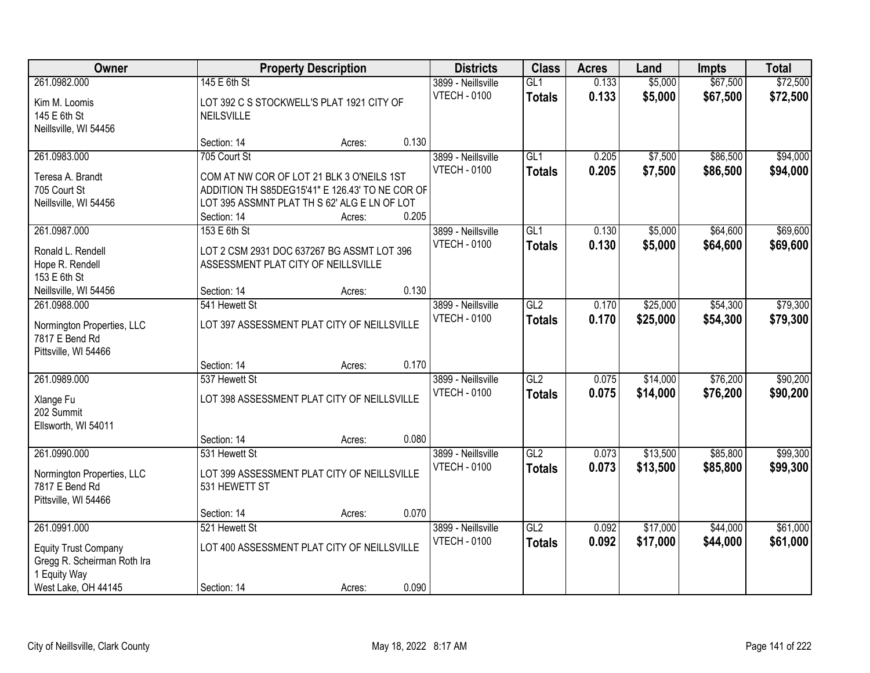| Owner                                                                                                             |                                                                                                                                                                             | <b>Property Description</b> |                | <b>Districts</b>                          | <b>Class</b>         | <b>Acres</b>   | Land                 | <b>Impts</b>         | <b>Total</b>         |
|-------------------------------------------------------------------------------------------------------------------|-----------------------------------------------------------------------------------------------------------------------------------------------------------------------------|-----------------------------|----------------|-------------------------------------------|----------------------|----------------|----------------------|----------------------|----------------------|
| 261.0982.000<br>Kim M. Loomis<br>145 E 6th St                                                                     | 145 E 6th St<br>LOT 392 C S STOCKWELL'S PLAT 1921 CITY OF<br><b>NEILSVILLE</b>                                                                                              |                             |                | 3899 - Neillsville<br><b>VTECH - 0100</b> | GL1<br><b>Totals</b> | 0.133<br>0.133 | \$5,000<br>\$5,000   | \$67,500<br>\$67,500 | \$72,500<br>\$72,500 |
| Neillsville, WI 54456                                                                                             | Section: 14                                                                                                                                                                 | Acres:                      | 0.130          |                                           |                      |                |                      |                      |                      |
| 261.0983.000<br>Teresa A. Brandt<br>705 Court St<br>Neillsville, WI 54456                                         | 705 Court St<br>COM AT NW COR OF LOT 21 BLK 3 O'NEILS 1ST<br>ADDITION TH S85DEG15'41" E 126.43' TO NE COR OF<br>LOT 395 ASSMNT PLAT TH S 62' ALG E LN OF LOT<br>Section: 14 | Acres:                      | 0.205          | 3899 - Neillsville<br><b>VTECH - 0100</b> | GL1<br><b>Totals</b> | 0.205<br>0.205 | \$7,500<br>\$7,500   | \$86,500<br>\$86,500 | \$94,000<br>\$94,000 |
| 261.0987.000<br>Ronald L. Rendell<br>Hope R. Rendell<br>153 E 6th St<br>Neillsville, WI 54456                     | 153 E 6th St<br>LOT 2 CSM 2931 DOC 637267 BG ASSMT LOT 396<br>ASSESSMENT PLAT CITY OF NEILLSVILLE<br>Section: 14                                                            | Acres:                      | 0.130          | 3899 - Neillsville<br><b>VTECH - 0100</b> | GL1<br><b>Totals</b> | 0.130<br>0.130 | \$5,000<br>\$5,000   | \$64,600<br>\$64,600 | \$69,600<br>\$69,600 |
| 261.0988.000<br>Normington Properties, LLC<br>7817 E Bend Rd<br>Pittsville, WI 54466                              | 541 Hewett St<br>LOT 397 ASSESSMENT PLAT CITY OF NEILLSVILLE                                                                                                                |                             |                | 3899 - Neillsville<br><b>VTECH - 0100</b> | GL2<br><b>Totals</b> | 0.170<br>0.170 | \$25,000<br>\$25,000 | \$54,300<br>\$54,300 | \$79,300<br>\$79,300 |
| 261.0989.000<br>Xlange Fu<br>202 Summit<br>Ellsworth, WI 54011                                                    | Section: 14<br>537 Hewett St<br>LOT 398 ASSESSMENT PLAT CITY OF NEILLSVILLE<br>Section: 14                                                                                  | Acres:<br>Acres:            | 0.170<br>0.080 | 3899 - Neillsville<br><b>VTECH - 0100</b> | GL2<br><b>Totals</b> | 0.075<br>0.075 | \$14,000<br>\$14,000 | \$76,200<br>\$76,200 | \$90,200<br>\$90,200 |
| 261.0990.000<br>Normington Properties, LLC<br>7817 E Bend Rd<br>Pittsville, WI 54466                              | 531 Hewett St<br>LOT 399 ASSESSMENT PLAT CITY OF NEILLSVILLE<br>531 HEWETT ST<br>Section: 14                                                                                | Acres:                      | 0.070          | 3899 - Neillsville<br><b>VTECH - 0100</b> | GL2<br><b>Totals</b> | 0.073<br>0.073 | \$13,500<br>\$13,500 | \$85,800<br>\$85,800 | \$99,300<br>\$99,300 |
| 261.0991.000<br><b>Equity Trust Company</b><br>Gregg R. Scheirman Roth Ira<br>1 Equity Way<br>West Lake, OH 44145 | 521 Hewett St<br>LOT 400 ASSESSMENT PLAT CITY OF NEILLSVILLE<br>Section: 14                                                                                                 | Acres:                      | 0.090          | 3899 - Neillsville<br><b>VTECH - 0100</b> | GL2<br><b>Totals</b> | 0.092<br>0.092 | \$17,000<br>\$17,000 | \$44,000<br>\$44,000 | \$61,000<br>\$61,000 |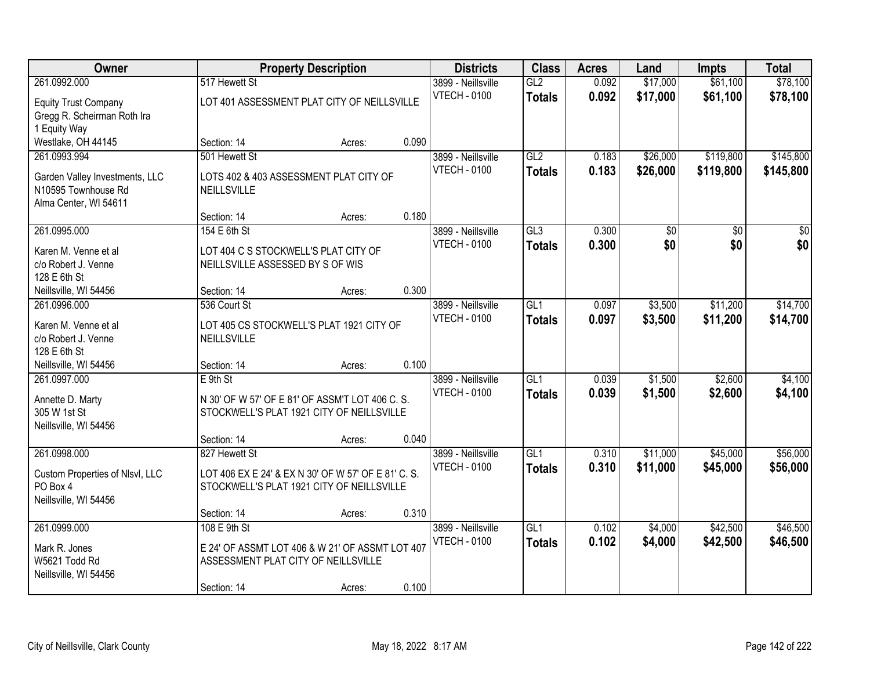| Owner                                       |                                      | <b>Property Description</b>                                                                      |       | <b>Districts</b>    | <b>Class</b>  | <b>Acres</b> | Land     | <b>Impts</b> | <b>Total</b>     |
|---------------------------------------------|--------------------------------------|--------------------------------------------------------------------------------------------------|-------|---------------------|---------------|--------------|----------|--------------|------------------|
| 261.0992.000                                | 517 Hewett St                        |                                                                                                  |       | 3899 - Neillsville  | GL2           | 0.092        | \$17,000 | \$61,100     | \$78,100         |
| <b>Equity Trust Company</b>                 |                                      | LOT 401 ASSESSMENT PLAT CITY OF NEILLSVILLE                                                      |       | <b>VTECH - 0100</b> | <b>Totals</b> | 0.092        | \$17,000 | \$61,100     | \$78,100         |
| Gregg R. Scheirman Roth Ira                 |                                      |                                                                                                  |       |                     |               |              |          |              |                  |
| 1 Equity Way                                |                                      |                                                                                                  |       |                     |               |              |          |              |                  |
| Westlake, OH 44145                          | Section: 14                          | Acres:                                                                                           | 0.090 |                     |               |              |          |              |                  |
| 261.0993.994                                | 501 Hewett St                        |                                                                                                  |       | 3899 - Neillsville  | GL2           | 0.183        | \$26,000 | \$119,800    | \$145,800        |
| Garden Valley Investments, LLC              |                                      | LOTS 402 & 403 ASSESSMENT PLAT CITY OF                                                           |       | <b>VTECH - 0100</b> | <b>Totals</b> | 0.183        | \$26,000 | \$119,800    | \$145,800        |
| N10595 Townhouse Rd                         | NEILLSVILLE                          |                                                                                                  |       |                     |               |              |          |              |                  |
| Alma Center, WI 54611                       |                                      |                                                                                                  |       |                     |               |              |          |              |                  |
|                                             | Section: 14                          | Acres:                                                                                           | 0.180 |                     |               |              |          |              |                  |
| 261.0995.000                                | 154 E 6th St                         |                                                                                                  |       | 3899 - Neillsville  | GL3           | 0.300        | \$0      | \$0          | $\overline{\$0}$ |
| Karen M. Venne et al                        | LOT 404 C S STOCKWELL'S PLAT CITY OF |                                                                                                  |       | <b>VTECH - 0100</b> | <b>Totals</b> | 0.300        | \$0      | \$0          | \$0              |
| c/o Robert J. Venne                         | NEILLSVILLE ASSESSED BY S OF WIS     |                                                                                                  |       |                     |               |              |          |              |                  |
| 128 E 6th St                                |                                      |                                                                                                  |       |                     |               |              |          |              |                  |
| Neillsville, WI 54456                       | Section: 14                          | Acres:                                                                                           | 0.300 |                     |               |              |          |              |                  |
| 261.0996.000                                | 536 Court St                         |                                                                                                  |       | 3899 - Neillsville  | GL1           | 0.097        | \$3,500  | \$11,200     | \$14,700         |
| Karen M. Venne et al                        |                                      | LOT 405 CS STOCKWELL'S PLAT 1921 CITY OF                                                         |       | <b>VTECH - 0100</b> | <b>Totals</b> | 0.097        | \$3,500  | \$11,200     | \$14,700         |
| c/o Robert J. Venne                         | NEILLSVILLE                          |                                                                                                  |       |                     |               |              |          |              |                  |
| 128 E 6th St                                |                                      |                                                                                                  |       |                     |               |              |          |              |                  |
| Neillsville, WI 54456                       | Section: 14                          | Acres:                                                                                           | 0.100 |                     |               |              |          |              |                  |
| 261.0997.000                                | $E$ 9th St                           |                                                                                                  |       | 3899 - Neillsville  | GL1           | 0.039        | \$1,500  | \$2,600      | \$4,100          |
|                                             |                                      | N 30' OF W 57' OF E 81' OF ASSM'T LOT 406 C. S.                                                  |       | <b>VTECH - 0100</b> | <b>Totals</b> | 0.039        | \$1,500  | \$2,600      | \$4,100          |
| Annette D. Marty<br>305 W 1st St            |                                      | STOCKWELL'S PLAT 1921 CITY OF NEILLSVILLE                                                        |       |                     |               |              |          |              |                  |
| Neillsville, WI 54456                       |                                      |                                                                                                  |       |                     |               |              |          |              |                  |
|                                             | Section: 14                          | Acres:                                                                                           | 0.040 |                     |               |              |          |              |                  |
| 261.0998.000                                | 827 Hewett St                        |                                                                                                  |       | 3899 - Neillsville  | GL1           | 0.310        | \$11,000 | \$45,000     | \$56,000         |
|                                             |                                      |                                                                                                  |       | <b>VTECH - 0100</b> | <b>Totals</b> | 0.310        | \$11,000 | \$45,000     | \$56,000         |
| Custom Properties of Nlsvl, LLC<br>PO Box 4 |                                      | LOT 406 EX E 24' & EX N 30' OF W 57' OF E 81' C. S.<br>STOCKWELL'S PLAT 1921 CITY OF NEILLSVILLE |       |                     |               |              |          |              |                  |
| Neillsville, WI 54456                       |                                      |                                                                                                  |       |                     |               |              |          |              |                  |
|                                             | Section: 14                          | Acres:                                                                                           | 0.310 |                     |               |              |          |              |                  |
| 261.0999.000                                | 108 E 9th St                         |                                                                                                  |       | 3899 - Neillsville  | GL1           | 0.102        | \$4,000  | \$42,500     | \$46,500         |
|                                             |                                      |                                                                                                  |       | <b>VTECH - 0100</b> | <b>Totals</b> | 0.102        | \$4,000  | \$42,500     | \$46,500         |
| Mark R. Jones<br>W5621 Todd Rd              | ASSESSMENT PLAT CITY OF NEILLSVILLE  | E 24' OF ASSMT LOT 406 & W 21' OF ASSMT LOT 407                                                  |       |                     |               |              |          |              |                  |
| Neillsville, WI 54456                       |                                      |                                                                                                  |       |                     |               |              |          |              |                  |
|                                             | Section: 14                          | Acres:                                                                                           | 0.100 |                     |               |              |          |              |                  |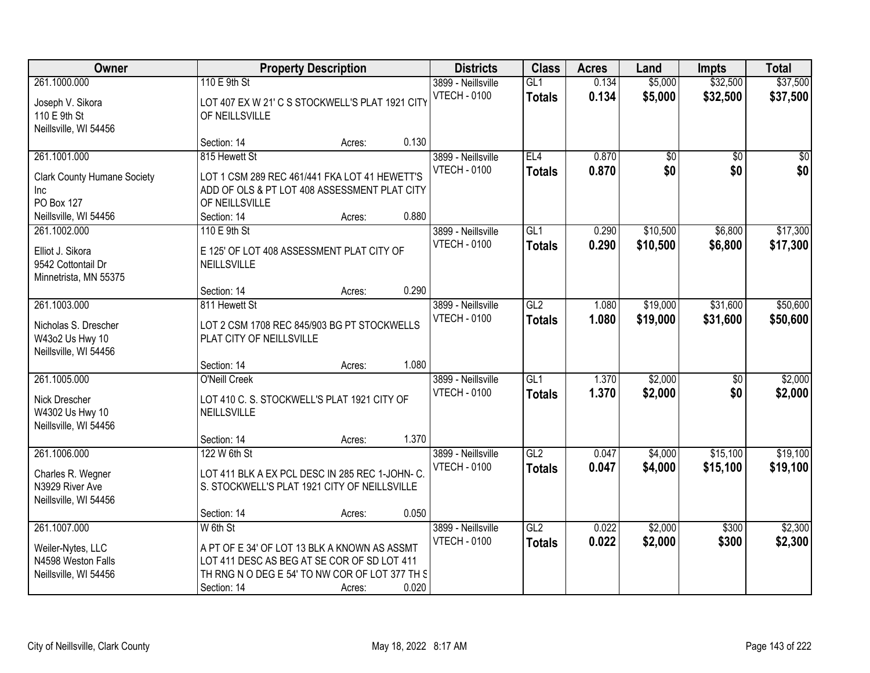| Owner                                                                                 |                                                                                                                                                                          | <b>Property Description</b> |       | <b>Districts</b>                          | <b>Class</b>                      | <b>Acres</b>   | Land                 | <b>Impts</b>           | <b>Total</b>            |
|---------------------------------------------------------------------------------------|--------------------------------------------------------------------------------------------------------------------------------------------------------------------------|-----------------------------|-------|-------------------------------------------|-----------------------------------|----------------|----------------------|------------------------|-------------------------|
| 261.1000.000<br>Joseph V. Sikora<br>110 E 9th St<br>Neillsville, WI 54456             | 110 E 9th St<br>LOT 407 EX W 21' C S STOCKWELL'S PLAT 1921 CITY<br>OF NEILLSVILLE                                                                                        |                             |       | 3899 - Neillsville<br><b>VTECH - 0100</b> | GL1<br><b>Totals</b>              | 0.134<br>0.134 | \$5,000<br>\$5,000   | \$32,500<br>\$32,500   | \$37,500<br>\$37,500    |
|                                                                                       | Section: 14                                                                                                                                                              | Acres:                      | 0.130 |                                           |                                   |                |                      |                        |                         |
| 261.1001.000<br><b>Clark County Humane Society</b><br><b>Inc</b><br><b>PO Box 127</b> | 815 Hewett St<br>LOT 1 CSM 289 REC 461/441 FKA LOT 41 HEWETT'S<br>ADD OF OLS & PT LOT 408 ASSESSMENT PLAT CITY<br>OF NEILLSVILLE                                         |                             |       | 3899 - Neillsville<br><b>VTECH - 0100</b> | EL4<br><b>Totals</b>              | 0.870<br>0.870 | \$0<br>\$0           | $\overline{30}$<br>\$0 | $\overline{\$0}$<br>\$0 |
| Neillsville, WI 54456                                                                 | Section: 14                                                                                                                                                              | Acres:                      | 0.880 |                                           |                                   |                |                      |                        |                         |
| 261.1002.000<br>Elliot J. Sikora<br>9542 Cottontail Dr<br>Minnetrista, MN 55375       | 110 E 9th St<br>E 125' OF LOT 408 ASSESSMENT PLAT CITY OF<br>NEILLSVILLE                                                                                                 |                             |       | 3899 - Neillsville<br><b>VTECH - 0100</b> | GL1<br><b>Totals</b>              | 0.290<br>0.290 | \$10,500<br>\$10,500 | \$6,800<br>\$6,800     | \$17,300<br>\$17,300    |
|                                                                                       | Section: 14                                                                                                                                                              | Acres:                      | 0.290 |                                           |                                   |                |                      |                        |                         |
| 261.1003.000<br>Nicholas S. Drescher<br>W43o2 Us Hwy 10<br>Neillsville, WI 54456      | 811 Hewett St<br>LOT 2 CSM 1708 REC 845/903 BG PT STOCKWELLS<br>PLAT CITY OF NEILLSVILLE                                                                                 |                             |       | 3899 - Neillsville<br><b>VTECH - 0100</b> | $\overline{GL2}$<br><b>Totals</b> | 1.080<br>1.080 | \$19,000<br>\$19,000 | \$31,600<br>\$31,600   | \$50,600<br>\$50,600    |
|                                                                                       | Section: 14                                                                                                                                                              | Acres:                      | 1.080 |                                           |                                   |                |                      |                        |                         |
| 261.1005.000<br>Nick Drescher<br>W4302 Us Hwy 10<br>Neillsville, WI 54456             | <b>O'Neill Creek</b><br>LOT 410 C. S. STOCKWELL'S PLAT 1921 CITY OF<br>NEILLSVILLE                                                                                       |                             |       | 3899 - Neillsville<br><b>VTECH - 0100</b> | $\overline{GL1}$<br><b>Totals</b> | 1.370<br>1.370 | \$2,000<br>\$2,000   | \$0<br>\$0             | \$2,000<br>\$2,000      |
| 261.1006.000                                                                          | Section: 14<br>122 W 6th St                                                                                                                                              | Acres:                      | 1.370 | 3899 - Neillsville                        | GL2                               | 0.047          | \$4,000              | \$15,100               | \$19,100                |
| Charles R. Wegner<br>N3929 River Ave<br>Neillsville, WI 54456                         | LOT 411 BLK A EX PCL DESC IN 285 REC 1-JOHN-C.<br>S. STOCKWELL'S PLAT 1921 CITY OF NEILLSVILLE                                                                           |                             |       | <b>VTECH - 0100</b>                       | <b>Totals</b>                     | 0.047          | \$4,000              | \$15,100               | \$19,100                |
|                                                                                       | Section: 14                                                                                                                                                              | Acres:                      | 0.050 |                                           |                                   |                |                      |                        |                         |
| 261.1007.000<br>Weiler-Nytes, LLC<br>N4598 Weston Falls<br>Neillsville, WI 54456      | W 6th St<br>A PT OF E 34' OF LOT 13 BLK A KNOWN AS ASSMT<br>LOT 411 DESC AS BEG AT SE COR OF SD LOT 411<br>TH RNG N O DEG E 54' TO NW COR OF LOT 377 TH S<br>Section: 14 | Acres:                      | 0.020 | 3899 - Neillsville<br><b>VTECH - 0100</b> | GL2<br><b>Totals</b>              | 0.022<br>0.022 | \$2,000<br>\$2,000   | \$300<br>\$300         | \$2,300<br>\$2,300      |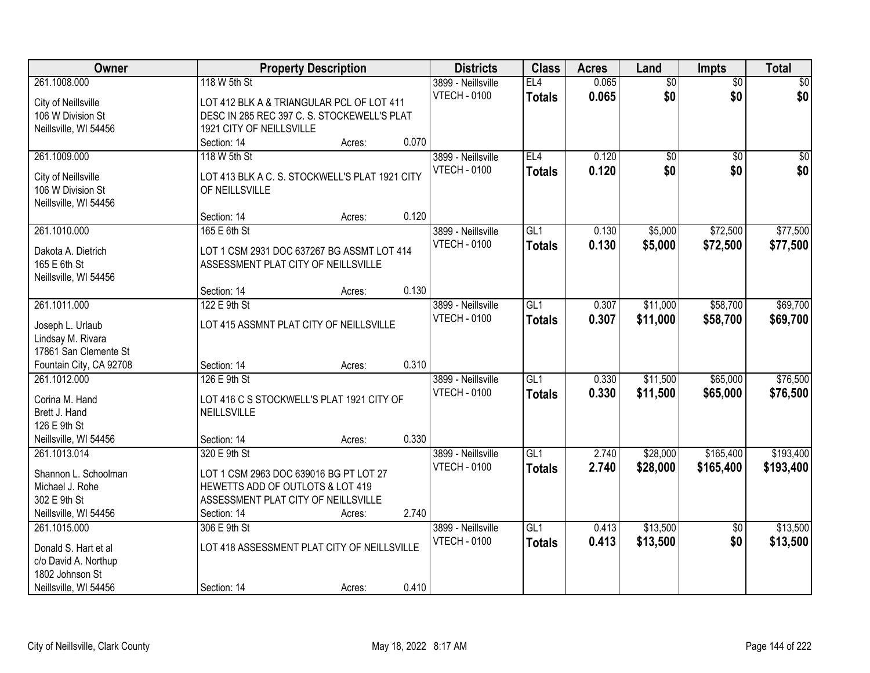| Owner                   |                                                | <b>Property Description</b> |       | <b>Districts</b>    | <b>Class</b>     | <b>Acres</b> | Land            | Impts           | <b>Total</b> |
|-------------------------|------------------------------------------------|-----------------------------|-------|---------------------|------------------|--------------|-----------------|-----------------|--------------|
| 261.1008.000            | 118 W 5th St                                   |                             |       | 3899 - Neillsville  | EL4              | 0.065        | $\overline{60}$ | $\overline{50}$ | \$0          |
| City of Neillsville     | LOT 412 BLK A & TRIANGULAR PCL OF LOT 411      |                             |       | <b>VTECH - 0100</b> | <b>Totals</b>    | 0.065        | \$0             | \$0             | \$0          |
| 106 W Division St       | DESC IN 285 REC 397 C. S. STOCKEWELL'S PLAT    |                             |       |                     |                  |              |                 |                 |              |
| Neillsville, WI 54456   | 1921 CITY OF NEILLSVILLE                       |                             |       |                     |                  |              |                 |                 |              |
|                         | Section: 14                                    | Acres:                      | 0.070 |                     |                  |              |                 |                 |              |
| 261.1009.000            | 118 W 5th St                                   |                             |       | 3899 - Neillsville  | EL4              | 0.120        | $\overline{50}$ | $\overline{50}$ | $\sqrt{50}$  |
|                         |                                                |                             |       | <b>VTECH - 0100</b> | <b>Totals</b>    | 0.120        | \$0             | \$0             | \$0          |
| City of Neillsville     | LOT 413 BLK A C. S. STOCKWELL'S PLAT 1921 CITY |                             |       |                     |                  |              |                 |                 |              |
| 106 W Division St       | OF NEILLSVILLE                                 |                             |       |                     |                  |              |                 |                 |              |
| Neillsville, WI 54456   |                                                |                             |       |                     |                  |              |                 |                 |              |
|                         | Section: 14                                    | Acres:                      | 0.120 |                     |                  |              |                 |                 |              |
| 261.1010.000            | 165 E 6th St                                   |                             |       | 3899 - Neillsville  | GL1              | 0.130        | \$5,000         | \$72,500        | \$77,500     |
| Dakota A. Dietrich      | LOT 1 CSM 2931 DOC 637267 BG ASSMT LOT 414     |                             |       | <b>VTECH - 0100</b> | <b>Totals</b>    | 0.130        | \$5,000         | \$72,500        | \$77,500     |
| 165 E 6th St            | ASSESSMENT PLAT CITY OF NEILLSVILLE            |                             |       |                     |                  |              |                 |                 |              |
| Neillsville, WI 54456   |                                                |                             |       |                     |                  |              |                 |                 |              |
|                         | Section: 14                                    | Acres:                      | 0.130 |                     |                  |              |                 |                 |              |
| 261.1011.000            | 122 E 9th St                                   |                             |       | 3899 - Neillsville  | GL1              | 0.307        | \$11,000        | \$58,700        | \$69,700     |
|                         |                                                |                             |       | <b>VTECH - 0100</b> | <b>Totals</b>    | 0.307        | \$11,000        | \$58,700        | \$69,700     |
| Joseph L. Urlaub        | LOT 415 ASSMNT PLAT CITY OF NEILLSVILLE        |                             |       |                     |                  |              |                 |                 |              |
| Lindsay M. Rivara       |                                                |                             |       |                     |                  |              |                 |                 |              |
| 17861 San Clemente St   |                                                |                             | 0.310 |                     |                  |              |                 |                 |              |
| Fountain City, CA 92708 | Section: 14                                    | Acres:                      |       |                     |                  |              |                 |                 |              |
| 261.1012.000            | 126 E 9th St                                   |                             |       | 3899 - Neillsville  | $\overline{GL1}$ | 0.330        | \$11,500        | \$65,000        | \$76,500     |
| Corina M. Hand          | LOT 416 C S STOCKWELL'S PLAT 1921 CITY OF      |                             |       | <b>VTECH - 0100</b> | <b>Totals</b>    | 0.330        | \$11,500        | \$65,000        | \$76,500     |
| Brett J. Hand           | NEILLSVILLE                                    |                             |       |                     |                  |              |                 |                 |              |
| 126 E 9th St            |                                                |                             |       |                     |                  |              |                 |                 |              |
| Neillsville, WI 54456   | Section: 14                                    | Acres:                      | 0.330 |                     |                  |              |                 |                 |              |
| 261.1013.014            | 320 E 9th St                                   |                             |       | 3899 - Neillsville  | $\overline{GL1}$ | 2.740        | \$28,000        | \$165,400       | \$193,400    |
| Shannon L. Schoolman    | LOT 1 CSM 2963 DOC 639016 BG PT LOT 27         |                             |       | <b>VTECH - 0100</b> | <b>Totals</b>    | 2.740        | \$28,000        | \$165,400       | \$193,400    |
| Michael J. Rohe         | HEWETTS ADD OF OUTLOTS & LOT 419               |                             |       |                     |                  |              |                 |                 |              |
| 302 E 9th St            | ASSESSMENT PLAT CITY OF NEILLSVILLE            |                             |       |                     |                  |              |                 |                 |              |
| Neillsville, WI 54456   | Section: 14                                    | Acres:                      | 2.740 |                     |                  |              |                 |                 |              |
| 261.1015.000            | 306 E 9th St                                   |                             |       | 3899 - Neillsville  | GL1              | 0.413        | \$13,500        | $\overline{50}$ | \$13,500     |
|                         |                                                |                             |       | <b>VTECH - 0100</b> |                  | 0.413        | \$13,500        | \$0             | \$13,500     |
| Donald S. Hart et al    | LOT 418 ASSESSMENT PLAT CITY OF NEILLSVILLE    |                             |       |                     | <b>Totals</b>    |              |                 |                 |              |
| c/o David A. Northup    |                                                |                             |       |                     |                  |              |                 |                 |              |
| 1802 Johnson St         |                                                |                             |       |                     |                  |              |                 |                 |              |
| Neillsville, WI 54456   | Section: 14                                    | Acres:                      | 0.410 |                     |                  |              |                 |                 |              |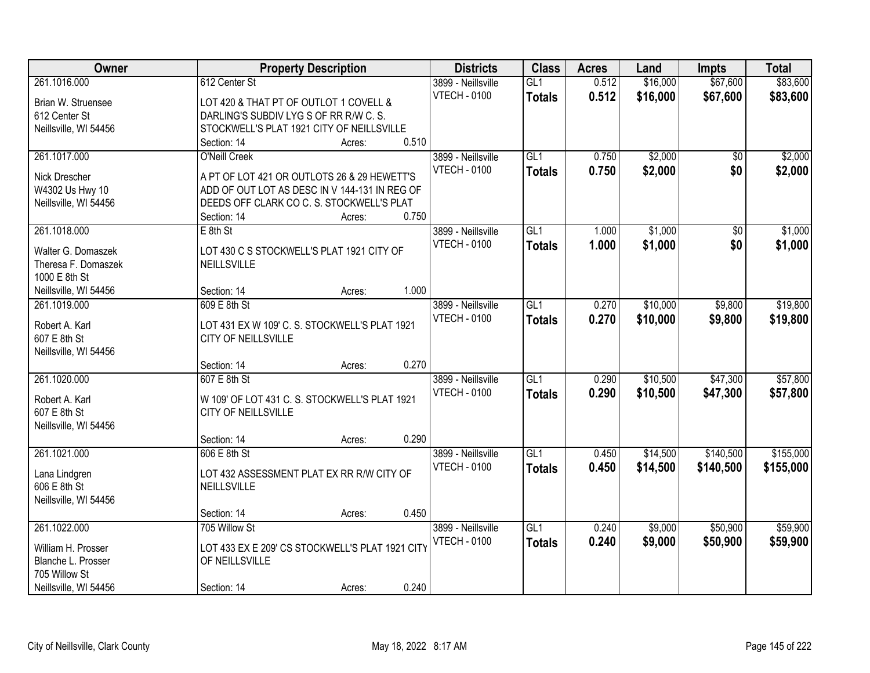| Owner                 | <b>Property Description</b>                     | <b>Districts</b> | <b>Class</b>        | <b>Acres</b>     | Land  | <b>Impts</b> | <b>Total</b>    |           |
|-----------------------|-------------------------------------------------|------------------|---------------------|------------------|-------|--------------|-----------------|-----------|
| 261.1016.000          | 612 Center St                                   |                  | 3899 - Neillsville  | GL1              | 0.512 | \$16,000     | \$67,600        | \$83,600  |
| Brian W. Struensee    | LOT 420 & THAT PT OF OUTLOT 1 COVELL &          |                  | <b>VTECH - 0100</b> | <b>Totals</b>    | 0.512 | \$16,000     | \$67,600        | \$83,600  |
| 612 Center St         | DARLING'S SUBDIV LYG S OF RR R/W C. S.          |                  |                     |                  |       |              |                 |           |
| Neillsville, WI 54456 | STOCKWELL'S PLAT 1921 CITY OF NEILLSVILLE       |                  |                     |                  |       |              |                 |           |
|                       | Section: 14                                     | 0.510<br>Acres:  |                     |                  |       |              |                 |           |
| 261.1017.000          | <b>O'Neill Creek</b>                            |                  | 3899 - Neillsville  | GL1              | 0.750 | \$2,000      | $\overline{50}$ | \$2,000   |
|                       |                                                 |                  | <b>VTECH - 0100</b> | Totals           | 0.750 | \$2,000      | \$0             | \$2,000   |
| Nick Drescher         | A PT OF LOT 421 OR OUTLOTS 26 & 29 HEWETT'S     |                  |                     |                  |       |              |                 |           |
| W4302 Us Hwy 10       | ADD OF OUT LOT AS DESC IN V 144-131 IN REG OF   |                  |                     |                  |       |              |                 |           |
| Neillsville, WI 54456 | DEEDS OFF CLARK CO C. S. STOCKWELL'S PLAT       |                  |                     |                  |       |              |                 |           |
|                       | Section: 14                                     | 0.750<br>Acres:  |                     |                  |       |              |                 |           |
| 261.1018.000          | $E$ 8th St                                      |                  | 3899 - Neillsville  | GL1              | 1.000 | \$1,000      | \$0             | \$1,000   |
| Walter G. Domaszek    | LOT 430 C S STOCKWELL'S PLAT 1921 CITY OF       |                  | <b>VTECH - 0100</b> | <b>Totals</b>    | 1.000 | \$1,000      | \$0             | \$1,000   |
| Theresa F. Domaszek   | NEILLSVILLE                                     |                  |                     |                  |       |              |                 |           |
| 1000 E 8th St         |                                                 |                  |                     |                  |       |              |                 |           |
| Neillsville, WI 54456 | Section: 14                                     | 1.000<br>Acres:  |                     |                  |       |              |                 |           |
| 261.1019.000          | 609 E 8th St                                    |                  | 3899 - Neillsville  | GL1              | 0.270 | \$10,000     | \$9,800         | \$19,800  |
|                       |                                                 |                  | <b>VTECH - 0100</b> | <b>Totals</b>    | 0.270 | \$10,000     | \$9,800         | \$19,800  |
| Robert A. Karl        | LOT 431 EX W 109' C. S. STOCKWELL'S PLAT 1921   |                  |                     |                  |       |              |                 |           |
| 607 E 8th St          | CITY OF NEILLSVILLE                             |                  |                     |                  |       |              |                 |           |
| Neillsville, WI 54456 |                                                 |                  |                     |                  |       |              |                 |           |
|                       | Section: 14                                     | 0.270<br>Acres:  |                     |                  |       |              |                 |           |
| 261.1020.000          | 607 E 8th St                                    |                  | 3899 - Neillsville  | $\overline{GL1}$ | 0.290 | \$10,500     | \$47,300        | \$57,800  |
| Robert A. Karl        | W 109' OF LOT 431 C. S. STOCKWELL'S PLAT 1921   |                  | <b>VTECH - 0100</b> | <b>Totals</b>    | 0.290 | \$10,500     | \$47,300        | \$57,800  |
| 607 E 8th St          | <b>CITY OF NEILLSVILLE</b>                      |                  |                     |                  |       |              |                 |           |
| Neillsville, WI 54456 |                                                 |                  |                     |                  |       |              |                 |           |
|                       | Section: 14                                     | 0.290<br>Acres:  |                     |                  |       |              |                 |           |
| 261.1021.000          | 606 E 8th St                                    |                  | 3899 - Neillsville  | GL1              | 0.450 | \$14,500     | \$140,500       | \$155,000 |
|                       |                                                 |                  | <b>VTECH - 0100</b> | <b>Totals</b>    | 0.450 | \$14,500     | \$140,500       | \$155,000 |
| Lana Lindgren         | LOT 432 ASSESSMENT PLAT EX RR R/W CITY OF       |                  |                     |                  |       |              |                 |           |
| 606 E 8th St          | NEILLSVILLE                                     |                  |                     |                  |       |              |                 |           |
| Neillsville, WI 54456 |                                                 |                  |                     |                  |       |              |                 |           |
|                       | Section: 14                                     | 0.450<br>Acres:  |                     |                  |       |              |                 |           |
| 261.1022.000          | 705 Willow St                                   |                  | 3899 - Neillsville  | GL1              | 0.240 | \$9,000      | \$50,900        | \$59,900  |
| William H. Prosser    | LOT 433 EX E 209' CS STOCKWELL'S PLAT 1921 CITY |                  | <b>VTECH - 0100</b> | <b>Totals</b>    | 0.240 | \$9,000      | \$50,900        | \$59,900  |
| Blanche L. Prosser    | OF NEILLSVILLE                                  |                  |                     |                  |       |              |                 |           |
| 705 Willow St         |                                                 |                  |                     |                  |       |              |                 |           |
| Neillsville, WI 54456 | Section: 14                                     | 0.240<br>Acres:  |                     |                  |       |              |                 |           |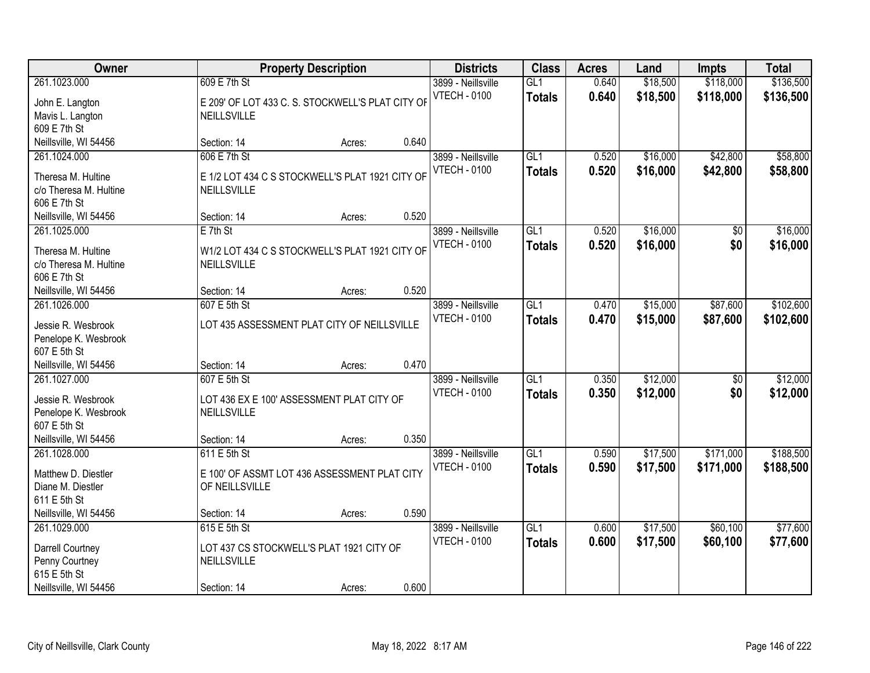| Owner                                                                                               |                                                                                               | <b>Property Description</b> |       |                                           | <b>Class</b>                      | <b>Acres</b>   | Land                 | <b>Impts</b>           | <b>Total</b>           |
|-----------------------------------------------------------------------------------------------------|-----------------------------------------------------------------------------------------------|-----------------------------|-------|-------------------------------------------|-----------------------------------|----------------|----------------------|------------------------|------------------------|
| 261.1023.000<br>John E. Langton<br>Mavis L. Langton<br>609 E 7th St                                 | 609 E 7th St<br>E 209' OF LOT 433 C. S. STOCKWELL'S PLAT CITY OF<br>NEILLSVILLE               |                             |       | 3899 - Neillsville<br><b>VTECH - 0100</b> | GL1<br><b>Totals</b>              | 0.640<br>0.640 | \$18,500<br>\$18,500 | \$118,000<br>\$118,000 | \$136,500<br>\$136,500 |
| Neillsville, WI 54456                                                                               | Section: 14                                                                                   | Acres:                      | 0.640 |                                           |                                   |                |                      |                        |                        |
| 261.1024.000<br>Theresa M. Hultine<br>c/o Theresa M. Hultine<br>606 E 7th St                        | 606 E 7th St<br>E 1/2 LOT 434 C S STOCKWELL'S PLAT 1921 CITY OF<br>NEILLSVILLE                |                             |       | 3899 - Neillsville<br><b>VTECH - 0100</b> | GL1<br><b>Totals</b>              | 0.520<br>0.520 | \$16,000<br>\$16,000 | \$42,800<br>\$42,800   | \$58,800<br>\$58,800   |
| Neillsville, WI 54456                                                                               | Section: 14                                                                                   | Acres:                      | 0.520 |                                           |                                   |                |                      |                        |                        |
| 261.1025.000<br>Theresa M. Hultine<br>c/o Theresa M. Hultine<br>606 E 7th St                        | $E$ 7th St<br>W1/2 LOT 434 C S STOCKWELL'S PLAT 1921 CITY OF<br>NEILLSVILLE                   |                             |       | 3899 - Neillsville<br><b>VTECH - 0100</b> | GL1<br><b>Totals</b>              | 0.520<br>0.520 | \$16,000<br>\$16,000 | \$0<br>\$0             | \$16,000<br>\$16,000   |
| Neillsville, WI 54456                                                                               | Section: 14                                                                                   | Acres:                      | 0.520 |                                           |                                   |                |                      |                        |                        |
| 261.1026.000<br>Jessie R. Wesbrook<br>Penelope K. Wesbrook<br>607 E 5th St                          | 607 E 5th St<br>LOT 435 ASSESSMENT PLAT CITY OF NEILLSVILLE                                   |                             |       | 3899 - Neillsville<br><b>VTECH - 0100</b> | GL1<br><b>Totals</b>              | 0.470<br>0.470 | \$15,000<br>\$15,000 | \$87,600<br>\$87,600   | \$102,600<br>\$102,600 |
| Neillsville, WI 54456                                                                               | Section: 14                                                                                   | Acres:                      | 0.470 |                                           |                                   |                |                      |                        |                        |
| 261.1027.000<br>Jessie R. Wesbrook<br>Penelope K. Wesbrook<br>607 E 5th St<br>Neillsville, WI 54456 | 607 E 5th St<br>LOT 436 EX E 100' ASSESSMENT PLAT CITY OF<br>NEILLSVILLE<br>Section: 14       | Acres:                      | 0.350 | 3899 - Neillsville<br><b>VTECH - 0100</b> | $\overline{GL1}$<br><b>Totals</b> | 0.350<br>0.350 | \$12,000<br>\$12,000 | $\overline{50}$<br>\$0 | \$12,000<br>\$12,000   |
| 261.1028.000<br>Matthew D. Diestler<br>Diane M. Diestler<br>611 E 5th St<br>Neillsville, WI 54456   | 611 E 5th St<br>E 100' OF ASSMT LOT 436 ASSESSMENT PLAT CITY<br>OF NEILLSVILLE<br>Section: 14 | Acres:                      | 0.590 | 3899 - Neillsville<br><b>VTECH - 0100</b> | GL1<br><b>Totals</b>              | 0.590<br>0.590 | \$17,500<br>\$17,500 | \$171,000<br>\$171,000 | \$188,500<br>\$188,500 |
| 261.1029.000<br>Darrell Courtney<br>Penny Courtney<br>615 E 5th St<br>Neillsville, WI 54456         | 615 E 5th St<br>LOT 437 CS STOCKWELL'S PLAT 1921 CITY OF<br>NEILLSVILLE<br>Section: 14        | Acres:                      | 0.600 | 3899 - Neillsville<br><b>VTECH - 0100</b> | GL1<br><b>Totals</b>              | 0.600<br>0.600 | \$17,500<br>\$17,500 | \$60,100<br>\$60,100   | \$77,600<br>\$77,600   |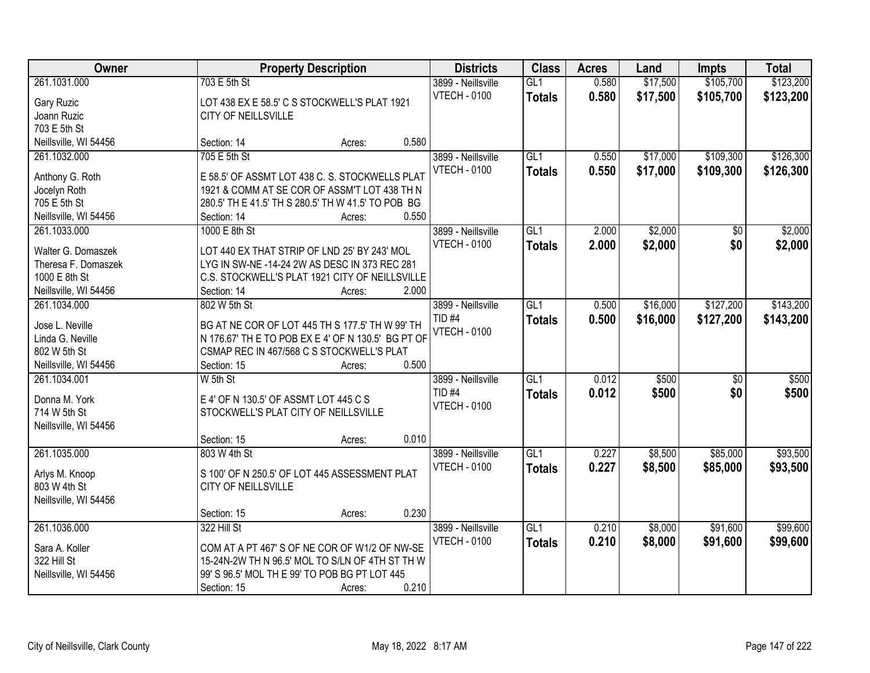| Owner                 | <b>Property Description</b>           | <b>Districts</b>                                                                                 | <b>Class</b>        | <b>Acres</b>    | Land  | <b>Impts</b> | <b>Total</b>    |           |
|-----------------------|---------------------------------------|--------------------------------------------------------------------------------------------------|---------------------|-----------------|-------|--------------|-----------------|-----------|
| 261.1031.000          | 703 E 5th St                          |                                                                                                  | 3899 - Neillsville  | GL1             | 0.580 | \$17,500     | \$105,700       | \$123,200 |
| Gary Ruzic            |                                       | LOT 438 EX E 58.5' C S STOCKWELL'S PLAT 1921                                                     | <b>VTECH - 0100</b> | <b>Totals</b>   | 0.580 | \$17,500     | \$105,700       | \$123,200 |
| Joann Ruzic           | CITY OF NEILLSVILLE                   |                                                                                                  |                     |                 |       |              |                 |           |
| 703 E 5th St          |                                       |                                                                                                  |                     |                 |       |              |                 |           |
| Neillsville, WI 54456 | Section: 14                           | Acres:                                                                                           | 0.580               |                 |       |              |                 |           |
| 261.1032.000          | 705 E 5th St                          |                                                                                                  | 3899 - Neillsville  | GL1             | 0.550 | \$17,000     | \$109,300       | \$126,300 |
|                       |                                       |                                                                                                  | <b>VTECH - 0100</b> | <b>Totals</b>   | 0.550 | \$17,000     | \$109,300       | \$126,300 |
| Anthony G. Roth       |                                       | E 58.5' OF ASSMT LOT 438 C. S. STOCKWELLS PLAT                                                   |                     |                 |       |              |                 |           |
| Jocelyn Roth          |                                       | 1921 & COMM AT SE COR OF ASSM'T LOT 438 TH N                                                     |                     |                 |       |              |                 |           |
| 705 E 5th St          |                                       | 280.5' TH E 41.5' TH S 280.5' TH W 41.5' TO POB BG                                               |                     |                 |       |              |                 |           |
| Neillsville, WI 54456 | Section: 14                           | Acres:                                                                                           | 0.550               |                 |       |              |                 |           |
| 261.1033.000          | 1000 E 8th St                         |                                                                                                  | 3899 - Neillsville  | GL <sub>1</sub> | 2.000 | \$2,000      | \$0             | \$2,000   |
| Walter G. Domaszek    |                                       | LOT 440 EX THAT STRIP OF LND 25' BY 243' MOL                                                     | <b>VTECH - 0100</b> | <b>Totals</b>   | 2.000 | \$2,000      | \$0             | \$2,000   |
| Theresa F. Domaszek   |                                       | LYG IN SW-NE -14-24 2W AS DESC IN 373 REC 281                                                    |                     |                 |       |              |                 |           |
| 1000 E 8th St         |                                       | C.S. STOCKWELL'S PLAT 1921 CITY OF NEILLSVILLE                                                   |                     |                 |       |              |                 |           |
| Neillsville, WI 54456 | Section: 14                           | Acres:                                                                                           | 2.000               |                 |       |              |                 |           |
| 261.1034.000          | 802 W 5th St                          |                                                                                                  | 3899 - Neillsville  | GL1             | 0.500 | \$16,000     | \$127,200       | \$143,200 |
|                       |                                       |                                                                                                  | TID <sub>#4</sub>   |                 | 0.500 | \$16,000     | \$127,200       |           |
| Jose L. Neville       |                                       | BG AT NE COR OF LOT 445 TH S 177.5' TH W 99' TH                                                  | <b>VTECH - 0100</b> | <b>Totals</b>   |       |              |                 | \$143,200 |
| Linda G. Neville      |                                       | N 176.67' TH E TO POB EX E 4' OF N 130.5' BG PT OF                                               |                     |                 |       |              |                 |           |
| 802 W 5th St          |                                       | CSMAP REC IN 467/568 C S STOCKWELL'S PLAT                                                        |                     |                 |       |              |                 |           |
| Neillsville, WI 54456 | Section: 15                           | Acres:                                                                                           | 0.500               |                 |       |              |                 |           |
| 261.1034.001          | W 5th St                              |                                                                                                  | 3899 - Neillsville  | GL1             | 0.012 | \$500        | $\overline{50}$ | \$500     |
| Donna M. York         | E 4' OF N 130.5' OF ASSMT LOT 445 C S |                                                                                                  | <b>TID #4</b>       | <b>Totals</b>   | 0.012 | \$500        | \$0             | \$500     |
| 714 W 5th St          | STOCKWELL'S PLAT CITY OF NEILLSVILLE  |                                                                                                  | <b>VTECH - 0100</b> |                 |       |              |                 |           |
| Neillsville, WI 54456 |                                       |                                                                                                  |                     |                 |       |              |                 |           |
|                       | Section: 15                           | Acres:                                                                                           | 0.010               |                 |       |              |                 |           |
| 261.1035.000          | 803 W 4th St                          |                                                                                                  | 3899 - Neillsville  | GL1             | 0.227 | \$8,500      | \$85,000        | \$93,500  |
|                       |                                       |                                                                                                  | <b>VTECH - 0100</b> |                 | 0.227 |              |                 |           |
| Arlys M. Knoop        |                                       | S 100' OF N 250.5' OF LOT 445 ASSESSMENT PLAT                                                    |                     | <b>Totals</b>   |       | \$8,500      | \$85,000        | \$93,500  |
| 803 W 4th St          | CITY OF NEILLSVILLE                   |                                                                                                  |                     |                 |       |              |                 |           |
| Neillsville, WI 54456 |                                       |                                                                                                  |                     |                 |       |              |                 |           |
|                       | Section: 15                           | Acres:                                                                                           | 0.230               |                 |       |              |                 |           |
| 261.1036.000          | 322 Hill St                           |                                                                                                  | 3899 - Neillsville  | GL1             | 0.210 | \$8,000      | \$91,600        | \$99,600  |
| Sara A. Koller        |                                       | COM AT A PT 467' S OF NE COR OF W1/2 OF NW-SE                                                    | <b>VTECH - 0100</b> | <b>Totals</b>   | 0.210 | \$8,000      | \$91,600        | \$99,600  |
| 322 Hill St           |                                       |                                                                                                  |                     |                 |       |              |                 |           |
|                       |                                       | 15-24N-2W TH N 96.5' MOL TO S/LN OF 4TH ST TH W<br>99' S 96.5' MOL TH E 99' TO POB BG PT LOT 445 |                     |                 |       |              |                 |           |
| Neillsville, WI 54456 |                                       |                                                                                                  |                     |                 |       |              |                 |           |
|                       | Section: 15                           | Acres:                                                                                           | 0.210               |                 |       |              |                 |           |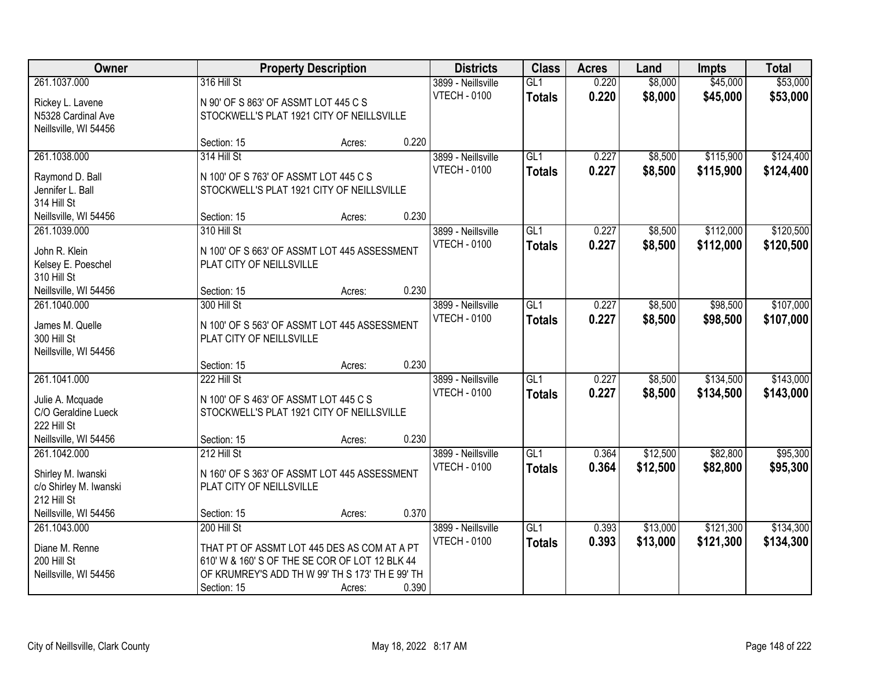| Owner                                       |                                                 | <b>Property Description</b> |       | <b>Districts</b>                          | <b>Class</b>         | <b>Acres</b>   | Land               | <b>Impts</b>         | <b>Total</b>         |
|---------------------------------------------|-------------------------------------------------|-----------------------------|-------|-------------------------------------------|----------------------|----------------|--------------------|----------------------|----------------------|
| 261.1037.000                                | 316 Hill St                                     |                             |       | 3899 - Neillsville<br><b>VTECH - 0100</b> | GL1<br><b>Totals</b> | 0.220<br>0.220 | \$8,000<br>\$8,000 | \$45,000<br>\$45,000 | \$53,000<br>\$53,000 |
| Rickey L. Lavene                            | N 90' OF S 863' OF ASSMT LOT 445 C S            |                             |       |                                           |                      |                |                    |                      |                      |
| N5328 Cardinal Ave<br>Neillsville, WI 54456 | STOCKWELL'S PLAT 1921 CITY OF NEILLSVILLE       |                             |       |                                           |                      |                |                    |                      |                      |
|                                             | Section: 15                                     | Acres:                      | 0.220 |                                           |                      |                |                    |                      |                      |
| 261.1038.000                                | 314 Hill St                                     |                             |       | 3899 - Neillsville                        | GL1                  | 0.227          | \$8,500            | \$115,900            | \$124,400            |
|                                             |                                                 |                             |       | <b>VTECH - 0100</b>                       | <b>Totals</b>        | 0.227          | \$8,500            | \$115,900            | \$124,400            |
| Raymond D. Ball                             | N 100' OF S 763' OF ASSMT LOT 445 C S           |                             |       |                                           |                      |                |                    |                      |                      |
| Jennifer L. Ball<br>314 Hill St             | STOCKWELL'S PLAT 1921 CITY OF NEILLSVILLE       |                             |       |                                           |                      |                |                    |                      |                      |
| Neillsville, WI 54456                       | Section: 15                                     | Acres:                      | 0.230 |                                           |                      |                |                    |                      |                      |
| 261.1039.000                                | 310 Hill St                                     |                             |       | 3899 - Neillsville                        | GLI                  | 0.227          | \$8,500            | \$112,000            | \$120,500            |
|                                             |                                                 |                             |       | <b>VTECH - 0100</b>                       | <b>Totals</b>        | 0.227          | \$8,500            | \$112,000            | \$120,500            |
| John R. Klein                               | N 100' OF S 663' OF ASSMT LOT 445 ASSESSMENT    |                             |       |                                           |                      |                |                    |                      |                      |
| Kelsey E. Poeschel<br>310 Hill St           | PLAT CITY OF NEILLSVILLE                        |                             |       |                                           |                      |                |                    |                      |                      |
| Neillsville, WI 54456                       | Section: 15                                     | Acres:                      | 0.230 |                                           |                      |                |                    |                      |                      |
| 261.1040.000                                | 300 Hill St                                     |                             |       | 3899 - Neillsville                        | GL1                  | 0.227          | \$8,500            | \$98,500             | \$107,000            |
|                                             |                                                 |                             |       | <b>VTECH - 0100</b>                       | <b>Totals</b>        | 0.227          | \$8,500            | \$98,500             | \$107,000            |
| James M. Quelle                             | N 100' OF S 563' OF ASSMT LOT 445 ASSESSMENT    |                             |       |                                           |                      |                |                    |                      |                      |
| 300 Hill St<br>Neillsville, WI 54456        | PLAT CITY OF NEILLSVILLE                        |                             |       |                                           |                      |                |                    |                      |                      |
|                                             | Section: 15                                     | Acres:                      | 0.230 |                                           |                      |                |                    |                      |                      |
| 261.1041.000                                | 222 Hill St                                     |                             |       | 3899 - Neillsville                        | $\overline{GL1}$     | 0.227          | \$8,500            | \$134,500            | \$143,000            |
|                                             |                                                 |                             |       | <b>VTECH - 0100</b>                       | <b>Totals</b>        | 0.227          | \$8,500            | \$134,500            | \$143,000            |
| Julie A. Mcquade                            | N 100' OF S 463' OF ASSMT LOT 445 C S           |                             |       |                                           |                      |                |                    |                      |                      |
| C/O Geraldine Lueck<br>222 Hill St          | STOCKWELL'S PLAT 1921 CITY OF NEILLSVILLE       |                             |       |                                           |                      |                |                    |                      |                      |
| Neillsville, WI 54456                       | Section: 15                                     | Acres:                      | 0.230 |                                           |                      |                |                    |                      |                      |
| 261.1042.000                                | 212 Hill St                                     |                             |       | 3899 - Neillsville                        | GL1                  | 0.364          | \$12,500           | \$82,800             | \$95,300             |
|                                             |                                                 |                             |       | <b>VTECH - 0100</b>                       | <b>Totals</b>        | 0.364          | \$12,500           | \$82,800             | \$95,300             |
| Shirley M. Iwanski                          | N 160' OF S 363' OF ASSMT LOT 445 ASSESSMENT    |                             |       |                                           |                      |                |                    |                      |                      |
| c/o Shirley M. Iwanski                      | PLAT CITY OF NEILLSVILLE                        |                             |       |                                           |                      |                |                    |                      |                      |
| 212 Hill St<br>Neillsville, WI 54456        | Section: 15                                     | Acres:                      | 0.370 |                                           |                      |                |                    |                      |                      |
| 261.1043.000                                | 200 Hill St                                     |                             |       | 3899 - Neillsville                        | $\overline{GL1}$     | 0.393          | \$13,000           | \$121,300            | \$134,300            |
|                                             |                                                 |                             |       | <b>VTECH - 0100</b>                       | <b>Totals</b>        | 0.393          | \$13,000           | \$121,300            | \$134,300            |
| Diane M. Renne                              | THAT PT OF ASSMT LOT 445 DES AS COM AT A PT     |                             |       |                                           |                      |                |                    |                      |                      |
| 200 Hill St                                 | 610' W & 160' S OF THE SE COR OF LOT 12 BLK 44  |                             |       |                                           |                      |                |                    |                      |                      |
| Neillsville, WI 54456                       | OF KRUMREY'S ADD TH W 99' TH S 173' TH E 99' TH |                             |       |                                           |                      |                |                    |                      |                      |
|                                             | Section: 15                                     | Acres:                      | 0.390 |                                           |                      |                |                    |                      |                      |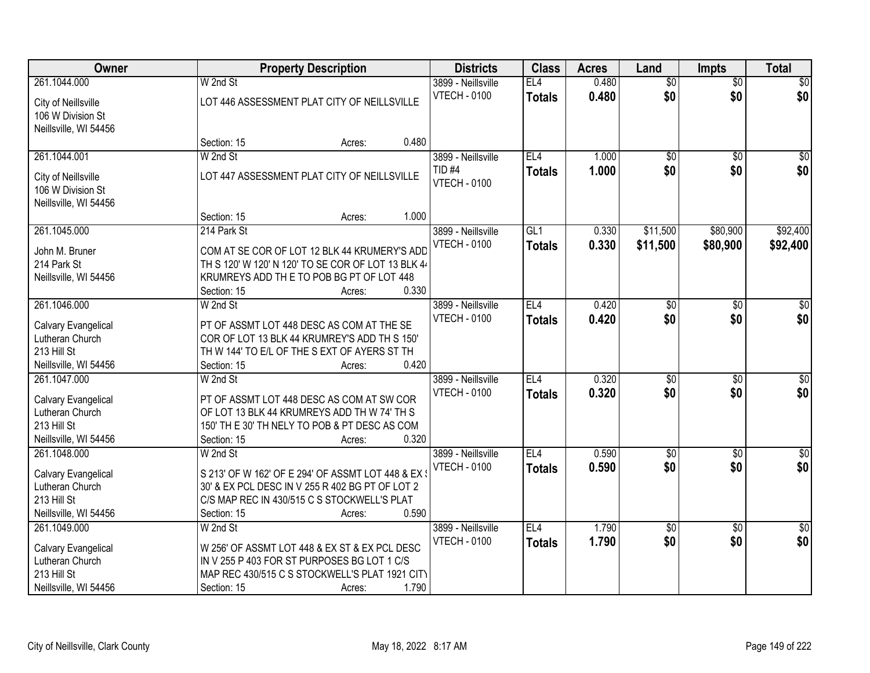| Owner                                    | <b>Property Description</b>                        | <b>Districts</b> | <b>Class</b>        | <b>Acres</b>    | Land  | <b>Impts</b>    | <b>Total</b>    |                  |
|------------------------------------------|----------------------------------------------------|------------------|---------------------|-----------------|-------|-----------------|-----------------|------------------|
| 261.1044.000                             | W 2nd St                                           |                  | 3899 - Neillsville  | EL4             | 0.480 | $\overline{50}$ | $\overline{50}$ | $\sqrt{50}$      |
| City of Neillsville<br>106 W Division St | LOT 446 ASSESSMENT PLAT CITY OF NEILLSVILLE        |                  | <b>VTECH - 0100</b> | <b>Totals</b>   | 0.480 | \$0             | \$0             | \$0              |
| Neillsville, WI 54456                    | Section: 15                                        | 0.480<br>Acres:  |                     |                 |       |                 |                 |                  |
| 261.1044.001                             | W 2nd St                                           |                  | 3899 - Neillsville  | EL4             | 1.000 | $\overline{50}$ | $\overline{50}$ | $\sqrt{50}$      |
|                                          |                                                    |                  | $TID$ #4            | <b>Totals</b>   | 1.000 | \$0             | \$0             | \$0              |
| City of Neillsville<br>106 W Division St | LOT 447 ASSESSMENT PLAT CITY OF NEILLSVILLE        |                  | <b>VTECH - 0100</b> |                 |       |                 |                 |                  |
| Neillsville, WI 54456                    |                                                    | 1.000            |                     |                 |       |                 |                 |                  |
| 261.1045.000                             | Section: 15<br>214 Park St                         | Acres:           | 3899 - Neillsville  | GL1             | 0.330 | \$11,500        | \$80,900        | \$92,400         |
|                                          |                                                    |                  | <b>VTECH - 0100</b> |                 | 0.330 | \$11,500        | \$80,900        |                  |
| John M. Bruner                           | COM AT SE COR OF LOT 12 BLK 44 KRUMERY'S ADD       |                  |                     | <b>Totals</b>   |       |                 |                 | \$92,400         |
| 214 Park St                              | TH S 120' W 120' N 120' TO SE COR OF LOT 13 BLK 44 |                  |                     |                 |       |                 |                 |                  |
| Neillsville, WI 54456                    | KRUMREYS ADD TH E TO POB BG PT OF LOT 448          |                  |                     |                 |       |                 |                 |                  |
|                                          | Section: 15                                        | 0.330<br>Acres:  |                     |                 |       |                 |                 |                  |
| 261.1046.000                             | W 2nd St                                           |                  | 3899 - Neillsville  | EL <sub>4</sub> | 0.420 | \$0             | \$0             | \$0              |
| Calvary Evangelical                      | PT OF ASSMT LOT 448 DESC AS COM AT THE SE          |                  | <b>VTECH - 0100</b> | <b>Totals</b>   | 0.420 | \$0             | \$0             | \$0              |
| Lutheran Church                          | COR OF LOT 13 BLK 44 KRUMREY'S ADD TH S 150'       |                  |                     |                 |       |                 |                 |                  |
| 213 Hill St                              | TH W 144' TO E/L OF THE S EXT OF AYERS ST TH       |                  |                     |                 |       |                 |                 |                  |
| Neillsville, WI 54456                    | Section: 15                                        | 0.420<br>Acres:  |                     |                 |       |                 |                 |                  |
| 261.1047.000                             | W 2nd St                                           |                  | 3899 - Neillsville  | EL4             | 0.320 | $\overline{50}$ | $\overline{30}$ | $\overline{\$0}$ |
| Calvary Evangelical                      | PT OF ASSMT LOT 448 DESC AS COM AT SW COR          |                  | <b>VTECH - 0100</b> | <b>Totals</b>   | 0.320 | \$0             | \$0             | \$0              |
| Lutheran Church                          | OF LOT 13 BLK 44 KRUMREYS ADD TH W 74' TH S        |                  |                     |                 |       |                 |                 |                  |
| 213 Hill St                              | 150' TH E 30' TH NELY TO POB & PT DESC AS COM      |                  |                     |                 |       |                 |                 |                  |
| Neillsville, WI 54456                    | Section: 15                                        | 0.320<br>Acres:  |                     |                 |       |                 |                 |                  |
| 261.1048.000                             | W 2nd St                                           |                  | 3899 - Neillsville  | EL <sub>4</sub> | 0.590 | $\sqrt{6}$      | $\overline{50}$ | \$0              |
| Calvary Evangelical                      | S 213' OF W 162' OF E 294' OF ASSMT LOT 448 & EX 3 |                  | <b>VTECH - 0100</b> | <b>Totals</b>   | 0.590 | \$0             | \$0             | \$0              |
| Lutheran Church                          | 30' & EX PCL DESC IN V 255 R 402 BG PT OF LOT 2    |                  |                     |                 |       |                 |                 |                  |
| 213 Hill St                              | C/S MAP REC IN 430/515 C S STOCKWELL'S PLAT        |                  |                     |                 |       |                 |                 |                  |
| Neillsville, WI 54456                    | Section: 15                                        | 0.590<br>Acres:  |                     |                 |       |                 |                 |                  |
| 261.1049.000                             | W 2nd St                                           |                  | 3899 - Neillsville  | EL <sub>4</sub> | 1.790 | $\overline{50}$ | $\overline{30}$ | $\frac{1}{2}$    |
| Calvary Evangelical                      | W 256' OF ASSMT LOT 448 & EX ST & EX PCL DESC      |                  | <b>VTECH - 0100</b> | <b>Totals</b>   | 1.790 | \$0             | \$0             | \$0              |
| Lutheran Church                          | IN V 255 P 403 FOR ST PURPOSES BG LOT 1 C/S        |                  |                     |                 |       |                 |                 |                  |
| 213 Hill St                              | MAP REC 430/515 C S STOCKWELL'S PLAT 1921 CITY     |                  |                     |                 |       |                 |                 |                  |
| Neillsville, WI 54456                    | Section: 15                                        | 1.790<br>Acres:  |                     |                 |       |                 |                 |                  |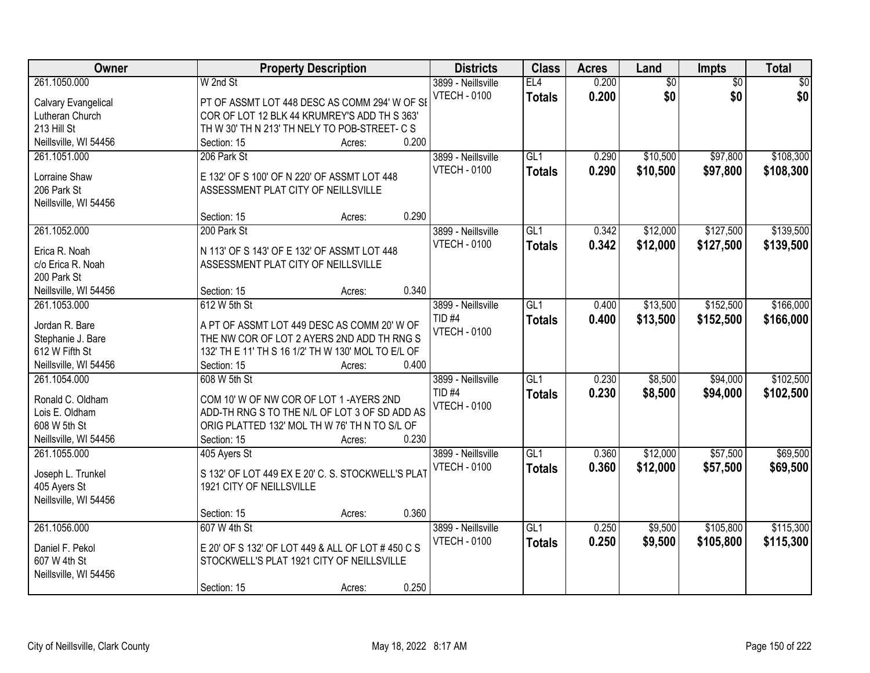| Owner                 | <b>Property Description</b>                        | <b>Districts</b>    | <b>Class</b>     | <b>Acres</b> | Land            | Impts           | <b>Total</b> |
|-----------------------|----------------------------------------------------|---------------------|------------------|--------------|-----------------|-----------------|--------------|
| 261.1050.000          | W 2nd St                                           | 3899 - Neillsville  | EL4              | 0.200        | $\overline{60}$ | $\overline{60}$ | \$0          |
| Calvary Evangelical   | PT OF ASSMT LOT 448 DESC AS COMM 294' W OF SI      | <b>VTECH - 0100</b> | <b>Totals</b>    | 0.200        | \$0             | \$0             | \$0          |
| Lutheran Church       | COR OF LOT 12 BLK 44 KRUMREY'S ADD TH S 363'       |                     |                  |              |                 |                 |              |
| 213 Hill St           | TH W 30' TH N 213' TH NELY TO POB-STREET- C S      |                     |                  |              |                 |                 |              |
| Neillsville, WI 54456 | 0.200<br>Section: 15<br>Acres:                     |                     |                  |              |                 |                 |              |
| 261.1051.000          | 206 Park St                                        | 3899 - Neillsville  | $\overline{GL1}$ | 0.290        | \$10,500        | \$97,800        | \$108,300    |
|                       |                                                    | <b>VTECH - 0100</b> | <b>Totals</b>    | 0.290        | \$10,500        | \$97,800        | \$108,300    |
| Lorraine Shaw         | E 132' OF S 100' OF N 220' OF ASSMT LOT 448        |                     |                  |              |                 |                 |              |
| 206 Park St           | ASSESSMENT PLAT CITY OF NEILLSVILLE                |                     |                  |              |                 |                 |              |
| Neillsville, WI 54456 |                                                    |                     |                  |              |                 |                 |              |
|                       | 0.290<br>Section: 15<br>Acres:                     |                     |                  |              |                 |                 |              |
| 261.1052.000          | 200 Park St                                        | 3899 - Neillsville  | GL1              | 0.342        | \$12,000        | \$127,500       | \$139,500    |
| Erica R. Noah         | N 113' OF S 143' OF E 132' OF ASSMT LOT 448        | <b>VTECH - 0100</b> | <b>Totals</b>    | 0.342        | \$12,000        | \$127,500       | \$139,500    |
| c/o Erica R. Noah     | ASSESSMENT PLAT CITY OF NEILLSVILLE                |                     |                  |              |                 |                 |              |
| 200 Park St           |                                                    |                     |                  |              |                 |                 |              |
| Neillsville, WI 54456 | 0.340<br>Section: 15<br>Acres:                     |                     |                  |              |                 |                 |              |
| 261.1053.000          | 612 W 5th St                                       | 3899 - Neillsville  | GL1              | 0.400        | \$13,500        | \$152,500       | \$166,000    |
|                       |                                                    | TID <sub>#4</sub>   | <b>Totals</b>    | 0.400        | \$13,500        | \$152,500       | \$166,000    |
| Jordan R. Bare        | A PT OF ASSMT LOT 449 DESC AS COMM 20' W OF        | <b>VTECH - 0100</b> |                  |              |                 |                 |              |
| Stephanie J. Bare     | THE NW COR OF LOT 2 AYERS 2ND ADD TH RNG S         |                     |                  |              |                 |                 |              |
| 612 W Fifth St        | 132' TH E 11' TH S 16 1/2' TH W 130' MOL TO E/L OF |                     |                  |              |                 |                 |              |
| Neillsville, WI 54456 | 0.400<br>Section: 15<br>Acres:                     |                     |                  |              |                 |                 |              |
| 261.1054.000          | 608 W 5th St                                       | 3899 - Neillsville  | $\overline{GL1}$ | 0.230        | \$8,500         | \$94,000        | \$102,500    |
| Ronald C. Oldham      | COM 10' W OF NW COR OF LOT 1 -AYERS 2ND            | <b>TID #4</b>       | <b>Totals</b>    | 0.230        | \$8,500         | \$94,000        | \$102,500    |
| Lois E. Oldham        | ADD-TH RNG S TO THE N/L OF LOT 3 OF SD ADD AS      | <b>VTECH - 0100</b> |                  |              |                 |                 |              |
| 608 W 5th St          | ORIG PLATTED 132' MOL TH W 76' TH N TO S/L OF      |                     |                  |              |                 |                 |              |
| Neillsville, WI 54456 | 0.230<br>Section: 15<br>Acres:                     |                     |                  |              |                 |                 |              |
| 261.1055.000          | 405 Ayers St                                       | 3899 - Neillsville  | GL1              | 0.360        | \$12,000        | \$57,500        | \$69,500     |
|                       |                                                    | <b>VTECH - 0100</b> | <b>Totals</b>    | 0.360        | \$12,000        | \$57,500        | \$69,500     |
| Joseph L. Trunkel     | S 132' OF LOT 449 EX E 20' C. S. STOCKWELL'S PLAT  |                     |                  |              |                 |                 |              |
| 405 Ayers St          | 1921 CITY OF NEILLSVILLE                           |                     |                  |              |                 |                 |              |
| Neillsville, WI 54456 |                                                    |                     |                  |              |                 |                 |              |
|                       | 0.360<br>Section: 15<br>Acres:                     |                     |                  |              |                 |                 |              |
| 261.1056.000          | 607 W 4th St                                       | 3899 - Neillsville  | $\overline{GL1}$ | 0.250        | \$9,500         | \$105,800       | \$115,300    |
| Daniel F. Pekol       | E 20' OF S 132' OF LOT 449 & ALL OF LOT # 450 C S  | <b>VTECH - 0100</b> | <b>Totals</b>    | 0.250        | \$9,500         | \$105,800       | \$115,300    |
| 607 W 4th St          | STOCKWELL'S PLAT 1921 CITY OF NEILLSVILLE          |                     |                  |              |                 |                 |              |
| Neillsville, WI 54456 |                                                    |                     |                  |              |                 |                 |              |
|                       | 0.250<br>Section: 15<br>Acres:                     |                     |                  |              |                 |                 |              |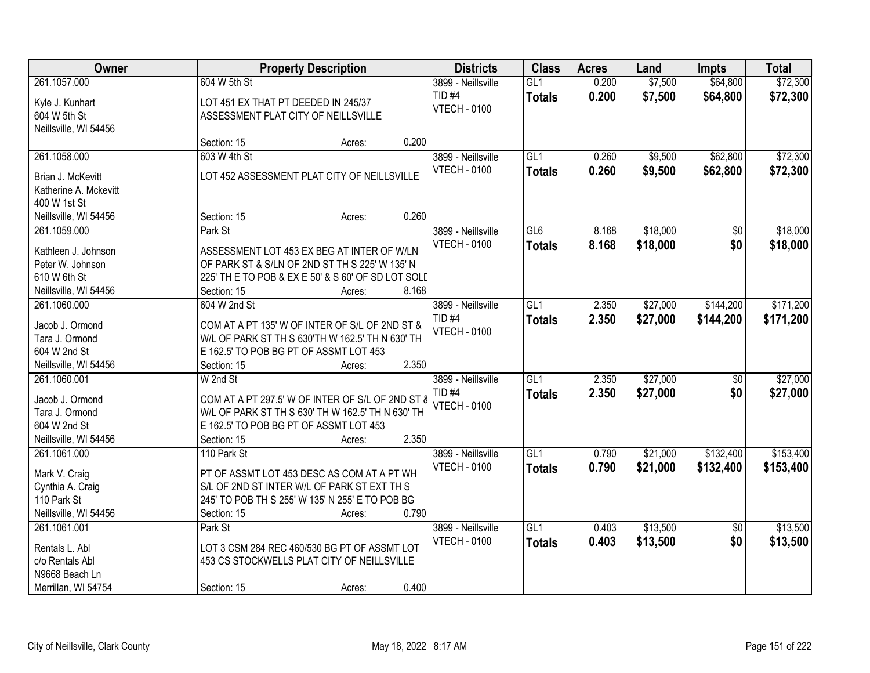| Owner                                                                            |                                                                                                                                                                   | <b>Property Description</b> |       |                                                                | <b>Class</b>         | <b>Acres</b>   | Land               | <b>Impts</b>         | <b>Total</b>         |
|----------------------------------------------------------------------------------|-------------------------------------------------------------------------------------------------------------------------------------------------------------------|-----------------------------|-------|----------------------------------------------------------------|----------------------|----------------|--------------------|----------------------|----------------------|
| 261.1057.000<br>Kyle J. Kunhart<br>604 W 5th St                                  | 604 W 5th St<br>LOT 451 EX THAT PT DEEDED IN 245/37<br>ASSESSMENT PLAT CITY OF NEILLSVILLE                                                                        |                             |       | 3899 - Neillsville<br>TID <sub>#4</sub><br><b>VTECH - 0100</b> | GL1<br><b>Totals</b> | 0.200<br>0.200 | \$7,500<br>\$7,500 | \$64,800<br>\$64,800 | \$72,300<br>\$72,300 |
| Neillsville, WI 54456                                                            | Section: 15                                                                                                                                                       | Acres:                      | 0.200 |                                                                |                      |                |                    |                      |                      |
| 261.1058.000                                                                     | 603 W 4th St                                                                                                                                                      |                             |       | 3899 - Neillsville                                             | GL1                  | 0.260          | \$9,500            | \$62,800             | \$72,300             |
| Brian J. McKevitt<br>Katherine A. Mckevitt<br>400 W 1st St                       | LOT 452 ASSESSMENT PLAT CITY OF NEILLSVILLE                                                                                                                       |                             |       | <b>VTECH - 0100</b>                                            | <b>Totals</b>        | 0.260          | \$9,500            | \$62,800             | \$72,300             |
| Neillsville, WI 54456                                                            | Section: 15                                                                                                                                                       | Acres:                      | 0.260 |                                                                |                      |                |                    |                      |                      |
| 261.1059.000                                                                     | Park St                                                                                                                                                           |                             |       | 3899 - Neillsville                                             | GL6                  | 8.168          | \$18,000           | \$0                  | \$18,000             |
| Kathleen J. Johnson<br>Peter W. Johnson<br>610 W 6th St<br>Neillsville, WI 54456 | ASSESSMENT LOT 453 EX BEG AT INTER OF W/LN<br>OF PARK ST & S/LN OF 2ND ST TH S 225' W 135' N<br>225' TH E TO POB & EX E 50' & S 60' OF SD LOT SOLI<br>Section: 15 | Acres:                      | 8.168 | <b>VTECH - 0100</b>                                            | <b>Totals</b>        | 8.168          | \$18,000           | \$0                  | \$18,000             |
| 261.1060.000                                                                     | 604 W 2nd St                                                                                                                                                      |                             |       | 3899 - Neillsville                                             | GL1                  | 2.350          | \$27,000           | \$144,200            | \$171,200            |
| Jacob J. Ormond<br>Tara J. Ormond<br>604 W 2nd St<br>Neillsville, WI 54456       | COM AT A PT 135' W OF INTER OF S/L OF 2ND ST &<br>W/L OF PARK ST TH S 630'TH W 162.5' TH N 630' TH<br>E 162.5' TO POB BG PT OF ASSMT LOT 453<br>Section: 15       | Acres:                      | 2.350 | TID <sub>#4</sub><br><b>VTECH - 0100</b>                       | <b>Totals</b>        | 2.350          | \$27,000           | \$144,200            | \$171,200            |
| 261.1060.001                                                                     | W 2nd St                                                                                                                                                          |                             |       | 3899 - Neillsville                                             | $\overline{GL1}$     | 2.350          | \$27,000           | \$0                  | \$27,000             |
| Jacob J. Ormond<br>Tara J. Ormond<br>604 W 2nd St<br>Neillsville, WI 54456       | COM AT A PT 297.5' W OF INTER OF S/L OF 2ND ST &<br>W/L OF PARK ST TH S 630' TH W 162.5' TH N 630' TH<br>E 162.5' TO POB BG PT OF ASSMT LOT 453<br>Section: 15    | Acres:                      | 2.350 | TID <sub>#4</sub><br><b>VTECH - 0100</b>                       | <b>Totals</b>        | 2.350          | \$27,000           | \$0                  | \$27,000             |
| 261.1061.000                                                                     | 110 Park St                                                                                                                                                       |                             |       | 3899 - Neillsville                                             | GL1                  | 0.790          | \$21,000           | \$132,400            | \$153,400            |
| Mark V. Craig<br>Cynthia A. Craig<br>110 Park St<br>Neillsville, WI 54456        | PT OF ASSMT LOT 453 DESC AS COM AT A PT WH<br>S/L OF 2ND ST INTER W/L OF PARK ST EXT TH S<br>245' TO POB TH S 255' W 135' N 255' E TO POB BG<br>Section: 15       | Acres:                      | 0.790 | <b>VTECH - 0100</b>                                            | <b>Totals</b>        | 0.790          | \$21,000           | \$132,400            | \$153,400            |
| 261.1061.001                                                                     | Park St                                                                                                                                                           |                             |       | 3899 - Neillsville                                             | GL1                  | 0.403          | \$13,500           | $\overline{30}$      | \$13,500             |
| Rentals L. Abl<br>c/o Rentals Abl<br>N9668 Beach Ln                              | LOT 3 CSM 284 REC 460/530 BG PT OF ASSMT LOT<br>453 CS STOCKWELLS PLAT CITY OF NEILLSVILLE                                                                        |                             | 0.400 | <b>VTECH - 0100</b>                                            | <b>Totals</b>        | 0.403          | \$13,500           | \$0                  | \$13,500             |
| Merrillan, WI 54754                                                              | Section: 15                                                                                                                                                       | Acres:                      |       |                                                                |                      |                |                    |                      |                      |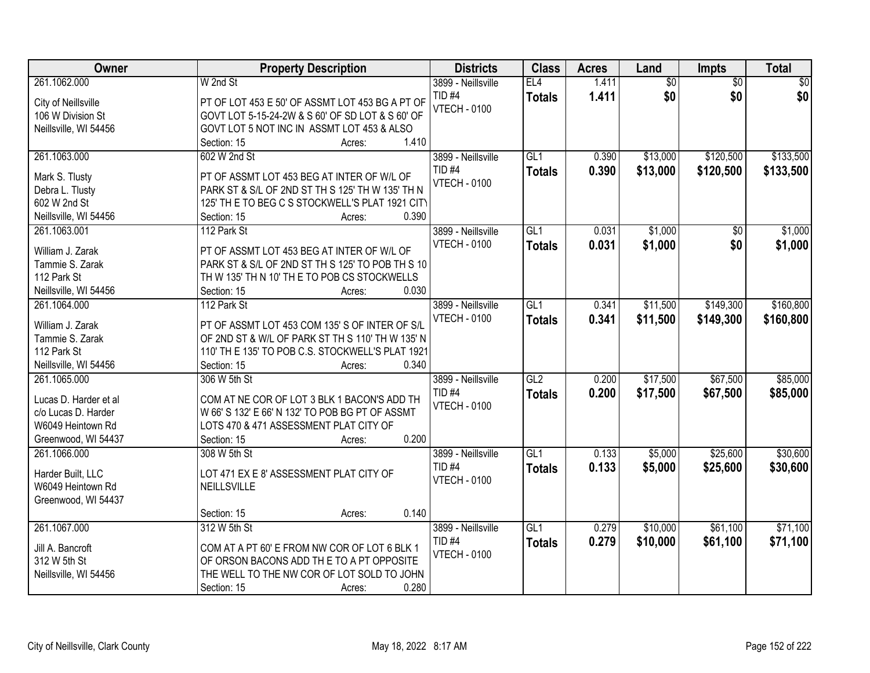| Owner                 | <b>Property Description</b>                      | <b>Districts</b>    | <b>Class</b>  | <b>Acres</b> | Land            | <b>Impts</b>    | <b>Total</b> |
|-----------------------|--------------------------------------------------|---------------------|---------------|--------------|-----------------|-----------------|--------------|
| 261.1062.000          | W 2nd St                                         | 3899 - Neillsville  | EL4           | 1.411        | $\overline{50}$ | $\overline{50}$ | $\sqrt{50}$  |
| City of Neillsville   | PT OF LOT 453 E 50' OF ASSMT LOT 453 BG A PT OF  | TID <sub>#4</sub>   | <b>Totals</b> | 1.411        | \$0             | \$0             | \$0          |
| 106 W Division St     | GOVT LOT 5-15-24-2W & S 60' OF SD LOT & S 60' OF | <b>VTECH - 0100</b> |               |              |                 |                 |              |
| Neillsville, WI 54456 | GOVT LOT 5 NOT INC IN ASSMT LOT 453 & ALSO       |                     |               |              |                 |                 |              |
|                       | 1.410<br>Section: 15<br>Acres:                   |                     |               |              |                 |                 |              |
| 261.1063.000          | 602 W 2nd St                                     | 3899 - Neillsville  | GL1           | 0.390        | \$13,000        | \$120,500       | \$133,500    |
|                       |                                                  | $TID$ #4            | <b>Totals</b> | 0.390        | \$13,000        | \$120,500       | \$133,500    |
| Mark S. Tlusty        | PT OF ASSMT LOT 453 BEG AT INTER OF W/L OF       | <b>VTECH - 0100</b> |               |              |                 |                 |              |
| Debra L. Tlusty       | PARK ST & S/L OF 2ND ST TH S 125' TH W 135' TH N |                     |               |              |                 |                 |              |
| 602 W 2nd St          | 125' TH E TO BEG C S STOCKWELL'S PLAT 1921 CITY  |                     |               |              |                 |                 |              |
| Neillsville, WI 54456 | 0.390<br>Section: 15<br>Acres:                   |                     |               |              |                 |                 |              |
| 261.1063.001          | 112 Park St                                      | 3899 - Neillsville  | GL1           | 0.031        | \$1,000         | \$0             | \$1,000      |
| William J. Zarak      | PT OF ASSMT LOT 453 BEG AT INTER OF W/L OF       | <b>VTECH - 0100</b> | <b>Totals</b> | 0.031        | \$1,000         | \$0             | \$1,000      |
| Tammie S. Zarak       | PARK ST & S/L OF 2ND ST TH S 125' TO POB TH S 10 |                     |               |              |                 |                 |              |
| 112 Park St           | TH W 135' TH N 10' TH E TO POB CS STOCKWELLS     |                     |               |              |                 |                 |              |
| Neillsville, WI 54456 | 0.030<br>Section: 15<br>Acres:                   |                     |               |              |                 |                 |              |
| 261.1064.000          | 112 Park St                                      | 3899 - Neillsville  | GL1           | 0.341        | \$11,500        | \$149,300       | \$160,800    |
|                       |                                                  | <b>VTECH - 0100</b> | <b>Totals</b> | 0.341        | \$11,500        | \$149,300       | \$160,800    |
| William J. Zarak      | PT OF ASSMT LOT 453 COM 135' S OF INTER OF S/L   |                     |               |              |                 |                 |              |
| Tammie S. Zarak       | OF 2ND ST & W/L OF PARK ST TH S 110' TH W 135' N |                     |               |              |                 |                 |              |
| 112 Park St           | 110' TH E 135' TO POB C.S. STOCKWELL'S PLAT 1921 |                     |               |              |                 |                 |              |
| Neillsville, WI 54456 | 0.340<br>Section: 15<br>Acres:                   |                     |               |              |                 |                 |              |
| 261.1065.000          | 306 W 5th St                                     | 3899 - Neillsville  | GL2           | 0.200        | \$17,500        | \$67,500        | \$85,000     |
| Lucas D. Harder et al | COM AT NE COR OF LOT 3 BLK 1 BACON'S ADD TH      | TID <sub>#4</sub>   | <b>Totals</b> | 0.200        | \$17,500        | \$67,500        | \$85,000     |
| c/o Lucas D. Harder   | W 66' S 132' E 66' N 132' TO POB BG PT OF ASSMT  | <b>VTECH - 0100</b> |               |              |                 |                 |              |
| W6049 Heintown Rd     | LOTS 470 & 471 ASSESSMENT PLAT CITY OF           |                     |               |              |                 |                 |              |
| Greenwood, WI 54437   | 0.200<br>Section: 15<br>Acres:                   |                     |               |              |                 |                 |              |
| 261.1066.000          | 308 W 5th St                                     | 3899 - Neillsville  | GL1           | 0.133        | \$5,000         | \$25,600        | \$30,600     |
|                       |                                                  | TID <sub>#4</sub>   | <b>Totals</b> | 0.133        | \$5,000         | \$25,600        | \$30,600     |
| Harder Built, LLC     | LOT 471 EX E 8' ASSESSMENT PLAT CITY OF          | <b>VTECH - 0100</b> |               |              |                 |                 |              |
| W6049 Heintown Rd     | NEILLSVILLE                                      |                     |               |              |                 |                 |              |
| Greenwood, WI 54437   |                                                  |                     |               |              |                 |                 |              |
|                       | 0.140<br>Section: 15<br>Acres:                   |                     |               |              |                 |                 |              |
| 261.1067.000          | 312 W 5th St                                     | 3899 - Neillsville  | GL1           | 0.279        | \$10,000        | \$61,100        | \$71,100     |
| Jill A. Bancroft      | COM AT A PT 60' E FROM NW COR OF LOT 6 BLK 1     | TID <sub>#4</sub>   | <b>Totals</b> | 0.279        | \$10,000        | \$61,100        | \$71,100     |
| 312 W 5th St          | OF ORSON BACONS ADD THE TO A PT OPPOSITE         | <b>VTECH - 0100</b> |               |              |                 |                 |              |
| Neillsville, WI 54456 | THE WELL TO THE NW COR OF LOT SOLD TO JOHN       |                     |               |              |                 |                 |              |
|                       | 0.280<br>Section: 15<br>Acres:                   |                     |               |              |                 |                 |              |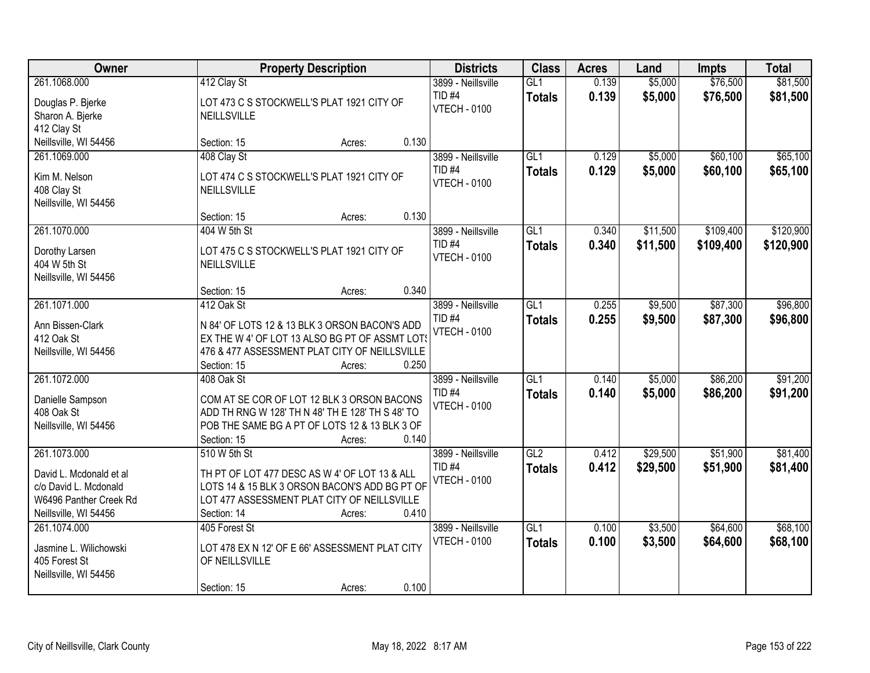| Owner                                 |                                                          | <b>Property Description</b> |       |                                          | <b>Class</b>         | <b>Acres</b>   | Land               | <b>Impts</b>         | <b>Total</b>         |
|---------------------------------------|----------------------------------------------------------|-----------------------------|-------|------------------------------------------|----------------------|----------------|--------------------|----------------------|----------------------|
| 261.1068.000                          | 412 Clay St                                              |                             |       | 3899 - Neillsville<br>TID <sub>#4</sub>  | GL1<br><b>Totals</b> | 0.139<br>0.139 | \$5,000<br>\$5,000 | \$76,500<br>\$76,500 | \$81,500<br>\$81,500 |
| Douglas P. Bjerke<br>Sharon A. Bjerke | LOT 473 C S STOCKWELL'S PLAT 1921 CITY OF<br>NEILLSVILLE |                             |       | <b>VTECH - 0100</b>                      |                      |                |                    |                      |                      |
| 412 Clay St                           |                                                          |                             |       |                                          |                      |                |                    |                      |                      |
| Neillsville, WI 54456                 | Section: 15                                              | Acres:                      | 0.130 |                                          |                      |                |                    |                      |                      |
| 261.1069.000                          | 408 Clay St                                              |                             |       | 3899 - Neillsville                       | GL1                  | 0.129          | \$5,000            | \$60,100             | \$65,100             |
| Kim M. Nelson<br>408 Clay St          | LOT 474 C S STOCKWELL'S PLAT 1921 CITY OF<br>NEILLSVILLE |                             |       | <b>TID #4</b><br><b>VTECH - 0100</b>     | <b>Totals</b>        | 0.129          | \$5,000            | \$60,100             | \$65,100             |
| Neillsville, WI 54456                 | Section: 15                                              | Acres:                      | 0.130 |                                          |                      |                |                    |                      |                      |
| 261.1070.000                          | 404 W 5th St                                             |                             |       | 3899 - Neillsville                       | GL <sub>1</sub>      | 0.340          | \$11,500           | \$109,400            | \$120,900            |
| Dorothy Larsen<br>404 W 5th St        | LOT 475 C S STOCKWELL'S PLAT 1921 CITY OF<br>NEILLSVILLE |                             |       | TID <sub>#4</sub><br><b>VTECH - 0100</b> | <b>Totals</b>        | 0.340          | \$11,500           | \$109,400            | \$120,900            |
| Neillsville, WI 54456                 |                                                          |                             |       |                                          |                      |                |                    |                      |                      |
|                                       | Section: 15                                              | Acres:                      | 0.340 |                                          |                      |                |                    |                      |                      |
| 261.1071.000                          | 412 Oak St                                               |                             |       | 3899 - Neillsville                       | GL1                  | 0.255          | \$9,500            | \$87,300             | \$96,800             |
| Ann Bissen-Clark                      | N 84' OF LOTS 12 & 13 BLK 3 ORSON BACON'S ADD            |                             |       | TID <sub>#4</sub><br><b>VTECH - 0100</b> | <b>Totals</b>        | 0.255          | \$9,500            | \$87,300             | \$96,800             |
| 412 Oak St                            | EX THE W 4' OF LOT 13 ALSO BG PT OF ASSMT LOT!           |                             |       |                                          |                      |                |                    |                      |                      |
| Neillsville, WI 54456                 | 476 & 477 ASSESSMENT PLAT CITY OF NEILLSVILLE            |                             |       |                                          |                      |                |                    |                      |                      |
|                                       | Section: 15                                              | Acres:                      | 0.250 |                                          |                      |                |                    |                      |                      |
| 261.1072.000                          | 408 Oak St                                               |                             |       | 3899 - Neillsville                       | GL1                  | 0.140          | \$5,000            | \$86,200             | \$91,200             |
| Danielle Sampson                      | COM AT SE COR OF LOT 12 BLK 3 ORSON BACONS               |                             |       | TID <sub>#4</sub>                        | <b>Totals</b>        | 0.140          | \$5,000            | \$86,200             | \$91,200             |
| 408 Oak St                            | ADD TH RNG W 128' TH N 48' TH E 128' TH S 48' TO         |                             |       | <b>VTECH - 0100</b>                      |                      |                |                    |                      |                      |
| Neillsville, WI 54456                 | POB THE SAME BG A PT OF LOTS 12 & 13 BLK 3 OF            |                             |       |                                          |                      |                |                    |                      |                      |
|                                       | Section: 15                                              | Acres:                      | 0.140 |                                          |                      |                |                    |                      |                      |
| 261.1073.000                          | 510 W 5th St                                             |                             |       | 3899 - Neillsville                       | GL2                  | 0.412          | \$29,500           | \$51,900             | \$81,400             |
| David L. Mcdonald et al               | TH PT OF LOT 477 DESC AS W 4' OF LOT 13 & ALL            |                             |       | TID <sub>#4</sub>                        | <b>Totals</b>        | 0.412          | \$29,500           | \$51,900             | \$81,400             |
| c/o David L. Mcdonald                 | LOTS 14 & 15 BLK 3 ORSON BACON'S ADD BG PT OF            |                             |       | <b>VTECH - 0100</b>                      |                      |                |                    |                      |                      |
| W6496 Panther Creek Rd                | LOT 477 ASSESSMENT PLAT CITY OF NEILLSVILLE              |                             |       |                                          |                      |                |                    |                      |                      |
| Neillsville, WI 54456                 | Section: 14                                              | Acres:                      | 0.410 |                                          |                      |                |                    |                      |                      |
| 261.1074.000                          | 405 Forest St                                            |                             |       | 3899 - Neillsville                       | GL1                  | 0.100          | \$3,500            | \$64,600             | \$68,100             |
| Jasmine L. Wilichowski                | LOT 478 EX N 12' OF E 66' ASSESSMENT PLAT CITY           |                             |       | <b>VTECH - 0100</b>                      | <b>Totals</b>        | 0.100          | \$3,500            | \$64,600             | \$68,100             |
| 405 Forest St                         | OF NEILLSVILLE                                           |                             |       |                                          |                      |                |                    |                      |                      |
| Neillsville, WI 54456                 |                                                          |                             |       |                                          |                      |                |                    |                      |                      |
|                                       | Section: 15                                              | Acres:                      | 0.100 |                                          |                      |                |                    |                      |                      |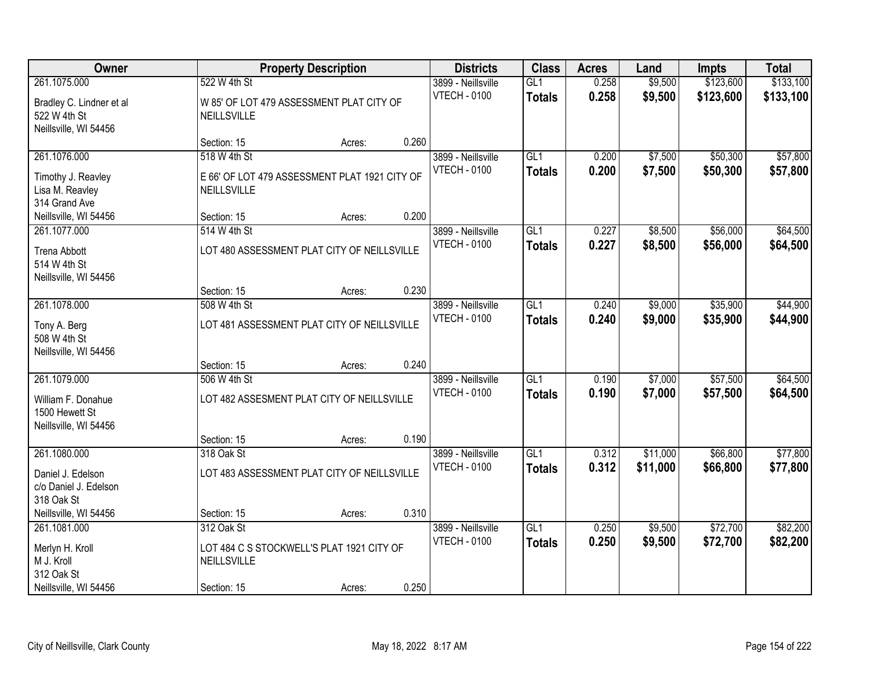| Owner                                                             |                                                              | <b>Property Description</b> |       |                                           | <b>Class</b>                      | <b>Acres</b>   | Land               | <b>Impts</b>         | <b>Total</b>         |
|-------------------------------------------------------------------|--------------------------------------------------------------|-----------------------------|-------|-------------------------------------------|-----------------------------------|----------------|--------------------|----------------------|----------------------|
| 261.1075.000                                                      | 522 W 4th St                                                 |                             |       | 3899 - Neillsville                        | GL1                               | 0.258          | \$9,500            | \$123,600            | \$133,100            |
| Bradley C. Lindner et al<br>522 W 4th St<br>Neillsville, WI 54456 | W 85' OF LOT 479 ASSESSMENT PLAT CITY OF<br>NEILLSVILLE      |                             |       | <b>VTECH - 0100</b>                       | <b>Totals</b>                     | 0.258          | \$9,500            | \$123,600            | \$133,100            |
|                                                                   | Section: 15                                                  | Acres:                      | 0.260 |                                           |                                   |                |                    |                      |                      |
| 261.1076.000                                                      | 518 W 4th St                                                 |                             |       | 3899 - Neillsville<br><b>VTECH - 0100</b> | GL1<br><b>Totals</b>              | 0.200<br>0.200 | \$7,500<br>\$7,500 | \$50,300<br>\$50,300 | \$57,800<br>\$57,800 |
| Timothy J. Reavley<br>Lisa M. Reavley<br>314 Grand Ave            | E 66' OF LOT 479 ASSESSMENT PLAT 1921 CITY OF<br>NEILLSVILLE |                             |       |                                           |                                   |                |                    |                      |                      |
| Neillsville, WI 54456                                             | Section: 15                                                  | Acres:                      | 0.200 |                                           |                                   |                |                    |                      |                      |
| 261.1077.000                                                      | 514 W 4th St                                                 |                             |       | 3899 - Neillsville                        | GL1                               | 0.227          | \$8,500            | \$56,000             | \$64,500             |
| <b>Trena Abbott</b><br>514 W 4th St                               | LOT 480 ASSESSMENT PLAT CITY OF NEILLSVILLE                  |                             |       | <b>VTECH - 0100</b>                       | <b>Totals</b>                     | 0.227          | \$8,500            | \$56,000             | \$64,500             |
| Neillsville, WI 54456                                             | Section: 15                                                  | Acres:                      | 0.230 |                                           |                                   |                |                    |                      |                      |
| 261.1078.000                                                      | 508 W 4th St                                                 |                             |       | 3899 - Neillsville                        | GL1                               | 0.240          | \$9,000            | \$35,900             | \$44,900             |
| Tony A. Berg<br>508 W 4th St<br>Neillsville, WI 54456             | LOT 481 ASSESSMENT PLAT CITY OF NEILLSVILLE                  |                             |       | <b>VTECH - 0100</b>                       | <b>Totals</b>                     | 0.240          | \$9,000            | \$35,900             | \$44,900             |
|                                                                   | Section: 15                                                  | Acres:                      | 0.240 |                                           |                                   |                |                    |                      |                      |
| 261.1079.000                                                      | 506 W 4th St                                                 |                             |       | 3899 - Neillsville<br><b>VTECH - 0100</b> | $\overline{GL1}$<br><b>Totals</b> | 0.190<br>0.190 | \$7,000<br>\$7,000 | \$57,500<br>\$57,500 | \$64,500<br>\$64,500 |
| William F. Donahue<br>1500 Hewett St<br>Neillsville, WI 54456     | LOT 482 ASSESMENT PLAT CITY OF NEILLSVILLE                   |                             |       |                                           |                                   |                |                    |                      |                      |
|                                                                   | Section: 15                                                  | Acres:                      | 0.190 |                                           |                                   |                |                    |                      |                      |
| 261.1080.000                                                      | 318 Oak St                                                   |                             |       | 3899 - Neillsville                        | GL1                               | 0.312          | \$11,000           | \$66,800             | \$77,800             |
| Daniel J. Edelson<br>c/o Daniel J. Edelson<br>318 Oak St          | LOT 483 ASSESSMENT PLAT CITY OF NEILLSVILLE                  |                             |       | <b>VTECH - 0100</b>                       | <b>Totals</b>                     | 0.312          | \$11,000           | \$66,800             | \$77,800             |
| Neillsville, WI 54456                                             | Section: 15                                                  | Acres:                      | 0.310 |                                           |                                   |                |                    |                      |                      |
| 261.1081.000                                                      | 312 Oak St                                                   |                             |       | 3899 - Neillsville                        | GL1                               | 0.250          | \$9,500            | \$72,700             | \$82,200             |
| Merlyn H. Kroll<br>M J. Kroll<br>312 Oak St                       | LOT 484 C S STOCKWELL'S PLAT 1921 CITY OF<br>NEILLSVILLE     |                             |       | <b>VTECH - 0100</b>                       | <b>Totals</b>                     | 0.250          | \$9,500            | \$72,700             | \$82,200             |
| Neillsville, WI 54456                                             | Section: 15                                                  | Acres:                      | 0.250 |                                           |                                   |                |                    |                      |                      |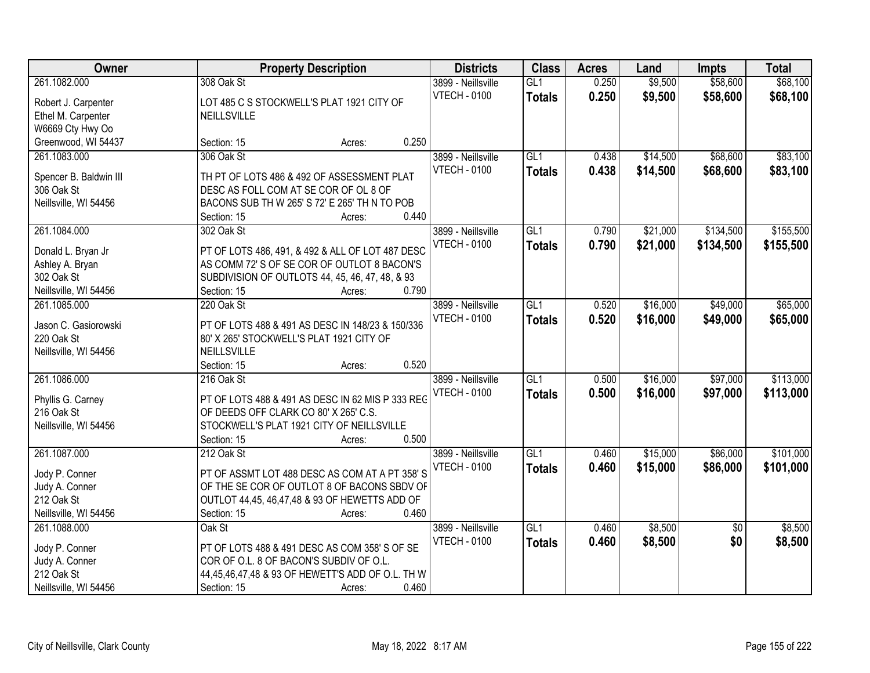| Owner                                                     |                                                                               | <b>Property Description</b> |       |                                           | <b>Class</b>         | <b>Acres</b>   | Land               | <b>Impts</b>         | <b>Total</b>         |
|-----------------------------------------------------------|-------------------------------------------------------------------------------|-----------------------------|-------|-------------------------------------------|----------------------|----------------|--------------------|----------------------|----------------------|
| 261.1082.000<br>Robert J. Carpenter<br>Ethel M. Carpenter | 308 Oak St<br>LOT 485 C S STOCKWELL'S PLAT 1921 CITY OF<br><b>NEILLSVILLE</b> |                             |       | 3899 - Neillsville<br><b>VTECH - 0100</b> | GL1<br><b>Totals</b> | 0.250<br>0.250 | \$9,500<br>\$9,500 | \$58,600<br>\$58,600 | \$68,100<br>\$68,100 |
| W6669 Cty Hwy Oo                                          |                                                                               |                             |       |                                           |                      |                |                    |                      |                      |
| Greenwood, WI 54437                                       | Section: 15                                                                   | Acres:                      | 0.250 |                                           |                      |                |                    |                      |                      |
| 261.1083.000                                              | 306 Oak St                                                                    |                             |       | 3899 - Neillsville                        | GL1                  | 0.438          | \$14,500           | \$68,600             | \$83,100             |
| Spencer B. Baldwin III                                    | TH PT OF LOTS 486 & 492 OF ASSESSMENT PLAT                                    |                             |       | <b>VTECH - 0100</b>                       | <b>Totals</b>        | 0.438          | \$14,500           | \$68,600             | \$83,100             |
| 306 Oak St                                                | DESC AS FOLL COM AT SE COR OF OL 8 OF                                         |                             |       |                                           |                      |                |                    |                      |                      |
| Neillsville, WI 54456                                     | BACONS SUB TH W 265' S 72' E 265' TH N TO POB                                 |                             |       |                                           |                      |                |                    |                      |                      |
|                                                           | Section: 15                                                                   | Acres:                      | 0.440 |                                           |                      |                |                    |                      |                      |
| 261.1084.000                                              | 302 Oak St                                                                    |                             |       | 3899 - Neillsville                        | GL1                  | 0.790          | \$21,000           | \$134,500            | \$155,500            |
| Donald L. Bryan Jr                                        | PT OF LOTS 486, 491, & 492 & ALL OF LOT 487 DESC                              |                             |       | <b>VTECH - 0100</b>                       | <b>Totals</b>        | 0.790          | \$21,000           | \$134,500            | \$155,500            |
| Ashley A. Bryan                                           | AS COMM 72' S OF SE COR OF OUTLOT 8 BACON'S                                   |                             |       |                                           |                      |                |                    |                      |                      |
| 302 Oak St                                                | SUBDIVISION OF OUTLOTS 44, 45, 46, 47, 48, & 93                               |                             |       |                                           |                      |                |                    |                      |                      |
| Neillsville, WI 54456                                     | Section: 15                                                                   | Acres:                      | 0.790 |                                           |                      |                |                    |                      |                      |
| 261.1085.000                                              | 220 Oak St                                                                    |                             |       | 3899 - Neillsville                        | GL1                  | 0.520          | \$16,000           | \$49,000             | \$65,000             |
|                                                           |                                                                               |                             |       | <b>VTECH - 0100</b>                       | <b>Totals</b>        | 0.520          | \$16,000           | \$49,000             | \$65,000             |
| Jason C. Gasiorowski                                      | PT OF LOTS 488 & 491 AS DESC IN 148/23 & 150/336                              |                             |       |                                           |                      |                |                    |                      |                      |
| 220 Oak St                                                | 80' X 265' STOCKWELL'S PLAT 1921 CITY OF                                      |                             |       |                                           |                      |                |                    |                      |                      |
| Neillsville, WI 54456                                     | NEILLSVILLE                                                                   |                             |       |                                           |                      |                |                    |                      |                      |
|                                                           | Section: 15                                                                   | Acres:                      | 0.520 |                                           |                      |                |                    |                      |                      |
| 261.1086.000                                              | 216 Oak St                                                                    |                             |       | 3899 - Neillsville                        | $\overline{GL1}$     | 0.500          | \$16,000           | \$97,000             | \$113,000            |
| Phyllis G. Carney                                         | PT OF LOTS 488 & 491 AS DESC IN 62 MIS P 333 REG                              |                             |       | <b>VTECH - 0100</b>                       | <b>Totals</b>        | 0.500          | \$16,000           | \$97,000             | \$113,000            |
| 216 Oak St                                                | OF DEEDS OFF CLARK CO 80' X 265' C.S.                                         |                             |       |                                           |                      |                |                    |                      |                      |
| Neillsville, WI 54456                                     | STOCKWELL'S PLAT 1921 CITY OF NEILLSVILLE                                     |                             |       |                                           |                      |                |                    |                      |                      |
|                                                           | Section: 15                                                                   | Acres:                      | 0.500 |                                           |                      |                |                    |                      |                      |
| 261.1087.000                                              | 212 Oak St                                                                    |                             |       | 3899 - Neillsville                        | GL1                  | 0.460          | \$15,000           | \$86,000             | \$101,000            |
| Jody P. Conner                                            | PT OF ASSMT LOT 488 DESC AS COM AT A PT 358'S                                 |                             |       | <b>VTECH - 0100</b>                       | <b>Totals</b>        | 0.460          | \$15,000           | \$86,000             | \$101,000            |
| Judy A. Conner                                            | OF THE SE COR OF OUTLOT 8 OF BACONS SBDV OF                                   |                             |       |                                           |                      |                |                    |                      |                      |
| 212 Oak St                                                | OUTLOT 44,45, 46,47,48 & 93 OF HEWETTS ADD OF                                 |                             |       |                                           |                      |                |                    |                      |                      |
| Neillsville, WI 54456                                     | Section: 15                                                                   | Acres:                      | 0.460 |                                           |                      |                |                    |                      |                      |
| 261.1088.000                                              | Oak St                                                                        |                             |       | 3899 - Neillsville                        | GL1                  | 0.460          | \$8,500            | $\overline{50}$      | \$8,500              |
|                                                           |                                                                               |                             |       | <b>VTECH - 0100</b>                       | <b>Totals</b>        | 0.460          | \$8,500            | \$0                  | \$8,500              |
| Jody P. Conner                                            | PT OF LOTS 488 & 491 DESC AS COM 358' S OF SE                                 |                             |       |                                           |                      |                |                    |                      |                      |
| Judy A. Conner                                            | COR OF O.L. 8 OF BACON'S SUBDIV OF O.L.                                       |                             |       |                                           |                      |                |                    |                      |                      |
| 212 Oak St                                                | 44,45,46,47,48 & 93 OF HEWETT'S ADD OF O.L. TH W                              |                             |       |                                           |                      |                |                    |                      |                      |
| Neillsville, WI 54456                                     | Section: 15                                                                   | Acres:                      | 0.460 |                                           |                      |                |                    |                      |                      |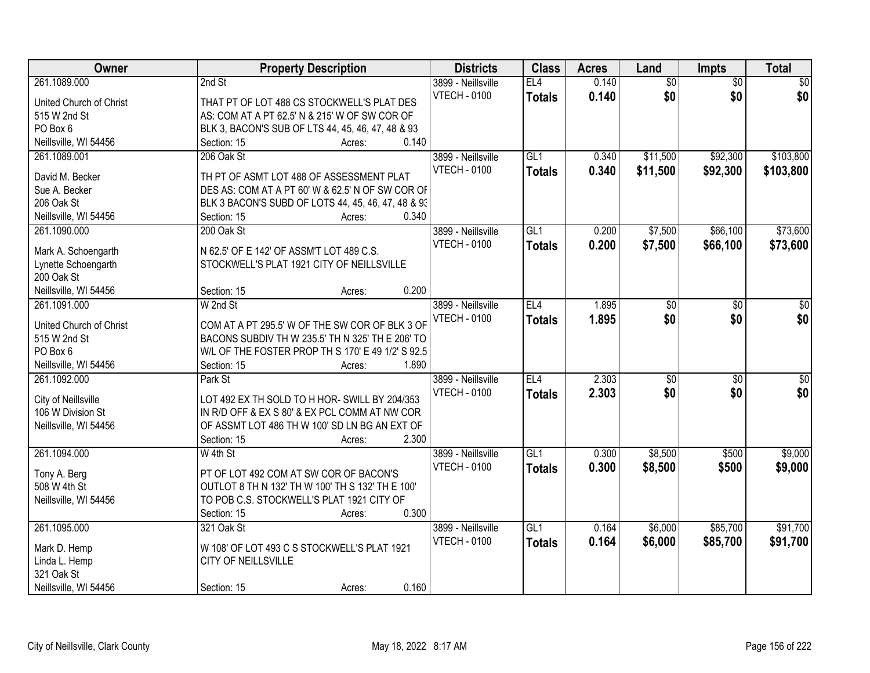| Owner                   | <b>Property Description</b>                        | <b>Districts</b>    | <b>Class</b>    | <b>Acres</b> | Land            | Impts           | <b>Total</b>     |
|-------------------------|----------------------------------------------------|---------------------|-----------------|--------------|-----------------|-----------------|------------------|
| 261.1089.000            | 2nd St                                             | 3899 - Neillsville  | EL4             | 0.140        | $\overline{50}$ | $\overline{50}$ | \$0              |
| United Church of Christ | THAT PT OF LOT 488 CS STOCKWELL'S PLAT DES         | <b>VTECH - 0100</b> | <b>Totals</b>   | 0.140        | \$0             | \$0             | \$0              |
| 515 W 2nd St            | AS: COM AT A PT 62.5' N & 215' W OF SW COR OF      |                     |                 |              |                 |                 |                  |
| PO Box 6                | BLK 3, BACON'S SUB OF LTS 44, 45, 46, 47, 48 & 93  |                     |                 |              |                 |                 |                  |
| Neillsville, WI 54456   | 0.140<br>Section: 15<br>Acres:                     |                     |                 |              |                 |                 |                  |
| 261.1089.001            | 206 Oak St                                         | 3899 - Neillsville  | GL1             | 0.340        | \$11,500        | \$92,300        | \$103,800        |
|                         |                                                    | <b>VTECH - 0100</b> | <b>Totals</b>   | 0.340        | \$11,500        | \$92,300        | \$103,800        |
| David M. Becker         | TH PT OF ASMT LOT 488 OF ASSESSMENT PLAT           |                     |                 |              |                 |                 |                  |
| Sue A. Becker           | DES AS: COM AT A PT 60' W & 62.5' N OF SW COR OF   |                     |                 |              |                 |                 |                  |
| 206 Oak St              | BLK 3 BACON'S SUBD OF LOTS 44, 45, 46, 47, 48 & 93 |                     |                 |              |                 |                 |                  |
| Neillsville, WI 54456   | 0.340<br>Section: 15<br>Acres:                     |                     |                 |              |                 |                 |                  |
| 261.1090.000            | 200 Oak St                                         | 3899 - Neillsville  | GL <sub>1</sub> | 0.200        | \$7,500         | \$66,100        | \$73,600         |
| Mark A. Schoengarth     | N 62.5' OF E 142' OF ASSM'T LOT 489 C.S.           | <b>VTECH - 0100</b> | <b>Totals</b>   | 0.200        | \$7,500         | \$66,100        | \$73,600         |
| Lynette Schoengarth     | STOCKWELL'S PLAT 1921 CITY OF NEILLSVILLE          |                     |                 |              |                 |                 |                  |
| 200 Oak St              |                                                    |                     |                 |              |                 |                 |                  |
| Neillsville, WI 54456   | 0.200<br>Section: 15<br>Acres:                     |                     |                 |              |                 |                 |                  |
| 261.1091.000            | W 2nd St                                           | 3899 - Neillsville  | EL4             | 1.895        | \$0             | \$0             | \$0              |
|                         |                                                    | <b>VTECH - 0100</b> | <b>Totals</b>   | 1.895        | \$0             | \$0             | \$0              |
| United Church of Christ | COM AT A PT 295.5' W OF THE SW COR OF BLK 3 OF     |                     |                 |              |                 |                 |                  |
| 515 W 2nd St            | BACONS SUBDIV TH W 235.5' TH N 325' TH E 206' TO   |                     |                 |              |                 |                 |                  |
| PO Box 6                | W/L OF THE FOSTER PROP TH S 170' E 49 1/2' S 92.5  |                     |                 |              |                 |                 |                  |
| Neillsville, WI 54456   | 1.890<br>Section: 15<br>Acres:                     |                     |                 |              |                 |                 |                  |
| 261.1092.000            | Park St                                            | 3899 - Neillsville  | EL4             | 2.303        | $\overline{50}$ | $\overline{50}$ | $\overline{\$0}$ |
| City of Neillsville     | LOT 492 EX TH SOLD TO H HOR- SWILL BY 204/353      | <b>VTECH - 0100</b> | <b>Totals</b>   | 2.303        | \$0             | \$0             | \$0              |
| 106 W Division St       | IN R/D OFF & EX S 80' & EX PCL COMM AT NW COR      |                     |                 |              |                 |                 |                  |
| Neillsville, WI 54456   | OF ASSMT LOT 486 TH W 100' SD LN BG AN EXT OF      |                     |                 |              |                 |                 |                  |
|                         | 2.300<br>Section: 15<br>Acres:                     |                     |                 |              |                 |                 |                  |
| 261.1094.000            | W 4th St                                           | 3899 - Neillsville  | GL1             | 0.300        | \$8,500         | \$500           | \$9,000          |
|                         |                                                    | <b>VTECH - 0100</b> | <b>Totals</b>   | 0.300        | \$8,500         | \$500           | \$9,000          |
| Tony A. Berg            | PT OF LOT 492 COM AT SW COR OF BACON'S             |                     |                 |              |                 |                 |                  |
| 508 W 4th St            | OUTLOT 8 TH N 132' TH W 100' TH S 132' TH E 100'   |                     |                 |              |                 |                 |                  |
| Neillsville, WI 54456   | TO POB C.S. STOCKWELL'S PLAT 1921 CITY OF          |                     |                 |              |                 |                 |                  |
|                         | 0.300<br>Section: 15<br>Acres:                     |                     |                 |              |                 |                 |                  |
| 261.1095.000            | 321 Oak St                                         | 3899 - Neillsville  | GL1             | 0.164        | \$6,000         | \$85,700        | \$91,700         |
| Mark D. Hemp            | W 108' OF LOT 493 C S STOCKWELL'S PLAT 1921        | <b>VTECH - 0100</b> | <b>Totals</b>   | 0.164        | \$6,000         | \$85,700        | \$91,700         |
| Linda L. Hemp           | CITY OF NEILLSVILLE                                |                     |                 |              |                 |                 |                  |
| 321 Oak St              |                                                    |                     |                 |              |                 |                 |                  |
| Neillsville, WI 54456   | 0.160<br>Section: 15<br>Acres:                     |                     |                 |              |                 |                 |                  |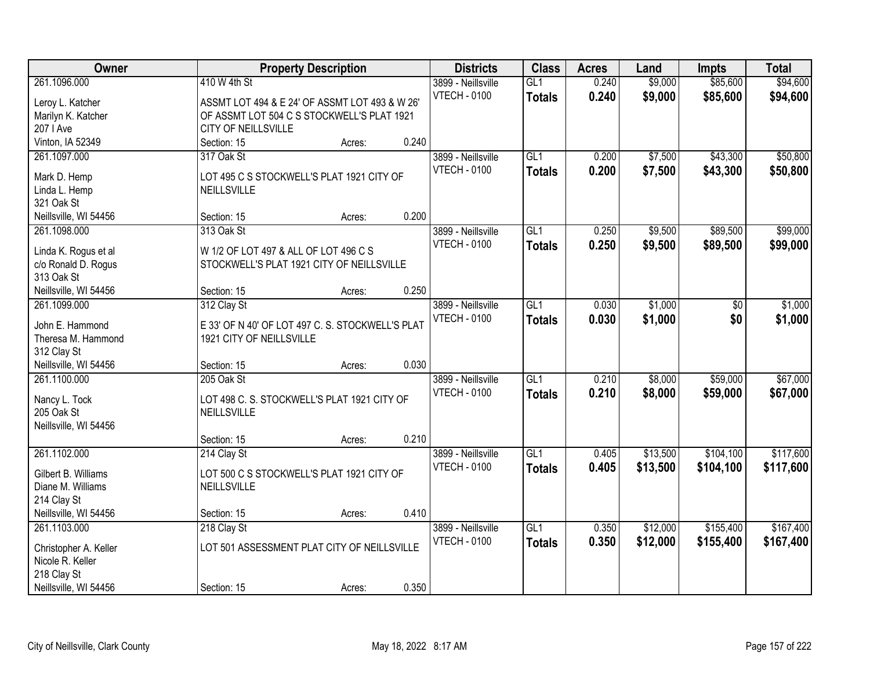| Owner                            |                                                                | <b>Property Description</b> |       | <b>Districts</b>                          | <b>Class</b>         | <b>Acres</b>   | Land               | <b>Impts</b>         | <b>Total</b>         |
|----------------------------------|----------------------------------------------------------------|-----------------------------|-------|-------------------------------------------|----------------------|----------------|--------------------|----------------------|----------------------|
| 261.1096.000<br>Leroy L. Katcher | 410 W 4th St<br>ASSMT LOT 494 & E 24' OF ASSMT LOT 493 & W 26' |                             |       | 3899 - Neillsville<br><b>VTECH - 0100</b> | GL1<br><b>Totals</b> | 0.240<br>0.240 | \$9,000<br>\$9,000 | \$85,600<br>\$85,600 | \$94,600<br>\$94,600 |
| Marilyn K. Katcher               | OF ASSMT LOT 504 C S STOCKWELL'S PLAT 1921                     |                             |       |                                           |                      |                |                    |                      |                      |
| 207   Ave                        | CITY OF NEILLSVILLE                                            |                             |       |                                           |                      |                |                    |                      |                      |
| Vinton, IA 52349                 | Section: 15                                                    | Acres:                      | 0.240 |                                           |                      |                |                    |                      |                      |
| 261.1097.000                     | 317 Oak St                                                     |                             |       | 3899 - Neillsville                        | GL1                  | 0.200          | \$7,500            | \$43,300             | \$50,800             |
|                                  |                                                                |                             |       | <b>VTECH - 0100</b>                       | <b>Totals</b>        | 0.200          | \$7,500            | \$43,300             | \$50,800             |
| Mark D. Hemp                     | LOT 495 C S STOCKWELL'S PLAT 1921 CITY OF                      |                             |       |                                           |                      |                |                    |                      |                      |
| Linda L. Hemp                    | <b>NEILLSVILLE</b>                                             |                             |       |                                           |                      |                |                    |                      |                      |
| 321 Oak St                       |                                                                |                             |       |                                           |                      |                |                    |                      |                      |
| Neillsville, WI 54456            | Section: 15                                                    | Acres:                      | 0.200 |                                           |                      |                |                    |                      |                      |
| 261.1098.000                     | 313 Oak St                                                     |                             |       | 3899 - Neillsville                        | GL1                  | 0.250          | \$9,500            | \$89,500             | \$99,000             |
| Linda K. Rogus et al             | W 1/2 OF LOT 497 & ALL OF LOT 496 C S                          |                             |       | <b>VTECH - 0100</b>                       | <b>Totals</b>        | 0.250          | \$9,500            | \$89,500             | \$99,000             |
| c/o Ronald D. Rogus              | STOCKWELL'S PLAT 1921 CITY OF NEILLSVILLE                      |                             |       |                                           |                      |                |                    |                      |                      |
| 313 Oak St                       |                                                                |                             |       |                                           |                      |                |                    |                      |                      |
| Neillsville, WI 54456            | Section: 15                                                    | Acres:                      | 0.250 |                                           |                      |                |                    |                      |                      |
| 261.1099.000                     | 312 Clay St                                                    |                             |       | 3899 - Neillsville                        | $\overline{GL1}$     | 0.030          | \$1,000            | \$0                  | \$1,000              |
|                                  |                                                                |                             |       | <b>VTECH - 0100</b>                       | <b>Totals</b>        | 0.030          | \$1,000            | \$0                  | \$1,000              |
| John E. Hammond                  | E 33' OF N 40' OF LOT 497 C. S. STOCKWELL'S PLAT               |                             |       |                                           |                      |                |                    |                      |                      |
| Theresa M. Hammond               | 1921 CITY OF NEILLSVILLE                                       |                             |       |                                           |                      |                |                    |                      |                      |
| 312 Clay St                      |                                                                |                             |       |                                           |                      |                |                    |                      |                      |
| Neillsville, WI 54456            | Section: 15                                                    | Acres:                      | 0.030 |                                           |                      |                |                    |                      |                      |
| 261.1100.000                     | 205 Oak St                                                     |                             |       | 3899 - Neillsville                        | $\overline{GL1}$     | 0.210          | \$8,000            | \$59,000             | \$67,000             |
| Nancy L. Tock                    | LOT 498 C. S. STOCKWELL'S PLAT 1921 CITY OF                    |                             |       | <b>VTECH - 0100</b>                       | <b>Totals</b>        | 0.210          | \$8,000            | \$59,000             | \$67,000             |
| 205 Oak St                       | NEILLSVILLE                                                    |                             |       |                                           |                      |                |                    |                      |                      |
| Neillsville, WI 54456            |                                                                |                             |       |                                           |                      |                |                    |                      |                      |
|                                  | Section: 15                                                    | Acres:                      | 0.210 |                                           |                      |                |                    |                      |                      |
| 261.1102.000                     | 214 Clay St                                                    |                             |       | 3899 - Neillsville                        | GL1                  | 0.405          | \$13,500           | \$104,100            | \$117,600            |
|                                  |                                                                |                             |       | <b>VTECH - 0100</b>                       | <b>Totals</b>        | 0.405          | \$13,500           | \$104,100            | \$117,600            |
| Gilbert B. Williams              | LOT 500 C S STOCKWELL'S PLAT 1921 CITY OF                      |                             |       |                                           |                      |                |                    |                      |                      |
| Diane M. Williams                | NEILLSVILLE                                                    |                             |       |                                           |                      |                |                    |                      |                      |
| 214 Clay St                      |                                                                |                             |       |                                           |                      |                |                    |                      |                      |
| Neillsville, WI 54456            | Section: 15                                                    | Acres:                      | 0.410 |                                           |                      |                |                    |                      |                      |
| 261.1103.000                     | 218 Clay St                                                    |                             |       | 3899 - Neillsville                        | GL1                  | 0.350          | \$12,000           | \$155,400            | \$167,400            |
| Christopher A. Keller            | LOT 501 ASSESSMENT PLAT CITY OF NEILLSVILLE                    |                             |       | <b>VTECH - 0100</b>                       | <b>Totals</b>        | 0.350          | \$12,000           | \$155,400            | \$167,400            |
| Nicole R. Keller                 |                                                                |                             |       |                                           |                      |                |                    |                      |                      |
| 218 Clay St                      |                                                                |                             |       |                                           |                      |                |                    |                      |                      |
| Neillsville, WI 54456            | Section: 15                                                    | Acres:                      | 0.350 |                                           |                      |                |                    |                      |                      |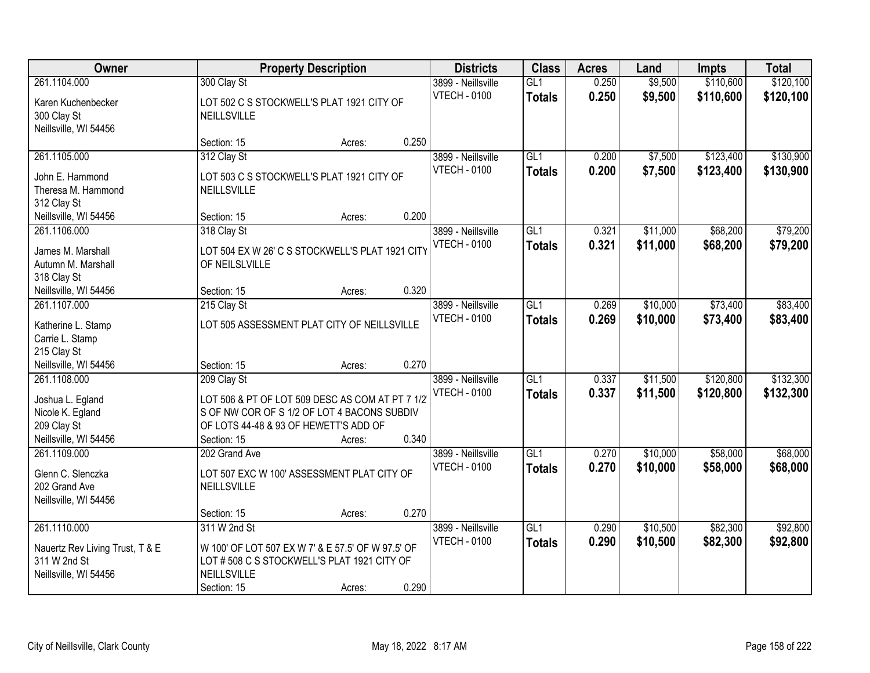| Owner                                                                                        | <b>Property Description</b>                                                                                                                                           |        |       | <b>Districts</b>                          | <b>Class</b>         | <b>Acres</b>   | Land                 | <b>Impts</b>           | <b>Total</b>           |
|----------------------------------------------------------------------------------------------|-----------------------------------------------------------------------------------------------------------------------------------------------------------------------|--------|-------|-------------------------------------------|----------------------|----------------|----------------------|------------------------|------------------------|
| 261.1104.000<br>Karen Kuchenbecker<br>300 Clay St<br>Neillsville, WI 54456                   | 300 Clay St<br>LOT 502 C S STOCKWELL'S PLAT 1921 CITY OF<br>NEILLSVILLE                                                                                               |        |       | 3899 - Neillsville<br><b>VTECH - 0100</b> | GL1<br><b>Totals</b> | 0.250<br>0.250 | \$9,500<br>\$9,500   | \$110,600<br>\$110,600 | \$120,100<br>\$120,100 |
|                                                                                              | Section: 15                                                                                                                                                           | Acres: | 0.250 |                                           |                      |                |                      |                        |                        |
| 261.1105.000<br>John E. Hammond<br>Theresa M. Hammond<br>312 Clay St                         | 312 Clay St<br>LOT 503 C S STOCKWELL'S PLAT 1921 CITY OF<br>NEILLSVILLE                                                                                               |        |       | 3899 - Neillsville<br><b>VTECH - 0100</b> | GL1<br><b>Totals</b> | 0.200<br>0.200 | \$7,500<br>\$7,500   | \$123,400<br>\$123,400 | \$130,900<br>\$130,900 |
| Neillsville, WI 54456                                                                        | Section: 15                                                                                                                                                           | Acres: | 0.200 |                                           |                      |                |                      |                        |                        |
| 261.1106.000<br>James M. Marshall<br>Autumn M. Marshall<br>318 Clay St                       | 318 Clay St<br>LOT 504 EX W 26' C S STOCKWELL'S PLAT 1921 CITY<br>OF NEILSLVILLE                                                                                      |        |       | 3899 - Neillsville<br><b>VTECH - 0100</b> | GL1<br><b>Totals</b> | 0.321<br>0.321 | \$11,000<br>\$11,000 | \$68,200<br>\$68,200   | \$79,200<br>\$79,200   |
| Neillsville, WI 54456                                                                        | Section: 15                                                                                                                                                           | Acres: | 0.320 |                                           |                      |                |                      |                        |                        |
| 261.1107.000<br>Katherine L. Stamp<br>Carrie L. Stamp<br>215 Clay St                         | 215 Clay St<br>LOT 505 ASSESSMENT PLAT CITY OF NEILLSVILLE                                                                                                            |        |       | 3899 - Neillsville<br><b>VTECH - 0100</b> | GL1<br><b>Totals</b> | 0.269<br>0.269 | \$10,000<br>\$10,000 | \$73,400<br>\$73,400   | \$83,400<br>\$83,400   |
| Neillsville, WI 54456                                                                        | Section: 15                                                                                                                                                           | Acres: | 0.270 |                                           |                      |                |                      |                        |                        |
| 261.1108.000<br>Joshua L. Egland<br>Nicole K. Egland<br>209 Clay St<br>Neillsville, WI 54456 | 209 Clay St<br>LOT 506 & PT OF LOT 509 DESC AS COM AT PT 7 1/2<br>S OF NW COR OF S 1/2 OF LOT 4 BACONS SUBDIV<br>OF LOTS 44-48 & 93 OF HEWETT'S ADD OF<br>Section: 15 | Acres: | 0.340 | 3899 - Neillsville<br><b>VTECH - 0100</b> | GL1<br><b>Totals</b> | 0.337<br>0.337 | \$11,500<br>\$11,500 | \$120,800<br>\$120,800 | \$132,300<br>\$132,300 |
| 261.1109.000<br>Glenn C. Slenczka<br>202 Grand Ave<br>Neillsville, WI 54456                  | 202 Grand Ave<br>LOT 507 EXC W 100' ASSESSMENT PLAT CITY OF<br><b>NEILLSVILLE</b><br>Section: 15                                                                      | Acres: | 0.270 | 3899 - Neillsville<br><b>VTECH - 0100</b> | GL1<br><b>Totals</b> | 0.270<br>0.270 | \$10,000<br>\$10,000 | \$58,000<br>\$58,000   | \$68,000<br>\$68,000   |
| 261.1110.000<br>Nauertz Rev Living Trust, T & E<br>311 W 2nd St<br>Neillsville, WI 54456     | 311 W 2nd St<br>W 100' OF LOT 507 EX W 7' & E 57.5' OF W 97.5' OF<br>LOT # 508 C S STOCKWELL'S PLAT 1921 CITY OF<br>NEILLSVILLE<br>Section: 15                        | Acres: | 0.290 | 3899 - Neillsville<br><b>VTECH - 0100</b> | GL1<br><b>Totals</b> | 0.290<br>0.290 | \$10,500<br>\$10,500 | \$82,300<br>\$82,300   | \$92,800<br>\$92,800   |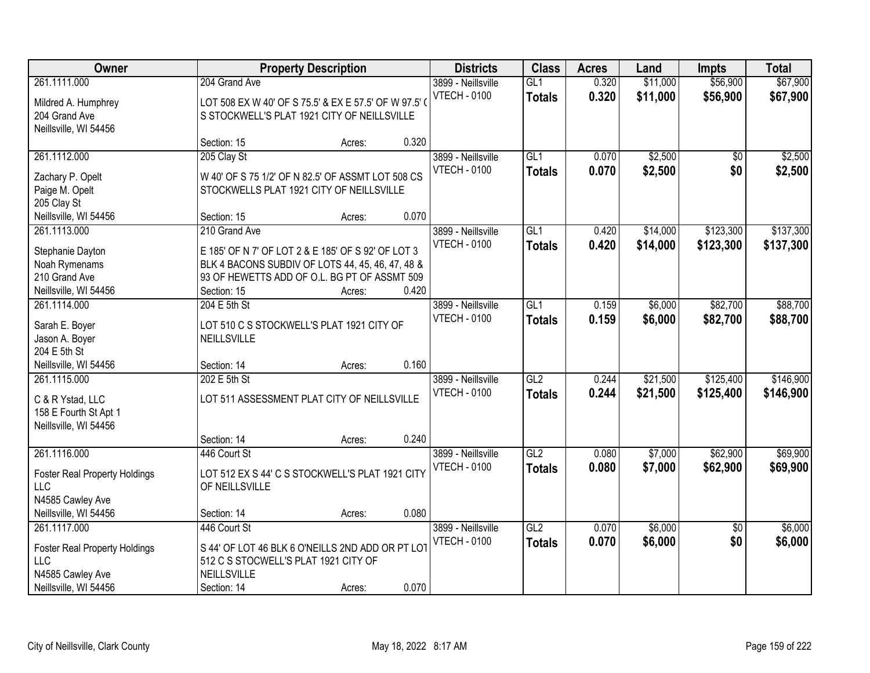| <b>Owner</b>                         |                                      | <b>Property Description</b>                         |       |                     | <b>Class</b>  | <b>Acres</b> | Land     | <b>Impts</b>    | <b>Total</b> |
|--------------------------------------|--------------------------------------|-----------------------------------------------------|-------|---------------------|---------------|--------------|----------|-----------------|--------------|
| 261.1111.000                         | 204 Grand Ave                        |                                                     |       | 3899 - Neillsville  | GL1           | 0.320        | \$11,000 | \$56,900        | \$67,900     |
| Mildred A. Humphrey                  |                                      | LOT 508 EX W 40' OF S 75.5' & EX E 57.5' OF W 97.5' |       | <b>VTECH - 0100</b> | <b>Totals</b> | 0.320        | \$11,000 | \$56,900        | \$67,900     |
| 204 Grand Ave                        |                                      | S STOCKWELL'S PLAT 1921 CITY OF NEILLSVILLE         |       |                     |               |              |          |                 |              |
| Neillsville, WI 54456                |                                      |                                                     |       |                     |               |              |          |                 |              |
|                                      | Section: 15                          | Acres:                                              | 0.320 |                     |               |              |          |                 |              |
| 261.1112.000                         | 205 Clay St                          |                                                     |       | 3899 - Neillsville  | GL1           | 0.070        | \$2,500  | \$0             | \$2,500      |
| Zachary P. Opelt                     |                                      | W 40' OF S 75 1/2' OF N 82.5' OF ASSMT LOT 508 CS   |       | <b>VTECH - 0100</b> | <b>Totals</b> | 0.070        | \$2,500  | \$0             | \$2,500      |
| Paige M. Opelt                       |                                      | STOCKWELLS PLAT 1921 CITY OF NEILLSVILLE            |       |                     |               |              |          |                 |              |
| 205 Clay St                          |                                      |                                                     |       |                     |               |              |          |                 |              |
| Neillsville, WI 54456                | Section: 15                          | Acres:                                              | 0.070 |                     |               |              |          |                 |              |
| 261.1113.000                         | 210 Grand Ave                        |                                                     |       | 3899 - Neillsville  | GL1           | 0.420        | \$14,000 | \$123,300       | \$137,300    |
|                                      |                                      |                                                     |       | <b>VTECH - 0100</b> | <b>Totals</b> | 0.420        | \$14,000 | \$123,300       | \$137,300    |
| Stephanie Dayton                     |                                      | E 185' OF N 7' OF LOT 2 & E 185' OF S 92' OF LOT 3  |       |                     |               |              |          |                 |              |
| Noah Rymenams                        |                                      | BLK 4 BACONS SUBDIV OF LOTS 44, 45, 46, 47, 48 &    |       |                     |               |              |          |                 |              |
| 210 Grand Ave                        |                                      | 93 OF HEWETTS ADD OF O.L. BG PT OF ASSMT 509        |       |                     |               |              |          |                 |              |
| Neillsville, WI 54456                | Section: 15                          | Acres:                                              | 0.420 |                     |               |              |          |                 |              |
| 261.1114.000                         | 204 E 5th St                         |                                                     |       | 3899 - Neillsville  | GL1           | 0.159        | \$6,000  | \$82,700        | \$88,700     |
| Sarah E. Boyer                       |                                      | LOT 510 C S STOCKWELL'S PLAT 1921 CITY OF           |       | <b>VTECH - 0100</b> | <b>Totals</b> | 0.159        | \$6,000  | \$82,700        | \$88,700     |
| Jason A. Boyer                       | NEILLSVILLE                          |                                                     |       |                     |               |              |          |                 |              |
| 204 E 5th St                         |                                      |                                                     |       |                     |               |              |          |                 |              |
| Neillsville, WI 54456                | Section: 14                          | Acres:                                              | 0.160 |                     |               |              |          |                 |              |
| 261.1115.000                         | 202 E 5th St                         |                                                     |       | 3899 - Neillsville  | GL2           | 0.244        | \$21,500 | \$125,400       | \$146,900    |
|                                      |                                      |                                                     |       | <b>VTECH - 0100</b> | <b>Totals</b> | 0.244        | \$21,500 | \$125,400       | \$146,900    |
| C & R Ystad, LLC                     |                                      | LOT 511 ASSESSMENT PLAT CITY OF NEILLSVILLE         |       |                     |               |              |          |                 |              |
| 158 E Fourth St Apt 1                |                                      |                                                     |       |                     |               |              |          |                 |              |
| Neillsville, WI 54456                |                                      |                                                     |       |                     |               |              |          |                 |              |
|                                      | Section: 14                          | Acres:                                              | 0.240 |                     |               |              |          |                 |              |
| 261.1116.000                         | 446 Court St                         |                                                     |       | 3899 - Neillsville  | GL2           | 0.080        | \$7,000  | \$62,900        | \$69,900     |
| <b>Foster Real Property Holdings</b> |                                      | LOT 512 EX S 44' C S STOCKWELL'S PLAT 1921 CITY     |       | <b>VTECH - 0100</b> | <b>Totals</b> | 0.080        | \$7,000  | \$62,900        | \$69,900     |
| LLC                                  | OF NEILLSVILLE                       |                                                     |       |                     |               |              |          |                 |              |
| N4585 Cawley Ave                     |                                      |                                                     |       |                     |               |              |          |                 |              |
| Neillsville, WI 54456                | Section: 14                          | Acres:                                              | 0.080 |                     |               |              |          |                 |              |
| 261.1117.000                         | 446 Court St                         |                                                     |       | 3899 - Neillsville  | GL2           | 0.070        | \$6,000  | $\overline{50}$ | \$6,000      |
| <b>Foster Real Property Holdings</b> |                                      | S 44' OF LOT 46 BLK 6 O'NEILLS 2ND ADD OR PT LOT    |       | <b>VTECH - 0100</b> | <b>Totals</b> | 0.070        | \$6,000  | \$0             | \$6,000      |
| <b>LLC</b>                           | 512 C S STOCWELL'S PLAT 1921 CITY OF |                                                     |       |                     |               |              |          |                 |              |
| N4585 Cawley Ave                     | <b>NEILLSVILLE</b>                   |                                                     |       |                     |               |              |          |                 |              |
|                                      |                                      |                                                     |       |                     |               |              |          |                 |              |
| Neillsville, WI 54456                | Section: 14                          | Acres:                                              | 0.070 |                     |               |              |          |                 |              |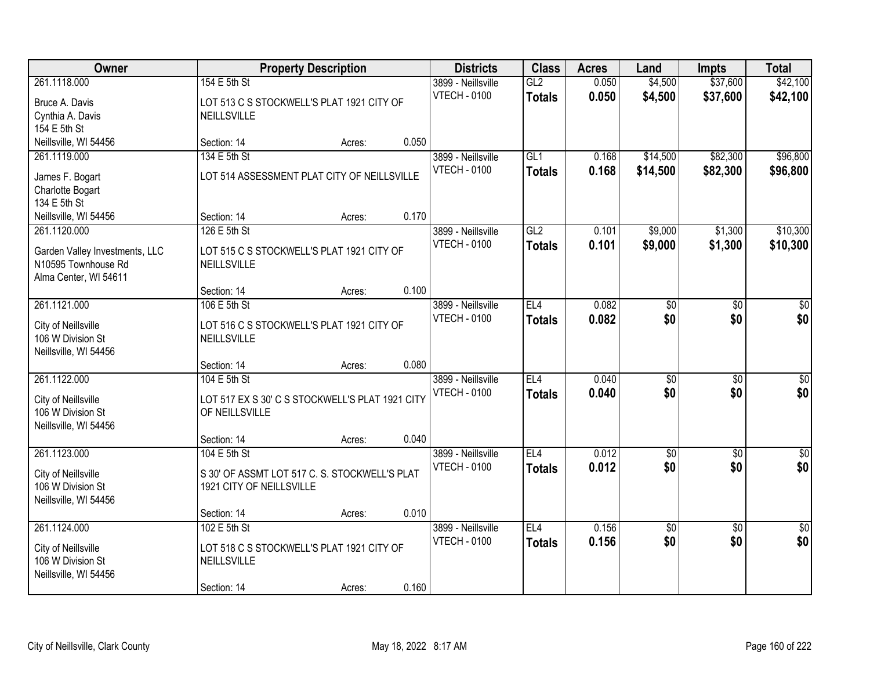| Owner                                                                                          | <b>Property Description</b>                                                               | <b>Districts</b> | <b>Class</b> | <b>Acres</b>                              | Land                             | <b>Impts</b>   | <b>Total</b>           |                        |                         |
|------------------------------------------------------------------------------------------------|-------------------------------------------------------------------------------------------|------------------|--------------|-------------------------------------------|----------------------------------|----------------|------------------------|------------------------|-------------------------|
| 261.1118.000<br>Bruce A. Davis<br>Cynthia A. Davis<br>154 E 5th St                             | 154 E 5th St<br>LOT 513 C S STOCKWELL'S PLAT 1921 CITY OF<br><b>NEILLSVILLE</b>           |                  |              | 3899 - Neillsville<br><b>VTECH - 0100</b> | GL2<br><b>Totals</b>             | 0.050<br>0.050 | \$4,500<br>\$4,500     | \$37,600<br>\$37,600   | \$42,100<br>\$42,100    |
| Neillsville, WI 54456                                                                          | Section: 14                                                                               | Acres:           | 0.050        |                                           |                                  |                |                        |                        |                         |
| 261.1119.000<br>James F. Bogart<br>Charlotte Bogart<br>134 E 5th St                            | 134 E 5th St<br>LOT 514 ASSESSMENT PLAT CITY OF NEILLSVILLE                               |                  |              | 3899 - Neillsville<br><b>VTECH - 0100</b> | GL1<br><b>Totals</b>             | 0.168<br>0.168 | \$14,500<br>\$14,500   | \$82,300<br>\$82,300   | \$96,800<br>\$96,800    |
| Neillsville, WI 54456                                                                          | Section: 14                                                                               | Acres:           | 0.170        |                                           |                                  |                |                        |                        |                         |
| 261.1120.000<br>Garden Valley Investments, LLC<br>N10595 Townhouse Rd<br>Alma Center, WI 54611 | 126 E 5th St<br>LOT 515 C S STOCKWELL'S PLAT 1921 CITY OF<br>NEILLSVILLE                  |                  |              | 3899 - Neillsville<br><b>VTECH - 0100</b> | GL2<br><b>Totals</b>             | 0.101<br>0.101 | \$9,000<br>\$9,000     | \$1,300<br>\$1,300     | \$10,300<br>\$10,300    |
|                                                                                                | Section: 14                                                                               | Acres:           | 0.100        |                                           |                                  |                |                        |                        |                         |
| 261.1121.000<br>City of Neillsville<br>106 W Division St<br>Neillsville, WI 54456              | 106 E 5th St<br>LOT 516 C S STOCKWELL'S PLAT 1921 CITY OF<br><b>NEILLSVILLE</b>           |                  |              | 3899 - Neillsville<br><b>VTECH - 0100</b> | EL <sub>4</sub><br><b>Totals</b> | 0.082<br>0.082 | \$0<br>\$0             | \$0<br>\$0             | \$0<br>\$0              |
|                                                                                                | Section: 14                                                                               | Acres:           | 0.080        |                                           |                                  |                |                        |                        |                         |
| 261.1122.000<br>City of Neillsville<br>106 W Division St<br>Neillsville, WI 54456              | 104 E 5th St<br>LOT 517 EX S 30' C S STOCKWELL'S PLAT 1921 CITY<br>OF NEILLSVILLE         |                  |              | 3899 - Neillsville<br><b>VTECH - 0100</b> | EL4<br><b>Totals</b>             | 0.040<br>0.040 | $\overline{50}$<br>\$0 | $\overline{50}$<br>\$0 | $\overline{50}$<br>\$0  |
|                                                                                                | Section: 14                                                                               | Acres:           | 0.040        |                                           |                                  |                |                        |                        |                         |
| 261.1123.000<br>City of Neillsville<br>106 W Division St<br>Neillsville, WI 54456              | 104 E 5th St<br>S 30' OF ASSMT LOT 517 C. S. STOCKWELL'S PLAT<br>1921 CITY OF NEILLSVILLE |                  |              | 3899 - Neillsville<br><b>VTECH - 0100</b> | EL4<br><b>Totals</b>             | 0.012<br>0.012 | $\overline{50}$<br>\$0 | $\overline{50}$<br>\$0 | $\overline{\$0}$<br>\$0 |
|                                                                                                | Section: 14                                                                               | Acres:           | 0.010        |                                           |                                  |                |                        |                        |                         |
| 261.1124.000<br>City of Neillsville<br>106 W Division St<br>Neillsville, WI 54456              | 102 E 5th St<br>LOT 518 C S STOCKWELL'S PLAT 1921 CITY OF<br>NEILLSVILLE<br>Section: 14   | Acres:           | 0.160        | 3899 - Neillsville<br><b>VTECH - 0100</b> | EL4<br><b>Totals</b>             | 0.156<br>0.156 | \$0<br>\$0             | $\overline{50}$<br>\$0 | $\overline{50}$<br>\$0  |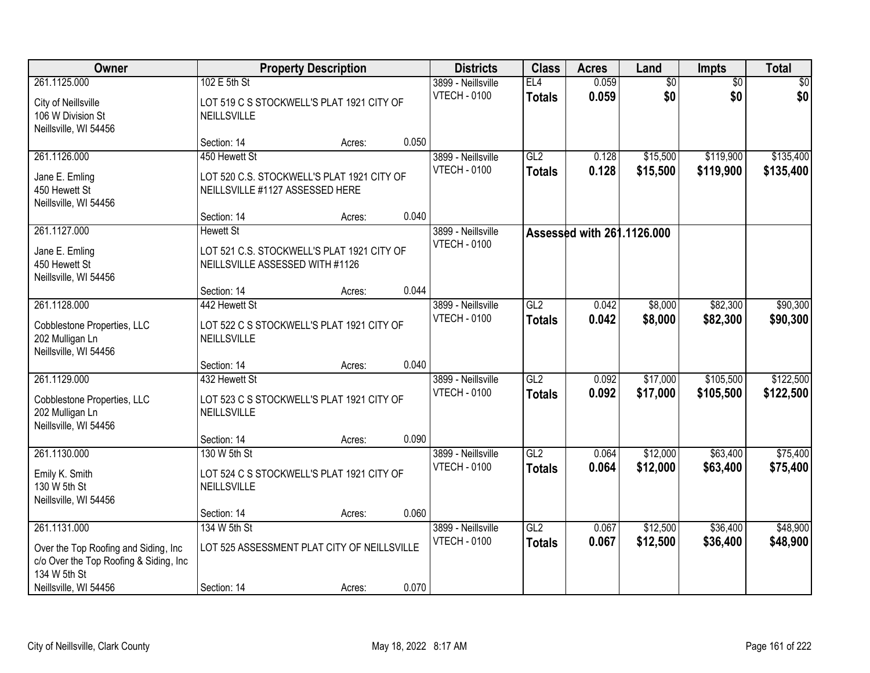| Owner                                                                                           | <b>Property Description</b>                                                                       |        |       | <b>Districts</b>                          | <b>Class</b>         | <b>Acres</b>               | Land                   | <b>Impts</b>           | <b>Total</b>           |
|-------------------------------------------------------------------------------------------------|---------------------------------------------------------------------------------------------------|--------|-------|-------------------------------------------|----------------------|----------------------------|------------------------|------------------------|------------------------|
| 261.1125.000<br>City of Neillsville<br>106 W Division St<br>Neillsville, WI 54456               | 102 E 5th St<br>LOT 519 C S STOCKWELL'S PLAT 1921 CITY OF<br><b>NEILLSVILLE</b>                   |        |       | 3899 - Neillsville<br><b>VTECH - 0100</b> | EL4<br><b>Totals</b> | 0.059<br>0.059             | $\overline{60}$<br>\$0 | $\overline{50}$<br>\$0 | \$0<br>\$0             |
|                                                                                                 | Section: 14                                                                                       | Acres: | 0.050 |                                           |                      |                            |                        |                        |                        |
| 261.1126.000                                                                                    | 450 Hewett St                                                                                     |        |       | 3899 - Neillsville                        | GL2                  | 0.128                      | \$15,500               | \$119,900              | \$135,400              |
| Jane E. Emling<br>450 Hewett St<br>Neillsville, WI 54456                                        | LOT 520 C.S. STOCKWELL'S PLAT 1921 CITY OF<br>NEILLSVILLE #1127 ASSESSED HERE                     |        |       | <b>VTECH - 0100</b>                       | <b>Totals</b>        | 0.128                      | \$15,500               | \$119,900              | \$135,400              |
|                                                                                                 | Section: 14                                                                                       | Acres: | 0.040 |                                           |                      |                            |                        |                        |                        |
| 261.1127.000<br>Jane E. Emling<br>450 Hewett St<br>Neillsville, WI 54456                        | <b>Hewett St</b><br>LOT 521 C.S. STOCKWELL'S PLAT 1921 CITY OF<br>NEILLSVILLE ASSESSED WITH #1126 |        |       | 3899 - Neillsville<br><b>VTECH - 0100</b> |                      | Assessed with 261.1126.000 |                        |                        |                        |
|                                                                                                 | Section: 14                                                                                       | Acres: | 0.044 |                                           |                      |                            |                        |                        |                        |
| 261.1128.000<br>Cobblestone Properties, LLC<br>202 Mulligan Ln                                  | 442 Hewett St<br>LOT 522 C S STOCKWELL'S PLAT 1921 CITY OF<br>NEILLSVILLE                         |        |       | 3899 - Neillsville<br><b>VTECH - 0100</b> | GL2<br><b>Totals</b> | 0.042<br>0.042             | \$8,000<br>\$8,000     | \$82,300<br>\$82,300   | \$90,300<br>\$90,300   |
| Neillsville, WI 54456                                                                           | Section: 14                                                                                       | Acres: | 0.040 |                                           |                      |                            |                        |                        |                        |
| 261.1129.000<br>Cobblestone Properties, LLC<br>202 Mulligan Ln<br>Neillsville, WI 54456         | 432 Hewett St<br>LOT 523 C S STOCKWELL'S PLAT 1921 CITY OF<br><b>NEILLSVILLE</b>                  |        |       | 3899 - Neillsville<br><b>VTECH - 0100</b> | GL2<br><b>Totals</b> | 0.092<br>0.092             | \$17,000<br>\$17,000   | \$105,500<br>\$105,500 | \$122,500<br>\$122,500 |
|                                                                                                 | Section: 14                                                                                       | Acres: | 0.090 |                                           |                      |                            |                        |                        |                        |
| 261.1130.000<br>Emily K. Smith<br>130 W 5th St<br>Neillsville, WI 54456                         | 130 W 5th St<br>LOT 524 C S STOCKWELL'S PLAT 1921 CITY OF<br>NEILLSVILLE                          |        |       | 3899 - Neillsville<br><b>VTECH - 0100</b> | GL2<br><b>Totals</b> | 0.064<br>0.064             | \$12,000<br>\$12,000   | \$63,400<br>\$63,400   | \$75,400<br>\$75,400   |
| 261.1131.000                                                                                    | Section: 14<br>134 W 5th St                                                                       | Acres: | 0.060 | 3899 - Neillsville                        | GL2                  | 0.067                      | \$12,500               | \$36,400               | \$48,900               |
| Over the Top Roofing and Siding, Inc.<br>c/o Over the Top Roofing & Siding, Inc<br>134 W 5th St | LOT 525 ASSESSMENT PLAT CITY OF NEILLSVILLE                                                       |        |       | <b>VTECH - 0100</b>                       | <b>Totals</b>        | 0.067                      | \$12,500               | \$36,400               | \$48,900               |
| Neillsville, WI 54456                                                                           | Section: 14                                                                                       | Acres: | 0.070 |                                           |                      |                            |                        |                        |                        |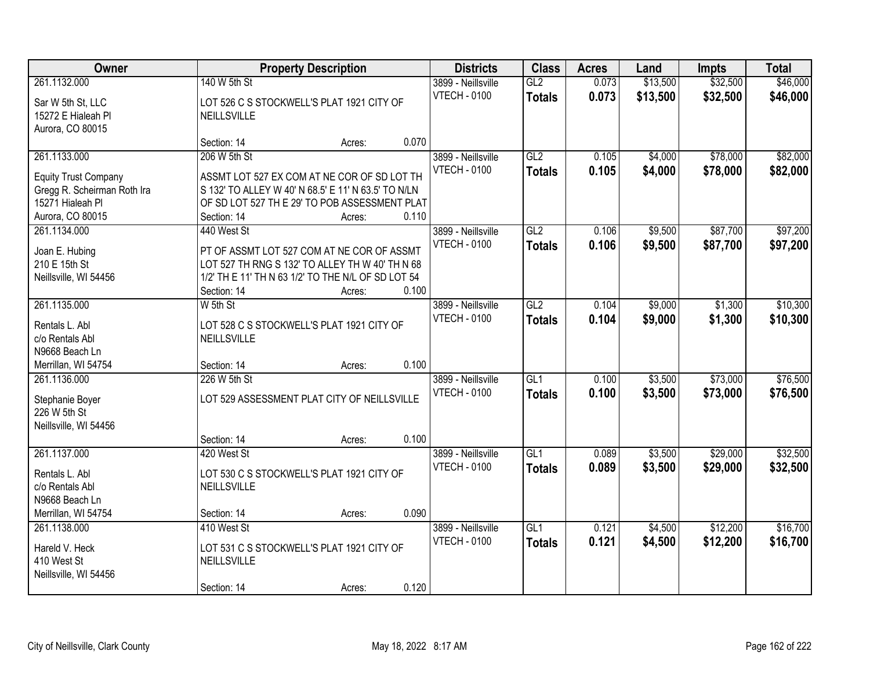| Owner                       | <b>Property Description</b> | <b>Districts</b>                                    | <b>Class</b> | <b>Acres</b>                              | Land             | <b>Impts</b>   | <b>Total</b> |          |          |
|-----------------------------|-----------------------------|-----------------------------------------------------|--------------|-------------------------------------------|------------------|----------------|--------------|----------|----------|
| 261.1132.000                | 140 W 5th St                |                                                     |              | 3899 - Neillsville                        | GL2              | 0.073          | \$13,500     | \$32,500 | \$46,000 |
| Sar W 5th St, LLC           |                             | LOT 526 C S STOCKWELL'S PLAT 1921 CITY OF           |              | <b>VTECH - 0100</b>                       | <b>Totals</b>    | 0.073          | \$13,500     | \$32,500 | \$46,000 |
| 15272 E Hialeah Pl          | NEILLSVILLE                 |                                                     |              |                                           |                  |                |              |          |          |
| Aurora, CO 80015            |                             |                                                     |              |                                           |                  |                |              |          |          |
|                             | Section: 14                 | Acres:                                              | 0.070        |                                           |                  |                |              |          |          |
| 261.1133.000                | 206 W 5th St                |                                                     |              | 3899 - Neillsville<br><b>VTECH - 0100</b> | GL2              | 0.105<br>0.105 | \$4,000      | \$78,000 | \$82,000 |
| <b>Equity Trust Company</b> |                             | ASSMT LOT 527 EX COM AT NE COR OF SD LOT TH         |              |                                           | <b>Totals</b>    |                | \$4,000      | \$78,000 | \$82,000 |
| Gregg R. Scheirman Roth Ira |                             | S 132' TO ALLEY W 40' N 68.5' E 11' N 63.5' TO N/LN |              |                                           |                  |                |              |          |          |
| 15271 Hialeah Pl            |                             | OF SD LOT 527 TH E 29' TO POB ASSESSMENT PLAT       |              |                                           |                  |                |              |          |          |
| Aurora, CO 80015            | Section: 14                 | Acres:                                              | 0.110        |                                           |                  |                |              |          |          |
| 261.1134.000                | 440 West St                 |                                                     |              | 3899 - Neillsville<br><b>VTECH - 0100</b> | GL2              | 0.106          | \$9,500      | \$87,700 | \$97,200 |
| Joan E. Hubing              |                             | PT OF ASSMT LOT 527 COM AT NE COR OF ASSMT          |              |                                           | <b>Totals</b>    | 0.106          | \$9,500      | \$87,700 | \$97,200 |
| 210 E 15th St               |                             | LOT 527 TH RNG S 132' TO ALLEY TH W 40' TH N 68     |              |                                           |                  |                |              |          |          |
| Neillsville, WI 54456       |                             | 1/2' TH E 11' TH N 63 1/2' TO THE N/L OF SD LOT 54  |              |                                           |                  |                |              |          |          |
|                             | Section: 14                 | Acres:                                              | 0.100        |                                           |                  |                |              |          |          |
| 261.1135.000                | W 5th St                    |                                                     |              | 3899 - Neillsville<br><b>VTECH - 0100</b> | GL2              | 0.104          | \$9,000      | \$1,300  | \$10,300 |
| Rentals L. Abl              |                             | LOT 528 C S STOCKWELL'S PLAT 1921 CITY OF           |              |                                           | <b>Totals</b>    | 0.104          | \$9,000      | \$1,300  | \$10,300 |
| c/o Rentals Abl             | <b>NEILLSVILLE</b>          |                                                     |              |                                           |                  |                |              |          |          |
| N9668 Beach Ln              |                             |                                                     |              |                                           |                  |                |              |          |          |
| Merrillan, WI 54754         | Section: 14                 | Acres:                                              | 0.100        |                                           |                  |                |              |          |          |
| 261.1136.000                | 226 W 5th St                |                                                     |              | 3899 - Neillsville                        | $\overline{GL1}$ | 0.100          | \$3,500      | \$73,000 | \$76,500 |
| Stephanie Boyer             |                             | LOT 529 ASSESSMENT PLAT CITY OF NEILLSVILLE         |              | <b>VTECH - 0100</b>                       | <b>Totals</b>    | 0.100          | \$3,500      | \$73,000 | \$76,500 |
| 226 W 5th St                |                             |                                                     |              |                                           |                  |                |              |          |          |
| Neillsville, WI 54456       |                             |                                                     |              |                                           |                  |                |              |          |          |
|                             | Section: 14                 | Acres:                                              | 0.100        |                                           |                  |                |              |          |          |
| 261.1137.000                | 420 West St                 |                                                     |              | 3899 - Neillsville                        | GL1              | 0.089          | \$3,500      | \$29,000 | \$32,500 |
| Rentals L. Abl              |                             | LOT 530 C S STOCKWELL'S PLAT 1921 CITY OF           |              | <b>VTECH - 0100</b>                       | <b>Totals</b>    | 0.089          | \$3,500      | \$29,000 | \$32,500 |
| c/o Rentals Abl             | NEILLSVILLE                 |                                                     |              |                                           |                  |                |              |          |          |
| N9668 Beach Ln              |                             |                                                     |              |                                           |                  |                |              |          |          |
| Merrillan, WI 54754         | Section: 14                 | Acres:                                              | 0.090        |                                           |                  |                |              |          |          |
| 261.1138.000                | 410 West St                 |                                                     |              | 3899 - Neillsville                        | GL1              | 0.121          | \$4,500      | \$12,200 | \$16,700 |
| Hareld V. Heck              |                             | LOT 531 C S STOCKWELL'S PLAT 1921 CITY OF           |              | <b>VTECH - 0100</b>                       | <b>Totals</b>    | 0.121          | \$4,500      | \$12,200 | \$16,700 |
| 410 West St                 | NEILLSVILLE                 |                                                     |              |                                           |                  |                |              |          |          |
| Neillsville, WI 54456       |                             |                                                     |              |                                           |                  |                |              |          |          |
|                             | Section: 14                 | Acres:                                              | 0.120        |                                           |                  |                |              |          |          |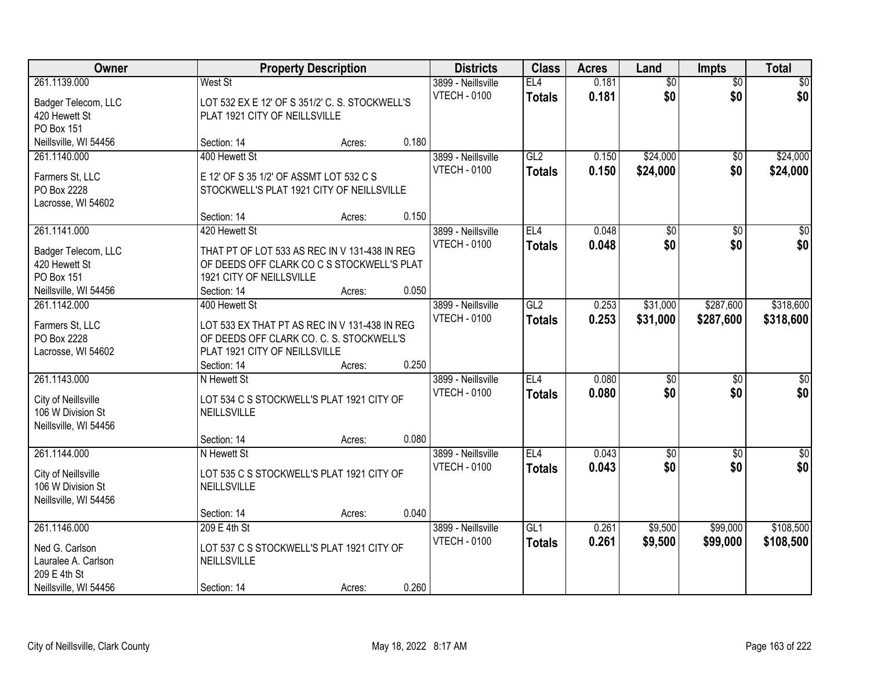| Owner                 | <b>Property Description</b>                    | <b>Districts</b> | <b>Class</b> | <b>Acres</b>        | Land            | <b>Impts</b> | <b>Total</b>    |                 |                  |
|-----------------------|------------------------------------------------|------------------|--------------|---------------------|-----------------|--------------|-----------------|-----------------|------------------|
| 261.1139.000          | West St                                        |                  |              | 3899 - Neillsville  | EL4             | 0.181        | $\overline{60}$ | $\overline{50}$ | \$0              |
| Badger Telecom, LLC   | LOT 532 EX E 12' OF S 351/2' C. S. STOCKWELL'S |                  |              | <b>VTECH - 0100</b> | <b>Totals</b>   | 0.181        | \$0             | \$0             | \$0              |
| 420 Hewett St         | PLAT 1921 CITY OF NEILLSVILLE                  |                  |              |                     |                 |              |                 |                 |                  |
| PO Box 151            |                                                |                  |              |                     |                 |              |                 |                 |                  |
| Neillsville, WI 54456 | Section: 14                                    | Acres:           | 0.180        |                     |                 |              |                 |                 |                  |
| 261.1140.000          | 400 Hewett St                                  |                  |              | 3899 - Neillsville  | GL2             | 0.150        | \$24,000        | \$0             | \$24,000         |
|                       |                                                |                  |              | <b>VTECH - 0100</b> | <b>Totals</b>   | 0.150        | \$24,000        | \$0             | \$24,000         |
| Farmers St, LLC       | E 12' OF S 35 1/2' OF ASSMT LOT 532 C S        |                  |              |                     |                 |              |                 |                 |                  |
| PO Box 2228           | STOCKWELL'S PLAT 1921 CITY OF NEILLSVILLE      |                  |              |                     |                 |              |                 |                 |                  |
| Lacrosse, WI 54602    |                                                |                  |              |                     |                 |              |                 |                 |                  |
|                       | Section: 14                                    | Acres:           | 0.150        |                     |                 |              |                 |                 |                  |
| 261.1141.000          | 420 Hewett St                                  |                  |              | 3899 - Neillsville  | EL <sub>4</sub> | 0.048        | $\overline{50}$ | \$0             | $\overline{\$0}$ |
| Badger Telecom, LLC   | THAT PT OF LOT 533 AS REC IN V 131-438 IN REG  |                  |              | <b>VTECH - 0100</b> | <b>Totals</b>   | 0.048        | \$0             | \$0             | \$0              |
| 420 Hewett St         | OF DEEDS OFF CLARK CO C S STOCKWELL'S PLAT     |                  |              |                     |                 |              |                 |                 |                  |
| <b>PO Box 151</b>     | 1921 CITY OF NEILLSVILLE                       |                  |              |                     |                 |              |                 |                 |                  |
| Neillsville, WI 54456 | Section: 14                                    | Acres:           | 0.050        |                     |                 |              |                 |                 |                  |
| 261.1142.000          | 400 Hewett St                                  |                  |              | 3899 - Neillsville  | GL2             | 0.253        | \$31,000        | \$287,600       | \$318,600        |
|                       |                                                |                  |              | <b>VTECH - 0100</b> | <b>Totals</b>   | 0.253        | \$31,000        | \$287,600       | \$318,600        |
| Farmers St, LLC       | LOT 533 EX THAT PT AS REC IN V 131-438 IN REG  |                  |              |                     |                 |              |                 |                 |                  |
| PO Box 2228           | OF DEEDS OFF CLARK CO. C. S. STOCKWELL'S       |                  |              |                     |                 |              |                 |                 |                  |
| Lacrosse, WI 54602    | PLAT 1921 CITY OF NEILLSVILLE                  |                  |              |                     |                 |              |                 |                 |                  |
|                       | Section: 14                                    | Acres:           | 0.250        |                     |                 |              |                 |                 |                  |
| 261.1143.000          | N Hewett St                                    |                  |              | 3899 - Neillsville  | EL4             | 0.080        | $\overline{50}$ | $\overline{50}$ | $\overline{\$0}$ |
| City of Neillsville   | LOT 534 C S STOCKWELL'S PLAT 1921 CITY OF      |                  |              | <b>VTECH - 0100</b> | <b>Totals</b>   | 0.080        | \$0             | \$0             | \$0              |
| 106 W Division St     | NEILLSVILLE                                    |                  |              |                     |                 |              |                 |                 |                  |
| Neillsville, WI 54456 |                                                |                  |              |                     |                 |              |                 |                 |                  |
|                       | Section: 14                                    | Acres:           | 0.080        |                     |                 |              |                 |                 |                  |
| 261.1144.000          | N Hewett St                                    |                  |              | 3899 - Neillsville  | EL <sub>4</sub> | 0.043        | $\sqrt{6}$      | \$0             | \$0              |
|                       |                                                |                  |              | <b>VTECH - 0100</b> | <b>Totals</b>   | 0.043        | \$0             | \$0             | \$0              |
| City of Neillsville   | LOT 535 C S STOCKWELL'S PLAT 1921 CITY OF      |                  |              |                     |                 |              |                 |                 |                  |
| 106 W Division St     | <b>NEILLSVILLE</b>                             |                  |              |                     |                 |              |                 |                 |                  |
| Neillsville, WI 54456 |                                                |                  | 0.040        |                     |                 |              |                 |                 |                  |
|                       | Section: 14                                    | Acres:           |              |                     |                 |              |                 |                 |                  |
| 261.1146.000          | 209 E 4th St                                   |                  |              | 3899 - Neillsville  | GL1             | 0.261        | \$9,500         | \$99,000        | \$108,500        |
| Ned G. Carlson        | LOT 537 C S STOCKWELL'S PLAT 1921 CITY OF      |                  |              | <b>VTECH - 0100</b> | <b>Totals</b>   | 0.261        | \$9,500         | \$99,000        | \$108,500        |
| Lauralee A. Carlson   | NEILLSVILLE                                    |                  |              |                     |                 |              |                 |                 |                  |
| 209 E 4th St          |                                                |                  |              |                     |                 |              |                 |                 |                  |
| Neillsville, WI 54456 | Section: 14                                    | Acres:           | 0.260        |                     |                 |              |                 |                 |                  |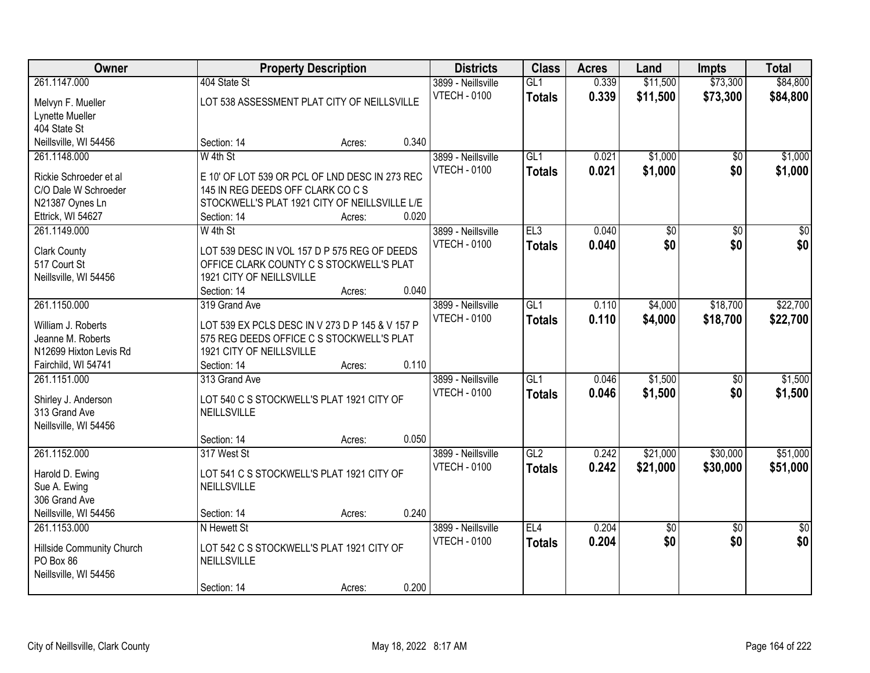| Owner                                          | <b>Property Description</b>                                                        |        | <b>Districts</b> | <b>Class</b>        | <b>Acres</b>     | Land  | <b>Impts</b>    | <b>Total</b>    |                 |
|------------------------------------------------|------------------------------------------------------------------------------------|--------|------------------|---------------------|------------------|-------|-----------------|-----------------|-----------------|
| 261.1147.000                                   | 404 State St                                                                       |        |                  | 3899 - Neillsville  | GL1              | 0.339 | \$11,500        | \$73,300        | \$84,800        |
| Melvyn F. Mueller                              | LOT 538 ASSESSMENT PLAT CITY OF NEILLSVILLE                                        |        |                  | <b>VTECH - 0100</b> | <b>Totals</b>    | 0.339 | \$11,500        | \$73,300        | \$84,800        |
| Lynette Mueller                                |                                                                                    |        |                  |                     |                  |       |                 |                 |                 |
| 404 State St                                   |                                                                                    |        |                  |                     |                  |       |                 |                 |                 |
| Neillsville, WI 54456                          | Section: 14                                                                        | Acres: | 0.340            |                     |                  |       |                 |                 |                 |
| 261.1148.000                                   | W 4th St                                                                           |        |                  | 3899 - Neillsville  | GL1              | 0.021 | \$1,000         | $\overline{50}$ | \$1,000         |
|                                                |                                                                                    |        |                  | <b>VTECH - 0100</b> | <b>Totals</b>    | 0.021 | \$1,000         | \$0             | \$1,000         |
| Rickie Schroeder et al<br>C/O Dale W Schroeder | E 10' OF LOT 539 OR PCL OF LND DESC IN 273 REC                                     |        |                  |                     |                  |       |                 |                 |                 |
|                                                | 145 IN REG DEEDS OFF CLARK CO C S<br>STOCKWELL'S PLAT 1921 CITY OF NEILLSVILLE L/E |        |                  |                     |                  |       |                 |                 |                 |
| N21387 Oynes Ln<br>Ettrick, WI 54627           | Section: 14                                                                        | Acres: | 0.020            |                     |                  |       |                 |                 |                 |
| 261.1149.000                                   | W 4th St                                                                           |        |                  | 3899 - Neillsville  | EL3              | 0.040 | $\overline{50}$ | $\overline{50}$ | $\overline{30}$ |
|                                                |                                                                                    |        |                  | <b>VTECH - 0100</b> |                  | 0.040 | \$0             | \$0             | \$0             |
| <b>Clark County</b>                            | LOT 539 DESC IN VOL 157 D P 575 REG OF DEEDS                                       |        |                  |                     | <b>Totals</b>    |       |                 |                 |                 |
| 517 Court St                                   | OFFICE CLARK COUNTY C S STOCKWELL'S PLAT                                           |        |                  |                     |                  |       |                 |                 |                 |
| Neillsville, WI 54456                          | 1921 CITY OF NEILLSVILLE                                                           |        |                  |                     |                  |       |                 |                 |                 |
|                                                | Section: 14                                                                        | Acres: | 0.040            |                     |                  |       |                 |                 |                 |
| 261.1150.000                                   | 319 Grand Ave                                                                      |        |                  | 3899 - Neillsville  | $\overline{GL1}$ | 0.110 | \$4,000         | \$18,700        | \$22,700        |
| William J. Roberts                             | LOT 539 EX PCLS DESC IN V 273 D P 145 & V 157 P                                    |        |                  | <b>VTECH - 0100</b> | <b>Totals</b>    | 0.110 | \$4,000         | \$18,700        | \$22,700        |
| Jeanne M. Roberts                              | 575 REG DEEDS OFFICE C S STOCKWELL'S PLAT                                          |        |                  |                     |                  |       |                 |                 |                 |
| N12699 Hixton Levis Rd                         | 1921 CITY OF NEILLSVILLE                                                           |        |                  |                     |                  |       |                 |                 |                 |
| Fairchild, WI 54741                            | Section: 14                                                                        | Acres: | 0.110            |                     |                  |       |                 |                 |                 |
| 261.1151.000                                   | 313 Grand Ave                                                                      |        |                  | 3899 - Neillsville  | GL1              | 0.046 | \$1,500         | $\overline{50}$ | \$1,500         |
|                                                |                                                                                    |        |                  | <b>VTECH - 0100</b> | <b>Totals</b>    | 0.046 | \$1,500         | \$0             | \$1,500         |
| Shirley J. Anderson                            | LOT 540 C S STOCKWELL'S PLAT 1921 CITY OF                                          |        |                  |                     |                  |       |                 |                 |                 |
| 313 Grand Ave                                  | NEILLSVILLE                                                                        |        |                  |                     |                  |       |                 |                 |                 |
| Neillsville, WI 54456                          |                                                                                    |        |                  |                     |                  |       |                 |                 |                 |
|                                                | Section: 14                                                                        | Acres: | 0.050            |                     |                  |       |                 |                 |                 |
| 261.1152.000                                   | 317 West St                                                                        |        |                  | 3899 - Neillsville  | GL2              | 0.242 | \$21,000        | \$30,000        | \$51,000        |
| Harold D. Ewing                                | LOT 541 C S STOCKWELL'S PLAT 1921 CITY OF                                          |        |                  | <b>VTECH - 0100</b> | <b>Totals</b>    | 0.242 | \$21,000        | \$30,000        | \$51,000        |
| Sue A. Ewing                                   | <b>NEILLSVILLE</b>                                                                 |        |                  |                     |                  |       |                 |                 |                 |
| 306 Grand Ave                                  |                                                                                    |        |                  |                     |                  |       |                 |                 |                 |
| Neillsville, WI 54456                          | Section: 14                                                                        | Acres: | 0.240            |                     |                  |       |                 |                 |                 |
| 261.1153.000                                   | N Hewett St                                                                        |        |                  | 3899 - Neillsville  | EL4              | 0.204 | $\overline{30}$ | $\overline{50}$ | $\overline{50}$ |
|                                                | LOT 542 C S STOCKWELL'S PLAT 1921 CITY OF                                          |        |                  | <b>VTECH - 0100</b> | <b>Totals</b>    | 0.204 | \$0             | \$0             | \$0             |
| Hillside Community Church<br>PO Box 86         | NEILLSVILLE                                                                        |        |                  |                     |                  |       |                 |                 |                 |
| Neillsville, WI 54456                          |                                                                                    |        |                  |                     |                  |       |                 |                 |                 |
|                                                | Section: 14                                                                        | Acres: | 0.200            |                     |                  |       |                 |                 |                 |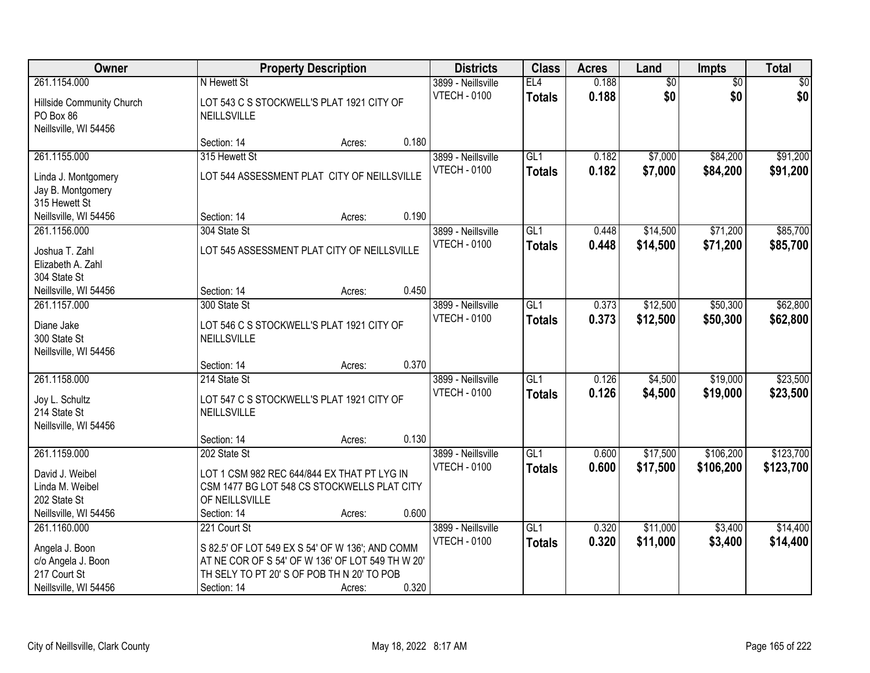| Owner                                                                           |                                                                                                                                                                  | <b>Property Description</b> |       |                                           | <b>Class</b>                      | <b>Acres</b>   | Land                   | Impts                  | <b>Total</b>         |
|---------------------------------------------------------------------------------|------------------------------------------------------------------------------------------------------------------------------------------------------------------|-----------------------------|-------|-------------------------------------------|-----------------------------------|----------------|------------------------|------------------------|----------------------|
| 261.1154.000<br>Hillside Community Church<br>PO Box 86<br>Neillsville, WI 54456 | N Hewett St<br>LOT 543 C S STOCKWELL'S PLAT 1921 CITY OF<br>NEILLSVILLE                                                                                          |                             |       | 3899 - Neillsville<br><b>VTECH - 0100</b> | EL4<br><b>Totals</b>              | 0.188<br>0.188 | $\overline{50}$<br>\$0 | $\overline{50}$<br>\$0 | \$0<br>\$0           |
|                                                                                 | Section: 14                                                                                                                                                      | Acres:                      | 0.180 |                                           |                                   |                |                        |                        |                      |
| 261.1155.000                                                                    | 315 Hewett St                                                                                                                                                    |                             |       | 3899 - Neillsville                        | GL1                               | 0.182          | \$7,000                | \$84,200               | \$91,200             |
| Linda J. Montgomery<br>Jay B. Montgomery<br>315 Hewett St                       | LOT 544 ASSESSMENT PLAT CITY OF NEILLSVILLE                                                                                                                      |                             |       | <b>VTECH - 0100</b>                       | <b>Totals</b>                     | 0.182          | \$7,000                | \$84,200               | \$91,200             |
| Neillsville, WI 54456                                                           | Section: 14                                                                                                                                                      | Acres:                      | 0.190 |                                           |                                   |                |                        |                        |                      |
| 261.1156.000<br>Joshua T. Zahl                                                  | 304 State St<br>LOT 545 ASSESSMENT PLAT CITY OF NEILLSVILLE                                                                                                      |                             |       | 3899 - Neillsville<br><b>VTECH - 0100</b> | GL1<br><b>Totals</b>              | 0.448<br>0.448 | \$14,500<br>\$14,500   | \$71,200<br>\$71,200   | \$85,700<br>\$85,700 |
| Elizabeth A. Zahl<br>304 State St                                               |                                                                                                                                                                  |                             |       |                                           |                                   |                |                        |                        |                      |
| Neillsville, WI 54456                                                           | Section: 14                                                                                                                                                      | Acres:                      | 0.450 |                                           |                                   |                |                        |                        |                      |
| 261.1157.000<br>Diane Jake<br>300 State St<br>Neillsville, WI 54456             | 300 State St<br>LOT 546 C S STOCKWELL'S PLAT 1921 CITY OF<br>NEILLSVILLE                                                                                         |                             |       | 3899 - Neillsville<br><b>VTECH - 0100</b> | GL1<br><b>Totals</b>              | 0.373<br>0.373 | \$12,500<br>\$12,500   | \$50,300<br>\$50,300   | \$62,800<br>\$62,800 |
|                                                                                 | Section: 14                                                                                                                                                      | Acres:                      | 0.370 |                                           |                                   |                |                        |                        |                      |
| 261.1158.000<br>Joy L. Schultz                                                  | 214 State St<br>LOT 547 C S STOCKWELL'S PLAT 1921 CITY OF                                                                                                        |                             |       | 3899 - Neillsville<br><b>VTECH - 0100</b> | $\overline{GL1}$<br><b>Totals</b> | 0.126<br>0.126 | \$4,500<br>\$4,500     | \$19,000<br>\$19,000   | \$23,500<br>\$23,500 |
| 214 State St<br>Neillsville, WI 54456                                           | NEILLSVILLE                                                                                                                                                      |                             |       |                                           |                                   |                |                        |                        |                      |
|                                                                                 | Section: 14                                                                                                                                                      | Acres:                      | 0.130 |                                           |                                   |                |                        |                        |                      |
| 261.1159.000                                                                    | 202 State St                                                                                                                                                     |                             |       | 3899 - Neillsville                        | $\overline{GL1}$                  | 0.600          | \$17,500               | \$106,200              | \$123,700            |
| David J. Weibel<br>Linda M. Weibel<br>202 State St                              | LOT 1 CSM 982 REC 644/844 EX THAT PT LYG IN<br>CSM 1477 BG LOT 548 CS STOCKWELLS PLAT CITY<br>OF NEILLSVILLE                                                     |                             | 0.600 | <b>VTECH - 0100</b>                       | <b>Totals</b>                     | 0.600          | \$17,500               | \$106,200              | \$123,700            |
| Neillsville, WI 54456<br>261.1160.000                                           | Section: 14<br>221 Court St                                                                                                                                      | Acres:                      |       | 3899 - Neillsville                        | GL1                               | 0.320          | \$11,000               | \$3,400                | \$14,400             |
| Angela J. Boon<br>c/o Angela J. Boon<br>217 Court St<br>Neillsville, WI 54456   | S 82.5' OF LOT 549 EX S 54' OF W 136'; AND COMM<br>AT NE COR OF S 54' OF W 136' OF LOT 549 TH W 20'<br>TH SELY TO PT 20' S OF POB TH N 20' TO POB<br>Section: 14 | Acres:                      | 0.320 | <b>VTECH - 0100</b>                       | <b>Totals</b>                     | 0.320          | \$11,000               | \$3,400                | \$14,400             |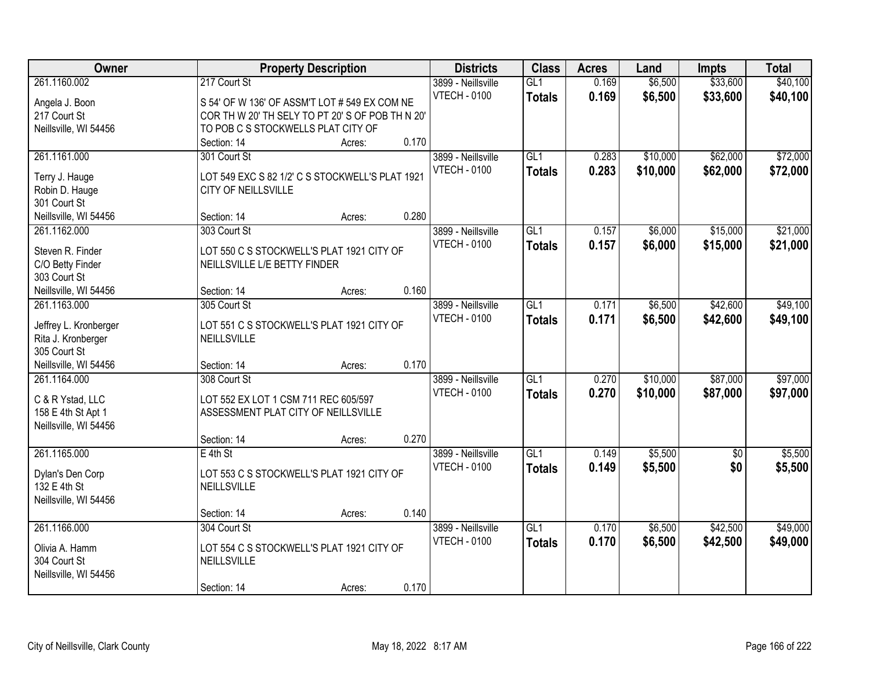| \$33,600<br>261.1160.002<br>217 Court St<br>0.169<br>\$6,500<br>\$40,100<br>3899 - Neillsville<br>GL1<br>0.169<br>\$33,600<br><b>VTECH - 0100</b><br>\$6,500<br>\$40,100<br><b>Totals</b><br>Angela J. Boon<br>S 54' OF W 136' OF ASSM'T LOT # 549 EX COM NE<br>COR TH W 20' TH SELY TO PT 20' S OF POB TH N 20'<br>217 Court St<br>Neillsville, WI 54456<br>TO POB C S STOCKWELLS PLAT CITY OF<br>0.170<br>Section: 14<br>Acres:<br>\$72,000<br>261.1161.000<br>GL1<br>\$10,000<br>\$62,000<br>301 Court St<br>3899 - Neillsville<br>0.283<br>0.283<br><b>VTECH - 0100</b><br>\$10,000<br>\$62,000<br>\$72,000<br><b>Totals</b><br>LOT 549 EXC S 82 1/2' C S STOCKWELL'S PLAT 1921<br>Terry J. Hauge<br>Robin D. Hauge<br>CITY OF NEILLSVILLE |
|------------------------------------------------------------------------------------------------------------------------------------------------------------------------------------------------------------------------------------------------------------------------------------------------------------------------------------------------------------------------------------------------------------------------------------------------------------------------------------------------------------------------------------------------------------------------------------------------------------------------------------------------------------------------------------------------------------------------------------------------|
|                                                                                                                                                                                                                                                                                                                                                                                                                                                                                                                                                                                                                                                                                                                                                |
|                                                                                                                                                                                                                                                                                                                                                                                                                                                                                                                                                                                                                                                                                                                                                |
|                                                                                                                                                                                                                                                                                                                                                                                                                                                                                                                                                                                                                                                                                                                                                |
|                                                                                                                                                                                                                                                                                                                                                                                                                                                                                                                                                                                                                                                                                                                                                |
|                                                                                                                                                                                                                                                                                                                                                                                                                                                                                                                                                                                                                                                                                                                                                |
|                                                                                                                                                                                                                                                                                                                                                                                                                                                                                                                                                                                                                                                                                                                                                |
|                                                                                                                                                                                                                                                                                                                                                                                                                                                                                                                                                                                                                                                                                                                                                |
|                                                                                                                                                                                                                                                                                                                                                                                                                                                                                                                                                                                                                                                                                                                                                |
|                                                                                                                                                                                                                                                                                                                                                                                                                                                                                                                                                                                                                                                                                                                                                |
| 301 Court St                                                                                                                                                                                                                                                                                                                                                                                                                                                                                                                                                                                                                                                                                                                                   |
| 0.280<br>Neillsville, WI 54456<br>Section: 14<br>Acres:                                                                                                                                                                                                                                                                                                                                                                                                                                                                                                                                                                                                                                                                                        |
| \$6,000<br>\$15,000<br>\$21,000<br>261.1162.000<br>303 Court St<br>3899 - Neillsville<br>GL1<br>0.157                                                                                                                                                                                                                                                                                                                                                                                                                                                                                                                                                                                                                                          |
| <b>VTECH - 0100</b><br>0.157<br>\$6,000<br>\$15,000<br>\$21,000<br><b>Totals</b><br>LOT 550 C S STOCKWELL'S PLAT 1921 CITY OF<br>Steven R. Finder                                                                                                                                                                                                                                                                                                                                                                                                                                                                                                                                                                                              |
| NEILLSVILLE L/E BETTY FINDER<br>C/O Betty Finder                                                                                                                                                                                                                                                                                                                                                                                                                                                                                                                                                                                                                                                                                               |
| 303 Court St                                                                                                                                                                                                                                                                                                                                                                                                                                                                                                                                                                                                                                                                                                                                   |
| 0.160<br>Neillsville, WI 54456<br>Section: 14<br>Acres:                                                                                                                                                                                                                                                                                                                                                                                                                                                                                                                                                                                                                                                                                        |
| \$49,100<br>261.1163.000<br>305 Court St<br>GL1<br>0.171<br>\$6,500<br>\$42,600<br>3899 - Neillsville                                                                                                                                                                                                                                                                                                                                                                                                                                                                                                                                                                                                                                          |
| <b>VTECH - 0100</b><br>0.171<br>\$42,600<br>\$6,500<br>\$49,100<br><b>Totals</b>                                                                                                                                                                                                                                                                                                                                                                                                                                                                                                                                                                                                                                                               |
| LOT 551 C S STOCKWELL'S PLAT 1921 CITY OF<br>Jeffrey L. Kronberger                                                                                                                                                                                                                                                                                                                                                                                                                                                                                                                                                                                                                                                                             |
| Rita J. Kronberger<br><b>NEILLSVILLE</b>                                                                                                                                                                                                                                                                                                                                                                                                                                                                                                                                                                                                                                                                                                       |
| 305 Court St                                                                                                                                                                                                                                                                                                                                                                                                                                                                                                                                                                                                                                                                                                                                   |
| 0.170<br>Neillsville, WI 54456<br>Section: 14<br>Acres:                                                                                                                                                                                                                                                                                                                                                                                                                                                                                                                                                                                                                                                                                        |
| \$87,000<br>\$97,000<br>261.1164.000<br>308 Court St<br>$\overline{GL1}$<br>0.270<br>\$10,000<br>3899 - Neillsville                                                                                                                                                                                                                                                                                                                                                                                                                                                                                                                                                                                                                            |
| 0.270<br><b>VTECH - 0100</b><br>\$10,000<br>\$87,000<br>\$97,000<br><b>Totals</b><br>C & R Ystad, LLC<br>LOT 552 EX LOT 1 CSM 711 REC 605/597                                                                                                                                                                                                                                                                                                                                                                                                                                                                                                                                                                                                  |
| ASSESSMENT PLAT CITY OF NEILLSVILLE<br>158 E 4th St Apt 1                                                                                                                                                                                                                                                                                                                                                                                                                                                                                                                                                                                                                                                                                      |
| Neillsville, WI 54456                                                                                                                                                                                                                                                                                                                                                                                                                                                                                                                                                                                                                                                                                                                          |
| 0.270<br>Section: 14<br>Acres:                                                                                                                                                                                                                                                                                                                                                                                                                                                                                                                                                                                                                                                                                                                 |
| 261.1165.000<br>GL1<br>\$5,500<br>\$5,500<br>$E$ 4th St<br>3899 - Neillsville<br>0.149<br>$\overline{50}$                                                                                                                                                                                                                                                                                                                                                                                                                                                                                                                                                                                                                                      |
| <b>VTECH - 0100</b><br>0.149<br>\$5,500<br>\$0<br>\$5,500<br><b>Totals</b>                                                                                                                                                                                                                                                                                                                                                                                                                                                                                                                                                                                                                                                                     |
| LOT 553 C S STOCKWELL'S PLAT 1921 CITY OF<br>Dylan's Den Corp                                                                                                                                                                                                                                                                                                                                                                                                                                                                                                                                                                                                                                                                                  |
| 132 E 4th St<br>NEILLSVILLE                                                                                                                                                                                                                                                                                                                                                                                                                                                                                                                                                                                                                                                                                                                    |
| Neillsville, WI 54456                                                                                                                                                                                                                                                                                                                                                                                                                                                                                                                                                                                                                                                                                                                          |
| 0.140<br>Section: 14<br>Acres:                                                                                                                                                                                                                                                                                                                                                                                                                                                                                                                                                                                                                                                                                                                 |
| 261.1166.000<br>304 Court St<br>GL1<br>0.170<br>\$6,500<br>\$42,500<br>\$49,000<br>3899 - Neillsville                                                                                                                                                                                                                                                                                                                                                                                                                                                                                                                                                                                                                                          |
| 0.170<br><b>VTECH - 0100</b><br>\$6,500<br>\$42,500<br>\$49,000<br><b>Totals</b><br>LOT 554 C S STOCKWELL'S PLAT 1921 CITY OF<br>Olivia A. Hamm                                                                                                                                                                                                                                                                                                                                                                                                                                                                                                                                                                                                |
| 304 Court St<br>NEILLSVILLE                                                                                                                                                                                                                                                                                                                                                                                                                                                                                                                                                                                                                                                                                                                    |
| Neillsville, WI 54456                                                                                                                                                                                                                                                                                                                                                                                                                                                                                                                                                                                                                                                                                                                          |
| 0.170<br>Section: 14<br>Acres:                                                                                                                                                                                                                                                                                                                                                                                                                                                                                                                                                                                                                                                                                                                 |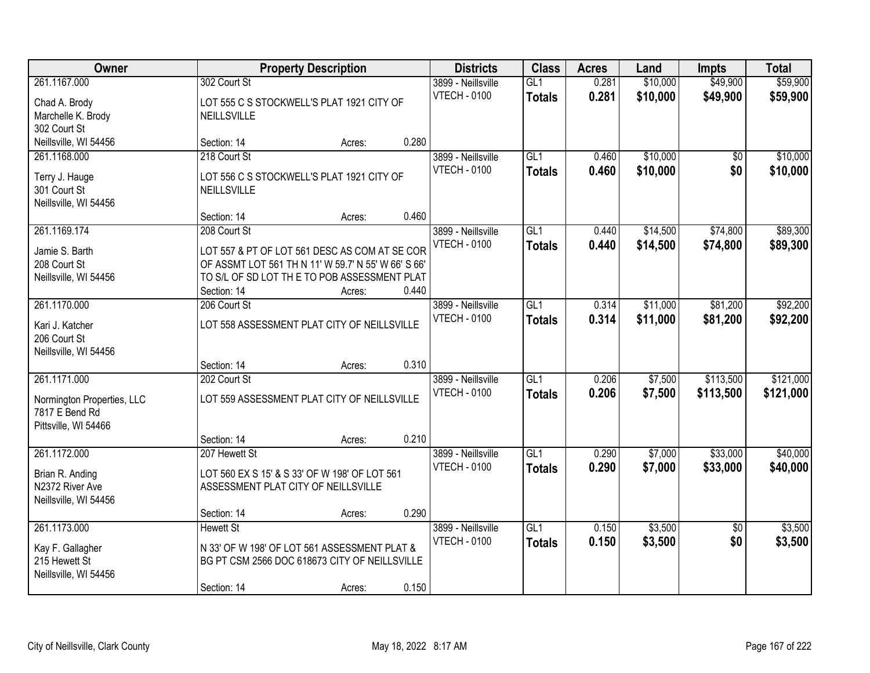| Owner                                                                       |                                                                                                                                                                                    | <b>Property Description</b> |       |                                           |                                   | <b>Acres</b>   | Land                 | <b>Impts</b>           | <b>Total</b>         |
|-----------------------------------------------------------------------------|------------------------------------------------------------------------------------------------------------------------------------------------------------------------------------|-----------------------------|-------|-------------------------------------------|-----------------------------------|----------------|----------------------|------------------------|----------------------|
| 261.1167.000<br>Chad A. Brody<br>Marchelle K. Brody<br>302 Court St         | 302 Court St<br>LOT 555 C S STOCKWELL'S PLAT 1921 CITY OF<br><b>NEILLSVILLE</b>                                                                                                    |                             |       | 3899 - Neillsville<br><b>VTECH - 0100</b> | GL1<br><b>Totals</b>              | 0.281<br>0.281 | \$10,000<br>\$10,000 | \$49,900<br>\$49,900   | \$59,900<br>\$59,900 |
| Neillsville, WI 54456                                                       | Section: 14                                                                                                                                                                        | Acres:                      | 0.280 |                                           |                                   |                |                      |                        |                      |
| 261.1168.000<br>Terry J. Hauge<br>301 Court St<br>Neillsville, WI 54456     | 218 Court St<br>LOT 556 C S STOCKWELL'S PLAT 1921 CITY OF<br>NEILLSVILLE                                                                                                           |                             |       | 3899 - Neillsville<br><b>VTECH - 0100</b> | GL1<br><b>Totals</b>              | 0.460<br>0.460 | \$10,000<br>\$10,000 | \$0<br>\$0             | \$10,000<br>\$10,000 |
|                                                                             | Section: 14                                                                                                                                                                        | Acres:                      | 0.460 |                                           |                                   |                |                      |                        |                      |
| 261.1169.174<br>Jamie S. Barth<br>208 Court St<br>Neillsville, WI 54456     | 208 Court St<br>LOT 557 & PT OF LOT 561 DESC AS COM AT SE COR<br>OF ASSMT LOT 561 TH N 11' W 59.7' N 55' W 66' S 66'<br>TO S/L OF SD LOT THE TO POB ASSESSMENT PLAT<br>Section: 14 | Acres:                      | 0.440 | 3899 - Neillsville<br><b>VTECH - 0100</b> | GL1<br><b>Totals</b>              | 0.440<br>0.440 | \$14,500<br>\$14,500 | \$74,800<br>\$74,800   | \$89,300<br>\$89,300 |
| 261.1170.000<br>Kari J. Katcher                                             | 206 Court St<br>LOT 558 ASSESSMENT PLAT CITY OF NEILLSVILLE                                                                                                                        |                             |       | 3899 - Neillsville<br><b>VTECH - 0100</b> | GL1<br><b>Totals</b>              | 0.314<br>0.314 | \$11,000<br>\$11,000 | \$81,200<br>\$81,200   | \$92,200<br>\$92,200 |
| 206 Court St<br>Neillsville, WI 54456                                       | Section: 14                                                                                                                                                                        | Acres:                      | 0.310 |                                           |                                   |                |                      |                        |                      |
| 261.1171.000                                                                | 202 Court St                                                                                                                                                                       |                             |       | 3899 - Neillsville                        | $\overline{GL1}$                  | 0.206          | \$7,500              | \$113,500              | \$121,000            |
| Normington Properties, LLC<br>7817 E Bend Rd<br>Pittsville, WI 54466        | LOT 559 ASSESSMENT PLAT CITY OF NEILLSVILLE                                                                                                                                        |                             |       | <b>VTECH - 0100</b>                       | <b>Totals</b>                     | 0.206          | \$7,500              | \$113,500              | \$121,000            |
|                                                                             | Section: 14                                                                                                                                                                        | Acres:                      | 0.210 |                                           |                                   |                |                      |                        |                      |
| 261.1172.000<br>Brian R. Anding<br>N2372 River Ave<br>Neillsville, WI 54456 | 207 Hewett St<br>LOT 560 EX S 15' & S 33' OF W 198' OF LOT 561<br>ASSESSMENT PLAT CITY OF NEILLSVILLE                                                                              |                             |       | 3899 - Neillsville<br><b>VTECH - 0100</b> | $\overline{GL1}$<br><b>Totals</b> | 0.290<br>0.290 | \$7,000<br>\$7,000   | \$33,000<br>\$33,000   | \$40,000<br>\$40,000 |
|                                                                             | Section: 14                                                                                                                                                                        | Acres:                      | 0.290 |                                           |                                   |                |                      |                        |                      |
| 261.1173.000<br>Kay F. Gallagher<br>215 Hewett St<br>Neillsville, WI 54456  | <b>Hewett St</b><br>N 33' OF W 198' OF LOT 561 ASSESSMENT PLAT &<br>BG PT CSM 2566 DOC 618673 CITY OF NEILLSVILLE<br>Section: 14                                                   | Acres:                      | 0.150 | 3899 - Neillsville<br><b>VTECH - 0100</b> | GL1<br><b>Totals</b>              | 0.150<br>0.150 | \$3,500<br>\$3,500   | $\overline{50}$<br>\$0 | \$3,500<br>\$3,500   |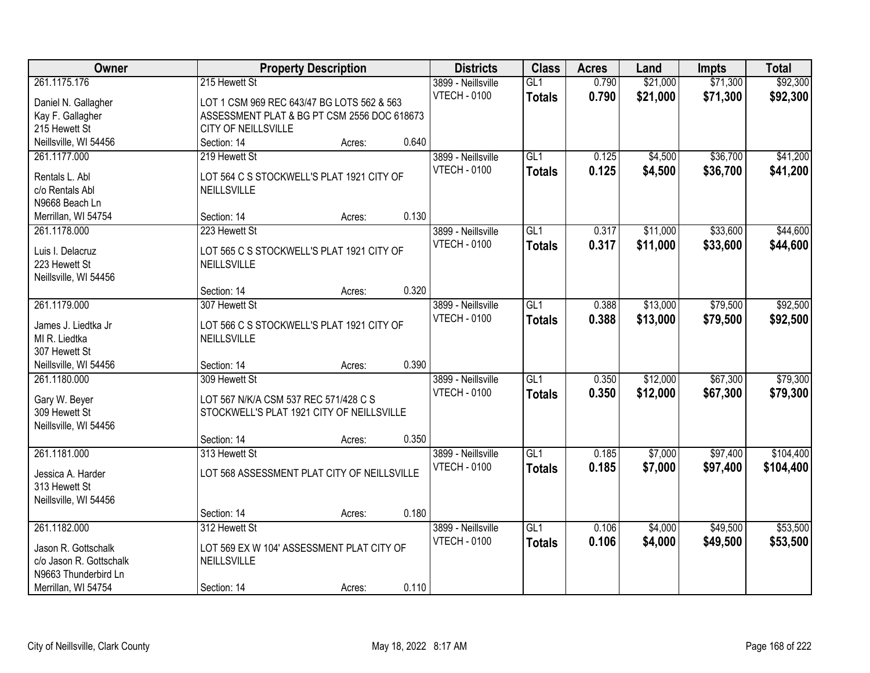| Owner                   | <b>Property Description</b>                 | <b>Districts</b> | <b>Class</b> | <b>Acres</b>        | Land             | Impts | <b>Total</b> |          |           |
|-------------------------|---------------------------------------------|------------------|--------------|---------------------|------------------|-------|--------------|----------|-----------|
| 261.1175.176            | 215 Hewett St                               |                  |              | 3899 - Neillsville  | GL1              | 0.790 | \$21,000     | \$71,300 | \$92,300  |
| Daniel N. Gallagher     | LOT 1 CSM 969 REC 643/47 BG LOTS 562 & 563  |                  |              | <b>VTECH - 0100</b> | <b>Totals</b>    | 0.790 | \$21,000     | \$71,300 | \$92,300  |
| Kay F. Gallagher        | ASSESSMENT PLAT & BG PT CSM 2556 DOC 618673 |                  |              |                     |                  |       |              |          |           |
| 215 Hewett St           | CITY OF NEILLSVILLE                         |                  |              |                     |                  |       |              |          |           |
| Neillsville, WI 54456   | Section: 14                                 | Acres:           | 0.640        |                     |                  |       |              |          |           |
| 261.1177.000            | 219 Hewett St                               |                  |              | 3899 - Neillsville  | GL1              | 0.125 | \$4,500      | \$36,700 | \$41,200  |
|                         |                                             |                  |              | <b>VTECH - 0100</b> | <b>Totals</b>    | 0.125 | \$4,500      | \$36,700 | \$41,200  |
| Rentals L. Abl          | LOT 564 C S STOCKWELL'S PLAT 1921 CITY OF   |                  |              |                     |                  |       |              |          |           |
| c/o Rentals Abl         | NEILLSVILLE                                 |                  |              |                     |                  |       |              |          |           |
| N9668 Beach Ln          | Section: 14                                 |                  | 0.130        |                     |                  |       |              |          |           |
| Merrillan, WI 54754     | 223 Hewett St                               | Acres:           |              | 3899 - Neillsville  | GL1              | 0.317 | \$11,000     | \$33,600 | \$44,600  |
| 261.1178.000            |                                             |                  |              | <b>VTECH - 0100</b> |                  |       |              |          |           |
| Luis I. Delacruz        | LOT 565 C S STOCKWELL'S PLAT 1921 CITY OF   |                  |              |                     | <b>Totals</b>    | 0.317 | \$11,000     | \$33,600 | \$44,600  |
| 223 Hewett St           | NEILLSVILLE                                 |                  |              |                     |                  |       |              |          |           |
| Neillsville, WI 54456   |                                             |                  |              |                     |                  |       |              |          |           |
|                         | Section: 14                                 | Acres:           | 0.320        |                     |                  |       |              |          |           |
| 261.1179.000            | 307 Hewett St                               |                  |              | 3899 - Neillsville  | GL1              | 0.388 | \$13,000     | \$79,500 | \$92,500  |
| James J. Liedtka Jr     | LOT 566 C S STOCKWELL'S PLAT 1921 CITY OF   |                  |              | <b>VTECH - 0100</b> | <b>Totals</b>    | 0.388 | \$13,000     | \$79,500 | \$92,500  |
| MI R. Liedtka           | NEILLSVILLE                                 |                  |              |                     |                  |       |              |          |           |
| 307 Hewett St           |                                             |                  |              |                     |                  |       |              |          |           |
| Neillsville, WI 54456   | Section: 14                                 | Acres:           | 0.390        |                     |                  |       |              |          |           |
| 261.1180.000            | 309 Hewett St                               |                  |              | 3899 - Neillsville  | $\overline{GL1}$ | 0.350 | \$12,000     | \$67,300 | \$79,300  |
|                         |                                             |                  |              | <b>VTECH - 0100</b> | <b>Totals</b>    | 0.350 | \$12,000     | \$67,300 | \$79,300  |
| Gary W. Beyer           | LOT 567 N/K/A CSM 537 REC 571/428 C S       |                  |              |                     |                  |       |              |          |           |
| 309 Hewett St           | STOCKWELL'S PLAT 1921 CITY OF NEILLSVILLE   |                  |              |                     |                  |       |              |          |           |
| Neillsville, WI 54456   |                                             |                  |              |                     |                  |       |              |          |           |
|                         | Section: 14                                 | Acres:           | 0.350        |                     |                  |       |              |          |           |
| 261.1181.000            | 313 Hewett St                               |                  |              | 3899 - Neillsville  | GL1              | 0.185 | \$7,000      | \$97,400 | \$104,400 |
| Jessica A. Harder       | LOT 568 ASSESSMENT PLAT CITY OF NEILLSVILLE |                  |              | <b>VTECH - 0100</b> | <b>Totals</b>    | 0.185 | \$7,000      | \$97,400 | \$104,400 |
| 313 Hewett St           |                                             |                  |              |                     |                  |       |              |          |           |
| Neillsville, WI 54456   |                                             |                  |              |                     |                  |       |              |          |           |
|                         | Section: 14                                 | Acres:           | 0.180        |                     |                  |       |              |          |           |
| 261.1182.000            | 312 Hewett St                               |                  |              | 3899 - Neillsville  | GL1              | 0.106 | \$4,000      | \$49,500 | \$53,500  |
| Jason R. Gottschalk     | LOT 569 EX W 104' ASSESSMENT PLAT CITY OF   |                  |              | <b>VTECH - 0100</b> | <b>Totals</b>    | 0.106 | \$4,000      | \$49,500 | \$53,500  |
| c/o Jason R. Gottschalk | NEILLSVILLE                                 |                  |              |                     |                  |       |              |          |           |
| N9663 Thunderbird Ln    |                                             |                  |              |                     |                  |       |              |          |           |
| Merrillan, WI 54754     | Section: 14                                 | Acres:           | 0.110        |                     |                  |       |              |          |           |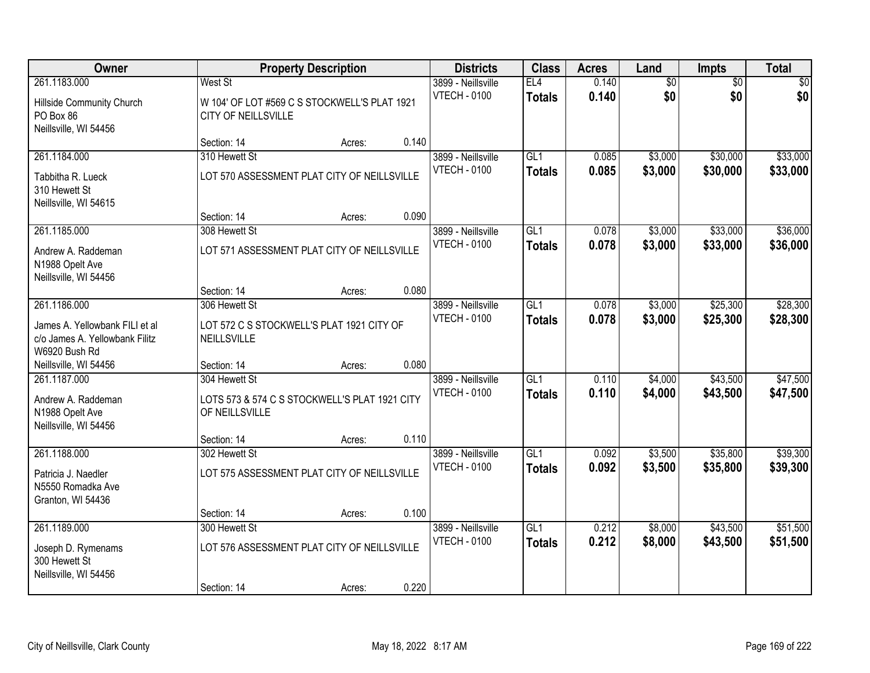| Owner                                                                             |                                                                                  | <b>Property Description</b> |       | <b>Districts</b>                          | <b>Class</b>                      | <b>Acres</b>   | Land                   | Impts                  | <b>Total</b>         |
|-----------------------------------------------------------------------------------|----------------------------------------------------------------------------------|-----------------------------|-------|-------------------------------------------|-----------------------------------|----------------|------------------------|------------------------|----------------------|
| 261.1183.000<br>Hillside Community Church<br>PO Box 86<br>Neillsville, WI 54456   | West St<br>W 104' OF LOT #569 C S STOCKWELL'S PLAT 1921<br>CITY OF NEILLSVILLE   |                             |       | 3899 - Neillsville<br><b>VTECH - 0100</b> | EL4<br><b>Totals</b>              | 0.140<br>0.140 | $\overline{60}$<br>\$0 | $\overline{50}$<br>\$0 | \$0<br>\$0           |
|                                                                                   | Section: 14                                                                      | Acres:                      | 0.140 |                                           |                                   |                |                        |                        |                      |
| 261.1184.000                                                                      | 310 Hewett St                                                                    |                             |       | 3899 - Neillsville                        | GL1                               | 0.085          | \$3,000                | \$30,000               | \$33,000             |
| Tabbitha R. Lueck<br>310 Hewett St<br>Neillsville, WI 54615                       | LOT 570 ASSESSMENT PLAT CITY OF NEILLSVILLE                                      |                             |       | <b>VTECH - 0100</b>                       | <b>Totals</b>                     | 0.085          | \$3,000                | \$30,000               | \$33,000             |
|                                                                                   | Section: 14                                                                      | Acres:                      | 0.090 |                                           |                                   |                |                        |                        |                      |
| 261.1185.000                                                                      | 308 Hewett St                                                                    |                             |       | 3899 - Neillsville                        | GL1                               | 0.078          | \$3,000                | \$33,000               | \$36,000             |
| Andrew A. Raddeman<br>N1988 Opelt Ave<br>Neillsville, WI 54456                    | LOT 571 ASSESSMENT PLAT CITY OF NEILLSVILLE                                      |                             |       | <b>VTECH - 0100</b>                       | <b>Totals</b>                     | 0.078          | \$3,000                | \$33,000               | \$36,000             |
|                                                                                   | Section: 14                                                                      | Acres:                      | 0.080 |                                           |                                   |                |                        |                        |                      |
| 261.1186.000                                                                      | 306 Hewett St                                                                    |                             |       | 3899 - Neillsville                        | GL1                               | 0.078          | \$3,000                | \$25,300               | \$28,300             |
| James A. Yellowbank FILI et al<br>c/o James A. Yellowbank Filitz<br>W6920 Bush Rd | LOT 572 C S STOCKWELL'S PLAT 1921 CITY OF<br>NEILLSVILLE                         |                             |       | <b>VTECH - 0100</b>                       | <b>Totals</b>                     | 0.078          | \$3,000                | \$25,300               | \$28,300             |
| Neillsville, WI 54456                                                             | Section: 14                                                                      | Acres:                      | 0.080 |                                           |                                   |                |                        |                        |                      |
| 261.1187.000<br>Andrew A. Raddeman<br>N1988 Opelt Ave<br>Neillsville, WI 54456    | 304 Hewett St<br>LOTS 573 & 574 C S STOCKWELL'S PLAT 1921 CITY<br>OF NEILLSVILLE |                             |       | 3899 - Neillsville<br><b>VTECH - 0100</b> | $\overline{GL1}$<br><b>Totals</b> | 0.110<br>0.110 | \$4,000<br>\$4,000     | \$43,500<br>\$43,500   | \$47,500<br>\$47,500 |
|                                                                                   | Section: 14                                                                      | Acres:                      | 0.110 |                                           |                                   |                |                        |                        |                      |
| 261.1188.000                                                                      | 302 Hewett St                                                                    |                             |       | 3899 - Neillsville                        | GL1                               | 0.092          | \$3,500                | \$35,800               | \$39,300             |
| Patricia J. Naedler<br>N5550 Romadka Ave<br>Granton, WI 54436                     | LOT 575 ASSESSMENT PLAT CITY OF NEILLSVILLE                                      |                             |       | <b>VTECH - 0100</b>                       | <b>Totals</b>                     | 0.092          | \$3,500                | \$35,800               | \$39,300             |
|                                                                                   | Section: 14                                                                      | Acres:                      | 0.100 |                                           |                                   |                |                        |                        |                      |
| 261.1189.000                                                                      | 300 Hewett St                                                                    |                             |       | 3899 - Neillsville                        | GL1                               | 0.212          | \$8,000                | \$43,500               | \$51,500             |
| Joseph D. Rymenams<br>300 Hewett St<br>Neillsville, WI 54456                      | LOT 576 ASSESSMENT PLAT CITY OF NEILLSVILLE                                      |                             |       | <b>VTECH - 0100</b>                       | <b>Totals</b>                     | 0.212          | \$8,000                | \$43,500               | \$51,500             |
|                                                                                   | Section: 14                                                                      | Acres:                      | 0.220 |                                           |                                   |                |                        |                        |                      |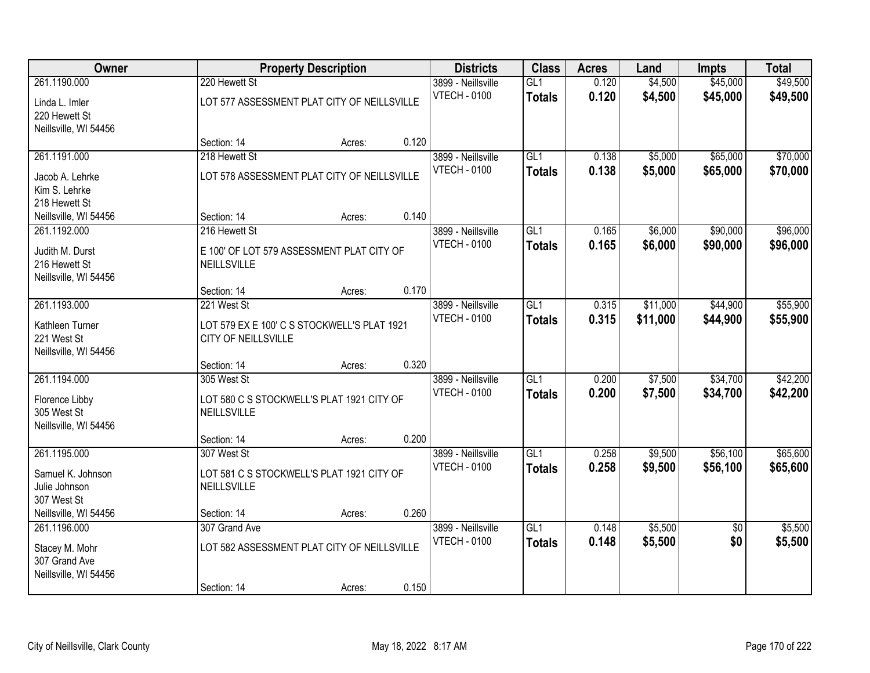| Owner                 |                                             | <b>Property Description</b> |       | <b>Districts</b>    | <b>Class</b>  | <b>Acres</b> | Land     | <b>Impts</b>    | <b>Total</b> |
|-----------------------|---------------------------------------------|-----------------------------|-------|---------------------|---------------|--------------|----------|-----------------|--------------|
| 261.1190.000          | 220 Hewett St                               |                             |       | 3899 - Neillsville  | GL1           | 0.120        | \$4,500  | \$45,000        | \$49,500     |
| Linda L. Imler        | LOT 577 ASSESSMENT PLAT CITY OF NEILLSVILLE |                             |       | <b>VTECH - 0100</b> | <b>Totals</b> | 0.120        | \$4,500  | \$45,000        | \$49,500     |
| 220 Hewett St         |                                             |                             |       |                     |               |              |          |                 |              |
| Neillsville, WI 54456 |                                             |                             |       |                     |               |              |          |                 |              |
|                       | Section: 14                                 | Acres:                      | 0.120 |                     |               |              |          |                 |              |
| 261.1191.000          | 218 Hewett St                               |                             |       | 3899 - Neillsville  | GL1           | 0.138        | \$5,000  | \$65,000        | \$70,000     |
| Jacob A. Lehrke       | LOT 578 ASSESSMENT PLAT CITY OF NEILLSVILLE |                             |       | <b>VTECH - 0100</b> | <b>Totals</b> | 0.138        | \$5,000  | \$65,000        | \$70,000     |
| Kim S. Lehrke         |                                             |                             |       |                     |               |              |          |                 |              |
| 218 Hewett St         |                                             |                             |       |                     |               |              |          |                 |              |
| Neillsville, WI 54456 | Section: 14                                 | Acres:                      | 0.140 |                     |               |              |          |                 |              |
| 261.1192.000          | 216 Hewett St                               |                             |       | 3899 - Neillsville  | GL1           | 0.165        | \$6,000  | \$90,000        | \$96,000     |
| Judith M. Durst       | E 100' OF LOT 579 ASSESSMENT PLAT CITY OF   |                             |       | <b>VTECH - 0100</b> | <b>Totals</b> | 0.165        | \$6,000  | \$90,000        | \$96,000     |
| 216 Hewett St         | NEILLSVILLE                                 |                             |       |                     |               |              |          |                 |              |
| Neillsville, WI 54456 |                                             |                             |       |                     |               |              |          |                 |              |
|                       | Section: 14                                 | Acres:                      | 0.170 |                     |               |              |          |                 |              |
| 261.1193.000          | 221 West St                                 |                             |       | 3899 - Neillsville  | GL1           | 0.315        | \$11,000 | \$44,900        | \$55,900     |
| Kathleen Turner       | LOT 579 EX E 100' C S STOCKWELL'S PLAT 1921 |                             |       | <b>VTECH - 0100</b> | <b>Totals</b> | 0.315        | \$11,000 | \$44,900        | \$55,900     |
| 221 West St           | CITY OF NEILLSVILLE                         |                             |       |                     |               |              |          |                 |              |
| Neillsville, WI 54456 |                                             |                             |       |                     |               |              |          |                 |              |
|                       | Section: 14                                 | Acres:                      | 0.320 |                     |               |              |          |                 |              |
| 261.1194.000          | 305 West St                                 |                             |       | 3899 - Neillsville  | GLI           | 0.200        | \$7,500  | \$34,700        | \$42,200     |
| Florence Libby        | LOT 580 C S STOCKWELL'S PLAT 1921 CITY OF   |                             |       | <b>VTECH - 0100</b> | <b>Totals</b> | 0.200        | \$7,500  | \$34,700        | \$42,200     |
| 305 West St           | NEILLSVILLE                                 |                             |       |                     |               |              |          |                 |              |
| Neillsville, WI 54456 |                                             |                             |       |                     |               |              |          |                 |              |
|                       | Section: 14                                 | Acres:                      | 0.200 |                     |               |              |          |                 |              |
| 261.1195.000          | 307 West St                                 |                             |       | 3899 - Neillsville  | GL1           | 0.258        | \$9,500  | \$56,100        | \$65,600     |
| Samuel K. Johnson     | LOT 581 C S STOCKWELL'S PLAT 1921 CITY OF   |                             |       | <b>VTECH - 0100</b> | <b>Totals</b> | 0.258        | \$9,500  | \$56,100        | \$65,600     |
| Julie Johnson         | NEILLSVILLE                                 |                             |       |                     |               |              |          |                 |              |
| 307 West St           |                                             |                             |       |                     |               |              |          |                 |              |
| Neillsville, WI 54456 | Section: 14                                 | Acres:                      | 0.260 |                     |               |              |          |                 |              |
| 261.1196.000          | 307 Grand Ave                               |                             |       | 3899 - Neillsville  | GL1           | 0.148        | \$5,500  | $\overline{50}$ | \$5,500      |
| Stacey M. Mohr        | LOT 582 ASSESSMENT PLAT CITY OF NEILLSVILLE |                             |       | <b>VTECH - 0100</b> | <b>Totals</b> | 0.148        | \$5,500  | \$0             | \$5,500      |
| 307 Grand Ave         |                                             |                             |       |                     |               |              |          |                 |              |
| Neillsville, WI 54456 |                                             |                             |       |                     |               |              |          |                 |              |
|                       | Section: 14                                 | Acres:                      | 0.150 |                     |               |              |          |                 |              |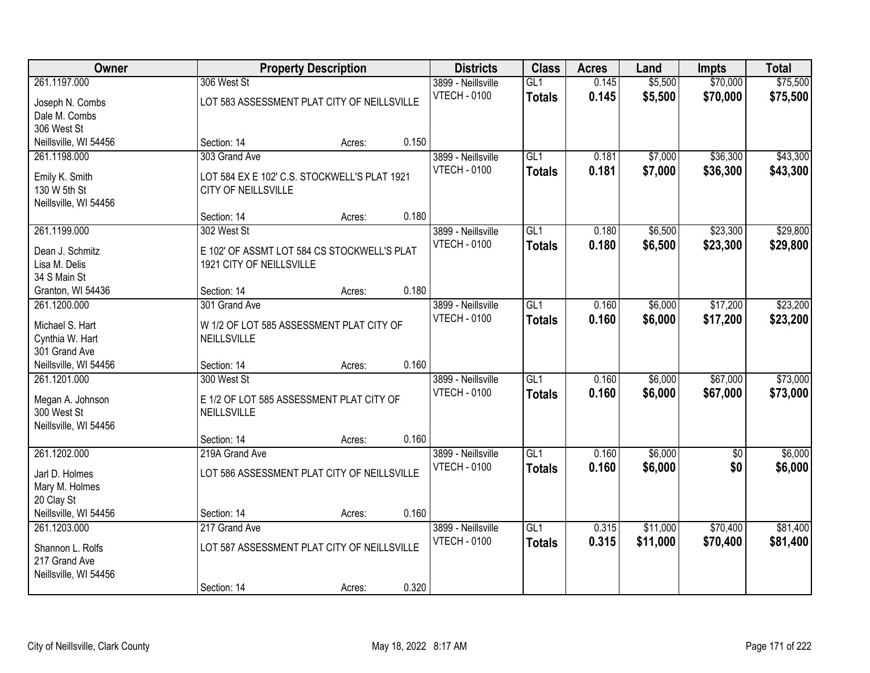| Owner                 |                                              | <b>Property Description</b> |       | <b>Districts</b>    | <b>Class</b>  | <b>Acres</b> | Land     | <b>Impts</b>    | <b>Total</b> |
|-----------------------|----------------------------------------------|-----------------------------|-------|---------------------|---------------|--------------|----------|-----------------|--------------|
| 261.1197.000          | 306 West St                                  |                             |       | 3899 - Neillsville  | GL1           | 0.145        | \$5,500  | \$70,000        | \$75,500     |
| Joseph N. Combs       | LOT 583 ASSESSMENT PLAT CITY OF NEILLSVILLE  |                             |       | <b>VTECH - 0100</b> | <b>Totals</b> | 0.145        | \$5,500  | \$70,000        | \$75,500     |
| Dale M. Combs         |                                              |                             |       |                     |               |              |          |                 |              |
| 306 West St           |                                              |                             |       |                     |               |              |          |                 |              |
| Neillsville, WI 54456 | Section: 14                                  | Acres:                      | 0.150 |                     |               |              |          |                 |              |
| 261.1198.000          | 303 Grand Ave                                |                             |       | 3899 - Neillsville  | GL1           | 0.181        | \$7,000  | \$36,300        | \$43,300     |
| Emily K. Smith        | LOT 584 EX E 102' C.S. STOCKWELL'S PLAT 1921 |                             |       | <b>VTECH - 0100</b> | <b>Totals</b> | 0.181        | \$7,000  | \$36,300        | \$43,300     |
| 130 W 5th St          | CITY OF NEILLSVILLE                          |                             |       |                     |               |              |          |                 |              |
| Neillsville, WI 54456 |                                              |                             |       |                     |               |              |          |                 |              |
|                       | Section: 14                                  | Acres:                      | 0.180 |                     |               |              |          |                 |              |
| 261.1199.000          | 302 West St                                  |                             |       | 3899 - Neillsville  | GL1           | 0.180        | \$6,500  | \$23,300        | \$29,800     |
| Dean J. Schmitz       | E 102' OF ASSMT LOT 584 CS STOCKWELL'S PLAT  |                             |       | <b>VTECH - 0100</b> | <b>Totals</b> | 0.180        | \$6,500  | \$23,300        | \$29,800     |
| Lisa M. Delis         | 1921 CITY OF NEILLSVILLE                     |                             |       |                     |               |              |          |                 |              |
| 34 S Main St          |                                              |                             |       |                     |               |              |          |                 |              |
| Granton, WI 54436     | Section: 14                                  | Acres:                      | 0.180 |                     |               |              |          |                 |              |
| 261.1200.000          | 301 Grand Ave                                |                             |       | 3899 - Neillsville  | GL1           | 0.160        | \$6,000  | \$17,200        | \$23,200     |
| Michael S. Hart       | W 1/2 OF LOT 585 ASSESSMENT PLAT CITY OF     |                             |       | <b>VTECH - 0100</b> | <b>Totals</b> | 0.160        | \$6,000  | \$17,200        | \$23,200     |
| Cynthia W. Hart       | NEILLSVILLE                                  |                             |       |                     |               |              |          |                 |              |
| 301 Grand Ave         |                                              |                             |       |                     |               |              |          |                 |              |
| Neillsville, WI 54456 | Section: 14                                  | Acres:                      | 0.160 |                     |               |              |          |                 |              |
| 261.1201.000          | 300 West St                                  |                             |       | 3899 - Neillsville  | GLI           | 0.160        | \$6,000  | \$67,000        | \$73,000     |
| Megan A. Johnson      | E 1/2 OF LOT 585 ASSESSMENT PLAT CITY OF     |                             |       | <b>VTECH - 0100</b> | <b>Totals</b> | 0.160        | \$6,000  | \$67,000        | \$73,000     |
| 300 West St           | NEILLSVILLE                                  |                             |       |                     |               |              |          |                 |              |
| Neillsville, WI 54456 |                                              |                             |       |                     |               |              |          |                 |              |
|                       | Section: 14                                  | Acres:                      | 0.160 |                     |               |              |          |                 |              |
| 261.1202.000          | 219A Grand Ave                               |                             |       | 3899 - Neillsville  | GL1           | 0.160        | \$6,000  | $\overline{50}$ | \$6,000      |
| Jarl D. Holmes        | LOT 586 ASSESSMENT PLAT CITY OF NEILLSVILLE  |                             |       | <b>VTECH - 0100</b> | <b>Totals</b> | 0.160        | \$6,000  | \$0             | \$6,000      |
| Mary M. Holmes        |                                              |                             |       |                     |               |              |          |                 |              |
| 20 Clay St            |                                              |                             |       |                     |               |              |          |                 |              |
| Neillsville, WI 54456 | Section: 14                                  | Acres:                      | 0.160 |                     |               |              |          |                 |              |
| 261.1203.000          | 217 Grand Ave                                |                             |       | 3899 - Neillsville  | GL1           | 0.315        | \$11,000 | \$70,400        | \$81,400     |
| Shannon L. Rolfs      | LOT 587 ASSESSMENT PLAT CITY OF NEILLSVILLE  |                             |       | <b>VTECH - 0100</b> | <b>Totals</b> | 0.315        | \$11,000 | \$70,400        | \$81,400     |
| 217 Grand Ave         |                                              |                             |       |                     |               |              |          |                 |              |
| Neillsville, WI 54456 |                                              |                             |       |                     |               |              |          |                 |              |
|                       | Section: 14                                  | Acres:                      | 0.320 |                     |               |              |          |                 |              |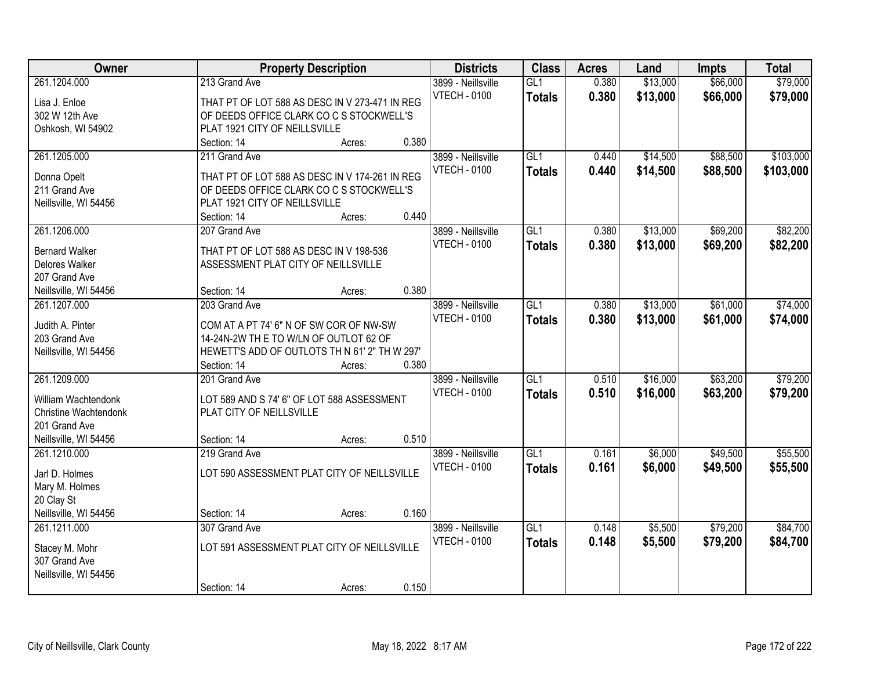| Owner                 |                                                | <b>Property Description</b> |       | <b>Districts</b>    | <b>Class</b>     | <b>Acres</b> | Land     | <b>Impts</b> | <b>Total</b> |
|-----------------------|------------------------------------------------|-----------------------------|-------|---------------------|------------------|--------------|----------|--------------|--------------|
| 261.1204.000          | 213 Grand Ave                                  |                             |       | 3899 - Neillsville  | GL1              | 0.380        | \$13,000 | \$66,000     | \$79,000     |
| Lisa J. Enloe         | THAT PT OF LOT 588 AS DESC IN V 273-471 IN REG |                             |       | <b>VTECH - 0100</b> | <b>Totals</b>    | 0.380        | \$13,000 | \$66,000     | \$79,000     |
| 302 W 12th Ave        | OF DEEDS OFFICE CLARK CO C S STOCKWELL'S       |                             |       |                     |                  |              |          |              |              |
| Oshkosh, WI 54902     | PLAT 1921 CITY OF NEILLSVILLE                  |                             |       |                     |                  |              |          |              |              |
|                       | Section: 14                                    | Acres:                      | 0.380 |                     |                  |              |          |              |              |
| 261.1205.000          | 211 Grand Ave                                  |                             |       | 3899 - Neillsville  | GL1              | 0.440        | \$14,500 | \$88,500     | \$103,000    |
|                       |                                                |                             |       | <b>VTECH - 0100</b> | <b>Totals</b>    | 0.440        | \$14,500 | \$88,500     | \$103,000    |
| Donna Opelt           | THAT PT OF LOT 588 AS DESC IN V 174-261 IN REG |                             |       |                     |                  |              |          |              |              |
| 211 Grand Ave         | OF DEEDS OFFICE CLARK CO C S STOCKWELL'S       |                             |       |                     |                  |              |          |              |              |
| Neillsville, WI 54456 | PLAT 1921 CITY OF NEILLSVILLE                  |                             |       |                     |                  |              |          |              |              |
|                       | Section: 14                                    | Acres:                      | 0.440 |                     |                  |              |          |              |              |
| 261.1206.000          | 207 Grand Ave                                  |                             |       | 3899 - Neillsville  | GL1              | 0.380        | \$13,000 | \$69,200     | \$82,200     |
| <b>Bernard Walker</b> | THAT PT OF LOT 588 AS DESC IN V 198-536        |                             |       | <b>VTECH - 0100</b> | <b>Totals</b>    | 0.380        | \$13,000 | \$69,200     | \$82,200     |
| Delores Walker        | ASSESSMENT PLAT CITY OF NEILLSVILLE            |                             |       |                     |                  |              |          |              |              |
| 207 Grand Ave         |                                                |                             |       |                     |                  |              |          |              |              |
|                       |                                                |                             | 0.380 |                     |                  |              |          |              |              |
| Neillsville, WI 54456 | Section: 14                                    | Acres:                      |       |                     |                  |              |          |              |              |
| 261.1207.000          | 203 Grand Ave                                  |                             |       | 3899 - Neillsville  | $\overline{GL1}$ | 0.380        | \$13,000 | \$61,000     | \$74,000     |
| Judith A. Pinter      | COM AT A PT 74' 6" N OF SW COR OF NW-SW        |                             |       | <b>VTECH - 0100</b> | <b>Totals</b>    | 0.380        | \$13,000 | \$61,000     | \$74,000     |
| 203 Grand Ave         | 14-24N-2W TH E TO W/LN OF OUTLOT 62 OF         |                             |       |                     |                  |              |          |              |              |
| Neillsville, WI 54456 | HEWETT'S ADD OF OUTLOTS TH N 61' 2" TH W 297'  |                             |       |                     |                  |              |          |              |              |
|                       | Section: 14                                    | Acres:                      | 0.380 |                     |                  |              |          |              |              |
| 261.1209.000          | 201 Grand Ave                                  |                             |       | 3899 - Neillsville  | $\overline{GL1}$ | 0.510        | \$16,000 | \$63,200     | \$79,200     |
|                       |                                                |                             |       | <b>VTECH - 0100</b> | <b>Totals</b>    | 0.510        | \$16,000 | \$63,200     | \$79,200     |
| William Wachtendonk   | LOT 589 AND S 74' 6" OF LOT 588 ASSESSMENT     |                             |       |                     |                  |              |          |              |              |
| Christine Wachtendonk | PLAT CITY OF NEILLSVILLE                       |                             |       |                     |                  |              |          |              |              |
| 201 Grand Ave         |                                                |                             |       |                     |                  |              |          |              |              |
| Neillsville, WI 54456 | Section: 14                                    | Acres:                      | 0.510 |                     |                  |              |          |              |              |
| 261.1210.000          | 219 Grand Ave                                  |                             |       | 3899 - Neillsville  | GL1              | 0.161        | \$6,000  | \$49,500     | \$55,500     |
| Jarl D. Holmes        | LOT 590 ASSESSMENT PLAT CITY OF NEILLSVILLE    |                             |       | <b>VTECH - 0100</b> | <b>Totals</b>    | 0.161        | \$6,000  | \$49,500     | \$55,500     |
| Mary M. Holmes        |                                                |                             |       |                     |                  |              |          |              |              |
| 20 Clay St            |                                                |                             |       |                     |                  |              |          |              |              |
| Neillsville, WI 54456 | Section: 14                                    |                             | 0.160 |                     |                  |              |          |              |              |
|                       |                                                | Acres:                      |       |                     |                  |              |          |              |              |
| 261.1211.000          | 307 Grand Ave                                  |                             |       | 3899 - Neillsville  | GL1              | 0.148        | \$5,500  | \$79,200     | \$84,700     |
| Stacey M. Mohr        | LOT 591 ASSESSMENT PLAT CITY OF NEILLSVILLE    |                             |       | <b>VTECH - 0100</b> | <b>Totals</b>    | 0.148        | \$5,500  | \$79,200     | \$84,700     |
| 307 Grand Ave         |                                                |                             |       |                     |                  |              |          |              |              |
| Neillsville, WI 54456 |                                                |                             |       |                     |                  |              |          |              |              |
|                       | Section: 14                                    | Acres:                      | 0.150 |                     |                  |              |          |              |              |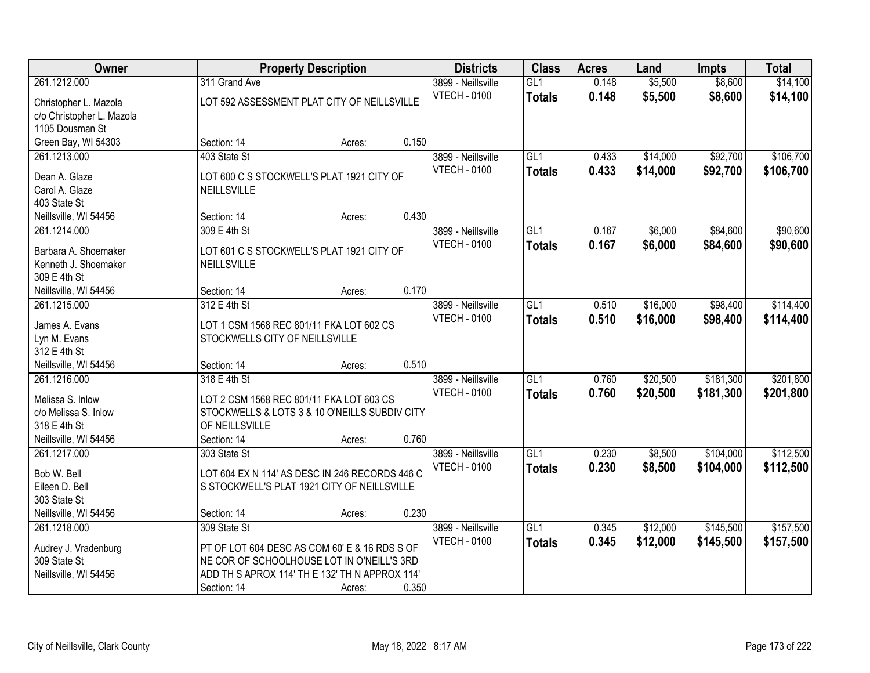| <b>Owner</b>                    |                                                                 | <b>Property Description</b> |       | <b>Districts</b>    | <b>Class</b>     | <b>Acres</b> | Land     | <b>Impts</b> | <b>Total</b> |
|---------------------------------|-----------------------------------------------------------------|-----------------------------|-------|---------------------|------------------|--------------|----------|--------------|--------------|
| 261.1212.000                    | 311 Grand Ave                                                   |                             |       | 3899 - Neillsville  | GL1              | 0.148        | \$5,500  | \$8,600      | \$14,100     |
| Christopher L. Mazola           | LOT 592 ASSESSMENT PLAT CITY OF NEILLSVILLE                     |                             |       | <b>VTECH - 0100</b> | <b>Totals</b>    | 0.148        | \$5,500  | \$8,600      | \$14,100     |
| c/o Christopher L. Mazola       |                                                                 |                             |       |                     |                  |              |          |              |              |
| 1105 Dousman St                 |                                                                 |                             |       |                     |                  |              |          |              |              |
| Green Bay, WI 54303             | Section: 14                                                     | Acres:                      | 0.150 |                     |                  |              |          |              |              |
| 261.1213.000                    | 403 State St                                                    |                             |       | 3899 - Neillsville  | GL1              | 0.433        | \$14,000 | \$92,700     | \$106,700    |
|                                 |                                                                 |                             |       | <b>VTECH - 0100</b> | <b>Totals</b>    | 0.433        | \$14,000 | \$92,700     | \$106,700    |
| Dean A. Glaze<br>Carol A. Glaze | LOT 600 C S STOCKWELL'S PLAT 1921 CITY OF<br><b>NEILLSVILLE</b> |                             |       |                     |                  |              |          |              |              |
| 403 State St                    |                                                                 |                             |       |                     |                  |              |          |              |              |
| Neillsville, WI 54456           | Section: 14                                                     | Acres:                      | 0.430 |                     |                  |              |          |              |              |
| 261.1214.000                    | 309 E 4th St                                                    |                             |       | 3899 - Neillsville  | GL1              | 0.167        | \$6,000  | \$84,600     | \$90,600     |
|                                 |                                                                 |                             |       | <b>VTECH - 0100</b> |                  | 0.167        | \$6,000  | \$84,600     | \$90,600     |
| Barbara A. Shoemaker            | LOT 601 C S STOCKWELL'S PLAT 1921 CITY OF                       |                             |       |                     | <b>Totals</b>    |              |          |              |              |
| Kenneth J. Shoemaker            | NEILLSVILLE                                                     |                             |       |                     |                  |              |          |              |              |
| 309 E 4th St                    |                                                                 |                             |       |                     |                  |              |          |              |              |
| Neillsville, WI 54456           | Section: 14                                                     | Acres:                      | 0.170 |                     |                  |              |          |              |              |
| 261.1215.000                    | 312 E 4th St                                                    |                             |       | 3899 - Neillsville  | $\overline{GL1}$ | 0.510        | \$16,000 | \$98,400     | \$114,400    |
| James A. Evans                  | LOT 1 CSM 1568 REC 801/11 FKA LOT 602 CS                        |                             |       | <b>VTECH - 0100</b> | <b>Totals</b>    | 0.510        | \$16,000 | \$98,400     | \$114,400    |
| Lyn M. Evans                    | STOCKWELLS CITY OF NEILLSVILLE                                  |                             |       |                     |                  |              |          |              |              |
| 312 E 4th St                    |                                                                 |                             |       |                     |                  |              |          |              |              |
| Neillsville, WI 54456           | Section: 14                                                     | Acres:                      | 0.510 |                     |                  |              |          |              |              |
| 261.1216.000                    | 318 E 4th St                                                    |                             |       | 3899 - Neillsville  | $\overline{GL1}$ | 0.760        | \$20,500 | \$181,300    | \$201,800    |
|                                 |                                                                 |                             |       | <b>VTECH - 0100</b> | <b>Totals</b>    | 0.760        | \$20,500 | \$181,300    | \$201,800    |
| Melissa S. Inlow                | LOT 2 CSM 1568 REC 801/11 FKA LOT 603 CS                        |                             |       |                     |                  |              |          |              |              |
| c/o Melissa S. Inlow            | STOCKWELLS & LOTS 3 & 10 O'NEILLS SUBDIV CITY                   |                             |       |                     |                  |              |          |              |              |
| 318 E 4th St                    | OF NEILLSVILLE                                                  |                             |       |                     |                  |              |          |              |              |
| Neillsville, WI 54456           | Section: 14                                                     | Acres:                      | 0.760 |                     |                  |              |          |              |              |
| 261.1217.000                    | 303 State St                                                    |                             |       | 3899 - Neillsville  | GL1              | 0.230        | \$8,500  | \$104,000    | \$112,500    |
| Bob W. Bell                     | LOT 604 EX N 114' AS DESC IN 246 RECORDS 446 C                  |                             |       | <b>VTECH - 0100</b> | <b>Totals</b>    | 0.230        | \$8,500  | \$104,000    | \$112,500    |
| Eileen D. Bell                  | S STOCKWELL'S PLAT 1921 CITY OF NEILLSVILLE                     |                             |       |                     |                  |              |          |              |              |
| 303 State St                    |                                                                 |                             |       |                     |                  |              |          |              |              |
| Neillsville, WI 54456           | Section: 14                                                     | Acres:                      | 0.230 |                     |                  |              |          |              |              |
| 261.1218.000                    | 309 State St                                                    |                             |       | 3899 - Neillsville  | GL1              | 0.345        | \$12,000 | \$145,500    | \$157,500    |
| Audrey J. Vradenburg            | PT OF LOT 604 DESC AS COM 60' E & 16 RDS S OF                   |                             |       | <b>VTECH - 0100</b> | <b>Totals</b>    | 0.345        | \$12,000 | \$145,500    | \$157,500    |
| 309 State St                    | NE COR OF SCHOOLHOUSE LOT IN O'NEILL'S 3RD                      |                             |       |                     |                  |              |          |              |              |
| Neillsville, WI 54456           | ADD TH S APROX 114' TH E 132' TH N APPROX 114'                  |                             |       |                     |                  |              |          |              |              |
|                                 | Section: 14                                                     | Acres:                      | 0.350 |                     |                  |              |          |              |              |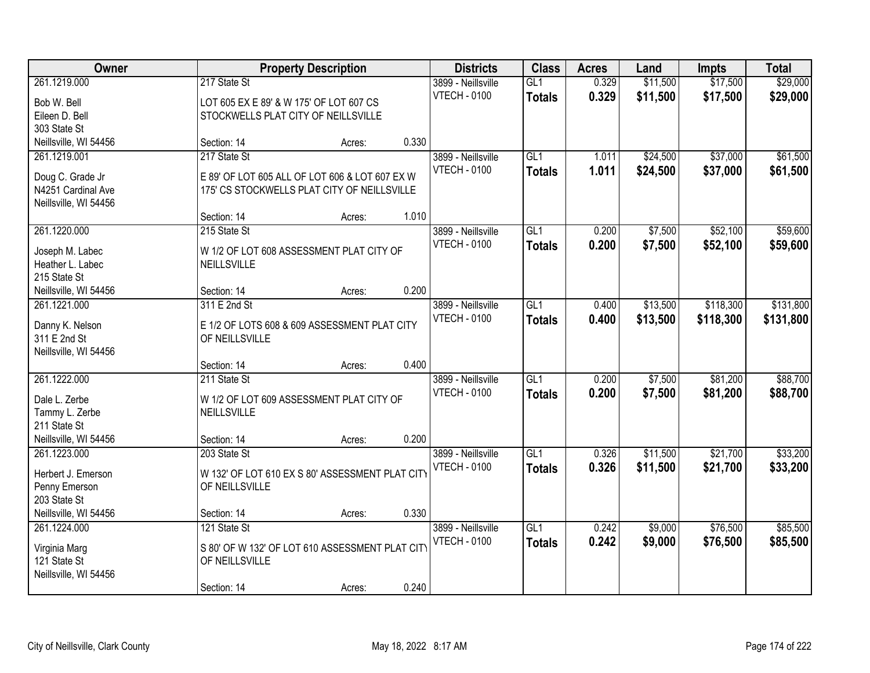| Owner                                  |                                                 | <b>Property Description</b> |       | <b>Districts</b>    | <b>Class</b>    | <b>Acres</b> | Land     | <b>Impts</b> | <b>Total</b> |
|----------------------------------------|-------------------------------------------------|-----------------------------|-------|---------------------|-----------------|--------------|----------|--------------|--------------|
| 261.1219.000                           | 217 State St                                    |                             |       | 3899 - Neillsville  | GL1             | 0.329        | \$11,500 | \$17,500     | \$29,000     |
| Bob W. Bell                            | LOT 605 EX E 89' & W 175' OF LOT 607 CS         |                             |       | <b>VTECH - 0100</b> | <b>Totals</b>   | 0.329        | \$11,500 | \$17,500     | \$29,000     |
| Eileen D. Bell                         | STOCKWELLS PLAT CITY OF NEILLSVILLE             |                             |       |                     |                 |              |          |              |              |
| 303 State St                           |                                                 |                             |       |                     |                 |              |          |              |              |
| Neillsville, WI 54456                  | Section: 14                                     | Acres:                      | 0.330 |                     |                 |              |          |              |              |
| 261.1219.001                           | 217 State St                                    |                             |       | 3899 - Neillsville  | GL1             | 1.011        | \$24,500 | \$37,000     | \$61,500     |
|                                        |                                                 |                             |       | <b>VTECH - 0100</b> | <b>Totals</b>   | 1.011        | \$24,500 | \$37,000     | \$61,500     |
| Doug C. Grade Jr<br>N4251 Cardinal Ave | E 89' OF LOT 605 ALL OF LOT 606 & LOT 607 EX W  |                             |       |                     |                 |              |          |              |              |
| Neillsville, WI 54456                  | 175' CS STOCKWELLS PLAT CITY OF NEILLSVILLE     |                             |       |                     |                 |              |          |              |              |
|                                        | Section: 14                                     | Acres:                      | 1.010 |                     |                 |              |          |              |              |
| 261.1220.000                           | 215 State St                                    |                             |       | 3899 - Neillsville  | GL <sub>1</sub> | 0.200        | \$7,500  | \$52,100     | \$59,600     |
|                                        |                                                 |                             |       | <b>VTECH - 0100</b> | <b>Totals</b>   | 0.200        | \$7,500  | \$52,100     | \$59,600     |
| Joseph M. Labec                        | W 1/2 OF LOT 608 ASSESSMENT PLAT CITY OF        |                             |       |                     |                 |              |          |              |              |
| Heather L. Labec                       | NEILLSVILLE                                     |                             |       |                     |                 |              |          |              |              |
| 215 State St                           |                                                 |                             |       |                     |                 |              |          |              |              |
| Neillsville, WI 54456                  | Section: 14                                     | Acres:                      | 0.200 |                     |                 |              |          |              |              |
| 261.1221.000                           | 311 E 2nd St                                    |                             |       | 3899 - Neillsville  | GL1             | 0.400        | \$13,500 | \$118,300    | \$131,800    |
| Danny K. Nelson                        | E 1/2 OF LOTS 608 & 609 ASSESSMENT PLAT CITY    |                             |       | <b>VTECH - 0100</b> | <b>Totals</b>   | 0.400        | \$13,500 | \$118,300    | \$131,800    |
| 311 E 2nd St                           | OF NEILLSVILLE                                  |                             |       |                     |                 |              |          |              |              |
| Neillsville, WI 54456                  |                                                 |                             |       |                     |                 |              |          |              |              |
|                                        | Section: 14                                     | Acres:                      | 0.400 |                     |                 |              |          |              |              |
| 261.1222.000                           | 211 State St                                    |                             |       | 3899 - Neillsville  | GL1             | 0.200        | \$7,500  | \$81,200     | \$88,700     |
| Dale L. Zerbe                          | W 1/2 OF LOT 609 ASSESSMENT PLAT CITY OF        |                             |       | <b>VTECH - 0100</b> | <b>Totals</b>   | 0.200        | \$7,500  | \$81,200     | \$88,700     |
| Tammy L. Zerbe                         | <b>NEILLSVILLE</b>                              |                             |       |                     |                 |              |          |              |              |
| 211 State St                           |                                                 |                             |       |                     |                 |              |          |              |              |
| Neillsville, WI 54456                  | Section: 14                                     | Acres:                      | 0.200 |                     |                 |              |          |              |              |
| 261.1223.000                           | 203 State St                                    |                             |       | 3899 - Neillsville  | GL <sub>1</sub> | 0.326        | \$11,500 | \$21,700     | \$33,200     |
|                                        |                                                 |                             |       | <b>VTECH - 0100</b> | <b>Totals</b>   | 0.326        | \$11,500 | \$21,700     | \$33,200     |
| Herbert J. Emerson                     | W 132' OF LOT 610 EX S 80' ASSESSMENT PLAT CITY |                             |       |                     |                 |              |          |              |              |
| Penny Emerson                          | OF NEILLSVILLE                                  |                             |       |                     |                 |              |          |              |              |
| 203 State St                           |                                                 |                             |       |                     |                 |              |          |              |              |
| Neillsville, WI 54456                  | Section: 14                                     | Acres:                      | 0.330 |                     |                 |              |          |              |              |
| 261.1224.000                           | 121 State St                                    |                             |       | 3899 - Neillsville  | GL1             | 0.242        | \$9,000  | \$76,500     | \$85,500     |
| Virginia Marg                          | S 80' OF W 132' OF LOT 610 ASSESSMENT PLAT CITY |                             |       | <b>VTECH - 0100</b> | <b>Totals</b>   | 0.242        | \$9,000  | \$76,500     | \$85,500     |
| 121 State St                           | OF NEILLSVILLE                                  |                             |       |                     |                 |              |          |              |              |
| Neillsville, WI 54456                  |                                                 |                             |       |                     |                 |              |          |              |              |
|                                        | Section: 14                                     | Acres:                      | 0.240 |                     |                 |              |          |              |              |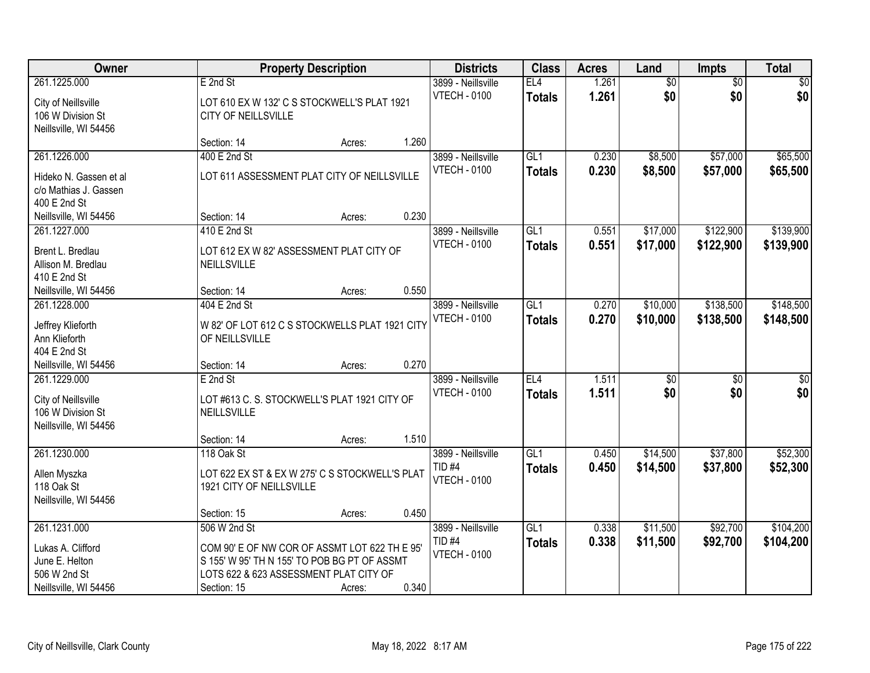| Owner                                                                                                      |                                                                                                                                                                        | <b>Property Description</b> |                | <b>Districts</b>                                               | <b>Class</b>         | <b>Acres</b>   | Land                   | <b>Impts</b>           | <b>Total</b>            |
|------------------------------------------------------------------------------------------------------------|------------------------------------------------------------------------------------------------------------------------------------------------------------------------|-----------------------------|----------------|----------------------------------------------------------------|----------------------|----------------|------------------------|------------------------|-------------------------|
| 261.1225.000<br>City of Neillsville<br>106 W Division St<br>Neillsville, WI 54456                          | E 2nd St<br>LOT 610 EX W 132' C S STOCKWELL'S PLAT 1921<br>CITY OF NEILLSVILLE                                                                                         |                             |                | 3899 - Neillsville<br><b>VTECH - 0100</b>                      | EL4<br><b>Totals</b> | 1.261<br>1.261 | $\overline{50}$<br>\$0 | $\overline{50}$<br>\$0 | $\sqrt{50}$<br>\$0      |
|                                                                                                            | Section: 14                                                                                                                                                            | Acres:                      | 1.260          |                                                                |                      |                |                        |                        |                         |
| 261.1226.000<br>Hideko N. Gassen et al<br>c/o Mathias J. Gassen                                            | 400 E 2nd St<br>LOT 611 ASSESSMENT PLAT CITY OF NEILLSVILLE                                                                                                            |                             |                | 3899 - Neillsville<br><b>VTECH - 0100</b>                      | GL1<br><b>Totals</b> | 0.230<br>0.230 | \$8,500<br>\$8,500     | \$57,000<br>\$57,000   | \$65,500<br>\$65,500    |
| 400 E 2nd St<br>Neillsville, WI 54456                                                                      | Section: 14                                                                                                                                                            | Acres:                      | 0.230          |                                                                |                      |                |                        |                        |                         |
| 261.1227.000<br>Brent L. Bredlau<br>Allison M. Bredlau<br>410 E 2nd St                                     | 410 E 2nd St<br>LOT 612 EX W 82' ASSESSMENT PLAT CITY OF<br>NEILLSVILLE                                                                                                |                             |                | 3899 - Neillsville<br><b>VTECH - 0100</b>                      | GL1<br><b>Totals</b> | 0.551<br>0.551 | \$17,000<br>\$17,000   | \$122,900<br>\$122,900 | \$139,900<br>\$139,900  |
| Neillsville, WI 54456<br>261.1228.000<br>Jeffrey Klieforth<br>Ann Klieforth<br>404 E 2nd St                | Section: 14<br>404 E 2nd St<br>W 82' OF LOT 612 C S STOCKWELLS PLAT 1921 CITY<br>OF NEILLSVILLE                                                                        | Acres:                      | 0.550          | 3899 - Neillsville<br><b>VTECH - 0100</b>                      | GL1<br><b>Totals</b> | 0.270<br>0.270 | \$10,000<br>\$10,000   | \$138,500<br>\$138,500 | \$148,500<br>\$148,500  |
| Neillsville, WI 54456<br>261.1229.000<br>City of Neillsville<br>106 W Division St<br>Neillsville, WI 54456 | Section: 14<br>E 2nd St<br>LOT #613 C. S. STOCKWELL'S PLAT 1921 CITY OF<br><b>NEILLSVILLE</b><br>Section: 14                                                           | Acres:<br>Acres:            | 0.270<br>1.510 | 3899 - Neillsville<br><b>VTECH - 0100</b>                      | EL4<br><b>Totals</b> | 1.511<br>1.511 | $\overline{50}$<br>\$0 | $\overline{30}$<br>\$0 | $\overline{\$0}$<br>\$0 |
| 261.1230.000<br>Allen Myszka<br>118 Oak St<br>Neillsville, WI 54456                                        | 118 Oak St<br>LOT 622 EX ST & EX W 275' C S STOCKWELL'S PLAT<br>1921 CITY OF NEILLSVILLE<br>Section: 15                                                                | Acres:                      | 0.450          | 3899 - Neillsville<br>TID <sub>#4</sub><br><b>VTECH - 0100</b> | GL1<br><b>Totals</b> | 0.450<br>0.450 | \$14,500<br>\$14,500   | \$37,800<br>\$37,800   | \$52,300<br>\$52,300    |
| 261.1231.000<br>Lukas A. Clifford<br>June E. Helton<br>506 W 2nd St<br>Neillsville, WI 54456               | 506 W 2nd St<br>COM 90' E OF NW COR OF ASSMT LOT 622 TH E 95'<br>S 155' W 95' TH N 155' TO POB BG PT OF ASSMT<br>LOTS 622 & 623 ASSESSMENT PLAT CITY OF<br>Section: 15 | Acres:                      | 0.340          | 3899 - Neillsville<br>TID <sub>#4</sub><br><b>VTECH - 0100</b> | GL1<br><b>Totals</b> | 0.338<br>0.338 | \$11,500<br>\$11,500   | \$92,700<br>\$92,700   | \$104,200<br>\$104,200  |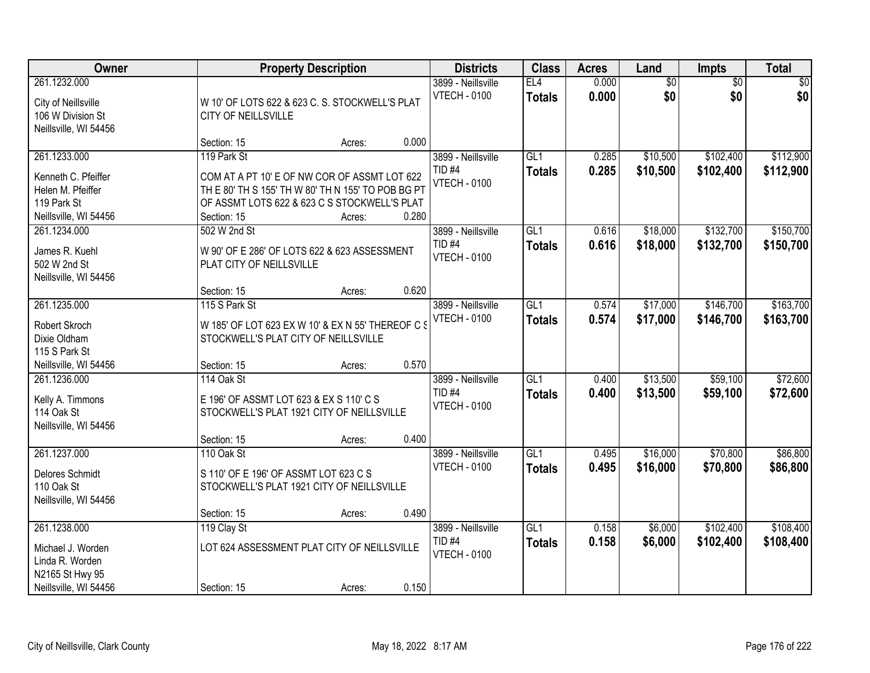| Owner                                                                                            |                                                                                                                                                                                  | <b>Property Description</b> |       | <b>Districts</b>                                               | <b>Class</b>                      | <b>Acres</b>   | Land                   | Impts                  | <b>Total</b>           |
|--------------------------------------------------------------------------------------------------|----------------------------------------------------------------------------------------------------------------------------------------------------------------------------------|-----------------------------|-------|----------------------------------------------------------------|-----------------------------------|----------------|------------------------|------------------------|------------------------|
| 261.1232.000<br>City of Neillsville<br>106 W Division St<br>Neillsville, WI 54456                | W 10' OF LOTS 622 & 623 C. S. STOCKWELL'S PLAT<br><b>CITY OF NEILLSVILLE</b>                                                                                                     |                             |       | 3899 - Neillsville<br><b>VTECH - 0100</b>                      | EL4<br><b>Totals</b>              | 0.000<br>0.000 | $\overline{60}$<br>\$0 | $\overline{50}$<br>\$0 | \$0<br>\$0             |
|                                                                                                  | Section: 15                                                                                                                                                                      | Acres:                      | 0.000 |                                                                |                                   |                |                        |                        |                        |
| 261.1233.000<br>Kenneth C. Pfeiffer<br>Helen M. Pfeiffer<br>119 Park St<br>Neillsville, WI 54456 | 119 Park St<br>COM AT A PT 10' E OF NW COR OF ASSMT LOT 622<br>TH E 80' TH S 155' TH W 80' TH N 155' TO POB BG PT<br>OF ASSMT LOTS 622 & 623 C S STOCKWELL'S PLAT<br>Section: 15 | Acres:                      | 0.280 | 3899 - Neillsville<br>TID <sub>#4</sub><br><b>VTECH - 0100</b> | GL1<br><b>Totals</b>              | 0.285<br>0.285 | \$10,500<br>\$10,500   | \$102,400<br>\$102,400 | \$112,900<br>\$112,900 |
| 261.1234.000<br>James R. Kuehl<br>502 W 2nd St<br>Neillsville, WI 54456                          | 502 W 2nd St<br>W 90' OF E 286' OF LOTS 622 & 623 ASSESSMENT<br>PLAT CITY OF NEILLSVILLE<br>Section: 15                                                                          | Acres:                      | 0.620 | 3899 - Neillsville<br>TID <sub>#4</sub><br><b>VTECH - 0100</b> | GL1<br><b>Totals</b>              | 0.616<br>0.616 | \$18,000<br>\$18,000   | \$132,700<br>\$132,700 | \$150,700<br>\$150,700 |
| 261.1235.000<br>Robert Skroch<br>Dixie Oldham<br>115 S Park St<br>Neillsville, WI 54456          | 115 S Park St<br>W 185' OF LOT 623 EX W 10' & EX N 55' THEREOF C S<br>STOCKWELL'S PLAT CITY OF NEILLSVILLE<br>Section: 15                                                        | Acres:                      | 0.570 | 3899 - Neillsville<br><b>VTECH - 0100</b>                      | $\overline{GL1}$<br><b>Totals</b> | 0.574<br>0.574 | \$17,000<br>\$17,000   | \$146,700<br>\$146,700 | \$163,700<br>\$163,700 |
| 261.1236.000<br>Kelly A. Timmons<br>114 Oak St<br>Neillsville, WI 54456                          | 114 Oak St<br>E 196' OF ASSMT LOT 623 & EX S 110' C S<br>STOCKWELL'S PLAT 1921 CITY OF NEILLSVILLE<br>Section: 15                                                                | Acres:                      | 0.400 | 3899 - Neillsville<br><b>TID #4</b><br><b>VTECH - 0100</b>     | $\overline{GL1}$<br><b>Totals</b> | 0.400<br>0.400 | \$13,500<br>\$13,500   | \$59,100<br>\$59,100   | \$72,600<br>\$72,600   |
| 261.1237.000<br>Delores Schmidt<br>110 Oak St<br>Neillsville, WI 54456                           | 110 Oak St<br>S 110' OF E 196' OF ASSMT LOT 623 C S<br>STOCKWELL'S PLAT 1921 CITY OF NEILLSVILLE<br>Section: 15                                                                  | Acres:                      | 0.490 | 3899 - Neillsville<br><b>VTECH - 0100</b>                      | GL1<br><b>Totals</b>              | 0.495<br>0.495 | \$16,000<br>\$16,000   | \$70,800<br>\$70,800   | \$86,800<br>\$86,800   |
| 261.1238.000<br>Michael J. Worden<br>Linda R. Worden<br>N2165 St Hwy 95<br>Neillsville, WI 54456 | 119 Clay St<br>LOT 624 ASSESSMENT PLAT CITY OF NEILLSVILLE<br>Section: 15                                                                                                        | Acres:                      | 0.150 | 3899 - Neillsville<br><b>TID #4</b><br><b>VTECH - 0100</b>     | GL1<br><b>Totals</b>              | 0.158<br>0.158 | \$6,000<br>\$6,000     | \$102,400<br>\$102,400 | \$108,400<br>\$108,400 |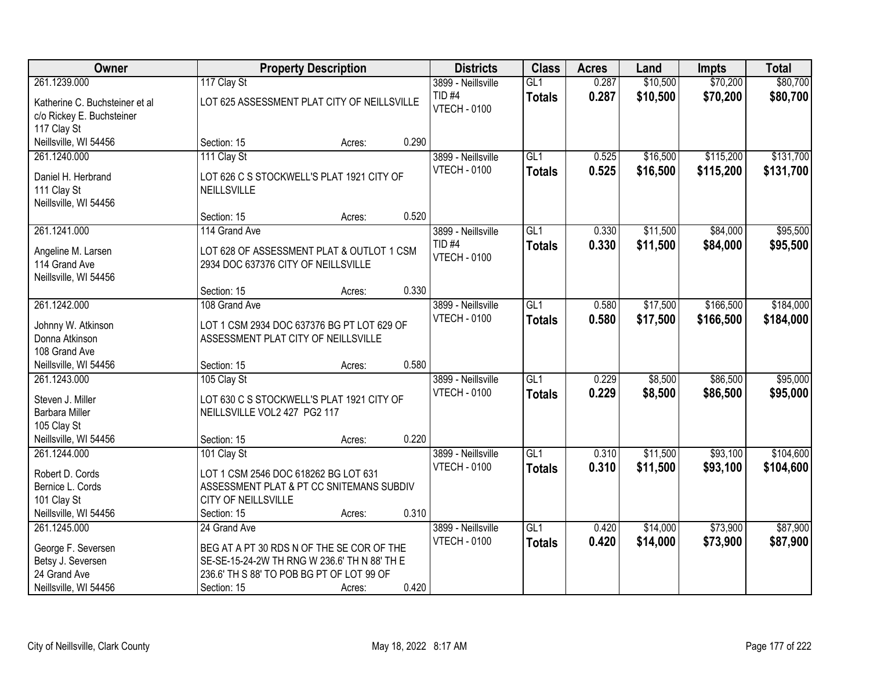| Owner                                                                      |                                                                                  | <b>Property Description</b>                |       | <b>Districts</b>                          | <b>Class</b>         | <b>Acres</b>   | Land                 | <b>Impts</b>           | <b>Total</b>           |
|----------------------------------------------------------------------------|----------------------------------------------------------------------------------|--------------------------------------------|-------|-------------------------------------------|----------------------|----------------|----------------------|------------------------|------------------------|
| 261.1239.000                                                               | 117 Clay St                                                                      |                                            |       | 3899 - Neillsville                        | GL1                  | 0.287          | \$10,500             | \$70,200               | \$80,700               |
| Katherine C. Buchsteiner et al<br>c/o Rickey E. Buchsteiner<br>117 Clay St | LOT 625 ASSESSMENT PLAT CITY OF NEILLSVILLE                                      |                                            |       | TID <sub>#4</sub><br><b>VTECH - 0100</b>  | <b>Totals</b>        | 0.287          | \$10,500             | \$70,200               | \$80,700               |
| Neillsville, WI 54456                                                      | Section: 15                                                                      | Acres:                                     | 0.290 |                                           |                      |                |                      |                        |                        |
| 261.1240.000<br>Daniel H. Herbrand                                         | 111 Clay St<br>LOT 626 C S STOCKWELL'S PLAT 1921 CITY OF                         |                                            |       | 3899 - Neillsville<br><b>VTECH - 0100</b> | GL1<br><b>Totals</b> | 0.525<br>0.525 | \$16,500<br>\$16,500 | \$115,200<br>\$115,200 | \$131,700<br>\$131,700 |
| 111 Clay St<br>Neillsville, WI 54456                                       | NEILLSVILLE<br>Section: 15                                                       | Acres:                                     | 0.520 |                                           |                      |                |                      |                        |                        |
| 261.1241.000                                                               | 114 Grand Ave                                                                    |                                            |       | 3899 - Neillsville                        | GL1                  | 0.330          | \$11,500             | \$84,000               | \$95,500               |
| Angeline M. Larsen<br>114 Grand Ave<br>Neillsville, WI 54456               | LOT 628 OF ASSESSMENT PLAT & OUTLOT 1 CSM<br>2934 DOC 637376 CITY OF NEILLSVILLE |                                            |       | <b>TID #4</b><br><b>VTECH - 0100</b>      | <b>Totals</b>        | 0.330          | \$11,500             | \$84,000               | \$95,500               |
|                                                                            | Section: 15                                                                      | Acres:                                     | 0.330 |                                           |                      |                |                      |                        |                        |
| 261.1242.000                                                               | 108 Grand Ave                                                                    |                                            |       | 3899 - Neillsville                        | GL1                  | 0.580          | \$17,500             | \$166,500              | \$184,000              |
| Johnny W. Atkinson<br>Donna Atkinson                                       | ASSESSMENT PLAT CITY OF NEILLSVILLE                                              | LOT 1 CSM 2934 DOC 637376 BG PT LOT 629 OF |       | <b>VTECH - 0100</b>                       | <b>Totals</b>        | 0.580          | \$17,500             | \$166,500              | \$184,000              |
| 108 Grand Ave                                                              |                                                                                  |                                            |       |                                           |                      |                |                      |                        |                        |
| Neillsville, WI 54456<br>261.1243.000                                      | Section: 15<br>105 Clay St                                                       | Acres:                                     | 0.580 | 3899 - Neillsville                        | $\overline{GL1}$     | 0.229          | \$8,500              | \$86,500               | \$95,000               |
|                                                                            |                                                                                  |                                            |       | <b>VTECH - 0100</b>                       | <b>Totals</b>        | 0.229          | \$8,500              | \$86,500               | \$95,000               |
| Steven J. Miller                                                           |                                                                                  | LOT 630 C S STOCKWELL'S PLAT 1921 CITY OF  |       |                                           |                      |                |                      |                        |                        |
| Barbara Miller                                                             | NEILLSVILLE VOL2 427 PG2 117                                                     |                                            |       |                                           |                      |                |                      |                        |                        |
| 105 Clay St<br>Neillsville, WI 54456                                       | Section: 15                                                                      | Acres:                                     | 0.220 |                                           |                      |                |                      |                        |                        |
| 261.1244.000                                                               | 101 Clay St                                                                      |                                            |       | 3899 - Neillsville                        | GL1                  | 0.310          | \$11,500             | \$93,100               | \$104,600              |
|                                                                            |                                                                                  |                                            |       | <b>VTECH - 0100</b>                       | <b>Totals</b>        | 0.310          | \$11,500             | \$93,100               | \$104,600              |
| Robert D. Cords                                                            | LOT 1 CSM 2546 DOC 618262 BG LOT 631                                             |                                            |       |                                           |                      |                |                      |                        |                        |
| Bernice L. Cords                                                           | ASSESSMENT PLAT & PT CC SNITEMANS SUBDIV                                         |                                            |       |                                           |                      |                |                      |                        |                        |
| 101 Clay St<br>Neillsville, WI 54456                                       | CITY OF NEILLSVILLE<br>Section: 15                                               | Acres:                                     | 0.310 |                                           |                      |                |                      |                        |                        |
| 261.1245.000                                                               | 24 Grand Ave                                                                     |                                            |       | 3899 - Neillsville                        | GL1                  | 0.420          | \$14,000             | \$73,900               | \$87,900               |
|                                                                            |                                                                                  |                                            |       | <b>VTECH - 0100</b>                       | <b>Totals</b>        | 0.420          | \$14,000             | \$73,900               | \$87,900               |
| George F. Seversen                                                         | BEG AT A PT 30 RDS N OF THE SE COR OF THE                                        |                                            |       |                                           |                      |                |                      |                        |                        |
| Betsy J. Seversen                                                          | SE-SE-15-24-2W TH RNG W 236.6' TH N 88' TH E                                     |                                            |       |                                           |                      |                |                      |                        |                        |
| 24 Grand Ave                                                               | 236.6' TH S 88' TO POB BG PT OF LOT 99 OF                                        |                                            |       |                                           |                      |                |                      |                        |                        |
| Neillsville, WI 54456                                                      | Section: 15                                                                      | Acres:                                     | 0.420 |                                           |                      |                |                      |                        |                        |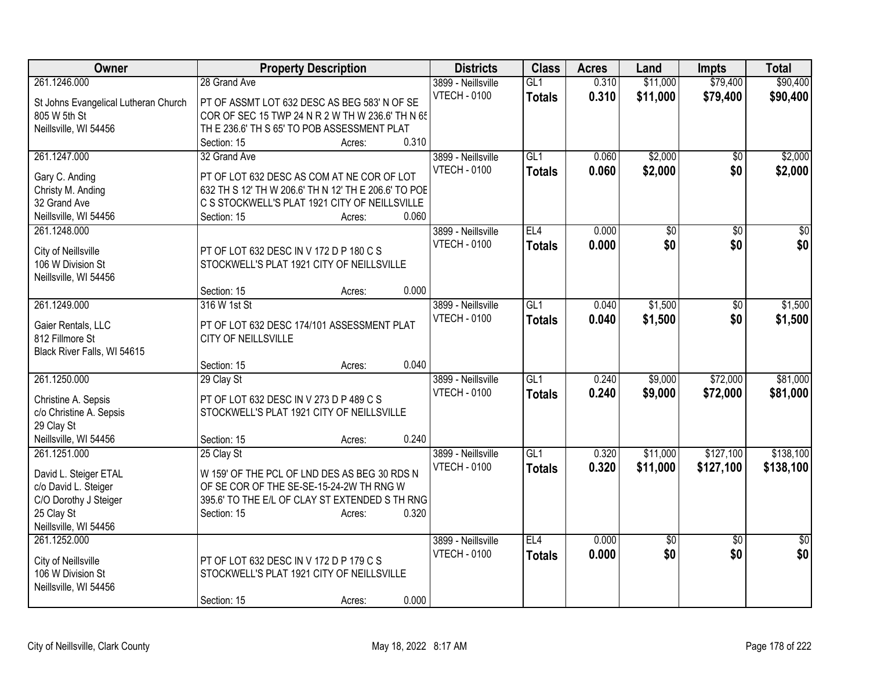| Owner                                    | <b>Property Description</b>                                                                        |                 | <b>Districts</b>    | <b>Class</b>  | <b>Acres</b> | Land     | <b>Impts</b>    | <b>Total</b>    |
|------------------------------------------|----------------------------------------------------------------------------------------------------|-----------------|---------------------|---------------|--------------|----------|-----------------|-----------------|
| 261.1246.000                             | 28 Grand Ave                                                                                       |                 | 3899 - Neillsville  | GL1           | 0.310        | \$11,000 | \$79,400        | \$90,400        |
| St Johns Evangelical Lutheran Church     | PT OF ASSMT LOT 632 DESC AS BEG 583' N OF SE                                                       |                 | <b>VTECH - 0100</b> | <b>Totals</b> | 0.310        | \$11,000 | \$79,400        | \$90,400        |
| 805 W 5th St                             | COR OF SEC 15 TWP 24 N R 2 W TH W 236.6' TH N 65                                                   |                 |                     |               |              |          |                 |                 |
| Neillsville, WI 54456                    | TH E 236.6' TH S 65' TO POB ASSESSMENT PLAT                                                        |                 |                     |               |              |          |                 |                 |
|                                          | Section: 15                                                                                        | 0.310<br>Acres: |                     |               |              |          |                 |                 |
| 261.1247.000                             | 32 Grand Ave                                                                                       |                 | 3899 - Neillsville  | GL1           | 0.060        | \$2,000  | \$0             | \$2,000         |
|                                          |                                                                                                    |                 | <b>VTECH - 0100</b> | <b>Totals</b> | 0.060        | \$2,000  | \$0             | \$2,000         |
| Gary C. Anding                           | PT OF LOT 632 DESC AS COM AT NE COR OF LOT<br>632 TH S 12' TH W 206.6' TH N 12' TH E 206.6' TO POE |                 |                     |               |              |          |                 |                 |
| Christy M. Anding<br>32 Grand Ave        | C S STOCKWELL'S PLAT 1921 CITY OF NEILLSVILLE                                                      |                 |                     |               |              |          |                 |                 |
| Neillsville, WI 54456                    | Section: 15                                                                                        | 0.060<br>Acres: |                     |               |              |          |                 |                 |
| 261.1248.000                             |                                                                                                    |                 | 3899 - Neillsville  | EL4           | 0.000        | \$0      | $\sqrt[6]{}$    | $\overline{50}$ |
|                                          |                                                                                                    |                 | <b>VTECH - 0100</b> |               |              | \$0      | \$0             | \$0             |
| City of Neillsville                      | PT OF LOT 632 DESC IN V 172 D P 180 C S                                                            |                 |                     | <b>Totals</b> | 0.000        |          |                 |                 |
| 106 W Division St                        | STOCKWELL'S PLAT 1921 CITY OF NEILLSVILLE                                                          |                 |                     |               |              |          |                 |                 |
| Neillsville, WI 54456                    |                                                                                                    |                 |                     |               |              |          |                 |                 |
|                                          | Section: 15                                                                                        | 0.000<br>Acres: |                     |               |              |          |                 |                 |
| 261.1249.000                             | 316 W 1st St                                                                                       |                 | 3899 - Neillsville  | GL1           | 0.040        | \$1,500  | \$0             | \$1,500         |
| Gaier Rentals, LLC                       | PT OF LOT 632 DESC 174/101 ASSESSMENT PLAT                                                         |                 | <b>VTECH - 0100</b> | <b>Totals</b> | 0.040        | \$1,500  | \$0             | \$1,500         |
| 812 Fillmore St                          | CITY OF NEILLSVILLE                                                                                |                 |                     |               |              |          |                 |                 |
| Black River Falls, WI 54615              |                                                                                                    |                 |                     |               |              |          |                 |                 |
|                                          | Section: 15                                                                                        | 0.040<br>Acres: |                     |               |              |          |                 |                 |
| 261.1250.000                             | 29 Clay St                                                                                         |                 | 3899 - Neillsville  | GL1           | 0.240        | \$9,000  | \$72,000        | \$81,000        |
|                                          |                                                                                                    |                 | <b>VTECH - 0100</b> | <b>Totals</b> | 0.240        | \$9,000  | \$72,000        | \$81,000        |
| Christine A. Sepsis                      | PT OF LOT 632 DESC IN V 273 D P 489 C S                                                            |                 |                     |               |              |          |                 |                 |
| c/o Christine A. Sepsis                  | STOCKWELL'S PLAT 1921 CITY OF NEILLSVILLE                                                          |                 |                     |               |              |          |                 |                 |
| 29 Clay St                               |                                                                                                    |                 |                     |               |              |          |                 |                 |
| Neillsville, WI 54456                    | Section: 15                                                                                        | 0.240<br>Acres: |                     |               |              |          |                 |                 |
| 261.1251.000                             | 25 Clay St                                                                                         |                 | 3899 - Neillsville  | GL1           | 0.320        | \$11,000 | \$127,100       | \$138,100       |
| David L. Steiger ETAL                    | W 159' OF THE PCL OF LND DES AS BEG 30 RDS N                                                       |                 | <b>VTECH - 0100</b> | <b>Totals</b> | 0.320        | \$11,000 | \$127,100       | \$138,100       |
| c/o David L. Steiger                     | OF SE COR OF THE SE-SE-15-24-2W TH RNG W                                                           |                 |                     |               |              |          |                 |                 |
| C/O Dorothy J Steiger                    | 395.6' TO THE E/L OF CLAY ST EXTENDED S TH RNG                                                     |                 |                     |               |              |          |                 |                 |
| 25 Clay St                               | Section: 15                                                                                        | 0.320<br>Acres: |                     |               |              |          |                 |                 |
| Neillsville, WI 54456                    |                                                                                                    |                 |                     |               |              |          |                 |                 |
| 261.1252.000                             |                                                                                                    |                 | 3899 - Neillsville  | EL4           | 0.000        | \$0      | $\overline{30}$ | $\overline{50}$ |
|                                          | PT OF LOT 632 DESC IN V 172 D P 179 C S                                                            |                 | <b>VTECH - 0100</b> | <b>Totals</b> | 0.000        | \$0      | \$0             | \$0             |
| City of Neillsville<br>106 W Division St | STOCKWELL'S PLAT 1921 CITY OF NEILLSVILLE                                                          |                 |                     |               |              |          |                 |                 |
| Neillsville, WI 54456                    |                                                                                                    |                 |                     |               |              |          |                 |                 |
|                                          | Section: 15                                                                                        | 0.000           |                     |               |              |          |                 |                 |
|                                          |                                                                                                    | Acres:          |                     |               |              |          |                 |                 |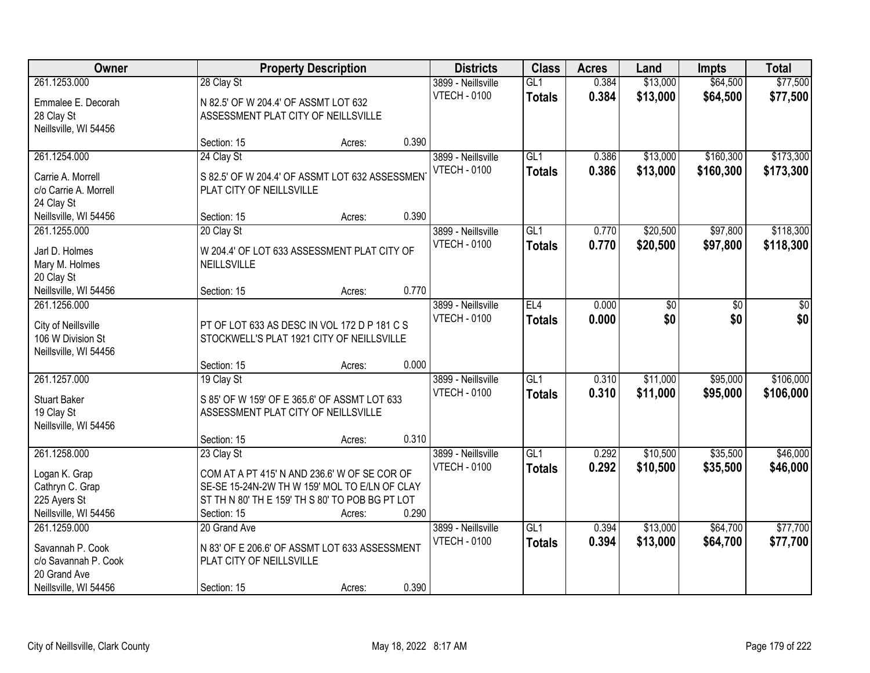| Owner                                      |                                      | <b>Property Description</b>                     |       | <b>Districts</b>    | <b>Class</b>  | <b>Acres</b> | Land            | <b>Impts</b> | <b>Total</b> |
|--------------------------------------------|--------------------------------------|-------------------------------------------------|-------|---------------------|---------------|--------------|-----------------|--------------|--------------|
| 261.1253.000                               | 28 Clay St                           |                                                 |       | 3899 - Neillsville  | GL1           | 0.384        | \$13,000        | \$64,500     | \$77,500     |
| Emmalee E. Decorah                         | N 82.5' OF W 204.4' OF ASSMT LOT 632 |                                                 |       | <b>VTECH - 0100</b> | <b>Totals</b> | 0.384        | \$13,000        | \$64,500     | \$77,500     |
| 28 Clay St                                 | ASSESSMENT PLAT CITY OF NEILLSVILLE  |                                                 |       |                     |               |              |                 |              |              |
| Neillsville, WI 54456                      |                                      |                                                 |       |                     |               |              |                 |              |              |
|                                            | Section: 15                          | Acres:                                          | 0.390 |                     |               |              |                 |              |              |
| 261.1254.000                               | 24 Clay St                           |                                                 |       | 3899 - Neillsville  | GL1           | 0.386        | \$13,000        | \$160,300    | \$173,300    |
|                                            |                                      |                                                 |       | <b>VTECH - 0100</b> | <b>Totals</b> | 0.386        | \$13,000        | \$160,300    | \$173,300    |
| Carrie A. Morrell<br>c/o Carrie A. Morrell | PLAT CITY OF NEILLSVILLE             | S 82.5' OF W 204.4' OF ASSMT LOT 632 ASSESSMEN  |       |                     |               |              |                 |              |              |
| 24 Clay St                                 |                                      |                                                 |       |                     |               |              |                 |              |              |
| Neillsville, WI 54456                      | Section: 15                          | Acres:                                          | 0.390 |                     |               |              |                 |              |              |
| 261.1255.000                               | 20 Clay St                           |                                                 |       | 3899 - Neillsville  | GL1           | 0.770        | \$20,500        | \$97,800     | \$118,300    |
|                                            |                                      |                                                 |       | <b>VTECH - 0100</b> | <b>Totals</b> | 0.770        | \$20,500        | \$97,800     | \$118,300    |
| Jarl D. Holmes                             |                                      | W 204.4' OF LOT 633 ASSESSMENT PLAT CITY OF     |       |                     |               |              |                 |              |              |
| Mary M. Holmes                             | NEILLSVILLE                          |                                                 |       |                     |               |              |                 |              |              |
| 20 Clay St                                 |                                      |                                                 |       |                     |               |              |                 |              |              |
| Neillsville, WI 54456                      | Section: 15                          | Acres:                                          | 0.770 |                     |               |              |                 |              |              |
| 261.1256.000                               |                                      |                                                 |       | 3899 - Neillsville  | EL4           | 0.000        | $\overline{50}$ | \$0          | \$0          |
| City of Neillsville                        |                                      | PT OF LOT 633 AS DESC IN VOL 172 D P 181 C S    |       | <b>VTECH - 0100</b> | <b>Totals</b> | 0.000        | \$0             | \$0          | \$0          |
| 106 W Division St                          |                                      | STOCKWELL'S PLAT 1921 CITY OF NEILLSVILLE       |       |                     |               |              |                 |              |              |
| Neillsville, WI 54456                      |                                      |                                                 |       |                     |               |              |                 |              |              |
|                                            | Section: 15                          | Acres:                                          | 0.000 |                     |               |              |                 |              |              |
| 261.1257.000                               | 19 Clay St                           |                                                 |       | 3899 - Neillsville  | GL1           | 0.310        | \$11,000        | \$95,000     | \$106,000    |
| <b>Stuart Baker</b>                        |                                      | S 85' OF W 159' OF E 365.6' OF ASSMT LOT 633    |       | <b>VTECH - 0100</b> | <b>Totals</b> | 0.310        | \$11,000        | \$95,000     | \$106,000    |
| 19 Clay St                                 | ASSESSMENT PLAT CITY OF NEILLSVILLE  |                                                 |       |                     |               |              |                 |              |              |
| Neillsville, WI 54456                      |                                      |                                                 |       |                     |               |              |                 |              |              |
|                                            | Section: 15                          | Acres:                                          | 0.310 |                     |               |              |                 |              |              |
| 261.1258.000                               | 23 Clay St                           |                                                 |       | 3899 - Neillsville  | GL1           | 0.292        | \$10,500        | \$35,500     | \$46,000     |
| Logan K. Grap                              |                                      | COM AT A PT 415' N AND 236.6' W OF SE COR OF    |       | <b>VTECH - 0100</b> | <b>Totals</b> | 0.292        | \$10,500        | \$35,500     | \$46,000     |
| Cathryn C. Grap                            |                                      | SE-SE 15-24N-2W TH W 159' MOL TO E/LN OF CLAY   |       |                     |               |              |                 |              |              |
| 225 Ayers St                               |                                      | ST TH N 80' TH E 159' TH S 80' TO POB BG PT LOT |       |                     |               |              |                 |              |              |
| Neillsville, WI 54456                      | Section: 15                          | Acres:                                          | 0.290 |                     |               |              |                 |              |              |
| 261.1259.000                               | 20 Grand Ave                         |                                                 |       | 3899 - Neillsville  | GL1           | 0.394        | \$13,000        | \$64,700     | \$77,700     |
|                                            |                                      |                                                 |       | <b>VTECH - 0100</b> | <b>Totals</b> | 0.394        | \$13,000        | \$64,700     | \$77,700     |
| Savannah P. Cook                           |                                      | N 83' OF E 206.6' OF ASSMT LOT 633 ASSESSMENT   |       |                     |               |              |                 |              |              |
| c/o Savannah P. Cook<br>20 Grand Ave       | PLAT CITY OF NEILLSVILLE             |                                                 |       |                     |               |              |                 |              |              |
| Neillsville, WI 54456                      | Section: 15                          | Acres:                                          | 0.390 |                     |               |              |                 |              |              |
|                                            |                                      |                                                 |       |                     |               |              |                 |              |              |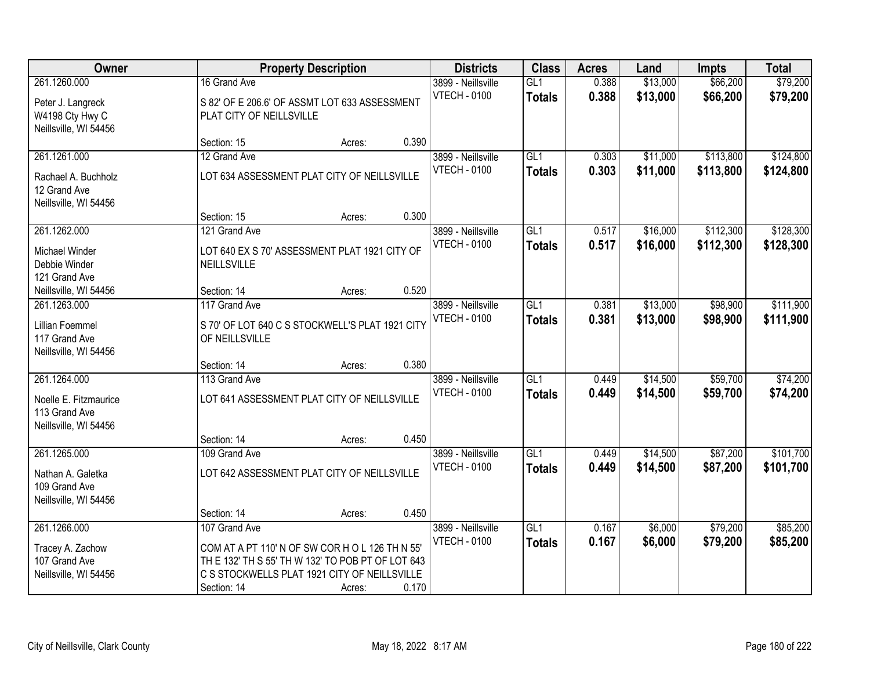| Owner                                                                           |                                                                                                                                                                                      | <b>Property Description</b> |       | <b>Districts</b>                          | <b>Class</b>                      | <b>Acres</b>   | Land                 | <b>Impts</b>           | <b>Total</b>           |
|---------------------------------------------------------------------------------|--------------------------------------------------------------------------------------------------------------------------------------------------------------------------------------|-----------------------------|-------|-------------------------------------------|-----------------------------------|----------------|----------------------|------------------------|------------------------|
| 261.1260.000<br>Peter J. Langreck<br>W4198 Cty Hwy C<br>Neillsville, WI 54456   | 16 Grand Ave<br>S 82' OF E 206.6' OF ASSMT LOT 633 ASSESSMENT<br>PLAT CITY OF NEILLSVILLE                                                                                            |                             |       | 3899 - Neillsville<br><b>VTECH - 0100</b> | GL1<br><b>Totals</b>              | 0.388<br>0.388 | \$13,000<br>\$13,000 | \$66,200<br>\$66,200   | \$79,200<br>\$79,200   |
|                                                                                 | Section: 15                                                                                                                                                                          | Acres:                      | 0.390 |                                           |                                   |                |                      |                        |                        |
| 261.1261.000                                                                    | 12 Grand Ave                                                                                                                                                                         |                             |       | 3899 - Neillsville                        | GL1                               | 0.303          | \$11,000             | \$113,800              | \$124,800              |
| Rachael A. Buchholz<br>12 Grand Ave<br>Neillsville, WI 54456                    | LOT 634 ASSESSMENT PLAT CITY OF NEILLSVILLE                                                                                                                                          |                             |       | <b>VTECH - 0100</b>                       | <b>Totals</b>                     | 0.303          | \$11,000             | \$113,800              | \$124,800              |
|                                                                                 | Section: 15                                                                                                                                                                          | Acres:                      | 0.300 |                                           |                                   |                |                      |                        |                        |
| 261.1262.000<br>Michael Winder<br>Debbie Winder<br>121 Grand Ave                | 121 Grand Ave<br>LOT 640 EX S 70' ASSESSMENT PLAT 1921 CITY OF<br>NEILLSVILLE                                                                                                        |                             |       | 3899 - Neillsville<br><b>VTECH - 0100</b> | GL1<br><b>Totals</b>              | 0.517<br>0.517 | \$16,000<br>\$16,000 | \$112,300<br>\$112,300 | \$128,300<br>\$128,300 |
| Neillsville, WI 54456                                                           | Section: 14                                                                                                                                                                          | Acres:                      | 0.520 |                                           |                                   |                |                      |                        |                        |
| 261.1263.000<br>Lillian Foemmel<br>117 Grand Ave<br>Neillsville, WI 54456       | 117 Grand Ave<br>S 70' OF LOT 640 C S STOCKWELL'S PLAT 1921 CITY<br>OF NEILLSVILLE                                                                                                   |                             |       | 3899 - Neillsville<br><b>VTECH - 0100</b> | GL1<br><b>Totals</b>              | 0.381<br>0.381 | \$13,000<br>\$13,000 | \$98,900<br>\$98,900   | \$111,900<br>\$111,900 |
|                                                                                 | Section: 14                                                                                                                                                                          | Acres:                      | 0.380 |                                           |                                   |                |                      |                        |                        |
| 261.1264.000<br>Noelle E. Fitzmaurice<br>113 Grand Ave<br>Neillsville, WI 54456 | 113 Grand Ave<br>LOT 641 ASSESSMENT PLAT CITY OF NEILLSVILLE                                                                                                                         |                             |       | 3899 - Neillsville<br><b>VTECH - 0100</b> | $\overline{GL1}$<br><b>Totals</b> | 0.449<br>0.449 | \$14,500<br>\$14,500 | \$59,700<br>\$59,700   | \$74,200<br>\$74,200   |
|                                                                                 | Section: 14                                                                                                                                                                          | Acres:                      | 0.450 |                                           |                                   |                |                      |                        |                        |
| 261.1265.000<br>Nathan A. Galetka<br>109 Grand Ave<br>Neillsville, WI 54456     | 109 Grand Ave<br>LOT 642 ASSESSMENT PLAT CITY OF NEILLSVILLE                                                                                                                         |                             |       | 3899 - Neillsville<br><b>VTECH - 0100</b> | $\overline{GL1}$<br><b>Totals</b> | 0.449<br>0.449 | \$14,500<br>\$14,500 | \$87,200<br>\$87,200   | \$101,700<br>\$101,700 |
|                                                                                 | Section: 14                                                                                                                                                                          | Acres:                      | 0.450 |                                           |                                   |                |                      |                        |                        |
| 261.1266.000<br>Tracey A. Zachow<br>107 Grand Ave<br>Neillsville, WI 54456      | 107 Grand Ave<br>COM AT A PT 110' N OF SW COR H O L 126 TH N 55'<br>TH E 132' TH S 55' TH W 132' TO POB PT OF LOT 643<br>C S STOCKWELLS PLAT 1921 CITY OF NEILLSVILLE<br>Section: 14 | Acres:                      | 0.170 | 3899 - Neillsville<br><b>VTECH - 0100</b> | GL1<br><b>Totals</b>              | 0.167<br>0.167 | \$6,000<br>\$6,000   | \$79,200<br>\$79,200   | \$85,200<br>\$85,200   |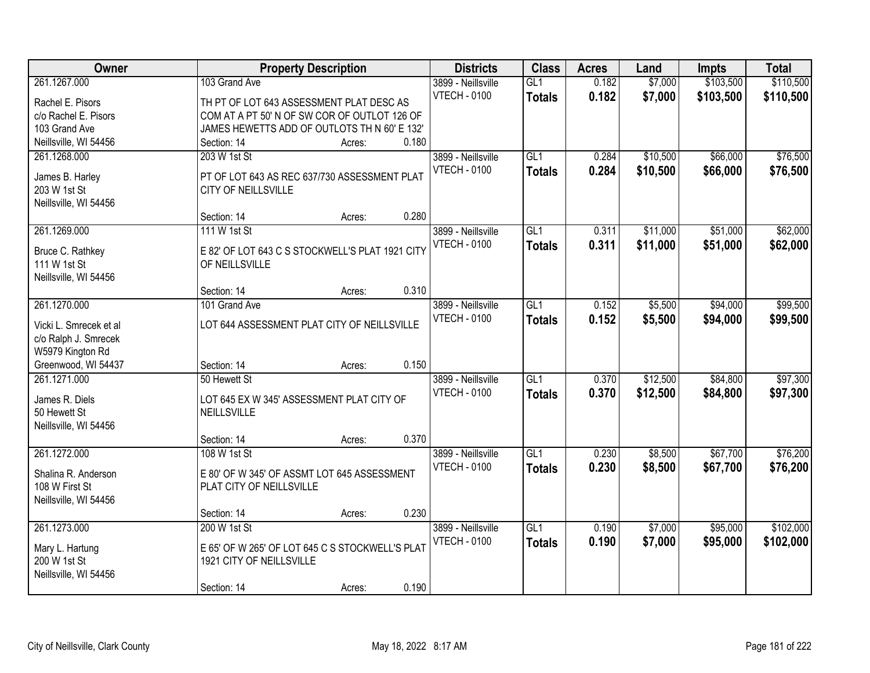| Owner                                          |                                                 | <b>Property Description</b> |       | <b>Districts</b>    | <b>Class</b>    | <b>Acres</b> | Land     | <b>Impts</b> | <b>Total</b> |
|------------------------------------------------|-------------------------------------------------|-----------------------------|-------|---------------------|-----------------|--------------|----------|--------------|--------------|
| 261.1267.000                                   | 103 Grand Ave                                   |                             |       | 3899 - Neillsville  | GL1             | 0.182        | \$7,000  | \$103,500    | \$110,500    |
| Rachel E. Pisors                               | TH PT OF LOT 643 ASSESSMENT PLAT DESC AS        |                             |       | <b>VTECH - 0100</b> | <b>Totals</b>   | 0.182        | \$7,000  | \$103,500    | \$110,500    |
| c/o Rachel E. Pisors                           | COM AT A PT 50' N OF SW COR OF OUTLOT 126 OF    |                             |       |                     |                 |              |          |              |              |
| 103 Grand Ave                                  | JAMES HEWETTS ADD OF OUTLOTS TH N 60' E 132'    |                             |       |                     |                 |              |          |              |              |
| Neillsville, WI 54456                          | Section: 14                                     | Acres:                      | 0.180 |                     |                 |              |          |              |              |
| 261.1268.000                                   | 203 W 1st St                                    |                             |       | 3899 - Neillsville  | GL1             | 0.284        | \$10,500 | \$66,000     | \$76,500     |
| James B. Harley                                | PT OF LOT 643 AS REC 637/730 ASSESSMENT PLAT    |                             |       | <b>VTECH - 0100</b> | <b>Totals</b>   | 0.284        | \$10,500 | \$66,000     | \$76,500     |
| 203 W 1st St                                   | <b>CITY OF NEILLSVILLE</b>                      |                             |       |                     |                 |              |          |              |              |
| Neillsville, WI 54456                          |                                                 |                             |       |                     |                 |              |          |              |              |
|                                                | Section: 14                                     | Acres:                      | 0.280 |                     |                 |              |          |              |              |
| 261.1269.000                                   | 111 W 1st St                                    |                             |       | 3899 - Neillsville  | GL <sub>1</sub> | 0.311        | \$11,000 | \$51,000     | \$62,000     |
| Bruce C. Rathkey                               | E 82' OF LOT 643 C S STOCKWELL'S PLAT 1921 CITY |                             |       | <b>VTECH - 0100</b> | <b>Totals</b>   | 0.311        | \$11,000 | \$51,000     | \$62,000     |
| 111 W 1st St                                   | OF NEILLSVILLE                                  |                             |       |                     |                 |              |          |              |              |
| Neillsville, WI 54456                          |                                                 |                             |       |                     |                 |              |          |              |              |
|                                                | Section: 14                                     | Acres:                      | 0.310 |                     |                 |              |          |              |              |
| 261.1270.000                                   | 101 Grand Ave                                   |                             |       | 3899 - Neillsville  | GL1             | 0.152        | \$5,500  | \$94,000     | \$99,500     |
|                                                | LOT 644 ASSESSMENT PLAT CITY OF NEILLSVILLE     |                             |       | <b>VTECH - 0100</b> | <b>Totals</b>   | 0.152        | \$5,500  | \$94,000     | \$99,500     |
| Vicki L. Smrecek et al<br>c/o Ralph J. Smrecek |                                                 |                             |       |                     |                 |              |          |              |              |
| W5979 Kington Rd                               |                                                 |                             |       |                     |                 |              |          |              |              |
| Greenwood, WI 54437                            | Section: 14                                     | Acres:                      | 0.150 |                     |                 |              |          |              |              |
| 261.1271.000                                   | 50 Hewett St                                    |                             |       | 3899 - Neillsville  | GL1             | 0.370        | \$12,500 | \$84,800     | \$97,300     |
|                                                |                                                 |                             |       | <b>VTECH - 0100</b> | <b>Totals</b>   | 0.370        | \$12,500 | \$84,800     | \$97,300     |
| James R. Diels                                 | LOT 645 EX W 345' ASSESSMENT PLAT CITY OF       |                             |       |                     |                 |              |          |              |              |
| 50 Hewett St                                   | NEILLSVILLE                                     |                             |       |                     |                 |              |          |              |              |
| Neillsville, WI 54456                          | Section: 14                                     |                             | 0.370 |                     |                 |              |          |              |              |
| 261.1272.000                                   | 108 W 1st St                                    | Acres:                      |       | 3899 - Neillsville  | GL1             | 0.230        | \$8,500  | \$67,700     | \$76,200     |
|                                                |                                                 |                             |       | <b>VTECH - 0100</b> | <b>Totals</b>   | 0.230        | \$8,500  | \$67,700     | \$76,200     |
| Shalina R. Anderson                            | E 80' OF W 345' OF ASSMT LOT 645 ASSESSMENT     |                             |       |                     |                 |              |          |              |              |
| 108 W First St                                 | PLAT CITY OF NEILLSVILLE                        |                             |       |                     |                 |              |          |              |              |
| Neillsville, WI 54456                          |                                                 |                             |       |                     |                 |              |          |              |              |
|                                                | Section: 14                                     | Acres:                      | 0.230 |                     |                 |              |          |              |              |
| 261.1273.000                                   | 200 W 1st St                                    |                             |       | 3899 - Neillsville  | GL1             | 0.190        | \$7,000  | \$95,000     | \$102,000    |
| Mary L. Hartung                                | E 65' OF W 265' OF LOT 645 C S STOCKWELL'S PLAT |                             |       | <b>VTECH - 0100</b> | <b>Totals</b>   | 0.190        | \$7,000  | \$95,000     | \$102,000    |
| 200 W 1st St                                   | 1921 CITY OF NEILLSVILLE                        |                             |       |                     |                 |              |          |              |              |
| Neillsville, WI 54456                          |                                                 |                             |       |                     |                 |              |          |              |              |
|                                                | Section: 14                                     | Acres:                      | 0.190 |                     |                 |              |          |              |              |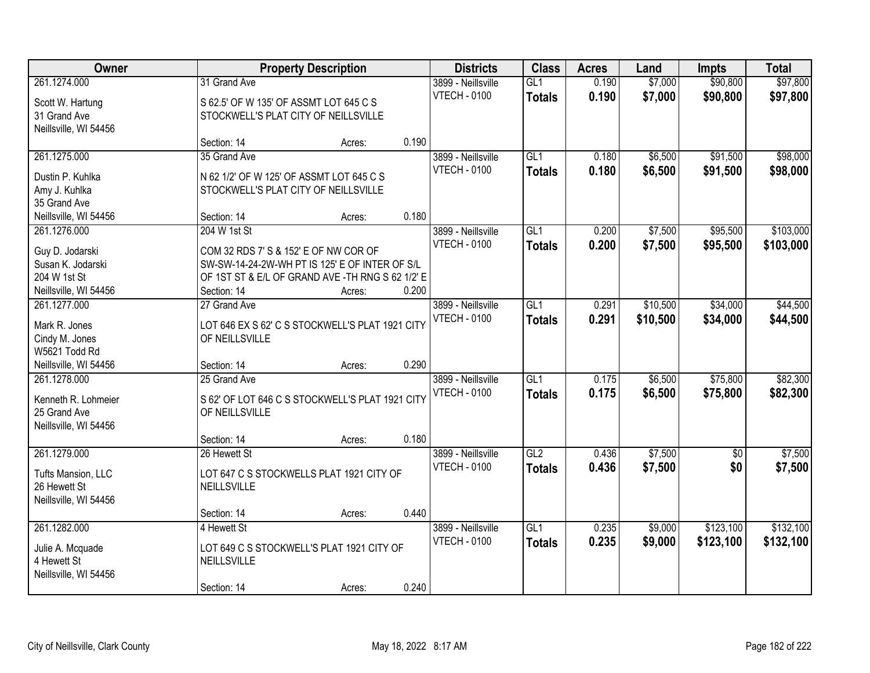| Owner                               |                                                                   | <b>Property Description</b> |       | <b>Districts</b>    | <b>Class</b>     | <b>Acres</b> | Land     | <b>Impts</b>    | <b>Total</b> |
|-------------------------------------|-------------------------------------------------------------------|-----------------------------|-------|---------------------|------------------|--------------|----------|-----------------|--------------|
| 261.1274.000                        | 31 Grand Ave                                                      |                             |       | 3899 - Neillsville  | GL1              | 0.190        | \$7,000  | \$90,800        | \$97,800     |
| Scott W. Hartung                    | S 62.5' OF W 135' OF ASSMT LOT 645 C S                            |                             |       | <b>VTECH - 0100</b> | <b>Totals</b>    | 0.190        | \$7,000  | \$90,800        | \$97,800     |
| 31 Grand Ave                        | STOCKWELL'S PLAT CITY OF NEILLSVILLE                              |                             |       |                     |                  |              |          |                 |              |
| Neillsville, WI 54456               |                                                                   |                             |       |                     |                  |              |          |                 |              |
|                                     | Section: 14                                                       | Acres:                      | 0.190 |                     |                  |              |          |                 |              |
| 261.1275.000                        | 35 Grand Ave                                                      |                             |       | 3899 - Neillsville  | GL1              | 0.180        | \$6,500  | \$91,500        | \$98,000     |
| Dustin P. Kuhlka                    | N 62 1/2' OF W 125' OF ASSMT LOT 645 C S                          |                             |       | <b>VTECH - 0100</b> | <b>Totals</b>    | 0.180        | \$6,500  | \$91,500        | \$98,000     |
| Amy J. Kuhlka                       | STOCKWELL'S PLAT CITY OF NEILLSVILLE                              |                             |       |                     |                  |              |          |                 |              |
| 35 Grand Ave                        |                                                                   |                             |       |                     |                  |              |          |                 |              |
| Neillsville, WI 54456               | Section: 14                                                       | Acres:                      | 0.180 |                     |                  |              |          |                 |              |
| 261.1276.000                        | 204 W 1st St                                                      |                             |       | 3899 - Neillsville  | GL1              | 0.200        | \$7,500  | \$95,500        | \$103,000    |
|                                     |                                                                   |                             |       | <b>VTECH - 0100</b> | <b>Totals</b>    | 0.200        | \$7,500  | \$95,500        | \$103,000    |
| Guy D. Jodarski                     | COM 32 RDS 7' S & 152' E OF NW COR OF                             |                             |       |                     |                  |              |          |                 |              |
| Susan K. Jodarski                   | SW-SW-14-24-2W-WH PT IS 125' E OF INTER OF S/L                    |                             |       |                     |                  |              |          |                 |              |
| 204 W 1st St                        | OF 1ST ST & E/L OF GRAND AVE - TH RNG S 62 1/2' E                 |                             |       |                     |                  |              |          |                 |              |
| Neillsville, WI 54456               | Section: 14                                                       | Acres:                      | 0.200 |                     |                  |              |          |                 |              |
| 261.1277.000                        | 27 Grand Ave                                                      |                             |       | 3899 - Neillsville  | GL1              | 0.291        | \$10,500 | \$34,000        | \$44,500     |
| Mark R. Jones                       | LOT 646 EX S 62' C S STOCKWELL'S PLAT 1921 CITY                   |                             |       | <b>VTECH - 0100</b> | <b>Totals</b>    | 0.291        | \$10,500 | \$34,000        | \$44,500     |
| Cindy M. Jones                      | OF NEILLSVILLE                                                    |                             |       |                     |                  |              |          |                 |              |
| W5621 Todd Rd                       |                                                                   |                             |       |                     |                  |              |          |                 |              |
| Neillsville, WI 54456               | Section: 14                                                       | Acres:                      | 0.290 |                     |                  |              |          |                 |              |
| 261.1278.000                        | 25 Grand Ave                                                      |                             |       | 3899 - Neillsville  | $\overline{GL1}$ | 0.175        | \$6,500  | \$75,800        | \$82,300     |
|                                     |                                                                   |                             |       | <b>VTECH - 0100</b> | <b>Totals</b>    | 0.175        | \$6,500  | \$75,800        | \$82,300     |
| Kenneth R. Lohmeier<br>25 Grand Ave | S 62' OF LOT 646 C S STOCKWELL'S PLAT 1921 CITY<br>OF NEILLSVILLE |                             |       |                     |                  |              |          |                 |              |
| Neillsville, WI 54456               |                                                                   |                             |       |                     |                  |              |          |                 |              |
|                                     | Section: 14                                                       | Acres:                      | 0.180 |                     |                  |              |          |                 |              |
| 261.1279.000                        | 26 Hewett St                                                      |                             |       | 3899 - Neillsville  | GL2              | 0.436        | \$7,500  | $\overline{50}$ | \$7,500      |
|                                     |                                                                   |                             |       | <b>VTECH - 0100</b> | <b>Totals</b>    | 0.436        | \$7,500  | \$0             | \$7,500      |
| Tufts Mansion, LLC                  | LOT 647 C S STOCKWELLS PLAT 1921 CITY OF                          |                             |       |                     |                  |              |          |                 |              |
| 26 Hewett St                        | NEILLSVILLE                                                       |                             |       |                     |                  |              |          |                 |              |
| Neillsville, WI 54456               |                                                                   |                             |       |                     |                  |              |          |                 |              |
|                                     | Section: 14                                                       | Acres:                      | 0.440 |                     |                  |              |          |                 |              |
| 261.1282.000                        | 4 Hewett St                                                       |                             |       | 3899 - Neillsville  | GL1              | 0.235        | \$9,000  | \$123,100       | \$132,100    |
| Julie A. Mcquade                    | LOT 649 C S STOCKWELL'S PLAT 1921 CITY OF                         |                             |       | <b>VTECH - 0100</b> | <b>Totals</b>    | 0.235        | \$9,000  | \$123,100       | \$132,100    |
| 4 Hewett St                         | NEILLSVILLE                                                       |                             |       |                     |                  |              |          |                 |              |
| Neillsville, WI 54456               |                                                                   |                             |       |                     |                  |              |          |                 |              |
|                                     | Section: 14                                                       | Acres:                      | 0.240 |                     |                  |              |          |                 |              |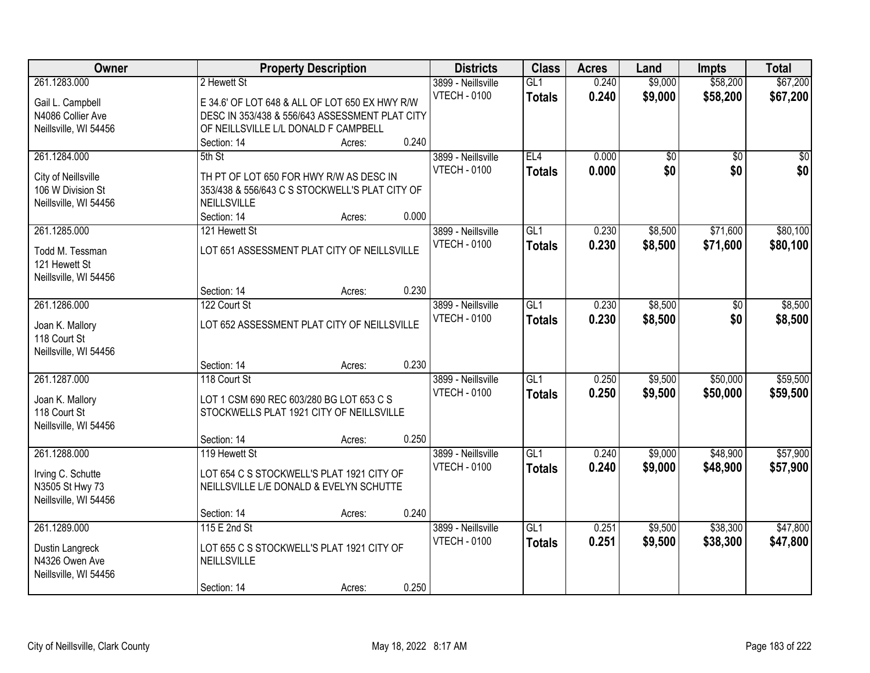| <b>Owner</b>          |                                                | <b>Property Description</b> |       | <b>Districts</b>    | <b>Class</b>     | <b>Acres</b> | Land            | <b>Impts</b>    | <b>Total</b> |
|-----------------------|------------------------------------------------|-----------------------------|-------|---------------------|------------------|--------------|-----------------|-----------------|--------------|
| 261.1283.000          | 2 Hewett St                                    |                             |       | 3899 - Neillsville  | GL1              | 0.240        | \$9,000         | \$58,200        | \$67,200     |
| Gail L. Campbell      | E 34.6' OF LOT 648 & ALL OF LOT 650 EX HWY R/W |                             |       | <b>VTECH - 0100</b> | <b>Totals</b>    | 0.240        | \$9,000         | \$58,200        | \$67,200     |
| N4086 Collier Ave     | DESC IN 353/438 & 556/643 ASSESSMENT PLAT CITY |                             |       |                     |                  |              |                 |                 |              |
| Neillsville, WI 54456 | OF NEILLSVILLE L/L DONALD F CAMPBELL           |                             |       |                     |                  |              |                 |                 |              |
|                       | Section: 14                                    | Acres:                      | 0.240 |                     |                  |              |                 |                 |              |
| 261.1284.000          | 5th St                                         |                             |       | 3899 - Neillsville  | EL4              | 0.000        | $\overline{50}$ | $\overline{50}$ | $\sqrt{50}$  |
|                       |                                                |                             |       | <b>VTECH - 0100</b> | <b>Totals</b>    | 0.000        | \$0             | \$0             | \$0          |
| City of Neillsville   | TH PT OF LOT 650 FOR HWY R/W AS DESC IN        |                             |       |                     |                  |              |                 |                 |              |
| 106 W Division St     | 353/438 & 556/643 C S STOCKWELL'S PLAT CITY OF |                             |       |                     |                  |              |                 |                 |              |
| Neillsville, WI 54456 | NEILLSVILLE                                    |                             |       |                     |                  |              |                 |                 |              |
|                       | Section: 14                                    | Acres:                      | 0.000 |                     |                  |              |                 |                 |              |
| 261.1285.000          | 121 Hewett St                                  |                             |       | 3899 - Neillsville  | GL1              | 0.230        | \$8,500         | \$71,600        | \$80,100     |
| Todd M. Tessman       | LOT 651 ASSESSMENT PLAT CITY OF NEILLSVILLE    |                             |       | <b>VTECH - 0100</b> | <b>Totals</b>    | 0.230        | \$8,500         | \$71,600        | \$80,100     |
| 121 Hewett St         |                                                |                             |       |                     |                  |              |                 |                 |              |
| Neillsville, WI 54456 |                                                |                             |       |                     |                  |              |                 |                 |              |
|                       | Section: 14                                    | Acres:                      | 0.230 |                     |                  |              |                 |                 |              |
| 261.1286.000          | 122 Court St                                   |                             |       | 3899 - Neillsville  | GL1              | 0.230        | \$8,500         | \$0             | \$8,500      |
|                       |                                                |                             |       | <b>VTECH - 0100</b> | <b>Totals</b>    | 0.230        | \$8,500         | \$0             | \$8,500      |
| Joan K. Mallory       | LOT 652 ASSESSMENT PLAT CITY OF NEILLSVILLE    |                             |       |                     |                  |              |                 |                 |              |
| 118 Court St          |                                                |                             |       |                     |                  |              |                 |                 |              |
| Neillsville, WI 54456 | Section: 14                                    |                             | 0.230 |                     |                  |              |                 |                 |              |
|                       |                                                | Acres:                      |       |                     |                  |              |                 |                 |              |
| 261.1287.000          | 118 Court St                                   |                             |       | 3899 - Neillsville  | $\overline{GL1}$ | 0.250        | \$9,500         | \$50,000        | \$59,500     |
| Joan K. Mallory       | LOT 1 CSM 690 REC 603/280 BG LOT 653 C S       |                             |       | <b>VTECH - 0100</b> | <b>Totals</b>    | 0.250        | \$9,500         | \$50,000        | \$59,500     |
| 118 Court St          | STOCKWELLS PLAT 1921 CITY OF NEILLSVILLE       |                             |       |                     |                  |              |                 |                 |              |
| Neillsville, WI 54456 |                                                |                             |       |                     |                  |              |                 |                 |              |
|                       | Section: 14                                    | Acres:                      | 0.250 |                     |                  |              |                 |                 |              |
| 261.1288.000          | 119 Hewett St                                  |                             |       | 3899 - Neillsville  | GL1              | 0.240        | \$9,000         | \$48,900        | \$57,900     |
| Irving C. Schutte     | LOT 654 C S STOCKWELL'S PLAT 1921 CITY OF      |                             |       | <b>VTECH - 0100</b> | <b>Totals</b>    | 0.240        | \$9,000         | \$48,900        | \$57,900     |
| N3505 St Hwy 73       | NEILLSVILLE L/E DONALD & EVELYN SCHUTTE        |                             |       |                     |                  |              |                 |                 |              |
| Neillsville, WI 54456 |                                                |                             |       |                     |                  |              |                 |                 |              |
|                       | Section: 14                                    | Acres:                      | 0.240 |                     |                  |              |                 |                 |              |
| 261.1289.000          | 115 E 2nd St                                   |                             |       | 3899 - Neillsville  | GL1              | 0.251        | \$9,500         | \$38,300        | \$47,800     |
|                       |                                                |                             |       | <b>VTECH - 0100</b> |                  | 0.251        |                 | \$38,300        |              |
| Dustin Langreck       | LOT 655 C S STOCKWELL'S PLAT 1921 CITY OF      |                             |       |                     | <b>Totals</b>    |              | \$9,500         |                 | \$47,800     |
| N4326 Owen Ave        | NEILLSVILLE                                    |                             |       |                     |                  |              |                 |                 |              |
| Neillsville, WI 54456 |                                                |                             |       |                     |                  |              |                 |                 |              |
|                       | Section: 14                                    | Acres:                      | 0.250 |                     |                  |              |                 |                 |              |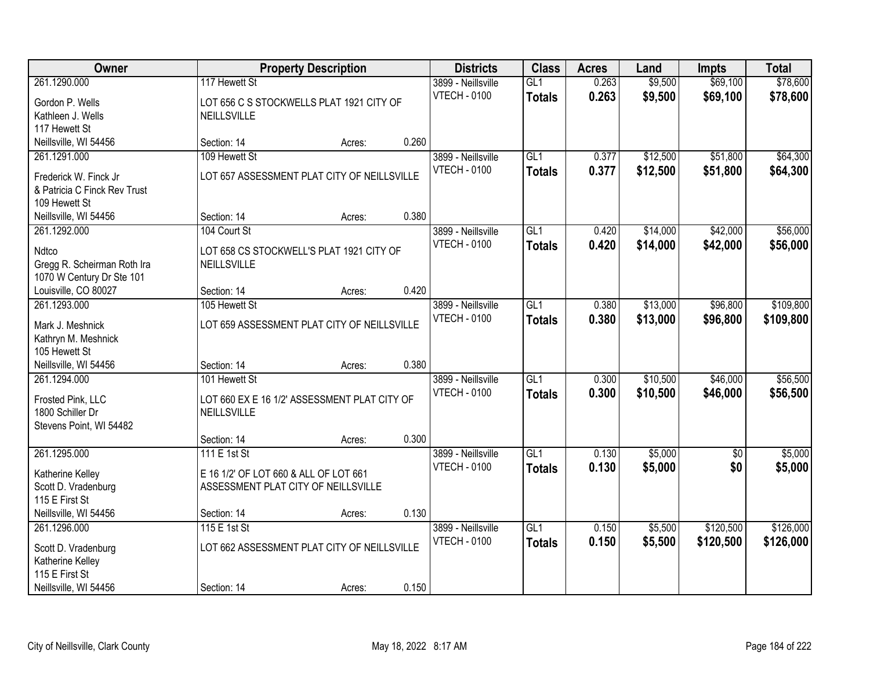| Owner                                                                                  |                                                                              | <b>Property Description</b> |       | <b>Districts</b>                          | <b>Class</b>         | <b>Acres</b>   | Land                 | <b>Impts</b>           | <b>Total</b>           |
|----------------------------------------------------------------------------------------|------------------------------------------------------------------------------|-----------------------------|-------|-------------------------------------------|----------------------|----------------|----------------------|------------------------|------------------------|
| 261.1290.000<br>Gordon P. Wells<br>Kathleen J. Wells                                   | 117 Hewett St<br>LOT 656 C S STOCKWELLS PLAT 1921 CITY OF<br>NEILLSVILLE     |                             |       | 3899 - Neillsville<br><b>VTECH - 0100</b> | GL1<br><b>Totals</b> | 0.263<br>0.263 | \$9,500<br>\$9,500   | \$69,100<br>\$69,100   | \$78,600<br>\$78,600   |
| 117 Hewett St<br>Neillsville, WI 54456                                                 | Section: 14                                                                  | Acres:                      | 0.260 |                                           |                      |                |                      |                        |                        |
| 261.1291.000<br>Frederick W. Finck Jr<br>& Patricia C Finck Rev Trust<br>109 Hewett St | 109 Hewett St<br>LOT 657 ASSESSMENT PLAT CITY OF NEILLSVILLE                 |                             |       | 3899 - Neillsville<br><b>VTECH - 0100</b> | GL1<br><b>Totals</b> | 0.377<br>0.377 | \$12,500<br>\$12,500 | \$51,800<br>\$51,800   | \$64,300<br>\$64,300   |
| Neillsville, WI 54456<br>261.1292.000                                                  | Section: 14<br>104 Court St                                                  | Acres:                      | 0.380 | 3899 - Neillsville                        | GL1                  | 0.420          | \$14,000             | \$42,000               | \$56,000               |
| Ndtco<br>Gregg R. Scheirman Roth Ira<br>1070 W Century Dr Ste 101                      | LOT 658 CS STOCKWELL'S PLAT 1921 CITY OF<br><b>NEILLSVILLE</b>               |                             |       | <b>VTECH - 0100</b>                       | <b>Totals</b>        | 0.420          | \$14,000             | \$42,000               | \$56,000               |
| Louisville, CO 80027                                                                   | Section: 14                                                                  | Acres:                      | 0.420 |                                           |                      |                |                      |                        |                        |
| 261.1293.000<br>Mark J. Meshnick<br>Kathryn M. Meshnick<br>105 Hewett St               | 105 Hewett St<br>LOT 659 ASSESSMENT PLAT CITY OF NEILLSVILLE                 |                             |       | 3899 - Neillsville<br><b>VTECH - 0100</b> | GL1<br><b>Totals</b> | 0.380<br>0.380 | \$13,000<br>\$13,000 | \$96,800<br>\$96,800   | \$109,800<br>\$109,800 |
| Neillsville, WI 54456                                                                  | Section: 14                                                                  | Acres:                      | 0.380 |                                           |                      |                |                      |                        |                        |
| 261.1294.000<br>Frosted Pink, LLC<br>1800 Schiller Dr<br>Stevens Point, WI 54482       | 101 Hewett St<br>LOT 660 EX E 16 1/2' ASSESSMENT PLAT CITY OF<br>NEILLSVILLE |                             |       | 3899 - Neillsville<br><b>VTECH - 0100</b> | GLI<br><b>Totals</b> | 0.300<br>0.300 | \$10,500<br>\$10,500 | \$46,000<br>\$46,000   | \$56,500<br>\$56,500   |
| 261.1295.000                                                                           | Section: 14<br>111 E 1st St                                                  | Acres:                      | 0.300 | 3899 - Neillsville                        | GL1                  | 0.130          | \$5,000              | $\sqrt{6}$             | \$5,000                |
| Katherine Kelley<br>Scott D. Vradenburg<br>115 E First St                              | E 16 1/2' OF LOT 660 & ALL OF LOT 661<br>ASSESSMENT PLAT CITY OF NEILLSVILLE |                             |       | <b>VTECH - 0100</b>                       | <b>Totals</b>        | 0.130          | \$5,000              | \$0                    | \$5,000                |
| Neillsville, WI 54456                                                                  | Section: 14                                                                  | Acres:                      | 0.130 |                                           |                      |                |                      |                        |                        |
| 261.1296.000<br>Scott D. Vradenburg<br>Katherine Kelley<br>115 E First St              | 115 E 1st St<br>LOT 662 ASSESSMENT PLAT CITY OF NEILLSVILLE                  |                             |       | 3899 - Neillsville<br><b>VTECH - 0100</b> | GL1<br><b>Totals</b> | 0.150<br>0.150 | \$5,500<br>\$5,500   | \$120,500<br>\$120,500 | \$126,000<br>\$126,000 |
| Neillsville, WI 54456                                                                  | Section: 14                                                                  | Acres:                      | 0.150 |                                           |                      |                |                      |                        |                        |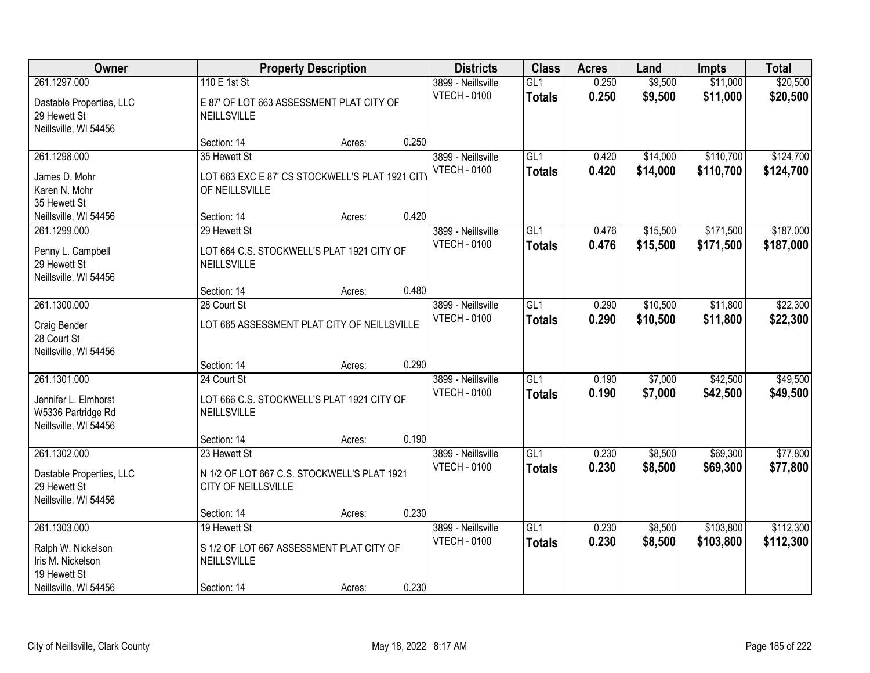| Owner                                                                                            |                                                                                        | <b>Property Description</b> |       | <b>Districts</b>                          | <b>Class</b>                      | <b>Acres</b>   | Land                 | <b>Impts</b>           | <b>Total</b>           |
|--------------------------------------------------------------------------------------------------|----------------------------------------------------------------------------------------|-----------------------------|-------|-------------------------------------------|-----------------------------------|----------------|----------------------|------------------------|------------------------|
| 261.1297.000<br>Dastable Properties, LLC<br>29 Hewett St<br>Neillsville, WI 54456                | 110 E 1st St<br>E 87' OF LOT 663 ASSESSMENT PLAT CITY OF<br>NEILLSVILLE                |                             |       | 3899 - Neillsville<br><b>VTECH - 0100</b> | GL1<br><b>Totals</b>              | 0.250<br>0.250 | \$9,500<br>\$9,500   | \$11,000<br>\$11,000   | \$20,500<br>\$20,500   |
|                                                                                                  | Section: 14                                                                            | Acres:                      | 0.250 |                                           |                                   |                |                      |                        |                        |
| 261.1298.000<br>James D. Mohr<br>Karen N. Mohr<br>35 Hewett St                                   | 35 Hewett St<br>LOT 663 EXC E 87' CS STOCKWELL'S PLAT 1921 CITY<br>OF NEILLSVILLE      |                             |       | 3899 - Neillsville<br><b>VTECH - 0100</b> | GL1<br><b>Totals</b>              | 0.420<br>0.420 | \$14,000<br>\$14,000 | \$110,700<br>\$110,700 | \$124,700<br>\$124,700 |
| Neillsville, WI 54456                                                                            | Section: 14                                                                            | Acres:                      | 0.420 |                                           |                                   |                |                      |                        |                        |
| 261.1299.000<br>Penny L. Campbell<br>29 Hewett St<br>Neillsville, WI 54456                       | 29 Hewett St<br>LOT 664 C.S. STOCKWELL'S PLAT 1921 CITY OF<br>NEILLSVILLE              |                             |       | 3899 - Neillsville<br><b>VTECH - 0100</b> | GL1<br><b>Totals</b>              | 0.476<br>0.476 | \$15,500<br>\$15,500 | \$171,500<br>\$171,500 | \$187,000<br>\$187,000 |
|                                                                                                  | Section: 14                                                                            | Acres:                      | 0.480 |                                           |                                   |                |                      |                        |                        |
| 261.1300.000<br>Craig Bender<br>28 Court St<br>Neillsville, WI 54456                             | 28 Court St<br>LOT 665 ASSESSMENT PLAT CITY OF NEILLSVILLE                             |                             |       | 3899 - Neillsville<br><b>VTECH - 0100</b> | GL1<br><b>Totals</b>              | 0.290<br>0.290 | \$10,500<br>\$10,500 | \$11,800<br>\$11,800   | \$22,300<br>\$22,300   |
|                                                                                                  | Section: 14                                                                            | Acres:                      | 0.290 |                                           |                                   |                |                      |                        |                        |
| 261.1301.000<br>Jennifer L. Elmhorst<br>W5336 Partridge Rd<br>Neillsville, WI 54456              | 24 Court St<br>LOT 666 C.S. STOCKWELL'S PLAT 1921 CITY OF<br>NEILLSVILLE               |                             |       | 3899 - Neillsville<br><b>VTECH - 0100</b> | $\overline{GL1}$<br><b>Totals</b> | 0.190<br>0.190 | \$7,000<br>\$7,000   | \$42,500<br>\$42,500   | \$49,500<br>\$49,500   |
| 261.1302.000                                                                                     | Section: 14<br>23 Hewett St                                                            | Acres:                      | 0.190 | 3899 - Neillsville                        | GL1                               | 0.230          | \$8,500              | \$69,300               | \$77,800               |
| Dastable Properties, LLC<br>29 Hewett St<br>Neillsville, WI 54456                                | N 1/2 OF LOT 667 C.S. STOCKWELL'S PLAT 1921<br>CITY OF NEILLSVILLE                     |                             |       | <b>VTECH - 0100</b>                       | <b>Totals</b>                     | 0.230          | \$8,500              | \$69,300               | \$77,800               |
|                                                                                                  | Section: 14                                                                            | Acres:                      | 0.230 |                                           |                                   |                |                      |                        |                        |
| 261.1303.000<br>Ralph W. Nickelson<br>Iris M. Nickelson<br>19 Hewett St<br>Neillsville, WI 54456 | 19 Hewett St<br>S 1/2 OF LOT 667 ASSESSMENT PLAT CITY OF<br>NEILLSVILLE<br>Section: 14 | Acres:                      | 0.230 | 3899 - Neillsville<br><b>VTECH - 0100</b> | GL1<br><b>Totals</b>              | 0.230<br>0.230 | \$8,500<br>\$8,500   | \$103,800<br>\$103,800 | \$112,300<br>\$112,300 |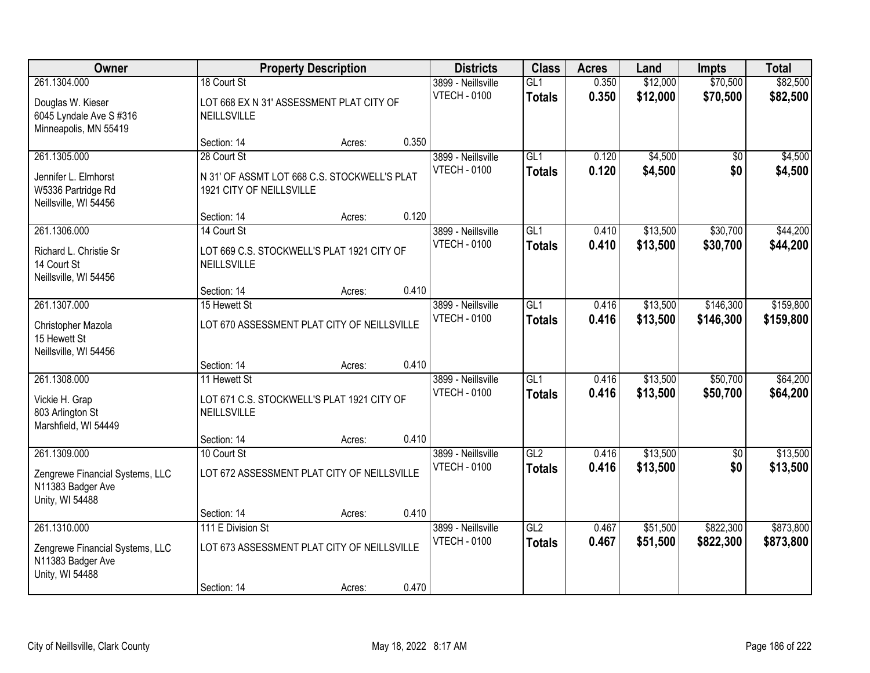| Owner                                                                   |                                                                          | <b>Property Description</b> |       | <b>Districts</b>                          | <b>Class</b>         | <b>Acres</b>   | Land                 | <b>Impts</b>         | <b>Total</b>         |
|-------------------------------------------------------------------------|--------------------------------------------------------------------------|-----------------------------|-------|-------------------------------------------|----------------------|----------------|----------------------|----------------------|----------------------|
| 261.1304.000<br>Douglas W. Kieser<br>6045 Lyndale Ave S #316            | 18 Court St<br>LOT 668 EX N 31' ASSESSMENT PLAT CITY OF<br>NEILLSVILLE   |                             |       | 3899 - Neillsville<br><b>VTECH - 0100</b> | GL1<br><b>Totals</b> | 0.350<br>0.350 | \$12,000<br>\$12,000 | \$70,500<br>\$70,500 | \$82,500<br>\$82,500 |
| Minneapolis, MN 55419                                                   | Section: 14                                                              | Acres:                      | 0.350 |                                           |                      |                |                      |                      |                      |
| 261.1305.000                                                            | 28 Court St                                                              |                             |       | 3899 - Neillsville                        | GL1                  | 0.120          | \$4,500              | \$0                  | \$4,500              |
| Jennifer L. Elmhorst<br>W5336 Partridge Rd<br>Neillsville, WI 54456     | N 31' OF ASSMT LOT 668 C.S. STOCKWELL'S PLAT<br>1921 CITY OF NEILLSVILLE |                             |       | <b>VTECH - 0100</b>                       | <b>Totals</b>        | 0.120          | \$4,500              | \$0                  | \$4,500              |
|                                                                         | Section: 14                                                              | Acres:                      | 0.120 |                                           |                      |                |                      |                      |                      |
| 261.1306.000                                                            | 14 Court St                                                              |                             |       | 3899 - Neillsville                        | GL1                  | 0.410          | \$13,500             | \$30,700             | \$44,200             |
| Richard L. Christie Sr<br>14 Court St<br>Neillsville, WI 54456          | LOT 669 C.S. STOCKWELL'S PLAT 1921 CITY OF<br>NEILLSVILLE                |                             |       | <b>VTECH - 0100</b>                       | <b>Totals</b>        | 0.410          | \$13,500             | \$30,700             | \$44,200             |
|                                                                         | Section: 14                                                              | Acres:                      | 0.410 |                                           |                      |                |                      |                      |                      |
| 261.1307.000                                                            | 15 Hewett St                                                             |                             |       | 3899 - Neillsville                        | GL1                  | 0.416          | \$13,500             | \$146,300            | \$159,800            |
| Christopher Mazola<br>15 Hewett St<br>Neillsville, WI 54456             | LOT 670 ASSESSMENT PLAT CITY OF NEILLSVILLE                              |                             |       | <b>VTECH - 0100</b>                       | <b>Totals</b>        | 0.416          | \$13,500             | \$146,300            | \$159,800            |
|                                                                         | Section: 14                                                              | Acres:                      | 0.410 |                                           |                      |                |                      |                      |                      |
| 261.1308.000                                                            | 11 Hewett St                                                             |                             |       | 3899 - Neillsville                        | $\overline{GL1}$     | 0.416          | \$13,500             | \$50,700             | \$64,200             |
| Vickie H. Grap                                                          | LOT 671 C.S. STOCKWELL'S PLAT 1921 CITY OF                               |                             |       | <b>VTECH - 0100</b>                       | <b>Totals</b>        | 0.416          | \$13,500             | \$50,700             | \$64,200             |
| 803 Arlington St<br>Marshfield, WI 54449                                | NEILLSVILLE                                                              |                             |       |                                           |                      |                |                      |                      |                      |
|                                                                         | Section: 14                                                              | Acres:                      | 0.410 |                                           |                      |                |                      |                      |                      |
| 261.1309.000                                                            | 10 Court St                                                              |                             |       | 3899 - Neillsville                        | GL2                  | 0.416          | \$13,500             | $\sqrt{6}$           | \$13,500             |
| Zengrewe Financial Systems, LLC<br>N11383 Badger Ave<br>Unity, WI 54488 | LOT 672 ASSESSMENT PLAT CITY OF NEILLSVILLE                              |                             |       | <b>VTECH - 0100</b>                       | <b>Totals</b>        | 0.416          | \$13,500             | \$0                  | \$13,500             |
|                                                                         | Section: 14                                                              | Acres:                      | 0.410 |                                           |                      |                |                      |                      |                      |
| 261.1310.000                                                            | 111 E Division St                                                        |                             |       | 3899 - Neillsville                        | GL2                  | 0.467          | \$51,500             | \$822,300            | \$873,800            |
| Zengrewe Financial Systems, LLC<br>N11383 Badger Ave<br>Unity, WI 54488 | LOT 673 ASSESSMENT PLAT CITY OF NEILLSVILLE                              |                             |       | <b>VTECH - 0100</b>                       | <b>Totals</b>        | 0.467          | \$51,500             | \$822,300            | \$873,800            |
|                                                                         | Section: 14                                                              | Acres:                      | 0.470 |                                           |                      |                |                      |                      |                      |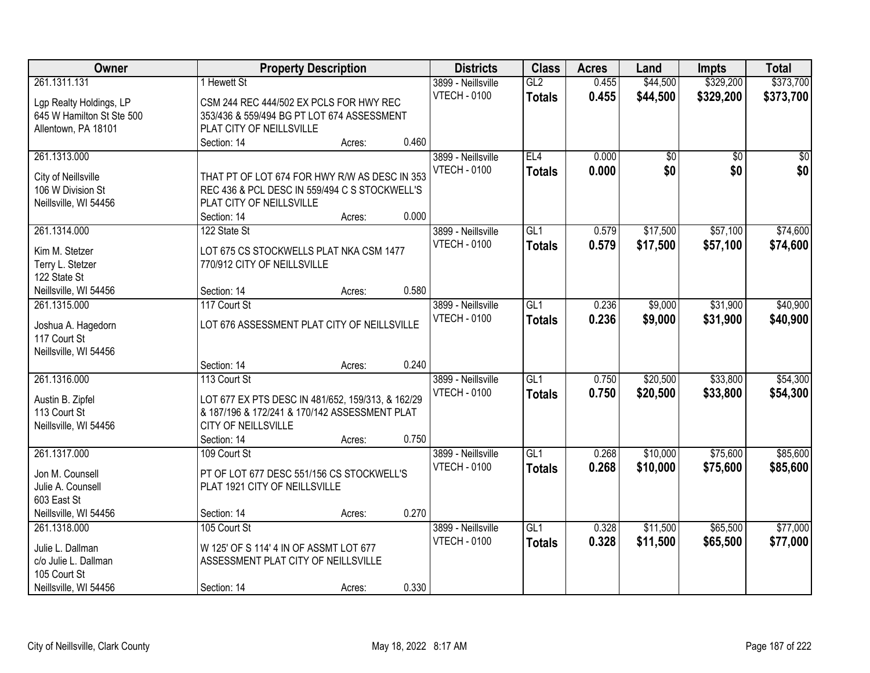| Owner                     |                                                   | <b>Property Description</b> |       | <b>Districts</b>    | <b>Class</b>    | <b>Acres</b> | Land            | <b>Impts</b>    | <b>Total</b> |
|---------------------------|---------------------------------------------------|-----------------------------|-------|---------------------|-----------------|--------------|-----------------|-----------------|--------------|
| 261.1311.131              | 1 Hewett St                                       |                             |       | 3899 - Neillsville  | GL2             | 0.455        | \$44,500        | \$329,200       | \$373,700    |
| Lgp Realty Holdings, LP   | CSM 244 REC 444/502 EX PCLS FOR HWY REC           |                             |       | <b>VTECH - 0100</b> | <b>Totals</b>   | 0.455        | \$44,500        | \$329,200       | \$373,700    |
| 645 W Hamilton St Ste 500 | 353/436 & 559/494 BG PT LOT 674 ASSESSMENT        |                             |       |                     |                 |              |                 |                 |              |
| Allentown, PA 18101       | PLAT CITY OF NEILLSVILLE                          |                             |       |                     |                 |              |                 |                 |              |
|                           | Section: 14                                       | Acres:                      | 0.460 |                     |                 |              |                 |                 |              |
| 261.1313.000              |                                                   |                             |       | 3899 - Neillsville  | EL4             | 0.000        | $\overline{50}$ | $\overline{50}$ | $\sqrt{50}$  |
|                           |                                                   |                             |       | <b>VTECH - 0100</b> | <b>Totals</b>   | 0.000        | \$0             | \$0             | \$0          |
| City of Neillsville       | THAT PT OF LOT 674 FOR HWY R/W AS DESC IN 353     |                             |       |                     |                 |              |                 |                 |              |
| 106 W Division St         | REC 436 & PCL DESC IN 559/494 C S STOCKWELL'S     |                             |       |                     |                 |              |                 |                 |              |
| Neillsville, WI 54456     | PLAT CITY OF NEILLSVILLE                          |                             |       |                     |                 |              |                 |                 |              |
|                           | Section: 14                                       | Acres:                      | 0.000 |                     |                 |              |                 |                 |              |
| 261.1314.000              | 122 State St                                      |                             |       | 3899 - Neillsville  | GL <sub>1</sub> | 0.579        | \$17,500        | \$57,100        | \$74,600     |
| Kim M. Stetzer            | LOT 675 CS STOCKWELLS PLAT NKA CSM 1477           |                             |       | <b>VTECH - 0100</b> | <b>Totals</b>   | 0.579        | \$17,500        | \$57,100        | \$74,600     |
| Terry L. Stetzer          | 770/912 CITY OF NEILLSVILLE                       |                             |       |                     |                 |              |                 |                 |              |
| 122 State St              |                                                   |                             |       |                     |                 |              |                 |                 |              |
| Neillsville, WI 54456     | Section: 14                                       | Acres:                      | 0.580 |                     |                 |              |                 |                 |              |
| 261.1315.000              | 117 Court St                                      |                             |       | 3899 - Neillsville  | GL1             | 0.236        | \$9,000         | \$31,900        | \$40,900     |
| Joshua A. Hagedorn        | LOT 676 ASSESSMENT PLAT CITY OF NEILLSVILLE       |                             |       | <b>VTECH - 0100</b> | <b>Totals</b>   | 0.236        | \$9,000         | \$31,900        | \$40,900     |
| 117 Court St              |                                                   |                             |       |                     |                 |              |                 |                 |              |
| Neillsville, WI 54456     |                                                   |                             |       |                     |                 |              |                 |                 |              |
|                           | Section: 14                                       | Acres:                      | 0.240 |                     |                 |              |                 |                 |              |
| 261.1316.000              | 113 Court St                                      |                             |       | 3899 - Neillsville  | GL1             | 0.750        | \$20,500        | \$33,800        | \$54,300     |
|                           |                                                   |                             |       | <b>VTECH - 0100</b> |                 | 0.750        | \$20,500        | \$33,800        | \$54,300     |
| Austin B. Zipfel          | LOT 677 EX PTS DESC IN 481/652, 159/313, & 162/29 |                             |       |                     | <b>Totals</b>   |              |                 |                 |              |
| 113 Court St              | & 187/196 & 172/241 & 170/142 ASSESSMENT PLAT     |                             |       |                     |                 |              |                 |                 |              |
| Neillsville, WI 54456     | CITY OF NEILLSVILLE                               |                             |       |                     |                 |              |                 |                 |              |
|                           | Section: 14                                       | Acres:                      | 0.750 |                     |                 |              |                 |                 |              |
| 261.1317.000              | 109 Court St                                      |                             |       | 3899 - Neillsville  | GL1             | 0.268        | \$10,000        | \$75,600        | \$85,600     |
| Jon M. Counsell           | PT OF LOT 677 DESC 551/156 CS STOCKWELL'S         |                             |       | <b>VTECH - 0100</b> | <b>Totals</b>   | 0.268        | \$10,000        | \$75,600        | \$85,600     |
| Julie A. Counsell         | PLAT 1921 CITY OF NEILLSVILLE                     |                             |       |                     |                 |              |                 |                 |              |
| 603 East St               |                                                   |                             |       |                     |                 |              |                 |                 |              |
| Neillsville, WI 54456     | Section: 14                                       | Acres:                      | 0.270 |                     |                 |              |                 |                 |              |
| 261.1318.000              | 105 Court St                                      |                             |       | 3899 - Neillsville  | GL1             | 0.328        | \$11,500        | \$65,500        | \$77,000     |
|                           |                                                   |                             |       | <b>VTECH - 0100</b> | <b>Totals</b>   | 0.328        | \$11,500        | \$65,500        | \$77,000     |
| Julie L. Dallman          | W 125' OF S 114' 4 IN OF ASSMT LOT 677            |                             |       |                     |                 |              |                 |                 |              |
| c/o Julie L. Dallman      | ASSESSMENT PLAT CITY OF NEILLSVILLE               |                             |       |                     |                 |              |                 |                 |              |
| 105 Court St              |                                                   |                             |       |                     |                 |              |                 |                 |              |
| Neillsville, WI 54456     | Section: 14                                       | Acres:                      | 0.330 |                     |                 |              |                 |                 |              |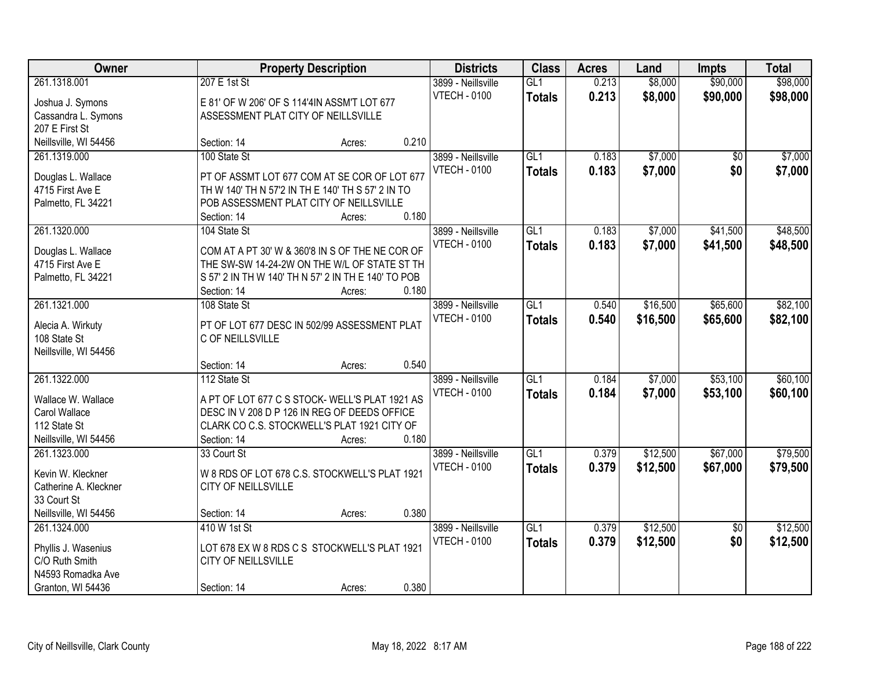| Owner                                 |                                                     | <b>Property Description</b> |       | <b>Districts</b>    | <b>Class</b>     | <b>Acres</b> | Land     | <b>Impts</b>    | <b>Total</b> |
|---------------------------------------|-----------------------------------------------------|-----------------------------|-------|---------------------|------------------|--------------|----------|-----------------|--------------|
| 261.1318.001                          | 207 E 1st St                                        |                             |       | 3899 - Neillsville  | GL1              | 0.213        | \$8,000  | \$90,000        | \$98,000     |
| Joshua J. Symons                      | E 81' OF W 206' OF S 114'4IN ASSM'T LOT 677         |                             |       | <b>VTECH - 0100</b> | <b>Totals</b>    | 0.213        | \$8,000  | \$90,000        | \$98,000     |
| Cassandra L. Symons                   | ASSESSMENT PLAT CITY OF NEILLSVILLE                 |                             |       |                     |                  |              |          |                 |              |
| 207 E First St                        |                                                     |                             |       |                     |                  |              |          |                 |              |
| Neillsville, WI 54456                 | Section: 14                                         | Acres:                      | 0.210 |                     |                  |              |          |                 |              |
| 261.1319.000                          | 100 State St                                        |                             |       | 3899 - Neillsville  | GL1              | 0.183        | \$7,000  | $\overline{50}$ | \$7,000      |
|                                       |                                                     |                             |       | <b>VTECH - 0100</b> | <b>Totals</b>    | 0.183        | \$7,000  | \$0             | \$7,000      |
| Douglas L. Wallace                    | PT OF ASSMT LOT 677 COM AT SE COR OF LOT 677        |                             |       |                     |                  |              |          |                 |              |
| 4715 First Ave E                      | TH W 140' TH N 57'2 IN TH E 140' TH S 57' 2 IN TO   |                             |       |                     |                  |              |          |                 |              |
| Palmetto, FL 34221                    | POB ASSESSMENT PLAT CITY OF NEILLSVILLE             |                             |       |                     |                  |              |          |                 |              |
|                                       | Section: 14                                         | Acres:                      | 0.180 |                     |                  |              |          |                 |              |
| 261.1320.000                          | 104 State St                                        |                             |       | 3899 - Neillsville  | GL1              | 0.183        | \$7,000  | \$41,500        | \$48,500     |
| Douglas L. Wallace                    | COM AT A PT 30' W & 360'8 IN S OF THE NE COR OF     |                             |       | <b>VTECH - 0100</b> | <b>Totals</b>    | 0.183        | \$7,000  | \$41,500        | \$48,500     |
| 4715 First Ave E                      | THE SW-SW 14-24-2W ON THE W/L OF STATE ST TH        |                             |       |                     |                  |              |          |                 |              |
| Palmetto, FL 34221                    | S 57' 2 IN TH W 140' TH N 57' 2 IN TH E 140' TO POB |                             |       |                     |                  |              |          |                 |              |
|                                       | Section: 14                                         | Acres:                      | 0.180 |                     |                  |              |          |                 |              |
| 261.1321.000                          | 108 State St                                        |                             |       | 3899 - Neillsville  | GL1              | 0.540        | \$16,500 | \$65,600        | \$82,100     |
|                                       |                                                     |                             |       | <b>VTECH - 0100</b> | <b>Totals</b>    | 0.540        | \$16,500 | \$65,600        | \$82,100     |
| Alecia A. Wirkuty                     | PT OF LOT 677 DESC IN 502/99 ASSESSMENT PLAT        |                             |       |                     |                  |              |          |                 |              |
| 108 State St                          | C OF NEILLSVILLE                                    |                             |       |                     |                  |              |          |                 |              |
| Neillsville, WI 54456                 |                                                     |                             |       |                     |                  |              |          |                 |              |
|                                       | Section: 14                                         | Acres:                      | 0.540 |                     |                  |              |          |                 |              |
| 261.1322.000                          | 112 State St                                        |                             |       | 3899 - Neillsville  | $\overline{GL1}$ | 0.184        | \$7,000  | \$53,100        | \$60,100     |
| Wallace W. Wallace                    | A PT OF LOT 677 C S STOCK- WELL'S PLAT 1921 AS      |                             |       | <b>VTECH - 0100</b> | <b>Totals</b>    | 0.184        | \$7,000  | \$53,100        | \$60,100     |
| Carol Wallace                         | DESC IN V 208 D P 126 IN REG OF DEEDS OFFICE        |                             |       |                     |                  |              |          |                 |              |
| 112 State St                          | CLARK CO C.S. STOCKWELL'S PLAT 1921 CITY OF         |                             |       |                     |                  |              |          |                 |              |
| Neillsville, WI 54456                 | Section: 14                                         | Acres:                      | 0.180 |                     |                  |              |          |                 |              |
| 261.1323.000                          | 33 Court St                                         |                             |       | 3899 - Neillsville  | GL1              | 0.379        | \$12,500 | \$67,000        | \$79,500     |
|                                       |                                                     |                             |       | <b>VTECH - 0100</b> | <b>Totals</b>    | 0.379        | \$12,500 | \$67,000        | \$79,500     |
| Kevin W. Kleckner                     | W 8 RDS OF LOT 678 C.S. STOCKWELL'S PLAT 1921       |                             |       |                     |                  |              |          |                 |              |
| Catherine A. Kleckner                 | CITY OF NEILLSVILLE                                 |                             |       |                     |                  |              |          |                 |              |
| 33 Court St                           |                                                     |                             | 0.380 |                     |                  |              |          |                 |              |
| Neillsville, WI 54456<br>261.1324.000 | Section: 14<br>410 W 1st St                         | Acres:                      |       |                     | GL1              | 0.379        | \$12,500 |                 | \$12,500     |
|                                       |                                                     |                             |       | 3899 - Neillsville  |                  |              |          | $\overline{30}$ |              |
| Phyllis J. Wasenius                   | LOT 678 EX W 8 RDS C S STOCKWELL'S PLAT 1921        |                             |       | <b>VTECH - 0100</b> | <b>Totals</b>    | 0.379        | \$12,500 | \$0             | \$12,500     |
| C/O Ruth Smith                        | CITY OF NEILLSVILLE                                 |                             |       |                     |                  |              |          |                 |              |
| N4593 Romadka Ave                     |                                                     |                             |       |                     |                  |              |          |                 |              |
| Granton, WI 54436                     | Section: 14                                         | Acres:                      | 0.380 |                     |                  |              |          |                 |              |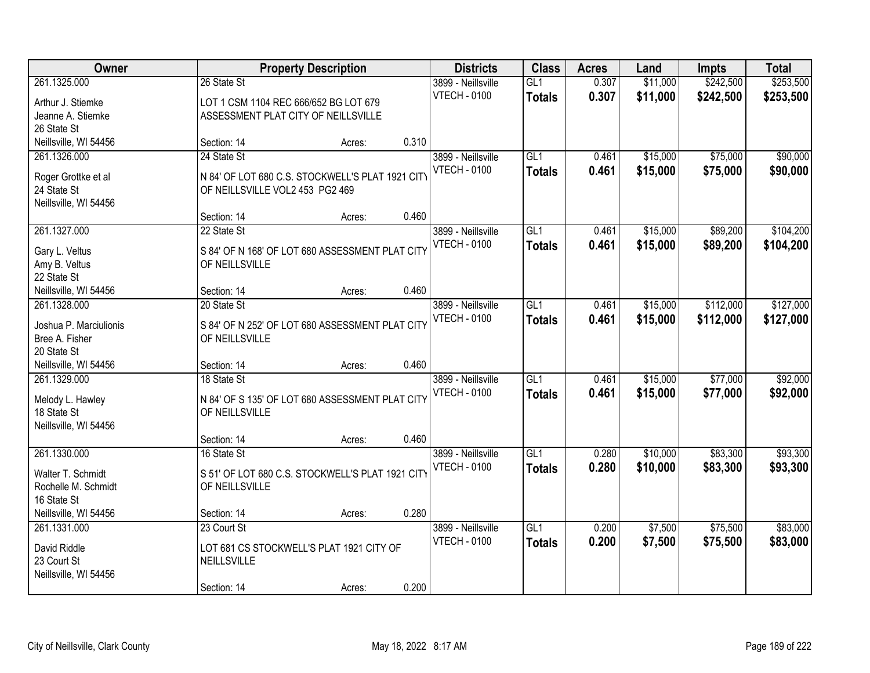| \$242,500<br>\$253,500<br>261.1325.000<br>GL1<br>0.307<br>\$11,000<br>26 State St<br>3899 - Neillsville<br><b>VTECH - 0100</b><br>0.307<br>\$11,000<br>\$242,500<br>\$253,500<br><b>Totals</b><br>LOT 1 CSM 1104 REC 666/652 BG LOT 679<br>Arthur J. Stiemke<br>Jeanne A. Stiemke<br>ASSESSMENT PLAT CITY OF NEILLSVILLE<br>26 State St<br>0.310<br>Neillsville, WI 54456<br>Section: 14<br>Acres:<br>GL1<br>\$15,000<br>\$75,000<br>261.1326.000<br>24 State St<br>3899 - Neillsville<br>0.461<br><b>VTECH - 0100</b><br>0.461<br>\$15,000<br>\$75,000<br><b>Totals</b><br>N 84' OF LOT 680 C.S. STOCKWELL'S PLAT 1921 CITY<br>Roger Grottke et al<br>24 State St<br>OF NEILLSVILLE VOL2 453 PG2 469<br>Neillsville, WI 54456<br>0.460<br>Section: 14<br>Acres:<br>\$89,200<br>261.1327.000<br>3899 - Neillsville<br>GL1<br>\$15,000<br>22 State St<br>0.461<br><b>VTECH - 0100</b><br>\$15,000<br>0.461<br>\$89,200<br><b>Totals</b><br>S 84' OF N 168' OF LOT 680 ASSESSMENT PLAT CITY<br>Gary L. Veltus<br>Amy B. Veltus<br>OF NEILLSVILLE<br>22 State St<br>0.460<br>Neillsville, WI 54456<br>Section: 14<br>Acres:<br>GL1<br>\$15,000<br>\$112,000<br>261.1328.000<br>20 State St<br>3899 - Neillsville<br>0.461<br><b>VTECH - 0100</b><br>0.461<br>\$15,000<br>\$112,000<br><b>Totals</b><br>Joshua P. Marciulionis<br>S 84' OF N 252' OF LOT 680 ASSESSMENT PLAT CITY<br>Bree A. Fisher<br>OF NEILLSVILLE<br>20 State St<br>0.460<br>Neillsville, WI 54456<br>Section: 14<br>Acres:<br>261.1329.000<br>18 State St<br>$\overline{GL1}$<br>0.461<br>\$15,000<br>\$77,000<br>3899 - Neillsville<br><b>VTECH - 0100</b><br>\$15,000<br>\$77,000<br>0.461<br><b>Totals</b><br>N 84' OF S 135' OF LOT 680 ASSESSMENT PLAT CITY<br>Melody L. Hawley<br>18 State St<br>OF NEILLSVILLE<br>Neillsville, WI 54456<br>0.460<br>Section: 14<br>Acres:<br>$\overline{GL1}$<br>\$10,000<br>\$83,300<br>261.1330.000<br>3899 - Neillsville<br>0.280<br>16 State St<br><b>VTECH - 0100</b><br>0.280<br>\$10,000<br>\$83,300<br><b>Totals</b><br>S 51' OF LOT 680 C.S. STOCKWELL'S PLAT 1921 CITY<br>Walter T. Schmidt<br>Rochelle M. Schmidt<br>OF NEILLSVILLE<br>16 State St<br>0.280<br>Neillsville, WI 54456<br>Section: 14<br>Acres:<br>GL1<br>\$7,500<br>\$75,500<br>261.1331.000<br>23 Court St<br>3899 - Neillsville<br>0.200<br><b>VTECH - 0100</b><br>0.200<br>\$75,500<br>\$7,500<br><b>Totals</b><br>LOT 681 CS STOCKWELL'S PLAT 1921 CITY OF<br>David Riddle<br>23 Court St<br>NEILLSVILLE<br>Neillsville, WI 54456 | Owner | <b>Property Description</b> | <b>Districts</b> | <b>Class</b> | <b>Acres</b> | Land | <b>Impts</b> | <b>Total</b> |
|-------------------------------------------------------------------------------------------------------------------------------------------------------------------------------------------------------------------------------------------------------------------------------------------------------------------------------------------------------------------------------------------------------------------------------------------------------------------------------------------------------------------------------------------------------------------------------------------------------------------------------------------------------------------------------------------------------------------------------------------------------------------------------------------------------------------------------------------------------------------------------------------------------------------------------------------------------------------------------------------------------------------------------------------------------------------------------------------------------------------------------------------------------------------------------------------------------------------------------------------------------------------------------------------------------------------------------------------------------------------------------------------------------------------------------------------------------------------------------------------------------------------------------------------------------------------------------------------------------------------------------------------------------------------------------------------------------------------------------------------------------------------------------------------------------------------------------------------------------------------------------------------------------------------------------------------------------------------------------------------------------------------------------------------------------------------------------------------------------------------------------------------------------------------------------------------------------------------------------------------------------------------------------------------------------------------------------------------------------------------------------------------------------------------------------------------------------------------------------------------------------------------------|-------|-----------------------------|------------------|--------------|--------------|------|--------------|--------------|
|                                                                                                                                                                                                                                                                                                                                                                                                                                                                                                                                                                                                                                                                                                                                                                                                                                                                                                                                                                                                                                                                                                                                                                                                                                                                                                                                                                                                                                                                                                                                                                                                                                                                                                                                                                                                                                                                                                                                                                                                                                                                                                                                                                                                                                                                                                                                                                                                                                                                                                                         |       |                             |                  |              |              |      |              |              |
|                                                                                                                                                                                                                                                                                                                                                                                                                                                                                                                                                                                                                                                                                                                                                                                                                                                                                                                                                                                                                                                                                                                                                                                                                                                                                                                                                                                                                                                                                                                                                                                                                                                                                                                                                                                                                                                                                                                                                                                                                                                                                                                                                                                                                                                                                                                                                                                                                                                                                                                         |       |                             |                  |              |              |      |              |              |
|                                                                                                                                                                                                                                                                                                                                                                                                                                                                                                                                                                                                                                                                                                                                                                                                                                                                                                                                                                                                                                                                                                                                                                                                                                                                                                                                                                                                                                                                                                                                                                                                                                                                                                                                                                                                                                                                                                                                                                                                                                                                                                                                                                                                                                                                                                                                                                                                                                                                                                                         |       |                             |                  |              |              |      |              |              |
| \$90,000<br>\$90,000<br>\$104,200<br>\$104,200<br>\$127,000<br>\$127,000<br>\$92,000<br>\$92,000<br>\$93,300<br>\$93,300<br>\$83,000<br>\$83,000                                                                                                                                                                                                                                                                                                                                                                                                                                                                                                                                                                                                                                                                                                                                                                                                                                                                                                                                                                                                                                                                                                                                                                                                                                                                                                                                                                                                                                                                                                                                                                                                                                                                                                                                                                                                                                                                                                                                                                                                                                                                                                                                                                                                                                                                                                                                                                        |       |                             |                  |              |              |      |              |              |
|                                                                                                                                                                                                                                                                                                                                                                                                                                                                                                                                                                                                                                                                                                                                                                                                                                                                                                                                                                                                                                                                                                                                                                                                                                                                                                                                                                                                                                                                                                                                                                                                                                                                                                                                                                                                                                                                                                                                                                                                                                                                                                                                                                                                                                                                                                                                                                                                                                                                                                                         |       |                             |                  |              |              |      |              |              |
|                                                                                                                                                                                                                                                                                                                                                                                                                                                                                                                                                                                                                                                                                                                                                                                                                                                                                                                                                                                                                                                                                                                                                                                                                                                                                                                                                                                                                                                                                                                                                                                                                                                                                                                                                                                                                                                                                                                                                                                                                                                                                                                                                                                                                                                                                                                                                                                                                                                                                                                         |       |                             |                  |              |              |      |              |              |
|                                                                                                                                                                                                                                                                                                                                                                                                                                                                                                                                                                                                                                                                                                                                                                                                                                                                                                                                                                                                                                                                                                                                                                                                                                                                                                                                                                                                                                                                                                                                                                                                                                                                                                                                                                                                                                                                                                                                                                                                                                                                                                                                                                                                                                                                                                                                                                                                                                                                                                                         |       |                             |                  |              |              |      |              |              |
|                                                                                                                                                                                                                                                                                                                                                                                                                                                                                                                                                                                                                                                                                                                                                                                                                                                                                                                                                                                                                                                                                                                                                                                                                                                                                                                                                                                                                                                                                                                                                                                                                                                                                                                                                                                                                                                                                                                                                                                                                                                                                                                                                                                                                                                                                                                                                                                                                                                                                                                         |       |                             |                  |              |              |      |              |              |
|                                                                                                                                                                                                                                                                                                                                                                                                                                                                                                                                                                                                                                                                                                                                                                                                                                                                                                                                                                                                                                                                                                                                                                                                                                                                                                                                                                                                                                                                                                                                                                                                                                                                                                                                                                                                                                                                                                                                                                                                                                                                                                                                                                                                                                                                                                                                                                                                                                                                                                                         |       |                             |                  |              |              |      |              |              |
|                                                                                                                                                                                                                                                                                                                                                                                                                                                                                                                                                                                                                                                                                                                                                                                                                                                                                                                                                                                                                                                                                                                                                                                                                                                                                                                                                                                                                                                                                                                                                                                                                                                                                                                                                                                                                                                                                                                                                                                                                                                                                                                                                                                                                                                                                                                                                                                                                                                                                                                         |       |                             |                  |              |              |      |              |              |
|                                                                                                                                                                                                                                                                                                                                                                                                                                                                                                                                                                                                                                                                                                                                                                                                                                                                                                                                                                                                                                                                                                                                                                                                                                                                                                                                                                                                                                                                                                                                                                                                                                                                                                                                                                                                                                                                                                                                                                                                                                                                                                                                                                                                                                                                                                                                                                                                                                                                                                                         |       |                             |                  |              |              |      |              |              |
|                                                                                                                                                                                                                                                                                                                                                                                                                                                                                                                                                                                                                                                                                                                                                                                                                                                                                                                                                                                                                                                                                                                                                                                                                                                                                                                                                                                                                                                                                                                                                                                                                                                                                                                                                                                                                                                                                                                                                                                                                                                                                                                                                                                                                                                                                                                                                                                                                                                                                                                         |       |                             |                  |              |              |      |              |              |
|                                                                                                                                                                                                                                                                                                                                                                                                                                                                                                                                                                                                                                                                                                                                                                                                                                                                                                                                                                                                                                                                                                                                                                                                                                                                                                                                                                                                                                                                                                                                                                                                                                                                                                                                                                                                                                                                                                                                                                                                                                                                                                                                                                                                                                                                                                                                                                                                                                                                                                                         |       |                             |                  |              |              |      |              |              |
|                                                                                                                                                                                                                                                                                                                                                                                                                                                                                                                                                                                                                                                                                                                                                                                                                                                                                                                                                                                                                                                                                                                                                                                                                                                                                                                                                                                                                                                                                                                                                                                                                                                                                                                                                                                                                                                                                                                                                                                                                                                                                                                                                                                                                                                                                                                                                                                                                                                                                                                         |       |                             |                  |              |              |      |              |              |
|                                                                                                                                                                                                                                                                                                                                                                                                                                                                                                                                                                                                                                                                                                                                                                                                                                                                                                                                                                                                                                                                                                                                                                                                                                                                                                                                                                                                                                                                                                                                                                                                                                                                                                                                                                                                                                                                                                                                                                                                                                                                                                                                                                                                                                                                                                                                                                                                                                                                                                                         |       |                             |                  |              |              |      |              |              |
|                                                                                                                                                                                                                                                                                                                                                                                                                                                                                                                                                                                                                                                                                                                                                                                                                                                                                                                                                                                                                                                                                                                                                                                                                                                                                                                                                                                                                                                                                                                                                                                                                                                                                                                                                                                                                                                                                                                                                                                                                                                                                                                                                                                                                                                                                                                                                                                                                                                                                                                         |       |                             |                  |              |              |      |              |              |
|                                                                                                                                                                                                                                                                                                                                                                                                                                                                                                                                                                                                                                                                                                                                                                                                                                                                                                                                                                                                                                                                                                                                                                                                                                                                                                                                                                                                                                                                                                                                                                                                                                                                                                                                                                                                                                                                                                                                                                                                                                                                                                                                                                                                                                                                                                                                                                                                                                                                                                                         |       |                             |                  |              |              |      |              |              |
|                                                                                                                                                                                                                                                                                                                                                                                                                                                                                                                                                                                                                                                                                                                                                                                                                                                                                                                                                                                                                                                                                                                                                                                                                                                                                                                                                                                                                                                                                                                                                                                                                                                                                                                                                                                                                                                                                                                                                                                                                                                                                                                                                                                                                                                                                                                                                                                                                                                                                                                         |       |                             |                  |              |              |      |              |              |
|                                                                                                                                                                                                                                                                                                                                                                                                                                                                                                                                                                                                                                                                                                                                                                                                                                                                                                                                                                                                                                                                                                                                                                                                                                                                                                                                                                                                                                                                                                                                                                                                                                                                                                                                                                                                                                                                                                                                                                                                                                                                                                                                                                                                                                                                                                                                                                                                                                                                                                                         |       |                             |                  |              |              |      |              |              |
|                                                                                                                                                                                                                                                                                                                                                                                                                                                                                                                                                                                                                                                                                                                                                                                                                                                                                                                                                                                                                                                                                                                                                                                                                                                                                                                                                                                                                                                                                                                                                                                                                                                                                                                                                                                                                                                                                                                                                                                                                                                                                                                                                                                                                                                                                                                                                                                                                                                                                                                         |       |                             |                  |              |              |      |              |              |
|                                                                                                                                                                                                                                                                                                                                                                                                                                                                                                                                                                                                                                                                                                                                                                                                                                                                                                                                                                                                                                                                                                                                                                                                                                                                                                                                                                                                                                                                                                                                                                                                                                                                                                                                                                                                                                                                                                                                                                                                                                                                                                                                                                                                                                                                                                                                                                                                                                                                                                                         |       |                             |                  |              |              |      |              |              |
|                                                                                                                                                                                                                                                                                                                                                                                                                                                                                                                                                                                                                                                                                                                                                                                                                                                                                                                                                                                                                                                                                                                                                                                                                                                                                                                                                                                                                                                                                                                                                                                                                                                                                                                                                                                                                                                                                                                                                                                                                                                                                                                                                                                                                                                                                                                                                                                                                                                                                                                         |       |                             |                  |              |              |      |              |              |
|                                                                                                                                                                                                                                                                                                                                                                                                                                                                                                                                                                                                                                                                                                                                                                                                                                                                                                                                                                                                                                                                                                                                                                                                                                                                                                                                                                                                                                                                                                                                                                                                                                                                                                                                                                                                                                                                                                                                                                                                                                                                                                                                                                                                                                                                                                                                                                                                                                                                                                                         |       |                             |                  |              |              |      |              |              |
|                                                                                                                                                                                                                                                                                                                                                                                                                                                                                                                                                                                                                                                                                                                                                                                                                                                                                                                                                                                                                                                                                                                                                                                                                                                                                                                                                                                                                                                                                                                                                                                                                                                                                                                                                                                                                                                                                                                                                                                                                                                                                                                                                                                                                                                                                                                                                                                                                                                                                                                         |       |                             |                  |              |              |      |              |              |
|                                                                                                                                                                                                                                                                                                                                                                                                                                                                                                                                                                                                                                                                                                                                                                                                                                                                                                                                                                                                                                                                                                                                                                                                                                                                                                                                                                                                                                                                                                                                                                                                                                                                                                                                                                                                                                                                                                                                                                                                                                                                                                                                                                                                                                                                                                                                                                                                                                                                                                                         |       |                             |                  |              |              |      |              |              |
|                                                                                                                                                                                                                                                                                                                                                                                                                                                                                                                                                                                                                                                                                                                                                                                                                                                                                                                                                                                                                                                                                                                                                                                                                                                                                                                                                                                                                                                                                                                                                                                                                                                                                                                                                                                                                                                                                                                                                                                                                                                                                                                                                                                                                                                                                                                                                                                                                                                                                                                         |       |                             |                  |              |              |      |              |              |
|                                                                                                                                                                                                                                                                                                                                                                                                                                                                                                                                                                                                                                                                                                                                                                                                                                                                                                                                                                                                                                                                                                                                                                                                                                                                                                                                                                                                                                                                                                                                                                                                                                                                                                                                                                                                                                                                                                                                                                                                                                                                                                                                                                                                                                                                                                                                                                                                                                                                                                                         |       |                             |                  |              |              |      |              |              |
|                                                                                                                                                                                                                                                                                                                                                                                                                                                                                                                                                                                                                                                                                                                                                                                                                                                                                                                                                                                                                                                                                                                                                                                                                                                                                                                                                                                                                                                                                                                                                                                                                                                                                                                                                                                                                                                                                                                                                                                                                                                                                                                                                                                                                                                                                                                                                                                                                                                                                                                         |       |                             |                  |              |              |      |              |              |
|                                                                                                                                                                                                                                                                                                                                                                                                                                                                                                                                                                                                                                                                                                                                                                                                                                                                                                                                                                                                                                                                                                                                                                                                                                                                                                                                                                                                                                                                                                                                                                                                                                                                                                                                                                                                                                                                                                                                                                                                                                                                                                                                                                                                                                                                                                                                                                                                                                                                                                                         |       |                             |                  |              |              |      |              |              |
|                                                                                                                                                                                                                                                                                                                                                                                                                                                                                                                                                                                                                                                                                                                                                                                                                                                                                                                                                                                                                                                                                                                                                                                                                                                                                                                                                                                                                                                                                                                                                                                                                                                                                                                                                                                                                                                                                                                                                                                                                                                                                                                                                                                                                                                                                                                                                                                                                                                                                                                         |       |                             |                  |              |              |      |              |              |
|                                                                                                                                                                                                                                                                                                                                                                                                                                                                                                                                                                                                                                                                                                                                                                                                                                                                                                                                                                                                                                                                                                                                                                                                                                                                                                                                                                                                                                                                                                                                                                                                                                                                                                                                                                                                                                                                                                                                                                                                                                                                                                                                                                                                                                                                                                                                                                                                                                                                                                                         |       |                             |                  |              |              |      |              |              |
|                                                                                                                                                                                                                                                                                                                                                                                                                                                                                                                                                                                                                                                                                                                                                                                                                                                                                                                                                                                                                                                                                                                                                                                                                                                                                                                                                                                                                                                                                                                                                                                                                                                                                                                                                                                                                                                                                                                                                                                                                                                                                                                                                                                                                                                                                                                                                                                                                                                                                                                         |       |                             |                  |              |              |      |              |              |
|                                                                                                                                                                                                                                                                                                                                                                                                                                                                                                                                                                                                                                                                                                                                                                                                                                                                                                                                                                                                                                                                                                                                                                                                                                                                                                                                                                                                                                                                                                                                                                                                                                                                                                                                                                                                                                                                                                                                                                                                                                                                                                                                                                                                                                                                                                                                                                                                                                                                                                                         |       |                             |                  |              |              |      |              |              |
|                                                                                                                                                                                                                                                                                                                                                                                                                                                                                                                                                                                                                                                                                                                                                                                                                                                                                                                                                                                                                                                                                                                                                                                                                                                                                                                                                                                                                                                                                                                                                                                                                                                                                                                                                                                                                                                                                                                                                                                                                                                                                                                                                                                                                                                                                                                                                                                                                                                                                                                         |       |                             |                  |              |              |      |              |              |
| 0.200<br>Section: 14<br>Acres:                                                                                                                                                                                                                                                                                                                                                                                                                                                                                                                                                                                                                                                                                                                                                                                                                                                                                                                                                                                                                                                                                                                                                                                                                                                                                                                                                                                                                                                                                                                                                                                                                                                                                                                                                                                                                                                                                                                                                                                                                                                                                                                                                                                                                                                                                                                                                                                                                                                                                          |       |                             |                  |              |              |      |              |              |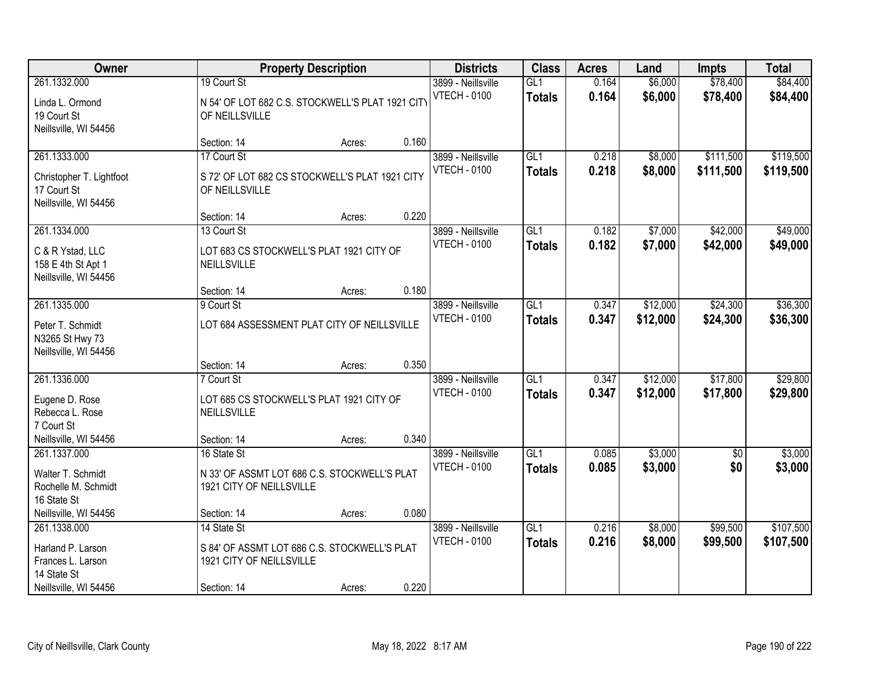| Owner                                                                                          |                                                                                                        | <b>Property Description</b> |       | <b>Districts</b>                          | <b>Class</b>                     | <b>Acres</b>   | Land                 | <b>Impts</b>           | <b>Total</b>           |
|------------------------------------------------------------------------------------------------|--------------------------------------------------------------------------------------------------------|-----------------------------|-------|-------------------------------------------|----------------------------------|----------------|----------------------|------------------------|------------------------|
| 261.1332.000<br>Linda L. Ormond<br>19 Court St<br>Neillsville, WI 54456                        | 19 Court St<br>N 54' OF LOT 682 C.S. STOCKWELL'S PLAT 1921 CITY<br>OF NEILLSVILLE                      |                             |       | 3899 - Neillsville<br><b>VTECH - 0100</b> | GL1<br><b>Totals</b>             | 0.164<br>0.164 | \$6,000<br>\$6,000   | \$78,400<br>\$78,400   | \$84,400<br>\$84,400   |
|                                                                                                | Section: 14                                                                                            | Acres:                      | 0.160 |                                           |                                  |                |                      |                        |                        |
| 261.1333.000<br>Christopher T. Lightfoot<br>17 Court St<br>Neillsville, WI 54456               | 17 Court St<br>S 72' OF LOT 682 CS STOCKWELL'S PLAT 1921 CITY<br>OF NEILLSVILLE                        |                             |       | 3899 - Neillsville<br><b>VTECH - 0100</b> | GL1<br><b>Totals</b>             | 0.218<br>0.218 | \$8,000<br>\$8,000   | \$111,500<br>\$111,500 | \$119,500<br>\$119,500 |
|                                                                                                | Section: 14                                                                                            | Acres:                      | 0.220 |                                           |                                  |                |                      |                        |                        |
| 261.1334.000<br>C & R Ystad, LLC<br>158 E 4th St Apt 1<br>Neillsville, WI 54456                | 13 Court St<br>LOT 683 CS STOCKWELL'S PLAT 1921 CITY OF<br>NEILLSVILLE                                 |                             |       | 3899 - Neillsville<br><b>VTECH - 0100</b> | GL <sub>1</sub><br><b>Totals</b> | 0.182<br>0.182 | \$7,000<br>\$7,000   | \$42,000<br>\$42,000   | \$49,000<br>\$49,000   |
|                                                                                                | Section: 14                                                                                            | Acres:                      | 0.180 |                                           |                                  |                |                      |                        |                        |
| 261.1335.000<br>Peter T. Schmidt<br>N3265 St Hwy 73<br>Neillsville, WI 54456                   | 9 Court St<br>LOT 684 ASSESSMENT PLAT CITY OF NEILLSVILLE                                              |                             |       | 3899 - Neillsville<br><b>VTECH - 0100</b> | GL1<br><b>Totals</b>             | 0.347<br>0.347 | \$12,000<br>\$12,000 | \$24,300<br>\$24,300   | \$36,300<br>\$36,300   |
|                                                                                                | Section: 14                                                                                            | Acres:                      | 0.350 |                                           |                                  |                |                      |                        |                        |
| 261.1336.000<br>Eugene D. Rose<br>Rebecca L. Rose<br>7 Court St                                | 7 Court St<br>LOT 685 CS STOCKWELL'S PLAT 1921 CITY OF<br>NEILLSVILLE                                  |                             |       | 3899 - Neillsville<br><b>VTECH - 0100</b> | GL1<br><b>Totals</b>             | 0.347<br>0.347 | \$12,000<br>\$12,000 | \$17,800<br>\$17,800   | \$29,800<br>\$29,800   |
| Neillsville, WI 54456                                                                          | Section: 14                                                                                            | Acres:                      | 0.340 |                                           |                                  |                |                      |                        |                        |
| 261.1337.000<br>Walter T. Schmidt<br>Rochelle M. Schmidt<br>16 State St                        | 16 State St<br>N 33' OF ASSMT LOT 686 C.S. STOCKWELL'S PLAT<br>1921 CITY OF NEILLSVILLE                |                             |       | 3899 - Neillsville<br><b>VTECH - 0100</b> | GL1<br><b>Totals</b>             | 0.085<br>0.085 | \$3,000<br>\$3,000   | $\overline{60}$<br>\$0 | \$3,000<br>\$3,000     |
| Neillsville, WI 54456                                                                          | Section: 14                                                                                            | Acres:                      | 0.080 |                                           |                                  |                |                      |                        |                        |
| 261.1338.000<br>Harland P. Larson<br>Frances L. Larson<br>14 State St<br>Neillsville, WI 54456 | 14 State St<br>S 84' OF ASSMT LOT 686 C.S. STOCKWELL'S PLAT<br>1921 CITY OF NEILLSVILLE<br>Section: 14 | Acres:                      | 0.220 | 3899 - Neillsville<br><b>VTECH - 0100</b> | GL1<br><b>Totals</b>             | 0.216<br>0.216 | \$8,000<br>\$8,000   | \$99,500<br>\$99,500   | \$107,500<br>\$107,500 |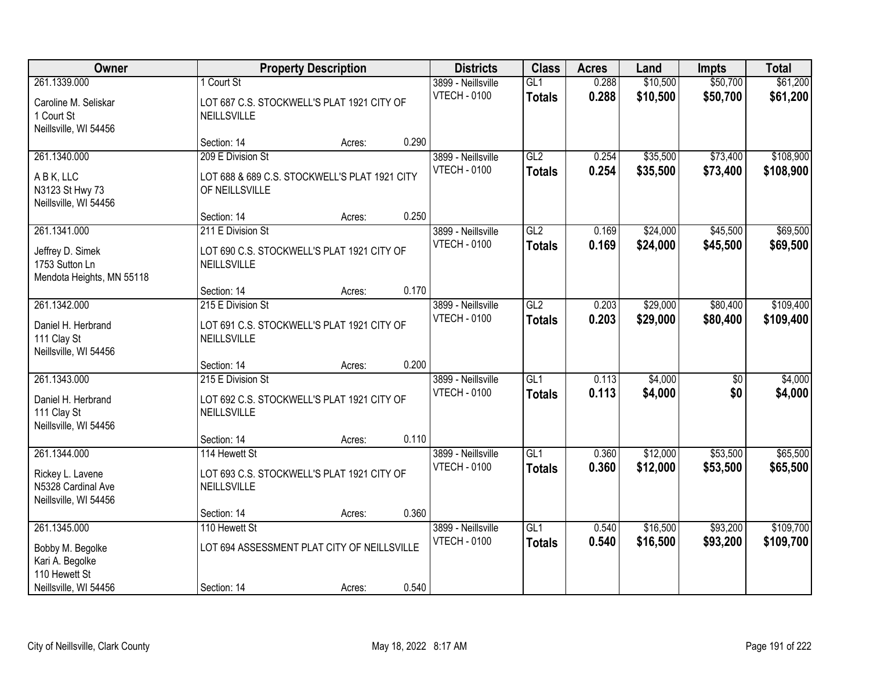| Owner                                                           |                                                                 | <b>Property Description</b> |       | <b>Districts</b>    | <b>Class</b>  | <b>Acres</b> | Land     | <b>Impts</b>    | <b>Total</b> |
|-----------------------------------------------------------------|-----------------------------------------------------------------|-----------------------------|-------|---------------------|---------------|--------------|----------|-----------------|--------------|
| 261.1339.000                                                    | 1 Court St                                                      |                             |       | 3899 - Neillsville  | GL1           | 0.288        | \$10,500 | \$50,700        | \$61,200     |
| Caroline M. Seliskar<br>1 Court St<br>Neillsville, WI 54456     | LOT 687 C.S. STOCKWELL'S PLAT 1921 CITY OF<br>NEILLSVILLE       |                             |       | <b>VTECH - 0100</b> | <b>Totals</b> | 0.288        | \$10,500 | \$50,700        | \$61,200     |
|                                                                 | Section: 14                                                     | Acres:                      | 0.290 |                     |               |              |          |                 |              |
| 261.1340.000                                                    | 209 E Division St                                               |                             |       | 3899 - Neillsville  | GL2           | 0.254        | \$35,500 | \$73,400        | \$108,900    |
| A B K, LLC<br>N3123 St Hwy 73<br>Neillsville, WI 54456          | LOT 688 & 689 C.S. STOCKWELL'S PLAT 1921 CITY<br>OF NEILLSVILLE |                             |       | <b>VTECH - 0100</b> | <b>Totals</b> | 0.254        | \$35,500 | \$73,400        | \$108,900    |
|                                                                 | Section: 14                                                     | Acres:                      | 0.250 |                     |               |              |          |                 |              |
| 261.1341.000                                                    | 211 E Division St                                               |                             |       | 3899 - Neillsville  | GL2           | 0.169        | \$24,000 | \$45,500        | \$69,500     |
| Jeffrey D. Simek<br>1753 Sutton Ln<br>Mendota Heights, MN 55118 | LOT 690 C.S. STOCKWELL'S PLAT 1921 CITY OF<br>NEILLSVILLE       |                             |       | <b>VTECH - 0100</b> | <b>Totals</b> | 0.169        | \$24,000 | \$45,500        | \$69,500     |
|                                                                 | Section: 14                                                     | Acres:                      | 0.170 |                     |               |              |          |                 |              |
| 261.1342.000                                                    | 215 E Division St                                               |                             |       | 3899 - Neillsville  | GL2           | 0.203        | \$29,000 | \$80,400        | \$109,400    |
| Daniel H. Herbrand<br>111 Clay St<br>Neillsville, WI 54456      | LOT 691 C.S. STOCKWELL'S PLAT 1921 CITY OF<br>NEILLSVILLE       |                             |       | <b>VTECH - 0100</b> | <b>Totals</b> | 0.203        | \$29,000 | \$80,400        | \$109,400    |
|                                                                 | Section: 14                                                     | Acres:                      | 0.200 |                     |               |              |          |                 |              |
| 261.1343.000                                                    | 215 E Division St                                               |                             |       | 3899 - Neillsville  | GLI           | 0.113        | \$4,000  | $\overline{50}$ | \$4,000      |
| Daniel H. Herbrand<br>111 Clay St<br>Neillsville, WI 54456      | LOT 692 C.S. STOCKWELL'S PLAT 1921 CITY OF<br>NEILLSVILLE       |                             |       | <b>VTECH - 0100</b> | <b>Totals</b> | 0.113        | \$4,000  | \$0             | \$4,000      |
|                                                                 | Section: 14                                                     | Acres:                      | 0.110 |                     |               |              |          |                 |              |
| 261.1344.000                                                    | 114 Hewett St                                                   |                             |       | 3899 - Neillsville  | GL1           | 0.360        | \$12,000 | \$53,500        | \$65,500     |
| Rickey L. Lavene<br>N5328 Cardinal Ave<br>Neillsville, WI 54456 | LOT 693 C.S. STOCKWELL'S PLAT 1921 CITY OF<br>NEILLSVILLE       |                             |       | <b>VTECH - 0100</b> | <b>Totals</b> | 0.360        | \$12,000 | \$53,500        | \$65,500     |
|                                                                 | Section: 14                                                     | Acres:                      | 0.360 |                     |               |              |          |                 |              |
| 261.1345.000                                                    | 110 Hewett St                                                   |                             |       | 3899 - Neillsville  | GL1           | 0.540        | \$16,500 | \$93,200        | \$109,700    |
| Bobby M. Begolke<br>Kari A. Begolke<br>110 Hewett St            | LOT 694 ASSESSMENT PLAT CITY OF NEILLSVILLE                     |                             |       | <b>VTECH - 0100</b> | <b>Totals</b> | 0.540        | \$16,500 | \$93,200        | \$109,700    |
| Neillsville, WI 54456                                           | Section: 14                                                     | Acres:                      | 0.540 |                     |               |              |          |                 |              |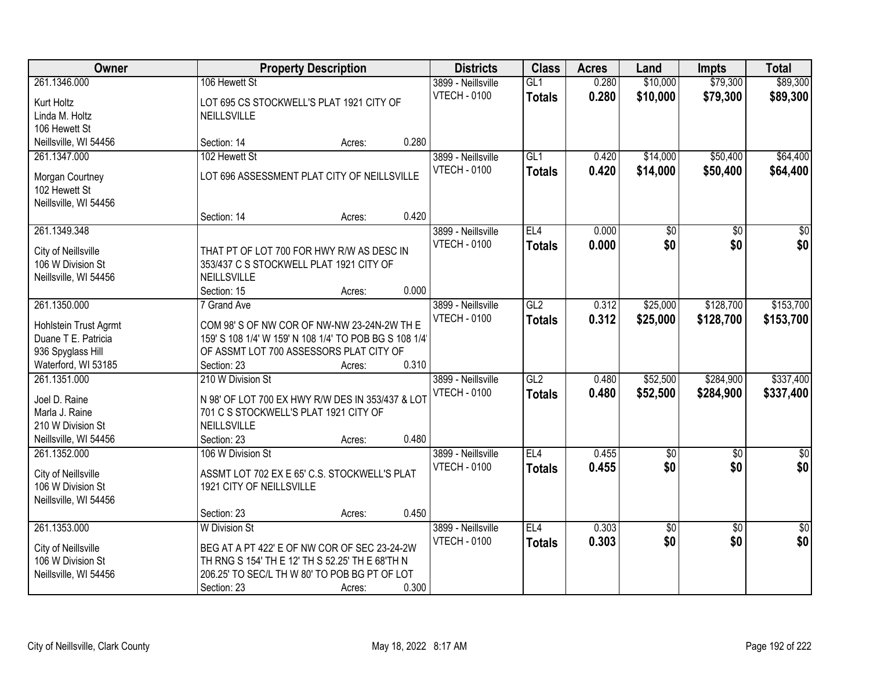| Owner                                                                                                    |                                                                                                                                                                                         | <b>Property Description</b> |       | <b>Districts</b>                          | <b>Class</b>                     | <b>Acres</b>   | Land                  | <b>Impts</b>           | <b>Total</b>           |
|----------------------------------------------------------------------------------------------------------|-----------------------------------------------------------------------------------------------------------------------------------------------------------------------------------------|-----------------------------|-------|-------------------------------------------|----------------------------------|----------------|-----------------------|------------------------|------------------------|
| 261.1346.000<br>Kurt Holtz<br>Linda M. Holtz                                                             | 106 Hewett St<br>LOT 695 CS STOCKWELL'S PLAT 1921 CITY OF<br>NEILLSVILLE                                                                                                                |                             |       | 3899 - Neillsville<br><b>VTECH - 0100</b> | GL1<br><b>Totals</b>             | 0.280<br>0.280 | \$10,000<br>\$10,000  | \$79,300<br>\$79,300   | \$89,300<br>\$89,300   |
| 106 Hewett St<br>Neillsville, WI 54456                                                                   | Section: 14                                                                                                                                                                             | Acres:                      | 0.280 |                                           |                                  |                |                       |                        |                        |
| 261.1347.000<br>Morgan Courtney<br>102 Hewett St<br>Neillsville, WI 54456                                | 102 Hewett St<br>LOT 696 ASSESSMENT PLAT CITY OF NEILLSVILLE                                                                                                                            |                             |       | 3899 - Neillsville<br><b>VTECH - 0100</b> | GL1<br><b>Totals</b>             | 0.420<br>0.420 | \$14,000<br>\$14,000  | \$50,400<br>\$50,400   | \$64,400<br>\$64,400   |
|                                                                                                          | Section: 14                                                                                                                                                                             | Acres:                      | 0.420 |                                           |                                  |                |                       |                        |                        |
| 261.1349.348<br>City of Neillsville<br>106 W Division St<br>Neillsville, WI 54456                        | THAT PT OF LOT 700 FOR HWY R/W AS DESC IN<br>353/437 C S STOCKWELL PLAT 1921 CITY OF<br><b>NEILLSVILLE</b><br>Section: 15                                                               | Acres:                      | 0.000 | 3899 - Neillsville<br><b>VTECH - 0100</b> | EL <sub>4</sub><br><b>Totals</b> | 0.000<br>0.000 | \$0<br>\$0            | $\overline{50}$<br>\$0 | $\overline{50}$<br>\$0 |
| 261.1350.000<br>Hohlstein Trust Agrmt<br>Duane T E. Patricia<br>936 Spyglass Hill<br>Waterford, WI 53185 | 7 Grand Ave<br>COM 98' S OF NW COR OF NW-NW 23-24N-2W TH E<br>159' S 108 1/4' W 159' N 108 1/4' TO POB BG S 108 1/4'<br>OF ASSMT LOT 700 ASSESSORS PLAT CITY OF<br>Section: 23          | Acres:                      | 0.310 | 3899 - Neillsville<br><b>VTECH - 0100</b> | GL2<br><b>Totals</b>             | 0.312<br>0.312 | \$25,000<br>\$25,000  | \$128,700<br>\$128,700 | \$153,700<br>\$153,700 |
| 261.1351.000<br>Joel D. Raine<br>Marla J. Raine<br>210 W Division St<br>Neillsville, WI 54456            | 210 W Division St<br>N 98' OF LOT 700 EX HWY R/W DES IN 353/437 & LOT<br>701 C S STOCKWELL'S PLAT 1921 CITY OF<br>NEILLSVILLE<br>Section: 23                                            | Acres:                      | 0.480 | 3899 - Neillsville<br><b>VTECH - 0100</b> | GL2<br><b>Totals</b>             | 0.480<br>0.480 | \$52,500<br>\$52,500  | \$284,900<br>\$284,900 | \$337,400<br>\$337,400 |
| 261.1352.000<br>City of Neillsville<br>106 W Division St<br>Neillsville, WI 54456                        | 106 W Division St<br>ASSMT LOT 702 EX E 65' C.S. STOCKWELL'S PLAT<br>1921 CITY OF NEILLSVILLE<br>Section: 23                                                                            | Acres:                      | 0.450 | 3899 - Neillsville<br><b>VTECH - 0100</b> | EL4<br><b>Totals</b>             | 0.455<br>0.455 | $\sqrt[6]{30}$<br>\$0 | $\overline{50}$<br>\$0 | $\frac{1}{6}$<br>\$0   |
| 261.1353.000<br>City of Neillsville<br>106 W Division St<br>Neillsville, WI 54456                        | <b>W</b> Division St<br>BEG AT A PT 422' E OF NW COR OF SEC 23-24-2W<br>TH RNG S 154' TH E 12' TH S 52.25' TH E 68'TH N<br>206.25' TO SEC/L TH W 80' TO POB BG PT OF LOT<br>Section: 23 | Acres:                      | 0.300 | 3899 - Neillsville<br><b>VTECH - 0100</b> | EL4<br><b>Totals</b>             | 0.303<br>0.303 | \$0<br>\$0            | $\overline{30}$<br>\$0 | $\overline{50}$<br>\$0 |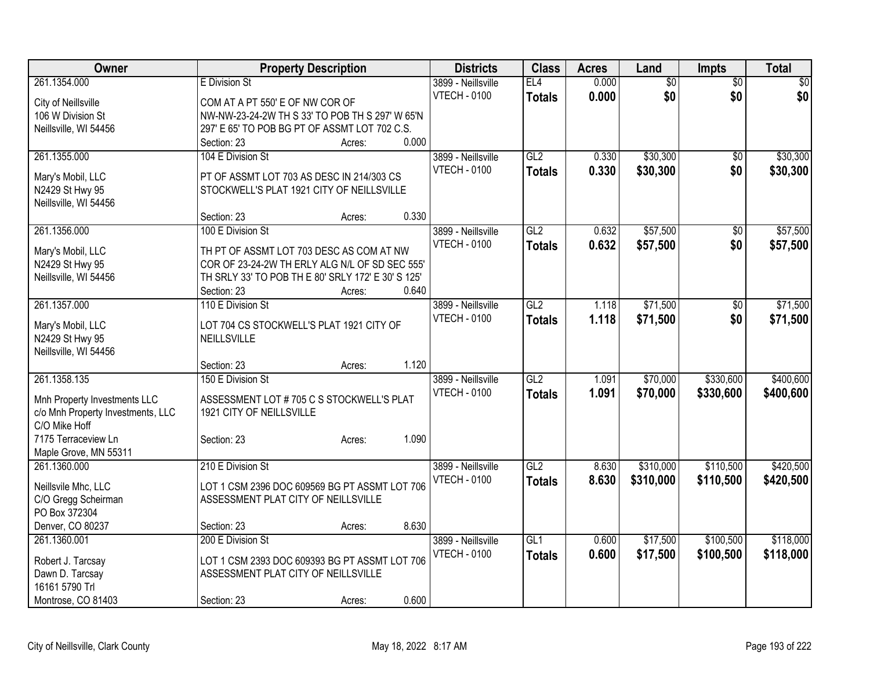| Owner                                                             |                                                                      | <b>Property Description</b> |       | <b>Districts</b>    | <b>Class</b>     | <b>Acres</b> | Land      | <b>Impts</b>    | <b>Total</b>    |
|-------------------------------------------------------------------|----------------------------------------------------------------------|-----------------------------|-------|---------------------|------------------|--------------|-----------|-----------------|-----------------|
| 261.1354.000                                                      | E Division St                                                        |                             |       | 3899 - Neillsville  | EL4              | 0.000        | \$0       | \$0             | $\overline{30}$ |
| City of Neillsville                                               | COM AT A PT 550' E OF NW COR OF                                      |                             |       | <b>VTECH - 0100</b> | <b>Totals</b>    | 0.000        | \$0       | \$0             | \$0             |
| 106 W Division St                                                 | NW-NW-23-24-2W TH S 33' TO POB TH S 297' W 65'N                      |                             |       |                     |                  |              |           |                 |                 |
| Neillsville, WI 54456                                             | 297' E 65' TO POB BG PT OF ASSMT LOT 702 C.S.                        |                             |       |                     |                  |              |           |                 |                 |
|                                                                   | Section: 23                                                          | Acres:                      | 0.000 |                     |                  |              |           |                 |                 |
| 261.1355.000                                                      | 104 E Division St                                                    |                             |       | 3899 - Neillsville  | GL2              | 0.330        | \$30,300  | \$0             | \$30,300        |
| Mary's Mobil, LLC                                                 | PT OF ASSMT LOT 703 AS DESC IN 214/303 CS                            |                             |       | <b>VTECH - 0100</b> | <b>Totals</b>    | 0.330        | \$30,300  | \$0             | \$30,300        |
| N2429 St Hwy 95                                                   | STOCKWELL'S PLAT 1921 CITY OF NEILLSVILLE                            |                             |       |                     |                  |              |           |                 |                 |
| Neillsville, WI 54456                                             |                                                                      |                             |       |                     |                  |              |           |                 |                 |
|                                                                   | Section: 23                                                          | Acres:                      | 0.330 |                     |                  |              |           |                 |                 |
| 261.1356.000                                                      | 100 E Division St                                                    |                             |       | 3899 - Neillsville  | GL2              | 0.632        | \$57,500  | \$0             | \$57,500        |
| Mary's Mobil, LLC                                                 | TH PT OF ASSMT LOT 703 DESC AS COM AT NW                             |                             |       | <b>VTECH - 0100</b> | <b>Totals</b>    | 0.632        | \$57,500  | \$0             | \$57,500        |
| N2429 St Hwy 95                                                   | COR OF 23-24-2W TH ERLY ALG N/L OF SD SEC 555'                       |                             |       |                     |                  |              |           |                 |                 |
| Neillsville, WI 54456                                             | TH SRLY 33' TO POB TH E 80' SRLY 172' E 30' S 125'                   |                             |       |                     |                  |              |           |                 |                 |
|                                                                   | Section: 23                                                          | Acres:                      | 0.640 |                     |                  |              |           |                 |                 |
| 261.1357.000                                                      | 110 E Division St                                                    |                             |       | 3899 - Neillsville  | GL2              | 1.118        | \$71,500  | $\overline{50}$ | \$71,500        |
|                                                                   | LOT 704 CS STOCKWELL'S PLAT 1921 CITY OF                             |                             |       | <b>VTECH - 0100</b> | <b>Totals</b>    | 1.118        | \$71,500  | \$0             | \$71,500        |
| Mary's Mobil, LLC<br>N2429 St Hwy 95                              | NEILLSVILLE                                                          |                             |       |                     |                  |              |           |                 |                 |
| Neillsville, WI 54456                                             |                                                                      |                             |       |                     |                  |              |           |                 |                 |
|                                                                   | Section: 23                                                          | Acres:                      | 1.120 |                     |                  |              |           |                 |                 |
| 261.1358.135                                                      | 150 E Division St                                                    |                             |       | 3899 - Neillsville  | $\overline{GL2}$ | 1.091        | \$70,000  | \$330,600       | \$400,600       |
|                                                                   |                                                                      |                             |       | <b>VTECH - 0100</b> | <b>Totals</b>    | 1.091        | \$70,000  | \$330,600       | \$400,600       |
| Mnh Property Investments LLC<br>c/o Mnh Property Investments, LLC | ASSESSMENT LOT #705 C S STOCKWELL'S PLAT<br>1921 CITY OF NEILLSVILLE |                             |       |                     |                  |              |           |                 |                 |
| C/O Mike Hoff                                                     |                                                                      |                             |       |                     |                  |              |           |                 |                 |
| 7175 Terraceview Ln                                               | Section: 23                                                          | Acres:                      | 1.090 |                     |                  |              |           |                 |                 |
| Maple Grove, MN 55311                                             |                                                                      |                             |       |                     |                  |              |           |                 |                 |
| 261.1360.000                                                      | 210 E Division St                                                    |                             |       | 3899 - Neillsville  | GL2              | 8.630        | \$310,000 | \$110,500       | \$420,500       |
| Neillsvile Mhc, LLC                                               | LOT 1 CSM 2396 DOC 609569 BG PT ASSMT LOT 706                        |                             |       | <b>VTECH - 0100</b> | <b>Totals</b>    | 8.630        | \$310,000 | \$110,500       | \$420,500       |
| C/O Gregg Scheirman                                               | ASSESSMENT PLAT CITY OF NEILLSVILLE                                  |                             |       |                     |                  |              |           |                 |                 |
| PO Box 372304                                                     |                                                                      |                             |       |                     |                  |              |           |                 |                 |
| Denver, CO 80237                                                  | Section: 23                                                          | Acres:                      | 8.630 |                     |                  |              |           |                 |                 |
| 261.1360.001                                                      | 200 E Division St                                                    |                             |       | 3899 - Neillsville  | GL1              | 0.600        | \$17,500  | \$100,500       | \$118,000       |
|                                                                   | LOT 1 CSM 2393 DOC 609393 BG PT ASSMT LOT 706                        |                             |       | <b>VTECH - 0100</b> | <b>Totals</b>    | 0.600        | \$17,500  | \$100,500       | \$118,000       |
| Robert J. Tarcsay<br>Dawn D. Tarcsay                              | ASSESSMENT PLAT CITY OF NEILLSVILLE                                  |                             |       |                     |                  |              |           |                 |                 |
| 16161 5790 Trl                                                    |                                                                      |                             |       |                     |                  |              |           |                 |                 |
| Montrose, CO 81403                                                | Section: 23                                                          | Acres:                      | 0.600 |                     |                  |              |           |                 |                 |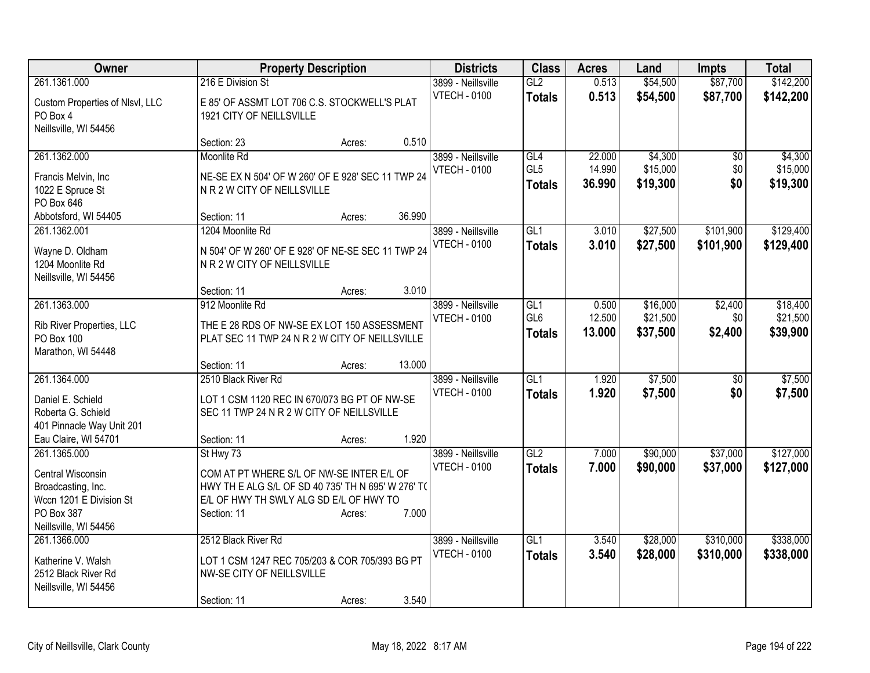| Owner                                                                                                                     | <b>Property Description</b>                                                                                                                                                               | <b>Districts</b>                          | <b>Class</b>                            | <b>Acres</b>               | Land                             | <b>Impts</b>              | <b>Total</b>                     |
|---------------------------------------------------------------------------------------------------------------------------|-------------------------------------------------------------------------------------------------------------------------------------------------------------------------------------------|-------------------------------------------|-----------------------------------------|----------------------------|----------------------------------|---------------------------|----------------------------------|
| 261.1361.000<br>Custom Properties of Nlsvl, LLC<br>PO Box 4<br>Neillsville, WI 54456                                      | 216 E Division St<br>E 85' OF ASSMT LOT 706 C.S. STOCKWELL'S PLAT<br>1921 CITY OF NEILLSVILLE                                                                                             | 3899 - Neillsville<br><b>VTECH - 0100</b> | GL2<br><b>Totals</b>                    | 0.513<br>0.513             | \$54,500<br>\$54,500             | \$87,700<br>\$87,700      | \$142,200<br>\$142,200           |
|                                                                                                                           | 0.510<br>Section: 23<br>Acres:                                                                                                                                                            |                                           |                                         |                            |                                  |                           |                                  |
| 261.1362.000<br>Francis Melvin, Inc<br>1022 E Spruce St<br>PO Box 646<br>Abbotsford, WI 54405                             | Moonlite Rd<br>NE-SE EX N 504' OF W 260' OF E 928' SEC 11 TWP 24<br>N R 2 W CITY OF NEILLSVILLE<br>36.990<br>Section: 11<br>Acres:                                                        | 3899 - Neillsville<br><b>VTECH - 0100</b> | GL4<br>GL <sub>5</sub><br><b>Totals</b> | 22.000<br>14.990<br>36.990 | \$4,300<br>\$15,000<br>\$19,300  | \$0<br>\$0<br>\$0         | \$4,300<br>\$15,000<br>\$19,300  |
| 261.1362.001                                                                                                              | 1204 Moonlite Rd                                                                                                                                                                          | 3899 - Neillsville                        | GL1                                     | 3.010                      | \$27,500                         | \$101,900                 | \$129,400                        |
| Wayne D. Oldham<br>1204 Moonlite Rd<br>Neillsville, WI 54456                                                              | N 504' OF W 260' OF E 928' OF NE-SE SEC 11 TWP 24<br>N R 2 W CITY OF NEILLSVILLE                                                                                                          | <b>VTECH - 0100</b>                       | <b>Totals</b>                           | 3.010                      | \$27,500                         | \$101,900                 | \$129,400                        |
|                                                                                                                           | 3.010<br>Section: 11<br>Acres:                                                                                                                                                            |                                           |                                         |                            |                                  |                           |                                  |
| 261.1363.000<br>Rib River Properties, LLC<br>PO Box 100<br>Marathon, WI 54448                                             | 912 Moonlite Rd<br>THE E 28 RDS OF NW-SE EX LOT 150 ASSESSMENT<br>PLAT SEC 11 TWP 24 N R 2 W CITY OF NEILLSVILLE                                                                          | 3899 - Neillsville<br><b>VTECH - 0100</b> | GL1<br>GL <sub>6</sub><br><b>Totals</b> | 0.500<br>12.500<br>13.000  | \$16,000<br>\$21,500<br>\$37,500 | \$2,400<br>\$0<br>\$2,400 | \$18,400<br>\$21,500<br>\$39,900 |
|                                                                                                                           | 13.000<br>Section: 11<br>Acres:                                                                                                                                                           |                                           |                                         |                            |                                  |                           |                                  |
| 261.1364.000<br>Daniel E. Schield<br>Roberta G. Schield<br>401 Pinnacle Way Unit 201<br>Eau Claire, WI 54701              | 2510 Black River Rd<br>LOT 1 CSM 1120 REC IN 670/073 BG PT OF NW-SE<br>SEC 11 TWP 24 N R 2 W CITY OF NEILLSVILLE<br>1.920<br>Section: 11<br>Acres:                                        | 3899 - Neillsville<br><b>VTECH - 0100</b> | $\overline{GL1}$<br><b>Totals</b>       | 1.920<br>1.920             | \$7,500<br>\$7,500               | $\overline{50}$<br>\$0    | \$7,500<br>\$7,500               |
| 261.1365.000<br>Central Wisconsin<br>Broadcasting, Inc.<br>Wccn 1201 E Division St<br>PO Box 387<br>Neillsville, WI 54456 | St Hwy 73<br>COM AT PT WHERE S/L OF NW-SE INTER E/L OF<br>HWY TH E ALG S/L OF SD 40 735' TH N 695' W 276' T(<br>E/L OF HWY TH SWLY ALG SD E/L OF HWY TO<br>7.000<br>Section: 11<br>Acres: | 3899 - Neillsville<br><b>VTECH - 0100</b> | GL2<br><b>Totals</b>                    | 7.000<br>7.000             | \$90,000<br>\$90,000             | \$37,000<br>\$37,000      | \$127,000<br>\$127,000           |
| 261.1366.000<br>Katherine V. Walsh<br>2512 Black River Rd<br>Neillsville, WI 54456                                        | 2512 Black River Rd<br>LOT 1 CSM 1247 REC 705/203 & COR 705/393 BG PT<br>NW-SE CITY OF NEILLSVILLE<br>3.540<br>Section: 11<br>Acres:                                                      | 3899 - Neillsville<br><b>VTECH - 0100</b> | GL1<br><b>Totals</b>                    | 3.540<br>3.540             | \$28,000<br>\$28,000             | \$310,000<br>\$310,000    | \$338,000<br>\$338,000           |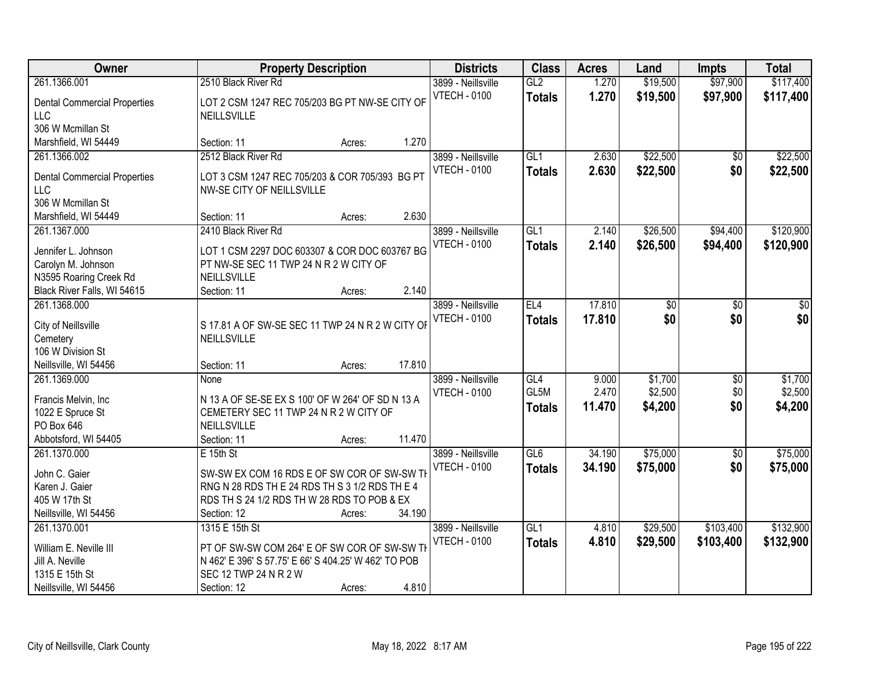| Owner                                                                                                |                                                                                                                                                                | <b>Property Description</b> |        | <b>Districts</b>                          | <b>Class</b>                      | <b>Acres</b>             | Land                          | <b>Impts</b>           | <b>Total</b>                  |
|------------------------------------------------------------------------------------------------------|----------------------------------------------------------------------------------------------------------------------------------------------------------------|-----------------------------|--------|-------------------------------------------|-----------------------------------|--------------------------|-------------------------------|------------------------|-------------------------------|
| 261.1366.001                                                                                         | 2510 Black River Rd                                                                                                                                            |                             |        | 3899 - Neillsville                        | GL2                               | 1.270                    | \$19,500                      | \$97,900               | \$117,400                     |
| <b>Dental Commercial Properties</b><br><b>LLC</b><br>306 W Mcmillan St                               | LOT 2 CSM 1247 REC 705/203 BG PT NW-SE CITY OF<br>NEILLSVILLE                                                                                                  |                             |        | <b>VTECH - 0100</b>                       | <b>Totals</b>                     | 1.270                    | \$19,500                      | \$97,900               | \$117,400                     |
| Marshfield, WI 54449                                                                                 | Section: 11                                                                                                                                                    | Acres:                      | 1.270  |                                           |                                   |                          |                               |                        |                               |
| 261.1366.002<br><b>Dental Commercial Properties</b>                                                  | 2512 Black River Rd<br>LOT 3 CSM 1247 REC 705/203 & COR 705/393 BG PT                                                                                          |                             |        | 3899 - Neillsville<br><b>VTECH - 0100</b> | GL1<br><b>Totals</b>              | 2.630<br>2.630           | \$22,500<br>\$22,500          | \$0<br>\$0             | \$22,500<br>\$22,500          |
| <b>LLC</b><br>306 W Mcmillan St<br>Marshfield, WI 54449                                              | NW-SE CITY OF NEILLSVILLE<br>Section: 11                                                                                                                       | Acres:                      | 2.630  |                                           |                                   |                          |                               |                        |                               |
| 261.1367.000                                                                                         | 2410 Black River Rd                                                                                                                                            |                             |        | 3899 - Neillsville                        | GL1                               | 2.140                    | \$26,500                      | \$94,400               | \$120,900                     |
| Jennifer L. Johnson<br>Carolyn M. Johnson<br>N3595 Roaring Creek Rd<br>Black River Falls, WI 54615   | LOT 1 CSM 2297 DOC 603307 & COR DOC 603767 BG<br>PT NW-SE SEC 11 TWP 24 N R 2 W CITY OF<br>NEILLSVILLE<br>Section: 11                                          | Acres:                      | 2.140  | <b>VTECH - 0100</b>                       | <b>Totals</b>                     | 2.140                    | \$26,500                      | \$94,400               | \$120,900                     |
| 261.1368.000<br>City of Neillsville<br>Cemetery                                                      | S 17.81 A OF SW-SE SEC 11 TWP 24 N R 2 W CITY OF<br>NEILLSVILLE                                                                                                |                             |        | 3899 - Neillsville<br><b>VTECH - 0100</b> | EL4<br><b>Totals</b>              | 17.810<br>17.810         | \$0<br>\$0                    | $\overline{50}$<br>\$0 | $\overline{50}$<br>\$0        |
| 106 W Division St<br>Neillsville, WI 54456                                                           | Section: 11                                                                                                                                                    | Acres:                      | 17.810 |                                           |                                   |                          |                               |                        |                               |
| 261.1369.000<br>Francis Melvin, Inc.<br>1022 E Spruce St<br>PO Box 646<br>Abbotsford, WI 54405       | None<br>N 13 A OF SE-SE EX S 100' OF W 264' OF SD N 13 A<br>CEMETERY SEC 11 TWP 24 N R 2 W CITY OF<br><b>NEILLSVILLE</b><br>Section: 11                        | Acres:                      | 11.470 | 3899 - Neillsville<br><b>VTECH - 0100</b> | GL4<br>GL5M<br><b>Totals</b>      | 9.000<br>2.470<br>11.470 | \$1,700<br>\$2,500<br>\$4,200 | \$0<br>\$0<br>\$0      | \$1,700<br>\$2,500<br>\$4,200 |
| 261.1370.000                                                                                         | $E$ 15th St                                                                                                                                                    |                             |        | 3899 - Neillsville                        | GL6                               | 34.190                   | \$75,000                      | $\overline{60}$        | \$75,000                      |
| John C. Gaier<br>Karen J. Gaier<br>405 W 17th St<br>Neillsville, WI 54456                            | SW-SW EX COM 16 RDS E OF SW COR OF SW-SW TH<br>RNG N 28 RDS TH E 24 RDS TH S 3 1/2 RDS TH E 4<br>RDS TH S 24 1/2 RDS TH W 28 RDS TO POB & EX<br>Section: 12    | Acres:                      | 34.190 | <b>VTECH - 0100</b>                       | <b>Totals</b>                     | 34.190                   | \$75,000                      | \$0                    | \$75,000                      |
| 261.1370.001<br>William E. Neville III<br>Jill A. Neville<br>1315 E 15th St<br>Neillsville, WI 54456 | 1315 E 15th St<br>PT OF SW-SW COM 264' E OF SW COR OF SW-SW TH<br>N 462' E 396' S 57.75' E 66' S 404.25' W 462' TO POB<br>SEC 12 TWP 24 N R 2 W<br>Section: 12 | Acres:                      | 4.810  | 3899 - Neillsville<br><b>VTECH - 0100</b> | $\overline{GL1}$<br><b>Totals</b> | 4.810<br>4.810           | \$29,500<br>\$29,500          | \$103,400<br>\$103,400 | \$132,900<br>\$132,900        |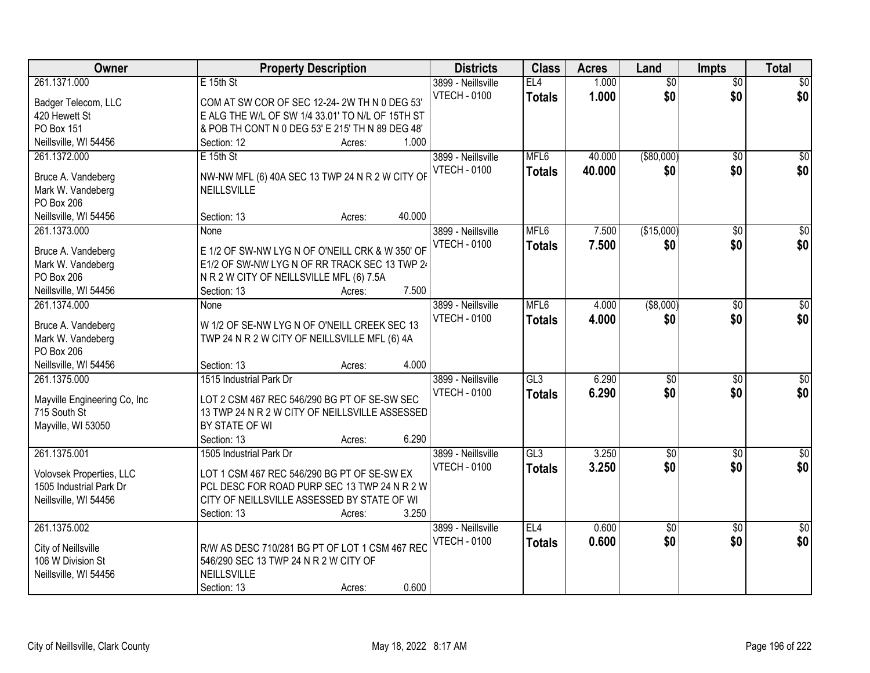| Owner                                   | <b>Property Description</b>                      | <b>Districts</b>    | <b>Class</b>     | <b>Acres</b> | Land            | <b>Impts</b>    | <b>Total</b>     |
|-----------------------------------------|--------------------------------------------------|---------------------|------------------|--------------|-----------------|-----------------|------------------|
| 261.1371.000                            | E 15th St                                        | 3899 - Neillsville  | EL4              | 1.000        | $\overline{50}$ | $\overline{50}$ | \$0              |
| Badger Telecom, LLC                     | COM AT SW COR OF SEC 12-24-2W TH N 0 DEG 53'     | <b>VTECH - 0100</b> | <b>Totals</b>    | 1.000        | \$0             | \$0             | \$0              |
| 420 Hewett St                           | E ALG THE W/L OF SW 1/4 33.01' TO N/L OF 15TH ST |                     |                  |              |                 |                 |                  |
| PO Box 151                              | & POB TH CONT N 0 DEG 53' E 215' TH N 89 DEG 48' |                     |                  |              |                 |                 |                  |
| Neillsville, WI 54456                   | 1.000<br>Section: 12<br>Acres:                   |                     |                  |              |                 |                 |                  |
| 261.1372.000                            | $E$ 15th St                                      | 3899 - Neillsville  | MFL <sub>6</sub> | 40.000       | ( \$80,000)     | $\overline{50}$ | \$0              |
|                                         |                                                  | <b>VTECH - 0100</b> | <b>Totals</b>    | 40.000       | \$0             | \$0             | \$0              |
| Bruce A. Vandeberg                      | NW-NW MFL (6) 40A SEC 13 TWP 24 N R 2 W CITY OF  |                     |                  |              |                 |                 |                  |
| Mark W. Vandeberg                       | NEILLSVILLE                                      |                     |                  |              |                 |                 |                  |
| PO Box 206                              | 40.000                                           |                     |                  |              |                 |                 |                  |
| Neillsville, WI 54456                   | Section: 13<br>Acres:                            |                     |                  |              |                 |                 |                  |
| 261.1373.000                            | None                                             | 3899 - Neillsville  | MFL6             | 7.500        | (\$15,000)      | \$0             | $\overline{\$0}$ |
| Bruce A. Vandeberg                      | E 1/2 OF SW-NW LYG N OF O'NEILL CRK & W 350' OF  | <b>VTECH - 0100</b> | <b>Totals</b>    | 7.500        | \$0             | \$0             | \$0              |
| Mark W. Vandeberg                       | E1/2 OF SW-NW LYG N OF RR TRACK SEC 13 TWP 24    |                     |                  |              |                 |                 |                  |
| PO Box 206                              | N R 2 W CITY OF NEILLSVILLE MFL (6) 7.5A         |                     |                  |              |                 |                 |                  |
| Neillsville, WI 54456                   | 7.500<br>Section: 13<br>Acres:                   |                     |                  |              |                 |                 |                  |
| 261.1374.000                            | None                                             | 3899 - Neillsville  | MFL <sub>6</sub> | 4.000        | ( \$8,000)      | $\sqrt[6]{}$    | $\sqrt{50}$      |
|                                         |                                                  | <b>VTECH - 0100</b> | <b>Totals</b>    | 4.000        | \$0             | \$0             | \$0              |
| Bruce A. Vandeberg<br>Mark W. Vandeberg | W 1/2 OF SE-NW LYG N OF O'NEILL CREEK SEC 13     |                     |                  |              |                 |                 |                  |
| PO Box 206                              | TWP 24 N R 2 W CITY OF NEILLSVILLE MFL (6) 4A    |                     |                  |              |                 |                 |                  |
| Neillsville, WI 54456                   | 4.000<br>Section: 13<br>Acres:                   |                     |                  |              |                 |                 |                  |
| 261.1375.000                            | 1515 Industrial Park Dr                          | 3899 - Neillsville  | GL3              | 6.290        | $\overline{50}$ | $\overline{50}$ | $\overline{50}$  |
|                                         |                                                  | <b>VTECH - 0100</b> | <b>Totals</b>    | 6.290        | \$0             | \$0             | \$0              |
| Mayville Engineering Co, Inc            | LOT 2 CSM 467 REC 546/290 BG PT OF SE-SW SEC     |                     |                  |              |                 |                 |                  |
| 715 South St                            | 13 TWP 24 N R 2 W CITY OF NEILLSVILLE ASSESSED   |                     |                  |              |                 |                 |                  |
| Mayville, WI 53050                      | BY STATE OF WI                                   |                     |                  |              |                 |                 |                  |
|                                         | 6.290<br>Section: 13<br>Acres:                   |                     |                  |              |                 |                 |                  |
| 261.1375.001                            | 1505 Industrial Park Dr                          | 3899 - Neillsville  | GL3              | 3.250        | $\sqrt{6}$      | \$0             | \$0              |
| Volovsek Properties, LLC                | LOT 1 CSM 467 REC 546/290 BG PT OF SE-SW EX      | <b>VTECH - 0100</b> | <b>Totals</b>    | 3.250        | \$0             | \$0             | \$0              |
| 1505 Industrial Park Dr                 | PCL DESC FOR ROAD PURP SEC 13 TWP 24 N R 2 W     |                     |                  |              |                 |                 |                  |
| Neillsville, WI 54456                   | CITY OF NEILLSVILLE ASSESSED BY STATE OF WI      |                     |                  |              |                 |                 |                  |
|                                         | 3.250<br>Section: 13<br>Acres:                   |                     |                  |              |                 |                 |                  |
| 261.1375.002                            |                                                  | 3899 - Neillsville  | EL <sub>4</sub>  | 0.600        | $\overline{50}$ | $\overline{30}$ | $\overline{50}$  |
|                                         |                                                  | <b>VTECH - 0100</b> | <b>Totals</b>    | 0.600        | \$0             | \$0             | \$0              |
| City of Neillsville                     | R/W AS DESC 710/281 BG PT OF LOT 1 CSM 467 REC   |                     |                  |              |                 |                 |                  |
| 106 W Division St                       | 546/290 SEC 13 TWP 24 N R 2 W CITY OF            |                     |                  |              |                 |                 |                  |
| Neillsville, WI 54456                   | NEILLSVILLE                                      |                     |                  |              |                 |                 |                  |
|                                         | 0.600<br>Section: 13<br>Acres:                   |                     |                  |              |                 |                 |                  |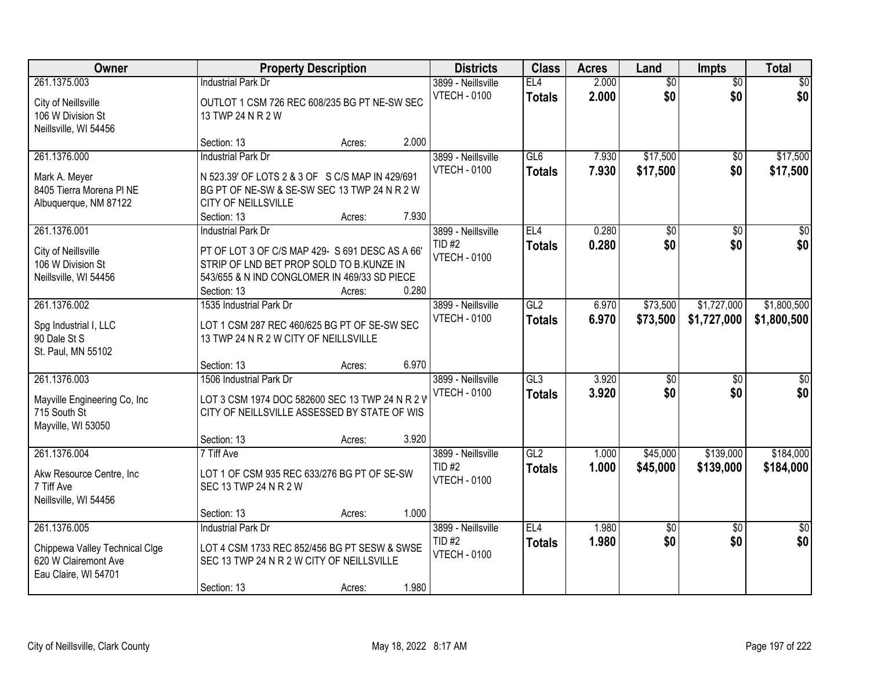| Owner                                                                                          |                                                                                                                                                                           | <b>Property Description</b> |       | <b>Districts</b>                                          | <b>Class</b>         | <b>Acres</b>   | Land                   | <b>Impts</b>           | <b>Total</b>           |
|------------------------------------------------------------------------------------------------|---------------------------------------------------------------------------------------------------------------------------------------------------------------------------|-----------------------------|-------|-----------------------------------------------------------|----------------------|----------------|------------------------|------------------------|------------------------|
| 261.1375.003<br>City of Neillsville<br>106 W Division St<br>Neillsville, WI 54456              | <b>Industrial Park Dr</b><br>OUTLOT 1 CSM 726 REC 608/235 BG PT NE-SW SEC<br>13 TWP 24 N R 2 W                                                                            |                             |       | 3899 - Neillsville<br><b>VTECH - 0100</b>                 | EL4<br><b>Totals</b> | 2.000<br>2.000 | $\overline{50}$<br>\$0 | $\overline{50}$<br>\$0 | $\sqrt{30}$<br>\$0     |
|                                                                                                | Section: 13                                                                                                                                                               | Acres:                      | 2.000 |                                                           |                      |                |                        |                        |                        |
| 261.1376.000<br>Mark A. Meyer<br>8405 Tierra Morena PI NE<br>Albuquerque, NM 87122             | <b>Industrial Park Dr</b><br>N 523.39' OF LOTS 2 & 3 OF S C/S MAP IN 429/691<br>BG PT OF NE-SW & SE-SW SEC 13 TWP 24 N R 2 W<br><b>CITY OF NEILLSVILLE</b><br>Section: 13 | Acres:                      | 7.930 | 3899 - Neillsville<br><b>VTECH - 0100</b>                 | GL6<br><b>Totals</b> | 7.930<br>7.930 | \$17,500<br>\$17,500   | $\overline{50}$<br>\$0 | \$17,500<br>\$17,500   |
| 261.1376.001                                                                                   | <b>Industrial Park Dr</b>                                                                                                                                                 |                             |       | 3899 - Neillsville                                        | EL <sub>4</sub>      | 0.280          | \$0                    | \$0                    | $\overline{30}$        |
| City of Neillsville<br>106 W Division St<br>Neillsville, WI 54456                              | PT OF LOT 3 OF C/S MAP 429- S 691 DESC AS A 66'<br>STRIP OF LND BET PROP SOLD TO B.KUNZE IN<br>543/655 & N IND CONGLOMER IN 469/33 SD PIECE<br>Section: 13                | Acres:                      | 0.280 | <b>TID#2</b><br><b>VTECH - 0100</b>                       | <b>Totals</b>        | 0.280          | \$0                    | \$0                    | \$0                    |
| 261.1376.002                                                                                   | 1535 Industrial Park Dr                                                                                                                                                   |                             |       | 3899 - Neillsville                                        | GL2                  | 6.970          | \$73,500               | \$1,727,000            | \$1,800,500            |
| Spg Industrial I, LLC<br>90 Dale St S<br>St. Paul, MN 55102                                    | LOT 1 CSM 287 REC 460/625 BG PT OF SE-SW SEC<br>13 TWP 24 N R 2 W CITY OF NEILLSVILLE                                                                                     |                             |       | <b>VTECH - 0100</b>                                       | <b>Totals</b>        | 6.970          | \$73,500               | \$1,727,000            | \$1,800,500            |
| 261.1376.003                                                                                   | Section: 13<br>1506 Industrial Park Dr                                                                                                                                    | Acres:                      | 6.970 | 3899 - Neillsville                                        | GL3                  | 3.920          | $\overline{50}$        | $\overline{50}$        | \$0                    |
| Mayville Engineering Co, Inc<br>715 South St<br>Mayville, WI 53050                             | LOT 3 CSM 1974 DOC 582600 SEC 13 TWP 24 N R 2 V<br>CITY OF NEILLSVILLE ASSESSED BY STATE OF WIS<br>Section: 13                                                            | Acres:                      | 3.920 | <b>VTECH - 0100</b>                                       | <b>Totals</b>        | 3.920          | \$0                    | \$0                    | \$0                    |
| 261.1376.004                                                                                   | 7 Tiff Ave                                                                                                                                                                |                             |       | 3899 - Neillsville                                        | GL2                  | 1.000          | \$45,000               | \$139,000              | \$184,000              |
| Akw Resource Centre, Inc<br>7 Tiff Ave<br>Neillsville, WI 54456                                | LOT 1 OF CSM 935 REC 633/276 BG PT OF SE-SW<br>SEC 13 TWP 24 N R 2 W                                                                                                      |                             |       | $TID$ #2<br><b>VTECH - 0100</b>                           | <b>Totals</b>        | 1.000          | \$45,000               | \$139,000              | \$184,000              |
|                                                                                                | Section: 13                                                                                                                                                               | Acres:                      | 1.000 |                                                           |                      |                |                        |                        |                        |
| 261.1376.005<br>Chippewa Valley Technical Clge<br>620 W Clairemont Ave<br>Eau Claire, WI 54701 | <b>Industrial Park Dr</b><br>LOT 4 CSM 1733 REC 852/456 BG PT SESW & SWSE<br>SEC 13 TWP 24 N R 2 W CITY OF NEILLSVILLE<br>Section: 13                                     | Acres:                      | 1.980 | 3899 - Neillsville<br><b>TID#2</b><br><b>VTECH - 0100</b> | EL4<br><b>Totals</b> | 1.980<br>1.980 | $\overline{50}$<br>\$0 | $\overline{30}$<br>\$0 | $\overline{50}$<br>\$0 |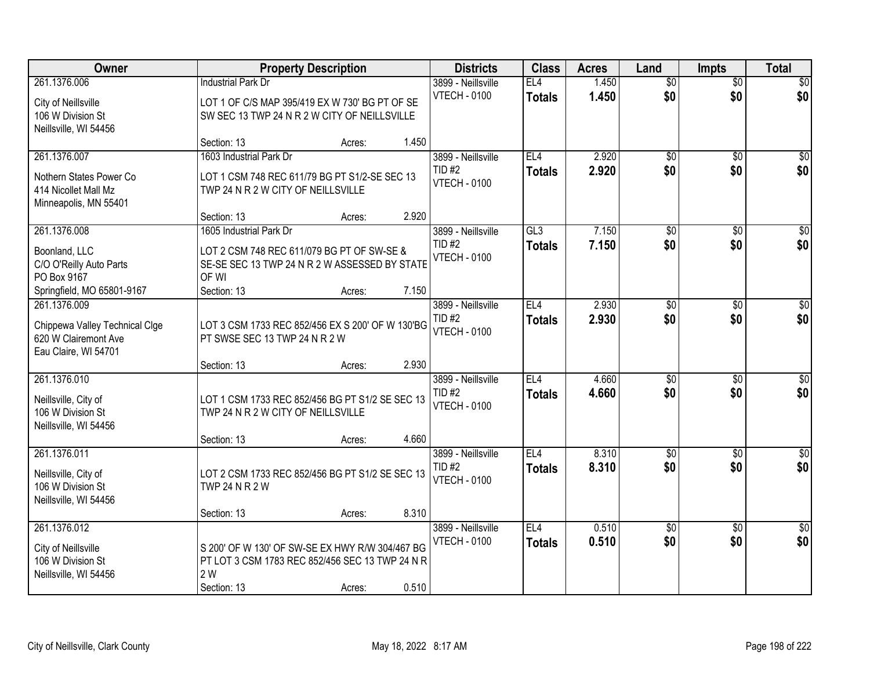| Owner                          |                                                  | <b>Property Description</b> |       | <b>Districts</b>    | <b>Class</b>    | <b>Acres</b> | Land            | <b>Impts</b>    | <b>Total</b>     |
|--------------------------------|--------------------------------------------------|-----------------------------|-------|---------------------|-----------------|--------------|-----------------|-----------------|------------------|
| 261.1376.006                   | <b>Industrial Park Dr</b>                        |                             |       | 3899 - Neillsville  | EL <sub>4</sub> | 1.450        | $\overline{50}$ | $\overline{50}$ | \$0              |
| City of Neillsville            | LOT 1 OF C/S MAP 395/419 EX W 730' BG PT OF SE   |                             |       | <b>VTECH - 0100</b> | <b>Totals</b>   | 1.450        | \$0             | \$0             | \$0              |
| 106 W Division St              | SW SEC 13 TWP 24 N R 2 W CITY OF NEILLSVILLE     |                             |       |                     |                 |              |                 |                 |                  |
| Neillsville, WI 54456          |                                                  |                             |       |                     |                 |              |                 |                 |                  |
|                                | Section: 13                                      | Acres:                      | 1.450 |                     |                 |              |                 |                 |                  |
| 261.1376.007                   | 1603 Industrial Park Dr                          |                             |       | 3899 - Neillsville  | EL4             | 2.920        | $\overline{50}$ | $\overline{50}$ | \$0              |
| Nothern States Power Co        | LOT 1 CSM 748 REC 611/79 BG PT S1/2-SE SEC 13    |                             |       | <b>TID#2</b>        | <b>Totals</b>   | 2.920        | \$0             | \$0             | \$0              |
| 414 Nicollet Mall Mz           | TWP 24 N R 2 W CITY OF NEILLSVILLE               |                             |       | <b>VTECH - 0100</b> |                 |              |                 |                 |                  |
| Minneapolis, MN 55401          |                                                  |                             |       |                     |                 |              |                 |                 |                  |
|                                | Section: 13                                      | Acres:                      | 2.920 |                     |                 |              |                 |                 |                  |
| 261.1376.008                   | 1605 Industrial Park Dr                          |                             |       | 3899 - Neillsville  | GL3             | 7.150        | \$0             | \$0             | $\overline{\$0}$ |
| Boonland, LLC                  | LOT 2 CSM 748 REC 611/079 BG PT OF SW-SE &       |                             |       | $TID$ #2            | <b>Totals</b>   | 7.150        | \$0             | \$0             | \$0              |
| C/O O'Reilly Auto Parts        | SE-SE SEC 13 TWP 24 N R 2 W ASSESSED BY STATE    |                             |       | <b>VTECH - 0100</b> |                 |              |                 |                 |                  |
| PO Box 9167                    | OF WI                                            |                             |       |                     |                 |              |                 |                 |                  |
| Springfield, MO 65801-9167     | Section: 13                                      | Acres:                      | 7.150 |                     |                 |              |                 |                 |                  |
| 261.1376.009                   |                                                  |                             |       | 3899 - Neillsville  | EL4             | 2.930        | \$0             | \$0             | $\sqrt{50}$      |
| Chippewa Valley Technical Clge | LOT 3 CSM 1733 REC 852/456 EX S 200' OF W 130'BG |                             |       | <b>TID#2</b>        | <b>Totals</b>   | 2.930        | \$0             | \$0             | \$0              |
| 620 W Clairemont Ave           | PT SWSE SEC 13 TWP 24 N R 2 W                    |                             |       | <b>VTECH - 0100</b> |                 |              |                 |                 |                  |
| Eau Claire, WI 54701           |                                                  |                             |       |                     |                 |              |                 |                 |                  |
|                                | Section: 13                                      | Acres:                      | 2.930 |                     |                 |              |                 |                 |                  |
| 261.1376.010                   |                                                  |                             |       | 3899 - Neillsville  | EL4             | 4.660        | $\overline{50}$ | \$0             | $\overline{\$0}$ |
| Neillsville, City of           | LOT 1 CSM 1733 REC 852/456 BG PT S1/2 SE SEC 13  |                             |       | $TID$ #2            | <b>Totals</b>   | 4.660        | \$0             | \$0             | \$0              |
| 106 W Division St              | TWP 24 N R 2 W CITY OF NEILLSVILLE               |                             |       | <b>VTECH - 0100</b> |                 |              |                 |                 |                  |
| Neillsville, WI 54456          |                                                  |                             |       |                     |                 |              |                 |                 |                  |
|                                | Section: 13                                      | Acres:                      | 4.660 |                     |                 |              |                 |                 |                  |
| 261.1376.011                   |                                                  |                             |       | 3899 - Neillsville  | EL <sub>4</sub> | 8.310        | $\overline{60}$ | $\overline{50}$ | \$0              |
| Neillsville, City of           | LOT 2 CSM 1733 REC 852/456 BG PT S1/2 SE SEC 13  |                             |       | <b>TID#2</b>        | <b>Totals</b>   | 8.310        | \$0             | \$0             | \$0              |
| 106 W Division St              | <b>TWP 24 N R 2 W</b>                            |                             |       | <b>VTECH - 0100</b> |                 |              |                 |                 |                  |
| Neillsville, WI 54456          |                                                  |                             |       |                     |                 |              |                 |                 |                  |
|                                | Section: 13                                      | Acres:                      | 8.310 |                     |                 |              |                 |                 |                  |
| 261.1376.012                   |                                                  |                             |       | 3899 - Neillsville  | EL4             | 0.510        | $\overline{60}$ | $\overline{50}$ | $\overline{30}$  |
| City of Neillsville            | S 200' OF W 130' OF SW-SE EX HWY R/W 304/467 BG  |                             |       | <b>VTECH - 0100</b> | <b>Totals</b>   | 0.510        | \$0             | \$0             | \$0              |
| 106 W Division St              | PT LOT 3 CSM 1783 REC 852/456 SEC 13 TWP 24 N R  |                             |       |                     |                 |              |                 |                 |                  |
| Neillsville, WI 54456          | 2 W                                              |                             |       |                     |                 |              |                 |                 |                  |
|                                | Section: 13                                      | Acres:                      | 0.510 |                     |                 |              |                 |                 |                  |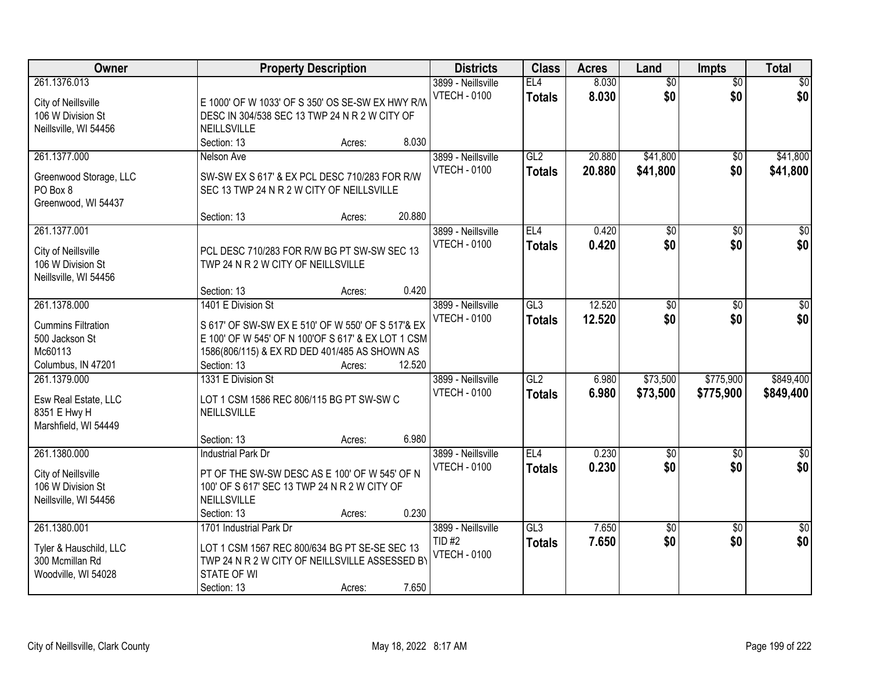| Owner                                                                                        | <b>Property Description</b>                                                                                                                                                                                       | <b>Districts</b>                                           | <b>Class</b>                     | <b>Acres</b>     | Land                   | <b>Impts</b>           | <b>Total</b>           |
|----------------------------------------------------------------------------------------------|-------------------------------------------------------------------------------------------------------------------------------------------------------------------------------------------------------------------|------------------------------------------------------------|----------------------------------|------------------|------------------------|------------------------|------------------------|
| 261.1376.013<br>City of Neillsville<br>106 W Division St<br>Neillsville, WI 54456            | E 1000' OF W 1033' OF S 350' OS SE-SW EX HWY R/W<br>DESC IN 304/538 SEC 13 TWP 24 N R 2 W CITY OF<br>NEILLSVILLE                                                                                                  | 3899 - Neillsville<br><b>VTECH - 0100</b>                  | EL4<br><b>Totals</b>             | 8.030<br>8.030   | $\overline{50}$<br>\$0 | $\overline{50}$<br>\$0 | $\sqrt{50}$<br>\$0     |
| 261.1377.000<br>Greenwood Storage, LLC<br>PO Box 8<br>Greenwood, WI 54437                    | 8.030<br>Section: 13<br>Acres:<br>Nelson Ave<br>SW-SW EX S 617' & EX PCL DESC 710/283 FOR R/W<br>SEC 13 TWP 24 N R 2 W CITY OF NEILLSVILLE                                                                        | 3899 - Neillsville<br><b>VTECH - 0100</b>                  | GL2<br><b>Totals</b>             | 20.880<br>20.880 | \$41,800<br>\$41,800   | \$0<br>\$0             | \$41,800<br>\$41,800   |
| 261.1377.001<br>City of Neillsville<br>106 W Division St<br>Neillsville, WI 54456            | 20.880<br>Section: 13<br>Acres:<br>PCL DESC 710/283 FOR R/W BG PT SW-SW SEC 13<br>TWP 24 N R 2 W CITY OF NEILLSVILLE<br>0.420<br>Section: 13<br>Acres:                                                            | 3899 - Neillsville<br><b>VTECH - 0100</b>                  | EL <sub>4</sub><br><b>Totals</b> | 0.420<br>0.420   | $\overline{50}$<br>\$0 | $\overline{50}$<br>\$0 | $\overline{30}$<br>\$0 |
| 261.1378.000<br><b>Cummins Filtration</b><br>500 Jackson St<br>Mc60113<br>Columbus, IN 47201 | 1401 E Division St<br>S 617' OF SW-SW EX E 510' OF W 550' OF S 517'& EX<br>E 100' OF W 545' OF N 100'OF S 617' & EX LOT 1 CSM<br>1586(806/115) & EX RD DED 401/485 AS SHOWN AS<br>12.520<br>Section: 13<br>Acres: | 3899 - Neillsville<br><b>VTECH - 0100</b>                  | GL3<br><b>Totals</b>             | 12.520<br>12.520 | \$0<br>\$0             | \$0<br>\$0             | \$0<br>\$0             |
| 261.1379.000<br>Esw Real Estate, LLC<br>8351 E Hwy H<br>Marshfield, WI 54449                 | 1331 E Division St<br>LOT 1 CSM 1586 REC 806/115 BG PT SW-SW C<br>NEILLSVILLE<br>6.980<br>Section: 13<br>Acres:                                                                                                   | 3899 - Neillsville<br><b>VTECH - 0100</b>                  | GL2<br><b>Totals</b>             | 6.980<br>6.980   | \$73,500<br>\$73,500   | \$775,900<br>\$775,900 | \$849,400<br>\$849,400 |
| 261.1380.000<br>City of Neillsville<br>106 W Division St<br>Neillsville, WI 54456            | <b>Industrial Park Dr</b><br>PT OF THE SW-SW DESC AS E 100' OF W 545' OF N<br>100' OF S 617' SEC 13 TWP 24 N R 2 W CITY OF<br>NEILLSVILLE<br>0.230<br>Section: 13<br>Acres:                                       | 3899 - Neillsville<br><b>VTECH - 0100</b>                  | EL <sub>4</sub><br><b>Totals</b> | 0.230<br>0.230   | $\sqrt{$0}$<br>\$0     | $\sqrt{6}$<br>\$0      | $\frac{1}{6}$<br>\$0   |
| 261.1380.001<br>Tyler & Hauschild, LLC<br>300 Mcmillan Rd<br>Woodville, WI 54028             | 1701 Industrial Park Dr<br>LOT 1 CSM 1567 REC 800/634 BG PT SE-SE SEC 13<br>TWP 24 N R 2 W CITY OF NEILLSVILLE ASSESSED BY<br>STATE OF WI<br>7.650<br>Section: 13<br>Acres:                                       | 3899 - Neillsville<br><b>TID #2</b><br><b>VTECH - 0100</b> | GL3<br><b>Totals</b>             | 7.650<br>7.650   | $\overline{50}$<br>\$0 | $\overline{50}$<br>\$0 | $\frac{1}{2}$<br>\$0   |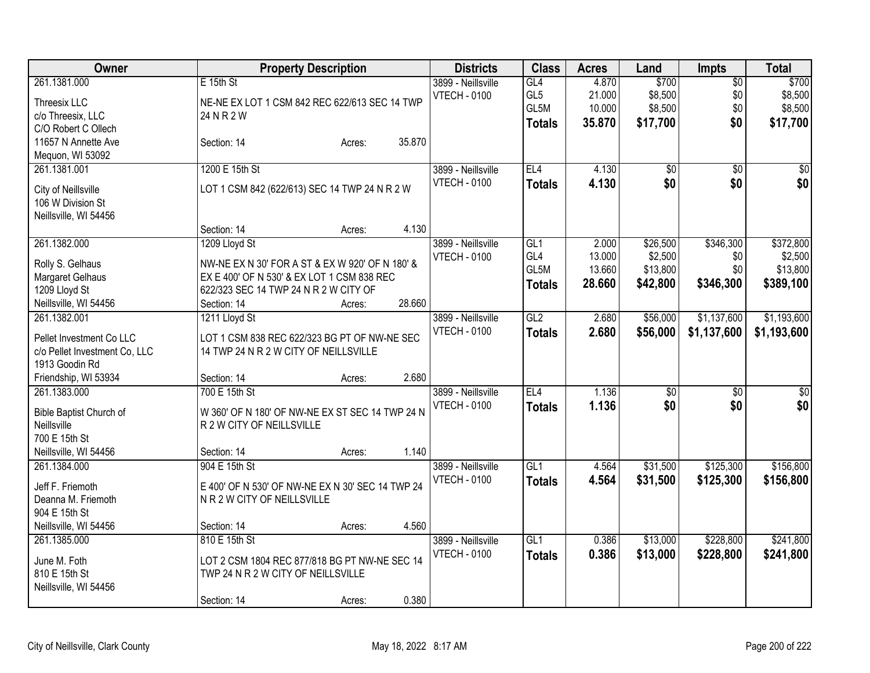| Owner                         |                                                  | <b>Property Description</b> |        | <b>Districts</b>                          | <b>Class</b>    | <b>Acres</b> | Land     | <b>Impts</b>    | <b>Total</b> |
|-------------------------------|--------------------------------------------------|-----------------------------|--------|-------------------------------------------|-----------------|--------------|----------|-----------------|--------------|
| 261.1381.000                  | $E$ 15th St                                      |                             |        | 3899 - Neillsville                        | GL4             | 4.870        | \$700    | $\overline{50}$ | \$700        |
| Threesix LLC                  | NE-NE EX LOT 1 CSM 842 REC 622/613 SEC 14 TWP    |                             |        | <b>VTECH - 0100</b>                       | GL <sub>5</sub> | 21.000       | \$8,500  | \$0             | \$8,500      |
| c/o Threesix, LLC             | 24 N R 2 W                                       |                             |        |                                           | GL5M            | 10.000       | \$8,500  | \$0             | \$8,500      |
| C/O Robert C Ollech           |                                                  |                             |        |                                           | <b>Totals</b>   | 35.870       | \$17,700 | \$0             | \$17,700     |
| 11657 N Annette Ave           | Section: 14                                      | Acres:                      | 35.870 |                                           |                 |              |          |                 |              |
| Mequon, WI 53092              |                                                  |                             |        |                                           |                 |              |          |                 |              |
| 261.1381.001                  | 1200 E 15th St                                   |                             |        | 3899 - Neillsville                        | EL4             | 4.130        | \$0      | \$0             | \$0          |
|                               |                                                  |                             |        | <b>VTECH - 0100</b>                       | <b>Totals</b>   | 4.130        | \$0      | \$0             | \$0          |
| City of Neillsville           | LOT 1 CSM 842 (622/613) SEC 14 TWP 24 N R 2 W    |                             |        |                                           |                 |              |          |                 |              |
| 106 W Division St             |                                                  |                             |        |                                           |                 |              |          |                 |              |
| Neillsville, WI 54456         |                                                  |                             |        |                                           |                 |              |          |                 |              |
|                               | Section: 14                                      | Acres:                      | 4.130  |                                           |                 |              |          |                 |              |
| 261.1382.000                  | 1209 Lloyd St                                    |                             |        | 3899 - Neillsville                        | GL <sub>1</sub> | 2.000        | \$26,500 | \$346,300       | \$372,800    |
| Rolly S. Gelhaus              | NW-NE EX N 30' FOR A ST & EX W 920' OF N 180' &  |                             |        | <b>VTECH - 0100</b>                       | GL4             | 13.000       | \$2,500  | \$0             | \$2,500      |
| Margaret Gelhaus              | EX E 400' OF N 530' & EX LOT 1 CSM 838 REC       |                             |        |                                           | GL5M            | 13.660       | \$13,800 | \$0             | \$13,800     |
| 1209 Lloyd St                 | 622/323 SEC 14 TWP 24 N R 2 W CITY OF            |                             |        |                                           | <b>Totals</b>   | 28.660       | \$42,800 | \$346,300       | \$389,100    |
| Neillsville, WI 54456         | Section: 14                                      | Acres:                      | 28.660 |                                           |                 |              |          |                 |              |
| 261.1382.001                  | 1211 Lloyd St                                    |                             |        | 3899 - Neillsville                        | GL2             | 2.680        | \$56,000 | \$1,137,600     | \$1,193,600  |
|                               |                                                  |                             |        | <b>VTECH - 0100</b>                       | <b>Totals</b>   | 2.680        | \$56,000 | \$1,137,600     | \$1,193,600  |
| Pellet Investment Co LLC      | LOT 1 CSM 838 REC 622/323 BG PT OF NW-NE SEC     |                             |        |                                           |                 |              |          |                 |              |
| c/o Pellet Investment Co, LLC | 14 TWP 24 N R 2 W CITY OF NEILLSVILLE            |                             |        |                                           |                 |              |          |                 |              |
| 1913 Goodin Rd                |                                                  |                             | 2.680  |                                           |                 |              |          |                 |              |
| Friendship, WI 53934          | Section: 14<br>700 E 15th St                     | Acres:                      |        |                                           | EL <sub>4</sub> |              |          |                 |              |
| 261.1383.000                  |                                                  |                             |        | 3899 - Neillsville<br><b>VTECH - 0100</b> |                 | 1.136        | \$0      | \$0             | \$0          |
| Bible Baptist Church of       | W 360' OF N 180' OF NW-NE EX ST SEC 14 TWP 24 N  |                             |        |                                           | <b>Totals</b>   | 1.136        | \$0      | \$0             | \$0          |
| Neillsville                   | R 2 W CITY OF NEILLSVILLE                        |                             |        |                                           |                 |              |          |                 |              |
| 700 E 15th St                 |                                                  |                             |        |                                           |                 |              |          |                 |              |
| Neillsville, WI 54456         | Section: 14                                      | Acres:                      | 1.140  |                                           |                 |              |          |                 |              |
| 261.1384.000                  | 904 E 15th St                                    |                             |        | 3899 - Neillsville                        | GL1             | 4.564        | \$31,500 | \$125,300       | \$156,800    |
| Jeff F. Friemoth              | E 400' OF N 530' OF NW-NE EX N 30' SEC 14 TWP 24 |                             |        | <b>VTECH - 0100</b>                       | <b>Totals</b>   | 4.564        | \$31,500 | \$125,300       | \$156,800    |
| Deanna M. Friemoth            | N R 2 W CITY OF NEILLSVILLE                      |                             |        |                                           |                 |              |          |                 |              |
| 904 E 15th St                 |                                                  |                             |        |                                           |                 |              |          |                 |              |
| Neillsville, WI 54456         | Section: 14                                      | Acres:                      | 4.560  |                                           |                 |              |          |                 |              |
| 261.1385.000                  | 810 E 15th St                                    |                             |        | 3899 - Neillsville                        | GL1             | 0.386        | \$13,000 | \$228,800       | \$241,800    |
|                               |                                                  |                             |        | <b>VTECH - 0100</b>                       | <b>Totals</b>   | 0.386        | \$13,000 | \$228,800       | \$241,800    |
| June M. Foth                  | LOT 2 CSM 1804 REC 877/818 BG PT NW-NE SEC 14    |                             |        |                                           |                 |              |          |                 |              |
| 810 E 15th St                 | TWP 24 N R 2 W CITY OF NEILLSVILLE               |                             |        |                                           |                 |              |          |                 |              |
| Neillsville, WI 54456         |                                                  |                             |        |                                           |                 |              |          |                 |              |
|                               | Section: 14                                      | Acres:                      | 0.380  |                                           |                 |              |          |                 |              |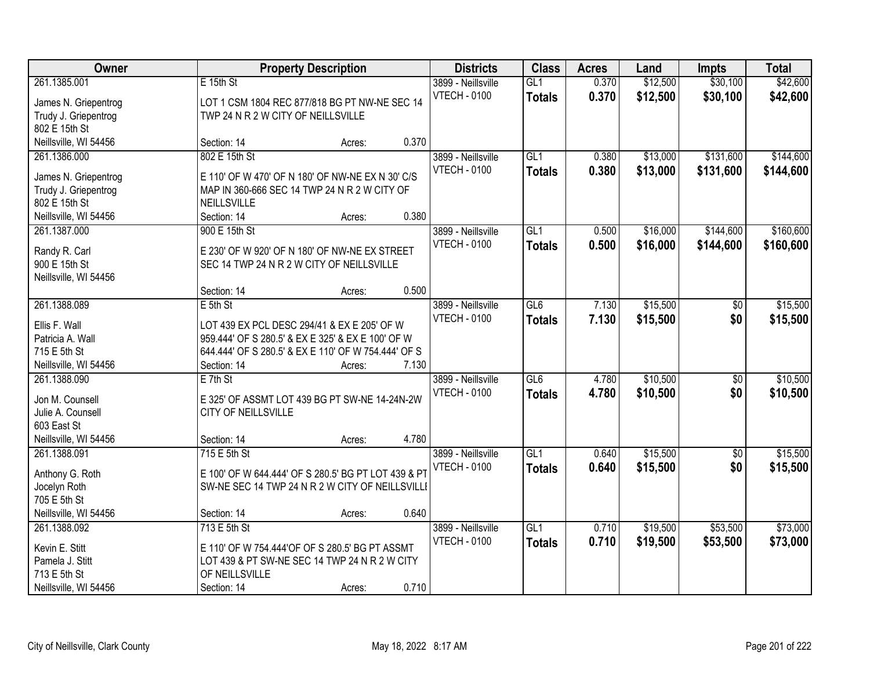| Owner                                 |                                                            | <b>Property Description</b> |       | <b>Districts</b>                          | <b>Class</b>         | <b>Acres</b>   | Land                 | <b>Impts</b>         | <b>Total</b>         |
|---------------------------------------|------------------------------------------------------------|-----------------------------|-------|-------------------------------------------|----------------------|----------------|----------------------|----------------------|----------------------|
| 261.1385.001<br>James N. Griepentrog  | E 15th St<br>LOT 1 CSM 1804 REC 877/818 BG PT NW-NE SEC 14 |                             |       | 3899 - Neillsville<br><b>VTECH - 0100</b> | GL1<br><b>Totals</b> | 0.370<br>0.370 | \$12,500<br>\$12,500 | \$30,100<br>\$30,100 | \$42,600<br>\$42,600 |
| Trudy J. Griepentrog<br>802 E 15th St | TWP 24 N R 2 W CITY OF NEILLSVILLE                         |                             |       |                                           |                      |                |                      |                      |                      |
| Neillsville, WI 54456                 | Section: 14                                                | Acres:                      | 0.370 |                                           |                      |                |                      |                      |                      |
| 261.1386.000                          | 802 E 15th St                                              |                             |       | 3899 - Neillsville                        | GL1                  | 0.380          | \$13,000             | \$131,600            | \$144,600            |
| James N. Griepentrog                  | E 110' OF W 470' OF N 180' OF NW-NE EX N 30' C/S           |                             |       | <b>VTECH - 0100</b>                       | <b>Totals</b>        | 0.380          | \$13,000             | \$131,600            | \$144,600            |
| Trudy J. Griepentrog                  | MAP IN 360-666 SEC 14 TWP 24 N R 2 W CITY OF               |                             |       |                                           |                      |                |                      |                      |                      |
| 802 E 15th St                         | NEILLSVILLE                                                |                             |       |                                           |                      |                |                      |                      |                      |
| Neillsville, WI 54456                 | Section: 14                                                | Acres:                      | 0.380 |                                           |                      |                |                      |                      |                      |
| 261.1387.000                          | 900 E 15th St                                              |                             |       | 3899 - Neillsville                        | GL1                  | 0.500          | \$16,000             | \$144,600            | \$160,600            |
| Randy R. Carl                         | E 230' OF W 920' OF N 180' OF NW-NE EX STREET              |                             |       | <b>VTECH - 0100</b>                       | <b>Totals</b>        | 0.500          | \$16,000             | \$144,600            | \$160,600            |
| 900 E 15th St                         | SEC 14 TWP 24 N R 2 W CITY OF NEILLSVILLE                  |                             |       |                                           |                      |                |                      |                      |                      |
| Neillsville, WI 54456                 |                                                            |                             |       |                                           |                      |                |                      |                      |                      |
|                                       | Section: 14                                                | Acres:                      | 0.500 |                                           |                      |                |                      |                      |                      |
| 261.1388.089                          | $E$ 5th St                                                 |                             |       | 3899 - Neillsville                        | GL6                  | 7.130          | \$15,500             | \$0                  | \$15,500             |
|                                       |                                                            |                             |       | <b>VTECH - 0100</b>                       | <b>Totals</b>        | 7.130          | \$15,500             | \$0                  | \$15,500             |
| Ellis F. Wall                         | LOT 439 EX PCL DESC 294/41 & EX E 205' OF W                |                             |       |                                           |                      |                |                      |                      |                      |
| Patricia A. Wall                      | 959.444' OF S 280.5' & EX E 325' & EX E 100' OF W          |                             |       |                                           |                      |                |                      |                      |                      |
| 715 E 5th St                          | 644.444' OF S 280.5' & EX E 110' OF W 754.444' OF S        |                             |       |                                           |                      |                |                      |                      |                      |
| Neillsville, WI 54456                 | Section: 14                                                | Acres:                      | 7.130 |                                           |                      |                |                      |                      |                      |
| 261.1388.090                          | $E$ 7th St                                                 |                             |       | 3899 - Neillsville                        | GL6                  | 4.780          | \$10,500             | $\overline{50}$      | \$10,500             |
| Jon M. Counsell                       | E 325' OF ASSMT LOT 439 BG PT SW-NE 14-24N-2W              |                             |       | <b>VTECH - 0100</b>                       | <b>Totals</b>        | 4.780          | \$10,500             | \$0                  | \$10,500             |
| Julie A. Counsell                     | CITY OF NEILLSVILLE                                        |                             |       |                                           |                      |                |                      |                      |                      |
| 603 East St                           |                                                            |                             |       |                                           |                      |                |                      |                      |                      |
| Neillsville, WI 54456                 | Section: 14                                                | Acres:                      | 4.780 |                                           |                      |                |                      |                      |                      |
| 261.1388.091                          | 715 E 5th St                                               |                             |       | 3899 - Neillsville                        | GL1                  | 0.640          | \$15,500             | $\sqrt{6}$           | \$15,500             |
| Anthony G. Roth                       | E 100' OF W 644.444' OF S 280.5' BG PT LOT 439 & PT        |                             |       | <b>VTECH - 0100</b>                       | <b>Totals</b>        | 0.640          | \$15,500             | \$0                  | \$15,500             |
| Jocelyn Roth                          | SW-NE SEC 14 TWP 24 N R 2 W CITY OF NEILLSVILLE            |                             |       |                                           |                      |                |                      |                      |                      |
| 705 E 5th St                          |                                                            |                             |       |                                           |                      |                |                      |                      |                      |
| Neillsville, WI 54456                 | Section: 14                                                | Acres:                      | 0.640 |                                           |                      |                |                      |                      |                      |
| 261.1388.092                          | 713 E 5th St                                               |                             |       | 3899 - Neillsville                        | GL1                  | 0.710          | \$19,500             | \$53,500             | \$73,000             |
|                                       |                                                            |                             |       | <b>VTECH - 0100</b>                       | <b>Totals</b>        | 0.710          | \$19,500             | \$53,500             | \$73,000             |
| Kevin E. Stitt                        | E 110' OF W 754.444'OF OF S 280.5' BG PT ASSMT             |                             |       |                                           |                      |                |                      |                      |                      |
| Pamela J. Stitt                       | LOT 439 & PT SW-NE SEC 14 TWP 24 N R 2 W CITY              |                             |       |                                           |                      |                |                      |                      |                      |
| 713 E 5th St                          | OF NEILLSVILLE                                             |                             | 0.710 |                                           |                      |                |                      |                      |                      |
| Neillsville, WI 54456                 | Section: 14                                                | Acres:                      |       |                                           |                      |                |                      |                      |                      |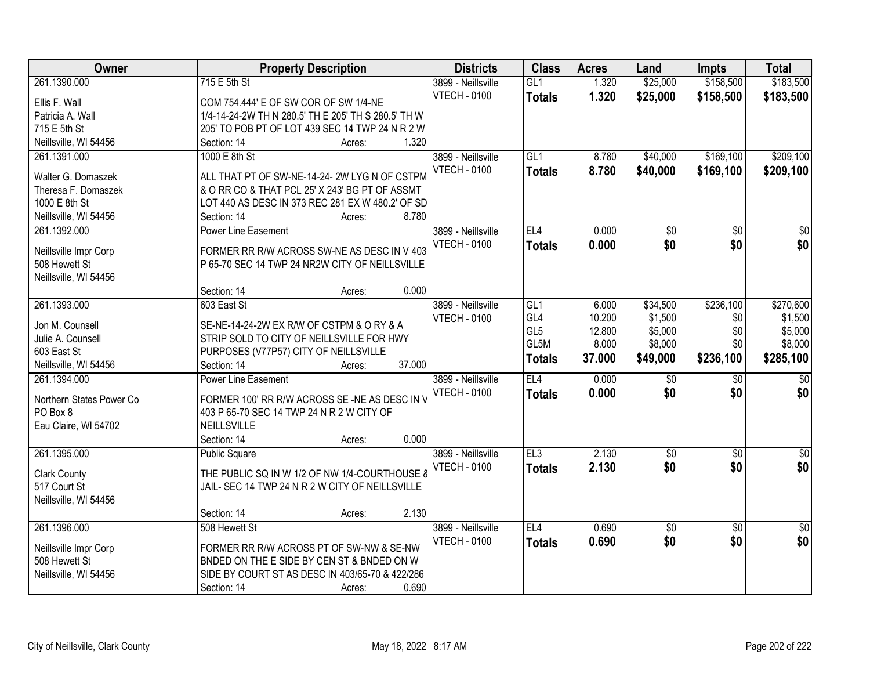| Owner                    | <b>Property Description</b>                         | <b>Districts</b>    | <b>Class</b>    | <b>Acres</b> | Land            | <b>Impts</b>    | <b>Total</b>     |
|--------------------------|-----------------------------------------------------|---------------------|-----------------|--------------|-----------------|-----------------|------------------|
| 261.1390.000             | 715 E 5th St                                        | 3899 - Neillsville  | GL1             | 1.320        | \$25,000        | \$158,500       | \$183,500        |
| Ellis F. Wall            | COM 754.444' E OF SW COR OF SW 1/4-NE               | <b>VTECH - 0100</b> | <b>Totals</b>   | 1.320        | \$25,000        | \$158,500       | \$183,500        |
| Patricia A. Wall         | 1/4-14-24-2W TH N 280.5' TH E 205' TH S 280.5' TH W |                     |                 |              |                 |                 |                  |
| 715 E 5th St             | 205' TO POB PT OF LOT 439 SEC 14 TWP 24 N R 2 W     |                     |                 |              |                 |                 |                  |
| Neillsville, WI 54456    | 1.320<br>Section: 14<br>Acres:                      |                     |                 |              |                 |                 |                  |
| 261.1391.000             | 1000 E 8th St                                       | 3899 - Neillsville  | GL1             | 8.780        | \$40,000        | \$169,100       | \$209,100        |
|                          |                                                     | <b>VTECH - 0100</b> | <b>Totals</b>   | 8.780        | \$40,000        | \$169,100       | \$209,100        |
| Walter G. Domaszek       | ALL THAT PT OF SW-NE-14-24-2W LYG N OF CSTPM        |                     |                 |              |                 |                 |                  |
| Theresa F. Domaszek      | & O RR CO & THAT PCL 25' X 243' BG PT OF ASSMT      |                     |                 |              |                 |                 |                  |
| 1000 E 8th St            | LOT 440 AS DESC IN 373 REC 281 EX W 480.2' OF SD    |                     |                 |              |                 |                 |                  |
| Neillsville, WI 54456    | 8.780<br>Section: 14<br>Acres:                      |                     |                 |              |                 |                 |                  |
| 261.1392.000             | Power Line Easement                                 | 3899 - Neillsville  | EL4             | 0.000        | \$0             | \$0             | $\sqrt{50}$      |
| Neillsville Impr Corp    | FORMER RR R/W ACROSS SW-NE AS DESC IN V 403         | <b>VTECH - 0100</b> | <b>Totals</b>   | 0.000        | \$0             | \$0             | \$0              |
| 508 Hewett St            | P 65-70 SEC 14 TWP 24 NR2W CITY OF NEILLSVILLE      |                     |                 |              |                 |                 |                  |
| Neillsville, WI 54456    |                                                     |                     |                 |              |                 |                 |                  |
|                          | 0.000<br>Section: 14<br>Acres:                      |                     |                 |              |                 |                 |                  |
| 261.1393.000             | 603 East St                                         | 3899 - Neillsville  | GL1             | 6.000        | \$34,500        | \$236,100       | \$270,600        |
|                          |                                                     | <b>VTECH - 0100</b> | GL <sub>4</sub> | 10.200       | \$1,500         | \$0             | \$1,500          |
| Jon M. Counsell          | SE-NE-14-24-2W EX R/W OF CSTPM & O RY & A           |                     | GL <sub>5</sub> | 12.800       | \$5,000         | \$0             | \$5,000          |
| Julie A. Counsell        | STRIP SOLD TO CITY OF NEILLSVILLE FOR HWY           |                     | GL5M            | 8.000        | \$8,000         | \$0             | \$8,000          |
| 603 East St              | PURPOSES (V77P57) CITY OF NEILLSVILLE               |                     | <b>Totals</b>   | 37.000       | \$49,000        | \$236,100       | \$285,100        |
| Neillsville, WI 54456    | 37.000<br>Section: 14<br>Acres:                     |                     |                 |              |                 |                 |                  |
| 261.1394.000             | <b>Power Line Easement</b>                          | 3899 - Neillsville  | EL4             | 0.000        | $\overline{50}$ | $\overline{50}$ | $\overline{\$0}$ |
| Northern States Power Co | FORMER 100' RR R/W ACROSS SE-NE AS DESC IN V        | <b>VTECH - 0100</b> | <b>Totals</b>   | 0.000        | \$0             | \$0             | \$0              |
| PO Box 8                 | 403 P 65-70 SEC 14 TWP 24 N R 2 W CITY OF           |                     |                 |              |                 |                 |                  |
| Eau Claire, WI 54702     | <b>NEILLSVILLE</b>                                  |                     |                 |              |                 |                 |                  |
|                          | 0.000<br>Section: 14<br>Acres:                      |                     |                 |              |                 |                 |                  |
| 261.1395.000             | <b>Public Square</b>                                | 3899 - Neillsville  | EL3             | 2.130        | $\overline{50}$ | $\overline{50}$ | \$0              |
|                          |                                                     | <b>VTECH - 0100</b> | <b>Totals</b>   | 2.130        | \$0             | \$0             | \$0              |
| <b>Clark County</b>      | THE PUBLIC SQ IN W 1/2 OF NW 1/4-COURTHOUSE 8       |                     |                 |              |                 |                 |                  |
| 517 Court St             | JAIL- SEC 14 TWP 24 N R 2 W CITY OF NEILLSVILLE     |                     |                 |              |                 |                 |                  |
| Neillsville, WI 54456    |                                                     |                     |                 |              |                 |                 |                  |
|                          | 2.130<br>Section: 14<br>Acres:                      |                     |                 |              |                 |                 |                  |
| 261.1396.000             | 508 Hewett St                                       | 3899 - Neillsville  | EL4             | 0.690        | $\overline{50}$ | $\overline{50}$ | $\overline{50}$  |
| Neillsville Impr Corp    | FORMER RR R/W ACROSS PT OF SW-NW & SE-NW            | <b>VTECH - 0100</b> | <b>Totals</b>   | 0.690        | \$0             | \$0             | \$0              |
| 508 Hewett St            | BNDED ON THE E SIDE BY CEN ST & BNDED ON W          |                     |                 |              |                 |                 |                  |
| Neillsville, WI 54456    | SIDE BY COURT ST AS DESC IN 403/65-70 & 422/286     |                     |                 |              |                 |                 |                  |
|                          | 0.690<br>Section: 14<br>Acres:                      |                     |                 |              |                 |                 |                  |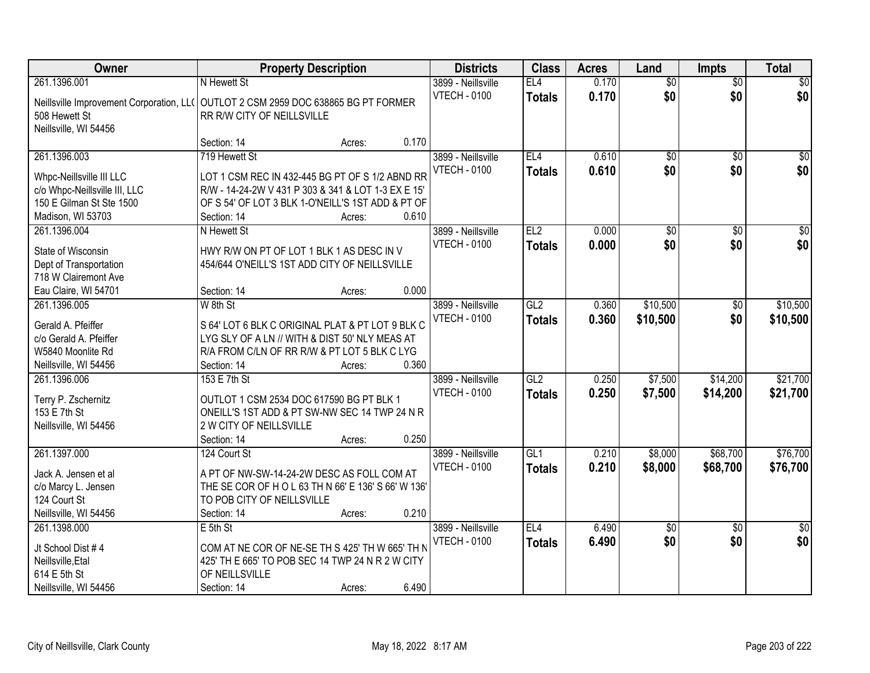| Owner                                                                              | <b>Property Description</b>                         |        |       | <b>Districts</b>    | <b>Class</b>    | <b>Acres</b> | Land            | <b>Impts</b>    | <b>Total</b>     |
|------------------------------------------------------------------------------------|-----------------------------------------------------|--------|-------|---------------------|-----------------|--------------|-----------------|-----------------|------------------|
| 261.1396.001                                                                       | N Hewett St                                         |        |       | 3899 - Neillsville  | EL4             | 0.170        | $\overline{60}$ | $\overline{50}$ | \$0              |
| Neillsville Improvement Corporation, LL( OUTLOT 2 CSM 2959 DOC 638865 BG PT FORMER |                                                     |        |       | <b>VTECH - 0100</b> | <b>Totals</b>   | 0.170        | \$0             | \$0             | \$0              |
| 508 Hewett St                                                                      | RR R/W CITY OF NEILLSVILLE                          |        |       |                     |                 |              |                 |                 |                  |
| Neillsville, WI 54456                                                              |                                                     |        |       |                     |                 |              |                 |                 |                  |
|                                                                                    | Section: 14                                         | Acres: | 0.170 |                     |                 |              |                 |                 |                  |
| 261.1396.003                                                                       | 719 Hewett St                                       |        |       | 3899 - Neillsville  | EL4             | 0.610        | $\overline{50}$ | $\overline{50}$ | \$0              |
|                                                                                    |                                                     |        |       | <b>VTECH - 0100</b> | <b>Totals</b>   | 0.610        | \$0             | \$0             | \$0              |
| Whpc-Neillsville III LLC                                                           | LOT 1 CSM REC IN 432-445 BG PT OF S 1/2 ABND RR     |        |       |                     |                 |              |                 |                 |                  |
| c/o Whpc-Neillsville III, LLC                                                      | R/W - 14-24-2W V 431 P 303 & 341 & LOT 1-3 EX E 15' |        |       |                     |                 |              |                 |                 |                  |
| 150 E Gilman St Ste 1500                                                           | OF S 54' OF LOT 3 BLK 1-O'NEILL'S 1ST ADD & PT OF   |        |       |                     |                 |              |                 |                 |                  |
| Madison, WI 53703                                                                  | Section: 14                                         | Acres: | 0.610 |                     |                 |              |                 |                 |                  |
| 261.1396.004                                                                       | N Hewett St                                         |        |       | 3899 - Neillsville  | EL <sub>2</sub> | 0.000        | $\overline{50}$ | \$0             | $\overline{\$0}$ |
| State of Wisconsin                                                                 | HWY R/W ON PT OF LOT 1 BLK 1 AS DESC IN V           |        |       | <b>VTECH - 0100</b> | <b>Totals</b>   | 0.000        | \$0             | \$0             | \$0              |
| Dept of Transportation                                                             | 454/644 O'NEILL'S 1ST ADD CITY OF NEILLSVILLE       |        |       |                     |                 |              |                 |                 |                  |
| 718 W Clairemont Ave                                                               |                                                     |        |       |                     |                 |              |                 |                 |                  |
| Eau Claire, WI 54701                                                               | Section: 14                                         | Acres: | 0.000 |                     |                 |              |                 |                 |                  |
| 261.1396.005                                                                       | W 8th St                                            |        |       | 3899 - Neillsville  | GL2             | 0.360        | \$10,500        | \$0             | \$10,500         |
|                                                                                    |                                                     |        |       | <b>VTECH - 0100</b> | <b>Totals</b>   | 0.360        | \$10,500        | \$0             | \$10,500         |
| Gerald A. Pfeiffer                                                                 | S 64' LOT 6 BLK C ORIGINAL PLAT & PT LOT 9 BLK C    |        |       |                     |                 |              |                 |                 |                  |
| c/o Gerald A. Pfeiffer                                                             | LYG SLY OF A LN // WITH & DIST 50' NLY MEAS AT      |        |       |                     |                 |              |                 |                 |                  |
| W5840 Moonlite Rd                                                                  | R/A FROM C/LN OF RR R/W & PT LOT 5 BLK C LYG        |        |       |                     |                 |              |                 |                 |                  |
| Neillsville, WI 54456                                                              | Section: 14                                         | Acres: | 0.360 |                     |                 |              |                 |                 |                  |
| 261.1396.006                                                                       | 153 E 7th St                                        |        |       | 3899 - Neillsville  | GL2             | 0.250        | \$7,500         | \$14,200        | \$21,700         |
| Terry P. Zschernitz                                                                | OUTLOT 1 CSM 2534 DOC 617590 BG PT BLK 1            |        |       | <b>VTECH - 0100</b> | <b>Totals</b>   | 0.250        | \$7,500         | \$14,200        | \$21,700         |
| 153 E 7th St                                                                       | ONEILL'S 1ST ADD & PT SW-NW SEC 14 TWP 24 N R       |        |       |                     |                 |              |                 |                 |                  |
| Neillsville, WI 54456                                                              | 2 W CITY OF NEILLSVILLE                             |        |       |                     |                 |              |                 |                 |                  |
|                                                                                    | Section: 14                                         | Acres: | 0.250 |                     |                 |              |                 |                 |                  |
| 261.1397.000                                                                       | 124 Court St                                        |        |       | 3899 - Neillsville  | GL <sub>1</sub> | 0.210        | \$8,000         | \$68,700        | \$76,700         |
| Jack A. Jensen et al                                                               | A PT OF NW-SW-14-24-2W DESC AS FOLL COM AT          |        |       | <b>VTECH - 0100</b> | <b>Totals</b>   | 0.210        | \$8,000         | \$68,700        | \$76,700         |
| c/o Marcy L. Jensen                                                                | THE SE COR OF H O L 63 TH N 66' E 136' S 66' W 136' |        |       |                     |                 |              |                 |                 |                  |
| 124 Court St                                                                       | TO POB CITY OF NEILLSVILLE                          |        |       |                     |                 |              |                 |                 |                  |
| Neillsville, WI 54456                                                              | Section: 14                                         | Acres: | 0.210 |                     |                 |              |                 |                 |                  |
| 261.1398.000                                                                       | $E$ 5th St                                          |        |       | 3899 - Neillsville  | EL <sub>4</sub> | 6.490        | $\overline{60}$ | $\overline{30}$ | $\overline{50}$  |
|                                                                                    |                                                     |        |       | <b>VTECH - 0100</b> |                 |              | \$0             | \$0             | \$0              |
| Jt School Dist #4                                                                  | COM AT NE COR OF NE-SE TH S 425' TH W 665' TH N     |        |       |                     | <b>Totals</b>   | 6.490        |                 |                 |                  |
| Neillsville, Etal                                                                  | 425' TH E 665' TO POB SEC 14 TWP 24 N R 2 W CITY    |        |       |                     |                 |              |                 |                 |                  |
| 614 E 5th St                                                                       | OF NEILLSVILLE                                      |        |       |                     |                 |              |                 |                 |                  |
| Neillsville, WI 54456                                                              | Section: 14                                         | Acres: | 6.490 |                     |                 |              |                 |                 |                  |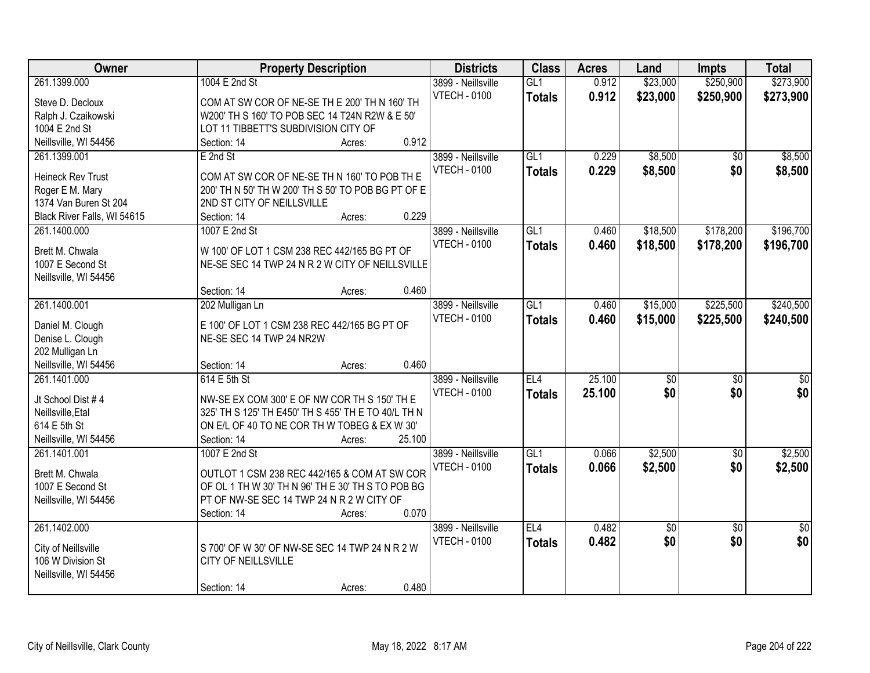| \$250,900<br>\$273,900<br>261.1399.000<br>1004 E 2nd St<br>3899 - Neillsville<br>GL1<br>0.912<br>\$23,000<br><b>VTECH - 0100</b><br>0.912<br>\$23,000<br>\$250,900<br>\$273,900<br><b>Totals</b><br>Steve D. Decloux<br>COM AT SW COR OF NE-SE TH E 200' TH N 160' TH<br>W200' TH S 160' TO POB SEC 14 T24N R2W & E 50'<br>Ralph J. Czaikowski<br>LOT 11 TIBBETT'S SUBDIVISION CITY OF<br>1004 E 2nd St<br>0.912<br>Neillsville, WI 54456<br>Section: 14<br>Acres:<br>\$8,500<br>\$8,500<br>261.1399.001<br>3899 - Neillsville<br>GL1<br>0.229<br>E 2nd St<br>$\overline{50}$ |
|-------------------------------------------------------------------------------------------------------------------------------------------------------------------------------------------------------------------------------------------------------------------------------------------------------------------------------------------------------------------------------------------------------------------------------------------------------------------------------------------------------------------------------------------------------------------------------|
|                                                                                                                                                                                                                                                                                                                                                                                                                                                                                                                                                                               |
|                                                                                                                                                                                                                                                                                                                                                                                                                                                                                                                                                                               |
|                                                                                                                                                                                                                                                                                                                                                                                                                                                                                                                                                                               |
|                                                                                                                                                                                                                                                                                                                                                                                                                                                                                                                                                                               |
|                                                                                                                                                                                                                                                                                                                                                                                                                                                                                                                                                                               |
|                                                                                                                                                                                                                                                                                                                                                                                                                                                                                                                                                                               |
| 0.229<br>\$8,500<br>\$0<br><b>VTECH - 0100</b><br>\$8,500<br>Totals                                                                                                                                                                                                                                                                                                                                                                                                                                                                                                           |
| COM AT SW COR OF NE-SE TH N 160' TO POB TH E<br><b>Heineck Rev Trust</b>                                                                                                                                                                                                                                                                                                                                                                                                                                                                                                      |
| Roger E M. Mary<br>200' TH N 50' TH W 200' TH S 50' TO POB BG PT OF E                                                                                                                                                                                                                                                                                                                                                                                                                                                                                                         |
| 1374 Van Buren St 204<br>2ND ST CITY OF NEILLSVILLE                                                                                                                                                                                                                                                                                                                                                                                                                                                                                                                           |
| 0.229<br>Black River Falls, WI 54615<br>Section: 14<br>Acres:                                                                                                                                                                                                                                                                                                                                                                                                                                                                                                                 |
| \$18,500<br>\$178,200<br>\$196,700<br>261.1400.000<br>1007 E 2nd St<br>3899 - Neillsville<br>GL1<br>0.460                                                                                                                                                                                                                                                                                                                                                                                                                                                                     |
| <b>VTECH - 0100</b><br>0.460<br>\$18,500<br>\$178,200<br>\$196,700<br><b>Totals</b><br>Brett M. Chwala<br>W 100' OF LOT 1 CSM 238 REC 442/165 BG PT OF                                                                                                                                                                                                                                                                                                                                                                                                                        |
| 1007 E Second St<br>NE-SE SEC 14 TWP 24 N R 2 W CITY OF NEILLSVILLE                                                                                                                                                                                                                                                                                                                                                                                                                                                                                                           |
| Neillsville, WI 54456                                                                                                                                                                                                                                                                                                                                                                                                                                                                                                                                                         |
| 0.460<br>Section: 14<br>Acres:                                                                                                                                                                                                                                                                                                                                                                                                                                                                                                                                                |
| 261.1400.001<br>3899 - Neillsville<br>GL1<br>\$15,000<br>\$225,500<br>\$240,500<br>202 Mulligan Ln<br>0.460                                                                                                                                                                                                                                                                                                                                                                                                                                                                   |
| <b>VTECH - 0100</b><br>0.460<br>\$15,000<br>\$225,500<br>\$240,500<br><b>Totals</b>                                                                                                                                                                                                                                                                                                                                                                                                                                                                                           |
| E 100' OF LOT 1 CSM 238 REC 442/165 BG PT OF<br>Daniel M. Clough                                                                                                                                                                                                                                                                                                                                                                                                                                                                                                              |
| Denise L. Clough<br>NE-SE SEC 14 TWP 24 NR2W                                                                                                                                                                                                                                                                                                                                                                                                                                                                                                                                  |
| 202 Mulligan Ln                                                                                                                                                                                                                                                                                                                                                                                                                                                                                                                                                               |
| Neillsville, WI 54456<br>0.460<br>Section: 14<br>Acres:                                                                                                                                                                                                                                                                                                                                                                                                                                                                                                                       |
| 25.100<br>EL4<br>261.1401.000<br>614 E 5th St<br>$\overline{50}$<br>$\overline{30}$<br>$\overline{30}$<br>3899 - Neillsville                                                                                                                                                                                                                                                                                                                                                                                                                                                  |
| \$0<br>25.100<br>\$0<br><b>VTECH - 0100</b><br>\$0<br><b>Totals</b><br>Jt School Dist #4<br>NW-SE EX COM 300' E OF NW COR TH S 150' TH E                                                                                                                                                                                                                                                                                                                                                                                                                                      |
| Neillsville, Etal<br>325' TH S 125' TH E450' TH S 455' TH E TO 40/L TH N                                                                                                                                                                                                                                                                                                                                                                                                                                                                                                      |
| 614 E 5th St<br>ON E/L OF 40 TO NE COR TH W TOBEG & EX W 30'                                                                                                                                                                                                                                                                                                                                                                                                                                                                                                                  |
| 25.100<br>Neillsville, WI 54456<br>Section: 14<br>Acres:                                                                                                                                                                                                                                                                                                                                                                                                                                                                                                                      |
| \$2,500<br>GL1<br>\$2,500<br>261.1401.001<br>1007 E 2nd St<br>3899 - Neillsville<br>0.066<br>$\sqrt{6}$                                                                                                                                                                                                                                                                                                                                                                                                                                                                       |
| 0.066<br>\$0<br><b>VTECH - 0100</b><br>\$2,500<br>\$2,500<br><b>Totals</b>                                                                                                                                                                                                                                                                                                                                                                                                                                                                                                    |
| Brett M. Chwala<br>OUTLOT 1 CSM 238 REC 442/165 & COM AT SW COR                                                                                                                                                                                                                                                                                                                                                                                                                                                                                                               |
| OF OL 1 TH W 30' TH N 96' TH E 30' TH S TO POB BG<br>1007 E Second St                                                                                                                                                                                                                                                                                                                                                                                                                                                                                                         |
| PT OF NW-SE SEC 14 TWP 24 N R 2 W CITY OF<br>Neillsville, WI 54456                                                                                                                                                                                                                                                                                                                                                                                                                                                                                                            |
| 0.070<br>Section: 14<br>Acres:                                                                                                                                                                                                                                                                                                                                                                                                                                                                                                                                                |
| 261.1402.000<br>EL4<br>0.482<br>$\overline{50}$<br>3899 - Neillsville<br>$\overline{50}$<br>$\frac{1}{2}$                                                                                                                                                                                                                                                                                                                                                                                                                                                                     |
| \$0<br>0.482<br>\$0<br>\$0<br><b>VTECH - 0100</b><br><b>Totals</b><br>S 700' OF W 30' OF NW-SE SEC 14 TWP 24 N R 2 W<br>City of Neillsville                                                                                                                                                                                                                                                                                                                                                                                                                                   |
| 106 W Division St<br>CITY OF NEILLSVILLE                                                                                                                                                                                                                                                                                                                                                                                                                                                                                                                                      |
| Neillsville, WI 54456                                                                                                                                                                                                                                                                                                                                                                                                                                                                                                                                                         |
| 0.480<br>Section: 14<br>Acres:                                                                                                                                                                                                                                                                                                                                                                                                                                                                                                                                                |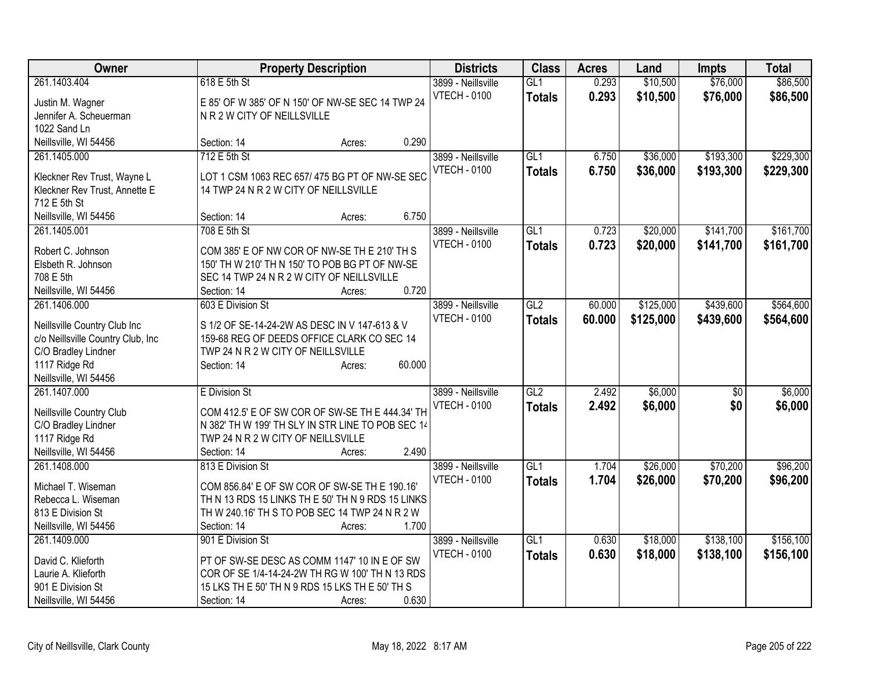| Owner                                | <b>Property Description</b>                                                                          |        |        | <b>Districts</b>    | <b>Class</b>     | <b>Acres</b> | Land      | <b>Impts</b> | <b>Total</b> |
|--------------------------------------|------------------------------------------------------------------------------------------------------|--------|--------|---------------------|------------------|--------------|-----------|--------------|--------------|
| 261.1403.404                         | 618 E 5th St                                                                                         |        |        | 3899 - Neillsville  | GL1              | 0.293        | \$10,500  | \$76,000     | \$86,500     |
| Justin M. Wagner                     | E 85' OF W 385' OF N 150' OF NW-SE SEC 14 TWP 24                                                     |        |        | <b>VTECH - 0100</b> | <b>Totals</b>    | 0.293        | \$10,500  | \$76,000     | \$86,500     |
| Jennifer A. Scheuerman               | N R 2 W CITY OF NEILLSVILLE                                                                          |        |        |                     |                  |              |           |              |              |
| 1022 Sand Ln                         |                                                                                                      |        |        |                     |                  |              |           |              |              |
| Neillsville, WI 54456                | Section: 14                                                                                          | Acres: | 0.290  |                     |                  |              |           |              |              |
| 261.1405.000                         | 712 E 5th St                                                                                         |        |        | 3899 - Neillsville  | GL1              | 6.750        | \$36,000  | \$193,300    | \$229,300    |
| Kleckner Rev Trust, Wayne L          | LOT 1 CSM 1063 REC 657/ 475 BG PT OF NW-SE SEC                                                       |        |        | <b>VTECH - 0100</b> | <b>Totals</b>    | 6.750        | \$36,000  | \$193,300    | \$229,300    |
| Kleckner Rev Trust, Annette E        | 14 TWP 24 N R 2 W CITY OF NEILLSVILLE                                                                |        |        |                     |                  |              |           |              |              |
| 712 E 5th St                         |                                                                                                      |        |        |                     |                  |              |           |              |              |
| Neillsville, WI 54456                | Section: 14                                                                                          | Acres: | 6.750  |                     |                  |              |           |              |              |
| 261.1405.001                         | 708 E 5th St                                                                                         |        |        | 3899 - Neillsville  | GL1              | 0.723        | \$20,000  | \$141,700    | \$161,700    |
|                                      |                                                                                                      |        |        | <b>VTECH - 0100</b> | <b>Totals</b>    | 0.723        | \$20,000  | \$141,700    | \$161,700    |
| Robert C. Johnson                    | COM 385' E OF NW COR OF NW-SE TH E 210' TH S                                                         |        |        |                     |                  |              |           |              |              |
| Elsbeth R. Johnson                   | 150' TH W 210' TH N 150' TO POB BG PT OF NW-SE                                                       |        |        |                     |                  |              |           |              |              |
| 708 E 5th                            | SEC 14 TWP 24 N R 2 W CITY OF NEILLSVILLE                                                            |        |        |                     |                  |              |           |              |              |
| Neillsville, WI 54456                | Section: 14                                                                                          | Acres: | 0.720  |                     |                  |              |           |              |              |
| 261.1406.000                         | 603 E Division St                                                                                    |        |        | 3899 - Neillsville  | GL2              | 60.000       | \$125,000 | \$439,600    | \$564,600    |
| Neillsville Country Club Inc         | S 1/2 OF SE-14-24-2W AS DESC IN V 147-613 & V                                                        |        |        | <b>VTECH - 0100</b> | <b>Totals</b>    | 60.000       | \$125,000 | \$439,600    | \$564,600    |
| c/o Neillsville Country Club, Inc    | 159-68 REG OF DEEDS OFFICE CLARK CO SEC 14                                                           |        |        |                     |                  |              |           |              |              |
| C/O Bradley Lindner                  | TWP 24 N R 2 W CITY OF NEILLSVILLE                                                                   |        |        |                     |                  |              |           |              |              |
| 1117 Ridge Rd                        | Section: 14                                                                                          | Acres: | 60.000 |                     |                  |              |           |              |              |
| Neillsville, WI 54456                |                                                                                                      |        |        |                     |                  |              |           |              |              |
| 261.1407.000                         | <b>E</b> Division St                                                                                 |        |        | 3899 - Neillsville  | $\overline{GL2}$ | 2.492        | \$6,000   | \$0          | \$6,000      |
|                                      |                                                                                                      |        |        | <b>VTECH - 0100</b> | <b>Totals</b>    | 2.492        | \$6,000   | \$0          | \$6,000      |
| Neillsville Country Club             | COM 412.5' E OF SW COR OF SW-SE TH E 444.34' TH<br>N 382' TH W 199' TH SLY IN STR LINE TO POB SEC 14 |        |        |                     |                  |              |           |              |              |
| C/O Bradley Lindner<br>1117 Ridge Rd | TWP 24 N R 2 W CITY OF NEILLSVILLE                                                                   |        |        |                     |                  |              |           |              |              |
| Neillsville, WI 54456                | Section: 14                                                                                          | Acres: | 2.490  |                     |                  |              |           |              |              |
| 261.1408.000                         | 813 E Division St                                                                                    |        |        | 3899 - Neillsville  | GL1              | 1.704        | \$26,000  | \$70,200     | \$96,200     |
|                                      |                                                                                                      |        |        | <b>VTECH - 0100</b> |                  | 1.704        | \$26,000  | \$70,200     | \$96,200     |
| Michael T. Wiseman                   | COM 856.84' E OF SW COR OF SW-SE TH E 190.16'                                                        |        |        |                     | <b>Totals</b>    |              |           |              |              |
| Rebecca L. Wiseman                   | TH N 13 RDS 15 LINKS TH E 50' TH N 9 RDS 15 LINKS                                                    |        |        |                     |                  |              |           |              |              |
| 813 E Division St                    | TH W 240.16' TH S TO POB SEC 14 TWP 24 N R 2 W                                                       |        |        |                     |                  |              |           |              |              |
| Neillsville, WI 54456                | Section: 14                                                                                          | Acres: | 1.700  |                     |                  |              |           |              |              |
| 261.1409.000                         | 901 E Division St                                                                                    |        |        | 3899 - Neillsville  | GL1              | 0.630        | \$18,000  | \$138,100    | \$156,100    |
| David C. Klieforth                   | PT OF SW-SE DESC AS COMM 1147' 10 IN E OF SW                                                         |        |        | <b>VTECH - 0100</b> | <b>Totals</b>    | 0.630        | \$18,000  | \$138,100    | \$156,100    |
| Laurie A. Klieforth                  | COR OF SE 1/4-14-24-2W TH RG W 100' TH N 13 RDS                                                      |        |        |                     |                  |              |           |              |              |
| 901 E Division St                    | 15 LKS TH E 50' TH N 9 RDS 15 LKS TH E 50' TH S                                                      |        |        |                     |                  |              |           |              |              |
| Neillsville, WI 54456                | Section: 14                                                                                          | Acres: | 0.630  |                     |                  |              |           |              |              |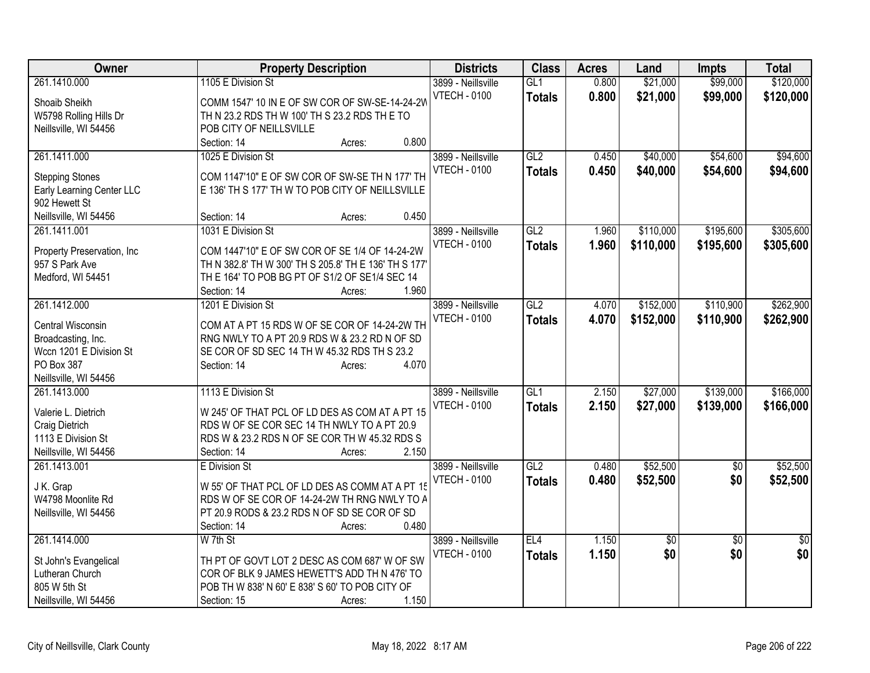| Owner                                         | <b>Property Description</b>                                                                    | <b>Districts</b>    | <b>Class</b>  | <b>Acres</b> | Land            | <b>Impts</b>    | <b>Total</b>    |
|-----------------------------------------------|------------------------------------------------------------------------------------------------|---------------------|---------------|--------------|-----------------|-----------------|-----------------|
| 261.1410.000                                  | 1105 E Division St                                                                             | 3899 - Neillsville  | GL1           | 0.800        | \$21,000        | \$99,000        | \$120,000       |
| Shoaib Sheikh                                 | COMM 1547' 10 IN E OF SW COR OF SW-SE-14-24-2V                                                 | <b>VTECH - 0100</b> | <b>Totals</b> | 0.800        | \$21,000        | \$99,000        | \$120,000       |
| W5798 Rolling Hills Dr                        | TH N 23.2 RDS TH W 100' TH S 23.2 RDS TH E TO                                                  |                     |               |              |                 |                 |                 |
| Neillsville, WI 54456                         | POB CITY OF NEILLSVILLE                                                                        |                     |               |              |                 |                 |                 |
|                                               | 0.800<br>Section: 14<br>Acres:                                                                 |                     |               |              |                 |                 |                 |
| 261.1411.000                                  | 1025 E Division St                                                                             | 3899 - Neillsville  | GL2           | 0.450        | \$40,000        | \$54,600        | \$94,600        |
|                                               |                                                                                                | <b>VTECH - 0100</b> | <b>Totals</b> | 0.450        | \$40,000        | \$54,600        | \$94,600        |
| <b>Stepping Stones</b>                        | COM 1147'10" E OF SW COR OF SW-SE TH N 177' TH                                                 |                     |               |              |                 |                 |                 |
| Early Learning Center LLC                     | E 136' TH S 177' TH W TO POB CITY OF NEILLSVILLE                                               |                     |               |              |                 |                 |                 |
| 902 Hewett St                                 | 0.450                                                                                          |                     |               |              |                 |                 |                 |
| Neillsville, WI 54456                         | Section: 14<br>Acres:                                                                          |                     |               |              |                 |                 |                 |
| 261.1411.001                                  | 1031 E Division St                                                                             | 3899 - Neillsville  | GL2           | 1.960        | \$110,000       | \$195,600       | \$305,600       |
| Property Preservation, Inc.                   | COM 1447'10" E OF SW COR OF SE 1/4 OF 14-24-2W                                                 | <b>VTECH - 0100</b> | <b>Totals</b> | 1.960        | \$110,000       | \$195,600       | \$305,600       |
| 957 S Park Ave                                | TH N 382.8' TH W 300' TH S 205.8' TH E 136' TH S 177'                                          |                     |               |              |                 |                 |                 |
| Medford, WI 54451                             | TH E 164' TO POB BG PT OF S1/2 OF SE1/4 SEC 14                                                 |                     |               |              |                 |                 |                 |
|                                               | 1.960<br>Section: 14<br>Acres:                                                                 |                     |               |              |                 |                 |                 |
| 261.1412.000                                  | 1201 E Division St                                                                             | 3899 - Neillsville  | GL2           | 4.070        | \$152,000       | \$110,900       | \$262,900       |
|                                               |                                                                                                | <b>VTECH - 0100</b> | <b>Totals</b> | 4.070        | \$152,000       | \$110,900       | \$262,900       |
| Central Wisconsin                             | COM AT A PT 15 RDS W OF SE COR OF 14-24-2W TH<br>RNG NWLY TO A PT 20.9 RDS W & 23.2 RD N OF SD |                     |               |              |                 |                 |                 |
| Broadcasting, Inc.<br>Wccn 1201 E Division St | SE COR OF SD SEC 14 TH W 45.32 RDS TH S 23.2                                                   |                     |               |              |                 |                 |                 |
| PO Box 387                                    | 4.070<br>Section: 14<br>Acres:                                                                 |                     |               |              |                 |                 |                 |
| Neillsville, WI 54456                         |                                                                                                |                     |               |              |                 |                 |                 |
| 261.1413.000                                  | 1113 E Division St                                                                             | 3899 - Neillsville  | GL1           | 2.150        | \$27,000        | \$139,000       | \$166,000       |
|                                               |                                                                                                | <b>VTECH - 0100</b> | <b>Totals</b> | 2.150        | \$27,000        | \$139,000       | \$166,000       |
| Valerie L. Dietrich                           | W 245' OF THAT PCL OF LD DES AS COM AT A PT 15                                                 |                     |               |              |                 |                 |                 |
| Craig Dietrich                                | RDS W OF SE COR SEC 14 TH NWLY TO A PT 20.9                                                    |                     |               |              |                 |                 |                 |
| 1113 E Division St                            | RDS W & 23.2 RDS N OF SE COR TH W 45.32 RDS S                                                  |                     |               |              |                 |                 |                 |
| Neillsville, WI 54456                         | 2.150<br>Section: 14<br>Acres:                                                                 |                     |               |              |                 |                 |                 |
| 261.1413.001                                  | E Division St                                                                                  | 3899 - Neillsville  | GL2           | 0.480        | \$52,500        | $\overline{50}$ | \$52,500        |
| J K. Grap                                     | W 55' OF THAT PCL OF LD DES AS COMM AT A PT 15                                                 | <b>VTECH - 0100</b> | <b>Totals</b> | 0.480        | \$52,500        | \$0             | \$52,500        |
| W4798 Moonlite Rd                             | RDS W OF SE COR OF 14-24-2W TH RNG NWLY TO A                                                   |                     |               |              |                 |                 |                 |
| Neillsville, WI 54456                         | PT 20.9 RODS & 23.2 RDS N OF SD SE COR OF SD                                                   |                     |               |              |                 |                 |                 |
|                                               | 0.480<br>Section: 14<br>Acres:                                                                 |                     |               |              |                 |                 |                 |
| 261.1414.000                                  | W 7th St                                                                                       | 3899 - Neillsville  | EL4           | 1.150        | $\overline{50}$ | $\overline{30}$ | $\overline{50}$ |
|                                               |                                                                                                | <b>VTECH - 0100</b> | <b>Totals</b> | 1.150        | \$0             | \$0             | \$0             |
| St John's Evangelical                         | TH PT OF GOVT LOT 2 DESC AS COM 687' W OF SW                                                   |                     |               |              |                 |                 |                 |
| Lutheran Church                               | COR OF BLK 9 JAMES HEWETT'S ADD TH N 476' TO                                                   |                     |               |              |                 |                 |                 |
| 805 W 5th St                                  | POB TH W 838' N 60' E 838' S 60' TO POB CITY OF                                                |                     |               |              |                 |                 |                 |
| Neillsville, WI 54456                         | 1.150<br>Section: 15<br>Acres:                                                                 |                     |               |              |                 |                 |                 |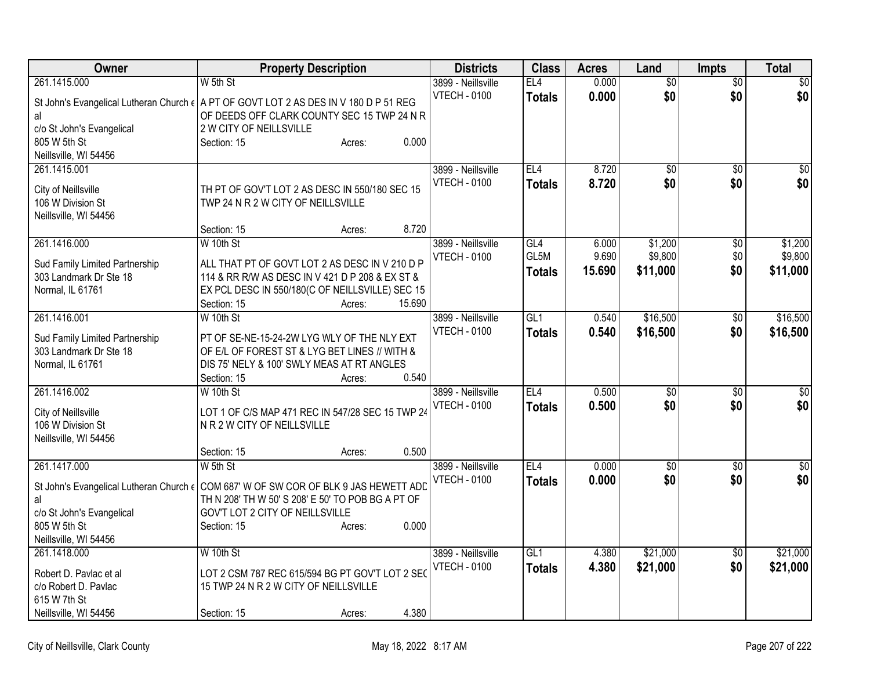| Owner                                                                                         | <b>Property Description</b>                                                                        |                  | <b>Districts</b>    | <b>Class</b>    | <b>Acres</b> | Land            | <b>Impts</b>    | <b>Total</b>     |
|-----------------------------------------------------------------------------------------------|----------------------------------------------------------------------------------------------------|------------------|---------------------|-----------------|--------------|-----------------|-----------------|------------------|
| 261.1415.000                                                                                  | W 5th St                                                                                           |                  | 3899 - Neillsville  | EL4             | 0.000        | $\overline{50}$ | $\overline{50}$ | $\overline{\$0}$ |
| St John's Evangelical Lutheran Church € A PT OF GOVT LOT 2 AS DES IN V 180 D P 51 REG         |                                                                                                    |                  | <b>VTECH - 0100</b> | <b>Totals</b>   | 0.000        | \$0             | \$0             | \$0              |
| al                                                                                            | OF DEEDS OFF CLARK COUNTY SEC 15 TWP 24 N R                                                        |                  |                     |                 |              |                 |                 |                  |
| c/o St John's Evangelical                                                                     | 2 W CITY OF NEILLSVILLE                                                                            |                  |                     |                 |              |                 |                 |                  |
| 805 W 5th St                                                                                  | Section: 15                                                                                        | 0.000<br>Acres:  |                     |                 |              |                 |                 |                  |
| Neillsville, WI 54456<br>261.1415.001                                                         |                                                                                                    |                  | 3899 - Neillsville  | EL4             | 8.720        | $\overline{50}$ | $\overline{50}$ | \$0              |
|                                                                                               |                                                                                                    |                  | <b>VTECH - 0100</b> | <b>Totals</b>   | 8.720        | \$0             | \$0             | \$0              |
| City of Neillsville                                                                           | TH PT OF GOV'T LOT 2 AS DESC IN 550/180 SEC 15                                                     |                  |                     |                 |              |                 |                 |                  |
| 106 W Division St                                                                             | TWP 24 N R 2 W CITY OF NEILLSVILLE                                                                 |                  |                     |                 |              |                 |                 |                  |
| Neillsville, WI 54456                                                                         | Section: 15                                                                                        | 8.720<br>Acres:  |                     |                 |              |                 |                 |                  |
| 261.1416.000                                                                                  | W 10th St                                                                                          |                  | 3899 - Neillsville  | GL4             | 6.000        | \$1,200         | $\overline{50}$ | \$1,200          |
|                                                                                               |                                                                                                    |                  | <b>VTECH - 0100</b> | GL5M            | 9.690        | \$9,800         | \$0             | \$9,800          |
| Sud Family Limited Partnership                                                                | ALL THAT PT OF GOVT LOT 2 AS DESC IN V 210 D P                                                     |                  |                     | <b>Totals</b>   | 15.690       | \$11,000        | \$0             | \$11,000         |
| 303 Landmark Dr Ste 18<br>Normal, IL 61761                                                    | 114 & RR R/W AS DESC IN V 421 D P 208 & EX ST &<br>EX PCL DESC IN 550/180(C OF NEILLSVILLE) SEC 15 |                  |                     |                 |              |                 |                 |                  |
|                                                                                               | Section: 15                                                                                        | 15.690<br>Acres: |                     |                 |              |                 |                 |                  |
| 261.1416.001                                                                                  | W 10th St                                                                                          |                  | 3899 - Neillsville  | GL <sub>1</sub> | 0.540        | \$16,500        | \$0             | \$16,500         |
|                                                                                               | PT OF SE-NE-15-24-2W LYG WLY OF THE NLY EXT                                                        |                  | <b>VTECH - 0100</b> | <b>Totals</b>   | 0.540        | \$16,500        | \$0             | \$16,500         |
| Sud Family Limited Partnership<br>303 Landmark Dr Ste 18                                      | OF E/L OF FOREST ST & LYG BET LINES // WITH &                                                      |                  |                     |                 |              |                 |                 |                  |
| Normal, IL 61761                                                                              | DIS 75' NELY & 100' SWLY MEAS AT RT ANGLES                                                         |                  |                     |                 |              |                 |                 |                  |
|                                                                                               | Section: 15                                                                                        | 0.540<br>Acres:  |                     |                 |              |                 |                 |                  |
| 261.1416.002                                                                                  | W 10th St                                                                                          |                  | 3899 - Neillsville  | EL4             | 0.500        | \$0             | \$0             | \$0              |
| City of Neillsville                                                                           | LOT 1 OF C/S MAP 471 REC IN 547/28 SEC 15 TWP 24                                                   |                  | <b>VTECH - 0100</b> | <b>Totals</b>   | 0.500        | \$0             | \$0             | \$0              |
| 106 W Division St                                                                             | N R 2 W CITY OF NEILLSVILLE                                                                        |                  |                     |                 |              |                 |                 |                  |
| Neillsville, WI 54456                                                                         |                                                                                                    |                  |                     |                 |              |                 |                 |                  |
|                                                                                               | Section: 15                                                                                        | 0.500<br>Acres:  |                     |                 |              |                 |                 |                  |
| 261.1417.000                                                                                  | $W$ 5th St                                                                                         |                  | 3899 - Neillsville  | EL4             | 0.000        | $\sqrt{6}$      | $\overline{50}$ | $\sqrt{50}$      |
| St John's Evangelical Lutheran Church $\epsilon$ COM 687' W OF SW COR OF BLK 9 JAS HEWETT ADD |                                                                                                    |                  | <b>VTECH - 0100</b> | <b>Totals</b>   | 0.000        | \$0             | \$0             | \$0              |
| al                                                                                            | TH N 208' TH W 50' S 208' E 50' TO POB BG A PT OF                                                  |                  |                     |                 |              |                 |                 |                  |
| c/o St John's Evangelical                                                                     | GOV'T LOT 2 CITY OF NEILLSVILLE                                                                    |                  |                     |                 |              |                 |                 |                  |
| 805 W 5th St                                                                                  | Section: 15                                                                                        | 0.000<br>Acres:  |                     |                 |              |                 |                 |                  |
| Neillsville, WI 54456<br>261.1418.000                                                         | W 10th St                                                                                          |                  | 3899 - Neillsville  | GL1             | 4.380        | \$21,000        | $\overline{50}$ | \$21,000         |
|                                                                                               |                                                                                                    |                  | <b>VTECH - 0100</b> | <b>Totals</b>   | 4.380        | \$21,000        | \$0             | \$21,000         |
| Robert D. Pavlac et al                                                                        | LOT 2 CSM 787 REC 615/594 BG PT GOV'T LOT 2 SEC                                                    |                  |                     |                 |              |                 |                 |                  |
| c/o Robert D. Pavlac<br>615 W 7th St                                                          | 15 TWP 24 N R 2 W CITY OF NEILLSVILLE                                                              |                  |                     |                 |              |                 |                 |                  |
| Neillsville, WI 54456                                                                         | Section: 15                                                                                        | 4.380<br>Acres:  |                     |                 |              |                 |                 |                  |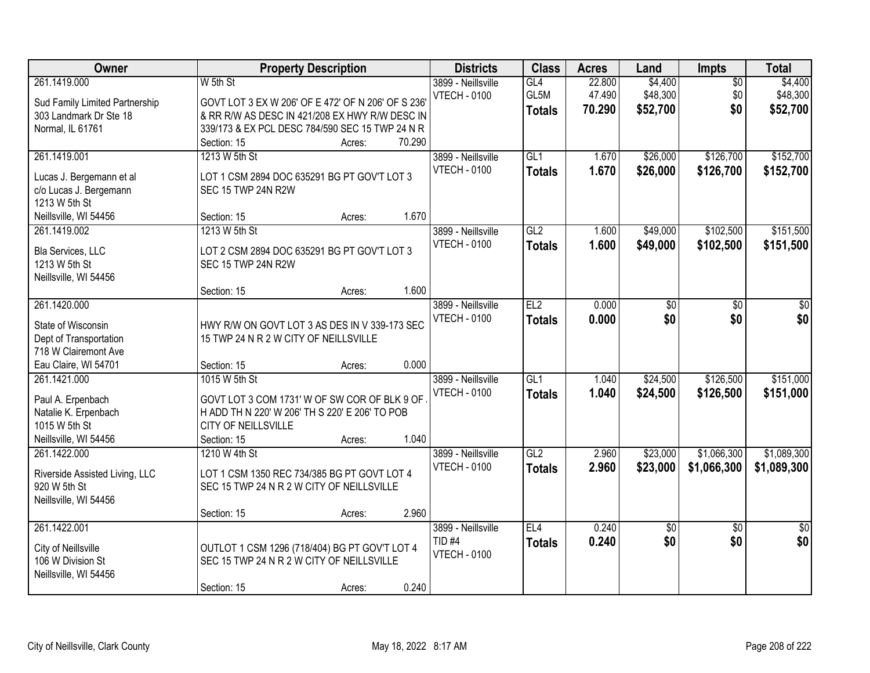| Owner                                                    | <b>Property Description</b>                                                                          | <b>Districts</b>                          | <b>Class</b>     | <b>Acres</b>     | Land                | Impts                  | <b>Total</b>        |
|----------------------------------------------------------|------------------------------------------------------------------------------------------------------|-------------------------------------------|------------------|------------------|---------------------|------------------------|---------------------|
| 261.1419.000                                             | W 5th St                                                                                             | 3899 - Neillsville<br><b>VTECH - 0100</b> | GL4<br>GL5M      | 22.800<br>47.490 | \$4,400<br>\$48,300 | $\overline{50}$<br>\$0 | \$4,400<br>\$48,300 |
| Sud Family Limited Partnership<br>303 Landmark Dr Ste 18 | GOVT LOT 3 EX W 206' OF E 472' OF N 206' OF S 236'<br>& RR R/W AS DESC IN 421/208 EX HWY R/W DESC IN |                                           | <b>Totals</b>    | 70.290           | \$52,700            | \$0                    | \$52,700            |
| Normal, IL 61761                                         | 339/173 & EX PCL DESC 784/590 SEC 15 TWP 24 N R                                                      |                                           |                  |                  |                     |                        |                     |
|                                                          | 70.290<br>Section: 15<br>Acres:                                                                      |                                           |                  |                  |                     |                        |                     |
| 261.1419.001                                             | 1213 W 5th St                                                                                        | 3899 - Neillsville                        | GL1              | 1.670            | \$26,000            | \$126,700              | \$152,700           |
|                                                          |                                                                                                      | <b>VTECH - 0100</b>                       | <b>Totals</b>    | 1.670            | \$26,000            | \$126,700              | \$152,700           |
| Lucas J. Bergemann et al                                 | LOT 1 CSM 2894 DOC 635291 BG PT GOV'T LOT 3                                                          |                                           |                  |                  |                     |                        |                     |
| c/o Lucas J. Bergemann                                   | SEC 15 TWP 24N R2W                                                                                   |                                           |                  |                  |                     |                        |                     |
| 1213 W 5th St<br>Neillsville, WI 54456                   | 1.670<br>Section: 15<br>Acres:                                                                       |                                           |                  |                  |                     |                        |                     |
| 261.1419.002                                             | 1213 W 5th St                                                                                        | 3899 - Neillsville                        | GL2              | 1.600            | \$49,000            | \$102,500              | \$151,500           |
|                                                          |                                                                                                      | <b>VTECH - 0100</b>                       |                  | 1.600            | \$49,000            | \$102,500              | \$151,500           |
| Bla Services, LLC                                        | LOT 2 CSM 2894 DOC 635291 BG PT GOV'T LOT 3                                                          |                                           | <b>Totals</b>    |                  |                     |                        |                     |
| 1213 W 5th St                                            | SEC 15 TWP 24N R2W                                                                                   |                                           |                  |                  |                     |                        |                     |
| Neillsville, WI 54456                                    |                                                                                                      |                                           |                  |                  |                     |                        |                     |
|                                                          | 1.600<br>Section: 15<br>Acres:                                                                       |                                           |                  |                  |                     |                        |                     |
| 261.1420.000                                             |                                                                                                      | 3899 - Neillsville                        | EL2              | 0.000            | \$0                 | \$0                    | \$0                 |
| State of Wisconsin                                       | HWY R/W ON GOVT LOT 3 AS DES IN V 339-173 SEC                                                        | <b>VTECH - 0100</b>                       | <b>Totals</b>    | 0.000            | \$0                 | \$0                    | \$0                 |
| Dept of Transportation                                   | 15 TWP 24 N R 2 W CITY OF NEILLSVILLE                                                                |                                           |                  |                  |                     |                        |                     |
| 718 W Clairemont Ave                                     |                                                                                                      |                                           |                  |                  |                     |                        |                     |
| Eau Claire, WI 54701                                     | 0.000<br>Section: 15<br>Acres:                                                                       |                                           |                  |                  |                     |                        |                     |
| 261.1421.000                                             | 1015 W 5th St                                                                                        | 3899 - Neillsville                        | $\overline{GL1}$ | 1.040            | \$24,500            | \$126,500              | \$151,000           |
| Paul A. Erpenbach                                        | GOVT LOT 3 COM 1731' W OF SW COR OF BLK 9 OF                                                         | <b>VTECH - 0100</b>                       | <b>Totals</b>    | 1.040            | \$24,500            | \$126,500              | \$151,000           |
| Natalie K. Erpenbach                                     | H ADD TH N 220' W 206' TH S 220' E 206' TO POB                                                       |                                           |                  |                  |                     |                        |                     |
| 1015 W 5th St                                            | CITY OF NEILLSVILLE                                                                                  |                                           |                  |                  |                     |                        |                     |
| Neillsville, WI 54456                                    | 1.040<br>Section: 15<br>Acres:                                                                       |                                           |                  |                  |                     |                        |                     |
| 261.1422.000                                             | 1210 W 4th St                                                                                        | 3899 - Neillsville                        | GL2              | 2.960            | \$23,000            | \$1,066,300            | \$1,089,300         |
| Riverside Assisted Living, LLC                           | LOT 1 CSM 1350 REC 734/385 BG PT GOVT LOT 4                                                          | <b>VTECH - 0100</b>                       | <b>Totals</b>    | 2.960            | \$23,000            | \$1,066,300            | \$1,089,300         |
| 920 W 5th St                                             | SEC 15 TWP 24 N R 2 W CITY OF NEILLSVILLE                                                            |                                           |                  |                  |                     |                        |                     |
| Neillsville, WI 54456                                    |                                                                                                      |                                           |                  |                  |                     |                        |                     |
|                                                          | 2.960<br>Section: 15<br>Acres:                                                                       |                                           |                  |                  |                     |                        |                     |
| 261.1422.001                                             |                                                                                                      | 3899 - Neillsville                        | EL4              | 0.240            | $\sqrt{50}$         | $\overline{50}$        | $\overline{50}$     |
|                                                          |                                                                                                      | TID <sub>#4</sub>                         | <b>Totals</b>    | 0.240            | \$0                 | \$0                    | \$0                 |
| City of Neillsville                                      | OUTLOT 1 CSM 1296 (718/404) BG PT GOV'T LOT 4                                                        | <b>VTECH - 0100</b>                       |                  |                  |                     |                        |                     |
| 106 W Division St                                        | SEC 15 TWP 24 N R 2 W CITY OF NEILLSVILLE                                                            |                                           |                  |                  |                     |                        |                     |
| Neillsville, WI 54456                                    | 0.240<br>Section: 15<br>Acres:                                                                       |                                           |                  |                  |                     |                        |                     |
|                                                          |                                                                                                      |                                           |                  |                  |                     |                        |                     |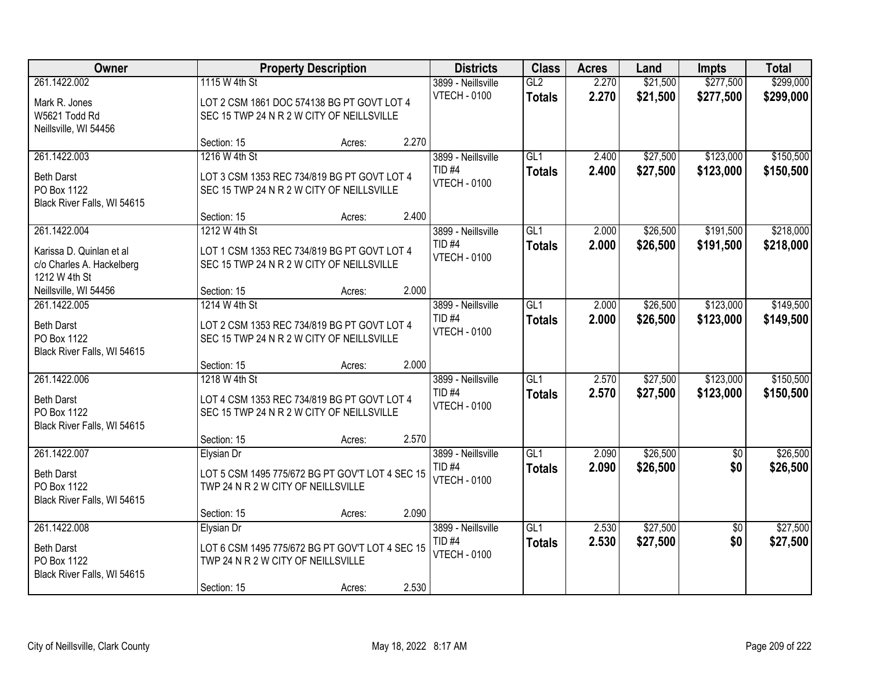| Owner                                                                           |                                                                                                                    | <b>Property Description</b> |       | <b>Districts</b>                                               | <b>Class</b>         | <b>Acres</b>   | Land                 | <b>Impts</b>           | <b>Total</b>           |
|---------------------------------------------------------------------------------|--------------------------------------------------------------------------------------------------------------------|-----------------------------|-------|----------------------------------------------------------------|----------------------|----------------|----------------------|------------------------|------------------------|
| 261.1422.002<br>Mark R. Jones<br>W5621 Todd Rd<br>Neillsville, WI 54456         | 1115 W 4th St<br>LOT 2 CSM 1861 DOC 574138 BG PT GOVT LOT 4<br>SEC 15 TWP 24 N R 2 W CITY OF NEILLSVILLE           |                             |       | 3899 - Neillsville<br><b>VTECH - 0100</b>                      | GL2<br><b>Totals</b> | 2.270<br>2.270 | \$21,500<br>\$21,500 | \$277,500<br>\$277,500 | \$299,000<br>\$299,000 |
|                                                                                 | Section: 15                                                                                                        | Acres:                      | 2.270 |                                                                |                      |                |                      |                        |                        |
| 261.1422.003<br><b>Beth Darst</b><br>PO Box 1122<br>Black River Falls, WI 54615 | 1216 W 4th St<br>LOT 3 CSM 1353 REC 734/819 BG PT GOVT LOT 4<br>SEC 15 TWP 24 N R 2 W CITY OF NEILLSVILLE          |                             | 2.400 | 3899 - Neillsville<br><b>TID #4</b><br><b>VTECH - 0100</b>     | GL1<br><b>Totals</b> | 2.400<br>2.400 | \$27,500<br>\$27,500 | \$123,000<br>\$123,000 | \$150,500<br>\$150,500 |
| 261.1422.004                                                                    | Section: 15<br>1212 W 4th St                                                                                       | Acres:                      |       | 3899 - Neillsville                                             | GL1                  | 2.000          | \$26,500             | \$191,500              | \$218,000              |
| Karissa D. Quinlan et al<br>c/o Charles A. Hackelberg<br>1212 W 4th St          | LOT 1 CSM 1353 REC 734/819 BG PT GOVT LOT 4<br>SEC 15 TWP 24 N R 2 W CITY OF NEILLSVILLE                           |                             |       | TID <sub>#4</sub><br><b>VTECH - 0100</b>                       | <b>Totals</b>        | 2.000          | \$26,500             | \$191,500              | \$218,000              |
| Neillsville, WI 54456                                                           | Section: 15                                                                                                        | Acres:                      | 2.000 |                                                                |                      |                |                      |                        |                        |
| 261.1422.005<br><b>Beth Darst</b><br>PO Box 1122<br>Black River Falls, WI 54615 | 1214 W 4th St<br>LOT 2 CSM 1353 REC 734/819 BG PT GOVT LOT 4<br>SEC 15 TWP 24 N R 2 W CITY OF NEILLSVILLE          |                             |       | 3899 - Neillsville<br><b>TID #4</b><br><b>VTECH - 0100</b>     | GL1<br><b>Totals</b> | 2.000<br>2.000 | \$26,500<br>\$26,500 | \$123,000<br>\$123,000 | \$149,500<br>\$149,500 |
|                                                                                 | Section: 15                                                                                                        | Acres:                      | 2.000 |                                                                |                      |                |                      |                        |                        |
| 261.1422.006<br><b>Beth Darst</b><br>PO Box 1122<br>Black River Falls, WI 54615 | 1218 W 4th St<br>LOT 4 CSM 1353 REC 734/819 BG PT GOVT LOT 4<br>SEC 15 TWP 24 N R 2 W CITY OF NEILLSVILLE          |                             |       | 3899 - Neillsville<br><b>TID #4</b><br><b>VTECH - 0100</b>     | GL1<br><b>Totals</b> | 2.570<br>2.570 | \$27,500<br>\$27,500 | \$123,000<br>\$123,000 | \$150,500<br>\$150,500 |
| 261.1422.007                                                                    | Section: 15<br>Elysian Dr                                                                                          | Acres:                      | 2.570 | 3899 - Neillsville                                             | GL1                  | 2.090          | \$26,500             | $\sqrt{6}$             | \$26,500               |
| <b>Beth Darst</b><br>PO Box 1122<br>Black River Falls, WI 54615                 | LOT 5 CSM 1495 775/672 BG PT GOV'T LOT 4 SEC 15<br>TWP 24 N R 2 W CITY OF NEILLSVILLE                              |                             |       | TID <sub>#4</sub><br><b>VTECH - 0100</b>                       | <b>Totals</b>        | 2.090          | \$26,500             | \$0                    | \$26,500               |
|                                                                                 | Section: 15                                                                                                        | Acres:                      | 2.090 |                                                                |                      |                |                      |                        |                        |
| 261.1422.008<br><b>Beth Darst</b><br>PO Box 1122<br>Black River Falls, WI 54615 | Elysian Dr<br>LOT 6 CSM 1495 775/672 BG PT GOV'T LOT 4 SEC 15<br>TWP 24 N R 2 W CITY OF NEILLSVILLE<br>Section: 15 | Acres:                      | 2.530 | 3899 - Neillsville<br>TID <sub>#4</sub><br><b>VTECH - 0100</b> | GL1<br><b>Totals</b> | 2.530<br>2.530 | \$27,500<br>\$27,500 | $\overline{50}$<br>\$0 | \$27,500<br>\$27,500   |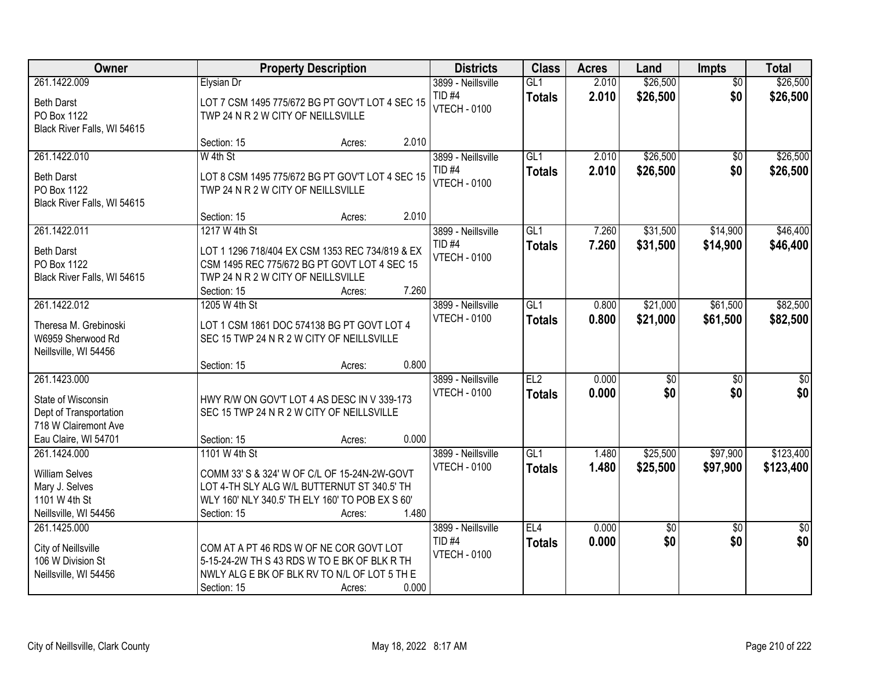| Owner                                                                                                        |                                                                                                                                                               | <b>Property Description</b> |       | <b>Districts</b>                                               | <b>Class</b>         | <b>Acres</b>   | Land                   | Impts                  | <b>Total</b>            |
|--------------------------------------------------------------------------------------------------------------|---------------------------------------------------------------------------------------------------------------------------------------------------------------|-----------------------------|-------|----------------------------------------------------------------|----------------------|----------------|------------------------|------------------------|-------------------------|
| 261.1422.009<br><b>Beth Darst</b><br>PO Box 1122<br>Black River Falls, WI 54615                              | <b>Elysian Dr</b><br>LOT 7 CSM 1495 775/672 BG PT GOV'T LOT 4 SEC 15<br>TWP 24 N R 2 W CITY OF NEILLSVILLE                                                    |                             |       | 3899 - Neillsville<br>TID <sub>#4</sub><br><b>VTECH - 0100</b> | GL1<br><b>Totals</b> | 2.010<br>2.010 | \$26,500<br>\$26,500   | $\overline{50}$<br>\$0 | \$26,500<br>\$26,500    |
|                                                                                                              | Section: 15                                                                                                                                                   | Acres:                      | 2.010 |                                                                |                      |                |                        |                        |                         |
| 261.1422.010<br><b>Beth Darst</b><br>PO Box 1122<br>Black River Falls, WI 54615                              | W 4th St<br>LOT 8 CSM 1495 775/672 BG PT GOV'T LOT 4 SEC 15<br>TWP 24 N R 2 W CITY OF NEILLSVILLE<br>Section: 15                                              | Acres:                      | 2.010 | 3899 - Neillsville<br>TID <sub>#4</sub><br><b>VTECH - 0100</b> | GL1<br><b>Totals</b> | 2.010<br>2.010 | \$26,500<br>\$26,500   | $\overline{50}$<br>\$0 | \$26,500<br>\$26,500    |
| 261.1422.011                                                                                                 | 1217 W 4th St                                                                                                                                                 |                             |       | 3899 - Neillsville                                             | GL1                  | 7.260          | \$31,500               | \$14,900               | \$46,400                |
| <b>Beth Darst</b><br>PO Box 1122<br>Black River Falls, WI 54615                                              | LOT 1 1296 718/404 EX CSM 1353 REC 734/819 & EX<br>CSM 1495 REC 775/672 BG PT GOVT LOT 4 SEC 15<br>TWP 24 N R 2 W CITY OF NEILLSVILLE<br>Section: 15          | Acres:                      | 7.260 | TID <sub>#4</sub><br><b>VTECH - 0100</b>                       | <b>Totals</b>        | 7.260          | \$31,500               | \$14,900               | \$46,400                |
| 261.1422.012                                                                                                 | 1205 W 4th St                                                                                                                                                 |                             |       | 3899 - Neillsville                                             | GL1                  | 0.800          | \$21,000               | \$61,500               | \$82,500                |
| Theresa M. Grebinoski<br>W6959 Sherwood Rd<br>Neillsville, WI 54456                                          | LOT 1 CSM 1861 DOC 574138 BG PT GOVT LOT 4<br>SEC 15 TWP 24 N R 2 W CITY OF NEILLSVILLE                                                                       |                             |       | <b>VTECH - 0100</b>                                            | <b>Totals</b>        | 0.800          | \$21,000               | \$61,500               | \$82,500                |
|                                                                                                              | Section: 15                                                                                                                                                   | Acres:                      | 0.800 |                                                                |                      |                |                        |                        |                         |
| 261.1423.000<br>State of Wisconsin<br>Dept of Transportation<br>718 W Clairemont Ave<br>Eau Claire, WI 54701 | HWY R/W ON GOV'T LOT 4 AS DESC IN V 339-173<br>SEC 15 TWP 24 N R 2 W CITY OF NEILLSVILLE<br>Section: 15                                                       | Acres:                      | 0.000 | 3899 - Neillsville<br><b>VTECH - 0100</b>                      | EL2<br><b>Totals</b> | 0.000<br>0.000 | $\overline{50}$<br>\$0 | $\overline{50}$<br>\$0 | $\overline{\$0}$<br>\$0 |
| 261.1424.000                                                                                                 | 1101 W 4th St                                                                                                                                                 |                             |       | 3899 - Neillsville                                             | GL1                  | 1.480          | \$25,500               | \$97,900               | \$123,400               |
| <b>William Selves</b><br>Mary J. Selves<br>1101 W 4th St<br>Neillsville, WI 54456                            | COMM 33' S & 324' W OF C/L OF 15-24N-2W-GOVT<br>LOT 4-TH SLY ALG W/L BUTTERNUT ST 340.5' TH<br>WLY 160' NLY 340.5' TH ELY 160' TO POB EX S 60'<br>Section: 15 | Acres:                      | 1.480 | <b>VTECH - 0100</b>                                            | <b>Totals</b>        | 1.480          | \$25,500               | \$97,900               | \$123,400               |
| 261.1425.000<br>City of Neillsville<br>106 W Division St<br>Neillsville, WI 54456                            | COM AT A PT 46 RDS W OF NE COR GOVT LOT<br>5-15-24-2W TH S 43 RDS W TO E BK OF BLK R TH<br>NWLY ALG E BK OF BLK RV TO N/L OF LOT 5 TH E<br>Section: 15        | Acres:                      | 0.000 | 3899 - Neillsville<br>TID <sub>#4</sub><br><b>VTECH - 0100</b> | EL4<br><b>Totals</b> | 0.000<br>0.000 | $\sqrt{6}$<br>\$0      | $\overline{50}$<br>\$0 | $\overline{50}$<br>\$0  |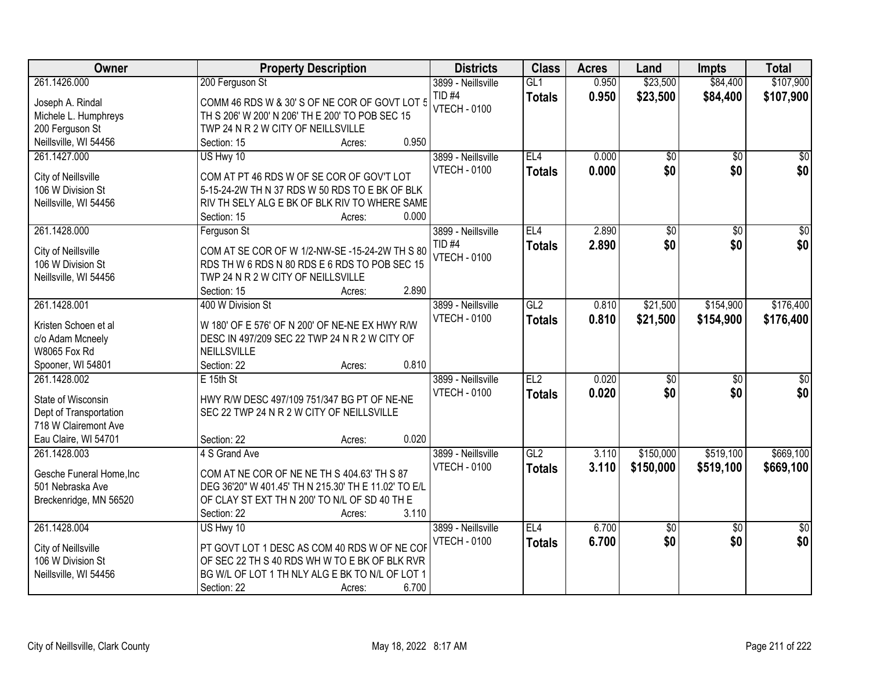| Owner                    | <b>Property Description</b>                                                                         | <b>Districts</b>                          | <b>Class</b>    | <b>Acres</b> | Land            | <b>Impts</b>    | <b>Total</b>     |
|--------------------------|-----------------------------------------------------------------------------------------------------|-------------------------------------------|-----------------|--------------|-----------------|-----------------|------------------|
| 261.1426.000             | 200 Ferguson St                                                                                     | 3899 - Neillsville                        | GL1             | 0.950        | \$23,500        | \$84,400        | \$107,900        |
| Joseph A. Rindal         | COMM 46 RDS W & 30' S OF NE COR OF GOVT LOT 5                                                       | TID <sub>#4</sub>                         | <b>Totals</b>   | 0.950        | \$23,500        | \$84,400        | \$107,900        |
| Michele L. Humphreys     | TH S 206' W 200' N 206' TH E 200' TO POB SEC 15                                                     | <b>VTECH - 0100</b>                       |                 |              |                 |                 |                  |
| 200 Ferguson St          | TWP 24 N R 2 W CITY OF NEILLSVILLE                                                                  |                                           |                 |              |                 |                 |                  |
| Neillsville, WI 54456    | 0.950<br>Section: 15<br>Acres:                                                                      |                                           |                 |              |                 |                 |                  |
| 261.1427.000             | US Hwy 10                                                                                           | 3899 - Neillsville                        | EL4             | 0.000        | \$0             | $\overline{50}$ | $\overline{50}$  |
| City of Neillsville      | COM AT PT 46 RDS W OF SE COR OF GOV'T LOT                                                           | <b>VTECH - 0100</b>                       | <b>Totals</b>   | 0.000        | \$0             | \$0             | \$0              |
| 106 W Division St        | 5-15-24-2W TH N 37 RDS W 50 RDS TO E BK OF BLK                                                      |                                           |                 |              |                 |                 |                  |
| Neillsville, WI 54456    | RIV TH SELY ALG E BK OF BLK RIV TO WHERE SAME                                                       |                                           |                 |              |                 |                 |                  |
|                          | 0.000<br>Section: 15<br>Acres:                                                                      |                                           |                 |              |                 |                 |                  |
| 261.1428.000             | Ferguson St                                                                                         | 3899 - Neillsville                        | EL <sub>4</sub> | 2.890        | \$0             | $\overline{50}$ | $\overline{50}$  |
|                          |                                                                                                     | <b>TID #4</b>                             | <b>Totals</b>   | 2.890        | \$0             | \$0             | \$0              |
| City of Neillsville      | COM AT SE COR OF W 1/2-NW-SE -15-24-2W TH S 80                                                      | <b>VTECH - 0100</b>                       |                 |              |                 |                 |                  |
| 106 W Division St        | RDS TH W 6 RDS N 80 RDS E 6 RDS TO POB SEC 15                                                       |                                           |                 |              |                 |                 |                  |
| Neillsville, WI 54456    | TWP 24 N R 2 W CITY OF NEILLSVILLE                                                                  |                                           |                 |              |                 |                 |                  |
|                          | 2.890<br>Section: 15<br>Acres:<br>400 W Division St                                                 |                                           | GL2             |              |                 |                 |                  |
| 261.1428.001             |                                                                                                     | 3899 - Neillsville<br><b>VTECH - 0100</b> |                 | 0.810        | \$21,500        | \$154,900       | \$176,400        |
| Kristen Schoen et al     | W 180' OF E 576' OF N 200' OF NE-NE EX HWY R/W                                                      |                                           | <b>Totals</b>   | 0.810        | \$21,500        | \$154,900       | \$176,400        |
| c/o Adam Mcneely         | DESC IN 497/209 SEC 22 TWP 24 N R 2 W CITY OF                                                       |                                           |                 |              |                 |                 |                  |
| <b>W8065 Fox Rd</b>      | NEILLSVILLE                                                                                         |                                           |                 |              |                 |                 |                  |
| Spooner, WI 54801        | 0.810<br>Section: 22<br>Acres:                                                                      |                                           |                 |              |                 |                 |                  |
| 261.1428.002             | E 15th St                                                                                           | 3899 - Neillsville                        | EL2             | 0.020        | $\overline{50}$ | $\overline{50}$ | $\overline{\$0}$ |
| State of Wisconsin       | HWY R/W DESC 497/109 751/347 BG PT OF NE-NE                                                         | <b>VTECH - 0100</b>                       | <b>Totals</b>   | 0.020        | \$0             | \$0             | \$0              |
| Dept of Transportation   | SEC 22 TWP 24 N R 2 W CITY OF NEILLSVILLE                                                           |                                           |                 |              |                 |                 |                  |
| 718 W Clairemont Ave     |                                                                                                     |                                           |                 |              |                 |                 |                  |
| Eau Claire, WI 54701     | 0.020<br>Section: 22<br>Acres:                                                                      |                                           |                 |              |                 |                 |                  |
| 261.1428.003             | 4 S Grand Ave                                                                                       | 3899 - Neillsville                        | GL2             | 3.110        | \$150,000       | \$519,100       | \$669,100        |
|                          |                                                                                                     | <b>VTECH - 0100</b>                       | <b>Totals</b>   | 3.110        | \$150,000       | \$519,100       | \$669,100        |
| Gesche Funeral Home, Inc | COM AT NE COR OF NE NE TH S 404.63' TH S 87<br>DEG 36'20" W 401.45' TH N 215.30' TH E 11.02' TO E/L |                                           |                 |              |                 |                 |                  |
| 501 Nebraska Ave         | OF CLAY ST EXT TH N 200' TO N/L OF SD 40 TH E                                                       |                                           |                 |              |                 |                 |                  |
| Breckenridge, MN 56520   | 3.110<br>Section: 22                                                                                |                                           |                 |              |                 |                 |                  |
| 261.1428.004             | Acres:<br>US Hwy 10                                                                                 | 3899 - Neillsville                        | EL4             | 6.700        | $\overline{50}$ | $\overline{50}$ | $\overline{50}$  |
|                          |                                                                                                     | <b>VTECH - 0100</b>                       |                 | 6.700        | \$0             | \$0             | \$0              |
| City of Neillsville      | PT GOVT LOT 1 DESC AS COM 40 RDS W OF NE COF                                                        |                                           | <b>Totals</b>   |              |                 |                 |                  |
| 106 W Division St        | OF SEC 22 TH S 40 RDS WH W TO E BK OF BLK RVR                                                       |                                           |                 |              |                 |                 |                  |
| Neillsville, WI 54456    | BG W/L OF LOT 1 TH NLY ALG E BK TO N/L OF LOT 1                                                     |                                           |                 |              |                 |                 |                  |
|                          | 6.700<br>Section: 22<br>Acres:                                                                      |                                           |                 |              |                 |                 |                  |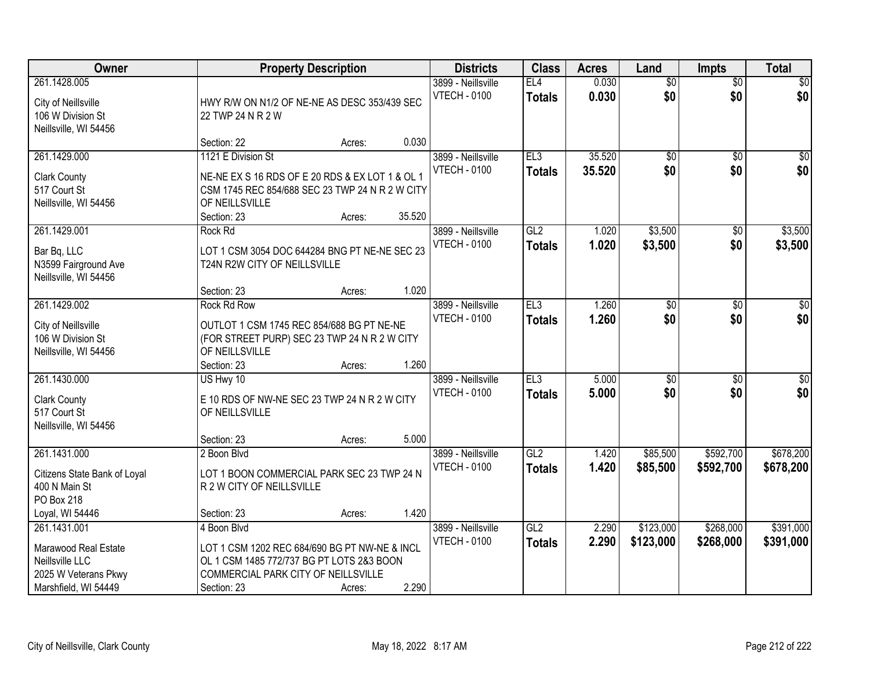| Owner                                                                                                   |                                                                                                                                                                 | <b>Property Description</b> |        | <b>Districts</b>                          | <b>Class</b>         | <b>Acres</b>     | Land                   | <b>Impts</b>           | <b>Total</b>           |
|---------------------------------------------------------------------------------------------------------|-----------------------------------------------------------------------------------------------------------------------------------------------------------------|-----------------------------|--------|-------------------------------------------|----------------------|------------------|------------------------|------------------------|------------------------|
| 261.1428.005<br>City of Neillsville<br>106 W Division St<br>Neillsville, WI 54456                       | HWY R/W ON N1/2 OF NE-NE AS DESC 353/439 SEC<br>22 TWP 24 N R 2 W                                                                                               |                             |        | 3899 - Neillsville<br><b>VTECH - 0100</b> | EL4<br><b>Totals</b> | 0.030<br>0.030   | $\overline{60}$<br>\$0 | $\overline{50}$<br>\$0 | \$0<br>\$0             |
|                                                                                                         | Section: 22                                                                                                                                                     | Acres:                      | 0.030  |                                           |                      |                  |                        |                        |                        |
| 261.1429.000<br><b>Clark County</b><br>517 Court St<br>Neillsville, WI 54456                            | 1121 E Division St<br>NE-NE EX S 16 RDS OF E 20 RDS & EX LOT 1 & OL 1<br>CSM 1745 REC 854/688 SEC 23 TWP 24 N R 2 W CITY<br>OF NEILLSVILLE                      |                             |        | 3899 - Neillsville<br><b>VTECH - 0100</b> | EL3<br><b>Totals</b> | 35.520<br>35.520 | $\overline{50}$<br>\$0 | $\overline{50}$<br>\$0 | \$0<br>\$0             |
|                                                                                                         | Section: 23                                                                                                                                                     | Acres:                      | 35.520 |                                           |                      |                  |                        |                        |                        |
| 261.1429.001<br>Bar Bq, LLC<br>N3599 Fairground Ave<br>Neillsville, WI 54456                            | <b>Rock Rd</b><br>LOT 1 CSM 3054 DOC 644284 BNG PT NE-NE SEC 23<br>T24N R2W CITY OF NEILLSVILLE                                                                 |                             |        | 3899 - Neillsville<br><b>VTECH - 0100</b> | GL2<br><b>Totals</b> | 1.020<br>1.020   | \$3,500<br>\$3,500     | \$0<br>\$0             | \$3,500<br>\$3,500     |
| 261.1429.002                                                                                            | Section: 23<br><b>Rock Rd Row</b>                                                                                                                               | Acres:                      | 1.020  | 3899 - Neillsville                        | EL3                  | 1.260            | \$0                    |                        | $\sqrt{50}$            |
| City of Neillsville<br>106 W Division St<br>Neillsville, WI 54456                                       | OUTLOT 1 CSM 1745 REC 854/688 BG PT NE-NE<br>(FOR STREET PURP) SEC 23 TWP 24 N R 2 W CITY<br>OF NEILLSVILLE                                                     |                             |        | <b>VTECH - 0100</b>                       | <b>Totals</b>        | 1.260            | \$0                    | $\sqrt[6]{3}$<br>\$0   | \$0                    |
|                                                                                                         | Section: 23                                                                                                                                                     | Acres:                      | 1.260  |                                           |                      |                  |                        |                        |                        |
| 261.1430.000<br><b>Clark County</b><br>517 Court St<br>Neillsville, WI 54456                            | US Hwy 10<br>E 10 RDS OF NW-NE SEC 23 TWP 24 N R 2 W CITY<br>OF NEILLSVILLE                                                                                     |                             |        | 3899 - Neillsville<br><b>VTECH - 0100</b> | EL3<br><b>Totals</b> | 5.000<br>5.000   | $\overline{50}$<br>\$0 | $\overline{50}$<br>\$0 | $\overline{50}$<br>\$0 |
|                                                                                                         | Section: 23                                                                                                                                                     | Acres:                      | 5.000  |                                           |                      |                  |                        |                        |                        |
| 261.1431.000<br>Citizens State Bank of Loyal<br>400 N Main St<br>PO Box 218                             | 2 Boon Blvd<br>LOT 1 BOON COMMERCIAL PARK SEC 23 TWP 24 N<br>R 2 W CITY OF NEILLSVILLE                                                                          |                             |        | 3899 - Neillsville<br><b>VTECH - 0100</b> | GL2<br><b>Totals</b> | 1.420<br>1.420   | \$85,500<br>\$85,500   | \$592,700<br>\$592,700 | \$678,200<br>\$678,200 |
| Loyal, WI 54446                                                                                         | Section: 23                                                                                                                                                     | Acres:                      | 1.420  |                                           |                      |                  |                        |                        |                        |
| 261.1431.001<br>Marawood Real Estate<br>Neillsville LLC<br>2025 W Veterans Pkwy<br>Marshfield, WI 54449 | 4 Boon Blvd<br>LOT 1 CSM 1202 REC 684/690 BG PT NW-NE & INCL<br>OL 1 CSM 1485 772/737 BG PT LOTS 2&3 BOON<br>COMMERCIAL PARK CITY OF NEILLSVILLE<br>Section: 23 | Acres:                      | 2.290  | 3899 - Neillsville<br><b>VTECH - 0100</b> | GL2<br><b>Totals</b> | 2.290<br>2.290   | \$123,000<br>\$123,000 | \$268,000<br>\$268,000 | \$391,000<br>\$391,000 |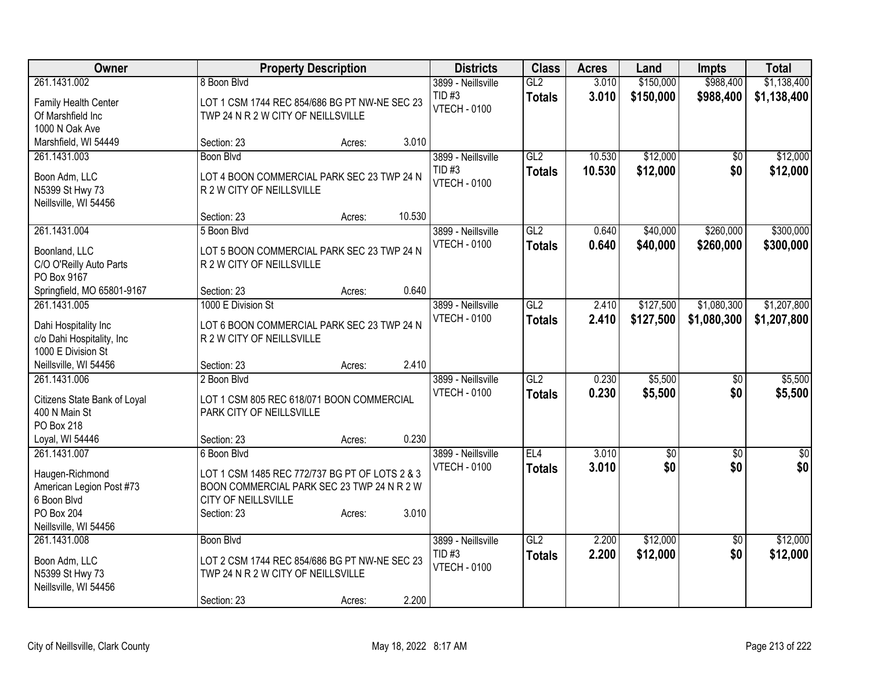| Owner                        |                                                | <b>Property Description</b> |        | <b>Districts</b>    | <b>Class</b>  | <b>Acres</b> | Land      | <b>Impts</b>    | <b>Total</b>    |
|------------------------------|------------------------------------------------|-----------------------------|--------|---------------------|---------------|--------------|-----------|-----------------|-----------------|
| 261.1431.002                 | 8 Boon Blvd                                    |                             |        | 3899 - Neillsville  | GL2           | 3.010        | \$150,000 | \$988,400       | \$1,138,400     |
| Family Health Center         | LOT 1 CSM 1744 REC 854/686 BG PT NW-NE SEC 23  |                             |        | TID#3               | <b>Totals</b> | 3.010        | \$150,000 | \$988,400       | \$1,138,400     |
| Of Marshfield Inc            | TWP 24 N R 2 W CITY OF NEILLSVILLE             |                             |        | <b>VTECH - 0100</b> |               |              |           |                 |                 |
| 1000 N Oak Ave               |                                                |                             |        |                     |               |              |           |                 |                 |
| Marshfield, WI 54449         | Section: 23                                    | Acres:                      | 3.010  |                     |               |              |           |                 |                 |
| 261.1431.003                 | Boon Blvd                                      |                             |        | 3899 - Neillsville  | GL2           | 10.530       | \$12,000  | $\sqrt{6}$      | \$12,000        |
| Boon Adm, LLC                | LOT 4 BOON COMMERCIAL PARK SEC 23 TWP 24 N     |                             |        | TID#3               | <b>Totals</b> | 10.530       | \$12,000  | \$0             | \$12,000        |
| N5399 St Hwy 73              | R 2 W CITY OF NEILLSVILLE                      |                             |        | <b>VTECH - 0100</b> |               |              |           |                 |                 |
| Neillsville, WI 54456        |                                                |                             |        |                     |               |              |           |                 |                 |
|                              | Section: 23                                    | Acres:                      | 10.530 |                     |               |              |           |                 |                 |
| 261.1431.004                 | 5 Boon Blvd                                    |                             |        | 3899 - Neillsville  | GL2           | 0.640        | \$40,000  | \$260,000       | \$300,000       |
| Boonland, LLC                | LOT 5 BOON COMMERCIAL PARK SEC 23 TWP 24 N     |                             |        | <b>VTECH - 0100</b> | <b>Totals</b> | 0.640        | \$40,000  | \$260,000       | \$300,000       |
| C/O O'Reilly Auto Parts      | R 2 W CITY OF NEILLSVILLE                      |                             |        |                     |               |              |           |                 |                 |
| PO Box 9167                  |                                                |                             |        |                     |               |              |           |                 |                 |
| Springfield, MO 65801-9167   | Section: 23                                    | Acres:                      | 0.640  |                     |               |              |           |                 |                 |
| 261.1431.005                 | 1000 E Division St                             |                             |        | 3899 - Neillsville  | GL2           | 2.410        | \$127,500 | \$1,080,300     | \$1,207,800     |
| Dahi Hospitality Inc         | LOT 6 BOON COMMERCIAL PARK SEC 23 TWP 24 N     |                             |        | <b>VTECH - 0100</b> | <b>Totals</b> | 2.410        | \$127,500 | \$1,080,300     | \$1,207,800     |
| c/o Dahi Hospitality, Inc    | R 2 W CITY OF NEILLSVILLE                      |                             |        |                     |               |              |           |                 |                 |
| 1000 E Division St           |                                                |                             |        |                     |               |              |           |                 |                 |
| Neillsville, WI 54456        | Section: 23                                    | Acres:                      | 2.410  |                     |               |              |           |                 |                 |
| 261.1431.006                 | 2 Boon Blvd                                    |                             |        | 3899 - Neillsville  | GL2           | 0.230        | \$5,500   | $\overline{50}$ | \$5,500         |
| Citizens State Bank of Loyal | LOT 1 CSM 805 REC 618/071 BOON COMMERCIAL      |                             |        | <b>VTECH - 0100</b> | <b>Totals</b> | 0.230        | \$5,500   | \$0             | \$5,500         |
| 400 N Main St                | PARK CITY OF NEILLSVILLE                       |                             |        |                     |               |              |           |                 |                 |
| PO Box 218                   |                                                |                             |        |                     |               |              |           |                 |                 |
| Loyal, WI 54446              | Section: 23                                    | Acres:                      | 0.230  |                     |               |              |           |                 |                 |
| 261.1431.007                 | 6 Boon Blvd                                    |                             |        | 3899 - Neillsville  | EL4           | 3.010        | \$0       | $\overline{50}$ | $\overline{50}$ |
| Haugen-Richmond              | LOT 1 CSM 1485 REC 772/737 BG PT OF LOTS 2 & 3 |                             |        | <b>VTECH - 0100</b> | <b>Totals</b> | 3.010        | \$0       | \$0             | \$0             |
| American Legion Post #73     | BOON COMMERCIAL PARK SEC 23 TWP 24 N R 2 W     |                             |        |                     |               |              |           |                 |                 |
| 6 Boon Blvd                  | CITY OF NEILLSVILLE                            |                             |        |                     |               |              |           |                 |                 |
| <b>PO Box 204</b>            | Section: 23                                    | Acres:                      | 3.010  |                     |               |              |           |                 |                 |
| Neillsville, WI 54456        |                                                |                             |        |                     |               |              |           |                 |                 |
| 261.1431.008                 | Boon Blvd                                      |                             |        | 3899 - Neillsville  | GL2           | 2.200        | \$12,000  | $\overline{50}$ | \$12,000        |
| Boon Adm, LLC                | LOT 2 CSM 1744 REC 854/686 BG PT NW-NE SEC 23  |                             |        | <b>TID#3</b>        | <b>Totals</b> | 2.200        | \$12,000  | \$0             | \$12,000        |
| N5399 St Hwy 73              | TWP 24 N R 2 W CITY OF NEILLSVILLE             |                             |        | <b>VTECH - 0100</b> |               |              |           |                 |                 |
| Neillsville, WI 54456        |                                                |                             |        |                     |               |              |           |                 |                 |
|                              | Section: 23                                    | Acres:                      | 2.200  |                     |               |              |           |                 |                 |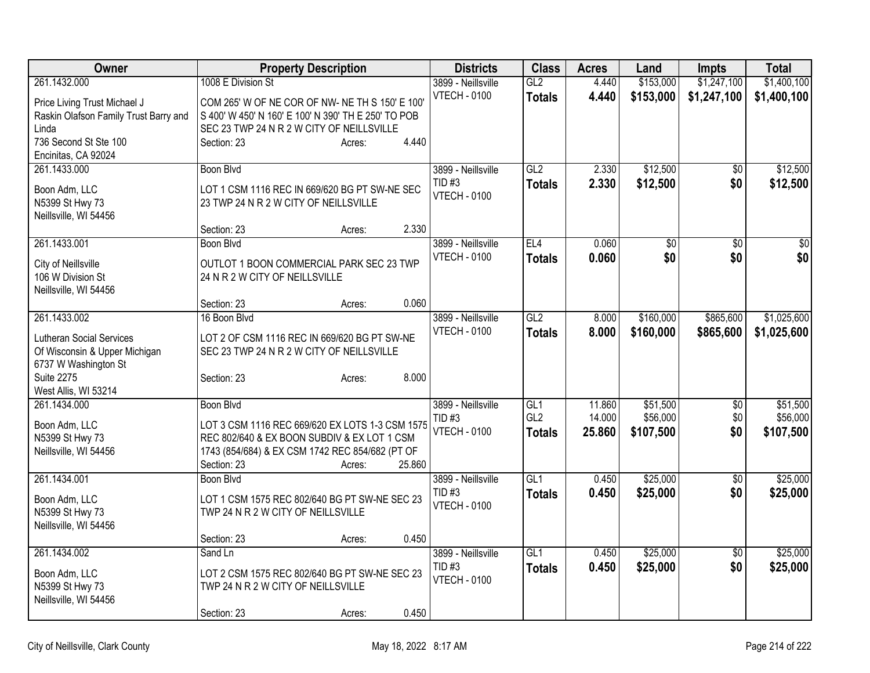| Owner                                 | <b>Property Description</b>                         | <b>Districts</b>                         | <b>Class</b>           | <b>Acres</b>     | Land                  | <b>Impts</b>    | <b>Total</b>          |
|---------------------------------------|-----------------------------------------------------|------------------------------------------|------------------------|------------------|-----------------------|-----------------|-----------------------|
| 261.1432.000                          | 1008 E Division St                                  | 3899 - Neillsville                       | GL2                    | 4.440            | \$153,000             | \$1,247,100     | \$1,400,100           |
| Price Living Trust Michael J          | COM 265' W OF NE COR OF NW- NE TH S 150' E 100'     | <b>VTECH - 0100</b>                      | <b>Totals</b>          | 4.440            | \$153,000             | \$1,247,100     | \$1,400,100           |
| Raskin Olafson Family Trust Barry and | S 400' W 450' N 160' E 100' N 390' TH E 250' TO POB |                                          |                        |                  |                       |                 |                       |
| Linda                                 | SEC 23 TWP 24 N R 2 W CITY OF NEILLSVILLE           |                                          |                        |                  |                       |                 |                       |
| 736 Second St Ste 100                 | 4.440<br>Section: 23<br>Acres:                      |                                          |                        |                  |                       |                 |                       |
| Encinitas, CA 92024                   |                                                     |                                          |                        |                  |                       |                 |                       |
| 261.1433.000                          | <b>Boon Blvd</b>                                    | 3899 - Neillsville                       | GL2                    | 2.330            | \$12,500              | \$0             | \$12,500              |
| Boon Adm, LLC                         | LOT 1 CSM 1116 REC IN 669/620 BG PT SW-NE SEC       | $TID$ #3<br><b>VTECH - 0100</b>          | <b>Totals</b>          | 2.330            | \$12,500              | \$0             | \$12,500              |
| N5399 St Hwy 73                       | 23 TWP 24 N R 2 W CITY OF NEILLSVILLE               |                                          |                        |                  |                       |                 |                       |
| Neillsville, WI 54456                 |                                                     |                                          |                        |                  |                       |                 |                       |
|                                       | 2.330<br>Section: 23<br>Acres:                      |                                          |                        |                  |                       |                 |                       |
| 261.1433.001                          | Boon Blvd                                           | 3899 - Neillsville                       | EL4                    | 0.060            | $\overline{50}$       | $\overline{50}$ | $\overline{50}$       |
| City of Neillsville                   | OUTLOT 1 BOON COMMERCIAL PARK SEC 23 TWP            | <b>VTECH - 0100</b>                      | <b>Totals</b>          | 0.060            | \$0                   | \$0             | \$0                   |
| 106 W Division St                     | 24 N R 2 W CITY OF NEILLSVILLE                      |                                          |                        |                  |                       |                 |                       |
| Neillsville, WI 54456                 |                                                     |                                          |                        |                  |                       |                 |                       |
|                                       | 0.060<br>Section: 23<br>Acres:                      |                                          |                        |                  |                       |                 |                       |
| 261.1433.002                          | 16 Boon Blvd                                        | 3899 - Neillsville                       | GL2                    | 8.000            | \$160,000             | \$865,600       | \$1,025,600           |
| <b>Lutheran Social Services</b>       | LOT 2 OF CSM 1116 REC IN 669/620 BG PT SW-NE        | <b>VTECH - 0100</b>                      | <b>Totals</b>          | 8.000            | \$160,000             | \$865,600       | \$1,025,600           |
| Of Wisconsin & Upper Michigan         | SEC 23 TWP 24 N R 2 W CITY OF NEILLSVILLE           |                                          |                        |                  |                       |                 |                       |
| 6737 W Washington St                  |                                                     |                                          |                        |                  |                       |                 |                       |
| <b>Suite 2275</b>                     | 8.000<br>Section: 23<br>Acres:                      |                                          |                        |                  |                       |                 |                       |
| West Allis, WI 53214                  |                                                     |                                          |                        |                  |                       |                 |                       |
| 261.1434.000                          | <b>Boon Blvd</b>                                    | 3899 - Neillsville                       | GL1<br>GL <sub>2</sub> | 11.860           | \$51,500              | $\overline{50}$ | \$51,500              |
| Boon Adm, LLC                         | LOT 3 CSM 1116 REC 669/620 EX LOTS 1-3 CSM 1575     | <b>TID#3</b><br><b>VTECH - 0100</b>      |                        | 14.000<br>25.860 | \$56,000<br>\$107,500 | \$0<br>\$0      | \$56,000<br>\$107,500 |
| N5399 St Hwy 73                       | REC 802/640 & EX BOON SUBDIV & EX LOT 1 CSM         |                                          | <b>Totals</b>          |                  |                       |                 |                       |
| Neillsville, WI 54456                 | 1743 (854/684) & EX CSM 1742 REC 854/682 (PT OF     |                                          |                        |                  |                       |                 |                       |
|                                       | Section: 23<br>25.860<br>Acres:                     |                                          |                        |                  |                       |                 |                       |
| 261.1434.001                          | <b>Boon Blvd</b>                                    | 3899 - Neillsville                       | $\overline{GL1}$       | 0.450            | \$25,000              | $\overline{50}$ | \$25,000              |
| Boon Adm, LLC                         | LOT 1 CSM 1575 REC 802/640 BG PT SW-NE SEC 23       | TID <sub>#3</sub><br><b>VTECH - 0100</b> | <b>Totals</b>          | 0.450            | \$25,000              | \$0             | \$25,000              |
| N5399 St Hwy 73                       | TWP 24 N R 2 W CITY OF NEILLSVILLE                  |                                          |                        |                  |                       |                 |                       |
| Neillsville, WI 54456                 |                                                     |                                          |                        |                  |                       |                 |                       |
|                                       | 0.450<br>Section: 23<br>Acres:                      |                                          |                        |                  |                       |                 |                       |
| 261.1434.002                          | Sand Ln                                             | 3899 - Neillsville                       | GL1                    | 0.450            | \$25,000              | $\overline{50}$ | \$25,000              |
| Boon Adm, LLC                         | LOT 2 CSM 1575 REC 802/640 BG PT SW-NE SEC 23       | TID#3                                    | <b>Totals</b>          | 0.450            | \$25,000              | \$0             | \$25,000              |
| N5399 St Hwy 73                       | TWP 24 N R 2 W CITY OF NEILLSVILLE                  | <b>VTECH - 0100</b>                      |                        |                  |                       |                 |                       |
| Neillsville, WI 54456                 |                                                     |                                          |                        |                  |                       |                 |                       |
|                                       | 0.450<br>Section: 23<br>Acres:                      |                                          |                        |                  |                       |                 |                       |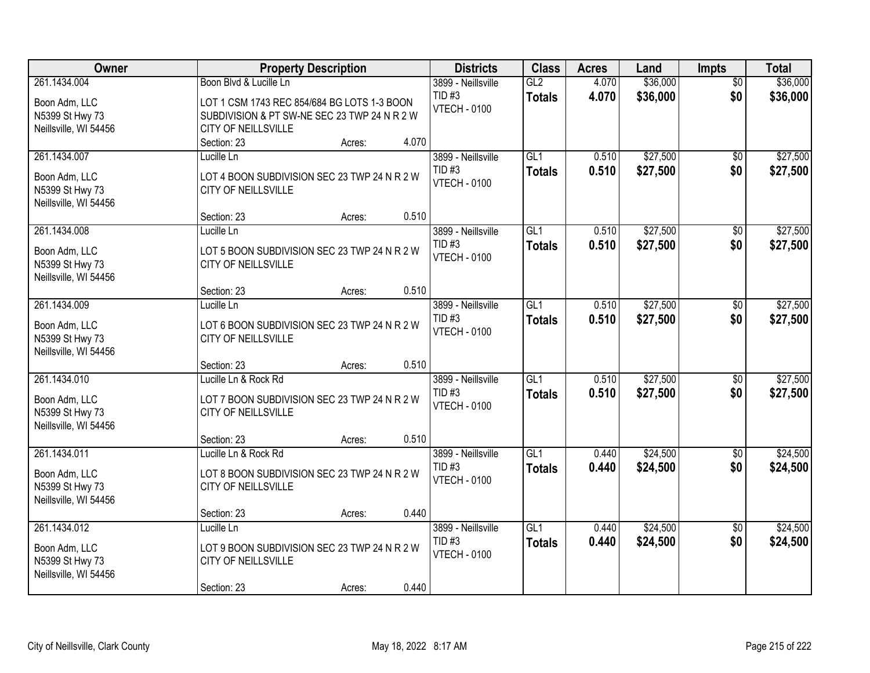| Owner                            | <b>Property Description</b>                                                                 | <b>Districts</b>                | <b>Class</b>         | <b>Acres</b>   | Land                 | <b>Impts</b>           | <b>Total</b>         |
|----------------------------------|---------------------------------------------------------------------------------------------|---------------------------------|----------------------|----------------|----------------------|------------------------|----------------------|
| 261.1434.004                     | Boon Blvd & Lucille Ln                                                                      | 3899 - Neillsville<br>TID#3     | GL2<br><b>Totals</b> | 4.070<br>4.070 | \$36,000<br>\$36,000 | $\overline{50}$<br>\$0 | \$36,000<br>\$36,000 |
| Boon Adm, LLC<br>N5399 St Hwy 73 | LOT 1 CSM 1743 REC 854/684 BG LOTS 1-3 BOON<br>SUBDIVISION & PT SW-NE SEC 23 TWP 24 N R 2 W | <b>VTECH - 0100</b>             |                      |                |                      |                        |                      |
| Neillsville, WI 54456            | CITY OF NEILLSVILLE                                                                         |                                 |                      |                |                      |                        |                      |
|                                  | 4.070<br>Section: 23<br>Acres:                                                              |                                 |                      |                |                      |                        |                      |
| 261.1434.007                     | Lucille Ln                                                                                  | 3899 - Neillsville              | GL1                  | 0.510          | \$27,500             | $\overline{50}$        | \$27,500             |
| Boon Adm, LLC                    | LOT 4 BOON SUBDIVISION SEC 23 TWP 24 N R 2 W                                                | $TID$ #3<br><b>VTECH - 0100</b> | <b>Totals</b>        | 0.510          | \$27,500             | \$0                    | \$27,500             |
| N5399 St Hwy 73                  | <b>CITY OF NEILLSVILLE</b>                                                                  |                                 |                      |                |                      |                        |                      |
| Neillsville, WI 54456            | 0.510<br>Section: 23<br>Acres:                                                              |                                 |                      |                |                      |                        |                      |
| 261.1434.008                     | Lucille Ln                                                                                  | 3899 - Neillsville              | GL <sub>1</sub>      | 0.510          | \$27,500             | \$0                    | \$27,500             |
|                                  |                                                                                             | <b>TID#3</b>                    | <b>Totals</b>        | 0.510          | \$27,500             | \$0                    | \$27,500             |
| Boon Adm, LLC<br>N5399 St Hwy 73 | LOT 5 BOON SUBDIVISION SEC 23 TWP 24 N R 2 W<br>CITY OF NEILLSVILLE                         | <b>VTECH - 0100</b>             |                      |                |                      |                        |                      |
| Neillsville, WI 54456            |                                                                                             |                                 |                      |                |                      |                        |                      |
|                                  | 0.510<br>Section: 23<br>Acres:                                                              |                                 |                      |                |                      |                        |                      |
| 261.1434.009                     | Lucille Ln                                                                                  | 3899 - Neillsville              | GL1                  | 0.510          | \$27,500             | \$0                    | \$27,500             |
| Boon Adm, LLC                    | LOT 6 BOON SUBDIVISION SEC 23 TWP 24 N R 2 W                                                | <b>TID#3</b>                    | <b>Totals</b>        | 0.510          | \$27,500             | \$0                    | \$27,500             |
| N5399 St Hwy 73                  | CITY OF NEILLSVILLE                                                                         | <b>VTECH - 0100</b>             |                      |                |                      |                        |                      |
| Neillsville, WI 54456            |                                                                                             |                                 |                      |                |                      |                        |                      |
|                                  | 0.510<br>Section: 23<br>Acres:                                                              |                                 |                      |                |                      |                        |                      |
| 261.1434.010                     | Lucille Ln & Rock Rd                                                                        | 3899 - Neillsville<br>$TID$ #3  | GL1                  | 0.510          | \$27,500             | $\overline{50}$        | \$27,500             |
| Boon Adm, LLC                    | LOT 7 BOON SUBDIVISION SEC 23 TWP 24 N R 2 W                                                | <b>VTECH - 0100</b>             | <b>Totals</b>        | 0.510          | \$27,500             | \$0                    | \$27,500             |
| N5399 St Hwy 73                  | <b>CITY OF NEILLSVILLE</b>                                                                  |                                 |                      |                |                      |                        |                      |
| Neillsville, WI 54456            | 0.510<br>Section: 23<br>Acres:                                                              |                                 |                      |                |                      |                        |                      |
| 261.1434.011                     | Lucille Ln & Rock Rd                                                                        | 3899 - Neillsville              | GL1                  | 0.440          | \$24,500             | $\overline{60}$        | \$24,500             |
|                                  |                                                                                             | TID#3                           | <b>Totals</b>        | 0.440          | \$24,500             | \$0                    | \$24,500             |
| Boon Adm, LLC<br>N5399 St Hwy 73 | LOT 8 BOON SUBDIVISION SEC 23 TWP 24 N R 2 W<br>CITY OF NEILLSVILLE                         | <b>VTECH - 0100</b>             |                      |                |                      |                        |                      |
| Neillsville, WI 54456            |                                                                                             |                                 |                      |                |                      |                        |                      |
|                                  | 0.440<br>Section: 23<br>Acres:                                                              |                                 |                      |                |                      |                        |                      |
| 261.1434.012                     | Lucille Ln                                                                                  | 3899 - Neillsville              | GL1                  | 0.440          | \$24,500             | $\overline{50}$        | \$24,500             |
| Boon Adm, LLC                    | LOT 9 BOON SUBDIVISION SEC 23 TWP 24 N R 2 W                                                | TID#3                           | <b>Totals</b>        | 0.440          | \$24,500             | \$0                    | \$24,500             |
| N5399 St Hwy 73                  | CITY OF NEILLSVILLE                                                                         | <b>VTECH - 0100</b>             |                      |                |                      |                        |                      |
| Neillsville, WI 54456            |                                                                                             |                                 |                      |                |                      |                        |                      |
|                                  | 0.440<br>Section: 23<br>Acres:                                                              |                                 |                      |                |                      |                        |                      |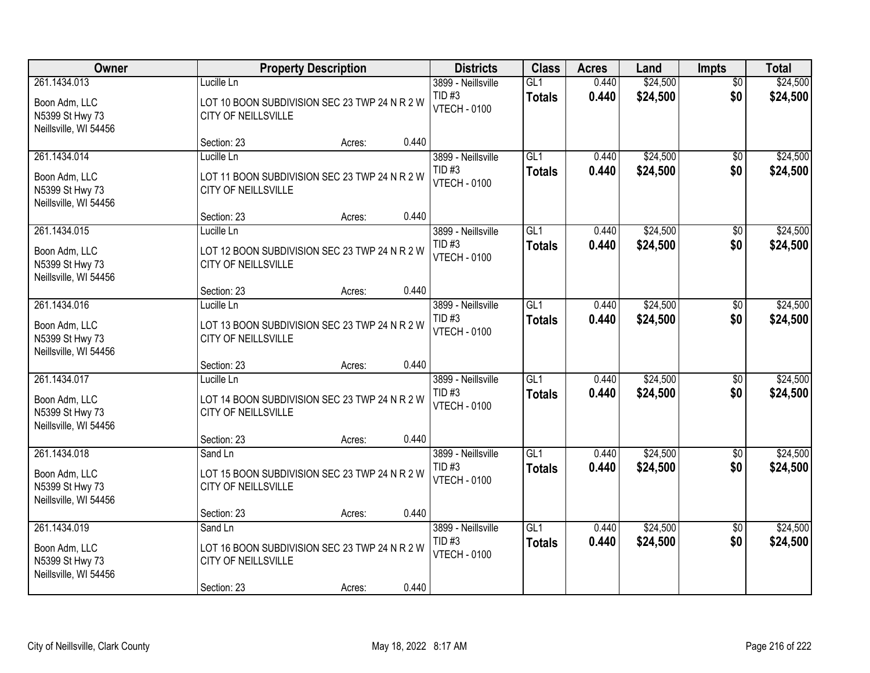| Owner                                                                     | <b>Property Description</b>                                                                                       | <b>Districts</b>                                      | <b>Class</b>                      | <b>Acres</b>   | Land                 | <b>Impts</b>           | <b>Total</b>         |
|---------------------------------------------------------------------------|-------------------------------------------------------------------------------------------------------------------|-------------------------------------------------------|-----------------------------------|----------------|----------------------|------------------------|----------------------|
| 261.1434.013<br>Boon Adm, LLC<br>N5399 St Hwy 73<br>Neillsville, WI 54456 | Lucille Ln<br>LOT 10 BOON SUBDIVISION SEC 23 TWP 24 N R 2 W<br>CITY OF NEILLSVILLE                                | 3899 - Neillsville<br>TID#3<br><b>VTECH - 0100</b>    | GL1<br><b>Totals</b>              | 0.440<br>0.440 | \$24,500<br>\$24,500 | $\overline{50}$<br>\$0 | \$24,500<br>\$24,500 |
|                                                                           | 0.440<br>Section: 23<br>Acres:                                                                                    |                                                       |                                   |                |                      |                        |                      |
| 261.1434.014<br>Boon Adm, LLC<br>N5399 St Hwy 73<br>Neillsville, WI 54456 | Lucille Ln<br>LOT 11 BOON SUBDIVISION SEC 23 TWP 24 N R 2 W<br>CITY OF NEILLSVILLE<br>0.440                       | 3899 - Neillsville<br>$TID$ #3<br><b>VTECH - 0100</b> | GL1<br><b>Totals</b>              | 0.440<br>0.440 | \$24,500<br>\$24,500 | \$0<br>\$0             | \$24,500<br>\$24,500 |
| 261.1434.015                                                              | Section: 23<br>Acres:<br>Lucille Ln                                                                               | 3899 - Neillsville                                    | GL1                               | 0.440          | \$24,500             | \$0                    | \$24,500             |
| Boon Adm, LLC<br>N5399 St Hwy 73<br>Neillsville, WI 54456                 | LOT 12 BOON SUBDIVISION SEC 23 TWP 24 N R 2 W<br><b>CITY OF NEILLSVILLE</b>                                       | $TID$ #3<br><b>VTECH - 0100</b>                       | <b>Totals</b>                     | 0.440          | \$24,500             | \$0                    | \$24,500             |
|                                                                           | 0.440<br>Section: 23<br>Acres:                                                                                    |                                                       |                                   |                |                      |                        |                      |
| 261.1434.016<br>Boon Adm, LLC<br>N5399 St Hwy 73<br>Neillsville, WI 54456 | Lucille Ln<br>LOT 13 BOON SUBDIVISION SEC 23 TWP 24 N R 2 W<br>CITY OF NEILLSVILLE                                | 3899 - Neillsville<br>TID#3<br><b>VTECH - 0100</b>    | GL1<br><b>Totals</b>              | 0.440<br>0.440 | \$24,500<br>\$24,500 | \$0<br>\$0             | \$24,500<br>\$24,500 |
|                                                                           | 0.440<br>Section: 23<br>Acres:                                                                                    |                                                       |                                   |                |                      |                        |                      |
| 261.1434.017<br>Boon Adm, LLC<br>N5399 St Hwy 73<br>Neillsville, WI 54456 | Lucille Ln<br>LOT 14 BOON SUBDIVISION SEC 23 TWP 24 N R 2 W<br>CITY OF NEILLSVILLE                                | 3899 - Neillsville<br>TID#3<br><b>VTECH - 0100</b>    | GL1<br><b>Totals</b>              | 0.440<br>0.440 | \$24,500<br>\$24,500 | \$0<br>\$0             | \$24,500<br>\$24,500 |
| 261.1434.018                                                              | 0.440<br>Section: 23<br>Acres:<br>Sand Ln                                                                         | 3899 - Neillsville                                    | GL <sub>1</sub>                   | 0.440          | \$24,500             | $\sqrt{6}$             | \$24,500             |
| Boon Adm, LLC<br>N5399 St Hwy 73<br>Neillsville, WI 54456                 | LOT 15 BOON SUBDIVISION SEC 23 TWP 24 N R 2 W<br>CITY OF NEILLSVILLE                                              | TID#3<br><b>VTECH - 0100</b>                          | <b>Totals</b>                     | 0.440          | \$24,500             | \$0                    | \$24,500             |
|                                                                           | 0.440<br>Section: 23<br>Acres:                                                                                    |                                                       |                                   |                |                      |                        |                      |
| 261.1434.019<br>Boon Adm, LLC<br>N5399 St Hwy 73<br>Neillsville, WI 54456 | Sand Ln<br>LOT 16 BOON SUBDIVISION SEC 23 TWP 24 N R 2 W<br>CITY OF NEILLSVILLE<br>0.440<br>Section: 23<br>Acres: | 3899 - Neillsville<br>TID#3<br><b>VTECH - 0100</b>    | $\overline{GL1}$<br><b>Totals</b> | 0.440<br>0.440 | \$24,500<br>\$24,500 | $\overline{50}$<br>\$0 | \$24,500<br>\$24,500 |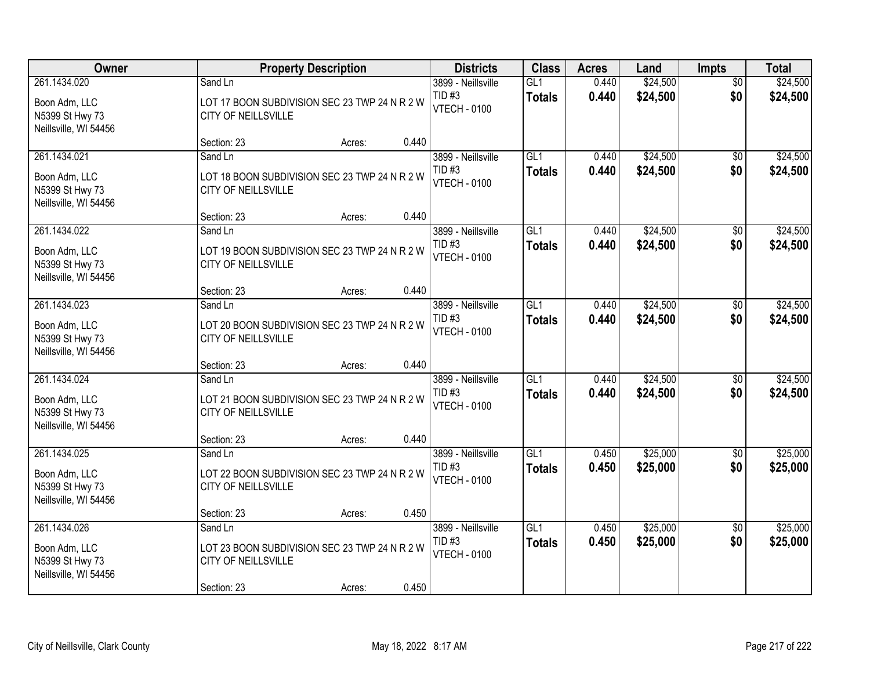| Owner                                                                     |                                                                                                | <b>Property Description</b> |       |                                                           | <b>Class</b>         | <b>Acres</b>   | Land                 | <b>Impts</b>           | <b>Total</b>         |
|---------------------------------------------------------------------------|------------------------------------------------------------------------------------------------|-----------------------------|-------|-----------------------------------------------------------|----------------------|----------------|----------------------|------------------------|----------------------|
| 261.1434.020<br>Boon Adm, LLC<br>N5399 St Hwy 73<br>Neillsville, WI 54456 | Sand Ln<br>LOT 17 BOON SUBDIVISION SEC 23 TWP 24 N R 2 W<br>CITY OF NEILLSVILLE                |                             |       | 3899 - Neillsville<br><b>TID#3</b><br><b>VTECH - 0100</b> | GL1<br><b>Totals</b> | 0.440<br>0.440 | \$24,500<br>\$24,500 | $\overline{50}$<br>\$0 | \$24,500<br>\$24,500 |
|                                                                           | Section: 23                                                                                    | Acres:                      | 0.440 |                                                           |                      |                |                      |                        |                      |
| 261.1434.021<br>Boon Adm, LLC<br>N5399 St Hwy 73<br>Neillsville, WI 54456 | Sand Ln<br>LOT 18 BOON SUBDIVISION SEC 23 TWP 24 N R 2 W<br><b>CITY OF NEILLSVILLE</b>         |                             |       | 3899 - Neillsville<br>TID#3<br><b>VTECH - 0100</b>        | GL1<br><b>Totals</b> | 0.440<br>0.440 | \$24,500<br>\$24,500 | $\overline{50}$<br>\$0 | \$24,500<br>\$24,500 |
| 261.1434.022                                                              | Section: 23<br>Sand Ln                                                                         | Acres:                      | 0.440 | 3899 - Neillsville                                        | GL <sub>1</sub>      | 0.440          | \$24,500             |                        | \$24,500             |
| Boon Adm, LLC<br>N5399 St Hwy 73<br>Neillsville, WI 54456                 | LOT 19 BOON SUBDIVISION SEC 23 TWP 24 N R 2 W<br>CITY OF NEILLSVILLE                           |                             |       | TID#3<br><b>VTECH - 0100</b>                              | <b>Totals</b>        | 0.440          | \$24,500             | \$0<br>\$0             | \$24,500             |
|                                                                           | Section: 23                                                                                    | Acres:                      | 0.440 |                                                           |                      |                |                      |                        |                      |
| 261.1434.023<br>Boon Adm, LLC<br>N5399 St Hwy 73<br>Neillsville, WI 54456 | Sand Ln<br>LOT 20 BOON SUBDIVISION SEC 23 TWP 24 N R 2 W<br>CITY OF NEILLSVILLE                |                             |       | 3899 - Neillsville<br>TID#3<br><b>VTECH - 0100</b>        | GL1<br><b>Totals</b> | 0.440<br>0.440 | \$24,500<br>\$24,500 | $\sqrt[6]{}$<br>\$0    | \$24,500<br>\$24,500 |
|                                                                           | Section: 23                                                                                    | Acres:                      | 0.440 |                                                           |                      |                |                      |                        |                      |
| 261.1434.024<br>Boon Adm, LLC<br>N5399 St Hwy 73<br>Neillsville, WI 54456 | Sand Ln<br>LOT 21 BOON SUBDIVISION SEC 23 TWP 24 N R 2 W<br><b>CITY OF NEILLSVILLE</b>         |                             |       | 3899 - Neillsville<br>$TID$ #3<br><b>VTECH - 0100</b>     | GL1<br><b>Totals</b> | 0.440<br>0.440 | \$24,500<br>\$24,500 | $\overline{50}$<br>\$0 | \$24,500<br>\$24,500 |
|                                                                           | Section: 23                                                                                    | Acres:                      | 0.440 |                                                           | GL <sub>1</sub>      |                |                      |                        |                      |
| 261.1434.025<br>Boon Adm, LLC<br>N5399 St Hwy 73<br>Neillsville, WI 54456 | Sand Ln<br>LOT 22 BOON SUBDIVISION SEC 23 TWP 24 N R 2 W<br>CITY OF NEILLSVILLE                |                             |       | 3899 - Neillsville<br>TID#3<br><b>VTECH - 0100</b>        | <b>Totals</b>        | 0.450<br>0.450 | \$25,000<br>\$25,000 | $\overline{50}$<br>\$0 | \$25,000<br>\$25,000 |
|                                                                           | Section: 23                                                                                    | Acres:                      | 0.450 |                                                           |                      |                |                      |                        |                      |
| 261.1434.026<br>Boon Adm, LLC<br>N5399 St Hwy 73<br>Neillsville, WI 54456 | Sand Ln<br>LOT 23 BOON SUBDIVISION SEC 23 TWP 24 N R 2 W<br>CITY OF NEILLSVILLE<br>Section: 23 | Acres:                      | 0.450 | 3899 - Neillsville<br>TID#3<br><b>VTECH - 0100</b>        | GL1<br><b>Totals</b> | 0.450<br>0.450 | \$25,000<br>\$25,000 | $\overline{50}$<br>\$0 | \$25,000<br>\$25,000 |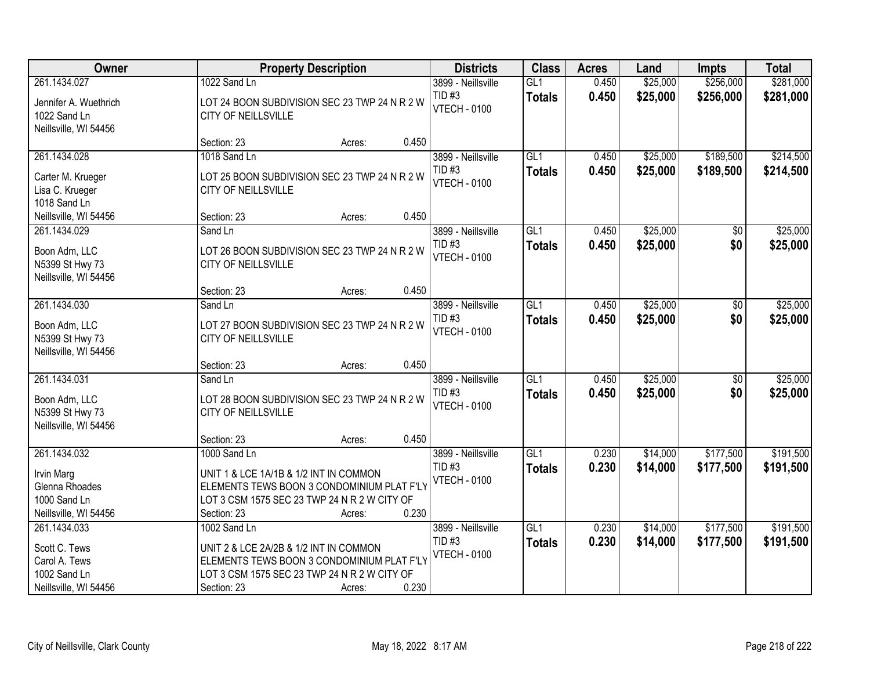| Owner                                    |                                                                      | <b>Property Description</b> |                                 |                  | <b>Acres</b> | Land     | <b>Impts</b> | <b>Total</b> |
|------------------------------------------|----------------------------------------------------------------------|-----------------------------|---------------------------------|------------------|--------------|----------|--------------|--------------|
| 261.1434.027                             | 1022 Sand Ln                                                         |                             | 3899 - Neillsville              | GL1              | 0.450        | \$25,000 | \$256,000    | \$281,000    |
| Jennifer A. Wuethrich<br>1022 Sand Ln    | LOT 24 BOON SUBDIVISION SEC 23 TWP 24 N R 2 W<br>CITY OF NEILLSVILLE |                             | TID#3<br><b>VTECH - 0100</b>    | <b>Totals</b>    | 0.450        | \$25,000 | \$256,000    | \$281,000    |
| Neillsville, WI 54456                    |                                                                      |                             |                                 |                  |              |          |              |              |
|                                          | Section: 23                                                          | Acres:                      | 0.450                           |                  |              |          |              |              |
| 261.1434.028                             | 1018 Sand Ln                                                         |                             | 3899 - Neillsville              | GL1              | 0.450        | \$25,000 | \$189,500    | \$214,500    |
| Carter M. Krueger                        | LOT 25 BOON SUBDIVISION SEC 23 TWP 24 N R 2 W                        |                             | $TID$ #3<br><b>VTECH - 0100</b> | <b>Totals</b>    | 0.450        | \$25,000 | \$189,500    | \$214,500    |
| Lisa C. Krueger<br>1018 Sand Ln          | CITY OF NEILLSVILLE                                                  |                             |                                 |                  |              |          |              |              |
| Neillsville, WI 54456                    | Section: 23                                                          | Acres:                      | 0.450                           |                  |              |          |              |              |
| 261.1434.029                             | Sand Ln                                                              |                             | 3899 - Neillsville              | GL1              | 0.450        | \$25,000 | \$0          | \$25,000     |
|                                          |                                                                      |                             | <b>TID#3</b>                    | <b>Totals</b>    | 0.450        | \$25,000 | \$0          | \$25,000     |
| Boon Adm, LLC                            | LOT 26 BOON SUBDIVISION SEC 23 TWP 24 N R 2 W                        |                             | <b>VTECH - 0100</b>             |                  |              |          |              |              |
| N5399 St Hwy 73<br>Neillsville, WI 54456 | CITY OF NEILLSVILLE                                                  |                             |                                 |                  |              |          |              |              |
|                                          | Section: 23                                                          | Acres:                      | 0.450                           |                  |              |          |              |              |
| 261.1434.030                             | Sand Ln                                                              |                             | 3899 - Neillsville              | $\overline{GL1}$ | 0.450        | \$25,000 | \$0          | \$25,000     |
|                                          |                                                                      |                             | TID#3                           | <b>Totals</b>    | 0.450        | \$25,000 | \$0          | \$25,000     |
| Boon Adm, LLC                            | LOT 27 BOON SUBDIVISION SEC 23 TWP 24 N R 2 W                        |                             | <b>VTECH - 0100</b>             |                  |              |          |              |              |
| N5399 St Hwy 73<br>Neillsville, WI 54456 | CITY OF NEILLSVILLE                                                  |                             |                                 |                  |              |          |              |              |
|                                          | Section: 23                                                          | Acres:                      | 0.450                           |                  |              |          |              |              |
| 261.1434.031                             | Sand Ln                                                              |                             | 3899 - Neillsville              | GL1              | 0.450        | \$25,000 | \$0          | \$25,000     |
|                                          |                                                                      |                             | $TID$ #3                        | <b>Totals</b>    | 0.450        | \$25,000 | \$0          | \$25,000     |
| Boon Adm, LLC                            | LOT 28 BOON SUBDIVISION SEC 23 TWP 24 N R 2 W                        |                             | <b>VTECH - 0100</b>             |                  |              |          |              |              |
| N5399 St Hwy 73                          | CITY OF NEILLSVILLE                                                  |                             |                                 |                  |              |          |              |              |
| Neillsville, WI 54456                    | Section: 23                                                          | Acres:                      | 0.450                           |                  |              |          |              |              |
| 261.1434.032                             | 1000 Sand Ln                                                         |                             | 3899 - Neillsville              | GL1              | 0.230        | \$14,000 | \$177,500    | \$191,500    |
|                                          |                                                                      |                             | $TID$ #3                        | <b>Totals</b>    | 0.230        | \$14,000 | \$177,500    | \$191,500    |
| Irvin Marg                               | UNIT 1 & LCE 1A/1B & 1/2 INT IN COMMON                               |                             | <b>VTECH - 0100</b>             |                  |              |          |              |              |
| Glenna Rhoades                           | ELEMENTS TEWS BOON 3 CONDOMINIUM PLAT F'LY                           |                             |                                 |                  |              |          |              |              |
| 1000 Sand Ln<br>Neillsville, WI 54456    | LOT 3 CSM 1575 SEC 23 TWP 24 N R 2 W CITY OF<br>Section: 23          | Acres:                      | 0.230                           |                  |              |          |              |              |
| 261.1434.033                             | 1002 Sand Ln                                                         |                             | 3899 - Neillsville              | $\overline{GL1}$ | 0.230        | \$14,000 | \$177,500    | \$191,500    |
|                                          |                                                                      |                             | TID#3                           | <b>Totals</b>    | 0.230        | \$14,000 | \$177,500    | \$191,500    |
| Scott C. Tews                            | UNIT 2 & LCE 2A/2B & 1/2 INT IN COMMON                               |                             | <b>VTECH - 0100</b>             |                  |              |          |              |              |
| Carol A. Tews                            | ELEMENTS TEWS BOON 3 CONDOMINIUM PLAT F'LY                           |                             |                                 |                  |              |          |              |              |
| 1002 Sand Ln                             | LOT 3 CSM 1575 SEC 23 TWP 24 N R 2 W CITY OF                         |                             |                                 |                  |              |          |              |              |
| Neillsville, WI 54456                    | Section: 23                                                          | Acres:                      | 0.230                           |                  |              |          |              |              |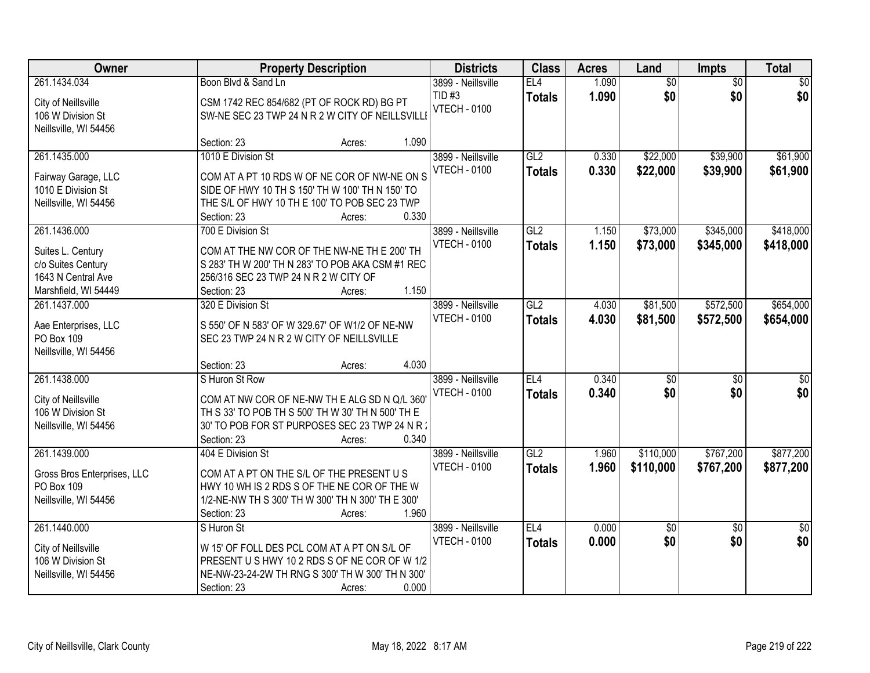| Owner                                    | <b>Property Description</b>                                                               | <b>Districts</b>    | <b>Class</b>  | <b>Acres</b> | Land            | Impts           | <b>Total</b>     |
|------------------------------------------|-------------------------------------------------------------------------------------------|---------------------|---------------|--------------|-----------------|-----------------|------------------|
| 261.1434.034                             | Boon Blvd & Sand Ln                                                                       | 3899 - Neillsville  | EL4           | 1.090        | $\overline{60}$ | $\overline{50}$ | $\overline{50}$  |
| City of Neillsville                      | CSM 1742 REC 854/682 (PT OF ROCK RD) BG PT                                                | TID#3               | <b>Totals</b> | 1.090        | \$0             | \$0             | \$0              |
| 106 W Division St                        | SW-NE SEC 23 TWP 24 N R 2 W CITY OF NEILLSVILLI                                           | <b>VTECH - 0100</b> |               |              |                 |                 |                  |
| Neillsville, WI 54456                    |                                                                                           |                     |               |              |                 |                 |                  |
|                                          | Section: 23<br>Acres:                                                                     | 1.090               |               |              |                 |                 |                  |
| 261.1435.000                             | 1010 E Division St                                                                        | 3899 - Neillsville  | GL2           | 0.330        | \$22,000        | \$39,900        | \$61,900         |
| Fairway Garage, LLC                      | COM AT A PT 10 RDS W OF NE COR OF NW-NE ON S                                              | <b>VTECH - 0100</b> | <b>Totals</b> | 0.330        | \$22,000        | \$39,900        | \$61,900         |
| 1010 E Division St                       | SIDE OF HWY 10 TH S 150' TH W 100' TH N 150' TO                                           |                     |               |              |                 |                 |                  |
| Neillsville, WI 54456                    | THE S/L OF HWY 10 TH E 100' TO POB SEC 23 TWP                                             |                     |               |              |                 |                 |                  |
|                                          | Section: 23<br>Acres:                                                                     | 0.330               |               |              |                 |                 |                  |
| 261.1436.000                             | 700 E Division St                                                                         | 3899 - Neillsville  | GL2           | 1.150        | \$73,000        | \$345,000       | \$418,000        |
|                                          |                                                                                           | <b>VTECH - 0100</b> | <b>Totals</b> | 1.150        | \$73,000        | \$345,000       | \$418,000        |
| Suites L. Century                        | COM AT THE NW COR OF THE NW-NE TH E 200' TH                                               |                     |               |              |                 |                 |                  |
| c/o Suites Century<br>1643 N Central Ave | S 283' TH W 200' TH N 283' TO POB AKA CSM #1 REC<br>256/316 SEC 23 TWP 24 N R 2 W CITY OF |                     |               |              |                 |                 |                  |
| Marshfield, WI 54449                     | Section: 23<br>Acres:                                                                     | 1.150               |               |              |                 |                 |                  |
| 261.1437.000                             | 320 E Division St                                                                         | 3899 - Neillsville  | GL2           | 4.030        | \$81,500        | \$572,500       | \$654,000        |
|                                          |                                                                                           | <b>VTECH - 0100</b> |               | 4.030        |                 |                 |                  |
| Aae Enterprises, LLC                     | S 550' OF N 583' OF W 329.67' OF W1/2 OF NE-NW                                            |                     | <b>Totals</b> |              | \$81,500        | \$572,500       | \$654,000        |
| PO Box 109                               | SEC 23 TWP 24 N R 2 W CITY OF NEILLSVILLE                                                 |                     |               |              |                 |                 |                  |
| Neillsville, WI 54456                    |                                                                                           |                     |               |              |                 |                 |                  |
|                                          | Section: 23<br>Acres:                                                                     | 4.030               |               |              |                 |                 |                  |
| 261.1438.000                             | S Huron St Row                                                                            | 3899 - Neillsville  | EL4           | 0.340        | $\overline{50}$ | $\overline{50}$ | $\overline{\$0}$ |
| City of Neillsville                      | COM AT NW COR OF NE-NW THE ALG SD N Q/L 360                                               | <b>VTECH - 0100</b> | <b>Totals</b> | 0.340        | \$0             | \$0             | \$0              |
| 106 W Division St                        | TH S 33' TO POB TH S 500' TH W 30' TH N 500' TH E                                         |                     |               |              |                 |                 |                  |
| Neillsville, WI 54456                    | 30' TO POB FOR ST PURPOSES SEC 23 TWP 24 N R 2                                            |                     |               |              |                 |                 |                  |
|                                          | Section: 23<br>Acres:                                                                     | 0.340               |               |              |                 |                 |                  |
| 261.1439.000                             | 404 E Division St                                                                         | 3899 - Neillsville  | GL2           | 1.960        | \$110,000       | \$767,200       | \$877,200        |
| Gross Bros Enterprises, LLC              | COM AT A PT ON THE S/L OF THE PRESENT US                                                  | <b>VTECH - 0100</b> | <b>Totals</b> | 1.960        | \$110,000       | \$767,200       | \$877,200        |
| PO Box 109                               | HWY 10 WH IS 2 RDS S OF THE NE COR OF THE W                                               |                     |               |              |                 |                 |                  |
| Neillsville, WI 54456                    | 1/2-NE-NW TH S 300' TH W 300' TH N 300' TH E 300'                                         |                     |               |              |                 |                 |                  |
|                                          | Section: 23<br>Acres:                                                                     | 1.960               |               |              |                 |                 |                  |
| 261.1440.000                             | S Huron St                                                                                | 3899 - Neillsville  | EL4           | 0.000        | \$0             | $\overline{50}$ | $\overline{50}$  |
|                                          |                                                                                           | <b>VTECH - 0100</b> | <b>Totals</b> | 0.000        | \$0             | \$0             | \$0              |
| City of Neillsville                      | W 15' OF FOLL DES PCL COM AT A PT ON S/L OF                                               |                     |               |              |                 |                 |                  |
| 106 W Division St                        | PRESENT U S HWY 10 2 RDS S OF NE COR OF W 1/2                                             |                     |               |              |                 |                 |                  |
| Neillsville, WI 54456                    | NE-NW-23-24-2W TH RNG S 300' TH W 300' TH N 300'                                          | 0.000               |               |              |                 |                 |                  |
|                                          | Section: 23<br>Acres:                                                                     |                     |               |              |                 |                 |                  |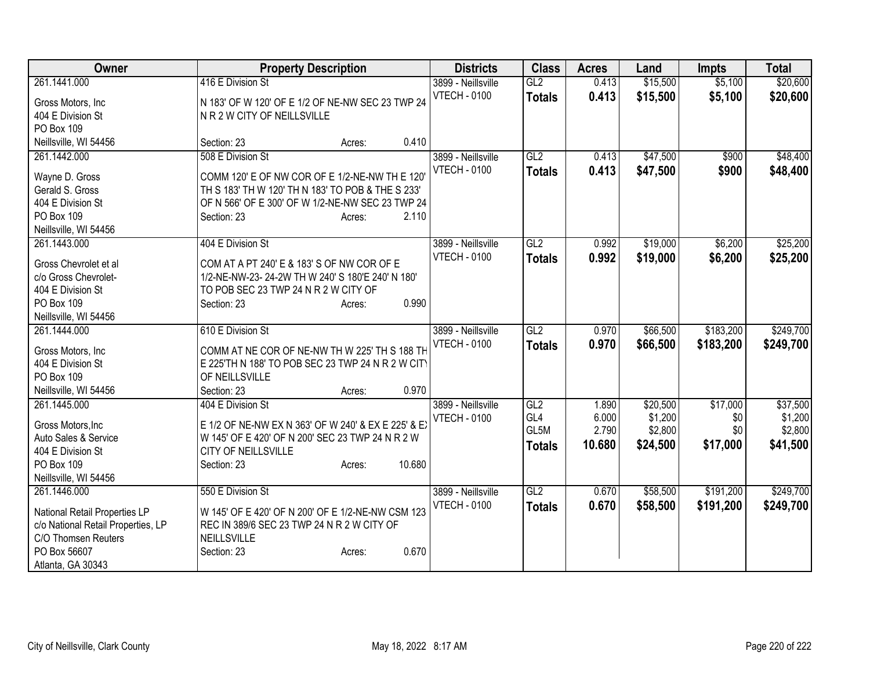| Owner                              | <b>Property Description</b>                         | <b>Districts</b>    | <b>Class</b>    | <b>Acres</b> | Land     | Impts     | <b>Total</b> |
|------------------------------------|-----------------------------------------------------|---------------------|-----------------|--------------|----------|-----------|--------------|
| 261.1441.000                       | 416 E Division St                                   | 3899 - Neillsville  | GL2             | 0.413        | \$15,500 | \$5,100   | \$20,600     |
| Gross Motors, Inc                  | N 183' OF W 120' OF E 1/2 OF NE-NW SEC 23 TWP 24    | <b>VTECH - 0100</b> | <b>Totals</b>   | 0.413        | \$15,500 | \$5,100   | \$20,600     |
| 404 E Division St                  | N R 2 W CITY OF NEILLSVILLE                         |                     |                 |              |          |           |              |
| PO Box 109                         |                                                     |                     |                 |              |          |           |              |
| Neillsville, WI 54456              | 0.410<br>Section: 23<br>Acres:                      |                     |                 |              |          |           |              |
| 261.1442.000                       | 508 E Division St                                   | 3899 - Neillsville  | GL2             | 0.413        | \$47,500 | \$900     | \$48,400     |
|                                    | COMM 120' E OF NW COR OF E 1/2-NE-NW TH E 120'      | <b>VTECH - 0100</b> | <b>Totals</b>   | 0.413        | \$47,500 | \$900     | \$48,400     |
| Wayne D. Gross<br>Gerald S. Gross  | TH S 183' TH W 120' TH N 183' TO POB & THE S 233'   |                     |                 |              |          |           |              |
| 404 E Division St                  |                                                     |                     |                 |              |          |           |              |
|                                    | OF N 566' OF E 300' OF W 1/2-NE-NW SEC 23 TWP 24    |                     |                 |              |          |           |              |
| PO Box 109                         | 2.110<br>Section: 23<br>Acres:                      |                     |                 |              |          |           |              |
| Neillsville, WI 54456              |                                                     |                     |                 |              |          |           |              |
| 261.1443.000                       | 404 E Division St                                   | 3899 - Neillsville  | GL2             | 0.992        | \$19,000 | \$6,200   | \$25,200     |
| Gross Chevrolet et al              | COM AT A PT 240' E & 183' S OF NW COR OF E          | <b>VTECH - 0100</b> | <b>Totals</b>   | 0.992        | \$19,000 | \$6,200   | \$25,200     |
| c/o Gross Chevrolet-               | 1/2-NE-NW-23-24-2W TH W 240' S 180'E 240' N 180'    |                     |                 |              |          |           |              |
| 404 E Division St                  | TO POB SEC 23 TWP 24 N R 2 W CITY OF                |                     |                 |              |          |           |              |
| PO Box 109                         | 0.990<br>Section: 23<br>Acres:                      |                     |                 |              |          |           |              |
| Neillsville, WI 54456              |                                                     |                     |                 |              |          |           |              |
| 261.1444.000                       | 610 E Division St                                   | 3899 - Neillsville  | GL2             | 0.970        | \$66,500 | \$183,200 | \$249,700    |
|                                    |                                                     | <b>VTECH - 0100</b> | <b>Totals</b>   | 0.970        | \$66,500 | \$183,200 | \$249,700    |
| Gross Motors, Inc                  | COMM AT NE COR OF NE-NW TH W 225' TH S 188 TH       |                     |                 |              |          |           |              |
| 404 E Division St                  | E 225'TH N 188' TO POB SEC 23 TWP 24 N R 2 W CITY   |                     |                 |              |          |           |              |
| PO Box 109                         | OF NEILLSVILLE                                      |                     |                 |              |          |           |              |
| Neillsville, WI 54456              | 0.970<br>Section: 23<br>Acres:                      |                     |                 |              |          |           |              |
| 261.1445.000                       | 404 E Division St                                   | 3899 - Neillsville  | GL <sub>2</sub> | 1.890        | \$20,500 | \$17,000  | \$37,500     |
| Gross Motors, Inc                  | E 1/2 OF NE-NW EX N 363' OF W 240' & EX E 225' & EX | <b>VTECH - 0100</b> | GL <sub>4</sub> | 6.000        | \$1,200  | \$0       | \$1,200      |
| Auto Sales & Service               | W 145' OF E 420' OF N 200' SEC 23 TWP 24 N R 2 W    |                     | GL5M            | 2.790        | \$2,800  | \$0       | \$2,800      |
| 404 E Division St                  | <b>CITY OF NEILLSVILLE</b>                          |                     | <b>Totals</b>   | 10.680       | \$24,500 | \$17,000  | \$41,500     |
| PO Box 109                         | 10.680                                              |                     |                 |              |          |           |              |
|                                    | Section: 23<br>Acres:                               |                     |                 |              |          |           |              |
| Neillsville, WI 54456              |                                                     |                     |                 |              |          |           |              |
| 261.1446.000                       | 550 E Division St                                   | 3899 - Neillsville  | GL2             | 0.670        | \$58,500 | \$191,200 | \$249,700    |
| National Retail Properties LP      | W 145' OF E 420' OF N 200' OF E 1/2-NE-NW CSM 123   | <b>VTECH - 0100</b> | <b>Totals</b>   | 0.670        | \$58,500 | \$191,200 | \$249,700    |
| c/o National Retail Properties, LP | REC IN 389/6 SEC 23 TWP 24 N R 2 W CITY OF          |                     |                 |              |          |           |              |
| C/O Thomsen Reuters                | NEILLSVILLE                                         |                     |                 |              |          |           |              |
| PO Box 56607                       | 0.670<br>Section: 23<br>Acres:                      |                     |                 |              |          |           |              |
| Atlanta, GA 30343                  |                                                     |                     |                 |              |          |           |              |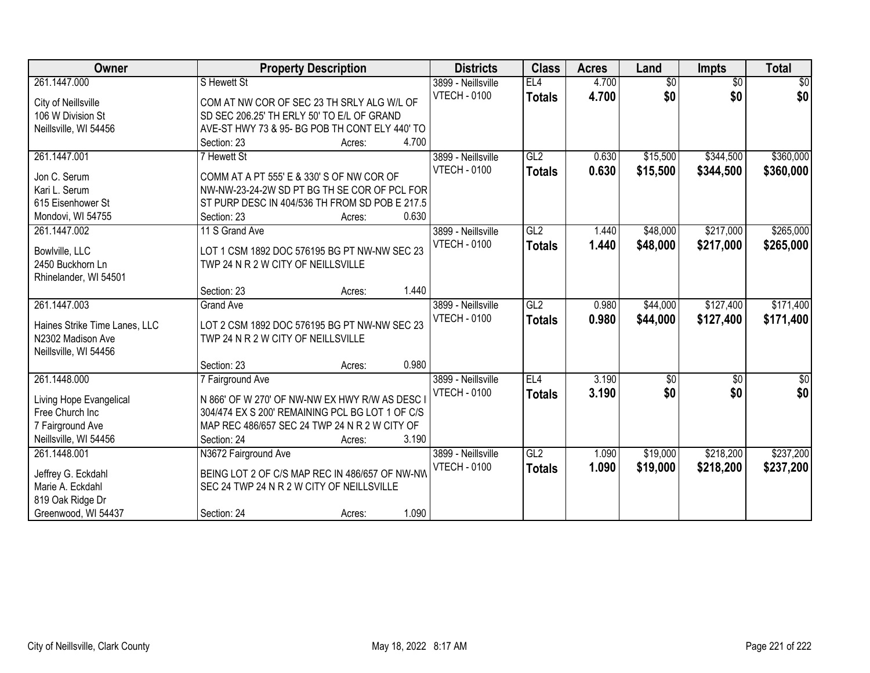| 261.1447.000<br>$\overline{50}$<br>S Hewett St<br>3899 - Neillsville<br>EL <sub>4</sub><br>4.700<br>$\sqrt{6}$<br>\$0<br><b>VTECH - 0100</b><br>\$0<br>4.700<br><b>Totals</b><br>City of Neillsville<br>COM AT NW COR OF SEC 23 TH SRLY ALG W/L OF | $\overline{50}$<br>\$0 |
|----------------------------------------------------------------------------------------------------------------------------------------------------------------------------------------------------------------------------------------------------|------------------------|
|                                                                                                                                                                                                                                                    |                        |
|                                                                                                                                                                                                                                                    |                        |
| SD SEC 206.25' TH ERLY 50' TO E/L OF GRAND<br>106 W Division St                                                                                                                                                                                    |                        |
| Neillsville, WI 54456<br>AVE-ST HWY 73 & 95- BG POB TH CONT ELY 440' TO                                                                                                                                                                            |                        |
| 4.700<br>Section: 23<br>Acres:                                                                                                                                                                                                                     |                        |
| \$344,500<br>261.1447.001<br>3899 - Neillsville<br>GL2<br>\$15,500<br>7 Hewett St<br>0.630                                                                                                                                                         | \$360,000              |
| 0.630<br>\$15,500<br>\$344,500<br><b>VTECH - 0100</b><br><b>Totals</b><br>Jon C. Serum<br>COMM AT A PT 555' E & 330' S OF NW COR OF                                                                                                                | \$360,000              |
| Kari L. Serum<br>NW-NW-23-24-2W SD PT BG TH SE COR OF PCL FOR                                                                                                                                                                                      |                        |
| 615 Eisenhower St<br>ST PURP DESC IN 404/536 TH FROM SD POB E 217.5                                                                                                                                                                                |                        |
| 0.630<br>Mondovi, WI 54755<br>Section: 23<br>Acres:                                                                                                                                                                                                |                        |
| GL2<br>\$48,000<br>\$217,000<br>261.1447.002<br>11 S Grand Ave<br>3899 - Neillsville<br>1.440                                                                                                                                                      | \$265,000              |
| <b>VTECH - 0100</b><br>1.440<br>\$217,000<br>\$48,000<br><b>Totals</b>                                                                                                                                                                             | \$265,000              |
| LOT 1 CSM 1892 DOC 576195 BG PT NW-NW SEC 23<br>Bowlville, LLC                                                                                                                                                                                     |                        |
| TWP 24 N R 2 W CITY OF NEILLSVILLE<br>2450 Buckhorn Ln                                                                                                                                                                                             |                        |
| Rhinelander, WI 54501                                                                                                                                                                                                                              |                        |
| 1.440<br>Section: 23<br>Acres:                                                                                                                                                                                                                     |                        |
| \$127,400<br>261.1447.003<br>3899 - Neillsville<br>GL2<br>\$44,000<br><b>Grand Ave</b><br>0.980                                                                                                                                                    | \$171,400              |
| <b>VTECH - 0100</b><br>\$44,000<br>\$127,400<br>0.980<br><b>Totals</b><br>Haines Strike Time Lanes, LLC<br>LOT 2 CSM 1892 DOC 576195 BG PT NW-NW SEC 23                                                                                            | \$171,400              |
| N2302 Madison Ave<br>TWP 24 N R 2 W CITY OF NEILLSVILLE                                                                                                                                                                                            |                        |
| Neillsville, WI 54456                                                                                                                                                                                                                              |                        |
| 0.980<br>Section: 23<br>Acres:                                                                                                                                                                                                                     |                        |
| 261.1448.000<br>EL4<br>3.190<br>$\overline{50}$<br>7 Fairground Ave<br>3899 - Neillsville<br>\$0                                                                                                                                                   | $\overline{\$0}$       |
| \$0<br>\$0<br><b>VTECH - 0100</b><br>3.190<br><b>Totals</b><br>N 866' OF W 270' OF NW-NW EX HWY R/W AS DESC I<br>Living Hope Evangelical                                                                                                           | \$0                    |
| Free Church Inc<br>304/474 EX S 200' REMAINING PCL BG LOT 1 OF C/S                                                                                                                                                                                 |                        |
| 7 Fairground Ave<br>MAP REC 486/657 SEC 24 TWP 24 N R 2 W CITY OF                                                                                                                                                                                  |                        |
| Neillsville, WI 54456<br>3.190<br>Section: 24<br>Acres:                                                                                                                                                                                            |                        |
| GL2<br>\$19,000<br>\$218,200<br>261.1448.001<br>N3672 Fairground Ave<br>3899 - Neillsville<br>1.090                                                                                                                                                | \$237,200              |
| \$19,000<br><b>VTECH - 0100</b><br>1.090<br>\$218,200<br><b>Totals</b>                                                                                                                                                                             | \$237,200              |
| BEING LOT 2 OF C/S MAP REC IN 486/657 OF NW-NW<br>Jeffrey G. Eckdahl                                                                                                                                                                               |                        |
| Marie A. Eckdahl<br>SEC 24 TWP 24 N R 2 W CITY OF NEILLSVILLE<br>819 Oak Ridge Dr                                                                                                                                                                  |                        |
| 1.090<br>Greenwood, WI 54437<br>Section: 24<br>Acres:                                                                                                                                                                                              |                        |